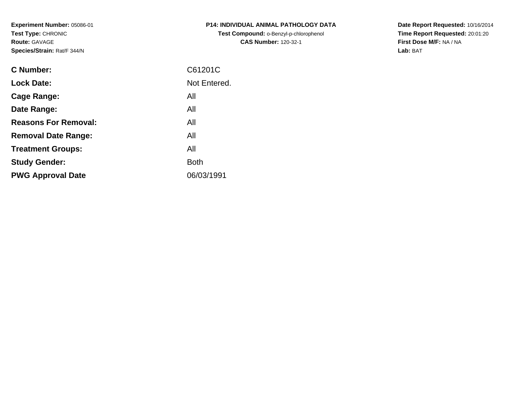**Experiment Number:** 05086-01**Test Type:** CHRONIC**Route:** GAVAGE**Species/Strain:** Rat/F 344/N

| P14: INDIVIDUAL ANIMAL PATHOLOGY DATA  |
|----------------------------------------|
| Test Compound: o-Benzyl-p-chlorophenol |
| <b>CAS Number: 120-32-1</b>            |

**Date Report Requested:** 10/16/2014 **Time Report Requested:** 20:01:20**First Dose M/F:** NA / NA**Lab:** BAT

| <b>C</b> Number:            | C61201C      |
|-----------------------------|--------------|
| <b>Lock Date:</b>           | Not Entered. |
| Cage Range:                 | All          |
| Date Range:                 | All          |
| <b>Reasons For Removal:</b> | All          |
| <b>Removal Date Range:</b>  | All          |
| <b>Treatment Groups:</b>    | All          |
| <b>Study Gender:</b>        | <b>Both</b>  |
| <b>PWG Approval Date</b>    | 06/03/1991   |
|                             |              |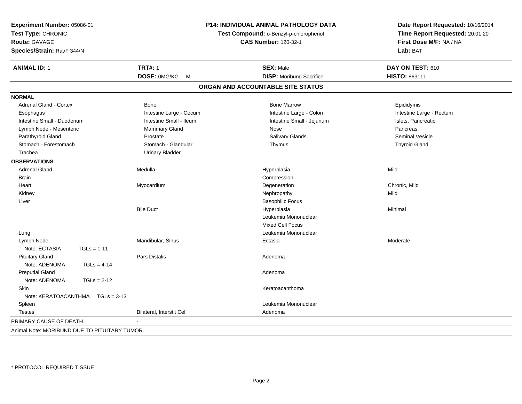| Experiment Number: 05086-01<br>Test Type: CHRONIC<br><b>Route: GAVAGE</b><br>Species/Strain: Rat/F 344/N | P14: INDIVIDUAL ANIMAL PATHOLOGY DATA<br>Test Compound: o-Benzyl-p-chlorophenol<br><b>CAS Number: 120-32-1</b> |                                   | Date Report Requested: 10/16/2014<br>Time Report Requested: 20:01:20<br>First Dose M/F: NA / NA<br>Lab: BAT |  |  |
|----------------------------------------------------------------------------------------------------------|----------------------------------------------------------------------------------------------------------------|-----------------------------------|-------------------------------------------------------------------------------------------------------------|--|--|
| <b>ANIMAL ID: 1</b>                                                                                      | <b>TRT#: 1</b>                                                                                                 | <b>SEX: Male</b>                  | DAY ON TEST: 610                                                                                            |  |  |
|                                                                                                          | DOSE: 0MG/KG<br>$M_{\odot}$                                                                                    | <b>DISP:</b> Moribund Sacrifice   | HISTO: 863111                                                                                               |  |  |
|                                                                                                          |                                                                                                                | ORGAN AND ACCOUNTABLE SITE STATUS |                                                                                                             |  |  |
| <b>NORMAL</b>                                                                                            |                                                                                                                |                                   |                                                                                                             |  |  |
| <b>Adrenal Gland - Cortex</b>                                                                            | Bone                                                                                                           | <b>Bone Marrow</b>                | Epididymis                                                                                                  |  |  |
| Esophagus                                                                                                | Intestine Large - Cecum                                                                                        | Intestine Large - Colon           | Intestine Large - Rectum                                                                                    |  |  |
| Intestine Small - Duodenum                                                                               | Intestine Small - Ileum                                                                                        | Intestine Small - Jejunum         | Islets, Pancreatic                                                                                          |  |  |
| Lymph Node - Mesenteric                                                                                  | Mammary Gland                                                                                                  | Nose                              | Pancreas                                                                                                    |  |  |
| Parathyroid Gland                                                                                        | Prostate                                                                                                       | Salivary Glands                   | <b>Seminal Vesicle</b>                                                                                      |  |  |
| Stomach - Forestomach                                                                                    | Stomach - Glandular                                                                                            | Thymus                            | <b>Thyroid Gland</b>                                                                                        |  |  |
| Trachea                                                                                                  | <b>Urinary Bladder</b>                                                                                         |                                   |                                                                                                             |  |  |
| <b>OBSERVATIONS</b>                                                                                      |                                                                                                                |                                   |                                                                                                             |  |  |
| <b>Adrenal Gland</b>                                                                                     | Medulla                                                                                                        | Hyperplasia                       | Mild                                                                                                        |  |  |
| Brain                                                                                                    |                                                                                                                | Compression                       |                                                                                                             |  |  |
| Heart                                                                                                    | Myocardium                                                                                                     | Degeneration                      | Chronic, Mild                                                                                               |  |  |
| Kidney                                                                                                   |                                                                                                                | Nephropathy                       | Mild                                                                                                        |  |  |
| Liver                                                                                                    |                                                                                                                | <b>Basophilic Focus</b>           |                                                                                                             |  |  |
|                                                                                                          | <b>Bile Duct</b>                                                                                               | Hyperplasia                       | Minimal                                                                                                     |  |  |
|                                                                                                          |                                                                                                                | Leukemia Mononuclear              |                                                                                                             |  |  |
|                                                                                                          |                                                                                                                | <b>Mixed Cell Focus</b>           |                                                                                                             |  |  |
| Lung                                                                                                     |                                                                                                                | Leukemia Mononuclear              |                                                                                                             |  |  |
| Lymph Node                                                                                               | Mandibular, Sinus                                                                                              | Ectasia                           | Moderate                                                                                                    |  |  |
| Note: ECTASIA<br>$TGLs = 1-11$                                                                           |                                                                                                                |                                   |                                                                                                             |  |  |
| <b>Pituitary Gland</b>                                                                                   | <b>Pars Distalis</b>                                                                                           | Adenoma                           |                                                                                                             |  |  |
| Note: ADENOMA<br>$TGLs = 4-14$                                                                           |                                                                                                                |                                   |                                                                                                             |  |  |
| <b>Preputial Gland</b>                                                                                   |                                                                                                                | Adenoma                           |                                                                                                             |  |  |
| Note: ADENOMA<br>$TGLs = 2-12$                                                                           |                                                                                                                |                                   |                                                                                                             |  |  |
| Skin                                                                                                     |                                                                                                                | Keratoacanthoma                   |                                                                                                             |  |  |
| Note: KERATOACANTHMA   TGLs = 3-13                                                                       |                                                                                                                |                                   |                                                                                                             |  |  |
| Spleen                                                                                                   |                                                                                                                | Leukemia Mononuclear              |                                                                                                             |  |  |
| <b>Testes</b>                                                                                            | Bilateral, Interstit Cell                                                                                      | Adenoma                           |                                                                                                             |  |  |
| PRIMARY CAUSE OF DEATH                                                                                   |                                                                                                                |                                   |                                                                                                             |  |  |
| Animal Note: MORIBUND DUE TO PITUITARY TUMOR.                                                            |                                                                                                                |                                   |                                                                                                             |  |  |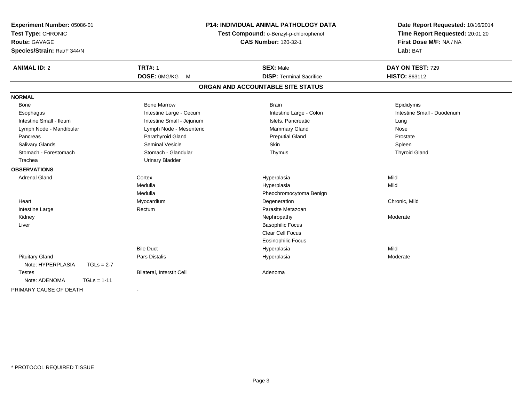| Experiment Number: 05086-01<br>Test Type: CHRONIC<br>Route: GAVAGE<br>Species/Strain: Rat/F 344/N |                           | <b>P14: INDIVIDUAL ANIMAL PATHOLOGY DATA</b><br>Test Compound: o-Benzyl-p-chlorophenol<br><b>CAS Number: 120-32-1</b> | Date Report Requested: 10/16/2014<br>Time Report Requested: 20:01:20<br>First Dose M/F: NA / NA<br>Lab: BAT |  |
|---------------------------------------------------------------------------------------------------|---------------------------|-----------------------------------------------------------------------------------------------------------------------|-------------------------------------------------------------------------------------------------------------|--|
| <b>ANIMAL ID: 2</b>                                                                               | <b>TRT#: 1</b>            | <b>SEX: Male</b>                                                                                                      | DAY ON TEST: 729                                                                                            |  |
|                                                                                                   | DOSE: 0MG/KG<br>M         | <b>DISP: Terminal Sacrifice</b>                                                                                       | HISTO: 863112                                                                                               |  |
|                                                                                                   |                           | ORGAN AND ACCOUNTABLE SITE STATUS                                                                                     |                                                                                                             |  |
| <b>NORMAL</b>                                                                                     |                           |                                                                                                                       |                                                                                                             |  |
| Bone                                                                                              | <b>Bone Marrow</b>        | <b>Brain</b>                                                                                                          | Epididymis                                                                                                  |  |
| Esophagus                                                                                         | Intestine Large - Cecum   | Intestine Large - Colon                                                                                               | Intestine Small - Duodenum                                                                                  |  |
| Intestine Small - Ileum                                                                           | Intestine Small - Jejunum | Islets, Pancreatic                                                                                                    | Lung                                                                                                        |  |
| Lymph Node - Mandibular                                                                           | Lymph Node - Mesenteric   | Mammary Gland                                                                                                         | Nose                                                                                                        |  |
| Pancreas                                                                                          | Parathyroid Gland         | <b>Preputial Gland</b>                                                                                                | Prostate                                                                                                    |  |
| Salivary Glands                                                                                   | <b>Seminal Vesicle</b>    | Skin                                                                                                                  | Spleen                                                                                                      |  |
| Stomach - Forestomach                                                                             | Stomach - Glandular       | Thymus                                                                                                                | <b>Thyroid Gland</b>                                                                                        |  |
| Trachea                                                                                           | <b>Urinary Bladder</b>    |                                                                                                                       |                                                                                                             |  |
| <b>OBSERVATIONS</b>                                                                               |                           |                                                                                                                       |                                                                                                             |  |
| <b>Adrenal Gland</b>                                                                              | Cortex                    | Hyperplasia                                                                                                           | Mild                                                                                                        |  |
|                                                                                                   | Medulla                   | Hyperplasia                                                                                                           | Mild                                                                                                        |  |
|                                                                                                   | Medulla                   | Pheochromocytoma Benign                                                                                               |                                                                                                             |  |
| Heart                                                                                             | Myocardium                | Degeneration                                                                                                          | Chronic, Mild                                                                                               |  |
| Intestine Large                                                                                   | Rectum                    | Parasite Metazoan                                                                                                     |                                                                                                             |  |
| Kidney                                                                                            |                           | Nephropathy                                                                                                           | Moderate                                                                                                    |  |
| Liver                                                                                             |                           | <b>Basophilic Focus</b>                                                                                               |                                                                                                             |  |
|                                                                                                   |                           | <b>Clear Cell Focus</b>                                                                                               |                                                                                                             |  |
|                                                                                                   |                           | <b>Eosinophilic Focus</b>                                                                                             |                                                                                                             |  |
|                                                                                                   | <b>Bile Duct</b>          | Hyperplasia                                                                                                           | Mild                                                                                                        |  |
| <b>Pituitary Gland</b>                                                                            | Pars Distalis             | Hyperplasia                                                                                                           | Moderate                                                                                                    |  |
| Note: HYPERPLASIA<br>$TGLs = 2-7$                                                                 |                           |                                                                                                                       |                                                                                                             |  |
| <b>Testes</b>                                                                                     | Bilateral, Interstit Cell | Adenoma                                                                                                               |                                                                                                             |  |
| Note: ADENOMA<br>$TGLs = 1-11$                                                                    |                           |                                                                                                                       |                                                                                                             |  |
| PRIMARY CAUSE OF DEATH                                                                            | $\blacksquare$            |                                                                                                                       |                                                                                                             |  |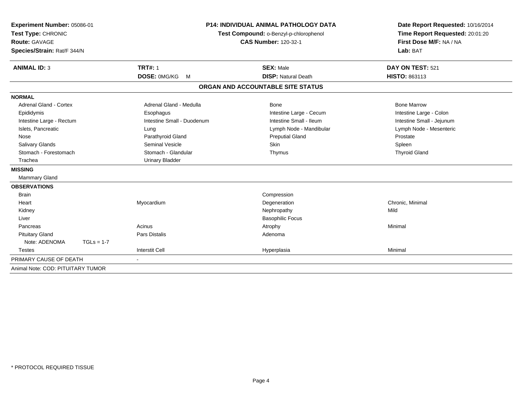| Experiment Number: 05086-01<br>Test Type: CHRONIC<br><b>Route: GAVAGE</b><br>Species/Strain: Rat/F 344/N |                            | <b>P14: INDIVIDUAL ANIMAL PATHOLOGY DATA</b><br>Test Compound: o-Benzyl-p-chlorophenol<br><b>CAS Number: 120-32-1</b> | Date Report Requested: 10/16/2014<br>Time Report Requested: 20:01:20<br>First Dose M/F: NA / NA<br>Lab: BAT |  |
|----------------------------------------------------------------------------------------------------------|----------------------------|-----------------------------------------------------------------------------------------------------------------------|-------------------------------------------------------------------------------------------------------------|--|
| <b>ANIMAL ID: 3</b>                                                                                      | <b>TRT#: 1</b>             | <b>SEX: Male</b>                                                                                                      | DAY ON TEST: 521                                                                                            |  |
|                                                                                                          | DOSE: 0MG/KG<br>M          | <b>DISP: Natural Death</b>                                                                                            | HISTO: 863113                                                                                               |  |
|                                                                                                          |                            | ORGAN AND ACCOUNTABLE SITE STATUS                                                                                     |                                                                                                             |  |
| <b>NORMAL</b>                                                                                            |                            |                                                                                                                       |                                                                                                             |  |
| <b>Adrenal Gland - Cortex</b>                                                                            | Adrenal Gland - Medulla    | Bone                                                                                                                  | <b>Bone Marrow</b>                                                                                          |  |
| Epididymis                                                                                               | Esophagus                  | Intestine Large - Cecum                                                                                               | Intestine Large - Colon                                                                                     |  |
| Intestine Large - Rectum                                                                                 | Intestine Small - Duodenum | Intestine Small - Ileum                                                                                               | Intestine Small - Jejunum                                                                                   |  |
| Islets, Pancreatic                                                                                       | Lung                       | Lymph Node - Mandibular                                                                                               | Lymph Node - Mesenteric                                                                                     |  |
| Nose                                                                                                     | Parathyroid Gland          | <b>Preputial Gland</b>                                                                                                | Prostate                                                                                                    |  |
| <b>Salivary Glands</b>                                                                                   | <b>Seminal Vesicle</b>     | Skin                                                                                                                  | Spleen                                                                                                      |  |
| Stomach - Forestomach                                                                                    | Stomach - Glandular        | Thymus                                                                                                                | <b>Thyroid Gland</b>                                                                                        |  |
| Trachea                                                                                                  | <b>Urinary Bladder</b>     |                                                                                                                       |                                                                                                             |  |
| <b>MISSING</b>                                                                                           |                            |                                                                                                                       |                                                                                                             |  |
| Mammary Gland                                                                                            |                            |                                                                                                                       |                                                                                                             |  |
| <b>OBSERVATIONS</b>                                                                                      |                            |                                                                                                                       |                                                                                                             |  |
| <b>Brain</b>                                                                                             |                            | Compression                                                                                                           |                                                                                                             |  |
| Heart                                                                                                    | Myocardium                 | Degeneration                                                                                                          | Chronic, Minimal                                                                                            |  |
| Kidney                                                                                                   |                            | Nephropathy                                                                                                           | Mild                                                                                                        |  |
| Liver                                                                                                    |                            | <b>Basophilic Focus</b>                                                                                               |                                                                                                             |  |
| Pancreas                                                                                                 | Acinus                     | Atrophy                                                                                                               | Minimal                                                                                                     |  |
| <b>Pituitary Gland</b>                                                                                   | <b>Pars Distalis</b>       | Adenoma                                                                                                               |                                                                                                             |  |
| Note: ADENOMA<br>$TGLs = 1-7$                                                                            |                            |                                                                                                                       |                                                                                                             |  |
| <b>Testes</b>                                                                                            | <b>Interstit Cell</b>      | Hyperplasia                                                                                                           | Minimal                                                                                                     |  |
| PRIMARY CAUSE OF DEATH                                                                                   | $\blacksquare$             |                                                                                                                       |                                                                                                             |  |
| Animal Note: COD: PITUITARY TUMOR                                                                        |                            |                                                                                                                       |                                                                                                             |  |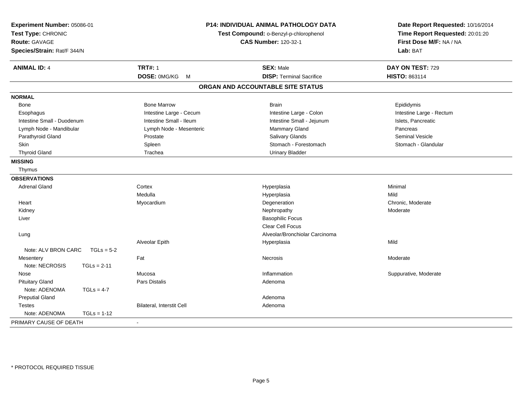| Experiment Number: 05086-01<br>Test Type: CHRONIC<br><b>Route: GAVAGE</b><br>Species/Strain: Rat/F 344/N |                           | P14: INDIVIDUAL ANIMAL PATHOLOGY DATA<br>Test Compound: o-Benzyl-p-chlorophenol<br><b>CAS Number: 120-32-1</b> | Date Report Requested: 10/16/2014<br>Time Report Requested: 20:01:20<br>First Dose M/F: NA / NA<br>Lab: BAT |  |
|----------------------------------------------------------------------------------------------------------|---------------------------|----------------------------------------------------------------------------------------------------------------|-------------------------------------------------------------------------------------------------------------|--|
| <b>ANIMAL ID: 4</b>                                                                                      | <b>TRT#: 1</b>            | <b>SEX: Male</b>                                                                                               | DAY ON TEST: 729                                                                                            |  |
|                                                                                                          | DOSE: 0MG/KG M            | <b>DISP: Terminal Sacrifice</b>                                                                                | HISTO: 863114                                                                                               |  |
|                                                                                                          |                           | ORGAN AND ACCOUNTABLE SITE STATUS                                                                              |                                                                                                             |  |
| <b>NORMAL</b>                                                                                            |                           |                                                                                                                |                                                                                                             |  |
| Bone                                                                                                     | <b>Bone Marrow</b>        | <b>Brain</b>                                                                                                   | Epididymis                                                                                                  |  |
| Esophagus                                                                                                | Intestine Large - Cecum   | Intestine Large - Colon                                                                                        | Intestine Large - Rectum                                                                                    |  |
| Intestine Small - Duodenum                                                                               | Intestine Small - Ileum   | Intestine Small - Jejunum                                                                                      | Islets, Pancreatic                                                                                          |  |
| Lymph Node - Mandibular                                                                                  | Lymph Node - Mesenteric   | Mammary Gland                                                                                                  | Pancreas                                                                                                    |  |
| Parathyroid Gland                                                                                        | Prostate                  | Salivary Glands                                                                                                | <b>Seminal Vesicle</b>                                                                                      |  |
| Skin                                                                                                     | Spleen                    | Stomach - Forestomach                                                                                          | Stomach - Glandular                                                                                         |  |
| <b>Thyroid Gland</b>                                                                                     | Trachea                   | <b>Urinary Bladder</b>                                                                                         |                                                                                                             |  |
| <b>MISSING</b>                                                                                           |                           |                                                                                                                |                                                                                                             |  |
| Thymus                                                                                                   |                           |                                                                                                                |                                                                                                             |  |
| <b>OBSERVATIONS</b>                                                                                      |                           |                                                                                                                |                                                                                                             |  |
| <b>Adrenal Gland</b>                                                                                     | Cortex                    | Hyperplasia                                                                                                    | Minimal                                                                                                     |  |
|                                                                                                          | Medulla                   | Hyperplasia                                                                                                    | Mild                                                                                                        |  |
| Heart                                                                                                    | Myocardium                | Degeneration                                                                                                   | Chronic, Moderate                                                                                           |  |
| Kidney                                                                                                   |                           | Nephropathy                                                                                                    | Moderate                                                                                                    |  |
| Liver                                                                                                    |                           | <b>Basophilic Focus</b>                                                                                        |                                                                                                             |  |
|                                                                                                          |                           | Clear Cell Focus                                                                                               |                                                                                                             |  |
| Lung                                                                                                     |                           | Alveolar/Bronchiolar Carcinoma                                                                                 |                                                                                                             |  |
|                                                                                                          | Alveolar Epith            | Hyperplasia                                                                                                    | Mild                                                                                                        |  |
| Note: ALV BRON CARC<br>$TGLs = 5-2$                                                                      |                           |                                                                                                                |                                                                                                             |  |
| Mesentery                                                                                                | Fat                       | Necrosis                                                                                                       | Moderate                                                                                                    |  |
| Note: NECROSIS<br>$TGLs = 2-11$                                                                          |                           |                                                                                                                |                                                                                                             |  |
| Nose                                                                                                     | Mucosa                    | Inflammation                                                                                                   | Suppurative, Moderate                                                                                       |  |
| <b>Pituitary Gland</b>                                                                                   | Pars Distalis             | Adenoma                                                                                                        |                                                                                                             |  |
| Note: ADENOMA<br>$TGLs = 4-7$                                                                            |                           |                                                                                                                |                                                                                                             |  |
| <b>Preputial Gland</b>                                                                                   |                           | Adenoma                                                                                                        |                                                                                                             |  |
| <b>Testes</b>                                                                                            | Bilateral, Interstit Cell | Adenoma                                                                                                        |                                                                                                             |  |
| Note: ADENOMA<br>$TGLs = 1-12$                                                                           |                           |                                                                                                                |                                                                                                             |  |
| PRIMARY CAUSE OF DEATH                                                                                   |                           |                                                                                                                |                                                                                                             |  |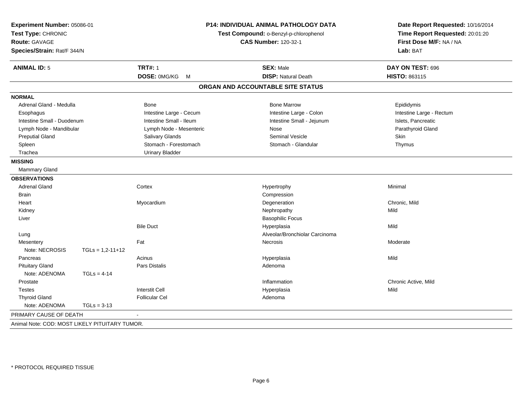| Experiment Number: 05086-01<br>Test Type: CHRONIC<br><b>Route: GAVAGE</b><br>Species/Strain: Rat/F 344/N |                    | P14: INDIVIDUAL ANIMAL PATHOLOGY DATA<br>Test Compound: o-Benzyl-p-chlorophenol<br><b>CAS Number: 120-32-1</b> |                                   | Date Report Requested: 10/16/2014<br>Time Report Requested: 20:01:20<br>First Dose M/F: NA / NA<br>Lab: BAT |  |
|----------------------------------------------------------------------------------------------------------|--------------------|----------------------------------------------------------------------------------------------------------------|-----------------------------------|-------------------------------------------------------------------------------------------------------------|--|
| <b>ANIMAL ID: 5</b>                                                                                      |                    | <b>TRT#: 1</b>                                                                                                 | <b>SEX: Male</b>                  | DAY ON TEST: 696                                                                                            |  |
|                                                                                                          |                    | DOSE: 0MG/KG M                                                                                                 | <b>DISP: Natural Death</b>        | HISTO: 863115                                                                                               |  |
|                                                                                                          |                    |                                                                                                                | ORGAN AND ACCOUNTABLE SITE STATUS |                                                                                                             |  |
| <b>NORMAL</b>                                                                                            |                    |                                                                                                                |                                   |                                                                                                             |  |
| Adrenal Gland - Medulla                                                                                  |                    | <b>Bone</b>                                                                                                    | <b>Bone Marrow</b>                | Epididymis                                                                                                  |  |
| Esophagus                                                                                                |                    | Intestine Large - Cecum                                                                                        | Intestine Large - Colon           | Intestine Large - Rectum                                                                                    |  |
| Intestine Small - Duodenum                                                                               |                    | Intestine Small - Ileum                                                                                        | Intestine Small - Jejunum         | Islets, Pancreatic                                                                                          |  |
| Lymph Node - Mandibular                                                                                  |                    | Lymph Node - Mesenteric                                                                                        | Nose                              | Parathyroid Gland                                                                                           |  |
| <b>Preputial Gland</b>                                                                                   |                    | Salivary Glands                                                                                                | Seminal Vesicle                   | Skin                                                                                                        |  |
| Spleen                                                                                                   |                    | Stomach - Forestomach                                                                                          | Stomach - Glandular               | Thymus                                                                                                      |  |
| Trachea                                                                                                  |                    | <b>Urinary Bladder</b>                                                                                         |                                   |                                                                                                             |  |
| <b>MISSING</b>                                                                                           |                    |                                                                                                                |                                   |                                                                                                             |  |
| <b>Mammary Gland</b>                                                                                     |                    |                                                                                                                |                                   |                                                                                                             |  |
| <b>OBSERVATIONS</b>                                                                                      |                    |                                                                                                                |                                   |                                                                                                             |  |
| <b>Adrenal Gland</b>                                                                                     |                    | Cortex                                                                                                         | Hypertrophy                       | Minimal                                                                                                     |  |
| <b>Brain</b>                                                                                             |                    |                                                                                                                | Compression                       |                                                                                                             |  |
| Heart                                                                                                    |                    | Myocardium                                                                                                     | Degeneration                      | Chronic, Mild                                                                                               |  |
| Kidney                                                                                                   |                    |                                                                                                                | Nephropathy                       | Mild                                                                                                        |  |
| Liver                                                                                                    |                    |                                                                                                                | <b>Basophilic Focus</b>           |                                                                                                             |  |
|                                                                                                          |                    | <b>Bile Duct</b>                                                                                               | Hyperplasia                       | Mild                                                                                                        |  |
| Lung                                                                                                     |                    |                                                                                                                | Alveolar/Bronchiolar Carcinoma    |                                                                                                             |  |
| Mesentery                                                                                                |                    | Fat                                                                                                            | Necrosis                          | Moderate                                                                                                    |  |
| Note: NECROSIS                                                                                           | $TGLs = 1,2-11+12$ |                                                                                                                |                                   |                                                                                                             |  |
| Pancreas                                                                                                 |                    | Acinus                                                                                                         | Hyperplasia                       | Mild                                                                                                        |  |
| <b>Pituitary Gland</b>                                                                                   |                    | <b>Pars Distalis</b>                                                                                           | Adenoma                           |                                                                                                             |  |
| Note: ADENOMA                                                                                            | $TGLs = 4-14$      |                                                                                                                |                                   |                                                                                                             |  |
| Prostate                                                                                                 |                    |                                                                                                                | Inflammation                      | Chronic Active, Mild                                                                                        |  |
| <b>Testes</b>                                                                                            |                    | <b>Interstit Cell</b>                                                                                          | Hyperplasia                       | Mild                                                                                                        |  |
| <b>Thyroid Gland</b>                                                                                     |                    | <b>Follicular Cel</b>                                                                                          | Adenoma                           |                                                                                                             |  |
| Note: ADENOMA                                                                                            | $TGLs = 3-13$      |                                                                                                                |                                   |                                                                                                             |  |
| PRIMARY CAUSE OF DEATH                                                                                   |                    |                                                                                                                |                                   |                                                                                                             |  |
| Animal Note: COD: MOST LIKELY PITUITARY TUMOR.                                                           |                    |                                                                                                                |                                   |                                                                                                             |  |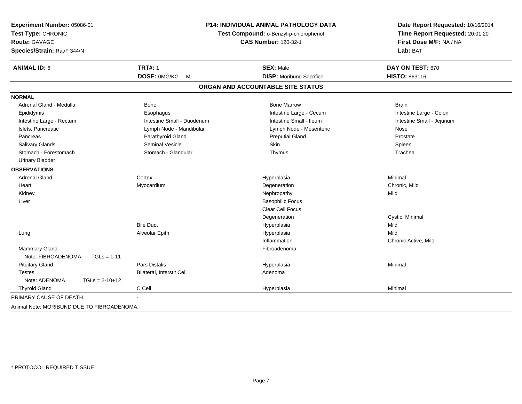| Experiment Number: 05086-01<br>Test Type: CHRONIC<br><b>Route: GAVAGE</b><br>Species/Strain: Rat/F 344/N |                            | P14: INDIVIDUAL ANIMAL PATHOLOGY DATA<br>Test Compound: o-Benzyl-p-chlorophenol<br><b>CAS Number: 120-32-1</b> | Date Report Requested: 10/16/2014<br>Time Report Requested: 20:01:20<br>First Dose M/F: NA / NA<br>Lab: BAT<br>DAY ON TEST: 670 |  |
|----------------------------------------------------------------------------------------------------------|----------------------------|----------------------------------------------------------------------------------------------------------------|---------------------------------------------------------------------------------------------------------------------------------|--|
| <b>ANIMAL ID: 6</b>                                                                                      | <b>TRT#: 1</b>             | <b>SEX: Male</b>                                                                                               |                                                                                                                                 |  |
|                                                                                                          | DOSE: 0MG/KG<br>M          | <b>DISP:</b> Moribund Sacrifice                                                                                | HISTO: 863116                                                                                                                   |  |
|                                                                                                          |                            | ORGAN AND ACCOUNTABLE SITE STATUS                                                                              |                                                                                                                                 |  |
| <b>NORMAL</b>                                                                                            |                            |                                                                                                                |                                                                                                                                 |  |
| Adrenal Gland - Medulla                                                                                  | Bone                       | <b>Bone Marrow</b>                                                                                             | <b>Brain</b>                                                                                                                    |  |
| Epididymis                                                                                               | Esophagus                  | Intestine Large - Cecum                                                                                        | Intestine Large - Colon                                                                                                         |  |
| Intestine Large - Rectum                                                                                 | Intestine Small - Duodenum | Intestine Small - Ileum                                                                                        | Intestine Small - Jejunum                                                                                                       |  |
| Islets, Pancreatic                                                                                       | Lymph Node - Mandibular    | Lymph Node - Mesenteric                                                                                        | Nose                                                                                                                            |  |
| Pancreas                                                                                                 | Parathyroid Gland          | <b>Preputial Gland</b>                                                                                         | Prostate                                                                                                                        |  |
| Salivary Glands                                                                                          | <b>Seminal Vesicle</b>     | Skin                                                                                                           | Spleen                                                                                                                          |  |
| Stomach - Forestomach                                                                                    | Stomach - Glandular        | Thymus                                                                                                         | Trachea                                                                                                                         |  |
| <b>Urinary Bladder</b>                                                                                   |                            |                                                                                                                |                                                                                                                                 |  |
| <b>OBSERVATIONS</b>                                                                                      |                            |                                                                                                                |                                                                                                                                 |  |
| <b>Adrenal Gland</b>                                                                                     | Cortex                     | Hyperplasia                                                                                                    | Minimal                                                                                                                         |  |
| Heart                                                                                                    | Myocardium                 | Degeneration                                                                                                   | Chronic, Mild                                                                                                                   |  |
| Kidney                                                                                                   |                            | Nephropathy                                                                                                    | Mild                                                                                                                            |  |
| Liver                                                                                                    |                            | <b>Basophilic Focus</b>                                                                                        |                                                                                                                                 |  |
|                                                                                                          |                            | Clear Cell Focus                                                                                               |                                                                                                                                 |  |
|                                                                                                          |                            | Degeneration                                                                                                   | Cystic, Minimal                                                                                                                 |  |
|                                                                                                          | <b>Bile Duct</b>           | Hyperplasia                                                                                                    | Mild                                                                                                                            |  |
| Lung                                                                                                     | Alveolar Epith             | Hyperplasia                                                                                                    | Mild                                                                                                                            |  |
|                                                                                                          |                            | Inflammation                                                                                                   | Chronic Active, Mild                                                                                                            |  |
| <b>Mammary Gland</b>                                                                                     |                            | Fibroadenoma                                                                                                   |                                                                                                                                 |  |
| Note: FIBROADENOMA<br>$TGLs = 1-11$                                                                      |                            |                                                                                                                |                                                                                                                                 |  |
| <b>Pituitary Gland</b>                                                                                   | Pars Distalis              | Hyperplasia                                                                                                    | Minimal                                                                                                                         |  |
| <b>Testes</b>                                                                                            | Bilateral, Interstit Cell  | Adenoma                                                                                                        |                                                                                                                                 |  |
| Note: ADENOMA<br>$TGLs = 2-10+12$                                                                        |                            |                                                                                                                |                                                                                                                                 |  |
| <b>Thyroid Gland</b>                                                                                     | C Cell                     | Hyperplasia                                                                                                    | Minimal                                                                                                                         |  |
| PRIMARY CAUSE OF DEATH                                                                                   |                            |                                                                                                                |                                                                                                                                 |  |
| Animal Note: MORIBUND DUE TO FIBROADENOMA.                                                               |                            |                                                                                                                |                                                                                                                                 |  |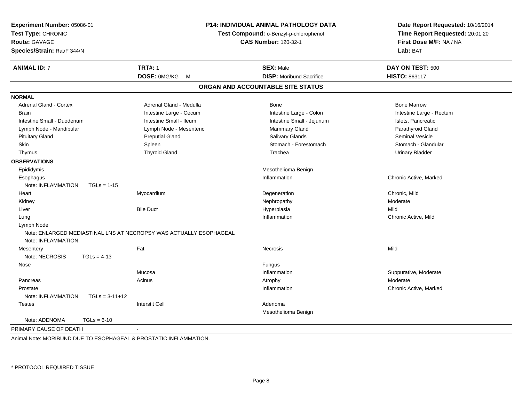| Experiment Number: 05086-01<br>Test Type: CHRONIC<br><b>Route: GAVAGE</b><br>Species/Strain: Rat/F 344/N |                         | <b>P14: INDIVIDUAL ANIMAL PATHOLOGY DATA</b><br>Test Compound: o-Benzyl-p-chlorophenol<br><b>CAS Number: 120-32-1</b> | Date Report Requested: 10/16/2014<br>Time Report Requested: 20:01:20<br>First Dose M/F: NA / NA<br>Lab: BAT |  |
|----------------------------------------------------------------------------------------------------------|-------------------------|-----------------------------------------------------------------------------------------------------------------------|-------------------------------------------------------------------------------------------------------------|--|
| <b>ANIMAL ID: 7</b>                                                                                      | <b>TRT#: 1</b>          | <b>SEX: Male</b>                                                                                                      | DAY ON TEST: 500                                                                                            |  |
|                                                                                                          | DOSE: 0MG/KG<br>M       | <b>DISP:</b> Moribund Sacrifice                                                                                       | HISTO: 863117                                                                                               |  |
|                                                                                                          |                         | ORGAN AND ACCOUNTABLE SITE STATUS                                                                                     |                                                                                                             |  |
| <b>NORMAL</b>                                                                                            |                         |                                                                                                                       |                                                                                                             |  |
| Adrenal Gland - Cortex                                                                                   | Adrenal Gland - Medulla | <b>Bone</b>                                                                                                           | <b>Bone Marrow</b>                                                                                          |  |
| <b>Brain</b>                                                                                             | Intestine Large - Cecum | Intestine Large - Colon                                                                                               | Intestine Large - Rectum                                                                                    |  |
| Intestine Small - Duodenum                                                                               | Intestine Small - Ileum | Intestine Small - Jejunum                                                                                             | Islets, Pancreatic                                                                                          |  |
| Lymph Node - Mandibular                                                                                  | Lymph Node - Mesenteric | Mammary Gland                                                                                                         | Parathyroid Gland                                                                                           |  |
| <b>Pituitary Gland</b>                                                                                   | <b>Preputial Gland</b>  | Salivary Glands                                                                                                       | Seminal Vesicle                                                                                             |  |
| Skin                                                                                                     | Spleen                  | Stomach - Forestomach                                                                                                 | Stomach - Glandular                                                                                         |  |
| Thymus                                                                                                   | <b>Thyroid Gland</b>    | Trachea                                                                                                               | <b>Urinary Bladder</b>                                                                                      |  |
| <b>OBSERVATIONS</b>                                                                                      |                         |                                                                                                                       |                                                                                                             |  |
| Epididymis                                                                                               |                         | Mesothelioma Benign                                                                                                   |                                                                                                             |  |
| Esophagus                                                                                                |                         | Inflammation                                                                                                          | Chronic Active, Marked                                                                                      |  |
| Note: INFLAMMATION<br>$TGLs = 1-15$                                                                      |                         |                                                                                                                       |                                                                                                             |  |
| Heart                                                                                                    | Myocardium              | Degeneration                                                                                                          | Chronic, Mild                                                                                               |  |
| Kidney                                                                                                   |                         | Nephropathy                                                                                                           | Moderate                                                                                                    |  |
| Liver                                                                                                    | <b>Bile Duct</b>        | Hyperplasia                                                                                                           | Mild                                                                                                        |  |
| Lung                                                                                                     |                         | Inflammation                                                                                                          | Chronic Active, Mild                                                                                        |  |
| Lymph Node                                                                                               |                         |                                                                                                                       |                                                                                                             |  |
| Note: ENLARGED MEDIASTINAL LNS AT NECROPSY WAS ACTUALLY ESOPHAGEAL                                       |                         |                                                                                                                       |                                                                                                             |  |
| Note: INFLAMMATION.                                                                                      | Fat                     |                                                                                                                       |                                                                                                             |  |
| Mesentery<br>Note: NECROSIS<br>$TGLs = 4-13$                                                             |                         | Necrosis                                                                                                              | Mild                                                                                                        |  |
| Nose                                                                                                     |                         | Fungus                                                                                                                |                                                                                                             |  |
|                                                                                                          | Mucosa                  | Inflammation                                                                                                          | Suppurative, Moderate                                                                                       |  |
| Pancreas                                                                                                 | Acinus                  | Atrophy                                                                                                               | Moderate                                                                                                    |  |
| Prostate                                                                                                 |                         | Inflammation                                                                                                          | Chronic Active, Marked                                                                                      |  |
| Note: INFLAMMATION<br>$TGLs = 3-11+12$                                                                   |                         |                                                                                                                       |                                                                                                             |  |
| Testes                                                                                                   | <b>Interstit Cell</b>   | Adenoma                                                                                                               |                                                                                                             |  |
|                                                                                                          |                         | Mesothelioma Benign                                                                                                   |                                                                                                             |  |
| Note: ADENOMA<br>$TGLs = 6-10$                                                                           |                         |                                                                                                                       |                                                                                                             |  |
| PRIMARY CAUSE OF DEATH                                                                                   | $\blacksquare$          |                                                                                                                       |                                                                                                             |  |

Animal Note: MORIBUND DUE TO ESOPHAGEAL & PROSTATIC INFLAMMATION.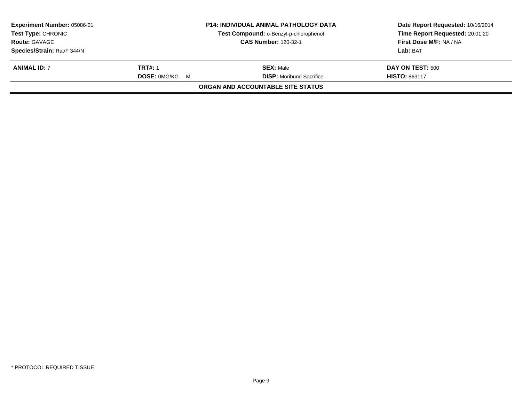| Experiment Number: 05086-01 | <b>P14: INDIVIDUAL ANIMAL PATHOLOGY DATA</b> |                                        | Date Report Requested: 10/16/2014 |
|-----------------------------|----------------------------------------------|----------------------------------------|-----------------------------------|
| <b>Test Type: CHRONIC</b>   |                                              | Test Compound: o-Benzyl-p-chlorophenol | Time Report Requested: 20:01:20   |
| <b>Route: GAVAGE</b>        |                                              | <b>CAS Number: 120-32-1</b>            | First Dose M/F: NA / NA           |
| Species/Strain: Rat/F 344/N |                                              |                                        | Lab: BAT                          |
| <b>ANIMAL ID: 7</b>         | <b>TRT#: 1</b>                               | <b>SEX:</b> Male                       | DAY ON TEST: 500                  |
|                             | <b>DOSE: OMG/KG M</b>                        | <b>DISP:</b> Moribund Sacrifice        | <b>HISTO: 863117</b>              |
|                             |                                              | ORGAN AND ACCOUNTABLE SITE STATUS      |                                   |
|                             |                                              |                                        |                                   |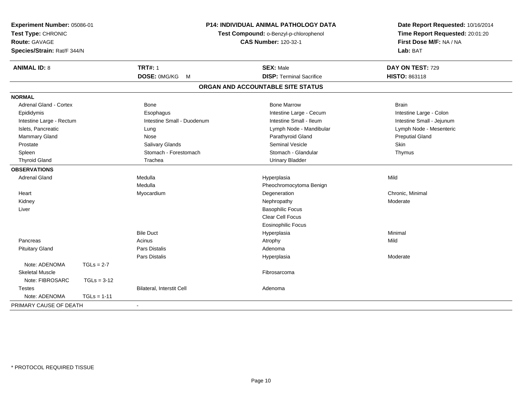| Experiment Number: 05086-01<br>Test Type: CHRONIC<br><b>Route: GAVAGE</b><br>Species/Strain: Rat/F 344/N |               |                                  | P14: INDIVIDUAL ANIMAL PATHOLOGY DATA<br>Test Compound: o-Benzyl-p-chlorophenol<br><b>CAS Number: 120-32-1</b> | Date Report Requested: 10/16/2014<br>Time Report Requested: 20:01:20<br>First Dose M/F: NA / NA<br>Lab: BAT |  |
|----------------------------------------------------------------------------------------------------------|---------------|----------------------------------|----------------------------------------------------------------------------------------------------------------|-------------------------------------------------------------------------------------------------------------|--|
| <b>ANIMAL ID: 8</b>                                                                                      |               | <b>TRT#: 1</b>                   | <b>SEX: Male</b>                                                                                               | DAY ON TEST: 729                                                                                            |  |
|                                                                                                          |               | DOSE: 0MG/KG<br>M                | <b>DISP: Terminal Sacrifice</b>                                                                                | HISTO: 863118                                                                                               |  |
|                                                                                                          |               |                                  | ORGAN AND ACCOUNTABLE SITE STATUS                                                                              |                                                                                                             |  |
| <b>NORMAL</b>                                                                                            |               |                                  |                                                                                                                |                                                                                                             |  |
| <b>Adrenal Gland - Cortex</b>                                                                            |               | <b>Bone</b>                      | <b>Bone Marrow</b>                                                                                             | <b>Brain</b>                                                                                                |  |
| Epididymis                                                                                               |               | Esophagus                        | Intestine Large - Cecum                                                                                        | Intestine Large - Colon                                                                                     |  |
| Intestine Large - Rectum                                                                                 |               | Intestine Small - Duodenum       | Intestine Small - Ileum                                                                                        | Intestine Small - Jejunum                                                                                   |  |
| Islets, Pancreatic                                                                                       |               | Lung                             | Lymph Node - Mandibular                                                                                        | Lymph Node - Mesenteric                                                                                     |  |
| Mammary Gland                                                                                            |               | Nose                             | Parathyroid Gland                                                                                              | <b>Preputial Gland</b>                                                                                      |  |
| Prostate                                                                                                 |               | <b>Salivary Glands</b>           | <b>Seminal Vesicle</b>                                                                                         | Skin                                                                                                        |  |
| Spleen                                                                                                   |               | Stomach - Forestomach            | Stomach - Glandular                                                                                            | Thymus                                                                                                      |  |
| <b>Thyroid Gland</b>                                                                                     |               | Trachea                          | <b>Urinary Bladder</b>                                                                                         |                                                                                                             |  |
| <b>OBSERVATIONS</b>                                                                                      |               |                                  |                                                                                                                |                                                                                                             |  |
| <b>Adrenal Gland</b>                                                                                     |               | Medulla                          | Hyperplasia                                                                                                    | Mild                                                                                                        |  |
|                                                                                                          |               | Medulla                          | Pheochromocytoma Benign                                                                                        |                                                                                                             |  |
| Heart                                                                                                    |               | Myocardium                       | Degeneration                                                                                                   | Chronic, Minimal                                                                                            |  |
| Kidney                                                                                                   |               |                                  | Nephropathy                                                                                                    | Moderate                                                                                                    |  |
| Liver                                                                                                    |               |                                  | <b>Basophilic Focus</b>                                                                                        |                                                                                                             |  |
|                                                                                                          |               |                                  | Clear Cell Focus                                                                                               |                                                                                                             |  |
|                                                                                                          |               |                                  | <b>Eosinophilic Focus</b>                                                                                      |                                                                                                             |  |
|                                                                                                          |               | <b>Bile Duct</b>                 | Hyperplasia                                                                                                    | Minimal                                                                                                     |  |
| Pancreas                                                                                                 |               | Acinus                           | Atrophy                                                                                                        | Mild                                                                                                        |  |
| <b>Pituitary Gland</b>                                                                                   |               | <b>Pars Distalis</b>             | Adenoma                                                                                                        |                                                                                                             |  |
|                                                                                                          |               | <b>Pars Distalis</b>             | Hyperplasia                                                                                                    | Moderate                                                                                                    |  |
| Note: ADENOMA                                                                                            | $TGLs = 2-7$  |                                  |                                                                                                                |                                                                                                             |  |
| <b>Skeletal Muscle</b>                                                                                   |               |                                  | Fibrosarcoma                                                                                                   |                                                                                                             |  |
| Note: FIBROSARC                                                                                          | $TGLs = 3-12$ |                                  |                                                                                                                |                                                                                                             |  |
| <b>Testes</b>                                                                                            |               | <b>Bilateral, Interstit Cell</b> | Adenoma                                                                                                        |                                                                                                             |  |
| Note: ADENOMA                                                                                            | $TGLs = 1-11$ |                                  |                                                                                                                |                                                                                                             |  |
| PRIMARY CAUSE OF DEATH                                                                                   |               | $\sim$                           |                                                                                                                |                                                                                                             |  |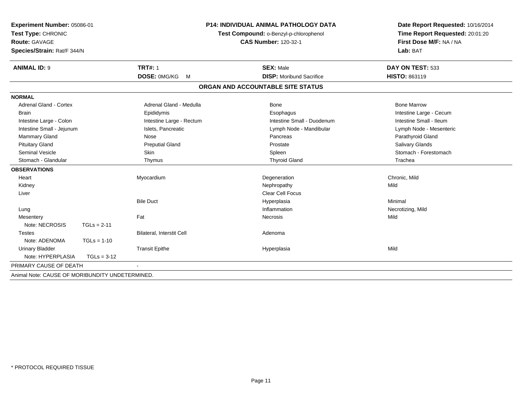| Experiment Number: 05086-01                     |                                        | <b>P14: INDIVIDUAL ANIMAL PATHOLOGY DATA</b> |                                 | Date Report Requested: 10/16/2014 |                         |
|-------------------------------------------------|----------------------------------------|----------------------------------------------|---------------------------------|-----------------------------------|-------------------------|
| Test Type: CHRONIC                              | Test Compound: o-Benzyl-p-chlorophenol |                                              | Time Report Requested: 20:01:20 |                                   |                         |
| Route: GAVAGE                                   | <b>CAS Number: 120-32-1</b>            |                                              | First Dose M/F: NA / NA         |                                   |                         |
| Species/Strain: Rat/F 344/N                     |                                        |                                              |                                 |                                   | Lab: BAT                |
| <b>ANIMAL ID: 9</b>                             |                                        | <b>TRT#: 1</b>                               |                                 | <b>SEX: Male</b>                  | DAY ON TEST: 533        |
|                                                 |                                        | DOSE: 0MG/KG<br>M                            |                                 | <b>DISP:</b> Moribund Sacrifice   | HISTO: 863119           |
|                                                 |                                        |                                              |                                 | ORGAN AND ACCOUNTABLE SITE STATUS |                         |
| <b>NORMAL</b>                                   |                                        |                                              |                                 |                                   |                         |
| <b>Adrenal Gland - Cortex</b>                   |                                        | Adrenal Gland - Medulla                      |                                 | Bone                              | <b>Bone Marrow</b>      |
| <b>Brain</b>                                    |                                        | Epididymis                                   |                                 | Esophagus                         | Intestine Large - Cecum |
| Intestine Large - Colon                         |                                        | Intestine Large - Rectum                     |                                 | Intestine Small - Duodenum        | Intestine Small - Ileum |
| Intestine Small - Jejunum                       |                                        | Islets, Pancreatic                           |                                 | Lymph Node - Mandibular           | Lymph Node - Mesenteric |
| <b>Mammary Gland</b>                            |                                        | Nose                                         |                                 | Pancreas                          | Parathyroid Gland       |
| <b>Pituitary Gland</b>                          |                                        | <b>Preputial Gland</b>                       |                                 | Prostate                          | Salivary Glands         |
| <b>Seminal Vesicle</b>                          |                                        | Skin                                         |                                 | Spleen                            | Stomach - Forestomach   |
| Stomach - Glandular                             |                                        | Thymus                                       |                                 | <b>Thyroid Gland</b>              | Trachea                 |
| <b>OBSERVATIONS</b>                             |                                        |                                              |                                 |                                   |                         |
| Heart                                           |                                        | Myocardium                                   |                                 | Degeneration                      | Chronic, Mild           |
| Kidney                                          |                                        |                                              |                                 | Nephropathy                       | Mild                    |
| Liver                                           |                                        |                                              |                                 | <b>Clear Cell Focus</b>           |                         |
|                                                 |                                        | <b>Bile Duct</b>                             |                                 | Hyperplasia                       | Minimal                 |
| Lung                                            |                                        |                                              |                                 | Inflammation                      | Necrotizing, Mild       |
| Mesentery                                       |                                        | Fat                                          |                                 | <b>Necrosis</b>                   | Mild                    |
| Note: NECROSIS                                  | $TGLs = 2-11$                          |                                              |                                 |                                   |                         |
| <b>Testes</b>                                   |                                        | Bilateral, Interstit Cell                    |                                 | Adenoma                           |                         |
| Note: ADENOMA                                   | $TGLs = 1-10$                          |                                              |                                 |                                   |                         |
| <b>Urinary Bladder</b>                          |                                        | <b>Transit Epithe</b>                        |                                 | Hyperplasia                       | Mild                    |
| Note: HYPERPLASIA                               | $TGLs = 3-12$                          |                                              |                                 |                                   |                         |
| PRIMARY CAUSE OF DEATH                          |                                        | ÷                                            |                                 |                                   |                         |
| Animal Note: CAUSE OF MORIBUNDITY UNDETERMINED. |                                        |                                              |                                 |                                   |                         |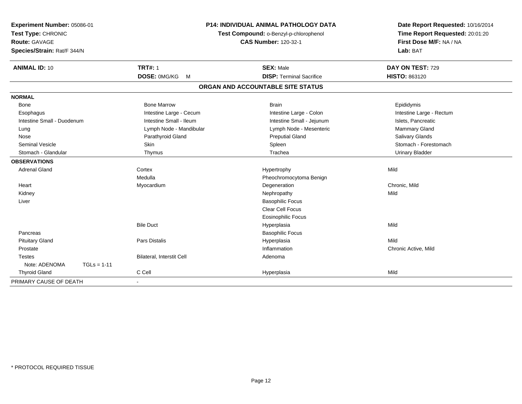| Experiment Number: 05086-01<br>Test Type: CHRONIC |                           | <b>P14: INDIVIDUAL ANIMAL PATHOLOGY DATA</b><br>Test Compound: o-Benzyl-p-chlorophenol | Date Report Requested: 10/16/2014<br>Time Report Requested: 20:01:20 |
|---------------------------------------------------|---------------------------|----------------------------------------------------------------------------------------|----------------------------------------------------------------------|
| <b>Route: GAVAGE</b>                              |                           | <b>CAS Number: 120-32-1</b>                                                            | First Dose M/F: NA / NA                                              |
| Species/Strain: Rat/F 344/N                       |                           |                                                                                        | Lab: BAT                                                             |
| <b>ANIMAL ID: 10</b>                              | <b>TRT#: 1</b>            | <b>SEX: Male</b>                                                                       | DAY ON TEST: 729                                                     |
|                                                   | DOSE: 0MG/KG<br><b>M</b>  | <b>DISP: Terminal Sacrifice</b>                                                        | HISTO: 863120                                                        |
|                                                   |                           | ORGAN AND ACCOUNTABLE SITE STATUS                                                      |                                                                      |
| <b>NORMAL</b>                                     |                           |                                                                                        |                                                                      |
| Bone                                              | <b>Bone Marrow</b>        | <b>Brain</b>                                                                           | Epididymis                                                           |
| Esophagus                                         | Intestine Large - Cecum   | Intestine Large - Colon                                                                | Intestine Large - Rectum                                             |
| Intestine Small - Duodenum                        | Intestine Small - Ileum   | Intestine Small - Jejunum                                                              | Islets, Pancreatic                                                   |
| Lung                                              | Lymph Node - Mandibular   | Lymph Node - Mesenteric                                                                | <b>Mammary Gland</b>                                                 |
| Nose                                              | Parathyroid Gland         | <b>Preputial Gland</b>                                                                 | <b>Salivary Glands</b>                                               |
| <b>Seminal Vesicle</b>                            | Skin                      | Spleen                                                                                 | Stomach - Forestomach                                                |
| Stomach - Glandular                               | Thymus                    | Trachea                                                                                | <b>Urinary Bladder</b>                                               |
| <b>OBSERVATIONS</b>                               |                           |                                                                                        |                                                                      |
| <b>Adrenal Gland</b>                              | Cortex                    | Hypertrophy                                                                            | Mild                                                                 |
|                                                   | Medulla                   | Pheochromocytoma Benign                                                                |                                                                      |
| Heart                                             | Myocardium                | Degeneration                                                                           | Chronic, Mild                                                        |
| Kidney                                            |                           | Nephropathy                                                                            | Mild                                                                 |
| Liver                                             |                           | <b>Basophilic Focus</b>                                                                |                                                                      |
|                                                   |                           | Clear Cell Focus                                                                       |                                                                      |
|                                                   |                           | <b>Eosinophilic Focus</b>                                                              |                                                                      |
|                                                   | <b>Bile Duct</b>          | Hyperplasia                                                                            | Mild                                                                 |
| Pancreas                                          |                           | <b>Basophilic Focus</b>                                                                |                                                                      |
| <b>Pituitary Gland</b>                            | <b>Pars Distalis</b>      | Hyperplasia                                                                            | Mild                                                                 |
| Prostate                                          |                           | Inflammation                                                                           | Chronic Active, Mild                                                 |
| <b>Testes</b>                                     | Bilateral, Interstit Cell | Adenoma                                                                                |                                                                      |
| Note: ADENOMA<br>$TGLs = 1-11$                    |                           |                                                                                        |                                                                      |
| <b>Thyroid Gland</b>                              | C Cell                    | Hyperplasia                                                                            | Mild                                                                 |
| PRIMARY CAUSE OF DEATH                            |                           |                                                                                        |                                                                      |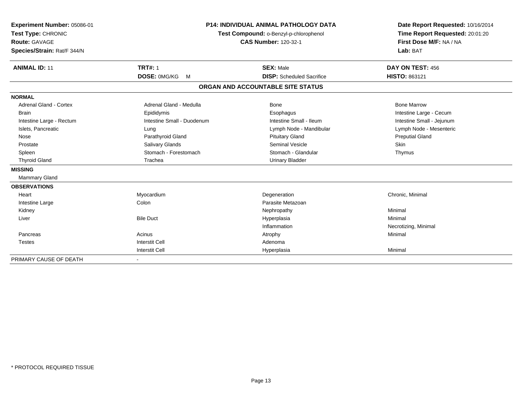| Experiment Number: 05086-01<br>Test Type: CHRONIC<br><b>Route: GAVAGE</b><br>Species/Strain: Rat/F 344/N<br><b>ANIMAL ID: 11</b> | <b>TRT#: 1</b><br>DOSE: 0MG/KG<br>$M_{\odot}$ | <b>P14: INDIVIDUAL ANIMAL PATHOLOGY DATA</b><br>Test Compound: o-Benzyl-p-chlorophenol<br><b>CAS Number: 120-32-1</b><br><b>SEX: Male</b><br><b>DISP:</b> Scheduled Sacrifice |                           |
|----------------------------------------------------------------------------------------------------------------------------------|-----------------------------------------------|-------------------------------------------------------------------------------------------------------------------------------------------------------------------------------|---------------------------|
|                                                                                                                                  |                                               | ORGAN AND ACCOUNTABLE SITE STATUS                                                                                                                                             |                           |
| <b>NORMAL</b>                                                                                                                    |                                               |                                                                                                                                                                               |                           |
| <b>Adrenal Gland - Cortex</b>                                                                                                    | Adrenal Gland - Medulla                       | Bone                                                                                                                                                                          | <b>Bone Marrow</b>        |
| <b>Brain</b>                                                                                                                     | Epididymis                                    | Esophagus                                                                                                                                                                     | Intestine Large - Cecum   |
| Intestine Large - Rectum                                                                                                         | Intestine Small - Duodenum                    | Intestine Small - Ileum                                                                                                                                                       | Intestine Small - Jejunum |
| Islets, Pancreatic                                                                                                               | Lung                                          | Lymph Node - Mandibular                                                                                                                                                       | Lymph Node - Mesenteric   |
| Nose                                                                                                                             | Parathyroid Gland                             | <b>Pituitary Gland</b>                                                                                                                                                        | <b>Preputial Gland</b>    |
| Prostate                                                                                                                         | Salivary Glands                               | Seminal Vesicle                                                                                                                                                               | Skin                      |
| Spleen                                                                                                                           | Stomach - Forestomach                         | Stomach - Glandular                                                                                                                                                           | Thymus                    |
| <b>Thyroid Gland</b>                                                                                                             | Trachea                                       | <b>Urinary Bladder</b>                                                                                                                                                        |                           |
| <b>MISSING</b>                                                                                                                   |                                               |                                                                                                                                                                               |                           |
| <b>Mammary Gland</b>                                                                                                             |                                               |                                                                                                                                                                               |                           |
| <b>OBSERVATIONS</b>                                                                                                              |                                               |                                                                                                                                                                               |                           |
| Heart                                                                                                                            | Myocardium                                    | Degeneration                                                                                                                                                                  | Chronic, Minimal          |
| Intestine Large                                                                                                                  | Colon                                         | Parasite Metazoan                                                                                                                                                             |                           |
| Kidney                                                                                                                           |                                               | Nephropathy                                                                                                                                                                   | Minimal                   |
| Liver                                                                                                                            | <b>Bile Duct</b>                              | Hyperplasia                                                                                                                                                                   | Minimal                   |
|                                                                                                                                  |                                               | Inflammation                                                                                                                                                                  | Necrotizing, Minimal      |
| Pancreas                                                                                                                         | Acinus                                        | Atrophy                                                                                                                                                                       | Minimal                   |
| <b>Testes</b>                                                                                                                    | <b>Interstit Cell</b>                         | Adenoma                                                                                                                                                                       |                           |
|                                                                                                                                  | <b>Interstit Cell</b>                         | Hyperplasia                                                                                                                                                                   | Minimal                   |
| PRIMARY CAUSE OF DEATH                                                                                                           |                                               |                                                                                                                                                                               |                           |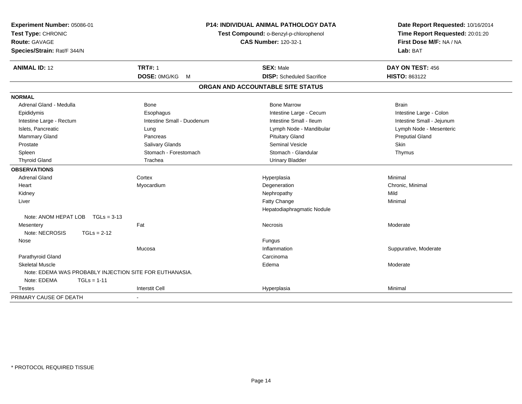| Experiment Number: 05086-01<br>Test Type: CHRONIC<br>Route: GAVAGE<br>Species/Strain: Rat/F 344/N | <b>P14: INDIVIDUAL ANIMAL PATHOLOGY DATA</b><br>Test Compound: o-Benzyl-p-chlorophenol<br><b>CAS Number: 120-32-1</b> |                                   | Date Report Requested: 10/16/2014<br>Time Report Requested: 20:01:20<br>First Dose M/F: NA / NA<br>Lab: BAT |  |
|---------------------------------------------------------------------------------------------------|-----------------------------------------------------------------------------------------------------------------------|-----------------------------------|-------------------------------------------------------------------------------------------------------------|--|
| <b>ANIMAL ID: 12</b>                                                                              | <b>TRT#: 1</b>                                                                                                        | <b>SEX: Male</b>                  | DAY ON TEST: 456                                                                                            |  |
|                                                                                                   | DOSE: 0MG/KG M                                                                                                        | <b>DISP:</b> Scheduled Sacrifice  | <b>HISTO: 863122</b>                                                                                        |  |
|                                                                                                   |                                                                                                                       | ORGAN AND ACCOUNTABLE SITE STATUS |                                                                                                             |  |
| <b>NORMAL</b>                                                                                     |                                                                                                                       |                                   |                                                                                                             |  |
| Adrenal Gland - Medulla                                                                           | <b>Bone</b>                                                                                                           | <b>Bone Marrow</b>                | <b>Brain</b>                                                                                                |  |
| Epididymis                                                                                        | Esophagus                                                                                                             | Intestine Large - Cecum           | Intestine Large - Colon                                                                                     |  |
| Intestine Large - Rectum                                                                          | Intestine Small - Duodenum                                                                                            | Intestine Small - Ileum           | Intestine Small - Jejunum                                                                                   |  |
| Islets, Pancreatic                                                                                | Lung                                                                                                                  | Lymph Node - Mandibular           | Lymph Node - Mesenteric                                                                                     |  |
| <b>Mammary Gland</b>                                                                              | Pancreas                                                                                                              | <b>Pituitary Gland</b>            | <b>Preputial Gland</b>                                                                                      |  |
| Prostate                                                                                          | <b>Salivary Glands</b>                                                                                                | <b>Seminal Vesicle</b>            | <b>Skin</b>                                                                                                 |  |
| Spleen                                                                                            | Stomach - Forestomach                                                                                                 | Stomach - Glandular               | Thymus                                                                                                      |  |
| <b>Thyroid Gland</b>                                                                              | Trachea                                                                                                               | <b>Urinary Bladder</b>            |                                                                                                             |  |
| <b>OBSERVATIONS</b>                                                                               |                                                                                                                       |                                   |                                                                                                             |  |
| <b>Adrenal Gland</b>                                                                              | Cortex                                                                                                                | Hyperplasia                       | Minimal                                                                                                     |  |
| Heart                                                                                             | Myocardium                                                                                                            | Degeneration                      | Chronic, Minimal                                                                                            |  |
| Kidney                                                                                            |                                                                                                                       | Nephropathy                       | Mild                                                                                                        |  |
| Liver                                                                                             |                                                                                                                       | Fatty Change                      | Minimal                                                                                                     |  |
|                                                                                                   |                                                                                                                       | Hepatodiaphragmatic Nodule        |                                                                                                             |  |
| Note: ANOM HEPAT LOB<br>$TGLs = 3-13$                                                             |                                                                                                                       |                                   |                                                                                                             |  |
| Mesentery                                                                                         | Fat                                                                                                                   | Necrosis                          | Moderate                                                                                                    |  |
| Note: NECROSIS<br>$TGLs = 2-12$                                                                   |                                                                                                                       |                                   |                                                                                                             |  |
| Nose                                                                                              |                                                                                                                       | Fungus                            |                                                                                                             |  |
|                                                                                                   | Mucosa                                                                                                                | Inflammation                      | Suppurative, Moderate                                                                                       |  |
| Parathyroid Gland                                                                                 |                                                                                                                       | Carcinoma                         |                                                                                                             |  |
| <b>Skeletal Muscle</b>                                                                            |                                                                                                                       | Edema                             | Moderate                                                                                                    |  |
| Note: EDEMA WAS PROBABLY INJECTION SITE FOR EUTHANASIA.                                           |                                                                                                                       |                                   |                                                                                                             |  |
| Note: EDEMA<br>$TGLs = 1-11$                                                                      |                                                                                                                       |                                   |                                                                                                             |  |
| Testes                                                                                            | <b>Interstit Cell</b>                                                                                                 | Hyperplasia                       | Minimal                                                                                                     |  |
| PRIMARY CAUSE OF DEATH                                                                            | $\overline{\phantom{a}}$                                                                                              |                                   |                                                                                                             |  |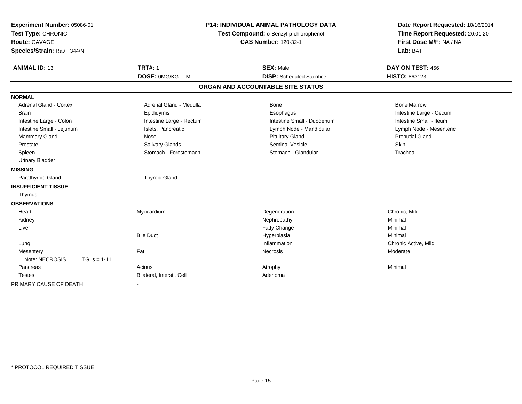| Experiment Number: 05086-01<br>Test Type: CHRONIC<br><b>Route: GAVAGE</b> | <b>P14: INDIVIDUAL ANIMAL PATHOLOGY DATA</b><br>Test Compound: o-Benzyl-p-chlorophenol<br><b>CAS Number: 120-32-1</b> |  | Date Report Requested: 10/16/2014<br>Time Report Requested: 20:01:20<br>First Dose M/F: NA / NA |                         |
|---------------------------------------------------------------------------|-----------------------------------------------------------------------------------------------------------------------|--|-------------------------------------------------------------------------------------------------|-------------------------|
| Species/Strain: Rat/F 344/N                                               |                                                                                                                       |  |                                                                                                 | Lab: BAT                |
| <b>ANIMAL ID: 13</b>                                                      | <b>TRT#: 1</b>                                                                                                        |  | <b>SEX: Male</b>                                                                                | DAY ON TEST: 456        |
|                                                                           | DOSE: 0MG/KG M                                                                                                        |  | <b>DISP:</b> Scheduled Sacrifice                                                                | <b>HISTO: 863123</b>    |
|                                                                           |                                                                                                                       |  | ORGAN AND ACCOUNTABLE SITE STATUS                                                               |                         |
| <b>NORMAL</b>                                                             |                                                                                                                       |  |                                                                                                 |                         |
| <b>Adrenal Gland - Cortex</b>                                             | Adrenal Gland - Medulla                                                                                               |  | <b>Bone</b>                                                                                     | <b>Bone Marrow</b>      |
| <b>Brain</b>                                                              | Epididymis                                                                                                            |  | Esophagus                                                                                       | Intestine Large - Cecum |
| Intestine Large - Colon                                                   | Intestine Large - Rectum                                                                                              |  | Intestine Small - Duodenum                                                                      | Intestine Small - Ileum |
| Intestine Small - Jejunum                                                 | Islets, Pancreatic                                                                                                    |  | Lymph Node - Mandibular                                                                         | Lymph Node - Mesenteric |
| Mammary Gland                                                             | Nose                                                                                                                  |  | <b>Pituitary Gland</b>                                                                          | <b>Preputial Gland</b>  |
| Prostate                                                                  | Salivary Glands                                                                                                       |  | <b>Seminal Vesicle</b>                                                                          | Skin                    |
| Spleen                                                                    | Stomach - Forestomach                                                                                                 |  | Stomach - Glandular                                                                             | Trachea                 |
| <b>Urinary Bladder</b>                                                    |                                                                                                                       |  |                                                                                                 |                         |
| <b>MISSING</b>                                                            |                                                                                                                       |  |                                                                                                 |                         |
| Parathyroid Gland                                                         | <b>Thyroid Gland</b>                                                                                                  |  |                                                                                                 |                         |
| <b>INSUFFICIENT TISSUE</b>                                                |                                                                                                                       |  |                                                                                                 |                         |
| Thymus                                                                    |                                                                                                                       |  |                                                                                                 |                         |
| <b>OBSERVATIONS</b>                                                       |                                                                                                                       |  |                                                                                                 |                         |
| Heart                                                                     | Myocardium                                                                                                            |  | Degeneration                                                                                    | Chronic, Mild           |
| Kidney                                                                    |                                                                                                                       |  | Nephropathy                                                                                     | Minimal                 |
| Liver                                                                     |                                                                                                                       |  | Fatty Change                                                                                    | Minimal                 |
|                                                                           | <b>Bile Duct</b>                                                                                                      |  | Hyperplasia                                                                                     | Minimal                 |
| Lung                                                                      |                                                                                                                       |  | Inflammation                                                                                    | Chronic Active, Mild    |
| Mesentery                                                                 | Fat                                                                                                                   |  | Necrosis                                                                                        | Moderate                |
| Note: NECROSIS                                                            | $TGLs = 1-11$                                                                                                         |  |                                                                                                 |                         |
| Pancreas                                                                  | Acinus                                                                                                                |  | Atrophy                                                                                         | Minimal                 |
| <b>Testes</b>                                                             | Bilateral, Interstit Cell                                                                                             |  | Adenoma                                                                                         |                         |
| PRIMARY CAUSE OF DEATH                                                    | $\sim$                                                                                                                |  |                                                                                                 |                         |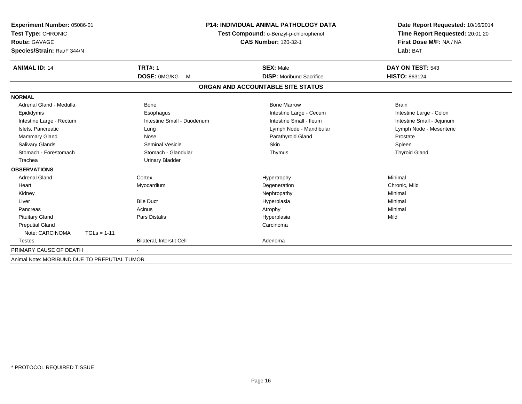| Experiment Number: 05086-01<br>Test Type: CHRONIC |                            | <b>P14: INDIVIDUAL ANIMAL PATHOLOGY DATA</b> | Date Report Requested: 10/16/2014   |
|---------------------------------------------------|----------------------------|----------------------------------------------|-------------------------------------|
|                                                   |                            | Test Compound: o-Benzyl-p-chlorophenol       | Time Report Requested: 20:01:20     |
| <b>Route: GAVAGE</b>                              |                            | <b>CAS Number: 120-32-1</b>                  | First Dose M/F: NA / NA<br>Lab: BAT |
| Species/Strain: Rat/F 344/N                       |                            |                                              |                                     |
| <b>ANIMAL ID: 14</b>                              | <b>TRT#: 1</b>             | <b>SEX: Male</b>                             | DAY ON TEST: 543                    |
|                                                   | DOSE: 0MG/KG<br>M          | <b>DISP:</b> Moribund Sacrifice              | HISTO: 863124                       |
|                                                   |                            | ORGAN AND ACCOUNTABLE SITE STATUS            |                                     |
| <b>NORMAL</b>                                     |                            |                                              |                                     |
| Adrenal Gland - Medulla                           | Bone                       | <b>Bone Marrow</b>                           | <b>Brain</b>                        |
| Epididymis                                        | Esophagus                  | Intestine Large - Cecum                      | Intestine Large - Colon             |
| Intestine Large - Rectum                          | Intestine Small - Duodenum | Intestine Small - Ileum                      | Intestine Small - Jejunum           |
| Islets, Pancreatic                                | Lung                       | Lymph Node - Mandibular                      | Lymph Node - Mesenteric             |
| Mammary Gland                                     | Nose                       | Parathyroid Gland                            | Prostate                            |
| Salivary Glands                                   | <b>Seminal Vesicle</b>     | Skin                                         | Spleen                              |
| Stomach - Forestomach                             | Stomach - Glandular        | Thymus                                       | <b>Thyroid Gland</b>                |
| Trachea                                           | <b>Urinary Bladder</b>     |                                              |                                     |
| <b>OBSERVATIONS</b>                               |                            |                                              |                                     |
| <b>Adrenal Gland</b>                              | Cortex                     | Hypertrophy                                  | Minimal                             |
| Heart                                             | Myocardium                 | Degeneration                                 | Chronic, Mild                       |
| Kidney                                            |                            | Nephropathy                                  | Minimal                             |
| Liver                                             | <b>Bile Duct</b>           | Hyperplasia                                  | Minimal                             |
| Pancreas                                          | Acinus                     | Atrophy                                      | Minimal                             |
| <b>Pituitary Gland</b>                            | <b>Pars Distalis</b>       | Hyperplasia                                  | Mild                                |
| <b>Preputial Gland</b>                            |                            | Carcinoma                                    |                                     |
| Note: CARCINOMA<br>$TGLs = 1-11$                  |                            |                                              |                                     |
| <b>Testes</b>                                     | Bilateral, Interstit Cell  | Adenoma                                      |                                     |
| PRIMARY CAUSE OF DEATH                            |                            |                                              |                                     |
| Animal Note: MORIBUND DUE TO PREPUTIAL TUMOR.     |                            |                                              |                                     |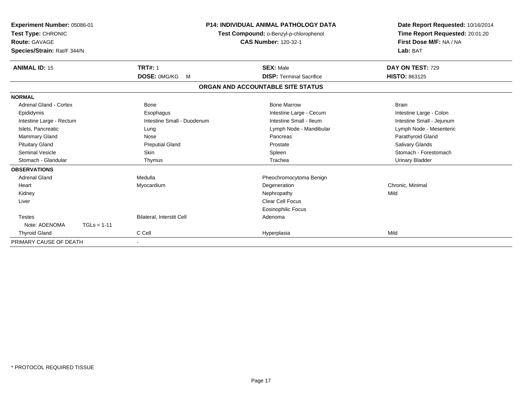| Experiment Number: 05086-01<br>Test Type: CHRONIC<br><b>Route: GAVAGE</b><br>Species/Strain: Rat/F 344/N |               |                            | <b>P14: INDIVIDUAL ANIMAL PATHOLOGY DATA</b><br>Test Compound: o-Benzyl-p-chlorophenol<br><b>CAS Number: 120-32-1</b> | Date Report Requested: 10/16/2014<br>Time Report Requested: 20:01:20<br>First Dose M/F: NA / NA<br>Lab: BAT |
|----------------------------------------------------------------------------------------------------------|---------------|----------------------------|-----------------------------------------------------------------------------------------------------------------------|-------------------------------------------------------------------------------------------------------------|
| <b>ANIMAL ID: 15</b>                                                                                     |               | <b>TRT#: 1</b>             | <b>SEX: Male</b>                                                                                                      | DAY ON TEST: 729                                                                                            |
|                                                                                                          |               | <b>DOSE: OMG/KG</b><br>M   | <b>DISP: Terminal Sacrifice</b>                                                                                       | <b>HISTO: 863125</b>                                                                                        |
|                                                                                                          |               |                            | ORGAN AND ACCOUNTABLE SITE STATUS                                                                                     |                                                                                                             |
| <b>NORMAL</b>                                                                                            |               |                            |                                                                                                                       |                                                                                                             |
| Adrenal Gland - Cortex                                                                                   |               | <b>Bone</b>                | <b>Bone Marrow</b>                                                                                                    | <b>Brain</b>                                                                                                |
| Epididymis                                                                                               |               | Esophagus                  | Intestine Large - Cecum                                                                                               | Intestine Large - Colon                                                                                     |
| Intestine Large - Rectum                                                                                 |               | Intestine Small - Duodenum | Intestine Small - Ileum                                                                                               | Intestine Small - Jejunum                                                                                   |
| Islets, Pancreatic                                                                                       |               | Lung                       | Lymph Node - Mandibular                                                                                               | Lymph Node - Mesenteric                                                                                     |
| Mammary Gland                                                                                            |               | Nose                       | Pancreas                                                                                                              | Parathyroid Gland                                                                                           |
| <b>Pituitary Gland</b>                                                                                   |               | <b>Preputial Gland</b>     | Prostate                                                                                                              | <b>Salivary Glands</b>                                                                                      |
| Seminal Vesicle                                                                                          |               | <b>Skin</b>                | Spleen                                                                                                                | Stomach - Forestomach                                                                                       |
| Stomach - Glandular                                                                                      |               | Thymus                     | Trachea                                                                                                               | <b>Urinary Bladder</b>                                                                                      |
| <b>OBSERVATIONS</b>                                                                                      |               |                            |                                                                                                                       |                                                                                                             |
| <b>Adrenal Gland</b>                                                                                     |               | Medulla                    | Pheochromocytoma Benign                                                                                               |                                                                                                             |
| Heart                                                                                                    |               | Myocardium                 | Degeneration                                                                                                          | Chronic, Minimal                                                                                            |
| Kidney                                                                                                   |               |                            | Nephropathy                                                                                                           | Mild                                                                                                        |
| Liver                                                                                                    |               |                            | Clear Cell Focus                                                                                                      |                                                                                                             |
|                                                                                                          |               |                            | <b>Eosinophilic Focus</b>                                                                                             |                                                                                                             |
| <b>Testes</b>                                                                                            |               | Bilateral, Interstit Cell  | Adenoma                                                                                                               |                                                                                                             |
| Note: ADENOMA                                                                                            | $TGLs = 1-11$ |                            |                                                                                                                       |                                                                                                             |
| <b>Thyroid Gland</b>                                                                                     |               | C Cell                     | Hyperplasia                                                                                                           | Mild                                                                                                        |
| PRIMARY CAUSE OF DEATH                                                                                   |               |                            |                                                                                                                       |                                                                                                             |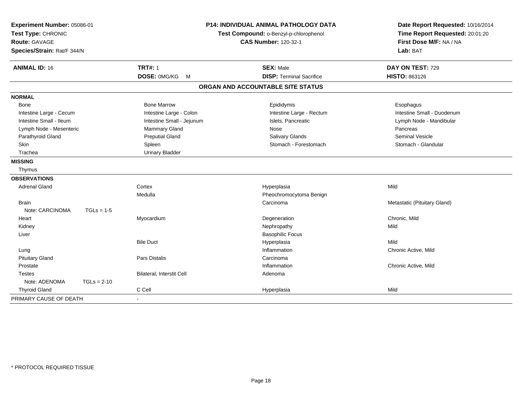| Experiment Number: 05086-01<br>Test Type: CHRONIC<br><b>Route: GAVAGE</b><br>Species/Strain: Rat/F 344/N |               | <b>P14: INDIVIDUAL ANIMAL PATHOLOGY DATA</b><br>Test Compound: o-Benzyl-p-chlorophenol<br><b>CAS Number: 120-32-1</b> |                                   | Date Report Requested: 10/16/2014<br>Time Report Requested: 20:01:20<br>First Dose M/F: NA / NA<br>Lab: BAT |  |
|----------------------------------------------------------------------------------------------------------|---------------|-----------------------------------------------------------------------------------------------------------------------|-----------------------------------|-------------------------------------------------------------------------------------------------------------|--|
| <b>ANIMAL ID: 16</b>                                                                                     |               | <b>TRT#: 1</b>                                                                                                        | <b>SEX: Male</b>                  | DAY ON TEST: 729                                                                                            |  |
|                                                                                                          |               | DOSE: 0MG/KG M                                                                                                        | <b>DISP: Terminal Sacrifice</b>   | <b>HISTO: 863126</b>                                                                                        |  |
|                                                                                                          |               |                                                                                                                       | ORGAN AND ACCOUNTABLE SITE STATUS |                                                                                                             |  |
| <b>NORMAL</b>                                                                                            |               |                                                                                                                       |                                   |                                                                                                             |  |
| Bone                                                                                                     |               | <b>Bone Marrow</b>                                                                                                    | Epididymis                        | Esophagus                                                                                                   |  |
| Intestine Large - Cecum                                                                                  |               | Intestine Large - Colon                                                                                               | Intestine Large - Rectum          | Intestine Small - Duodenum                                                                                  |  |
| Intestine Small - Ileum                                                                                  |               | Intestine Small - Jejunum                                                                                             | Islets, Pancreatic                | Lymph Node - Mandibular                                                                                     |  |
| Lymph Node - Mesenteric                                                                                  |               | Mammary Gland                                                                                                         | Nose                              | Pancreas                                                                                                    |  |
| Parathyroid Gland                                                                                        |               | <b>Preputial Gland</b>                                                                                                | Salivary Glands                   | <b>Seminal Vesicle</b>                                                                                      |  |
| <b>Skin</b>                                                                                              |               | Spleen                                                                                                                | Stomach - Forestomach             | Stomach - Glandular                                                                                         |  |
| Trachea                                                                                                  |               | <b>Urinary Bladder</b>                                                                                                |                                   |                                                                                                             |  |
| <b>MISSING</b>                                                                                           |               |                                                                                                                       |                                   |                                                                                                             |  |
| Thymus                                                                                                   |               |                                                                                                                       |                                   |                                                                                                             |  |
| <b>OBSERVATIONS</b>                                                                                      |               |                                                                                                                       |                                   |                                                                                                             |  |
| <b>Adrenal Gland</b>                                                                                     |               | Cortex                                                                                                                | Hyperplasia                       | Mild                                                                                                        |  |
|                                                                                                          |               | Medulla                                                                                                               | Pheochromocytoma Benign           |                                                                                                             |  |
| <b>Brain</b>                                                                                             |               |                                                                                                                       | Carcinoma                         | Metastatic (Pituitary Gland)                                                                                |  |
| Note: CARCINOMA                                                                                          | $TGLs = 1-5$  |                                                                                                                       |                                   |                                                                                                             |  |
| Heart                                                                                                    |               | Myocardium                                                                                                            | Degeneration                      | Chronic, Mild                                                                                               |  |
| Kidney                                                                                                   |               |                                                                                                                       | Nephropathy                       | Mild                                                                                                        |  |
| Liver                                                                                                    |               |                                                                                                                       | <b>Basophilic Focus</b>           |                                                                                                             |  |
|                                                                                                          |               | <b>Bile Duct</b>                                                                                                      | Hyperplasia                       | Mild                                                                                                        |  |
| Lung                                                                                                     |               |                                                                                                                       | Inflammation                      | Chronic Active, Mild                                                                                        |  |
| <b>Pituitary Gland</b>                                                                                   |               | <b>Pars Distalis</b>                                                                                                  | Carcinoma                         |                                                                                                             |  |
| Prostate                                                                                                 |               |                                                                                                                       | Inflammation                      | Chronic Active, Mild                                                                                        |  |
| <b>Testes</b>                                                                                            |               | Bilateral, Interstit Cell                                                                                             | Adenoma                           |                                                                                                             |  |
| Note: ADENOMA                                                                                            | $TGLs = 2-10$ |                                                                                                                       |                                   |                                                                                                             |  |
| <b>Thyroid Gland</b>                                                                                     |               | C Cell                                                                                                                | Hyperplasia                       | Mild                                                                                                        |  |
| PRIMARY CAUSE OF DEATH                                                                                   |               |                                                                                                                       |                                   |                                                                                                             |  |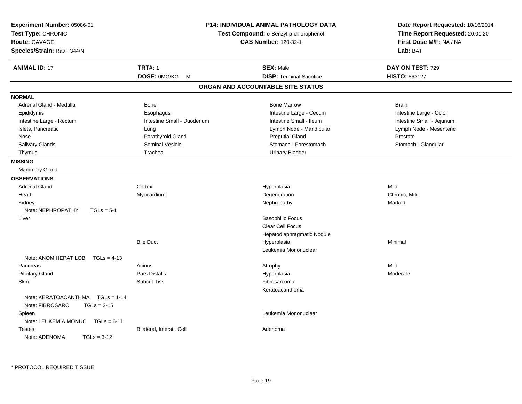| Experiment Number: 05086-01<br>Test Type: CHRONIC<br><b>Route: GAVAGE</b><br>Species/Strain: Rat/F 344/N |                            | P14: INDIVIDUAL ANIMAL PATHOLOGY DATA<br>Test Compound: o-Benzyl-p-chlorophenol<br><b>CAS Number: 120-32-1</b> | Date Report Requested: 10/16/2014<br>Time Report Requested: 20:01:20<br>First Dose M/F: NA / NA<br>Lab: BAT |
|----------------------------------------------------------------------------------------------------------|----------------------------|----------------------------------------------------------------------------------------------------------------|-------------------------------------------------------------------------------------------------------------|
| <b>ANIMAL ID: 17</b>                                                                                     | <b>TRT#: 1</b>             | <b>SEX: Male</b>                                                                                               | DAY ON TEST: 729                                                                                            |
|                                                                                                          | DOSE: 0MG/KG<br>M          | <b>DISP: Terminal Sacrifice</b>                                                                                | HISTO: 863127                                                                                               |
|                                                                                                          |                            | ORGAN AND ACCOUNTABLE SITE STATUS                                                                              |                                                                                                             |
| <b>NORMAL</b>                                                                                            |                            |                                                                                                                |                                                                                                             |
| Adrenal Gland - Medulla                                                                                  | Bone                       | <b>Bone Marrow</b>                                                                                             | <b>Brain</b>                                                                                                |
| Epididymis                                                                                               | Esophagus                  | Intestine Large - Cecum                                                                                        | Intestine Large - Colon                                                                                     |
| Intestine Large - Rectum                                                                                 | Intestine Small - Duodenum | Intestine Small - Ileum                                                                                        | Intestine Small - Jejunum                                                                                   |
| Islets, Pancreatic                                                                                       | Lung                       | Lymph Node - Mandibular                                                                                        | Lymph Node - Mesenteric                                                                                     |
| Nose                                                                                                     | Parathyroid Gland          | <b>Preputial Gland</b>                                                                                         | Prostate                                                                                                    |
| Salivary Glands                                                                                          | <b>Seminal Vesicle</b>     | Stomach - Forestomach                                                                                          | Stomach - Glandular                                                                                         |
| Thymus                                                                                                   | Trachea                    | <b>Urinary Bladder</b>                                                                                         |                                                                                                             |
| <b>MISSING</b>                                                                                           |                            |                                                                                                                |                                                                                                             |
| <b>Mammary Gland</b>                                                                                     |                            |                                                                                                                |                                                                                                             |
| <b>OBSERVATIONS</b>                                                                                      |                            |                                                                                                                |                                                                                                             |
| <b>Adrenal Gland</b>                                                                                     | Cortex                     | Hyperplasia                                                                                                    | Mild                                                                                                        |
| Heart                                                                                                    | Myocardium                 | Degeneration                                                                                                   | Chronic, Mild                                                                                               |
| Kidney                                                                                                   |                            | Nephropathy                                                                                                    | Marked                                                                                                      |
| Note: NEPHROPATHY<br>$TGLs = 5-1$                                                                        |                            |                                                                                                                |                                                                                                             |
| Liver                                                                                                    |                            | <b>Basophilic Focus</b>                                                                                        |                                                                                                             |
|                                                                                                          |                            | Clear Cell Focus                                                                                               |                                                                                                             |
|                                                                                                          |                            | Hepatodiaphragmatic Nodule                                                                                     |                                                                                                             |
|                                                                                                          | <b>Bile Duct</b>           | Hyperplasia                                                                                                    | Minimal                                                                                                     |
|                                                                                                          |                            | Leukemia Mononuclear                                                                                           |                                                                                                             |
| Note: ANOM HEPAT LOB TGLs = 4-13                                                                         |                            |                                                                                                                |                                                                                                             |
| Pancreas                                                                                                 | Acinus                     | Atrophy                                                                                                        | Mild                                                                                                        |
| <b>Pituitary Gland</b>                                                                                   | Pars Distalis              | Hyperplasia                                                                                                    | Moderate                                                                                                    |
| Skin                                                                                                     | <b>Subcut Tiss</b>         | Fibrosarcoma                                                                                                   |                                                                                                             |
|                                                                                                          |                            | Keratoacanthoma                                                                                                |                                                                                                             |
| Note: KERATOACANTHMA   TGLs = 1-14                                                                       |                            |                                                                                                                |                                                                                                             |
| Note: FIBROSARC<br>$TGLs = 2-15$                                                                         |                            |                                                                                                                |                                                                                                             |
| Spleen                                                                                                   |                            | Leukemia Mononuclear                                                                                           |                                                                                                             |
| Note: LEUKEMIA MONUC TGLs = 6-11                                                                         |                            |                                                                                                                |                                                                                                             |
| <b>Testes</b>                                                                                            | Bilateral, Interstit Cell  | Adenoma                                                                                                        |                                                                                                             |
| Note: ADENOMA<br>$TGLs = 3-12$                                                                           |                            |                                                                                                                |                                                                                                             |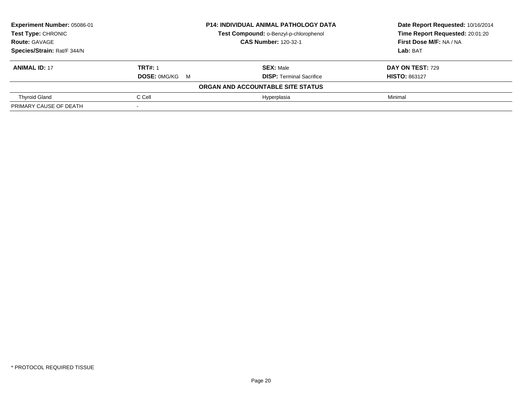| Experiment Number: 05086-01 |                       | <b>P14: INDIVIDUAL ANIMAL PATHOLOGY DATA</b> | Date Report Requested: 10/16/2014 |  |
|-----------------------------|-----------------------|----------------------------------------------|-----------------------------------|--|
| <b>Test Type: CHRONIC</b>   |                       | Test Compound: o-Benzyl-p-chlorophenol       | Time Report Requested: 20:01:20   |  |
| <b>Route: GAVAGE</b>        |                       | <b>CAS Number: 120-32-1</b>                  | First Dose M/F: NA / NA           |  |
| Species/Strain: Rat/F 344/N |                       |                                              | Lab: BAT                          |  |
| <b>ANIMAL ID: 17</b>        | <b>TRT#: 1</b>        | <b>SEX: Male</b>                             | DAY ON TEST: 729                  |  |
|                             | <b>DOSE: 0MG/KG M</b> | <b>DISP:</b> Terminal Sacrifice              | <b>HISTO: 863127</b>              |  |
|                             |                       | ORGAN AND ACCOUNTABLE SITE STATUS            |                                   |  |
| <b>Thyroid Gland</b>        | C Cell                | Hyperplasia                                  | Minimal                           |  |
| PRIMARY CAUSE OF DEATH      |                       |                                              |                                   |  |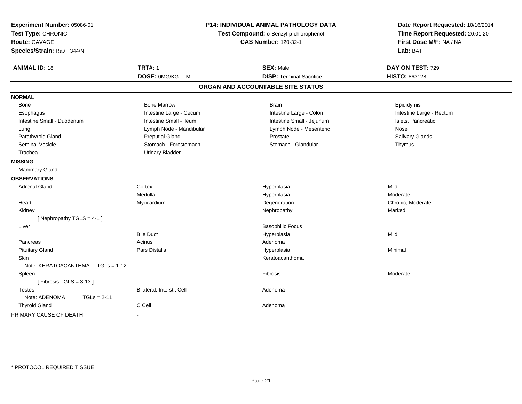| Experiment Number: 05086-01<br>Test Type: CHRONIC<br><b>Route: GAVAGE</b><br>Species/Strain: Rat/F 344/N |                           | P14: INDIVIDUAL ANIMAL PATHOLOGY DATA<br>Test Compound: o-Benzyl-p-chlorophenol<br><b>CAS Number: 120-32-1</b> | Date Report Requested: 10/16/2014<br>Time Report Requested: 20:01:20<br>First Dose M/F: NA / NA<br>Lab: BAT |
|----------------------------------------------------------------------------------------------------------|---------------------------|----------------------------------------------------------------------------------------------------------------|-------------------------------------------------------------------------------------------------------------|
| <b>ANIMAL ID: 18</b>                                                                                     | <b>TRT#: 1</b>            | <b>SEX: Male</b>                                                                                               | DAY ON TEST: 729                                                                                            |
|                                                                                                          | DOSE: 0MG/KG M            | <b>DISP: Terminal Sacrifice</b>                                                                                | HISTO: 863128                                                                                               |
|                                                                                                          |                           | ORGAN AND ACCOUNTABLE SITE STATUS                                                                              |                                                                                                             |
| <b>NORMAL</b>                                                                                            |                           |                                                                                                                |                                                                                                             |
| Bone                                                                                                     | <b>Bone Marrow</b>        | <b>Brain</b>                                                                                                   | Epididymis                                                                                                  |
| Esophagus                                                                                                | Intestine Large - Cecum   | Intestine Large - Colon                                                                                        | Intestine Large - Rectum                                                                                    |
| Intestine Small - Duodenum                                                                               | Intestine Small - Ileum   | Intestine Small - Jejunum                                                                                      | Islets, Pancreatic                                                                                          |
| Lung                                                                                                     | Lymph Node - Mandibular   | Lymph Node - Mesenteric                                                                                        | Nose                                                                                                        |
| Parathyroid Gland                                                                                        | <b>Preputial Gland</b>    | Prostate                                                                                                       | Salivary Glands                                                                                             |
| Seminal Vesicle                                                                                          | Stomach - Forestomach     | Stomach - Glandular                                                                                            | Thymus                                                                                                      |
| Trachea                                                                                                  | <b>Urinary Bladder</b>    |                                                                                                                |                                                                                                             |
| <b>MISSING</b>                                                                                           |                           |                                                                                                                |                                                                                                             |
| Mammary Gland                                                                                            |                           |                                                                                                                |                                                                                                             |
| <b>OBSERVATIONS</b>                                                                                      |                           |                                                                                                                |                                                                                                             |
| <b>Adrenal Gland</b>                                                                                     | Cortex                    | Hyperplasia                                                                                                    | Mild                                                                                                        |
|                                                                                                          | Medulla                   | Hyperplasia                                                                                                    | Moderate                                                                                                    |
| Heart                                                                                                    | Myocardium                | Degeneration                                                                                                   | Chronic, Moderate                                                                                           |
| Kidney                                                                                                   |                           | Nephropathy                                                                                                    | Marked                                                                                                      |
| [Nephropathy TGLS = $4-1$ ]                                                                              |                           |                                                                                                                |                                                                                                             |
| Liver                                                                                                    |                           | <b>Basophilic Focus</b>                                                                                        |                                                                                                             |
|                                                                                                          | <b>Bile Duct</b>          | Hyperplasia                                                                                                    | Mild                                                                                                        |
| Pancreas                                                                                                 | Acinus                    | Adenoma                                                                                                        |                                                                                                             |
| <b>Pituitary Gland</b>                                                                                   | Pars Distalis             | Hyperplasia                                                                                                    | Minimal                                                                                                     |
| <b>Skin</b>                                                                                              |                           | Keratoacanthoma                                                                                                |                                                                                                             |
| Note: KERATOACANTHMA   TGLs = 1-12                                                                       |                           |                                                                                                                |                                                                                                             |
| Spleen                                                                                                   |                           | Fibrosis                                                                                                       | Moderate                                                                                                    |
| [Fibrosis TGLS = $3-13$ ]                                                                                |                           |                                                                                                                |                                                                                                             |
| <b>Testes</b>                                                                                            | Bilateral, Interstit Cell | Adenoma                                                                                                        |                                                                                                             |
| Note: ADENOMA<br>$TGLs = 2-11$                                                                           |                           |                                                                                                                |                                                                                                             |
| <b>Thyroid Gland</b>                                                                                     | C Cell                    | Adenoma                                                                                                        |                                                                                                             |
| PRIMARY CAUSE OF DEATH                                                                                   |                           |                                                                                                                |                                                                                                             |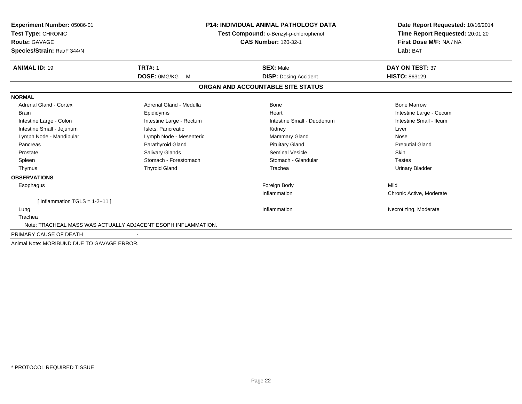| Experiment Number: 05086-01<br>Test Type: CHRONIC             |                          | <b>P14: INDIVIDUAL ANIMAL PATHOLOGY DATA</b><br>Test Compound: o-Benzyl-p-chlorophenol | Date Report Requested: 10/16/2014<br>Time Report Requested: 20:01:20 |  |
|---------------------------------------------------------------|--------------------------|----------------------------------------------------------------------------------------|----------------------------------------------------------------------|--|
| <b>Route: GAVAGE</b><br>Species/Strain: Rat/F 344/N           |                          | <b>CAS Number: 120-32-1</b>                                                            | First Dose M/F: NA / NA<br>Lab: BAT                                  |  |
| <b>ANIMAL ID: 19</b>                                          | <b>TRT#: 1</b>           | <b>SEX: Male</b>                                                                       | <b>DAY ON TEST: 37</b>                                               |  |
|                                                               | <b>DOSE: OMG/KG</b><br>M | <b>DISP: Dosing Accident</b>                                                           | <b>HISTO: 863129</b>                                                 |  |
|                                                               |                          | ORGAN AND ACCOUNTABLE SITE STATUS                                                      |                                                                      |  |
| <b>NORMAL</b>                                                 |                          |                                                                                        |                                                                      |  |
| <b>Adrenal Gland - Cortex</b>                                 | Adrenal Gland - Medulla  | <b>Bone</b>                                                                            | <b>Bone Marrow</b>                                                   |  |
| <b>Brain</b>                                                  | Epididymis               | Heart                                                                                  | Intestine Large - Cecum                                              |  |
| Intestine Large - Colon                                       | Intestine Large - Rectum | Intestine Small - Duodenum                                                             | Intestine Small - Ileum                                              |  |
| Intestine Small - Jejunum                                     | Islets, Pancreatic       | Kidney                                                                                 | Liver                                                                |  |
| Lymph Node - Mandibular                                       | Lymph Node - Mesenteric  | Mammary Gland                                                                          | Nose                                                                 |  |
| Pancreas                                                      | Parathyroid Gland        | <b>Pituitary Gland</b>                                                                 | <b>Preputial Gland</b>                                               |  |
| Prostate                                                      | Salivary Glands          | <b>Seminal Vesicle</b>                                                                 | <b>Skin</b>                                                          |  |
| Spleen                                                        | Stomach - Forestomach    | Stomach - Glandular                                                                    | <b>Testes</b>                                                        |  |
| Thymus                                                        | <b>Thyroid Gland</b>     | Trachea                                                                                | <b>Urinary Bladder</b>                                               |  |
| <b>OBSERVATIONS</b>                                           |                          |                                                                                        |                                                                      |  |
| Esophagus                                                     |                          | Foreign Body                                                                           | Mild                                                                 |  |
|                                                               |                          | Inflammation                                                                           | Chronic Active, Moderate                                             |  |
| [Inflammation TGLS = $1-2+11$ ]                               |                          |                                                                                        |                                                                      |  |
| Lung                                                          |                          | Inflammation                                                                           | Necrotizing, Moderate                                                |  |
| Trachea                                                       |                          |                                                                                        |                                                                      |  |
| Note: TRACHEAL MASS WAS ACTUALLY ADJACENT ESOPH INFLAMMATION. |                          |                                                                                        |                                                                      |  |
| PRIMARY CAUSE OF DEATH                                        |                          |                                                                                        |                                                                      |  |
| Animal Note: MORIBUND DUE TO GAVAGE ERROR.                    |                          |                                                                                        |                                                                      |  |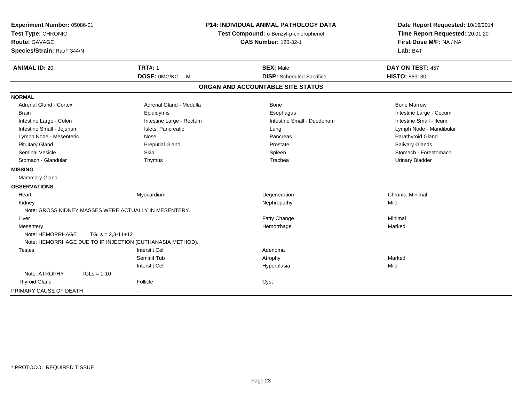| Experiment Number: 05086-01                           | <b>P14: INDIVIDUAL ANIMAL PATHOLOGY DATA</b>                                    |                                        | Date Report Requested: 10/16/2014                          |
|-------------------------------------------------------|---------------------------------------------------------------------------------|----------------------------------------|------------------------------------------------------------|
| Test Type: CHRONIC                                    |                                                                                 | Test Compound: o-Benzyl-p-chlorophenol |                                                            |
| <b>Route: GAVAGE</b>                                  |                                                                                 | <b>CAS Number: 120-32-1</b>            | Time Report Requested: 20:01:20<br>First Dose M/F: NA / NA |
| Species/Strain: Rat/F 344/N                           |                                                                                 |                                        | Lab: BAT                                                   |
| <b>ANIMAL ID: 20</b>                                  | <b>TRT#: 1</b>                                                                  | <b>SEX: Male</b>                       | DAY ON TEST: 457                                           |
|                                                       | <b>DOSE: OMG/KG</b><br>$M_{\odot}$                                              | <b>DISP:</b> Scheduled Sacrifice       | <b>HISTO: 863130</b>                                       |
|                                                       |                                                                                 | ORGAN AND ACCOUNTABLE SITE STATUS      |                                                            |
| <b>NORMAL</b>                                         |                                                                                 |                                        |                                                            |
| <b>Adrenal Gland - Cortex</b>                         | Adrenal Gland - Medulla                                                         | Bone                                   | <b>Bone Marrow</b>                                         |
| Brain                                                 | Epididymis                                                                      | Esophagus                              | Intestine Large - Cecum                                    |
| Intestine Large - Colon                               | Intestine Large - Rectum                                                        | Intestine Small - Duodenum             | Intestine Small - Ileum                                    |
| Intestine Small - Jejunum                             | Islets, Pancreatic                                                              | Lung                                   | Lymph Node - Mandibular                                    |
| Lymph Node - Mesenteric                               | Nose                                                                            | Pancreas                               | Parathyroid Gland                                          |
| <b>Pituitary Gland</b>                                | <b>Preputial Gland</b>                                                          | Prostate                               | Salivary Glands                                            |
| <b>Seminal Vesicle</b>                                | <b>Skin</b>                                                                     | Spleen                                 | Stomach - Forestomach                                      |
| Stomach - Glandular                                   | Thymus                                                                          | Trachea                                | <b>Urinary Bladder</b>                                     |
| <b>MISSING</b>                                        |                                                                                 |                                        |                                                            |
| Mammary Gland                                         |                                                                                 |                                        |                                                            |
| <b>OBSERVATIONS</b>                                   |                                                                                 |                                        |                                                            |
| Heart                                                 | Myocardium                                                                      | Degeneration                           | Chronic, Minimal                                           |
| Kidney                                                |                                                                                 | Nephropathy                            | Mild                                                       |
| Note: GROSS KIDNEY MASSES WERE ACTUALLY IN MESENTERY. |                                                                                 |                                        |                                                            |
| Liver                                                 |                                                                                 | Fatty Change                           | Minimal                                                    |
| Mesentery                                             |                                                                                 | Hemorrhage                             | Marked                                                     |
| Note: HEMORRHAGE                                      | $TGLs = 2,3-11+12$<br>Note: HEMORRHAGE DUE TO IP INJECTION (EUTHANASIA METHOD). |                                        |                                                            |
| <b>Testes</b>                                         | <b>Interstit Cell</b>                                                           | Adenoma                                |                                                            |
|                                                       | Seminif Tub                                                                     | Atrophy                                | Marked                                                     |
|                                                       | <b>Interstit Cell</b>                                                           | Hyperplasia                            | Mild                                                       |
| Note: ATROPHY<br>$TGLs = 1-10$                        |                                                                                 |                                        |                                                            |
| <b>Thyroid Gland</b>                                  | Follicle                                                                        | Cyst                                   |                                                            |
| PRIMARY CAUSE OF DEATH                                |                                                                                 |                                        |                                                            |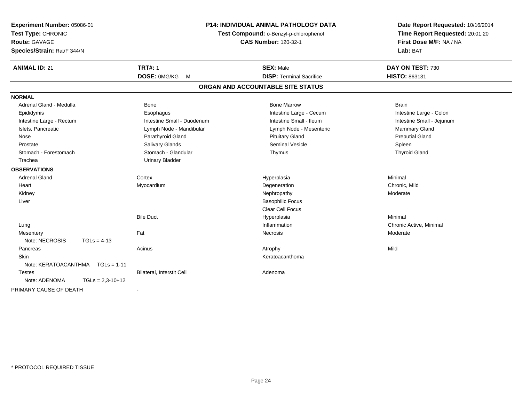| Experiment Number: 05086-01<br>Test Type: CHRONIC<br><b>Route: GAVAGE</b><br>Species/Strain: Rat/F 344/N |                    |                                  | P14: INDIVIDUAL ANIMAL PATHOLOGY DATA<br>Test Compound: o-Benzyl-p-chlorophenol<br><b>CAS Number: 120-32-1</b> | Date Report Requested: 10/16/2014<br>Time Report Requested: 20:01:20<br>First Dose M/F: NA / NA<br>Lab: BAT |  |
|----------------------------------------------------------------------------------------------------------|--------------------|----------------------------------|----------------------------------------------------------------------------------------------------------------|-------------------------------------------------------------------------------------------------------------|--|
| <b>ANIMAL ID: 21</b>                                                                                     |                    | <b>TRT#: 1</b>                   | <b>SEX: Male</b>                                                                                               | DAY ON TEST: 730                                                                                            |  |
|                                                                                                          |                    | DOSE: 0MG/KG<br>M                | <b>DISP: Terminal Sacrifice</b>                                                                                | HISTO: 863131                                                                                               |  |
|                                                                                                          |                    |                                  | ORGAN AND ACCOUNTABLE SITE STATUS                                                                              |                                                                                                             |  |
| <b>NORMAL</b>                                                                                            |                    |                                  |                                                                                                                |                                                                                                             |  |
| Adrenal Gland - Medulla                                                                                  |                    | <b>Bone</b>                      | <b>Bone Marrow</b>                                                                                             | <b>Brain</b>                                                                                                |  |
| Epididymis                                                                                               |                    | Esophagus                        | Intestine Large - Cecum                                                                                        | Intestine Large - Colon                                                                                     |  |
| Intestine Large - Rectum                                                                                 |                    | Intestine Small - Duodenum       | Intestine Small - Ileum                                                                                        | Intestine Small - Jejunum                                                                                   |  |
| Islets, Pancreatic                                                                                       |                    | Lymph Node - Mandibular          | Lymph Node - Mesenteric                                                                                        | <b>Mammary Gland</b>                                                                                        |  |
| Nose                                                                                                     |                    | Parathyroid Gland                | <b>Pituitary Gland</b>                                                                                         | <b>Preputial Gland</b>                                                                                      |  |
| Prostate                                                                                                 |                    | Salivary Glands                  | Seminal Vesicle                                                                                                | Spleen                                                                                                      |  |
| Stomach - Forestomach                                                                                    |                    | Stomach - Glandular              | Thymus                                                                                                         | <b>Thyroid Gland</b>                                                                                        |  |
| Trachea                                                                                                  |                    | <b>Urinary Bladder</b>           |                                                                                                                |                                                                                                             |  |
| <b>OBSERVATIONS</b>                                                                                      |                    |                                  |                                                                                                                |                                                                                                             |  |
| <b>Adrenal Gland</b>                                                                                     |                    | Cortex                           | Hyperplasia                                                                                                    | Minimal                                                                                                     |  |
| Heart                                                                                                    |                    | Myocardium                       | Degeneration                                                                                                   | Chronic, Mild                                                                                               |  |
| Kidney                                                                                                   |                    |                                  | Nephropathy                                                                                                    | Moderate                                                                                                    |  |
| Liver                                                                                                    |                    |                                  | <b>Basophilic Focus</b>                                                                                        |                                                                                                             |  |
|                                                                                                          |                    |                                  | <b>Clear Cell Focus</b>                                                                                        |                                                                                                             |  |
|                                                                                                          |                    | <b>Bile Duct</b>                 | Hyperplasia                                                                                                    | Minimal                                                                                                     |  |
| Lung                                                                                                     |                    |                                  | Inflammation                                                                                                   | Chronic Active, Minimal                                                                                     |  |
| Mesentery                                                                                                |                    | Fat                              | Necrosis                                                                                                       | Moderate                                                                                                    |  |
| Note: NECROSIS                                                                                           | $TGLs = 4-13$      |                                  |                                                                                                                |                                                                                                             |  |
| Pancreas                                                                                                 |                    | Acinus                           | Atrophy                                                                                                        | Mild                                                                                                        |  |
| Skin                                                                                                     |                    |                                  | Keratoacanthoma                                                                                                |                                                                                                             |  |
| Note: KERATOACANTHMA                                                                                     | $TGLs = 1-11$      |                                  |                                                                                                                |                                                                                                             |  |
| Testes                                                                                                   |                    | <b>Bilateral, Interstit Cell</b> | Adenoma                                                                                                        |                                                                                                             |  |
| Note: ADENOMA                                                                                            | $TGLs = 2,3-10+12$ |                                  |                                                                                                                |                                                                                                             |  |
| PRIMARY CAUSE OF DEATH                                                                                   |                    |                                  |                                                                                                                |                                                                                                             |  |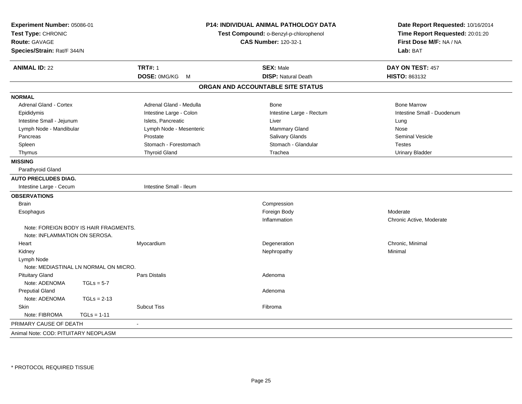| Experiment Number: 05086-01<br>Test Type: CHRONIC<br><b>Route: GAVAGE</b><br>Species/Strain: Rat/F 344/N |               |                         | <b>P14: INDIVIDUAL ANIMAL PATHOLOGY DATA</b><br>Test Compound: o-Benzyl-p-chlorophenol<br><b>CAS Number: 120-32-1</b> | Date Report Requested: 10/16/2014<br>Time Report Requested: 20:01:20<br>First Dose M/F: NA / NA<br>Lab: BAT |
|----------------------------------------------------------------------------------------------------------|---------------|-------------------------|-----------------------------------------------------------------------------------------------------------------------|-------------------------------------------------------------------------------------------------------------|
| <b>ANIMAL ID: 22</b>                                                                                     |               | <b>TRT#: 1</b>          | <b>SEX: Male</b>                                                                                                      | DAY ON TEST: 457                                                                                            |
|                                                                                                          |               | DOSE: 0MG/KG M          | <b>DISP: Natural Death</b>                                                                                            | <b>HISTO: 863132</b>                                                                                        |
|                                                                                                          |               |                         | ORGAN AND ACCOUNTABLE SITE STATUS                                                                                     |                                                                                                             |
| <b>NORMAL</b>                                                                                            |               |                         |                                                                                                                       |                                                                                                             |
| <b>Adrenal Gland - Cortex</b>                                                                            |               | Adrenal Gland - Medulla | <b>Bone</b>                                                                                                           | <b>Bone Marrow</b>                                                                                          |
| Epididymis                                                                                               |               | Intestine Large - Colon | Intestine Large - Rectum                                                                                              | Intestine Small - Duodenum                                                                                  |
| Intestine Small - Jejunum                                                                                |               | Islets, Pancreatic      | Liver                                                                                                                 | Lung                                                                                                        |
| Lymph Node - Mandibular                                                                                  |               | Lymph Node - Mesenteric | Mammary Gland                                                                                                         | Nose                                                                                                        |
| Pancreas                                                                                                 |               | Prostate                | Salivary Glands                                                                                                       | <b>Seminal Vesicle</b>                                                                                      |
| Spleen                                                                                                   |               | Stomach - Forestomach   | Stomach - Glandular                                                                                                   | <b>Testes</b>                                                                                               |
| Thymus                                                                                                   |               | <b>Thyroid Gland</b>    | Trachea                                                                                                               | <b>Urinary Bladder</b>                                                                                      |
| <b>MISSING</b>                                                                                           |               |                         |                                                                                                                       |                                                                                                             |
| Parathyroid Gland                                                                                        |               |                         |                                                                                                                       |                                                                                                             |
| <b>AUTO PRECLUDES DIAG.</b>                                                                              |               |                         |                                                                                                                       |                                                                                                             |
| Intestine Large - Cecum                                                                                  |               | Intestine Small - Ileum |                                                                                                                       |                                                                                                             |
| <b>OBSERVATIONS</b>                                                                                      |               |                         |                                                                                                                       |                                                                                                             |
| <b>Brain</b>                                                                                             |               |                         | Compression                                                                                                           |                                                                                                             |
| Esophagus                                                                                                |               |                         | Foreign Body                                                                                                          | Moderate                                                                                                    |
|                                                                                                          |               |                         | Inflammation                                                                                                          | Chronic Active, Moderate                                                                                    |
| Note: FOREIGN BODY IS HAIR FRAGMENTS.<br>Note: INFLAMMATION ON SEROSA.                                   |               |                         |                                                                                                                       |                                                                                                             |
| Heart                                                                                                    |               | Myocardium              | Degeneration                                                                                                          | Chronic, Minimal                                                                                            |
| Kidney                                                                                                   |               |                         | Nephropathy                                                                                                           | Minimal                                                                                                     |
| Lymph Node                                                                                               |               |                         |                                                                                                                       |                                                                                                             |
| Note: MEDIASTINAL LN NORMAL ON MICRO.                                                                    |               |                         |                                                                                                                       |                                                                                                             |
| <b>Pituitary Gland</b>                                                                                   |               | Pars Distalis           | Adenoma                                                                                                               |                                                                                                             |
| Note: ADENOMA                                                                                            | $TGLs = 5-7$  |                         |                                                                                                                       |                                                                                                             |
| <b>Preputial Gland</b>                                                                                   |               |                         | Adenoma                                                                                                               |                                                                                                             |
| Note: ADENOMA                                                                                            | $TGLs = 2-13$ |                         |                                                                                                                       |                                                                                                             |
| <b>Skin</b>                                                                                              |               | <b>Subcut Tiss</b>      | Fibroma                                                                                                               |                                                                                                             |
| Note: FIBROMA                                                                                            | $TGLs = 1-11$ |                         |                                                                                                                       |                                                                                                             |
| PRIMARY CAUSE OF DEATH                                                                                   |               | $\blacksquare$          |                                                                                                                       |                                                                                                             |
| Animal Note: COD: PITUITARY NEOPLASM                                                                     |               |                         |                                                                                                                       |                                                                                                             |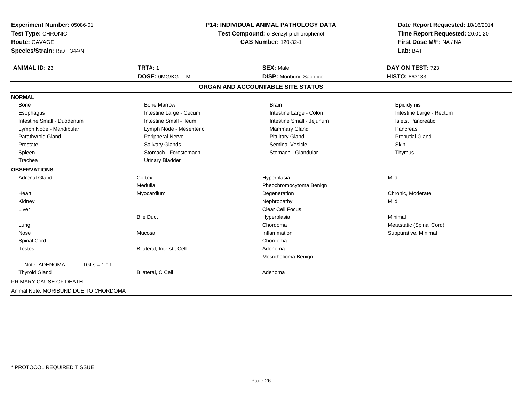| Experiment Number: 05086-01<br>Test Type: CHRONIC<br><b>Route: GAVAGE</b><br>Species/Strain: Rat/F 344/N |               |                           | P14: INDIVIDUAL ANIMAL PATHOLOGY DATA<br>Test Compound: o-Benzyl-p-chlorophenol<br><b>CAS Number: 120-32-1</b> | Date Report Requested: 10/16/2014<br>Time Report Requested: 20:01:20<br>First Dose M/F: NA / NA<br>Lab: BAT |  |
|----------------------------------------------------------------------------------------------------------|---------------|---------------------------|----------------------------------------------------------------------------------------------------------------|-------------------------------------------------------------------------------------------------------------|--|
| <b>ANIMAL ID: 23</b>                                                                                     |               | <b>TRT#: 1</b>            | <b>SEX: Male</b>                                                                                               | DAY ON TEST: 723                                                                                            |  |
|                                                                                                          |               | DOSE: 0MG/KG<br>M         | <b>DISP:</b> Moribund Sacrifice                                                                                | HISTO: 863133                                                                                               |  |
|                                                                                                          |               |                           | ORGAN AND ACCOUNTABLE SITE STATUS                                                                              |                                                                                                             |  |
| <b>NORMAL</b>                                                                                            |               |                           |                                                                                                                |                                                                                                             |  |
| <b>Bone</b>                                                                                              |               | <b>Bone Marrow</b>        | <b>Brain</b>                                                                                                   | Epididymis                                                                                                  |  |
| Esophagus                                                                                                |               | Intestine Large - Cecum   | Intestine Large - Colon                                                                                        | Intestine Large - Rectum                                                                                    |  |
| Intestine Small - Duodenum                                                                               |               | Intestine Small - Ileum   | Intestine Small - Jejunum                                                                                      | Islets, Pancreatic                                                                                          |  |
| Lymph Node - Mandibular                                                                                  |               | Lymph Node - Mesenteric   | Mammary Gland                                                                                                  | Pancreas                                                                                                    |  |
| Parathyroid Gland                                                                                        |               | Peripheral Nerve          | <b>Pituitary Gland</b>                                                                                         | <b>Preputial Gland</b>                                                                                      |  |
| Prostate                                                                                                 |               | Salivary Glands           | Seminal Vesicle                                                                                                | Skin                                                                                                        |  |
| Spleen                                                                                                   |               | Stomach - Forestomach     | Stomach - Glandular                                                                                            | Thymus                                                                                                      |  |
| Trachea                                                                                                  |               | <b>Urinary Bladder</b>    |                                                                                                                |                                                                                                             |  |
| <b>OBSERVATIONS</b>                                                                                      |               |                           |                                                                                                                |                                                                                                             |  |
| <b>Adrenal Gland</b>                                                                                     |               | Cortex                    | Hyperplasia                                                                                                    | Mild                                                                                                        |  |
|                                                                                                          |               | Medulla                   | Pheochromocytoma Benign                                                                                        |                                                                                                             |  |
| Heart                                                                                                    |               | Myocardium                | Degeneration                                                                                                   | Chronic, Moderate                                                                                           |  |
| Kidney                                                                                                   |               |                           | Nephropathy                                                                                                    | Mild                                                                                                        |  |
| Liver                                                                                                    |               |                           | <b>Clear Cell Focus</b>                                                                                        |                                                                                                             |  |
|                                                                                                          |               | <b>Bile Duct</b>          | Hyperplasia                                                                                                    | Minimal                                                                                                     |  |
| Lung                                                                                                     |               |                           | Chordoma                                                                                                       | Metastatic (Spinal Cord)                                                                                    |  |
| Nose                                                                                                     |               | Mucosa                    | Inflammation                                                                                                   | Suppurative, Minimal                                                                                        |  |
| Spinal Cord                                                                                              |               |                           | Chordoma                                                                                                       |                                                                                                             |  |
| <b>Testes</b>                                                                                            |               | Bilateral, Interstit Cell | Adenoma                                                                                                        |                                                                                                             |  |
|                                                                                                          |               |                           | Mesothelioma Benign                                                                                            |                                                                                                             |  |
| Note: ADENOMA                                                                                            | $TGLs = 1-11$ |                           |                                                                                                                |                                                                                                             |  |
| <b>Thyroid Gland</b>                                                                                     |               | Bilateral, C Cell         | Adenoma                                                                                                        |                                                                                                             |  |
| PRIMARY CAUSE OF DEATH                                                                                   |               |                           |                                                                                                                |                                                                                                             |  |
| Animal Note: MORIBUND DUE TO CHORDOMA                                                                    |               |                           |                                                                                                                |                                                                                                             |  |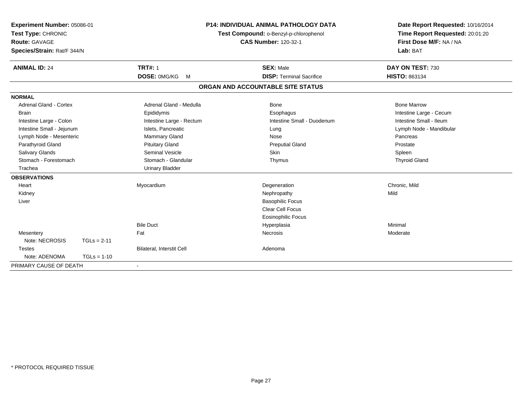| Experiment Number: 05086-01<br>Test Type: CHRONIC<br>Route: GAVAGE<br>Species/Strain: Rat/F 344/N |               | <b>P14: INDIVIDUAL ANIMAL PATHOLOGY DATA</b><br>Test Compound: o-Benzyl-p-chlorophenol<br><b>CAS Number: 120-32-1</b> |  | Date Report Requested: 10/16/2014<br>Time Report Requested: 20:01:20<br>First Dose M/F: NA / NA<br>Lab: BAT |                         |
|---------------------------------------------------------------------------------------------------|---------------|-----------------------------------------------------------------------------------------------------------------------|--|-------------------------------------------------------------------------------------------------------------|-------------------------|
| <b>ANIMAL ID: 24</b>                                                                              |               | <b>TRT#: 1</b>                                                                                                        |  | <b>SEX: Male</b>                                                                                            | DAY ON TEST: 730        |
|                                                                                                   |               | DOSE: 0MG/KG M                                                                                                        |  | <b>DISP: Terminal Sacrifice</b>                                                                             | <b>HISTO: 863134</b>    |
|                                                                                                   |               |                                                                                                                       |  | ORGAN AND ACCOUNTABLE SITE STATUS                                                                           |                         |
| <b>NORMAL</b>                                                                                     |               |                                                                                                                       |  |                                                                                                             |                         |
| <b>Adrenal Gland - Cortex</b>                                                                     |               | Adrenal Gland - Medulla                                                                                               |  | <b>Bone</b>                                                                                                 | <b>Bone Marrow</b>      |
| <b>Brain</b>                                                                                      |               | Epididymis                                                                                                            |  | Esophagus                                                                                                   | Intestine Large - Cecum |
| Intestine Large - Colon                                                                           |               | Intestine Large - Rectum                                                                                              |  | Intestine Small - Duodenum                                                                                  | Intestine Small - Ileum |
| Intestine Small - Jejunum                                                                         |               | Islets, Pancreatic                                                                                                    |  | Lung                                                                                                        | Lymph Node - Mandibular |
| Lymph Node - Mesenteric                                                                           |               | Mammary Gland                                                                                                         |  | Nose                                                                                                        | Pancreas                |
| Parathyroid Gland                                                                                 |               | <b>Pituitary Gland</b>                                                                                                |  | <b>Preputial Gland</b>                                                                                      | Prostate                |
| Salivary Glands                                                                                   |               | Seminal Vesicle                                                                                                       |  | <b>Skin</b>                                                                                                 | Spleen                  |
| Stomach - Forestomach                                                                             |               | Stomach - Glandular                                                                                                   |  | Thymus                                                                                                      | <b>Thyroid Gland</b>    |
| Trachea                                                                                           |               | <b>Urinary Bladder</b>                                                                                                |  |                                                                                                             |                         |
| <b>OBSERVATIONS</b>                                                                               |               |                                                                                                                       |  |                                                                                                             |                         |
| Heart                                                                                             |               | Myocardium                                                                                                            |  | Degeneration                                                                                                | Chronic, Mild           |
| Kidney                                                                                            |               |                                                                                                                       |  | Nephropathy                                                                                                 | Mild                    |
| Liver                                                                                             |               |                                                                                                                       |  | <b>Basophilic Focus</b>                                                                                     |                         |
|                                                                                                   |               |                                                                                                                       |  | Clear Cell Focus                                                                                            |                         |
|                                                                                                   |               |                                                                                                                       |  | <b>Eosinophilic Focus</b>                                                                                   |                         |
|                                                                                                   |               | <b>Bile Duct</b>                                                                                                      |  | Hyperplasia                                                                                                 | Minimal                 |
| Mesentery                                                                                         |               | Fat                                                                                                                   |  | <b>Necrosis</b>                                                                                             | Moderate                |
| Note: NECROSIS                                                                                    | $TGLs = 2-11$ |                                                                                                                       |  |                                                                                                             |                         |
| <b>Testes</b>                                                                                     |               | Bilateral, Interstit Cell                                                                                             |  | Adenoma                                                                                                     |                         |
| Note: ADENOMA                                                                                     | $TGLs = 1-10$ |                                                                                                                       |  |                                                                                                             |                         |
| PRIMARY CAUSE OF DEATH                                                                            |               | $\overline{\phantom{a}}$                                                                                              |  |                                                                                                             |                         |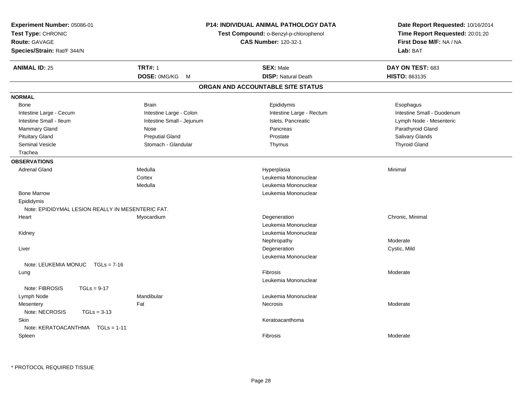| Experiment Number: 05086-01<br>Test Type: CHRONIC<br>Route: GAVAGE<br>Species/Strain: Rat/F 344/N |                           | <b>P14: INDIVIDUAL ANIMAL PATHOLOGY DATA</b><br>Test Compound: o-Benzyl-p-chlorophenol<br><b>CAS Number: 120-32-1</b> | Date Report Requested: 10/16/2014<br>Time Report Requested: 20:01:20<br>First Dose M/F: NA / NA<br>Lab: BAT |
|---------------------------------------------------------------------------------------------------|---------------------------|-----------------------------------------------------------------------------------------------------------------------|-------------------------------------------------------------------------------------------------------------|
| <b>ANIMAL ID: 25</b>                                                                              | <b>TRT#: 1</b>            | <b>SEX: Male</b>                                                                                                      | DAY ON TEST: 683                                                                                            |
|                                                                                                   | DOSE: 0MG/KG<br>M         | <b>DISP: Natural Death</b>                                                                                            | <b>HISTO: 863135</b>                                                                                        |
|                                                                                                   |                           | ORGAN AND ACCOUNTABLE SITE STATUS                                                                                     |                                                                                                             |
| <b>NORMAL</b>                                                                                     |                           |                                                                                                                       |                                                                                                             |
| Bone                                                                                              | <b>Brain</b>              | Epididymis                                                                                                            | Esophagus                                                                                                   |
| Intestine Large - Cecum                                                                           | Intestine Large - Colon   | Intestine Large - Rectum                                                                                              | Intestine Small - Duodenum                                                                                  |
| Intestine Small - Ileum                                                                           | Intestine Small - Jejunum | Islets, Pancreatic                                                                                                    | Lymph Node - Mesenteric                                                                                     |
| Mammary Gland                                                                                     | Nose                      | Pancreas                                                                                                              | Parathyroid Gland                                                                                           |
| <b>Pituitary Gland</b>                                                                            | <b>Preputial Gland</b>    | Prostate                                                                                                              | <b>Salivary Glands</b>                                                                                      |
| <b>Seminal Vesicle</b>                                                                            | Stomach - Glandular       | Thymus                                                                                                                | <b>Thyroid Gland</b>                                                                                        |
| Trachea                                                                                           |                           |                                                                                                                       |                                                                                                             |
| <b>OBSERVATIONS</b>                                                                               |                           |                                                                                                                       |                                                                                                             |
| <b>Adrenal Gland</b>                                                                              | Medulla                   | Hyperplasia                                                                                                           | Minimal                                                                                                     |
|                                                                                                   | Cortex                    | Leukemia Mononuclear                                                                                                  |                                                                                                             |
|                                                                                                   | Medulla                   | Leukemia Mononuclear                                                                                                  |                                                                                                             |
| <b>Bone Marrow</b>                                                                                |                           | Leukemia Mononuclear                                                                                                  |                                                                                                             |
| Epididymis                                                                                        |                           |                                                                                                                       |                                                                                                             |
| Note: EPIDIDYMAL LESION REALLY IN MESENTERIC FAT.                                                 |                           |                                                                                                                       |                                                                                                             |
| Heart                                                                                             | Myocardium                | Degeneration                                                                                                          | Chronic, Minimal                                                                                            |
|                                                                                                   |                           | Leukemia Mononuclear                                                                                                  |                                                                                                             |
| Kidney                                                                                            |                           | Leukemia Mononuclear                                                                                                  |                                                                                                             |
|                                                                                                   |                           | Nephropathy                                                                                                           | Moderate                                                                                                    |
| Liver                                                                                             |                           | Degeneration                                                                                                          | Cystic, Mild                                                                                                |
|                                                                                                   |                           | Leukemia Mononuclear                                                                                                  |                                                                                                             |
| Note: LEUKEMIA MONUC TGLs = 7-16                                                                  |                           |                                                                                                                       |                                                                                                             |
| Lung                                                                                              |                           | Fibrosis                                                                                                              | Moderate                                                                                                    |
|                                                                                                   |                           | Leukemia Mononuclear                                                                                                  |                                                                                                             |
| Note: FIBROSIS<br>$TGLs = 9-17$                                                                   |                           |                                                                                                                       |                                                                                                             |
| Lymph Node                                                                                        | Mandibular                | Leukemia Mononuclear                                                                                                  |                                                                                                             |
| Mesentery                                                                                         | Fat                       | Necrosis                                                                                                              | Moderate                                                                                                    |
| Note: NECROSIS<br>$TGLs = 3-13$                                                                   |                           |                                                                                                                       |                                                                                                             |
| Skin                                                                                              |                           | Keratoacanthoma                                                                                                       |                                                                                                             |
| Note: KERATOACANTHMA    TGLs = 1-11                                                               |                           |                                                                                                                       |                                                                                                             |
| Spleen                                                                                            |                           | Fibrosis                                                                                                              | Moderate                                                                                                    |
|                                                                                                   |                           |                                                                                                                       |                                                                                                             |

\* PROTOCOL REQUIRED TISSUE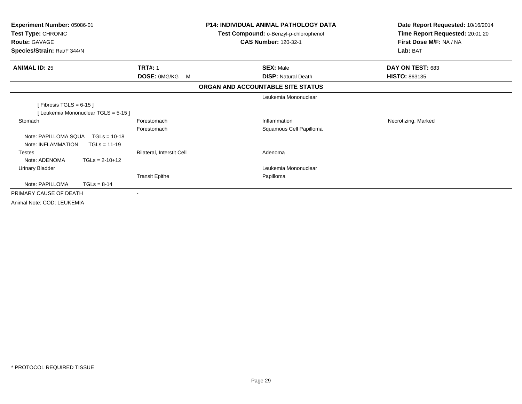| Experiment Number: 05086-01<br>Test Type: CHRONIC<br><b>Route: GAVAGE</b><br>Species/Strain: Rat/F 344/N |                           | <b>P14: INDIVIDUAL ANIMAL PATHOLOGY DATA</b><br>Test Compound: o-Benzyl-p-chlorophenol<br><b>CAS Number: 120-32-1</b> |                                   | Date Report Requested: 10/16/2014<br>Time Report Requested: 20:01:20<br>First Dose M/F: NA / NA<br>Lab: BAT |
|----------------------------------------------------------------------------------------------------------|---------------------------|-----------------------------------------------------------------------------------------------------------------------|-----------------------------------|-------------------------------------------------------------------------------------------------------------|
| <b>ANIMAL ID: 25</b>                                                                                     | <b>TRT#: 1</b>            |                                                                                                                       | <b>SEX: Male</b>                  | DAY ON TEST: 683                                                                                            |
|                                                                                                          | DOSE: 0MG/KG<br>M         |                                                                                                                       | <b>DISP: Natural Death</b>        | <b>HISTO: 863135</b>                                                                                        |
|                                                                                                          |                           |                                                                                                                       | ORGAN AND ACCOUNTABLE SITE STATUS |                                                                                                             |
|                                                                                                          |                           |                                                                                                                       | Leukemia Mononuclear              |                                                                                                             |
| [Fibrosis TGLS = $6-15$ ]                                                                                |                           |                                                                                                                       |                                   |                                                                                                             |
| [Leukemia Mononuclear TGLS = 5-15]                                                                       |                           |                                                                                                                       |                                   |                                                                                                             |
| Stomach                                                                                                  | Forestomach               |                                                                                                                       | Inflammation                      | Necrotizing, Marked                                                                                         |
|                                                                                                          | Forestomach               |                                                                                                                       | Squamous Cell Papilloma           |                                                                                                             |
| Note: PAPILLOMA SQUA<br>$TGLs = 10-18$                                                                   |                           |                                                                                                                       |                                   |                                                                                                             |
| Note: INFLAMMATION<br>$TGLs = 11-19$                                                                     |                           |                                                                                                                       |                                   |                                                                                                             |
| <b>Testes</b>                                                                                            | Bilateral, Interstit Cell |                                                                                                                       | Adenoma                           |                                                                                                             |
| Note: ADENOMA<br>$TGLs = 2-10+12$                                                                        |                           |                                                                                                                       |                                   |                                                                                                             |
| <b>Urinary Bladder</b>                                                                                   |                           |                                                                                                                       | Leukemia Mononuclear              |                                                                                                             |
|                                                                                                          | <b>Transit Epithe</b>     |                                                                                                                       | Papilloma                         |                                                                                                             |
| Note: PAPILLOMA<br>$TGLs = 8-14$                                                                         |                           |                                                                                                                       |                                   |                                                                                                             |
| PRIMARY CAUSE OF DEATH                                                                                   | $\sim$                    |                                                                                                                       |                                   |                                                                                                             |
| Animal Note: COD: LEUKEMIA                                                                               |                           |                                                                                                                       |                                   |                                                                                                             |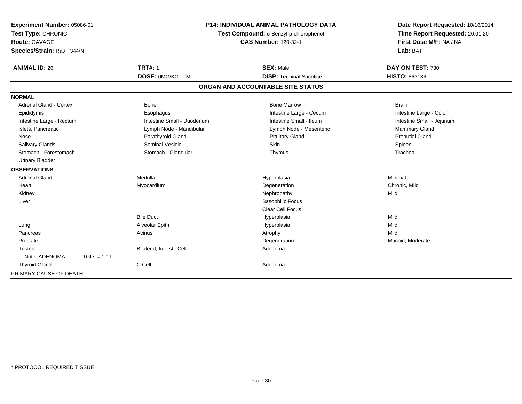| Experiment Number: 05086-01<br>Test Type: CHRONIC<br><b>Route: GAVAGE</b> |               |                            | <b>P14: INDIVIDUAL ANIMAL PATHOLOGY DATA</b><br>Test Compound: o-Benzyl-p-chlorophenol<br><b>CAS Number: 120-32-1</b> | Date Report Requested: 10/16/2014<br>Time Report Requested: 20:01:20<br>First Dose M/F: NA / NA |
|---------------------------------------------------------------------------|---------------|----------------------------|-----------------------------------------------------------------------------------------------------------------------|-------------------------------------------------------------------------------------------------|
| Species/Strain: Rat/F 344/N                                               |               |                            |                                                                                                                       | Lab: BAT                                                                                        |
| <b>ANIMAL ID: 26</b>                                                      |               | <b>TRT#: 1</b>             | <b>SEX: Male</b>                                                                                                      | DAY ON TEST: 730                                                                                |
|                                                                           |               | DOSE: 0MG/KG<br>M          | <b>DISP: Terminal Sacrifice</b>                                                                                       | HISTO: 863136                                                                                   |
|                                                                           |               |                            | ORGAN AND ACCOUNTABLE SITE STATUS                                                                                     |                                                                                                 |
| <b>NORMAL</b>                                                             |               |                            |                                                                                                                       |                                                                                                 |
| Adrenal Gland - Cortex                                                    |               | Bone                       | <b>Bone Marrow</b>                                                                                                    | <b>Brain</b>                                                                                    |
| Epididymis                                                                |               | Esophagus                  | Intestine Large - Cecum                                                                                               | Intestine Large - Colon                                                                         |
| Intestine Large - Rectum                                                  |               | Intestine Small - Duodenum | Intestine Small - Ileum                                                                                               | Intestine Small - Jejunum                                                                       |
| Islets, Pancreatic                                                        |               | Lymph Node - Mandibular    | Lymph Node - Mesenteric                                                                                               | Mammary Gland                                                                                   |
| Nose                                                                      |               | Parathyroid Gland          | <b>Pituitary Gland</b>                                                                                                | <b>Preputial Gland</b>                                                                          |
| <b>Salivary Glands</b>                                                    |               | Seminal Vesicle            | <b>Skin</b>                                                                                                           | Spleen                                                                                          |
| Stomach - Forestomach                                                     |               | Stomach - Glandular        | Thymus                                                                                                                | Trachea                                                                                         |
| <b>Urinary Bladder</b>                                                    |               |                            |                                                                                                                       |                                                                                                 |
| <b>OBSERVATIONS</b>                                                       |               |                            |                                                                                                                       |                                                                                                 |
| <b>Adrenal Gland</b>                                                      |               | Medulla                    | Hyperplasia                                                                                                           | Minimal                                                                                         |
| Heart                                                                     |               | Myocardium                 | Degeneration                                                                                                          | Chronic, Mild                                                                                   |
| Kidney                                                                    |               |                            | Nephropathy                                                                                                           | Mild                                                                                            |
| Liver                                                                     |               |                            | <b>Basophilic Focus</b>                                                                                               |                                                                                                 |
|                                                                           |               |                            | <b>Clear Cell Focus</b>                                                                                               |                                                                                                 |
|                                                                           |               | <b>Bile Duct</b>           | Hyperplasia                                                                                                           | Mild                                                                                            |
| Lung                                                                      |               | Alveolar Epith             | Hyperplasia                                                                                                           | Mild                                                                                            |
| Pancreas                                                                  |               | Acinus                     | Atrophy                                                                                                               | Mild                                                                                            |
| Prostate                                                                  |               |                            | Degeneration                                                                                                          | Mucoid, Moderate                                                                                |
| <b>Testes</b>                                                             |               | Bilateral, Interstit Cell  | Adenoma                                                                                                               |                                                                                                 |
| Note: ADENOMA                                                             | $TGLs = 1-11$ |                            |                                                                                                                       |                                                                                                 |
| <b>Thyroid Gland</b>                                                      |               | C Cell                     | Adenoma                                                                                                               |                                                                                                 |
| PRIMARY CAUSE OF DEATH                                                    |               |                            |                                                                                                                       |                                                                                                 |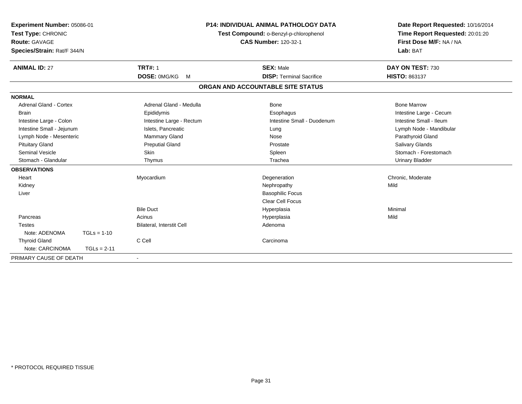| Experiment Number: 05086-01<br>Test Type: CHRONIC<br>Route: GAVAGE<br>Species/Strain: Rat/F 344/N |               | <b>P14: INDIVIDUAL ANIMAL PATHOLOGY DATA</b><br>Test Compound: o-Benzyl-p-chlorophenol<br><b>CAS Number: 120-32-1</b> |  | Date Report Requested: 10/16/2014<br>Time Report Requested: 20:01:20<br>First Dose M/F: NA / NA<br>Lab: BAT |                         |
|---------------------------------------------------------------------------------------------------|---------------|-----------------------------------------------------------------------------------------------------------------------|--|-------------------------------------------------------------------------------------------------------------|-------------------------|
| <b>ANIMAL ID: 27</b>                                                                              |               | <b>TRT#: 1</b>                                                                                                        |  | <b>SEX: Male</b>                                                                                            | DAY ON TEST: 730        |
|                                                                                                   |               | DOSE: 0MG/KG<br>M                                                                                                     |  | <b>DISP: Terminal Sacrifice</b>                                                                             | HISTO: 863137           |
|                                                                                                   |               |                                                                                                                       |  | ORGAN AND ACCOUNTABLE SITE STATUS                                                                           |                         |
| <b>NORMAL</b>                                                                                     |               |                                                                                                                       |  |                                                                                                             |                         |
| <b>Adrenal Gland - Cortex</b>                                                                     |               | Adrenal Gland - Medulla                                                                                               |  | <b>Bone</b>                                                                                                 | <b>Bone Marrow</b>      |
| <b>Brain</b>                                                                                      |               | Epididymis                                                                                                            |  | Esophagus                                                                                                   | Intestine Large - Cecum |
| Intestine Large - Colon                                                                           |               | Intestine Large - Rectum                                                                                              |  | Intestine Small - Duodenum                                                                                  | Intestine Small - Ileum |
| Intestine Small - Jejunum                                                                         |               | Islets, Pancreatic                                                                                                    |  | Lung                                                                                                        | Lymph Node - Mandibular |
| Lymph Node - Mesenteric                                                                           |               | Mammary Gland                                                                                                         |  | Nose                                                                                                        | Parathyroid Gland       |
| <b>Pituitary Gland</b>                                                                            |               | <b>Preputial Gland</b>                                                                                                |  | Prostate                                                                                                    | <b>Salivary Glands</b>  |
| <b>Seminal Vesicle</b>                                                                            |               | Skin                                                                                                                  |  | Spleen                                                                                                      | Stomach - Forestomach   |
| Stomach - Glandular                                                                               |               | Thymus                                                                                                                |  | Trachea                                                                                                     | <b>Urinary Bladder</b>  |
| <b>OBSERVATIONS</b>                                                                               |               |                                                                                                                       |  |                                                                                                             |                         |
| Heart                                                                                             |               | Myocardium                                                                                                            |  | Degeneration                                                                                                | Chronic, Moderate       |
| Kidney                                                                                            |               |                                                                                                                       |  | Nephropathy                                                                                                 | Mild                    |
| Liver                                                                                             |               |                                                                                                                       |  | <b>Basophilic Focus</b>                                                                                     |                         |
|                                                                                                   |               |                                                                                                                       |  | <b>Clear Cell Focus</b>                                                                                     |                         |
|                                                                                                   |               | <b>Bile Duct</b>                                                                                                      |  | Hyperplasia                                                                                                 | Minimal                 |
| Pancreas                                                                                          |               | Acinus                                                                                                                |  | Hyperplasia                                                                                                 | Mild                    |
| <b>Testes</b>                                                                                     |               | Bilateral, Interstit Cell                                                                                             |  | Adenoma                                                                                                     |                         |
| Note: ADENOMA                                                                                     | $TGLs = 1-10$ |                                                                                                                       |  |                                                                                                             |                         |
| <b>Thyroid Gland</b>                                                                              |               | C Cell                                                                                                                |  | Carcinoma                                                                                                   |                         |
| Note: CARCINOMA                                                                                   | $TGLs = 2-11$ |                                                                                                                       |  |                                                                                                             |                         |
| PRIMARY CAUSE OF DEATH                                                                            |               |                                                                                                                       |  |                                                                                                             |                         |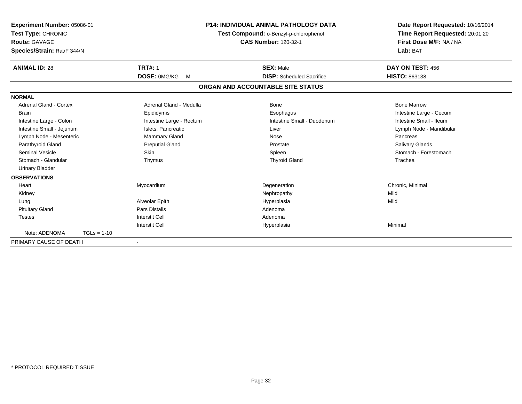| Experiment Number: 05086-01<br>Test Type: CHRONIC<br>Route: GAVAGE<br>Species/Strain: Rat/F 344/N |               |                          | <b>P14: INDIVIDUAL ANIMAL PATHOLOGY DATA</b><br>Test Compound: o-Benzyl-p-chlorophenol<br><b>CAS Number: 120-32-1</b> | Date Report Requested: 10/16/2014<br>Time Report Requested: 20:01:20<br>First Dose M/F: NA / NA<br>Lab: BAT |  |
|---------------------------------------------------------------------------------------------------|---------------|--------------------------|-----------------------------------------------------------------------------------------------------------------------|-------------------------------------------------------------------------------------------------------------|--|
| <b>ANIMAL ID: 28</b>                                                                              |               | <b>TRT#: 1</b>           | <b>SEX: Male</b>                                                                                                      | DAY ON TEST: 456                                                                                            |  |
|                                                                                                   |               | <b>DOSE: OMG/KG</b><br>M | <b>DISP:</b> Scheduled Sacrifice                                                                                      | <b>HISTO: 863138</b>                                                                                        |  |
|                                                                                                   |               |                          | ORGAN AND ACCOUNTABLE SITE STATUS                                                                                     |                                                                                                             |  |
| <b>NORMAL</b>                                                                                     |               |                          |                                                                                                                       |                                                                                                             |  |
| Adrenal Gland - Cortex                                                                            |               | Adrenal Gland - Medulla  | Bone                                                                                                                  | <b>Bone Marrow</b>                                                                                          |  |
| Brain                                                                                             |               | Epididymis               | Esophagus                                                                                                             | Intestine Large - Cecum                                                                                     |  |
| Intestine Large - Colon                                                                           |               | Intestine Large - Rectum | Intestine Small - Duodenum                                                                                            | Intestine Small - Ileum                                                                                     |  |
| Intestine Small - Jejunum                                                                         |               | Islets, Pancreatic       | Liver                                                                                                                 | Lymph Node - Mandibular                                                                                     |  |
| Lymph Node - Mesenteric                                                                           |               | <b>Mammary Gland</b>     | Nose                                                                                                                  | Pancreas                                                                                                    |  |
| Parathyroid Gland                                                                                 |               | <b>Preputial Gland</b>   | Prostate                                                                                                              | Salivary Glands                                                                                             |  |
| <b>Seminal Vesicle</b>                                                                            |               | <b>Skin</b>              | Spleen                                                                                                                | Stomach - Forestomach                                                                                       |  |
| Stomach - Glandular                                                                               |               | Thymus                   | <b>Thyroid Gland</b>                                                                                                  | Trachea                                                                                                     |  |
| <b>Urinary Bladder</b>                                                                            |               |                          |                                                                                                                       |                                                                                                             |  |
| <b>OBSERVATIONS</b>                                                                               |               |                          |                                                                                                                       |                                                                                                             |  |
| Heart                                                                                             |               | Myocardium               | Degeneration                                                                                                          | Chronic, Minimal                                                                                            |  |
| Kidney                                                                                            |               |                          | Nephropathy                                                                                                           | Mild                                                                                                        |  |
| Lung                                                                                              |               | Alveolar Epith           | Hyperplasia                                                                                                           | Mild                                                                                                        |  |
| <b>Pituitary Gland</b>                                                                            |               | Pars Distalis            | Adenoma                                                                                                               |                                                                                                             |  |
| <b>Testes</b>                                                                                     |               | <b>Interstit Cell</b>    | Adenoma                                                                                                               |                                                                                                             |  |
|                                                                                                   |               | <b>Interstit Cell</b>    | Hyperplasia                                                                                                           | Minimal                                                                                                     |  |
| Note: ADENOMA                                                                                     | $TGLs = 1-10$ |                          |                                                                                                                       |                                                                                                             |  |
| PRIMARY CAUSE OF DEATH                                                                            |               |                          |                                                                                                                       |                                                                                                             |  |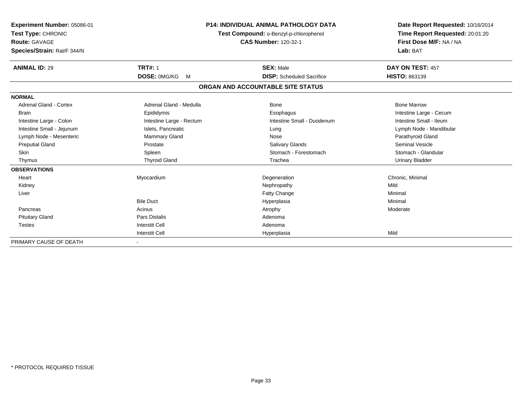| Experiment Number: 05086-01<br>Test Type: CHRONIC<br>Route: GAVAGE<br>Species/Strain: Rat/F 344/N |                          | <b>P14: INDIVIDUAL ANIMAL PATHOLOGY DATA</b><br>Test Compound: o-Benzyl-p-chlorophenol<br><b>CAS Number: 120-32-1</b> | Date Report Requested: 10/16/2014<br>Time Report Requested: 20:01:20<br>First Dose M/F: NA / NA<br>Lab: BAT |
|---------------------------------------------------------------------------------------------------|--------------------------|-----------------------------------------------------------------------------------------------------------------------|-------------------------------------------------------------------------------------------------------------|
| <b>ANIMAL ID: 29</b>                                                                              | <b>TRT#: 1</b>           | <b>SEX: Male</b>                                                                                                      | DAY ON TEST: 457                                                                                            |
|                                                                                                   | <b>DOSE: OMG/KG</b><br>M | <b>DISP:</b> Scheduled Sacrifice                                                                                      | <b>HISTO: 863139</b>                                                                                        |
|                                                                                                   |                          | ORGAN AND ACCOUNTABLE SITE STATUS                                                                                     |                                                                                                             |
| <b>NORMAL</b>                                                                                     |                          |                                                                                                                       |                                                                                                             |
| Adrenal Gland - Cortex                                                                            | Adrenal Gland - Medulla  | Bone                                                                                                                  | <b>Bone Marrow</b>                                                                                          |
| <b>Brain</b>                                                                                      | Epididymis               | Esophagus                                                                                                             | Intestine Large - Cecum                                                                                     |
| Intestine Large - Colon                                                                           | Intestine Large - Rectum | Intestine Small - Duodenum                                                                                            | Intestine Small - Ileum                                                                                     |
| Intestine Small - Jejunum                                                                         | Islets, Pancreatic       | Lung                                                                                                                  | Lymph Node - Mandibular                                                                                     |
| Lymph Node - Mesenteric                                                                           | Mammary Gland            | Nose                                                                                                                  | Parathyroid Gland                                                                                           |
| <b>Preputial Gland</b>                                                                            | Prostate                 | Salivary Glands                                                                                                       | Seminal Vesicle                                                                                             |
| <b>Skin</b>                                                                                       | Spleen                   | Stomach - Forestomach                                                                                                 | Stomach - Glandular                                                                                         |
| Thymus                                                                                            | <b>Thyroid Gland</b>     | Trachea                                                                                                               | <b>Urinary Bladder</b>                                                                                      |
| <b>OBSERVATIONS</b>                                                                               |                          |                                                                                                                       |                                                                                                             |
| Heart                                                                                             | Myocardium               | Degeneration                                                                                                          | Chronic, Minimal                                                                                            |
| Kidney                                                                                            |                          | Nephropathy                                                                                                           | Mild                                                                                                        |
| Liver                                                                                             |                          | Fatty Change                                                                                                          | Minimal                                                                                                     |
|                                                                                                   | <b>Bile Duct</b>         | Hyperplasia                                                                                                           | Minimal                                                                                                     |
| Pancreas                                                                                          | Acinus                   | Atrophy                                                                                                               | Moderate                                                                                                    |
| <b>Pituitary Gland</b>                                                                            | <b>Pars Distalis</b>     | Adenoma                                                                                                               |                                                                                                             |
| <b>Testes</b>                                                                                     | <b>Interstit Cell</b>    | Adenoma                                                                                                               |                                                                                                             |
|                                                                                                   | <b>Interstit Cell</b>    | Hyperplasia                                                                                                           | Mild                                                                                                        |
| PRIMARY CAUSE OF DEATH                                                                            |                          |                                                                                                                       |                                                                                                             |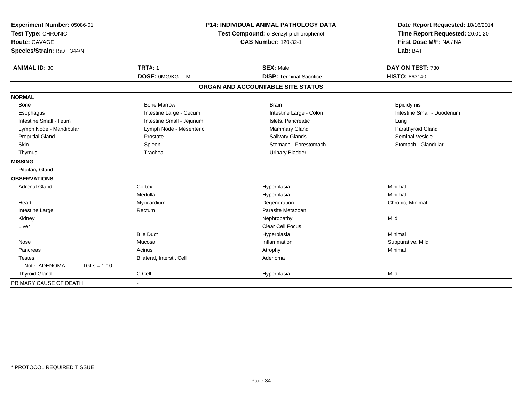| Experiment Number: 05086-01<br>Test Type: CHRONIC<br>Route: GAVAGE<br>Species/Strain: Rat/F 344/N |                           | <b>P14: INDIVIDUAL ANIMAL PATHOLOGY DATA</b><br>Test Compound: o-Benzyl-p-chlorophenol<br><b>CAS Number: 120-32-1</b> | Date Report Requested: 10/16/2014<br>Time Report Requested: 20:01:20<br>First Dose M/F: NA / NA<br>Lab: BAT |  |
|---------------------------------------------------------------------------------------------------|---------------------------|-----------------------------------------------------------------------------------------------------------------------|-------------------------------------------------------------------------------------------------------------|--|
| <b>ANIMAL ID: 30</b>                                                                              | <b>TRT#: 1</b>            | <b>SEX: Male</b>                                                                                                      | DAY ON TEST: 730                                                                                            |  |
|                                                                                                   | <b>DOSE: OMG/KG</b><br>M  | <b>DISP: Terminal Sacrifice</b>                                                                                       | <b>HISTO: 863140</b>                                                                                        |  |
|                                                                                                   |                           | ORGAN AND ACCOUNTABLE SITE STATUS                                                                                     |                                                                                                             |  |
| <b>NORMAL</b>                                                                                     |                           |                                                                                                                       |                                                                                                             |  |
| Bone                                                                                              | <b>Bone Marrow</b>        | <b>Brain</b>                                                                                                          | Epididymis                                                                                                  |  |
| Esophagus                                                                                         | Intestine Large - Cecum   | Intestine Large - Colon                                                                                               | Intestine Small - Duodenum                                                                                  |  |
| Intestine Small - Ileum                                                                           | Intestine Small - Jejunum | Islets, Pancreatic                                                                                                    | Lung                                                                                                        |  |
| Lymph Node - Mandibular                                                                           | Lymph Node - Mesenteric   | <b>Mammary Gland</b>                                                                                                  | Parathyroid Gland                                                                                           |  |
| <b>Preputial Gland</b>                                                                            | Prostate                  | <b>Salivary Glands</b>                                                                                                | Seminal Vesicle                                                                                             |  |
| Skin                                                                                              | Spleen                    | Stomach - Forestomach                                                                                                 | Stomach - Glandular                                                                                         |  |
| Thymus                                                                                            | Trachea                   | <b>Urinary Bladder</b>                                                                                                |                                                                                                             |  |
| <b>MISSING</b>                                                                                    |                           |                                                                                                                       |                                                                                                             |  |
| <b>Pituitary Gland</b>                                                                            |                           |                                                                                                                       |                                                                                                             |  |
| <b>OBSERVATIONS</b>                                                                               |                           |                                                                                                                       |                                                                                                             |  |
| <b>Adrenal Gland</b>                                                                              | Cortex                    | Hyperplasia                                                                                                           | Minimal                                                                                                     |  |
|                                                                                                   | Medulla                   | Hyperplasia                                                                                                           | Minimal                                                                                                     |  |
| Heart                                                                                             | Myocardium                | Degeneration                                                                                                          | Chronic, Minimal                                                                                            |  |
| Intestine Large                                                                                   | Rectum                    | Parasite Metazoan                                                                                                     |                                                                                                             |  |
| Kidney                                                                                            |                           | Nephropathy                                                                                                           | Mild                                                                                                        |  |
| Liver                                                                                             |                           | <b>Clear Cell Focus</b>                                                                                               |                                                                                                             |  |
|                                                                                                   | <b>Bile Duct</b>          | Hyperplasia                                                                                                           | Minimal                                                                                                     |  |
| Nose                                                                                              | Mucosa                    | Inflammation                                                                                                          | Suppurative, Mild                                                                                           |  |
| Pancreas                                                                                          | Acinus                    | Atrophy                                                                                                               | Minimal                                                                                                     |  |
| <b>Testes</b>                                                                                     | Bilateral, Interstit Cell | Adenoma                                                                                                               |                                                                                                             |  |
| Note: ADENOMA<br>$TGLs = 1-10$                                                                    |                           |                                                                                                                       |                                                                                                             |  |
| <b>Thyroid Gland</b>                                                                              | C Cell                    | Hyperplasia                                                                                                           | Mild                                                                                                        |  |
| PRIMARY CAUSE OF DEATH                                                                            |                           |                                                                                                                       |                                                                                                             |  |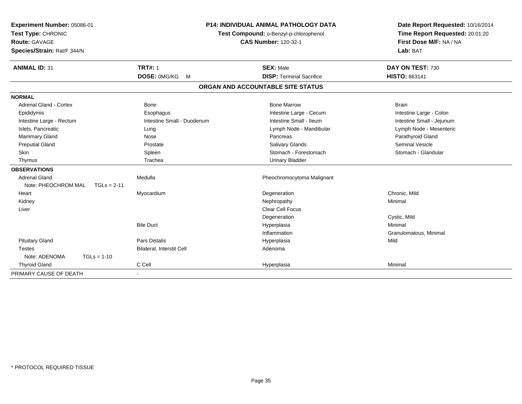| Experiment Number: 05086-01          |                            | <b>P14: INDIVIDUAL ANIMAL PATHOLOGY DATA</b> | Date Report Requested: 10/16/2014 |  |
|--------------------------------------|----------------------------|----------------------------------------------|-----------------------------------|--|
| Test Type: CHRONIC                   |                            | Test Compound: o-Benzyl-p-chlorophenol       | Time Report Requested: 20:01:20   |  |
| <b>Route: GAVAGE</b>                 |                            | <b>CAS Number: 120-32-1</b>                  | First Dose M/F: NA / NA           |  |
| Species/Strain: Rat/F 344/N          |                            |                                              | Lab: BAT                          |  |
| <b>ANIMAL ID: 31</b>                 | <b>TRT#: 1</b>             | <b>SEX: Male</b>                             | DAY ON TEST: 730                  |  |
|                                      | DOSE: 0MG/KG<br>M          | <b>DISP: Terminal Sacrifice</b>              | HISTO: 863141                     |  |
|                                      |                            | ORGAN AND ACCOUNTABLE SITE STATUS            |                                   |  |
| <b>NORMAL</b>                        |                            |                                              |                                   |  |
| <b>Adrenal Gland - Cortex</b>        | <b>Bone</b>                | <b>Bone Marrow</b>                           | <b>Brain</b>                      |  |
| Epididymis                           | Esophagus                  | Intestine Large - Cecum                      | Intestine Large - Colon           |  |
| Intestine Large - Rectum             | Intestine Small - Duodenum | Intestine Small - Ileum                      | Intestine Small - Jejunum         |  |
| Islets, Pancreatic                   | Lung                       | Lymph Node - Mandibular                      | Lymph Node - Mesenteric           |  |
| <b>Mammary Gland</b>                 | Nose                       | Pancreas                                     | Parathyroid Gland                 |  |
| <b>Preputial Gland</b>               | Prostate                   | <b>Salivary Glands</b>                       | <b>Seminal Vesicle</b>            |  |
| Skin                                 | Spleen                     | Stomach - Forestomach                        | Stomach - Glandular               |  |
| Thymus                               | Trachea                    | <b>Urinary Bladder</b>                       |                                   |  |
| <b>OBSERVATIONS</b>                  |                            |                                              |                                   |  |
| <b>Adrenal Gland</b>                 | Medulla                    | Pheochromocytoma Malignant                   |                                   |  |
| Note: PHEOCHROM MAL<br>$TGLs = 2-11$ |                            |                                              |                                   |  |
| Heart                                | Myocardium                 | Degeneration                                 | Chronic. Mild                     |  |
| Kidney                               |                            | Nephropathy                                  | Minimal                           |  |
| Liver                                |                            | <b>Clear Cell Focus</b>                      |                                   |  |
|                                      |                            | Degeneration                                 | Cystic, Mild                      |  |
|                                      | <b>Bile Duct</b>           | Hyperplasia                                  | Minimal                           |  |
|                                      |                            | Inflammation                                 | Granulomatous, Minimal            |  |
| <b>Pituitary Gland</b>               | <b>Pars Distalis</b>       | Hyperplasia                                  | Mild                              |  |
| <b>Testes</b>                        | Bilateral, Interstit Cell  | Adenoma                                      |                                   |  |
| Note: ADENOMA<br>$TGLs = 1-10$       |                            |                                              |                                   |  |
| <b>Thyroid Gland</b>                 | C Cell                     | Hyperplasia                                  | Minimal                           |  |
| PRIMARY CAUSE OF DEATH               |                            |                                              |                                   |  |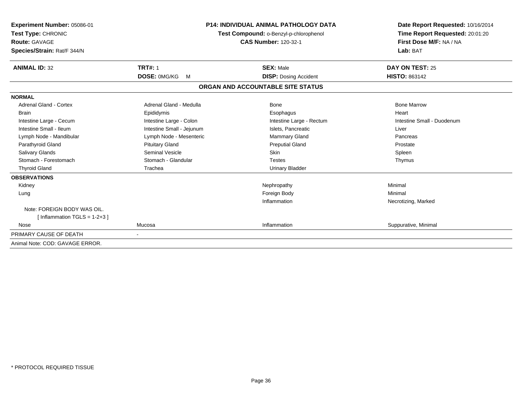| Experiment Number: 05086-01<br>Test Type: CHRONIC<br><b>Route: GAVAGE</b><br>Species/Strain: Rat/F 344/N | <b>P14: INDIVIDUAL ANIMAL PATHOLOGY DATA</b><br>Test Compound: o-Benzyl-p-chlorophenol<br><b>CAS Number: 120-32-1</b> |                                   | Date Report Requested: 10/16/2014<br>Time Report Requested: 20:01:20<br>First Dose M/F: NA / NA<br>Lab: BAT |
|----------------------------------------------------------------------------------------------------------|-----------------------------------------------------------------------------------------------------------------------|-----------------------------------|-------------------------------------------------------------------------------------------------------------|
| <b>ANIMAL ID: 32</b>                                                                                     | <b>TRT#: 1</b>                                                                                                        | <b>SEX: Male</b>                  | DAY ON TEST: 25                                                                                             |
|                                                                                                          | DOSE: 0MG/KG<br>M                                                                                                     | <b>DISP:</b> Dosing Accident      | <b>HISTO: 863142</b>                                                                                        |
|                                                                                                          |                                                                                                                       | ORGAN AND ACCOUNTABLE SITE STATUS |                                                                                                             |
| <b>NORMAL</b>                                                                                            |                                                                                                                       |                                   |                                                                                                             |
| <b>Adrenal Gland - Cortex</b>                                                                            | Adrenal Gland - Medulla                                                                                               | <b>Bone</b>                       | <b>Bone Marrow</b>                                                                                          |
| <b>Brain</b>                                                                                             | Epididymis                                                                                                            | Esophagus                         | Heart                                                                                                       |
| Intestine Large - Cecum                                                                                  | Intestine Large - Colon                                                                                               | Intestine Large - Rectum          | Intestine Small - Duodenum                                                                                  |
| Intestine Small - Ileum                                                                                  | Intestine Small - Jejunum                                                                                             | Islets, Pancreatic                | Liver                                                                                                       |
| Lymph Node - Mandibular                                                                                  | Lymph Node - Mesenteric                                                                                               | Mammary Gland                     | Pancreas                                                                                                    |
| Parathyroid Gland                                                                                        | <b>Pituitary Gland</b>                                                                                                | <b>Preputial Gland</b>            | Prostate                                                                                                    |
| <b>Salivary Glands</b>                                                                                   | <b>Seminal Vesicle</b>                                                                                                | <b>Skin</b>                       | Spleen                                                                                                      |
| Stomach - Forestomach                                                                                    | Stomach - Glandular                                                                                                   | <b>Testes</b>                     | Thymus                                                                                                      |
| <b>Thyroid Gland</b>                                                                                     | Trachea                                                                                                               | <b>Urinary Bladder</b>            |                                                                                                             |
| <b>OBSERVATIONS</b>                                                                                      |                                                                                                                       |                                   |                                                                                                             |
| Kidney                                                                                                   |                                                                                                                       | Nephropathy                       | Minimal                                                                                                     |
| Lung                                                                                                     |                                                                                                                       | Foreign Body                      | Minimal                                                                                                     |
|                                                                                                          |                                                                                                                       | Inflammation                      | Necrotizing, Marked                                                                                         |
| Note: FOREIGN BODY WAS OIL.                                                                              |                                                                                                                       |                                   |                                                                                                             |
| [Inflammation TGLS = $1-2+3$ ]                                                                           |                                                                                                                       |                                   |                                                                                                             |
| Nose                                                                                                     | Mucosa                                                                                                                | Inflammation                      | Suppurative, Minimal                                                                                        |
| PRIMARY CAUSE OF DEATH                                                                                   |                                                                                                                       |                                   |                                                                                                             |
| Animal Note: COD: GAVAGE ERROR.                                                                          |                                                                                                                       |                                   |                                                                                                             |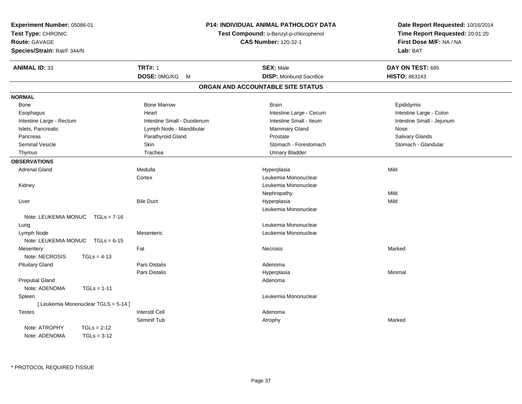| Experiment Number: 05086-01           |                            | P14: INDIVIDUAL ANIMAL PATHOLOGY DATA                                 | Date Report Requested: 10/16/2014   |  |
|---------------------------------------|----------------------------|-----------------------------------------------------------------------|-------------------------------------|--|
| Test Type: CHRONIC                    |                            | Test Compound: o-Benzyl-p-chlorophenol<br><b>CAS Number: 120-32-1</b> |                                     |  |
| Route: GAVAGE                         |                            |                                                                       |                                     |  |
| Species/Strain: Rat/F 344/N           |                            |                                                                       | First Dose M/F: NA / NA<br>Lab: BAT |  |
| <b>ANIMAL ID: 33</b>                  | <b>TRT#: 1</b>             | <b>SEX: Male</b>                                                      | DAY ON TEST: 695                    |  |
|                                       | DOSE: 0MG/KG M             | <b>DISP:</b> Moribund Sacrifice                                       | HISTO: 863143                       |  |
|                                       |                            | ORGAN AND ACCOUNTABLE SITE STATUS                                     |                                     |  |
| <b>NORMAL</b>                         |                            |                                                                       |                                     |  |
| <b>Bone</b>                           | <b>Bone Marrow</b>         | <b>Brain</b>                                                          | Epididymis                          |  |
| Esophagus                             | Heart                      | Intestine Large - Cecum                                               | Intestine Large - Colon             |  |
| Intestine Large - Rectum              | Intestine Small - Duodenum | Intestine Small - Ileum                                               | Intestine Small - Jejunum           |  |
| Islets, Pancreatic                    | Lymph Node - Mandibular    | Mammary Gland                                                         | Nose                                |  |
| Pancreas                              | Parathyroid Gland          | Prostate                                                              | Salivary Glands                     |  |
| <b>Seminal Vesicle</b>                | Skin                       | Stomach - Forestomach                                                 | Stomach - Glandular                 |  |
| Thymus                                | Trachea                    | <b>Urinary Bladder</b>                                                |                                     |  |
| <b>OBSERVATIONS</b>                   |                            |                                                                       |                                     |  |
| <b>Adrenal Gland</b>                  | Medulla                    | Hyperplasia                                                           | Mild                                |  |
|                                       | Cortex                     | Leukemia Mononuclear                                                  |                                     |  |
| Kidney                                |                            | Leukemia Mononuclear                                                  |                                     |  |
|                                       |                            | Nephropathy                                                           | Mild                                |  |
| Liver                                 | <b>Bile Duct</b>           | Hyperplasia                                                           | Mild                                |  |
|                                       |                            | Leukemia Mononuclear                                                  |                                     |  |
| Note: LEUKEMIA MONUC<br>$TGLs = 7-16$ |                            |                                                                       |                                     |  |
| Lung                                  |                            | Leukemia Mononuclear                                                  |                                     |  |
| Lymph Node                            | Mesenteric                 | Leukemia Mononuclear                                                  |                                     |  |
| Note: LEUKEMIA MONUC<br>$TGLs = 6-15$ |                            |                                                                       |                                     |  |
| Mesentery                             | Fat                        | Necrosis                                                              | Marked                              |  |
| Note: NECROSIS<br>$TGLs = 4-13$       |                            |                                                                       |                                     |  |
| <b>Pituitary Gland</b>                | Pars Distalis              | Adenoma                                                               |                                     |  |
|                                       | Pars Distalis              | Hyperplasia                                                           | Minimal                             |  |
| <b>Preputial Gland</b>                |                            | Adenoma                                                               |                                     |  |
| Note: ADENOMA<br>$TGLs = 1-11$        |                            |                                                                       |                                     |  |
| Spleen                                |                            | Leukemia Mononuclear                                                  |                                     |  |
| [ Leukemia Mononuclear TGLS = 5-14 ]  |                            |                                                                       |                                     |  |
| <b>Testes</b>                         | <b>Interstit Cell</b>      | Adenoma                                                               |                                     |  |
|                                       | Seminif Tub                | Atrophy                                                               | Marked                              |  |
| Note: ATROPHY<br>$TGLs = 2-12$        |                            |                                                                       |                                     |  |
| Note: ADENOMA<br>$TGLs = 3-12$        |                            |                                                                       |                                     |  |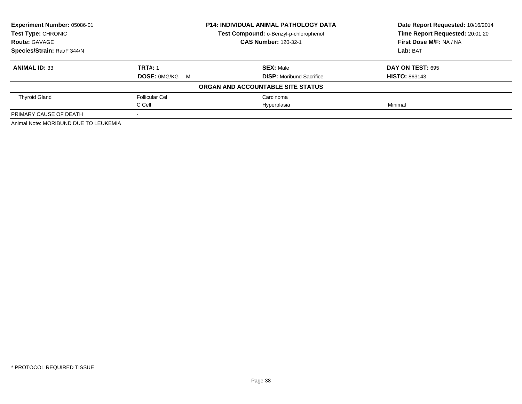| Experiment Number: 05086-01           |                       | P14: INDIVIDUAL ANIMAL PATHOLOGY DATA  | Date Report Requested: 10/16/2014 |
|---------------------------------------|-----------------------|----------------------------------------|-----------------------------------|
| <b>Test Type: CHRONIC</b>             |                       | Test Compound: o-Benzyl-p-chlorophenol | Time Report Requested: 20:01:20   |
| <b>Route: GAVAGE</b>                  |                       | <b>CAS Number: 120-32-1</b>            | First Dose M/F: NA / NA           |
| Species/Strain: Rat/F 344/N           |                       |                                        | Lab: BAT                          |
| <b>ANIMAL ID: 33</b>                  | <b>TRT#: 1</b>        | <b>SEX: Male</b>                       | DAY ON TEST: 695                  |
|                                       | <b>DOSE: 0MG/KG M</b> | <b>DISP:</b> Moribund Sacrifice        | <b>HISTO: 863143</b>              |
|                                       |                       | ORGAN AND ACCOUNTABLE SITE STATUS      |                                   |
| <b>Thyroid Gland</b>                  | <b>Follicular Cel</b> | Carcinoma                              |                                   |
|                                       | C Cell                | Hyperplasia                            | Minimal                           |
| PRIMARY CAUSE OF DEATH                |                       |                                        |                                   |
| Animal Note: MORIBUND DUE TO LEUKEMIA |                       |                                        |                                   |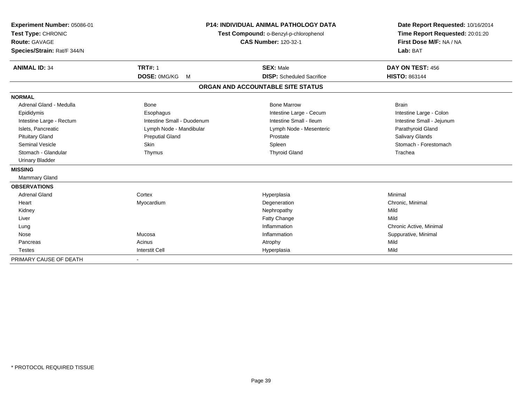| Experiment Number: 05086-01<br>Test Type: CHRONIC<br><b>Route: GAVAGE</b><br>Species/Strain: Rat/F 344/N |                            | <b>P14: INDIVIDUAL ANIMAL PATHOLOGY DATA</b><br>Test Compound: o-Benzyl-p-chlorophenol<br><b>CAS Number: 120-32-1</b> | Date Report Requested: 10/16/2014<br>Time Report Requested: 20:01:20<br>First Dose M/F: NA / NA<br>Lab: BAT |
|----------------------------------------------------------------------------------------------------------|----------------------------|-----------------------------------------------------------------------------------------------------------------------|-------------------------------------------------------------------------------------------------------------|
| <b>ANIMAL ID: 34</b>                                                                                     | <b>TRT#: 1</b>             | <b>SEX: Male</b>                                                                                                      | DAY ON TEST: 456                                                                                            |
|                                                                                                          | DOSE: 0MG/KG<br>M          | <b>DISP:</b> Scheduled Sacrifice                                                                                      | <b>HISTO: 863144</b>                                                                                        |
|                                                                                                          |                            | ORGAN AND ACCOUNTABLE SITE STATUS                                                                                     |                                                                                                             |
| <b>NORMAL</b>                                                                                            |                            |                                                                                                                       |                                                                                                             |
| Adrenal Gland - Medulla                                                                                  | Bone                       | <b>Bone Marrow</b>                                                                                                    | <b>Brain</b>                                                                                                |
| Epididymis                                                                                               | Esophagus                  | Intestine Large - Cecum                                                                                               | Intestine Large - Colon                                                                                     |
| Intestine Large - Rectum                                                                                 | Intestine Small - Duodenum | Intestine Small - Ileum                                                                                               | Intestine Small - Jejunum                                                                                   |
| Islets, Pancreatic                                                                                       | Lymph Node - Mandibular    | Lymph Node - Mesenteric                                                                                               | Parathyroid Gland                                                                                           |
| <b>Pituitary Gland</b>                                                                                   | <b>Preputial Gland</b>     | Prostate                                                                                                              | Salivary Glands                                                                                             |
| <b>Seminal Vesicle</b>                                                                                   | Skin                       | Spleen                                                                                                                | Stomach - Forestomach                                                                                       |
| Stomach - Glandular                                                                                      | Thymus                     | <b>Thyroid Gland</b>                                                                                                  | Trachea                                                                                                     |
| <b>Urinary Bladder</b>                                                                                   |                            |                                                                                                                       |                                                                                                             |
| <b>MISSING</b>                                                                                           |                            |                                                                                                                       |                                                                                                             |
| <b>Mammary Gland</b>                                                                                     |                            |                                                                                                                       |                                                                                                             |
| <b>OBSERVATIONS</b>                                                                                      |                            |                                                                                                                       |                                                                                                             |
| <b>Adrenal Gland</b>                                                                                     | Cortex                     | Hyperplasia                                                                                                           | Minimal                                                                                                     |
| Heart                                                                                                    | Myocardium                 | Degeneration                                                                                                          | Chronic, Minimal                                                                                            |
| Kidney                                                                                                   |                            | Nephropathy                                                                                                           | Mild                                                                                                        |
| Liver                                                                                                    |                            | Fatty Change                                                                                                          | Mild                                                                                                        |
| Lung                                                                                                     |                            | Inflammation                                                                                                          | Chronic Active, Minimal                                                                                     |
| Nose                                                                                                     | Mucosa                     | Inflammation                                                                                                          | Suppurative, Minimal                                                                                        |
| Pancreas                                                                                                 | Acinus                     | Atrophy                                                                                                               | Mild                                                                                                        |
| <b>Testes</b>                                                                                            | <b>Interstit Cell</b>      | Hyperplasia                                                                                                           | Mild                                                                                                        |
| PRIMARY CAUSE OF DEATH                                                                                   | $\overline{\phantom{a}}$   |                                                                                                                       |                                                                                                             |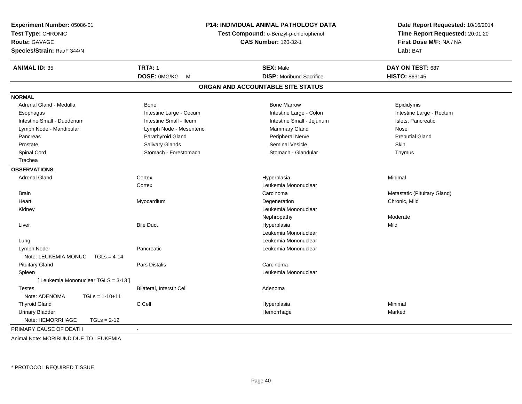| Experiment Number: 05086-01           |                                        | P14: INDIVIDUAL ANIMAL PATHOLOGY DATA | Date Report Requested: 10/16/2014 |  |
|---------------------------------------|----------------------------------------|---------------------------------------|-----------------------------------|--|
| Test Type: CHRONIC                    | Test Compound: o-Benzyl-p-chlorophenol |                                       | Time Report Requested: 20:01:20   |  |
| <b>Route: GAVAGE</b>                  |                                        | <b>CAS Number: 120-32-1</b>           | First Dose M/F: NA / NA           |  |
| Species/Strain: Rat/F 344/N           |                                        |                                       | Lab: BAT                          |  |
| <b>ANIMAL ID: 35</b>                  | <b>TRT#: 1</b>                         | <b>SEX: Male</b>                      | DAY ON TEST: 687                  |  |
|                                       | DOSE: 0MG/KG<br>M                      | <b>DISP:</b> Moribund Sacrifice       | HISTO: 863145                     |  |
|                                       |                                        | ORGAN AND ACCOUNTABLE SITE STATUS     |                                   |  |
| <b>NORMAL</b>                         |                                        |                                       |                                   |  |
| Adrenal Gland - Medulla               | Bone                                   | <b>Bone Marrow</b>                    | Epididymis                        |  |
| Esophagus                             | Intestine Large - Cecum                | Intestine Large - Colon               | Intestine Large - Rectum          |  |
| Intestine Small - Duodenum            | Intestine Small - Ileum                | Intestine Small - Jejunum             | Islets, Pancreatic                |  |
| Lymph Node - Mandibular               | Lymph Node - Mesenteric                | Mammary Gland                         | Nose                              |  |
| Pancreas                              | Parathyroid Gland                      | Peripheral Nerve                      | <b>Preputial Gland</b>            |  |
| Prostate                              | Salivary Glands                        | <b>Seminal Vesicle</b>                | Skin                              |  |
| Spinal Cord                           | Stomach - Forestomach                  | Stomach - Glandular                   | Thymus                            |  |
| Trachea                               |                                        |                                       |                                   |  |
| <b>OBSERVATIONS</b>                   |                                        |                                       |                                   |  |
| <b>Adrenal Gland</b>                  | Cortex                                 | Hyperplasia                           | Minimal                           |  |
|                                       | Cortex                                 | Leukemia Mononuclear                  |                                   |  |
| <b>Brain</b>                          |                                        | Carcinoma                             | Metastatic (Pituitary Gland)      |  |
| Heart                                 | Myocardium                             | Degeneration                          | Chronic, Mild                     |  |
| Kidney                                |                                        | Leukemia Mononuclear                  |                                   |  |
|                                       |                                        | Nephropathy                           | Moderate                          |  |
| Liver                                 | <b>Bile Duct</b>                       | Hyperplasia                           | Mild                              |  |
|                                       |                                        | Leukemia Mononuclear                  |                                   |  |
| Lung                                  |                                        | Leukemia Mononuclear                  |                                   |  |
| Lymph Node                            | Pancreatic                             | Leukemia Mononuclear                  |                                   |  |
| Note: LEUKEMIA MONUC<br>$TGLs = 4-14$ |                                        |                                       |                                   |  |
| <b>Pituitary Gland</b>                | Pars Distalis                          | Carcinoma                             |                                   |  |
| Spleen                                |                                        | Leukemia Mononuclear                  |                                   |  |
| [ Leukemia Mononuclear TGLS = 3-13 ]  |                                        |                                       |                                   |  |
| <b>Testes</b>                         | Bilateral, Interstit Cell              | Adenoma                               |                                   |  |
| Note: ADENOMA<br>$TGLs = 1-10+11$     |                                        |                                       |                                   |  |
| <b>Thyroid Gland</b>                  | C Cell                                 | Hyperplasia                           | Minimal                           |  |
| <b>Urinary Bladder</b>                |                                        | Hemorrhage                            | Marked                            |  |
| Note: HEMORRHAGE<br>$TGLs = 2-12$     |                                        |                                       |                                   |  |
| PRIMARY CAUSE OF DEATH                |                                        |                                       |                                   |  |

Animal Note: MORIBUND DUE TO LEUKEMIA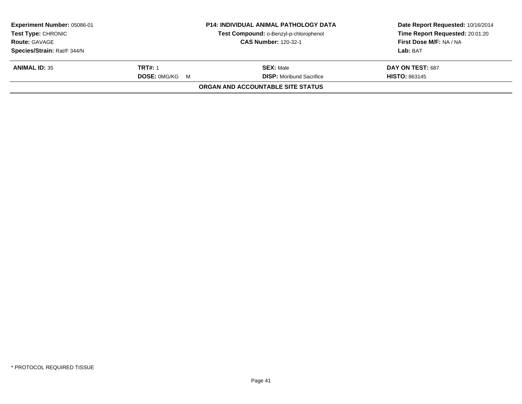| Experiment Number: 05086-01 |                       | <b>P14: INDIVIDUAL ANIMAL PATHOLOGY DATA</b> | Date Report Requested: 10/16/2014 |
|-----------------------------|-----------------------|----------------------------------------------|-----------------------------------|
| <b>Test Type: CHRONIC</b>   |                       | Test Compound: o-Benzyl-p-chlorophenol       | Time Report Requested: 20:01:20   |
| <b>Route: GAVAGE</b>        |                       | <b>CAS Number: 120-32-1</b>                  | First Dose M/F: NA / NA           |
| Species/Strain: Rat/F 344/N |                       |                                              | Lab: BAT                          |
| <b>ANIMAL ID: 35</b>        | <b>TRT#: 1</b>        | <b>SEX:</b> Male                             | DAY ON TEST: 687                  |
|                             | <b>DOSE: OMG/KG M</b> | <b>DISP:</b> Moribund Sacrifice              | <b>HISTO: 863145</b>              |
|                             |                       | ORGAN AND ACCOUNTABLE SITE STATUS            |                                   |
|                             |                       |                                              |                                   |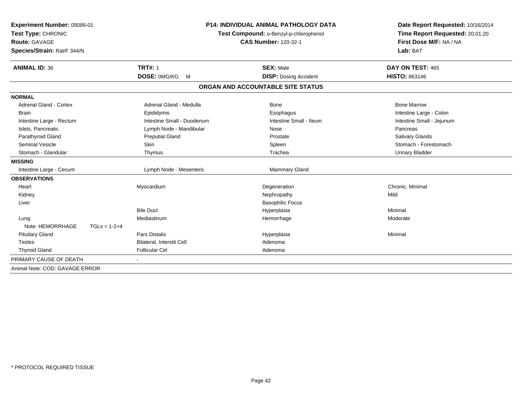| Experiment Number: 05086-01<br>Test Type: CHRONIC<br><b>Route: GAVAGE</b><br>Species/Strain: Rat/F 344/N<br><b>ANIMAL ID: 36</b> |                | <b>TRT#: 1</b>             |   | <b>P14: INDIVIDUAL ANIMAL PATHOLOGY DATA</b><br>Test Compound: o-Benzyl-p-chlorophenol<br><b>CAS Number: 120-32-1</b><br><b>SEX: Male</b> | Date Report Requested: 10/16/2014<br>Time Report Requested: 20:01:20<br>First Dose M/F: NA / NA<br>Lab: BAT<br>DAY ON TEST: 465 |
|----------------------------------------------------------------------------------------------------------------------------------|----------------|----------------------------|---|-------------------------------------------------------------------------------------------------------------------------------------------|---------------------------------------------------------------------------------------------------------------------------------|
|                                                                                                                                  |                | DOSE: 0MG/KG               | M | <b>DISP: Dosing Accident</b>                                                                                                              | HISTO: 863146                                                                                                                   |
|                                                                                                                                  |                |                            |   | ORGAN AND ACCOUNTABLE SITE STATUS                                                                                                         |                                                                                                                                 |
| <b>NORMAL</b>                                                                                                                    |                |                            |   |                                                                                                                                           |                                                                                                                                 |
| <b>Adrenal Gland - Cortex</b>                                                                                                    |                | Adrenal Gland - Medulla    |   | <b>Bone</b>                                                                                                                               | <b>Bone Marrow</b>                                                                                                              |
| <b>Brain</b>                                                                                                                     |                | Epididymis                 |   | Esophagus                                                                                                                                 | Intestine Large - Colon                                                                                                         |
| Intestine Large - Rectum                                                                                                         |                | Intestine Small - Duodenum |   | Intestine Small - Ileum                                                                                                                   | Intestine Small - Jejunum                                                                                                       |
| Islets, Pancreatic                                                                                                               |                | Lymph Node - Mandibular    |   | Nose                                                                                                                                      | Pancreas                                                                                                                        |
| Parathyroid Gland                                                                                                                |                | <b>Preputial Gland</b>     |   | Prostate                                                                                                                                  | <b>Salivary Glands</b>                                                                                                          |
| <b>Seminal Vesicle</b>                                                                                                           |                | Skin                       |   | Spleen                                                                                                                                    | Stomach - Forestomach                                                                                                           |
| Stomach - Glandular                                                                                                              |                | Thymus                     |   | Trachea                                                                                                                                   | <b>Urinary Bladder</b>                                                                                                          |
| <b>MISSING</b>                                                                                                                   |                |                            |   |                                                                                                                                           |                                                                                                                                 |
| Intestine Large - Cecum                                                                                                          |                | Lymph Node - Mesenteric    |   | Mammary Gland                                                                                                                             |                                                                                                                                 |
| <b>OBSERVATIONS</b>                                                                                                              |                |                            |   |                                                                                                                                           |                                                                                                                                 |
| Heart                                                                                                                            |                | Myocardium                 |   | Degeneration                                                                                                                              | Chronic, Minimal                                                                                                                |
| Kidney                                                                                                                           |                |                            |   | Nephropathy                                                                                                                               | Mild                                                                                                                            |
| Liver                                                                                                                            |                |                            |   | <b>Basophilic Focus</b>                                                                                                                   |                                                                                                                                 |
|                                                                                                                                  |                | <b>Bile Duct</b>           |   | Hyperplasia                                                                                                                               | Minimal                                                                                                                         |
| Lung                                                                                                                             |                | Mediastinum                |   | Hemorrhage                                                                                                                                | Moderate                                                                                                                        |
| Note: HEMORRHAGE                                                                                                                 | $TGLs = 1-2+4$ |                            |   |                                                                                                                                           |                                                                                                                                 |
| <b>Pituitary Gland</b>                                                                                                           |                | Pars Distalis              |   | Hyperplasia                                                                                                                               | Minimal                                                                                                                         |
| <b>Testes</b>                                                                                                                    |                | Bilateral, Interstit Cell  |   | Adenoma                                                                                                                                   |                                                                                                                                 |
| <b>Thyroid Gland</b>                                                                                                             |                | <b>Follicular Cel</b>      |   | Adenoma                                                                                                                                   |                                                                                                                                 |
| PRIMARY CAUSE OF DEATH                                                                                                           |                |                            |   |                                                                                                                                           |                                                                                                                                 |
| Animal Note: COD: GAVAGE ERROR                                                                                                   |                |                            |   |                                                                                                                                           |                                                                                                                                 |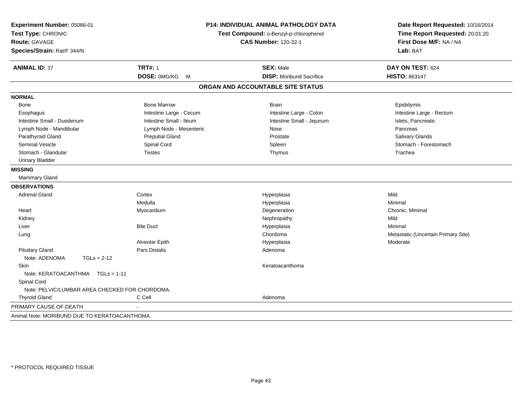| Experiment Number: 05086-01<br>Test Type: CHRONIC<br><b>Route: GAVAGE</b><br>Species/Strain: Rat/F 344/N |                         | P14: INDIVIDUAL ANIMAL PATHOLOGY DATA<br>Test Compound: o-Benzyl-p-chlorophenol<br><b>CAS Number: 120-32-1</b> | Date Report Requested: 10/16/2014<br>Time Report Requested: 20:01:20<br>First Dose M/F: NA / NA<br>Lab: BAT |
|----------------------------------------------------------------------------------------------------------|-------------------------|----------------------------------------------------------------------------------------------------------------|-------------------------------------------------------------------------------------------------------------|
| <b>ANIMAL ID: 37</b>                                                                                     | <b>TRT#: 1</b>          | <b>SEX: Male</b>                                                                                               | DAY ON TEST: 624                                                                                            |
|                                                                                                          | DOSE: 0MG/KG M          | <b>DISP:</b> Moribund Sacrifice                                                                                | HISTO: 863147                                                                                               |
|                                                                                                          |                         | ORGAN AND ACCOUNTABLE SITE STATUS                                                                              |                                                                                                             |
| <b>NORMAL</b>                                                                                            |                         |                                                                                                                |                                                                                                             |
| Bone                                                                                                     | <b>Bone Marrow</b>      | <b>Brain</b>                                                                                                   | Epididymis                                                                                                  |
| Esophagus                                                                                                | Intestine Large - Cecum | Intestine Large - Colon                                                                                        | Intestine Large - Rectum                                                                                    |
| Intestine Small - Duodenum                                                                               | Intestine Small - Ileum | Intestine Small - Jejunum                                                                                      | Islets, Pancreatic                                                                                          |
| Lymph Node - Mandibular                                                                                  | Lymph Node - Mesenteric | Nose                                                                                                           | Pancreas                                                                                                    |
| Parathyroid Gland                                                                                        | <b>Preputial Gland</b>  | Prostate                                                                                                       | Salivary Glands                                                                                             |
| Seminal Vesicle                                                                                          | Spinal Cord             | Spleen                                                                                                         | Stomach - Forestomach                                                                                       |
| Stomach - Glandular                                                                                      | <b>Testes</b>           | Thymus                                                                                                         | Trachea                                                                                                     |
| <b>Urinary Bladder</b>                                                                                   |                         |                                                                                                                |                                                                                                             |
| <b>MISSING</b>                                                                                           |                         |                                                                                                                |                                                                                                             |
| Mammary Gland                                                                                            |                         |                                                                                                                |                                                                                                             |
| <b>OBSERVATIONS</b>                                                                                      |                         |                                                                                                                |                                                                                                             |
| <b>Adrenal Gland</b>                                                                                     | Cortex                  | Hyperplasia                                                                                                    | Mild                                                                                                        |
|                                                                                                          | Medulla                 | Hyperplasia                                                                                                    | Minimal                                                                                                     |
| Heart                                                                                                    | Myocardium              | Degeneration                                                                                                   | Chronic, Minimal                                                                                            |
| Kidney                                                                                                   |                         | Nephropathy                                                                                                    | Mild                                                                                                        |
| Liver                                                                                                    | <b>Bile Duct</b>        | Hyperplasia                                                                                                    | Minimal                                                                                                     |
| Lung                                                                                                     |                         | Chordoma                                                                                                       | Metastatic (Uncertain Primary Site)                                                                         |
|                                                                                                          | Alveolar Epith          | Hyperplasia                                                                                                    | Moderate                                                                                                    |
| <b>Pituitary Gland</b>                                                                                   | <b>Pars Distalis</b>    | Adenoma                                                                                                        |                                                                                                             |
| Note: ADENOMA<br>$TGLs = 2-12$                                                                           |                         |                                                                                                                |                                                                                                             |
| Skin<br>Note: KERATOACANTHMA   TGLs = 1-11                                                               |                         | Keratoacanthoma                                                                                                |                                                                                                             |
| Spinal Cord                                                                                              |                         |                                                                                                                |                                                                                                             |
| Note: PELVIC/LUMBAR AREA CHECKED FOR CHORDOMA.                                                           |                         |                                                                                                                |                                                                                                             |
| <b>Thyroid Gland</b>                                                                                     | C Cell                  | Adenoma                                                                                                        |                                                                                                             |
| PRIMARY CAUSE OF DEATH                                                                                   |                         |                                                                                                                |                                                                                                             |
|                                                                                                          |                         |                                                                                                                |                                                                                                             |
| Animal Note: MORIBUND DUE TO KERATOACANTHOMA.                                                            |                         |                                                                                                                |                                                                                                             |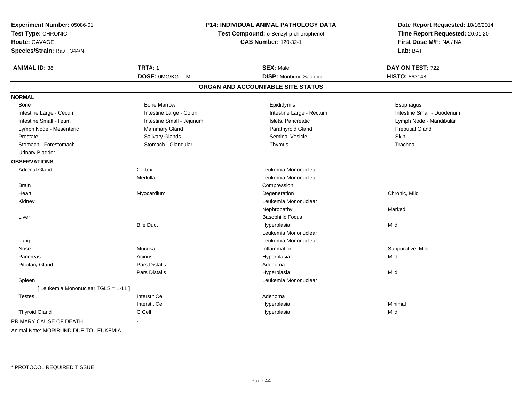| Experiment Number: 05086-01<br>Test Type: CHRONIC<br><b>Route: GAVAGE</b><br>Species/Strain: Rat/F 344/N |                           | <b>P14: INDIVIDUAL ANIMAL PATHOLOGY DATA</b><br>Test Compound: o-Benzyl-p-chlorophenol<br><b>CAS Number: 120-32-1</b> | Date Report Requested: 10/16/2014<br>Time Report Requested: 20:01:20<br>First Dose M/F: NA / NA<br>Lab: BAT |
|----------------------------------------------------------------------------------------------------------|---------------------------|-----------------------------------------------------------------------------------------------------------------------|-------------------------------------------------------------------------------------------------------------|
| <b>ANIMAL ID: 38</b>                                                                                     | <b>TRT#: 1</b>            | <b>SEX: Male</b>                                                                                                      | DAY ON TEST: 722                                                                                            |
|                                                                                                          | DOSE: 0MG/KG<br>M         | <b>DISP:</b> Moribund Sacrifice                                                                                       | HISTO: 863148                                                                                               |
|                                                                                                          |                           | ORGAN AND ACCOUNTABLE SITE STATUS                                                                                     |                                                                                                             |
| <b>NORMAL</b>                                                                                            |                           |                                                                                                                       |                                                                                                             |
| Bone                                                                                                     | <b>Bone Marrow</b>        | Epididymis                                                                                                            | Esophagus                                                                                                   |
| Intestine Large - Cecum                                                                                  | Intestine Large - Colon   | Intestine Large - Rectum                                                                                              | Intestine Small - Duodenum                                                                                  |
| Intestine Small - Ileum                                                                                  | Intestine Small - Jejunum | Islets, Pancreatic                                                                                                    | Lymph Node - Mandibular                                                                                     |
| Lymph Node - Mesenteric                                                                                  | Mammary Gland             | Parathyroid Gland                                                                                                     | <b>Preputial Gland</b>                                                                                      |
| Prostate                                                                                                 | Salivary Glands           | <b>Seminal Vesicle</b>                                                                                                | Skin                                                                                                        |
| Stomach - Forestomach                                                                                    | Stomach - Glandular       | Thymus                                                                                                                | Trachea                                                                                                     |
| <b>Urinary Bladder</b>                                                                                   |                           |                                                                                                                       |                                                                                                             |
| <b>OBSERVATIONS</b>                                                                                      |                           |                                                                                                                       |                                                                                                             |
| <b>Adrenal Gland</b>                                                                                     | Cortex                    | Leukemia Mononuclear                                                                                                  |                                                                                                             |
|                                                                                                          | Medulla                   | Leukemia Mononuclear                                                                                                  |                                                                                                             |
| <b>Brain</b>                                                                                             |                           | Compression                                                                                                           |                                                                                                             |
| Heart                                                                                                    | Myocardium                | Degeneration                                                                                                          | Chronic, Mild                                                                                               |
| Kidney                                                                                                   |                           | Leukemia Mononuclear                                                                                                  |                                                                                                             |
|                                                                                                          |                           | Nephropathy                                                                                                           | Marked                                                                                                      |
| Liver                                                                                                    |                           | <b>Basophilic Focus</b>                                                                                               |                                                                                                             |
|                                                                                                          | <b>Bile Duct</b>          | Hyperplasia                                                                                                           | Mild                                                                                                        |
|                                                                                                          |                           | Leukemia Mononuclear                                                                                                  |                                                                                                             |
| Lung                                                                                                     |                           | Leukemia Mononuclear                                                                                                  |                                                                                                             |
| Nose                                                                                                     | Mucosa                    | Inflammation                                                                                                          | Suppurative, Mild                                                                                           |
| Pancreas                                                                                                 | Acinus                    | Hyperplasia                                                                                                           | Mild                                                                                                        |
| <b>Pituitary Gland</b>                                                                                   | Pars Distalis             | Adenoma                                                                                                               |                                                                                                             |
|                                                                                                          | Pars Distalis             | Hyperplasia                                                                                                           | Mild                                                                                                        |
| Spleen                                                                                                   |                           | Leukemia Mononuclear                                                                                                  |                                                                                                             |
| [ Leukemia Mononuclear TGLS = 1-11 ]                                                                     |                           |                                                                                                                       |                                                                                                             |
| <b>Testes</b>                                                                                            | <b>Interstit Cell</b>     | Adenoma                                                                                                               |                                                                                                             |
|                                                                                                          | <b>Interstit Cell</b>     | Hyperplasia                                                                                                           | Minimal                                                                                                     |
| <b>Thyroid Gland</b>                                                                                     | C Cell                    | Hyperplasia                                                                                                           | Mild                                                                                                        |
| PRIMARY CAUSE OF DEATH                                                                                   |                           |                                                                                                                       |                                                                                                             |
| Animal Note: MORIBUND DUE TO LEUKEMIA.                                                                   |                           |                                                                                                                       |                                                                                                             |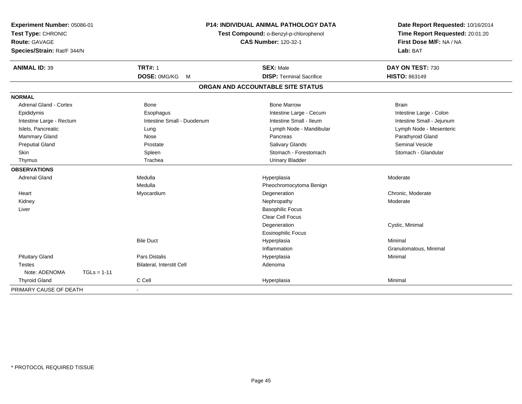| Experiment Number: 05086-01<br>Test Type: CHRONIC<br><b>Route: GAVAGE</b><br>Species/Strain: Rat/F 344/N |                                  | <b>P14: INDIVIDUAL ANIMAL PATHOLOGY DATA</b><br>Test Compound: o-Benzyl-p-chlorophenol<br><b>CAS Number: 120-32-1</b> | Date Report Requested: 10/16/2014<br>Time Report Requested: 20:01:20<br>First Dose M/F: NA / NA<br>Lab: BAT |
|----------------------------------------------------------------------------------------------------------|----------------------------------|-----------------------------------------------------------------------------------------------------------------------|-------------------------------------------------------------------------------------------------------------|
| <b>ANIMAL ID: 39</b>                                                                                     | <b>TRT#: 1</b>                   | <b>SEX: Male</b>                                                                                                      | DAY ON TEST: 730                                                                                            |
|                                                                                                          | DOSE: 0MG/KG<br>M                | <b>DISP: Terminal Sacrifice</b>                                                                                       | HISTO: 863149                                                                                               |
|                                                                                                          |                                  | ORGAN AND ACCOUNTABLE SITE STATUS                                                                                     |                                                                                                             |
| <b>NORMAL</b>                                                                                            |                                  |                                                                                                                       |                                                                                                             |
| <b>Adrenal Gland - Cortex</b>                                                                            | <b>Bone</b>                      | <b>Bone Marrow</b>                                                                                                    | <b>Brain</b>                                                                                                |
| Epididymis                                                                                               | Esophagus                        | Intestine Large - Cecum                                                                                               | Intestine Large - Colon                                                                                     |
| Intestine Large - Rectum                                                                                 | Intestine Small - Duodenum       | Intestine Small - Ileum                                                                                               | Intestine Small - Jejunum                                                                                   |
| Islets, Pancreatic                                                                                       | Lung                             | Lymph Node - Mandibular                                                                                               | Lymph Node - Mesenteric                                                                                     |
| Mammary Gland                                                                                            | Nose                             | Pancreas                                                                                                              | Parathyroid Gland                                                                                           |
| <b>Preputial Gland</b>                                                                                   | Prostate                         | <b>Salivary Glands</b>                                                                                                | <b>Seminal Vesicle</b>                                                                                      |
| Skin                                                                                                     | Spleen                           | Stomach - Forestomach                                                                                                 | Stomach - Glandular                                                                                         |
| Thymus                                                                                                   | Trachea                          | <b>Urinary Bladder</b>                                                                                                |                                                                                                             |
| <b>OBSERVATIONS</b>                                                                                      |                                  |                                                                                                                       |                                                                                                             |
| <b>Adrenal Gland</b>                                                                                     | Medulla                          | Hyperplasia                                                                                                           | Moderate                                                                                                    |
|                                                                                                          | Medulla                          | Pheochromocytoma Benign                                                                                               |                                                                                                             |
| Heart                                                                                                    | Myocardium                       | Degeneration                                                                                                          | Chronic, Moderate                                                                                           |
| Kidney                                                                                                   |                                  | Nephropathy                                                                                                           | Moderate                                                                                                    |
| Liver                                                                                                    |                                  | <b>Basophilic Focus</b>                                                                                               |                                                                                                             |
|                                                                                                          |                                  | <b>Clear Cell Focus</b>                                                                                               |                                                                                                             |
|                                                                                                          |                                  | Degeneration                                                                                                          | Cystic, Minimal                                                                                             |
|                                                                                                          |                                  | <b>Eosinophilic Focus</b>                                                                                             |                                                                                                             |
|                                                                                                          | <b>Bile Duct</b>                 | Hyperplasia                                                                                                           | Minimal                                                                                                     |
|                                                                                                          |                                  | Inflammation                                                                                                          | Granulomatous, Minimal                                                                                      |
| <b>Pituitary Gland</b>                                                                                   | <b>Pars Distalis</b>             | Hyperplasia                                                                                                           | Minimal                                                                                                     |
| <b>Testes</b>                                                                                            | <b>Bilateral, Interstit Cell</b> | Adenoma                                                                                                               |                                                                                                             |
| Note: ADENOMA<br>$TGLs = 1-11$                                                                           |                                  |                                                                                                                       |                                                                                                             |
| <b>Thyroid Gland</b>                                                                                     | C Cell                           | Hyperplasia                                                                                                           | Minimal                                                                                                     |
| PRIMARY CAUSE OF DEATH                                                                                   |                                  |                                                                                                                       |                                                                                                             |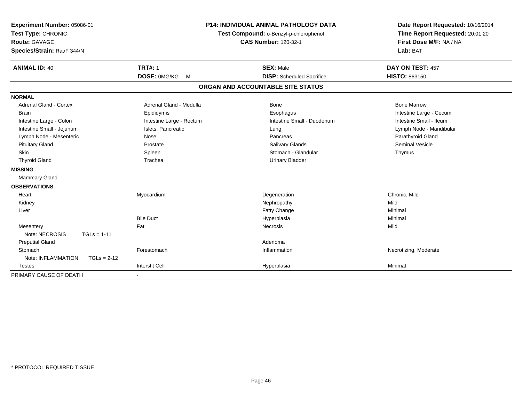| Experiment Number: 05086-01         |                          | <b>P14: INDIVIDUAL ANIMAL PATHOLOGY DATA</b> | Date Report Requested: 10/16/2014 |
|-------------------------------------|--------------------------|----------------------------------------------|-----------------------------------|
| Test Type: CHRONIC                  |                          | Test Compound: o-Benzyl-p-chlorophenol       | Time Report Requested: 20:01:20   |
| Route: GAVAGE                       |                          | <b>CAS Number: 120-32-1</b>                  | First Dose M/F: NA / NA           |
| Species/Strain: Rat/F 344/N         |                          |                                              | Lab: BAT                          |
| <b>ANIMAL ID: 40</b>                | <b>TRT#: 1</b>           | <b>SEX: Male</b>                             | DAY ON TEST: 457                  |
|                                     | DOSE: 0MG/KG<br>M        | <b>DISP:</b> Scheduled Sacrifice             | <b>HISTO: 863150</b>              |
|                                     |                          | ORGAN AND ACCOUNTABLE SITE STATUS            |                                   |
| <b>NORMAL</b>                       |                          |                                              |                                   |
| Adrenal Gland - Cortex              | Adrenal Gland - Medulla  | <b>Bone</b>                                  | <b>Bone Marrow</b>                |
| <b>Brain</b>                        | Epididymis               | Esophagus                                    | Intestine Large - Cecum           |
| Intestine Large - Colon             | Intestine Large - Rectum | Intestine Small - Duodenum                   | Intestine Small - Ileum           |
| Intestine Small - Jejunum           | Islets, Pancreatic       | Lung                                         | Lymph Node - Mandibular           |
| Lymph Node - Mesenteric             | Nose                     | Pancreas                                     | Parathyroid Gland                 |
| <b>Pituitary Gland</b>              | Prostate                 | <b>Salivary Glands</b>                       | <b>Seminal Vesicle</b>            |
| Skin                                | Spleen                   | Stomach - Glandular                          | Thymus                            |
| <b>Thyroid Gland</b>                | Trachea                  | <b>Urinary Bladder</b>                       |                                   |
| <b>MISSING</b>                      |                          |                                              |                                   |
| Mammary Gland                       |                          |                                              |                                   |
| <b>OBSERVATIONS</b>                 |                          |                                              |                                   |
| Heart                               | Myocardium               | Degeneration                                 | Chronic, Mild                     |
| Kidney                              |                          | Nephropathy                                  | Mild                              |
| Liver                               |                          | Fatty Change                                 | Minimal                           |
|                                     | <b>Bile Duct</b>         | Hyperplasia                                  | Minimal                           |
| Mesentery                           | Fat                      | Necrosis                                     | Mild                              |
| Note: NECROSIS<br>$TGLs = 1-11$     |                          |                                              |                                   |
| <b>Preputial Gland</b>              |                          | Adenoma                                      |                                   |
| Stomach                             | Forestomach              | Inflammation                                 | Necrotizing, Moderate             |
| Note: INFLAMMATION<br>$TGLs = 2-12$ |                          |                                              |                                   |
| Testes                              | <b>Interstit Cell</b>    | Hyperplasia                                  | Minimal                           |
| PRIMARY CAUSE OF DEATH              |                          |                                              |                                   |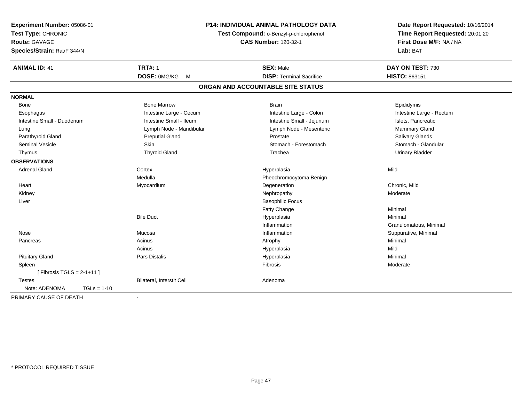| Experiment Number: 05086-01<br>Test Type: CHRONIC<br><b>Route: GAVAGE</b><br>Species/Strain: Rat/F 344/N |               |                           | <b>P14: INDIVIDUAL ANIMAL PATHOLOGY DATA</b><br>Test Compound: o-Benzyl-p-chlorophenol<br><b>CAS Number: 120-32-1</b> | Date Report Requested: 10/16/2014<br>Time Report Requested: 20:01:20<br>First Dose M/F: NA / NA<br>Lab: BAT |
|----------------------------------------------------------------------------------------------------------|---------------|---------------------------|-----------------------------------------------------------------------------------------------------------------------|-------------------------------------------------------------------------------------------------------------|
| <b>ANIMAL ID: 41</b>                                                                                     |               | <b>TRT#: 1</b>            | <b>SEX: Male</b>                                                                                                      | DAY ON TEST: 730                                                                                            |
|                                                                                                          |               | DOSE: 0MG/KG<br>M         | <b>DISP: Terminal Sacrifice</b>                                                                                       | HISTO: 863151                                                                                               |
|                                                                                                          |               |                           | ORGAN AND ACCOUNTABLE SITE STATUS                                                                                     |                                                                                                             |
| <b>NORMAL</b>                                                                                            |               |                           |                                                                                                                       |                                                                                                             |
| Bone                                                                                                     |               | <b>Bone Marrow</b>        | <b>Brain</b>                                                                                                          | Epididymis                                                                                                  |
| Esophagus                                                                                                |               | Intestine Large - Cecum   | Intestine Large - Colon                                                                                               | Intestine Large - Rectum                                                                                    |
| Intestine Small - Duodenum                                                                               |               | Intestine Small - Ileum   | Intestine Small - Jejunum                                                                                             | Islets, Pancreatic                                                                                          |
| Lung                                                                                                     |               | Lymph Node - Mandibular   | Lymph Node - Mesenteric                                                                                               | Mammary Gland                                                                                               |
| Parathyroid Gland                                                                                        |               | <b>Preputial Gland</b>    | Prostate                                                                                                              | <b>Salivary Glands</b>                                                                                      |
| <b>Seminal Vesicle</b>                                                                                   |               | Skin                      | Stomach - Forestomach                                                                                                 | Stomach - Glandular                                                                                         |
| Thymus                                                                                                   |               | <b>Thyroid Gland</b>      | Trachea                                                                                                               | <b>Urinary Bladder</b>                                                                                      |
| <b>OBSERVATIONS</b>                                                                                      |               |                           |                                                                                                                       |                                                                                                             |
| <b>Adrenal Gland</b>                                                                                     |               | Cortex                    | Hyperplasia                                                                                                           | Mild                                                                                                        |
|                                                                                                          |               | Medulla                   | Pheochromocytoma Benign                                                                                               |                                                                                                             |
| Heart                                                                                                    |               | Myocardium                | Degeneration                                                                                                          | Chronic, Mild                                                                                               |
| Kidney                                                                                                   |               |                           | Nephropathy                                                                                                           | Moderate                                                                                                    |
| Liver                                                                                                    |               |                           | <b>Basophilic Focus</b>                                                                                               |                                                                                                             |
|                                                                                                          |               |                           | Fatty Change                                                                                                          | Minimal                                                                                                     |
|                                                                                                          |               | <b>Bile Duct</b>          | Hyperplasia                                                                                                           | Minimal                                                                                                     |
|                                                                                                          |               |                           | Inflammation                                                                                                          | Granulomatous, Minimal                                                                                      |
| Nose                                                                                                     |               | Mucosa                    | Inflammation                                                                                                          | Suppurative, Minimal                                                                                        |
| Pancreas                                                                                                 |               | Acinus                    | Atrophy                                                                                                               | Minimal                                                                                                     |
|                                                                                                          |               | Acinus                    | Hyperplasia                                                                                                           | Mild                                                                                                        |
| <b>Pituitary Gland</b>                                                                                   |               | <b>Pars Distalis</b>      | Hyperplasia                                                                                                           | Minimal                                                                                                     |
| Spleen                                                                                                   |               |                           | Fibrosis                                                                                                              | Moderate                                                                                                    |
| [Fibrosis TGLS = $2-1+11$ ]                                                                              |               |                           |                                                                                                                       |                                                                                                             |
| <b>Testes</b>                                                                                            |               | Bilateral, Interstit Cell | Adenoma                                                                                                               |                                                                                                             |
| Note: ADENOMA                                                                                            | $TGLs = 1-10$ |                           |                                                                                                                       |                                                                                                             |
| PRIMARY CAUSE OF DEATH                                                                                   |               | $\sim$                    |                                                                                                                       |                                                                                                             |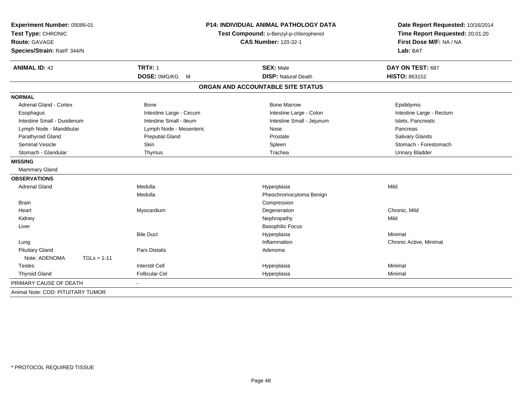| Experiment Number: 05086-01<br>Test Type: CHRONIC<br>Route: GAVAGE<br>Species/Strain: Rat/F 344/N |                         | <b>P14: INDIVIDUAL ANIMAL PATHOLOGY DATA</b><br>Test Compound: o-Benzyl-p-chlorophenol<br><b>CAS Number: 120-32-1</b> | Date Report Requested: 10/16/2014<br>Time Report Requested: 20:01:20<br>First Dose M/F: NA / NA<br>Lab: BAT |  |
|---------------------------------------------------------------------------------------------------|-------------------------|-----------------------------------------------------------------------------------------------------------------------|-------------------------------------------------------------------------------------------------------------|--|
| <b>ANIMAL ID: 42</b>                                                                              | <b>TRT#: 1</b>          | <b>SEX: Male</b>                                                                                                      | DAY ON TEST: 687                                                                                            |  |
|                                                                                                   | DOSE: 0MG/KG<br>M       | <b>DISP: Natural Death</b>                                                                                            | <b>HISTO: 863152</b>                                                                                        |  |
|                                                                                                   |                         | ORGAN AND ACCOUNTABLE SITE STATUS                                                                                     |                                                                                                             |  |
| <b>NORMAL</b>                                                                                     |                         |                                                                                                                       |                                                                                                             |  |
| Adrenal Gland - Cortex                                                                            | <b>Bone</b>             | <b>Bone Marrow</b>                                                                                                    | Epididymis                                                                                                  |  |
| Esophagus                                                                                         | Intestine Large - Cecum | Intestine Large - Colon                                                                                               | Intestine Large - Rectum                                                                                    |  |
| Intestine Small - Duodenum                                                                        | Intestine Small - Ileum | Intestine Small - Jejunum                                                                                             | Islets, Pancreatic                                                                                          |  |
| Lymph Node - Mandibular                                                                           | Lymph Node - Mesenteric | Nose                                                                                                                  | Pancreas                                                                                                    |  |
| Parathyroid Gland                                                                                 | <b>Preputial Gland</b>  | Prostate                                                                                                              | Salivary Glands                                                                                             |  |
| Seminal Vesicle                                                                                   | Skin                    | Spleen                                                                                                                | Stomach - Forestomach                                                                                       |  |
| Stomach - Glandular                                                                               | Thymus                  | Trachea                                                                                                               | <b>Urinary Bladder</b>                                                                                      |  |
| <b>MISSING</b>                                                                                    |                         |                                                                                                                       |                                                                                                             |  |
| <b>Mammary Gland</b>                                                                              |                         |                                                                                                                       |                                                                                                             |  |
| <b>OBSERVATIONS</b>                                                                               |                         |                                                                                                                       |                                                                                                             |  |
| <b>Adrenal Gland</b>                                                                              | Medulla                 | Hyperplasia                                                                                                           | Mild                                                                                                        |  |
|                                                                                                   | Medulla                 | Pheochromocytoma Benign                                                                                               |                                                                                                             |  |
| <b>Brain</b>                                                                                      |                         | Compression                                                                                                           |                                                                                                             |  |
| Heart                                                                                             | Myocardium              | Degeneration                                                                                                          | Chronic, Mild                                                                                               |  |
| Kidney                                                                                            |                         | Nephropathy                                                                                                           | Mild                                                                                                        |  |
| Liver                                                                                             |                         | <b>Basophilic Focus</b>                                                                                               |                                                                                                             |  |
|                                                                                                   | <b>Bile Duct</b>        | Hyperplasia                                                                                                           | Minimal                                                                                                     |  |
| Lung                                                                                              |                         | Inflammation                                                                                                          | Chronic Active, Minimal                                                                                     |  |
| <b>Pituitary Gland</b>                                                                            | <b>Pars Distalis</b>    | Adenoma                                                                                                               |                                                                                                             |  |
| Note: ADENOMA<br>$TGLs = 1-11$                                                                    |                         |                                                                                                                       |                                                                                                             |  |
| <b>Testes</b>                                                                                     | <b>Interstit Cell</b>   | Hyperplasia                                                                                                           | Minimal                                                                                                     |  |
| <b>Thyroid Gland</b>                                                                              | <b>Follicular Cel</b>   | Hyperplasia                                                                                                           | Minimal                                                                                                     |  |
| PRIMARY CAUSE OF DEATH                                                                            | $\blacksquare$          |                                                                                                                       |                                                                                                             |  |
| Animal Note: COD: PITUITARY TUMOR                                                                 |                         |                                                                                                                       |                                                                                                             |  |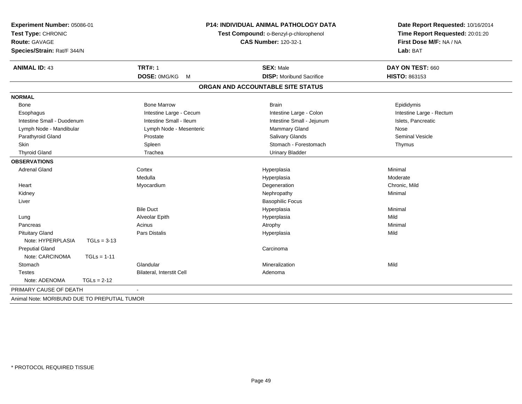| Experiment Number: 05086-01<br>Test Type: CHRONIC<br><b>Route: GAVAGE</b><br>Species/Strain: Rat/F 344/N |               | <b>P14: INDIVIDUAL ANIMAL PATHOLOGY DATA</b><br>Test Compound: o-Benzyl-p-chlorophenol<br><b>CAS Number: 120-32-1</b> |                                   | Date Report Requested: 10/16/2014<br>Time Report Requested: 20:01:20<br>First Dose M/F: NA / NA<br>Lab: BAT |
|----------------------------------------------------------------------------------------------------------|---------------|-----------------------------------------------------------------------------------------------------------------------|-----------------------------------|-------------------------------------------------------------------------------------------------------------|
| <b>ANIMAL ID: 43</b>                                                                                     |               | <b>TRT#: 1</b>                                                                                                        | <b>SEX: Male</b>                  | DAY ON TEST: 660                                                                                            |
|                                                                                                          |               | DOSE: 0MG/KG M                                                                                                        | <b>DISP:</b> Moribund Sacrifice   | HISTO: 863153                                                                                               |
|                                                                                                          |               |                                                                                                                       | ORGAN AND ACCOUNTABLE SITE STATUS |                                                                                                             |
| <b>NORMAL</b>                                                                                            |               |                                                                                                                       |                                   |                                                                                                             |
| Bone                                                                                                     |               | <b>Bone Marrow</b>                                                                                                    | <b>Brain</b>                      | Epididymis                                                                                                  |
| Esophagus                                                                                                |               | Intestine Large - Cecum                                                                                               | Intestine Large - Colon           | Intestine Large - Rectum                                                                                    |
| Intestine Small - Duodenum                                                                               |               | Intestine Small - Ileum                                                                                               | Intestine Small - Jejunum         | Islets, Pancreatic                                                                                          |
| Lymph Node - Mandibular                                                                                  |               | Lymph Node - Mesenteric                                                                                               | Mammary Gland                     | Nose                                                                                                        |
| Parathyroid Gland                                                                                        |               | Prostate                                                                                                              | <b>Salivary Glands</b>            | <b>Seminal Vesicle</b>                                                                                      |
| Skin                                                                                                     |               | Spleen                                                                                                                | Stomach - Forestomach             | Thymus                                                                                                      |
| <b>Thyroid Gland</b>                                                                                     |               | Trachea                                                                                                               | <b>Urinary Bladder</b>            |                                                                                                             |
| <b>OBSERVATIONS</b>                                                                                      |               |                                                                                                                       |                                   |                                                                                                             |
| <b>Adrenal Gland</b>                                                                                     |               | Cortex                                                                                                                | Hyperplasia                       | Minimal                                                                                                     |
|                                                                                                          |               | Medulla                                                                                                               | Hyperplasia                       | Moderate                                                                                                    |
| Heart                                                                                                    |               | Myocardium                                                                                                            | Degeneration                      | Chronic, Mild                                                                                               |
| Kidney                                                                                                   |               |                                                                                                                       | Nephropathy                       | Minimal                                                                                                     |
| Liver                                                                                                    |               |                                                                                                                       | <b>Basophilic Focus</b>           |                                                                                                             |
|                                                                                                          |               | <b>Bile Duct</b>                                                                                                      | Hyperplasia                       | Minimal                                                                                                     |
| Lung                                                                                                     |               | Alveolar Epith                                                                                                        | Hyperplasia                       | Mild                                                                                                        |
| Pancreas                                                                                                 |               | Acinus                                                                                                                | Atrophy                           | Minimal                                                                                                     |
| <b>Pituitary Gland</b>                                                                                   |               | <b>Pars Distalis</b>                                                                                                  | Hyperplasia                       | Mild                                                                                                        |
| Note: HYPERPLASIA                                                                                        | $TGLs = 3-13$ |                                                                                                                       |                                   |                                                                                                             |
| <b>Preputial Gland</b>                                                                                   |               |                                                                                                                       | Carcinoma                         |                                                                                                             |
| Note: CARCINOMA                                                                                          | $TGLs = 1-11$ |                                                                                                                       |                                   |                                                                                                             |
| Stomach                                                                                                  |               | Glandular                                                                                                             | Mineralization                    | Mild                                                                                                        |
| <b>Testes</b>                                                                                            |               | Bilateral, Interstit Cell                                                                                             | Adenoma                           |                                                                                                             |
| Note: ADENOMA                                                                                            | $TGLs = 2-12$ |                                                                                                                       |                                   |                                                                                                             |
| PRIMARY CAUSE OF DEATH                                                                                   |               |                                                                                                                       |                                   |                                                                                                             |
| Animal Note: MORIBUND DUE TO PREPUTIAL TUMOR                                                             |               |                                                                                                                       |                                   |                                                                                                             |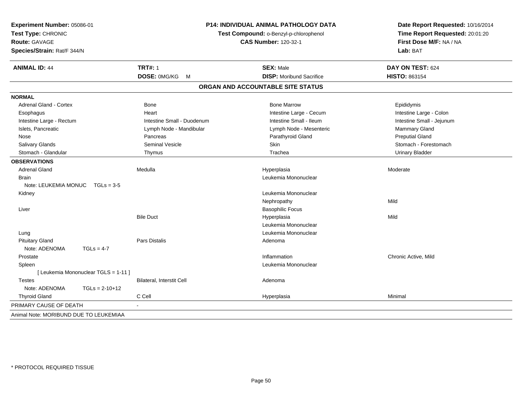| Experiment Number: 05086-01<br>Test Type: CHRONIC<br><b>Route: GAVAGE</b><br>Species/Strain: Rat/F 344/N |                            | P14: INDIVIDUAL ANIMAL PATHOLOGY DATA<br>Test Compound: o-Benzyl-p-chlorophenol<br><b>CAS Number: 120-32-1</b> |                           |
|----------------------------------------------------------------------------------------------------------|----------------------------|----------------------------------------------------------------------------------------------------------------|---------------------------|
| <b>ANIMAL ID: 44</b>                                                                                     | <b>TRT#: 1</b>             | <b>SEX: Male</b>                                                                                               | DAY ON TEST: 624          |
|                                                                                                          | DOSE: 0MG/KG M             | <b>DISP:</b> Moribund Sacrifice                                                                                | HISTO: 863154             |
|                                                                                                          |                            | ORGAN AND ACCOUNTABLE SITE STATUS                                                                              |                           |
| <b>NORMAL</b>                                                                                            |                            |                                                                                                                |                           |
| <b>Adrenal Gland - Cortex</b>                                                                            | Bone                       | <b>Bone Marrow</b>                                                                                             | Epididymis                |
| Esophagus                                                                                                | Heart                      | Intestine Large - Cecum                                                                                        | Intestine Large - Colon   |
| Intestine Large - Rectum                                                                                 | Intestine Small - Duodenum | Intestine Small - Ileum                                                                                        | Intestine Small - Jejunum |
| Islets, Pancreatic                                                                                       | Lymph Node - Mandibular    | Lymph Node - Mesenteric                                                                                        | Mammary Gland             |
| Nose                                                                                                     | Pancreas                   | Parathyroid Gland                                                                                              | <b>Preputial Gland</b>    |
| Salivary Glands                                                                                          | <b>Seminal Vesicle</b>     | Skin                                                                                                           | Stomach - Forestomach     |
| Stomach - Glandular                                                                                      | Thymus                     | Trachea                                                                                                        | <b>Urinary Bladder</b>    |
| <b>OBSERVATIONS</b>                                                                                      |                            |                                                                                                                |                           |
| <b>Adrenal Gland</b>                                                                                     | Medulla                    | Hyperplasia                                                                                                    | Moderate                  |
| <b>Brain</b>                                                                                             |                            | Leukemia Mononuclear                                                                                           |                           |
| Note: LEUKEMIA MONUC                                                                                     | $TGLs = 3-5$               |                                                                                                                |                           |
| Kidney                                                                                                   |                            | Leukemia Mononuclear                                                                                           |                           |
|                                                                                                          |                            | Nephropathy                                                                                                    | Mild                      |
| Liver                                                                                                    |                            | <b>Basophilic Focus</b>                                                                                        |                           |
|                                                                                                          | <b>Bile Duct</b>           | Hyperplasia                                                                                                    | Mild                      |
|                                                                                                          |                            | Leukemia Mononuclear                                                                                           |                           |
| Lung                                                                                                     |                            | Leukemia Mononuclear                                                                                           |                           |
| <b>Pituitary Gland</b>                                                                                   | <b>Pars Distalis</b>       | Adenoma                                                                                                        |                           |
| Note: ADENOMA<br>$TGLs = 4-7$                                                                            |                            |                                                                                                                |                           |
| Prostate                                                                                                 |                            | Inflammation                                                                                                   | Chronic Active, Mild      |
| Spleen                                                                                                   |                            | Leukemia Mononuclear                                                                                           |                           |
| [ Leukemia Mononuclear TGLS = 1-11 ]                                                                     |                            |                                                                                                                |                           |
| <b>Testes</b>                                                                                            | Bilateral, Interstit Cell  | Adenoma                                                                                                        |                           |
| Note: ADENOMA                                                                                            | $TGLs = 2-10+12$           |                                                                                                                |                           |
| <b>Thyroid Gland</b>                                                                                     | C Cell                     | Hyperplasia                                                                                                    | Minimal                   |
| PRIMARY CAUSE OF DEATH                                                                                   |                            |                                                                                                                |                           |
| Animal Note: MORIBUND DUE TO LEUKEMIAA                                                                   |                            |                                                                                                                |                           |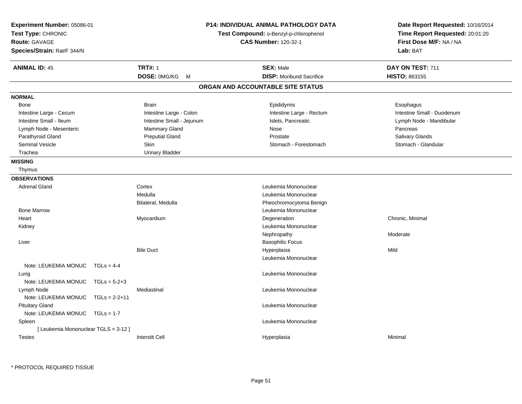| Experiment Number: 05086-01<br>Test Type: CHRONIC<br>Route: GAVAGE<br>Species/Strain: Rat/F 344/N |                 |                           | <b>P14: INDIVIDUAL ANIMAL PATHOLOGY DATA</b><br>Test Compound: o-Benzyl-p-chlorophenol<br><b>CAS Number: 120-32-1</b> | Date Report Requested: 10/16/2014<br>Time Report Requested: 20:01:20<br>First Dose M/F: NA / NA<br>Lab: BAT |
|---------------------------------------------------------------------------------------------------|-----------------|---------------------------|-----------------------------------------------------------------------------------------------------------------------|-------------------------------------------------------------------------------------------------------------|
| <b>ANIMAL ID: 45</b>                                                                              |                 | <b>TRT#: 1</b>            | <b>SEX: Male</b>                                                                                                      | DAY ON TEST: 711                                                                                            |
|                                                                                                   |                 | DOSE: 0MG/KG<br>M         | <b>DISP:</b> Moribund Sacrifice                                                                                       | HISTO: 863155                                                                                               |
|                                                                                                   |                 |                           | ORGAN AND ACCOUNTABLE SITE STATUS                                                                                     |                                                                                                             |
| <b>NORMAL</b>                                                                                     |                 |                           |                                                                                                                       |                                                                                                             |
| Bone                                                                                              |                 | <b>Brain</b>              | Epididymis                                                                                                            | Esophagus                                                                                                   |
| Intestine Large - Cecum                                                                           |                 | Intestine Large - Colon   | Intestine Large - Rectum                                                                                              | Intestine Small - Duodenum                                                                                  |
| Intestine Small - Ileum                                                                           |                 | Intestine Small - Jejunum | Islets, Pancreatic                                                                                                    | Lymph Node - Mandibular                                                                                     |
| Lymph Node - Mesenteric                                                                           |                 | Mammary Gland             | Nose                                                                                                                  | Pancreas                                                                                                    |
| Parathyroid Gland                                                                                 |                 | <b>Preputial Gland</b>    | Prostate                                                                                                              | Salivary Glands                                                                                             |
| <b>Seminal Vesicle</b>                                                                            |                 | Skin                      | Stomach - Forestomach                                                                                                 | Stomach - Glandular                                                                                         |
| Trachea                                                                                           |                 | <b>Urinary Bladder</b>    |                                                                                                                       |                                                                                                             |
| <b>MISSING</b>                                                                                    |                 |                           |                                                                                                                       |                                                                                                             |
| Thymus                                                                                            |                 |                           |                                                                                                                       |                                                                                                             |
| <b>OBSERVATIONS</b>                                                                               |                 |                           |                                                                                                                       |                                                                                                             |
| <b>Adrenal Gland</b>                                                                              |                 | Cortex                    | Leukemia Mononuclear                                                                                                  |                                                                                                             |
|                                                                                                   |                 | Medulla                   | Leukemia Mononuclear                                                                                                  |                                                                                                             |
|                                                                                                   |                 | Bilateral, Medulla        | Pheochromocytoma Benign                                                                                               |                                                                                                             |
| <b>Bone Marrow</b>                                                                                |                 |                           | Leukemia Mononuclear                                                                                                  |                                                                                                             |
| Heart                                                                                             |                 | Myocardium                | Degeneration                                                                                                          | Chronic, Minimal                                                                                            |
| Kidney                                                                                            |                 |                           | Leukemia Mononuclear                                                                                                  |                                                                                                             |
|                                                                                                   |                 |                           | Nephropathy                                                                                                           | Moderate                                                                                                    |
| Liver                                                                                             |                 |                           | <b>Basophilic Focus</b>                                                                                               |                                                                                                             |
|                                                                                                   |                 | <b>Bile Duct</b>          | Hyperplasia                                                                                                           | Mild                                                                                                        |
|                                                                                                   |                 |                           | Leukemia Mononuclear                                                                                                  |                                                                                                             |
| Note: LEUKEMIA MONUC                                                                              | $TGLs = 4-4$    |                           |                                                                                                                       |                                                                                                             |
| Lung                                                                                              |                 |                           | Leukemia Mononuclear                                                                                                  |                                                                                                             |
| Note: LEUKEMIA MONUC                                                                              | $TGLs = 5-2+3$  |                           |                                                                                                                       |                                                                                                             |
| Lymph Node                                                                                        |                 | Mediastinal               | Leukemia Mononuclear                                                                                                  |                                                                                                             |
| Note: LEUKEMIA MONUC                                                                              | $TGLs = 2-2+11$ |                           |                                                                                                                       |                                                                                                             |
| <b>Pituitary Gland</b>                                                                            |                 |                           | Leukemia Mononuclear                                                                                                  |                                                                                                             |
| Note: LEUKEMIA MONUC                                                                              | $TGLs = 1-7$    |                           |                                                                                                                       |                                                                                                             |
| Spleen                                                                                            |                 |                           | Leukemia Mononuclear                                                                                                  |                                                                                                             |
| [ Leukemia Mononuclear TGLS = 3-12 ]                                                              |                 |                           |                                                                                                                       |                                                                                                             |
| <b>Testes</b>                                                                                     |                 | <b>Interstit Cell</b>     | Hyperplasia                                                                                                           | Minimal                                                                                                     |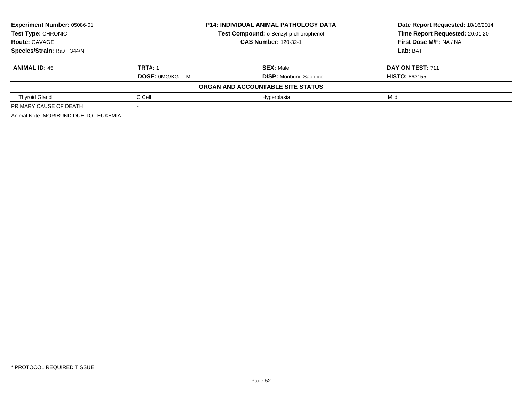| Experiment Number: 05086-01           | <b>P14: INDIVIDUAL ANIMAL PATHOLOGY DATA</b><br>Test Compound: o-Benzyl-p-chlorophenol |                                   | Date Report Requested: 10/16/2014 |  |
|---------------------------------------|----------------------------------------------------------------------------------------|-----------------------------------|-----------------------------------|--|
| Test Type: CHRONIC                    |                                                                                        |                                   | Time Report Requested: 20:01:20   |  |
| <b>Route: GAVAGE</b>                  |                                                                                        | <b>CAS Number: 120-32-1</b>       | First Dose M/F: NA / NA           |  |
| Species/Strain: Rat/F 344/N           |                                                                                        |                                   | Lab: BAT                          |  |
| <b>ANIMAL ID: 45</b>                  | <b>TRT#: 1</b>                                                                         | <b>SEX: Male</b>                  | DAY ON TEST: 711                  |  |
|                                       | <b>DOSE: OMG/KG M</b>                                                                  | <b>DISP:</b> Moribund Sacrifice   | <b>HISTO: 863155</b>              |  |
|                                       |                                                                                        | ORGAN AND ACCOUNTABLE SITE STATUS |                                   |  |
| <b>Thyroid Gland</b>                  | C Cell                                                                                 | Hyperplasia                       | Mild                              |  |
| PRIMARY CAUSE OF DEATH                |                                                                                        |                                   |                                   |  |
| Animal Note: MORIBUND DUE TO LEUKEMIA |                                                                                        |                                   |                                   |  |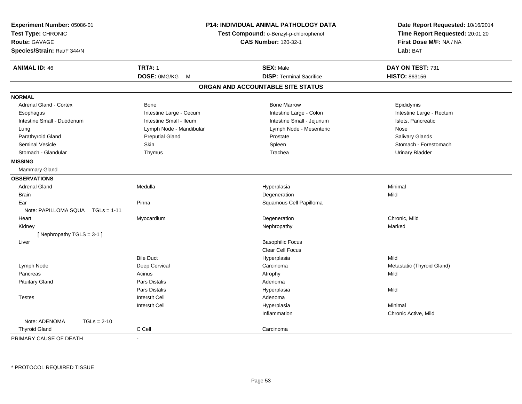| Experiment Number: 05086-01<br>Test Type: CHRONIC<br>Route: GAVAGE<br>Species/Strain: Rat/F 344/N |                             | P14: INDIVIDUAL ANIMAL PATHOLOGY DATA<br>Test Compound: o-Benzyl-p-chlorophenol<br><b>CAS Number: 120-32-1</b> | Date Report Requested: 10/16/2014<br>Time Report Requested: 20:01:20<br>First Dose M/F: NA / NA<br>Lab: BAT |
|---------------------------------------------------------------------------------------------------|-----------------------------|----------------------------------------------------------------------------------------------------------------|-------------------------------------------------------------------------------------------------------------|
| <b>ANIMAL ID: 46</b>                                                                              | <b>TRT#: 1</b>              | <b>SEX: Male</b>                                                                                               | DAY ON TEST: 731                                                                                            |
|                                                                                                   | DOSE: 0MG/KG<br>$M_{\odot}$ | <b>DISP: Terminal Sacrifice</b>                                                                                | HISTO: 863156                                                                                               |
|                                                                                                   |                             | ORGAN AND ACCOUNTABLE SITE STATUS                                                                              |                                                                                                             |
| <b>NORMAL</b>                                                                                     |                             |                                                                                                                |                                                                                                             |
| <b>Adrenal Gland - Cortex</b>                                                                     | Bone                        | <b>Bone Marrow</b>                                                                                             | Epididymis                                                                                                  |
| Esophagus                                                                                         | Intestine Large - Cecum     | Intestine Large - Colon                                                                                        | Intestine Large - Rectum                                                                                    |
| Intestine Small - Duodenum                                                                        | Intestine Small - Ileum     | Intestine Small - Jejunum                                                                                      | Islets, Pancreatic                                                                                          |
| Lung                                                                                              | Lymph Node - Mandibular     | Lymph Node - Mesenteric                                                                                        | Nose                                                                                                        |
| Parathyroid Gland                                                                                 | <b>Preputial Gland</b>      | Prostate                                                                                                       | Salivary Glands                                                                                             |
| <b>Seminal Vesicle</b>                                                                            | Skin                        | Spleen                                                                                                         | Stomach - Forestomach                                                                                       |
| Stomach - Glandular                                                                               | Thymus                      | Trachea                                                                                                        | <b>Urinary Bladder</b>                                                                                      |
| <b>MISSING</b>                                                                                    |                             |                                                                                                                |                                                                                                             |
| Mammary Gland                                                                                     |                             |                                                                                                                |                                                                                                             |
| <b>OBSERVATIONS</b>                                                                               |                             |                                                                                                                |                                                                                                             |
| <b>Adrenal Gland</b>                                                                              | Medulla                     | Hyperplasia                                                                                                    | Minimal                                                                                                     |
| <b>Brain</b>                                                                                      |                             | Degeneration                                                                                                   | Mild                                                                                                        |
| Ear                                                                                               | Pinna                       | Squamous Cell Papilloma                                                                                        |                                                                                                             |
| Note: PAPILLOMA SQUA TGLs = 1-11                                                                  |                             |                                                                                                                |                                                                                                             |
| Heart                                                                                             | Myocardium                  | Degeneration                                                                                                   | Chronic, Mild                                                                                               |
| Kidney                                                                                            |                             | Nephropathy                                                                                                    | Marked                                                                                                      |
| [Nephropathy TGLS = 3-1]                                                                          |                             |                                                                                                                |                                                                                                             |
| Liver                                                                                             |                             | <b>Basophilic Focus</b>                                                                                        |                                                                                                             |
|                                                                                                   |                             | <b>Clear Cell Focus</b>                                                                                        |                                                                                                             |
|                                                                                                   | <b>Bile Duct</b>            | Hyperplasia                                                                                                    | Mild                                                                                                        |
| Lymph Node                                                                                        | Deep Cervical               | Carcinoma                                                                                                      | Metastatic (Thyroid Gland)                                                                                  |
| Pancreas                                                                                          | Acinus                      | Atrophy                                                                                                        | Mild                                                                                                        |
| <b>Pituitary Gland</b>                                                                            | <b>Pars Distalis</b>        | Adenoma                                                                                                        |                                                                                                             |
|                                                                                                   | <b>Pars Distalis</b>        | Hyperplasia                                                                                                    | Mild                                                                                                        |
| <b>Testes</b>                                                                                     | <b>Interstit Cell</b>       | Adenoma                                                                                                        |                                                                                                             |
|                                                                                                   | <b>Interstit Cell</b>       | Hyperplasia                                                                                                    | Minimal                                                                                                     |
|                                                                                                   |                             | Inflammation                                                                                                   | Chronic Active, Mild                                                                                        |
| Note: ADENOMA<br>$TGLs = 2-10$                                                                    |                             |                                                                                                                |                                                                                                             |
| <b>Thyroid Gland</b>                                                                              | C Cell                      | Carcinoma                                                                                                      |                                                                                                             |
| PRIMARY CAUSE OF DEATH                                                                            |                             |                                                                                                                |                                                                                                             |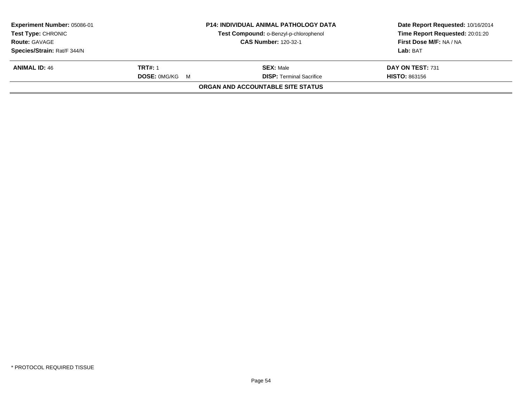| <b>Experiment Number: 05086-01</b><br><b>Test Type: CHRONIC</b> |                       | <b>P14: INDIVIDUAL ANIMAL PATHOLOGY DATA</b> | Date Report Requested: 10/16/2014<br>Time Report Requested: 20:01:20 |
|-----------------------------------------------------------------|-----------------------|----------------------------------------------|----------------------------------------------------------------------|
|                                                                 |                       | Test Compound: o-Benzyl-p-chlorophenol       |                                                                      |
| <b>Route: GAVAGE</b>                                            |                       | <b>CAS Number: 120-32-1</b>                  | First Dose M/F: NA / NA                                              |
| Species/Strain: Rat/F 344/N                                     |                       |                                              | Lab: BAT                                                             |
| <b>ANIMAL ID: 46</b>                                            | <b>TRT#: 1</b>        | <b>SEX: Male</b>                             | DAY ON TEST: 731                                                     |
|                                                                 | <b>DOSE: OMG/KG M</b> | <b>DISP:</b> Terminal Sacrifice              | <b>HISTO: 863156</b>                                                 |
|                                                                 |                       | <b>ORGAN AND ACCOUNTABLE SITE STATUS</b>     |                                                                      |
|                                                                 |                       |                                              |                                                                      |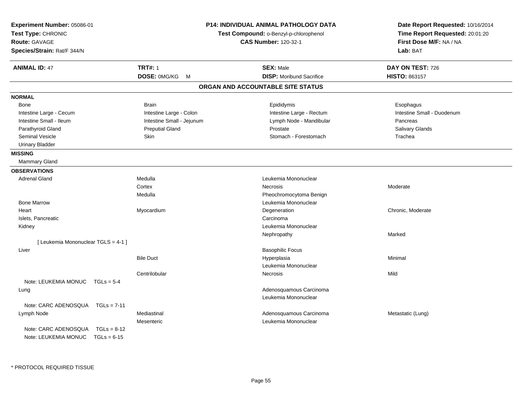| Experiment Number: 05086-01<br>Test Type: CHRONIC<br><b>Route: GAVAGE</b><br>Species/Strain: Rat/F 344/N |                           | <b>P14: INDIVIDUAL ANIMAL PATHOLOGY DATA</b><br>Test Compound: o-Benzyl-p-chlorophenol<br><b>CAS Number: 120-32-1</b> | Date Report Requested: 10/16/2014<br>Time Report Requested: 20:01:20<br>First Dose M/F: NA / NA<br>Lab: BAT |
|----------------------------------------------------------------------------------------------------------|---------------------------|-----------------------------------------------------------------------------------------------------------------------|-------------------------------------------------------------------------------------------------------------|
| <b>ANIMAL ID: 47</b>                                                                                     | <b>TRT#: 1</b>            | <b>SEX: Male</b>                                                                                                      | DAY ON TEST: 726                                                                                            |
|                                                                                                          | DOSE: 0MG/KG<br>M         | <b>DISP:</b> Moribund Sacrifice                                                                                       | HISTO: 863157                                                                                               |
|                                                                                                          |                           | ORGAN AND ACCOUNTABLE SITE STATUS                                                                                     |                                                                                                             |
| <b>NORMAL</b>                                                                                            |                           |                                                                                                                       |                                                                                                             |
| Bone                                                                                                     | <b>Brain</b>              | Epididymis                                                                                                            | Esophagus                                                                                                   |
| Intestine Large - Cecum                                                                                  | Intestine Large - Colon   | Intestine Large - Rectum                                                                                              | Intestine Small - Duodenum                                                                                  |
| Intestine Small - Ileum                                                                                  | Intestine Small - Jejunum | Lymph Node - Mandibular                                                                                               | Pancreas                                                                                                    |
| Parathyroid Gland                                                                                        | <b>Preputial Gland</b>    | Prostate                                                                                                              | Salivary Glands                                                                                             |
| <b>Seminal Vesicle</b>                                                                                   | Skin                      | Stomach - Forestomach                                                                                                 | Trachea                                                                                                     |
| <b>Urinary Bladder</b>                                                                                   |                           |                                                                                                                       |                                                                                                             |
| <b>MISSING</b>                                                                                           |                           |                                                                                                                       |                                                                                                             |
| Mammary Gland                                                                                            |                           |                                                                                                                       |                                                                                                             |
| <b>OBSERVATIONS</b>                                                                                      |                           |                                                                                                                       |                                                                                                             |
| <b>Adrenal Gland</b>                                                                                     | Medulla                   | Leukemia Mononuclear                                                                                                  |                                                                                                             |
|                                                                                                          | Cortex                    | Necrosis                                                                                                              | Moderate                                                                                                    |
|                                                                                                          | Medulla                   | Pheochromocytoma Benign                                                                                               |                                                                                                             |
| <b>Bone Marrow</b>                                                                                       |                           | Leukemia Mononuclear                                                                                                  |                                                                                                             |
| Heart                                                                                                    | Myocardium                | Degeneration                                                                                                          | Chronic, Moderate                                                                                           |
| Islets, Pancreatic                                                                                       |                           | Carcinoma                                                                                                             |                                                                                                             |
| Kidney                                                                                                   |                           | Leukemia Mononuclear                                                                                                  |                                                                                                             |
|                                                                                                          |                           | Nephropathy                                                                                                           | Marked                                                                                                      |
| [ Leukemia Mononuclear TGLS = 4-1 ]                                                                      |                           |                                                                                                                       |                                                                                                             |
| Liver                                                                                                    |                           | <b>Basophilic Focus</b>                                                                                               |                                                                                                             |
|                                                                                                          | <b>Bile Duct</b>          | Hyperplasia                                                                                                           | Minimal                                                                                                     |
|                                                                                                          |                           | Leukemia Mononuclear                                                                                                  |                                                                                                             |
|                                                                                                          | Centrilobular             | Necrosis                                                                                                              | Mild                                                                                                        |
| Note: LEUKEMIA MONUC TGLs = 5-4                                                                          |                           |                                                                                                                       |                                                                                                             |
| Lung                                                                                                     |                           | Adenosquamous Carcinoma                                                                                               |                                                                                                             |
|                                                                                                          |                           | Leukemia Mononuclear                                                                                                  |                                                                                                             |
| Note: CARC ADENOSQUA<br>$TGLs = 7-11$                                                                    |                           |                                                                                                                       |                                                                                                             |
| Lymph Node                                                                                               | Mediastinal               | Adenosquamous Carcinoma                                                                                               | Metastatic (Lung)                                                                                           |
|                                                                                                          | Mesenteric                | Leukemia Mononuclear                                                                                                  |                                                                                                             |
| Note: CARC ADENOSQUA<br>$TGLs = 8-12$                                                                    |                           |                                                                                                                       |                                                                                                             |
| Note: LEUKEMIA MONUC<br>$TGLs = 6-15$                                                                    |                           |                                                                                                                       |                                                                                                             |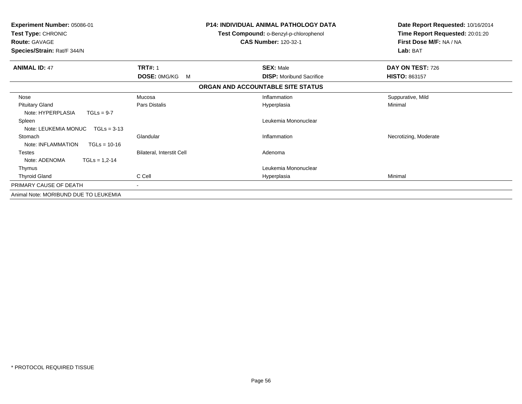| <b>Experiment Number: 05086-01</b><br>Test Type: CHRONIC<br><b>Route: GAVAGE</b><br>Species/Strain: Rat/F 344/N |                                  | <b>P14: INDIVIDUAL ANIMAL PATHOLOGY DATA</b><br>Test Compound: o-Benzyl-p-chlorophenol<br><b>CAS Number: 120-32-1</b> | Date Report Requested: 10/16/2014<br>Time Report Requested: 20:01:20<br>First Dose M/F: NA / NA<br>Lab: BAT |
|-----------------------------------------------------------------------------------------------------------------|----------------------------------|-----------------------------------------------------------------------------------------------------------------------|-------------------------------------------------------------------------------------------------------------|
| <b>ANIMAL ID: 47</b>                                                                                            | <b>TRT#: 1</b>                   | <b>SEX: Male</b>                                                                                                      | DAY ON TEST: 726                                                                                            |
|                                                                                                                 | DOSE: 0MG/KG<br>M                | <b>DISP:</b> Moribund Sacrifice                                                                                       | <b>HISTO: 863157</b>                                                                                        |
|                                                                                                                 |                                  | ORGAN AND ACCOUNTABLE SITE STATUS                                                                                     |                                                                                                             |
| Nose                                                                                                            | Mucosa                           | Inflammation                                                                                                          | Suppurative, Mild                                                                                           |
| <b>Pituitary Gland</b><br>Note: HYPERPLASIA<br>$TGLs = 9-7$                                                     | Pars Distalis                    | Hyperplasia                                                                                                           | Minimal                                                                                                     |
| Spleen<br>Note: LEUKEMIA MONUC<br>$TGLs = 3-13$                                                                 |                                  | Leukemia Mononuclear                                                                                                  |                                                                                                             |
| Stomach<br>Note: INFLAMMATION<br>$TGLs = 10-16$                                                                 | Glandular                        | Inflammation                                                                                                          | Necrotizing, Moderate                                                                                       |
| <b>Testes</b><br>Note: ADENOMA<br>$TGLs = 1,2-14$                                                               | <b>Bilateral, Interstit Cell</b> | Adenoma                                                                                                               |                                                                                                             |
| Thymus                                                                                                          |                                  | Leukemia Mononuclear                                                                                                  |                                                                                                             |
| <b>Thyroid Gland</b>                                                                                            | C Cell                           | Hyperplasia                                                                                                           | Minimal                                                                                                     |
| PRIMARY CAUSE OF DEATH                                                                                          | Ξ.                               |                                                                                                                       |                                                                                                             |
| Animal Note: MORIBUND DUE TO LEUKEMIA                                                                           |                                  |                                                                                                                       |                                                                                                             |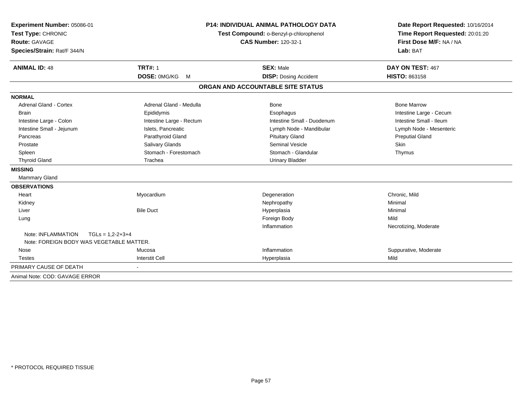| Experiment Number: 05086-01                    |                          | <b>P14: INDIVIDUAL ANIMAL PATHOLOGY DATA</b> | Date Report Requested: 10/16/2014 |  |
|------------------------------------------------|--------------------------|----------------------------------------------|-----------------------------------|--|
| Test Type: CHRONIC                             |                          | Test Compound: o-Benzyl-p-chlorophenol       | Time Report Requested: 20:01:20   |  |
| <b>Route: GAVAGE</b>                           |                          | <b>CAS Number: 120-32-1</b>                  | First Dose M/F: NA / NA           |  |
| Species/Strain: Rat/F 344/N                    |                          |                                              | Lab: BAT                          |  |
| <b>ANIMAL ID: 48</b>                           | <b>TRT#: 1</b>           | <b>SEX: Male</b>                             | DAY ON TEST: 467                  |  |
|                                                | DOSE: 0MG/KG<br>M        | <b>DISP: Dosing Accident</b>                 | <b>HISTO: 863158</b>              |  |
|                                                |                          | ORGAN AND ACCOUNTABLE SITE STATUS            |                                   |  |
| <b>NORMAL</b>                                  |                          |                                              |                                   |  |
| Adrenal Gland - Cortex                         | Adrenal Gland - Medulla  | Bone                                         | <b>Bone Marrow</b>                |  |
| <b>Brain</b>                                   | Epididymis               | Esophagus                                    | Intestine Large - Cecum           |  |
| Intestine Large - Colon                        | Intestine Large - Rectum | Intestine Small - Duodenum                   | Intestine Small - Ileum           |  |
| Intestine Small - Jejunum                      | Islets. Pancreatic       | Lymph Node - Mandibular                      | Lymph Node - Mesenteric           |  |
| Pancreas                                       | Parathyroid Gland        | <b>Pituitary Gland</b>                       | <b>Preputial Gland</b>            |  |
| Prostate                                       | Salivary Glands          | Seminal Vesicle                              | Skin                              |  |
| Spleen                                         | Stomach - Forestomach    | Stomach - Glandular                          | Thymus                            |  |
| <b>Thyroid Gland</b>                           | Trachea                  | <b>Urinary Bladder</b>                       |                                   |  |
| <b>MISSING</b>                                 |                          |                                              |                                   |  |
| Mammary Gland                                  |                          |                                              |                                   |  |
| <b>OBSERVATIONS</b>                            |                          |                                              |                                   |  |
| Heart                                          | Myocardium               | Degeneration                                 | Chronic, Mild                     |  |
| Kidney                                         |                          | Nephropathy                                  | Minimal                           |  |
| Liver                                          | <b>Bile Duct</b>         | Hyperplasia                                  | Minimal                           |  |
| Lung                                           |                          | Foreign Body                                 | Mild                              |  |
|                                                |                          | Inflammation                                 | Necrotizing, Moderate             |  |
| Note: INFLAMMATION<br>$TGLs = 1.2 - 2 + 3 + 4$ |                          |                                              |                                   |  |
| Note: FOREIGN BODY WAS VEGETABLE MATTER.       |                          |                                              |                                   |  |
| Nose                                           | Mucosa                   | Inflammation                                 | Suppurative, Moderate             |  |
| <b>Testes</b>                                  | <b>Interstit Cell</b>    | Hyperplasia                                  | Mild                              |  |
| PRIMARY CAUSE OF DEATH                         |                          |                                              |                                   |  |
| Animal Note: COD: GAVAGE ERROR                 |                          |                                              |                                   |  |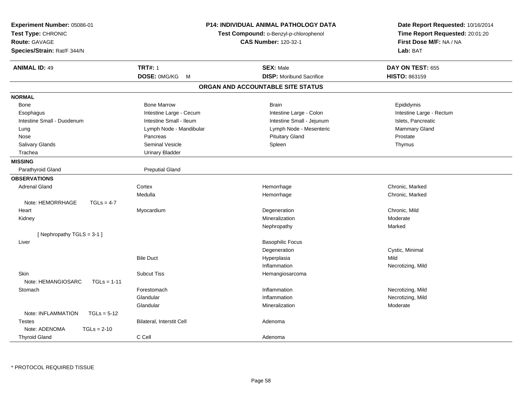| Experiment Number: 05086-01<br>Test Type: CHRONIC<br><b>Route: GAVAGE</b><br>Species/Strain: Rat/F 344/N |                           | <b>P14: INDIVIDUAL ANIMAL PATHOLOGY DATA</b><br>Test Compound: o-Benzyl-p-chlorophenol<br><b>CAS Number: 120-32-1</b> | Date Report Requested: 10/16/2014<br>Time Report Requested: 20:01:20<br>First Dose M/F: NA / NA<br>Lab: BAT |
|----------------------------------------------------------------------------------------------------------|---------------------------|-----------------------------------------------------------------------------------------------------------------------|-------------------------------------------------------------------------------------------------------------|
| <b>ANIMAL ID: 49</b>                                                                                     | <b>TRT#: 1</b>            | <b>SEX: Male</b>                                                                                                      | DAY ON TEST: 655                                                                                            |
|                                                                                                          | DOSE: 0MG/KG<br>M         | <b>DISP:</b> Moribund Sacrifice                                                                                       | HISTO: 863159                                                                                               |
|                                                                                                          |                           | ORGAN AND ACCOUNTABLE SITE STATUS                                                                                     |                                                                                                             |
| <b>NORMAL</b>                                                                                            |                           |                                                                                                                       |                                                                                                             |
| Bone                                                                                                     | <b>Bone Marrow</b>        | <b>Brain</b>                                                                                                          | Epididymis                                                                                                  |
| Esophagus                                                                                                | Intestine Large - Cecum   | Intestine Large - Colon                                                                                               | Intestine Large - Rectum                                                                                    |
| Intestine Small - Duodenum                                                                               | Intestine Small - Ileum   | Intestine Small - Jejunum                                                                                             | Islets, Pancreatic                                                                                          |
| Lung                                                                                                     | Lymph Node - Mandibular   | Lymph Node - Mesenteric                                                                                               | Mammary Gland                                                                                               |
| Nose                                                                                                     | Pancreas                  | <b>Pituitary Gland</b>                                                                                                | Prostate                                                                                                    |
| Salivary Glands                                                                                          | <b>Seminal Vesicle</b>    | Spleen                                                                                                                | Thymus                                                                                                      |
| Trachea                                                                                                  | <b>Urinary Bladder</b>    |                                                                                                                       |                                                                                                             |
| <b>MISSING</b>                                                                                           |                           |                                                                                                                       |                                                                                                             |
| Parathyroid Gland                                                                                        | <b>Preputial Gland</b>    |                                                                                                                       |                                                                                                             |
| <b>OBSERVATIONS</b>                                                                                      |                           |                                                                                                                       |                                                                                                             |
| <b>Adrenal Gland</b>                                                                                     | Cortex                    | Hemorrhage                                                                                                            | Chronic, Marked                                                                                             |
|                                                                                                          | Medulla                   | Hemorrhage                                                                                                            | Chronic, Marked                                                                                             |
| Note: HEMORRHAGE<br>$TGLs = 4-7$                                                                         |                           |                                                                                                                       |                                                                                                             |
| Heart                                                                                                    | Myocardium                | Degeneration                                                                                                          | Chronic, Mild                                                                                               |
| Kidney                                                                                                   |                           | Mineralization                                                                                                        | Moderate                                                                                                    |
|                                                                                                          |                           | Nephropathy                                                                                                           | Marked                                                                                                      |
| [Nephropathy TGLS = 3-1]                                                                                 |                           |                                                                                                                       |                                                                                                             |
| Liver                                                                                                    |                           | <b>Basophilic Focus</b>                                                                                               |                                                                                                             |
|                                                                                                          |                           | Degeneration                                                                                                          | Cystic, Minimal                                                                                             |
|                                                                                                          | <b>Bile Duct</b>          | Hyperplasia                                                                                                           | Mild                                                                                                        |
|                                                                                                          |                           | Inflammation                                                                                                          | Necrotizing, Mild                                                                                           |
| Skin                                                                                                     | <b>Subcut Tiss</b>        | Hemangiosarcoma                                                                                                       |                                                                                                             |
| Note: HEMANGIOSARC<br>$TGLs = 1-11$                                                                      |                           |                                                                                                                       |                                                                                                             |
| Stomach                                                                                                  | Forestomach               | Inflammation                                                                                                          | Necrotizing, Mild                                                                                           |
|                                                                                                          | Glandular                 | Inflammation                                                                                                          | Necrotizing, Mild                                                                                           |
|                                                                                                          | Glandular                 | Mineralization                                                                                                        | Moderate                                                                                                    |
| Note: INFLAMMATION<br>$TGLs = 5-12$                                                                      |                           |                                                                                                                       |                                                                                                             |
| <b>Testes</b>                                                                                            | Bilateral, Interstit Cell | Adenoma                                                                                                               |                                                                                                             |
| Note: ADENOMA<br>$TGLs = 2-10$                                                                           |                           |                                                                                                                       |                                                                                                             |
| <b>Thyroid Gland</b>                                                                                     | C Cell                    | Adenoma                                                                                                               |                                                                                                             |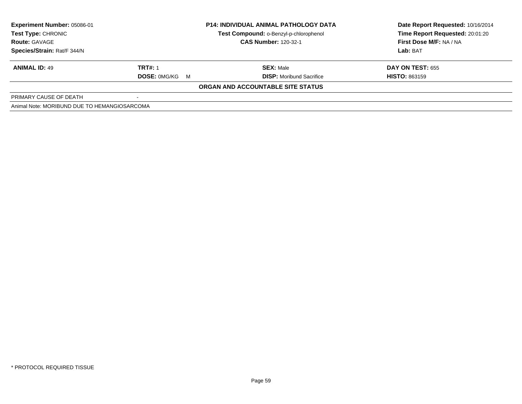| <b>Experiment Number: 05086-01</b><br><b>Test Type: CHRONIC</b><br><b>CAS Number: 120-32-1</b><br><b>Route: GAVAGE</b><br>Species/Strain: Rat/F 344/N |                       | <b>P14: INDIVIDUAL ANIMAL PATHOLOGY DATA</b><br>Test Compound: o-Benzyl-p-chlorophenol | Date Report Requested: 10/16/2014<br>Time Report Requested: 20:01:20<br>First Dose M/F: NA / NA |
|-------------------------------------------------------------------------------------------------------------------------------------------------------|-----------------------|----------------------------------------------------------------------------------------|-------------------------------------------------------------------------------------------------|
|                                                                                                                                                       |                       |                                                                                        | Lab: BAT                                                                                        |
| <b>ANIMAL ID: 49</b>                                                                                                                                  | <b>TRT#: 1</b>        | <b>SEX: Male</b>                                                                       | <b>DAY ON TEST: 655</b>                                                                         |
|                                                                                                                                                       | <b>DOSE: 0MG/KG M</b> | <b>DISP:</b> Moribund Sacrifice                                                        | <b>HISTO: 863159</b>                                                                            |
|                                                                                                                                                       |                       | ORGAN AND ACCOUNTABLE SITE STATUS                                                      |                                                                                                 |
| PRIMARY CAUSE OF DEATH                                                                                                                                |                       |                                                                                        |                                                                                                 |
| Animal Note: MORIBUND DUE TO HEMANGIOSARCOMA                                                                                                          |                       |                                                                                        |                                                                                                 |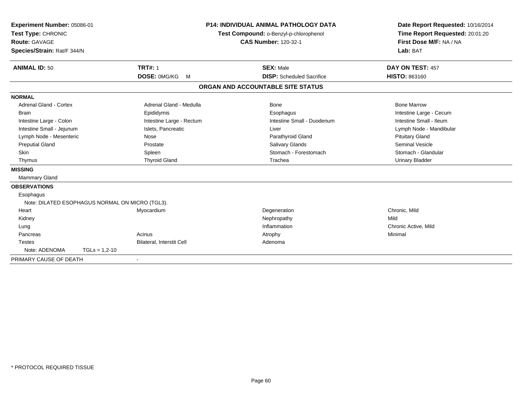| Experiment Number: 05086-01<br>Test Type: CHRONIC<br><b>Route: GAVAGE</b><br>Species/Strain: Rat/F 344/N<br><b>ANIMAL ID: 50</b>                                                                                       | <b>TRT#: 1</b><br>DOSE: 0MG/KG                                                                                          | <b>P14: INDIVIDUAL ANIMAL PATHOLOGY DATA</b><br>Test Compound: o-Benzyl-p-chlorophenol<br><b>CAS Number: 120-32-1</b><br><b>SEX: Male</b><br><b>DISP:</b> Scheduled Sacrifice<br>M |                                                                                                                                             | Date Report Requested: 10/16/2014<br>Time Report Requested: 20:01:20<br>First Dose M/F: NA / NA<br>Lab: BAT<br>DAY ON TEST: 457<br>HISTO: 863160                                                  |
|------------------------------------------------------------------------------------------------------------------------------------------------------------------------------------------------------------------------|-------------------------------------------------------------------------------------------------------------------------|------------------------------------------------------------------------------------------------------------------------------------------------------------------------------------|---------------------------------------------------------------------------------------------------------------------------------------------|---------------------------------------------------------------------------------------------------------------------------------------------------------------------------------------------------|
|                                                                                                                                                                                                                        |                                                                                                                         |                                                                                                                                                                                    | ORGAN AND ACCOUNTABLE SITE STATUS                                                                                                           |                                                                                                                                                                                                   |
| <b>NORMAL</b>                                                                                                                                                                                                          |                                                                                                                         |                                                                                                                                                                                    |                                                                                                                                             |                                                                                                                                                                                                   |
| <b>Adrenal Gland - Cortex</b><br><b>Brain</b><br>Intestine Large - Colon<br>Intestine Small - Jejunum<br>Lymph Node - Mesenteric<br><b>Preputial Gland</b><br><b>Skin</b><br>Thymus<br><b>MISSING</b><br>Mammary Gland | Epididymis<br>Islets, Pancreatic<br>Nose<br>Prostate<br>Spleen<br><b>Thyroid Gland</b>                                  | Adrenal Gland - Medulla<br>Intestine Large - Rectum                                                                                                                                | Bone<br>Esophagus<br>Intestine Small - Duodenum<br>Liver<br>Parathyroid Gland<br><b>Salivary Glands</b><br>Stomach - Forestomach<br>Trachea | <b>Bone Marrow</b><br>Intestine Large - Cecum<br>Intestine Small - Ileum<br>Lymph Node - Mandibular<br><b>Pituitary Gland</b><br>Seminal Vesicle<br>Stomach - Glandular<br><b>Urinary Bladder</b> |
| <b>OBSERVATIONS</b><br>Esophagus<br>Heart<br>Kidney<br>Lung<br>Pancreas<br><b>Testes</b><br>Note: ADENOMA                                                                                                              | Note: DILATED ESOPHAGUS NORMAL ON MICRO (TGL3).<br>Myocardium<br>Acinus<br>Bilateral, Interstit Cell<br>$TGLs = 1,2-10$ |                                                                                                                                                                                    | Degeneration<br>Nephropathy<br>Inflammation<br>Atrophy<br>Adenoma                                                                           | Chronic, Mild<br>Mild<br>Chronic Active, Mild<br>Minimal                                                                                                                                          |
| PRIMARY CAUSE OF DEATH                                                                                                                                                                                                 |                                                                                                                         |                                                                                                                                                                                    |                                                                                                                                             |                                                                                                                                                                                                   |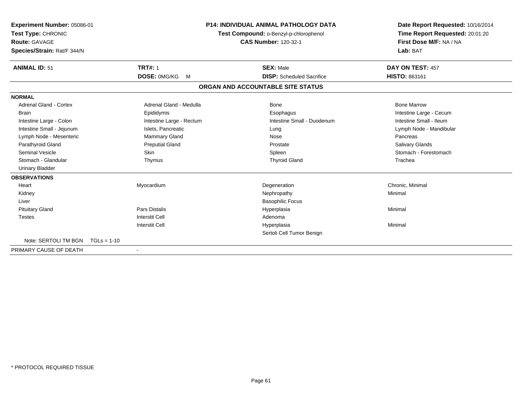| Experiment Number: 05086-01<br>Test Type: CHRONIC<br><b>Route: GAVAGE</b><br>Species/Strain: Rat/F 344/N |                          | <b>P14: INDIVIDUAL ANIMAL PATHOLOGY DATA</b><br>Test Compound: o-Benzyl-p-chlorophenol<br><b>CAS Number: 120-32-1</b> | Date Report Requested: 10/16/2014<br>Time Report Requested: 20:01:20<br>First Dose M/F: NA / NA<br>Lab: BAT |
|----------------------------------------------------------------------------------------------------------|--------------------------|-----------------------------------------------------------------------------------------------------------------------|-------------------------------------------------------------------------------------------------------------|
| <b>ANIMAL ID: 51</b>                                                                                     | <b>TRT#: 1</b>           | <b>SEX: Male</b>                                                                                                      | DAY ON TEST: 457                                                                                            |
|                                                                                                          | DOSE: 0MG/KG<br><b>M</b> | <b>DISP:</b> Scheduled Sacrifice                                                                                      | HISTO: 863161                                                                                               |
|                                                                                                          |                          | ORGAN AND ACCOUNTABLE SITE STATUS                                                                                     |                                                                                                             |
| <b>NORMAL</b>                                                                                            |                          |                                                                                                                       |                                                                                                             |
| <b>Adrenal Gland - Cortex</b>                                                                            | Adrenal Gland - Medulla  | Bone                                                                                                                  | <b>Bone Marrow</b>                                                                                          |
| <b>Brain</b>                                                                                             | Epididymis               | Esophagus                                                                                                             | Intestine Large - Cecum                                                                                     |
| Intestine Large - Colon                                                                                  | Intestine Large - Rectum | Intestine Small - Duodenum                                                                                            | Intestine Small - Ileum                                                                                     |
| Intestine Small - Jejunum                                                                                | Islets, Pancreatic       | Lung                                                                                                                  | Lymph Node - Mandibular                                                                                     |
| Lymph Node - Mesenteric                                                                                  | Mammary Gland            | Nose                                                                                                                  | Pancreas                                                                                                    |
| Parathyroid Gland                                                                                        | <b>Preputial Gland</b>   | Prostate                                                                                                              | <b>Salivary Glands</b>                                                                                      |
| Seminal Vesicle                                                                                          | Skin                     | Spleen                                                                                                                | Stomach - Forestomach                                                                                       |
| Stomach - Glandular                                                                                      | Thymus                   | <b>Thyroid Gland</b>                                                                                                  | Trachea                                                                                                     |
| <b>Urinary Bladder</b>                                                                                   |                          |                                                                                                                       |                                                                                                             |
| <b>OBSERVATIONS</b>                                                                                      |                          |                                                                                                                       |                                                                                                             |
| Heart                                                                                                    | Myocardium               | Degeneration                                                                                                          | Chronic, Minimal                                                                                            |
| Kidney                                                                                                   |                          | Nephropathy                                                                                                           | Minimal                                                                                                     |
| Liver                                                                                                    |                          | <b>Basophilic Focus</b>                                                                                               |                                                                                                             |
| <b>Pituitary Gland</b>                                                                                   | <b>Pars Distalis</b>     | Hyperplasia                                                                                                           | Minimal                                                                                                     |
| <b>Testes</b>                                                                                            | <b>Interstit Cell</b>    | Adenoma                                                                                                               |                                                                                                             |
|                                                                                                          | <b>Interstit Cell</b>    | Hyperplasia                                                                                                           | Minimal                                                                                                     |
|                                                                                                          |                          | Sertoli Cell Tumor Benign                                                                                             |                                                                                                             |
| Note: SERTOLI TM BGN                                                                                     | $TGLs = 1-10$            |                                                                                                                       |                                                                                                             |
| PRIMARY CAUSE OF DEATH                                                                                   |                          |                                                                                                                       |                                                                                                             |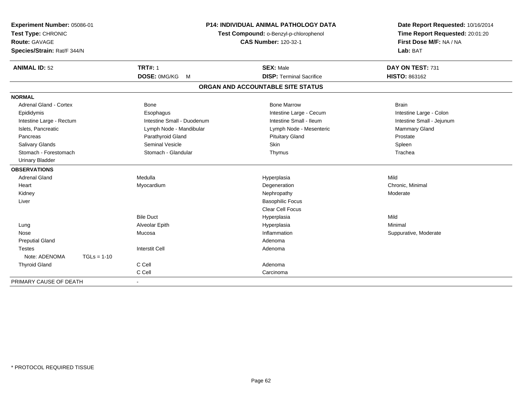| Experiment Number: 05086-01<br>Test Type: CHRONIC<br><b>Route: GAVAGE</b><br>Species/Strain: Rat/F 344/N |               | <b>P14: INDIVIDUAL ANIMAL PATHOLOGY DATA</b><br>Test Compound: o-Benzyl-p-chlorophenol<br><b>CAS Number: 120-32-1</b> |                                   | Date Report Requested: 10/16/2014<br>Time Report Requested: 20:01:20<br>First Dose M/F: NA / NA<br>Lab: BAT |  |
|----------------------------------------------------------------------------------------------------------|---------------|-----------------------------------------------------------------------------------------------------------------------|-----------------------------------|-------------------------------------------------------------------------------------------------------------|--|
| <b>ANIMAL ID: 52</b>                                                                                     |               | <b>TRT#: 1</b>                                                                                                        | <b>SEX: Male</b>                  | DAY ON TEST: 731                                                                                            |  |
|                                                                                                          |               | DOSE: 0MG/KG<br>M                                                                                                     | <b>DISP: Terminal Sacrifice</b>   | HISTO: 863162                                                                                               |  |
|                                                                                                          |               |                                                                                                                       | ORGAN AND ACCOUNTABLE SITE STATUS |                                                                                                             |  |
| <b>NORMAL</b>                                                                                            |               |                                                                                                                       |                                   |                                                                                                             |  |
| Adrenal Gland - Cortex                                                                                   |               | <b>Bone</b>                                                                                                           | <b>Bone Marrow</b>                | <b>Brain</b>                                                                                                |  |
| Epididymis                                                                                               |               | Esophagus                                                                                                             | Intestine Large - Cecum           | Intestine Large - Colon                                                                                     |  |
| Intestine Large - Rectum                                                                                 |               | Intestine Small - Duodenum                                                                                            | Intestine Small - Ileum           | Intestine Small - Jejunum                                                                                   |  |
| Islets, Pancreatic                                                                                       |               | Lymph Node - Mandibular                                                                                               | Lymph Node - Mesenteric           | Mammary Gland                                                                                               |  |
| Pancreas                                                                                                 |               | Parathyroid Gland                                                                                                     | <b>Pituitary Gland</b>            | Prostate                                                                                                    |  |
| <b>Salivary Glands</b>                                                                                   |               | <b>Seminal Vesicle</b>                                                                                                | Skin                              | Spleen                                                                                                      |  |
| Stomach - Forestomach                                                                                    |               | Stomach - Glandular                                                                                                   | Thymus                            | Trachea                                                                                                     |  |
| <b>Urinary Bladder</b>                                                                                   |               |                                                                                                                       |                                   |                                                                                                             |  |
| <b>OBSERVATIONS</b>                                                                                      |               |                                                                                                                       |                                   |                                                                                                             |  |
| <b>Adrenal Gland</b>                                                                                     |               | Medulla                                                                                                               | Hyperplasia                       | Mild                                                                                                        |  |
| Heart                                                                                                    |               | Myocardium                                                                                                            | Degeneration                      | Chronic, Minimal                                                                                            |  |
| Kidney                                                                                                   |               |                                                                                                                       | Nephropathy                       | Moderate                                                                                                    |  |
| Liver                                                                                                    |               |                                                                                                                       | <b>Basophilic Focus</b>           |                                                                                                             |  |
|                                                                                                          |               |                                                                                                                       | <b>Clear Cell Focus</b>           |                                                                                                             |  |
|                                                                                                          |               | <b>Bile Duct</b>                                                                                                      | Hyperplasia                       | Mild                                                                                                        |  |
| Lung                                                                                                     |               | Alveolar Epith                                                                                                        | Hyperplasia                       | Minimal                                                                                                     |  |
| Nose                                                                                                     |               | Mucosa                                                                                                                | Inflammation                      | Suppurative, Moderate                                                                                       |  |
| <b>Preputial Gland</b>                                                                                   |               |                                                                                                                       | Adenoma                           |                                                                                                             |  |
| <b>Testes</b>                                                                                            |               | <b>Interstit Cell</b>                                                                                                 | Adenoma                           |                                                                                                             |  |
| Note: ADENOMA                                                                                            | $TGLs = 1-10$ |                                                                                                                       |                                   |                                                                                                             |  |
| <b>Thyroid Gland</b>                                                                                     |               | C Cell                                                                                                                | Adenoma                           |                                                                                                             |  |
|                                                                                                          |               | C Cell                                                                                                                | Carcinoma                         |                                                                                                             |  |
| PRIMARY CAUSE OF DEATH                                                                                   |               | $\blacksquare$                                                                                                        |                                   |                                                                                                             |  |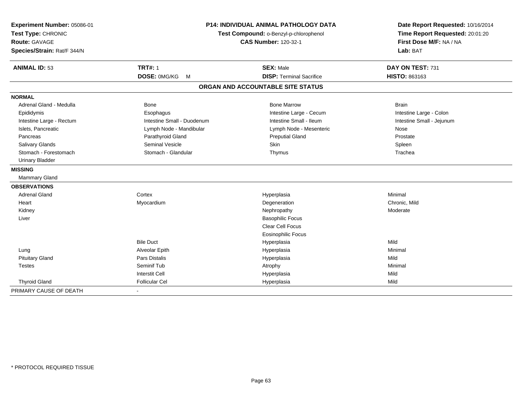| Experiment Number: 05086-01<br>Test Type: CHRONIC<br><b>Route: GAVAGE</b><br>Species/Strain: Rat/F 344/N | <b>P14: INDIVIDUAL ANIMAL PATHOLOGY DATA</b><br>Test Compound: o-Benzyl-p-chlorophenol<br><b>CAS Number: 120-32-1</b> |                                                     | Date Report Requested: 10/16/2014<br>Time Report Requested: 20:01:20<br>First Dose M/F: NA / NA<br>Lab: BAT |  |
|----------------------------------------------------------------------------------------------------------|-----------------------------------------------------------------------------------------------------------------------|-----------------------------------------------------|-------------------------------------------------------------------------------------------------------------|--|
| <b>ANIMAL ID: 53</b>                                                                                     | <b>TRT#: 1</b><br>DOSE: 0MG/KG<br>M                                                                                   | <b>SEX: Male</b><br><b>DISP: Terminal Sacrifice</b> | DAY ON TEST: 731<br>HISTO: 863163                                                                           |  |
|                                                                                                          |                                                                                                                       | ORGAN AND ACCOUNTABLE SITE STATUS                   |                                                                                                             |  |
|                                                                                                          |                                                                                                                       |                                                     |                                                                                                             |  |
| <b>NORMAL</b>                                                                                            |                                                                                                                       |                                                     |                                                                                                             |  |
| Adrenal Gland - Medulla                                                                                  | <b>Bone</b>                                                                                                           | <b>Bone Marrow</b>                                  | <b>Brain</b>                                                                                                |  |
| Epididymis                                                                                               | Esophagus                                                                                                             | Intestine Large - Cecum                             | Intestine Large - Colon                                                                                     |  |
| Intestine Large - Rectum                                                                                 | Intestine Small - Duodenum                                                                                            | Intestine Small - Ileum                             | Intestine Small - Jejunum                                                                                   |  |
| Islets, Pancreatic                                                                                       | Lymph Node - Mandibular                                                                                               | Lymph Node - Mesenteric                             | Nose                                                                                                        |  |
| Pancreas                                                                                                 | Parathyroid Gland                                                                                                     | <b>Preputial Gland</b>                              | Prostate                                                                                                    |  |
| <b>Salivary Glands</b>                                                                                   | <b>Seminal Vesicle</b>                                                                                                | Skin                                                | Spleen                                                                                                      |  |
| Stomach - Forestomach                                                                                    | Stomach - Glandular                                                                                                   | Thymus                                              | Trachea                                                                                                     |  |
| <b>Urinary Bladder</b>                                                                                   |                                                                                                                       |                                                     |                                                                                                             |  |
| <b>MISSING</b>                                                                                           |                                                                                                                       |                                                     |                                                                                                             |  |
| <b>Mammary Gland</b>                                                                                     |                                                                                                                       |                                                     |                                                                                                             |  |
| <b>OBSERVATIONS</b>                                                                                      |                                                                                                                       |                                                     |                                                                                                             |  |
| <b>Adrenal Gland</b>                                                                                     | Cortex                                                                                                                | Hyperplasia                                         | Minimal                                                                                                     |  |
| Heart                                                                                                    | Myocardium                                                                                                            | Degeneration                                        | Chronic, Mild                                                                                               |  |
| Kidney                                                                                                   |                                                                                                                       | Nephropathy                                         | Moderate                                                                                                    |  |
| Liver                                                                                                    |                                                                                                                       | <b>Basophilic Focus</b>                             |                                                                                                             |  |
|                                                                                                          |                                                                                                                       | Clear Cell Focus                                    |                                                                                                             |  |
|                                                                                                          |                                                                                                                       | <b>Eosinophilic Focus</b>                           |                                                                                                             |  |
|                                                                                                          | <b>Bile Duct</b>                                                                                                      | Hyperplasia                                         | Mild                                                                                                        |  |
| Lung                                                                                                     | Alveolar Epith                                                                                                        | Hyperplasia                                         | Minimal                                                                                                     |  |
| <b>Pituitary Gland</b>                                                                                   | <b>Pars Distalis</b>                                                                                                  | Hyperplasia                                         | Mild                                                                                                        |  |
| Testes                                                                                                   | Seminif Tub                                                                                                           | Atrophy                                             | Minimal                                                                                                     |  |
|                                                                                                          | <b>Interstit Cell</b>                                                                                                 | Hyperplasia                                         | Mild                                                                                                        |  |
| <b>Thyroid Gland</b>                                                                                     | <b>Follicular Cel</b>                                                                                                 | Hyperplasia                                         | Mild                                                                                                        |  |
| PRIMARY CAUSE OF DEATH                                                                                   |                                                                                                                       |                                                     |                                                                                                             |  |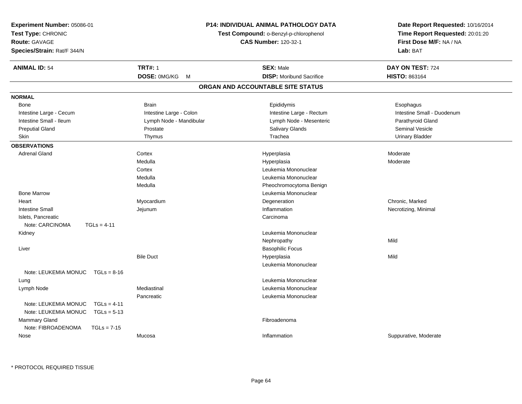| Experiment Number: 05086-01                                                    |                                        | <b>P14: INDIVIDUAL ANIMAL PATHOLOGY DATA</b> | Date Report Requested: 10/16/2014 |
|--------------------------------------------------------------------------------|----------------------------------------|----------------------------------------------|-----------------------------------|
| Test Type: CHRONIC                                                             | Test Compound: o-Benzyl-p-chlorophenol |                                              | Time Report Requested: 20:01:20   |
| <b>Route: GAVAGE</b>                                                           |                                        | <b>CAS Number: 120-32-1</b>                  | First Dose M/F: NA / NA           |
| Species/Strain: Rat/F 344/N                                                    |                                        |                                              | Lab: BAT                          |
| <b>ANIMAL ID: 54</b>                                                           | <b>TRT#: 1</b>                         | <b>SEX: Male</b>                             | DAY ON TEST: 724                  |
|                                                                                | DOSE: 0MG/KG<br>M                      | <b>DISP:</b> Moribund Sacrifice              | HISTO: 863164                     |
|                                                                                |                                        | ORGAN AND ACCOUNTABLE SITE STATUS            |                                   |
| <b>NORMAL</b>                                                                  |                                        |                                              |                                   |
| Bone                                                                           | <b>Brain</b>                           | Epididymis                                   | Esophagus                         |
| Intestine Large - Cecum                                                        | Intestine Large - Colon                | Intestine Large - Rectum                     | Intestine Small - Duodenum        |
| Intestine Small - Ileum                                                        | Lymph Node - Mandibular                | Lymph Node - Mesenteric                      | Parathyroid Gland                 |
| <b>Preputial Gland</b>                                                         | Prostate                               | <b>Salivary Glands</b>                       | Seminal Vesicle                   |
| Skin                                                                           | Thymus                                 | Trachea                                      | <b>Urinary Bladder</b>            |
| <b>OBSERVATIONS</b>                                                            |                                        |                                              |                                   |
| <b>Adrenal Gland</b>                                                           | Cortex                                 | Hyperplasia                                  | Moderate                          |
|                                                                                | Medulla                                | Hyperplasia                                  | Moderate                          |
|                                                                                | Cortex                                 | Leukemia Mononuclear                         |                                   |
|                                                                                | Medulla                                | Leukemia Mononuclear                         |                                   |
|                                                                                | Medulla                                | Pheochromocytoma Benign                      |                                   |
| <b>Bone Marrow</b>                                                             |                                        | Leukemia Mononuclear                         |                                   |
| Heart                                                                          | Myocardium                             | Degeneration                                 | Chronic, Marked                   |
| <b>Intestine Small</b>                                                         | Jejunum                                | Inflammation                                 | Necrotizing, Minimal              |
| Islets, Pancreatic                                                             |                                        | Carcinoma                                    |                                   |
| Note: CARCINOMA<br>$TGLs = 4-11$                                               |                                        |                                              |                                   |
| Kidney                                                                         |                                        | Leukemia Mononuclear                         |                                   |
|                                                                                |                                        | Nephropathy                                  | Mild                              |
| Liver                                                                          |                                        | <b>Basophilic Focus</b>                      |                                   |
|                                                                                | <b>Bile Duct</b>                       | Hyperplasia                                  | Mild                              |
|                                                                                |                                        | Leukemia Mononuclear                         |                                   |
| Note: LEUKEMIA MONUC<br>$TGLs = 8-16$                                          |                                        |                                              |                                   |
| Lung                                                                           |                                        | Leukemia Mononuclear                         |                                   |
| Lymph Node                                                                     | Mediastinal                            | Leukemia Mononuclear                         |                                   |
|                                                                                | Pancreatic                             | Leukemia Mononuclear                         |                                   |
| Note: LEUKEMIA MONUC<br>$TGLs = 4-11$<br>Note: LEUKEMIA MONUC<br>$TGLs = 5-13$ |                                        |                                              |                                   |
| Mammary Gland                                                                  |                                        | Fibroadenoma                                 |                                   |
| Note: FIBROADENOMA<br>$TGLs = 7-15$                                            |                                        |                                              |                                   |
| Nose                                                                           | Mucosa                                 | Inflammation                                 | Suppurative, Moderate             |
|                                                                                |                                        |                                              |                                   |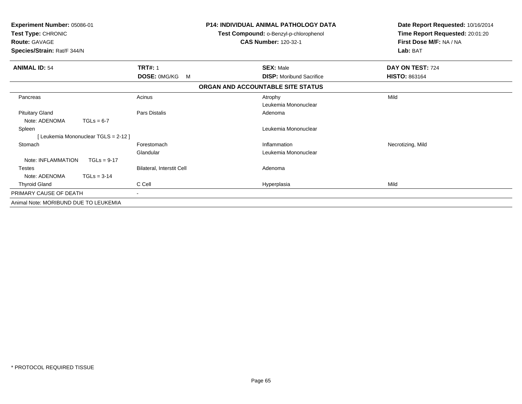| Experiment Number: 05086-01<br>Test Type: CHRONIC<br><b>Route: GAVAGE</b><br>Species/Strain: Rat/F 344/N |                           | <b>P14: INDIVIDUAL ANIMAL PATHOLOGY DATA</b><br>Test Compound: o-Benzyl-p-chlorophenol<br><b>CAS Number: 120-32-1</b> | Date Report Requested: 10/16/2014<br>Time Report Requested: 20:01:20<br>First Dose M/F: NA / NA<br>Lab: BAT |
|----------------------------------------------------------------------------------------------------------|---------------------------|-----------------------------------------------------------------------------------------------------------------------|-------------------------------------------------------------------------------------------------------------|
| <b>ANIMAL ID: 54</b>                                                                                     | <b>TRT#: 1</b>            | <b>SEX: Male</b>                                                                                                      | DAY ON TEST: 724                                                                                            |
|                                                                                                          | <b>DOSE: OMG/KG</b><br>M  | <b>DISP:</b> Moribund Sacrifice                                                                                       | <b>HISTO: 863164</b>                                                                                        |
|                                                                                                          |                           | ORGAN AND ACCOUNTABLE SITE STATUS                                                                                     |                                                                                                             |
| Pancreas                                                                                                 | Acinus                    | Atrophy                                                                                                               | Mild                                                                                                        |
|                                                                                                          |                           | Leukemia Mononuclear                                                                                                  |                                                                                                             |
| <b>Pituitary Gland</b>                                                                                   | Pars Distalis             | Adenoma                                                                                                               |                                                                                                             |
| Note: ADENOMA<br>$TGLs = 6-7$                                                                            |                           |                                                                                                                       |                                                                                                             |
| Spleen                                                                                                   |                           | Leukemia Mononuclear                                                                                                  |                                                                                                             |
| [Leukemia Mononuclear TGLS = 2-12]                                                                       |                           |                                                                                                                       |                                                                                                             |
| Stomach                                                                                                  | Forestomach               | Inflammation                                                                                                          | Necrotizing, Mild                                                                                           |
|                                                                                                          | Glandular                 | Leukemia Mononuclear                                                                                                  |                                                                                                             |
| Note: INFLAMMATION<br>$TGLs = 9-17$                                                                      |                           |                                                                                                                       |                                                                                                             |
| <b>Testes</b>                                                                                            | Bilateral, Interstit Cell | Adenoma                                                                                                               |                                                                                                             |
| Note: ADENOMA<br>$TGLs = 3-14$                                                                           |                           |                                                                                                                       |                                                                                                             |
| <b>Thyroid Gland</b>                                                                                     | C Cell                    | Hyperplasia                                                                                                           | Mild                                                                                                        |
| PRIMARY CAUSE OF DEATH                                                                                   |                           |                                                                                                                       |                                                                                                             |
| Animal Note: MORIBUND DUE TO LEUKEMIA                                                                    |                           |                                                                                                                       |                                                                                                             |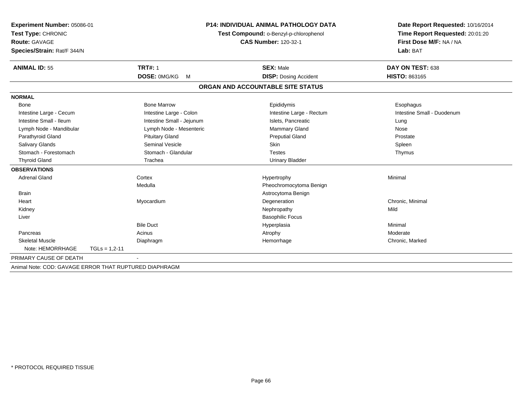| Experiment Number: 05086-01                            |                           | P14: INDIVIDUAL ANIMAL PATHOLOGY DATA  | Date Report Requested: 10/16/2014 |
|--------------------------------------------------------|---------------------------|----------------------------------------|-----------------------------------|
| Test Type: CHRONIC                                     |                           | Test Compound: o-Benzyl-p-chlorophenol | Time Report Requested: 20:01:20   |
| <b>Route: GAVAGE</b>                                   |                           | <b>CAS Number: 120-32-1</b>            | First Dose M/F: NA / NA           |
| Species/Strain: Rat/F 344/N                            |                           |                                        | Lab: BAT                          |
|                                                        |                           |                                        |                                   |
| <b>ANIMAL ID: 55</b>                                   | <b>TRT#: 1</b>            | <b>SEX: Male</b>                       | DAY ON TEST: 638                  |
|                                                        | DOSE: 0MG/KG<br>M         | <b>DISP:</b> Dosing Accident           | <b>HISTO: 863165</b>              |
|                                                        |                           | ORGAN AND ACCOUNTABLE SITE STATUS      |                                   |
| <b>NORMAL</b>                                          |                           |                                        |                                   |
| Bone                                                   | <b>Bone Marrow</b>        | Epididymis                             | Esophagus                         |
| Intestine Large - Cecum                                | Intestine Large - Colon   | Intestine Large - Rectum               | Intestine Small - Duodenum        |
| Intestine Small - Ileum                                | Intestine Small - Jejunum | Islets, Pancreatic                     | Lung                              |
| Lymph Node - Mandibular                                | Lymph Node - Mesenteric   | <b>Mammary Gland</b>                   | Nose                              |
| Parathyroid Gland                                      | <b>Pituitary Gland</b>    | <b>Preputial Gland</b>                 | Prostate                          |
| <b>Salivary Glands</b>                                 | <b>Seminal Vesicle</b>    | Skin                                   | Spleen                            |
| Stomach - Forestomach                                  | Stomach - Glandular       | <b>Testes</b>                          | Thymus                            |
| <b>Thyroid Gland</b>                                   | Trachea                   | <b>Urinary Bladder</b>                 |                                   |
| <b>OBSERVATIONS</b>                                    |                           |                                        |                                   |
| <b>Adrenal Gland</b>                                   | Cortex                    | Hypertrophy                            | Minimal                           |
|                                                        | Medulla                   | Pheochromocytoma Benign                |                                   |
| <b>Brain</b>                                           |                           | Astrocytoma Benign                     |                                   |
| Heart                                                  | Myocardium                | Degeneration                           | Chronic, Minimal                  |
| Kidney                                                 |                           | Nephropathy                            | Mild                              |
| Liver                                                  |                           | <b>Basophilic Focus</b>                |                                   |
|                                                        | <b>Bile Duct</b>          | Hyperplasia                            | Minimal                           |
| Pancreas                                               | Acinus                    | Atrophy                                | Moderate                          |
| <b>Skeletal Muscle</b>                                 | Diaphragm                 | Hemorrhage                             | Chronic, Marked                   |
| Note: HEMORRHAGE<br>$TGLs = 1.2 - 11$                  |                           |                                        |                                   |
| PRIMARY CAUSE OF DEATH                                 |                           |                                        |                                   |
| Animal Note: COD: GAVAGE ERROR THAT RUPTURED DIAPHRAGM |                           |                                        |                                   |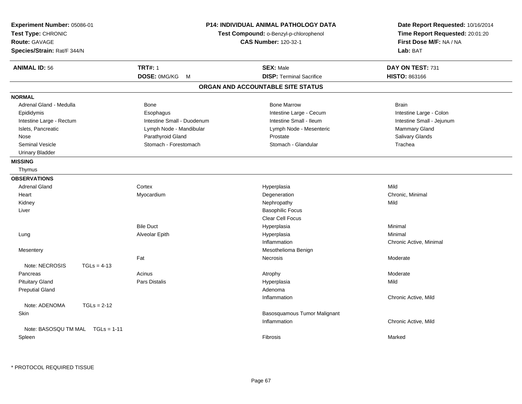| <b>TRT#: 1</b><br><b>ANIMAL ID: 56</b><br><b>SEX: Male</b><br>DAY ON TEST: 731<br><b>DISP: Terminal Sacrifice</b><br>DOSE: 0MG/KG M<br>HISTO: 863166<br>ORGAN AND ACCOUNTABLE SITE STATUS<br><b>NORMAL</b><br>Adrenal Gland - Medulla<br><b>Bone Marrow</b><br><b>Bone</b><br><b>Brain</b><br>Epididymis<br>Esophagus<br>Intestine Large - Cecum<br>Intestine Large - Colon<br>Intestine Small - Duodenum<br>Intestine Small - Ileum<br>Intestine Small - Jejunum<br>Intestine Large - Rectum<br>Islets, Pancreatic<br>Mammary Gland<br>Lymph Node - Mandibular<br>Lymph Node - Mesenteric<br>Parathyroid Gland<br>Salivary Glands<br>Nose<br>Prostate<br><b>Seminal Vesicle</b><br>Stomach - Forestomach<br>Stomach - Glandular<br>Trachea<br><b>Urinary Bladder</b><br><b>MISSING</b><br>Thymus<br><b>OBSERVATIONS</b><br>Mild<br><b>Adrenal Gland</b><br>Cortex<br>Hyperplasia<br>Degeneration<br>Chronic, Minimal<br>Heart<br>Myocardium<br>Nephropathy<br>Mild<br>Kidney<br><b>Basophilic Focus</b><br>Liver<br>Clear Cell Focus<br><b>Bile Duct</b><br>Hyperplasia<br>Minimal<br>Alveolar Epith<br>Hyperplasia<br>Minimal<br>Lung<br>Inflammation<br>Chronic Active, Minimal<br>Mesothelioma Benign<br>Mesentery<br>Fat<br>Necrosis<br>Moderate<br>Note: NECROSIS<br>$TGLs = 4-13$<br>Pancreas<br>Acinus<br>Moderate<br>Atrophy<br><b>Pars Distalis</b><br><b>Pituitary Gland</b><br>Hyperplasia<br>Mild<br><b>Preputial Gland</b><br>Adenoma<br>Inflammation<br>Chronic Active, Mild<br>$TGLs = 2-12$<br>Note: ADENOMA<br>Skin<br>Basosquamous Tumor Malignant<br>Inflammation<br>Chronic Active, Mild<br>Note: BASOSQU TM MAL<br>$TGLs = 1-11$<br>Spleen<br>Fibrosis<br>Marked | Experiment Number: 05086-01<br>Test Type: CHRONIC<br>Route: GAVAGE<br>Species/Strain: Rat/F 344/N |  | <b>P14: INDIVIDUAL ANIMAL PATHOLOGY DATA</b><br>Test Compound: o-Benzyl-p-chlorophenol<br><b>CAS Number: 120-32-1</b> | Date Report Requested: 10/16/2014<br>Time Report Requested: 20:01:20<br>First Dose M/F: NA / NA<br>Lab: BAT |
|----------------------------------------------------------------------------------------------------------------------------------------------------------------------------------------------------------------------------------------------------------------------------------------------------------------------------------------------------------------------------------------------------------------------------------------------------------------------------------------------------------------------------------------------------------------------------------------------------------------------------------------------------------------------------------------------------------------------------------------------------------------------------------------------------------------------------------------------------------------------------------------------------------------------------------------------------------------------------------------------------------------------------------------------------------------------------------------------------------------------------------------------------------------------------------------------------------------------------------------------------------------------------------------------------------------------------------------------------------------------------------------------------------------------------------------------------------------------------------------------------------------------------------------------------------------------------------------------------------------------------------------------------------------------------------------|---------------------------------------------------------------------------------------------------|--|-----------------------------------------------------------------------------------------------------------------------|-------------------------------------------------------------------------------------------------------------|
|                                                                                                                                                                                                                                                                                                                                                                                                                                                                                                                                                                                                                                                                                                                                                                                                                                                                                                                                                                                                                                                                                                                                                                                                                                                                                                                                                                                                                                                                                                                                                                                                                                                                                        |                                                                                                   |  |                                                                                                                       |                                                                                                             |
|                                                                                                                                                                                                                                                                                                                                                                                                                                                                                                                                                                                                                                                                                                                                                                                                                                                                                                                                                                                                                                                                                                                                                                                                                                                                                                                                                                                                                                                                                                                                                                                                                                                                                        |                                                                                                   |  |                                                                                                                       |                                                                                                             |
|                                                                                                                                                                                                                                                                                                                                                                                                                                                                                                                                                                                                                                                                                                                                                                                                                                                                                                                                                                                                                                                                                                                                                                                                                                                                                                                                                                                                                                                                                                                                                                                                                                                                                        |                                                                                                   |  |                                                                                                                       |                                                                                                             |
|                                                                                                                                                                                                                                                                                                                                                                                                                                                                                                                                                                                                                                                                                                                                                                                                                                                                                                                                                                                                                                                                                                                                                                                                                                                                                                                                                                                                                                                                                                                                                                                                                                                                                        |                                                                                                   |  |                                                                                                                       |                                                                                                             |
|                                                                                                                                                                                                                                                                                                                                                                                                                                                                                                                                                                                                                                                                                                                                                                                                                                                                                                                                                                                                                                                                                                                                                                                                                                                                                                                                                                                                                                                                                                                                                                                                                                                                                        |                                                                                                   |  |                                                                                                                       |                                                                                                             |
|                                                                                                                                                                                                                                                                                                                                                                                                                                                                                                                                                                                                                                                                                                                                                                                                                                                                                                                                                                                                                                                                                                                                                                                                                                                                                                                                                                                                                                                                                                                                                                                                                                                                                        |                                                                                                   |  |                                                                                                                       |                                                                                                             |
|                                                                                                                                                                                                                                                                                                                                                                                                                                                                                                                                                                                                                                                                                                                                                                                                                                                                                                                                                                                                                                                                                                                                                                                                                                                                                                                                                                                                                                                                                                                                                                                                                                                                                        |                                                                                                   |  |                                                                                                                       |                                                                                                             |
|                                                                                                                                                                                                                                                                                                                                                                                                                                                                                                                                                                                                                                                                                                                                                                                                                                                                                                                                                                                                                                                                                                                                                                                                                                                                                                                                                                                                                                                                                                                                                                                                                                                                                        |                                                                                                   |  |                                                                                                                       |                                                                                                             |
|                                                                                                                                                                                                                                                                                                                                                                                                                                                                                                                                                                                                                                                                                                                                                                                                                                                                                                                                                                                                                                                                                                                                                                                                                                                                                                                                                                                                                                                                                                                                                                                                                                                                                        |                                                                                                   |  |                                                                                                                       |                                                                                                             |
|                                                                                                                                                                                                                                                                                                                                                                                                                                                                                                                                                                                                                                                                                                                                                                                                                                                                                                                                                                                                                                                                                                                                                                                                                                                                                                                                                                                                                                                                                                                                                                                                                                                                                        |                                                                                                   |  |                                                                                                                       |                                                                                                             |
|                                                                                                                                                                                                                                                                                                                                                                                                                                                                                                                                                                                                                                                                                                                                                                                                                                                                                                                                                                                                                                                                                                                                                                                                                                                                                                                                                                                                                                                                                                                                                                                                                                                                                        |                                                                                                   |  |                                                                                                                       |                                                                                                             |
|                                                                                                                                                                                                                                                                                                                                                                                                                                                                                                                                                                                                                                                                                                                                                                                                                                                                                                                                                                                                                                                                                                                                                                                                                                                                                                                                                                                                                                                                                                                                                                                                                                                                                        |                                                                                                   |  |                                                                                                                       |                                                                                                             |
|                                                                                                                                                                                                                                                                                                                                                                                                                                                                                                                                                                                                                                                                                                                                                                                                                                                                                                                                                                                                                                                                                                                                                                                                                                                                                                                                                                                                                                                                                                                                                                                                                                                                                        |                                                                                                   |  |                                                                                                                       |                                                                                                             |
|                                                                                                                                                                                                                                                                                                                                                                                                                                                                                                                                                                                                                                                                                                                                                                                                                                                                                                                                                                                                                                                                                                                                                                                                                                                                                                                                                                                                                                                                                                                                                                                                                                                                                        |                                                                                                   |  |                                                                                                                       |                                                                                                             |
|                                                                                                                                                                                                                                                                                                                                                                                                                                                                                                                                                                                                                                                                                                                                                                                                                                                                                                                                                                                                                                                                                                                                                                                                                                                                                                                                                                                                                                                                                                                                                                                                                                                                                        |                                                                                                   |  |                                                                                                                       |                                                                                                             |
|                                                                                                                                                                                                                                                                                                                                                                                                                                                                                                                                                                                                                                                                                                                                                                                                                                                                                                                                                                                                                                                                                                                                                                                                                                                                                                                                                                                                                                                                                                                                                                                                                                                                                        |                                                                                                   |  |                                                                                                                       |                                                                                                             |
|                                                                                                                                                                                                                                                                                                                                                                                                                                                                                                                                                                                                                                                                                                                                                                                                                                                                                                                                                                                                                                                                                                                                                                                                                                                                                                                                                                                                                                                                                                                                                                                                                                                                                        |                                                                                                   |  |                                                                                                                       |                                                                                                             |
|                                                                                                                                                                                                                                                                                                                                                                                                                                                                                                                                                                                                                                                                                                                                                                                                                                                                                                                                                                                                                                                                                                                                                                                                                                                                                                                                                                                                                                                                                                                                                                                                                                                                                        |                                                                                                   |  |                                                                                                                       |                                                                                                             |
|                                                                                                                                                                                                                                                                                                                                                                                                                                                                                                                                                                                                                                                                                                                                                                                                                                                                                                                                                                                                                                                                                                                                                                                                                                                                                                                                                                                                                                                                                                                                                                                                                                                                                        |                                                                                                   |  |                                                                                                                       |                                                                                                             |
|                                                                                                                                                                                                                                                                                                                                                                                                                                                                                                                                                                                                                                                                                                                                                                                                                                                                                                                                                                                                                                                                                                                                                                                                                                                                                                                                                                                                                                                                                                                                                                                                                                                                                        |                                                                                                   |  |                                                                                                                       |                                                                                                             |
|                                                                                                                                                                                                                                                                                                                                                                                                                                                                                                                                                                                                                                                                                                                                                                                                                                                                                                                                                                                                                                                                                                                                                                                                                                                                                                                                                                                                                                                                                                                                                                                                                                                                                        |                                                                                                   |  |                                                                                                                       |                                                                                                             |
|                                                                                                                                                                                                                                                                                                                                                                                                                                                                                                                                                                                                                                                                                                                                                                                                                                                                                                                                                                                                                                                                                                                                                                                                                                                                                                                                                                                                                                                                                                                                                                                                                                                                                        |                                                                                                   |  |                                                                                                                       |                                                                                                             |
|                                                                                                                                                                                                                                                                                                                                                                                                                                                                                                                                                                                                                                                                                                                                                                                                                                                                                                                                                                                                                                                                                                                                                                                                                                                                                                                                                                                                                                                                                                                                                                                                                                                                                        |                                                                                                   |  |                                                                                                                       |                                                                                                             |
|                                                                                                                                                                                                                                                                                                                                                                                                                                                                                                                                                                                                                                                                                                                                                                                                                                                                                                                                                                                                                                                                                                                                                                                                                                                                                                                                                                                                                                                                                                                                                                                                                                                                                        |                                                                                                   |  |                                                                                                                       |                                                                                                             |
|                                                                                                                                                                                                                                                                                                                                                                                                                                                                                                                                                                                                                                                                                                                                                                                                                                                                                                                                                                                                                                                                                                                                                                                                                                                                                                                                                                                                                                                                                                                                                                                                                                                                                        |                                                                                                   |  |                                                                                                                       |                                                                                                             |
|                                                                                                                                                                                                                                                                                                                                                                                                                                                                                                                                                                                                                                                                                                                                                                                                                                                                                                                                                                                                                                                                                                                                                                                                                                                                                                                                                                                                                                                                                                                                                                                                                                                                                        |                                                                                                   |  |                                                                                                                       |                                                                                                             |
|                                                                                                                                                                                                                                                                                                                                                                                                                                                                                                                                                                                                                                                                                                                                                                                                                                                                                                                                                                                                                                                                                                                                                                                                                                                                                                                                                                                                                                                                                                                                                                                                                                                                                        |                                                                                                   |  |                                                                                                                       |                                                                                                             |
|                                                                                                                                                                                                                                                                                                                                                                                                                                                                                                                                                                                                                                                                                                                                                                                                                                                                                                                                                                                                                                                                                                                                                                                                                                                                                                                                                                                                                                                                                                                                                                                                                                                                                        |                                                                                                   |  |                                                                                                                       |                                                                                                             |
|                                                                                                                                                                                                                                                                                                                                                                                                                                                                                                                                                                                                                                                                                                                                                                                                                                                                                                                                                                                                                                                                                                                                                                                                                                                                                                                                                                                                                                                                                                                                                                                                                                                                                        |                                                                                                   |  |                                                                                                                       |                                                                                                             |
|                                                                                                                                                                                                                                                                                                                                                                                                                                                                                                                                                                                                                                                                                                                                                                                                                                                                                                                                                                                                                                                                                                                                                                                                                                                                                                                                                                                                                                                                                                                                                                                                                                                                                        |                                                                                                   |  |                                                                                                                       |                                                                                                             |
|                                                                                                                                                                                                                                                                                                                                                                                                                                                                                                                                                                                                                                                                                                                                                                                                                                                                                                                                                                                                                                                                                                                                                                                                                                                                                                                                                                                                                                                                                                                                                                                                                                                                                        |                                                                                                   |  |                                                                                                                       |                                                                                                             |
|                                                                                                                                                                                                                                                                                                                                                                                                                                                                                                                                                                                                                                                                                                                                                                                                                                                                                                                                                                                                                                                                                                                                                                                                                                                                                                                                                                                                                                                                                                                                                                                                                                                                                        |                                                                                                   |  |                                                                                                                       |                                                                                                             |
|                                                                                                                                                                                                                                                                                                                                                                                                                                                                                                                                                                                                                                                                                                                                                                                                                                                                                                                                                                                                                                                                                                                                                                                                                                                                                                                                                                                                                                                                                                                                                                                                                                                                                        |                                                                                                   |  |                                                                                                                       |                                                                                                             |
|                                                                                                                                                                                                                                                                                                                                                                                                                                                                                                                                                                                                                                                                                                                                                                                                                                                                                                                                                                                                                                                                                                                                                                                                                                                                                                                                                                                                                                                                                                                                                                                                                                                                                        |                                                                                                   |  |                                                                                                                       |                                                                                                             |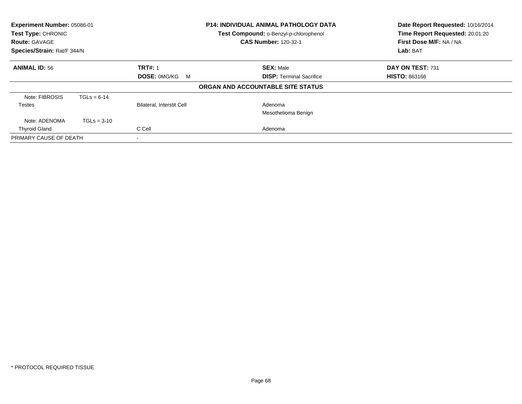| Experiment Number: 05086-01<br><b>Test Type: CHRONIC</b><br><b>Route: GAVAGE</b><br>Species/Strain: Rat/F 344/N |               |                                  | <b>P14: INDIVIDUAL ANIMAL PATHOLOGY DATA</b><br>Test Compound: o-Benzyl-p-chlorophenol<br><b>CAS Number: 120-32-1</b> | Date Report Requested: 10/16/2014<br>Time Report Requested: 20:01:20<br>First Dose M/F: NA / NA<br>Lab: BAT |
|-----------------------------------------------------------------------------------------------------------------|---------------|----------------------------------|-----------------------------------------------------------------------------------------------------------------------|-------------------------------------------------------------------------------------------------------------|
| <b>ANIMAL ID: 56</b>                                                                                            |               | <b>TRT#: 1</b>                   | <b>SEX: Male</b>                                                                                                      | DAY ON TEST: 731                                                                                            |
|                                                                                                                 |               | DOSE: 0MG/KG M                   | <b>DISP: Terminal Sacrifice</b>                                                                                       | <b>HISTO: 863166</b>                                                                                        |
|                                                                                                                 |               |                                  | ORGAN AND ACCOUNTABLE SITE STATUS                                                                                     |                                                                                                             |
| Note: FIBROSIS                                                                                                  | $TGLs = 6-14$ |                                  |                                                                                                                       |                                                                                                             |
| Testes                                                                                                          |               | <b>Bilateral, Interstit Cell</b> | Adenoma                                                                                                               |                                                                                                             |
|                                                                                                                 |               |                                  | Mesothelioma Benign                                                                                                   |                                                                                                             |
| Note: ADENOMA                                                                                                   | $TGLs = 3-10$ |                                  |                                                                                                                       |                                                                                                             |
| <b>Thyroid Gland</b>                                                                                            |               | C Cell                           | Adenoma                                                                                                               |                                                                                                             |
| PRIMARY CAUSE OF DEATH                                                                                          |               | $\overline{\phantom{a}}$         |                                                                                                                       |                                                                                                             |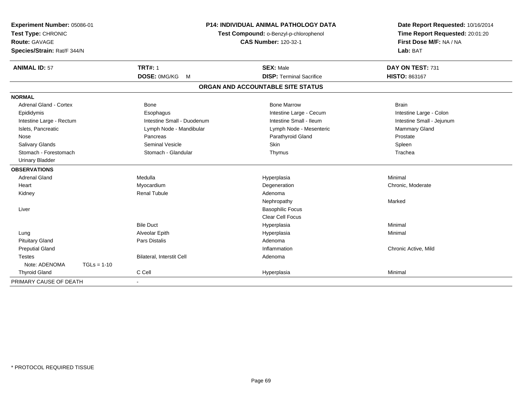| Experiment Number: 05086-01<br>Test Type: CHRONIC<br><b>Route: GAVAGE</b><br>Species/Strain: Rat/F 344/N |               | <b>P14: INDIVIDUAL ANIMAL PATHOLOGY DATA</b><br>Test Compound: o-Benzyl-p-chlorophenol<br><b>CAS Number: 120-32-1</b> |                                   | Date Report Requested: 10/16/2014<br>Time Report Requested: 20:01:20<br>First Dose M/F: NA / NA<br>Lab: BAT |
|----------------------------------------------------------------------------------------------------------|---------------|-----------------------------------------------------------------------------------------------------------------------|-----------------------------------|-------------------------------------------------------------------------------------------------------------|
| <b>ANIMAL ID: 57</b>                                                                                     |               | <b>TRT#: 1</b>                                                                                                        | <b>SEX: Male</b>                  | DAY ON TEST: 731                                                                                            |
|                                                                                                          |               | DOSE: 0MG/KG<br>M                                                                                                     | <b>DISP: Terminal Sacrifice</b>   | HISTO: 863167                                                                                               |
|                                                                                                          |               |                                                                                                                       | ORGAN AND ACCOUNTABLE SITE STATUS |                                                                                                             |
| <b>NORMAL</b>                                                                                            |               |                                                                                                                       |                                   |                                                                                                             |
| <b>Adrenal Gland - Cortex</b>                                                                            |               | <b>Bone</b>                                                                                                           | <b>Bone Marrow</b>                | <b>Brain</b>                                                                                                |
| Epididymis                                                                                               |               | Esophagus                                                                                                             | Intestine Large - Cecum           | Intestine Large - Colon                                                                                     |
| Intestine Large - Rectum                                                                                 |               | Intestine Small - Duodenum                                                                                            | Intestine Small - Ileum           | Intestine Small - Jejunum                                                                                   |
| Islets, Pancreatic                                                                                       |               | Lymph Node - Mandibular                                                                                               | Lymph Node - Mesenteric           | Mammary Gland                                                                                               |
| Nose                                                                                                     |               | Pancreas                                                                                                              | Parathyroid Gland                 | Prostate                                                                                                    |
| Salivary Glands                                                                                          |               | <b>Seminal Vesicle</b>                                                                                                | Skin                              | Spleen                                                                                                      |
| Stomach - Forestomach                                                                                    |               | Stomach - Glandular                                                                                                   | Thymus                            | Trachea                                                                                                     |
| <b>Urinary Bladder</b>                                                                                   |               |                                                                                                                       |                                   |                                                                                                             |
| <b>OBSERVATIONS</b>                                                                                      |               |                                                                                                                       |                                   |                                                                                                             |
| <b>Adrenal Gland</b>                                                                                     |               | Medulla                                                                                                               | Hyperplasia                       | Minimal                                                                                                     |
| Heart                                                                                                    |               | Myocardium                                                                                                            | Degeneration                      | Chronic, Moderate                                                                                           |
| Kidney                                                                                                   |               | <b>Renal Tubule</b>                                                                                                   | Adenoma                           |                                                                                                             |
|                                                                                                          |               |                                                                                                                       | Nephropathy                       | Marked                                                                                                      |
| Liver                                                                                                    |               |                                                                                                                       | <b>Basophilic Focus</b>           |                                                                                                             |
|                                                                                                          |               |                                                                                                                       | <b>Clear Cell Focus</b>           |                                                                                                             |
|                                                                                                          |               | <b>Bile Duct</b>                                                                                                      | Hyperplasia                       | Minimal                                                                                                     |
| Lung                                                                                                     |               | Alveolar Epith                                                                                                        | Hyperplasia                       | Minimal                                                                                                     |
| <b>Pituitary Gland</b>                                                                                   |               | <b>Pars Distalis</b>                                                                                                  | Adenoma                           |                                                                                                             |
| <b>Preputial Gland</b>                                                                                   |               |                                                                                                                       | Inflammation                      | Chronic Active, Mild                                                                                        |
| <b>Testes</b>                                                                                            |               | Bilateral, Interstit Cell                                                                                             | Adenoma                           |                                                                                                             |
| Note: ADENOMA                                                                                            | $TGLs = 1-10$ |                                                                                                                       |                                   |                                                                                                             |
| <b>Thyroid Gland</b>                                                                                     |               | C Cell                                                                                                                | Hyperplasia                       | Minimal                                                                                                     |
| PRIMARY CAUSE OF DEATH                                                                                   |               |                                                                                                                       |                                   |                                                                                                             |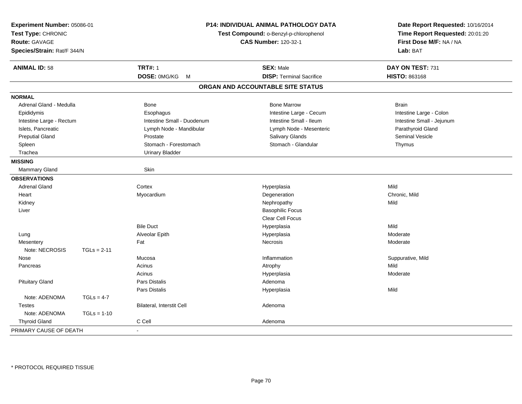| Experiment Number: 05086-01<br>Test Type: CHRONIC<br><b>Route: GAVAGE</b><br>Species/Strain: Rat/F 344/N |               | P14: INDIVIDUAL ANIMAL PATHOLOGY DATA<br>Test Compound: o-Benzyl-p-chlorophenol<br><b>CAS Number: 120-32-1</b> |                                   | Date Report Requested: 10/16/2014<br>Time Report Requested: 20:01:20<br>First Dose M/F: NA / NA<br>Lab: BAT |  |
|----------------------------------------------------------------------------------------------------------|---------------|----------------------------------------------------------------------------------------------------------------|-----------------------------------|-------------------------------------------------------------------------------------------------------------|--|
| <b>ANIMAL ID: 58</b>                                                                                     |               | <b>TRT#: 1</b>                                                                                                 | <b>SEX: Male</b>                  | DAY ON TEST: 731                                                                                            |  |
|                                                                                                          |               | <b>DOSE: OMG/KG</b><br>M                                                                                       | <b>DISP: Terminal Sacrifice</b>   | <b>HISTO: 863168</b>                                                                                        |  |
|                                                                                                          |               |                                                                                                                | ORGAN AND ACCOUNTABLE SITE STATUS |                                                                                                             |  |
| <b>NORMAL</b>                                                                                            |               |                                                                                                                |                                   |                                                                                                             |  |
| Adrenal Gland - Medulla                                                                                  |               | Bone                                                                                                           | <b>Bone Marrow</b>                | <b>Brain</b>                                                                                                |  |
| Epididymis                                                                                               |               | Esophagus                                                                                                      | Intestine Large - Cecum           | Intestine Large - Colon                                                                                     |  |
| Intestine Large - Rectum                                                                                 |               | Intestine Small - Duodenum                                                                                     | Intestine Small - Ileum           | Intestine Small - Jejunum                                                                                   |  |
| Islets, Pancreatic                                                                                       |               | Lymph Node - Mandibular                                                                                        | Lymph Node - Mesenteric           | Parathyroid Gland                                                                                           |  |
| <b>Preputial Gland</b>                                                                                   |               | Prostate                                                                                                       | Salivary Glands                   | Seminal Vesicle                                                                                             |  |
| Spleen                                                                                                   |               | Stomach - Forestomach                                                                                          | Stomach - Glandular               | Thymus                                                                                                      |  |
| Trachea                                                                                                  |               | <b>Urinary Bladder</b>                                                                                         |                                   |                                                                                                             |  |
| <b>MISSING</b>                                                                                           |               |                                                                                                                |                                   |                                                                                                             |  |
| Mammary Gland                                                                                            |               | Skin                                                                                                           |                                   |                                                                                                             |  |
| <b>OBSERVATIONS</b>                                                                                      |               |                                                                                                                |                                   |                                                                                                             |  |
| <b>Adrenal Gland</b>                                                                                     |               | Cortex                                                                                                         | Hyperplasia                       | Mild                                                                                                        |  |
| Heart                                                                                                    |               | Myocardium                                                                                                     | Degeneration                      | Chronic, Mild                                                                                               |  |
| Kidney                                                                                                   |               |                                                                                                                | Nephropathy                       | Mild                                                                                                        |  |
| Liver                                                                                                    |               |                                                                                                                | <b>Basophilic Focus</b>           |                                                                                                             |  |
|                                                                                                          |               |                                                                                                                | Clear Cell Focus                  |                                                                                                             |  |
|                                                                                                          |               | <b>Bile Duct</b>                                                                                               | Hyperplasia                       | Mild                                                                                                        |  |
| Lung                                                                                                     |               | Alveolar Epith                                                                                                 | Hyperplasia                       | Moderate                                                                                                    |  |
| Mesentery                                                                                                |               | Fat                                                                                                            | Necrosis                          | Moderate                                                                                                    |  |
| Note: NECROSIS                                                                                           | $TGLs = 2-11$ |                                                                                                                |                                   |                                                                                                             |  |
| Nose                                                                                                     |               | Mucosa                                                                                                         | Inflammation                      | Suppurative, Mild                                                                                           |  |
| Pancreas                                                                                                 |               | Acinus                                                                                                         | Atrophy                           | Mild                                                                                                        |  |
|                                                                                                          |               | Acinus                                                                                                         | Hyperplasia                       | Moderate                                                                                                    |  |
| <b>Pituitary Gland</b>                                                                                   |               | Pars Distalis                                                                                                  | Adenoma                           |                                                                                                             |  |
|                                                                                                          |               | Pars Distalis                                                                                                  | Hyperplasia                       | Mild                                                                                                        |  |
| Note: ADENOMA                                                                                            | $TGLs = 4-7$  |                                                                                                                |                                   |                                                                                                             |  |
| <b>Testes</b>                                                                                            |               | Bilateral, Interstit Cell                                                                                      | Adenoma                           |                                                                                                             |  |
| Note: ADENOMA                                                                                            | $TGLs = 1-10$ |                                                                                                                |                                   |                                                                                                             |  |
| <b>Thyroid Gland</b>                                                                                     |               | C Cell                                                                                                         | Adenoma                           |                                                                                                             |  |
| PRIMARY CAUSE OF DEATH                                                                                   |               |                                                                                                                |                                   |                                                                                                             |  |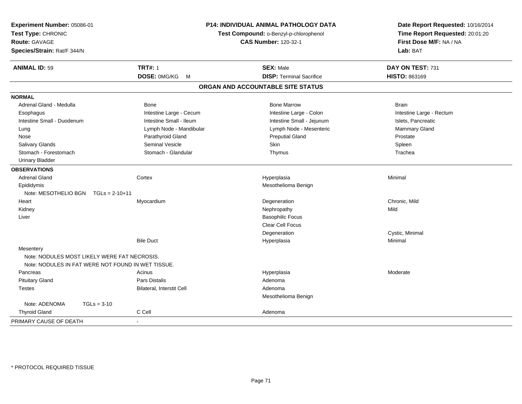| Experiment Number: 05086-01<br>Test Type: CHRONIC<br><b>Route: GAVAGE</b><br>Species/Strain: Rat/F 344/N |                           | P14: INDIVIDUAL ANIMAL PATHOLOGY DATA<br>Test Compound: o-Benzyl-p-chlorophenol<br><b>CAS Number: 120-32-1</b> | Date Report Requested: 10/16/2014<br>Time Report Requested: 20:01:20<br>First Dose M/F: NA / NA<br>Lab: BAT |
|----------------------------------------------------------------------------------------------------------|---------------------------|----------------------------------------------------------------------------------------------------------------|-------------------------------------------------------------------------------------------------------------|
| <b>ANIMAL ID: 59</b>                                                                                     | <b>TRT#: 1</b>            | <b>SEX: Male</b>                                                                                               | DAY ON TEST: 731                                                                                            |
|                                                                                                          | DOSE: 0MG/KG M            | <b>DISP: Terminal Sacrifice</b>                                                                                | HISTO: 863169                                                                                               |
|                                                                                                          |                           | ORGAN AND ACCOUNTABLE SITE STATUS                                                                              |                                                                                                             |
| <b>NORMAL</b>                                                                                            |                           |                                                                                                                |                                                                                                             |
| Adrenal Gland - Medulla                                                                                  | <b>Bone</b>               | <b>Bone Marrow</b>                                                                                             | <b>Brain</b>                                                                                                |
| Esophagus                                                                                                | Intestine Large - Cecum   | Intestine Large - Colon                                                                                        | Intestine Large - Rectum                                                                                    |
| Intestine Small - Duodenum                                                                               | Intestine Small - Ileum   | Intestine Small - Jejunum                                                                                      | Islets, Pancreatic                                                                                          |
| Lung                                                                                                     | Lymph Node - Mandibular   | Lymph Node - Mesenteric                                                                                        | Mammary Gland                                                                                               |
| Nose                                                                                                     | Parathyroid Gland         | <b>Preputial Gland</b>                                                                                         | Prostate                                                                                                    |
| Salivary Glands                                                                                          | Seminal Vesicle           | Skin                                                                                                           | Spleen                                                                                                      |
| Stomach - Forestomach                                                                                    | Stomach - Glandular       | Thymus                                                                                                         | Trachea                                                                                                     |
| <b>Urinary Bladder</b>                                                                                   |                           |                                                                                                                |                                                                                                             |
| <b>OBSERVATIONS</b>                                                                                      |                           |                                                                                                                |                                                                                                             |
| <b>Adrenal Gland</b>                                                                                     | Cortex                    | Hyperplasia                                                                                                    | Minimal                                                                                                     |
| Epididymis                                                                                               |                           | Mesothelioma Benign                                                                                            |                                                                                                             |
| Note: MESOTHELIO BGN<br>$TGLs = 2-10+11$                                                                 |                           |                                                                                                                |                                                                                                             |
| Heart                                                                                                    | Myocardium                | Degeneration                                                                                                   | Chronic, Mild                                                                                               |
| Kidney                                                                                                   |                           | Nephropathy                                                                                                    | Mild                                                                                                        |
| Liver                                                                                                    |                           | <b>Basophilic Focus</b>                                                                                        |                                                                                                             |
|                                                                                                          |                           | <b>Clear Cell Focus</b>                                                                                        |                                                                                                             |
|                                                                                                          |                           | Degeneration                                                                                                   | Cystic, Minimal                                                                                             |
|                                                                                                          | <b>Bile Duct</b>          | Hyperplasia                                                                                                    | Minimal                                                                                                     |
| Mesentery                                                                                                |                           |                                                                                                                |                                                                                                             |
| Note: NODULES MOST LIKELY WERE FAT NECROSIS.                                                             |                           |                                                                                                                |                                                                                                             |
| Note: NODULES IN FAT WERE NOT FOUND IN WET TISSUE.                                                       |                           |                                                                                                                |                                                                                                             |
| Pancreas                                                                                                 | Acinus                    | Hyperplasia                                                                                                    | Moderate                                                                                                    |
| <b>Pituitary Gland</b>                                                                                   | Pars Distalis             | Adenoma                                                                                                        |                                                                                                             |
| Testes                                                                                                   | Bilateral, Interstit Cell | Adenoma                                                                                                        |                                                                                                             |
|                                                                                                          |                           | Mesothelioma Benign                                                                                            |                                                                                                             |
| Note: ADENOMA<br>$TGLs = 3-10$                                                                           |                           |                                                                                                                |                                                                                                             |
| <b>Thyroid Gland</b>                                                                                     | C Cell                    | Adenoma                                                                                                        |                                                                                                             |
| PRIMARY CAUSE OF DEATH                                                                                   |                           |                                                                                                                |                                                                                                             |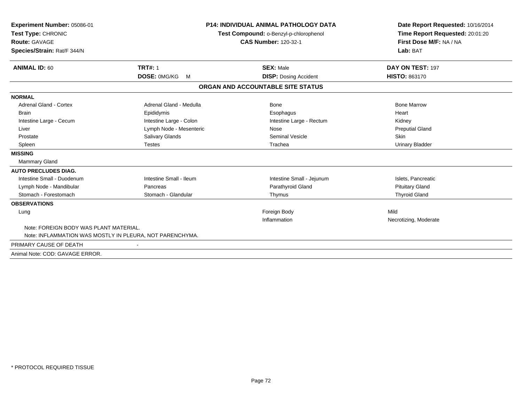| Experiment Number: 05086-01                              |                         | <b>P14: INDIVIDUAL ANIMAL PATHOLOGY DATA</b> | Date Report Requested: 10/16/2014 |
|----------------------------------------------------------|-------------------------|----------------------------------------------|-----------------------------------|
| Test Type: CHRONIC                                       |                         | Test Compound: o-Benzyl-p-chlorophenol       | Time Report Requested: 20:01:20   |
| <b>Route: GAVAGE</b>                                     |                         | <b>CAS Number: 120-32-1</b>                  | First Dose M/F: NA / NA           |
| Species/Strain: Rat/F 344/N                              |                         |                                              | Lab: BAT                          |
| <b>ANIMAL ID: 60</b>                                     | <b>TRT#: 1</b>          | <b>SEX: Male</b>                             | DAY ON TEST: 197                  |
|                                                          | DOSE: 0MG/KG<br>M       | <b>DISP:</b> Dosing Accident                 | <b>HISTO: 863170</b>              |
|                                                          |                         | ORGAN AND ACCOUNTABLE SITE STATUS            |                                   |
| <b>NORMAL</b>                                            |                         |                                              |                                   |
| <b>Adrenal Gland - Cortex</b>                            | Adrenal Gland - Medulla | <b>Bone</b>                                  | <b>Bone Marrow</b>                |
| <b>Brain</b>                                             | Epididymis              | Esophagus                                    | Heart                             |
| Intestine Large - Cecum                                  | Intestine Large - Colon | Intestine Large - Rectum                     | Kidney                            |
| Liver                                                    | Lymph Node - Mesenteric | Nose                                         | <b>Preputial Gland</b>            |
| Prostate                                                 | Salivary Glands         | <b>Seminal Vesicle</b>                       | <b>Skin</b>                       |
| Spleen                                                   | <b>Testes</b>           | Trachea                                      | <b>Urinary Bladder</b>            |
| <b>MISSING</b>                                           |                         |                                              |                                   |
| Mammary Gland                                            |                         |                                              |                                   |
| <b>AUTO PRECLUDES DIAG.</b>                              |                         |                                              |                                   |
| Intestine Small - Duodenum                               | Intestine Small - Ileum | Intestine Small - Jejunum                    | Islets, Pancreatic                |
| Lymph Node - Mandibular                                  | Pancreas                | Parathyroid Gland                            | <b>Pituitary Gland</b>            |
| Stomach - Forestomach                                    | Stomach - Glandular     | Thymus                                       | <b>Thyroid Gland</b>              |
| <b>OBSERVATIONS</b>                                      |                         |                                              |                                   |
| Lung                                                     |                         | Foreign Body                                 | Mild                              |
|                                                          |                         | Inflammation                                 | Necrotizing, Moderate             |
| Note: FOREIGN BODY WAS PLANT MATERIAL.                   |                         |                                              |                                   |
| Note: INFLAMMATION WAS MOSTLY IN PLEURA, NOT PARENCHYMA. |                         |                                              |                                   |
| PRIMARY CAUSE OF DEATH                                   |                         |                                              |                                   |
| Animal Note: COD: GAVAGE ERROR.                          |                         |                                              |                                   |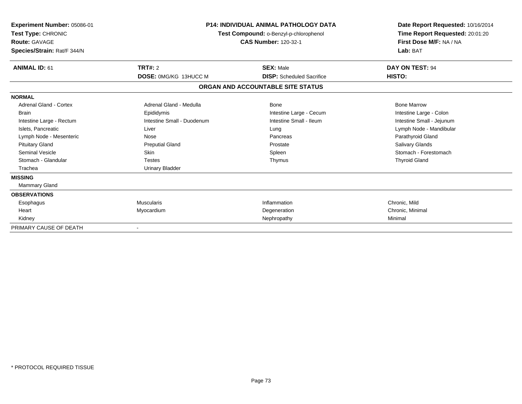| Experiment Number: 05086-01<br>Test Type: CHRONIC<br><b>Route: GAVAGE</b><br>Species/Strain: Rat/F 344/N | <b>P14: INDIVIDUAL ANIMAL PATHOLOGY DATA</b><br>Test Compound: o-Benzyl-p-chlorophenol<br><b>CAS Number: 120-32-1</b> |                                   | Date Report Requested: 10/16/2014<br>Time Report Requested: 20:01:20<br>First Dose M/F: NA / NA<br>Lab: BAT |
|----------------------------------------------------------------------------------------------------------|-----------------------------------------------------------------------------------------------------------------------|-----------------------------------|-------------------------------------------------------------------------------------------------------------|
| <b>ANIMAL ID: 61</b>                                                                                     | TRT#: 2                                                                                                               | <b>SEX: Male</b>                  | DAY ON TEST: 94                                                                                             |
|                                                                                                          | DOSE: 0MG/KG 13HUCC M                                                                                                 | <b>DISP:</b> Scheduled Sacrifice  | HISTO:                                                                                                      |
|                                                                                                          |                                                                                                                       | ORGAN AND ACCOUNTABLE SITE STATUS |                                                                                                             |
| <b>NORMAL</b>                                                                                            |                                                                                                                       |                                   |                                                                                                             |
| <b>Adrenal Gland - Cortex</b>                                                                            | Adrenal Gland - Medulla                                                                                               | Bone                              | <b>Bone Marrow</b>                                                                                          |
| <b>Brain</b>                                                                                             | Epididymis                                                                                                            | Intestine Large - Cecum           | Intestine Large - Colon                                                                                     |
| Intestine Large - Rectum                                                                                 | Intestine Small - Duodenum                                                                                            | Intestine Small - Ileum           | Intestine Small - Jejunum                                                                                   |
| Islets, Pancreatic                                                                                       | Liver                                                                                                                 | Lung                              | Lymph Node - Mandibular                                                                                     |
| Lymph Node - Mesenteric                                                                                  | Nose                                                                                                                  | Pancreas                          | Parathyroid Gland                                                                                           |
| <b>Pituitary Gland</b>                                                                                   | <b>Preputial Gland</b>                                                                                                | Prostate                          | <b>Salivary Glands</b>                                                                                      |
| Seminal Vesicle                                                                                          | <b>Skin</b>                                                                                                           | Spleen                            | Stomach - Forestomach                                                                                       |
| Stomach - Glandular                                                                                      | <b>Testes</b>                                                                                                         | Thymus                            | <b>Thyroid Gland</b>                                                                                        |
| Trachea                                                                                                  | <b>Urinary Bladder</b>                                                                                                |                                   |                                                                                                             |
| <b>MISSING</b>                                                                                           |                                                                                                                       |                                   |                                                                                                             |
| Mammary Gland                                                                                            |                                                                                                                       |                                   |                                                                                                             |
| <b>OBSERVATIONS</b>                                                                                      |                                                                                                                       |                                   |                                                                                                             |
| Esophagus                                                                                                | <b>Muscularis</b>                                                                                                     | Inflammation                      | Chronic, Mild                                                                                               |
| Heart                                                                                                    | Myocardium                                                                                                            | Degeneration                      | Chronic, Minimal                                                                                            |
| Kidney                                                                                                   |                                                                                                                       | Nephropathy                       | Minimal                                                                                                     |
| PRIMARY CAUSE OF DEATH                                                                                   |                                                                                                                       |                                   |                                                                                                             |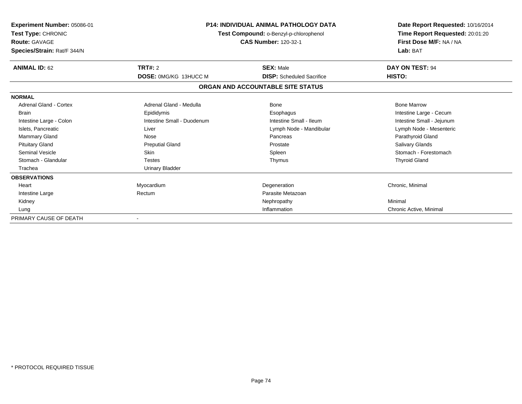| Experiment Number: 05086-01<br>Test Type: CHRONIC<br><b>Route: GAVAGE</b><br>Species/Strain: Rat/F 344/N | <b>P14: INDIVIDUAL ANIMAL PATHOLOGY DATA</b><br>Test Compound: o-Benzyl-p-chlorophenol<br><b>CAS Number: 120-32-1</b> |                                   | Date Report Requested: 10/16/2014<br>Time Report Requested: 20:01:20<br>First Dose M/F: NA / NA<br>Lab: BAT |
|----------------------------------------------------------------------------------------------------------|-----------------------------------------------------------------------------------------------------------------------|-----------------------------------|-------------------------------------------------------------------------------------------------------------|
| <b>ANIMAL ID: 62</b>                                                                                     | TRT#: 2                                                                                                               | <b>SEX: Male</b>                  | DAY ON TEST: 94                                                                                             |
|                                                                                                          | DOSE: 0MG/KG 13HUCC M                                                                                                 | <b>DISP:</b> Scheduled Sacrifice  | HISTO:                                                                                                      |
|                                                                                                          |                                                                                                                       | ORGAN AND ACCOUNTABLE SITE STATUS |                                                                                                             |
| <b>NORMAL</b>                                                                                            |                                                                                                                       |                                   |                                                                                                             |
| <b>Adrenal Gland - Cortex</b>                                                                            | Adrenal Gland - Medulla                                                                                               | Bone                              | <b>Bone Marrow</b>                                                                                          |
| Brain                                                                                                    | Epididymis                                                                                                            | Esophagus                         | Intestine Large - Cecum                                                                                     |
| Intestine Large - Colon                                                                                  | Intestine Small - Duodenum                                                                                            | Intestine Small - Ileum           | Intestine Small - Jejunum                                                                                   |
| Islets, Pancreatic                                                                                       | Liver                                                                                                                 | Lymph Node - Mandibular           | Lymph Node - Mesenteric                                                                                     |
| <b>Mammary Gland</b>                                                                                     | Nose                                                                                                                  | Pancreas                          | Parathyroid Gland                                                                                           |
| <b>Pituitary Gland</b>                                                                                   | <b>Preputial Gland</b>                                                                                                | Prostate                          | <b>Salivary Glands</b>                                                                                      |
| <b>Seminal Vesicle</b>                                                                                   | <b>Skin</b>                                                                                                           | Spleen                            | Stomach - Forestomach                                                                                       |
| Stomach - Glandular                                                                                      | <b>Testes</b>                                                                                                         | Thymus                            | <b>Thyroid Gland</b>                                                                                        |
| Trachea                                                                                                  | <b>Urinary Bladder</b>                                                                                                |                                   |                                                                                                             |
| <b>OBSERVATIONS</b>                                                                                      |                                                                                                                       |                                   |                                                                                                             |
| Heart                                                                                                    | Myocardium                                                                                                            | Degeneration                      | Chronic, Minimal                                                                                            |
| Intestine Large                                                                                          | Rectum                                                                                                                | Parasite Metazoan                 |                                                                                                             |
| Kidney                                                                                                   |                                                                                                                       | Nephropathy                       | Minimal                                                                                                     |
| Lung                                                                                                     |                                                                                                                       | Inflammation                      | Chronic Active, Minimal                                                                                     |
| PRIMARY CAUSE OF DEATH                                                                                   |                                                                                                                       |                                   |                                                                                                             |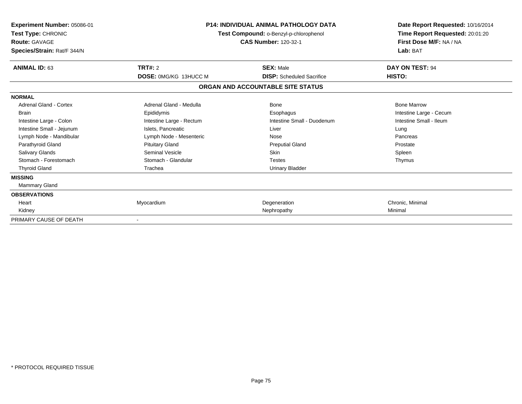| Experiment Number: 05086-01<br>Test Type: CHRONIC<br><b>Route: GAVAGE</b><br>Species/Strain: Rat/F 344/N | <b>P14: INDIVIDUAL ANIMAL PATHOLOGY DATA</b><br>Test Compound: o-Benzyl-p-chlorophenol<br><b>CAS Number: 120-32-1</b> |                                                      | Date Report Requested: 10/16/2014<br>Time Report Requested: 20:01:20<br>First Dose M/F: NA / NA<br>Lab: BAT |
|----------------------------------------------------------------------------------------------------------|-----------------------------------------------------------------------------------------------------------------------|------------------------------------------------------|-------------------------------------------------------------------------------------------------------------|
| <b>ANIMAL ID: 63</b>                                                                                     | TRT#: 2<br><b>DOSE: 0MG/KG 13HUCC M</b>                                                                               | <b>SEX: Male</b><br><b>DISP:</b> Scheduled Sacrifice | DAY ON TEST: 94<br>HISTO:                                                                                   |
|                                                                                                          |                                                                                                                       | ORGAN AND ACCOUNTABLE SITE STATUS                    |                                                                                                             |
| <b>NORMAL</b>                                                                                            |                                                                                                                       |                                                      |                                                                                                             |
| Adrenal Gland - Cortex                                                                                   | Adrenal Gland - Medulla                                                                                               | <b>Bone</b>                                          | <b>Bone Marrow</b>                                                                                          |
| <b>Brain</b>                                                                                             | Epididymis                                                                                                            | Esophagus                                            | Intestine Large - Cecum                                                                                     |
| Intestine Large - Colon                                                                                  | Intestine Large - Rectum                                                                                              | Intestine Small - Duodenum                           | Intestine Small - Ileum                                                                                     |
| Intestine Small - Jejunum                                                                                | Islets, Pancreatic                                                                                                    | Liver                                                | Lung                                                                                                        |
| Lymph Node - Mandibular                                                                                  | Lymph Node - Mesenteric                                                                                               | Nose                                                 | Pancreas                                                                                                    |
| Parathyroid Gland                                                                                        | <b>Pituitary Gland</b>                                                                                                | <b>Preputial Gland</b>                               | Prostate                                                                                                    |
| <b>Salivary Glands</b>                                                                                   | Seminal Vesicle                                                                                                       | <b>Skin</b>                                          | Spleen                                                                                                      |
| Stomach - Forestomach                                                                                    | Stomach - Glandular                                                                                                   | <b>Testes</b>                                        | Thymus                                                                                                      |
| <b>Thyroid Gland</b>                                                                                     | Trachea                                                                                                               | <b>Urinary Bladder</b>                               |                                                                                                             |
| <b>MISSING</b>                                                                                           |                                                                                                                       |                                                      |                                                                                                             |
| Mammary Gland                                                                                            |                                                                                                                       |                                                      |                                                                                                             |
| <b>OBSERVATIONS</b>                                                                                      |                                                                                                                       |                                                      |                                                                                                             |
| Heart                                                                                                    | Myocardium                                                                                                            | Degeneration                                         | Chronic, Minimal                                                                                            |
| Kidney                                                                                                   |                                                                                                                       | Nephropathy                                          | Minimal                                                                                                     |
| PRIMARY CAUSE OF DEATH                                                                                   |                                                                                                                       |                                                      |                                                                                                             |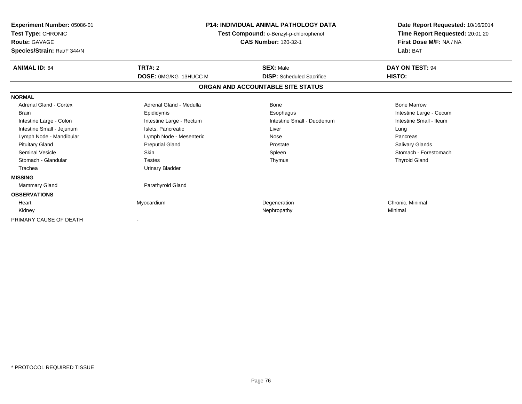| Experiment Number: 05086-01<br>Test Type: CHRONIC<br><b>Route: GAVAGE</b><br>Species/Strain: Rat/F 344/N | <b>P14: INDIVIDUAL ANIMAL PATHOLOGY DATA</b><br>Test Compound: o-Benzyl-p-chlorophenol<br><b>CAS Number: 120-32-1</b> |                                                      | Date Report Requested: 10/16/2014<br>Time Report Requested: 20:01:20<br>First Dose M/F: NA / NA<br>Lab: BAT |
|----------------------------------------------------------------------------------------------------------|-----------------------------------------------------------------------------------------------------------------------|------------------------------------------------------|-------------------------------------------------------------------------------------------------------------|
| <b>ANIMAL ID: 64</b>                                                                                     | TRT#: 2<br><b>DOSE: 0MG/KG 13HUCC M</b>                                                                               | <b>SEX: Male</b><br><b>DISP:</b> Scheduled Sacrifice | DAY ON TEST: 94<br>HISTO:                                                                                   |
|                                                                                                          |                                                                                                                       |                                                      |                                                                                                             |
|                                                                                                          |                                                                                                                       | ORGAN AND ACCOUNTABLE SITE STATUS                    |                                                                                                             |
| <b>NORMAL</b>                                                                                            |                                                                                                                       |                                                      |                                                                                                             |
| Adrenal Gland - Cortex                                                                                   | Adrenal Gland - Medulla                                                                                               | <b>Bone</b>                                          | <b>Bone Marrow</b>                                                                                          |
| <b>Brain</b>                                                                                             | Epididymis                                                                                                            | Esophagus                                            | Intestine Large - Cecum                                                                                     |
| Intestine Large - Colon                                                                                  | Intestine Large - Rectum                                                                                              | Intestine Small - Duodenum                           | Intestine Small - Ileum                                                                                     |
| Intestine Small - Jejunum                                                                                | Islets, Pancreatic                                                                                                    | Liver                                                | Lung                                                                                                        |
| Lymph Node - Mandibular                                                                                  | Lymph Node - Mesenteric                                                                                               | Nose                                                 | Pancreas                                                                                                    |
| <b>Pituitary Gland</b>                                                                                   | <b>Preputial Gland</b>                                                                                                | Prostate                                             | <b>Salivary Glands</b>                                                                                      |
| <b>Seminal Vesicle</b>                                                                                   | <b>Skin</b>                                                                                                           | Spleen                                               | Stomach - Forestomach                                                                                       |
| Stomach - Glandular                                                                                      | <b>Testes</b>                                                                                                         | Thymus                                               | <b>Thyroid Gland</b>                                                                                        |
| Trachea                                                                                                  | <b>Urinary Bladder</b>                                                                                                |                                                      |                                                                                                             |
| <b>MISSING</b>                                                                                           |                                                                                                                       |                                                      |                                                                                                             |
| Mammary Gland                                                                                            | Parathyroid Gland                                                                                                     |                                                      |                                                                                                             |
| <b>OBSERVATIONS</b>                                                                                      |                                                                                                                       |                                                      |                                                                                                             |
| Heart                                                                                                    | Myocardium                                                                                                            | Degeneration                                         | Chronic, Minimal                                                                                            |
| Kidney                                                                                                   |                                                                                                                       | Nephropathy                                          | Minimal                                                                                                     |
| PRIMARY CAUSE OF DEATH                                                                                   |                                                                                                                       |                                                      |                                                                                                             |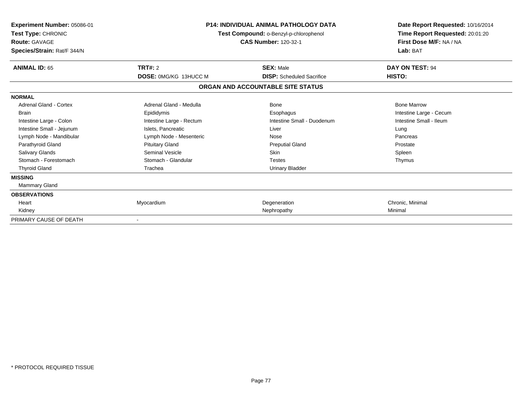| Experiment Number: 05086-01<br>Test Type: CHRONIC<br><b>Route: GAVAGE</b><br>Species/Strain: Rat/F 344/N | <b>P14: INDIVIDUAL ANIMAL PATHOLOGY DATA</b><br>Test Compound: o-Benzyl-p-chlorophenol<br><b>CAS Number: 120-32-1</b> |                                                      | Date Report Requested: 10/16/2014<br>Time Report Requested: 20:01:20<br>First Dose M/F: NA / NA<br>Lab: BAT |
|----------------------------------------------------------------------------------------------------------|-----------------------------------------------------------------------------------------------------------------------|------------------------------------------------------|-------------------------------------------------------------------------------------------------------------|
| <b>ANIMAL ID: 65</b>                                                                                     | TRT#: 2<br><b>DOSE: 0MG/KG 13HUCC M</b>                                                                               | <b>SEX: Male</b><br><b>DISP:</b> Scheduled Sacrifice | DAY ON TEST: 94<br>HISTO:                                                                                   |
|                                                                                                          |                                                                                                                       | ORGAN AND ACCOUNTABLE SITE STATUS                    |                                                                                                             |
| <b>NORMAL</b>                                                                                            |                                                                                                                       |                                                      |                                                                                                             |
| Adrenal Gland - Cortex                                                                                   | Adrenal Gland - Medulla                                                                                               | <b>Bone</b>                                          | <b>Bone Marrow</b>                                                                                          |
| <b>Brain</b>                                                                                             | Epididymis                                                                                                            | Esophagus                                            | Intestine Large - Cecum                                                                                     |
| Intestine Large - Colon                                                                                  | Intestine Large - Rectum                                                                                              | Intestine Small - Duodenum                           | Intestine Small - Ileum                                                                                     |
| Intestine Small - Jejunum                                                                                | Islets, Pancreatic                                                                                                    | Liver                                                | Lung                                                                                                        |
| Lymph Node - Mandibular                                                                                  | Lymph Node - Mesenteric                                                                                               | Nose                                                 | Pancreas                                                                                                    |
| Parathyroid Gland                                                                                        | <b>Pituitary Gland</b>                                                                                                | <b>Preputial Gland</b>                               | Prostate                                                                                                    |
| <b>Salivary Glands</b>                                                                                   | Seminal Vesicle                                                                                                       | <b>Skin</b>                                          | Spleen                                                                                                      |
| Stomach - Forestomach                                                                                    | Stomach - Glandular                                                                                                   | <b>Testes</b>                                        | Thymus                                                                                                      |
| <b>Thyroid Gland</b>                                                                                     | Trachea                                                                                                               | <b>Urinary Bladder</b>                               |                                                                                                             |
| <b>MISSING</b>                                                                                           |                                                                                                                       |                                                      |                                                                                                             |
| Mammary Gland                                                                                            |                                                                                                                       |                                                      |                                                                                                             |
| <b>OBSERVATIONS</b>                                                                                      |                                                                                                                       |                                                      |                                                                                                             |
| Heart                                                                                                    | Myocardium                                                                                                            | Degeneration                                         | Chronic, Minimal                                                                                            |
| Kidney                                                                                                   |                                                                                                                       | Nephropathy                                          | Minimal                                                                                                     |
| PRIMARY CAUSE OF DEATH                                                                                   |                                                                                                                       |                                                      |                                                                                                             |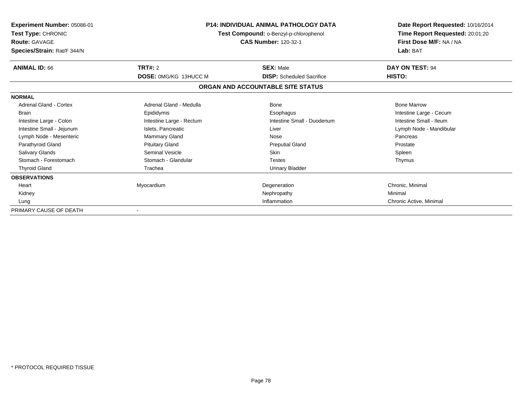| <b>Experiment Number: 05086-01</b><br>Test Type: CHRONIC<br><b>Route: GAVAGE</b><br>Species/Strain: Rat/F 344/N |                              | <b>P14: INDIVIDUAL ANIMAL PATHOLOGY DATA</b><br>Test Compound: o-Benzyl-p-chlorophenol<br><b>CAS Number: 120-32-1</b> |                         | Date Report Requested: 10/16/2014<br>Time Report Requested: 20:01:20<br>First Dose M/F: NA / NA<br>Lab: BAT |  |
|-----------------------------------------------------------------------------------------------------------------|------------------------------|-----------------------------------------------------------------------------------------------------------------------|-------------------------|-------------------------------------------------------------------------------------------------------------|--|
| <b>ANIMAL ID: 66</b>                                                                                            | TRT#: 2                      | <b>SEX: Male</b>                                                                                                      | DAY ON TEST: 94         |                                                                                                             |  |
|                                                                                                                 | <b>DOSE: 0MG/KG 13HUCC M</b> | <b>DISP:</b> Scheduled Sacrifice                                                                                      | HISTO:                  |                                                                                                             |  |
|                                                                                                                 |                              | ORGAN AND ACCOUNTABLE SITE STATUS                                                                                     |                         |                                                                                                             |  |
| <b>NORMAL</b>                                                                                                   |                              |                                                                                                                       |                         |                                                                                                             |  |
| Adrenal Gland - Cortex                                                                                          | Adrenal Gland - Medulla      | Bone                                                                                                                  | <b>Bone Marrow</b>      |                                                                                                             |  |
| <b>Brain</b>                                                                                                    | Epididymis                   | Esophagus                                                                                                             | Intestine Large - Cecum |                                                                                                             |  |
| Intestine Large - Colon                                                                                         | Intestine Large - Rectum     | Intestine Small - Duodenum                                                                                            | Intestine Small - Ileum |                                                                                                             |  |
| Intestine Small - Jejunum                                                                                       | Islets, Pancreatic           | Liver                                                                                                                 | Lymph Node - Mandibular |                                                                                                             |  |
| Lymph Node - Mesenteric                                                                                         | <b>Mammary Gland</b>         | Nose                                                                                                                  | Pancreas                |                                                                                                             |  |
| Parathyroid Gland                                                                                               | <b>Pituitary Gland</b>       | <b>Preputial Gland</b>                                                                                                | Prostate                |                                                                                                             |  |
| Salivary Glands                                                                                                 | Seminal Vesicle              | <b>Skin</b>                                                                                                           | Spleen                  |                                                                                                             |  |
| Stomach - Forestomach                                                                                           | Stomach - Glandular          | <b>Testes</b>                                                                                                         | Thymus                  |                                                                                                             |  |
| <b>Thyroid Gland</b>                                                                                            | Trachea                      | <b>Urinary Bladder</b>                                                                                                |                         |                                                                                                             |  |
| <b>OBSERVATIONS</b>                                                                                             |                              |                                                                                                                       |                         |                                                                                                             |  |
| Heart                                                                                                           | Myocardium                   | Degeneration                                                                                                          | Chronic, Minimal        |                                                                                                             |  |
| Kidney                                                                                                          |                              | Nephropathy                                                                                                           | Minimal                 |                                                                                                             |  |
| Lung                                                                                                            |                              | Inflammation                                                                                                          | Chronic Active, Minimal |                                                                                                             |  |
| PRIMARY CAUSE OF DEATH                                                                                          |                              |                                                                                                                       |                         |                                                                                                             |  |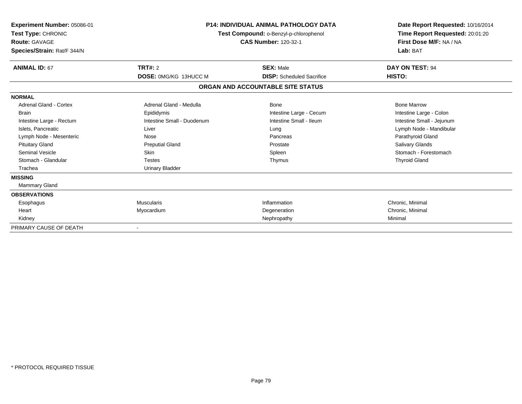| Experiment Number: 05086-01<br>Test Type: CHRONIC<br><b>Route: GAVAGE</b><br>Species/Strain: Rat/F 344/N | <b>P14: INDIVIDUAL ANIMAL PATHOLOGY DATA</b><br>Test Compound: o-Benzyl-p-chlorophenol<br><b>CAS Number: 120-32-1</b> |                                   | Date Report Requested: 10/16/2014<br>Time Report Requested: 20:01:20<br>First Dose M/F: NA / NA<br>Lab: BAT |
|----------------------------------------------------------------------------------------------------------|-----------------------------------------------------------------------------------------------------------------------|-----------------------------------|-------------------------------------------------------------------------------------------------------------|
| <b>ANIMAL ID: 67</b>                                                                                     | TRT#: 2                                                                                                               | <b>SEX: Male</b>                  | DAY ON TEST: 94                                                                                             |
|                                                                                                          | DOSE: 0MG/KG 13HUCC M                                                                                                 | <b>DISP:</b> Scheduled Sacrifice  | HISTO:                                                                                                      |
|                                                                                                          |                                                                                                                       | ORGAN AND ACCOUNTABLE SITE STATUS |                                                                                                             |
| <b>NORMAL</b>                                                                                            |                                                                                                                       |                                   |                                                                                                             |
| <b>Adrenal Gland - Cortex</b>                                                                            | Adrenal Gland - Medulla                                                                                               | <b>Bone</b>                       | <b>Bone Marrow</b>                                                                                          |
| <b>Brain</b>                                                                                             | Epididymis                                                                                                            | Intestine Large - Cecum           | Intestine Large - Colon                                                                                     |
| Intestine Large - Rectum                                                                                 | Intestine Small - Duodenum                                                                                            | Intestine Small - Ileum           | Intestine Small - Jejunum                                                                                   |
| Islets, Pancreatic                                                                                       | Liver                                                                                                                 | Lung                              | Lymph Node - Mandibular                                                                                     |
| Lymph Node - Mesenteric                                                                                  | Nose                                                                                                                  | Pancreas                          | Parathyroid Gland                                                                                           |
| <b>Pituitary Gland</b>                                                                                   | <b>Preputial Gland</b>                                                                                                | Prostate                          | <b>Salivary Glands</b>                                                                                      |
| Seminal Vesicle                                                                                          | <b>Skin</b>                                                                                                           | Spleen                            | Stomach - Forestomach                                                                                       |
| Stomach - Glandular                                                                                      | <b>Testes</b>                                                                                                         | Thymus                            | <b>Thyroid Gland</b>                                                                                        |
| Trachea                                                                                                  | <b>Urinary Bladder</b>                                                                                                |                                   |                                                                                                             |
| <b>MISSING</b>                                                                                           |                                                                                                                       |                                   |                                                                                                             |
| Mammary Gland                                                                                            |                                                                                                                       |                                   |                                                                                                             |
| <b>OBSERVATIONS</b>                                                                                      |                                                                                                                       |                                   |                                                                                                             |
| Esophagus                                                                                                | <b>Muscularis</b>                                                                                                     | Inflammation                      | Chronic, Minimal                                                                                            |
| Heart                                                                                                    | Myocardium                                                                                                            | Degeneration                      | Chronic, Minimal                                                                                            |
| Kidney                                                                                                   |                                                                                                                       | Nephropathy                       | Minimal                                                                                                     |
| PRIMARY CAUSE OF DEATH                                                                                   |                                                                                                                       |                                   |                                                                                                             |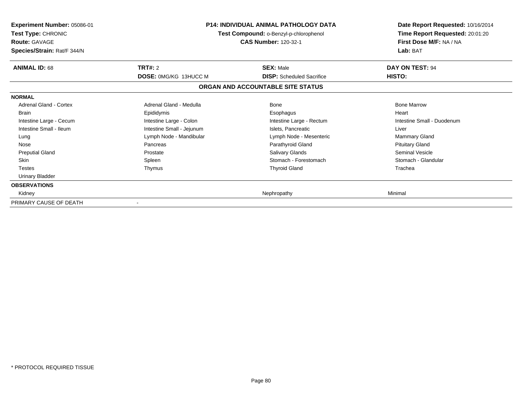| <b>Experiment Number: 05086-01</b><br><b>Test Type: CHRONIC</b><br><b>Route: GAVAGE</b><br>Species/Strain: Rat/F 344/N | <b>P14: INDIVIDUAL ANIMAL PATHOLOGY DATA</b><br>Test Compound: o-Benzyl-p-chlorophenol<br><b>CAS Number: 120-32-1</b> |                                   | Date Report Requested: 10/16/2014<br>Time Report Requested: 20:01:20<br>First Dose M/F: NA / NA<br>Lab: BAT |
|------------------------------------------------------------------------------------------------------------------------|-----------------------------------------------------------------------------------------------------------------------|-----------------------------------|-------------------------------------------------------------------------------------------------------------|
| <b>ANIMAL ID: 68</b>                                                                                                   | TRT#: 2                                                                                                               | <b>SEX: Male</b>                  | DAY ON TEST: 94                                                                                             |
|                                                                                                                        | DOSE: 0MG/KG 13HUCC M                                                                                                 | <b>DISP:</b> Scheduled Sacrifice  | HISTO:                                                                                                      |
|                                                                                                                        |                                                                                                                       | ORGAN AND ACCOUNTABLE SITE STATUS |                                                                                                             |
| <b>NORMAL</b>                                                                                                          |                                                                                                                       |                                   |                                                                                                             |
| <b>Adrenal Gland - Cortex</b>                                                                                          | Adrenal Gland - Medulla                                                                                               | Bone                              | <b>Bone Marrow</b>                                                                                          |
| <b>Brain</b>                                                                                                           | Epididymis                                                                                                            | Esophagus                         | Heart                                                                                                       |
| Intestine Large - Cecum                                                                                                | Intestine Large - Colon                                                                                               | Intestine Large - Rectum          | Intestine Small - Duodenum                                                                                  |
| Intestine Small - Ileum                                                                                                | Intestine Small - Jejunum                                                                                             | Islets, Pancreatic                | Liver                                                                                                       |
| Lung                                                                                                                   | Lymph Node - Mandibular                                                                                               | Lymph Node - Mesenteric           | Mammary Gland                                                                                               |
| Nose                                                                                                                   | Pancreas                                                                                                              | Parathyroid Gland                 | <b>Pituitary Gland</b>                                                                                      |
| <b>Preputial Gland</b>                                                                                                 | Prostate                                                                                                              | <b>Salivary Glands</b>            | Seminal Vesicle                                                                                             |
| <b>Skin</b>                                                                                                            | Spleen                                                                                                                | Stomach - Forestomach             | Stomach - Glandular                                                                                         |
| <b>Testes</b>                                                                                                          | Thymus                                                                                                                | <b>Thyroid Gland</b>              | Trachea                                                                                                     |
| Urinary Bladder                                                                                                        |                                                                                                                       |                                   |                                                                                                             |
| <b>OBSERVATIONS</b>                                                                                                    |                                                                                                                       |                                   |                                                                                                             |
| Kidney                                                                                                                 |                                                                                                                       | Nephropathy                       | Minimal                                                                                                     |
| PRIMARY CAUSE OF DEATH                                                                                                 |                                                                                                                       |                                   |                                                                                                             |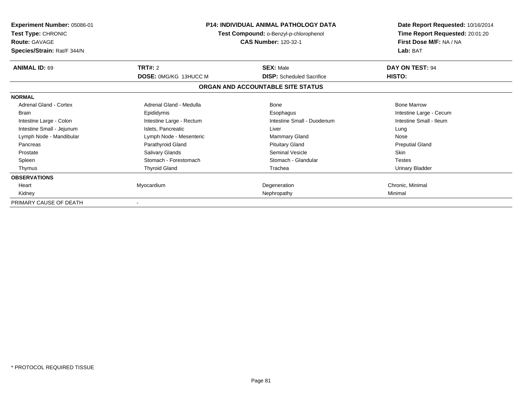| <b>Experiment Number: 05086-01</b><br><b>Test Type: CHRONIC</b><br><b>Route: GAVAGE</b><br>Species/Strain: Rat/F 344/N | <b>P14: INDIVIDUAL ANIMAL PATHOLOGY DATA</b><br>Test Compound: o-Benzyl-p-chlorophenol<br><b>CAS Number: 120-32-1</b> |                                   | Date Report Requested: 10/16/2014<br>Time Report Requested: 20:01:20<br>First Dose M/F: NA / NA<br>Lab: BAT |
|------------------------------------------------------------------------------------------------------------------------|-----------------------------------------------------------------------------------------------------------------------|-----------------------------------|-------------------------------------------------------------------------------------------------------------|
| <b>ANIMAL ID: 69</b>                                                                                                   | TRT#: 2                                                                                                               | <b>SEX: Male</b>                  | DAY ON TEST: 94                                                                                             |
|                                                                                                                        | DOSE: 0MG/KG 13HUCC M                                                                                                 | <b>DISP:</b> Scheduled Sacrifice  | <b>HISTO:</b>                                                                                               |
|                                                                                                                        |                                                                                                                       | ORGAN AND ACCOUNTABLE SITE STATUS |                                                                                                             |
| <b>NORMAL</b>                                                                                                          |                                                                                                                       |                                   |                                                                                                             |
| <b>Adrenal Gland - Cortex</b>                                                                                          | Adrenal Gland - Medulla                                                                                               | Bone                              | <b>Bone Marrow</b>                                                                                          |
| <b>Brain</b>                                                                                                           | Epididymis                                                                                                            | Esophagus                         | Intestine Large - Cecum                                                                                     |
| Intestine Large - Colon                                                                                                | Intestine Large - Rectum                                                                                              | Intestine Small - Duodenum        | Intestine Small - Ileum                                                                                     |
| Intestine Small - Jejunum                                                                                              | Islets, Pancreatic                                                                                                    | Liver                             | Lung                                                                                                        |
| Lymph Node - Mandibular                                                                                                | Lymph Node - Mesenteric                                                                                               | <b>Mammary Gland</b>              | Nose                                                                                                        |
| Pancreas                                                                                                               | Parathyroid Gland                                                                                                     | <b>Pituitary Gland</b>            | <b>Preputial Gland</b>                                                                                      |
| Prostate                                                                                                               | Salivary Glands                                                                                                       | Seminal Vesicle                   | <b>Skin</b>                                                                                                 |
| Spleen                                                                                                                 | Stomach - Forestomach                                                                                                 | Stomach - Glandular               | <b>Testes</b>                                                                                               |
| Thymus                                                                                                                 | <b>Thyroid Gland</b>                                                                                                  | Trachea                           | <b>Urinary Bladder</b>                                                                                      |
| <b>OBSERVATIONS</b>                                                                                                    |                                                                                                                       |                                   |                                                                                                             |
| Heart                                                                                                                  | Myocardium                                                                                                            | Degeneration                      | Chronic, Minimal                                                                                            |
| Kidney                                                                                                                 |                                                                                                                       | Nephropathy                       | Minimal                                                                                                     |
| PRIMARY CAUSE OF DEATH                                                                                                 |                                                                                                                       |                                   |                                                                                                             |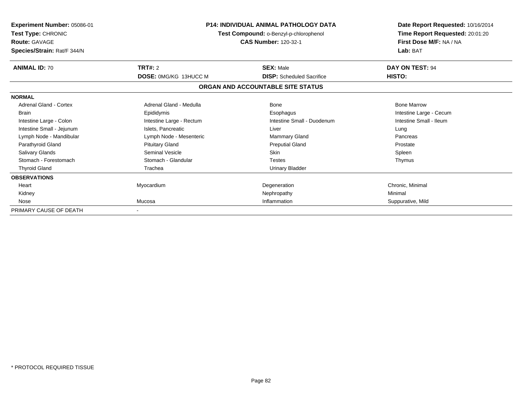| <b>Experiment Number: 05086-01</b><br>Test Type: CHRONIC<br><b>Route: GAVAGE</b><br>Species/Strain: Rat/F 344/N |                                         | <b>P14: INDIVIDUAL ANIMAL PATHOLOGY DATA</b><br>Test Compound: o-Benzyl-p-chlorophenol<br><b>CAS Number: 120-32-1</b> | Date Report Requested: 10/16/2014<br>Time Report Requested: 20:01:20<br>First Dose M/F: NA / NA<br>Lab: BAT |
|-----------------------------------------------------------------------------------------------------------------|-----------------------------------------|-----------------------------------------------------------------------------------------------------------------------|-------------------------------------------------------------------------------------------------------------|
| <b>ANIMAL ID: 70</b>                                                                                            | TRT#: 2<br><b>DOSE: 0MG/KG 13HUCC M</b> | <b>SEX: Male</b><br><b>DISP:</b> Scheduled Sacrifice                                                                  | DAY ON TEST: 94<br>HISTO:                                                                                   |
|                                                                                                                 |                                         | ORGAN AND ACCOUNTABLE SITE STATUS                                                                                     |                                                                                                             |
| <b>NORMAL</b>                                                                                                   |                                         |                                                                                                                       |                                                                                                             |
| Adrenal Gland - Cortex                                                                                          | Adrenal Gland - Medulla                 | <b>Bone</b>                                                                                                           | <b>Bone Marrow</b>                                                                                          |
| <b>Brain</b>                                                                                                    | Epididymis                              | Esophagus                                                                                                             | Intestine Large - Cecum                                                                                     |
| Intestine Large - Colon                                                                                         | Intestine Large - Rectum                | Intestine Small - Duodenum                                                                                            | Intestine Small - Ileum                                                                                     |
| Intestine Small - Jejunum                                                                                       | Islets, Pancreatic                      | Liver                                                                                                                 | Lung                                                                                                        |
| Lymph Node - Mandibular                                                                                         | Lymph Node - Mesenteric                 | <b>Mammary Gland</b>                                                                                                  | Pancreas                                                                                                    |
| Parathyroid Gland                                                                                               | <b>Pituitary Gland</b>                  | <b>Preputial Gland</b>                                                                                                | Prostate                                                                                                    |
| Salivary Glands                                                                                                 | <b>Seminal Vesicle</b>                  | <b>Skin</b>                                                                                                           | Spleen                                                                                                      |
| Stomach - Forestomach                                                                                           | Stomach - Glandular                     | <b>Testes</b>                                                                                                         | Thymus                                                                                                      |
| <b>Thyroid Gland</b>                                                                                            | Trachea                                 | <b>Urinary Bladder</b>                                                                                                |                                                                                                             |
| <b>OBSERVATIONS</b>                                                                                             |                                         |                                                                                                                       |                                                                                                             |
| Heart                                                                                                           | Myocardium                              | Degeneration                                                                                                          | Chronic, Minimal                                                                                            |
| Kidney                                                                                                          |                                         | Nephropathy                                                                                                           | Minimal                                                                                                     |
| Nose                                                                                                            | Mucosa                                  | Inflammation                                                                                                          | Suppurative, Mild                                                                                           |
| PRIMARY CAUSE OF DEATH                                                                                          |                                         |                                                                                                                       |                                                                                                             |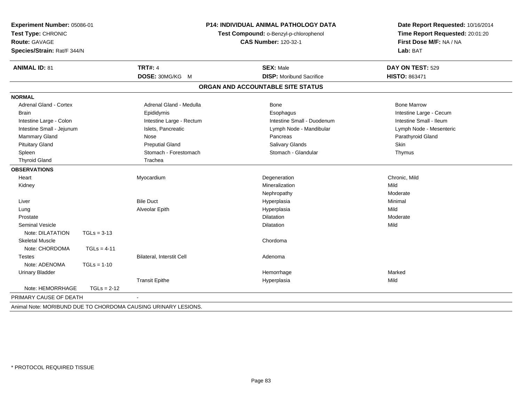| Lab: BAT<br>Species/Strain: Rat/F 344/N<br><b>TRT#: 4</b><br><b>ANIMAL ID: 81</b><br><b>SEX: Male</b><br>DAY ON TEST: 529<br><b>HISTO: 863471</b><br>DOSE: 30MG/KG M<br><b>DISP:</b> Moribund Sacrifice<br>ORGAN AND ACCOUNTABLE SITE STATUS<br><b>NORMAL</b><br><b>Adrenal Gland - Cortex</b><br>Adrenal Gland - Medulla<br><b>Bone Marrow</b><br><b>Bone</b><br>Epididymis<br><b>Brain</b><br>Esophagus<br>Intestine Small - Duodenum<br>Intestine Small - Ileum<br>Intestine Large - Colon<br>Intestine Large - Rectum<br>Intestine Small - Jejunum<br>Islets, Pancreatic<br>Lymph Node - Mandibular<br>Mammary Gland<br>Nose<br>Pancreas<br>Parathyroid Gland<br><b>Pituitary Gland</b><br><b>Preputial Gland</b><br>Salivary Glands<br>Skin<br>Stomach - Forestomach<br>Stomach - Glandular<br>Spleen<br>Thymus<br><b>Thyroid Gland</b><br>Trachea<br><b>OBSERVATIONS</b><br>Heart<br>Myocardium<br>Degeneration<br>Chronic, Mild<br>Mineralization<br>Mild<br>Kidney<br>Moderate<br>Nephropathy<br><b>Bile Duct</b><br>Minimal<br>Liver<br>Hyperplasia<br>Mild<br>Alveolar Epith<br>Hyperplasia<br>Lung<br>Dilatation<br>Moderate<br>Prostate<br><b>Seminal Vesicle</b><br>Mild<br><b>Dilatation</b><br>Note: DILATATION<br>$TGLs = 3-13$<br><b>Skeletal Muscle</b><br>Chordoma<br>Note: CHORDOMA<br>$TGLs = 4-11$ |  | Date Report Requested: 10/16/2014<br>Time Report Requested: 20:01:20<br>First Dose M/F: NA / NA | P14: INDIVIDUAL ANIMAL PATHOLOGY DATA<br>Experiment Number: 05086-01<br>Test Compound: o-Benzyl-p-chlorophenol<br><b>CAS Number: 120-32-1</b> |                           | Test Type: CHRONIC<br>Route: GAVAGE |               |
|--------------------------------------------------------------------------------------------------------------------------------------------------------------------------------------------------------------------------------------------------------------------------------------------------------------------------------------------------------------------------------------------------------------------------------------------------------------------------------------------------------------------------------------------------------------------------------------------------------------------------------------------------------------------------------------------------------------------------------------------------------------------------------------------------------------------------------------------------------------------------------------------------------------------------------------------------------------------------------------------------------------------------------------------------------------------------------------------------------------------------------------------------------------------------------------------------------------------------------------------------------------------------------------------------------------------------|--|-------------------------------------------------------------------------------------------------|-----------------------------------------------------------------------------------------------------------------------------------------------|---------------------------|-------------------------------------|---------------|
|                                                                                                                                                                                                                                                                                                                                                                                                                                                                                                                                                                                                                                                                                                                                                                                                                                                                                                                                                                                                                                                                                                                                                                                                                                                                                                                          |  |                                                                                                 |                                                                                                                                               |                           |                                     |               |
|                                                                                                                                                                                                                                                                                                                                                                                                                                                                                                                                                                                                                                                                                                                                                                                                                                                                                                                                                                                                                                                                                                                                                                                                                                                                                                                          |  |                                                                                                 |                                                                                                                                               |                           |                                     |               |
|                                                                                                                                                                                                                                                                                                                                                                                                                                                                                                                                                                                                                                                                                                                                                                                                                                                                                                                                                                                                                                                                                                                                                                                                                                                                                                                          |  |                                                                                                 |                                                                                                                                               |                           |                                     |               |
|                                                                                                                                                                                                                                                                                                                                                                                                                                                                                                                                                                                                                                                                                                                                                                                                                                                                                                                                                                                                                                                                                                                                                                                                                                                                                                                          |  |                                                                                                 |                                                                                                                                               |                           |                                     |               |
|                                                                                                                                                                                                                                                                                                                                                                                                                                                                                                                                                                                                                                                                                                                                                                                                                                                                                                                                                                                                                                                                                                                                                                                                                                                                                                                          |  |                                                                                                 |                                                                                                                                               |                           |                                     |               |
|                                                                                                                                                                                                                                                                                                                                                                                                                                                                                                                                                                                                                                                                                                                                                                                                                                                                                                                                                                                                                                                                                                                                                                                                                                                                                                                          |  |                                                                                                 |                                                                                                                                               |                           |                                     |               |
|                                                                                                                                                                                                                                                                                                                                                                                                                                                                                                                                                                                                                                                                                                                                                                                                                                                                                                                                                                                                                                                                                                                                                                                                                                                                                                                          |  | Intestine Large - Cecum                                                                         |                                                                                                                                               |                           |                                     |               |
|                                                                                                                                                                                                                                                                                                                                                                                                                                                                                                                                                                                                                                                                                                                                                                                                                                                                                                                                                                                                                                                                                                                                                                                                                                                                                                                          |  |                                                                                                 |                                                                                                                                               |                           |                                     |               |
|                                                                                                                                                                                                                                                                                                                                                                                                                                                                                                                                                                                                                                                                                                                                                                                                                                                                                                                                                                                                                                                                                                                                                                                                                                                                                                                          |  | Lymph Node - Mesenteric                                                                         |                                                                                                                                               |                           |                                     |               |
|                                                                                                                                                                                                                                                                                                                                                                                                                                                                                                                                                                                                                                                                                                                                                                                                                                                                                                                                                                                                                                                                                                                                                                                                                                                                                                                          |  |                                                                                                 |                                                                                                                                               |                           |                                     |               |
|                                                                                                                                                                                                                                                                                                                                                                                                                                                                                                                                                                                                                                                                                                                                                                                                                                                                                                                                                                                                                                                                                                                                                                                                                                                                                                                          |  |                                                                                                 |                                                                                                                                               |                           |                                     |               |
|                                                                                                                                                                                                                                                                                                                                                                                                                                                                                                                                                                                                                                                                                                                                                                                                                                                                                                                                                                                                                                                                                                                                                                                                                                                                                                                          |  |                                                                                                 |                                                                                                                                               |                           |                                     |               |
|                                                                                                                                                                                                                                                                                                                                                                                                                                                                                                                                                                                                                                                                                                                                                                                                                                                                                                                                                                                                                                                                                                                                                                                                                                                                                                                          |  |                                                                                                 |                                                                                                                                               |                           |                                     |               |
|                                                                                                                                                                                                                                                                                                                                                                                                                                                                                                                                                                                                                                                                                                                                                                                                                                                                                                                                                                                                                                                                                                                                                                                                                                                                                                                          |  |                                                                                                 |                                                                                                                                               |                           |                                     |               |
|                                                                                                                                                                                                                                                                                                                                                                                                                                                                                                                                                                                                                                                                                                                                                                                                                                                                                                                                                                                                                                                                                                                                                                                                                                                                                                                          |  |                                                                                                 |                                                                                                                                               |                           |                                     |               |
|                                                                                                                                                                                                                                                                                                                                                                                                                                                                                                                                                                                                                                                                                                                                                                                                                                                                                                                                                                                                                                                                                                                                                                                                                                                                                                                          |  |                                                                                                 |                                                                                                                                               |                           |                                     |               |
|                                                                                                                                                                                                                                                                                                                                                                                                                                                                                                                                                                                                                                                                                                                                                                                                                                                                                                                                                                                                                                                                                                                                                                                                                                                                                                                          |  |                                                                                                 |                                                                                                                                               |                           |                                     |               |
|                                                                                                                                                                                                                                                                                                                                                                                                                                                                                                                                                                                                                                                                                                                                                                                                                                                                                                                                                                                                                                                                                                                                                                                                                                                                                                                          |  |                                                                                                 |                                                                                                                                               |                           |                                     |               |
|                                                                                                                                                                                                                                                                                                                                                                                                                                                                                                                                                                                                                                                                                                                                                                                                                                                                                                                                                                                                                                                                                                                                                                                                                                                                                                                          |  |                                                                                                 |                                                                                                                                               |                           |                                     |               |
|                                                                                                                                                                                                                                                                                                                                                                                                                                                                                                                                                                                                                                                                                                                                                                                                                                                                                                                                                                                                                                                                                                                                                                                                                                                                                                                          |  |                                                                                                 |                                                                                                                                               |                           |                                     |               |
|                                                                                                                                                                                                                                                                                                                                                                                                                                                                                                                                                                                                                                                                                                                                                                                                                                                                                                                                                                                                                                                                                                                                                                                                                                                                                                                          |  |                                                                                                 |                                                                                                                                               |                           |                                     |               |
|                                                                                                                                                                                                                                                                                                                                                                                                                                                                                                                                                                                                                                                                                                                                                                                                                                                                                                                                                                                                                                                                                                                                                                                                                                                                                                                          |  |                                                                                                 |                                                                                                                                               |                           |                                     |               |
|                                                                                                                                                                                                                                                                                                                                                                                                                                                                                                                                                                                                                                                                                                                                                                                                                                                                                                                                                                                                                                                                                                                                                                                                                                                                                                                          |  |                                                                                                 |                                                                                                                                               |                           |                                     |               |
|                                                                                                                                                                                                                                                                                                                                                                                                                                                                                                                                                                                                                                                                                                                                                                                                                                                                                                                                                                                                                                                                                                                                                                                                                                                                                                                          |  |                                                                                                 |                                                                                                                                               |                           |                                     |               |
|                                                                                                                                                                                                                                                                                                                                                                                                                                                                                                                                                                                                                                                                                                                                                                                                                                                                                                                                                                                                                                                                                                                                                                                                                                                                                                                          |  |                                                                                                 | Adenoma                                                                                                                                       | Bilateral, Interstit Cell |                                     | <b>Testes</b> |
| Note: ADENOMA<br>$TGLs = 1-10$                                                                                                                                                                                                                                                                                                                                                                                                                                                                                                                                                                                                                                                                                                                                                                                                                                                                                                                                                                                                                                                                                                                                                                                                                                                                                           |  |                                                                                                 |                                                                                                                                               |                           |                                     |               |
| <b>Urinary Bladder</b><br>Hemorrhage<br>Marked                                                                                                                                                                                                                                                                                                                                                                                                                                                                                                                                                                                                                                                                                                                                                                                                                                                                                                                                                                                                                                                                                                                                                                                                                                                                           |  |                                                                                                 |                                                                                                                                               |                           |                                     |               |
| <b>Transit Epithe</b><br>Mild<br>Hyperplasia                                                                                                                                                                                                                                                                                                                                                                                                                                                                                                                                                                                                                                                                                                                                                                                                                                                                                                                                                                                                                                                                                                                                                                                                                                                                             |  |                                                                                                 |                                                                                                                                               |                           |                                     |               |
| Note: HEMORRHAGE<br>$TGLs = 2-12$                                                                                                                                                                                                                                                                                                                                                                                                                                                                                                                                                                                                                                                                                                                                                                                                                                                                                                                                                                                                                                                                                                                                                                                                                                                                                        |  |                                                                                                 |                                                                                                                                               |                           |                                     |               |
| PRIMARY CAUSE OF DEATH                                                                                                                                                                                                                                                                                                                                                                                                                                                                                                                                                                                                                                                                                                                                                                                                                                                                                                                                                                                                                                                                                                                                                                                                                                                                                                   |  |                                                                                                 |                                                                                                                                               |                           |                                     |               |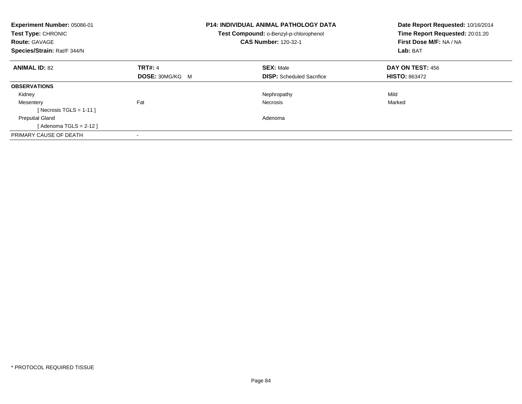| Experiment Number: 05086-01<br>Test Type: CHRONIC<br><b>Route: GAVAGE</b><br>Species/Strain: Rat/F 344/N |                        | <b>P14: INDIVIDUAL ANIMAL PATHOLOGY DATA</b><br>Test Compound: o-Benzyl-p-chlorophenol<br><b>CAS Number: 120-32-1</b> | Date Report Requested: 10/16/2014<br>Time Report Requested: 20:01:20<br>First Dose M/F: NA / NA<br>Lab: BAT |
|----------------------------------------------------------------------------------------------------------|------------------------|-----------------------------------------------------------------------------------------------------------------------|-------------------------------------------------------------------------------------------------------------|
| <b>ANIMAL ID: 82</b>                                                                                     | <b>TRT#: 4</b>         | <b>SEX: Male</b>                                                                                                      | DAY ON TEST: 456                                                                                            |
|                                                                                                          | <b>DOSE: 30MG/KG M</b> | <b>DISP:</b> Scheduled Sacrifice                                                                                      | <b>HISTO: 863472</b>                                                                                        |
| <b>OBSERVATIONS</b>                                                                                      |                        |                                                                                                                       |                                                                                                             |
| Kidney                                                                                                   |                        | Nephropathy                                                                                                           | Mild                                                                                                        |
| Mesentery                                                                                                | Fat                    | <b>Necrosis</b>                                                                                                       | Marked                                                                                                      |
| [Necrosis TGLS = $1-11$ ]                                                                                |                        |                                                                                                                       |                                                                                                             |
| <b>Preputial Gland</b>                                                                                   |                        | Adenoma                                                                                                               |                                                                                                             |
| [Adenoma TGLS = $2-12$ ]                                                                                 |                        |                                                                                                                       |                                                                                                             |
| PRIMARY CAUSE OF DEATH                                                                                   |                        |                                                                                                                       |                                                                                                             |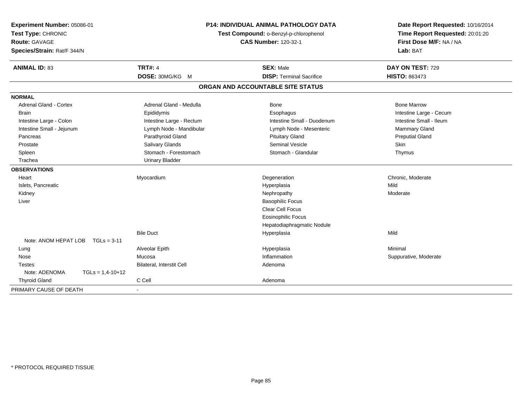| Experiment Number: 05086-01<br>Test Type: CHRONIC<br>Route: GAVAGE<br>Species/Strain: Rat/F 344/N | P14: INDIVIDUAL ANIMAL PATHOLOGY DATA<br>Test Compound: o-Benzyl-p-chlorophenol<br><b>CAS Number: 120-32-1</b> |                                   | Date Report Requested: 10/16/2014<br>Time Report Requested: 20:01:20<br>First Dose M/F: NA / NA<br>Lab: BAT |  |
|---------------------------------------------------------------------------------------------------|----------------------------------------------------------------------------------------------------------------|-----------------------------------|-------------------------------------------------------------------------------------------------------------|--|
| <b>ANIMAL ID: 83</b>                                                                              | <b>TRT#: 4</b>                                                                                                 | <b>SEX: Male</b>                  | DAY ON TEST: 729                                                                                            |  |
|                                                                                                   | DOSE: 30MG/KG M                                                                                                | <b>DISP: Terminal Sacrifice</b>   | <b>HISTO: 863473</b>                                                                                        |  |
|                                                                                                   |                                                                                                                | ORGAN AND ACCOUNTABLE SITE STATUS |                                                                                                             |  |
| <b>NORMAL</b>                                                                                     |                                                                                                                |                                   |                                                                                                             |  |
| <b>Adrenal Gland - Cortex</b>                                                                     | Adrenal Gland - Medulla                                                                                        | <b>Bone</b>                       | <b>Bone Marrow</b>                                                                                          |  |
| <b>Brain</b>                                                                                      | Epididymis                                                                                                     | Esophagus                         | Intestine Large - Cecum                                                                                     |  |
| Intestine Large - Colon                                                                           | Intestine Large - Rectum                                                                                       | Intestine Small - Duodenum        | Intestine Small - Ileum                                                                                     |  |
| Intestine Small - Jejunum                                                                         | Lymph Node - Mandibular                                                                                        | Lymph Node - Mesenteric           | Mammary Gland                                                                                               |  |
| Pancreas                                                                                          | Parathyroid Gland                                                                                              | <b>Pituitary Gland</b>            | <b>Preputial Gland</b>                                                                                      |  |
| Prostate                                                                                          | Salivary Glands                                                                                                | <b>Seminal Vesicle</b>            | Skin                                                                                                        |  |
| Spleen                                                                                            | Stomach - Forestomach                                                                                          | Stomach - Glandular               | Thymus                                                                                                      |  |
| Trachea                                                                                           | <b>Urinary Bladder</b>                                                                                         |                                   |                                                                                                             |  |
| <b>OBSERVATIONS</b>                                                                               |                                                                                                                |                                   |                                                                                                             |  |
| Heart                                                                                             | Myocardium                                                                                                     | Degeneration                      | Chronic, Moderate                                                                                           |  |
| Islets, Pancreatic                                                                                |                                                                                                                | Hyperplasia                       | Mild                                                                                                        |  |
| Kidney                                                                                            |                                                                                                                | Nephropathy                       | Moderate                                                                                                    |  |
| Liver                                                                                             |                                                                                                                | <b>Basophilic Focus</b>           |                                                                                                             |  |
|                                                                                                   |                                                                                                                | <b>Clear Cell Focus</b>           |                                                                                                             |  |
|                                                                                                   |                                                                                                                | <b>Eosinophilic Focus</b>         |                                                                                                             |  |
|                                                                                                   |                                                                                                                | Hepatodiaphragmatic Nodule        |                                                                                                             |  |
|                                                                                                   | <b>Bile Duct</b>                                                                                               | Hyperplasia                       | Mild                                                                                                        |  |
| Note: ANOM HEPAT LOB<br>$TGLs = 3-11$                                                             |                                                                                                                |                                   |                                                                                                             |  |
| Lung                                                                                              | Alveolar Epith                                                                                                 | Hyperplasia                       | Minimal                                                                                                     |  |
| Nose                                                                                              | Mucosa                                                                                                         | Inflammation                      | Suppurative, Moderate                                                                                       |  |
| <b>Testes</b>                                                                                     | Bilateral, Interstit Cell                                                                                      | Adenoma                           |                                                                                                             |  |
| Note: ADENOMA<br>$TGLs = 1,4-10+12$                                                               |                                                                                                                |                                   |                                                                                                             |  |
| <b>Thyroid Gland</b>                                                                              | C Cell                                                                                                         | Adenoma                           |                                                                                                             |  |
| PRIMARY CAUSE OF DEATH                                                                            |                                                                                                                |                                   |                                                                                                             |  |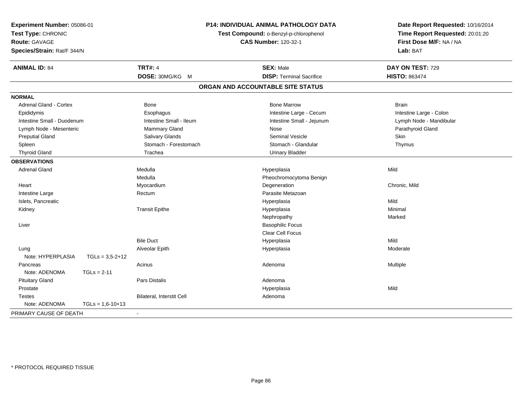| Experiment Number: 05086-01<br>Test Type: CHRONIC<br>Route: GAVAGE<br>Species/Strain: Rat/F 344/N | <b>P14: INDIVIDUAL ANIMAL PATHOLOGY DATA</b><br>Test Compound: o-Benzyl-p-chlorophenol<br><b>CAS Number: 120-32-1</b> |                                   | Date Report Requested: 10/16/2014<br>Time Report Requested: 20:01:20<br>First Dose M/F: NA / NA<br>Lab: BAT |
|---------------------------------------------------------------------------------------------------|-----------------------------------------------------------------------------------------------------------------------|-----------------------------------|-------------------------------------------------------------------------------------------------------------|
| <b>ANIMAL ID: 84</b>                                                                              | <b>TRT#: 4</b>                                                                                                        | <b>SEX: Male</b>                  | DAY ON TEST: 729                                                                                            |
|                                                                                                   | DOSE: 30MG/KG M                                                                                                       | <b>DISP: Terminal Sacrifice</b>   | <b>HISTO: 863474</b>                                                                                        |
|                                                                                                   |                                                                                                                       | ORGAN AND ACCOUNTABLE SITE STATUS |                                                                                                             |
| <b>NORMAL</b>                                                                                     |                                                                                                                       |                                   |                                                                                                             |
| <b>Adrenal Gland - Cortex</b>                                                                     | Bone                                                                                                                  | <b>Bone Marrow</b>                | <b>Brain</b>                                                                                                |
| Epididymis                                                                                        | Esophagus                                                                                                             | Intestine Large - Cecum           | Intestine Large - Colon                                                                                     |
| Intestine Small - Duodenum                                                                        | Intestine Small - Ileum                                                                                               | Intestine Small - Jejunum         | Lymph Node - Mandibular                                                                                     |
| Lymph Node - Mesenteric                                                                           | Mammary Gland                                                                                                         | Nose                              | Parathyroid Gland                                                                                           |
| <b>Preputial Gland</b>                                                                            | Salivary Glands                                                                                                       | <b>Seminal Vesicle</b>            | <b>Skin</b>                                                                                                 |
| Spleen                                                                                            | Stomach - Forestomach                                                                                                 | Stomach - Glandular               | Thymus                                                                                                      |
| <b>Thyroid Gland</b>                                                                              | Trachea                                                                                                               | <b>Urinary Bladder</b>            |                                                                                                             |
| <b>OBSERVATIONS</b>                                                                               |                                                                                                                       |                                   |                                                                                                             |
| <b>Adrenal Gland</b>                                                                              | Medulla                                                                                                               | Hyperplasia                       | Mild                                                                                                        |
|                                                                                                   | Medulla                                                                                                               | Pheochromocytoma Benign           |                                                                                                             |
| Heart                                                                                             | Myocardium                                                                                                            | Degeneration                      | Chronic, Mild                                                                                               |
| Intestine Large                                                                                   | Rectum                                                                                                                | Parasite Metazoan                 |                                                                                                             |
| Islets, Pancreatic                                                                                |                                                                                                                       | Hyperplasia                       | Mild                                                                                                        |
| Kidney                                                                                            | <b>Transit Epithe</b>                                                                                                 | Hyperplasia                       | Minimal                                                                                                     |
|                                                                                                   |                                                                                                                       | Nephropathy                       | Marked                                                                                                      |
| Liver                                                                                             |                                                                                                                       | <b>Basophilic Focus</b>           |                                                                                                             |
|                                                                                                   |                                                                                                                       | Clear Cell Focus                  |                                                                                                             |
|                                                                                                   | <b>Bile Duct</b>                                                                                                      | Hyperplasia                       | Mild                                                                                                        |
| Lung                                                                                              | Alveolar Epith                                                                                                        | Hyperplasia                       | Moderate                                                                                                    |
| Note: HYPERPLASIA<br>$TGLs = 3,5-2+12$                                                            |                                                                                                                       |                                   |                                                                                                             |
| Pancreas                                                                                          | Acinus                                                                                                                | Adenoma                           | Multiple                                                                                                    |
| Note: ADENOMA<br>$TGLs = 2-11$                                                                    |                                                                                                                       |                                   |                                                                                                             |
| <b>Pituitary Gland</b>                                                                            | Pars Distalis                                                                                                         | Adenoma                           |                                                                                                             |
| Prostate                                                                                          |                                                                                                                       | Hyperplasia                       | Mild                                                                                                        |
| <b>Testes</b>                                                                                     | Bilateral, Interstit Cell                                                                                             | Adenoma                           |                                                                                                             |
| Note: ADENOMA<br>$TGLs = 1,6-10+13$                                                               |                                                                                                                       |                                   |                                                                                                             |
| PRIMARY CAUSE OF DEATH                                                                            | $\blacksquare$                                                                                                        |                                   |                                                                                                             |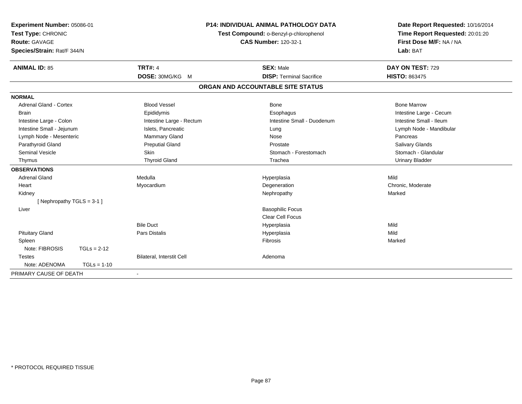| Experiment Number: 05086-01     |                                  | <b>P14: INDIVIDUAL ANIMAL PATHOLOGY DATA</b> | Date Report Requested: 10/16/2014 |
|---------------------------------|----------------------------------|----------------------------------------------|-----------------------------------|
| Test Type: CHRONIC              |                                  | Test Compound: o-Benzyl-p-chlorophenol       | Time Report Requested: 20:01:20   |
| <b>Route: GAVAGE</b>            |                                  | <b>CAS Number: 120-32-1</b>                  | First Dose M/F: NA / NA           |
| Species/Strain: Rat/F 344/N     |                                  |                                              | Lab: BAT                          |
| <b>ANIMAL ID: 85</b>            | <b>TRT#: 4</b>                   | <b>SEX: Male</b>                             | DAY ON TEST: 729                  |
|                                 | DOSE: 30MG/KG M                  | <b>DISP: Terminal Sacrifice</b>              | <b>HISTO: 863475</b>              |
|                                 |                                  | ORGAN AND ACCOUNTABLE SITE STATUS            |                                   |
| <b>NORMAL</b>                   |                                  |                                              |                                   |
| <b>Adrenal Gland - Cortex</b>   | <b>Blood Vessel</b>              | <b>Bone</b>                                  | <b>Bone Marrow</b>                |
| <b>Brain</b>                    | Epididymis                       | Esophagus                                    | Intestine Large - Cecum           |
| Intestine Large - Colon         | Intestine Large - Rectum         | Intestine Small - Duodenum                   | Intestine Small - Ileum           |
| Intestine Small - Jejunum       | Islets, Pancreatic               | Lung                                         | Lymph Node - Mandibular           |
| Lymph Node - Mesenteric         | Mammary Gland                    | Nose                                         | Pancreas                          |
| Parathyroid Gland               | <b>Preputial Gland</b>           | Prostate                                     | <b>Salivary Glands</b>            |
| Seminal Vesicle                 | Skin                             | Stomach - Forestomach                        | Stomach - Glandular               |
| Thymus                          | <b>Thyroid Gland</b>             | Trachea                                      | <b>Urinary Bladder</b>            |
| <b>OBSERVATIONS</b>             |                                  |                                              |                                   |
| <b>Adrenal Gland</b>            | Medulla                          | Hyperplasia                                  | Mild                              |
| Heart                           | Myocardium                       | Degeneration                                 | Chronic, Moderate                 |
| Kidney                          |                                  | Nephropathy                                  | Marked                            |
| [Nephropathy TGLS = 3-1]        |                                  |                                              |                                   |
| Liver                           |                                  | <b>Basophilic Focus</b>                      |                                   |
|                                 |                                  | <b>Clear Cell Focus</b>                      |                                   |
|                                 | <b>Bile Duct</b>                 | Hyperplasia                                  | Mild                              |
| <b>Pituitary Gland</b>          | <b>Pars Distalis</b>             | Hyperplasia                                  | Mild                              |
| Spleen                          |                                  | Fibrosis                                     | Marked                            |
| Note: FIBROSIS<br>$TGLs = 2-12$ |                                  |                                              |                                   |
| <b>Testes</b>                   | <b>Bilateral, Interstit Cell</b> | Adenoma                                      |                                   |
| Note: ADENOMA<br>$TGLs = 1-10$  |                                  |                                              |                                   |
| PRIMARY CAUSE OF DEATH          |                                  |                                              |                                   |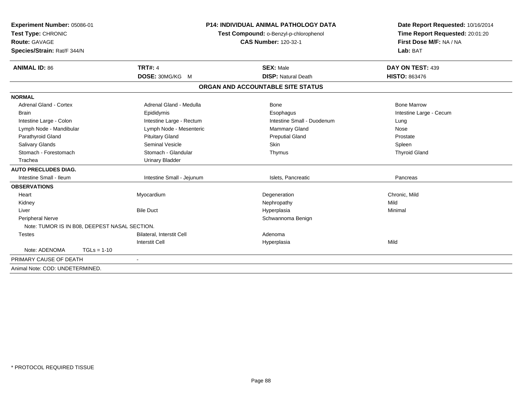| Experiment Number: 05086-01<br>Test Type: CHRONIC<br><b>Route: GAVAGE</b><br>Species/Strain: Rat/F 344/N |                           | <b>P14: INDIVIDUAL ANIMAL PATHOLOGY DATA</b><br>Test Compound: o-Benzyl-p-chlorophenol<br><b>CAS Number: 120-32-1</b> | Date Report Requested: 10/16/2014<br>Time Report Requested: 20:01:20<br>First Dose M/F: NA / NA<br>Lab: BAT |
|----------------------------------------------------------------------------------------------------------|---------------------------|-----------------------------------------------------------------------------------------------------------------------|-------------------------------------------------------------------------------------------------------------|
| <b>ANIMAL ID: 86</b>                                                                                     | <b>TRT#: 4</b>            | <b>SEX: Male</b>                                                                                                      | DAY ON TEST: 439                                                                                            |
|                                                                                                          | DOSE: 30MG/KG M           | <b>DISP: Natural Death</b>                                                                                            | <b>HISTO: 863476</b>                                                                                        |
|                                                                                                          |                           | ORGAN AND ACCOUNTABLE SITE STATUS                                                                                     |                                                                                                             |
| <b>NORMAL</b>                                                                                            |                           |                                                                                                                       |                                                                                                             |
| <b>Adrenal Gland - Cortex</b>                                                                            | Adrenal Gland - Medulla   | Bone                                                                                                                  | <b>Bone Marrow</b>                                                                                          |
| <b>Brain</b>                                                                                             | Epididymis                | Esophagus                                                                                                             | Intestine Large - Cecum                                                                                     |
| Intestine Large - Colon                                                                                  | Intestine Large - Rectum  | Intestine Small - Duodenum                                                                                            | Lung                                                                                                        |
| Lymph Node - Mandibular                                                                                  | Lymph Node - Mesenteric   | <b>Mammary Gland</b>                                                                                                  | Nose                                                                                                        |
| Parathyroid Gland                                                                                        | <b>Pituitary Gland</b>    | <b>Preputial Gland</b>                                                                                                | Prostate                                                                                                    |
| Salivary Glands                                                                                          | <b>Seminal Vesicle</b>    | Skin                                                                                                                  | Spleen                                                                                                      |
| Stomach - Forestomach                                                                                    | Stomach - Glandular       | Thymus                                                                                                                | <b>Thyroid Gland</b>                                                                                        |
| Trachea                                                                                                  | <b>Urinary Bladder</b>    |                                                                                                                       |                                                                                                             |
| <b>AUTO PRECLUDES DIAG.</b>                                                                              |                           |                                                                                                                       |                                                                                                             |
| Intestine Small - Ileum                                                                                  | Intestine Small - Jejunum | Islets, Pancreatic                                                                                                    | Pancreas                                                                                                    |
| <b>OBSERVATIONS</b>                                                                                      |                           |                                                                                                                       |                                                                                                             |
| Heart                                                                                                    | Myocardium                | Degeneration                                                                                                          | Chronic, Mild                                                                                               |
| Kidney                                                                                                   |                           | Nephropathy                                                                                                           | Mild                                                                                                        |
| Liver                                                                                                    | <b>Bile Duct</b>          | Hyperplasia                                                                                                           | Minimal                                                                                                     |
| <b>Peripheral Nerve</b>                                                                                  |                           | Schwannoma Benign                                                                                                     |                                                                                                             |
| Note: TUMOR IS IN B08, DEEPEST NASAL SECTION.                                                            |                           |                                                                                                                       |                                                                                                             |
| <b>Testes</b>                                                                                            | Bilateral, Interstit Cell | Adenoma                                                                                                               |                                                                                                             |
|                                                                                                          | <b>Interstit Cell</b>     | Hyperplasia                                                                                                           | Mild                                                                                                        |
| Note: ADENOMA<br>$TGLs = 1-10$                                                                           |                           |                                                                                                                       |                                                                                                             |
| PRIMARY CAUSE OF DEATH                                                                                   | $\blacksquare$            |                                                                                                                       |                                                                                                             |
| Animal Note: COD: UNDETERMINED.                                                                          |                           |                                                                                                                       |                                                                                                             |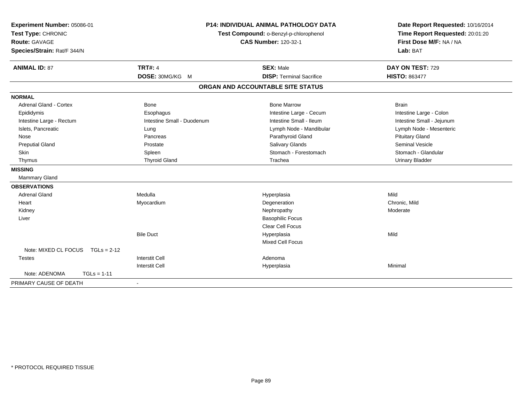| Experiment Number: 05086-01<br>Test Type: CHRONIC<br>Route: GAVAGE<br>Species/Strain: Rat/F 344/N |                            | <b>P14: INDIVIDUAL ANIMAL PATHOLOGY DATA</b><br>Test Compound: o-Benzyl-p-chlorophenol<br><b>CAS Number: 120-32-1</b> | Date Report Requested: 10/16/2014<br>Time Report Requested: 20:01:20<br>First Dose M/F: NA / NA<br>Lab: BAT |  |
|---------------------------------------------------------------------------------------------------|----------------------------|-----------------------------------------------------------------------------------------------------------------------|-------------------------------------------------------------------------------------------------------------|--|
| <b>ANIMAL ID: 87</b>                                                                              | <b>TRT#: 4</b>             | <b>SEX: Male</b>                                                                                                      | DAY ON TEST: 729                                                                                            |  |
|                                                                                                   | DOSE: 30MG/KG M            | <b>DISP: Terminal Sacrifice</b>                                                                                       | <b>HISTO: 863477</b>                                                                                        |  |
|                                                                                                   |                            | ORGAN AND ACCOUNTABLE SITE STATUS                                                                                     |                                                                                                             |  |
| <b>NORMAL</b>                                                                                     |                            |                                                                                                                       |                                                                                                             |  |
| <b>Adrenal Gland - Cortex</b>                                                                     | <b>Bone</b>                | <b>Bone Marrow</b>                                                                                                    | <b>Brain</b>                                                                                                |  |
| Epididymis                                                                                        | Esophagus                  | Intestine Large - Cecum                                                                                               | Intestine Large - Colon                                                                                     |  |
| Intestine Large - Rectum                                                                          | Intestine Small - Duodenum | Intestine Small - Ileum                                                                                               | Intestine Small - Jejunum                                                                                   |  |
| Islets, Pancreatic                                                                                | Lung                       | Lymph Node - Mandibular                                                                                               | Lymph Node - Mesenteric                                                                                     |  |
| Nose                                                                                              | Pancreas                   | Parathyroid Gland                                                                                                     | <b>Pituitary Gland</b>                                                                                      |  |
| <b>Preputial Gland</b>                                                                            | Prostate                   | Salivary Glands                                                                                                       | Seminal Vesicle                                                                                             |  |
| <b>Skin</b>                                                                                       | Spleen                     | Stomach - Forestomach                                                                                                 | Stomach - Glandular                                                                                         |  |
| Thymus                                                                                            | <b>Thyroid Gland</b>       | Trachea                                                                                                               | <b>Urinary Bladder</b>                                                                                      |  |
| <b>MISSING</b>                                                                                    |                            |                                                                                                                       |                                                                                                             |  |
| Mammary Gland                                                                                     |                            |                                                                                                                       |                                                                                                             |  |
| <b>OBSERVATIONS</b>                                                                               |                            |                                                                                                                       |                                                                                                             |  |
| <b>Adrenal Gland</b>                                                                              | Medulla                    | Hyperplasia                                                                                                           | Mild                                                                                                        |  |
| Heart                                                                                             | Myocardium                 | Degeneration                                                                                                          | Chronic, Mild                                                                                               |  |
| Kidney                                                                                            |                            | Nephropathy                                                                                                           | Moderate                                                                                                    |  |
| Liver                                                                                             |                            | <b>Basophilic Focus</b>                                                                                               |                                                                                                             |  |
|                                                                                                   |                            | <b>Clear Cell Focus</b>                                                                                               |                                                                                                             |  |
|                                                                                                   | <b>Bile Duct</b>           | Hyperplasia                                                                                                           | Mild                                                                                                        |  |
|                                                                                                   |                            | Mixed Cell Focus                                                                                                      |                                                                                                             |  |
| Note: MIXED CL FOCUS<br>$TGLs = 2-12$                                                             |                            |                                                                                                                       |                                                                                                             |  |
| <b>Testes</b>                                                                                     | <b>Interstit Cell</b>      | Adenoma                                                                                                               |                                                                                                             |  |
|                                                                                                   | <b>Interstit Cell</b>      | Hyperplasia                                                                                                           | Minimal                                                                                                     |  |
| Note: ADENOMA<br>$TGLs = 1-11$                                                                    |                            |                                                                                                                       |                                                                                                             |  |
| PRIMARY CAUSE OF DEATH                                                                            |                            |                                                                                                                       |                                                                                                             |  |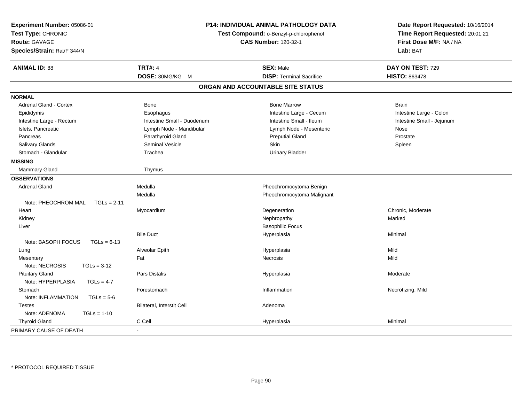| Experiment Number: 05086-01<br>Test Type: CHRONIC<br><b>Route: GAVAGE</b><br>Species/Strain: Rat/F 344/N | <b>P14: INDIVIDUAL ANIMAL PATHOLOGY DATA</b><br>Test Compound: o-Benzyl-p-chlorophenol<br><b>CAS Number: 120-32-1</b> |                                   | Date Report Requested: 10/16/2014<br>Time Report Requested: 20:01:21<br>First Dose M/F: NA / NA<br>Lab: BAT |
|----------------------------------------------------------------------------------------------------------|-----------------------------------------------------------------------------------------------------------------------|-----------------------------------|-------------------------------------------------------------------------------------------------------------|
| <b>ANIMAL ID: 88</b>                                                                                     | <b>TRT#: 4</b>                                                                                                        | <b>SEX: Male</b>                  | DAY ON TEST: 729                                                                                            |
|                                                                                                          | DOSE: 30MG/KG M                                                                                                       | <b>DISP: Terminal Sacrifice</b>   | <b>HISTO: 863478</b>                                                                                        |
|                                                                                                          |                                                                                                                       | ORGAN AND ACCOUNTABLE SITE STATUS |                                                                                                             |
| <b>NORMAL</b>                                                                                            |                                                                                                                       |                                   |                                                                                                             |
| Adrenal Gland - Cortex                                                                                   | <b>Bone</b>                                                                                                           | <b>Bone Marrow</b>                | <b>Brain</b>                                                                                                |
| Epididymis                                                                                               | Esophagus                                                                                                             | Intestine Large - Cecum           | Intestine Large - Colon                                                                                     |
| Intestine Large - Rectum                                                                                 | Intestine Small - Duodenum                                                                                            | Intestine Small - Ileum           | Intestine Small - Jejunum                                                                                   |
| Islets, Pancreatic                                                                                       | Lymph Node - Mandibular                                                                                               | Lymph Node - Mesenteric           | Nose                                                                                                        |
| Pancreas                                                                                                 | Parathyroid Gland                                                                                                     | <b>Preputial Gland</b>            | Prostate                                                                                                    |
| Salivary Glands                                                                                          | <b>Seminal Vesicle</b>                                                                                                | Skin                              | Spleen                                                                                                      |
| Stomach - Glandular                                                                                      | Trachea                                                                                                               | <b>Urinary Bladder</b>            |                                                                                                             |
| <b>MISSING</b>                                                                                           |                                                                                                                       |                                   |                                                                                                             |
| Mammary Gland                                                                                            | Thymus                                                                                                                |                                   |                                                                                                             |
| <b>OBSERVATIONS</b>                                                                                      |                                                                                                                       |                                   |                                                                                                             |
| <b>Adrenal Gland</b>                                                                                     | Medulla                                                                                                               | Pheochromocytoma Benign           |                                                                                                             |
|                                                                                                          | Medulla                                                                                                               | Pheochromocytoma Malignant        |                                                                                                             |
| Note: PHEOCHROM MAL<br>$TGLs = 2-11$                                                                     |                                                                                                                       |                                   |                                                                                                             |
| Heart                                                                                                    | Myocardium                                                                                                            | Degeneration                      | Chronic, Moderate                                                                                           |
| Kidney                                                                                                   |                                                                                                                       | Nephropathy                       | Marked                                                                                                      |
| Liver                                                                                                    |                                                                                                                       | <b>Basophilic Focus</b>           |                                                                                                             |
|                                                                                                          | <b>Bile Duct</b>                                                                                                      | Hyperplasia                       | Minimal                                                                                                     |
| Note: BASOPH FOCUS<br>$TGLs = 6-13$                                                                      |                                                                                                                       |                                   |                                                                                                             |
| Lung                                                                                                     | Alveolar Epith                                                                                                        | Hyperplasia                       | Mild                                                                                                        |
| Mesentery                                                                                                | Fat                                                                                                                   | <b>Necrosis</b>                   | Mild                                                                                                        |
| Note: NECROSIS<br>$TGLs = 3-12$                                                                          |                                                                                                                       |                                   |                                                                                                             |
| <b>Pituitary Gland</b>                                                                                   | <b>Pars Distalis</b>                                                                                                  | Hyperplasia                       | Moderate                                                                                                    |
| Note: HYPERPLASIA<br>$TGLs = 4-7$                                                                        |                                                                                                                       |                                   |                                                                                                             |
| Stomach                                                                                                  | Forestomach                                                                                                           | Inflammation                      | Necrotizing, Mild                                                                                           |
| Note: INFLAMMATION<br>$TGLs = 5-6$                                                                       |                                                                                                                       |                                   |                                                                                                             |
| <b>Testes</b>                                                                                            | Bilateral, Interstit Cell                                                                                             | Adenoma                           |                                                                                                             |
| Note: ADENOMA<br>$TGLs = 1-10$                                                                           |                                                                                                                       |                                   |                                                                                                             |
| <b>Thyroid Gland</b>                                                                                     | C Cell                                                                                                                | Hyperplasia                       | Minimal                                                                                                     |
| PRIMARY CAUSE OF DEATH                                                                                   | $\blacksquare$                                                                                                        |                                   |                                                                                                             |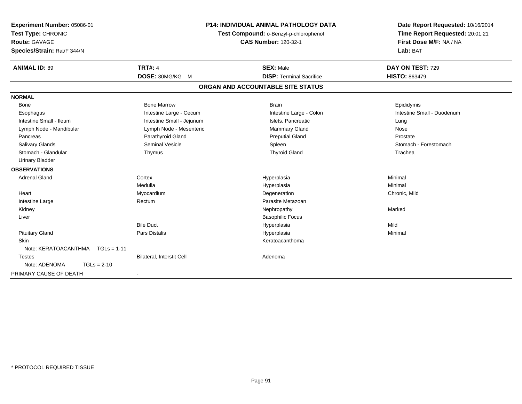| Experiment Number: 05086-01 |                           | <b>P14: INDIVIDUAL ANIMAL PATHOLOGY DATA</b><br>Test Compound: o-Benzyl-p-chlorophenol<br><b>CAS Number: 120-32-1</b> |                                   | Date Report Requested: 10/16/2014 |
|-----------------------------|---------------------------|-----------------------------------------------------------------------------------------------------------------------|-----------------------------------|-----------------------------------|
| Test Type: CHRONIC          |                           |                                                                                                                       |                                   | Time Report Requested: 20:01:21   |
| <b>Route: GAVAGE</b>        |                           |                                                                                                                       |                                   | First Dose M/F: NA / NA           |
| Species/Strain: Rat/F 344/N |                           |                                                                                                                       |                                   | Lab: BAT                          |
| <b>ANIMAL ID: 89</b>        | <b>TRT#: 4</b>            |                                                                                                                       | <b>SEX: Male</b>                  | DAY ON TEST: 729                  |
|                             | DOSE: 30MG/KG M           |                                                                                                                       | <b>DISP: Terminal Sacrifice</b>   | <b>HISTO: 863479</b>              |
|                             |                           |                                                                                                                       | ORGAN AND ACCOUNTABLE SITE STATUS |                                   |
| <b>NORMAL</b>               |                           |                                                                                                                       |                                   |                                   |
| <b>Bone</b>                 | <b>Bone Marrow</b>        |                                                                                                                       | <b>Brain</b>                      | Epididymis                        |
| Esophagus                   | Intestine Large - Cecum   |                                                                                                                       | Intestine Large - Colon           | Intestine Small - Duodenum        |
| Intestine Small - Ileum     | Intestine Small - Jejunum |                                                                                                                       | Islets, Pancreatic                | Lung                              |
| Lymph Node - Mandibular     | Lymph Node - Mesenteric   |                                                                                                                       | Mammary Gland                     | Nose                              |
| Pancreas                    | Parathyroid Gland         |                                                                                                                       | <b>Preputial Gland</b>            | Prostate                          |
| Salivary Glands             | <b>Seminal Vesicle</b>    |                                                                                                                       | Spleen                            | Stomach - Forestomach             |
| Stomach - Glandular         | Thymus                    |                                                                                                                       | <b>Thyroid Gland</b>              | Trachea                           |
| <b>Urinary Bladder</b>      |                           |                                                                                                                       |                                   |                                   |
| <b>OBSERVATIONS</b>         |                           |                                                                                                                       |                                   |                                   |
| <b>Adrenal Gland</b>        | Cortex                    |                                                                                                                       | Hyperplasia                       | Minimal                           |
|                             | Medulla                   |                                                                                                                       | Hyperplasia                       | Minimal                           |
| Heart                       | Myocardium                |                                                                                                                       | Degeneration                      | Chronic, Mild                     |
| Intestine Large             | Rectum                    |                                                                                                                       | Parasite Metazoan                 |                                   |
| Kidney                      |                           |                                                                                                                       | Nephropathy                       | Marked                            |
| Liver                       |                           |                                                                                                                       | <b>Basophilic Focus</b>           |                                   |
|                             | <b>Bile Duct</b>          |                                                                                                                       | Hyperplasia                       | Mild                              |
| <b>Pituitary Gland</b>      | <b>Pars Distalis</b>      |                                                                                                                       | Hyperplasia                       | Minimal                           |
| <b>Skin</b>                 |                           |                                                                                                                       | Keratoacanthoma                   |                                   |
| Note: KERATOACANTHMA        | $TGLs = 1-11$             |                                                                                                                       |                                   |                                   |
| <b>Testes</b>               | Bilateral, Interstit Cell |                                                                                                                       | Adenoma                           |                                   |
| Note: ADENOMA               | $TGLs = 2-10$             |                                                                                                                       |                                   |                                   |
| PRIMARY CAUSE OF DEATH      |                           |                                                                                                                       |                                   |                                   |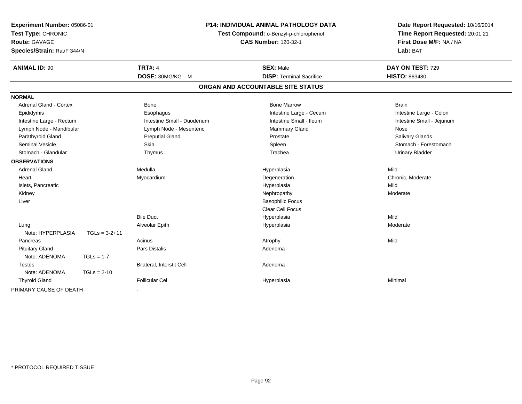| Experiment Number: 05086-01<br>Test Type: CHRONIC<br>Route: GAVAGE<br>Species/Strain: Rat/F 344/N |                 | P14: INDIVIDUAL ANIMAL PATHOLOGY DATA<br>Test Compound: o-Benzyl-p-chlorophenol<br><b>CAS Number: 120-32-1</b> |                                   | Date Report Requested: 10/16/2014<br>Time Report Requested: 20:01:21<br>First Dose M/F: NA / NA<br>Lab: BAT |
|---------------------------------------------------------------------------------------------------|-----------------|----------------------------------------------------------------------------------------------------------------|-----------------------------------|-------------------------------------------------------------------------------------------------------------|
| <b>ANIMAL ID: 90</b>                                                                              |                 | <b>TRT#: 4</b>                                                                                                 | <b>SEX: Male</b>                  | DAY ON TEST: 729                                                                                            |
|                                                                                                   |                 | DOSE: 30MG/KG M                                                                                                | <b>DISP: Terminal Sacrifice</b>   | <b>HISTO: 863480</b>                                                                                        |
|                                                                                                   |                 |                                                                                                                | ORGAN AND ACCOUNTABLE SITE STATUS |                                                                                                             |
| <b>NORMAL</b>                                                                                     |                 |                                                                                                                |                                   |                                                                                                             |
| <b>Adrenal Gland - Cortex</b>                                                                     |                 | <b>Bone</b>                                                                                                    | <b>Bone Marrow</b>                | <b>Brain</b>                                                                                                |
| Epididymis                                                                                        |                 | Esophagus                                                                                                      | Intestine Large - Cecum           | Intestine Large - Colon                                                                                     |
| Intestine Large - Rectum                                                                          |                 | Intestine Small - Duodenum                                                                                     | Intestine Small - Ileum           | Intestine Small - Jejunum                                                                                   |
| Lymph Node - Mandibular                                                                           |                 | Lymph Node - Mesenteric                                                                                        | Mammary Gland                     | Nose                                                                                                        |
| Parathyroid Gland                                                                                 |                 | <b>Preputial Gland</b>                                                                                         | Prostate                          | <b>Salivary Glands</b>                                                                                      |
| <b>Seminal Vesicle</b>                                                                            |                 | Skin                                                                                                           | Spleen                            | Stomach - Forestomach                                                                                       |
| Stomach - Glandular                                                                               |                 | Thymus                                                                                                         | Trachea                           | <b>Urinary Bladder</b>                                                                                      |
| <b>OBSERVATIONS</b>                                                                               |                 |                                                                                                                |                                   |                                                                                                             |
| <b>Adrenal Gland</b>                                                                              |                 | Medulla                                                                                                        | Hyperplasia                       | Mild                                                                                                        |
| Heart                                                                                             |                 | Myocardium                                                                                                     | Degeneration                      | Chronic, Moderate                                                                                           |
| Islets, Pancreatic                                                                                |                 |                                                                                                                | Hyperplasia                       | Mild                                                                                                        |
| Kidney                                                                                            |                 |                                                                                                                | Nephropathy                       | Moderate                                                                                                    |
| Liver                                                                                             |                 |                                                                                                                | <b>Basophilic Focus</b>           |                                                                                                             |
|                                                                                                   |                 |                                                                                                                | <b>Clear Cell Focus</b>           |                                                                                                             |
|                                                                                                   |                 | <b>Bile Duct</b>                                                                                               | Hyperplasia                       | Mild                                                                                                        |
| Lung                                                                                              |                 | Alveolar Epith                                                                                                 | Hyperplasia                       | Moderate                                                                                                    |
| Note: HYPERPLASIA                                                                                 | $TGLs = 3-2+11$ |                                                                                                                |                                   |                                                                                                             |
| Pancreas                                                                                          |                 | Acinus                                                                                                         | Atrophy                           | Mild                                                                                                        |
| <b>Pituitary Gland</b>                                                                            |                 | Pars Distalis                                                                                                  | Adenoma                           |                                                                                                             |
| Note: ADENOMA                                                                                     | $TGLs = 1-7$    |                                                                                                                |                                   |                                                                                                             |
| <b>Testes</b>                                                                                     |                 | Bilateral, Interstit Cell                                                                                      | Adenoma                           |                                                                                                             |
| Note: ADENOMA                                                                                     | $TGLs = 2-10$   |                                                                                                                |                                   |                                                                                                             |
| <b>Thyroid Gland</b>                                                                              |                 | <b>Follicular Cel</b>                                                                                          | Hyperplasia                       | Minimal                                                                                                     |
| PRIMARY CAUSE OF DEATH                                                                            |                 |                                                                                                                |                                   |                                                                                                             |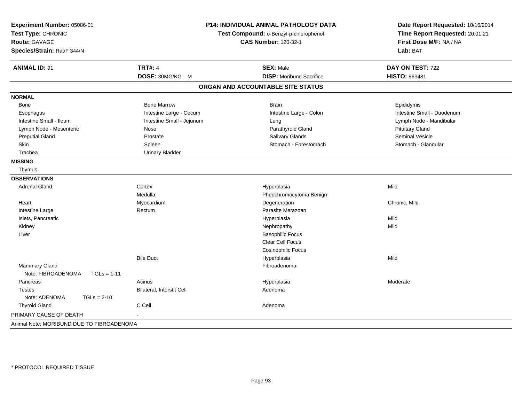| Experiment Number: 05086-01<br>Test Type: CHRONIC<br><b>Route: GAVAGE</b><br>Species/Strain: Rat/F 344/N | P14: INDIVIDUAL ANIMAL PATHOLOGY DATA<br>Test Compound: o-Benzyl-p-chlorophenol<br><b>CAS Number: 120-32-1</b> |                                   | Date Report Requested: 10/16/2014<br>Time Report Requested: 20:01:21<br>First Dose M/F: NA / NA<br>Lab: BAT |
|----------------------------------------------------------------------------------------------------------|----------------------------------------------------------------------------------------------------------------|-----------------------------------|-------------------------------------------------------------------------------------------------------------|
| <b>ANIMAL ID: 91</b>                                                                                     | <b>TRT#: 4</b>                                                                                                 | <b>SEX: Male</b>                  | DAY ON TEST: 722                                                                                            |
|                                                                                                          | DOSE: 30MG/KG M                                                                                                | <b>DISP:</b> Moribund Sacrifice   | <b>HISTO: 863481</b>                                                                                        |
|                                                                                                          |                                                                                                                | ORGAN AND ACCOUNTABLE SITE STATUS |                                                                                                             |
| <b>NORMAL</b>                                                                                            |                                                                                                                |                                   |                                                                                                             |
| Bone                                                                                                     | <b>Bone Marrow</b>                                                                                             | <b>Brain</b>                      | Epididymis                                                                                                  |
| Esophagus                                                                                                | Intestine Large - Cecum                                                                                        | Intestine Large - Colon           | Intestine Small - Duodenum                                                                                  |
| Intestine Small - Ileum                                                                                  | Intestine Small - Jejunum                                                                                      | Lung                              | Lymph Node - Mandibular                                                                                     |
| Lymph Node - Mesenteric                                                                                  | Nose                                                                                                           | Parathyroid Gland                 | <b>Pituitary Gland</b>                                                                                      |
| <b>Preputial Gland</b>                                                                                   | Prostate                                                                                                       | Salivary Glands                   | Seminal Vesicle                                                                                             |
| Skin                                                                                                     | Spleen                                                                                                         | Stomach - Forestomach             | Stomach - Glandular                                                                                         |
| Trachea                                                                                                  | <b>Urinary Bladder</b>                                                                                         |                                   |                                                                                                             |
| <b>MISSING</b>                                                                                           |                                                                                                                |                                   |                                                                                                             |
| Thymus                                                                                                   |                                                                                                                |                                   |                                                                                                             |
| <b>OBSERVATIONS</b>                                                                                      |                                                                                                                |                                   |                                                                                                             |
| <b>Adrenal Gland</b>                                                                                     | Cortex                                                                                                         | Hyperplasia                       | Mild                                                                                                        |
|                                                                                                          | Medulla                                                                                                        | Pheochromocytoma Benign           |                                                                                                             |
| Heart                                                                                                    | Myocardium                                                                                                     | Degeneration                      | Chronic, Mild                                                                                               |
| Intestine Large                                                                                          | Rectum                                                                                                         | Parasite Metazoan                 |                                                                                                             |
| Islets, Pancreatic                                                                                       |                                                                                                                | Hyperplasia                       | Mild                                                                                                        |
| Kidney                                                                                                   |                                                                                                                | Nephropathy                       | Mild                                                                                                        |
| Liver                                                                                                    |                                                                                                                | <b>Basophilic Focus</b>           |                                                                                                             |
|                                                                                                          |                                                                                                                | Clear Cell Focus                  |                                                                                                             |
|                                                                                                          |                                                                                                                | <b>Eosinophilic Focus</b>         |                                                                                                             |
|                                                                                                          | <b>Bile Duct</b>                                                                                               | Hyperplasia                       | Mild                                                                                                        |
| Mammary Gland                                                                                            |                                                                                                                | Fibroadenoma                      |                                                                                                             |
| Note: FIBROADENOMA<br>$TGLs = 1-11$                                                                      |                                                                                                                |                                   |                                                                                                             |
| Pancreas                                                                                                 | Acinus                                                                                                         | Hyperplasia                       | Moderate                                                                                                    |
| <b>Testes</b>                                                                                            | Bilateral, Interstit Cell                                                                                      | Adenoma                           |                                                                                                             |
| Note: ADENOMA<br>$TGLs = 2-10$                                                                           |                                                                                                                |                                   |                                                                                                             |
| <b>Thyroid Gland</b>                                                                                     | C Cell                                                                                                         | Adenoma                           |                                                                                                             |
| PRIMARY CAUSE OF DEATH                                                                                   | $\blacksquare$                                                                                                 |                                   |                                                                                                             |
| Animal Note: MORIBUND DUE TO FIBROADENOMA                                                                |                                                                                                                |                                   |                                                                                                             |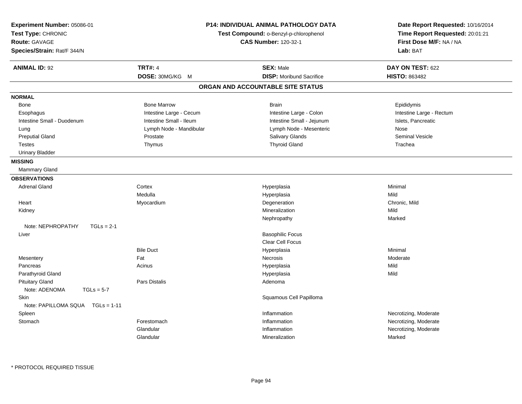| Experiment Number: 05086-01<br>Test Type: CHRONIC<br><b>Route: GAVAGE</b><br>Species/Strain: Rat/F 344/N |                         | P14: INDIVIDUAL ANIMAL PATHOLOGY DATA<br>Test Compound: o-Benzyl-p-chlorophenol<br><b>CAS Number: 120-32-1</b> | Date Report Requested: 10/16/2014<br>Time Report Requested: 20:01:21<br>First Dose M/F: NA / NA<br>Lab: BAT |
|----------------------------------------------------------------------------------------------------------|-------------------------|----------------------------------------------------------------------------------------------------------------|-------------------------------------------------------------------------------------------------------------|
| <b>ANIMAL ID: 92</b>                                                                                     | <b>TRT#: 4</b>          | <b>SEX: Male</b>                                                                                               | DAY ON TEST: 622                                                                                            |
|                                                                                                          | DOSE: 30MG/KG M         | <b>DISP:</b> Moribund Sacrifice                                                                                | <b>HISTO: 863482</b>                                                                                        |
|                                                                                                          |                         | ORGAN AND ACCOUNTABLE SITE STATUS                                                                              |                                                                                                             |
| <b>NORMAL</b>                                                                                            |                         |                                                                                                                |                                                                                                             |
| <b>Bone</b>                                                                                              | <b>Bone Marrow</b>      | <b>Brain</b>                                                                                                   | Epididymis                                                                                                  |
| Esophagus                                                                                                | Intestine Large - Cecum | Intestine Large - Colon                                                                                        | Intestine Large - Rectum                                                                                    |
| Intestine Small - Duodenum                                                                               | Intestine Small - Ileum | Intestine Small - Jejunum                                                                                      | Islets, Pancreatic                                                                                          |
| Lung                                                                                                     | Lymph Node - Mandibular | Lymph Node - Mesenteric                                                                                        | Nose                                                                                                        |
| <b>Preputial Gland</b>                                                                                   | Prostate                | Salivary Glands                                                                                                | <b>Seminal Vesicle</b>                                                                                      |
| <b>Testes</b>                                                                                            | Thymus                  | <b>Thyroid Gland</b>                                                                                           | Trachea                                                                                                     |
| <b>Urinary Bladder</b>                                                                                   |                         |                                                                                                                |                                                                                                             |
| <b>MISSING</b>                                                                                           |                         |                                                                                                                |                                                                                                             |
| Mammary Gland                                                                                            |                         |                                                                                                                |                                                                                                             |
| <b>OBSERVATIONS</b>                                                                                      |                         |                                                                                                                |                                                                                                             |
| <b>Adrenal Gland</b>                                                                                     | Cortex                  | Hyperplasia                                                                                                    | Minimal                                                                                                     |
|                                                                                                          | Medulla                 | Hyperplasia                                                                                                    | Mild                                                                                                        |
| Heart                                                                                                    | Myocardium              | Degeneration                                                                                                   | Chronic, Mild                                                                                               |
| Kidney                                                                                                   |                         | Mineralization                                                                                                 | Mild                                                                                                        |
|                                                                                                          |                         | Nephropathy                                                                                                    | Marked                                                                                                      |
| Note: NEPHROPATHY<br>$TGLs = 2-1$                                                                        |                         |                                                                                                                |                                                                                                             |
| Liver                                                                                                    |                         | <b>Basophilic Focus</b>                                                                                        |                                                                                                             |
|                                                                                                          |                         | Clear Cell Focus                                                                                               |                                                                                                             |
|                                                                                                          | <b>Bile Duct</b>        | Hyperplasia                                                                                                    | Minimal                                                                                                     |
| Mesentery                                                                                                | Fat                     | Necrosis                                                                                                       | Moderate                                                                                                    |
| Pancreas                                                                                                 | Acinus                  | Hyperplasia                                                                                                    | Mild                                                                                                        |
| Parathyroid Gland                                                                                        |                         | Hyperplasia                                                                                                    | Mild                                                                                                        |
| <b>Pituitary Gland</b><br>Note: ADENOMA<br>$TGLs = 5-7$                                                  | Pars Distalis           | Adenoma                                                                                                        |                                                                                                             |
| Skin<br>Note: PAPILLOMA SQUA TGLs = 1-11                                                                 |                         | Squamous Cell Papilloma                                                                                        |                                                                                                             |
| Spleen                                                                                                   |                         | Inflammation                                                                                                   | Necrotizing, Moderate                                                                                       |
| Stomach                                                                                                  | Forestomach             | Inflammation                                                                                                   | Necrotizing, Moderate                                                                                       |
|                                                                                                          | Glandular               | Inflammation                                                                                                   | Necrotizing, Moderate                                                                                       |
|                                                                                                          | Glandular               | Mineralization                                                                                                 | Marked                                                                                                      |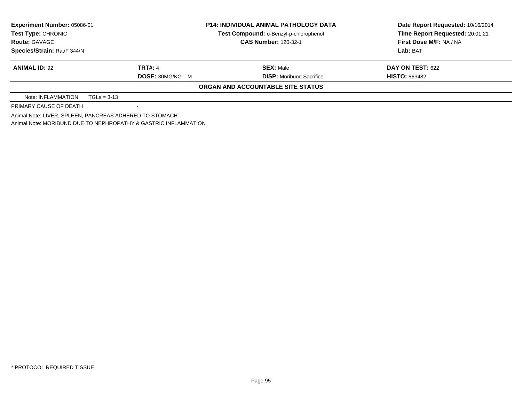| Experiment Number: 05086-01<br><b>Test Type: CHRONIC</b><br><b>Route: GAVAGE</b> |                                                                 | <b>P14: INDIVIDUAL ANIMAL PATHOLOGY DATA</b><br>Test Compound: o-Benzyl-p-chlorophenol<br><b>CAS Number: 120-32-1</b> | Date Report Requested: 10/16/2014<br>Time Report Requested: 20:01:21<br>First Dose M/F: NA / NA |
|----------------------------------------------------------------------------------|-----------------------------------------------------------------|-----------------------------------------------------------------------------------------------------------------------|-------------------------------------------------------------------------------------------------|
| Species/Strain: Rat/F 344/N                                                      |                                                                 |                                                                                                                       | Lab: BAT                                                                                        |
| <b>ANIMAL ID: 92</b>                                                             | <b>TRT#: 4</b><br><b>DOSE: 30MG/KG M</b>                        | <b>SEX: Male</b><br><b>DISP:</b> Moribund Sacrifice                                                                   | <b>DAY ON TEST: 622</b><br><b>HISTO: 863482</b>                                                 |
|                                                                                  |                                                                 | ORGAN AND ACCOUNTABLE SITE STATUS                                                                                     |                                                                                                 |
| Note: INFLAMMATION                                                               | $TGLs = 3-13$                                                   |                                                                                                                       |                                                                                                 |
| PRIMARY CAUSE OF DEATH                                                           |                                                                 |                                                                                                                       |                                                                                                 |
|                                                                                  | Animal Note: LIVER, SPLEEN, PANCREAS ADHERED TO STOMACH         |                                                                                                                       |                                                                                                 |
|                                                                                  | Animal Note: MORIBUND DUE TO NEPHROPATHY & GASTRIC INFLAMMATION |                                                                                                                       |                                                                                                 |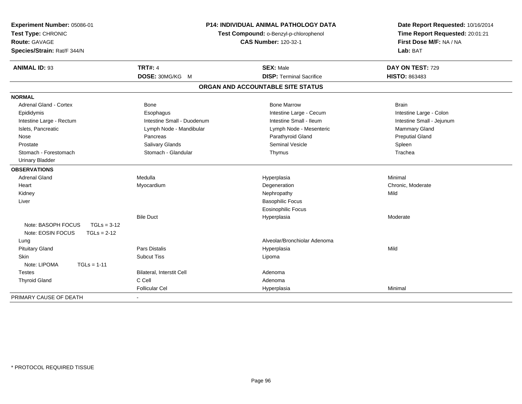| Experiment Number: 05086-01<br>Test Type: CHRONIC<br>Route: GAVAGE<br>Species/Strain: Rat/F 344/N | <b>P14: INDIVIDUAL ANIMAL PATHOLOGY DATA</b><br>Test Compound: o-Benzyl-p-chlorophenol<br><b>CAS Number: 120-32-1</b> |                                   | Date Report Requested: 10/16/2014<br>Time Report Requested: 20:01:21<br>First Dose M/F: NA / NA<br>Lab: BAT |
|---------------------------------------------------------------------------------------------------|-----------------------------------------------------------------------------------------------------------------------|-----------------------------------|-------------------------------------------------------------------------------------------------------------|
| <b>ANIMAL ID: 93</b>                                                                              | <b>TRT#: 4</b>                                                                                                        | <b>SEX: Male</b>                  | DAY ON TEST: 729                                                                                            |
|                                                                                                   | DOSE: 30MG/KG M                                                                                                       | <b>DISP: Terminal Sacrifice</b>   | HISTO: 863483                                                                                               |
|                                                                                                   |                                                                                                                       | ORGAN AND ACCOUNTABLE SITE STATUS |                                                                                                             |
| <b>NORMAL</b>                                                                                     |                                                                                                                       |                                   |                                                                                                             |
| <b>Adrenal Gland - Cortex</b>                                                                     | <b>Bone</b>                                                                                                           | <b>Bone Marrow</b>                | <b>Brain</b>                                                                                                |
| Epididymis                                                                                        | Esophagus                                                                                                             | Intestine Large - Cecum           | Intestine Large - Colon                                                                                     |
| Intestine Large - Rectum                                                                          | Intestine Small - Duodenum                                                                                            | Intestine Small - Ileum           | Intestine Small - Jejunum                                                                                   |
| Islets, Pancreatic                                                                                | Lymph Node - Mandibular                                                                                               | Lymph Node - Mesenteric           | Mammary Gland                                                                                               |
| Nose                                                                                              | Pancreas                                                                                                              | Parathyroid Gland                 | <b>Preputial Gland</b>                                                                                      |
| Prostate                                                                                          | Salivary Glands                                                                                                       | <b>Seminal Vesicle</b>            | Spleen                                                                                                      |
| Stomach - Forestomach                                                                             | Stomach - Glandular                                                                                                   | Thymus                            | Trachea                                                                                                     |
| <b>Urinary Bladder</b>                                                                            |                                                                                                                       |                                   |                                                                                                             |
| <b>OBSERVATIONS</b>                                                                               |                                                                                                                       |                                   |                                                                                                             |
| <b>Adrenal Gland</b>                                                                              | Medulla                                                                                                               | Hyperplasia                       | Minimal                                                                                                     |
| Heart                                                                                             | Myocardium                                                                                                            | Degeneration                      | Chronic, Moderate                                                                                           |
| Kidney                                                                                            |                                                                                                                       | Nephropathy                       | Mild                                                                                                        |
| Liver                                                                                             |                                                                                                                       | <b>Basophilic Focus</b>           |                                                                                                             |
|                                                                                                   |                                                                                                                       | <b>Eosinophilic Focus</b>         |                                                                                                             |
|                                                                                                   | <b>Bile Duct</b>                                                                                                      | Hyperplasia                       | Moderate                                                                                                    |
| Note: BASOPH FOCUS<br>$TGLs = 3-12$                                                               |                                                                                                                       |                                   |                                                                                                             |
| Note: EOSIN FOCUS<br>$TGLs = 2-12$                                                                |                                                                                                                       |                                   |                                                                                                             |
| Lung                                                                                              |                                                                                                                       | Alveolar/Bronchiolar Adenoma      |                                                                                                             |
| <b>Pituitary Gland</b>                                                                            | <b>Pars Distalis</b>                                                                                                  | Hyperplasia                       | Mild                                                                                                        |
| <b>Skin</b>                                                                                       | <b>Subcut Tiss</b>                                                                                                    | Lipoma                            |                                                                                                             |
| Note: LIPOMA<br>$TGLs = 1-11$                                                                     |                                                                                                                       |                                   |                                                                                                             |
| <b>Testes</b>                                                                                     | Bilateral, Interstit Cell                                                                                             | Adenoma                           |                                                                                                             |
| <b>Thyroid Gland</b>                                                                              | C Cell                                                                                                                | Adenoma                           |                                                                                                             |
|                                                                                                   | <b>Follicular Cel</b>                                                                                                 | Hyperplasia                       | Minimal                                                                                                     |
| PRIMARY CAUSE OF DEATH                                                                            |                                                                                                                       |                                   |                                                                                                             |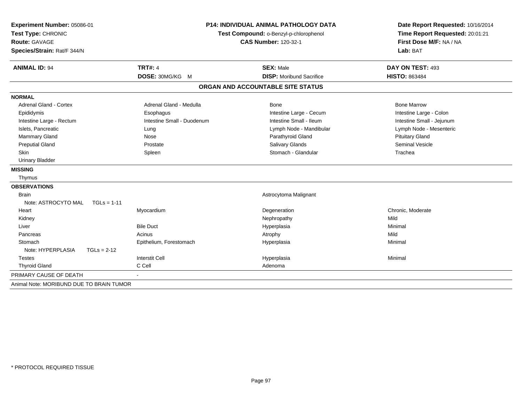| Experiment Number: 05086-01<br>Test Type: CHRONIC<br>Route: GAVAGE<br>Species/Strain: Rat/F 344/N | <b>P14: INDIVIDUAL ANIMAL PATHOLOGY DATA</b><br>Test Compound: o-Benzyl-p-chlorophenol<br><b>CAS Number: 120-32-1</b> |                                   | Date Report Requested: 10/16/2014<br>Time Report Requested: 20:01:21<br>First Dose M/F: NA / NA<br>Lab: BAT |  |
|---------------------------------------------------------------------------------------------------|-----------------------------------------------------------------------------------------------------------------------|-----------------------------------|-------------------------------------------------------------------------------------------------------------|--|
| <b>ANIMAL ID: 94</b>                                                                              | <b>TRT#: 4</b>                                                                                                        | <b>SEX: Male</b>                  | DAY ON TEST: 493                                                                                            |  |
|                                                                                                   | DOSE: 30MG/KG M                                                                                                       | <b>DISP:</b> Moribund Sacrifice   | <b>HISTO: 863484</b>                                                                                        |  |
|                                                                                                   |                                                                                                                       | ORGAN AND ACCOUNTABLE SITE STATUS |                                                                                                             |  |
| <b>NORMAL</b>                                                                                     |                                                                                                                       |                                   |                                                                                                             |  |
| Adrenal Gland - Cortex                                                                            | Adrenal Gland - Medulla                                                                                               | <b>Bone</b>                       | <b>Bone Marrow</b>                                                                                          |  |
| Epididymis                                                                                        | Esophagus                                                                                                             | Intestine Large - Cecum           | Intestine Large - Colon                                                                                     |  |
| Intestine Large - Rectum                                                                          | Intestine Small - Duodenum                                                                                            | Intestine Small - Ileum           | Intestine Small - Jejunum                                                                                   |  |
| Islets, Pancreatic                                                                                | Lung                                                                                                                  | Lymph Node - Mandibular           | Lymph Node - Mesenteric                                                                                     |  |
| Mammary Gland                                                                                     | Nose                                                                                                                  | Parathyroid Gland                 | <b>Pituitary Gland</b>                                                                                      |  |
| <b>Preputial Gland</b>                                                                            | Prostate                                                                                                              | <b>Salivary Glands</b>            | <b>Seminal Vesicle</b>                                                                                      |  |
| <b>Skin</b>                                                                                       | Spleen                                                                                                                | Stomach - Glandular               | Trachea                                                                                                     |  |
| <b>Urinary Bladder</b>                                                                            |                                                                                                                       |                                   |                                                                                                             |  |
| <b>MISSING</b>                                                                                    |                                                                                                                       |                                   |                                                                                                             |  |
| Thymus                                                                                            |                                                                                                                       |                                   |                                                                                                             |  |
| <b>OBSERVATIONS</b>                                                                               |                                                                                                                       |                                   |                                                                                                             |  |
| <b>Brain</b>                                                                                      |                                                                                                                       | Astrocytoma Malignant             |                                                                                                             |  |
| Note: ASTROCYTO MAL<br>$TGLs = 1-11$                                                              |                                                                                                                       |                                   |                                                                                                             |  |
| Heart                                                                                             | Myocardium                                                                                                            | Degeneration                      | Chronic, Moderate                                                                                           |  |
| Kidney                                                                                            |                                                                                                                       | Nephropathy                       | Mild                                                                                                        |  |
| Liver                                                                                             | <b>Bile Duct</b>                                                                                                      | Hyperplasia                       | Minimal                                                                                                     |  |
| Pancreas                                                                                          | Acinus                                                                                                                | Atrophy                           | Mild                                                                                                        |  |
| Stomach                                                                                           | Epithelium, Forestomach                                                                                               | Hyperplasia                       | Minimal                                                                                                     |  |
| Note: HYPERPLASIA<br>$TGLs = 2-12$                                                                |                                                                                                                       |                                   |                                                                                                             |  |
| <b>Testes</b>                                                                                     | <b>Interstit Cell</b>                                                                                                 | Hyperplasia                       | Minimal                                                                                                     |  |
| <b>Thyroid Gland</b>                                                                              | C Cell                                                                                                                | Adenoma                           |                                                                                                             |  |
| PRIMARY CAUSE OF DEATH                                                                            |                                                                                                                       |                                   |                                                                                                             |  |
| Animal Note: MORIBUND DUE TO BRAIN TUMOR                                                          |                                                                                                                       |                                   |                                                                                                             |  |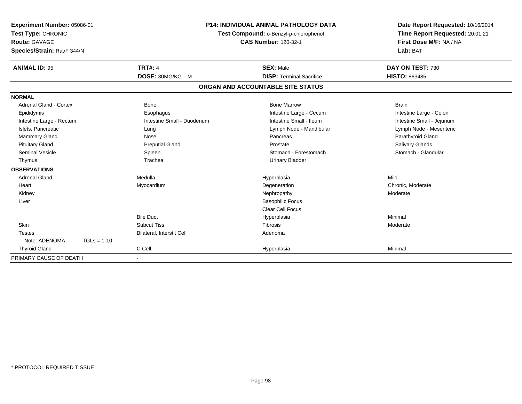| Experiment Number: 05086-01<br>Test Type: CHRONIC<br>Route: GAVAGE<br>Species/Strain: Rat/F 344/N | P14: INDIVIDUAL ANIMAL PATHOLOGY DATA<br>Test Compound: o-Benzyl-p-chlorophenol<br><b>CAS Number: 120-32-1</b> |                            | Date Report Requested: 10/16/2014<br>Time Report Requested: 20:01:21<br>First Dose M/F: NA / NA<br>Lab: BAT |                           |
|---------------------------------------------------------------------------------------------------|----------------------------------------------------------------------------------------------------------------|----------------------------|-------------------------------------------------------------------------------------------------------------|---------------------------|
| <b>ANIMAL ID: 95</b>                                                                              |                                                                                                                | <b>TRT#: 4</b>             | <b>SEX: Male</b>                                                                                            | DAY ON TEST: 730          |
|                                                                                                   |                                                                                                                | DOSE: 30MG/KG M            | <b>DISP: Terminal Sacrifice</b>                                                                             | HISTO: 863485             |
|                                                                                                   |                                                                                                                |                            | ORGAN AND ACCOUNTABLE SITE STATUS                                                                           |                           |
| <b>NORMAL</b>                                                                                     |                                                                                                                |                            |                                                                                                             |                           |
| Adrenal Gland - Cortex                                                                            |                                                                                                                | Bone                       | <b>Bone Marrow</b>                                                                                          | <b>Brain</b>              |
| Epididymis                                                                                        |                                                                                                                | Esophagus                  | Intestine Large - Cecum                                                                                     | Intestine Large - Colon   |
| Intestine Large - Rectum                                                                          |                                                                                                                | Intestine Small - Duodenum | Intestine Small - Ileum                                                                                     | Intestine Small - Jejunum |
| Islets. Pancreatic                                                                                |                                                                                                                | Lung                       | Lymph Node - Mandibular                                                                                     | Lymph Node - Mesenteric   |
| Mammary Gland                                                                                     |                                                                                                                | Nose                       | Pancreas                                                                                                    | Parathyroid Gland         |
| <b>Pituitary Gland</b>                                                                            |                                                                                                                | <b>Preputial Gland</b>     | Prostate                                                                                                    | Salivary Glands           |
| <b>Seminal Vesicle</b>                                                                            |                                                                                                                | Spleen                     | Stomach - Forestomach                                                                                       | Stomach - Glandular       |
| Thymus                                                                                            |                                                                                                                | Trachea                    | <b>Urinary Bladder</b>                                                                                      |                           |
| <b>OBSERVATIONS</b>                                                                               |                                                                                                                |                            |                                                                                                             |                           |
| <b>Adrenal Gland</b>                                                                              |                                                                                                                | Medulla                    | Hyperplasia                                                                                                 | Mild                      |
| Heart                                                                                             |                                                                                                                | Myocardium                 | Degeneration                                                                                                | Chronic, Moderate         |
| Kidney                                                                                            |                                                                                                                |                            | Nephropathy                                                                                                 | Moderate                  |
| Liver                                                                                             |                                                                                                                |                            | <b>Basophilic Focus</b>                                                                                     |                           |
|                                                                                                   |                                                                                                                |                            | <b>Clear Cell Focus</b>                                                                                     |                           |
|                                                                                                   |                                                                                                                | <b>Bile Duct</b>           | Hyperplasia                                                                                                 | Minimal                   |
| Skin                                                                                              |                                                                                                                | <b>Subcut Tiss</b>         | Fibrosis                                                                                                    | Moderate                  |
| <b>Testes</b>                                                                                     |                                                                                                                | Bilateral, Interstit Cell  | Adenoma                                                                                                     |                           |
| Note: ADENOMA                                                                                     | $TGLs = 1-10$                                                                                                  |                            |                                                                                                             |                           |
| <b>Thyroid Gland</b>                                                                              |                                                                                                                | C Cell                     | Hyperplasia                                                                                                 | Minimal                   |
| PRIMARY CAUSE OF DEATH                                                                            |                                                                                                                |                            |                                                                                                             |                           |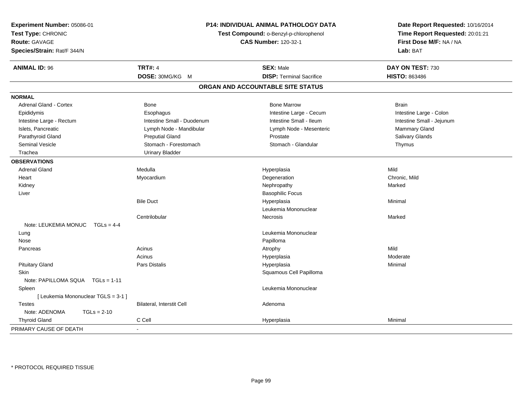| Experiment Number: 05086-01<br>Test Type: CHRONIC<br><b>Route: GAVAGE</b><br>Species/Strain: Rat/F 344/N |                                  | P14: INDIVIDUAL ANIMAL PATHOLOGY DATA<br>Test Compound: o-Benzyl-p-chlorophenol<br><b>CAS Number: 120-32-1</b> | Date Report Requested: 10/16/2014<br>Time Report Requested: 20:01:21<br>First Dose M/F: NA / NA<br>Lab: BAT |
|----------------------------------------------------------------------------------------------------------|----------------------------------|----------------------------------------------------------------------------------------------------------------|-------------------------------------------------------------------------------------------------------------|
| <b>ANIMAL ID: 96</b>                                                                                     | <b>TRT#: 4</b>                   | <b>SEX: Male</b>                                                                                               | DAY ON TEST: 730                                                                                            |
|                                                                                                          | DOSE: 30MG/KG M                  | <b>DISP: Terminal Sacrifice</b>                                                                                | <b>HISTO: 863486</b>                                                                                        |
|                                                                                                          |                                  | ORGAN AND ACCOUNTABLE SITE STATUS                                                                              |                                                                                                             |
| <b>NORMAL</b>                                                                                            |                                  |                                                                                                                |                                                                                                             |
| <b>Adrenal Gland - Cortex</b>                                                                            | <b>Bone</b>                      | <b>Bone Marrow</b>                                                                                             | <b>Brain</b>                                                                                                |
| Epididymis                                                                                               | Esophagus                        | Intestine Large - Cecum                                                                                        | Intestine Large - Colon                                                                                     |
| Intestine Large - Rectum                                                                                 | Intestine Small - Duodenum       | Intestine Small - Ileum                                                                                        | Intestine Small - Jejunum                                                                                   |
| Islets, Pancreatic                                                                                       | Lymph Node - Mandibular          | Lymph Node - Mesenteric                                                                                        | Mammary Gland                                                                                               |
| Parathyroid Gland                                                                                        | <b>Preputial Gland</b>           | Prostate                                                                                                       | Salivary Glands                                                                                             |
| <b>Seminal Vesicle</b>                                                                                   | Stomach - Forestomach            | Stomach - Glandular                                                                                            | Thymus                                                                                                      |
| Trachea                                                                                                  | <b>Urinary Bladder</b>           |                                                                                                                |                                                                                                             |
| <b>OBSERVATIONS</b>                                                                                      |                                  |                                                                                                                |                                                                                                             |
| <b>Adrenal Gland</b>                                                                                     | Medulla                          | Hyperplasia                                                                                                    | Mild                                                                                                        |
| Heart                                                                                                    | Myocardium                       | Degeneration                                                                                                   | Chronic, Mild                                                                                               |
| Kidney                                                                                                   |                                  | Nephropathy                                                                                                    | Marked                                                                                                      |
| Liver                                                                                                    |                                  | <b>Basophilic Focus</b>                                                                                        |                                                                                                             |
|                                                                                                          | <b>Bile Duct</b>                 | Hyperplasia                                                                                                    | Minimal                                                                                                     |
|                                                                                                          |                                  | Leukemia Mononuclear                                                                                           |                                                                                                             |
|                                                                                                          | Centrilobular                    | <b>Necrosis</b>                                                                                                | Marked                                                                                                      |
| Note: LEUKEMIA MONUC                                                                                     | $TGLS = 4-4$                     |                                                                                                                |                                                                                                             |
| Lung                                                                                                     |                                  | Leukemia Mononuclear                                                                                           |                                                                                                             |
| Nose                                                                                                     |                                  | Papilloma                                                                                                      |                                                                                                             |
| Pancreas                                                                                                 | Acinus                           | Atrophy                                                                                                        | Mild                                                                                                        |
|                                                                                                          | Acinus                           | Hyperplasia                                                                                                    | Moderate                                                                                                    |
| <b>Pituitary Gland</b>                                                                                   | <b>Pars Distalis</b>             | Hyperplasia                                                                                                    | Minimal                                                                                                     |
| <b>Skin</b>                                                                                              |                                  | Squamous Cell Papilloma                                                                                        |                                                                                                             |
| Note: PAPILLOMA SQUA TGLs = 1-11                                                                         |                                  |                                                                                                                |                                                                                                             |
| Spleen                                                                                                   |                                  | Leukemia Mononuclear                                                                                           |                                                                                                             |
| [ Leukemia Mononuclear TGLS = 3-1 ]                                                                      |                                  |                                                                                                                |                                                                                                             |
| <b>Testes</b>                                                                                            | <b>Bilateral, Interstit Cell</b> | Adenoma                                                                                                        |                                                                                                             |
| Note: ADENOMA<br>$TGLs = 2-10$                                                                           |                                  |                                                                                                                |                                                                                                             |
| <b>Thyroid Gland</b>                                                                                     | C Cell                           | Hyperplasia                                                                                                    | Minimal                                                                                                     |
| PRIMARY CAUSE OF DEATH                                                                                   |                                  |                                                                                                                |                                                                                                             |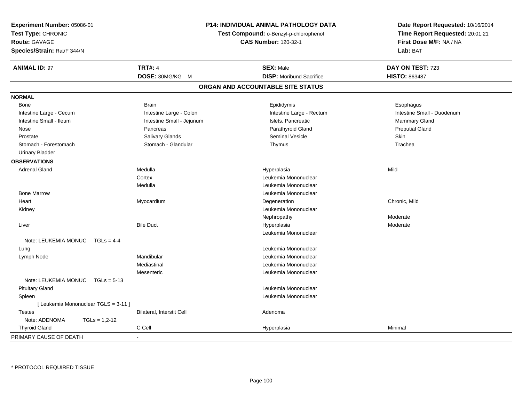| Experiment Number: 05086-01<br>Test Type: CHRONIC<br>Route: GAVAGE<br>Species/Strain: Rat/F 344/N |                           | <b>P14: INDIVIDUAL ANIMAL PATHOLOGY DATA</b><br>Test Compound: o-Benzyl-p-chlorophenol<br><b>CAS Number: 120-32-1</b> | Date Report Requested: 10/16/2014<br>Time Report Requested: 20:01:21<br>First Dose M/F: NA / NA<br>Lab: BAT |
|---------------------------------------------------------------------------------------------------|---------------------------|-----------------------------------------------------------------------------------------------------------------------|-------------------------------------------------------------------------------------------------------------|
| <b>ANIMAL ID: 97</b>                                                                              | <b>TRT#: 4</b>            | <b>SEX: Male</b>                                                                                                      | DAY ON TEST: 723                                                                                            |
|                                                                                                   | DOSE: 30MG/KG M           | <b>DISP:</b> Moribund Sacrifice                                                                                       | <b>HISTO: 863487</b>                                                                                        |
|                                                                                                   |                           | ORGAN AND ACCOUNTABLE SITE STATUS                                                                                     |                                                                                                             |
| <b>NORMAL</b>                                                                                     |                           |                                                                                                                       |                                                                                                             |
| Bone                                                                                              | <b>Brain</b>              | Epididymis                                                                                                            | Esophagus                                                                                                   |
| Intestine Large - Cecum                                                                           | Intestine Large - Colon   | Intestine Large - Rectum                                                                                              | Intestine Small - Duodenum                                                                                  |
| Intestine Small - Ileum                                                                           | Intestine Small - Jejunum | Islets, Pancreatic                                                                                                    | Mammary Gland                                                                                               |
| Nose                                                                                              | Pancreas                  | Parathyroid Gland                                                                                                     | <b>Preputial Gland</b>                                                                                      |
| Prostate                                                                                          | Salivary Glands           | Seminal Vesicle                                                                                                       | <b>Skin</b>                                                                                                 |
| Stomach - Forestomach                                                                             | Stomach - Glandular       | Thymus                                                                                                                | Trachea                                                                                                     |
| <b>Urinary Bladder</b>                                                                            |                           |                                                                                                                       |                                                                                                             |
| <b>OBSERVATIONS</b>                                                                               |                           |                                                                                                                       |                                                                                                             |
| <b>Adrenal Gland</b>                                                                              | Medulla                   | Hyperplasia                                                                                                           | Mild                                                                                                        |
|                                                                                                   | Cortex                    | Leukemia Mononuclear                                                                                                  |                                                                                                             |
|                                                                                                   | Medulla                   | Leukemia Mononuclear                                                                                                  |                                                                                                             |
| <b>Bone Marrow</b>                                                                                |                           | Leukemia Mononuclear                                                                                                  |                                                                                                             |
| Heart                                                                                             | Myocardium                | Degeneration                                                                                                          | Chronic, Mild                                                                                               |
| Kidney                                                                                            |                           | Leukemia Mononuclear                                                                                                  |                                                                                                             |
|                                                                                                   |                           | Nephropathy                                                                                                           | Moderate                                                                                                    |
| Liver                                                                                             | <b>Bile Duct</b>          | Hyperplasia                                                                                                           | Moderate                                                                                                    |
|                                                                                                   |                           | Leukemia Mononuclear                                                                                                  |                                                                                                             |
| Note: LEUKEMIA MONUC<br>$TGLs = 4-4$                                                              |                           |                                                                                                                       |                                                                                                             |
| Lung                                                                                              |                           | Leukemia Mononuclear                                                                                                  |                                                                                                             |
| Lymph Node                                                                                        | Mandibular                | Leukemia Mononuclear                                                                                                  |                                                                                                             |
|                                                                                                   | Mediastinal               | Leukemia Mononuclear                                                                                                  |                                                                                                             |
|                                                                                                   | Mesenteric                | Leukemia Mononuclear                                                                                                  |                                                                                                             |
| Note: LEUKEMIA MONUC<br>$TGLs = 5-13$                                                             |                           |                                                                                                                       |                                                                                                             |
| <b>Pituitary Gland</b>                                                                            |                           | Leukemia Mononuclear                                                                                                  |                                                                                                             |
| Spleen                                                                                            |                           | Leukemia Mononuclear                                                                                                  |                                                                                                             |
| [ Leukemia Mononuclear TGLS = 3-11 ]                                                              |                           |                                                                                                                       |                                                                                                             |
| <b>Testes</b>                                                                                     | Bilateral, Interstit Cell | Adenoma                                                                                                               |                                                                                                             |
| Note: ADENOMA<br>$TGLs = 1,2-12$                                                                  |                           |                                                                                                                       |                                                                                                             |
| <b>Thyroid Gland</b>                                                                              | C Cell                    | Hyperplasia                                                                                                           | Minimal                                                                                                     |
| PRIMARY CAUSE OF DEATH                                                                            |                           |                                                                                                                       |                                                                                                             |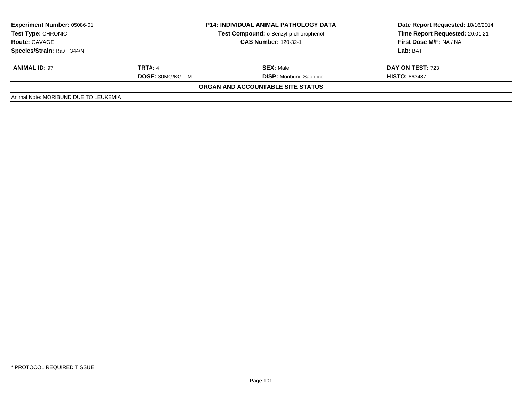| <b>Experiment Number: 05086-01</b><br>Test Type: CHRONIC<br><b>Route: GAVAGE</b><br>Species/Strain: Rat/F 344/N | <b>P14: INDIVIDUAL ANIMAL PATHOLOGY DATA</b><br>Test Compound: o-Benzyl-p-chlorophenol<br><b>CAS Number: 120-32-1</b> |                                                     | Date Report Requested: 10/16/2014<br>Time Report Requested: 20:01:21<br>First Dose M/F: NA / NA<br>Lab: BAT |
|-----------------------------------------------------------------------------------------------------------------|-----------------------------------------------------------------------------------------------------------------------|-----------------------------------------------------|-------------------------------------------------------------------------------------------------------------|
| <b>ANIMAL ID: 97</b>                                                                                            | <b>TRT#: 4</b><br><b>DOSE: 30MG/KG M</b>                                                                              | <b>SEX: Male</b><br><b>DISP:</b> Moribund Sacrifice | DAY ON TEST: 723<br><b>HISTO: 863487</b>                                                                    |
|                                                                                                                 |                                                                                                                       | ORGAN AND ACCOUNTABLE SITE STATUS                   |                                                                                                             |
| Animal Note: MORIBUND DUE TO LEUKEMIA                                                                           |                                                                                                                       |                                                     |                                                                                                             |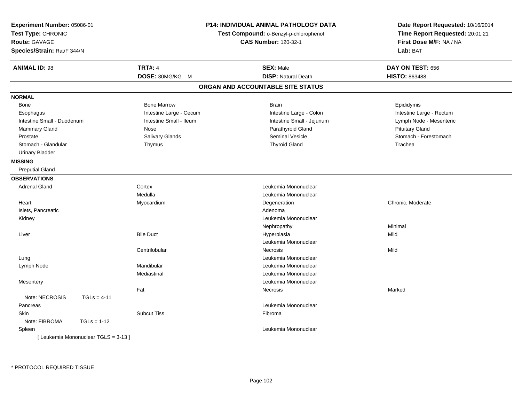| <b>Experiment Number: 05086-01</b><br>Test Type: CHRONIC<br>Route: GAVAGE<br>Species/Strain: Rat/F 344/N |                         | <b>P14: INDIVIDUAL ANIMAL PATHOLOGY DATA</b><br>Test Compound: o-Benzyl-p-chlorophenol<br><b>CAS Number: 120-32-1</b> | Date Report Requested: 10/16/2014<br>Time Report Requested: 20:01:21<br>First Dose M/F: NA / NA<br>Lab: BAT |
|----------------------------------------------------------------------------------------------------------|-------------------------|-----------------------------------------------------------------------------------------------------------------------|-------------------------------------------------------------------------------------------------------------|
| <b>ANIMAL ID: 98</b>                                                                                     | <b>TRT#: 4</b>          | <b>SEX: Male</b>                                                                                                      | DAY ON TEST: 656                                                                                            |
|                                                                                                          | DOSE: 30MG/KG M         | <b>DISP: Natural Death</b>                                                                                            | <b>HISTO: 863488</b>                                                                                        |
|                                                                                                          |                         | ORGAN AND ACCOUNTABLE SITE STATUS                                                                                     |                                                                                                             |
| <b>NORMAL</b>                                                                                            |                         |                                                                                                                       |                                                                                                             |
| Bone                                                                                                     | <b>Bone Marrow</b>      | <b>Brain</b>                                                                                                          | Epididymis                                                                                                  |
| Esophagus                                                                                                | Intestine Large - Cecum | Intestine Large - Colon                                                                                               | Intestine Large - Rectum                                                                                    |
| Intestine Small - Duodenum                                                                               | Intestine Small - Ileum | Intestine Small - Jejunum                                                                                             | Lymph Node - Mesenteric                                                                                     |
| <b>Mammary Gland</b>                                                                                     | Nose                    | Parathyroid Gland                                                                                                     | <b>Pituitary Gland</b>                                                                                      |
| Prostate                                                                                                 | Salivary Glands         | Seminal Vesicle                                                                                                       | Stomach - Forestomach                                                                                       |
| Stomach - Glandular                                                                                      | Thymus                  | <b>Thyroid Gland</b>                                                                                                  | Trachea                                                                                                     |
| <b>Urinary Bladder</b>                                                                                   |                         |                                                                                                                       |                                                                                                             |
| <b>MISSING</b>                                                                                           |                         |                                                                                                                       |                                                                                                             |
| <b>Preputial Gland</b>                                                                                   |                         |                                                                                                                       |                                                                                                             |
| <b>OBSERVATIONS</b>                                                                                      |                         |                                                                                                                       |                                                                                                             |
| <b>Adrenal Gland</b>                                                                                     | Cortex                  | Leukemia Mononuclear                                                                                                  |                                                                                                             |
|                                                                                                          | Medulla                 | Leukemia Mononuclear                                                                                                  |                                                                                                             |
| Heart                                                                                                    | Myocardium              | Degeneration                                                                                                          | Chronic, Moderate                                                                                           |
| Islets, Pancreatic                                                                                       |                         | Adenoma                                                                                                               |                                                                                                             |
| Kidney                                                                                                   |                         | Leukemia Mononuclear                                                                                                  |                                                                                                             |
|                                                                                                          |                         | Nephropathy                                                                                                           | Minimal                                                                                                     |
| Liver                                                                                                    | <b>Bile Duct</b>        | Hyperplasia                                                                                                           | Mild                                                                                                        |
|                                                                                                          |                         | Leukemia Mononuclear                                                                                                  |                                                                                                             |
|                                                                                                          | Centrilobular           | <b>Necrosis</b>                                                                                                       | Mild                                                                                                        |
| Lung                                                                                                     |                         | Leukemia Mononuclear                                                                                                  |                                                                                                             |
| Lymph Node                                                                                               | Mandibular              | Leukemia Mononuclear                                                                                                  |                                                                                                             |
|                                                                                                          | Mediastinal             | Leukemia Mononuclear                                                                                                  |                                                                                                             |
| Mesentery                                                                                                |                         | Leukemia Mononuclear                                                                                                  |                                                                                                             |
|                                                                                                          | Fat                     | <b>Necrosis</b>                                                                                                       | Marked                                                                                                      |
| Note: NECROSIS<br>$TGLs = 4-11$                                                                          |                         |                                                                                                                       |                                                                                                             |
| Pancreas                                                                                                 |                         | Leukemia Mononuclear                                                                                                  |                                                                                                             |
| <b>Skin</b>                                                                                              | <b>Subcut Tiss</b>      | Fibroma                                                                                                               |                                                                                                             |
| Note: FIBROMA<br>$TGLs = 1-12$                                                                           |                         |                                                                                                                       |                                                                                                             |
| Spleen                                                                                                   |                         | Leukemia Mononuclear                                                                                                  |                                                                                                             |
| [ Leukemia Mononuclear TGLS = 3-13 ]                                                                     |                         |                                                                                                                       |                                                                                                             |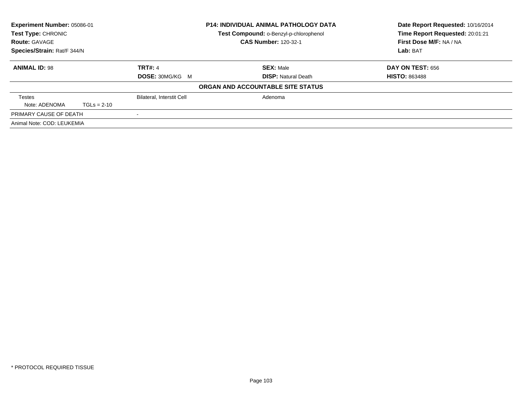| Experiment Number: 05086-01<br><b>Test Type: CHRONIC</b> |               |                                  | <b>P14: INDIVIDUAL ANIMAL PATHOLOGY DATA</b><br>Test Compound: o-Benzyl-p-chlorophenol | Date Report Requested: 10/16/2014<br>Time Report Requested: 20:01:21 |
|----------------------------------------------------------|---------------|----------------------------------|----------------------------------------------------------------------------------------|----------------------------------------------------------------------|
| <b>Route: GAVAGE</b>                                     |               |                                  | <b>CAS Number: 120-32-1</b>                                                            | First Dose M/F: NA / NA                                              |
| Species/Strain: Rat/F 344/N                              |               |                                  |                                                                                        | Lab: BAT                                                             |
| <b>ANIMAL ID: 98</b>                                     |               | <b>TRT#: 4</b>                   | <b>SEX: Male</b>                                                                       | DAY ON TEST: 656                                                     |
|                                                          |               | <b>DOSE: 30MG/KG M</b>           | <b>DISP:</b> Natural Death                                                             | <b>HISTO: 863488</b>                                                 |
|                                                          |               |                                  | ORGAN AND ACCOUNTABLE SITE STATUS                                                      |                                                                      |
| <b>Testes</b>                                            |               | <b>Bilateral, Interstit Cell</b> | Adenoma                                                                                |                                                                      |
| Note: ADENOMA                                            | $TGLs = 2-10$ |                                  |                                                                                        |                                                                      |
| PRIMARY CAUSE OF DEATH                                   |               |                                  |                                                                                        |                                                                      |
| Animal Note: COD: LEUKEMIA                               |               |                                  |                                                                                        |                                                                      |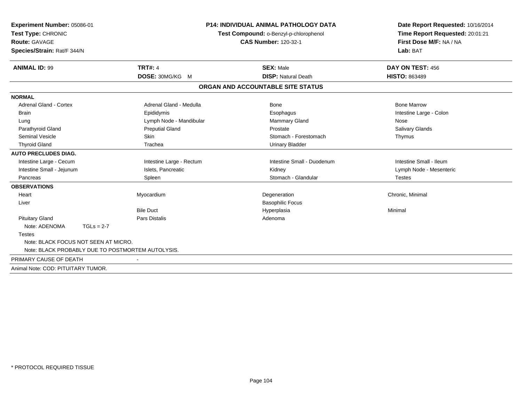| Experiment Number: 05086-01<br>Test Type: CHRONIC<br><b>Route: GAVAGE</b><br>Species/Strain: Rat/F 344/N |                          | <b>P14: INDIVIDUAL ANIMAL PATHOLOGY DATA</b><br>Test Compound: o-Benzyl-p-chlorophenol<br><b>CAS Number: 120-32-1</b> | Date Report Requested: 10/16/2014<br>Time Report Requested: 20:01:21<br>First Dose M/F: NA / NA<br>Lab: BAT |
|----------------------------------------------------------------------------------------------------------|--------------------------|-----------------------------------------------------------------------------------------------------------------------|-------------------------------------------------------------------------------------------------------------|
| <b>ANIMAL ID: 99</b>                                                                                     | <b>TRT#: 4</b>           | <b>SEX: Male</b>                                                                                                      | DAY ON TEST: 456                                                                                            |
|                                                                                                          | DOSE: 30MG/KG M          | <b>DISP: Natural Death</b>                                                                                            | <b>HISTO: 863489</b>                                                                                        |
|                                                                                                          |                          | ORGAN AND ACCOUNTABLE SITE STATUS                                                                                     |                                                                                                             |
| <b>NORMAL</b>                                                                                            |                          |                                                                                                                       |                                                                                                             |
| <b>Adrenal Gland - Cortex</b>                                                                            | Adrenal Gland - Medulla  | <b>Bone</b>                                                                                                           | <b>Bone Marrow</b>                                                                                          |
| <b>Brain</b>                                                                                             | Epididymis               | Esophagus                                                                                                             | Intestine Large - Colon                                                                                     |
| Lung                                                                                                     | Lymph Node - Mandibular  | <b>Mammary Gland</b>                                                                                                  | Nose                                                                                                        |
| Parathyroid Gland                                                                                        | <b>Preputial Gland</b>   | Prostate                                                                                                              | <b>Salivary Glands</b>                                                                                      |
| <b>Seminal Vesicle</b>                                                                                   | <b>Skin</b>              | Stomach - Forestomach                                                                                                 | Thymus                                                                                                      |
| <b>Thyroid Gland</b>                                                                                     | Trachea                  | <b>Urinary Bladder</b>                                                                                                |                                                                                                             |
| <b>AUTO PRECLUDES DIAG.</b>                                                                              |                          |                                                                                                                       |                                                                                                             |
| Intestine Large - Cecum                                                                                  | Intestine Large - Rectum | Intestine Small - Duodenum                                                                                            | Intestine Small - Ileum                                                                                     |
| Intestine Small - Jejunum                                                                                | Islets, Pancreatic       | Kidney                                                                                                                | Lymph Node - Mesenteric                                                                                     |
| Pancreas                                                                                                 | Spleen                   | Stomach - Glandular                                                                                                   | <b>Testes</b>                                                                                               |
| <b>OBSERVATIONS</b>                                                                                      |                          |                                                                                                                       |                                                                                                             |
| Heart                                                                                                    | Myocardium               | Degeneration                                                                                                          | Chronic, Minimal                                                                                            |
| Liver                                                                                                    |                          | <b>Basophilic Focus</b>                                                                                               |                                                                                                             |
|                                                                                                          | <b>Bile Duct</b>         | Hyperplasia                                                                                                           | Minimal                                                                                                     |
| <b>Pituitary Gland</b>                                                                                   | <b>Pars Distalis</b>     | Adenoma                                                                                                               |                                                                                                             |
| Note: ADENOMA<br>$TGLs = 2-7$                                                                            |                          |                                                                                                                       |                                                                                                             |
| <b>Testes</b>                                                                                            |                          |                                                                                                                       |                                                                                                             |
| Note: BLACK FOCUS NOT SEEN AT MICRO.                                                                     |                          |                                                                                                                       |                                                                                                             |
| Note: BLACK PROBABLY DUE TO POSTMORTEM AUTOLYSIS.                                                        |                          |                                                                                                                       |                                                                                                             |
| PRIMARY CAUSE OF DEATH                                                                                   |                          |                                                                                                                       |                                                                                                             |
| Animal Note: COD: PITUITARY TUMOR.                                                                       |                          |                                                                                                                       |                                                                                                             |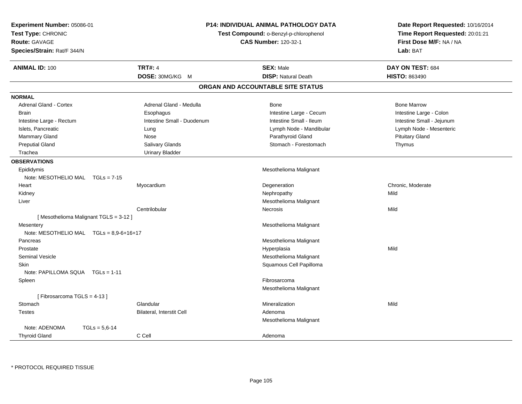| Experiment Number: 05086-01<br>Test Type: CHRONIC<br><b>Route: GAVAGE</b><br>Species/Strain: Rat/F 344/N |                            | <b>P14: INDIVIDUAL ANIMAL PATHOLOGY DATA</b><br>Test Compound: o-Benzyl-p-chlorophenol<br><b>CAS Number: 120-32-1</b> | Date Report Requested: 10/16/2014<br>Time Report Requested: 20:01:21<br>First Dose M/F: NA / NA<br>Lab: BAT |
|----------------------------------------------------------------------------------------------------------|----------------------------|-----------------------------------------------------------------------------------------------------------------------|-------------------------------------------------------------------------------------------------------------|
| <b>ANIMAL ID: 100</b>                                                                                    | <b>TRT#: 4</b>             | <b>SEX: Male</b>                                                                                                      | DAY ON TEST: 684                                                                                            |
|                                                                                                          | DOSE: 30MG/KG M            | <b>DISP: Natural Death</b>                                                                                            | <b>HISTO: 863490</b>                                                                                        |
|                                                                                                          |                            | ORGAN AND ACCOUNTABLE SITE STATUS                                                                                     |                                                                                                             |
| <b>NORMAL</b>                                                                                            |                            |                                                                                                                       |                                                                                                             |
| <b>Adrenal Gland - Cortex</b>                                                                            | Adrenal Gland - Medulla    | Bone                                                                                                                  | <b>Bone Marrow</b>                                                                                          |
| <b>Brain</b>                                                                                             | Esophagus                  | Intestine Large - Cecum                                                                                               | Intestine Large - Colon                                                                                     |
| Intestine Large - Rectum                                                                                 | Intestine Small - Duodenum | Intestine Small - Ileum                                                                                               | Intestine Small - Jejunum                                                                                   |
| Islets, Pancreatic                                                                                       | Lung                       | Lymph Node - Mandibular                                                                                               | Lymph Node - Mesenteric                                                                                     |
| Mammary Gland                                                                                            | Nose                       | Parathyroid Gland                                                                                                     | <b>Pituitary Gland</b>                                                                                      |
| <b>Preputial Gland</b>                                                                                   | Salivary Glands            | Stomach - Forestomach                                                                                                 | Thymus                                                                                                      |
| Trachea                                                                                                  | <b>Urinary Bladder</b>     |                                                                                                                       |                                                                                                             |
| <b>OBSERVATIONS</b>                                                                                      |                            |                                                                                                                       |                                                                                                             |
| Epididymis                                                                                               |                            | Mesothelioma Malignant                                                                                                |                                                                                                             |
| Note: MESOTHELIO MAL TGLs = 7-15                                                                         |                            |                                                                                                                       |                                                                                                             |
| Heart                                                                                                    | Myocardium                 | Degeneration                                                                                                          | Chronic, Moderate                                                                                           |
| Kidney                                                                                                   |                            | Nephropathy                                                                                                           | Mild                                                                                                        |
| Liver                                                                                                    |                            | Mesothelioma Malignant                                                                                                |                                                                                                             |
|                                                                                                          | Centrilobular              | Necrosis                                                                                                              | Mild                                                                                                        |
| [Mesothelioma Malignant TGLS = 3-12]                                                                     |                            |                                                                                                                       |                                                                                                             |
| Mesentery                                                                                                |                            | Mesothelioma Malignant                                                                                                |                                                                                                             |
| Note: MESOTHELIO MAL TGLs = 8,9-6+16+17                                                                  |                            |                                                                                                                       |                                                                                                             |
| Pancreas                                                                                                 |                            | Mesothelioma Malignant                                                                                                |                                                                                                             |
| Prostate                                                                                                 |                            | Hyperplasia                                                                                                           | Mild                                                                                                        |
| <b>Seminal Vesicle</b>                                                                                   |                            | Mesothelioma Malignant                                                                                                |                                                                                                             |
| <b>Skin</b>                                                                                              |                            | Squamous Cell Papilloma                                                                                               |                                                                                                             |
| Note: PAPILLOMA SQUA  TGLs = 1-11                                                                        |                            |                                                                                                                       |                                                                                                             |
| Spleen                                                                                                   |                            | Fibrosarcoma                                                                                                          |                                                                                                             |
|                                                                                                          |                            | Mesothelioma Malignant                                                                                                |                                                                                                             |
| [Fibrosarcoma TGLS = 4-13]                                                                               |                            |                                                                                                                       |                                                                                                             |
| Stomach                                                                                                  | Glandular                  | Mineralization                                                                                                        | Mild                                                                                                        |
| <b>Testes</b>                                                                                            | Bilateral, Interstit Cell  | Adenoma                                                                                                               |                                                                                                             |
|                                                                                                          |                            | Mesothelioma Malignant                                                                                                |                                                                                                             |
| Note: ADENOMA<br>$TGLs = 5,6-14$                                                                         |                            |                                                                                                                       |                                                                                                             |
| <b>Thyroid Gland</b>                                                                                     | C Cell                     | Adenoma                                                                                                               |                                                                                                             |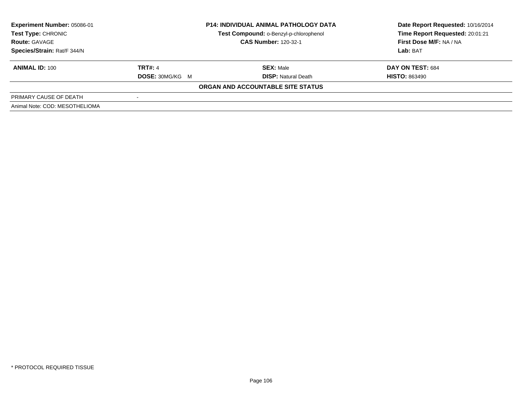| Experiment Number: 05086-01<br>Test Type: CHRONIC | <b>P14: INDIVIDUAL ANIMAL PATHOLOGY DATA</b><br>Test Compound: o-Benzyl-p-chlorophenol |                                   | Date Report Requested: 10/16/2014<br>Time Report Requested: 20:01:21 |
|---------------------------------------------------|----------------------------------------------------------------------------------------|-----------------------------------|----------------------------------------------------------------------|
| <b>Route: GAVAGE</b>                              | <b>CAS Number: 120-32-1</b>                                                            |                                   | First Dose M/F: NA / NA                                              |
| Species/Strain: Rat/F 344/N                       |                                                                                        |                                   | <b>Lab:</b> BAT                                                      |
| <b>ANIMAL ID: 100</b>                             | <b>TRT#: 4</b>                                                                         | <b>SEX: Male</b>                  | <b>DAY ON TEST: 684</b>                                              |
|                                                   | <b>DOSE: 30MG/KG M</b>                                                                 | <b>DISP:</b> Natural Death        | <b>HISTO: 863490</b>                                                 |
|                                                   |                                                                                        | ORGAN AND ACCOUNTABLE SITE STATUS |                                                                      |
| PRIMARY CAUSE OF DEATH                            |                                                                                        |                                   |                                                                      |
| Animal Note: COD: MESOTHELIOMA                    |                                                                                        |                                   |                                                                      |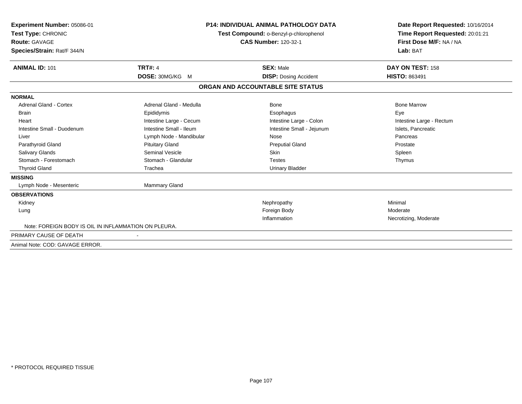| Experiment Number: 05086-01<br>Test Type: CHRONIC<br><b>Route: GAVAGE</b><br>Species/Strain: Rat/F 344/N |                         | <b>P14: INDIVIDUAL ANIMAL PATHOLOGY DATA</b><br>Test Compound: o-Benzyl-p-chlorophenol<br><b>CAS Number: 120-32-1</b> | Date Report Requested: 10/16/2014<br>Time Report Requested: 20:01:21<br>First Dose M/F: NA / NA<br>Lab: BAT |
|----------------------------------------------------------------------------------------------------------|-------------------------|-----------------------------------------------------------------------------------------------------------------------|-------------------------------------------------------------------------------------------------------------|
| <b>ANIMAL ID: 101</b>                                                                                    | <b>TRT#: 4</b>          | <b>SEX: Male</b>                                                                                                      | DAY ON TEST: 158                                                                                            |
|                                                                                                          | DOSE: 30MG/KG M         | <b>DISP:</b> Dosing Accident                                                                                          | <b>HISTO: 863491</b>                                                                                        |
|                                                                                                          |                         | ORGAN AND ACCOUNTABLE SITE STATUS                                                                                     |                                                                                                             |
| <b>NORMAL</b>                                                                                            |                         |                                                                                                                       |                                                                                                             |
| <b>Adrenal Gland - Cortex</b>                                                                            | Adrenal Gland - Medulla | <b>Bone</b>                                                                                                           | <b>Bone Marrow</b>                                                                                          |
| <b>Brain</b>                                                                                             | Epididymis              | Esophagus                                                                                                             | Eye                                                                                                         |
| Heart                                                                                                    | Intestine Large - Cecum | Intestine Large - Colon                                                                                               | Intestine Large - Rectum                                                                                    |
| Intestine Small - Duodenum                                                                               | Intestine Small - Ileum | Intestine Small - Jejunum                                                                                             | Islets, Pancreatic                                                                                          |
| Liver                                                                                                    | Lymph Node - Mandibular | Nose                                                                                                                  | Pancreas                                                                                                    |
| Parathyroid Gland                                                                                        | <b>Pituitary Gland</b>  | <b>Preputial Gland</b>                                                                                                | Prostate                                                                                                    |
| <b>Salivary Glands</b>                                                                                   | <b>Seminal Vesicle</b>  | <b>Skin</b>                                                                                                           | Spleen                                                                                                      |
| Stomach - Forestomach                                                                                    | Stomach - Glandular     | <b>Testes</b>                                                                                                         | Thymus                                                                                                      |
| <b>Thyroid Gland</b>                                                                                     | Trachea                 | <b>Urinary Bladder</b>                                                                                                |                                                                                                             |
| <b>MISSING</b>                                                                                           |                         |                                                                                                                       |                                                                                                             |
| Lymph Node - Mesenteric                                                                                  | Mammary Gland           |                                                                                                                       |                                                                                                             |
| <b>OBSERVATIONS</b>                                                                                      |                         |                                                                                                                       |                                                                                                             |
| Kidney                                                                                                   |                         | Nephropathy                                                                                                           | Minimal                                                                                                     |
| Lung                                                                                                     |                         | Foreign Body                                                                                                          | Moderate                                                                                                    |
|                                                                                                          |                         | Inflammation                                                                                                          | Necrotizing, Moderate                                                                                       |
| Note: FOREIGN BODY IS OIL IN INFLAMMATION ON PLEURA.                                                     |                         |                                                                                                                       |                                                                                                             |
| PRIMARY CAUSE OF DEATH                                                                                   |                         |                                                                                                                       |                                                                                                             |
| Animal Note: COD: GAVAGE ERROR.                                                                          |                         |                                                                                                                       |                                                                                                             |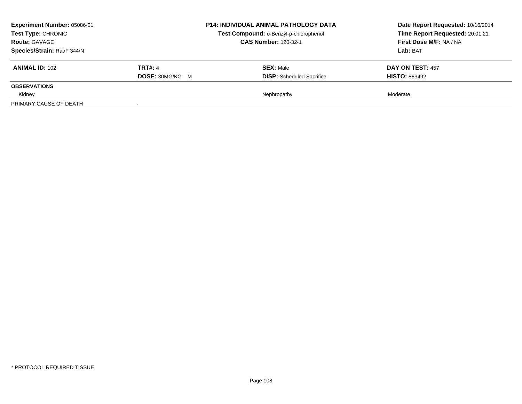| Experiment Number: 05086-01<br>Test Type: CHRONIC<br><b>Route: GAVAGE</b> |                        | <b>P14: INDIVIDUAL ANIMAL PATHOLOGY DATA</b> | Date Report Requested: 10/16/2014 |
|---------------------------------------------------------------------------|------------------------|----------------------------------------------|-----------------------------------|
|                                                                           |                        | Test Compound: o-Benzyl-p-chlorophenol       | Time Report Requested: 20:01:21   |
|                                                                           |                        | <b>CAS Number: 120-32-1</b>                  | First Dose M/F: NA / NA           |
| Species/Strain: Rat/F 344/N                                               |                        |                                              | Lab: BAT                          |
| <b>ANIMAL ID: 102</b>                                                     | <b>TRT#: 4</b>         | <b>SEX: Male</b>                             | <b>DAY ON TEST: 457</b>           |
|                                                                           | <b>DOSE: 30MG/KG M</b> | <b>DISP:</b> Scheduled Sacrifice             | <b>HISTO: 863492</b>              |
| <b>OBSERVATIONS</b>                                                       |                        |                                              |                                   |
| Kidney                                                                    |                        | Nephropathy                                  | Moderate                          |
| PRIMARY CAUSE OF DEATH                                                    |                        |                                              |                                   |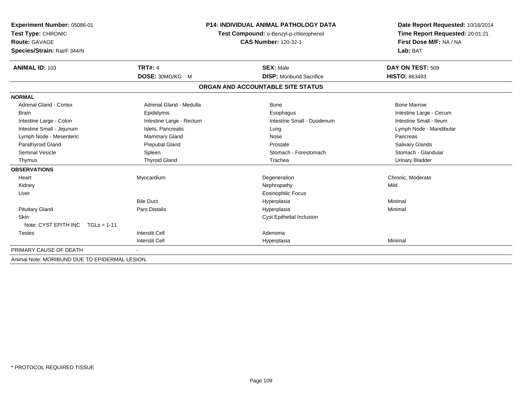| Experiment Number: 05086-01<br>Test Type: CHRONIC |                          | <b>P14: INDIVIDUAL ANIMAL PATHOLOGY DATA</b> | Date Report Requested: 10/16/2014<br>Time Report Requested: 20:01:21 |
|---------------------------------------------------|--------------------------|----------------------------------------------|----------------------------------------------------------------------|
|                                                   |                          | Test Compound: o-Benzyl-p-chlorophenol       |                                                                      |
| <b>Route: GAVAGE</b>                              |                          | <b>CAS Number: 120-32-1</b>                  | First Dose M/F: NA / NA<br>Lab: BAT                                  |
| Species/Strain: Rat/F 344/N                       |                          |                                              |                                                                      |
| <b>ANIMAL ID: 103</b>                             | <b>TRT#: 4</b>           | <b>SEX: Male</b>                             | DAY ON TEST: 509                                                     |
|                                                   | DOSE: 30MG/KG M          | <b>DISP:</b> Moribund Sacrifice              | <b>HISTO: 863493</b>                                                 |
|                                                   |                          | ORGAN AND ACCOUNTABLE SITE STATUS            |                                                                      |
| <b>NORMAL</b>                                     |                          |                                              |                                                                      |
| <b>Adrenal Gland - Cortex</b>                     | Adrenal Gland - Medulla  | Bone                                         | <b>Bone Marrow</b>                                                   |
| <b>Brain</b>                                      | Epididymis               | Esophagus                                    | Intestine Large - Cecum                                              |
| Intestine Large - Colon                           | Intestine Large - Rectum | Intestine Small - Duodenum                   | Intestine Small - Ileum                                              |
| Intestine Small - Jejunum                         | Islets, Pancreatic       | Lung                                         | Lymph Node - Mandibular                                              |
| Lymph Node - Mesenteric                           | <b>Mammary Gland</b>     | Nose                                         | Pancreas                                                             |
| Parathyroid Gland                                 | <b>Preputial Gland</b>   | Prostate                                     | <b>Salivary Glands</b>                                               |
| <b>Seminal Vesicle</b>                            | Spleen                   | Stomach - Forestomach                        | Stomach - Glandular                                                  |
| Thymus                                            | <b>Thyroid Gland</b>     | Trachea                                      | <b>Urinary Bladder</b>                                               |
| <b>OBSERVATIONS</b>                               |                          |                                              |                                                                      |
| Heart                                             | Myocardium               | Degeneration                                 | Chronic, Moderate                                                    |
| Kidney                                            |                          | Nephropathy                                  | Mild                                                                 |
| Liver                                             |                          | <b>Eosinophilic Focus</b>                    |                                                                      |
|                                                   | <b>Bile Duct</b>         | Hyperplasia                                  | Minimal                                                              |
| <b>Pituitary Gland</b>                            | Pars Distalis            | Hyperplasia                                  | Minimal                                                              |
| <b>Skin</b><br>Note: CYST EPITH INC $TGLs = 1-11$ |                          | Cyst Epithelial Inclusion                    |                                                                      |
| <b>Testes</b>                                     | <b>Interstit Cell</b>    | Adenoma                                      |                                                                      |
|                                                   | <b>Interstit Cell</b>    | Hyperplasia                                  | Minimal                                                              |
| PRIMARY CAUSE OF DEATH                            |                          |                                              |                                                                      |
| Animal Note: MORIBUND DUE TO EPIDERMAL LESION.    |                          |                                              |                                                                      |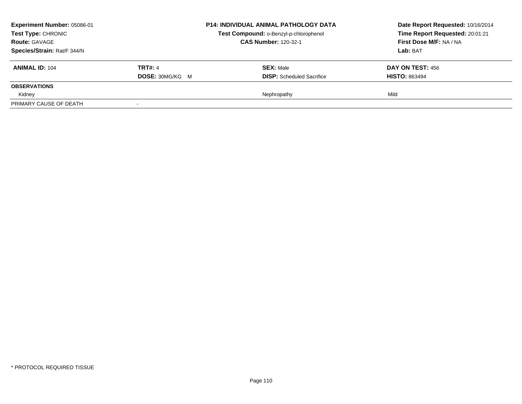| Experiment Number: 05086-01<br><b>Test Type: CHRONIC</b> |                        | <b>P14: INDIVIDUAL ANIMAL PATHOLOGY DATA</b> | Date Report Requested: 10/16/2014 |
|----------------------------------------------------------|------------------------|----------------------------------------------|-----------------------------------|
|                                                          |                        | Test Compound: o-Benzyl-p-chlorophenol       | Time Report Requested: 20:01:21   |
| <b>Route: GAVAGE</b>                                     |                        | <b>CAS Number: 120-32-1</b>                  | First Dose M/F: NA / NA           |
| Species/Strain: Rat/F 344/N                              |                        |                                              | Lab: BAT                          |
| <b>ANIMAL ID: 104</b>                                    | <b>TRT#: 4</b>         | <b>SEX: Male</b>                             | DAY ON TEST: 456                  |
|                                                          | <b>DOSE: 30MG/KG M</b> | <b>DISP:</b> Scheduled Sacrifice             | <b>HISTO: 863494</b>              |
| <b>OBSERVATIONS</b>                                      |                        |                                              |                                   |
| Kidney                                                   |                        | Nephropathy                                  | Mild                              |
| PRIMARY CAUSE OF DEATH                                   |                        |                                              |                                   |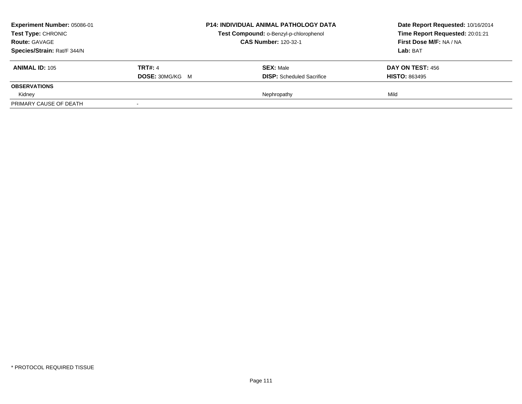| <b>Experiment Number: 05086-01</b><br><b>Test Type: CHRONIC</b> |                        | <b>P14: INDIVIDUAL ANIMAL PATHOLOGY DATA</b> | Date Report Requested: 10/16/2014 |
|-----------------------------------------------------------------|------------------------|----------------------------------------------|-----------------------------------|
|                                                                 |                        | Test Compound: o-Benzyl-p-chlorophenol       | Time Report Requested: 20:01:21   |
| <b>Route: GAVAGE</b>                                            |                        | <b>CAS Number: 120-32-1</b>                  | First Dose M/F: NA / NA           |
| Species/Strain: Rat/F 344/N                                     |                        |                                              | Lab: BAT                          |
| <b>ANIMAL ID: 105</b>                                           | <b>TRT#: 4</b>         | <b>SEX: Male</b>                             | DAY ON TEST: 456                  |
|                                                                 | <b>DOSE: 30MG/KG M</b> | <b>DISP:</b> Scheduled Sacrifice             | <b>HISTO: 863495</b>              |
| <b>OBSERVATIONS</b>                                             |                        |                                              |                                   |
| Kidney                                                          |                        | Nephropathy                                  | Mild                              |
| PRIMARY CAUSE OF DEATH                                          |                        |                                              |                                   |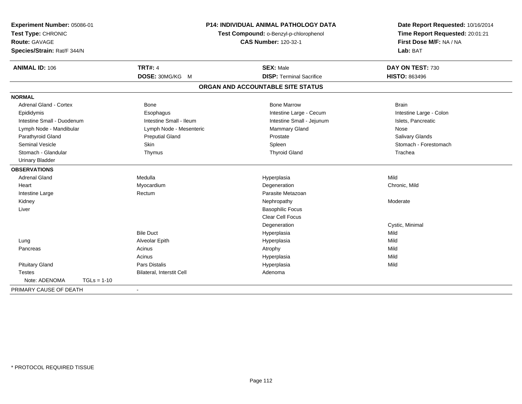| Experiment Number: 05086-01<br>Test Type: CHRONIC<br><b>Route: GAVAGE</b><br>Species/Strain: Rat/F 344/N |               | P14: INDIVIDUAL ANIMAL PATHOLOGY DATA<br>Test Compound: o-Benzyl-p-chlorophenol<br><b>CAS Number: 120-32-1</b> |                                   | Date Report Requested: 10/16/2014<br>Time Report Requested: 20:01:21<br>First Dose M/F: NA / NA<br>Lab: BAT |  |
|----------------------------------------------------------------------------------------------------------|---------------|----------------------------------------------------------------------------------------------------------------|-----------------------------------|-------------------------------------------------------------------------------------------------------------|--|
| <b>ANIMAL ID: 106</b>                                                                                    |               | <b>TRT#: 4</b>                                                                                                 | <b>SEX: Male</b>                  | DAY ON TEST: 730                                                                                            |  |
|                                                                                                          |               | DOSE: 30MG/KG M                                                                                                | <b>DISP: Terminal Sacrifice</b>   | <b>HISTO: 863496</b>                                                                                        |  |
|                                                                                                          |               |                                                                                                                | ORGAN AND ACCOUNTABLE SITE STATUS |                                                                                                             |  |
| <b>NORMAL</b>                                                                                            |               |                                                                                                                |                                   |                                                                                                             |  |
| <b>Adrenal Gland - Cortex</b>                                                                            |               | <b>Bone</b>                                                                                                    | <b>Bone Marrow</b>                | <b>Brain</b>                                                                                                |  |
| Epididymis                                                                                               |               | Esophagus                                                                                                      | Intestine Large - Cecum           | Intestine Large - Colon                                                                                     |  |
| Intestine Small - Duodenum                                                                               |               | Intestine Small - Ileum                                                                                        | Intestine Small - Jejunum         | Islets, Pancreatic                                                                                          |  |
| Lymph Node - Mandibular                                                                                  |               | Lymph Node - Mesenteric                                                                                        | Mammary Gland                     | Nose                                                                                                        |  |
| Parathyroid Gland                                                                                        |               | <b>Preputial Gland</b>                                                                                         | Prostate                          | Salivary Glands                                                                                             |  |
| <b>Seminal Vesicle</b>                                                                                   |               | Skin                                                                                                           | Spleen                            | Stomach - Forestomach                                                                                       |  |
| Stomach - Glandular                                                                                      |               | Thymus                                                                                                         | <b>Thyroid Gland</b>              | Trachea                                                                                                     |  |
| <b>Urinary Bladder</b>                                                                                   |               |                                                                                                                |                                   |                                                                                                             |  |
| <b>OBSERVATIONS</b>                                                                                      |               |                                                                                                                |                                   |                                                                                                             |  |
| <b>Adrenal Gland</b>                                                                                     |               | Medulla                                                                                                        | Hyperplasia                       | Mild                                                                                                        |  |
| Heart                                                                                                    |               | Myocardium                                                                                                     | Degeneration                      | Chronic, Mild                                                                                               |  |
| Intestine Large                                                                                          |               | Rectum                                                                                                         | Parasite Metazoan                 |                                                                                                             |  |
| Kidney                                                                                                   |               |                                                                                                                | Nephropathy                       | Moderate                                                                                                    |  |
| Liver                                                                                                    |               |                                                                                                                | <b>Basophilic Focus</b>           |                                                                                                             |  |
|                                                                                                          |               |                                                                                                                | <b>Clear Cell Focus</b>           |                                                                                                             |  |
|                                                                                                          |               |                                                                                                                | Degeneration                      | Cystic, Minimal                                                                                             |  |
|                                                                                                          |               | <b>Bile Duct</b>                                                                                               | Hyperplasia                       | Mild                                                                                                        |  |
| Lung                                                                                                     |               | Alveolar Epith                                                                                                 | Hyperplasia                       | Mild                                                                                                        |  |
| Pancreas                                                                                                 |               | Acinus                                                                                                         | Atrophy                           | Mild                                                                                                        |  |
|                                                                                                          |               | Acinus                                                                                                         | Hyperplasia                       | Mild                                                                                                        |  |
| <b>Pituitary Gland</b>                                                                                   |               | <b>Pars Distalis</b>                                                                                           | Hyperplasia                       | Mild                                                                                                        |  |
| <b>Testes</b>                                                                                            |               | <b>Bilateral, Interstit Cell</b>                                                                               | Adenoma                           |                                                                                                             |  |
| Note: ADENOMA                                                                                            | $TGLs = 1-10$ |                                                                                                                |                                   |                                                                                                             |  |
| PRIMARY CAUSE OF DEATH                                                                                   |               | $\overline{\phantom{a}}$                                                                                       |                                   |                                                                                                             |  |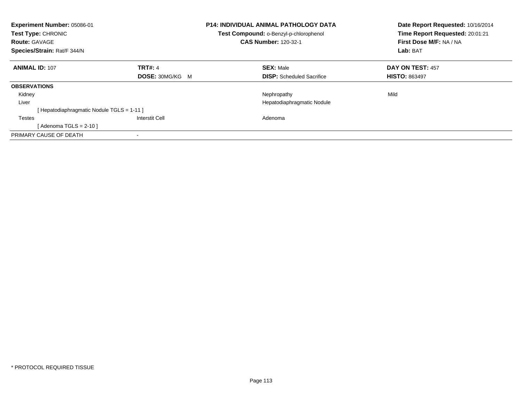| Experiment Number: 05086-01<br>Test Type: CHRONIC<br><b>Route: GAVAGE</b><br>Species/Strain: Rat/F 344/N |                        | <b>P14: INDIVIDUAL ANIMAL PATHOLOGY DATA</b><br>Test Compound: o-Benzyl-p-chlorophenol<br><b>CAS Number: 120-32-1</b> | Date Report Requested: 10/16/2014<br>Time Report Requested: 20:01:21<br>First Dose M/F: NA / NA<br>Lab: BAT |
|----------------------------------------------------------------------------------------------------------|------------------------|-----------------------------------------------------------------------------------------------------------------------|-------------------------------------------------------------------------------------------------------------|
|                                                                                                          |                        |                                                                                                                       |                                                                                                             |
| <b>ANIMAL ID: 107</b>                                                                                    | <b>TRT#: 4</b>         | <b>SEX: Male</b>                                                                                                      | DAY ON TEST: 457                                                                                            |
|                                                                                                          | <b>DOSE: 30MG/KG M</b> | <b>DISP:</b> Scheduled Sacrifice                                                                                      | <b>HISTO: 863497</b>                                                                                        |
| <b>OBSERVATIONS</b>                                                                                      |                        |                                                                                                                       |                                                                                                             |
| Kidney                                                                                                   |                        | Nephropathy                                                                                                           | Mild                                                                                                        |
| Liver                                                                                                    |                        | Hepatodiaphragmatic Nodule                                                                                            |                                                                                                             |
| Hepatodiaphragmatic Nodule TGLS = 1-11 ]                                                                 |                        |                                                                                                                       |                                                                                                             |
| <b>Testes</b>                                                                                            | Interstit Cell         | Adenoma                                                                                                               |                                                                                                             |
| [Adenoma TGLS = $2-10$ ]                                                                                 |                        |                                                                                                                       |                                                                                                             |
| PRIMARY CAUSE OF DEATH                                                                                   |                        |                                                                                                                       |                                                                                                             |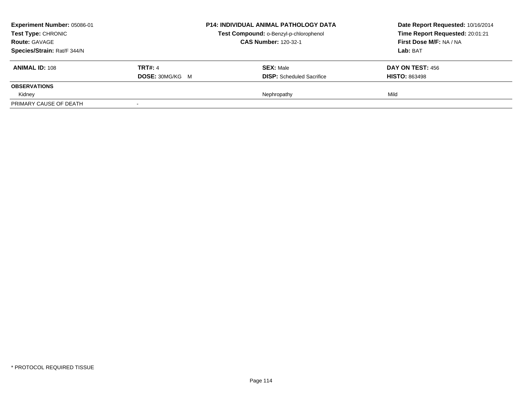| <b>Experiment Number: 05086-01</b><br><b>Test Type: CHRONIC</b> |                        | <b>P14: INDIVIDUAL ANIMAL PATHOLOGY DATA</b> | Date Report Requested: 10/16/2014 |
|-----------------------------------------------------------------|------------------------|----------------------------------------------|-----------------------------------|
|                                                                 |                        | Test Compound: o-Benzyl-p-chlorophenol       | Time Report Requested: 20:01:21   |
| <b>Route: GAVAGE</b>                                            |                        | <b>CAS Number: 120-32-1</b>                  | First Dose M/F: NA / NA           |
| Species/Strain: Rat/F 344/N                                     |                        |                                              | Lab: BAT                          |
| <b>ANIMAL ID: 108</b>                                           | <b>TRT#: 4</b>         | <b>SEX: Male</b>                             | DAY ON TEST: 456                  |
|                                                                 | <b>DOSE: 30MG/KG M</b> | <b>DISP:</b> Scheduled Sacrifice             | <b>HISTO: 863498</b>              |
| <b>OBSERVATIONS</b>                                             |                        |                                              |                                   |
| Kidney                                                          |                        | Nephropathy                                  | Mild                              |
| PRIMARY CAUSE OF DEATH                                          |                        |                                              |                                   |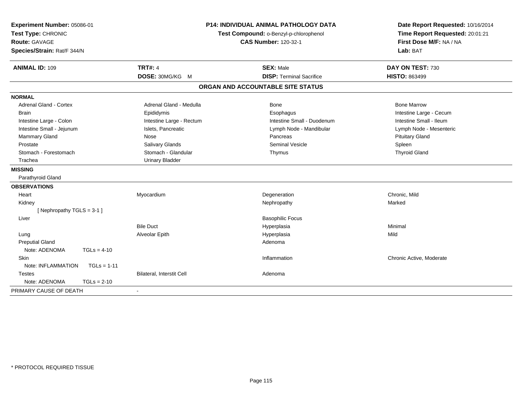| Experiment Number: 05086-01<br>Test Type: CHRONIC<br><b>Route: GAVAGE</b><br>Species/Strain: Rat/F 344/N | <b>P14: INDIVIDUAL ANIMAL PATHOLOGY DATA</b><br>Test Compound: o-Benzyl-p-chlorophenol<br><b>CAS Number: 120-32-1</b> |                                   | Date Report Requested: 10/16/2014<br>Time Report Requested: 20:01:21<br>First Dose M/F: NA / NA<br>Lab: BAT |  |
|----------------------------------------------------------------------------------------------------------|-----------------------------------------------------------------------------------------------------------------------|-----------------------------------|-------------------------------------------------------------------------------------------------------------|--|
| <b>ANIMAL ID: 109</b>                                                                                    | <b>TRT#: 4</b>                                                                                                        | <b>SEX: Male</b>                  | DAY ON TEST: 730                                                                                            |  |
|                                                                                                          | DOSE: 30MG/KG M                                                                                                       | <b>DISP: Terminal Sacrifice</b>   | <b>HISTO: 863499</b>                                                                                        |  |
|                                                                                                          |                                                                                                                       | ORGAN AND ACCOUNTABLE SITE STATUS |                                                                                                             |  |
| <b>NORMAL</b>                                                                                            |                                                                                                                       |                                   |                                                                                                             |  |
| <b>Adrenal Gland - Cortex</b>                                                                            | Adrenal Gland - Medulla                                                                                               | <b>Bone</b>                       | <b>Bone Marrow</b>                                                                                          |  |
| <b>Brain</b>                                                                                             | Epididymis                                                                                                            | Esophagus                         | Intestine Large - Cecum                                                                                     |  |
| Intestine Large - Colon                                                                                  | Intestine Large - Rectum                                                                                              | Intestine Small - Duodenum        | Intestine Small - Ileum                                                                                     |  |
| Intestine Small - Jejunum                                                                                | Islets, Pancreatic                                                                                                    | Lymph Node - Mandibular           | Lymph Node - Mesenteric                                                                                     |  |
| Mammary Gland                                                                                            | Nose                                                                                                                  | Pancreas                          | <b>Pituitary Gland</b>                                                                                      |  |
| Prostate                                                                                                 | Salivary Glands                                                                                                       | <b>Seminal Vesicle</b>            | Spleen                                                                                                      |  |
| Stomach - Forestomach                                                                                    | Stomach - Glandular                                                                                                   | Thymus                            | <b>Thyroid Gland</b>                                                                                        |  |
| Trachea                                                                                                  | <b>Urinary Bladder</b>                                                                                                |                                   |                                                                                                             |  |
| <b>MISSING</b>                                                                                           |                                                                                                                       |                                   |                                                                                                             |  |
| Parathyroid Gland                                                                                        |                                                                                                                       |                                   |                                                                                                             |  |
| <b>OBSERVATIONS</b>                                                                                      |                                                                                                                       |                                   |                                                                                                             |  |
| Heart                                                                                                    | Myocardium                                                                                                            | Degeneration                      | Chronic, Mild                                                                                               |  |
| Kidney                                                                                                   |                                                                                                                       | Nephropathy                       | Marked                                                                                                      |  |
| [Nephropathy TGLS = 3-1]                                                                                 |                                                                                                                       |                                   |                                                                                                             |  |
| Liver                                                                                                    |                                                                                                                       | <b>Basophilic Focus</b>           |                                                                                                             |  |
|                                                                                                          | <b>Bile Duct</b>                                                                                                      | Hyperplasia                       | Minimal                                                                                                     |  |
| Lung                                                                                                     | Alveolar Epith                                                                                                        | Hyperplasia                       | Mild                                                                                                        |  |
| <b>Preputial Gland</b>                                                                                   |                                                                                                                       | Adenoma                           |                                                                                                             |  |
| Note: ADENOMA<br>$TGLs = 4-10$                                                                           |                                                                                                                       |                                   |                                                                                                             |  |
| Skin                                                                                                     |                                                                                                                       | Inflammation                      | Chronic Active, Moderate                                                                                    |  |
| Note: INFLAMMATION<br>$TGLs = 1-11$                                                                      |                                                                                                                       |                                   |                                                                                                             |  |
| <b>Testes</b>                                                                                            | Bilateral, Interstit Cell                                                                                             | Adenoma                           |                                                                                                             |  |
| Note: ADENOMA<br>$TGLs = 2-10$                                                                           |                                                                                                                       |                                   |                                                                                                             |  |
| PRIMARY CAUSE OF DEATH                                                                                   |                                                                                                                       |                                   |                                                                                                             |  |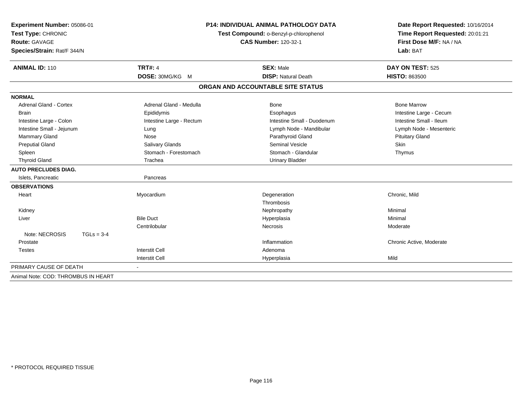| Experiment Number: 05086-01         |                          | <b>P14: INDIVIDUAL ANIMAL PATHOLOGY DATA</b> | Date Report Requested: 10/16/2014 |
|-------------------------------------|--------------------------|----------------------------------------------|-----------------------------------|
| Test Type: CHRONIC                  |                          | Test Compound: o-Benzyl-p-chlorophenol       | Time Report Requested: 20:01:21   |
| <b>Route: GAVAGE</b>                |                          | <b>CAS Number: 120-32-1</b>                  | First Dose M/F: NA / NA           |
| Species/Strain: Rat/F 344/N         |                          |                                              | Lab: BAT                          |
| <b>ANIMAL ID: 110</b>               | <b>TRT#: 4</b>           | <b>SEX: Male</b>                             | DAY ON TEST: 525                  |
|                                     | DOSE: 30MG/KG M          | <b>DISP: Natural Death</b>                   | <b>HISTO: 863500</b>              |
|                                     |                          | ORGAN AND ACCOUNTABLE SITE STATUS            |                                   |
| <b>NORMAL</b>                       |                          |                                              |                                   |
| <b>Adrenal Gland - Cortex</b>       | Adrenal Gland - Medulla  | <b>Bone</b>                                  | <b>Bone Marrow</b>                |
| <b>Brain</b>                        | Epididymis               | Esophagus                                    | Intestine Large - Cecum           |
| Intestine Large - Colon             | Intestine Large - Rectum | Intestine Small - Duodenum                   | Intestine Small - Ileum           |
| Intestine Small - Jejunum           | Lung                     | Lymph Node - Mandibular                      | Lymph Node - Mesenteric           |
| <b>Mammary Gland</b>                | Nose                     | Parathyroid Gland                            | <b>Pituitary Gland</b>            |
| <b>Preputial Gland</b>              | Salivary Glands          | Seminal Vesicle                              | Skin                              |
| Spleen                              | Stomach - Forestomach    | Stomach - Glandular                          | Thymus                            |
| <b>Thyroid Gland</b>                | Trachea                  | <b>Urinary Bladder</b>                       |                                   |
| <b>AUTO PRECLUDES DIAG.</b>         |                          |                                              |                                   |
| Islets, Pancreatic                  | Pancreas                 |                                              |                                   |
| <b>OBSERVATIONS</b>                 |                          |                                              |                                   |
| Heart                               | Myocardium               | Degeneration                                 | Chronic, Mild                     |
|                                     |                          | Thrombosis                                   |                                   |
| Kidney                              |                          | Nephropathy                                  | Minimal                           |
| Liver                               | <b>Bile Duct</b>         | Hyperplasia                                  | Minimal                           |
|                                     | Centrilobular            | <b>Necrosis</b>                              | Moderate                          |
| Note: NECROSIS<br>$TGLs = 3-4$      |                          |                                              |                                   |
| Prostate                            |                          | Inflammation                                 | Chronic Active, Moderate          |
| <b>Testes</b>                       | <b>Interstit Cell</b>    | Adenoma                                      |                                   |
|                                     | <b>Interstit Cell</b>    | Hyperplasia                                  | Mild                              |
| PRIMARY CAUSE OF DEATH              |                          |                                              |                                   |
| Animal Note: COD: THROMBUS IN HEART |                          |                                              |                                   |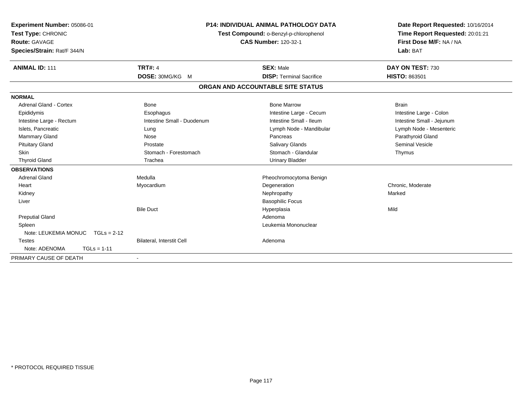| Experiment Number: 05086-01<br>Test Type: CHRONIC<br>Route: GAVAGE<br>Species/Strain: Rat/F 344/N |                                  | <b>P14: INDIVIDUAL ANIMAL PATHOLOGY DATA</b><br>Test Compound: o-Benzyl-p-chlorophenol<br><b>CAS Number: 120-32-1</b> | Date Report Requested: 10/16/2014<br>Time Report Requested: 20:01:21<br>First Dose M/F: NA / NA<br>Lab: BAT |
|---------------------------------------------------------------------------------------------------|----------------------------------|-----------------------------------------------------------------------------------------------------------------------|-------------------------------------------------------------------------------------------------------------|
| <b>ANIMAL ID: 111</b>                                                                             | <b>TRT#: 4</b>                   | <b>SEX: Male</b>                                                                                                      | DAY ON TEST: 730                                                                                            |
|                                                                                                   | DOSE: 30MG/KG M                  | <b>DISP: Terminal Sacrifice</b>                                                                                       | HISTO: 863501                                                                                               |
|                                                                                                   |                                  | ORGAN AND ACCOUNTABLE SITE STATUS                                                                                     |                                                                                                             |
| <b>NORMAL</b>                                                                                     |                                  |                                                                                                                       |                                                                                                             |
| <b>Adrenal Gland - Cortex</b>                                                                     | <b>Bone</b>                      | <b>Bone Marrow</b>                                                                                                    | <b>Brain</b>                                                                                                |
| Epididymis                                                                                        | Esophagus                        | Intestine Large - Cecum                                                                                               | Intestine Large - Colon                                                                                     |
| Intestine Large - Rectum                                                                          | Intestine Small - Duodenum       | Intestine Small - Ileum                                                                                               | Intestine Small - Jejunum                                                                                   |
| Islets, Pancreatic                                                                                | Lung                             | Lymph Node - Mandibular                                                                                               | Lymph Node - Mesenteric                                                                                     |
| Mammary Gland                                                                                     | Nose                             | Pancreas                                                                                                              | Parathyroid Gland                                                                                           |
| <b>Pituitary Gland</b>                                                                            | Prostate                         | <b>Salivary Glands</b>                                                                                                | <b>Seminal Vesicle</b>                                                                                      |
| <b>Skin</b>                                                                                       | Stomach - Forestomach            | Stomach - Glandular                                                                                                   | Thymus                                                                                                      |
| <b>Thyroid Gland</b>                                                                              | Trachea                          | <b>Urinary Bladder</b>                                                                                                |                                                                                                             |
| <b>OBSERVATIONS</b>                                                                               |                                  |                                                                                                                       |                                                                                                             |
| <b>Adrenal Gland</b>                                                                              | Medulla                          | Pheochromocytoma Benign                                                                                               |                                                                                                             |
| Heart                                                                                             | Myocardium                       | Degeneration                                                                                                          | Chronic, Moderate                                                                                           |
| Kidney                                                                                            |                                  | Nephropathy                                                                                                           | Marked                                                                                                      |
| Liver                                                                                             |                                  | <b>Basophilic Focus</b>                                                                                               |                                                                                                             |
|                                                                                                   | <b>Bile Duct</b>                 | Hyperplasia                                                                                                           | Mild                                                                                                        |
| <b>Preputial Gland</b>                                                                            |                                  | Adenoma                                                                                                               |                                                                                                             |
| Spleen                                                                                            |                                  | Leukemia Mononuclear                                                                                                  |                                                                                                             |
| Note: LEUKEMIA MONUC<br>$TGLs = 2-12$                                                             |                                  |                                                                                                                       |                                                                                                             |
| <b>Testes</b>                                                                                     | <b>Bilateral, Interstit Cell</b> | Adenoma                                                                                                               |                                                                                                             |
| Note: ADENOMA<br>$TGLs = 1-11$                                                                    |                                  |                                                                                                                       |                                                                                                             |
| PRIMARY CAUSE OF DEATH                                                                            | $\overline{\phantom{a}}$         |                                                                                                                       |                                                                                                             |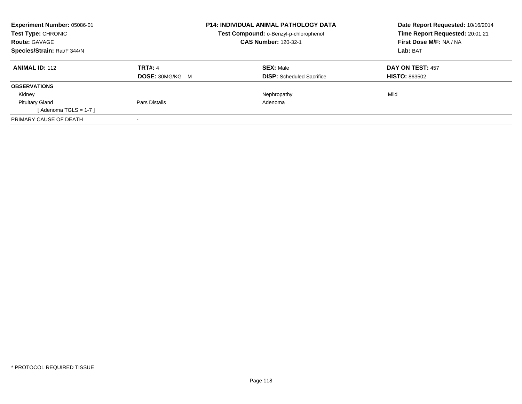| Experiment Number: 05086-01<br><b>Test Type: CHRONIC</b><br><b>Route: GAVAGE</b><br>Species/Strain: Rat/F 344/N |                        | <b>P14: INDIVIDUAL ANIMAL PATHOLOGY DATA</b><br>Test Compound: o-Benzyl-p-chlorophenol<br><b>CAS Number: 120-32-1</b> | Date Report Requested: 10/16/2014<br>Time Report Requested: 20:01:21<br>First Dose M/F: NA / NA<br>Lab: BAT |
|-----------------------------------------------------------------------------------------------------------------|------------------------|-----------------------------------------------------------------------------------------------------------------------|-------------------------------------------------------------------------------------------------------------|
| <b>ANIMAL ID: 112</b>                                                                                           | TRT#: 4                | <b>SEX: Male</b>                                                                                                      | <b>DAY ON TEST: 457</b>                                                                                     |
|                                                                                                                 | <b>DOSE: 30MG/KG M</b> | <b>DISP:</b> Scheduled Sacrifice                                                                                      | <b>HISTO: 863502</b>                                                                                        |
| <b>OBSERVATIONS</b>                                                                                             |                        |                                                                                                                       |                                                                                                             |
| Kidney                                                                                                          |                        | Nephropathy                                                                                                           | Mild                                                                                                        |
| <b>Pituitary Gland</b>                                                                                          | Pars Distalis          | Adenoma                                                                                                               |                                                                                                             |
| [Adenoma TGLS = $1-7$ ]                                                                                         |                        |                                                                                                                       |                                                                                                             |
| PRIMARY CAUSE OF DEATH                                                                                          |                        |                                                                                                                       |                                                                                                             |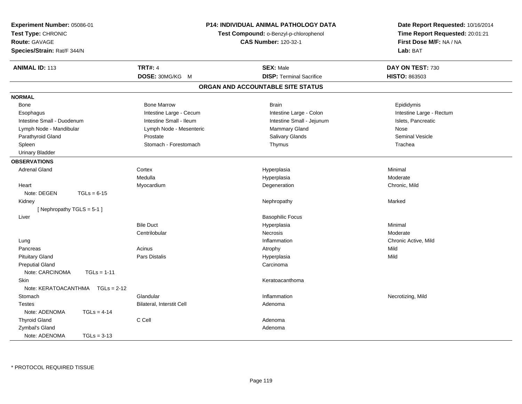| Experiment Number: 05086-01<br>Test Type: CHRONIC<br><b>Route: GAVAGE</b><br>Species/Strain: Rat/F 344/N |                           | P14: INDIVIDUAL ANIMAL PATHOLOGY DATA<br>Test Compound: o-Benzyl-p-chlorophenol<br><b>CAS Number: 120-32-1</b> | Date Report Requested: 10/16/2014<br>Time Report Requested: 20:01:21<br>First Dose M/F: NA / NA<br>Lab: BAT |
|----------------------------------------------------------------------------------------------------------|---------------------------|----------------------------------------------------------------------------------------------------------------|-------------------------------------------------------------------------------------------------------------|
| <b>ANIMAL ID: 113</b>                                                                                    | <b>TRT#: 4</b>            | <b>SEX: Male</b>                                                                                               | DAY ON TEST: 730                                                                                            |
|                                                                                                          | DOSE: 30MG/KG M           | <b>DISP: Terminal Sacrifice</b>                                                                                | HISTO: 863503                                                                                               |
|                                                                                                          |                           | ORGAN AND ACCOUNTABLE SITE STATUS                                                                              |                                                                                                             |
| <b>NORMAL</b>                                                                                            |                           |                                                                                                                |                                                                                                             |
| Bone                                                                                                     | <b>Bone Marrow</b>        | <b>Brain</b>                                                                                                   | Epididymis                                                                                                  |
| Esophagus                                                                                                | Intestine Large - Cecum   | Intestine Large - Colon                                                                                        | Intestine Large - Rectum                                                                                    |
| Intestine Small - Duodenum                                                                               | Intestine Small - Ileum   | Intestine Small - Jejunum                                                                                      | Islets, Pancreatic                                                                                          |
| Lymph Node - Mandibular                                                                                  | Lymph Node - Mesenteric   | Mammary Gland                                                                                                  | Nose                                                                                                        |
| Parathyroid Gland                                                                                        | Prostate                  | Salivary Glands                                                                                                | <b>Seminal Vesicle</b>                                                                                      |
| Spleen                                                                                                   | Stomach - Forestomach     | Thymus                                                                                                         | Trachea                                                                                                     |
| <b>Urinary Bladder</b>                                                                                   |                           |                                                                                                                |                                                                                                             |
| <b>OBSERVATIONS</b>                                                                                      |                           |                                                                                                                |                                                                                                             |
| <b>Adrenal Gland</b>                                                                                     | Cortex                    | Hyperplasia                                                                                                    | Minimal                                                                                                     |
|                                                                                                          | Medulla                   | Hyperplasia                                                                                                    | Moderate                                                                                                    |
| Heart                                                                                                    | Myocardium                | Degeneration                                                                                                   | Chronic, Mild                                                                                               |
| Note: DEGEN<br>$TGLs = 6-15$                                                                             |                           |                                                                                                                |                                                                                                             |
| Kidney                                                                                                   |                           | Nephropathy                                                                                                    | Marked                                                                                                      |
| [Nephropathy TGLS = 5-1]                                                                                 |                           |                                                                                                                |                                                                                                             |
| Liver                                                                                                    |                           | <b>Basophilic Focus</b>                                                                                        |                                                                                                             |
|                                                                                                          | <b>Bile Duct</b>          | Hyperplasia                                                                                                    | Minimal                                                                                                     |
|                                                                                                          | Centrilobular             | <b>Necrosis</b>                                                                                                | Moderate                                                                                                    |
| Lung                                                                                                     |                           | Inflammation                                                                                                   | Chronic Active, Mild                                                                                        |
| Pancreas                                                                                                 | Acinus                    | Atrophy                                                                                                        | Mild                                                                                                        |
| <b>Pituitary Gland</b>                                                                                   | Pars Distalis             | Hyperplasia                                                                                                    | Mild                                                                                                        |
| <b>Preputial Gland</b>                                                                                   |                           | Carcinoma                                                                                                      |                                                                                                             |
| Note: CARCINOMA                                                                                          | $TGLs = 1-11$             |                                                                                                                |                                                                                                             |
| Skin                                                                                                     |                           | Keratoacanthoma                                                                                                |                                                                                                             |
| Note: KERATOACANTHMA                                                                                     | $TGLs = 2-12$             |                                                                                                                |                                                                                                             |
| Stomach                                                                                                  | Glandular                 | Inflammation                                                                                                   | Necrotizing, Mild                                                                                           |
| <b>Testes</b>                                                                                            | Bilateral, Interstit Cell | Adenoma                                                                                                        |                                                                                                             |
| Note: ADENOMA                                                                                            | $TGLs = 4-14$             |                                                                                                                |                                                                                                             |
| <b>Thyroid Gland</b>                                                                                     | C Cell                    | Adenoma                                                                                                        |                                                                                                             |
| Zymbal's Gland                                                                                           |                           | Adenoma                                                                                                        |                                                                                                             |
| Note: ADENOMA                                                                                            | $TGLs = 3-13$             |                                                                                                                |                                                                                                             |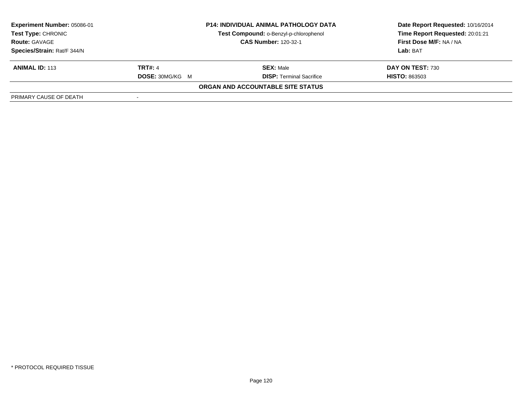| Experiment Number: 05086-01 |                             | <b>P14: INDIVIDUAL ANIMAL PATHOLOGY DATA</b> | Date Report Requested: 10/16/2014 |
|-----------------------------|-----------------------------|----------------------------------------------|-----------------------------------|
| <b>Test Type: CHRONIC</b>   |                             | Test Compound: o-Benzyl-p-chlorophenol       | Time Report Requested: 20:01:21   |
| <b>Route: GAVAGE</b>        | <b>CAS Number: 120-32-1</b> |                                              | First Dose M/F: NA / NA           |
| Species/Strain: Rat/F 344/N |                             |                                              | Lab: BAT                          |
| <b>ANIMAL ID: 113</b>       | <b>TRT#: 4</b>              | <b>SEX: Male</b>                             | DAY ON TEST: 730                  |
|                             | <b>DOSE: 30MG/KG M</b>      | <b>DISP: Terminal Sacrifice</b>              | <b>HISTO: 863503</b>              |
|                             |                             | ORGAN AND ACCOUNTABLE SITE STATUS            |                                   |
| PRIMARY CAUSE OF DEATH      |                             |                                              |                                   |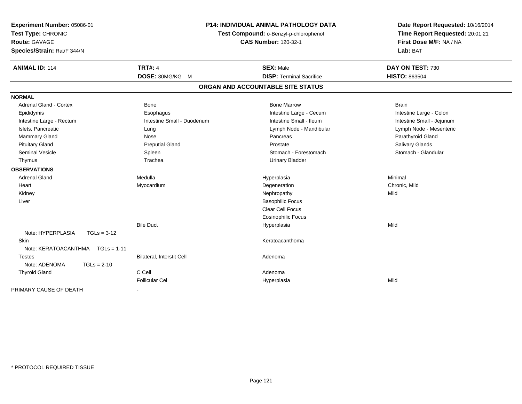| Experiment Number: 05086-01<br>Test Type: CHRONIC<br><b>Route: GAVAGE</b><br>Species/Strain: Rat/F 344/N                                                                                                                                         | <b>P14: INDIVIDUAL ANIMAL PATHOLOGY DATA</b><br>Test Compound: o-Benzyl-p-chlorophenol<br><b>CAS Number: 120-32-1</b>                          |                                                                                                                                                                                                                                                         | Date Report Requested: 10/16/2014<br>Time Report Requested: 20:01:21<br>First Dose M/F: NA / NA<br>Lab: BAT                                                                                               |
|--------------------------------------------------------------------------------------------------------------------------------------------------------------------------------------------------------------------------------------------------|------------------------------------------------------------------------------------------------------------------------------------------------|---------------------------------------------------------------------------------------------------------------------------------------------------------------------------------------------------------------------------------------------------------|-----------------------------------------------------------------------------------------------------------------------------------------------------------------------------------------------------------|
| <b>ANIMAL ID: 114</b>                                                                                                                                                                                                                            | <b>TRT#: 4</b><br>DOSE: 30MG/KG M                                                                                                              | <b>SEX: Male</b><br><b>DISP: Terminal Sacrifice</b>                                                                                                                                                                                                     | DAY ON TEST: 730<br><b>HISTO: 863504</b>                                                                                                                                                                  |
|                                                                                                                                                                                                                                                  |                                                                                                                                                | ORGAN AND ACCOUNTABLE SITE STATUS                                                                                                                                                                                                                       |                                                                                                                                                                                                           |
| <b>NORMAL</b>                                                                                                                                                                                                                                    |                                                                                                                                                |                                                                                                                                                                                                                                                         |                                                                                                                                                                                                           |
| Adrenal Gland - Cortex<br>Epididymis<br>Intestine Large - Rectum<br>Islets, Pancreatic<br>Mammary Gland<br><b>Pituitary Gland</b><br><b>Seminal Vesicle</b><br>Thymus<br><b>OBSERVATIONS</b><br><b>Adrenal Gland</b><br>Heart<br>Kidney<br>Liver | <b>Bone</b><br>Esophagus<br>Intestine Small - Duodenum<br>Lung<br>Nose<br><b>Preputial Gland</b><br>Spleen<br>Trachea<br>Medulla<br>Myocardium | <b>Bone Marrow</b><br>Intestine Large - Cecum<br>Intestine Small - Ileum<br>Lymph Node - Mandibular<br>Pancreas<br>Prostate<br>Stomach - Forestomach<br><b>Urinary Bladder</b><br>Hyperplasia<br>Degeneration<br>Nephropathy<br><b>Basophilic Focus</b> | <b>Brain</b><br>Intestine Large - Colon<br>Intestine Small - Jejunum<br>Lymph Node - Mesenteric<br>Parathyroid Gland<br><b>Salivary Glands</b><br>Stomach - Glandular<br>Minimal<br>Chronic, Mild<br>Mild |
| Note: HYPERPLASIA<br>$TGLs = 3-12$<br>Skin<br>Note: KERATOACANTHMA<br>$TGLs = 1-11$<br><b>Testes</b><br>Note: ADENOMA<br>$TGLs = 2-10$<br><b>Thyroid Gland</b>                                                                                   | <b>Bile Duct</b><br>Bilateral, Interstit Cell<br>C Cell                                                                                        | <b>Clear Cell Focus</b><br><b>Eosinophilic Focus</b><br>Hyperplasia<br>Keratoacanthoma<br>Adenoma<br>Adenoma                                                                                                                                            | Mild                                                                                                                                                                                                      |
|                                                                                                                                                                                                                                                  | <b>Follicular Cel</b>                                                                                                                          | Hyperplasia                                                                                                                                                                                                                                             | Mild                                                                                                                                                                                                      |
| PRIMARY CAUSE OF DEATH                                                                                                                                                                                                                           |                                                                                                                                                |                                                                                                                                                                                                                                                         |                                                                                                                                                                                                           |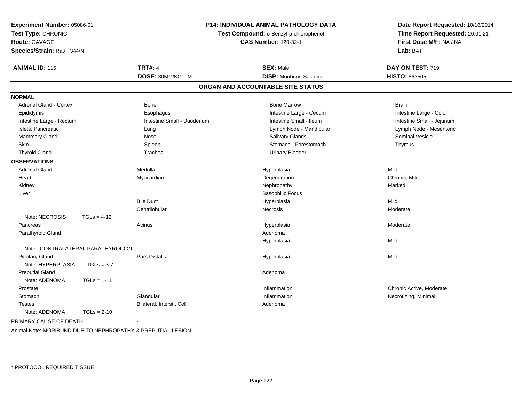| Experiment Number: 05086-01<br>Test Type: CHRONIC<br><b>Route: GAVAGE</b><br>Species/Strain: Rat/F 344/N |               |                                                             | P14: INDIVIDUAL ANIMAL PATHOLOGY DATA<br>Test Compound: o-Benzyl-p-chlorophenol<br><b>CAS Number: 120-32-1</b> |                           |
|----------------------------------------------------------------------------------------------------------|---------------|-------------------------------------------------------------|----------------------------------------------------------------------------------------------------------------|---------------------------|
| <b>ANIMAL ID: 115</b>                                                                                    |               | <b>TRT#: 4</b>                                              | <b>SEX: Male</b>                                                                                               | DAY ON TEST: 719          |
|                                                                                                          |               | DOSE: 30MG/KG M                                             | <b>DISP:</b> Moribund Sacrifice                                                                                | <b>HISTO: 863505</b>      |
|                                                                                                          |               |                                                             | ORGAN AND ACCOUNTABLE SITE STATUS                                                                              |                           |
| <b>NORMAL</b>                                                                                            |               |                                                             |                                                                                                                |                           |
| <b>Adrenal Gland - Cortex</b>                                                                            |               | Bone                                                        | <b>Bone Marrow</b>                                                                                             | <b>Brain</b>              |
| Epididymis                                                                                               |               | Esophagus                                                   | Intestine Large - Cecum                                                                                        | Intestine Large - Colon   |
| Intestine Large - Rectum                                                                                 |               | Intestine Small - Duodenum                                  | Intestine Small - Ileum                                                                                        | Intestine Small - Jejunum |
| Islets, Pancreatic                                                                                       |               | Lung                                                        | Lymph Node - Mandibular                                                                                        | Lymph Node - Mesenteric   |
| Mammary Gland                                                                                            |               | Nose                                                        | Salivary Glands                                                                                                | Seminal Vesicle           |
| Skin                                                                                                     |               | Spleen                                                      | Stomach - Forestomach                                                                                          | Thymus                    |
| <b>Thyroid Gland</b>                                                                                     |               | Trachea                                                     | <b>Urinary Bladder</b>                                                                                         |                           |
| <b>OBSERVATIONS</b>                                                                                      |               |                                                             |                                                                                                                |                           |
| <b>Adrenal Gland</b>                                                                                     |               | Medulla                                                     | Hyperplasia                                                                                                    | Mild                      |
| Heart                                                                                                    |               | Myocardium                                                  | Degeneration                                                                                                   | Chronic, Mild             |
| Kidney                                                                                                   |               |                                                             | Nephropathy                                                                                                    | Marked                    |
| Liver                                                                                                    |               |                                                             | <b>Basophilic Focus</b>                                                                                        |                           |
|                                                                                                          |               | <b>Bile Duct</b>                                            | Hyperplasia                                                                                                    | Mild                      |
|                                                                                                          |               | Centrilobular                                               | Necrosis                                                                                                       | Moderate                  |
| Note: NECROSIS                                                                                           | $TGLs = 4-12$ |                                                             |                                                                                                                |                           |
| Pancreas                                                                                                 |               | Acinus                                                      | Hyperplasia                                                                                                    | Moderate                  |
| Parathyroid Gland                                                                                        |               |                                                             | Adenoma                                                                                                        |                           |
|                                                                                                          |               |                                                             | Hyperplasia                                                                                                    | Mild                      |
| Note: [CONTRALATERAL PARATHYROID GL.]                                                                    |               |                                                             |                                                                                                                |                           |
| <b>Pituitary Gland</b>                                                                                   |               | Pars Distalis                                               | Hyperplasia                                                                                                    | Mild                      |
| Note: HYPERPLASIA                                                                                        | $TGLs = 3-7$  |                                                             |                                                                                                                |                           |
| <b>Preputial Gland</b>                                                                                   |               |                                                             | Adenoma                                                                                                        |                           |
| Note: ADENOMA                                                                                            | $TGLs = 1-11$ |                                                             |                                                                                                                |                           |
| Prostate                                                                                                 |               |                                                             | Inflammation                                                                                                   | Chronic Active, Moderate  |
| Stomach                                                                                                  |               | Glandular                                                   | Inflammation                                                                                                   | Necrotizing, Minimal      |
| <b>Testes</b>                                                                                            |               | Bilateral, Interstit Cell                                   | Adenoma                                                                                                        |                           |
| Note: ADENOMA                                                                                            | $TGLs = 2-10$ |                                                             |                                                                                                                |                           |
| PRIMARY CAUSE OF DEATH                                                                                   |               |                                                             |                                                                                                                |                           |
|                                                                                                          |               | Animal Note: MORIBUND DUE TO NEPHROPATHY & PREPUTIAL LESION |                                                                                                                |                           |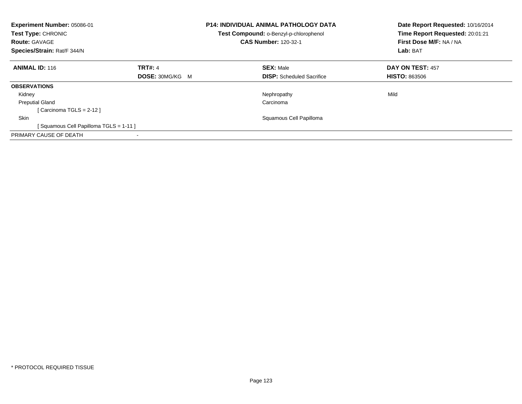| <b>Experiment Number: 05086-01</b><br>Test Type: CHRONIC<br><b>Route: GAVAGE</b><br>Species/Strain: Rat/F 344/N |                        | <b>P14: INDIVIDUAL ANIMAL PATHOLOGY DATA</b><br>Test Compound: o-Benzyl-p-chlorophenol<br><b>CAS Number: 120-32-1</b> | Date Report Requested: 10/16/2014<br>Time Report Requested: 20:01:21<br>First Dose M/F: NA / NA<br>Lab: BAT |
|-----------------------------------------------------------------------------------------------------------------|------------------------|-----------------------------------------------------------------------------------------------------------------------|-------------------------------------------------------------------------------------------------------------|
| <b>ANIMAL ID: 116</b>                                                                                           | <b>TRT#: 4</b>         | <b>SEX: Male</b>                                                                                                      | DAY ON TEST: 457                                                                                            |
|                                                                                                                 | <b>DOSE: 30MG/KG M</b> | <b>DISP:</b> Scheduled Sacrifice                                                                                      | <b>HISTO: 863506</b>                                                                                        |
| <b>OBSERVATIONS</b>                                                                                             |                        |                                                                                                                       |                                                                                                             |
| Kidney                                                                                                          |                        | Nephropathy                                                                                                           | Mild                                                                                                        |
| <b>Preputial Gland</b>                                                                                          |                        | Carcinoma                                                                                                             |                                                                                                             |
| [Carcinoma TGLS = $2-12$ ]                                                                                      |                        |                                                                                                                       |                                                                                                             |
| <b>Skin</b>                                                                                                     |                        | Squamous Cell Papilloma                                                                                               |                                                                                                             |
| Squamous Cell Papilloma TGLS = 1-11 ]                                                                           |                        |                                                                                                                       |                                                                                                             |
| PRIMARY CAUSE OF DEATH                                                                                          |                        |                                                                                                                       |                                                                                                             |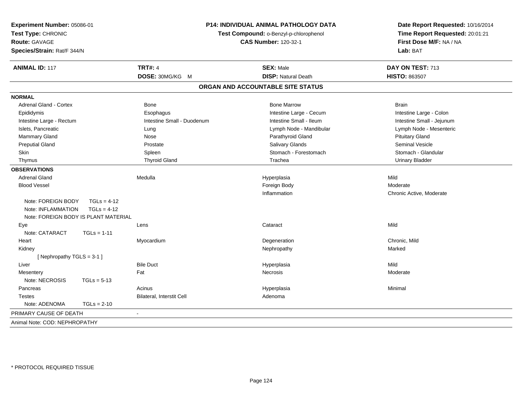| Experiment Number: 05086-01<br>Test Type: CHRONIC<br><b>Route: GAVAGE</b><br>Species/Strain: Rat/F 344/N | P14: INDIVIDUAL ANIMAL PATHOLOGY DATA<br>Test Compound: o-Benzyl-p-chlorophenol<br><b>CAS Number: 120-32-1</b> |                                   | Date Report Requested: 10/16/2014<br>Time Report Requested: 20:01:21<br>First Dose M/F: NA / NA<br>Lab: BAT |  |
|----------------------------------------------------------------------------------------------------------|----------------------------------------------------------------------------------------------------------------|-----------------------------------|-------------------------------------------------------------------------------------------------------------|--|
| <b>ANIMAL ID: 117</b>                                                                                    | <b>TRT#: 4</b>                                                                                                 | <b>SEX: Male</b>                  | DAY ON TEST: 713                                                                                            |  |
|                                                                                                          | DOSE: 30MG/KG M                                                                                                | <b>DISP: Natural Death</b>        | <b>HISTO: 863507</b>                                                                                        |  |
|                                                                                                          |                                                                                                                | ORGAN AND ACCOUNTABLE SITE STATUS |                                                                                                             |  |
| <b>NORMAL</b>                                                                                            |                                                                                                                |                                   |                                                                                                             |  |
| <b>Adrenal Gland - Cortex</b>                                                                            | <b>Bone</b>                                                                                                    | <b>Bone Marrow</b>                | <b>Brain</b>                                                                                                |  |
| Epididymis                                                                                               | Esophagus                                                                                                      | Intestine Large - Cecum           | Intestine Large - Colon                                                                                     |  |
| Intestine Large - Rectum                                                                                 | Intestine Small - Duodenum                                                                                     | Intestine Small - Ileum           | Intestine Small - Jejunum                                                                                   |  |
| Islets, Pancreatic                                                                                       | Lung                                                                                                           | Lymph Node - Mandibular           | Lymph Node - Mesenteric                                                                                     |  |
| Mammary Gland                                                                                            | Nose                                                                                                           | Parathyroid Gland                 | <b>Pituitary Gland</b>                                                                                      |  |
| <b>Preputial Gland</b>                                                                                   | Prostate                                                                                                       | Salivary Glands                   | Seminal Vesicle                                                                                             |  |
| Skin                                                                                                     | Spleen                                                                                                         | Stomach - Forestomach             | Stomach - Glandular                                                                                         |  |
| Thymus                                                                                                   | <b>Thyroid Gland</b>                                                                                           | Trachea                           | <b>Urinary Bladder</b>                                                                                      |  |
| <b>OBSERVATIONS</b>                                                                                      |                                                                                                                |                                   |                                                                                                             |  |
| <b>Adrenal Gland</b>                                                                                     | Medulla                                                                                                        | Hyperplasia                       | Mild                                                                                                        |  |
| <b>Blood Vessel</b>                                                                                      |                                                                                                                | Foreign Body                      | Moderate                                                                                                    |  |
|                                                                                                          |                                                                                                                | Inflammation                      | Chronic Active, Moderate                                                                                    |  |
| Note: FOREIGN BODY<br>$TGLs = 4-12$                                                                      |                                                                                                                |                                   |                                                                                                             |  |
| Note: INFLAMMATION<br>$TGLs = 4-12$                                                                      |                                                                                                                |                                   |                                                                                                             |  |
| Note: FOREIGN BODY IS PLANT MATERIAL                                                                     |                                                                                                                |                                   |                                                                                                             |  |
| Eye                                                                                                      | Lens                                                                                                           | Cataract                          | Mild                                                                                                        |  |
| Note: CATARACT<br>$TGLs = 1-11$                                                                          |                                                                                                                |                                   |                                                                                                             |  |
| Heart                                                                                                    | Myocardium                                                                                                     | Degeneration                      | Chronic, Mild                                                                                               |  |
| Kidney                                                                                                   |                                                                                                                | Nephropathy                       | Marked                                                                                                      |  |
| [ Nephropathy $TGLS = 3-1$ ]                                                                             |                                                                                                                |                                   |                                                                                                             |  |
| Liver                                                                                                    | <b>Bile Duct</b>                                                                                               | Hyperplasia                       | Mild                                                                                                        |  |
| Mesentery                                                                                                | Fat                                                                                                            | <b>Necrosis</b>                   | Moderate                                                                                                    |  |
| Note: NECROSIS<br>$TGLs = 5-13$                                                                          |                                                                                                                |                                   |                                                                                                             |  |
| Pancreas                                                                                                 | Acinus                                                                                                         | Hyperplasia                       | Minimal                                                                                                     |  |
| <b>Testes</b>                                                                                            | Bilateral, Interstit Cell                                                                                      | Adenoma                           |                                                                                                             |  |
| Note: ADENOMA<br>$TGLs = 2-10$                                                                           |                                                                                                                |                                   |                                                                                                             |  |
| PRIMARY CAUSE OF DEATH                                                                                   | $\sim$                                                                                                         |                                   |                                                                                                             |  |
| Animal Note: COD: NEPHROPATHY                                                                            |                                                                                                                |                                   |                                                                                                             |  |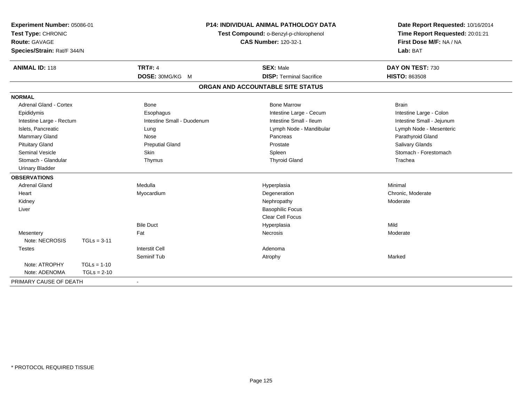| Experiment Number: 05086-01<br>Test Type: CHRONIC<br><b>Route: GAVAGE</b><br>Species/Strain: Rat/F 344/N |               | <b>P14: INDIVIDUAL ANIMAL PATHOLOGY DATA</b><br>Test Compound: o-Benzyl-p-chlorophenol<br><b>CAS Number: 120-32-1</b> |                                   | Date Report Requested: 10/16/2014<br>Time Report Requested: 20:01:21<br>First Dose M/F: NA / NA<br>Lab: BAT |
|----------------------------------------------------------------------------------------------------------|---------------|-----------------------------------------------------------------------------------------------------------------------|-----------------------------------|-------------------------------------------------------------------------------------------------------------|
| <b>ANIMAL ID: 118</b>                                                                                    |               | <b>TRT#: 4</b>                                                                                                        | <b>SEX: Male</b>                  | DAY ON TEST: 730                                                                                            |
|                                                                                                          |               | DOSE: 30MG/KG M                                                                                                       | <b>DISP: Terminal Sacrifice</b>   | <b>HISTO: 863508</b>                                                                                        |
|                                                                                                          |               |                                                                                                                       | ORGAN AND ACCOUNTABLE SITE STATUS |                                                                                                             |
| <b>NORMAL</b>                                                                                            |               |                                                                                                                       |                                   |                                                                                                             |
| Adrenal Gland - Cortex                                                                                   |               | Bone                                                                                                                  | <b>Bone Marrow</b>                | <b>Brain</b>                                                                                                |
| Epididymis                                                                                               |               | Esophagus                                                                                                             | Intestine Large - Cecum           | Intestine Large - Colon                                                                                     |
| Intestine Large - Rectum                                                                                 |               | Intestine Small - Duodenum                                                                                            | Intestine Small - Ileum           | Intestine Small - Jejunum                                                                                   |
| Islets, Pancreatic                                                                                       |               | Lung                                                                                                                  | Lymph Node - Mandibular           | Lymph Node - Mesenteric                                                                                     |
| Mammary Gland                                                                                            |               | Nose                                                                                                                  | Pancreas                          | Parathyroid Gland                                                                                           |
| <b>Pituitary Gland</b>                                                                                   |               | <b>Preputial Gland</b>                                                                                                | Prostate                          | Salivary Glands                                                                                             |
| <b>Seminal Vesicle</b>                                                                                   |               | <b>Skin</b>                                                                                                           | Spleen                            | Stomach - Forestomach                                                                                       |
| Stomach - Glandular                                                                                      |               | Thymus                                                                                                                | <b>Thyroid Gland</b>              | Trachea                                                                                                     |
| <b>Urinary Bladder</b>                                                                                   |               |                                                                                                                       |                                   |                                                                                                             |
| <b>OBSERVATIONS</b>                                                                                      |               |                                                                                                                       |                                   |                                                                                                             |
| <b>Adrenal Gland</b>                                                                                     |               | Medulla                                                                                                               | Hyperplasia                       | Minimal                                                                                                     |
| Heart                                                                                                    |               | Myocardium                                                                                                            | Degeneration                      | Chronic, Moderate                                                                                           |
| Kidney                                                                                                   |               |                                                                                                                       | Nephropathy                       | Moderate                                                                                                    |
| Liver                                                                                                    |               |                                                                                                                       | <b>Basophilic Focus</b>           |                                                                                                             |
|                                                                                                          |               |                                                                                                                       | Clear Cell Focus                  |                                                                                                             |
|                                                                                                          |               | <b>Bile Duct</b>                                                                                                      | Hyperplasia                       | Mild                                                                                                        |
| Mesentery                                                                                                |               | Fat                                                                                                                   | <b>Necrosis</b>                   | Moderate                                                                                                    |
| Note: NECROSIS                                                                                           | $TGLs = 3-11$ |                                                                                                                       |                                   |                                                                                                             |
| <b>Testes</b>                                                                                            |               | <b>Interstit Cell</b>                                                                                                 | Adenoma                           |                                                                                                             |
|                                                                                                          |               | Seminif Tub                                                                                                           | Atrophy                           | Marked                                                                                                      |
| Note: ATROPHY                                                                                            | $TGLs = 1-10$ |                                                                                                                       |                                   |                                                                                                             |
| Note: ADENOMA                                                                                            | $TGLs = 2-10$ |                                                                                                                       |                                   |                                                                                                             |
| PRIMARY CAUSE OF DEATH                                                                                   |               | $\overline{\phantom{a}}$                                                                                              |                                   |                                                                                                             |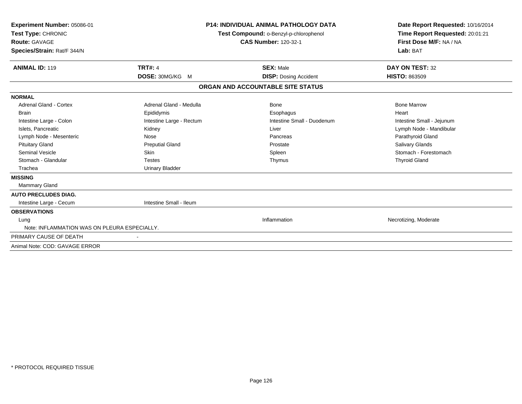| Experiment Number: 05086-01<br>Test Type: CHRONIC<br><b>Route: GAVAGE</b> |                          | <b>P14: INDIVIDUAL ANIMAL PATHOLOGY DATA</b><br>Test Compound: o-Benzyl-p-chlorophenol<br><b>CAS Number: 120-32-1</b> | Date Report Requested: 10/16/2014<br>Time Report Requested: 20:01:21<br>First Dose M/F: NA / NA |
|---------------------------------------------------------------------------|--------------------------|-----------------------------------------------------------------------------------------------------------------------|-------------------------------------------------------------------------------------------------|
| Species/Strain: Rat/F 344/N                                               |                          |                                                                                                                       | Lab: BAT                                                                                        |
| <b>ANIMAL ID: 119</b>                                                     | <b>TRT#: 4</b>           | <b>SEX: Male</b>                                                                                                      | DAY ON TEST: 32                                                                                 |
|                                                                           | <b>DOSE: 30MG/KG M</b>   | <b>DISP:</b> Dosing Accident                                                                                          | <b>HISTO: 863509</b>                                                                            |
|                                                                           |                          | ORGAN AND ACCOUNTABLE SITE STATUS                                                                                     |                                                                                                 |
| <b>NORMAL</b>                                                             |                          |                                                                                                                       |                                                                                                 |
| <b>Adrenal Gland - Cortex</b>                                             | Adrenal Gland - Medulla  | Bone                                                                                                                  | <b>Bone Marrow</b>                                                                              |
| <b>Brain</b>                                                              | Epididymis               | Esophagus                                                                                                             | Heart                                                                                           |
| Intestine Large - Colon                                                   | Intestine Large - Rectum | Intestine Small - Duodenum                                                                                            | Intestine Small - Jejunum                                                                       |
| Islets, Pancreatic                                                        | Kidney                   | Liver                                                                                                                 | Lymph Node - Mandibular                                                                         |
| Lymph Node - Mesenteric                                                   | Nose                     | Pancreas                                                                                                              | Parathyroid Gland                                                                               |
| <b>Pituitary Gland</b>                                                    | <b>Preputial Gland</b>   | Prostate                                                                                                              | Salivary Glands                                                                                 |
| <b>Seminal Vesicle</b>                                                    | Skin                     | Spleen                                                                                                                | Stomach - Forestomach                                                                           |
| Stomach - Glandular                                                       | <b>Testes</b>            | Thymus                                                                                                                | <b>Thyroid Gland</b>                                                                            |
| Trachea                                                                   | <b>Urinary Bladder</b>   |                                                                                                                       |                                                                                                 |
| <b>MISSING</b>                                                            |                          |                                                                                                                       |                                                                                                 |
| <b>Mammary Gland</b>                                                      |                          |                                                                                                                       |                                                                                                 |
| <b>AUTO PRECLUDES DIAG.</b>                                               |                          |                                                                                                                       |                                                                                                 |
| Intestine Large - Cecum                                                   | Intestine Small - Ileum  |                                                                                                                       |                                                                                                 |
| <b>OBSERVATIONS</b>                                                       |                          |                                                                                                                       |                                                                                                 |
| Lung                                                                      |                          | Inflammation                                                                                                          | Necrotizing, Moderate                                                                           |
| Note: INFLAMMATION WAS ON PLEURA ESPECIALLY.                              |                          |                                                                                                                       |                                                                                                 |
| PRIMARY CAUSE OF DEATH                                                    |                          |                                                                                                                       |                                                                                                 |
| Animal Note: COD: GAVAGE ERROR                                            |                          |                                                                                                                       |                                                                                                 |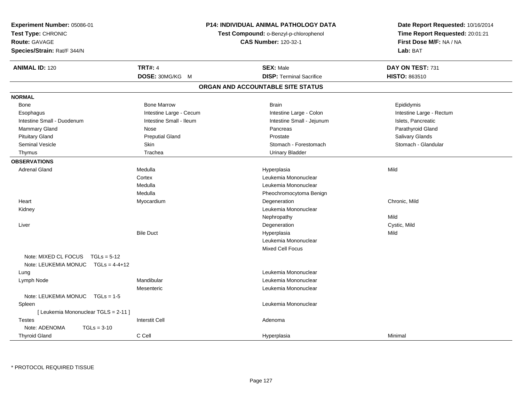| Experiment Number: 05086-01<br>Test Type: CHRONIC<br><b>Route: GAVAGE</b><br>Species/Strain: Rat/F 344/N | P14: INDIVIDUAL ANIMAL PATHOLOGY DATA<br>Test Compound: o-Benzyl-p-chlorophenol<br><b>CAS Number: 120-32-1</b> |  |                                   | Date Report Requested: 10/16/2014<br>Time Report Requested: 20:01:21<br>First Dose M/F: NA / NA<br>Lab: BAT |
|----------------------------------------------------------------------------------------------------------|----------------------------------------------------------------------------------------------------------------|--|-----------------------------------|-------------------------------------------------------------------------------------------------------------|
| <b>ANIMAL ID: 120</b>                                                                                    | <b>TRT#: 4</b>                                                                                                 |  | <b>SEX: Male</b>                  | DAY ON TEST: 731                                                                                            |
|                                                                                                          | DOSE: 30MG/KG M                                                                                                |  | <b>DISP: Terminal Sacrifice</b>   | HISTO: 863510                                                                                               |
|                                                                                                          |                                                                                                                |  | ORGAN AND ACCOUNTABLE SITE STATUS |                                                                                                             |
| <b>NORMAL</b>                                                                                            |                                                                                                                |  |                                   |                                                                                                             |
| Bone                                                                                                     | <b>Bone Marrow</b>                                                                                             |  | <b>Brain</b>                      | Epididymis                                                                                                  |
| Esophagus                                                                                                | Intestine Large - Cecum                                                                                        |  | Intestine Large - Colon           | Intestine Large - Rectum                                                                                    |
| Intestine Small - Duodenum                                                                               | Intestine Small - Ileum                                                                                        |  | Intestine Small - Jejunum         | Islets, Pancreatic                                                                                          |
| Mammary Gland                                                                                            | Nose                                                                                                           |  | Pancreas                          | Parathyroid Gland                                                                                           |
| <b>Pituitary Gland</b>                                                                                   | <b>Preputial Gland</b>                                                                                         |  | Prostate                          | <b>Salivary Glands</b>                                                                                      |
| Seminal Vesicle                                                                                          | Skin                                                                                                           |  | Stomach - Forestomach             | Stomach - Glandular                                                                                         |
| Thymus                                                                                                   | Trachea                                                                                                        |  | <b>Urinary Bladder</b>            |                                                                                                             |
| <b>OBSERVATIONS</b>                                                                                      |                                                                                                                |  |                                   |                                                                                                             |
| <b>Adrenal Gland</b>                                                                                     | Medulla                                                                                                        |  | Hyperplasia                       | Mild                                                                                                        |
|                                                                                                          | Cortex                                                                                                         |  | Leukemia Mononuclear              |                                                                                                             |
|                                                                                                          | Medulla                                                                                                        |  | Leukemia Mononuclear              |                                                                                                             |
|                                                                                                          | Medulla                                                                                                        |  | Pheochromocytoma Benign           |                                                                                                             |
| Heart                                                                                                    | Myocardium                                                                                                     |  | Degeneration                      | Chronic, Mild                                                                                               |
| Kidney                                                                                                   |                                                                                                                |  | Leukemia Mononuclear              |                                                                                                             |
|                                                                                                          |                                                                                                                |  | Nephropathy                       | Mild                                                                                                        |
| Liver                                                                                                    |                                                                                                                |  | Degeneration                      | Cystic, Mild                                                                                                |
|                                                                                                          | <b>Bile Duct</b>                                                                                               |  | Hyperplasia                       | Mild                                                                                                        |
|                                                                                                          |                                                                                                                |  | Leukemia Mononuclear              |                                                                                                             |
|                                                                                                          |                                                                                                                |  | <b>Mixed Cell Focus</b>           |                                                                                                             |
| Note: MIXED CL FOCUS<br>$TGLs = 5-12$                                                                    |                                                                                                                |  |                                   |                                                                                                             |
| Note: LEUKEMIA MONUC TGLs = 4-4+12                                                                       |                                                                                                                |  |                                   |                                                                                                             |
| Lung                                                                                                     |                                                                                                                |  | Leukemia Mononuclear              |                                                                                                             |
| Lymph Node                                                                                               | Mandibular                                                                                                     |  | Leukemia Mononuclear              |                                                                                                             |
|                                                                                                          | Mesenteric                                                                                                     |  | Leukemia Mononuclear              |                                                                                                             |
| Note: LEUKEMIA MONUC<br>$TGLs = 1-5$                                                                     |                                                                                                                |  |                                   |                                                                                                             |
| Spleen                                                                                                   |                                                                                                                |  | Leukemia Mononuclear              |                                                                                                             |
| [ Leukemia Mononuclear TGLS = 2-11 ]                                                                     |                                                                                                                |  |                                   |                                                                                                             |
| <b>Testes</b>                                                                                            | <b>Interstit Cell</b>                                                                                          |  | Adenoma                           |                                                                                                             |
| Note: ADENOMA<br>$TGLs = 3-10$                                                                           |                                                                                                                |  |                                   |                                                                                                             |
| <b>Thyroid Gland</b>                                                                                     | C Cell                                                                                                         |  | Hyperplasia                       | Minimal                                                                                                     |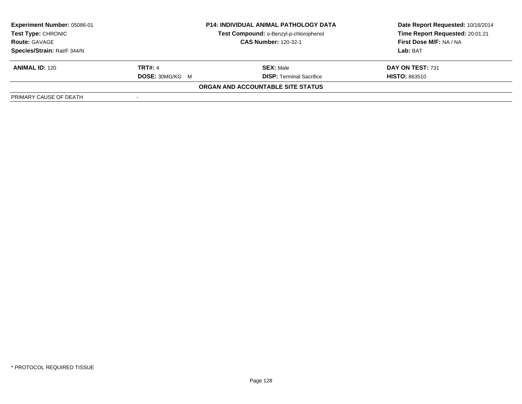| Experiment Number: 05086-01 | <b>P14: INDIVIDUAL ANIMAL PATHOLOGY DATA</b> |                                          | Date Report Requested: 10/16/2014 |  |
|-----------------------------|----------------------------------------------|------------------------------------------|-----------------------------------|--|
| <b>Test Type: CHRONIC</b>   |                                              | Test Compound: o-Benzyl-p-chlorophenol   | Time Report Requested: 20:01:21   |  |
| <b>Route: GAVAGE</b>        |                                              | <b>CAS Number: 120-32-1</b>              | First Dose M/F: NA / NA           |  |
| Species/Strain: Rat/F 344/N |                                              |                                          | Lab: BAT                          |  |
| <b>ANIMAL ID: 120</b>       | <b>TRT#: 4</b>                               | <b>SEX: Male</b>                         | DAY ON TEST: 731                  |  |
|                             | <b>DOSE: 30MG/KG M</b>                       | <b>DISP: Terminal Sacrifice</b>          | <b>HISTO: 863510</b>              |  |
|                             |                                              | <b>ORGAN AND ACCOUNTABLE SITE STATUS</b> |                                   |  |
| PRIMARY CAUSE OF DEATH      |                                              |                                          |                                   |  |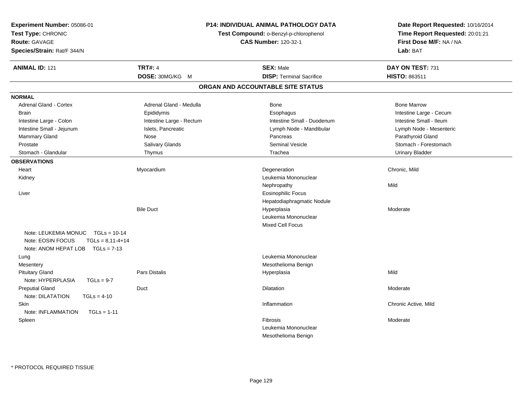| Experiment Number: 05086-01<br>Test Type: CHRONIC<br>Route: GAVAGE<br>Species/Strain: Rat/F 344/N                       | P14: INDIVIDUAL ANIMAL PATHOLOGY DATA<br>Test Compound: o-Benzyl-p-chlorophenol<br><b>CAS Number: 120-32-1</b> |                                                                | Date Report Requested: 10/16/2014<br>Time Report Requested: 20:01:21<br>First Dose M/F: NA / NA<br>Lab: BAT |
|-------------------------------------------------------------------------------------------------------------------------|----------------------------------------------------------------------------------------------------------------|----------------------------------------------------------------|-------------------------------------------------------------------------------------------------------------|
| <b>ANIMAL ID: 121</b>                                                                                                   | <b>TRT#: 4</b>                                                                                                 | <b>SEX: Male</b>                                               | DAY ON TEST: 731                                                                                            |
|                                                                                                                         | DOSE: 30MG/KG M                                                                                                | <b>DISP: Terminal Sacrifice</b>                                | HISTO: 863511                                                                                               |
|                                                                                                                         |                                                                                                                | ORGAN AND ACCOUNTABLE SITE STATUS                              |                                                                                                             |
| <b>NORMAL</b>                                                                                                           |                                                                                                                |                                                                |                                                                                                             |
| Adrenal Gland - Cortex                                                                                                  | Adrenal Gland - Medulla                                                                                        | Bone                                                           | <b>Bone Marrow</b>                                                                                          |
| <b>Brain</b>                                                                                                            | Epididymis                                                                                                     | Esophagus                                                      | Intestine Large - Cecum                                                                                     |
| Intestine Large - Colon                                                                                                 | Intestine Large - Rectum                                                                                       | Intestine Small - Duodenum                                     | Intestine Small - Ileum                                                                                     |
| Intestine Small - Jejunum                                                                                               | Islets, Pancreatic                                                                                             | Lymph Node - Mandibular                                        | Lymph Node - Mesenteric                                                                                     |
| <b>Mammary Gland</b>                                                                                                    | Nose                                                                                                           | Pancreas                                                       | Parathyroid Gland                                                                                           |
| Prostate                                                                                                                | Salivary Glands                                                                                                | <b>Seminal Vesicle</b>                                         | Stomach - Forestomach                                                                                       |
| Stomach - Glandular                                                                                                     | Thymus                                                                                                         | Trachea                                                        | <b>Urinary Bladder</b>                                                                                      |
| <b>OBSERVATIONS</b>                                                                                                     |                                                                                                                |                                                                |                                                                                                             |
| Heart                                                                                                                   | Myocardium                                                                                                     | Degeneration                                                   | Chronic, Mild                                                                                               |
| Kidney                                                                                                                  |                                                                                                                | Leukemia Mononuclear                                           |                                                                                                             |
|                                                                                                                         |                                                                                                                | Nephropathy                                                    | Mild                                                                                                        |
| Liver                                                                                                                   |                                                                                                                | <b>Eosinophilic Focus</b>                                      |                                                                                                             |
|                                                                                                                         |                                                                                                                | Hepatodiaphragmatic Nodule                                     |                                                                                                             |
|                                                                                                                         | <b>Bile Duct</b>                                                                                               | Hyperplasia                                                    | Moderate                                                                                                    |
|                                                                                                                         |                                                                                                                | Leukemia Mononuclear                                           |                                                                                                             |
|                                                                                                                         |                                                                                                                | Mixed Cell Focus                                               |                                                                                                             |
| Note: LEUKEMIA MONUC<br>$TGLs = 10-14$<br>Note: EOSIN FOCUS<br>$TGLs = 8,11-4+14$<br>Note: ANOM HEPAT LOB $TGLs = 7-13$ |                                                                                                                |                                                                |                                                                                                             |
| Lung                                                                                                                    |                                                                                                                | Leukemia Mononuclear                                           |                                                                                                             |
| Mesentery                                                                                                               |                                                                                                                | Mesothelioma Benign                                            |                                                                                                             |
| <b>Pituitary Gland</b><br>Note: HYPERPLASIA<br>$TGLs = 9-7$                                                             | Pars Distalis                                                                                                  | Hyperplasia                                                    | Mild                                                                                                        |
| <b>Preputial Gland</b><br>Note: DILATATION<br>$TGLs = 4-10$                                                             | Duct                                                                                                           | Dilatation                                                     | Moderate                                                                                                    |
| Skin<br>Note: INFLAMMATION<br>$TGLs = 1-11$                                                                             |                                                                                                                | Inflammation                                                   | Chronic Active, Mild                                                                                        |
| Spleen                                                                                                                  |                                                                                                                | <b>Fibrosis</b><br>Leukemia Mononuclear<br>Mesothelioma Benign | Moderate                                                                                                    |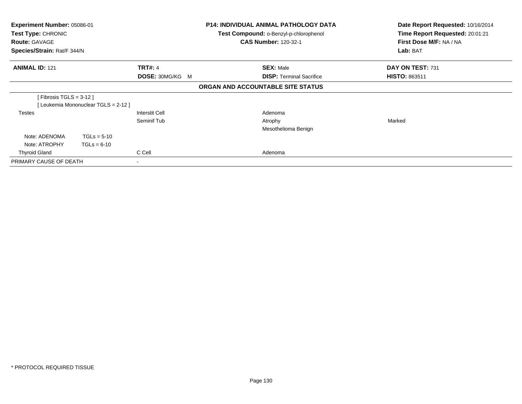| Experiment Number: 05086-01<br>Test Type: CHRONIC<br><b>Route: GAVAGE</b><br>Species/Strain: Rat/F 344/N |                                     |                                   | <b>P14: INDIVIDUAL ANIMAL PATHOLOGY DATA</b><br>Test Compound: o-Benzyl-p-chlorophenol<br><b>CAS Number: 120-32-1</b> | Date Report Requested: 10/16/2014<br>Time Report Requested: 20:01:21<br>First Dose M/F: NA / NA<br>Lab: BAT |
|----------------------------------------------------------------------------------------------------------|-------------------------------------|-----------------------------------|-----------------------------------------------------------------------------------------------------------------------|-------------------------------------------------------------------------------------------------------------|
| <b>ANIMAL ID: 121</b>                                                                                    |                                     | <b>TRT#: 4</b><br>DOSE: 30MG/KG M | <b>SEX: Male</b><br><b>DISP: Terminal Sacrifice</b>                                                                   | DAY ON TEST: 731<br><b>HISTO: 863511</b>                                                                    |
|                                                                                                          |                                     |                                   | ORGAN AND ACCOUNTABLE SITE STATUS                                                                                     |                                                                                                             |
| [ Fibrosis TGLS = 3-12 ]                                                                                 | [Leukemia Mononuclear TGLS = 2-12 ] |                                   |                                                                                                                       |                                                                                                             |
| <b>Testes</b>                                                                                            |                                     | Interstit Cell<br>Seminif Tub     | Adenoma<br>Atrophy<br>Mesothelioma Benign                                                                             | Marked                                                                                                      |
| Note: ADENOMA<br>Note: ATROPHY                                                                           | $TGLs = 5-10$<br>$TGLs = 6-10$      |                                   |                                                                                                                       |                                                                                                             |
| <b>Thyroid Gland</b><br>PRIMARY CAUSE OF DEATH                                                           |                                     | C Cell<br>۰                       | Adenoma                                                                                                               |                                                                                                             |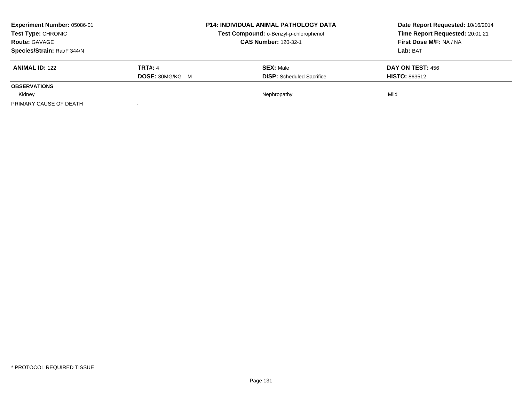| <b>Experiment Number: 05086-01</b><br><b>Test Type: CHRONIC</b> |                        | <b>P14: INDIVIDUAL ANIMAL PATHOLOGY DATA</b> | Date Report Requested: 10/16/2014 |
|-----------------------------------------------------------------|------------------------|----------------------------------------------|-----------------------------------|
|                                                                 |                        | Test Compound: o-Benzyl-p-chlorophenol       | Time Report Requested: 20:01:21   |
| <b>Route: GAVAGE</b>                                            |                        | <b>CAS Number: 120-32-1</b>                  | First Dose M/F: NA / NA           |
| Species/Strain: Rat/F 344/N                                     |                        |                                              | Lab: BAT                          |
| <b>ANIMAL ID: 122</b>                                           | <b>TRT#: 4</b>         | <b>SEX: Male</b>                             | <b>DAY ON TEST: 456</b>           |
|                                                                 | <b>DOSE: 30MG/KG M</b> | <b>DISP:</b> Scheduled Sacrifice             | <b>HISTO: 863512</b>              |
| <b>OBSERVATIONS</b>                                             |                        |                                              |                                   |
| Kidney                                                          |                        | Nephropathy                                  | Mild                              |
| PRIMARY CAUSE OF DEATH                                          |                        |                                              |                                   |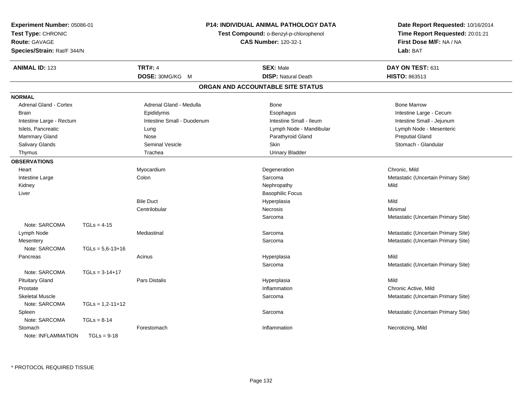| Experiment Number: 05086-01<br>Test Type: CHRONIC |                    |                                        | <b>P14: INDIVIDUAL ANIMAL PATHOLOGY DATA</b> | Date Report Requested: 10/16/2014   |
|---------------------------------------------------|--------------------|----------------------------------------|----------------------------------------------|-------------------------------------|
|                                                   |                    | Test Compound: o-Benzyl-p-chlorophenol |                                              | Time Report Requested: 20:01:21     |
| Route: GAVAGE                                     |                    |                                        | <b>CAS Number: 120-32-1</b>                  | First Dose M/F: NA / NA             |
| Species/Strain: Rat/F 344/N                       |                    |                                        |                                              | Lab: BAT                            |
| <b>ANIMAL ID: 123</b>                             |                    | <b>TRT#: 4</b>                         | <b>SEX: Male</b>                             | DAY ON TEST: 631                    |
|                                                   |                    | DOSE: 30MG/KG M                        | <b>DISP: Natural Death</b>                   | HISTO: 863513                       |
|                                                   |                    |                                        | ORGAN AND ACCOUNTABLE SITE STATUS            |                                     |
| <b>NORMAL</b>                                     |                    |                                        |                                              |                                     |
| <b>Adrenal Gland - Cortex</b>                     |                    | Adrenal Gland - Medulla                | <b>Bone</b>                                  | <b>Bone Marrow</b>                  |
| <b>Brain</b>                                      |                    | Epididymis                             | Esophagus                                    | Intestine Large - Cecum             |
| Intestine Large - Rectum                          |                    | Intestine Small - Duodenum             | Intestine Small - Ileum                      | Intestine Small - Jejunum           |
| Islets, Pancreatic                                |                    | Lung                                   | Lymph Node - Mandibular                      | Lymph Node - Mesenteric             |
| Mammary Gland                                     |                    | Nose                                   | Parathyroid Gland                            | <b>Preputial Gland</b>              |
| <b>Salivary Glands</b>                            |                    | Seminal Vesicle                        | Skin                                         | Stomach - Glandular                 |
| Thymus                                            |                    | Trachea                                | <b>Urinary Bladder</b>                       |                                     |
| <b>OBSERVATIONS</b>                               |                    |                                        |                                              |                                     |
| Heart                                             |                    | Myocardium                             | Degeneration                                 | Chronic, Mild                       |
| Intestine Large                                   |                    | Colon                                  | Sarcoma                                      | Metastatic (Uncertain Primary Site) |
| Kidney                                            |                    |                                        | Nephropathy                                  | Mild                                |
| Liver                                             |                    |                                        | <b>Basophilic Focus</b>                      |                                     |
|                                                   |                    | <b>Bile Duct</b>                       | Hyperplasia                                  | Mild                                |
|                                                   |                    | Centrilobular                          | Necrosis                                     | Minimal                             |
|                                                   |                    |                                        | Sarcoma                                      | Metastatic (Uncertain Primary Site) |
| Note: SARCOMA                                     | $TGLs = 4-15$      |                                        |                                              |                                     |
| Lymph Node                                        |                    | Mediastinal                            | Sarcoma                                      | Metastatic (Uncertain Primary Site) |
| Mesentery                                         |                    |                                        | Sarcoma                                      | Metastatic (Uncertain Primary Site) |
| Note: SARCOMA                                     | $TGLs = 5,6-13+16$ |                                        |                                              |                                     |
| Pancreas                                          |                    | Acinus                                 | Hyperplasia                                  | Mild                                |
|                                                   |                    |                                        | Sarcoma                                      | Metastatic (Uncertain Primary Site) |
| Note: SARCOMA                                     | $TGLs = 3-14+17$   |                                        |                                              |                                     |
| <b>Pituitary Gland</b>                            |                    | Pars Distalis                          | Hyperplasia                                  | Mild                                |
| Prostate                                          |                    |                                        | Inflammation                                 | Chronic Active, Mild                |
| <b>Skeletal Muscle</b>                            |                    |                                        | Sarcoma                                      | Metastatic (Uncertain Primary Site) |
| Note: SARCOMA                                     | $TGLs = 1,2-11+12$ |                                        |                                              |                                     |
| Spleen                                            |                    |                                        | Sarcoma                                      | Metastatic (Uncertain Primary Site) |
| Note: SARCOMA                                     | $TGLs = 8-14$      |                                        |                                              |                                     |
| Stomach                                           |                    | Forestomach                            | Inflammation                                 | Necrotizing, Mild                   |
| Note: INFLAMMATION                                | $TGLs = 9-18$      |                                        |                                              |                                     |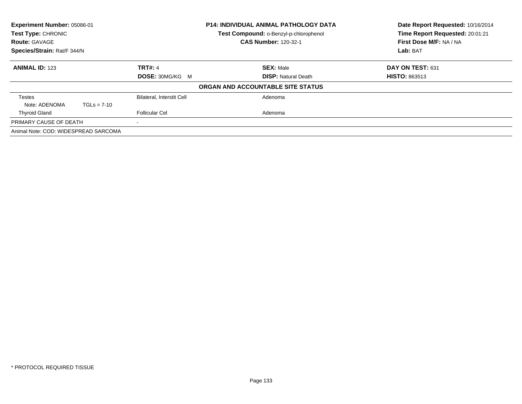| Experiment Number: 05086-01<br>Test Type: CHRONIC<br><b>Route: GAVAGE</b><br>Species/Strain: Rat/F 344/N |               |                                                           | <b>P14: INDIVIDUAL ANIMAL PATHOLOGY DATA</b><br>Test Compound: o-Benzyl-p-chlorophenol<br><b>CAS Number: 120-32-1</b> | Date Report Requested: 10/16/2014<br>Time Report Requested: 20:01:21<br>First Dose M/F: NA / NA<br>Lab: BAT |
|----------------------------------------------------------------------------------------------------------|---------------|-----------------------------------------------------------|-----------------------------------------------------------------------------------------------------------------------|-------------------------------------------------------------------------------------------------------------|
| <b>ANIMAL ID: 123</b>                                                                                    |               | <b>TRT#: 4</b><br><b>DOSE: 30MG/KG M</b>                  | <b>SEX: Male</b><br><b>DISP: Natural Death</b>                                                                        | DAY ON TEST: 631<br><b>HISTO: 863513</b>                                                                    |
|                                                                                                          |               |                                                           | ORGAN AND ACCOUNTABLE SITE STATUS                                                                                     |                                                                                                             |
| Testes<br>Note: ADENOMA<br><b>Thyroid Gland</b>                                                          | $TGLs = 7-10$ | <b>Bilateral, Interstit Cell</b><br><b>Follicular Cel</b> | Adenoma<br>Adenoma                                                                                                    |                                                                                                             |
| PRIMARY CAUSE OF DEATH                                                                                   |               |                                                           |                                                                                                                       |                                                                                                             |
| Animal Note: COD: WIDESPREAD SARCOMA                                                                     |               |                                                           |                                                                                                                       |                                                                                                             |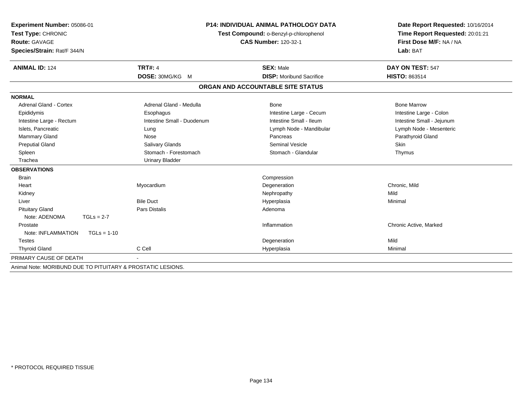| Experiment Number: 05086-01                                 |                                        | <b>P14: INDIVIDUAL ANIMAL PATHOLOGY DATA</b> | Date Report Requested: 10/16/2014 |
|-------------------------------------------------------------|----------------------------------------|----------------------------------------------|-----------------------------------|
| Test Type: CHRONIC                                          | Test Compound: o-Benzyl-p-chlorophenol | Time Report Requested: 20:01:21              |                                   |
| <b>Route: GAVAGE</b>                                        |                                        | <b>CAS Number: 120-32-1</b>                  | First Dose M/F: NA / NA           |
| Species/Strain: Rat/F 344/N                                 |                                        |                                              | Lab: BAT                          |
| <b>ANIMAL ID: 124</b>                                       | <b>TRT#: 4</b>                         | <b>SEX: Male</b>                             | DAY ON TEST: 547                  |
|                                                             | DOSE: 30MG/KG M                        | <b>DISP:</b> Moribund Sacrifice              | HISTO: 863514                     |
|                                                             |                                        | ORGAN AND ACCOUNTABLE SITE STATUS            |                                   |
| <b>NORMAL</b>                                               |                                        |                                              |                                   |
| Adrenal Gland - Cortex                                      | Adrenal Gland - Medulla                | <b>Bone</b>                                  | <b>Bone Marrow</b>                |
| Epididymis                                                  | Esophagus                              | Intestine Large - Cecum                      | Intestine Large - Colon           |
| Intestine Large - Rectum                                    | Intestine Small - Duodenum             | Intestine Small - Ileum                      | Intestine Small - Jejunum         |
| Islets, Pancreatic                                          | Lung                                   | Lymph Node - Mandibular                      | Lymph Node - Mesenteric           |
| <b>Mammary Gland</b>                                        | Nose                                   | Pancreas                                     | Parathyroid Gland                 |
| <b>Preputial Gland</b>                                      | <b>Salivary Glands</b>                 | <b>Seminal Vesicle</b>                       | Skin                              |
| Spleen                                                      | Stomach - Forestomach                  | Stomach - Glandular                          | Thymus                            |
| Trachea                                                     | <b>Urinary Bladder</b>                 |                                              |                                   |
| <b>OBSERVATIONS</b>                                         |                                        |                                              |                                   |
| <b>Brain</b>                                                |                                        | Compression                                  |                                   |
| Heart                                                       | Myocardium                             | Degeneration                                 | Chronic, Mild                     |
| Kidney                                                      |                                        | Nephropathy                                  | Mild                              |
| Liver                                                       | <b>Bile Duct</b>                       | Hyperplasia                                  | Minimal                           |
| <b>Pituitary Gland</b>                                      | Pars Distalis                          | Adenoma                                      |                                   |
| Note: ADENOMA<br>$TGLs = 2-7$                               |                                        |                                              |                                   |
| Prostate                                                    |                                        | Inflammation                                 | Chronic Active, Marked            |
| Note: INFLAMMATION<br>$TGLs = 1-10$                         |                                        |                                              |                                   |
| <b>Testes</b>                                               |                                        | Degeneration                                 | Mild                              |
| <b>Thyroid Gland</b>                                        | C Cell                                 | Hyperplasia                                  | Minimal                           |
| PRIMARY CAUSE OF DEATH                                      |                                        |                                              |                                   |
| Animal Note: MORIBUND DUE TO PITUITARY & PROSTATIC LESIONS. |                                        |                                              |                                   |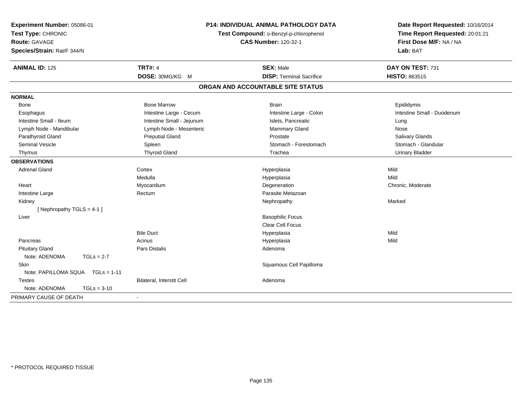| Experiment Number: 05086-01<br>Test Type: CHRONIC<br>Route: GAVAGE<br>Species/Strain: Rat/F 344/N |               |                           | <b>P14: INDIVIDUAL ANIMAL PATHOLOGY DATA</b><br>Test Compound: o-Benzyl-p-chlorophenol<br><b>CAS Number: 120-32-1</b> | Date Report Requested: 10/16/2014<br>Time Report Requested: 20:01:21<br>First Dose M/F: NA / NA<br>Lab: BAT |
|---------------------------------------------------------------------------------------------------|---------------|---------------------------|-----------------------------------------------------------------------------------------------------------------------|-------------------------------------------------------------------------------------------------------------|
| <b>ANIMAL ID: 125</b>                                                                             |               | <b>TRT#: 4</b>            | <b>SEX: Male</b>                                                                                                      | DAY ON TEST: 731                                                                                            |
|                                                                                                   |               | DOSE: 30MG/KG M           | <b>DISP: Terminal Sacrifice</b>                                                                                       | <b>HISTO: 863515</b>                                                                                        |
|                                                                                                   |               |                           | ORGAN AND ACCOUNTABLE SITE STATUS                                                                                     |                                                                                                             |
| <b>NORMAL</b>                                                                                     |               |                           |                                                                                                                       |                                                                                                             |
| Bone                                                                                              |               | <b>Bone Marrow</b>        | <b>Brain</b>                                                                                                          | Epididymis                                                                                                  |
| Esophagus                                                                                         |               | Intestine Large - Cecum   | Intestine Large - Colon                                                                                               | Intestine Small - Duodenum                                                                                  |
| Intestine Small - Ileum                                                                           |               | Intestine Small - Jejunum | Islets, Pancreatic                                                                                                    | Lung                                                                                                        |
| Lymph Node - Mandibular                                                                           |               | Lymph Node - Mesenteric   | Mammary Gland                                                                                                         | Nose                                                                                                        |
| Parathyroid Gland                                                                                 |               | <b>Preputial Gland</b>    | Prostate                                                                                                              | Salivary Glands                                                                                             |
| <b>Seminal Vesicle</b>                                                                            |               | Spleen                    | Stomach - Forestomach                                                                                                 | Stomach - Glandular                                                                                         |
| Thymus                                                                                            |               | <b>Thyroid Gland</b>      | Trachea                                                                                                               | Urinary Bladder                                                                                             |
| <b>OBSERVATIONS</b>                                                                               |               |                           |                                                                                                                       |                                                                                                             |
| <b>Adrenal Gland</b>                                                                              |               | Cortex                    | Hyperplasia                                                                                                           | Mild                                                                                                        |
|                                                                                                   |               | Medulla                   | Hyperplasia                                                                                                           | Mild                                                                                                        |
| Heart                                                                                             |               | Myocardium                | Degeneration                                                                                                          | Chronic, Moderate                                                                                           |
| Intestine Large                                                                                   |               | Rectum                    | Parasite Metazoan                                                                                                     |                                                                                                             |
| Kidney                                                                                            |               |                           | Nephropathy                                                                                                           | Marked                                                                                                      |
| [ Nephropathy TGLS = $4-1$ ]                                                                      |               |                           |                                                                                                                       |                                                                                                             |
| Liver                                                                                             |               |                           | <b>Basophilic Focus</b>                                                                                               |                                                                                                             |
|                                                                                                   |               |                           | <b>Clear Cell Focus</b>                                                                                               |                                                                                                             |
|                                                                                                   |               | <b>Bile Duct</b>          | Hyperplasia                                                                                                           | Mild                                                                                                        |
| Pancreas                                                                                          |               | Acinus                    | Hyperplasia                                                                                                           | Mild                                                                                                        |
| <b>Pituitary Gland</b>                                                                            |               | <b>Pars Distalis</b>      | Adenoma                                                                                                               |                                                                                                             |
| Note: ADENOMA                                                                                     | $TGLs = 2-7$  |                           |                                                                                                                       |                                                                                                             |
| Skin                                                                                              |               |                           | Squamous Cell Papilloma                                                                                               |                                                                                                             |
| Note: PAPILLOMA SQUA TGLs = 1-11                                                                  |               |                           |                                                                                                                       |                                                                                                             |
| <b>Testes</b>                                                                                     |               | Bilateral, Interstit Cell | Adenoma                                                                                                               |                                                                                                             |
| Note: ADENOMA                                                                                     | $TGLs = 3-10$ |                           |                                                                                                                       |                                                                                                             |
| PRIMARY CAUSE OF DEATH                                                                            |               |                           |                                                                                                                       |                                                                                                             |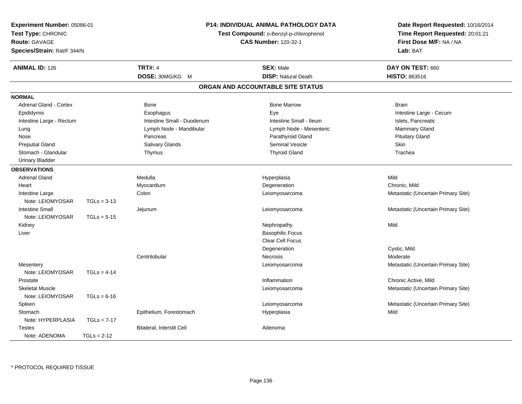| Experiment Number: 05086-01                                               |               |                                                                       | <b>P14: INDIVIDUAL ANIMAL PATHOLOGY DATA</b> | Date Report Requested: 10/16/2014   |
|---------------------------------------------------------------------------|---------------|-----------------------------------------------------------------------|----------------------------------------------|-------------------------------------|
| Test Type: CHRONIC<br><b>Route: GAVAGE</b><br>Species/Strain: Rat/F 344/N |               |                                                                       | Time Report Requested: 20:01:21              |                                     |
|                                                                           |               | Test Compound: o-Benzyl-p-chlorophenol<br><b>CAS Number: 120-32-1</b> |                                              | First Dose M/F: NA / NA             |
|                                                                           |               |                                                                       |                                              | Lab: BAT                            |
| <b>ANIMAL ID: 126</b>                                                     |               | <b>TRT#: 4</b>                                                        | <b>SEX: Male</b>                             | DAY ON TEST: 660                    |
|                                                                           |               | DOSE: 30MG/KG M                                                       | <b>DISP: Natural Death</b>                   | HISTO: 863516                       |
|                                                                           |               |                                                                       | ORGAN AND ACCOUNTABLE SITE STATUS            |                                     |
| <b>NORMAL</b>                                                             |               |                                                                       |                                              |                                     |
| <b>Adrenal Gland - Cortex</b>                                             |               | Bone                                                                  | <b>Bone Marrow</b>                           | <b>Brain</b>                        |
| Epididymis                                                                |               | Esophagus                                                             | Eye                                          | Intestine Large - Cecum             |
| Intestine Large - Rectum                                                  |               | Intestine Small - Duodenum                                            | Intestine Small - Ileum                      | Islets, Pancreatic                  |
| Lung                                                                      |               | Lymph Node - Mandibular                                               | Lymph Node - Mesenteric                      | Mammary Gland                       |
| Nose                                                                      |               | Pancreas                                                              | Parathyroid Gland                            | <b>Pituitary Gland</b>              |
| <b>Preputial Gland</b>                                                    |               | Salivary Glands                                                       | Seminal Vesicle                              | Skin                                |
| Stomach - Glandular                                                       |               | Thymus                                                                | <b>Thyroid Gland</b>                         | Trachea                             |
| <b>Urinary Bladder</b>                                                    |               |                                                                       |                                              |                                     |
| <b>OBSERVATIONS</b>                                                       |               |                                                                       |                                              |                                     |
| <b>Adrenal Gland</b>                                                      |               | Medulla                                                               | Hyperplasia                                  | Mild                                |
| Heart                                                                     |               | Myocardium                                                            | Degeneration                                 | Chronic, Mild                       |
| Intestine Large                                                           |               | Colon                                                                 | Leiomyosarcoma                               | Metastatic (Uncertain Primary Site) |
| Note: LEIOMYOSAR                                                          | $TGLs = 3-13$ |                                                                       |                                              |                                     |
| <b>Intestine Small</b>                                                    |               | Jejunum                                                               | Leiomyosarcoma                               | Metastatic (Uncertain Primary Site) |
| Note: LEIOMYOSAR                                                          | $TGLs = 5-15$ |                                                                       |                                              |                                     |
| Kidney                                                                    |               |                                                                       | Nephropathy                                  | Mild                                |
| Liver                                                                     |               |                                                                       | <b>Basophilic Focus</b>                      |                                     |
|                                                                           |               |                                                                       | Clear Cell Focus                             |                                     |
|                                                                           |               |                                                                       | Degeneration                                 | Cystic, Mild                        |
|                                                                           |               | Centrilobular                                                         | Necrosis                                     | Moderate                            |
| Mesentery                                                                 |               |                                                                       | Leiomyosarcoma                               | Metastatic (Uncertain Primary Site) |
| Note: LEIOMYOSAR                                                          | $TGLs = 4-14$ |                                                                       |                                              |                                     |
| Prostate                                                                  |               |                                                                       | Inflammation                                 | Chronic Active, Mild                |
| <b>Skeletal Muscle</b>                                                    |               |                                                                       | Leiomyosarcoma                               | Metastatic (Uncertain Primary Site) |
| Note: LEIOMYOSAR                                                          | $TGLs = 6-16$ |                                                                       |                                              |                                     |
| Spleen                                                                    |               |                                                                       | Leiomyosarcoma                               | Metastatic (Uncertain Primary Site) |
| Stomach                                                                   |               | Epithelium, Forestomach                                               | Hyperplasia                                  | Mild                                |
| Note: HYPERPLASIA                                                         | $TGLs = 7-17$ |                                                                       |                                              |                                     |
| Testes                                                                    |               | <b>Bilateral, Interstit Cell</b>                                      | Adenoma                                      |                                     |
| Note: ADENOMA                                                             | $TGLs = 2-12$ |                                                                       |                                              |                                     |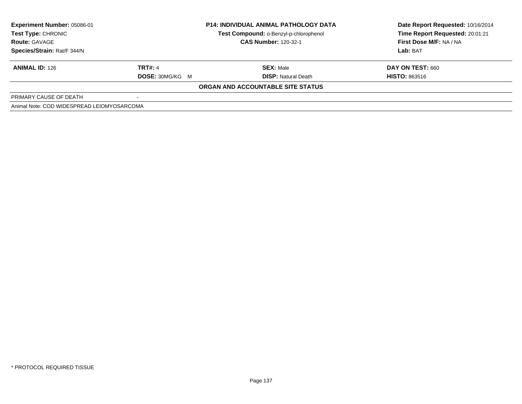| <b>Experiment Number: 05086-01</b><br>Test Type: CHRONIC |                        | <b>P14: INDIVIDUAL ANIMAL PATHOLOGY DATA</b><br>Test Compound: o-Benzyl-p-chlorophenol | Date Report Requested: 10/16/2014<br>Time Report Requested: 20:01:21 |
|----------------------------------------------------------|------------------------|----------------------------------------------------------------------------------------|----------------------------------------------------------------------|
| <b>Route: GAVAGE</b>                                     |                        | <b>CAS Number: 120-32-1</b>                                                            | First Dose M/F: NA / NA                                              |
| Species/Strain: Rat/F 344/N                              |                        |                                                                                        | Lab: BAT                                                             |
| <b>ANIMAL ID: 126</b>                                    | TRT#: 4                | <b>SEX: Male</b>                                                                       | DAY ON TEST: 660                                                     |
|                                                          | <b>DOSE: 30MG/KG M</b> | <b>DISP:</b> Natural Death                                                             | <b>HISTO: 863516</b>                                                 |
|                                                          |                        | ORGAN AND ACCOUNTABLE SITE STATUS                                                      |                                                                      |
| PRIMARY CAUSE OF DEATH                                   |                        |                                                                                        |                                                                      |
| Animal Note: COD WIDESPREAD LEIOMYOSARCOMA               |                        |                                                                                        |                                                                      |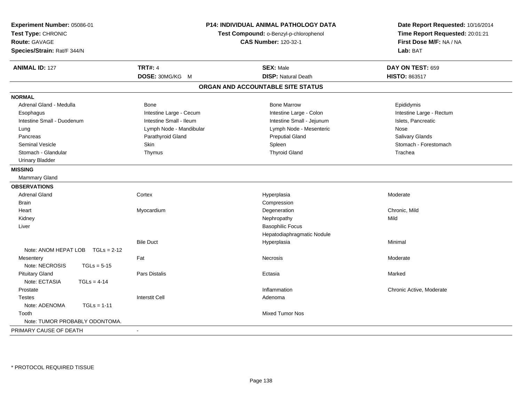| <b>TRT#: 4</b><br><b>SEX: Male</b><br>DAY ON TEST: 659<br><b>ANIMAL ID: 127</b><br>DOSE: 30MG/KG M<br><b>DISP: Natural Death</b><br>HISTO: 863517<br>ORGAN AND ACCOUNTABLE SITE STATUS<br><b>NORMAL</b><br>Adrenal Gland - Medulla<br>Bone<br><b>Bone Marrow</b><br>Epididymis<br>Intestine Large - Cecum<br>Intestine Large - Colon<br>Intestine Large - Rectum<br>Esophagus<br>Intestine Small - Ileum<br>Intestine Small - Jejunum<br>Islets, Pancreatic<br>Intestine Small - Duodenum<br>Lymph Node - Mandibular<br>Lymph Node - Mesenteric<br>Nose<br>Lung<br>Parathyroid Gland<br><b>Preputial Gland</b><br>Salivary Glands<br>Pancreas<br>Skin<br><b>Seminal Vesicle</b><br>Spleen<br>Stomach - Forestomach<br><b>Thyroid Gland</b><br>Stomach - Glandular<br>Thymus<br>Trachea<br><b>Urinary Bladder</b><br><b>MISSING</b><br>Mammary Gland<br><b>OBSERVATIONS</b><br><b>Adrenal Gland</b><br>Cortex<br>Hyperplasia<br>Moderate<br>Compression<br><b>Brain</b><br>Myocardium<br>Degeneration<br>Chronic, Mild<br>Heart<br>Mild<br>Kidney<br>Nephropathy<br>Liver<br><b>Basophilic Focus</b><br>Hepatodiaphragmatic Nodule<br><b>Bile Duct</b><br>Minimal<br>Hyperplasia<br>Note: ANOM HEPAT LOB<br>$TGLs = 2-12$<br>Fat<br>Moderate<br>Mesentery<br>Necrosis<br>Note: NECROSIS<br>$TGLs = 5-15$<br><b>Pituitary Gland</b><br><b>Pars Distalis</b><br>Marked<br>Ectasia<br>Note: ECTASIA<br>$TGLs = 4-14$<br>Prostate<br>Inflammation<br>Chronic Active, Moderate<br><b>Interstit Cell</b><br>Adenoma<br><b>Testes</b><br>Note: ADENOMA<br>$TGLs = 1-11$<br><b>Mixed Tumor Nos</b><br>Tooth<br>Note: TUMOR PROBABLY ODONTOMA.<br>PRIMARY CAUSE OF DEATH<br>$\sim$ | Experiment Number: 05086-01<br>Test Type: CHRONIC<br><b>Route: GAVAGE</b><br>Species/Strain: Rat/F 344/N | P14: INDIVIDUAL ANIMAL PATHOLOGY DATA<br>Test Compound: o-Benzyl-p-chlorophenol<br><b>CAS Number: 120-32-1</b> | Date Report Requested: 10/16/2014<br>Time Report Requested: 20:01:21<br>First Dose M/F: NA / NA<br>Lab: BAT |
|--------------------------------------------------------------------------------------------------------------------------------------------------------------------------------------------------------------------------------------------------------------------------------------------------------------------------------------------------------------------------------------------------------------------------------------------------------------------------------------------------------------------------------------------------------------------------------------------------------------------------------------------------------------------------------------------------------------------------------------------------------------------------------------------------------------------------------------------------------------------------------------------------------------------------------------------------------------------------------------------------------------------------------------------------------------------------------------------------------------------------------------------------------------------------------------------------------------------------------------------------------------------------------------------------------------------------------------------------------------------------------------------------------------------------------------------------------------------------------------------------------------------------------------------------------------------------------------------------------------------------------------------------------------------------|----------------------------------------------------------------------------------------------------------|----------------------------------------------------------------------------------------------------------------|-------------------------------------------------------------------------------------------------------------|
|                                                                                                                                                                                                                                                                                                                                                                                                                                                                                                                                                                                                                                                                                                                                                                                                                                                                                                                                                                                                                                                                                                                                                                                                                                                                                                                                                                                                                                                                                                                                                                                                                                                                          |                                                                                                          |                                                                                                                |                                                                                                             |
|                                                                                                                                                                                                                                                                                                                                                                                                                                                                                                                                                                                                                                                                                                                                                                                                                                                                                                                                                                                                                                                                                                                                                                                                                                                                                                                                                                                                                                                                                                                                                                                                                                                                          |                                                                                                          |                                                                                                                |                                                                                                             |
|                                                                                                                                                                                                                                                                                                                                                                                                                                                                                                                                                                                                                                                                                                                                                                                                                                                                                                                                                                                                                                                                                                                                                                                                                                                                                                                                                                                                                                                                                                                                                                                                                                                                          |                                                                                                          |                                                                                                                |                                                                                                             |
|                                                                                                                                                                                                                                                                                                                                                                                                                                                                                                                                                                                                                                                                                                                                                                                                                                                                                                                                                                                                                                                                                                                                                                                                                                                                                                                                                                                                                                                                                                                                                                                                                                                                          |                                                                                                          |                                                                                                                |                                                                                                             |
|                                                                                                                                                                                                                                                                                                                                                                                                                                                                                                                                                                                                                                                                                                                                                                                                                                                                                                                                                                                                                                                                                                                                                                                                                                                                                                                                                                                                                                                                                                                                                                                                                                                                          |                                                                                                          |                                                                                                                |                                                                                                             |
|                                                                                                                                                                                                                                                                                                                                                                                                                                                                                                                                                                                                                                                                                                                                                                                                                                                                                                                                                                                                                                                                                                                                                                                                                                                                                                                                                                                                                                                                                                                                                                                                                                                                          |                                                                                                          |                                                                                                                |                                                                                                             |
|                                                                                                                                                                                                                                                                                                                                                                                                                                                                                                                                                                                                                                                                                                                                                                                                                                                                                                                                                                                                                                                                                                                                                                                                                                                                                                                                                                                                                                                                                                                                                                                                                                                                          |                                                                                                          |                                                                                                                |                                                                                                             |
|                                                                                                                                                                                                                                                                                                                                                                                                                                                                                                                                                                                                                                                                                                                                                                                                                                                                                                                                                                                                                                                                                                                                                                                                                                                                                                                                                                                                                                                                                                                                                                                                                                                                          |                                                                                                          |                                                                                                                |                                                                                                             |
|                                                                                                                                                                                                                                                                                                                                                                                                                                                                                                                                                                                                                                                                                                                                                                                                                                                                                                                                                                                                                                                                                                                                                                                                                                                                                                                                                                                                                                                                                                                                                                                                                                                                          |                                                                                                          |                                                                                                                |                                                                                                             |
|                                                                                                                                                                                                                                                                                                                                                                                                                                                                                                                                                                                                                                                                                                                                                                                                                                                                                                                                                                                                                                                                                                                                                                                                                                                                                                                                                                                                                                                                                                                                                                                                                                                                          |                                                                                                          |                                                                                                                |                                                                                                             |
|                                                                                                                                                                                                                                                                                                                                                                                                                                                                                                                                                                                                                                                                                                                                                                                                                                                                                                                                                                                                                                                                                                                                                                                                                                                                                                                                                                                                                                                                                                                                                                                                                                                                          |                                                                                                          |                                                                                                                |                                                                                                             |
|                                                                                                                                                                                                                                                                                                                                                                                                                                                                                                                                                                                                                                                                                                                                                                                                                                                                                                                                                                                                                                                                                                                                                                                                                                                                                                                                                                                                                                                                                                                                                                                                                                                                          |                                                                                                          |                                                                                                                |                                                                                                             |
|                                                                                                                                                                                                                                                                                                                                                                                                                                                                                                                                                                                                                                                                                                                                                                                                                                                                                                                                                                                                                                                                                                                                                                                                                                                                                                                                                                                                                                                                                                                                                                                                                                                                          |                                                                                                          |                                                                                                                |                                                                                                             |
|                                                                                                                                                                                                                                                                                                                                                                                                                                                                                                                                                                                                                                                                                                                                                                                                                                                                                                                                                                                                                                                                                                                                                                                                                                                                                                                                                                                                                                                                                                                                                                                                                                                                          |                                                                                                          |                                                                                                                |                                                                                                             |
|                                                                                                                                                                                                                                                                                                                                                                                                                                                                                                                                                                                                                                                                                                                                                                                                                                                                                                                                                                                                                                                                                                                                                                                                                                                                                                                                                                                                                                                                                                                                                                                                                                                                          |                                                                                                          |                                                                                                                |                                                                                                             |
|                                                                                                                                                                                                                                                                                                                                                                                                                                                                                                                                                                                                                                                                                                                                                                                                                                                                                                                                                                                                                                                                                                                                                                                                                                                                                                                                                                                                                                                                                                                                                                                                                                                                          |                                                                                                          |                                                                                                                |                                                                                                             |
|                                                                                                                                                                                                                                                                                                                                                                                                                                                                                                                                                                                                                                                                                                                                                                                                                                                                                                                                                                                                                                                                                                                                                                                                                                                                                                                                                                                                                                                                                                                                                                                                                                                                          |                                                                                                          |                                                                                                                |                                                                                                             |
|                                                                                                                                                                                                                                                                                                                                                                                                                                                                                                                                                                                                                                                                                                                                                                                                                                                                                                                                                                                                                                                                                                                                                                                                                                                                                                                                                                                                                                                                                                                                                                                                                                                                          |                                                                                                          |                                                                                                                |                                                                                                             |
|                                                                                                                                                                                                                                                                                                                                                                                                                                                                                                                                                                                                                                                                                                                                                                                                                                                                                                                                                                                                                                                                                                                                                                                                                                                                                                                                                                                                                                                                                                                                                                                                                                                                          |                                                                                                          |                                                                                                                |                                                                                                             |
|                                                                                                                                                                                                                                                                                                                                                                                                                                                                                                                                                                                                                                                                                                                                                                                                                                                                                                                                                                                                                                                                                                                                                                                                                                                                                                                                                                                                                                                                                                                                                                                                                                                                          |                                                                                                          |                                                                                                                |                                                                                                             |
|                                                                                                                                                                                                                                                                                                                                                                                                                                                                                                                                                                                                                                                                                                                                                                                                                                                                                                                                                                                                                                                                                                                                                                                                                                                                                                                                                                                                                                                                                                                                                                                                                                                                          |                                                                                                          |                                                                                                                |                                                                                                             |
|                                                                                                                                                                                                                                                                                                                                                                                                                                                                                                                                                                                                                                                                                                                                                                                                                                                                                                                                                                                                                                                                                                                                                                                                                                                                                                                                                                                                                                                                                                                                                                                                                                                                          |                                                                                                          |                                                                                                                |                                                                                                             |
|                                                                                                                                                                                                                                                                                                                                                                                                                                                                                                                                                                                                                                                                                                                                                                                                                                                                                                                                                                                                                                                                                                                                                                                                                                                                                                                                                                                                                                                                                                                                                                                                                                                                          |                                                                                                          |                                                                                                                |                                                                                                             |
|                                                                                                                                                                                                                                                                                                                                                                                                                                                                                                                                                                                                                                                                                                                                                                                                                                                                                                                                                                                                                                                                                                                                                                                                                                                                                                                                                                                                                                                                                                                                                                                                                                                                          |                                                                                                          |                                                                                                                |                                                                                                             |
|                                                                                                                                                                                                                                                                                                                                                                                                                                                                                                                                                                                                                                                                                                                                                                                                                                                                                                                                                                                                                                                                                                                                                                                                                                                                                                                                                                                                                                                                                                                                                                                                                                                                          |                                                                                                          |                                                                                                                |                                                                                                             |
|                                                                                                                                                                                                                                                                                                                                                                                                                                                                                                                                                                                                                                                                                                                                                                                                                                                                                                                                                                                                                                                                                                                                                                                                                                                                                                                                                                                                                                                                                                                                                                                                                                                                          |                                                                                                          |                                                                                                                |                                                                                                             |
|                                                                                                                                                                                                                                                                                                                                                                                                                                                                                                                                                                                                                                                                                                                                                                                                                                                                                                                                                                                                                                                                                                                                                                                                                                                                                                                                                                                                                                                                                                                                                                                                                                                                          |                                                                                                          |                                                                                                                |                                                                                                             |
|                                                                                                                                                                                                                                                                                                                                                                                                                                                                                                                                                                                                                                                                                                                                                                                                                                                                                                                                                                                                                                                                                                                                                                                                                                                                                                                                                                                                                                                                                                                                                                                                                                                                          |                                                                                                          |                                                                                                                |                                                                                                             |
|                                                                                                                                                                                                                                                                                                                                                                                                                                                                                                                                                                                                                                                                                                                                                                                                                                                                                                                                                                                                                                                                                                                                                                                                                                                                                                                                                                                                                                                                                                                                                                                                                                                                          |                                                                                                          |                                                                                                                |                                                                                                             |
|                                                                                                                                                                                                                                                                                                                                                                                                                                                                                                                                                                                                                                                                                                                                                                                                                                                                                                                                                                                                                                                                                                                                                                                                                                                                                                                                                                                                                                                                                                                                                                                                                                                                          |                                                                                                          |                                                                                                                |                                                                                                             |
|                                                                                                                                                                                                                                                                                                                                                                                                                                                                                                                                                                                                                                                                                                                                                                                                                                                                                                                                                                                                                                                                                                                                                                                                                                                                                                                                                                                                                                                                                                                                                                                                                                                                          |                                                                                                          |                                                                                                                |                                                                                                             |
|                                                                                                                                                                                                                                                                                                                                                                                                                                                                                                                                                                                                                                                                                                                                                                                                                                                                                                                                                                                                                                                                                                                                                                                                                                                                                                                                                                                                                                                                                                                                                                                                                                                                          |                                                                                                          |                                                                                                                |                                                                                                             |
|                                                                                                                                                                                                                                                                                                                                                                                                                                                                                                                                                                                                                                                                                                                                                                                                                                                                                                                                                                                                                                                                                                                                                                                                                                                                                                                                                                                                                                                                                                                                                                                                                                                                          |                                                                                                          |                                                                                                                |                                                                                                             |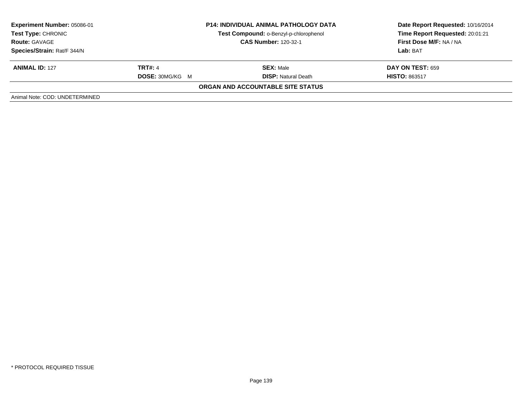| <b>Experiment Number: 05086-01</b><br>Test Type: CHRONIC<br><b>Route: GAVAGE</b><br>Species/Strain: Rat/F 344/N |                                          | <b>P14: INDIVIDUAL ANIMAL PATHOLOGY DATA</b><br>Test Compound: o-Benzyl-p-chlorophenol<br><b>CAS Number: 120-32-1</b> | Date Report Requested: 10/16/2014<br>Time Report Requested: 20:01:21<br>First Dose M/F: NA / NA<br><b>Lab: BAT</b> |
|-----------------------------------------------------------------------------------------------------------------|------------------------------------------|-----------------------------------------------------------------------------------------------------------------------|--------------------------------------------------------------------------------------------------------------------|
| <b>ANIMAL ID: 127</b>                                                                                           | <b>TRT#: 4</b><br><b>DOSE: 30MG/KG M</b> | <b>SEX: Male</b><br><b>DISP:</b> Natural Death                                                                        | <b>DAY ON TEST: 659</b><br><b>HISTO: 863517</b>                                                                    |
|                                                                                                                 |                                          | <b>ORGAN AND ACCOUNTABLE SITE STATUS</b>                                                                              |                                                                                                                    |
| Animal Note: COD: UNDETERMINED                                                                                  |                                          |                                                                                                                       |                                                                                                                    |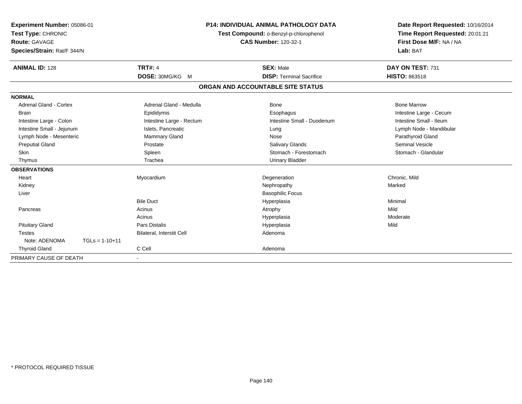| Experiment Number: 05086-01<br>Test Type: CHRONIC<br><b>Route: GAVAGE</b><br>Species/Strain: Rat/F 344/N |                  | <b>P14: INDIVIDUAL ANIMAL PATHOLOGY DATA</b><br>Test Compound: o-Benzyl-p-chlorophenol<br><b>CAS Number: 120-32-1</b> |  | Date Report Requested: 10/16/2014<br>Time Report Requested: 20:01:21<br>First Dose M/F: NA / NA<br>Lab: BAT |                         |
|----------------------------------------------------------------------------------------------------------|------------------|-----------------------------------------------------------------------------------------------------------------------|--|-------------------------------------------------------------------------------------------------------------|-------------------------|
| <b>ANIMAL ID: 128</b>                                                                                    |                  | <b>TRT#: 4</b>                                                                                                        |  | <b>SEX: Male</b>                                                                                            | DAY ON TEST: 731        |
|                                                                                                          |                  | DOSE: 30MG/KG M                                                                                                       |  | <b>DISP: Terminal Sacrifice</b>                                                                             | HISTO: 863518           |
|                                                                                                          |                  |                                                                                                                       |  | ORGAN AND ACCOUNTABLE SITE STATUS                                                                           |                         |
| <b>NORMAL</b>                                                                                            |                  |                                                                                                                       |  |                                                                                                             |                         |
| <b>Adrenal Gland - Cortex</b>                                                                            |                  | Adrenal Gland - Medulla                                                                                               |  | Bone                                                                                                        | <b>Bone Marrow</b>      |
| <b>Brain</b>                                                                                             |                  | Epididymis                                                                                                            |  | Esophagus                                                                                                   | Intestine Large - Cecum |
| Intestine Large - Colon                                                                                  |                  | Intestine Large - Rectum                                                                                              |  | Intestine Small - Duodenum                                                                                  | Intestine Small - Ileum |
| Intestine Small - Jejunum                                                                                |                  | Islets, Pancreatic                                                                                                    |  | Lung                                                                                                        | Lymph Node - Mandibular |
| Lymph Node - Mesenteric                                                                                  |                  | <b>Mammary Gland</b>                                                                                                  |  | Nose                                                                                                        | Parathyroid Gland       |
| <b>Preputial Gland</b>                                                                                   |                  | Prostate                                                                                                              |  | <b>Salivary Glands</b>                                                                                      | <b>Seminal Vesicle</b>  |
| Skin                                                                                                     |                  | Spleen                                                                                                                |  | Stomach - Forestomach                                                                                       | Stomach - Glandular     |
| Thymus                                                                                                   |                  | Trachea                                                                                                               |  | <b>Urinary Bladder</b>                                                                                      |                         |
| <b>OBSERVATIONS</b>                                                                                      |                  |                                                                                                                       |  |                                                                                                             |                         |
| Heart                                                                                                    |                  | Myocardium                                                                                                            |  | Degeneration                                                                                                | Chronic, Mild           |
| Kidney                                                                                                   |                  |                                                                                                                       |  | Nephropathy                                                                                                 | Marked                  |
| Liver                                                                                                    |                  |                                                                                                                       |  | <b>Basophilic Focus</b>                                                                                     |                         |
|                                                                                                          |                  | <b>Bile Duct</b>                                                                                                      |  | Hyperplasia                                                                                                 | Minimal                 |
| Pancreas                                                                                                 |                  | Acinus                                                                                                                |  | Atrophy                                                                                                     | Mild                    |
|                                                                                                          |                  | Acinus                                                                                                                |  | Hyperplasia                                                                                                 | Moderate                |
| <b>Pituitary Gland</b>                                                                                   |                  | <b>Pars Distalis</b>                                                                                                  |  | Hyperplasia                                                                                                 | Mild                    |
| <b>Testes</b>                                                                                            |                  | Bilateral, Interstit Cell                                                                                             |  | Adenoma                                                                                                     |                         |
| Note: ADENOMA                                                                                            | $TGLs = 1-10+11$ |                                                                                                                       |  |                                                                                                             |                         |
| <b>Thyroid Gland</b>                                                                                     |                  | C Cell                                                                                                                |  | Adenoma                                                                                                     |                         |
| PRIMARY CAUSE OF DEATH                                                                                   |                  |                                                                                                                       |  |                                                                                                             |                         |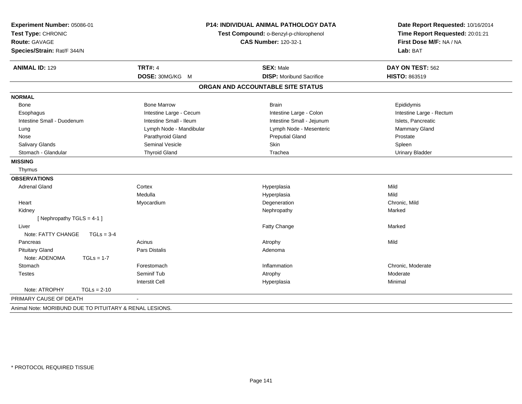| Experiment Number: 05086-01<br>Test Type: CHRONIC<br><b>Route: GAVAGE</b><br>Species/Strain: Rat/F 344/N |               | P14: INDIVIDUAL ANIMAL PATHOLOGY DATA<br>Test Compound: o-Benzyl-p-chlorophenol<br><b>CAS Number: 120-32-1</b> |                                   | Date Report Requested: 10/16/2014<br>Time Report Requested: 20:01:21<br>First Dose M/F: NA / NA<br>Lab: BAT |  |
|----------------------------------------------------------------------------------------------------------|---------------|----------------------------------------------------------------------------------------------------------------|-----------------------------------|-------------------------------------------------------------------------------------------------------------|--|
| <b>ANIMAL ID: 129</b>                                                                                    |               | <b>TRT#: 4</b>                                                                                                 | <b>SEX: Male</b>                  | DAY ON TEST: 562                                                                                            |  |
|                                                                                                          |               | DOSE: 30MG/KG M                                                                                                | <b>DISP:</b> Moribund Sacrifice   | HISTO: 863519                                                                                               |  |
|                                                                                                          |               |                                                                                                                | ORGAN AND ACCOUNTABLE SITE STATUS |                                                                                                             |  |
| <b>NORMAL</b>                                                                                            |               |                                                                                                                |                                   |                                                                                                             |  |
| Bone                                                                                                     |               | <b>Bone Marrow</b>                                                                                             | <b>Brain</b>                      | Epididymis                                                                                                  |  |
| Esophagus                                                                                                |               | Intestine Large - Cecum                                                                                        | Intestine Large - Colon           | Intestine Large - Rectum                                                                                    |  |
| Intestine Small - Duodenum                                                                               |               | Intestine Small - Ileum                                                                                        | Intestine Small - Jejunum         | Islets, Pancreatic                                                                                          |  |
| Lung                                                                                                     |               | Lymph Node - Mandibular                                                                                        | Lymph Node - Mesenteric           | Mammary Gland                                                                                               |  |
| Nose                                                                                                     |               | Parathyroid Gland                                                                                              | <b>Preputial Gland</b>            | Prostate                                                                                                    |  |
| Salivary Glands                                                                                          |               | <b>Seminal Vesicle</b>                                                                                         | Skin                              | Spleen                                                                                                      |  |
| Stomach - Glandular                                                                                      |               | <b>Thyroid Gland</b>                                                                                           | Trachea                           | <b>Urinary Bladder</b>                                                                                      |  |
| <b>MISSING</b>                                                                                           |               |                                                                                                                |                                   |                                                                                                             |  |
| Thymus                                                                                                   |               |                                                                                                                |                                   |                                                                                                             |  |
| <b>OBSERVATIONS</b>                                                                                      |               |                                                                                                                |                                   |                                                                                                             |  |
| <b>Adrenal Gland</b>                                                                                     |               | Cortex                                                                                                         | Hyperplasia                       | Mild                                                                                                        |  |
|                                                                                                          |               | Medulla                                                                                                        | Hyperplasia                       | Mild                                                                                                        |  |
| Heart                                                                                                    |               | Myocardium                                                                                                     | Degeneration                      | Chronic, Mild                                                                                               |  |
| Kidney                                                                                                   |               |                                                                                                                | Nephropathy                       | Marked                                                                                                      |  |
| [Nephropathy TGLS = 4-1]                                                                                 |               |                                                                                                                |                                   |                                                                                                             |  |
| Liver                                                                                                    |               |                                                                                                                | Fatty Change                      | Marked                                                                                                      |  |
| Note: FATTY CHANGE                                                                                       | $TGLs = 3-4$  |                                                                                                                |                                   |                                                                                                             |  |
| Pancreas                                                                                                 |               | Acinus                                                                                                         | Atrophy                           | Mild                                                                                                        |  |
| <b>Pituitary Gland</b>                                                                                   |               | Pars Distalis                                                                                                  | Adenoma                           |                                                                                                             |  |
| Note: ADENOMA                                                                                            | $TGLs = 1-7$  |                                                                                                                |                                   |                                                                                                             |  |
| Stomach                                                                                                  |               | Forestomach                                                                                                    | Inflammation                      | Chronic, Moderate                                                                                           |  |
| <b>Testes</b>                                                                                            |               | Seminif Tub                                                                                                    | Atrophy                           | Moderate                                                                                                    |  |
|                                                                                                          |               | <b>Interstit Cell</b>                                                                                          | Hyperplasia                       | Minimal                                                                                                     |  |
| Note: ATROPHY                                                                                            | $TGLs = 2-10$ |                                                                                                                |                                   |                                                                                                             |  |
| PRIMARY CAUSE OF DEATH                                                                                   |               |                                                                                                                |                                   |                                                                                                             |  |
| Animal Note: MORIBUND DUE TO PITUITARY & RENAL LESIONS.                                                  |               |                                                                                                                |                                   |                                                                                                             |  |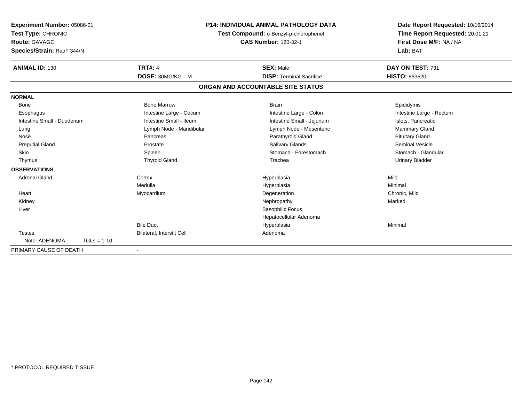| Experiment Number: 05086-01<br>Test Type: CHRONIC<br><b>Route: GAVAGE</b><br>Species/Strain: Rat/F 344/N |                                  | <b>P14: INDIVIDUAL ANIMAL PATHOLOGY DATA</b><br>Test Compound: o-Benzyl-p-chlorophenol<br><b>CAS Number: 120-32-1</b> | Date Report Requested: 10/16/2014<br>Time Report Requested: 20:01:21<br>First Dose M/F: NA / NA<br>Lab: BAT |
|----------------------------------------------------------------------------------------------------------|----------------------------------|-----------------------------------------------------------------------------------------------------------------------|-------------------------------------------------------------------------------------------------------------|
| <b>ANIMAL ID: 130</b>                                                                                    | <b>TRT#: 4</b>                   | <b>SEX: Male</b>                                                                                                      | DAY ON TEST: 731                                                                                            |
|                                                                                                          | DOSE: 30MG/KG M                  | <b>DISP: Terminal Sacrifice</b>                                                                                       | <b>HISTO: 863520</b>                                                                                        |
|                                                                                                          |                                  | ORGAN AND ACCOUNTABLE SITE STATUS                                                                                     |                                                                                                             |
| <b>NORMAL</b>                                                                                            |                                  |                                                                                                                       |                                                                                                             |
| Bone                                                                                                     | <b>Bone Marrow</b>               | <b>Brain</b>                                                                                                          | Epididymis                                                                                                  |
| Esophagus                                                                                                | Intestine Large - Cecum          | Intestine Large - Colon                                                                                               | Intestine Large - Rectum                                                                                    |
| Intestine Small - Duodenum                                                                               | Intestine Small - Ileum          | Intestine Small - Jejunum                                                                                             | Islets, Pancreatic                                                                                          |
| Lung                                                                                                     | Lymph Node - Mandibular          | Lymph Node - Mesenteric                                                                                               | <b>Mammary Gland</b>                                                                                        |
| Nose                                                                                                     | Pancreas                         | Parathyroid Gland                                                                                                     | <b>Pituitary Gland</b>                                                                                      |
| <b>Preputial Gland</b>                                                                                   | Prostate                         | Salivary Glands                                                                                                       | <b>Seminal Vesicle</b>                                                                                      |
| <b>Skin</b>                                                                                              | Spleen                           | Stomach - Forestomach                                                                                                 | Stomach - Glandular                                                                                         |
| Thymus                                                                                                   | <b>Thyroid Gland</b>             | Trachea                                                                                                               | <b>Urinary Bladder</b>                                                                                      |
| <b>OBSERVATIONS</b>                                                                                      |                                  |                                                                                                                       |                                                                                                             |
| <b>Adrenal Gland</b>                                                                                     | Cortex                           | Hyperplasia                                                                                                           | Mild                                                                                                        |
|                                                                                                          | Medulla                          | Hyperplasia                                                                                                           | Minimal                                                                                                     |
| Heart                                                                                                    | Myocardium                       | Degeneration                                                                                                          | Chronic, Mild                                                                                               |
| Kidney                                                                                                   |                                  | Nephropathy                                                                                                           | Marked                                                                                                      |
| Liver                                                                                                    |                                  | <b>Basophilic Focus</b>                                                                                               |                                                                                                             |
|                                                                                                          |                                  | Hepatocellular Adenoma                                                                                                |                                                                                                             |
|                                                                                                          | <b>Bile Duct</b>                 | Hyperplasia                                                                                                           | Minimal                                                                                                     |
| <b>Testes</b>                                                                                            | <b>Bilateral, Interstit Cell</b> | Adenoma                                                                                                               |                                                                                                             |
| Note: ADENOMA<br>$TGLs = 1-10$                                                                           |                                  |                                                                                                                       |                                                                                                             |
| PRIMARY CAUSE OF DEATH                                                                                   | $\blacksquare$                   |                                                                                                                       |                                                                                                             |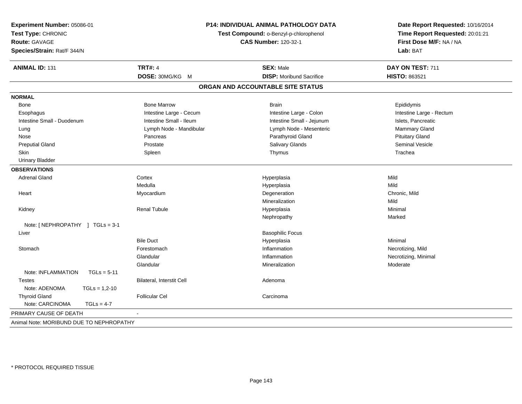| Experiment Number: 05086-01<br>Test Type: CHRONIC<br>Route: GAVAGE<br>Species/Strain: Rat/F 344/N |                           | P14: INDIVIDUAL ANIMAL PATHOLOGY DATA<br>Test Compound: o-Benzyl-p-chlorophenol<br><b>CAS Number: 120-32-1</b> | Date Report Requested: 10/16/2014<br>Time Report Requested: 20:01:21<br>First Dose M/F: NA / NA<br>Lab: BAT |
|---------------------------------------------------------------------------------------------------|---------------------------|----------------------------------------------------------------------------------------------------------------|-------------------------------------------------------------------------------------------------------------|
|                                                                                                   |                           |                                                                                                                |                                                                                                             |
| <b>ANIMAL ID: 131</b>                                                                             | <b>TRT#: 4</b>            | <b>SEX: Male</b>                                                                                               | DAY ON TEST: 711                                                                                            |
|                                                                                                   | DOSE: 30MG/KG M           | <b>DISP:</b> Moribund Sacrifice                                                                                | HISTO: 863521                                                                                               |
|                                                                                                   |                           | ORGAN AND ACCOUNTABLE SITE STATUS                                                                              |                                                                                                             |
| <b>NORMAL</b>                                                                                     |                           |                                                                                                                |                                                                                                             |
| Bone                                                                                              | <b>Bone Marrow</b>        | <b>Brain</b>                                                                                                   | Epididymis                                                                                                  |
| Esophagus                                                                                         | Intestine Large - Cecum   | Intestine Large - Colon                                                                                        | Intestine Large - Rectum                                                                                    |
| Intestine Small - Duodenum                                                                        | Intestine Small - Ileum   | Intestine Small - Jejunum                                                                                      | Islets, Pancreatic                                                                                          |
| Lung                                                                                              | Lymph Node - Mandibular   | Lymph Node - Mesenteric                                                                                        | Mammary Gland                                                                                               |
| Nose                                                                                              | Pancreas                  | Parathyroid Gland                                                                                              | <b>Pituitary Gland</b>                                                                                      |
| <b>Preputial Gland</b>                                                                            | Prostate                  | Salivary Glands                                                                                                | <b>Seminal Vesicle</b>                                                                                      |
| Skin                                                                                              | Spleen                    | Thymus                                                                                                         | Trachea                                                                                                     |
| <b>Urinary Bladder</b>                                                                            |                           |                                                                                                                |                                                                                                             |
| <b>OBSERVATIONS</b>                                                                               |                           |                                                                                                                |                                                                                                             |
| <b>Adrenal Gland</b>                                                                              | Cortex                    | Hyperplasia                                                                                                    | Mild                                                                                                        |
|                                                                                                   | Medulla                   | Hyperplasia                                                                                                    | Mild                                                                                                        |
| Heart                                                                                             | Myocardium                | Degeneration                                                                                                   | Chronic, Mild                                                                                               |
|                                                                                                   |                           | Mineralization                                                                                                 | Mild                                                                                                        |
| Kidney                                                                                            | <b>Renal Tubule</b>       | Hyperplasia                                                                                                    | Minimal                                                                                                     |
|                                                                                                   |                           | Nephropathy                                                                                                    | Marked                                                                                                      |
| Note: [NEPHROPATHY ] TGLs = 3-1                                                                   |                           |                                                                                                                |                                                                                                             |
| Liver                                                                                             |                           | <b>Basophilic Focus</b>                                                                                        |                                                                                                             |
|                                                                                                   | <b>Bile Duct</b>          | Hyperplasia                                                                                                    | Minimal                                                                                                     |
| Stomach                                                                                           | Forestomach               | Inflammation                                                                                                   | Necrotizing, Mild                                                                                           |
|                                                                                                   | Glandular                 | Inflammation                                                                                                   | Necrotizing, Minimal                                                                                        |
|                                                                                                   | Glandular                 | Mineralization                                                                                                 | Moderate                                                                                                    |
| Note: INFLAMMATION<br>$TGLs = 5-11$                                                               |                           |                                                                                                                |                                                                                                             |
| <b>Testes</b>                                                                                     | Bilateral, Interstit Cell | Adenoma                                                                                                        |                                                                                                             |
| Note: ADENOMA<br>$TGLs = 1,2-10$                                                                  |                           |                                                                                                                |                                                                                                             |
| <b>Thyroid Gland</b>                                                                              | <b>Follicular Cel</b>     | Carcinoma                                                                                                      |                                                                                                             |
| Note: CARCINOMA<br>$TGLs = 4-7$                                                                   |                           |                                                                                                                |                                                                                                             |
| PRIMARY CAUSE OF DEATH                                                                            |                           |                                                                                                                |                                                                                                             |
| Animal Note: MORIBUND DUE TO NEPHROPATHY                                                          |                           |                                                                                                                |                                                                                                             |
|                                                                                                   |                           |                                                                                                                |                                                                                                             |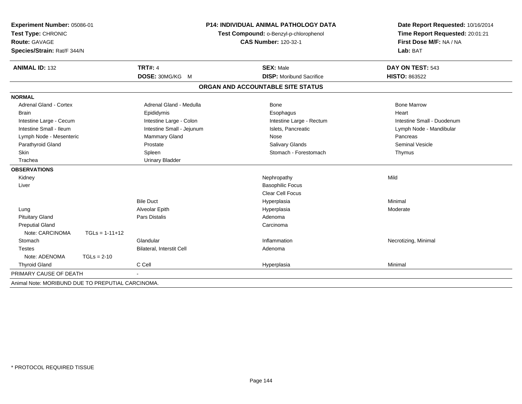| Experiment Number: 05086-01<br>Test Type: CHRONIC |                  |                           | <b>P14: INDIVIDUAL ANIMAL PATHOLOGY DATA</b><br>Test Compound: o-Benzyl-p-chlorophenol | Date Report Requested: 10/16/2014<br>Time Report Requested: 20:01:21 |  |
|---------------------------------------------------|------------------|---------------------------|----------------------------------------------------------------------------------------|----------------------------------------------------------------------|--|
| <b>Route: GAVAGE</b>                              |                  |                           | <b>CAS Number: 120-32-1</b>                                                            | First Dose M/F: NA / NA                                              |  |
| Species/Strain: Rat/F 344/N                       |                  |                           |                                                                                        | Lab: BAT                                                             |  |
| <b>ANIMAL ID: 132</b>                             |                  | <b>TRT#: 4</b>            | <b>SEX: Male</b>                                                                       | DAY ON TEST: 543                                                     |  |
|                                                   |                  | DOSE: 30MG/KG M           | <b>DISP:</b> Moribund Sacrifice                                                        | <b>HISTO: 863522</b>                                                 |  |
|                                                   |                  |                           | ORGAN AND ACCOUNTABLE SITE STATUS                                                      |                                                                      |  |
| <b>NORMAL</b>                                     |                  |                           |                                                                                        |                                                                      |  |
| <b>Adrenal Gland - Cortex</b>                     |                  | Adrenal Gland - Medulla   | <b>Bone</b>                                                                            | <b>Bone Marrow</b>                                                   |  |
| <b>Brain</b>                                      |                  | Epididymis                | Esophagus                                                                              | Heart                                                                |  |
| Intestine Large - Cecum                           |                  | Intestine Large - Colon   | Intestine Large - Rectum                                                               | Intestine Small - Duodenum                                           |  |
| Intestine Small - Ileum                           |                  | Intestine Small - Jejunum | Islets, Pancreatic                                                                     | Lymph Node - Mandibular                                              |  |
| Lymph Node - Mesenteric                           |                  | Mammary Gland             | Nose                                                                                   | Pancreas                                                             |  |
| Parathyroid Gland                                 |                  | Prostate                  | Salivary Glands                                                                        | <b>Seminal Vesicle</b>                                               |  |
| <b>Skin</b>                                       |                  | Spleen                    | Stomach - Forestomach                                                                  | Thymus                                                               |  |
| Trachea                                           |                  | <b>Urinary Bladder</b>    |                                                                                        |                                                                      |  |
| <b>OBSERVATIONS</b>                               |                  |                           |                                                                                        |                                                                      |  |
| Kidney                                            |                  |                           | Nephropathy                                                                            | Mild                                                                 |  |
| Liver                                             |                  |                           | <b>Basophilic Focus</b>                                                                |                                                                      |  |
|                                                   |                  |                           | Clear Cell Focus                                                                       |                                                                      |  |
|                                                   |                  | <b>Bile Duct</b>          | Hyperplasia                                                                            | Minimal                                                              |  |
| Lung                                              |                  | Alveolar Epith            | Hyperplasia                                                                            | Moderate                                                             |  |
| <b>Pituitary Gland</b>                            |                  | Pars Distalis             | Adenoma                                                                                |                                                                      |  |
| <b>Preputial Gland</b>                            |                  |                           | Carcinoma                                                                              |                                                                      |  |
| Note: CARCINOMA                                   | $TGLs = 1-11+12$ |                           |                                                                                        |                                                                      |  |
| Stomach                                           |                  | Glandular                 | Inflammation                                                                           | Necrotizing, Minimal                                                 |  |
| <b>Testes</b>                                     |                  | Bilateral, Interstit Cell | Adenoma                                                                                |                                                                      |  |
| Note: ADENOMA                                     | $TGLs = 2-10$    |                           |                                                                                        |                                                                      |  |
| <b>Thyroid Gland</b>                              |                  | C Cell                    | Hyperplasia                                                                            | Minimal                                                              |  |
| PRIMARY CAUSE OF DEATH                            |                  |                           |                                                                                        |                                                                      |  |
| Animal Note: MORIBUND DUE TO PREPUTIAL CARCINOMA. |                  |                           |                                                                                        |                                                                      |  |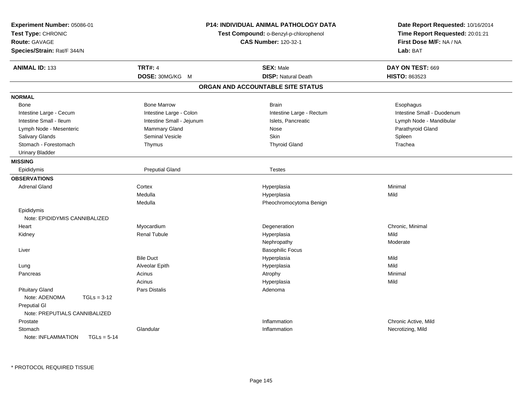| Experiment Number: 05086-01<br>Test Type: CHRONIC<br>Route: GAVAGE<br>Species/Strain: Rat/F 344/N | <b>P14: INDIVIDUAL ANIMAL PATHOLOGY DATA</b><br>Test Compound: o-Benzyl-p-chlorophenol<br><b>CAS Number: 120-32-1</b> |                                   | Date Report Requested: 10/16/2014<br>Time Report Requested: 20:01:21<br>First Dose M/F: NA / NA<br>Lab: BAT |
|---------------------------------------------------------------------------------------------------|-----------------------------------------------------------------------------------------------------------------------|-----------------------------------|-------------------------------------------------------------------------------------------------------------|
| <b>ANIMAL ID: 133</b>                                                                             | <b>TRT#: 4</b>                                                                                                        | <b>SEX: Male</b>                  | DAY ON TEST: 669                                                                                            |
|                                                                                                   | DOSE: 30MG/KG M                                                                                                       | <b>DISP: Natural Death</b>        | HISTO: 863523                                                                                               |
|                                                                                                   |                                                                                                                       | ORGAN AND ACCOUNTABLE SITE STATUS |                                                                                                             |
| <b>NORMAL</b>                                                                                     |                                                                                                                       |                                   |                                                                                                             |
| Bone                                                                                              | <b>Bone Marrow</b>                                                                                                    | <b>Brain</b>                      | Esophagus                                                                                                   |
| Intestine Large - Cecum                                                                           | Intestine Large - Colon                                                                                               | Intestine Large - Rectum          | Intestine Small - Duodenum                                                                                  |
| Intestine Small - Ileum                                                                           | Intestine Small - Jejunum                                                                                             | Islets, Pancreatic                | Lymph Node - Mandibular                                                                                     |
| Lymph Node - Mesenteric                                                                           | Mammary Gland                                                                                                         | <b>Nose</b>                       | Parathyroid Gland                                                                                           |
| Salivary Glands                                                                                   | <b>Seminal Vesicle</b>                                                                                                | <b>Skin</b>                       | Spleen                                                                                                      |
| Stomach - Forestomach                                                                             | Thymus                                                                                                                | <b>Thyroid Gland</b>              | Trachea                                                                                                     |
| <b>Urinary Bladder</b>                                                                            |                                                                                                                       |                                   |                                                                                                             |
| <b>MISSING</b>                                                                                    |                                                                                                                       |                                   |                                                                                                             |
| Epididymis                                                                                        | <b>Preputial Gland</b>                                                                                                | <b>Testes</b>                     |                                                                                                             |
| <b>OBSERVATIONS</b>                                                                               |                                                                                                                       |                                   |                                                                                                             |
| <b>Adrenal Gland</b>                                                                              | Cortex                                                                                                                | Hyperplasia                       | Minimal                                                                                                     |
|                                                                                                   | Medulla                                                                                                               | Hyperplasia                       | Mild                                                                                                        |
|                                                                                                   | Medulla                                                                                                               | Pheochromocytoma Benign           |                                                                                                             |
| Epididymis                                                                                        |                                                                                                                       |                                   |                                                                                                             |
| Note: EPIDIDYMIS CANNIBALIZED                                                                     |                                                                                                                       |                                   |                                                                                                             |
| Heart                                                                                             | Myocardium                                                                                                            | Degeneration                      | Chronic, Minimal                                                                                            |
| Kidney                                                                                            | <b>Renal Tubule</b>                                                                                                   | Hyperplasia                       | Mild                                                                                                        |
|                                                                                                   |                                                                                                                       | Nephropathy                       | Moderate                                                                                                    |
| Liver                                                                                             |                                                                                                                       | <b>Basophilic Focus</b>           |                                                                                                             |
|                                                                                                   | <b>Bile Duct</b>                                                                                                      | Hyperplasia                       | Mild                                                                                                        |
| Lung                                                                                              | Alveolar Epith                                                                                                        | Hyperplasia                       | Mild                                                                                                        |
| Pancreas                                                                                          | Acinus                                                                                                                | Atrophy                           | Minimal                                                                                                     |
|                                                                                                   | Acinus                                                                                                                | Hyperplasia                       | Mild                                                                                                        |
| <b>Pituitary Gland</b>                                                                            | Pars Distalis                                                                                                         | Adenoma                           |                                                                                                             |
| Note: ADENOMA<br>$TGLs = 3-12$                                                                    |                                                                                                                       |                                   |                                                                                                             |
| <b>Preputial GI</b>                                                                               |                                                                                                                       |                                   |                                                                                                             |
| Note: PREPUTIALS CANNIBALIZED                                                                     |                                                                                                                       |                                   |                                                                                                             |
| Prostate                                                                                          |                                                                                                                       | Inflammation                      | Chronic Active, Mild                                                                                        |
| Stomach                                                                                           | Glandular                                                                                                             | Inflammation                      | Necrotizing, Mild                                                                                           |
| Note: INFLAMMATION<br>$TGLs = 5-14$                                                               |                                                                                                                       |                                   |                                                                                                             |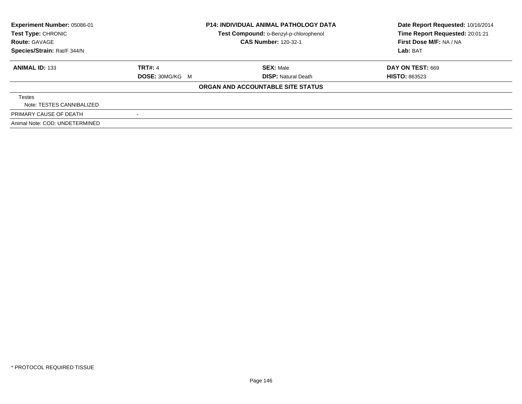| Experiment Number: 05086-01<br><b>Test Type: CHRONIC</b><br><b>Route: GAVAGE</b> | <b>P14: INDIVIDUAL ANIMAL PATHOLOGY DATA</b><br>Test Compound: o-Benzyl-p-chlorophenol<br><b>CAS Number: 120-32-1</b> |                                   | Date Report Requested: 10/16/2014<br>Time Report Requested: 20:01:21<br>First Dose M/F: NA / NA |
|----------------------------------------------------------------------------------|-----------------------------------------------------------------------------------------------------------------------|-----------------------------------|-------------------------------------------------------------------------------------------------|
| Species/Strain: Rat/F 344/N                                                      |                                                                                                                       |                                   | Lab: BAT                                                                                        |
| <b>ANIMAL ID: 133</b>                                                            | <b>TRT#: 4</b>                                                                                                        | <b>SEX: Male</b>                  | DAY ON TEST: 669                                                                                |
|                                                                                  | <b>DOSE: 30MG/KG M</b>                                                                                                | <b>DISP:</b> Natural Death        | <b>HISTO: 863523</b>                                                                            |
|                                                                                  |                                                                                                                       | ORGAN AND ACCOUNTABLE SITE STATUS |                                                                                                 |
| Testes                                                                           |                                                                                                                       |                                   |                                                                                                 |
| Note: TESTES CANNIBALIZED                                                        |                                                                                                                       |                                   |                                                                                                 |
| PRIMARY CAUSE OF DEATH                                                           |                                                                                                                       |                                   |                                                                                                 |
| Animal Note: COD: UNDETERMINED                                                   |                                                                                                                       |                                   |                                                                                                 |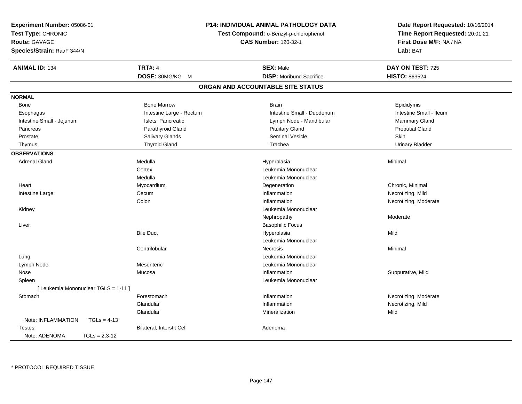| Experiment Number: 05086-01          | P14: INDIVIDUAL ANIMAL PATHOLOGY DATA<br>Test Compound: o-Benzyl-p-chlorophenol<br><b>CAS Number: 120-32-1</b> |                                   | Date Report Requested: 10/16/2014<br>Time Report Requested: 20:01:21<br>First Dose M/F: NA / NA |
|--------------------------------------|----------------------------------------------------------------------------------------------------------------|-----------------------------------|-------------------------------------------------------------------------------------------------|
| Test Type: CHRONIC                   |                                                                                                                |                                   |                                                                                                 |
| Route: GAVAGE                        |                                                                                                                |                                   |                                                                                                 |
| Species/Strain: Rat/F 344/N          |                                                                                                                |                                   | Lab: BAT                                                                                        |
| <b>ANIMAL ID: 134</b>                | <b>TRT#: 4</b>                                                                                                 | <b>SEX: Male</b>                  | DAY ON TEST: 725                                                                                |
|                                      | DOSE: 30MG/KG M                                                                                                | <b>DISP:</b> Moribund Sacrifice   | <b>HISTO: 863524</b>                                                                            |
|                                      |                                                                                                                | ORGAN AND ACCOUNTABLE SITE STATUS |                                                                                                 |
| <b>NORMAL</b>                        |                                                                                                                |                                   |                                                                                                 |
| Bone                                 | <b>Bone Marrow</b>                                                                                             | <b>Brain</b>                      | Epididymis                                                                                      |
| Esophagus                            | Intestine Large - Rectum                                                                                       | Intestine Small - Duodenum        | Intestine Small - Ileum                                                                         |
| Intestine Small - Jejunum            | Islets, Pancreatic                                                                                             | Lymph Node - Mandibular           | Mammary Gland                                                                                   |
| Pancreas                             | Parathyroid Gland                                                                                              | <b>Pituitary Gland</b>            | <b>Preputial Gland</b>                                                                          |
| Prostate                             | Salivary Glands                                                                                                | Seminal Vesicle                   | Skin                                                                                            |
| Thymus                               | <b>Thyroid Gland</b>                                                                                           | Trachea                           | <b>Urinary Bladder</b>                                                                          |
| <b>OBSERVATIONS</b>                  |                                                                                                                |                                   |                                                                                                 |
| <b>Adrenal Gland</b>                 | Medulla                                                                                                        | Hyperplasia                       | Minimal                                                                                         |
|                                      | Cortex                                                                                                         | Leukemia Mononuclear              |                                                                                                 |
|                                      | Medulla                                                                                                        | Leukemia Mononuclear              |                                                                                                 |
| Heart                                | Myocardium                                                                                                     | Degeneration                      | Chronic, Minimal                                                                                |
| Intestine Large                      | Cecum                                                                                                          | Inflammation                      | Necrotizing, Mild                                                                               |
|                                      | Colon                                                                                                          | Inflammation                      | Necrotizing, Moderate                                                                           |
| Kidney                               |                                                                                                                | Leukemia Mononuclear              |                                                                                                 |
|                                      |                                                                                                                | Nephropathy                       | Moderate                                                                                        |
| Liver                                |                                                                                                                | <b>Basophilic Focus</b>           |                                                                                                 |
|                                      | <b>Bile Duct</b>                                                                                               | Hyperplasia                       | Mild                                                                                            |
|                                      |                                                                                                                | Leukemia Mononuclear              |                                                                                                 |
|                                      | Centrilobular                                                                                                  | <b>Necrosis</b>                   | Minimal                                                                                         |
| Lung                                 |                                                                                                                | Leukemia Mononuclear              |                                                                                                 |
| Lymph Node                           | Mesenteric                                                                                                     | Leukemia Mononuclear              |                                                                                                 |
| Nose                                 | Mucosa                                                                                                         | Inflammation                      | Suppurative, Mild                                                                               |
| Spleen                               |                                                                                                                | Leukemia Mononuclear              |                                                                                                 |
| [ Leukemia Mononuclear TGLS = 1-11 ] |                                                                                                                |                                   |                                                                                                 |
| Stomach                              | Forestomach                                                                                                    | Inflammation                      | Necrotizing, Moderate                                                                           |
|                                      | Glandular                                                                                                      | Inflammation                      | Necrotizing, Mild                                                                               |
|                                      | Glandular                                                                                                      | Mineralization                    | Mild                                                                                            |
| Note: INFLAMMATION<br>$TGLs = 4-13$  |                                                                                                                |                                   |                                                                                                 |
| <b>Testes</b>                        | <b>Bilateral, Interstit Cell</b>                                                                               | Adenoma                           |                                                                                                 |
| Note: ADENOMA<br>$TGLs = 2,3-12$     |                                                                                                                |                                   |                                                                                                 |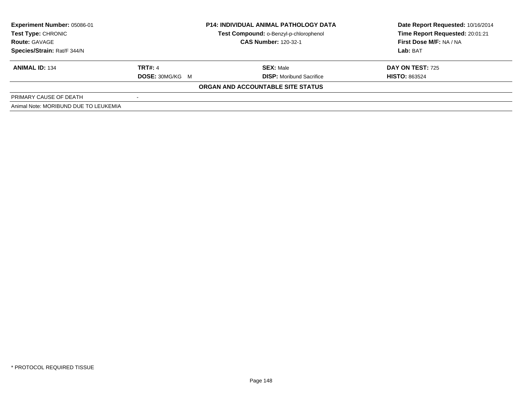| <b>Experiment Number: 05086-01</b><br>Test Type: CHRONIC<br><b>Route: GAVAGE</b> | <b>P14: INDIVIDUAL ANIMAL PATHOLOGY DATA</b><br>Test Compound: o-Benzyl-p-chlorophenol<br><b>CAS Number: 120-32-1</b> |                                   | Date Report Requested: 10/16/2014<br>Time Report Requested: 20:01:21<br>First Dose M/F: NA / NA |  |
|----------------------------------------------------------------------------------|-----------------------------------------------------------------------------------------------------------------------|-----------------------------------|-------------------------------------------------------------------------------------------------|--|
| Species/Strain: Rat/F 344/N                                                      |                                                                                                                       |                                   | Lab: BAT                                                                                        |  |
| <b>ANIMAL ID: 134</b>                                                            | TRT#: 4                                                                                                               | <b>SEX: Male</b>                  | <b>DAY ON TEST: 725</b>                                                                         |  |
|                                                                                  | <b>DOSE: 30MG/KG M</b>                                                                                                | <b>DISP:</b> Moribund Sacrifice   | <b>HISTO: 863524</b>                                                                            |  |
|                                                                                  |                                                                                                                       | ORGAN AND ACCOUNTABLE SITE STATUS |                                                                                                 |  |
| PRIMARY CAUSE OF DEATH                                                           |                                                                                                                       |                                   |                                                                                                 |  |
| Animal Note: MORIBUND DUE TO LEUKEMIA                                            |                                                                                                                       |                                   |                                                                                                 |  |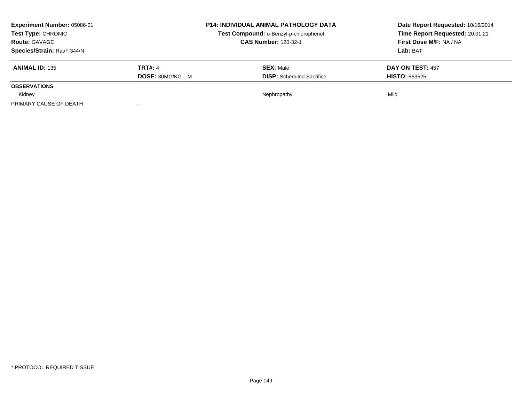| <b>Experiment Number: 05086-01</b><br><b>Test Type: CHRONIC</b><br><b>Route: GAVAGE</b> |                        | <b>P14: INDIVIDUAL ANIMAL PATHOLOGY DATA</b> | Date Report Requested: 10/16/2014<br>Time Report Requested: 20:01:21 |
|-----------------------------------------------------------------------------------------|------------------------|----------------------------------------------|----------------------------------------------------------------------|
|                                                                                         |                        | Test Compound: o-Benzyl-p-chlorophenol       |                                                                      |
|                                                                                         |                        | <b>CAS Number: 120-32-1</b>                  | First Dose M/F: NA / NA                                              |
| Species/Strain: Rat/F 344/N                                                             |                        |                                              | Lab: BAT                                                             |
| <b>ANIMAL ID: 135</b>                                                                   | <b>TRT#: 4</b>         | <b>SEX: Male</b>                             | <b>DAY ON TEST: 457</b>                                              |
|                                                                                         | <b>DOSE: 30MG/KG M</b> | <b>DISP:</b> Scheduled Sacrifice             | <b>HISTO: 863525</b>                                                 |
| <b>OBSERVATIONS</b>                                                                     |                        |                                              |                                                                      |
| Kidney                                                                                  |                        | Nephropathy                                  | Mild                                                                 |
| PRIMARY CAUSE OF DEATH                                                                  |                        |                                              |                                                                      |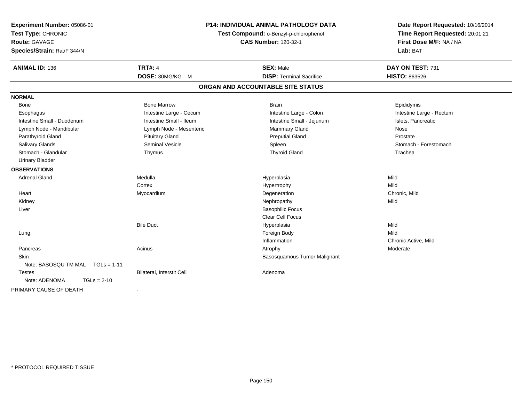| Experiment Number: 05086-01<br>Test Type: CHRONIC<br><b>Route: GAVAGE</b><br>Species/Strain: Rat/F 344/N | P14: INDIVIDUAL ANIMAL PATHOLOGY DATA<br>Test Compound: o-Benzyl-p-chlorophenol<br><b>CAS Number: 120-32-1</b> |                                                     | Date Report Requested: 10/16/2014<br>Time Report Requested: 20:01:21<br>First Dose M/F: NA / NA<br>Lab: BAT |  |
|----------------------------------------------------------------------------------------------------------|----------------------------------------------------------------------------------------------------------------|-----------------------------------------------------|-------------------------------------------------------------------------------------------------------------|--|
| <b>ANIMAL ID: 136</b>                                                                                    | <b>TRT#: 4</b><br>DOSE: 30MG/KG M                                                                              | <b>SEX: Male</b><br><b>DISP: Terminal Sacrifice</b> | DAY ON TEST: 731<br><b>HISTO: 863526</b>                                                                    |  |
|                                                                                                          |                                                                                                                |                                                     |                                                                                                             |  |
|                                                                                                          |                                                                                                                | ORGAN AND ACCOUNTABLE SITE STATUS                   |                                                                                                             |  |
| <b>NORMAL</b>                                                                                            |                                                                                                                |                                                     |                                                                                                             |  |
| Bone                                                                                                     | <b>Bone Marrow</b>                                                                                             | <b>Brain</b>                                        | Epididymis                                                                                                  |  |
| Esophagus                                                                                                | Intestine Large - Cecum                                                                                        | Intestine Large - Colon                             | Intestine Large - Rectum                                                                                    |  |
| Intestine Small - Duodenum                                                                               | Intestine Small - Ileum                                                                                        | Intestine Small - Jejunum                           | Islets, Pancreatic                                                                                          |  |
| Lymph Node - Mandibular                                                                                  | Lymph Node - Mesenteric                                                                                        | Mammary Gland                                       | Nose                                                                                                        |  |
| Parathyroid Gland                                                                                        | <b>Pituitary Gland</b>                                                                                         | <b>Preputial Gland</b>                              | Prostate                                                                                                    |  |
| Salivary Glands                                                                                          | <b>Seminal Vesicle</b>                                                                                         | Spleen                                              | Stomach - Forestomach                                                                                       |  |
| Stomach - Glandular                                                                                      | Thymus                                                                                                         | <b>Thyroid Gland</b>                                | Trachea                                                                                                     |  |
| <b>Urinary Bladder</b>                                                                                   |                                                                                                                |                                                     |                                                                                                             |  |
| <b>OBSERVATIONS</b>                                                                                      |                                                                                                                |                                                     |                                                                                                             |  |
| <b>Adrenal Gland</b>                                                                                     | Medulla                                                                                                        | Hyperplasia                                         | Mild                                                                                                        |  |
|                                                                                                          | Cortex                                                                                                         | Hypertrophy                                         | Mild                                                                                                        |  |
| Heart                                                                                                    | Myocardium                                                                                                     | Degeneration                                        | Chronic, Mild                                                                                               |  |
| Kidney                                                                                                   |                                                                                                                | Nephropathy                                         | Mild                                                                                                        |  |
| Liver                                                                                                    |                                                                                                                | <b>Basophilic Focus</b>                             |                                                                                                             |  |
|                                                                                                          |                                                                                                                | <b>Clear Cell Focus</b>                             |                                                                                                             |  |
|                                                                                                          | <b>Bile Duct</b>                                                                                               | Hyperplasia                                         | Mild                                                                                                        |  |
| Lung                                                                                                     |                                                                                                                | Foreign Body                                        | Mild                                                                                                        |  |
|                                                                                                          |                                                                                                                | Inflammation                                        | Chronic Active, Mild                                                                                        |  |
| Pancreas                                                                                                 | Acinus                                                                                                         | Atrophy                                             | Moderate                                                                                                    |  |
| Skin                                                                                                     |                                                                                                                | Basosquamous Tumor Malignant                        |                                                                                                             |  |
| Note: BASOSQU TM MAL TGLs = 1-11                                                                         |                                                                                                                |                                                     |                                                                                                             |  |
| <b>Testes</b>                                                                                            | Bilateral, Interstit Cell                                                                                      | Adenoma                                             |                                                                                                             |  |
| Note: ADENOMA<br>$TGLs = 2-10$                                                                           |                                                                                                                |                                                     |                                                                                                             |  |
| PRIMARY CAUSE OF DEATH                                                                                   | $\blacksquare$                                                                                                 |                                                     |                                                                                                             |  |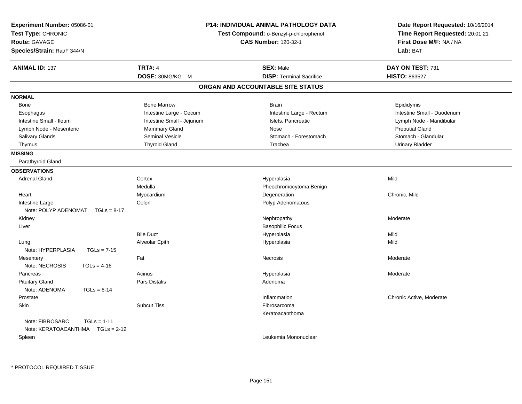| Experiment Number: 05086-01        | P14: INDIVIDUAL ANIMAL PATHOLOGY DATA                                 |                                   | Date Report Requested: 10/16/2014 |  |
|------------------------------------|-----------------------------------------------------------------------|-----------------------------------|-----------------------------------|--|
| Test Type: CHRONIC                 | Test Compound: o-Benzyl-p-chlorophenol<br><b>CAS Number: 120-32-1</b> |                                   | Time Report Requested: 20:01:21   |  |
| Route: GAVAGE                      |                                                                       |                                   | First Dose M/F: NA / NA           |  |
| Species/Strain: Rat/F 344/N        |                                                                       |                                   | Lab: BAT                          |  |
| <b>ANIMAL ID: 137</b>              | <b>TRT#: 4</b>                                                        | <b>SEX: Male</b>                  | DAY ON TEST: 731                  |  |
|                                    | DOSE: 30MG/KG M                                                       | <b>DISP: Terminal Sacrifice</b>   | <b>HISTO: 863527</b>              |  |
|                                    |                                                                       | ORGAN AND ACCOUNTABLE SITE STATUS |                                   |  |
| <b>NORMAL</b>                      |                                                                       |                                   |                                   |  |
| Bone                               | <b>Bone Marrow</b>                                                    | <b>Brain</b>                      | Epididymis                        |  |
| Esophagus                          | Intestine Large - Cecum                                               | Intestine Large - Rectum          | Intestine Small - Duodenum        |  |
| Intestine Small - Ileum            | Intestine Small - Jejunum                                             | Islets, Pancreatic                | Lymph Node - Mandibular           |  |
| Lymph Node - Mesenteric            | Mammary Gland                                                         | Nose                              | <b>Preputial Gland</b>            |  |
| Salivary Glands                    | Seminal Vesicle                                                       | Stomach - Forestomach             | Stomach - Glandular               |  |
| Thymus                             | <b>Thyroid Gland</b>                                                  | Trachea                           | <b>Urinary Bladder</b>            |  |
| <b>MISSING</b>                     |                                                                       |                                   |                                   |  |
| Parathyroid Gland                  |                                                                       |                                   |                                   |  |
| <b>OBSERVATIONS</b>                |                                                                       |                                   |                                   |  |
| <b>Adrenal Gland</b>               | Cortex                                                                | Hyperplasia                       | Mild                              |  |
|                                    | Medulla                                                               | Pheochromocytoma Benign           |                                   |  |
| Heart                              | Myocardium                                                            | Degeneration                      | Chronic, Mild                     |  |
| Intestine Large                    | Colon                                                                 | Polyp Adenomatous                 |                                   |  |
| Note: POLYP ADENOMAT $TGLs = 8-17$ |                                                                       |                                   |                                   |  |
| Kidney                             |                                                                       | Nephropathy                       | Moderate                          |  |
| Liver                              |                                                                       | <b>Basophilic Focus</b>           |                                   |  |
|                                    | <b>Bile Duct</b>                                                      | Hyperplasia                       | Mild                              |  |
| Lung                               | Alveolar Epith                                                        | Hyperplasia                       | Mild                              |  |
| Note: HYPERPLASIA<br>$TGLs = 7-15$ |                                                                       |                                   |                                   |  |
| Mesentery                          | Fat                                                                   | <b>Necrosis</b>                   | Moderate                          |  |
| Note: NECROSIS<br>$TGLs = 4-16$    |                                                                       |                                   |                                   |  |
| Pancreas                           | Acinus                                                                | Hyperplasia                       | Moderate                          |  |
| <b>Pituitary Gland</b>             | Pars Distalis                                                         | Adenoma                           |                                   |  |
| Note: ADENOMA<br>$TGLs = 6-14$     |                                                                       |                                   |                                   |  |
| Prostate                           |                                                                       | Inflammation                      | Chronic Active, Moderate          |  |
| Skin                               | <b>Subcut Tiss</b>                                                    | Fibrosarcoma                      |                                   |  |
|                                    |                                                                       | Keratoacanthoma                   |                                   |  |
| Note: FIBROSARC<br>$TGLs = 1-11$   |                                                                       |                                   |                                   |  |
| Note: KERATOACANTHMA   TGLs = 2-12 |                                                                       |                                   |                                   |  |
| Spleen                             |                                                                       | Leukemia Mononuclear              |                                   |  |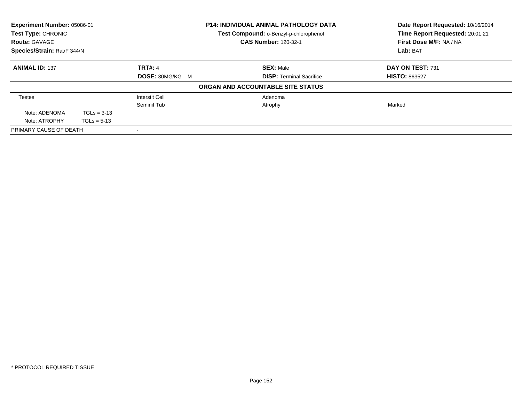| Experiment Number: 05086-01<br>Test Type: CHRONIC<br><b>Route: GAVAGE</b> |               | <b>P14: INDIVIDUAL ANIMAL PATHOLOGY DATA</b><br>Test Compound: o-Benzyl-p-chlorophenol<br><b>CAS Number: 120-32-1</b> | Date Report Requested: 10/16/2014<br>Time Report Requested: 20:01:21<br>First Dose M/F: NA / NA |                      |
|---------------------------------------------------------------------------|---------------|-----------------------------------------------------------------------------------------------------------------------|-------------------------------------------------------------------------------------------------|----------------------|
| Species/Strain: Rat/F 344/N                                               |               |                                                                                                                       |                                                                                                 | Lab: BAT             |
| <b>ANIMAL ID: 137</b>                                                     |               | <b>TRT#: 4</b>                                                                                                        | <b>SEX: Male</b>                                                                                | DAY ON TEST: 731     |
|                                                                           |               | DOSE: 30MG/KG M                                                                                                       | <b>DISP: Terminal Sacrifice</b>                                                                 | <b>HISTO: 863527</b> |
|                                                                           |               |                                                                                                                       | ORGAN AND ACCOUNTABLE SITE STATUS                                                               |                      |
| Testes                                                                    |               | <b>Interstit Cell</b>                                                                                                 | Adenoma                                                                                         |                      |
|                                                                           |               | Seminif Tub                                                                                                           | Atrophy                                                                                         | Marked               |
| Note: ADENOMA                                                             | $TGLs = 3-13$ |                                                                                                                       |                                                                                                 |                      |
| Note: ATROPHY                                                             | $TGLs = 5-13$ |                                                                                                                       |                                                                                                 |                      |
| PRIMARY CAUSE OF DEATH                                                    |               |                                                                                                                       |                                                                                                 |                      |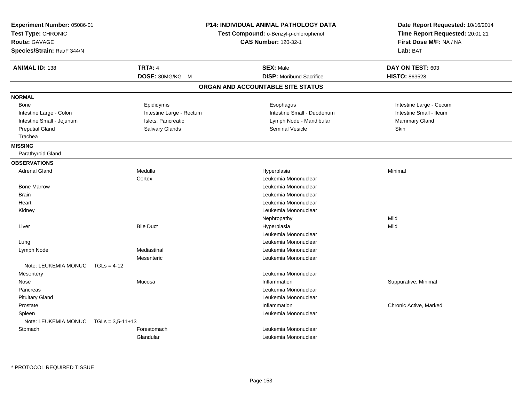| Experiment Number: 05086-01<br>Test Type: CHRONIC<br>Route: GAVAGE<br>Species/Strain: Rat/F 344/N |                          | <b>P14: INDIVIDUAL ANIMAL PATHOLOGY DATA</b><br>Test Compound: o-Benzyl-p-chlorophenol<br><b>CAS Number: 120-32-1</b> | Date Report Requested: 10/16/2014<br>Time Report Requested: 20:01:21<br>First Dose M/F: NA / NA<br>Lab: BAT |
|---------------------------------------------------------------------------------------------------|--------------------------|-----------------------------------------------------------------------------------------------------------------------|-------------------------------------------------------------------------------------------------------------|
| <b>ANIMAL ID: 138</b>                                                                             | <b>TRT#: 4</b>           | <b>SEX: Male</b>                                                                                                      | DAY ON TEST: 603                                                                                            |
|                                                                                                   | DOSE: 30MG/KG M          | <b>DISP:</b> Moribund Sacrifice                                                                                       | <b>HISTO: 863528</b>                                                                                        |
|                                                                                                   |                          | ORGAN AND ACCOUNTABLE SITE STATUS                                                                                     |                                                                                                             |
| <b>NORMAL</b>                                                                                     |                          |                                                                                                                       |                                                                                                             |
| Bone                                                                                              | Epididymis               | Esophagus                                                                                                             | Intestine Large - Cecum                                                                                     |
| Intestine Large - Colon                                                                           | Intestine Large - Rectum | Intestine Small - Duodenum                                                                                            | Intestine Small - Ileum                                                                                     |
| Intestine Small - Jejunum                                                                         | Islets, Pancreatic       | Lymph Node - Mandibular                                                                                               | <b>Mammary Gland</b>                                                                                        |
| <b>Preputial Gland</b>                                                                            | Salivary Glands          | <b>Seminal Vesicle</b>                                                                                                | Skin                                                                                                        |
| Trachea                                                                                           |                          |                                                                                                                       |                                                                                                             |
| <b>MISSING</b>                                                                                    |                          |                                                                                                                       |                                                                                                             |
| Parathyroid Gland                                                                                 |                          |                                                                                                                       |                                                                                                             |
| <b>OBSERVATIONS</b>                                                                               |                          |                                                                                                                       |                                                                                                             |
| <b>Adrenal Gland</b>                                                                              | Medulla                  | Hyperplasia                                                                                                           | Minimal                                                                                                     |
|                                                                                                   | Cortex                   | Leukemia Mononuclear                                                                                                  |                                                                                                             |
| <b>Bone Marrow</b>                                                                                |                          | Leukemia Mononuclear                                                                                                  |                                                                                                             |
| <b>Brain</b>                                                                                      |                          | Leukemia Mononuclear                                                                                                  |                                                                                                             |
| Heart                                                                                             |                          | Leukemia Mononuclear                                                                                                  |                                                                                                             |
| Kidney                                                                                            |                          | Leukemia Mononuclear                                                                                                  |                                                                                                             |
|                                                                                                   |                          | Nephropathy                                                                                                           | Mild                                                                                                        |
| Liver                                                                                             | <b>Bile Duct</b>         | Hyperplasia                                                                                                           | Mild                                                                                                        |
|                                                                                                   |                          | Leukemia Mononuclear                                                                                                  |                                                                                                             |
| Lung                                                                                              |                          | Leukemia Mononuclear                                                                                                  |                                                                                                             |
| Lymph Node                                                                                        | Mediastinal              | Leukemia Mononuclear                                                                                                  |                                                                                                             |
|                                                                                                   | Mesenteric               | Leukemia Mononuclear                                                                                                  |                                                                                                             |
| Note: LEUKEMIA MONUC<br>$TGLs = 4-12$                                                             |                          |                                                                                                                       |                                                                                                             |
| Mesentery                                                                                         |                          | Leukemia Mononuclear                                                                                                  |                                                                                                             |
| Nose                                                                                              | Mucosa                   | Inflammation                                                                                                          | Suppurative, Minimal                                                                                        |
| Pancreas                                                                                          |                          | Leukemia Mononuclear                                                                                                  |                                                                                                             |
| <b>Pituitary Gland</b>                                                                            |                          | Leukemia Mononuclear                                                                                                  |                                                                                                             |
| Prostate                                                                                          |                          | Inflammation                                                                                                          | Chronic Active, Marked                                                                                      |
| Spleen                                                                                            |                          | Leukemia Mononuclear                                                                                                  |                                                                                                             |
| Note: LEUKEMIA MONUC<br>$TGLs = 3.5 - 11 + 13$                                                    |                          |                                                                                                                       |                                                                                                             |
| Stomach                                                                                           | Forestomach              | Leukemia Mononuclear                                                                                                  |                                                                                                             |
|                                                                                                   | Glandular                | Leukemia Mononuclear                                                                                                  |                                                                                                             |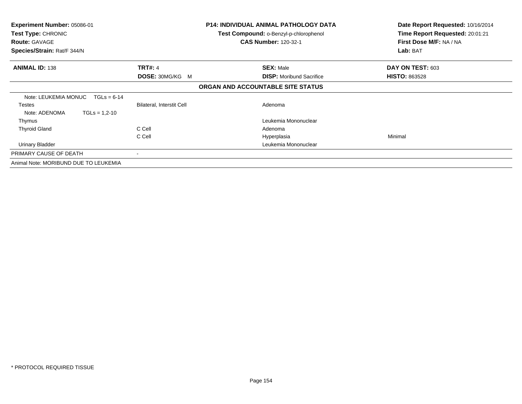| <b>Experiment Number: 05086-01</b><br><b>Test Type: CHRONIC</b><br><b>Route: GAVAGE</b><br>Species/Strain: Rat/F 344/N |                           | <b>P14: INDIVIDUAL ANIMAL PATHOLOGY DATA</b><br>Test Compound: o-Benzyl-p-chlorophenol<br><b>CAS Number: 120-32-1</b> | Date Report Requested: 10/16/2014<br>Time Report Requested: 20:01:21<br>First Dose M/F: NA / NA<br>Lab: BAT |
|------------------------------------------------------------------------------------------------------------------------|---------------------------|-----------------------------------------------------------------------------------------------------------------------|-------------------------------------------------------------------------------------------------------------|
| <b>ANIMAL ID: 138</b>                                                                                                  | <b>TRT#: 4</b>            | <b>SEX: Male</b>                                                                                                      | DAY ON TEST: 603                                                                                            |
|                                                                                                                        | <b>DOSE: 30MG/KG M</b>    | <b>DISP:</b> Moribund Sacrifice                                                                                       | <b>HISTO: 863528</b>                                                                                        |
|                                                                                                                        |                           | ORGAN AND ACCOUNTABLE SITE STATUS                                                                                     |                                                                                                             |
| Note: LEUKEMIA MONUC<br>$TGLs = 6-14$                                                                                  |                           |                                                                                                                       |                                                                                                             |
| <b>Testes</b>                                                                                                          | Bilateral, Interstit Cell | Adenoma                                                                                                               |                                                                                                             |
| Note: ADENOMA<br>$TGLs = 1,2-10$                                                                                       |                           |                                                                                                                       |                                                                                                             |
| Thymus                                                                                                                 |                           | Leukemia Mononuclear                                                                                                  |                                                                                                             |
| <b>Thyroid Gland</b>                                                                                                   | C Cell                    | Adenoma                                                                                                               |                                                                                                             |
|                                                                                                                        | C Cell                    | Hyperplasia                                                                                                           | Minimal                                                                                                     |
| <b>Urinary Bladder</b>                                                                                                 |                           | Leukemia Mononuclear                                                                                                  |                                                                                                             |
| PRIMARY CAUSE OF DEATH                                                                                                 |                           |                                                                                                                       |                                                                                                             |
| Animal Note: MORIBUND DUE TO LEUKEMIA                                                                                  |                           |                                                                                                                       |                                                                                                             |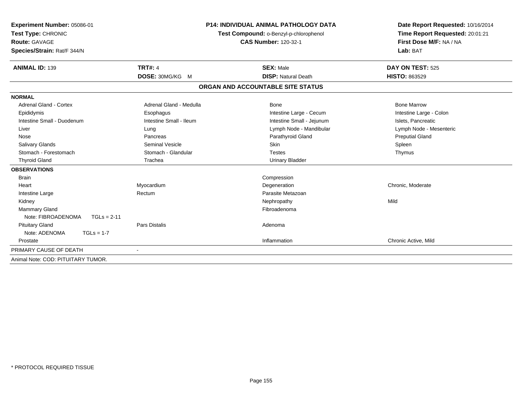| Experiment Number: 05086-01<br>Test Type: CHRONIC<br>Route: GAVAGE |                         | <b>P14: INDIVIDUAL ANIMAL PATHOLOGY DATA</b><br>Test Compound: o-Benzyl-p-chlorophenol<br><b>CAS Number: 120-32-1</b> | Date Report Requested: 10/16/2014<br>Time Report Requested: 20:01:21<br>First Dose M/F: NA / NA |
|--------------------------------------------------------------------|-------------------------|-----------------------------------------------------------------------------------------------------------------------|-------------------------------------------------------------------------------------------------|
| Species/Strain: Rat/F 344/N                                        |                         |                                                                                                                       | Lab: BAT                                                                                        |
| <b>ANIMAL ID: 139</b>                                              | <b>TRT#: 4</b>          | <b>SEX: Male</b>                                                                                                      | <b>DAY ON TEST: 525</b>                                                                         |
|                                                                    | DOSE: 30MG/KG M         | <b>DISP: Natural Death</b>                                                                                            | <b>HISTO: 863529</b>                                                                            |
|                                                                    |                         | ORGAN AND ACCOUNTABLE SITE STATUS                                                                                     |                                                                                                 |
| <b>NORMAL</b>                                                      |                         |                                                                                                                       |                                                                                                 |
| <b>Adrenal Gland - Cortex</b>                                      | Adrenal Gland - Medulla | <b>Bone</b>                                                                                                           | <b>Bone Marrow</b>                                                                              |
| Epididymis                                                         | Esophagus               | Intestine Large - Cecum                                                                                               | Intestine Large - Colon                                                                         |
| Intestine Small - Duodenum                                         | Intestine Small - Ileum | Intestine Small - Jejunum                                                                                             | Islets, Pancreatic                                                                              |
| Liver                                                              | Lung                    | Lymph Node - Mandibular                                                                                               | Lymph Node - Mesenteric                                                                         |
| Nose                                                               | Pancreas                | Parathyroid Gland                                                                                                     | <b>Preputial Gland</b>                                                                          |
| <b>Salivary Glands</b>                                             | Seminal Vesicle         | Skin                                                                                                                  | Spleen                                                                                          |
| Stomach - Forestomach                                              | Stomach - Glandular     | <b>Testes</b>                                                                                                         | Thymus                                                                                          |
| <b>Thyroid Gland</b>                                               | Trachea                 | <b>Urinary Bladder</b>                                                                                                |                                                                                                 |
| <b>OBSERVATIONS</b>                                                |                         |                                                                                                                       |                                                                                                 |
| <b>Brain</b>                                                       |                         | Compression                                                                                                           |                                                                                                 |
| Heart                                                              | Myocardium              | Degeneration                                                                                                          | Chronic, Moderate                                                                               |
| Intestine Large                                                    | Rectum                  | Parasite Metazoan                                                                                                     |                                                                                                 |
| Kidney                                                             |                         | Nephropathy                                                                                                           | Mild                                                                                            |
| Mammary Gland                                                      |                         | Fibroadenoma                                                                                                          |                                                                                                 |
| Note: FIBROADENOMA<br>$TGLs = 2-11$                                |                         |                                                                                                                       |                                                                                                 |
| <b>Pituitary Gland</b>                                             | <b>Pars Distalis</b>    | Adenoma                                                                                                               |                                                                                                 |
| Note: ADENOMA<br>$TGLs = 1-7$                                      |                         |                                                                                                                       |                                                                                                 |
| Prostate                                                           |                         | Inflammation                                                                                                          | Chronic Active, Mild                                                                            |
| PRIMARY CAUSE OF DEATH                                             |                         |                                                                                                                       |                                                                                                 |
| Animal Note: COD: PITUITARY TUMOR.                                 |                         |                                                                                                                       |                                                                                                 |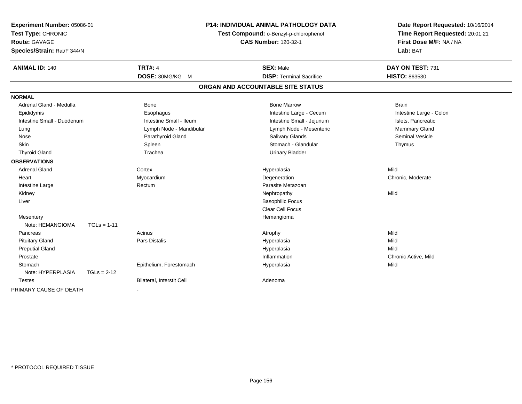| P14: INDIVIDUAL ANIMAL PATHOLOGY DATA<br>Experiment Number: 05086-01<br>Test Type: CHRONIC<br>Test Compound: o-Benzyl-p-chlorophenol<br><b>CAS Number: 120-32-1</b><br>Route: GAVAGE<br>Species/Strain: Rat/F 344/N |               | Date Report Requested: 10/16/2014<br>Time Report Requested: 20:01:21<br>First Dose M/F: NA / NA<br>Lab: BAT |                                   |                         |
|---------------------------------------------------------------------------------------------------------------------------------------------------------------------------------------------------------------------|---------------|-------------------------------------------------------------------------------------------------------------|-----------------------------------|-------------------------|
| <b>ANIMAL ID: 140</b>                                                                                                                                                                                               |               | <b>TRT#: 4</b>                                                                                              | <b>SEX: Male</b>                  | DAY ON TEST: 731        |
|                                                                                                                                                                                                                     |               | DOSE: 30MG/KG M                                                                                             | <b>DISP: Terminal Sacrifice</b>   | HISTO: 863530           |
|                                                                                                                                                                                                                     |               |                                                                                                             | ORGAN AND ACCOUNTABLE SITE STATUS |                         |
| <b>NORMAL</b>                                                                                                                                                                                                       |               |                                                                                                             |                                   |                         |
| Adrenal Gland - Medulla                                                                                                                                                                                             |               | <b>Bone</b>                                                                                                 | <b>Bone Marrow</b>                | <b>Brain</b>            |
| Epididymis                                                                                                                                                                                                          |               | Esophagus                                                                                                   | Intestine Large - Cecum           | Intestine Large - Colon |
| Intestine Small - Duodenum                                                                                                                                                                                          |               | Intestine Small - Ileum                                                                                     | Intestine Small - Jejunum         | Islets, Pancreatic      |
| Lung                                                                                                                                                                                                                |               | Lymph Node - Mandibular                                                                                     | Lymph Node - Mesenteric           | Mammary Gland           |
| Nose                                                                                                                                                                                                                |               | Parathyroid Gland                                                                                           | <b>Salivary Glands</b>            | <b>Seminal Vesicle</b>  |
| <b>Skin</b>                                                                                                                                                                                                         |               | Spleen                                                                                                      | Stomach - Glandular               | Thymus                  |
| <b>Thyroid Gland</b>                                                                                                                                                                                                |               | Trachea                                                                                                     | <b>Urinary Bladder</b>            |                         |
| <b>OBSERVATIONS</b>                                                                                                                                                                                                 |               |                                                                                                             |                                   |                         |
| <b>Adrenal Gland</b>                                                                                                                                                                                                |               | Cortex                                                                                                      | Hyperplasia                       | Mild                    |
| Heart                                                                                                                                                                                                               |               | Myocardium                                                                                                  | Degeneration                      | Chronic, Moderate       |
| Intestine Large                                                                                                                                                                                                     |               | Rectum                                                                                                      | Parasite Metazoan                 |                         |
| Kidney                                                                                                                                                                                                              |               |                                                                                                             | Nephropathy                       | Mild                    |
| Liver                                                                                                                                                                                                               |               |                                                                                                             | <b>Basophilic Focus</b>           |                         |
|                                                                                                                                                                                                                     |               |                                                                                                             | <b>Clear Cell Focus</b>           |                         |
| Mesentery                                                                                                                                                                                                           |               |                                                                                                             | Hemangioma                        |                         |
| Note: HEMANGIOMA                                                                                                                                                                                                    | $TGLs = 1-11$ |                                                                                                             |                                   |                         |
| Pancreas                                                                                                                                                                                                            |               | Acinus                                                                                                      | Atrophy                           | Mild                    |
| <b>Pituitary Gland</b>                                                                                                                                                                                              |               | <b>Pars Distalis</b>                                                                                        | Hyperplasia                       | Mild                    |
| <b>Preputial Gland</b>                                                                                                                                                                                              |               |                                                                                                             | Hyperplasia                       | Mild                    |
| Prostate                                                                                                                                                                                                            |               |                                                                                                             | Inflammation                      | Chronic Active, Mild    |
| Stomach                                                                                                                                                                                                             |               | Epithelium, Forestomach                                                                                     | Hyperplasia                       | Mild                    |
| Note: HYPERPLASIA                                                                                                                                                                                                   | $TGLs = 2-12$ |                                                                                                             |                                   |                         |
| <b>Testes</b>                                                                                                                                                                                                       |               | <b>Bilateral, Interstit Cell</b>                                                                            | Adenoma                           |                         |
| PRIMARY CAUSE OF DEATH                                                                                                                                                                                              |               |                                                                                                             |                                   |                         |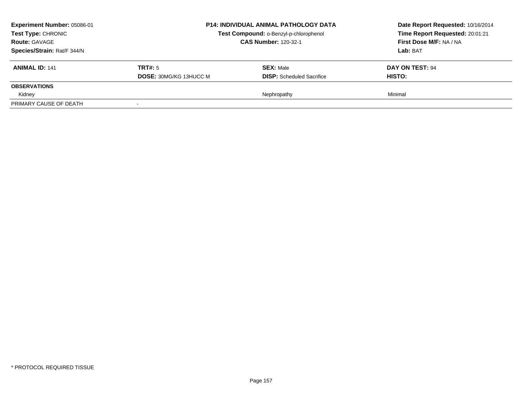| <b>Experiment Number: 05086-01</b><br><b>Test Type: CHRONIC</b><br><b>Route: GAVAGE</b><br>Species/Strain: Rat/F 344/N |                                          | <b>P14: INDIVIDUAL ANIMAL PATHOLOGY DATA</b><br>Test Compound: o-Benzyl-p-chlorophenol<br><b>CAS Number: 120-32-1</b> | Date Report Requested: 10/16/2014<br>Time Report Requested: 20:01:21<br>First Dose M/F: NA / NA<br>Lab: BAT |
|------------------------------------------------------------------------------------------------------------------------|------------------------------------------|-----------------------------------------------------------------------------------------------------------------------|-------------------------------------------------------------------------------------------------------------|
| <b>ANIMAL ID: 141</b>                                                                                                  | TRT#: 5<br><b>DOSE: 30MG/KG 13HUCC M</b> | <b>SEX: Male</b><br><b>DISP:</b> Scheduled Sacrifice                                                                  | DAY ON TEST: 94<br><b>HISTO:</b>                                                                            |
| <b>OBSERVATIONS</b>                                                                                                    |                                          |                                                                                                                       |                                                                                                             |
| Kidney                                                                                                                 |                                          | Nephropathy                                                                                                           | Minimal                                                                                                     |
| PRIMARY CAUSE OF DEATH                                                                                                 |                                          |                                                                                                                       |                                                                                                             |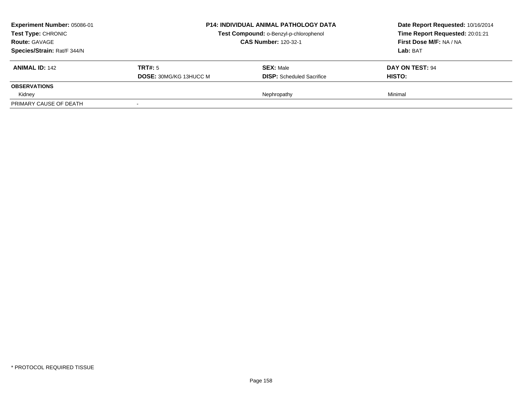| <b>Experiment Number: 05086-01</b><br><b>Test Type: CHRONIC</b><br><b>Route: GAVAGE</b><br>Species/Strain: Rat/F 344/N |                                          | <b>P14: INDIVIDUAL ANIMAL PATHOLOGY DATA</b><br>Test Compound: o-Benzyl-p-chlorophenol<br><b>CAS Number: 120-32-1</b> | Date Report Requested: 10/16/2014<br>Time Report Requested: 20:01:21<br>First Dose M/F: NA / NA<br>Lab: BAT |
|------------------------------------------------------------------------------------------------------------------------|------------------------------------------|-----------------------------------------------------------------------------------------------------------------------|-------------------------------------------------------------------------------------------------------------|
| <b>ANIMAL ID: 142</b>                                                                                                  | TRT#: 5<br><b>DOSE: 30MG/KG 13HUCC M</b> | <b>SEX: Male</b><br><b>DISP:</b> Scheduled Sacrifice                                                                  | DAY ON TEST: 94<br><b>HISTO:</b>                                                                            |
| <b>OBSERVATIONS</b>                                                                                                    |                                          |                                                                                                                       |                                                                                                             |
| Kidney                                                                                                                 |                                          | Nephropathy                                                                                                           | Minimal                                                                                                     |
| PRIMARY CAUSE OF DEATH                                                                                                 |                                          |                                                                                                                       |                                                                                                             |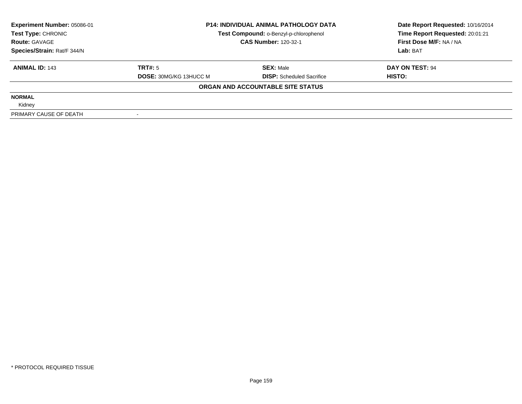| Experiment Number: 05086-01 | <b>P14: INDIVIDUAL ANIMAL PATHOLOGY DATA</b><br>Test Compound: o-Benzyl-p-chlorophenol |                                   | Date Report Requested: 10/16/2014 |  |
|-----------------------------|----------------------------------------------------------------------------------------|-----------------------------------|-----------------------------------|--|
| Test Type: CHRONIC          |                                                                                        |                                   | Time Report Requested: 20:01:21   |  |
| <b>Route: GAVAGE</b>        |                                                                                        | <b>CAS Number: 120-32-1</b>       |                                   |  |
| Species/Strain: Rat/F 344/N |                                                                                        |                                   | Lab: BAT                          |  |
| <b>ANIMAL ID: 143</b>       | TRT#: 5                                                                                | <b>SEX: Male</b>                  | DAY ON TEST: 94                   |  |
|                             | <b>DOSE: 30MG/KG 13HUCC M</b>                                                          | <b>DISP:</b> Scheduled Sacrifice  | HISTO:                            |  |
|                             |                                                                                        | ORGAN AND ACCOUNTABLE SITE STATUS |                                   |  |
| <b>NORMAL</b>               |                                                                                        |                                   |                                   |  |
| Kidney                      |                                                                                        |                                   |                                   |  |
| PRIMARY CAUSE OF DEATH      |                                                                                        |                                   |                                   |  |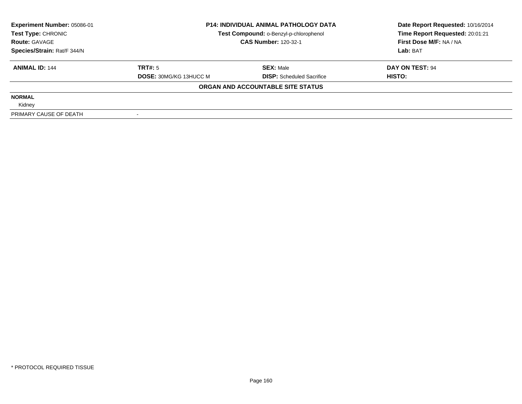| Experiment Number: 05086-01 | <b>P14: INDIVIDUAL ANIMAL PATHOLOGY DATA</b> |                                        | Date Report Requested: 10/16/2014 |  |
|-----------------------------|----------------------------------------------|----------------------------------------|-----------------------------------|--|
| Test Type: CHRONIC          |                                              | Test Compound: o-Benzyl-p-chlorophenol |                                   |  |
| <b>Route: GAVAGE</b>        |                                              | <b>CAS Number: 120-32-1</b>            | First Dose M/F: NA / NA           |  |
| Species/Strain: Rat/F 344/N |                                              |                                        | Lab: BAT                          |  |
| <b>ANIMAL ID: 144</b>       | TRT#: 5                                      | <b>SEX: Male</b>                       | DAY ON TEST: 94                   |  |
|                             | <b>DOSE: 30MG/KG 13HUCC M</b>                | <b>DISP:</b> Scheduled Sacrifice       | HISTO:                            |  |
|                             |                                              | ORGAN AND ACCOUNTABLE SITE STATUS      |                                   |  |
| <b>NORMAL</b>               |                                              |                                        |                                   |  |
| Kidney                      |                                              |                                        |                                   |  |
| PRIMARY CAUSE OF DEATH      |                                              |                                        |                                   |  |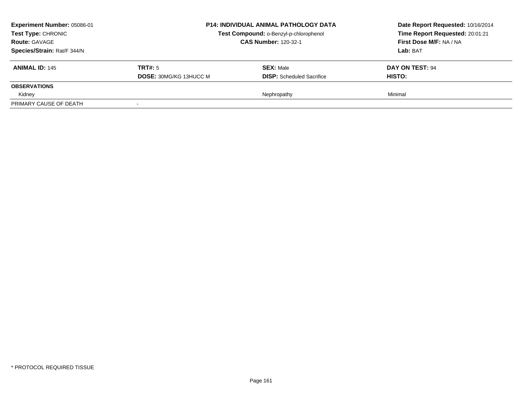| <b>Experiment Number: 05086-01</b><br><b>Test Type: CHRONIC</b><br><b>Route: GAVAGE</b><br>Species/Strain: Rat/F 344/N |                                          |                                                      | <b>P14: INDIVIDUAL ANIMAL PATHOLOGY DATA</b><br>Test Compound: o-Benzyl-p-chlorophenol<br><b>CAS Number: 120-32-1</b> |  | Date Report Requested: 10/16/2014<br>Time Report Requested: 20:01:21<br>First Dose M/F: NA / NA<br>Lab: BAT |
|------------------------------------------------------------------------------------------------------------------------|------------------------------------------|------------------------------------------------------|-----------------------------------------------------------------------------------------------------------------------|--|-------------------------------------------------------------------------------------------------------------|
| <b>ANIMAL ID: 145</b>                                                                                                  | TRT#: 5<br><b>DOSE: 30MG/KG 13HUCC M</b> | <b>SEX: Male</b><br><b>DISP:</b> Scheduled Sacrifice | DAY ON TEST: 94<br><b>HISTO:</b>                                                                                      |  |                                                                                                             |
| <b>OBSERVATIONS</b>                                                                                                    |                                          |                                                      |                                                                                                                       |  |                                                                                                             |
| Kidney<br>PRIMARY CAUSE OF DEATH                                                                                       |                                          | Nephropathy                                          | Minimal                                                                                                               |  |                                                                                                             |
|                                                                                                                        |                                          |                                                      |                                                                                                                       |  |                                                                                                             |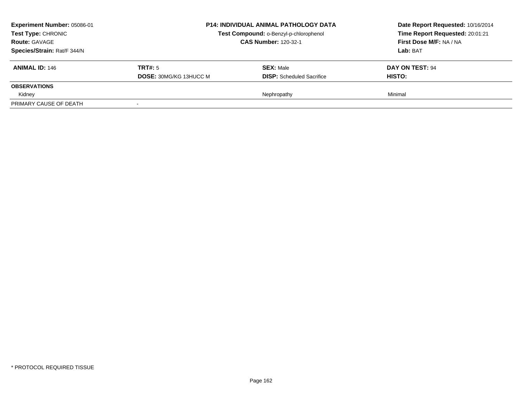| <b>Experiment Number: 05086-01</b><br><b>Test Type: CHRONIC</b><br><b>Route: GAVAGE</b><br>Species/Strain: Rat/F 344/N |                                          | <b>P14: INDIVIDUAL ANIMAL PATHOLOGY DATA</b><br>Test Compound: o-Benzyl-p-chlorophenol<br><b>CAS Number: 120-32-1</b> | Date Report Requested: 10/16/2014<br>Time Report Requested: 20:01:21<br>First Dose M/F: NA / NA<br>Lab: BAT |
|------------------------------------------------------------------------------------------------------------------------|------------------------------------------|-----------------------------------------------------------------------------------------------------------------------|-------------------------------------------------------------------------------------------------------------|
| <b>ANIMAL ID: 146</b>                                                                                                  | TRT#: 5<br><b>DOSE: 30MG/KG 13HUCC M</b> | <b>SEX: Male</b><br><b>DISP:</b> Scheduled Sacrifice                                                                  | DAY ON TEST: 94<br><b>HISTO:</b>                                                                            |
| <b>OBSERVATIONS</b>                                                                                                    |                                          |                                                                                                                       |                                                                                                             |
| Kidney                                                                                                                 |                                          | Nephropathy                                                                                                           | Minimal                                                                                                     |
| PRIMARY CAUSE OF DEATH                                                                                                 |                                          |                                                                                                                       |                                                                                                             |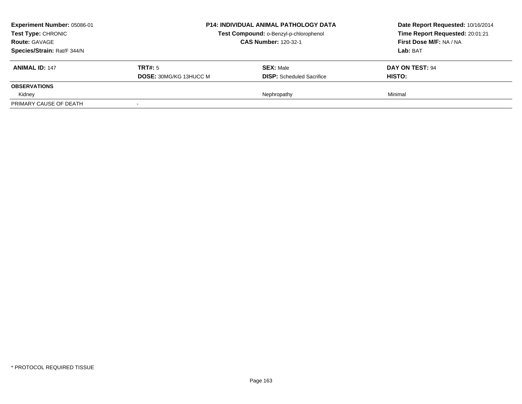| <b>Experiment Number: 05086-01</b><br><b>Test Type: CHRONIC</b><br><b>Route: GAVAGE</b><br>Species/Strain: Rat/F 344/N |                                          | <b>P14: INDIVIDUAL ANIMAL PATHOLOGY DATA</b><br>Test Compound: o-Benzyl-p-chlorophenol<br><b>CAS Number: 120-32-1</b> | Date Report Requested: 10/16/2014<br>Time Report Requested: 20:01:21<br>First Dose M/F: NA / NA<br>Lab: BAT |
|------------------------------------------------------------------------------------------------------------------------|------------------------------------------|-----------------------------------------------------------------------------------------------------------------------|-------------------------------------------------------------------------------------------------------------|
| <b>ANIMAL ID: 147</b>                                                                                                  | TRT#: 5<br><b>DOSE: 30MG/KG 13HUCC M</b> | <b>SEX: Male</b><br><b>DISP:</b> Scheduled Sacrifice                                                                  | DAY ON TEST: 94<br><b>HISTO:</b>                                                                            |
| <b>OBSERVATIONS</b>                                                                                                    |                                          |                                                                                                                       |                                                                                                             |
| Kidney                                                                                                                 |                                          | Nephropathy                                                                                                           | Minimal                                                                                                     |
| PRIMARY CAUSE OF DEATH                                                                                                 |                                          |                                                                                                                       |                                                                                                             |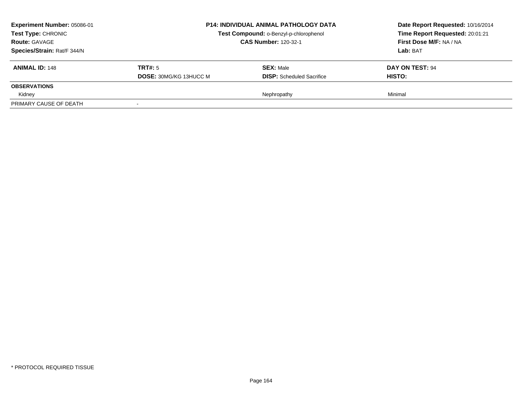| <b>Experiment Number: 05086-01</b><br><b>Test Type: CHRONIC</b><br><b>Route: GAVAGE</b><br>Species/Strain: Rat/F 344/N |                                          | <b>P14: INDIVIDUAL ANIMAL PATHOLOGY DATA</b><br>Test Compound: o-Benzyl-p-chlorophenol<br><b>CAS Number: 120-32-1</b> | Date Report Requested: 10/16/2014<br>Time Report Requested: 20:01:21<br>First Dose M/F: NA / NA<br>Lab: BAT |
|------------------------------------------------------------------------------------------------------------------------|------------------------------------------|-----------------------------------------------------------------------------------------------------------------------|-------------------------------------------------------------------------------------------------------------|
| <b>ANIMAL ID: 148</b>                                                                                                  | TRT#: 5<br><b>DOSE: 30MG/KG 13HUCC M</b> | <b>SEX: Male</b><br><b>DISP:</b> Scheduled Sacrifice                                                                  | DAY ON TEST: 94<br><b>HISTO:</b>                                                                            |
| <b>OBSERVATIONS</b>                                                                                                    |                                          |                                                                                                                       |                                                                                                             |
| Kidney                                                                                                                 |                                          | Nephropathy                                                                                                           | Minimal                                                                                                     |
| PRIMARY CAUSE OF DEATH                                                                                                 |                                          |                                                                                                                       |                                                                                                             |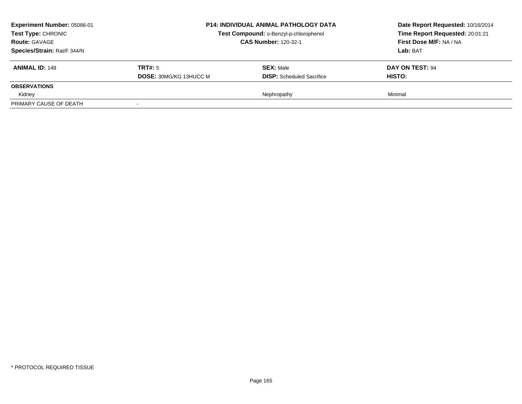| <b>Experiment Number: 05086-01</b><br><b>Test Type: CHRONIC</b><br><b>Route: GAVAGE</b><br>Species/Strain: Rat/F 344/N |                                          | <b>P14: INDIVIDUAL ANIMAL PATHOLOGY DATA</b><br>Test Compound: o-Benzyl-p-chlorophenol<br><b>CAS Number: 120-32-1</b> | Date Report Requested: 10/16/2014<br>Time Report Requested: 20:01:21<br>First Dose M/F: NA / NA<br>Lab: BAT |
|------------------------------------------------------------------------------------------------------------------------|------------------------------------------|-----------------------------------------------------------------------------------------------------------------------|-------------------------------------------------------------------------------------------------------------|
| <b>ANIMAL ID: 149</b>                                                                                                  | TRT#: 5<br><b>DOSE: 30MG/KG 13HUCC M</b> | <b>SEX: Male</b><br><b>DISP:</b> Scheduled Sacrifice                                                                  | DAY ON TEST: 94<br><b>HISTO:</b>                                                                            |
| <b>OBSERVATIONS</b>                                                                                                    |                                          |                                                                                                                       |                                                                                                             |
| Kidney                                                                                                                 |                                          | Nephropathy                                                                                                           | Minimal                                                                                                     |
| PRIMARY CAUSE OF DEATH                                                                                                 |                                          |                                                                                                                       |                                                                                                             |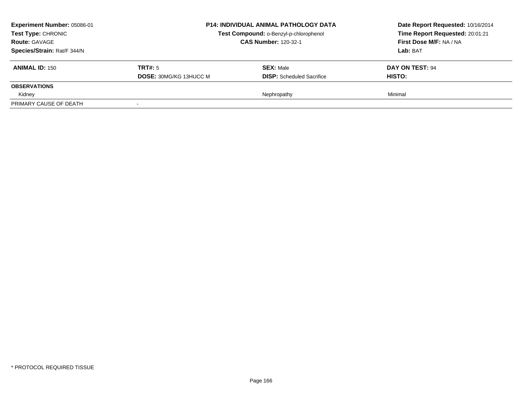| <b>Experiment Number: 05086-01</b><br><b>Test Type: CHRONIC</b><br><b>Route: GAVAGE</b><br>Species/Strain: Rat/F 344/N |                                          | <b>P14: INDIVIDUAL ANIMAL PATHOLOGY DATA</b><br>Test Compound: o-Benzyl-p-chlorophenol<br><b>CAS Number: 120-32-1</b> | Date Report Requested: 10/16/2014<br>Time Report Requested: 20:01:21<br>First Dose M/F: NA / NA<br>Lab: BAT |
|------------------------------------------------------------------------------------------------------------------------|------------------------------------------|-----------------------------------------------------------------------------------------------------------------------|-------------------------------------------------------------------------------------------------------------|
| <b>ANIMAL ID: 150</b>                                                                                                  | TRT#: 5<br><b>DOSE: 30MG/KG 13HUCC M</b> | <b>SEX: Male</b><br><b>DISP:</b> Scheduled Sacrifice                                                                  | DAY ON TEST: 94<br><b>HISTO:</b>                                                                            |
| <b>OBSERVATIONS</b>                                                                                                    |                                          |                                                                                                                       |                                                                                                             |
| Kidney                                                                                                                 |                                          | Nephropathy                                                                                                           | Minimal                                                                                                     |
| PRIMARY CAUSE OF DEATH                                                                                                 |                                          |                                                                                                                       |                                                                                                             |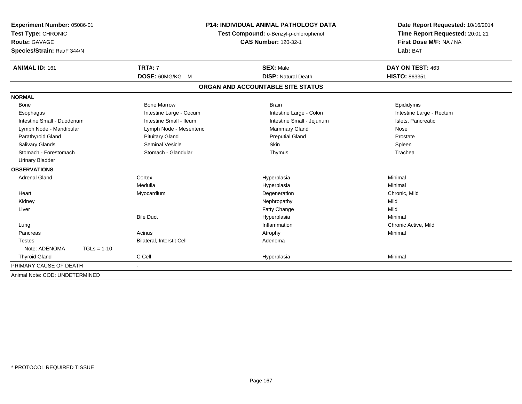| Experiment Number: 05086-01<br>Test Type: CHRONIC |                           | <b>P14: INDIVIDUAL ANIMAL PATHOLOGY DATA</b><br>Test Compound: o-Benzyl-p-chlorophenol | Date Report Requested: 10/16/2014<br>Time Report Requested: 20:01:21 |
|---------------------------------------------------|---------------------------|----------------------------------------------------------------------------------------|----------------------------------------------------------------------|
| Route: GAVAGE<br>Species/Strain: Rat/F 344/N      |                           | <b>CAS Number: 120-32-1</b>                                                            | First Dose M/F: NA / NA<br>Lab: BAT                                  |
| <b>ANIMAL ID: 161</b>                             | <b>TRT#: 7</b>            | <b>SEX: Male</b>                                                                       | DAY ON TEST: 463                                                     |
|                                                   | DOSE: 60MG/KG M           | <b>DISP: Natural Death</b>                                                             | HISTO: 863351                                                        |
|                                                   |                           | ORGAN AND ACCOUNTABLE SITE STATUS                                                      |                                                                      |
| <b>NORMAL</b>                                     |                           |                                                                                        |                                                                      |
| <b>Bone</b>                                       | <b>Bone Marrow</b>        | <b>Brain</b>                                                                           | Epididymis                                                           |
| Esophagus                                         | Intestine Large - Cecum   | Intestine Large - Colon                                                                | Intestine Large - Rectum                                             |
| Intestine Small - Duodenum                        | Intestine Small - Ileum   | Intestine Small - Jejunum                                                              | Islets, Pancreatic                                                   |
| Lymph Node - Mandibular                           | Lymph Node - Mesenteric   | <b>Mammary Gland</b>                                                                   | Nose                                                                 |
| Parathyroid Gland                                 | <b>Pituitary Gland</b>    | <b>Preputial Gland</b>                                                                 | Prostate                                                             |
| <b>Salivary Glands</b>                            | <b>Seminal Vesicle</b>    | Skin                                                                                   | Spleen                                                               |
| Stomach - Forestomach                             | Stomach - Glandular       | Thymus                                                                                 | Trachea                                                              |
| <b>Urinary Bladder</b>                            |                           |                                                                                        |                                                                      |
| <b>OBSERVATIONS</b>                               |                           |                                                                                        |                                                                      |
| <b>Adrenal Gland</b>                              | Cortex                    | Hyperplasia                                                                            | Minimal                                                              |
|                                                   | Medulla                   | Hyperplasia                                                                            | Minimal                                                              |
| Heart                                             | Myocardium                | Degeneration                                                                           | Chronic, Mild                                                        |
| Kidney                                            |                           | Nephropathy                                                                            | Mild                                                                 |
| Liver                                             |                           | <b>Fatty Change</b>                                                                    | Mild                                                                 |
|                                                   | <b>Bile Duct</b>          | Hyperplasia                                                                            | Minimal                                                              |
| Lung                                              |                           | Inflammation                                                                           | Chronic Active, Mild                                                 |
| Pancreas                                          | Acinus                    | Atrophy                                                                                | Minimal                                                              |
| <b>Testes</b>                                     | Bilateral, Interstit Cell | Adenoma                                                                                |                                                                      |
| Note: ADENOMA<br>$TGLs = 1-10$                    |                           |                                                                                        |                                                                      |
| <b>Thyroid Gland</b>                              | C Cell                    | Hyperplasia                                                                            | Minimal                                                              |
| PRIMARY CAUSE OF DEATH                            | $\blacksquare$            |                                                                                        |                                                                      |
| Animal Note: COD: UNDETERMINED                    |                           |                                                                                        |                                                                      |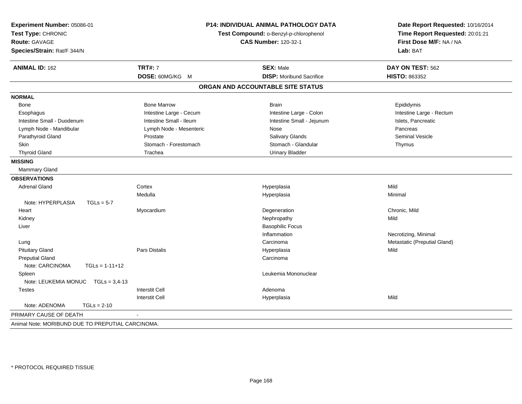| <b>ANIMAL ID: 162</b><br><b>NORMAL</b>            | <b>TRT#: 7</b><br>DOSE: 60MG/KG M | <b>SEX: Male</b><br><b>DISP:</b> Moribund Sacrifice | DAY ON TEST: 562             |
|---------------------------------------------------|-----------------------------------|-----------------------------------------------------|------------------------------|
|                                                   |                                   |                                                     |                              |
|                                                   |                                   |                                                     | <b>HISTO: 863352</b>         |
|                                                   |                                   | ORGAN AND ACCOUNTABLE SITE STATUS                   |                              |
|                                                   |                                   |                                                     |                              |
| Bone                                              | <b>Bone Marrow</b>                | <b>Brain</b>                                        | Epididymis                   |
| Esophagus                                         | Intestine Large - Cecum           | Intestine Large - Colon                             | Intestine Large - Rectum     |
| Intestine Small - Duodenum                        | Intestine Small - Ileum           | Intestine Small - Jejunum                           | Islets, Pancreatic           |
| Lymph Node - Mandibular                           | Lymph Node - Mesenteric           | Nose                                                | Pancreas                     |
| Parathyroid Gland                                 | Prostate                          | Salivary Glands                                     | <b>Seminal Vesicle</b>       |
| Skin                                              | Stomach - Forestomach             | Stomach - Glandular                                 | Thymus                       |
| <b>Thyroid Gland</b>                              | Trachea                           | <b>Urinary Bladder</b>                              |                              |
| <b>MISSING</b>                                    |                                   |                                                     |                              |
| <b>Mammary Gland</b>                              |                                   |                                                     |                              |
| <b>OBSERVATIONS</b>                               |                                   |                                                     |                              |
| <b>Adrenal Gland</b>                              | Cortex                            | Hyperplasia                                         | Mild                         |
|                                                   | Medulla                           | Hyperplasia                                         | Minimal                      |
| Note: HYPERPLASIA<br>$TGLs = 5-7$                 |                                   |                                                     |                              |
| Heart                                             | Myocardium                        | Degeneration                                        | Chronic, Mild                |
| Kidney                                            |                                   | Nephropathy                                         | Mild                         |
| Liver                                             |                                   | <b>Basophilic Focus</b>                             |                              |
|                                                   |                                   | Inflammation                                        | Necrotizing, Minimal         |
| Lung                                              |                                   | Carcinoma                                           | Metastatic (Preputial Gland) |
| <b>Pituitary Gland</b>                            | Pars Distalis                     | Hyperplasia                                         | Mild                         |
| <b>Preputial Gland</b>                            |                                   | Carcinoma                                           |                              |
| Note: CARCINOMA<br>$TGLs = 1-11+12$               |                                   |                                                     |                              |
| Spleen                                            |                                   | Leukemia Mononuclear                                |                              |
| Note: LEUKEMIA MONUC  TGLs = 3,4-13               |                                   |                                                     |                              |
| <b>Testes</b>                                     | <b>Interstit Cell</b>             | Adenoma                                             |                              |
| Note: ADENOMA<br>$TGLs = 2-10$                    | <b>Interstit Cell</b>             | Hyperplasia                                         | Mild                         |
| PRIMARY CAUSE OF DEATH                            |                                   |                                                     |                              |
| Animal Note: MORIBUND DUE TO PREPUTIAL CARCINOMA. |                                   |                                                     |                              |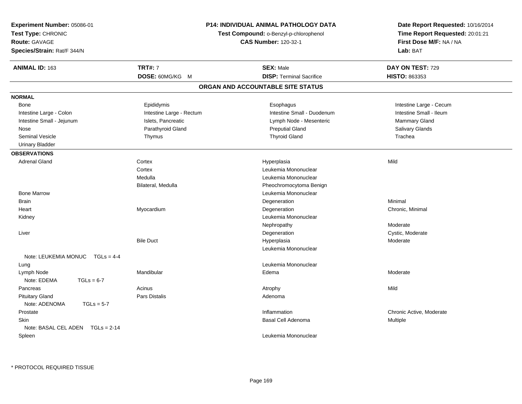| Experiment Number: 05086-01<br>Test Type: CHRONIC<br><b>Route: GAVAGE</b><br>Species/Strain: Rat/F 344/N |                          | <b>P14: INDIVIDUAL ANIMAL PATHOLOGY DATA</b><br>Test Compound: o-Benzyl-p-chlorophenol<br><b>CAS Number: 120-32-1</b> | Date Report Requested: 10/16/2014<br>Time Report Requested: 20:01:21<br>First Dose M/F: NA / NA<br>Lab: BAT |  |
|----------------------------------------------------------------------------------------------------------|--------------------------|-----------------------------------------------------------------------------------------------------------------------|-------------------------------------------------------------------------------------------------------------|--|
| <b>ANIMAL ID: 163</b>                                                                                    | <b>TRT#: 7</b>           | <b>SEX: Male</b>                                                                                                      | DAY ON TEST: 729                                                                                            |  |
|                                                                                                          | DOSE: 60MG/KG M          | <b>DISP: Terminal Sacrifice</b>                                                                                       | HISTO: 863353                                                                                               |  |
|                                                                                                          |                          | ORGAN AND ACCOUNTABLE SITE STATUS                                                                                     |                                                                                                             |  |
| <b>NORMAL</b>                                                                                            |                          |                                                                                                                       |                                                                                                             |  |
| Bone                                                                                                     | Epididymis               | Esophagus                                                                                                             | Intestine Large - Cecum                                                                                     |  |
| Intestine Large - Colon                                                                                  | Intestine Large - Rectum | Intestine Small - Duodenum                                                                                            | Intestine Small - Ileum                                                                                     |  |
| Intestine Small - Jejunum                                                                                | Islets, Pancreatic       | Lymph Node - Mesenteric                                                                                               | Mammary Gland                                                                                               |  |
| Nose                                                                                                     | Parathyroid Gland        | <b>Preputial Gland</b>                                                                                                | Salivary Glands                                                                                             |  |
| <b>Seminal Vesicle</b>                                                                                   | Thymus                   | <b>Thyroid Gland</b>                                                                                                  | Trachea                                                                                                     |  |
| <b>Urinary Bladder</b>                                                                                   |                          |                                                                                                                       |                                                                                                             |  |
| <b>OBSERVATIONS</b>                                                                                      |                          |                                                                                                                       |                                                                                                             |  |
| <b>Adrenal Gland</b>                                                                                     | Cortex                   | Hyperplasia                                                                                                           | Mild                                                                                                        |  |
|                                                                                                          | Cortex                   | Leukemia Mononuclear                                                                                                  |                                                                                                             |  |
|                                                                                                          | Medulla                  | Leukemia Mononuclear                                                                                                  |                                                                                                             |  |
|                                                                                                          | Bilateral, Medulla       | Pheochromocytoma Benign                                                                                               |                                                                                                             |  |
| <b>Bone Marrow</b>                                                                                       |                          | Leukemia Mononuclear                                                                                                  |                                                                                                             |  |
| <b>Brain</b>                                                                                             |                          | Degeneration                                                                                                          | Minimal                                                                                                     |  |
| Heart                                                                                                    | Myocardium               | Degeneration                                                                                                          | Chronic, Minimal                                                                                            |  |
| Kidney                                                                                                   |                          | Leukemia Mononuclear                                                                                                  |                                                                                                             |  |
|                                                                                                          |                          | Nephropathy                                                                                                           | Moderate                                                                                                    |  |
| Liver                                                                                                    |                          | Degeneration                                                                                                          | Cystic, Moderate                                                                                            |  |
|                                                                                                          | <b>Bile Duct</b>         | Hyperplasia                                                                                                           | Moderate                                                                                                    |  |
|                                                                                                          |                          | Leukemia Mononuclear                                                                                                  |                                                                                                             |  |
| Note: LEUKEMIA MONUC TGLs = 4-4                                                                          |                          |                                                                                                                       |                                                                                                             |  |
| Lung                                                                                                     |                          | Leukemia Mononuclear                                                                                                  |                                                                                                             |  |
| Lymph Node                                                                                               | Mandibular               | Edema                                                                                                                 | Moderate                                                                                                    |  |
| Note: EDEMA<br>$TGLs = 6-7$                                                                              |                          |                                                                                                                       |                                                                                                             |  |
| Pancreas                                                                                                 | Acinus                   | Atrophy                                                                                                               | Mild                                                                                                        |  |
| <b>Pituitary Gland</b>                                                                                   | Pars Distalis            | Adenoma                                                                                                               |                                                                                                             |  |
| Note: ADENOMA<br>$TGLs = 5-7$                                                                            |                          |                                                                                                                       |                                                                                                             |  |
| Prostate                                                                                                 |                          | Inflammation                                                                                                          | Chronic Active, Moderate                                                                                    |  |
| <b>Skin</b>                                                                                              |                          | <b>Basal Cell Adenoma</b>                                                                                             | Multiple                                                                                                    |  |
| Note: BASAL CEL ADEN $TGLs = 2-14$                                                                       |                          |                                                                                                                       |                                                                                                             |  |
| Spleen                                                                                                   |                          | Leukemia Mononuclear                                                                                                  |                                                                                                             |  |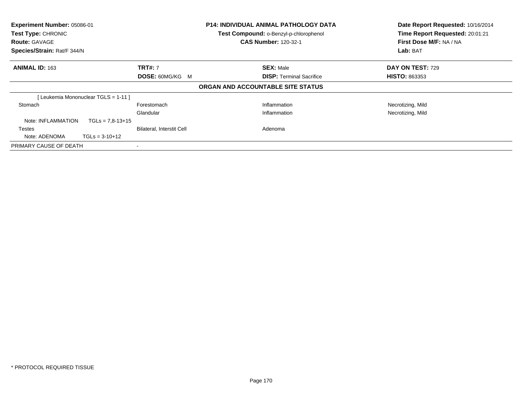| Experiment Number: 05086-01<br>Test Type: CHRONIC<br><b>Route: GAVAGE</b><br>Species/Strain: Rat/F 344/N |                                    | <b>P14: INDIVIDUAL ANIMAL PATHOLOGY DATA</b><br>Test Compound: o-Benzyl-p-chlorophenol<br><b>CAS Number: 120-32-1</b> |  | Date Report Requested: 10/16/2014<br>Time Report Requested: 20:01:21<br>First Dose M/F: NA / NA<br>Lab: BAT |                         |
|----------------------------------------------------------------------------------------------------------|------------------------------------|-----------------------------------------------------------------------------------------------------------------------|--|-------------------------------------------------------------------------------------------------------------|-------------------------|
| <b>ANIMAL ID: 163</b>                                                                                    |                                    | <b>TRT#: 7</b>                                                                                                        |  | <b>SEX: Male</b>                                                                                            | <b>DAY ON TEST: 729</b> |
|                                                                                                          |                                    | <b>DOSE: 60MG/KG M</b>                                                                                                |  | <b>DISP:</b> Terminal Sacrifice                                                                             | <b>HISTO: 863353</b>    |
|                                                                                                          |                                    |                                                                                                                       |  | ORGAN AND ACCOUNTABLE SITE STATUS                                                                           |                         |
|                                                                                                          | [Leukemia Mononuclear TGLS = 1-11] |                                                                                                                       |  |                                                                                                             |                         |
| Stomach                                                                                                  |                                    | Forestomach                                                                                                           |  | Inflammation                                                                                                | Necrotizing, Mild       |
|                                                                                                          |                                    | Glandular                                                                                                             |  | Inflammation                                                                                                | Necrotizing, Mild       |
| Note: INFLAMMATION                                                                                       | $TGLs = 7.8 - 13 + 15$             |                                                                                                                       |  |                                                                                                             |                         |
| Testes                                                                                                   |                                    | <b>Bilateral, Interstit Cell</b>                                                                                      |  | Adenoma                                                                                                     |                         |
| Note: ADENOMA                                                                                            | $TGLs = 3-10+12$                   |                                                                                                                       |  |                                                                                                             |                         |
| PRIMARY CAUSE OF DEATH                                                                                   |                                    |                                                                                                                       |  |                                                                                                             |                         |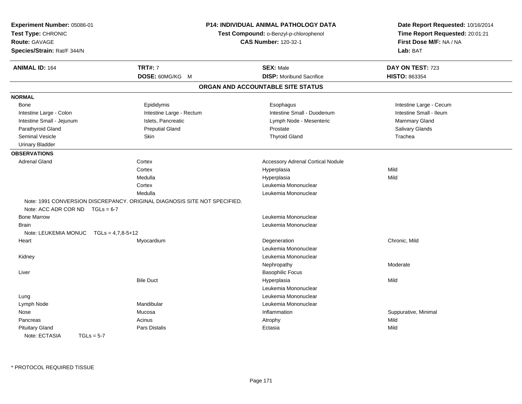| Experiment Number: 05086-01<br>Test Type: CHRONIC<br>Route: GAVAGE<br>Species/Strain: Rat/F 344/N |                                                                           | P14: INDIVIDUAL ANIMAL PATHOLOGY DATA<br>Test Compound: o-Benzyl-p-chlorophenol<br><b>CAS Number: 120-32-1</b> | Date Report Requested: 10/16/2014<br>Time Report Requested: 20:01:21<br>First Dose M/F: NA / NA<br>Lab: BAT |
|---------------------------------------------------------------------------------------------------|---------------------------------------------------------------------------|----------------------------------------------------------------------------------------------------------------|-------------------------------------------------------------------------------------------------------------|
| <b>ANIMAL ID: 164</b>                                                                             | <b>TRT#: 7</b>                                                            | <b>SEX: Male</b>                                                                                               | DAY ON TEST: 723                                                                                            |
|                                                                                                   | DOSE: 60MG/KG M                                                           | <b>DISP:</b> Moribund Sacrifice                                                                                | HISTO: 863354                                                                                               |
|                                                                                                   |                                                                           | ORGAN AND ACCOUNTABLE SITE STATUS                                                                              |                                                                                                             |
| <b>NORMAL</b>                                                                                     |                                                                           |                                                                                                                |                                                                                                             |
| <b>Bone</b>                                                                                       | Epididymis                                                                | Esophagus                                                                                                      | Intestine Large - Cecum                                                                                     |
| Intestine Large - Colon                                                                           | Intestine Large - Rectum                                                  | Intestine Small - Duodenum                                                                                     | Intestine Small - Ileum                                                                                     |
| Intestine Small - Jejunum                                                                         | Islets, Pancreatic                                                        | Lymph Node - Mesenteric                                                                                        | Mammary Gland                                                                                               |
| Parathyroid Gland                                                                                 | <b>Preputial Gland</b>                                                    | Prostate                                                                                                       | Salivary Glands                                                                                             |
| <b>Seminal Vesicle</b>                                                                            | Skin                                                                      | <b>Thyroid Gland</b>                                                                                           | Trachea                                                                                                     |
| <b>Urinary Bladder</b>                                                                            |                                                                           |                                                                                                                |                                                                                                             |
| <b>OBSERVATIONS</b>                                                                               |                                                                           |                                                                                                                |                                                                                                             |
| <b>Adrenal Gland</b>                                                                              | Cortex                                                                    | <b>Accessory Adrenal Cortical Nodule</b>                                                                       |                                                                                                             |
|                                                                                                   | Cortex                                                                    | Hyperplasia                                                                                                    | Mild                                                                                                        |
|                                                                                                   | Medulla                                                                   | Hyperplasia                                                                                                    | Mild                                                                                                        |
|                                                                                                   | Cortex                                                                    | Leukemia Mononuclear                                                                                           |                                                                                                             |
|                                                                                                   | Medulla                                                                   | Leukemia Mononuclear                                                                                           |                                                                                                             |
|                                                                                                   | Note: 1991 CONVERSION DISCREPANCY. ORIGINAL DIAGNOSIS SITE NOT SPECIFIED. |                                                                                                                |                                                                                                             |
| Note: ACC ADR COR ND $TGLs = 6-7$                                                                 |                                                                           |                                                                                                                |                                                                                                             |
| <b>Bone Marrow</b>                                                                                |                                                                           | Leukemia Mononuclear                                                                                           |                                                                                                             |
| Brain                                                                                             |                                                                           | Leukemia Mononuclear                                                                                           |                                                                                                             |
| Note: LEUKEMIA MONUC                                                                              | $TGLs = 4,7,8-5+12$                                                       |                                                                                                                |                                                                                                             |
| Heart                                                                                             | Myocardium                                                                | Degeneration                                                                                                   | Chronic, Mild                                                                                               |
|                                                                                                   |                                                                           | Leukemia Mononuclear                                                                                           |                                                                                                             |
| Kidney                                                                                            |                                                                           | Leukemia Mononuclear                                                                                           |                                                                                                             |
|                                                                                                   |                                                                           | Nephropathy                                                                                                    | Moderate                                                                                                    |
| Liver                                                                                             |                                                                           | <b>Basophilic Focus</b>                                                                                        |                                                                                                             |
|                                                                                                   | <b>Bile Duct</b>                                                          | Hyperplasia                                                                                                    | Mild                                                                                                        |
|                                                                                                   |                                                                           | Leukemia Mononuclear                                                                                           |                                                                                                             |
| Lung                                                                                              |                                                                           | Leukemia Mononuclear                                                                                           |                                                                                                             |
| Lymph Node                                                                                        | Mandibular                                                                | Leukemia Mononuclear                                                                                           |                                                                                                             |
| Nose                                                                                              | Mucosa                                                                    | Inflammation                                                                                                   | Suppurative, Minimal                                                                                        |
| Pancreas                                                                                          | Acinus                                                                    | Atrophy                                                                                                        | Mild                                                                                                        |
| <b>Pituitary Gland</b>                                                                            | Pars Distalis                                                             | Ectasia                                                                                                        | Mild                                                                                                        |
| Note: ECTASIA<br>$TGLs = 5-7$                                                                     |                                                                           |                                                                                                                |                                                                                                             |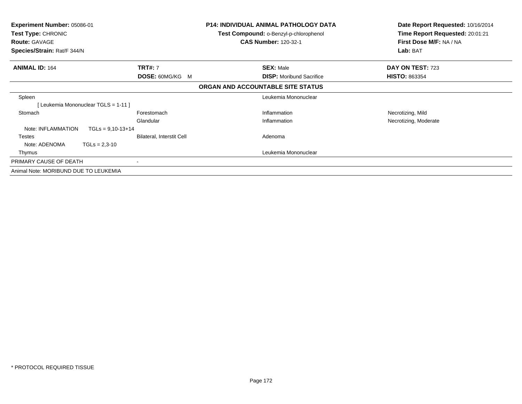| <b>Experiment Number: 05086-01</b><br>Test Type: CHRONIC<br><b>Route: GAVAGE</b><br>Species/Strain: Rat/F 344/N |                           | <b>P14: INDIVIDUAL ANIMAL PATHOLOGY DATA</b><br><b>Test Compound: o-Benzyl-p-chlorophenol</b><br><b>CAS Number: 120-32-1</b> | Date Report Requested: 10/16/2014<br>Time Report Requested: 20:01:21<br>First Dose M/F: NA / NA<br>Lab: BAT |
|-----------------------------------------------------------------------------------------------------------------|---------------------------|------------------------------------------------------------------------------------------------------------------------------|-------------------------------------------------------------------------------------------------------------|
| <b>ANIMAL ID: 164</b>                                                                                           | <b>TRT#: 7</b>            | <b>SEX: Male</b>                                                                                                             | DAY ON TEST: 723                                                                                            |
|                                                                                                                 | <b>DOSE: 60MG/KG M</b>    | <b>DISP:</b> Moribund Sacrifice                                                                                              | <b>HISTO: 863354</b>                                                                                        |
|                                                                                                                 |                           | ORGAN AND ACCOUNTABLE SITE STATUS                                                                                            |                                                                                                             |
| Spleen                                                                                                          |                           | Leukemia Mononuclear                                                                                                         |                                                                                                             |
| [Leukemia Mononuclear TGLS = 1-11]                                                                              |                           |                                                                                                                              |                                                                                                             |
| Stomach                                                                                                         | Forestomach               | Inflammation                                                                                                                 | Necrotizing, Mild                                                                                           |
|                                                                                                                 | Glandular                 | Inflammation                                                                                                                 | Necrotizing, Moderate                                                                                       |
| Note: INFLAMMATION<br>$TGLs = 9.10 - 13 + 14$                                                                   |                           |                                                                                                                              |                                                                                                             |
| Testes                                                                                                          | Bilateral, Interstit Cell | Adenoma                                                                                                                      |                                                                                                             |
| Note: ADENOMA<br>$TGLs = 2,3-10$                                                                                |                           |                                                                                                                              |                                                                                                             |
| Thymus                                                                                                          |                           | Leukemia Mononuclear                                                                                                         |                                                                                                             |
| PRIMARY CAUSE OF DEATH                                                                                          |                           |                                                                                                                              |                                                                                                             |
| Animal Note: MORIBUND DUE TO LEUKEMIA                                                                           |                           |                                                                                                                              |                                                                                                             |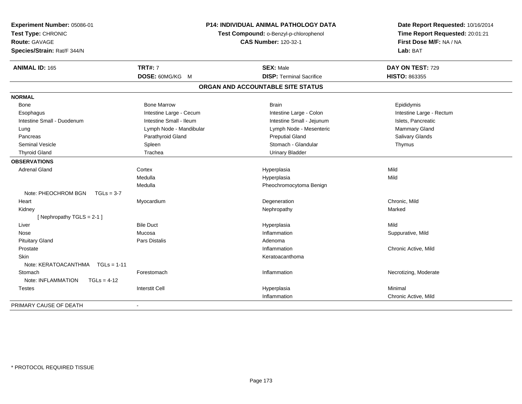| Experiment Number: 05086-01<br>Test Type: CHRONIC<br>Route: GAVAGE<br>Species/Strain: Rat/F 344/N | <b>P14: INDIVIDUAL ANIMAL PATHOLOGY DATA</b><br>Test Compound: o-Benzyl-p-chlorophenol<br><b>CAS Number: 120-32-1</b> |                                   | Date Report Requested: 10/16/2014<br>Time Report Requested: 20:01:21<br>First Dose M/F: NA / NA<br>Lab: BAT |  |
|---------------------------------------------------------------------------------------------------|-----------------------------------------------------------------------------------------------------------------------|-----------------------------------|-------------------------------------------------------------------------------------------------------------|--|
| <b>ANIMAL ID: 165</b>                                                                             | <b>TRT#: 7</b>                                                                                                        | <b>SEX: Male</b>                  | DAY ON TEST: 729                                                                                            |  |
|                                                                                                   | DOSE: 60MG/KG M                                                                                                       | <b>DISP: Terminal Sacrifice</b>   | HISTO: 863355                                                                                               |  |
|                                                                                                   |                                                                                                                       | ORGAN AND ACCOUNTABLE SITE STATUS |                                                                                                             |  |
| <b>NORMAL</b>                                                                                     |                                                                                                                       |                                   |                                                                                                             |  |
| Bone                                                                                              | <b>Bone Marrow</b>                                                                                                    | <b>Brain</b>                      | Epididymis                                                                                                  |  |
| Esophagus                                                                                         | Intestine Large - Cecum                                                                                               | Intestine Large - Colon           | Intestine Large - Rectum                                                                                    |  |
| Intestine Small - Duodenum                                                                        | Intestine Small - Ileum                                                                                               | Intestine Small - Jejunum         | Islets, Pancreatic                                                                                          |  |
| Lung                                                                                              | Lymph Node - Mandibular                                                                                               | Lymph Node - Mesenteric           | Mammary Gland                                                                                               |  |
| Pancreas                                                                                          | Parathyroid Gland                                                                                                     | <b>Preputial Gland</b>            | Salivary Glands                                                                                             |  |
| <b>Seminal Vesicle</b>                                                                            | Spleen                                                                                                                | Stomach - Glandular               | Thymus                                                                                                      |  |
| <b>Thyroid Gland</b>                                                                              | Trachea                                                                                                               | <b>Urinary Bladder</b>            |                                                                                                             |  |
| <b>OBSERVATIONS</b>                                                                               |                                                                                                                       |                                   |                                                                                                             |  |
| <b>Adrenal Gland</b>                                                                              | Cortex                                                                                                                | Hyperplasia                       | Mild                                                                                                        |  |
|                                                                                                   | Medulla                                                                                                               | Hyperplasia                       | Mild                                                                                                        |  |
|                                                                                                   | Medulla                                                                                                               | Pheochromocytoma Benign           |                                                                                                             |  |
| Note: PHEOCHROM BGN<br>$TGLs = 3-7$                                                               |                                                                                                                       |                                   |                                                                                                             |  |
| Heart                                                                                             | Myocardium                                                                                                            | Degeneration                      | Chronic, Mild                                                                                               |  |
| Kidney                                                                                            |                                                                                                                       | Nephropathy                       | Marked                                                                                                      |  |
| [Nephropathy TGLS = 2-1]                                                                          |                                                                                                                       |                                   |                                                                                                             |  |
| Liver                                                                                             | <b>Bile Duct</b>                                                                                                      | Hyperplasia                       | Mild                                                                                                        |  |
| Nose                                                                                              | Mucosa                                                                                                                | Inflammation                      | Suppurative, Mild                                                                                           |  |
| <b>Pituitary Gland</b>                                                                            | <b>Pars Distalis</b>                                                                                                  | Adenoma                           |                                                                                                             |  |
| Prostate                                                                                          |                                                                                                                       | Inflammation                      | Chronic Active, Mild                                                                                        |  |
| Skin                                                                                              |                                                                                                                       | Keratoacanthoma                   |                                                                                                             |  |
| Note: KERATOACANTHMA                                                                              | $TGLs = 1-11$                                                                                                         |                                   |                                                                                                             |  |
| Stomach                                                                                           | Forestomach                                                                                                           | Inflammation                      | Necrotizing, Moderate                                                                                       |  |
| Note: INFLAMMATION<br>$TGLs = 4-12$                                                               |                                                                                                                       |                                   |                                                                                                             |  |
| <b>Testes</b>                                                                                     | <b>Interstit Cell</b>                                                                                                 | Hyperplasia                       | Minimal                                                                                                     |  |
|                                                                                                   |                                                                                                                       | Inflammation                      | Chronic Active, Mild                                                                                        |  |
| PRIMARY CAUSE OF DEATH                                                                            | $\blacksquare$                                                                                                        |                                   |                                                                                                             |  |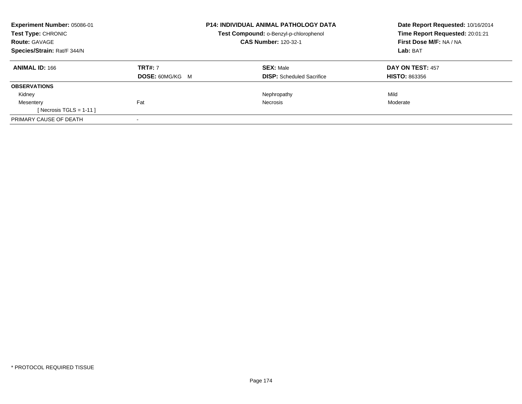| Experiment Number: 05086-01 |                        | <b>P14: INDIVIDUAL ANIMAL PATHOLOGY DATA</b>  | Date Report Requested: 10/16/2014 |
|-----------------------------|------------------------|-----------------------------------------------|-----------------------------------|
| <b>Test Type: CHRONIC</b>   |                        | <b>Test Compound: o-Benzyl-p-chlorophenol</b> | Time Report Requested: 20:01:21   |
| <b>Route: GAVAGE</b>        |                        | <b>CAS Number: 120-32-1</b>                   | First Dose M/F: NA / NA           |
| Species/Strain: Rat/F 344/N |                        |                                               | Lab: BAT                          |
| <b>ANIMAL ID: 166</b>       | <b>TRT#: 7</b>         | <b>SEX: Male</b>                              | DAY ON TEST: 457                  |
|                             | <b>DOSE: 60MG/KG M</b> | <b>DISP:</b> Scheduled Sacrifice              | <b>HISTO: 863356</b>              |
| <b>OBSERVATIONS</b>         |                        |                                               |                                   |
| Kidney                      |                        | Nephropathy                                   | Mild                              |
| Mesentery                   | Fat                    | Necrosis                                      | Moderate                          |
| [ Necrosis TGLS = $1-11$ ]  |                        |                                               |                                   |
| PRIMARY CAUSE OF DEATH      |                        |                                               |                                   |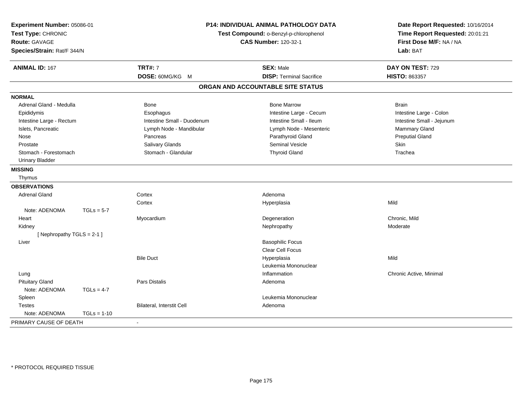| Experiment Number: 05086-01<br>Test Type: CHRONIC<br><b>Route: GAVAGE</b><br>Species/Strain: Rat/F 344/N |               | P14: INDIVIDUAL ANIMAL PATHOLOGY DATA<br>Test Compound: o-Benzyl-p-chlorophenol | Date Report Requested: 10/16/2014<br>Time Report Requested: 20:01:21<br>First Dose M/F: NA / NA<br>Lab: BAT |                           |
|----------------------------------------------------------------------------------------------------------|---------------|---------------------------------------------------------------------------------|-------------------------------------------------------------------------------------------------------------|---------------------------|
| <b>ANIMAL ID: 167</b>                                                                                    |               | <b>TRT#: 7</b>                                                                  | <b>SEX: Male</b>                                                                                            | DAY ON TEST: 729          |
|                                                                                                          |               | DOSE: 60MG/KG M                                                                 | <b>DISP: Terminal Sacrifice</b>                                                                             | HISTO: 863357             |
|                                                                                                          |               |                                                                                 | ORGAN AND ACCOUNTABLE SITE STATUS                                                                           |                           |
| <b>NORMAL</b>                                                                                            |               |                                                                                 |                                                                                                             |                           |
| Adrenal Gland - Medulla                                                                                  |               | Bone                                                                            | <b>Bone Marrow</b>                                                                                          | <b>Brain</b>              |
| Epididymis                                                                                               |               | Esophagus                                                                       | Intestine Large - Cecum                                                                                     | Intestine Large - Colon   |
| Intestine Large - Rectum                                                                                 |               | Intestine Small - Duodenum                                                      | Intestine Small - Ileum                                                                                     | Intestine Small - Jejunum |
| Islets, Pancreatic                                                                                       |               | Lymph Node - Mandibular                                                         | Lymph Node - Mesenteric                                                                                     | <b>Mammary Gland</b>      |
| Nose                                                                                                     |               | Pancreas                                                                        | Parathyroid Gland                                                                                           | <b>Preputial Gland</b>    |
| Prostate                                                                                                 |               | Salivary Glands                                                                 | Seminal Vesicle                                                                                             | Skin                      |
| Stomach - Forestomach                                                                                    |               | Stomach - Glandular                                                             | <b>Thyroid Gland</b>                                                                                        | Trachea                   |
| <b>Urinary Bladder</b>                                                                                   |               |                                                                                 |                                                                                                             |                           |
| <b>MISSING</b>                                                                                           |               |                                                                                 |                                                                                                             |                           |
| Thymus                                                                                                   |               |                                                                                 |                                                                                                             |                           |
| <b>OBSERVATIONS</b>                                                                                      |               |                                                                                 |                                                                                                             |                           |
| <b>Adrenal Gland</b>                                                                                     |               | Cortex                                                                          | Adenoma                                                                                                     |                           |
|                                                                                                          |               | Cortex                                                                          | Hyperplasia                                                                                                 | Mild                      |
| Note: ADENOMA                                                                                            | $TGLs = 5-7$  |                                                                                 |                                                                                                             |                           |
| Heart                                                                                                    |               | Myocardium                                                                      | Degeneration                                                                                                | Chronic, Mild             |
| Kidney                                                                                                   |               |                                                                                 | Nephropathy                                                                                                 | Moderate                  |
| [Nephropathy TGLS = 2-1]                                                                                 |               |                                                                                 |                                                                                                             |                           |
| Liver                                                                                                    |               |                                                                                 | <b>Basophilic Focus</b>                                                                                     |                           |
|                                                                                                          |               |                                                                                 | Clear Cell Focus                                                                                            |                           |
|                                                                                                          |               | <b>Bile Duct</b>                                                                | Hyperplasia                                                                                                 | Mild                      |
|                                                                                                          |               |                                                                                 | Leukemia Mononuclear                                                                                        |                           |
| Lung                                                                                                     |               |                                                                                 | Inflammation                                                                                                | Chronic Active, Minimal   |
| <b>Pituitary Gland</b>                                                                                   |               | <b>Pars Distalis</b>                                                            | Adenoma                                                                                                     |                           |
| Note: ADENOMA                                                                                            | $TGLs = 4-7$  |                                                                                 |                                                                                                             |                           |
| Spleen                                                                                                   |               |                                                                                 | Leukemia Mononuclear                                                                                        |                           |
| <b>Testes</b>                                                                                            |               | Bilateral, Interstit Cell                                                       | Adenoma                                                                                                     |                           |
| Note: ADENOMA                                                                                            | $TGLs = 1-10$ |                                                                                 |                                                                                                             |                           |
| PRIMARY CAUSE OF DEATH                                                                                   |               |                                                                                 |                                                                                                             |                           |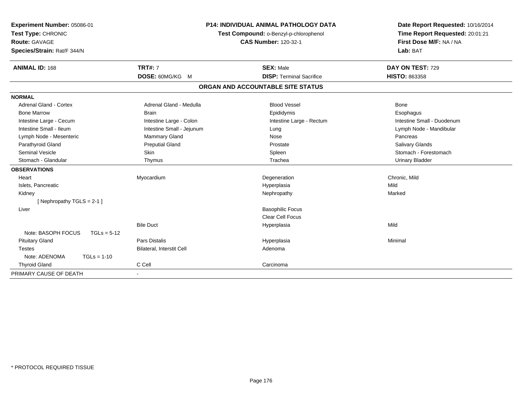| Experiment Number: 05086-01<br>Test Type: CHRONIC |                           | <b>P14: INDIVIDUAL ANIMAL PATHOLOGY DATA</b><br>Test Compound: o-Benzyl-p-chlorophenol | Date Report Requested: 10/16/2014<br>Time Report Requested: 20:01:21 |
|---------------------------------------------------|---------------------------|----------------------------------------------------------------------------------------|----------------------------------------------------------------------|
| <b>Route: GAVAGE</b>                              |                           | <b>CAS Number: 120-32-1</b>                                                            | First Dose M/F: NA / NA                                              |
| Species/Strain: Rat/F 344/N                       |                           |                                                                                        | Lab: BAT                                                             |
| <b>ANIMAL ID: 168</b>                             | <b>TRT#: 7</b>            | <b>SEX: Male</b>                                                                       | DAY ON TEST: 729                                                     |
|                                                   | DOSE: 60MG/KG M           | <b>DISP: Terminal Sacrifice</b>                                                        | <b>HISTO: 863358</b>                                                 |
|                                                   |                           | ORGAN AND ACCOUNTABLE SITE STATUS                                                      |                                                                      |
| <b>NORMAL</b>                                     |                           |                                                                                        |                                                                      |
| Adrenal Gland - Cortex                            | Adrenal Gland - Medulla   | <b>Blood Vessel</b>                                                                    | Bone                                                                 |
| <b>Bone Marrow</b>                                | <b>Brain</b>              | Epididymis                                                                             | Esophagus                                                            |
| Intestine Large - Cecum                           | Intestine Large - Colon   | Intestine Large - Rectum                                                               | Intestine Small - Duodenum                                           |
| Intestine Small - Ileum                           | Intestine Small - Jejunum | Lung                                                                                   | Lymph Node - Mandibular                                              |
| Lymph Node - Mesenteric                           | Mammary Gland             | Nose                                                                                   | Pancreas                                                             |
| Parathyroid Gland                                 | <b>Preputial Gland</b>    | Prostate                                                                               | Salivary Glands                                                      |
| <b>Seminal Vesicle</b>                            | Skin                      | Spleen                                                                                 | Stomach - Forestomach                                                |
| Stomach - Glandular                               | Thymus                    | Trachea                                                                                | <b>Urinary Bladder</b>                                               |
| <b>OBSERVATIONS</b>                               |                           |                                                                                        |                                                                      |
| Heart                                             | Myocardium                | Degeneration                                                                           | Chronic, Mild                                                        |
| Islets, Pancreatic                                |                           | Hyperplasia                                                                            | Mild                                                                 |
| Kidney                                            |                           | Nephropathy                                                                            | Marked                                                               |
| [Nephropathy TGLS = 2-1]                          |                           |                                                                                        |                                                                      |
| Liver                                             |                           | <b>Basophilic Focus</b>                                                                |                                                                      |
|                                                   |                           | <b>Clear Cell Focus</b>                                                                |                                                                      |
|                                                   | <b>Bile Duct</b>          | Hyperplasia                                                                            | Mild                                                                 |
| Note: BASOPH FOCUS<br>$TGLs = 5-12$               |                           |                                                                                        |                                                                      |
| <b>Pituitary Gland</b>                            | Pars Distalis             | Hyperplasia                                                                            | Minimal                                                              |
| <b>Testes</b>                                     | Bilateral, Interstit Cell | Adenoma                                                                                |                                                                      |
| Note: ADENOMA<br>$TGLs = 1-10$                    |                           |                                                                                        |                                                                      |
| <b>Thyroid Gland</b>                              | C Cell                    | Carcinoma                                                                              |                                                                      |
| PRIMARY CAUSE OF DEATH                            |                           |                                                                                        |                                                                      |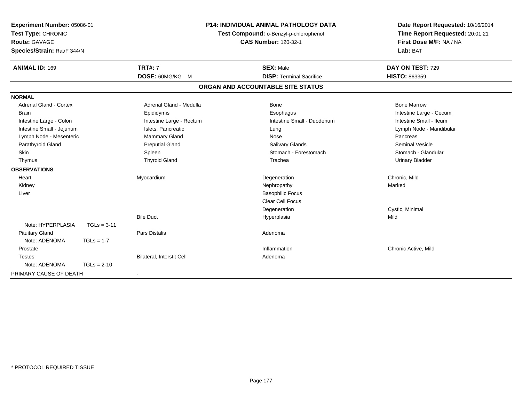| <b>Experiment Number: 05086-01</b><br>Test Type: CHRONIC |               |                           | <b>P14: INDIVIDUAL ANIMAL PATHOLOGY DATA</b><br>Test Compound: o-Benzyl-p-chlorophenol | Date Report Requested: 10/16/2014<br>Time Report Requested: 20:01:21 |
|----------------------------------------------------------|---------------|---------------------------|----------------------------------------------------------------------------------------|----------------------------------------------------------------------|
| <b>Route: GAVAGE</b><br>Species/Strain: Rat/F 344/N      |               |                           | <b>CAS Number: 120-32-1</b>                                                            | First Dose M/F: NA / NA<br>Lab: BAT                                  |
| <b>ANIMAL ID: 169</b>                                    |               | <b>TRT#: 7</b>            | <b>SEX: Male</b>                                                                       | DAY ON TEST: 729                                                     |
|                                                          |               | DOSE: 60MG/KG M           | <b>DISP: Terminal Sacrifice</b>                                                        | HISTO: 863359                                                        |
|                                                          |               |                           | ORGAN AND ACCOUNTABLE SITE STATUS                                                      |                                                                      |
| <b>NORMAL</b>                                            |               |                           |                                                                                        |                                                                      |
| <b>Adrenal Gland - Cortex</b>                            |               | Adrenal Gland - Medulla   | <b>Bone</b>                                                                            | <b>Bone Marrow</b>                                                   |
| <b>Brain</b>                                             |               | Epididymis                | Esophagus                                                                              | Intestine Large - Cecum                                              |
| Intestine Large - Colon                                  |               | Intestine Large - Rectum  | Intestine Small - Duodenum                                                             | Intestine Small - Ileum                                              |
| Intestine Small - Jejunum                                |               | Islets, Pancreatic        | Lung                                                                                   | Lymph Node - Mandibular                                              |
| Lymph Node - Mesenteric                                  |               | Mammary Gland             | Nose                                                                                   | Pancreas                                                             |
| Parathyroid Gland                                        |               | <b>Preputial Gland</b>    | Salivary Glands                                                                        | <b>Seminal Vesicle</b>                                               |
| Skin                                                     |               | Spleen                    | Stomach - Forestomach                                                                  | Stomach - Glandular                                                  |
| Thymus                                                   |               | <b>Thyroid Gland</b>      | Trachea                                                                                | <b>Urinary Bladder</b>                                               |
| <b>OBSERVATIONS</b>                                      |               |                           |                                                                                        |                                                                      |
| Heart                                                    |               | Myocardium                | Degeneration                                                                           | Chronic, Mild                                                        |
| Kidney                                                   |               |                           | Nephropathy                                                                            | Marked                                                               |
| Liver                                                    |               |                           | <b>Basophilic Focus</b>                                                                |                                                                      |
|                                                          |               |                           | Clear Cell Focus                                                                       |                                                                      |
|                                                          |               |                           | Degeneration                                                                           | Cystic, Minimal                                                      |
|                                                          |               | <b>Bile Duct</b>          | Hyperplasia                                                                            | Mild                                                                 |
| Note: HYPERPLASIA                                        | $TGLs = 3-11$ |                           |                                                                                        |                                                                      |
| <b>Pituitary Gland</b>                                   |               | Pars Distalis             | Adenoma                                                                                |                                                                      |
| Note: ADENOMA                                            | $TGLs = 1-7$  |                           |                                                                                        |                                                                      |
| Prostate                                                 |               |                           | Inflammation                                                                           | Chronic Active, Mild                                                 |
| <b>Testes</b>                                            |               | Bilateral, Interstit Cell | Adenoma                                                                                |                                                                      |
| Note: ADENOMA                                            | $TGLs = 2-10$ |                           |                                                                                        |                                                                      |
| PRIMARY CAUSE OF DEATH                                   |               |                           |                                                                                        |                                                                      |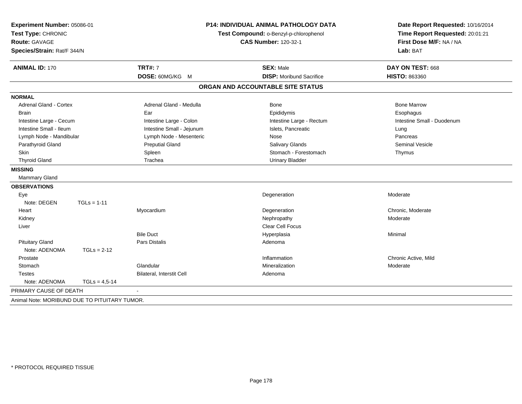| Experiment Number: 05086-01<br>Test Type: CHRONIC<br><b>Route: GAVAGE</b><br>Species/Strain: Rat/F 344/N |                 |                           | <b>P14: INDIVIDUAL ANIMAL PATHOLOGY DATA</b><br>Test Compound: o-Benzyl-p-chlorophenol<br><b>CAS Number: 120-32-1</b> | Date Report Requested: 10/16/2014<br>Time Report Requested: 20:01:21<br>First Dose M/F: NA / NA<br>Lab: BAT |  |
|----------------------------------------------------------------------------------------------------------|-----------------|---------------------------|-----------------------------------------------------------------------------------------------------------------------|-------------------------------------------------------------------------------------------------------------|--|
| <b>ANIMAL ID: 170</b>                                                                                    |                 | <b>TRT#: 7</b>            | <b>SEX: Male</b>                                                                                                      | DAY ON TEST: 668                                                                                            |  |
|                                                                                                          |                 | DOSE: 60MG/KG M           | <b>DISP:</b> Moribund Sacrifice                                                                                       | HISTO: 863360                                                                                               |  |
|                                                                                                          |                 |                           | ORGAN AND ACCOUNTABLE SITE STATUS                                                                                     |                                                                                                             |  |
| <b>NORMAL</b>                                                                                            |                 |                           |                                                                                                                       |                                                                                                             |  |
| <b>Adrenal Gland - Cortex</b>                                                                            |                 | Adrenal Gland - Medulla   | <b>Bone</b>                                                                                                           | <b>Bone Marrow</b>                                                                                          |  |
| <b>Brain</b>                                                                                             |                 | Ear                       | Epididymis                                                                                                            | Esophagus                                                                                                   |  |
| Intestine Large - Cecum                                                                                  |                 | Intestine Large - Colon   | Intestine Large - Rectum                                                                                              | Intestine Small - Duodenum                                                                                  |  |
| Intestine Small - Ileum                                                                                  |                 | Intestine Small - Jejunum | Islets, Pancreatic                                                                                                    | Lung                                                                                                        |  |
| Lymph Node - Mandibular                                                                                  |                 | Lymph Node - Mesenteric   | Nose                                                                                                                  | Pancreas                                                                                                    |  |
| Parathyroid Gland                                                                                        |                 | <b>Preputial Gland</b>    | Salivary Glands                                                                                                       | Seminal Vesicle                                                                                             |  |
| <b>Skin</b>                                                                                              |                 | Spleen                    | Stomach - Forestomach                                                                                                 | Thymus                                                                                                      |  |
| <b>Thyroid Gland</b>                                                                                     |                 | Trachea                   | <b>Urinary Bladder</b>                                                                                                |                                                                                                             |  |
| <b>MISSING</b>                                                                                           |                 |                           |                                                                                                                       |                                                                                                             |  |
| Mammary Gland                                                                                            |                 |                           |                                                                                                                       |                                                                                                             |  |
| <b>OBSERVATIONS</b>                                                                                      |                 |                           |                                                                                                                       |                                                                                                             |  |
| Eye                                                                                                      |                 |                           | Degeneration                                                                                                          | Moderate                                                                                                    |  |
| Note: DEGEN                                                                                              | $TGLs = 1-11$   |                           |                                                                                                                       |                                                                                                             |  |
| Heart                                                                                                    |                 | Myocardium                | Degeneration                                                                                                          | Chronic, Moderate                                                                                           |  |
| Kidney                                                                                                   |                 |                           | Nephropathy                                                                                                           | Moderate                                                                                                    |  |
| Liver                                                                                                    |                 |                           | Clear Cell Focus                                                                                                      |                                                                                                             |  |
|                                                                                                          |                 | <b>Bile Duct</b>          | Hyperplasia                                                                                                           | Minimal                                                                                                     |  |
| <b>Pituitary Gland</b>                                                                                   |                 | Pars Distalis             | Adenoma                                                                                                               |                                                                                                             |  |
| Note: ADENOMA                                                                                            | $TGLs = 2-12$   |                           |                                                                                                                       |                                                                                                             |  |
| Prostate                                                                                                 |                 |                           | Inflammation                                                                                                          | Chronic Active, Mild                                                                                        |  |
| Stomach                                                                                                  |                 | Glandular                 | Mineralization                                                                                                        | Moderate                                                                                                    |  |
| <b>Testes</b>                                                                                            |                 | Bilateral, Interstit Cell | Adenoma                                                                                                               |                                                                                                             |  |
| Note: ADENOMA                                                                                            | $TGLs = 4,5-14$ |                           |                                                                                                                       |                                                                                                             |  |
| PRIMARY CAUSE OF DEATH                                                                                   |                 |                           |                                                                                                                       |                                                                                                             |  |
| Animal Note: MORIBUND DUE TO PITUITARY TUMOR.                                                            |                 |                           |                                                                                                                       |                                                                                                             |  |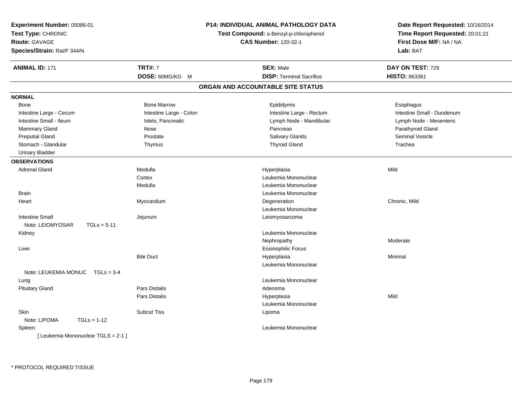| Experiment Number: 05086-01<br>Test Type: CHRONIC<br><b>Route: GAVAGE</b><br>Species/Strain: Rat/F 344/N |                         | P14: INDIVIDUAL ANIMAL PATHOLOGY DATA<br>Test Compound: o-Benzyl-p-chlorophenol<br><b>CAS Number: 120-32-1</b> | Date Report Requested: 10/16/2014<br>Time Report Requested: 20:01:21<br>First Dose M/F: NA / NA<br>Lab: BAT |
|----------------------------------------------------------------------------------------------------------|-------------------------|----------------------------------------------------------------------------------------------------------------|-------------------------------------------------------------------------------------------------------------|
| <b>ANIMAL ID: 171</b>                                                                                    | <b>TRT#: 7</b>          | <b>SEX: Male</b>                                                                                               | DAY ON TEST: 729                                                                                            |
|                                                                                                          | DOSE: 60MG/KG M         | <b>DISP: Terminal Sacrifice</b>                                                                                | <b>HISTO: 863361</b>                                                                                        |
|                                                                                                          |                         | ORGAN AND ACCOUNTABLE SITE STATUS                                                                              |                                                                                                             |
| <b>NORMAL</b>                                                                                            |                         |                                                                                                                |                                                                                                             |
| Bone                                                                                                     | <b>Bone Marrow</b>      | Epididymis                                                                                                     | Esophagus                                                                                                   |
| Intestine Large - Cecum                                                                                  | Intestine Large - Colon | Intestine Large - Rectum                                                                                       | Intestine Small - Duodenum                                                                                  |
| Intestine Small - Ileum                                                                                  | Islets, Pancreatic      | Lymph Node - Mandibular                                                                                        | Lymph Node - Mesenteric                                                                                     |
| Mammary Gland                                                                                            | Nose                    | Pancreas                                                                                                       | Parathyroid Gland                                                                                           |
| <b>Preputial Gland</b>                                                                                   | Prostate                | <b>Salivary Glands</b>                                                                                         | Seminal Vesicle                                                                                             |
| Stomach - Glandular                                                                                      | Thymus                  | <b>Thyroid Gland</b>                                                                                           | Trachea                                                                                                     |
| <b>Urinary Bladder</b>                                                                                   |                         |                                                                                                                |                                                                                                             |
| <b>OBSERVATIONS</b>                                                                                      |                         |                                                                                                                |                                                                                                             |
| Adrenal Gland                                                                                            | Medulla                 | Hyperplasia                                                                                                    | Mild                                                                                                        |
|                                                                                                          | Cortex                  | Leukemia Mononuclear                                                                                           |                                                                                                             |
|                                                                                                          | Medulla                 | Leukemia Mononuclear                                                                                           |                                                                                                             |
| <b>Brain</b>                                                                                             |                         | Leukemia Mononuclear                                                                                           |                                                                                                             |
| Heart                                                                                                    | Myocardium              | Degeneration                                                                                                   | Chronic, Mild                                                                                               |
|                                                                                                          |                         | Leukemia Mononuclear                                                                                           |                                                                                                             |
| <b>Intestine Small</b>                                                                                   | Jejunum                 | Leiomyosarcoma                                                                                                 |                                                                                                             |
| Note: LEIOMYOSAR<br>$TGLs = 5-11$                                                                        |                         |                                                                                                                |                                                                                                             |
| Kidney                                                                                                   |                         | Leukemia Mononuclear                                                                                           |                                                                                                             |
|                                                                                                          |                         | Nephropathy                                                                                                    | Moderate                                                                                                    |
| Liver                                                                                                    |                         | Eosinophilic Focus                                                                                             |                                                                                                             |
|                                                                                                          | <b>Bile Duct</b>        | Hyperplasia                                                                                                    | Minimal                                                                                                     |
|                                                                                                          |                         | Leukemia Mononuclear                                                                                           |                                                                                                             |
| Note: LEUKEMIA MONUC TGLs = 3-4                                                                          |                         |                                                                                                                |                                                                                                             |
| Lung                                                                                                     |                         | Leukemia Mononuclear                                                                                           |                                                                                                             |
| <b>Pituitary Gland</b>                                                                                   | <b>Pars Distalis</b>    | Adenoma                                                                                                        |                                                                                                             |
|                                                                                                          | Pars Distalis           | Hyperplasia                                                                                                    | Mild                                                                                                        |
|                                                                                                          |                         | Leukemia Mononuclear                                                                                           |                                                                                                             |
| <b>Skin</b>                                                                                              | <b>Subcut Tiss</b>      | Lipoma                                                                                                         |                                                                                                             |
| Note: LIPOMA<br>$TGLs = 1-12$                                                                            |                         |                                                                                                                |                                                                                                             |
| Spleen                                                                                                   |                         | Leukemia Mononuclear                                                                                           |                                                                                                             |
| [ Leukemia Mononuclear TGLS = 2-1 ]                                                                      |                         |                                                                                                                |                                                                                                             |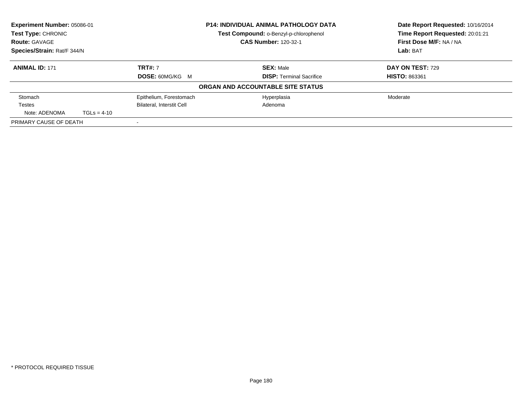| Experiment Number: 05086-01<br>Test Type: CHRONIC |               |                                  | <b>P14: INDIVIDUAL ANIMAL PATHOLOGY DATA</b> | Date Report Requested: 10/16/2014 |
|---------------------------------------------------|---------------|----------------------------------|----------------------------------------------|-----------------------------------|
|                                                   |               |                                  | Test Compound: o-Benzyl-p-chlorophenol       | Time Report Requested: 20:01:21   |
| <b>Route: GAVAGE</b>                              |               |                                  | <b>CAS Number: 120-32-1</b>                  | First Dose M/F: NA / NA           |
| Species/Strain: Rat/F 344/N                       |               |                                  |                                              | Lab: BAT                          |
| <b>ANIMAL ID: 171</b>                             |               | <b>TRT#: 7</b>                   | <b>SEX: Male</b>                             | DAY ON TEST: 729                  |
|                                                   |               | <b>DOSE: 60MG/KG M</b>           | <b>DISP:</b> Terminal Sacrifice              | <b>HISTO: 863361</b>              |
|                                                   |               |                                  | ORGAN AND ACCOUNTABLE SITE STATUS            |                                   |
| Stomach                                           |               | Epithelium, Forestomach          | Hyperplasia                                  | Moderate                          |
| Testes                                            |               | <b>Bilateral, Interstit Cell</b> | Adenoma                                      |                                   |
| Note: ADENOMA                                     | $TGLs = 4-10$ |                                  |                                              |                                   |
| PRIMARY CAUSE OF DEATH                            |               |                                  |                                              |                                   |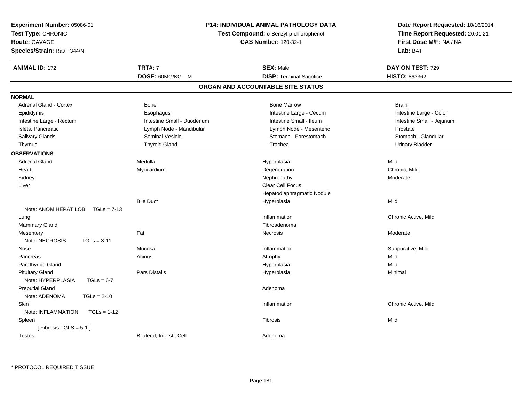| Experiment Number: 05086-01         |                                                                       | <b>P14: INDIVIDUAL ANIMAL PATHOLOGY DATA</b> | Date Report Requested: 10/16/2014                          |
|-------------------------------------|-----------------------------------------------------------------------|----------------------------------------------|------------------------------------------------------------|
| Test Type: CHRONIC                  | Test Compound: o-Benzyl-p-chlorophenol<br><b>CAS Number: 120-32-1</b> |                                              | Time Report Requested: 20:01:21<br>First Dose M/F: NA / NA |
| Route: GAVAGE                       |                                                                       |                                              |                                                            |
| Species/Strain: Rat/F 344/N         |                                                                       |                                              | Lab: BAT                                                   |
| <b>ANIMAL ID: 172</b>               | <b>TRT#: 7</b>                                                        | <b>SEX: Male</b>                             | DAY ON TEST: 729                                           |
|                                     | DOSE: 60MG/KG M                                                       | <b>DISP: Terminal Sacrifice</b>              | HISTO: 863362                                              |
|                                     |                                                                       | ORGAN AND ACCOUNTABLE SITE STATUS            |                                                            |
| <b>NORMAL</b>                       |                                                                       |                                              |                                                            |
| Adrenal Gland - Cortex              | Bone                                                                  | <b>Bone Marrow</b>                           | <b>Brain</b>                                               |
| Epididymis                          | Esophagus                                                             | Intestine Large - Cecum                      | Intestine Large - Colon                                    |
| Intestine Large - Rectum            | Intestine Small - Duodenum                                            | Intestine Small - Ileum                      | Intestine Small - Jejunum                                  |
| Islets, Pancreatic                  | Lymph Node - Mandibular                                               | Lymph Node - Mesenteric                      | Prostate                                                   |
| Salivary Glands                     | Seminal Vesicle                                                       | Stomach - Forestomach                        | Stomach - Glandular                                        |
| Thymus                              | <b>Thyroid Gland</b>                                                  | Trachea                                      | <b>Urinary Bladder</b>                                     |
| <b>OBSERVATIONS</b>                 |                                                                       |                                              |                                                            |
| <b>Adrenal Gland</b>                | Medulla                                                               | Hyperplasia                                  | Mild                                                       |
| Heart                               | Myocardium                                                            | Degeneration                                 | Chronic, Mild                                              |
| Kidney                              |                                                                       | Nephropathy                                  | Moderate                                                   |
| Liver                               |                                                                       | Clear Cell Focus                             |                                                            |
|                                     |                                                                       | Hepatodiaphragmatic Nodule                   |                                                            |
|                                     | <b>Bile Duct</b>                                                      | Hyperplasia                                  | Mild                                                       |
| Note: ANOM HEPAT LOB $TGLs = 7-13$  |                                                                       |                                              |                                                            |
| Lung                                |                                                                       | Inflammation                                 | Chronic Active, Mild                                       |
| Mammary Gland                       |                                                                       | Fibroadenoma                                 |                                                            |
| Mesentery                           | Fat                                                                   | Necrosis                                     | Moderate                                                   |
| Note: NECROSIS<br>$TGLs = 3-11$     |                                                                       |                                              |                                                            |
| Nose                                | Mucosa                                                                | Inflammation                                 | Suppurative, Mild                                          |
| Pancreas                            | Acinus                                                                | Atrophy                                      | Mild                                                       |
| Parathyroid Gland                   |                                                                       | Hyperplasia                                  | Mild                                                       |
| <b>Pituitary Gland</b>              | Pars Distalis                                                         | Hyperplasia                                  | Minimal                                                    |
| Note: HYPERPLASIA<br>$TGLs = 6-7$   |                                                                       |                                              |                                                            |
| <b>Preputial Gland</b>              |                                                                       | Adenoma                                      |                                                            |
| Note: ADENOMA<br>$TGLs = 2-10$      |                                                                       |                                              |                                                            |
| <b>Skin</b>                         |                                                                       | Inflammation                                 | Chronic Active, Mild                                       |
| Note: INFLAMMATION<br>$TGLs = 1-12$ |                                                                       |                                              |                                                            |
| Spleen                              |                                                                       | Fibrosis                                     | Mild                                                       |
| [Fibrosis TGLS = $5-1$ ]            |                                                                       |                                              |                                                            |
| <b>Testes</b>                       | Bilateral, Interstit Cell                                             | Adenoma                                      |                                                            |
|                                     |                                                                       |                                              |                                                            |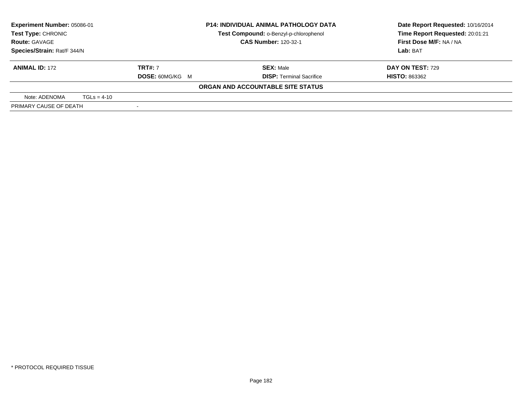| Experiment Number: 05086-01<br>Test Type: CHRONIC |               |                        | <b>P14: INDIVIDUAL ANIMAL PATHOLOGY DATA</b> | Date Report Requested: 10/16/2014 |  |
|---------------------------------------------------|---------------|------------------------|----------------------------------------------|-----------------------------------|--|
|                                                   |               |                        | Test Compound: o-Benzyl-p-chlorophenol       | Time Report Requested: 20:01:21   |  |
| <b>Route: GAVAGE</b>                              |               |                        | <b>CAS Number: 120-32-1</b>                  | First Dose M/F: NA / NA           |  |
| Species/Strain: Rat/F 344/N                       |               |                        |                                              | Lab: BAT                          |  |
| <b>ANIMAL ID: 172</b>                             |               | <b>TRT#: 7</b>         | <b>SEX: Male</b>                             | <b>DAY ON TEST: 729</b>           |  |
|                                                   |               | <b>DOSE: 60MG/KG M</b> | <b>DISP: Terminal Sacrifice</b>              | <b>HISTO: 863362</b>              |  |
|                                                   |               |                        | ORGAN AND ACCOUNTABLE SITE STATUS            |                                   |  |
| Note: ADENOMA                                     | $TGLs = 4-10$ |                        |                                              |                                   |  |
| PRIMARY CAUSE OF DEATH                            |               |                        |                                              |                                   |  |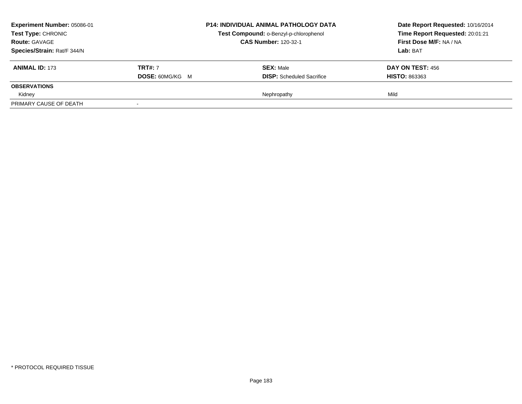| Experiment Number: 05086-01<br>Test Type: CHRONIC |                        | <b>P14: INDIVIDUAL ANIMAL PATHOLOGY DATA</b> | Date Report Requested: 10/16/2014<br>Time Report Requested: 20:01:21 |
|---------------------------------------------------|------------------------|----------------------------------------------|----------------------------------------------------------------------|
|                                                   |                        | Test Compound: o-Benzyl-p-chlorophenol       |                                                                      |
| <b>Route: GAVAGE</b>                              |                        | <b>CAS Number: 120-32-1</b>                  | First Dose M/F: NA / NA                                              |
| Species/Strain: Rat/F 344/N                       |                        |                                              | Lab: BAT                                                             |
| <b>ANIMAL ID: 173</b>                             | <b>TRT#: 7</b>         | <b>SEX: Male</b>                             | DAY ON TEST: 456                                                     |
|                                                   | <b>DOSE: 60MG/KG M</b> | <b>DISP:</b> Scheduled Sacrifice             | <b>HISTO: 863363</b>                                                 |
| <b>OBSERVATIONS</b>                               |                        |                                              |                                                                      |
| Kidney                                            |                        | Nephropathy                                  | Mild                                                                 |
| PRIMARY CAUSE OF DEATH                            |                        |                                              |                                                                      |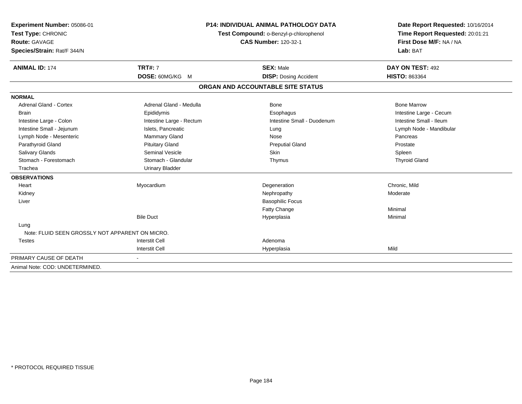| Experiment Number: 05086-01<br>Test Type: CHRONIC<br><b>Route: GAVAGE</b> | <b>P14: INDIVIDUAL ANIMAL PATHOLOGY DATA</b><br>Test Compound: o-Benzyl-p-chlorophenol<br><b>CAS Number: 120-32-1</b> |                                   | Date Report Requested: 10/16/2014<br>Time Report Requested: 20:01:21<br>First Dose M/F: NA / NA |  |
|---------------------------------------------------------------------------|-----------------------------------------------------------------------------------------------------------------------|-----------------------------------|-------------------------------------------------------------------------------------------------|--|
| Species/Strain: Rat/F 344/N                                               |                                                                                                                       |                                   | Lab: BAT                                                                                        |  |
| <b>ANIMAL ID: 174</b>                                                     | <b>TRT#: 7</b>                                                                                                        | <b>SEX: Male</b>                  | DAY ON TEST: 492                                                                                |  |
|                                                                           | DOSE: 60MG/KG M                                                                                                       | <b>DISP: Dosing Accident</b>      | <b>HISTO: 863364</b>                                                                            |  |
|                                                                           |                                                                                                                       | ORGAN AND ACCOUNTABLE SITE STATUS |                                                                                                 |  |
| <b>NORMAL</b>                                                             |                                                                                                                       |                                   |                                                                                                 |  |
| <b>Adrenal Gland - Cortex</b>                                             | Adrenal Gland - Medulla                                                                                               | Bone                              | <b>Bone Marrow</b>                                                                              |  |
| <b>Brain</b>                                                              | Epididymis                                                                                                            | Esophagus                         | Intestine Large - Cecum                                                                         |  |
| Intestine Large - Colon                                                   | Intestine Large - Rectum                                                                                              | Intestine Small - Duodenum        | Intestine Small - Ileum                                                                         |  |
| Intestine Small - Jejunum                                                 | Islets, Pancreatic                                                                                                    | Lung                              | Lymph Node - Mandibular                                                                         |  |
| Lymph Node - Mesenteric                                                   | Mammary Gland                                                                                                         | Nose                              | Pancreas                                                                                        |  |
| Parathyroid Gland                                                         | <b>Pituitary Gland</b>                                                                                                | <b>Preputial Gland</b>            | Prostate                                                                                        |  |
| <b>Salivary Glands</b>                                                    | <b>Seminal Vesicle</b>                                                                                                | <b>Skin</b>                       | Spleen                                                                                          |  |
| Stomach - Forestomach                                                     | Stomach - Glandular                                                                                                   | Thymus                            | <b>Thyroid Gland</b>                                                                            |  |
| Trachea                                                                   | <b>Urinary Bladder</b>                                                                                                |                                   |                                                                                                 |  |
| <b>OBSERVATIONS</b>                                                       |                                                                                                                       |                                   |                                                                                                 |  |
| Heart                                                                     | Myocardium                                                                                                            | Degeneration                      | Chronic, Mild                                                                                   |  |
| Kidney                                                                    |                                                                                                                       | Nephropathy                       | Moderate                                                                                        |  |
| Liver                                                                     |                                                                                                                       | <b>Basophilic Focus</b>           |                                                                                                 |  |
|                                                                           |                                                                                                                       | Fatty Change                      | Minimal                                                                                         |  |
|                                                                           | <b>Bile Duct</b>                                                                                                      | Hyperplasia                       | Minimal                                                                                         |  |
| Lung                                                                      |                                                                                                                       |                                   |                                                                                                 |  |
| Note: FLUID SEEN GROSSLY NOT APPARENT ON MICRO.                           |                                                                                                                       |                                   |                                                                                                 |  |
| <b>Testes</b>                                                             | <b>Interstit Cell</b>                                                                                                 | Adenoma                           |                                                                                                 |  |
|                                                                           | <b>Interstit Cell</b>                                                                                                 | Hyperplasia                       | Mild                                                                                            |  |
| PRIMARY CAUSE OF DEATH                                                    |                                                                                                                       |                                   |                                                                                                 |  |
| Animal Note: COD: UNDETERMINED.                                           |                                                                                                                       |                                   |                                                                                                 |  |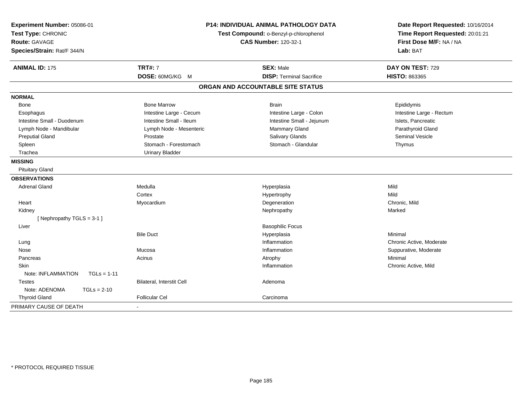| Experiment Number: 05086-01<br>Test Type: CHRONIC<br><b>Route: GAVAGE</b><br>Species/Strain: Rat/F 344/N |                           | <b>P14: INDIVIDUAL ANIMAL PATHOLOGY DATA</b><br>Test Compound: o-Benzyl-p-chlorophenol<br><b>CAS Number: 120-32-1</b> | Date Report Requested: 10/16/2014<br>Time Report Requested: 20:01:21<br>First Dose M/F: NA / NA<br>Lab: BAT |
|----------------------------------------------------------------------------------------------------------|---------------------------|-----------------------------------------------------------------------------------------------------------------------|-------------------------------------------------------------------------------------------------------------|
| <b>ANIMAL ID: 175</b>                                                                                    | <b>TRT#: 7</b>            | <b>SEX: Male</b>                                                                                                      | DAY ON TEST: 729                                                                                            |
|                                                                                                          | DOSE: 60MG/KG M           | <b>DISP: Terminal Sacrifice</b>                                                                                       | <b>HISTO: 863365</b>                                                                                        |
|                                                                                                          |                           | ORGAN AND ACCOUNTABLE SITE STATUS                                                                                     |                                                                                                             |
| <b>NORMAL</b>                                                                                            |                           |                                                                                                                       |                                                                                                             |
| Bone                                                                                                     | <b>Bone Marrow</b>        | <b>Brain</b>                                                                                                          | Epididymis                                                                                                  |
| Esophagus                                                                                                | Intestine Large - Cecum   | Intestine Large - Colon                                                                                               | Intestine Large - Rectum                                                                                    |
| Intestine Small - Duodenum                                                                               | Intestine Small - Ileum   | Intestine Small - Jejunum                                                                                             | Islets, Pancreatic                                                                                          |
| Lymph Node - Mandibular                                                                                  | Lymph Node - Mesenteric   | Mammary Gland                                                                                                         | Parathyroid Gland                                                                                           |
| <b>Preputial Gland</b>                                                                                   | Prostate                  | Salivary Glands                                                                                                       | <b>Seminal Vesicle</b>                                                                                      |
| Spleen                                                                                                   | Stomach - Forestomach     | Stomach - Glandular                                                                                                   | Thymus                                                                                                      |
| Trachea                                                                                                  | <b>Urinary Bladder</b>    |                                                                                                                       |                                                                                                             |
| <b>MISSING</b>                                                                                           |                           |                                                                                                                       |                                                                                                             |
| <b>Pituitary Gland</b>                                                                                   |                           |                                                                                                                       |                                                                                                             |
| <b>OBSERVATIONS</b>                                                                                      |                           |                                                                                                                       |                                                                                                             |
| <b>Adrenal Gland</b>                                                                                     | Medulla                   | Hyperplasia                                                                                                           | Mild                                                                                                        |
|                                                                                                          | Cortex                    | Hypertrophy                                                                                                           | Mild                                                                                                        |
| Heart                                                                                                    | Myocardium                | Degeneration                                                                                                          | Chronic, Mild                                                                                               |
| Kidney                                                                                                   |                           | Nephropathy                                                                                                           | Marked                                                                                                      |
| [Nephropathy TGLS = 3-1]                                                                                 |                           |                                                                                                                       |                                                                                                             |
| Liver                                                                                                    |                           | <b>Basophilic Focus</b>                                                                                               |                                                                                                             |
|                                                                                                          | <b>Bile Duct</b>          | Hyperplasia                                                                                                           | Minimal                                                                                                     |
| Lung                                                                                                     |                           | Inflammation                                                                                                          | Chronic Active, Moderate                                                                                    |
| Nose                                                                                                     | Mucosa                    | Inflammation                                                                                                          | Suppurative, Moderate                                                                                       |
| Pancreas                                                                                                 | Acinus                    | Atrophy                                                                                                               | Minimal                                                                                                     |
| Skin                                                                                                     |                           | Inflammation                                                                                                          | Chronic Active, Mild                                                                                        |
| Note: INFLAMMATION<br>$TGLs = 1-11$                                                                      |                           |                                                                                                                       |                                                                                                             |
| <b>Testes</b>                                                                                            | Bilateral, Interstit Cell | Adenoma                                                                                                               |                                                                                                             |
| Note: ADENOMA<br>$TGLs = 2-10$                                                                           |                           |                                                                                                                       |                                                                                                             |
| <b>Thyroid Gland</b>                                                                                     | <b>Follicular Cel</b>     | Carcinoma                                                                                                             |                                                                                                             |
| PRIMARY CAUSE OF DEATH                                                                                   |                           |                                                                                                                       |                                                                                                             |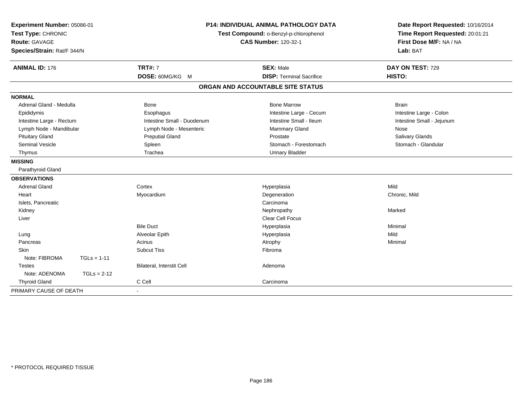| Experiment Number: 05086-01<br>Test Type: CHRONIC<br><b>Route: GAVAGE</b><br>Species/Strain: Rat/F 344/N | <b>P14: INDIVIDUAL ANIMAL PATHOLOGY DATA</b><br>Test Compound: o-Benzyl-p-chlorophenol<br><b>CAS Number: 120-32-1</b> |                                                     | Date Report Requested: 10/16/2014<br>Time Report Requested: 20:01:21<br>First Dose M/F: NA / NA<br>Lab: BAT |  |
|----------------------------------------------------------------------------------------------------------|-----------------------------------------------------------------------------------------------------------------------|-----------------------------------------------------|-------------------------------------------------------------------------------------------------------------|--|
| <b>ANIMAL ID: 176</b>                                                                                    | <b>TRT#: 7</b><br>DOSE: 60MG/KG M                                                                                     | <b>SEX: Male</b><br><b>DISP: Terminal Sacrifice</b> | DAY ON TEST: 729<br>HISTO:                                                                                  |  |
|                                                                                                          |                                                                                                                       | ORGAN AND ACCOUNTABLE SITE STATUS                   |                                                                                                             |  |
| <b>NORMAL</b>                                                                                            |                                                                                                                       |                                                     |                                                                                                             |  |
| Adrenal Gland - Medulla                                                                                  | <b>Bone</b>                                                                                                           | <b>Bone Marrow</b>                                  | <b>Brain</b>                                                                                                |  |
| Epididymis                                                                                               | Esophagus                                                                                                             | Intestine Large - Cecum                             | Intestine Large - Colon                                                                                     |  |
| Intestine Large - Rectum                                                                                 | Intestine Small - Duodenum                                                                                            | Intestine Small - Ileum                             | Intestine Small - Jejunum                                                                                   |  |
| Lymph Node - Mandibular                                                                                  | Lymph Node - Mesenteric                                                                                               | Mammary Gland                                       | Nose                                                                                                        |  |
| <b>Pituitary Gland</b>                                                                                   | <b>Preputial Gland</b>                                                                                                | Prostate                                            | <b>Salivary Glands</b>                                                                                      |  |
| <b>Seminal Vesicle</b>                                                                                   | Spleen                                                                                                                | Stomach - Forestomach                               | Stomach - Glandular                                                                                         |  |
| Thymus                                                                                                   | Trachea                                                                                                               | <b>Urinary Bladder</b>                              |                                                                                                             |  |
| <b>MISSING</b>                                                                                           |                                                                                                                       |                                                     |                                                                                                             |  |
| Parathyroid Gland                                                                                        |                                                                                                                       |                                                     |                                                                                                             |  |
| <b>OBSERVATIONS</b>                                                                                      |                                                                                                                       |                                                     |                                                                                                             |  |
| <b>Adrenal Gland</b>                                                                                     | Cortex                                                                                                                | Hyperplasia                                         | Mild                                                                                                        |  |
| Heart                                                                                                    | Myocardium                                                                                                            | Degeneration                                        | Chronic, Mild                                                                                               |  |
| Islets, Pancreatic                                                                                       |                                                                                                                       | Carcinoma                                           |                                                                                                             |  |
| Kidney                                                                                                   |                                                                                                                       | Nephropathy                                         | Marked                                                                                                      |  |
| Liver                                                                                                    |                                                                                                                       | <b>Clear Cell Focus</b>                             |                                                                                                             |  |
|                                                                                                          | <b>Bile Duct</b>                                                                                                      | Hyperplasia                                         | Minimal                                                                                                     |  |
| Lung                                                                                                     | Alveolar Epith                                                                                                        | Hyperplasia                                         | Mild                                                                                                        |  |
| Pancreas                                                                                                 | Acinus                                                                                                                | Atrophy                                             | Minimal                                                                                                     |  |
| <b>Skin</b>                                                                                              | <b>Subcut Tiss</b>                                                                                                    | Fibroma                                             |                                                                                                             |  |
| Note: FIBROMA<br>$TGLs = 1-11$                                                                           |                                                                                                                       |                                                     |                                                                                                             |  |
| <b>Testes</b>                                                                                            | <b>Bilateral, Interstit Cell</b>                                                                                      | Adenoma                                             |                                                                                                             |  |
| Note: ADENOMA<br>$TGLs = 2-12$                                                                           |                                                                                                                       |                                                     |                                                                                                             |  |
| <b>Thyroid Gland</b>                                                                                     | C Cell                                                                                                                | Carcinoma                                           |                                                                                                             |  |
| PRIMARY CAUSE OF DEATH                                                                                   |                                                                                                                       |                                                     |                                                                                                             |  |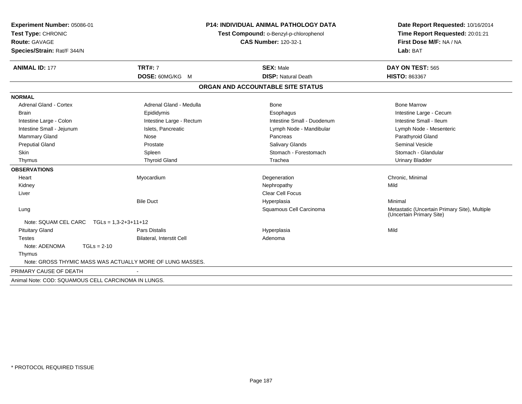| Experiment Number: 05086-01<br>Test Type: CHRONIC<br><b>Route: GAVAGE</b><br>Species/Strain: Rat/F 344/N |                                                           | P14: INDIVIDUAL ANIMAL PATHOLOGY DATA<br>Test Compound: o-Benzyl-p-chlorophenol<br><b>CAS Number: 120-32-1</b> |                                                                           |
|----------------------------------------------------------------------------------------------------------|-----------------------------------------------------------|----------------------------------------------------------------------------------------------------------------|---------------------------------------------------------------------------|
| <b>ANIMAL ID: 177</b>                                                                                    | <b>TRT#: 7</b>                                            | <b>SEX: Male</b>                                                                                               | DAY ON TEST: 565                                                          |
|                                                                                                          | DOSE: 60MG/KG M                                           | <b>DISP: Natural Death</b>                                                                                     | HISTO: 863367                                                             |
|                                                                                                          |                                                           | ORGAN AND ACCOUNTABLE SITE STATUS                                                                              |                                                                           |
| <b>NORMAL</b>                                                                                            |                                                           |                                                                                                                |                                                                           |
| <b>Adrenal Gland - Cortex</b>                                                                            | Adrenal Gland - Medulla                                   | <b>Bone</b>                                                                                                    | <b>Bone Marrow</b>                                                        |
| <b>Brain</b>                                                                                             | Epididymis                                                | Esophagus                                                                                                      | Intestine Large - Cecum                                                   |
| Intestine Large - Colon                                                                                  | Intestine Large - Rectum                                  | Intestine Small - Duodenum                                                                                     | Intestine Small - Ileum                                                   |
| Intestine Small - Jejunum                                                                                | Islets, Pancreatic                                        | Lymph Node - Mandibular                                                                                        | Lymph Node - Mesenteric                                                   |
| Mammary Gland                                                                                            | Nose                                                      | Pancreas                                                                                                       | Parathyroid Gland                                                         |
| <b>Preputial Gland</b>                                                                                   | Prostate                                                  | <b>Salivary Glands</b>                                                                                         | <b>Seminal Vesicle</b>                                                    |
| Skin                                                                                                     | Spleen                                                    | Stomach - Forestomach                                                                                          | Stomach - Glandular                                                       |
| Thymus                                                                                                   | <b>Thyroid Gland</b>                                      | Trachea                                                                                                        | <b>Urinary Bladder</b>                                                    |
| <b>OBSERVATIONS</b>                                                                                      |                                                           |                                                                                                                |                                                                           |
| Heart                                                                                                    | Myocardium                                                | Degeneration                                                                                                   | Chronic, Minimal                                                          |
| Kidney                                                                                                   |                                                           | Nephropathy                                                                                                    | Mild                                                                      |
| Liver                                                                                                    |                                                           | <b>Clear Cell Focus</b>                                                                                        |                                                                           |
|                                                                                                          | <b>Bile Duct</b>                                          | Hyperplasia                                                                                                    | Minimal                                                                   |
| Lung                                                                                                     |                                                           | Squamous Cell Carcinoma                                                                                        | Metastatic (Uncertain Primary Site), Multiple<br>(Uncertain Primary Site) |
| Note: SQUAM CEL CARC $TGLS = 1.3-2+3+11+12$                                                              |                                                           |                                                                                                                |                                                                           |
| <b>Pituitary Gland</b>                                                                                   | <b>Pars Distalis</b>                                      | Hyperplasia                                                                                                    | Mild                                                                      |
| <b>Testes</b>                                                                                            | Bilateral, Interstit Cell                                 | Adenoma                                                                                                        |                                                                           |
| Note: ADENOMA<br>$TGLs = 2-10$                                                                           |                                                           |                                                                                                                |                                                                           |
| Thymus                                                                                                   |                                                           |                                                                                                                |                                                                           |
|                                                                                                          | Note: GROSS THYMIC MASS WAS ACTUALLY MORE OF LUNG MASSES. |                                                                                                                |                                                                           |
| PRIMARY CAUSE OF DEATH                                                                                   |                                                           |                                                                                                                |                                                                           |
| Animal Note: COD: SQUAMOUS CELL CARCINOMA IN LUNGS.                                                      |                                                           |                                                                                                                |                                                                           |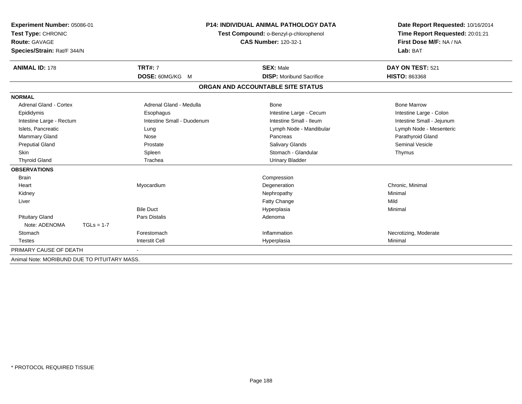| Experiment Number: 05086-01<br>Test Type: CHRONIC<br><b>Route: GAVAGE</b> |                            | <b>P14: INDIVIDUAL ANIMAL PATHOLOGY DATA</b><br>Test Compound: o-Benzyl-p-chlorophenol<br><b>CAS Number: 120-32-1</b> |                           |
|---------------------------------------------------------------------------|----------------------------|-----------------------------------------------------------------------------------------------------------------------|---------------------------|
| Species/Strain: Rat/F 344/N                                               |                            |                                                                                                                       | Lab: BAT                  |
| <b>ANIMAL ID: 178</b>                                                     | <b>TRT#: 7</b>             | <b>SEX: Male</b>                                                                                                      | DAY ON TEST: 521          |
|                                                                           | DOSE: 60MG/KG M            | <b>DISP:</b> Moribund Sacrifice                                                                                       | HISTO: 863368             |
|                                                                           |                            | ORGAN AND ACCOUNTABLE SITE STATUS                                                                                     |                           |
| <b>NORMAL</b>                                                             |                            |                                                                                                                       |                           |
| <b>Adrenal Gland - Cortex</b>                                             | Adrenal Gland - Medulla    | Bone                                                                                                                  | <b>Bone Marrow</b>        |
| Epididymis                                                                | Esophagus                  | Intestine Large - Cecum                                                                                               | Intestine Large - Colon   |
| Intestine Large - Rectum                                                  | Intestine Small - Duodenum | Intestine Small - Ileum                                                                                               | Intestine Small - Jejunum |
| Islets, Pancreatic                                                        | Lung                       | Lymph Node - Mandibular                                                                                               | Lymph Node - Mesenteric   |
| Mammary Gland                                                             | Nose                       | Pancreas                                                                                                              | Parathyroid Gland         |
| <b>Preputial Gland</b>                                                    | Prostate                   | <b>Salivary Glands</b>                                                                                                | <b>Seminal Vesicle</b>    |
| <b>Skin</b>                                                               | Spleen                     | Stomach - Glandular                                                                                                   | Thymus                    |
| <b>Thyroid Gland</b>                                                      | Trachea                    | <b>Urinary Bladder</b>                                                                                                |                           |
| <b>OBSERVATIONS</b>                                                       |                            |                                                                                                                       |                           |
| <b>Brain</b>                                                              |                            | Compression                                                                                                           |                           |
| Heart                                                                     | Myocardium                 | Degeneration                                                                                                          | Chronic, Minimal          |
| Kidney                                                                    |                            | Nephropathy                                                                                                           | Minimal                   |
| Liver                                                                     |                            | Fatty Change                                                                                                          | Mild                      |
|                                                                           | <b>Bile Duct</b>           | Hyperplasia                                                                                                           | Minimal                   |
| <b>Pituitary Gland</b>                                                    | <b>Pars Distalis</b>       | Adenoma                                                                                                               |                           |
| Note: ADENOMA<br>$TGLs = 1-7$                                             |                            |                                                                                                                       |                           |
| Stomach                                                                   | Forestomach                | Inflammation                                                                                                          | Necrotizing, Moderate     |
| <b>Testes</b>                                                             | <b>Interstit Cell</b>      | Hyperplasia                                                                                                           | Minimal                   |
| PRIMARY CAUSE OF DEATH                                                    |                            |                                                                                                                       |                           |
| Animal Note: MORIBUND DUE TO PITUITARY MASS.                              |                            |                                                                                                                       |                           |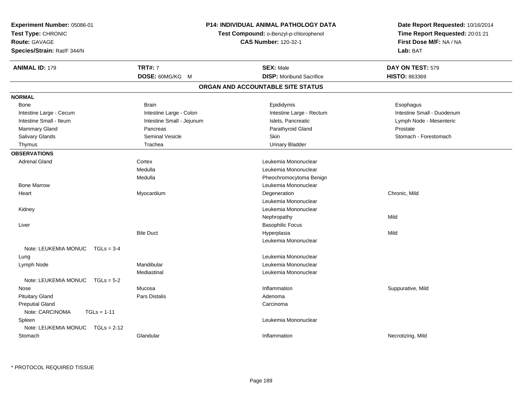| Experiment Number: 05086-01<br>Test Type: CHRONIC<br>Route: GAVAGE | <b>P14: INDIVIDUAL ANIMAL PATHOLOGY DATA</b><br>Test Compound: o-Benzyl-p-chlorophenol<br><b>CAS Number: 120-32-1</b> |                                   | Date Report Requested: 10/16/2014<br>Time Report Requested: 20:01:21<br>First Dose M/F: NA / NA |
|--------------------------------------------------------------------|-----------------------------------------------------------------------------------------------------------------------|-----------------------------------|-------------------------------------------------------------------------------------------------|
| Species/Strain: Rat/F 344/N                                        |                                                                                                                       |                                   | Lab: BAT                                                                                        |
| <b>ANIMAL ID: 179</b>                                              | <b>TRT#: 7</b>                                                                                                        | <b>SEX: Male</b>                  | DAY ON TEST: 579                                                                                |
|                                                                    | DOSE: 60MG/KG M                                                                                                       | <b>DISP:</b> Moribund Sacrifice   | <b>HISTO: 863369</b>                                                                            |
|                                                                    |                                                                                                                       | ORGAN AND ACCOUNTABLE SITE STATUS |                                                                                                 |
| <b>NORMAL</b>                                                      |                                                                                                                       |                                   |                                                                                                 |
| Bone                                                               | <b>Brain</b>                                                                                                          | Epididymis                        | Esophagus                                                                                       |
| Intestine Large - Cecum                                            | Intestine Large - Colon                                                                                               | Intestine Large - Rectum          | Intestine Small - Duodenum                                                                      |
| Intestine Small - Ileum                                            | Intestine Small - Jejunum                                                                                             | Islets, Pancreatic                | Lymph Node - Mesenteric                                                                         |
| Mammary Gland                                                      | Pancreas                                                                                                              | Parathyroid Gland                 | Prostate                                                                                        |
| Salivary Glands                                                    | <b>Seminal Vesicle</b>                                                                                                | Skin                              | Stomach - Forestomach                                                                           |
| Thymus                                                             | Trachea                                                                                                               | <b>Urinary Bladder</b>            |                                                                                                 |
| <b>OBSERVATIONS</b>                                                |                                                                                                                       |                                   |                                                                                                 |
| Adrenal Gland                                                      | Cortex                                                                                                                | Leukemia Mononuclear              |                                                                                                 |
|                                                                    | Medulla                                                                                                               | Leukemia Mononuclear              |                                                                                                 |
|                                                                    | Medulla                                                                                                               | Pheochromocytoma Benign           |                                                                                                 |
| <b>Bone Marrow</b>                                                 |                                                                                                                       | Leukemia Mononuclear              |                                                                                                 |
| Heart                                                              | Myocardium                                                                                                            | Degeneration                      | Chronic, Mild                                                                                   |
|                                                                    |                                                                                                                       | Leukemia Mononuclear              |                                                                                                 |
| Kidney                                                             |                                                                                                                       | Leukemia Mononuclear              |                                                                                                 |
|                                                                    |                                                                                                                       | Nephropathy                       | Mild                                                                                            |
| Liver                                                              |                                                                                                                       | <b>Basophilic Focus</b>           |                                                                                                 |
|                                                                    | <b>Bile Duct</b>                                                                                                      | Hyperplasia                       | Mild                                                                                            |
|                                                                    |                                                                                                                       | Leukemia Mononuclear              |                                                                                                 |
| Note: LEUKEMIA MONUC<br>$TGLs = 3-4$                               |                                                                                                                       |                                   |                                                                                                 |
| Lung                                                               |                                                                                                                       | Leukemia Mononuclear              |                                                                                                 |
| Lymph Node                                                         | Mandibular                                                                                                            | Leukemia Mononuclear              |                                                                                                 |
|                                                                    | Mediastinal                                                                                                           | Leukemia Mononuclear              |                                                                                                 |
| Note: LEUKEMIA MONUC<br>$TGLs = 5-2$                               |                                                                                                                       |                                   |                                                                                                 |
| Nose                                                               | Mucosa                                                                                                                | Inflammation                      | Suppurative, Mild                                                                               |
| <b>Pituitary Gland</b>                                             | Pars Distalis                                                                                                         | Adenoma                           |                                                                                                 |
| <b>Preputial Gland</b>                                             |                                                                                                                       | Carcinoma                         |                                                                                                 |
| Note: CARCINOMA<br>$TGLs = 1-11$                                   |                                                                                                                       |                                   |                                                                                                 |
| Spleen                                                             |                                                                                                                       | Leukemia Mononuclear              |                                                                                                 |
| Note: LEUKEMIA MONUC<br>$TGLs = 2-12$                              |                                                                                                                       |                                   |                                                                                                 |
| Stomach                                                            | Glandular                                                                                                             | Inflammation                      | Necrotizing, Mild                                                                               |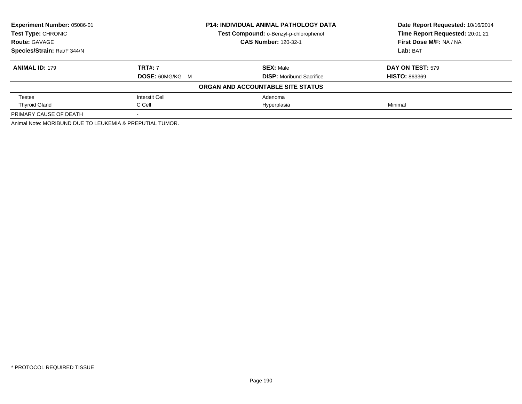| Experiment Number: 05086-01<br><b>P14: INDIVIDUAL ANIMAL PATHOLOGY DATA</b> |                        | Date Report Requested: 10/16/2014      |                                 |
|-----------------------------------------------------------------------------|------------------------|----------------------------------------|---------------------------------|
| Test Type: CHRONIC                                                          |                        | Test Compound: o-Benzyl-p-chlorophenol | Time Report Requested: 20:01:21 |
| <b>Route: GAVAGE</b>                                                        |                        | <b>CAS Number: 120-32-1</b>            | First Dose M/F: NA / NA         |
| Species/Strain: Rat/F 344/N                                                 |                        |                                        | Lab: BAT                        |
| <b>ANIMAL ID: 179</b>                                                       | <b>TRT#: 7</b>         | <b>SEX: Male</b>                       | DAY ON TEST: 579                |
|                                                                             | <b>DOSE: 60MG/KG M</b> | <b>DISP:</b> Moribund Sacrifice        | <b>HISTO: 863369</b>            |
|                                                                             |                        | ORGAN AND ACCOUNTABLE SITE STATUS      |                                 |
| Testes                                                                      | Interstit Cell         | Adenoma                                |                                 |
| <b>Thyroid Gland</b>                                                        | C Cell                 | Hyperplasia                            | Minimal                         |
| PRIMARY CAUSE OF DEATH                                                      |                        |                                        |                                 |
| Animal Note: MORIBUND DUE TO LEUKEMIA & PREPUTIAL TUMOR.                    |                        |                                        |                                 |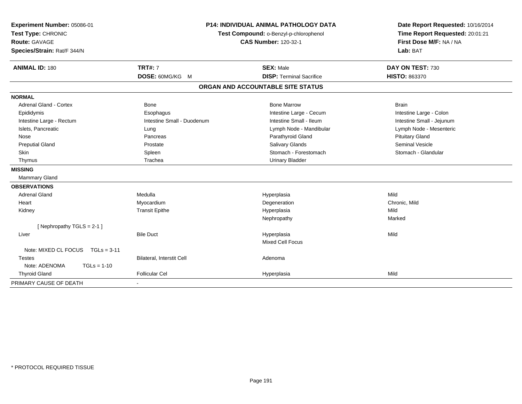| Experiment Number: 05086-01<br>Test Type: CHRONIC<br>Route: GAVAGE<br>Species/Strain: Rat/F 344/N | <b>P14: INDIVIDUAL ANIMAL PATHOLOGY DATA</b><br>Test Compound: o-Benzyl-p-chlorophenol<br><b>CAS Number: 120-32-1</b> |                                   | Date Report Requested: 10/16/2014<br>Time Report Requested: 20:01:21<br>First Dose M/F: NA / NA<br>Lab: BAT |  |
|---------------------------------------------------------------------------------------------------|-----------------------------------------------------------------------------------------------------------------------|-----------------------------------|-------------------------------------------------------------------------------------------------------------|--|
| <b>ANIMAL ID: 180</b>                                                                             | <b>TRT#: 7</b>                                                                                                        | <b>SEX: Male</b>                  | DAY ON TEST: 730                                                                                            |  |
|                                                                                                   | DOSE: 60MG/KG M                                                                                                       | <b>DISP: Terminal Sacrifice</b>   | <b>HISTO: 863370</b>                                                                                        |  |
|                                                                                                   |                                                                                                                       | ORGAN AND ACCOUNTABLE SITE STATUS |                                                                                                             |  |
| <b>NORMAL</b>                                                                                     |                                                                                                                       |                                   |                                                                                                             |  |
| Adrenal Gland - Cortex                                                                            | Bone                                                                                                                  | <b>Bone Marrow</b>                | <b>Brain</b>                                                                                                |  |
| Epididymis                                                                                        | Esophagus                                                                                                             | Intestine Large - Cecum           | Intestine Large - Colon                                                                                     |  |
| Intestine Large - Rectum                                                                          | Intestine Small - Duodenum                                                                                            | Intestine Small - Ileum           | Intestine Small - Jejunum                                                                                   |  |
| Islets, Pancreatic                                                                                | Lung                                                                                                                  | Lymph Node - Mandibular           | Lymph Node - Mesenteric                                                                                     |  |
| Nose                                                                                              | Pancreas                                                                                                              | Parathyroid Gland                 | <b>Pituitary Gland</b>                                                                                      |  |
| <b>Preputial Gland</b>                                                                            | Prostate                                                                                                              | Salivary Glands                   | Seminal Vesicle                                                                                             |  |
| <b>Skin</b>                                                                                       | Spleen                                                                                                                | Stomach - Forestomach             | Stomach - Glandular                                                                                         |  |
| Thymus                                                                                            | Trachea                                                                                                               | <b>Urinary Bladder</b>            |                                                                                                             |  |
| <b>MISSING</b>                                                                                    |                                                                                                                       |                                   |                                                                                                             |  |
| <b>Mammary Gland</b>                                                                              |                                                                                                                       |                                   |                                                                                                             |  |
| <b>OBSERVATIONS</b>                                                                               |                                                                                                                       |                                   |                                                                                                             |  |
| <b>Adrenal Gland</b>                                                                              | Medulla                                                                                                               | Hyperplasia                       | Mild                                                                                                        |  |
| Heart                                                                                             | Myocardium                                                                                                            | Degeneration                      | Chronic, Mild                                                                                               |  |
| Kidney                                                                                            | <b>Transit Epithe</b>                                                                                                 | Hyperplasia                       | Mild                                                                                                        |  |
|                                                                                                   |                                                                                                                       | Nephropathy                       | Marked                                                                                                      |  |
| [Nephropathy TGLS = 2-1]                                                                          |                                                                                                                       |                                   |                                                                                                             |  |
| Liver                                                                                             | <b>Bile Duct</b>                                                                                                      | Hyperplasia                       | Mild                                                                                                        |  |
|                                                                                                   |                                                                                                                       | <b>Mixed Cell Focus</b>           |                                                                                                             |  |
| Note: MIXED CL FOCUS $TGLS = 3-11$                                                                |                                                                                                                       |                                   |                                                                                                             |  |
| <b>Testes</b>                                                                                     | Bilateral, Interstit Cell                                                                                             | Adenoma                           |                                                                                                             |  |
| Note: ADENOMA<br>$TGLs = 1-10$                                                                    |                                                                                                                       |                                   |                                                                                                             |  |
| <b>Thyroid Gland</b>                                                                              | <b>Follicular Cel</b>                                                                                                 | Hyperplasia                       | Mild                                                                                                        |  |
| PRIMARY CAUSE OF DEATH                                                                            |                                                                                                                       |                                   |                                                                                                             |  |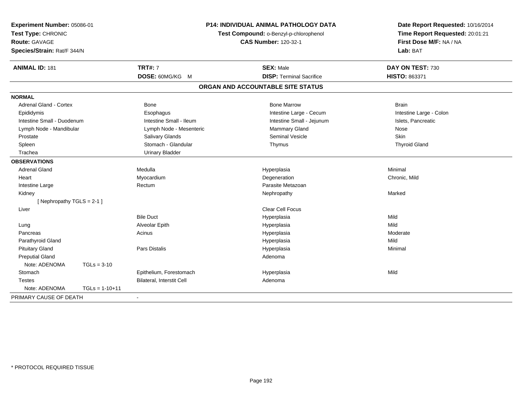| Experiment Number: 05086-01<br>Test Type: CHRONIC<br><b>Route: GAVAGE</b><br>Species/Strain: Rat/F 344/N |                  | <b>P14: INDIVIDUAL ANIMAL PATHOLOGY DATA</b><br>Test Compound: o-Benzyl-p-chlorophenol<br><b>CAS Number: 120-32-1</b> |                                   | Date Report Requested: 10/16/2014<br>Time Report Requested: 20:01:21<br>First Dose M/F: NA / NA<br>Lab: BAT |
|----------------------------------------------------------------------------------------------------------|------------------|-----------------------------------------------------------------------------------------------------------------------|-----------------------------------|-------------------------------------------------------------------------------------------------------------|
| <b>ANIMAL ID: 181</b>                                                                                    |                  | <b>TRT#: 7</b>                                                                                                        | <b>SEX: Male</b>                  | DAY ON TEST: 730                                                                                            |
|                                                                                                          |                  | DOSE: 60MG/KG M                                                                                                       | <b>DISP: Terminal Sacrifice</b>   | HISTO: 863371                                                                                               |
|                                                                                                          |                  |                                                                                                                       | ORGAN AND ACCOUNTABLE SITE STATUS |                                                                                                             |
| <b>NORMAL</b>                                                                                            |                  |                                                                                                                       |                                   |                                                                                                             |
| Adrenal Gland - Cortex                                                                                   |                  | Bone                                                                                                                  | <b>Bone Marrow</b>                | <b>Brain</b>                                                                                                |
| Epididymis                                                                                               |                  | Esophagus                                                                                                             | Intestine Large - Cecum           | Intestine Large - Colon                                                                                     |
| Intestine Small - Duodenum                                                                               |                  | Intestine Small - Ileum                                                                                               | Intestine Small - Jejunum         | Islets, Pancreatic                                                                                          |
| Lymph Node - Mandibular                                                                                  |                  | Lymph Node - Mesenteric                                                                                               | Mammary Gland                     | Nose                                                                                                        |
| Prostate                                                                                                 |                  | Salivary Glands                                                                                                       | <b>Seminal Vesicle</b>            | Skin                                                                                                        |
| Spleen                                                                                                   |                  | Stomach - Glandular                                                                                                   | Thymus                            | <b>Thyroid Gland</b>                                                                                        |
| Trachea                                                                                                  |                  | <b>Urinary Bladder</b>                                                                                                |                                   |                                                                                                             |
| <b>OBSERVATIONS</b>                                                                                      |                  |                                                                                                                       |                                   |                                                                                                             |
| <b>Adrenal Gland</b>                                                                                     |                  | Medulla                                                                                                               | Hyperplasia                       | Minimal                                                                                                     |
| Heart                                                                                                    |                  | Myocardium                                                                                                            | Degeneration                      | Chronic, Mild                                                                                               |
| Intestine Large                                                                                          |                  | Rectum                                                                                                                | Parasite Metazoan                 |                                                                                                             |
| Kidney                                                                                                   |                  |                                                                                                                       | Nephropathy                       | Marked                                                                                                      |
| [ Nephropathy $TGLS = 2-1$ ]                                                                             |                  |                                                                                                                       |                                   |                                                                                                             |
| Liver                                                                                                    |                  |                                                                                                                       | Clear Cell Focus                  |                                                                                                             |
|                                                                                                          |                  | <b>Bile Duct</b>                                                                                                      | Hyperplasia                       | Mild                                                                                                        |
| Lung                                                                                                     |                  | Alveolar Epith                                                                                                        | Hyperplasia                       | Mild                                                                                                        |
| Pancreas                                                                                                 |                  | Acinus                                                                                                                | Hyperplasia                       | Moderate                                                                                                    |
| Parathyroid Gland                                                                                        |                  |                                                                                                                       | Hyperplasia                       | Mild                                                                                                        |
| <b>Pituitary Gland</b>                                                                                   |                  | Pars Distalis                                                                                                         | Hyperplasia                       | Minimal                                                                                                     |
| <b>Preputial Gland</b>                                                                                   |                  |                                                                                                                       | Adenoma                           |                                                                                                             |
| Note: ADENOMA                                                                                            | $TGLs = 3-10$    |                                                                                                                       |                                   |                                                                                                             |
| Stomach                                                                                                  |                  | Epithelium, Forestomach                                                                                               | Hyperplasia                       | Mild                                                                                                        |
| <b>Testes</b>                                                                                            |                  | Bilateral, Interstit Cell                                                                                             | Adenoma                           |                                                                                                             |
| Note: ADENOMA                                                                                            | $TGLs = 1-10+11$ |                                                                                                                       |                                   |                                                                                                             |
| PRIMARY CAUSE OF DEATH                                                                                   |                  | $\sim$                                                                                                                |                                   |                                                                                                             |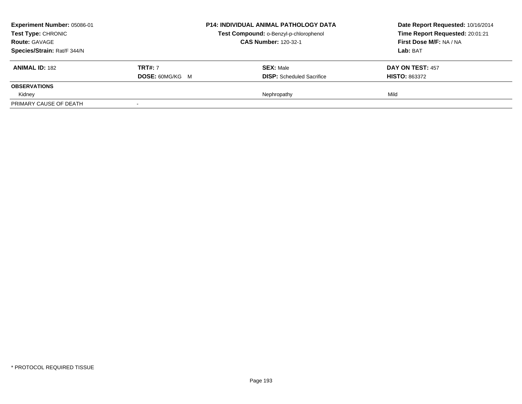| Experiment Number: 05086-01<br><b>Test Type: CHRONIC</b> |                        | <b>P14: INDIVIDUAL ANIMAL PATHOLOGY DATA</b> | Date Report Requested: 10/16/2014 |
|----------------------------------------------------------|------------------------|----------------------------------------------|-----------------------------------|
|                                                          |                        | Test Compound: o-Benzyl-p-chlorophenol       | Time Report Requested: 20:01:21   |
| <b>Route: GAVAGE</b>                                     |                        | <b>CAS Number: 120-32-1</b>                  | First Dose M/F: NA / NA           |
| Species/Strain: Rat/F 344/N                              |                        |                                              | Lab: BAT                          |
| <b>ANIMAL ID: 182</b>                                    | <b>TRT#: 7</b>         | <b>SEX: Male</b>                             | DAY ON TEST: 457                  |
|                                                          | <b>DOSE: 60MG/KG M</b> | <b>DISP:</b> Scheduled Sacrifice             | <b>HISTO: 863372</b>              |
| <b>OBSERVATIONS</b>                                      |                        |                                              |                                   |
| Kidney                                                   |                        | Nephropathy                                  | Mild                              |
| PRIMARY CAUSE OF DEATH                                   |                        |                                              |                                   |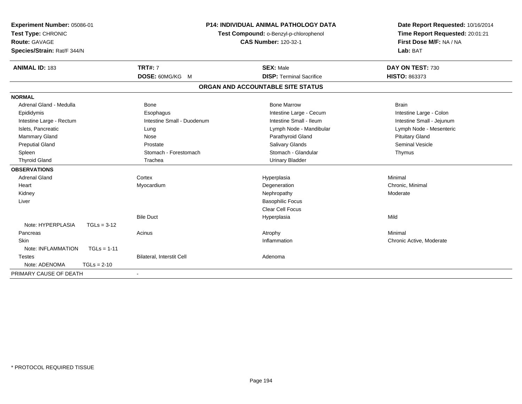| Experiment Number: 05086-01<br>Test Type: CHRONIC<br><b>Route: GAVAGE</b><br>Species/Strain: Rat/F 344/N | <b>P14: INDIVIDUAL ANIMAL PATHOLOGY DATA</b><br>Test Compound: o-Benzyl-p-chlorophenol<br><b>CAS Number: 120-32-1</b> |                                   | Date Report Requested: 10/16/2014<br>Time Report Requested: 20:01:21<br>First Dose M/F: NA / NA<br>Lab: BAT |
|----------------------------------------------------------------------------------------------------------|-----------------------------------------------------------------------------------------------------------------------|-----------------------------------|-------------------------------------------------------------------------------------------------------------|
| <b>ANIMAL ID: 183</b>                                                                                    | <b>TRT#: 7</b>                                                                                                        | <b>SEX: Male</b>                  | DAY ON TEST: 730                                                                                            |
|                                                                                                          | DOSE: 60MG/KG M                                                                                                       | <b>DISP: Terminal Sacrifice</b>   | HISTO: 863373                                                                                               |
|                                                                                                          |                                                                                                                       | ORGAN AND ACCOUNTABLE SITE STATUS |                                                                                                             |
| <b>NORMAL</b>                                                                                            |                                                                                                                       |                                   |                                                                                                             |
| Adrenal Gland - Medulla                                                                                  | Bone                                                                                                                  | <b>Bone Marrow</b>                | <b>Brain</b>                                                                                                |
| Epididymis                                                                                               | Esophagus                                                                                                             | Intestine Large - Cecum           | Intestine Large - Colon                                                                                     |
| Intestine Large - Rectum                                                                                 | Intestine Small - Duodenum                                                                                            | Intestine Small - Ileum           | Intestine Small - Jejunum                                                                                   |
| Islets, Pancreatic                                                                                       | Lung                                                                                                                  | Lymph Node - Mandibular           | Lymph Node - Mesenteric                                                                                     |
| Mammary Gland                                                                                            | Nose                                                                                                                  | Parathyroid Gland                 | <b>Pituitary Gland</b>                                                                                      |
| <b>Preputial Gland</b>                                                                                   | Prostate                                                                                                              | <b>Salivary Glands</b>            | <b>Seminal Vesicle</b>                                                                                      |
| Spleen                                                                                                   | Stomach - Forestomach                                                                                                 | Stomach - Glandular               | Thymus                                                                                                      |
| <b>Thyroid Gland</b>                                                                                     | Trachea                                                                                                               | <b>Urinary Bladder</b>            |                                                                                                             |
| <b>OBSERVATIONS</b>                                                                                      |                                                                                                                       |                                   |                                                                                                             |
| <b>Adrenal Gland</b>                                                                                     | Cortex                                                                                                                | Hyperplasia                       | Minimal                                                                                                     |
| Heart                                                                                                    | Myocardium                                                                                                            | Degeneration                      | Chronic, Minimal                                                                                            |
| Kidney                                                                                                   |                                                                                                                       | Nephropathy                       | Moderate                                                                                                    |
| Liver                                                                                                    |                                                                                                                       | <b>Basophilic Focus</b>           |                                                                                                             |
|                                                                                                          |                                                                                                                       | Clear Cell Focus                  |                                                                                                             |
|                                                                                                          | <b>Bile Duct</b>                                                                                                      | Hyperplasia                       | Mild                                                                                                        |
| Note: HYPERPLASIA<br>$TGLs = 3-12$                                                                       |                                                                                                                       |                                   |                                                                                                             |
| Pancreas                                                                                                 | Acinus                                                                                                                | Atrophy                           | Minimal                                                                                                     |
| Skin                                                                                                     |                                                                                                                       | Inflammation                      | Chronic Active, Moderate                                                                                    |
| Note: INFLAMMATION<br>$TGLs = 1-11$                                                                      |                                                                                                                       |                                   |                                                                                                             |
| <b>Testes</b>                                                                                            | Bilateral, Interstit Cell                                                                                             | Adenoma                           |                                                                                                             |
| Note: ADENOMA<br>$TGLs = 2-10$                                                                           |                                                                                                                       |                                   |                                                                                                             |
| PRIMARY CAUSE OF DEATH                                                                                   | $\blacksquare$                                                                                                        |                                   |                                                                                                             |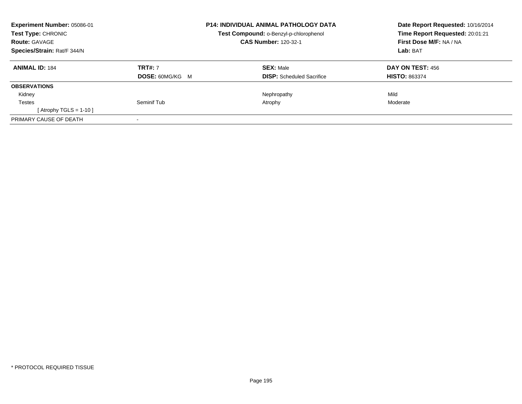| Experiment Number: 05086-01<br><b>Test Type: CHRONIC</b><br><b>Route: GAVAGE</b> |                        | <b>P14: INDIVIDUAL ANIMAL PATHOLOGY DATA</b>  | Date Report Requested: 10/16/2014<br>Time Report Requested: 20:01:21 |
|----------------------------------------------------------------------------------|------------------------|-----------------------------------------------|----------------------------------------------------------------------|
|                                                                                  |                        | <b>Test Compound: o-Benzyl-p-chlorophenol</b> |                                                                      |
|                                                                                  |                        | <b>CAS Number: 120-32-1</b>                   | First Dose M/F: NA / NA                                              |
| Species/Strain: Rat/F 344/N                                                      |                        |                                               | Lab: BAT                                                             |
| <b>ANIMAL ID: 184</b>                                                            | <b>TRT#: 7</b>         | <b>SEX: Male</b>                              | DAY ON TEST: 456                                                     |
|                                                                                  | <b>DOSE: 60MG/KG M</b> | <b>DISP:</b> Scheduled Sacrifice              | <b>HISTO: 863374</b>                                                 |
| <b>OBSERVATIONS</b>                                                              |                        |                                               |                                                                      |
| Kidney                                                                           |                        | Nephropathy                                   | Mild                                                                 |
| <b>Testes</b>                                                                    | Seminif Tub            | Atrophy                                       | Moderate                                                             |
| [Atrophy TGLS = 1-10]                                                            |                        |                                               |                                                                      |
| PRIMARY CAUSE OF DEATH                                                           |                        |                                               |                                                                      |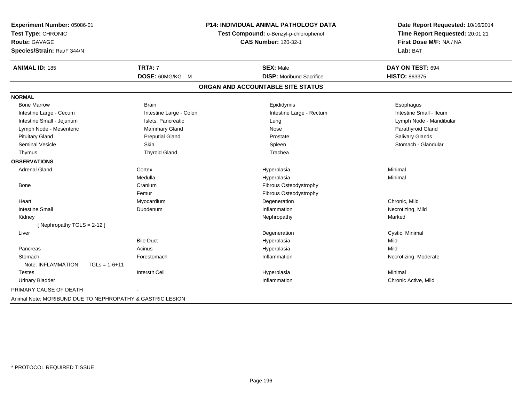| Experiment Number: 05086-01<br>Test Type: CHRONIC<br><b>Route: GAVAGE</b> |                         | P14: INDIVIDUAL ANIMAL PATHOLOGY DATA<br>Test Compound: o-Benzyl-p-chlorophenol<br><b>CAS Number: 120-32-1</b> | Date Report Requested: 10/16/2014<br>Time Report Requested: 20:01:21<br>First Dose M/F: NA / NA |  |
|---------------------------------------------------------------------------|-------------------------|----------------------------------------------------------------------------------------------------------------|-------------------------------------------------------------------------------------------------|--|
| Species/Strain: Rat/F 344/N                                               |                         |                                                                                                                | Lab: BAT                                                                                        |  |
| <b>ANIMAL ID: 185</b>                                                     | <b>TRT#: 7</b>          | <b>SEX: Male</b>                                                                                               | DAY ON TEST: 694                                                                                |  |
|                                                                           | DOSE: 60MG/KG M         | <b>DISP: Moribund Sacrifice</b>                                                                                | HISTO: 863375                                                                                   |  |
|                                                                           |                         | ORGAN AND ACCOUNTABLE SITE STATUS                                                                              |                                                                                                 |  |
| <b>NORMAL</b>                                                             |                         |                                                                                                                |                                                                                                 |  |
| <b>Bone Marrow</b>                                                        | <b>Brain</b>            | Epididymis                                                                                                     | Esophagus                                                                                       |  |
| Intestine Large - Cecum                                                   | Intestine Large - Colon | Intestine Large - Rectum                                                                                       | Intestine Small - Ileum                                                                         |  |
| Intestine Small - Jejunum                                                 | Islets, Pancreatic      | Lung                                                                                                           | Lymph Node - Mandibular                                                                         |  |
| Lymph Node - Mesenteric                                                   | Mammary Gland           | Nose                                                                                                           | Parathyroid Gland                                                                               |  |
| <b>Pituitary Gland</b>                                                    | <b>Preputial Gland</b>  | Prostate                                                                                                       | Salivary Glands                                                                                 |  |
| <b>Seminal Vesicle</b>                                                    | Skin                    | Spleen                                                                                                         | Stomach - Glandular                                                                             |  |
| Thymus                                                                    | <b>Thyroid Gland</b>    | Trachea                                                                                                        |                                                                                                 |  |
| <b>OBSERVATIONS</b>                                                       |                         |                                                                                                                |                                                                                                 |  |
| <b>Adrenal Gland</b>                                                      | Cortex                  | Hyperplasia                                                                                                    | Minimal                                                                                         |  |
|                                                                           | Medulla                 | Hyperplasia                                                                                                    | Minimal                                                                                         |  |
| Bone                                                                      | Cranium                 | Fibrous Osteodystrophy                                                                                         |                                                                                                 |  |
|                                                                           | Femur                   | Fibrous Osteodystrophy                                                                                         |                                                                                                 |  |
| Heart                                                                     | Myocardium              | Degeneration                                                                                                   | Chronic, Mild                                                                                   |  |
| <b>Intestine Small</b>                                                    | Duodenum                | Inflammation                                                                                                   | Necrotizing, Mild                                                                               |  |
| Kidney                                                                    |                         | Nephropathy                                                                                                    | Marked                                                                                          |  |
| [Nephropathy TGLS = 2-12]                                                 |                         |                                                                                                                |                                                                                                 |  |
| Liver                                                                     |                         | Degeneration                                                                                                   | Cystic, Minimal                                                                                 |  |
|                                                                           | <b>Bile Duct</b>        | Hyperplasia                                                                                                    | Mild                                                                                            |  |
| Pancreas                                                                  | Acinus                  | Hyperplasia                                                                                                    | Mild                                                                                            |  |
| Stomach                                                                   | Forestomach             | Inflammation                                                                                                   | Necrotizing, Moderate                                                                           |  |
| Note: INFLAMMATION<br>$TGLs = 1-6+11$                                     |                         |                                                                                                                |                                                                                                 |  |
| <b>Testes</b>                                                             | <b>Interstit Cell</b>   | Hyperplasia                                                                                                    | Minimal                                                                                         |  |
| <b>Urinary Bladder</b>                                                    |                         | Inflammation                                                                                                   | Chronic Active, Mild                                                                            |  |
| PRIMARY CAUSE OF DEATH                                                    |                         |                                                                                                                |                                                                                                 |  |
| Animal Note: MORIBUND DUE TO NEPHROPATHY & GASTRIC LESION                 |                         |                                                                                                                |                                                                                                 |  |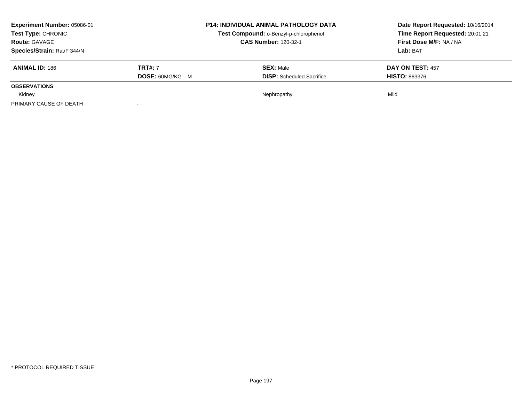| <b>Experiment Number: 05086-01</b><br><b>Test Type: CHRONIC</b> |                        | <b>P14: INDIVIDUAL ANIMAL PATHOLOGY DATA</b> | Date Report Requested: 10/16/2014 |
|-----------------------------------------------------------------|------------------------|----------------------------------------------|-----------------------------------|
|                                                                 |                        | Test Compound: o-Benzyl-p-chlorophenol       | Time Report Requested: 20:01:21   |
| <b>Route: GAVAGE</b>                                            |                        | <b>CAS Number: 120-32-1</b>                  | First Dose M/F: NA / NA           |
| Species/Strain: Rat/F 344/N                                     |                        |                                              | Lab: BAT                          |
| <b>ANIMAL ID: 186</b>                                           | <b>TRT#: 7</b>         | <b>SEX: Male</b>                             | DAY ON TEST: 457                  |
|                                                                 | <b>DOSE: 60MG/KG M</b> | <b>DISP:</b> Scheduled Sacrifice             | <b>HISTO: 863376</b>              |
| <b>OBSERVATIONS</b>                                             |                        |                                              |                                   |
| Kidney                                                          |                        | Nephropathy                                  | Mild                              |
| PRIMARY CAUSE OF DEATH                                          |                        |                                              |                                   |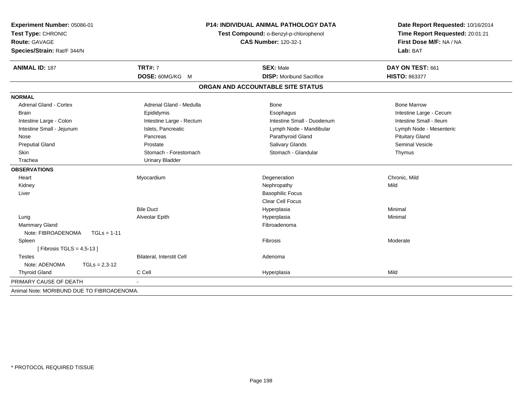| Experiment Number: 05086-01<br>Test Type: CHRONIC<br><b>Route: GAVAGE</b><br>Species/Strain: Rat/F 344/N | P14: INDIVIDUAL ANIMAL PATHOLOGY DATA<br>Test Compound: o-Benzyl-p-chlorophenol<br><b>CAS Number: 120-32-1</b> |                                   | Date Report Requested: 10/16/2014<br>Time Report Requested: 20:01:21<br>First Dose M/F: NA / NA<br>Lab: BAT |
|----------------------------------------------------------------------------------------------------------|----------------------------------------------------------------------------------------------------------------|-----------------------------------|-------------------------------------------------------------------------------------------------------------|
| <b>ANIMAL ID: 187</b>                                                                                    | <b>TRT#: 7</b>                                                                                                 | <b>SEX: Male</b>                  | DAY ON TEST: 661                                                                                            |
|                                                                                                          | DOSE: 60MG/KG M                                                                                                | <b>DISP: Moribund Sacrifice</b>   | <b>HISTO: 863377</b>                                                                                        |
|                                                                                                          |                                                                                                                | ORGAN AND ACCOUNTABLE SITE STATUS |                                                                                                             |
| <b>NORMAL</b>                                                                                            |                                                                                                                |                                   |                                                                                                             |
| <b>Adrenal Gland - Cortex</b>                                                                            | Adrenal Gland - Medulla                                                                                        | <b>Bone</b>                       | <b>Bone Marrow</b>                                                                                          |
| <b>Brain</b>                                                                                             | Epididymis                                                                                                     | Esophagus                         | Intestine Large - Cecum                                                                                     |
| Intestine Large - Colon                                                                                  | Intestine Large - Rectum                                                                                       | Intestine Small - Duodenum        | Intestine Small - Ileum                                                                                     |
| Intestine Small - Jejunum                                                                                | Islets, Pancreatic                                                                                             | Lymph Node - Mandibular           | Lymph Node - Mesenteric                                                                                     |
| Nose                                                                                                     | Pancreas                                                                                                       | Parathyroid Gland                 | <b>Pituitary Gland</b>                                                                                      |
| <b>Preputial Gland</b>                                                                                   | Prostate                                                                                                       | Salivary Glands                   | Seminal Vesicle                                                                                             |
| Skin                                                                                                     | Stomach - Forestomach                                                                                          | Stomach - Glandular               | Thymus                                                                                                      |
| Trachea                                                                                                  | <b>Urinary Bladder</b>                                                                                         |                                   |                                                                                                             |
| <b>OBSERVATIONS</b>                                                                                      |                                                                                                                |                                   |                                                                                                             |
| Heart                                                                                                    | Myocardium                                                                                                     | Degeneration                      | Chronic, Mild                                                                                               |
| Kidney                                                                                                   |                                                                                                                | Nephropathy                       | Mild                                                                                                        |
| Liver                                                                                                    |                                                                                                                | <b>Basophilic Focus</b>           |                                                                                                             |
|                                                                                                          |                                                                                                                | <b>Clear Cell Focus</b>           |                                                                                                             |
|                                                                                                          | <b>Bile Duct</b>                                                                                               | Hyperplasia                       | Minimal                                                                                                     |
| Lung                                                                                                     | Alveolar Epith                                                                                                 | Hyperplasia                       | Minimal                                                                                                     |
| Mammary Gland                                                                                            |                                                                                                                | Fibroadenoma                      |                                                                                                             |
| Note: FIBROADENOMA<br>$TGLs = 1-11$                                                                      |                                                                                                                |                                   |                                                                                                             |
| Spleen                                                                                                   |                                                                                                                | Fibrosis                          | Moderate                                                                                                    |
| [Fibrosis TGLS = $4,5-13$ ]                                                                              |                                                                                                                |                                   |                                                                                                             |
| <b>Testes</b>                                                                                            | <b>Bilateral, Interstit Cell</b>                                                                               | Adenoma                           |                                                                                                             |
| Note: ADENOMA<br>$TGLs = 2,3-12$                                                                         |                                                                                                                |                                   |                                                                                                             |
| <b>Thyroid Gland</b>                                                                                     | C Cell                                                                                                         | Hyperplasia                       | Mild                                                                                                        |
| PRIMARY CAUSE OF DEATH                                                                                   |                                                                                                                |                                   |                                                                                                             |
| Animal Note: MORIBUND DUE TO FIBROADENOMA.                                                               |                                                                                                                |                                   |                                                                                                             |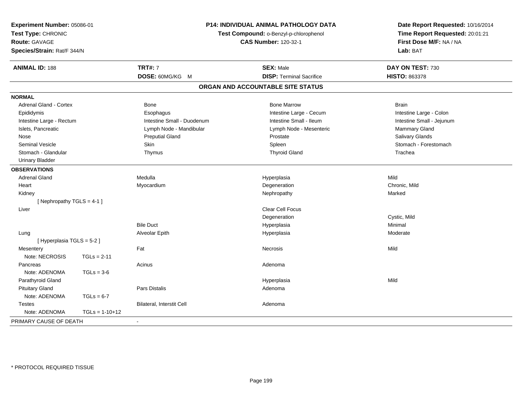| Experiment Number: 05086-01<br>Test Type: CHRONIC<br><b>Route: GAVAGE</b><br>Species/Strain: Rat/F 344/N |                  | <b>P14: INDIVIDUAL ANIMAL PATHOLOGY DATA</b><br>Test Compound: o-Benzyl-p-chlorophenol<br><b>CAS Number: 120-32-1</b> |                                   | Date Report Requested: 10/16/2014<br>Time Report Requested: 20:01:21<br>First Dose M/F: NA / NA<br>Lab: BAT |
|----------------------------------------------------------------------------------------------------------|------------------|-----------------------------------------------------------------------------------------------------------------------|-----------------------------------|-------------------------------------------------------------------------------------------------------------|
| <b>ANIMAL ID: 188</b>                                                                                    |                  | <b>TRT#: 7</b>                                                                                                        | <b>SEX: Male</b>                  | DAY ON TEST: 730                                                                                            |
|                                                                                                          |                  | DOSE: 60MG/KG M                                                                                                       | <b>DISP: Terminal Sacrifice</b>   | <b>HISTO: 863378</b>                                                                                        |
|                                                                                                          |                  |                                                                                                                       | ORGAN AND ACCOUNTABLE SITE STATUS |                                                                                                             |
| <b>NORMAL</b>                                                                                            |                  |                                                                                                                       |                                   |                                                                                                             |
| Adrenal Gland - Cortex                                                                                   |                  | Bone                                                                                                                  | <b>Bone Marrow</b>                | <b>Brain</b>                                                                                                |
| Epididymis                                                                                               |                  | Esophagus                                                                                                             | Intestine Large - Cecum           | Intestine Large - Colon                                                                                     |
| Intestine Large - Rectum                                                                                 |                  | Intestine Small - Duodenum                                                                                            | Intestine Small - Ileum           | Intestine Small - Jejunum                                                                                   |
| Islets, Pancreatic                                                                                       |                  | Lymph Node - Mandibular                                                                                               | Lymph Node - Mesenteric           | Mammary Gland                                                                                               |
| Nose                                                                                                     |                  | <b>Preputial Gland</b>                                                                                                | Prostate                          | Salivary Glands                                                                                             |
| <b>Seminal Vesicle</b>                                                                                   |                  | Skin                                                                                                                  | Spleen                            | Stomach - Forestomach                                                                                       |
| Stomach - Glandular                                                                                      |                  | Thymus                                                                                                                | <b>Thyroid Gland</b>              | Trachea                                                                                                     |
| <b>Urinary Bladder</b>                                                                                   |                  |                                                                                                                       |                                   |                                                                                                             |
| <b>OBSERVATIONS</b>                                                                                      |                  |                                                                                                                       |                                   |                                                                                                             |
| <b>Adrenal Gland</b>                                                                                     |                  | Medulla                                                                                                               | Hyperplasia                       | Mild                                                                                                        |
| Heart                                                                                                    |                  | Myocardium                                                                                                            | Degeneration                      | Chronic, Mild                                                                                               |
| Kidney                                                                                                   |                  |                                                                                                                       | Nephropathy                       | Marked                                                                                                      |
| [Nephropathy TGLS = 4-1]                                                                                 |                  |                                                                                                                       |                                   |                                                                                                             |
| Liver                                                                                                    |                  |                                                                                                                       | Clear Cell Focus                  |                                                                                                             |
|                                                                                                          |                  |                                                                                                                       | Degeneration                      | Cystic, Mild                                                                                                |
|                                                                                                          |                  | <b>Bile Duct</b>                                                                                                      | Hyperplasia                       | Minimal                                                                                                     |
| Lung                                                                                                     |                  | Alveolar Epith                                                                                                        | Hyperplasia                       | Moderate                                                                                                    |
| [ Hyperplasia TGLS = 5-2 ]                                                                               |                  |                                                                                                                       |                                   |                                                                                                             |
| Mesentery                                                                                                |                  | Fat                                                                                                                   | <b>Necrosis</b>                   | Mild                                                                                                        |
| Note: NECROSIS                                                                                           | $TGLs = 2-11$    |                                                                                                                       |                                   |                                                                                                             |
| Pancreas                                                                                                 |                  | Acinus                                                                                                                | Adenoma                           |                                                                                                             |
| Note: ADENOMA                                                                                            | $TGLs = 3-6$     |                                                                                                                       |                                   |                                                                                                             |
| Parathyroid Gland                                                                                        |                  |                                                                                                                       | Hyperplasia                       | Mild                                                                                                        |
| <b>Pituitary Gland</b>                                                                                   |                  | Pars Distalis                                                                                                         | Adenoma                           |                                                                                                             |
| Note: ADENOMA                                                                                            | $TGLs = 6-7$     |                                                                                                                       |                                   |                                                                                                             |
| <b>Testes</b>                                                                                            |                  | Bilateral, Interstit Cell                                                                                             | Adenoma                           |                                                                                                             |
| Note: ADENOMA                                                                                            | $TGLs = 1-10+12$ |                                                                                                                       |                                   |                                                                                                             |
| PRIMARY CAUSE OF DEATH                                                                                   |                  |                                                                                                                       |                                   |                                                                                                             |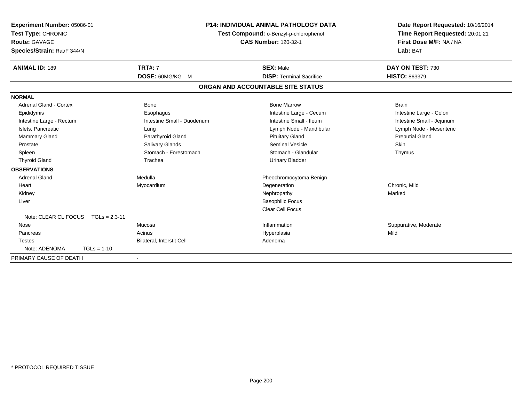| <b>Experiment Number: 05086-01</b><br>Test Type: CHRONIC<br>Route: GAVAGE<br>Species/Strain: Rat/F 344/N<br><b>ANIMAL ID: 189</b> | <b>P14: INDIVIDUAL ANIMAL PATHOLOGY DATA</b><br>Test Compound: o-Benzyl-p-chlorophenol<br><b>CAS Number: 120-32-1</b><br><b>TRT#: 7</b><br><b>SEX: Male</b> |                                   | Date Report Requested: 10/16/2014<br>Time Report Requested: 20:01:21<br>First Dose M/F: NA / NA<br>Lab: BAT<br>DAY ON TEST: 730 |
|-----------------------------------------------------------------------------------------------------------------------------------|-------------------------------------------------------------------------------------------------------------------------------------------------------------|-----------------------------------|---------------------------------------------------------------------------------------------------------------------------------|
|                                                                                                                                   | DOSE: 60MG/KG M                                                                                                                                             | <b>DISP: Terminal Sacrifice</b>   | <b>HISTO: 863379</b>                                                                                                            |
|                                                                                                                                   |                                                                                                                                                             | ORGAN AND ACCOUNTABLE SITE STATUS |                                                                                                                                 |
| <b>NORMAL</b>                                                                                                                     |                                                                                                                                                             |                                   |                                                                                                                                 |
| <b>Adrenal Gland - Cortex</b>                                                                                                     | <b>Bone</b>                                                                                                                                                 | <b>Bone Marrow</b>                | <b>Brain</b>                                                                                                                    |
| Epididymis                                                                                                                        | Esophagus                                                                                                                                                   | Intestine Large - Cecum           | Intestine Large - Colon                                                                                                         |
| Intestine Large - Rectum                                                                                                          | Intestine Small - Duodenum                                                                                                                                  | Intestine Small - Ileum           | Intestine Small - Jejunum                                                                                                       |
| Islets, Pancreatic                                                                                                                | Lung                                                                                                                                                        | Lymph Node - Mandibular           | Lymph Node - Mesenteric                                                                                                         |
| <b>Mammary Gland</b>                                                                                                              | Parathyroid Gland                                                                                                                                           | <b>Pituitary Gland</b>            | <b>Preputial Gland</b>                                                                                                          |
| Prostate                                                                                                                          | Salivary Glands                                                                                                                                             | Seminal Vesicle                   | <b>Skin</b>                                                                                                                     |
| Spleen                                                                                                                            | Stomach - Forestomach                                                                                                                                       | Stomach - Glandular               | Thymus                                                                                                                          |
| <b>Thyroid Gland</b>                                                                                                              | Trachea                                                                                                                                                     | <b>Urinary Bladder</b>            |                                                                                                                                 |
| <b>OBSERVATIONS</b>                                                                                                               |                                                                                                                                                             |                                   |                                                                                                                                 |
| Adrenal Gland                                                                                                                     | Medulla                                                                                                                                                     | Pheochromocytoma Benign           |                                                                                                                                 |
| Heart                                                                                                                             | Myocardium                                                                                                                                                  | Degeneration                      | Chronic, Mild                                                                                                                   |
| Kidney                                                                                                                            |                                                                                                                                                             | Nephropathy                       | Marked                                                                                                                          |
| Liver                                                                                                                             |                                                                                                                                                             | <b>Basophilic Focus</b>           |                                                                                                                                 |
|                                                                                                                                   |                                                                                                                                                             | <b>Clear Cell Focus</b>           |                                                                                                                                 |
| Note: CLEAR CL FOCUS TGLs = 2.3-11                                                                                                |                                                                                                                                                             |                                   |                                                                                                                                 |
| Nose                                                                                                                              | Mucosa                                                                                                                                                      | Inflammation                      | Suppurative, Moderate                                                                                                           |
| Pancreas                                                                                                                          | Acinus                                                                                                                                                      | Hyperplasia                       | Mild                                                                                                                            |
| <b>Testes</b>                                                                                                                     | Bilateral, Interstit Cell                                                                                                                                   | Adenoma                           |                                                                                                                                 |
| Note: ADENOMA<br>$TGLs = 1-10$                                                                                                    |                                                                                                                                                             |                                   |                                                                                                                                 |
| PRIMARY CAUSE OF DEATH                                                                                                            |                                                                                                                                                             |                                   |                                                                                                                                 |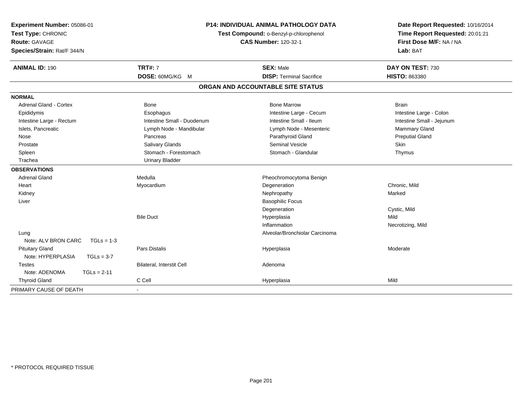| Experiment Number: 05086-01<br>Test Type: CHRONIC<br><b>Route: GAVAGE</b><br>Species/Strain: Rat/F 344/N | P14: INDIVIDUAL ANIMAL PATHOLOGY DATA<br>Test Compound: o-Benzyl-p-chlorophenol<br><b>CAS Number: 120-32-1</b> |                                   | Date Report Requested: 10/16/2014<br>Time Report Requested: 20:01:21<br>First Dose M/F: NA / NA<br>Lab: BAT |
|----------------------------------------------------------------------------------------------------------|----------------------------------------------------------------------------------------------------------------|-----------------------------------|-------------------------------------------------------------------------------------------------------------|
| <b>ANIMAL ID: 190</b>                                                                                    | <b>TRT#: 7</b>                                                                                                 | <b>SEX: Male</b>                  | DAY ON TEST: 730                                                                                            |
|                                                                                                          | DOSE: 60MG/KG M                                                                                                | <b>DISP: Terminal Sacrifice</b>   | <b>HISTO: 863380</b>                                                                                        |
|                                                                                                          |                                                                                                                | ORGAN AND ACCOUNTABLE SITE STATUS |                                                                                                             |
| <b>NORMAL</b>                                                                                            |                                                                                                                |                                   |                                                                                                             |
| <b>Adrenal Gland - Cortex</b>                                                                            | <b>Bone</b>                                                                                                    | <b>Bone Marrow</b>                | <b>Brain</b>                                                                                                |
| Epididymis                                                                                               | Esophagus                                                                                                      | Intestine Large - Cecum           | Intestine Large - Colon                                                                                     |
| Intestine Large - Rectum                                                                                 | Intestine Small - Duodenum                                                                                     | Intestine Small - Ileum           | Intestine Small - Jejunum                                                                                   |
| Islets, Pancreatic                                                                                       | Lymph Node - Mandibular                                                                                        | Lymph Node - Mesenteric           | Mammary Gland                                                                                               |
| Nose                                                                                                     | Pancreas                                                                                                       | Parathyroid Gland                 | <b>Preputial Gland</b>                                                                                      |
| Prostate                                                                                                 | Salivary Glands                                                                                                | <b>Seminal Vesicle</b>            | Skin                                                                                                        |
| Spleen                                                                                                   | Stomach - Forestomach                                                                                          | Stomach - Glandular               | Thymus                                                                                                      |
| Trachea                                                                                                  | <b>Urinary Bladder</b>                                                                                         |                                   |                                                                                                             |
| <b>OBSERVATIONS</b>                                                                                      |                                                                                                                |                                   |                                                                                                             |
| <b>Adrenal Gland</b>                                                                                     | Medulla                                                                                                        | Pheochromocytoma Benign           |                                                                                                             |
| Heart                                                                                                    | Myocardium                                                                                                     | Degeneration                      | Chronic, Mild                                                                                               |
| Kidney                                                                                                   |                                                                                                                | Nephropathy                       | Marked                                                                                                      |
| Liver                                                                                                    |                                                                                                                | <b>Basophilic Focus</b>           |                                                                                                             |
|                                                                                                          |                                                                                                                | Degeneration                      | Cystic, Mild                                                                                                |
|                                                                                                          | <b>Bile Duct</b>                                                                                               | Hyperplasia                       | Mild                                                                                                        |
|                                                                                                          |                                                                                                                | Inflammation                      | Necrotizing, Mild                                                                                           |
| Lung                                                                                                     |                                                                                                                | Alveolar/Bronchiolar Carcinoma    |                                                                                                             |
| Note: ALV BRON CARC<br>$TGLs = 1-3$                                                                      |                                                                                                                |                                   |                                                                                                             |
| <b>Pituitary Gland</b>                                                                                   | <b>Pars Distalis</b>                                                                                           | Hyperplasia                       | Moderate                                                                                                    |
| Note: HYPERPLASIA<br>$TGLs = 3-7$                                                                        |                                                                                                                |                                   |                                                                                                             |
| <b>Testes</b>                                                                                            | Bilateral, Interstit Cell                                                                                      | Adenoma                           |                                                                                                             |
| Note: ADENOMA<br>$TGLs = 2-11$                                                                           |                                                                                                                |                                   |                                                                                                             |
| <b>Thyroid Gland</b>                                                                                     | C Cell                                                                                                         | Hyperplasia                       | Mild                                                                                                        |
| PRIMARY CAUSE OF DEATH                                                                                   | $\sim$                                                                                                         |                                   |                                                                                                             |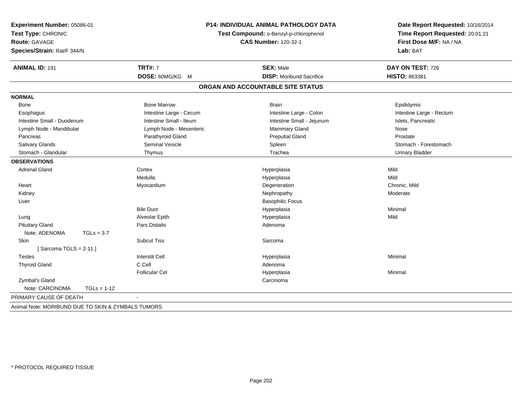| Experiment Number: 05086-01<br>Test Type: CHRONIC<br><b>Route: GAVAGE</b> | P14: INDIVIDUAL ANIMAL PATHOLOGY DATA<br>Test Compound: o-Benzyl-p-chlorophenol<br><b>CAS Number: 120-32-1</b> |                                   | Date Report Requested: 10/16/2014<br>Time Report Requested: 20:01:21<br>First Dose M/F: NA / NA |
|---------------------------------------------------------------------------|----------------------------------------------------------------------------------------------------------------|-----------------------------------|-------------------------------------------------------------------------------------------------|
| Species/Strain: Rat/F 344/N                                               |                                                                                                                |                                   | Lab: BAT                                                                                        |
| <b>ANIMAL ID: 191</b>                                                     | <b>TRT#: 7</b>                                                                                                 | <b>SEX: Male</b>                  | DAY ON TEST: 726                                                                                |
|                                                                           | DOSE: 60MG/KG M                                                                                                | <b>DISP:</b> Moribund Sacrifice   | <b>HISTO: 863381</b>                                                                            |
|                                                                           |                                                                                                                | ORGAN AND ACCOUNTABLE SITE STATUS |                                                                                                 |
| <b>NORMAL</b>                                                             |                                                                                                                |                                   |                                                                                                 |
| Bone                                                                      | <b>Bone Marrow</b>                                                                                             | <b>Brain</b>                      | Epididymis                                                                                      |
| Esophagus                                                                 | Intestine Large - Cecum                                                                                        | Intestine Large - Colon           | Intestine Large - Rectum                                                                        |
| Intestine Small - Duodenum                                                | Intestine Small - Ileum                                                                                        | Intestine Small - Jejunum         | Islets, Pancreatic                                                                              |
| Lymph Node - Mandibular                                                   | Lymph Node - Mesenteric                                                                                        | Mammary Gland                     | Nose                                                                                            |
| Pancreas                                                                  | Parathyroid Gland                                                                                              | <b>Preputial Gland</b>            | Prostate                                                                                        |
| <b>Salivary Glands</b>                                                    | <b>Seminal Vesicle</b>                                                                                         | Spleen                            | Stomach - Forestomach                                                                           |
| Stomach - Glandular                                                       | Thymus                                                                                                         | Trachea                           | <b>Urinary Bladder</b>                                                                          |
| <b>OBSERVATIONS</b>                                                       |                                                                                                                |                                   |                                                                                                 |
| <b>Adrenal Gland</b>                                                      | Cortex                                                                                                         | Hyperplasia                       | Mild                                                                                            |
|                                                                           | Medulla                                                                                                        | Hyperplasia                       | Mild                                                                                            |
| Heart                                                                     | Myocardium                                                                                                     | Degeneration                      | Chronic, Mild                                                                                   |
| Kidney                                                                    |                                                                                                                | Nephropathy                       | Moderate                                                                                        |
| Liver                                                                     |                                                                                                                | <b>Basophilic Focus</b>           |                                                                                                 |
|                                                                           | <b>Bile Duct</b>                                                                                               | Hyperplasia                       | Minimal                                                                                         |
| Lung                                                                      | Alveolar Epith                                                                                                 | Hyperplasia                       | Mild                                                                                            |
| <b>Pituitary Gland</b>                                                    | Pars Distalis                                                                                                  | Adenoma                           |                                                                                                 |
| Note: ADENOMA<br>$TGLs = 3-7$                                             |                                                                                                                |                                   |                                                                                                 |
| <b>Skin</b>                                                               | <b>Subcut Tiss</b>                                                                                             | Sarcoma                           |                                                                                                 |
| [Sarcoma TGLS = $2-11$ ]                                                  |                                                                                                                |                                   |                                                                                                 |
| <b>Testes</b>                                                             | <b>Interstit Cell</b>                                                                                          | Hyperplasia                       | Minimal                                                                                         |
| <b>Thyroid Gland</b>                                                      | C Cell                                                                                                         | Adenoma                           |                                                                                                 |
|                                                                           | <b>Follicular Cel</b>                                                                                          | Hyperplasia                       | Minimal                                                                                         |
| Zymbal's Gland                                                            |                                                                                                                | Carcinoma                         |                                                                                                 |
| Note: CARCINOMA<br>$TGLs = 1-12$                                          |                                                                                                                |                                   |                                                                                                 |
| PRIMARY CAUSE OF DEATH                                                    |                                                                                                                |                                   |                                                                                                 |
| Animal Note: MORIBUND DUE TO SKIN & ZYMBALS TUMORS                        |                                                                                                                |                                   |                                                                                                 |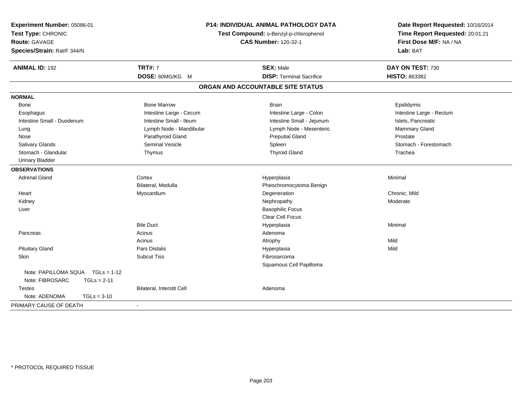| Experiment Number: 05086-01<br>Test Type: CHRONIC<br><b>Route: GAVAGE</b><br>Species/Strain: Rat/F 344/N | P14: INDIVIDUAL ANIMAL PATHOLOGY DATA<br>Test Compound: o-Benzyl-p-chlorophenol<br><b>CAS Number: 120-32-1</b> |                                   | Date Report Requested: 10/16/2014<br>Time Report Requested: 20:01:21<br>First Dose M/F: NA / NA<br>Lab: BAT |
|----------------------------------------------------------------------------------------------------------|----------------------------------------------------------------------------------------------------------------|-----------------------------------|-------------------------------------------------------------------------------------------------------------|
|                                                                                                          |                                                                                                                |                                   |                                                                                                             |
| <b>ANIMAL ID: 192</b>                                                                                    | <b>TRT#: 7</b>                                                                                                 | <b>SEX: Male</b>                  | DAY ON TEST: 730                                                                                            |
|                                                                                                          | DOSE: 60MG/KG M                                                                                                | <b>DISP: Terminal Sacrifice</b>   | HISTO: 863382                                                                                               |
|                                                                                                          |                                                                                                                | ORGAN AND ACCOUNTABLE SITE STATUS |                                                                                                             |
| <b>NORMAL</b>                                                                                            |                                                                                                                |                                   |                                                                                                             |
| Bone                                                                                                     | <b>Bone Marrow</b>                                                                                             | <b>Brain</b>                      | Epididymis                                                                                                  |
| Esophagus                                                                                                | Intestine Large - Cecum                                                                                        | Intestine Large - Colon           | Intestine Large - Rectum                                                                                    |
| Intestine Small - Duodenum                                                                               | Intestine Small - Ileum                                                                                        | Intestine Small - Jejunum         | Islets, Pancreatic                                                                                          |
| Lung                                                                                                     | Lymph Node - Mandibular                                                                                        | Lymph Node - Mesenteric           | Mammary Gland                                                                                               |
| Nose                                                                                                     | Parathyroid Gland                                                                                              | <b>Preputial Gland</b>            | Prostate                                                                                                    |
| Salivary Glands                                                                                          | <b>Seminal Vesicle</b>                                                                                         | Spleen                            | Stomach - Forestomach                                                                                       |
| Stomach - Glandular                                                                                      | Thymus                                                                                                         | <b>Thyroid Gland</b>              | Trachea                                                                                                     |
| <b>Urinary Bladder</b>                                                                                   |                                                                                                                |                                   |                                                                                                             |
| <b>OBSERVATIONS</b>                                                                                      |                                                                                                                |                                   |                                                                                                             |
| <b>Adrenal Gland</b>                                                                                     | Cortex                                                                                                         | Hyperplasia                       | Minimal                                                                                                     |
|                                                                                                          | Bilateral, Medulla                                                                                             | Pheochromocytoma Benign           |                                                                                                             |
| Heart                                                                                                    | Myocardium                                                                                                     | Degeneration                      | Chronic, Mild                                                                                               |
| Kidney                                                                                                   |                                                                                                                | Nephropathy                       | Moderate                                                                                                    |
| Liver                                                                                                    |                                                                                                                | <b>Basophilic Focus</b>           |                                                                                                             |
|                                                                                                          |                                                                                                                | Clear Cell Focus                  |                                                                                                             |
|                                                                                                          | <b>Bile Duct</b>                                                                                               | Hyperplasia                       | Minimal                                                                                                     |
| Pancreas                                                                                                 | Acinus                                                                                                         | Adenoma                           |                                                                                                             |
|                                                                                                          | Acinus                                                                                                         | Atrophy                           | Mild                                                                                                        |
| <b>Pituitary Gland</b>                                                                                   | Pars Distalis                                                                                                  | Hyperplasia                       | Mild                                                                                                        |
| Skin                                                                                                     | <b>Subcut Tiss</b>                                                                                             | Fibrosarcoma                      |                                                                                                             |
|                                                                                                          |                                                                                                                | Squamous Cell Papilloma           |                                                                                                             |
| Note: PAPILLOMA SQUA  TGLs = 1-12                                                                        |                                                                                                                |                                   |                                                                                                             |
| Note: FIBROSARC<br>$TGLs = 2-11$                                                                         |                                                                                                                |                                   |                                                                                                             |
| <b>Testes</b>                                                                                            | Bilateral, Interstit Cell                                                                                      | Adenoma                           |                                                                                                             |
| Note: ADENOMA<br>$TGLs = 3-10$                                                                           |                                                                                                                |                                   |                                                                                                             |
| PRIMARY CAUSE OF DEATH                                                                                   | $\blacksquare$                                                                                                 |                                   |                                                                                                             |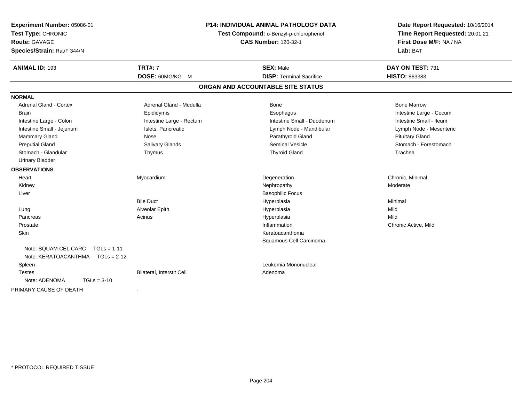| Experiment Number: 05086-01<br>Test Type: CHRONIC<br><b>Route: GAVAGE</b><br>Species/Strain: Rat/F 344/N | P14: INDIVIDUAL ANIMAL PATHOLOGY DATA<br>Test Compound: o-Benzyl-p-chlorophenol<br><b>CAS Number: 120-32-1</b> |                                                     | Date Report Requested: 10/16/2014<br>Time Report Requested: 20:01:21<br>First Dose M/F: NA / NA<br>Lab: BAT |
|----------------------------------------------------------------------------------------------------------|----------------------------------------------------------------------------------------------------------------|-----------------------------------------------------|-------------------------------------------------------------------------------------------------------------|
| <b>ANIMAL ID: 193</b>                                                                                    | <b>TRT#: 7</b>                                                                                                 | <b>SEX: Male</b><br><b>DISP: Terminal Sacrifice</b> | DAY ON TEST: 731                                                                                            |
|                                                                                                          | DOSE: 60MG/KG M                                                                                                |                                                     | <b>HISTO: 863383</b>                                                                                        |
|                                                                                                          |                                                                                                                | ORGAN AND ACCOUNTABLE SITE STATUS                   |                                                                                                             |
| <b>NORMAL</b>                                                                                            |                                                                                                                |                                                     |                                                                                                             |
| <b>Adrenal Gland - Cortex</b>                                                                            | Adrenal Gland - Medulla                                                                                        | Bone                                                | <b>Bone Marrow</b>                                                                                          |
| <b>Brain</b>                                                                                             | Epididymis                                                                                                     | Esophagus                                           | Intestine Large - Cecum                                                                                     |
| Intestine Large - Colon                                                                                  | Intestine Large - Rectum                                                                                       | Intestine Small - Duodenum                          | Intestine Small - Ileum                                                                                     |
| Intestine Small - Jejunum                                                                                | Islets, Pancreatic                                                                                             | Lymph Node - Mandibular                             | Lymph Node - Mesenteric                                                                                     |
| Mammary Gland                                                                                            | Nose                                                                                                           | Parathyroid Gland                                   | <b>Pituitary Gland</b>                                                                                      |
| <b>Preputial Gland</b>                                                                                   | Salivary Glands                                                                                                | <b>Seminal Vesicle</b>                              | Stomach - Forestomach                                                                                       |
| Stomach - Glandular                                                                                      | Thymus                                                                                                         | <b>Thyroid Gland</b>                                | Trachea                                                                                                     |
| <b>Urinary Bladder</b>                                                                                   |                                                                                                                |                                                     |                                                                                                             |
| <b>OBSERVATIONS</b>                                                                                      |                                                                                                                |                                                     |                                                                                                             |
| Heart                                                                                                    | Myocardium                                                                                                     | Degeneration                                        | Chronic, Minimal                                                                                            |
| Kidney                                                                                                   |                                                                                                                | Nephropathy                                         | Moderate                                                                                                    |
| Liver                                                                                                    |                                                                                                                | <b>Basophilic Focus</b>                             |                                                                                                             |
|                                                                                                          | <b>Bile Duct</b>                                                                                               | Hyperplasia                                         | Minimal                                                                                                     |
| Lung                                                                                                     | Alveolar Epith                                                                                                 | Hyperplasia                                         | Mild                                                                                                        |
| Pancreas                                                                                                 | Acinus                                                                                                         | Hyperplasia                                         | Mild                                                                                                        |
| Prostate                                                                                                 |                                                                                                                | Inflammation                                        | Chronic Active, Mild                                                                                        |
| Skin                                                                                                     |                                                                                                                | Keratoacanthoma                                     |                                                                                                             |
|                                                                                                          |                                                                                                                | Squamous Cell Carcinoma                             |                                                                                                             |
| Note: SQUAM CEL CARC<br>$TGLs = 1-11$                                                                    |                                                                                                                |                                                     |                                                                                                             |
| Note: KERATOACANTHMA   TGLs = 2-12                                                                       |                                                                                                                |                                                     |                                                                                                             |
| Spleen                                                                                                   |                                                                                                                | Leukemia Mononuclear                                |                                                                                                             |
| <b>Testes</b>                                                                                            | <b>Bilateral, Interstit Cell</b>                                                                               | Adenoma                                             |                                                                                                             |
| Note: ADENOMA<br>$TGLs = 3-10$                                                                           |                                                                                                                |                                                     |                                                                                                             |
| PRIMARY CAUSE OF DEATH                                                                                   |                                                                                                                |                                                     |                                                                                                             |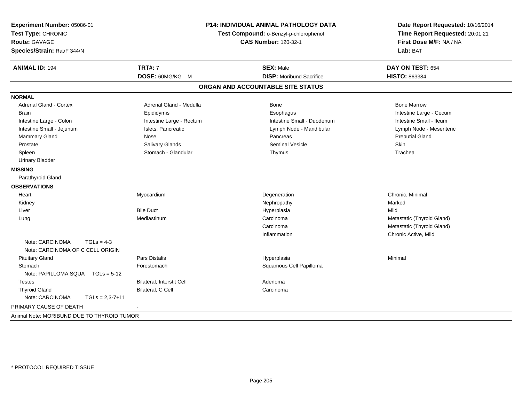| Experiment Number: 05086-01<br>Test Type: CHRONIC<br><b>Route: GAVAGE</b><br>Species/Strain: Rat/F 344/N | <b>P14: INDIVIDUAL ANIMAL PATHOLOGY DATA</b><br>Test Compound: o-Benzyl-p-chlorophenol<br><b>CAS Number: 120-32-1</b> |                                   | Date Report Requested: 10/16/2014<br>Time Report Requested: 20:01:21<br>First Dose M/F: NA / NA<br>Lab: BAT |  |
|----------------------------------------------------------------------------------------------------------|-----------------------------------------------------------------------------------------------------------------------|-----------------------------------|-------------------------------------------------------------------------------------------------------------|--|
| <b>ANIMAL ID: 194</b>                                                                                    | <b>TRT#: 7</b>                                                                                                        | <b>SEX: Male</b>                  | DAY ON TEST: 654                                                                                            |  |
|                                                                                                          | DOSE: 60MG/KG M                                                                                                       | <b>DISP:</b> Moribund Sacrifice   | HISTO: 863384                                                                                               |  |
|                                                                                                          |                                                                                                                       | ORGAN AND ACCOUNTABLE SITE STATUS |                                                                                                             |  |
| <b>NORMAL</b>                                                                                            |                                                                                                                       |                                   |                                                                                                             |  |
| <b>Adrenal Gland - Cortex</b>                                                                            | Adrenal Gland - Medulla                                                                                               | <b>Bone</b>                       | <b>Bone Marrow</b>                                                                                          |  |
| <b>Brain</b>                                                                                             | Epididymis                                                                                                            | Esophagus                         | Intestine Large - Cecum                                                                                     |  |
| Intestine Large - Colon                                                                                  | Intestine Large - Rectum                                                                                              | Intestine Small - Duodenum        | Intestine Small - Ileum                                                                                     |  |
| Intestine Small - Jejunum                                                                                | Islets, Pancreatic                                                                                                    | Lymph Node - Mandibular           | Lymph Node - Mesenteric                                                                                     |  |
| Mammary Gland                                                                                            | Nose                                                                                                                  | Pancreas                          | <b>Preputial Gland</b>                                                                                      |  |
| Prostate                                                                                                 | Salivary Glands                                                                                                       | Seminal Vesicle                   | <b>Skin</b>                                                                                                 |  |
| Spleen                                                                                                   | Stomach - Glandular                                                                                                   | Thymus                            | Trachea                                                                                                     |  |
| <b>Urinary Bladder</b>                                                                                   |                                                                                                                       |                                   |                                                                                                             |  |
| <b>MISSING</b>                                                                                           |                                                                                                                       |                                   |                                                                                                             |  |
| Parathyroid Gland                                                                                        |                                                                                                                       |                                   |                                                                                                             |  |
| <b>OBSERVATIONS</b>                                                                                      |                                                                                                                       |                                   |                                                                                                             |  |
| Heart                                                                                                    | Myocardium                                                                                                            | Degeneration                      | Chronic, Minimal                                                                                            |  |
| Kidney                                                                                                   |                                                                                                                       | Nephropathy                       | Marked                                                                                                      |  |
| Liver                                                                                                    | <b>Bile Duct</b>                                                                                                      | Hyperplasia                       | Mild                                                                                                        |  |
| Lung                                                                                                     | Mediastinum                                                                                                           | Carcinoma                         | Metastatic (Thyroid Gland)                                                                                  |  |
|                                                                                                          |                                                                                                                       | Carcinoma                         | Metastatic (Thyroid Gland)                                                                                  |  |
|                                                                                                          |                                                                                                                       | Inflammation                      | Chronic Active, Mild                                                                                        |  |
| Note: CARCINOMA<br>$TGLs = 4-3$                                                                          |                                                                                                                       |                                   |                                                                                                             |  |
| Note: CARCINOMA OF C CELL ORIGIN                                                                         |                                                                                                                       |                                   |                                                                                                             |  |
| <b>Pituitary Gland</b>                                                                                   | <b>Pars Distalis</b>                                                                                                  | Hyperplasia                       | Minimal                                                                                                     |  |
| Stomach                                                                                                  | Forestomach                                                                                                           | Squamous Cell Papilloma           |                                                                                                             |  |
| Note: PAPILLOMA SQUA TGLs = 5-12                                                                         |                                                                                                                       |                                   |                                                                                                             |  |
| <b>Testes</b>                                                                                            | <b>Bilateral, Interstit Cell</b>                                                                                      | Adenoma                           |                                                                                                             |  |
| <b>Thyroid Gland</b>                                                                                     | Bilateral, C Cell                                                                                                     | Carcinoma                         |                                                                                                             |  |
| Note: CARCINOMA<br>$TGLs = 2,3-7+11$                                                                     |                                                                                                                       |                                   |                                                                                                             |  |
| PRIMARY CAUSE OF DEATH                                                                                   |                                                                                                                       |                                   |                                                                                                             |  |
| Animal Note: MORIBUND DUE TO THYROID TUMOR                                                               |                                                                                                                       |                                   |                                                                                                             |  |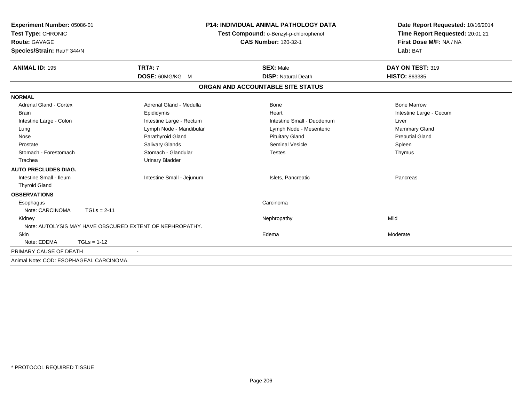| Experiment Number: 05086-01<br>Test Type: CHRONIC<br>Route: GAVAGE<br>Species/Strain: Rat/F 344/N |                                                          | <b>P14: INDIVIDUAL ANIMAL PATHOLOGY DATA</b><br>Test Compound: o-Benzyl-p-chlorophenol<br><b>CAS Number: 120-32-1</b> | Date Report Requested: 10/16/2014<br>Time Report Requested: 20:01:21<br>First Dose M/F: NA / NA<br>Lab: BAT |
|---------------------------------------------------------------------------------------------------|----------------------------------------------------------|-----------------------------------------------------------------------------------------------------------------------|-------------------------------------------------------------------------------------------------------------|
| <b>ANIMAL ID: 195</b>                                                                             | <b>TRT#: 7</b>                                           | <b>SEX: Male</b>                                                                                                      | DAY ON TEST: 319                                                                                            |
|                                                                                                   | DOSE: 60MG/KG M                                          | <b>DISP: Natural Death</b>                                                                                            | <b>HISTO: 863385</b>                                                                                        |
|                                                                                                   |                                                          | ORGAN AND ACCOUNTABLE SITE STATUS                                                                                     |                                                                                                             |
| <b>NORMAL</b>                                                                                     |                                                          |                                                                                                                       |                                                                                                             |
| <b>Adrenal Gland - Cortex</b>                                                                     | Adrenal Gland - Medulla                                  | Bone                                                                                                                  | <b>Bone Marrow</b>                                                                                          |
| <b>Brain</b>                                                                                      | Epididymis                                               | Heart                                                                                                                 | Intestine Large - Cecum                                                                                     |
| Intestine Large - Colon                                                                           | Intestine Large - Rectum                                 | Intestine Small - Duodenum                                                                                            | Liver                                                                                                       |
| Lung                                                                                              | Lymph Node - Mandibular                                  | Lymph Node - Mesenteric                                                                                               | <b>Mammary Gland</b>                                                                                        |
| Nose                                                                                              | Parathyroid Gland                                        | <b>Pituitary Gland</b>                                                                                                | <b>Preputial Gland</b>                                                                                      |
| Prostate                                                                                          | Salivary Glands                                          | Seminal Vesicle                                                                                                       | Spleen                                                                                                      |
| Stomach - Forestomach                                                                             | Stomach - Glandular                                      | Testes                                                                                                                | Thymus                                                                                                      |
| Trachea                                                                                           | <b>Urinary Bladder</b>                                   |                                                                                                                       |                                                                                                             |
| <b>AUTO PRECLUDES DIAG.</b>                                                                       |                                                          |                                                                                                                       |                                                                                                             |
| Intestine Small - Ileum                                                                           | Intestine Small - Jejunum                                | Islets, Pancreatic                                                                                                    | Pancreas                                                                                                    |
| <b>Thyroid Gland</b>                                                                              |                                                          |                                                                                                                       |                                                                                                             |
| <b>OBSERVATIONS</b>                                                                               |                                                          |                                                                                                                       |                                                                                                             |
| Esophagus                                                                                         |                                                          | Carcinoma                                                                                                             |                                                                                                             |
| Note: CARCINOMA                                                                                   | $TGLs = 2-11$                                            |                                                                                                                       |                                                                                                             |
| Kidney                                                                                            |                                                          | Nephropathy                                                                                                           | Mild                                                                                                        |
|                                                                                                   | Note: AUTOLYSIS MAY HAVE OBSCURED EXTENT OF NEPHROPATHY. |                                                                                                                       |                                                                                                             |
| <b>Skin</b>                                                                                       |                                                          | Edema                                                                                                                 | Moderate                                                                                                    |
| Note: EDEMA                                                                                       | $TGLs = 1-12$                                            |                                                                                                                       |                                                                                                             |
| PRIMARY CAUSE OF DEATH                                                                            |                                                          |                                                                                                                       |                                                                                                             |
| Animal Note: COD: ESOPHAGEAL CARCINOMA.                                                           |                                                          |                                                                                                                       |                                                                                                             |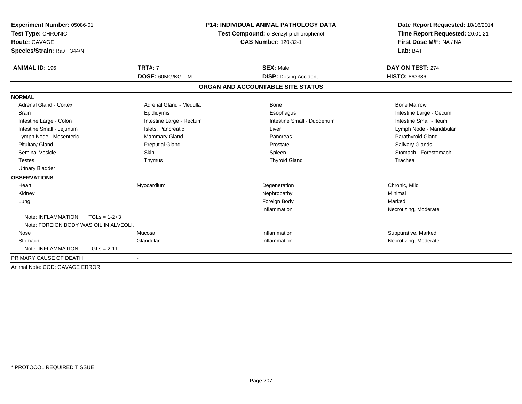| Experiment Number: 05086-01<br>Test Type: CHRONIC<br><b>Route: GAVAGE</b><br>Species/Strain: Rat/F 344/N<br><b>ANIMAL ID: 196</b> | <b>TRT#: 7</b>           | <b>P14: INDIVIDUAL ANIMAL PATHOLOGY DATA</b><br>Test Compound: o-Benzyl-p-chlorophenol<br><b>CAS Number: 120-32-1</b><br><b>SEX: Male</b> |                              | Date Report Requested: 10/16/2014<br>Time Report Requested: 20:01:21<br>First Dose M/F: NA / NA<br>Lab: BAT<br>DAY ON TEST: 274 |
|-----------------------------------------------------------------------------------------------------------------------------------|--------------------------|-------------------------------------------------------------------------------------------------------------------------------------------|------------------------------|---------------------------------------------------------------------------------------------------------------------------------|
|                                                                                                                                   | DOSE: 60MG/KG M          |                                                                                                                                           | <b>DISP: Dosing Accident</b> | <b>HISTO: 863386</b>                                                                                                            |
|                                                                                                                                   |                          | ORGAN AND ACCOUNTABLE SITE STATUS                                                                                                         |                              |                                                                                                                                 |
| <b>NORMAL</b>                                                                                                                     |                          |                                                                                                                                           |                              |                                                                                                                                 |
| <b>Adrenal Gland - Cortex</b>                                                                                                     | Adrenal Gland - Medulla  |                                                                                                                                           | <b>Bone</b>                  | <b>Bone Marrow</b>                                                                                                              |
| <b>Brain</b>                                                                                                                      | Epididymis               |                                                                                                                                           | Esophagus                    | Intestine Large - Cecum                                                                                                         |
| Intestine Large - Colon                                                                                                           | Intestine Large - Rectum |                                                                                                                                           | Intestine Small - Duodenum   | Intestine Small - Ileum                                                                                                         |
| Intestine Small - Jejunum                                                                                                         | Islets, Pancreatic       |                                                                                                                                           | Liver                        | Lymph Node - Mandibular                                                                                                         |
| Lymph Node - Mesenteric                                                                                                           | Mammary Gland            |                                                                                                                                           | Pancreas                     | Parathyroid Gland                                                                                                               |
| <b>Pituitary Gland</b>                                                                                                            | <b>Preputial Gland</b>   |                                                                                                                                           | Prostate                     | Salivary Glands                                                                                                                 |
| <b>Seminal Vesicle</b>                                                                                                            | <b>Skin</b>              |                                                                                                                                           | Spleen                       | Stomach - Forestomach                                                                                                           |
| <b>Testes</b>                                                                                                                     | Thymus                   |                                                                                                                                           | <b>Thyroid Gland</b>         | Trachea                                                                                                                         |
| <b>Urinary Bladder</b>                                                                                                            |                          |                                                                                                                                           |                              |                                                                                                                                 |
| <b>OBSERVATIONS</b>                                                                                                               |                          |                                                                                                                                           |                              |                                                                                                                                 |
| Heart                                                                                                                             | Myocardium               |                                                                                                                                           | Degeneration                 | Chronic, Mild                                                                                                                   |
| Kidney                                                                                                                            |                          |                                                                                                                                           | Nephropathy                  | Minimal                                                                                                                         |
| Lung                                                                                                                              |                          |                                                                                                                                           | Foreign Body                 | Marked                                                                                                                          |
|                                                                                                                                   |                          |                                                                                                                                           | Inflammation                 | Necrotizing, Moderate                                                                                                           |
| Note: INFLAMMATION                                                                                                                | $TGLs = 1-2+3$           |                                                                                                                                           |                              |                                                                                                                                 |
| Note: FOREIGN BODY WAS OIL IN ALVEOLI.                                                                                            |                          |                                                                                                                                           |                              |                                                                                                                                 |
| Nose                                                                                                                              | Mucosa                   |                                                                                                                                           | Inflammation                 | Suppurative, Marked                                                                                                             |
| Stomach                                                                                                                           | Glandular                |                                                                                                                                           | Inflammation                 | Necrotizing, Moderate                                                                                                           |
| Note: INFLAMMATION                                                                                                                | $TGLs = 2-11$            |                                                                                                                                           |                              |                                                                                                                                 |
| PRIMARY CAUSE OF DEATH                                                                                                            |                          |                                                                                                                                           |                              |                                                                                                                                 |
| Animal Note: COD: GAVAGE ERROR.                                                                                                   |                          |                                                                                                                                           |                              |                                                                                                                                 |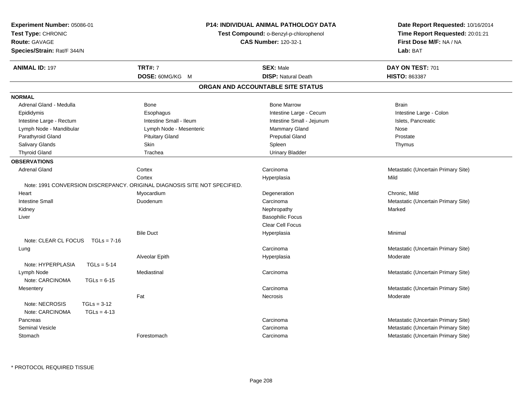| Experiment Number: 05086-01<br>Test Type: CHRONIC<br>Route: GAVAGE<br>Species/Strain: Rat/F 344/N |                         | <b>P14: INDIVIDUAL ANIMAL PATHOLOGY DATA</b><br>Test Compound: o-Benzyl-p-chlorophenol<br><b>CAS Number: 120-32-1</b> | Date Report Requested: 10/16/2014<br>Time Report Requested: 20:01:21<br>First Dose M/F: NA / NA<br>Lab: BAT |  |
|---------------------------------------------------------------------------------------------------|-------------------------|-----------------------------------------------------------------------------------------------------------------------|-------------------------------------------------------------------------------------------------------------|--|
| <b>ANIMAL ID: 197</b>                                                                             | <b>TRT#: 7</b>          | <b>SEX: Male</b>                                                                                                      | DAY ON TEST: 701                                                                                            |  |
|                                                                                                   | DOSE: 60MG/KG M         | <b>DISP: Natural Death</b>                                                                                            | <b>HISTO: 863387</b>                                                                                        |  |
|                                                                                                   |                         | ORGAN AND ACCOUNTABLE SITE STATUS                                                                                     |                                                                                                             |  |
| <b>NORMAL</b>                                                                                     |                         |                                                                                                                       |                                                                                                             |  |
| Adrenal Gland - Medulla                                                                           | Bone                    | <b>Bone Marrow</b>                                                                                                    | <b>Brain</b>                                                                                                |  |
| Epididymis                                                                                        | Esophagus               | Intestine Large - Cecum                                                                                               | Intestine Large - Colon                                                                                     |  |
| Intestine Large - Rectum                                                                          | Intestine Small - Ileum | Intestine Small - Jejunum                                                                                             | Islets, Pancreatic                                                                                          |  |
| Lymph Node - Mandibular                                                                           | Lymph Node - Mesenteric | Mammary Gland                                                                                                         | Nose                                                                                                        |  |
| Parathyroid Gland                                                                                 | <b>Pituitary Gland</b>  | <b>Preputial Gland</b>                                                                                                | Prostate                                                                                                    |  |
| Salivary Glands                                                                                   | Skin                    | Spleen                                                                                                                | Thymus                                                                                                      |  |
| <b>Thyroid Gland</b>                                                                              | Trachea                 | <b>Urinary Bladder</b>                                                                                                |                                                                                                             |  |
| <b>OBSERVATIONS</b>                                                                               |                         |                                                                                                                       |                                                                                                             |  |
| <b>Adrenal Gland</b>                                                                              | Cortex                  | Carcinoma                                                                                                             | Metastatic (Uncertain Primary Site)                                                                         |  |
|                                                                                                   | Cortex                  | Hyperplasia                                                                                                           | Mild                                                                                                        |  |
| Note: 1991 CONVERSION DISCREPANCY. ORIGINAL DIAGNOSIS SITE NOT SPECIFIED.                         |                         |                                                                                                                       |                                                                                                             |  |
| Heart                                                                                             | Myocardium              | Degeneration                                                                                                          | Chronic, Mild                                                                                               |  |
| <b>Intestine Small</b>                                                                            | Duodenum                | Carcinoma                                                                                                             | Metastatic (Uncertain Primary Site)                                                                         |  |
| Kidney                                                                                            |                         | Nephropathy                                                                                                           | Marked                                                                                                      |  |
| Liver                                                                                             |                         | <b>Basophilic Focus</b>                                                                                               |                                                                                                             |  |
|                                                                                                   |                         | Clear Cell Focus                                                                                                      |                                                                                                             |  |
|                                                                                                   | <b>Bile Duct</b>        | Hyperplasia                                                                                                           | Minimal                                                                                                     |  |
| Note: CLEAR CL FOCUS $TGLs = 7-16$                                                                |                         |                                                                                                                       |                                                                                                             |  |
| Lung                                                                                              |                         | Carcinoma                                                                                                             | Metastatic (Uncertain Primary Site)                                                                         |  |
|                                                                                                   | Alveolar Epith          | Hyperplasia                                                                                                           | Moderate                                                                                                    |  |
| Note: HYPERPLASIA<br>$TGLs = 5-14$                                                                |                         |                                                                                                                       |                                                                                                             |  |
| Lymph Node                                                                                        | Mediastinal             | Carcinoma                                                                                                             | Metastatic (Uncertain Primary Site)                                                                         |  |
| Note: CARCINOMA<br>$TGLs = 6-15$                                                                  |                         |                                                                                                                       |                                                                                                             |  |
| Mesentery                                                                                         |                         | Carcinoma                                                                                                             | Metastatic (Uncertain Primary Site)                                                                         |  |
|                                                                                                   | Fat                     | Necrosis                                                                                                              | Moderate                                                                                                    |  |
| Note: NECROSIS<br>$TGLs = 3-12$                                                                   |                         |                                                                                                                       |                                                                                                             |  |
| Note: CARCINOMA<br>$TGLs = 4-13$                                                                  |                         |                                                                                                                       |                                                                                                             |  |
| Pancreas                                                                                          |                         | Carcinoma                                                                                                             | Metastatic (Uncertain Primary Site)                                                                         |  |
| <b>Seminal Vesicle</b>                                                                            |                         | Carcinoma                                                                                                             | Metastatic (Uncertain Primary Site)                                                                         |  |
| Stomach                                                                                           | Forestomach             | Carcinoma                                                                                                             | Metastatic (Uncertain Primary Site)                                                                         |  |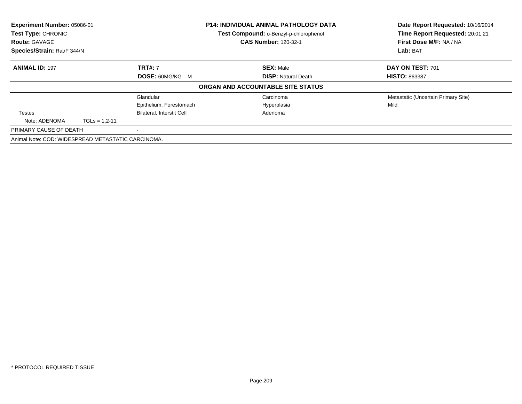| Experiment Number: 05086-01                        |                   |                                  | <b>P14: INDIVIDUAL ANIMAL PATHOLOGY DATA</b> | Date Report Requested: 10/16/2014   |  |
|----------------------------------------------------|-------------------|----------------------------------|----------------------------------------------|-------------------------------------|--|
| Test Type: CHRONIC                                 |                   |                                  | Test Compound: o-Benzyl-p-chlorophenol       | Time Report Requested: 20:01:21     |  |
| <b>Route: GAVAGE</b>                               |                   |                                  | <b>CAS Number: 120-32-1</b>                  | First Dose M/F: NA / NA             |  |
| Species/Strain: Rat/F 344/N                        |                   |                                  |                                              | Lab: BAT                            |  |
| <b>ANIMAL ID: 197</b>                              |                   | <b>TRT#: 7</b>                   | <b>SEX: Male</b>                             | DAY ON TEST: 701                    |  |
|                                                    |                   | <b>DOSE: 60MG/KG M</b>           | <b>DISP:</b> Natural Death                   | <b>HISTO: 863387</b>                |  |
|                                                    |                   |                                  | ORGAN AND ACCOUNTABLE SITE STATUS            |                                     |  |
|                                                    |                   | Glandular                        | Carcinoma                                    | Metastatic (Uncertain Primary Site) |  |
|                                                    |                   | Epithelium, Forestomach          | Hyperplasia                                  | Mild                                |  |
| Testes                                             |                   | <b>Bilateral, Interstit Cell</b> | Adenoma                                      |                                     |  |
| Note: ADENOMA                                      | $TGLs = 1.2 - 11$ |                                  |                                              |                                     |  |
| PRIMARY CAUSE OF DEATH                             |                   | $\overline{\phantom{a}}$         |                                              |                                     |  |
| Animal Note: COD: WIDESPREAD METASTATIC CARCINOMA. |                   |                                  |                                              |                                     |  |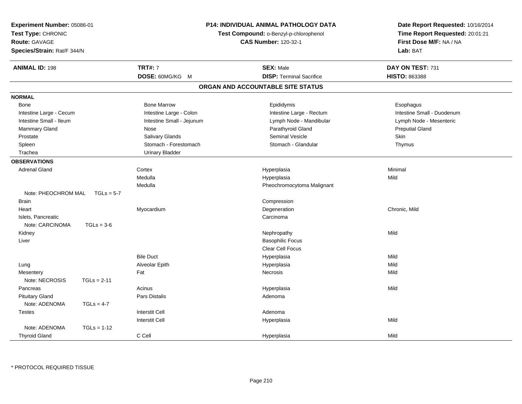| Experiment Number: 05086-01<br>Test Type: CHRONIC<br><b>Route: GAVAGE</b><br>Species/Strain: Rat/F 344/N |               |                           | P14: INDIVIDUAL ANIMAL PATHOLOGY DATA<br>Test Compound: o-Benzyl-p-chlorophenol<br><b>CAS Number: 120-32-1</b> | Date Report Requested: 10/16/2014<br>Time Report Requested: 20:01:21<br>First Dose M/F: NA / NA<br>Lab: BAT |  |
|----------------------------------------------------------------------------------------------------------|---------------|---------------------------|----------------------------------------------------------------------------------------------------------------|-------------------------------------------------------------------------------------------------------------|--|
| <b>ANIMAL ID: 198</b>                                                                                    |               | <b>TRT#: 7</b>            | <b>SEX: Male</b>                                                                                               | DAY ON TEST: 731                                                                                            |  |
|                                                                                                          |               | DOSE: 60MG/KG M           | <b>DISP: Terminal Sacrifice</b>                                                                                | <b>HISTO: 863388</b>                                                                                        |  |
|                                                                                                          |               |                           | ORGAN AND ACCOUNTABLE SITE STATUS                                                                              |                                                                                                             |  |
| <b>NORMAL</b>                                                                                            |               |                           |                                                                                                                |                                                                                                             |  |
| Bone                                                                                                     |               | <b>Bone Marrow</b>        | Epididymis                                                                                                     | Esophagus                                                                                                   |  |
| Intestine Large - Cecum                                                                                  |               | Intestine Large - Colon   | Intestine Large - Rectum                                                                                       | Intestine Small - Duodenum                                                                                  |  |
| Intestine Small - Ileum                                                                                  |               | Intestine Small - Jejunum | Lymph Node - Mandibular                                                                                        | Lymph Node - Mesenteric                                                                                     |  |
| Mammary Gland                                                                                            |               | Nose                      | Parathyroid Gland                                                                                              | <b>Preputial Gland</b>                                                                                      |  |
| Prostate                                                                                                 |               | Salivary Glands           | <b>Seminal Vesicle</b>                                                                                         | Skin                                                                                                        |  |
| Spleen                                                                                                   |               | Stomach - Forestomach     | Stomach - Glandular                                                                                            | Thymus                                                                                                      |  |
| Trachea                                                                                                  |               | <b>Urinary Bladder</b>    |                                                                                                                |                                                                                                             |  |
| <b>OBSERVATIONS</b>                                                                                      |               |                           |                                                                                                                |                                                                                                             |  |
| <b>Adrenal Gland</b>                                                                                     |               | Cortex                    | Hyperplasia                                                                                                    | Minimal                                                                                                     |  |
|                                                                                                          |               | Medulla                   | Hyperplasia                                                                                                    | Mild                                                                                                        |  |
|                                                                                                          |               | Medulla                   | Pheochromocytoma Malignant                                                                                     |                                                                                                             |  |
| Note: PHEOCHROM MAL                                                                                      | $TGLs = 5-7$  |                           |                                                                                                                |                                                                                                             |  |
| <b>Brain</b>                                                                                             |               |                           | Compression                                                                                                    |                                                                                                             |  |
| Heart                                                                                                    |               | Myocardium                | Degeneration                                                                                                   | Chronic, Mild                                                                                               |  |
| Islets, Pancreatic                                                                                       |               |                           | Carcinoma                                                                                                      |                                                                                                             |  |
| Note: CARCINOMA                                                                                          | $TGLs = 3-6$  |                           |                                                                                                                |                                                                                                             |  |
| Kidney                                                                                                   |               |                           | Nephropathy                                                                                                    | Mild                                                                                                        |  |
| Liver                                                                                                    |               |                           | <b>Basophilic Focus</b>                                                                                        |                                                                                                             |  |
|                                                                                                          |               |                           | <b>Clear Cell Focus</b>                                                                                        |                                                                                                             |  |
|                                                                                                          |               | <b>Bile Duct</b>          | Hyperplasia                                                                                                    | Mild                                                                                                        |  |
| Lung                                                                                                     |               | Alveolar Epith            | Hyperplasia                                                                                                    | Mild                                                                                                        |  |
| Mesentery                                                                                                |               | Fat                       | <b>Necrosis</b>                                                                                                | Mild                                                                                                        |  |
| Note: NECROSIS                                                                                           | $TGLs = 2-11$ |                           |                                                                                                                |                                                                                                             |  |
| Pancreas                                                                                                 |               | Acinus                    | Hyperplasia                                                                                                    | Mild                                                                                                        |  |
| <b>Pituitary Gland</b>                                                                                   |               | Pars Distalis             | Adenoma                                                                                                        |                                                                                                             |  |
| Note: ADENOMA                                                                                            | $TGLs = 4-7$  |                           |                                                                                                                |                                                                                                             |  |
| <b>Testes</b>                                                                                            |               | <b>Interstit Cell</b>     | Adenoma                                                                                                        |                                                                                                             |  |
|                                                                                                          |               | <b>Interstit Cell</b>     | Hyperplasia                                                                                                    | Mild                                                                                                        |  |
| Note: ADENOMA                                                                                            | $TGLs = 1-12$ |                           |                                                                                                                |                                                                                                             |  |
| <b>Thyroid Gland</b>                                                                                     |               | C Cell                    | Hyperplasia                                                                                                    | Mild                                                                                                        |  |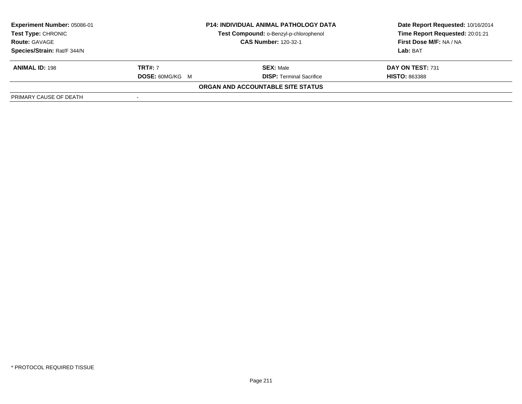| Experiment Number: 05086-01                                         |                             | <b>P14: INDIVIDUAL ANIMAL PATHOLOGY DATA</b> | Date Report Requested: 10/16/2014 |
|---------------------------------------------------------------------|-----------------------------|----------------------------------------------|-----------------------------------|
| Test Compound: o-Benzyl-p-chlorophenol<br><b>Test Type: CHRONIC</b> |                             |                                              | Time Report Requested: 20:01:21   |
| <b>Route: GAVAGE</b>                                                | <b>CAS Number: 120-32-1</b> |                                              | First Dose M/F: NA / NA           |
| Species/Strain: Rat/F 344/N                                         |                             |                                              | Lab: BAT                          |
| <b>ANIMAL ID: 198</b>                                               | <b>TRT#: 7</b>              | <b>SEX: Male</b>                             | DAY ON TEST: 731                  |
|                                                                     | <b>DOSE: 60MG/KG M</b>      | <b>DISP: Terminal Sacrifice</b>              | <b>HISTO: 863388</b>              |
|                                                                     |                             | ORGAN AND ACCOUNTABLE SITE STATUS            |                                   |
| PRIMARY CAUSE OF DEATH                                              |                             |                                              |                                   |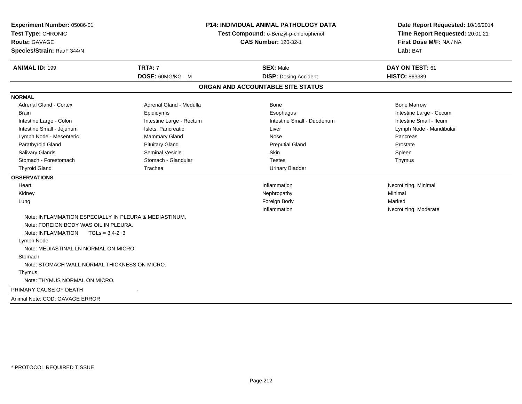| Experiment Number: 05086-01<br>Test Type: CHRONIC<br><b>Route: GAVAGE</b><br>Species/Strain: Rat/F 344/N |                          | P14: INDIVIDUAL ANIMAL PATHOLOGY DATA<br>Test Compound: o-Benzyl-p-chlorophenol<br><b>CAS Number: 120-32-1</b> |                         |
|----------------------------------------------------------------------------------------------------------|--------------------------|----------------------------------------------------------------------------------------------------------------|-------------------------|
| <b>ANIMAL ID: 199</b>                                                                                    | <b>TRT#: 7</b>           | <b>SEX: Male</b>                                                                                               | DAY ON TEST: 61         |
|                                                                                                          | DOSE: 60MG/KG M          | <b>DISP: Dosing Accident</b>                                                                                   | HISTO: 863389           |
|                                                                                                          |                          | ORGAN AND ACCOUNTABLE SITE STATUS                                                                              |                         |
| <b>NORMAL</b>                                                                                            |                          |                                                                                                                |                         |
| <b>Adrenal Gland - Cortex</b>                                                                            | Adrenal Gland - Medulla  | Bone                                                                                                           | <b>Bone Marrow</b>      |
| <b>Brain</b>                                                                                             | Epididymis               | Esophagus                                                                                                      | Intestine Large - Cecum |
| Intestine Large - Colon                                                                                  | Intestine Large - Rectum | Intestine Small - Duodenum                                                                                     | Intestine Small - Ileum |
| Intestine Small - Jejunum                                                                                | Islets, Pancreatic       | Liver                                                                                                          | Lymph Node - Mandibular |
| Lymph Node - Mesenteric                                                                                  | Mammary Gland            | Nose                                                                                                           | Pancreas                |
| Parathyroid Gland                                                                                        | <b>Pituitary Gland</b>   | <b>Preputial Gland</b>                                                                                         | Prostate                |
| Salivary Glands                                                                                          | <b>Seminal Vesicle</b>   | Skin                                                                                                           | Spleen                  |
| Stomach - Forestomach                                                                                    | Stomach - Glandular      | <b>Testes</b>                                                                                                  | Thymus                  |
| <b>Thyroid Gland</b>                                                                                     | Trachea                  | <b>Urinary Bladder</b>                                                                                         |                         |
| <b>OBSERVATIONS</b>                                                                                      |                          |                                                                                                                |                         |
| Heart                                                                                                    |                          | Inflammation                                                                                                   | Necrotizing, Minimal    |
| Kidney                                                                                                   |                          | Nephropathy                                                                                                    | Minimal                 |
| Lung                                                                                                     |                          | Foreign Body                                                                                                   | Marked                  |
|                                                                                                          |                          | Inflammation                                                                                                   | Necrotizing, Moderate   |
| Note: INFLAMMATION ESPECIALLY IN PLEURA & MEDIASTINUM.                                                   |                          |                                                                                                                |                         |
| Note: FOREIGN BODY WAS OIL IN PLEURA.                                                                    |                          |                                                                                                                |                         |
| Note: INFLAMMATION<br>$TGLs = 3.4 - 2 + 3$                                                               |                          |                                                                                                                |                         |
| Lymph Node                                                                                               |                          |                                                                                                                |                         |
| Note: MEDIASTINAL LN NORMAL ON MICRO.                                                                    |                          |                                                                                                                |                         |
| Stomach                                                                                                  |                          |                                                                                                                |                         |
| Note: STOMACH WALL NORMAL THICKNESS ON MICRO.                                                            |                          |                                                                                                                |                         |
| Thymus                                                                                                   |                          |                                                                                                                |                         |
| Note: THYMUS NORMAL ON MICRO.                                                                            |                          |                                                                                                                |                         |
| PRIMARY CAUSE OF DEATH                                                                                   |                          |                                                                                                                |                         |
| Animal Note: COD: GAVAGE ERROR                                                                           |                          |                                                                                                                |                         |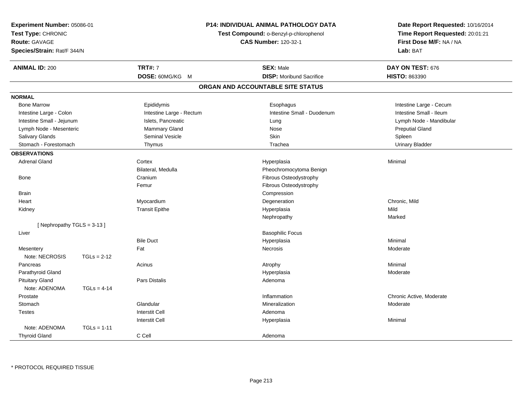| Experiment Number: 05086-01<br>Test Type: CHRONIC<br>Route: GAVAGE<br>Species/Strain: Rat/F 344/N |               |                          | P14: INDIVIDUAL ANIMAL PATHOLOGY DATA<br>Test Compound: o-Benzyl-p-chlorophenol<br><b>CAS Number: 120-32-1</b> | Date Report Requested: 10/16/2014<br>Time Report Requested: 20:01:21<br>First Dose M/F: NA / NA<br>Lab: BAT |  |
|---------------------------------------------------------------------------------------------------|---------------|--------------------------|----------------------------------------------------------------------------------------------------------------|-------------------------------------------------------------------------------------------------------------|--|
| <b>ANIMAL ID: 200</b>                                                                             |               | <b>TRT#: 7</b>           | <b>SEX: Male</b>                                                                                               | DAY ON TEST: 676                                                                                            |  |
|                                                                                                   |               | DOSE: 60MG/KG M          | <b>DISP:</b> Moribund Sacrifice                                                                                | HISTO: 863390                                                                                               |  |
|                                                                                                   |               |                          | ORGAN AND ACCOUNTABLE SITE STATUS                                                                              |                                                                                                             |  |
| <b>NORMAL</b>                                                                                     |               |                          |                                                                                                                |                                                                                                             |  |
| <b>Bone Marrow</b>                                                                                |               | Epididymis               | Esophagus                                                                                                      | Intestine Large - Cecum                                                                                     |  |
| Intestine Large - Colon                                                                           |               | Intestine Large - Rectum | Intestine Small - Duodenum                                                                                     | Intestine Small - Ileum                                                                                     |  |
| Intestine Small - Jejunum                                                                         |               | Islets, Pancreatic       | Lung                                                                                                           | Lymph Node - Mandibular                                                                                     |  |
| Lymph Node - Mesenteric                                                                           |               | Mammary Gland            | Nose                                                                                                           | <b>Preputial Gland</b>                                                                                      |  |
| Salivary Glands                                                                                   |               | Seminal Vesicle          | Skin                                                                                                           | Spleen                                                                                                      |  |
| Stomach - Forestomach                                                                             |               | Thymus                   | Trachea                                                                                                        | <b>Urinary Bladder</b>                                                                                      |  |
| <b>OBSERVATIONS</b>                                                                               |               |                          |                                                                                                                |                                                                                                             |  |
| <b>Adrenal Gland</b>                                                                              |               | Cortex                   | Hyperplasia                                                                                                    | Minimal                                                                                                     |  |
|                                                                                                   |               | Bilateral, Medulla       | Pheochromocytoma Benign                                                                                        |                                                                                                             |  |
| <b>Bone</b>                                                                                       |               | Cranium                  | Fibrous Osteodystrophy                                                                                         |                                                                                                             |  |
|                                                                                                   |               | Femur                    | Fibrous Osteodystrophy                                                                                         |                                                                                                             |  |
| <b>Brain</b>                                                                                      |               |                          | Compression                                                                                                    |                                                                                                             |  |
| Heart                                                                                             |               | Myocardium               | Degeneration                                                                                                   | Chronic. Mild                                                                                               |  |
| Kidney                                                                                            |               | <b>Transit Epithe</b>    | Hyperplasia                                                                                                    | Mild                                                                                                        |  |
|                                                                                                   |               |                          | Nephropathy                                                                                                    | Marked                                                                                                      |  |
| [Nephropathy TGLS = 3-13]                                                                         |               |                          |                                                                                                                |                                                                                                             |  |
| Liver                                                                                             |               |                          | <b>Basophilic Focus</b>                                                                                        |                                                                                                             |  |
|                                                                                                   |               | <b>Bile Duct</b>         | Hyperplasia                                                                                                    | Minimal                                                                                                     |  |
| Mesentery                                                                                         |               | Fat                      | <b>Necrosis</b>                                                                                                | Moderate                                                                                                    |  |
| Note: NECROSIS                                                                                    | $TGLs = 2-12$ |                          |                                                                                                                |                                                                                                             |  |
| Pancreas                                                                                          |               | Acinus                   | Atrophy                                                                                                        | Minimal                                                                                                     |  |
| Parathyroid Gland                                                                                 |               |                          | Hyperplasia                                                                                                    | Moderate                                                                                                    |  |
| <b>Pituitary Gland</b>                                                                            |               | Pars Distalis            | Adenoma                                                                                                        |                                                                                                             |  |
| Note: ADENOMA                                                                                     | $TGLs = 4-14$ |                          |                                                                                                                |                                                                                                             |  |
| Prostate                                                                                          |               |                          | Inflammation                                                                                                   | Chronic Active, Moderate                                                                                    |  |
| Stomach                                                                                           |               | Glandular                | Mineralization                                                                                                 | Moderate                                                                                                    |  |
| <b>Testes</b>                                                                                     |               | <b>Interstit Cell</b>    | Adenoma                                                                                                        |                                                                                                             |  |
|                                                                                                   |               | <b>Interstit Cell</b>    | Hyperplasia                                                                                                    | Minimal                                                                                                     |  |
| Note: ADENOMA                                                                                     | $TGLs = 1-11$ |                          |                                                                                                                |                                                                                                             |  |
| <b>Thyroid Gland</b>                                                                              |               | C Cell                   | Adenoma                                                                                                        |                                                                                                             |  |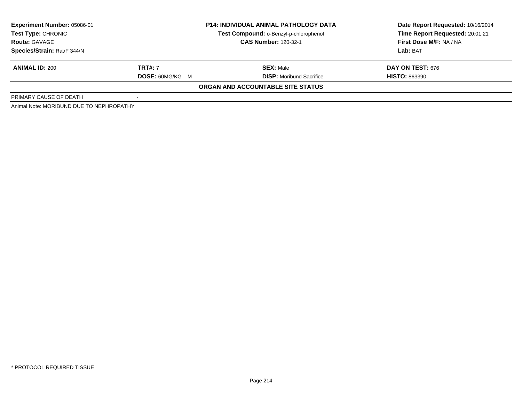| Experiment Number: 05086-01              |                        | <b>P14: INDIVIDUAL ANIMAL PATHOLOGY DATA</b> | Date Report Requested: 10/16/2014 |  |
|------------------------------------------|------------------------|----------------------------------------------|-----------------------------------|--|
| <b>Test Type: CHRONIC</b>                |                        | Test Compound: o-Benzyl-p-chlorophenol       | Time Report Requested: 20:01:21   |  |
| <b>Route: GAVAGE</b>                     |                        | <b>CAS Number: 120-32-1</b>                  | First Dose M/F: NA / NA           |  |
| Species/Strain: Rat/F 344/N              |                        |                                              | Lab: BAT                          |  |
| <b>ANIMAL ID: 200</b>                    | <b>TRT#: 7</b>         | <b>SEX: Male</b>                             | <b>DAY ON TEST: 676</b>           |  |
|                                          | <b>DOSE: 60MG/KG M</b> | <b>DISP:</b> Moribund Sacrifice              | <b>HISTO: 863390</b>              |  |
|                                          |                        | ORGAN AND ACCOUNTABLE SITE STATUS            |                                   |  |
| PRIMARY CAUSE OF DEATH                   |                        |                                              |                                   |  |
| Animal Note: MORIBUND DUE TO NEPHROPATHY |                        |                                              |                                   |  |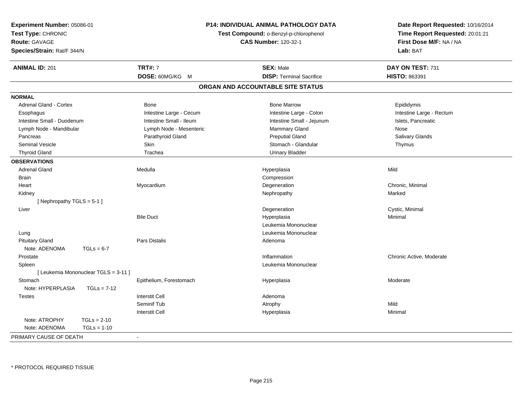| Experiment Number: 05086-01<br>Test Type: CHRONIC<br>Route: GAVAGE<br>Species/Strain: Rat/F 344/N | P14: INDIVIDUAL ANIMAL PATHOLOGY DATA<br>Test Compound: o-Benzyl-p-chlorophenol<br><b>CAS Number: 120-32-1</b> |                         |  | Date Report Requested: 10/16/2014<br>Time Report Requested: 20:01:21<br>First Dose M/F: NA / NA<br>Lab: BAT |                          |
|---------------------------------------------------------------------------------------------------|----------------------------------------------------------------------------------------------------------------|-------------------------|--|-------------------------------------------------------------------------------------------------------------|--------------------------|
| <b>ANIMAL ID: 201</b>                                                                             |                                                                                                                | <b>TRT#: 7</b>          |  | <b>SEX: Male</b>                                                                                            | DAY ON TEST: 731         |
|                                                                                                   |                                                                                                                | DOSE: 60MG/KG M         |  | <b>DISP: Terminal Sacrifice</b>                                                                             | HISTO: 863391            |
|                                                                                                   |                                                                                                                |                         |  | ORGAN AND ACCOUNTABLE SITE STATUS                                                                           |                          |
| <b>NORMAL</b>                                                                                     |                                                                                                                |                         |  |                                                                                                             |                          |
| <b>Adrenal Gland - Cortex</b>                                                                     |                                                                                                                | <b>Bone</b>             |  | <b>Bone Marrow</b>                                                                                          | Epididymis               |
| Esophagus                                                                                         |                                                                                                                | Intestine Large - Cecum |  | Intestine Large - Colon                                                                                     | Intestine Large - Rectum |
| Intestine Small - Duodenum                                                                        |                                                                                                                | Intestine Small - Ileum |  | Intestine Small - Jejunum                                                                                   | Islets, Pancreatic       |
| Lymph Node - Mandibular                                                                           |                                                                                                                | Lymph Node - Mesenteric |  | Mammary Gland                                                                                               | Nose                     |
| Pancreas                                                                                          |                                                                                                                | Parathyroid Gland       |  | <b>Preputial Gland</b>                                                                                      | Salivary Glands          |
| <b>Seminal Vesicle</b>                                                                            |                                                                                                                | <b>Skin</b>             |  | Stomach - Glandular                                                                                         | Thymus                   |
| <b>Thyroid Gland</b>                                                                              |                                                                                                                | Trachea                 |  | <b>Urinary Bladder</b>                                                                                      |                          |
| <b>OBSERVATIONS</b>                                                                               |                                                                                                                |                         |  |                                                                                                             |                          |
| <b>Adrenal Gland</b>                                                                              |                                                                                                                | Medulla                 |  | Hyperplasia                                                                                                 | Mild                     |
| <b>Brain</b>                                                                                      |                                                                                                                |                         |  | Compression                                                                                                 |                          |
| Heart                                                                                             |                                                                                                                | Myocardium              |  | Degeneration                                                                                                | Chronic, Minimal         |
| Kidney                                                                                            |                                                                                                                |                         |  | Nephropathy                                                                                                 | Marked                   |
| [Nephropathy TGLS = $5-1$ ]                                                                       |                                                                                                                |                         |  |                                                                                                             |                          |
| Liver                                                                                             |                                                                                                                |                         |  | Degeneration                                                                                                | Cystic, Minimal          |
|                                                                                                   |                                                                                                                | <b>Bile Duct</b>        |  | Hyperplasia                                                                                                 | Minimal                  |
|                                                                                                   |                                                                                                                |                         |  | Leukemia Mononuclear                                                                                        |                          |
| Lung                                                                                              |                                                                                                                |                         |  | Leukemia Mononuclear                                                                                        |                          |
| <b>Pituitary Gland</b>                                                                            |                                                                                                                | Pars Distalis           |  | Adenoma                                                                                                     |                          |
| Note: ADENOMA                                                                                     | $TGLs = 6-7$                                                                                                   |                         |  |                                                                                                             |                          |
| Prostate                                                                                          |                                                                                                                |                         |  | Inflammation                                                                                                | Chronic Active, Moderate |
| Spleen                                                                                            |                                                                                                                |                         |  | Leukemia Mononuclear                                                                                        |                          |
| [ Leukemia Mononuclear TGLS = 3-11 ]                                                              |                                                                                                                |                         |  |                                                                                                             |                          |
| Stomach                                                                                           |                                                                                                                | Epithelium, Forestomach |  | Hyperplasia                                                                                                 | Moderate                 |
| Note: HYPERPLASIA                                                                                 | $TGLs = 7-12$                                                                                                  |                         |  |                                                                                                             |                          |
| <b>Testes</b>                                                                                     |                                                                                                                | <b>Interstit Cell</b>   |  | Adenoma                                                                                                     |                          |
|                                                                                                   |                                                                                                                | Seminif Tub             |  | Atrophy                                                                                                     | Mild                     |
|                                                                                                   |                                                                                                                | <b>Interstit Cell</b>   |  | Hyperplasia                                                                                                 | Minimal                  |
| Note: ATROPHY                                                                                     | $TGLs = 2-10$                                                                                                  |                         |  |                                                                                                             |                          |
| Note: ADENOMA                                                                                     | $TGLs = 1-10$                                                                                                  |                         |  |                                                                                                             |                          |
| PRIMARY CAUSE OF DEATH                                                                            |                                                                                                                | $\blacksquare$          |  |                                                                                                             |                          |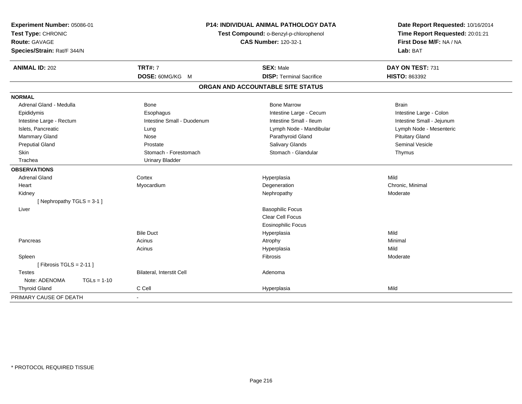| Experiment Number: 05086-01<br>Test Type: CHRONIC<br>Route: GAVAGE<br>Species/Strain: Rat/F 344/N |                            | P14: INDIVIDUAL ANIMAL PATHOLOGY DATA<br>Test Compound: o-Benzyl-p-chlorophenol<br><b>CAS Number: 120-32-1</b> | Date Report Requested: 10/16/2014<br>Time Report Requested: 20:01:21<br>First Dose M/F: NA / NA<br>Lab: BAT |  |
|---------------------------------------------------------------------------------------------------|----------------------------|----------------------------------------------------------------------------------------------------------------|-------------------------------------------------------------------------------------------------------------|--|
| <b>ANIMAL ID: 202</b>                                                                             | <b>TRT#: 7</b>             | <b>SEX: Male</b>                                                                                               | DAY ON TEST: 731                                                                                            |  |
|                                                                                                   | DOSE: 60MG/KG M            | <b>DISP: Terminal Sacrifice</b>                                                                                | HISTO: 863392                                                                                               |  |
|                                                                                                   |                            | ORGAN AND ACCOUNTABLE SITE STATUS                                                                              |                                                                                                             |  |
| <b>NORMAL</b>                                                                                     |                            |                                                                                                                |                                                                                                             |  |
| Adrenal Gland - Medulla                                                                           | Bone                       | <b>Bone Marrow</b>                                                                                             | <b>Brain</b>                                                                                                |  |
| Epididymis                                                                                        | Esophagus                  | Intestine Large - Cecum                                                                                        | Intestine Large - Colon                                                                                     |  |
| Intestine Large - Rectum                                                                          | Intestine Small - Duodenum | Intestine Small - Ileum                                                                                        | Intestine Small - Jejunum                                                                                   |  |
| Islets, Pancreatic                                                                                | Lung                       | Lymph Node - Mandibular                                                                                        | Lymph Node - Mesenteric                                                                                     |  |
| Mammary Gland                                                                                     | Nose                       | Parathyroid Gland                                                                                              | <b>Pituitary Gland</b>                                                                                      |  |
| <b>Preputial Gland</b>                                                                            | Prostate                   | Salivary Glands                                                                                                | Seminal Vesicle                                                                                             |  |
| <b>Skin</b>                                                                                       | Stomach - Forestomach      | Stomach - Glandular                                                                                            | Thymus                                                                                                      |  |
| Trachea                                                                                           | <b>Urinary Bladder</b>     |                                                                                                                |                                                                                                             |  |
| <b>OBSERVATIONS</b>                                                                               |                            |                                                                                                                |                                                                                                             |  |
| <b>Adrenal Gland</b>                                                                              | Cortex                     | Hyperplasia                                                                                                    | Mild                                                                                                        |  |
| Heart                                                                                             | Myocardium                 | Degeneration                                                                                                   | Chronic, Minimal                                                                                            |  |
| Kidney                                                                                            |                            | Nephropathy                                                                                                    | Moderate                                                                                                    |  |
| [Nephropathy TGLS = 3-1]                                                                          |                            |                                                                                                                |                                                                                                             |  |
| Liver                                                                                             |                            | <b>Basophilic Focus</b>                                                                                        |                                                                                                             |  |
|                                                                                                   |                            | <b>Clear Cell Focus</b>                                                                                        |                                                                                                             |  |
|                                                                                                   |                            | <b>Eosinophilic Focus</b>                                                                                      |                                                                                                             |  |
|                                                                                                   | <b>Bile Duct</b>           | Hyperplasia                                                                                                    | Mild                                                                                                        |  |
| Pancreas                                                                                          | Acinus                     | Atrophy                                                                                                        | Minimal                                                                                                     |  |
|                                                                                                   | Acinus                     | Hyperplasia                                                                                                    | Mild                                                                                                        |  |
| Spleen                                                                                            |                            | Fibrosis                                                                                                       | Moderate                                                                                                    |  |
| [Fibrosis TGLS = $2-11$ ]                                                                         |                            |                                                                                                                |                                                                                                             |  |
| <b>Testes</b>                                                                                     | Bilateral, Interstit Cell  | Adenoma                                                                                                        |                                                                                                             |  |
| Note: ADENOMA<br>$TGLs = 1-10$                                                                    |                            |                                                                                                                |                                                                                                             |  |
| <b>Thyroid Gland</b>                                                                              | C Cell                     | Hyperplasia                                                                                                    | Mild                                                                                                        |  |
| PRIMARY CAUSE OF DEATH                                                                            |                            |                                                                                                                |                                                                                                             |  |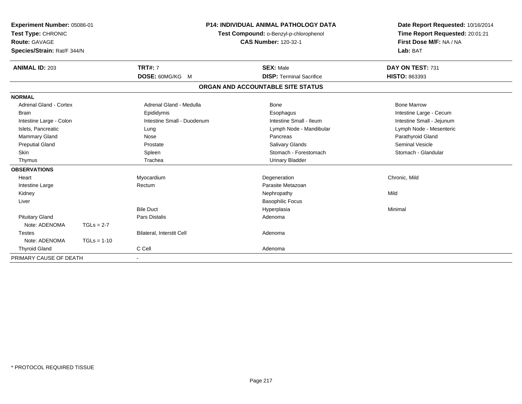| Experiment Number: 05086-01<br>Test Type: CHRONIC<br>Route: GAVAGE<br>Species/Strain: Rat/F 344/N |               | P14: INDIVIDUAL ANIMAL PATHOLOGY DATA<br>Test Compound: o-Benzyl-p-chlorophenol<br><b>CAS Number: 120-32-1</b> |                                   | Date Report Requested: 10/16/2014<br>Time Report Requested: 20:01:21<br>First Dose M/F: NA / NA<br>Lab: BAT |
|---------------------------------------------------------------------------------------------------|---------------|----------------------------------------------------------------------------------------------------------------|-----------------------------------|-------------------------------------------------------------------------------------------------------------|
| <b>ANIMAL ID: 203</b>                                                                             |               | <b>TRT#: 7</b>                                                                                                 | <b>SEX: Male</b>                  | DAY ON TEST: 731                                                                                            |
|                                                                                                   |               | DOSE: 60MG/KG M                                                                                                | <b>DISP: Terminal Sacrifice</b>   | HISTO: 863393                                                                                               |
|                                                                                                   |               |                                                                                                                | ORGAN AND ACCOUNTABLE SITE STATUS |                                                                                                             |
| <b>NORMAL</b>                                                                                     |               |                                                                                                                |                                   |                                                                                                             |
| <b>Adrenal Gland - Cortex</b>                                                                     |               | Adrenal Gland - Medulla                                                                                        | Bone                              | <b>Bone Marrow</b>                                                                                          |
| <b>Brain</b>                                                                                      |               | Epididymis                                                                                                     | Esophagus                         | Intestine Large - Cecum                                                                                     |
| Intestine Large - Colon                                                                           |               | Intestine Small - Duodenum                                                                                     | Intestine Small - Ileum           | Intestine Small - Jejunum                                                                                   |
| Islets, Pancreatic                                                                                |               | Lung                                                                                                           | Lymph Node - Mandibular           | Lymph Node - Mesenteric                                                                                     |
| Mammary Gland                                                                                     |               | Nose                                                                                                           | Pancreas                          | Parathyroid Gland                                                                                           |
| <b>Preputial Gland</b>                                                                            |               | Prostate                                                                                                       | <b>Salivary Glands</b>            | <b>Seminal Vesicle</b>                                                                                      |
| <b>Skin</b>                                                                                       |               | Spleen                                                                                                         | Stomach - Forestomach             | Stomach - Glandular                                                                                         |
| Thymus                                                                                            |               | Trachea                                                                                                        | <b>Urinary Bladder</b>            |                                                                                                             |
| <b>OBSERVATIONS</b>                                                                               |               |                                                                                                                |                                   |                                                                                                             |
| Heart                                                                                             |               | Myocardium                                                                                                     | Degeneration                      | Chronic, Mild                                                                                               |
| Intestine Large                                                                                   |               | Rectum                                                                                                         | Parasite Metazoan                 |                                                                                                             |
| Kidney                                                                                            |               |                                                                                                                | Nephropathy                       | Mild                                                                                                        |
| Liver                                                                                             |               |                                                                                                                | <b>Basophilic Focus</b>           |                                                                                                             |
|                                                                                                   |               | <b>Bile Duct</b>                                                                                               | Hyperplasia                       | Minimal                                                                                                     |
| <b>Pituitary Gland</b>                                                                            |               | <b>Pars Distalis</b>                                                                                           | Adenoma                           |                                                                                                             |
| Note: ADENOMA                                                                                     | $TGLs = 2-7$  |                                                                                                                |                                   |                                                                                                             |
| <b>Testes</b>                                                                                     |               | <b>Bilateral, Interstit Cell</b>                                                                               | Adenoma                           |                                                                                                             |
| Note: ADENOMA                                                                                     | $TGLs = 1-10$ |                                                                                                                |                                   |                                                                                                             |
| <b>Thyroid Gland</b>                                                                              |               | C Cell                                                                                                         | Adenoma                           |                                                                                                             |
| PRIMARY CAUSE OF DEATH                                                                            |               |                                                                                                                |                                   |                                                                                                             |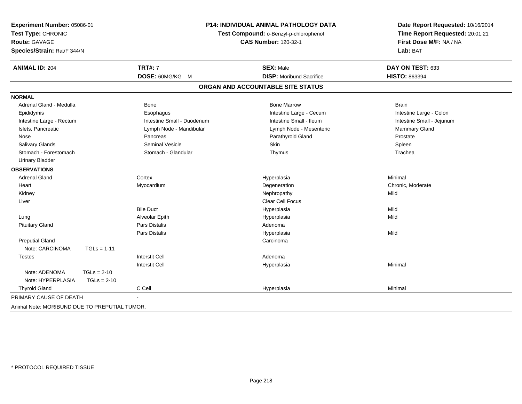| Experiment Number: 05086-01<br>Test Type: CHRONIC<br>Route: GAVAGE<br>Species/Strain: Rat/F 344/N |               | <b>P14: INDIVIDUAL ANIMAL PATHOLOGY DATA</b><br>Test Compound: o-Benzyl-p-chlorophenol<br><b>CAS Number: 120-32-1</b> |                                   | Date Report Requested: 10/16/2014<br>Time Report Requested: 20:01:21<br>First Dose M/F: NA / NA<br>Lab: BAT |
|---------------------------------------------------------------------------------------------------|---------------|-----------------------------------------------------------------------------------------------------------------------|-----------------------------------|-------------------------------------------------------------------------------------------------------------|
| <b>ANIMAL ID: 204</b>                                                                             |               | <b>TRT#: 7</b>                                                                                                        | <b>SEX: Male</b>                  | DAY ON TEST: 633                                                                                            |
|                                                                                                   |               | DOSE: 60MG/KG M                                                                                                       | <b>DISP:</b> Moribund Sacrifice   | HISTO: 863394                                                                                               |
|                                                                                                   |               |                                                                                                                       | ORGAN AND ACCOUNTABLE SITE STATUS |                                                                                                             |
| <b>NORMAL</b>                                                                                     |               |                                                                                                                       |                                   |                                                                                                             |
| Adrenal Gland - Medulla                                                                           |               | <b>Bone</b>                                                                                                           | <b>Bone Marrow</b>                | <b>Brain</b>                                                                                                |
| Epididymis                                                                                        |               | Esophagus                                                                                                             | Intestine Large - Cecum           | Intestine Large - Colon                                                                                     |
| Intestine Large - Rectum                                                                          |               | Intestine Small - Duodenum                                                                                            | Intestine Small - Ileum           | Intestine Small - Jejunum                                                                                   |
| Islets, Pancreatic                                                                                |               | Lymph Node - Mandibular                                                                                               | Lymph Node - Mesenteric           | Mammary Gland                                                                                               |
| Nose                                                                                              |               | Pancreas                                                                                                              | Parathyroid Gland                 | Prostate                                                                                                    |
| Salivary Glands                                                                                   |               | <b>Seminal Vesicle</b>                                                                                                | Skin                              | Spleen                                                                                                      |
| Stomach - Forestomach                                                                             |               | Stomach - Glandular                                                                                                   | Thymus                            | Trachea                                                                                                     |
| <b>Urinary Bladder</b>                                                                            |               |                                                                                                                       |                                   |                                                                                                             |
| <b>OBSERVATIONS</b>                                                                               |               |                                                                                                                       |                                   |                                                                                                             |
| <b>Adrenal Gland</b>                                                                              |               | Cortex                                                                                                                | Hyperplasia                       | Minimal                                                                                                     |
| Heart                                                                                             |               | Myocardium                                                                                                            | Degeneration                      | Chronic, Moderate                                                                                           |
| Kidney                                                                                            |               |                                                                                                                       | Nephropathy                       | Mild                                                                                                        |
| Liver                                                                                             |               |                                                                                                                       | Clear Cell Focus                  |                                                                                                             |
|                                                                                                   |               | <b>Bile Duct</b>                                                                                                      | Hyperplasia                       | Mild                                                                                                        |
| Lung                                                                                              |               | Alveolar Epith                                                                                                        | Hyperplasia                       | Mild                                                                                                        |
| <b>Pituitary Gland</b>                                                                            |               | Pars Distalis                                                                                                         | Adenoma                           |                                                                                                             |
|                                                                                                   |               | Pars Distalis                                                                                                         | Hyperplasia                       | Mild                                                                                                        |
| <b>Preputial Gland</b>                                                                            |               |                                                                                                                       | Carcinoma                         |                                                                                                             |
| Note: CARCINOMA                                                                                   | $TGLs = 1-11$ |                                                                                                                       |                                   |                                                                                                             |
| <b>Testes</b>                                                                                     |               | <b>Interstit Cell</b>                                                                                                 | Adenoma                           |                                                                                                             |
|                                                                                                   |               | <b>Interstit Cell</b>                                                                                                 | Hyperplasia                       | Minimal                                                                                                     |
| Note: ADENOMA                                                                                     | $TGLs = 2-10$ |                                                                                                                       |                                   |                                                                                                             |
| Note: HYPERPLASIA                                                                                 | $TGLs = 2-10$ |                                                                                                                       |                                   |                                                                                                             |
| <b>Thyroid Gland</b>                                                                              |               | C Cell                                                                                                                | Hyperplasia                       | Minimal                                                                                                     |
| PRIMARY CAUSE OF DEATH                                                                            |               |                                                                                                                       |                                   |                                                                                                             |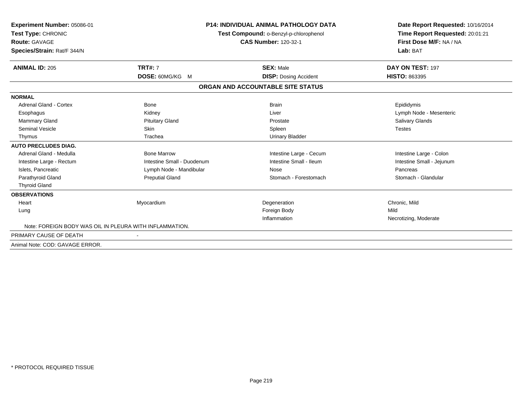| Experiment Number: 05086-01<br>Test Type: CHRONIC       |                            | <b>P14: INDIVIDUAL ANIMAL PATHOLOGY DATA</b> | Date Report Requested: 10/16/2014<br>Time Report Requested: 20:01:21 |
|---------------------------------------------------------|----------------------------|----------------------------------------------|----------------------------------------------------------------------|
|                                                         |                            | Test Compound: o-Benzyl-p-chlorophenol       |                                                                      |
| <b>Route: GAVAGE</b>                                    |                            | <b>CAS Number: 120-32-1</b>                  | First Dose M/F: NA / NA                                              |
| Species/Strain: Rat/F 344/N                             |                            |                                              | Lab: BAT                                                             |
| <b>ANIMAL ID: 205</b>                                   | <b>TRT#: 7</b>             | <b>SEX: Male</b>                             | DAY ON TEST: 197                                                     |
|                                                         | <b>DOSE: 60MG/KG M</b>     | <b>DISP: Dosing Accident</b>                 | <b>HISTO: 863395</b>                                                 |
|                                                         |                            | ORGAN AND ACCOUNTABLE SITE STATUS            |                                                                      |
| <b>NORMAL</b>                                           |                            |                                              |                                                                      |
| <b>Adrenal Gland - Cortex</b>                           | Bone                       | <b>Brain</b>                                 | Epididymis                                                           |
| Esophagus                                               | Kidney                     | Liver                                        | Lymph Node - Mesenteric                                              |
| Mammary Gland                                           | <b>Pituitary Gland</b>     | Prostate                                     | Salivary Glands                                                      |
| <b>Seminal Vesicle</b>                                  | Skin                       | Spleen                                       | <b>Testes</b>                                                        |
| Thymus                                                  | Trachea                    | <b>Urinary Bladder</b>                       |                                                                      |
| <b>AUTO PRECLUDES DIAG.</b>                             |                            |                                              |                                                                      |
| Adrenal Gland - Medulla                                 | <b>Bone Marrow</b>         | Intestine Large - Cecum                      | Intestine Large - Colon                                              |
| Intestine Large - Rectum                                | Intestine Small - Duodenum | Intestine Small - Ileum                      | Intestine Small - Jejunum                                            |
| Islets, Pancreatic                                      | Lymph Node - Mandibular    | Nose                                         | Pancreas                                                             |
| Parathyroid Gland                                       | <b>Preputial Gland</b>     | Stomach - Forestomach                        | Stomach - Glandular                                                  |
| <b>Thyroid Gland</b>                                    |                            |                                              |                                                                      |
| <b>OBSERVATIONS</b>                                     |                            |                                              |                                                                      |
| Heart                                                   | Myocardium                 | Degeneration                                 | Chronic, Mild                                                        |
| Lung                                                    |                            | Foreign Body                                 | Mild                                                                 |
|                                                         |                            | Inflammation                                 | Necrotizing, Moderate                                                |
| Note: FOREIGN BODY WAS OIL IN PLEURA WITH INFLAMMATION. |                            |                                              |                                                                      |
| PRIMARY CAUSE OF DEATH                                  |                            |                                              |                                                                      |
| Animal Note: COD: GAVAGE ERROR.                         |                            |                                              |                                                                      |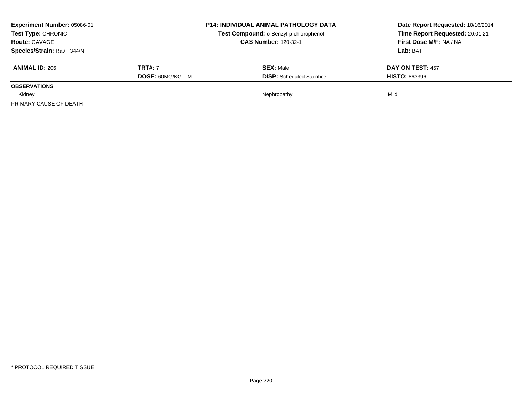| <b>Experiment Number: 05086-01</b><br><b>Test Type: CHRONIC</b><br><b>Route: GAVAGE</b> |                        | <b>P14: INDIVIDUAL ANIMAL PATHOLOGY DATA</b> | Date Report Requested: 10/16/2014<br>Time Report Requested: 20:01:21<br>First Dose M/F: NA / NA |
|-----------------------------------------------------------------------------------------|------------------------|----------------------------------------------|-------------------------------------------------------------------------------------------------|
|                                                                                         |                        | Test Compound: o-Benzyl-p-chlorophenol       |                                                                                                 |
|                                                                                         |                        | <b>CAS Number: 120-32-1</b>                  |                                                                                                 |
| Species/Strain: Rat/F 344/N                                                             |                        |                                              | Lab: BAT                                                                                        |
| <b>ANIMAL ID: 206</b>                                                                   | <b>TRT#: 7</b>         | <b>SEX: Male</b>                             | <b>DAY ON TEST: 457</b>                                                                         |
|                                                                                         | <b>DOSE: 60MG/KG M</b> | <b>DISP:</b> Scheduled Sacrifice             | <b>HISTO: 863396</b>                                                                            |
| <b>OBSERVATIONS</b>                                                                     |                        |                                              |                                                                                                 |
| Kidney                                                                                  |                        | Nephropathy                                  | Mild                                                                                            |
| PRIMARY CAUSE OF DEATH                                                                  |                        |                                              |                                                                                                 |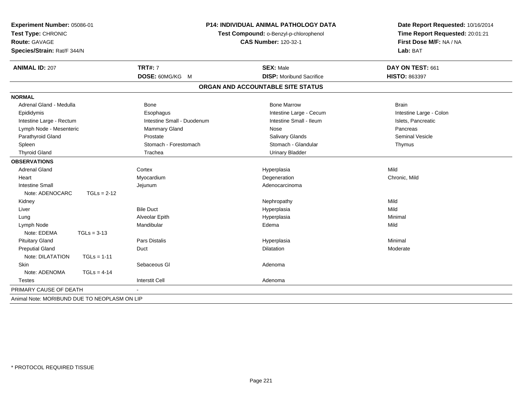| Experiment Number: 05086-01<br>Test Type: CHRONIC<br>Route: GAVAGE<br>Species/Strain: Rat/F 344/N |                            | <b>P14: INDIVIDUAL ANIMAL PATHOLOGY DATA</b><br>Test Compound: o-Benzyl-p-chlorophenol<br><b>CAS Number: 120-32-1</b> |                         |
|---------------------------------------------------------------------------------------------------|----------------------------|-----------------------------------------------------------------------------------------------------------------------|-------------------------|
| <b>ANIMAL ID: 207</b>                                                                             | <b>TRT#: 7</b>             | <b>SEX: Male</b>                                                                                                      | DAY ON TEST: 661        |
|                                                                                                   | DOSE: 60MG/KG M            | <b>DISP:</b> Moribund Sacrifice                                                                                       | HISTO: 863397           |
|                                                                                                   |                            | ORGAN AND ACCOUNTABLE SITE STATUS                                                                                     |                         |
| <b>NORMAL</b>                                                                                     |                            |                                                                                                                       |                         |
| Adrenal Gland - Medulla                                                                           | <b>Bone</b>                | <b>Bone Marrow</b>                                                                                                    | <b>Brain</b>            |
| Epididymis                                                                                        | Esophagus                  | Intestine Large - Cecum                                                                                               | Intestine Large - Colon |
| Intestine Large - Rectum                                                                          | Intestine Small - Duodenum | Intestine Small - Ileum                                                                                               | Islets, Pancreatic      |
| Lymph Node - Mesenteric                                                                           | <b>Mammary Gland</b>       | Nose                                                                                                                  | Pancreas                |
| Parathyroid Gland                                                                                 | Prostate                   | Salivary Glands                                                                                                       | <b>Seminal Vesicle</b>  |
| Spleen                                                                                            | Stomach - Forestomach      | Stomach - Glandular                                                                                                   | Thymus                  |
| <b>Thyroid Gland</b>                                                                              | Trachea                    | <b>Urinary Bladder</b>                                                                                                |                         |
| <b>OBSERVATIONS</b>                                                                               |                            |                                                                                                                       |                         |
| <b>Adrenal Gland</b>                                                                              | Cortex                     | Hyperplasia                                                                                                           | Mild                    |
| Heart                                                                                             | Myocardium                 | Degeneration                                                                                                          | Chronic, Mild           |
| <b>Intestine Small</b>                                                                            | Jejunum                    | Adenocarcinoma                                                                                                        |                         |
| Note: ADENOCARC<br>$TGLs = 2-12$                                                                  |                            |                                                                                                                       |                         |
| Kidney                                                                                            |                            | Nephropathy                                                                                                           | Mild                    |
| Liver                                                                                             | <b>Bile Duct</b>           | Hyperplasia                                                                                                           | Mild                    |
| Lung                                                                                              | Alveolar Epith             | Hyperplasia                                                                                                           | Minimal                 |
| Lymph Node                                                                                        | Mandibular                 | Edema                                                                                                                 | Mild                    |
| Note: EDEMA<br>$TGLs = 3-13$                                                                      |                            |                                                                                                                       |                         |
| <b>Pituitary Gland</b>                                                                            | <b>Pars Distalis</b>       | Hyperplasia                                                                                                           | Minimal                 |
| <b>Preputial Gland</b>                                                                            | Duct                       | <b>Dilatation</b>                                                                                                     | Moderate                |
| Note: DILATATION<br>$TGLs = 1-11$                                                                 |                            |                                                                                                                       |                         |
| <b>Skin</b>                                                                                       | Sebaceous GI               | Adenoma                                                                                                               |                         |
| Note: ADENOMA<br>$TGLs = 4-14$                                                                    |                            |                                                                                                                       |                         |
| <b>Testes</b>                                                                                     | <b>Interstit Cell</b>      | Adenoma                                                                                                               |                         |
| PRIMARY CAUSE OF DEATH                                                                            |                            |                                                                                                                       |                         |
| Animal Note: MORIBUND DUE TO NEOPLASM ON LIP                                                      |                            |                                                                                                                       |                         |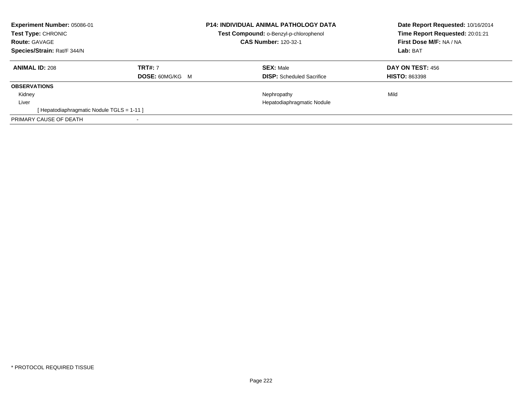| <b>Experiment Number: 05086-01</b><br><b>Test Type: CHRONIC</b><br><b>Route: GAVAGE</b><br>Species/Strain: Rat/F 344/N |                                          | <b>P14: INDIVIDUAL ANIMAL PATHOLOGY DATA</b><br>Test Compound: o-Benzyl-p-chlorophenol<br><b>CAS Number: 120-32-1</b> | Date Report Requested: 10/16/2014<br>Time Report Requested: 20:01:21<br>First Dose M/F: NA / NA<br>Lab: BAT |
|------------------------------------------------------------------------------------------------------------------------|------------------------------------------|-----------------------------------------------------------------------------------------------------------------------|-------------------------------------------------------------------------------------------------------------|
| <b>ANIMAL ID: 208</b>                                                                                                  | <b>TRT#: 7</b><br><b>DOSE: 60MG/KG M</b> | <b>SEX: Male</b><br><b>DISP:</b> Scheduled Sacrifice                                                                  | <b>DAY ON TEST: 456</b><br><b>HISTO: 863398</b>                                                             |
| <b>OBSERVATIONS</b>                                                                                                    |                                          |                                                                                                                       |                                                                                                             |
| Kidney                                                                                                                 |                                          | Nephropathy                                                                                                           | Mild                                                                                                        |
| Liver                                                                                                                  |                                          | Hepatodiaphragmatic Nodule                                                                                            |                                                                                                             |
| [Hepatodiaphragmatic Nodule TGLS = 1-11]                                                                               |                                          |                                                                                                                       |                                                                                                             |
| PRIMARY CAUSE OF DEATH                                                                                                 | $\blacksquare$                           |                                                                                                                       |                                                                                                             |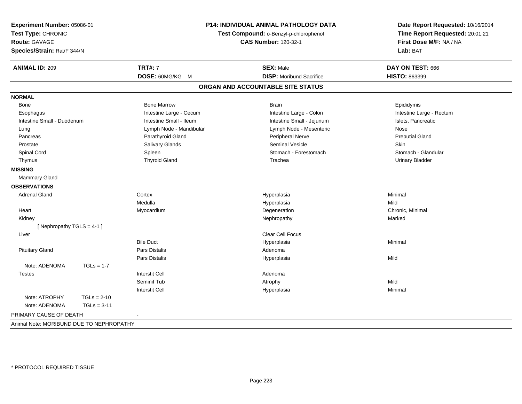| Experiment Number: 05086-01<br>Test Type: CHRONIC<br><b>Route: GAVAGE</b><br>Species/Strain: Rat/F 344/N |                         | P14: INDIVIDUAL ANIMAL PATHOLOGY DATA<br>Test Compound: o-Benzyl-p-chlorophenol<br><b>CAS Number: 120-32-1</b> | Date Report Requested: 10/16/2014<br>Time Report Requested: 20:01:21<br>First Dose M/F: NA / NA<br>Lab: BAT<br>DAY ON TEST: 666 |
|----------------------------------------------------------------------------------------------------------|-------------------------|----------------------------------------------------------------------------------------------------------------|---------------------------------------------------------------------------------------------------------------------------------|
| <b>ANIMAL ID: 209</b>                                                                                    | <b>TRT#: 7</b>          | <b>SEX: Male</b>                                                                                               |                                                                                                                                 |
|                                                                                                          | DOSE: 60MG/KG M         | <b>DISP: Moribund Sacrifice</b>                                                                                | HISTO: 863399                                                                                                                   |
|                                                                                                          |                         | ORGAN AND ACCOUNTABLE SITE STATUS                                                                              |                                                                                                                                 |
| <b>NORMAL</b>                                                                                            |                         |                                                                                                                |                                                                                                                                 |
| Bone                                                                                                     | <b>Bone Marrow</b>      | <b>Brain</b>                                                                                                   | Epididymis                                                                                                                      |
| Esophagus                                                                                                | Intestine Large - Cecum | Intestine Large - Colon                                                                                        | Intestine Large - Rectum                                                                                                        |
| Intestine Small - Duodenum                                                                               | Intestine Small - Ileum | Intestine Small - Jejunum                                                                                      | Islets, Pancreatic                                                                                                              |
| Lung                                                                                                     | Lymph Node - Mandibular | Lymph Node - Mesenteric                                                                                        | Nose                                                                                                                            |
| Pancreas                                                                                                 | Parathyroid Gland       | Peripheral Nerve                                                                                               | <b>Preputial Gland</b>                                                                                                          |
| Prostate                                                                                                 | Salivary Glands         | <b>Seminal Vesicle</b>                                                                                         | Skin                                                                                                                            |
| Spinal Cord                                                                                              | Spleen                  | Stomach - Forestomach                                                                                          | Stomach - Glandular                                                                                                             |
| Thymus                                                                                                   | <b>Thyroid Gland</b>    | Trachea                                                                                                        | <b>Urinary Bladder</b>                                                                                                          |
| <b>MISSING</b>                                                                                           |                         |                                                                                                                |                                                                                                                                 |
| Mammary Gland                                                                                            |                         |                                                                                                                |                                                                                                                                 |
| <b>OBSERVATIONS</b>                                                                                      |                         |                                                                                                                |                                                                                                                                 |
| <b>Adrenal Gland</b>                                                                                     | Cortex                  | Hyperplasia                                                                                                    | Minimal                                                                                                                         |
|                                                                                                          | Medulla                 | Hyperplasia                                                                                                    | Mild                                                                                                                            |
| Heart                                                                                                    | Myocardium              | Degeneration                                                                                                   | Chronic, Minimal                                                                                                                |
| Kidney                                                                                                   |                         | Nephropathy                                                                                                    | Marked                                                                                                                          |
| [Nephropathy TGLS = 4-1]                                                                                 |                         |                                                                                                                |                                                                                                                                 |
| Liver                                                                                                    |                         | <b>Clear Cell Focus</b>                                                                                        |                                                                                                                                 |
|                                                                                                          | <b>Bile Duct</b>        | Hyperplasia                                                                                                    | Minimal                                                                                                                         |
| <b>Pituitary Gland</b>                                                                                   | Pars Distalis           | Adenoma                                                                                                        |                                                                                                                                 |
|                                                                                                          | Pars Distalis           | Hyperplasia                                                                                                    | Mild                                                                                                                            |
| Note: ADENOMA<br>$TGLs = 1-7$                                                                            |                         |                                                                                                                |                                                                                                                                 |
| Testes                                                                                                   | <b>Interstit Cell</b>   | Adenoma                                                                                                        |                                                                                                                                 |
|                                                                                                          | Seminif Tub             | Atrophy                                                                                                        | Mild                                                                                                                            |
|                                                                                                          | <b>Interstit Cell</b>   | Hyperplasia                                                                                                    | Minimal                                                                                                                         |
| Note: ATROPHY<br>$TGLs = 2-10$                                                                           |                         |                                                                                                                |                                                                                                                                 |
| Note: ADENOMA<br>$TGLs = 3-11$                                                                           |                         |                                                                                                                |                                                                                                                                 |
| PRIMARY CAUSE OF DEATH                                                                                   |                         |                                                                                                                |                                                                                                                                 |
| Animal Note: MORIBUND DUE TO NEPHROPATHY                                                                 |                         |                                                                                                                |                                                                                                                                 |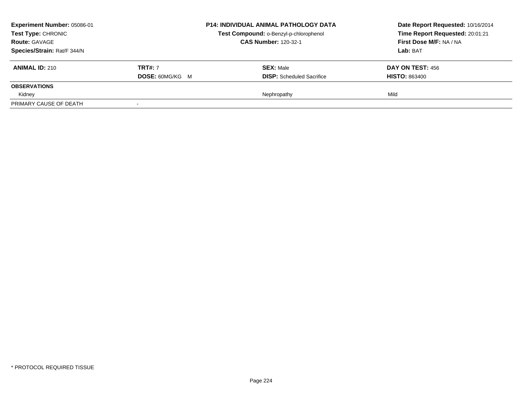| Experiment Number: 05086-01<br><b>Test Type: CHRONIC</b> |                        | <b>P14: INDIVIDUAL ANIMAL PATHOLOGY DATA</b> | Date Report Requested: 10/16/2014<br>Time Report Requested: 20:01:21<br>First Dose M/F: NA / NA |
|----------------------------------------------------------|------------------------|----------------------------------------------|-------------------------------------------------------------------------------------------------|
|                                                          |                        | Test Compound: o-Benzyl-p-chlorophenol       |                                                                                                 |
| <b>Route: GAVAGE</b>                                     |                        | <b>CAS Number: 120-32-1</b>                  |                                                                                                 |
| Species/Strain: Rat/F 344/N                              |                        |                                              | Lab: BAT                                                                                        |
| <b>ANIMAL ID: 210</b>                                    | <b>TRT#: 7</b>         | <b>SEX: Male</b>                             | DAY ON TEST: 456                                                                                |
|                                                          | <b>DOSE: 60MG/KG M</b> | <b>DISP:</b> Scheduled Sacrifice             | <b>HISTO: 863400</b>                                                                            |
| <b>OBSERVATIONS</b>                                      |                        |                                              |                                                                                                 |
| Kidney                                                   |                        | Nephropathy                                  | Mild                                                                                            |
| PRIMARY CAUSE OF DEATH                                   |                        |                                              |                                                                                                 |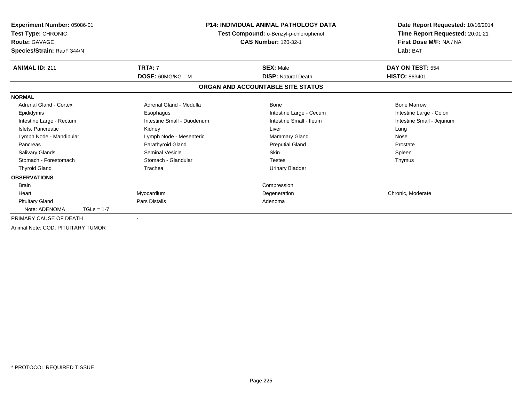| Experiment Number: 05086-01<br>Test Type: CHRONIC<br><b>Route: GAVAGE</b><br>Species/Strain: Rat/F 344/N | P14: INDIVIDUAL ANIMAL PATHOLOGY DATA<br>Test Compound: o-Benzyl-p-chlorophenol<br><b>CAS Number: 120-32-1</b> |                                   | Date Report Requested: 10/16/2014<br>Time Report Requested: 20:01:21<br>First Dose M/F: NA / NA<br>Lab: BAT |
|----------------------------------------------------------------------------------------------------------|----------------------------------------------------------------------------------------------------------------|-----------------------------------|-------------------------------------------------------------------------------------------------------------|
| <b>ANIMAL ID: 211</b>                                                                                    | <b>TRT#: 7</b>                                                                                                 | <b>SEX: Male</b>                  | DAY ON TEST: 554                                                                                            |
|                                                                                                          | DOSE: 60MG/KG M                                                                                                | <b>DISP: Natural Death</b>        | <b>HISTO: 863401</b>                                                                                        |
|                                                                                                          |                                                                                                                | ORGAN AND ACCOUNTABLE SITE STATUS |                                                                                                             |
| <b>NORMAL</b>                                                                                            |                                                                                                                |                                   |                                                                                                             |
| Adrenal Gland - Cortex                                                                                   | Adrenal Gland - Medulla                                                                                        | Bone                              | <b>Bone Marrow</b>                                                                                          |
| Epididymis                                                                                               | Esophagus                                                                                                      | Intestine Large - Cecum           | Intestine Large - Colon                                                                                     |
| Intestine Large - Rectum                                                                                 | Intestine Small - Duodenum                                                                                     | Intestine Small - Ileum           | Intestine Small - Jejunum                                                                                   |
| Islets, Pancreatic                                                                                       | Kidney                                                                                                         | Liver                             | Lung                                                                                                        |
| Lymph Node - Mandibular                                                                                  | Lymph Node - Mesenteric                                                                                        | <b>Mammary Gland</b>              | Nose                                                                                                        |
| Pancreas                                                                                                 | Parathyroid Gland                                                                                              | <b>Preputial Gland</b>            | Prostate                                                                                                    |
| <b>Salivary Glands</b>                                                                                   | <b>Seminal Vesicle</b>                                                                                         | <b>Skin</b>                       | Spleen                                                                                                      |
| Stomach - Forestomach                                                                                    | Stomach - Glandular                                                                                            | <b>Testes</b>                     | Thymus                                                                                                      |
| <b>Thyroid Gland</b>                                                                                     | Trachea                                                                                                        | <b>Urinary Bladder</b>            |                                                                                                             |
| <b>OBSERVATIONS</b>                                                                                      |                                                                                                                |                                   |                                                                                                             |
| <b>Brain</b>                                                                                             |                                                                                                                | Compression                       |                                                                                                             |
| Heart                                                                                                    | Myocardium                                                                                                     | Degeneration                      | Chronic, Moderate                                                                                           |
| <b>Pituitary Gland</b>                                                                                   | <b>Pars Distalis</b>                                                                                           | Adenoma                           |                                                                                                             |
| Note: ADENOMA<br>$TGLs = 1-7$                                                                            |                                                                                                                |                                   |                                                                                                             |
| PRIMARY CAUSE OF DEATH                                                                                   | $\blacksquare$                                                                                                 |                                   |                                                                                                             |
| Animal Note: COD: PITUITARY TUMOR                                                                        |                                                                                                                |                                   |                                                                                                             |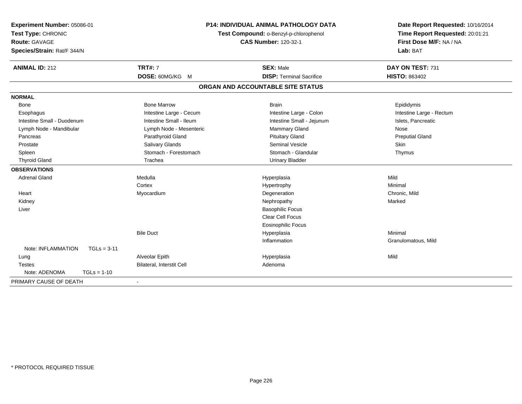| Experiment Number: 05086-01<br>Test Type: CHRONIC |                                  | <b>P14: INDIVIDUAL ANIMAL PATHOLOGY DATA</b><br>Test Compound: o-Benzyl-p-chlorophenol | Date Report Requested: 10/16/2014<br>Time Report Requested: 20:01:21 |
|---------------------------------------------------|----------------------------------|----------------------------------------------------------------------------------------|----------------------------------------------------------------------|
| <b>Route: GAVAGE</b>                              | <b>CAS Number: 120-32-1</b>      |                                                                                        | First Dose M/F: NA / NA                                              |
| Species/Strain: Rat/F 344/N                       |                                  |                                                                                        | Lab: BAT                                                             |
|                                                   |                                  |                                                                                        |                                                                      |
| <b>ANIMAL ID: 212</b>                             | <b>TRT#: 7</b>                   | <b>SEX: Male</b>                                                                       | DAY ON TEST: 731                                                     |
|                                                   | DOSE: 60MG/KG M                  | <b>DISP: Terminal Sacrifice</b>                                                        | <b>HISTO: 863402</b>                                                 |
|                                                   |                                  | ORGAN AND ACCOUNTABLE SITE STATUS                                                      |                                                                      |
| <b>NORMAL</b>                                     |                                  |                                                                                        |                                                                      |
| Bone                                              | <b>Bone Marrow</b>               | <b>Brain</b>                                                                           | Epididymis                                                           |
| Esophagus                                         | Intestine Large - Cecum          | Intestine Large - Colon                                                                | Intestine Large - Rectum                                             |
| Intestine Small - Duodenum                        | Intestine Small - Ileum          | Intestine Small - Jejunum                                                              | Islets, Pancreatic                                                   |
| Lymph Node - Mandibular                           | Lymph Node - Mesenteric          | Mammary Gland                                                                          | Nose                                                                 |
| Pancreas                                          | Parathyroid Gland                | <b>Pituitary Gland</b>                                                                 | <b>Preputial Gland</b>                                               |
| Prostate                                          | Salivary Glands                  | <b>Seminal Vesicle</b>                                                                 | <b>Skin</b>                                                          |
| Spleen                                            | Stomach - Forestomach            | Stomach - Glandular                                                                    | Thymus                                                               |
| <b>Thyroid Gland</b>                              | Trachea                          | <b>Urinary Bladder</b>                                                                 |                                                                      |
| <b>OBSERVATIONS</b>                               |                                  |                                                                                        |                                                                      |
| <b>Adrenal Gland</b>                              | Medulla                          | Hyperplasia                                                                            | Mild                                                                 |
|                                                   | Cortex                           | Hypertrophy                                                                            | Minimal                                                              |
| Heart                                             | Myocardium                       | Degeneration                                                                           | Chronic. Mild                                                        |
| Kidney                                            |                                  | Nephropathy                                                                            | Marked                                                               |
| Liver                                             |                                  | <b>Basophilic Focus</b>                                                                |                                                                      |
|                                                   |                                  | <b>Clear Cell Focus</b>                                                                |                                                                      |
|                                                   |                                  | Eosinophilic Focus                                                                     |                                                                      |
|                                                   | <b>Bile Duct</b>                 | Hyperplasia                                                                            | Minimal                                                              |
|                                                   |                                  | Inflammation                                                                           | Granulomatous, Mild                                                  |
| Note: INFLAMMATION<br>$TGLs = 3-11$               |                                  |                                                                                        |                                                                      |
| Lung                                              | Alveolar Epith                   | Hyperplasia                                                                            | Mild                                                                 |
| <b>Testes</b>                                     | <b>Bilateral, Interstit Cell</b> | Adenoma                                                                                |                                                                      |
| Note: ADENOMA<br>$TGLs = 1-10$                    |                                  |                                                                                        |                                                                      |
| PRIMARY CAUSE OF DEATH                            |                                  |                                                                                        |                                                                      |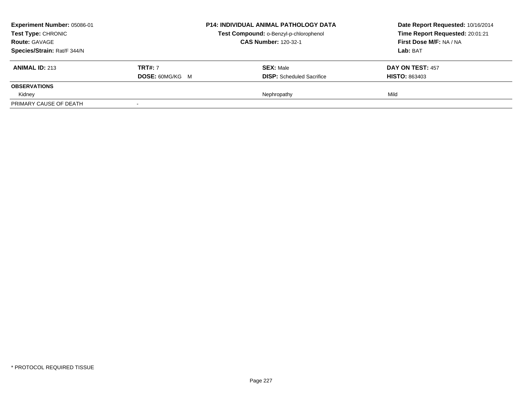| <b>Experiment Number: 05086-01</b><br><b>Test Type: CHRONIC</b><br><b>Route: GAVAGE</b> |                        | <b>P14: INDIVIDUAL ANIMAL PATHOLOGY DATA</b> | Date Report Requested: 10/16/2014<br>Time Report Requested: 20:01:21<br>First Dose M/F: NA / NA |
|-----------------------------------------------------------------------------------------|------------------------|----------------------------------------------|-------------------------------------------------------------------------------------------------|
|                                                                                         |                        | Test Compound: o-Benzyl-p-chlorophenol       |                                                                                                 |
|                                                                                         |                        | <b>CAS Number: 120-32-1</b>                  |                                                                                                 |
| Species/Strain: Rat/F 344/N                                                             |                        |                                              | Lab: BAT                                                                                        |
| <b>ANIMAL ID: 213</b>                                                                   | <b>TRT#: 7</b>         | <b>SEX: Male</b>                             | <b>DAY ON TEST: 457</b>                                                                         |
|                                                                                         | <b>DOSE: 60MG/KG M</b> | <b>DISP:</b> Scheduled Sacrifice             | <b>HISTO: 863403</b>                                                                            |
| <b>OBSERVATIONS</b>                                                                     |                        |                                              |                                                                                                 |
| Kidney                                                                                  |                        | Nephropathy                                  | Mild                                                                                            |
| PRIMARY CAUSE OF DEATH                                                                  |                        |                                              |                                                                                                 |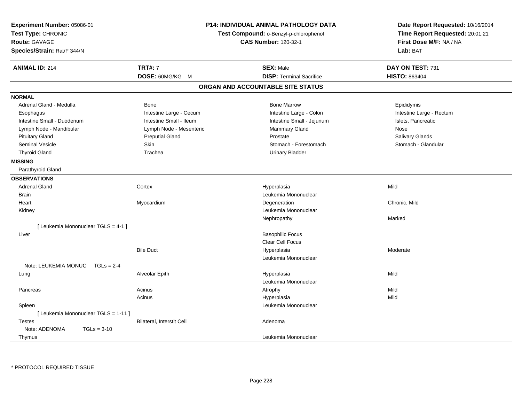| <b>Experiment Number: 05086-01</b><br>Test Type: CHRONIC<br><b>Route: GAVAGE</b><br>Species/Strain: Rat/F 344/N |                                  | <b>P14: INDIVIDUAL ANIMAL PATHOLOGY DATA</b><br>Test Compound: o-Benzyl-p-chlorophenol<br><b>CAS Number: 120-32-1</b> | Date Report Requested: 10/16/2014<br>Time Report Requested: 20:01:21<br>First Dose M/F: NA / NA<br>Lab: BAT |
|-----------------------------------------------------------------------------------------------------------------|----------------------------------|-----------------------------------------------------------------------------------------------------------------------|-------------------------------------------------------------------------------------------------------------|
| <b>ANIMAL ID: 214</b>                                                                                           | <b>TRT#: 7</b>                   | <b>SEX: Male</b>                                                                                                      | DAY ON TEST: 731                                                                                            |
|                                                                                                                 | DOSE: 60MG/KG M                  | <b>DISP: Terminal Sacrifice</b>                                                                                       | <b>HISTO: 863404</b>                                                                                        |
|                                                                                                                 |                                  | ORGAN AND ACCOUNTABLE SITE STATUS                                                                                     |                                                                                                             |
| <b>NORMAL</b>                                                                                                   |                                  |                                                                                                                       |                                                                                                             |
| Adrenal Gland - Medulla                                                                                         | <b>Bone</b>                      | <b>Bone Marrow</b>                                                                                                    | Epididymis                                                                                                  |
| Esophagus                                                                                                       | Intestine Large - Cecum          | Intestine Large - Colon                                                                                               | Intestine Large - Rectum                                                                                    |
| Intestine Small - Duodenum                                                                                      | Intestine Small - Ileum          | Intestine Small - Jejunum                                                                                             | Islets, Pancreatic                                                                                          |
| Lymph Node - Mandibular                                                                                         | Lymph Node - Mesenteric          | Mammary Gland                                                                                                         | Nose                                                                                                        |
| <b>Pituitary Gland</b>                                                                                          | <b>Preputial Gland</b>           | Prostate                                                                                                              | Salivary Glands                                                                                             |
| Seminal Vesicle                                                                                                 | Skin                             | Stomach - Forestomach                                                                                                 | Stomach - Glandular                                                                                         |
| <b>Thyroid Gland</b>                                                                                            | Trachea                          | <b>Urinary Bladder</b>                                                                                                |                                                                                                             |
| <b>MISSING</b>                                                                                                  |                                  |                                                                                                                       |                                                                                                             |
| Parathyroid Gland                                                                                               |                                  |                                                                                                                       |                                                                                                             |
| <b>OBSERVATIONS</b>                                                                                             |                                  |                                                                                                                       |                                                                                                             |
| <b>Adrenal Gland</b>                                                                                            | Cortex                           | Hyperplasia                                                                                                           | Mild                                                                                                        |
| <b>Brain</b>                                                                                                    |                                  | Leukemia Mononuclear                                                                                                  |                                                                                                             |
| Heart                                                                                                           | Myocardium                       | Degeneration                                                                                                          | Chronic, Mild                                                                                               |
| Kidney                                                                                                          |                                  | Leukemia Mononuclear                                                                                                  |                                                                                                             |
|                                                                                                                 |                                  | Nephropathy                                                                                                           | Marked                                                                                                      |
| [ Leukemia Mononuclear TGLS = 4-1 ]                                                                             |                                  |                                                                                                                       |                                                                                                             |
| Liver                                                                                                           |                                  | <b>Basophilic Focus</b>                                                                                               |                                                                                                             |
|                                                                                                                 |                                  | Clear Cell Focus                                                                                                      |                                                                                                             |
|                                                                                                                 | <b>Bile Duct</b>                 | Hyperplasia                                                                                                           | Moderate                                                                                                    |
|                                                                                                                 |                                  | Leukemia Mononuclear                                                                                                  |                                                                                                             |
| Note: LEUKEMIA MONUC TGLs = 2-4                                                                                 |                                  |                                                                                                                       |                                                                                                             |
| Lung                                                                                                            | Alveolar Epith                   | Hyperplasia                                                                                                           | Mild                                                                                                        |
|                                                                                                                 |                                  | Leukemia Mononuclear                                                                                                  |                                                                                                             |
| Pancreas                                                                                                        | Acinus                           | Atrophy                                                                                                               | Mild                                                                                                        |
|                                                                                                                 | Acinus                           | Hyperplasia                                                                                                           | Mild                                                                                                        |
| Spleen                                                                                                          |                                  | Leukemia Mononuclear                                                                                                  |                                                                                                             |
| [ Leukemia Mononuclear TGLS = 1-11 ]                                                                            |                                  |                                                                                                                       |                                                                                                             |
| <b>Testes</b>                                                                                                   | <b>Bilateral, Interstit Cell</b> | Adenoma                                                                                                               |                                                                                                             |
| Note: ADENOMA<br>$TGLs = 3-10$                                                                                  |                                  |                                                                                                                       |                                                                                                             |
| Thymus                                                                                                          |                                  | Leukemia Mononuclear                                                                                                  |                                                                                                             |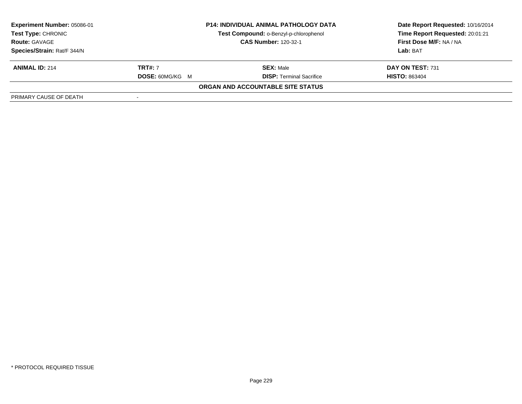| <b>Experiment Number: 05086-01</b><br>Test Type: CHRONIC<br><b>Route: GAVAGE</b> | <b>P14: INDIVIDUAL ANIMAL PATHOLOGY DATA</b><br>Test Compound: o-Benzyl-p-chlorophenol<br><b>CAS Number: 120-32-1</b> |                                   | Date Report Requested: 10/16/2014<br>Time Report Requested: 20:01:21<br>First Dose M/F: NA / NA |  |
|----------------------------------------------------------------------------------|-----------------------------------------------------------------------------------------------------------------------|-----------------------------------|-------------------------------------------------------------------------------------------------|--|
| Species/Strain: Rat/F 344/N                                                      |                                                                                                                       |                                   | Lab: BAT                                                                                        |  |
| <b>ANIMAL ID: 214</b>                                                            | <b>TRT#:</b> 7                                                                                                        | <b>SEX: Male</b>                  | DAY ON TEST: 731                                                                                |  |
|                                                                                  | <b>DOSE: 60MG/KG M</b>                                                                                                | <b>DISP: Terminal Sacrifice</b>   | <b>HISTO: 863404</b>                                                                            |  |
|                                                                                  |                                                                                                                       | ORGAN AND ACCOUNTABLE SITE STATUS |                                                                                                 |  |
| PRIMARY CAUSE OF DEATH                                                           |                                                                                                                       |                                   |                                                                                                 |  |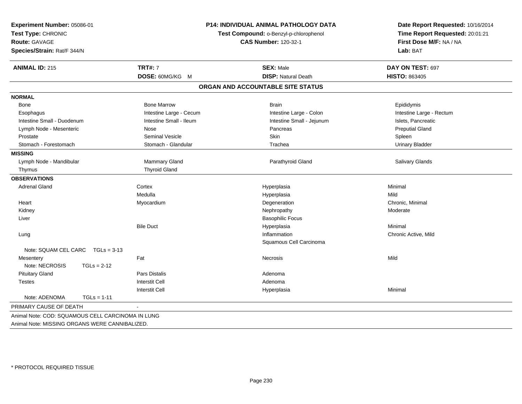| <b>ANIMAL ID: 215</b><br><b>NORMAL</b><br>Bone | <b>TRT#: 7</b><br>DOSE: 60MG/KG M | <b>SEX: Male</b>                  | DAY ON TEST: 697         |
|------------------------------------------------|-----------------------------------|-----------------------------------|--------------------------|
|                                                |                                   |                                   |                          |
|                                                |                                   | <b>DISP: Natural Death</b>        | <b>HISTO: 863405</b>     |
|                                                |                                   | ORGAN AND ACCOUNTABLE SITE STATUS |                          |
|                                                |                                   |                                   |                          |
|                                                | <b>Bone Marrow</b>                | <b>Brain</b>                      | Epididymis               |
| Esophagus                                      | Intestine Large - Cecum           | Intestine Large - Colon           | Intestine Large - Rectum |
| Intestine Small - Duodenum                     | Intestine Small - Ileum           | Intestine Small - Jejunum         | Islets, Pancreatic       |
| Lymph Node - Mesenteric                        | Nose                              | Pancreas                          | <b>Preputial Gland</b>   |
| Prostate                                       | Seminal Vesicle                   | Skin                              | Spleen                   |
| Stomach - Forestomach                          | Stomach - Glandular               | Trachea                           | <b>Urinary Bladder</b>   |
| <b>MISSING</b>                                 |                                   |                                   |                          |
| Lymph Node - Mandibular                        | Mammary Gland                     | Parathyroid Gland                 | Salivary Glands          |
| Thymus                                         | <b>Thyroid Gland</b>              |                                   |                          |
| <b>OBSERVATIONS</b>                            |                                   |                                   |                          |
| <b>Adrenal Gland</b>                           | Cortex                            | Hyperplasia                       | Minimal                  |
|                                                | Medulla                           | Hyperplasia                       | Mild                     |
| Heart                                          | Myocardium                        | Degeneration                      | Chronic, Minimal         |
| Kidney                                         |                                   | Nephropathy                       | Moderate                 |
| Liver                                          |                                   | <b>Basophilic Focus</b>           |                          |
|                                                | <b>Bile Duct</b>                  | Hyperplasia                       | Minimal                  |
| Lung                                           |                                   | Inflammation                      | Chronic Active, Mild     |
|                                                |                                   | Squamous Cell Carcinoma           |                          |
| Note: SQUAM CEL CARC<br>$TGLs = 3-13$          |                                   |                                   |                          |
| Mesentery                                      | Fat                               | Necrosis                          | Mild                     |
| Note: NECROSIS<br>$TGLs = 2-12$                |                                   |                                   |                          |
| <b>Pituitary Gland</b>                         | Pars Distalis                     | Adenoma                           |                          |
| <b>Testes</b>                                  | <b>Interstit Cell</b>             | Adenoma                           |                          |
|                                                | <b>Interstit Cell</b>             | Hyperplasia                       | Minimal                  |
| Note: ADENOMA<br>$TGLs = 1-11$                 |                                   |                                   |                          |
| PRIMARY CAUSE OF DEATH                         |                                   |                                   |                          |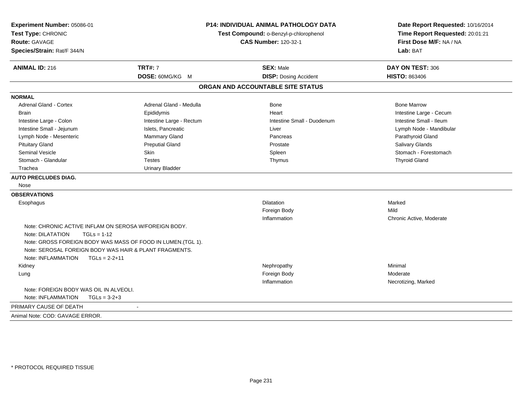| Experiment Number: 05086-01<br>Test Type: CHRONIC<br>Route: GAVAGE<br>Species/Strain: Rat/F 344/N |                          | <b>P14: INDIVIDUAL ANIMAL PATHOLOGY DATA</b><br>Test Compound: o-Benzyl-p-chlorophenol<br><b>CAS Number: 120-32-1</b> | Date Report Requested: 10/16/2014<br>Time Report Requested: 20:01:21<br>First Dose M/F: NA / NA<br>Lab: BAT<br>DAY ON TEST: 306 |  |
|---------------------------------------------------------------------------------------------------|--------------------------|-----------------------------------------------------------------------------------------------------------------------|---------------------------------------------------------------------------------------------------------------------------------|--|
| <b>ANIMAL ID: 216</b>                                                                             | <b>TRT#: 7</b>           | <b>SEX: Male</b>                                                                                                      |                                                                                                                                 |  |
|                                                                                                   | DOSE: 60MG/KG M          | <b>DISP: Dosing Accident</b>                                                                                          | <b>HISTO: 863406</b>                                                                                                            |  |
|                                                                                                   |                          | ORGAN AND ACCOUNTABLE SITE STATUS                                                                                     |                                                                                                                                 |  |
| <b>NORMAL</b>                                                                                     |                          |                                                                                                                       |                                                                                                                                 |  |
| Adrenal Gland - Cortex                                                                            | Adrenal Gland - Medulla  | <b>Bone</b>                                                                                                           | <b>Bone Marrow</b>                                                                                                              |  |
| <b>Brain</b>                                                                                      | Epididymis               | Heart                                                                                                                 | Intestine Large - Cecum                                                                                                         |  |
| Intestine Large - Colon                                                                           | Intestine Large - Rectum | Intestine Small - Duodenum                                                                                            | Intestine Small - Ileum                                                                                                         |  |
| Intestine Small - Jejunum                                                                         | Islets, Pancreatic       | Liver                                                                                                                 | Lymph Node - Mandibular                                                                                                         |  |
| Lymph Node - Mesenteric                                                                           | Mammary Gland            | Pancreas                                                                                                              | Parathyroid Gland                                                                                                               |  |
| <b>Pituitary Gland</b>                                                                            | <b>Preputial Gland</b>   | Prostate                                                                                                              | Salivary Glands                                                                                                                 |  |
| Seminal Vesicle                                                                                   | <b>Skin</b>              | Spleen                                                                                                                | Stomach - Forestomach                                                                                                           |  |
| Stomach - Glandular                                                                               | <b>Testes</b>            | Thymus                                                                                                                | <b>Thyroid Gland</b>                                                                                                            |  |
| Trachea                                                                                           | <b>Urinary Bladder</b>   |                                                                                                                       |                                                                                                                                 |  |
| <b>AUTO PRECLUDES DIAG.</b>                                                                       |                          |                                                                                                                       |                                                                                                                                 |  |
| Nose                                                                                              |                          |                                                                                                                       |                                                                                                                                 |  |
| <b>OBSERVATIONS</b>                                                                               |                          |                                                                                                                       |                                                                                                                                 |  |
| Esophagus                                                                                         |                          | <b>Dilatation</b>                                                                                                     | Marked                                                                                                                          |  |
|                                                                                                   |                          | Foreign Body                                                                                                          | Mild                                                                                                                            |  |
|                                                                                                   |                          | Inflammation                                                                                                          | Chronic Active, Moderate                                                                                                        |  |
| Note: CHRONIC ACTIVE INFLAM ON SEROSA W/FOREIGN BODY.                                             |                          |                                                                                                                       |                                                                                                                                 |  |
| Note: DILATATION<br>$TGLs = 1-12$                                                                 |                          |                                                                                                                       |                                                                                                                                 |  |
| Note: GROSS FOREIGN BODY WAS MASS OF FOOD IN LUMEN.(TGL 1).                                       |                          |                                                                                                                       |                                                                                                                                 |  |
| Note: SEROSAL FOREIGN BODY WAS HAIR & PLANT FRAGMENTS.                                            |                          |                                                                                                                       |                                                                                                                                 |  |
| Note: INFLAMMATION<br>$TGLs = 2-2+11$                                                             |                          |                                                                                                                       |                                                                                                                                 |  |
| Kidney                                                                                            |                          | Nephropathy                                                                                                           | Minimal                                                                                                                         |  |
| Lung                                                                                              |                          | Foreign Body                                                                                                          | Moderate                                                                                                                        |  |
|                                                                                                   |                          | Inflammation                                                                                                          | Necrotizing, Marked                                                                                                             |  |
| Note: FOREIGN BODY WAS OIL IN ALVEOLI.                                                            |                          |                                                                                                                       |                                                                                                                                 |  |
| Note: INFLAMMATION<br>$TGLs = 3-2+3$                                                              |                          |                                                                                                                       |                                                                                                                                 |  |
| PRIMARY CAUSE OF DEATH                                                                            | $\blacksquare$           |                                                                                                                       |                                                                                                                                 |  |
| Animal Note: COD: GAVAGE ERROR.                                                                   |                          |                                                                                                                       |                                                                                                                                 |  |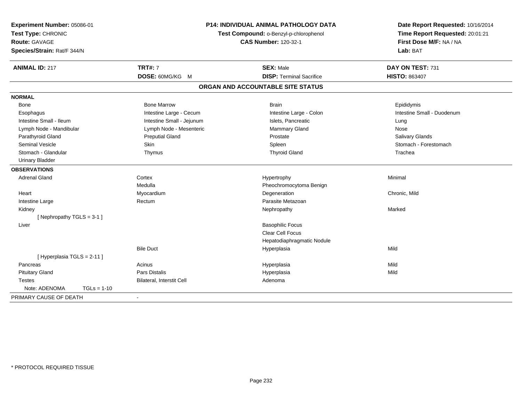| Experiment Number: 05086-01<br>Test Type: CHRONIC<br><b>Route: GAVAGE</b><br>Species/Strain: Rat/F 344/N |                           | <b>P14: INDIVIDUAL ANIMAL PATHOLOGY DATA</b><br>Test Compound: o-Benzyl-p-chlorophenol<br><b>CAS Number: 120-32-1</b> | Date Report Requested: 10/16/2014<br>Time Report Requested: 20:01:21<br>First Dose M/F: NA / NA<br>Lab: BAT |  |
|----------------------------------------------------------------------------------------------------------|---------------------------|-----------------------------------------------------------------------------------------------------------------------|-------------------------------------------------------------------------------------------------------------|--|
| <b>ANIMAL ID: 217</b>                                                                                    | <b>TRT#: 7</b>            | <b>SEX: Male</b>                                                                                                      | DAY ON TEST: 731                                                                                            |  |
|                                                                                                          | DOSE: 60MG/KG M           | <b>DISP: Terminal Sacrifice</b>                                                                                       | <b>HISTO: 863407</b>                                                                                        |  |
|                                                                                                          |                           | ORGAN AND ACCOUNTABLE SITE STATUS                                                                                     |                                                                                                             |  |
| <b>NORMAL</b>                                                                                            |                           |                                                                                                                       |                                                                                                             |  |
| Bone                                                                                                     | <b>Bone Marrow</b>        | <b>Brain</b>                                                                                                          | Epididymis                                                                                                  |  |
| Esophagus                                                                                                | Intestine Large - Cecum   | Intestine Large - Colon                                                                                               | Intestine Small - Duodenum                                                                                  |  |
| Intestine Small - Ileum                                                                                  | Intestine Small - Jejunum | Islets, Pancreatic                                                                                                    | Lung                                                                                                        |  |
| Lymph Node - Mandibular                                                                                  | Lymph Node - Mesenteric   | <b>Mammary Gland</b>                                                                                                  | Nose                                                                                                        |  |
| Parathyroid Gland                                                                                        | <b>Preputial Gland</b>    | Prostate                                                                                                              | Salivary Glands                                                                                             |  |
| Seminal Vesicle                                                                                          | Skin                      | Spleen                                                                                                                | Stomach - Forestomach                                                                                       |  |
| Stomach - Glandular                                                                                      | Thymus                    | <b>Thyroid Gland</b>                                                                                                  | Trachea                                                                                                     |  |
| <b>Urinary Bladder</b>                                                                                   |                           |                                                                                                                       |                                                                                                             |  |
| <b>OBSERVATIONS</b>                                                                                      |                           |                                                                                                                       |                                                                                                             |  |
| <b>Adrenal Gland</b>                                                                                     | Cortex                    | Hypertrophy                                                                                                           | Minimal                                                                                                     |  |
|                                                                                                          | Medulla                   | Pheochromocytoma Benign                                                                                               |                                                                                                             |  |
| Heart                                                                                                    | Myocardium                | Degeneration                                                                                                          | Chronic, Mild                                                                                               |  |
| Intestine Large                                                                                          | Rectum                    | Parasite Metazoan                                                                                                     |                                                                                                             |  |
| Kidney                                                                                                   |                           | Nephropathy                                                                                                           | Marked                                                                                                      |  |
| [Nephropathy TGLS = 3-1]                                                                                 |                           |                                                                                                                       |                                                                                                             |  |
| Liver                                                                                                    |                           | <b>Basophilic Focus</b>                                                                                               |                                                                                                             |  |
|                                                                                                          |                           | <b>Clear Cell Focus</b>                                                                                               |                                                                                                             |  |
|                                                                                                          |                           | Hepatodiaphragmatic Nodule                                                                                            |                                                                                                             |  |
|                                                                                                          | <b>Bile Duct</b>          | Hyperplasia                                                                                                           | Mild                                                                                                        |  |
| [ Hyperplasia TGLS = 2-11 ]                                                                              |                           |                                                                                                                       |                                                                                                             |  |
| Pancreas                                                                                                 | Acinus                    | Hyperplasia                                                                                                           | Mild                                                                                                        |  |
| <b>Pituitary Gland</b>                                                                                   | <b>Pars Distalis</b>      | Hyperplasia                                                                                                           | Mild                                                                                                        |  |
| <b>Testes</b>                                                                                            | Bilateral, Interstit Cell | Adenoma                                                                                                               |                                                                                                             |  |
| Note: ADENOMA<br>$TGLs = 1-10$                                                                           |                           |                                                                                                                       |                                                                                                             |  |
| PRIMARY CAUSE OF DEATH                                                                                   | $\blacksquare$            |                                                                                                                       |                                                                                                             |  |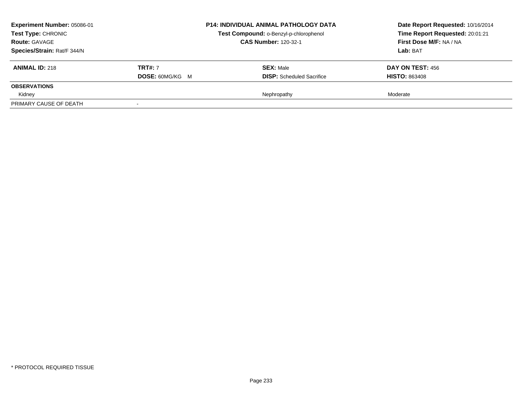| <b>Experiment Number: 05086-01</b><br>Test Type: CHRONIC<br><b>Route: GAVAGE</b><br>Species/Strain: Rat/F 344/N |                                          | <b>P14: INDIVIDUAL ANIMAL PATHOLOGY DATA</b><br>Test Compound: o-Benzyl-p-chlorophenol<br><b>CAS Number: 120-32-1</b> | Date Report Requested: 10/16/2014<br>Time Report Requested: 20:01:21<br>First Dose M/F: NA / NA<br><b>Lab:</b> BAT |
|-----------------------------------------------------------------------------------------------------------------|------------------------------------------|-----------------------------------------------------------------------------------------------------------------------|--------------------------------------------------------------------------------------------------------------------|
| <b>ANIMAL ID: 218</b>                                                                                           | <b>TRT#: 7</b><br><b>DOSE: 60MG/KG M</b> | <b>SEX: Male</b><br><b>DISP:</b> Scheduled Sacrifice                                                                  | DAY ON TEST: 456<br><b>HISTO: 863408</b>                                                                           |
| <b>OBSERVATIONS</b>                                                                                             |                                          |                                                                                                                       |                                                                                                                    |
| Kidney                                                                                                          |                                          | Nephropathy                                                                                                           | Moderate                                                                                                           |
| PRIMARY CAUSE OF DEATH                                                                                          |                                          |                                                                                                                       |                                                                                                                    |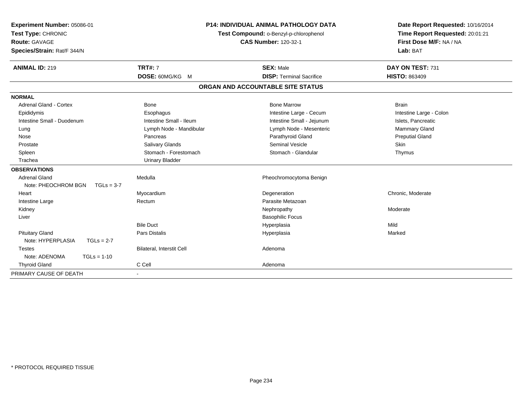| Experiment Number: 05086-01<br>Test Type: CHRONIC<br><b>Route: GAVAGE</b><br>Species/Strain: Rat/F 344/N |                           | <b>P14: INDIVIDUAL ANIMAL PATHOLOGY DATA</b><br>Test Compound: o-Benzyl-p-chlorophenol<br><b>CAS Number: 120-32-1</b> | Date Report Requested: 10/16/2014<br>Time Report Requested: 20:01:21<br>First Dose M/F: NA / NA<br>Lab: BAT |  |
|----------------------------------------------------------------------------------------------------------|---------------------------|-----------------------------------------------------------------------------------------------------------------------|-------------------------------------------------------------------------------------------------------------|--|
| <b>ANIMAL ID: 219</b>                                                                                    | <b>TRT#: 7</b>            | <b>SEX: Male</b>                                                                                                      | DAY ON TEST: 731                                                                                            |  |
|                                                                                                          | DOSE: 60MG/KG M           | <b>DISP: Terminal Sacrifice</b>                                                                                       | <b>HISTO: 863409</b>                                                                                        |  |
|                                                                                                          |                           | ORGAN AND ACCOUNTABLE SITE STATUS                                                                                     |                                                                                                             |  |
| <b>NORMAL</b>                                                                                            |                           |                                                                                                                       |                                                                                                             |  |
| <b>Adrenal Gland - Cortex</b>                                                                            | <b>Bone</b>               | <b>Bone Marrow</b>                                                                                                    | <b>Brain</b>                                                                                                |  |
| Epididymis                                                                                               | Esophagus                 | Intestine Large - Cecum                                                                                               | Intestine Large - Colon                                                                                     |  |
| Intestine Small - Duodenum                                                                               | Intestine Small - Ileum   | Intestine Small - Jejunum                                                                                             | Islets, Pancreatic                                                                                          |  |
| Lung                                                                                                     | Lymph Node - Mandibular   | Lymph Node - Mesenteric                                                                                               | Mammary Gland                                                                                               |  |
| Nose                                                                                                     | Pancreas                  | Parathyroid Gland                                                                                                     | <b>Preputial Gland</b>                                                                                      |  |
| Prostate                                                                                                 | Salivary Glands           | Seminal Vesicle                                                                                                       | <b>Skin</b>                                                                                                 |  |
| Spleen                                                                                                   | Stomach - Forestomach     | Stomach - Glandular                                                                                                   | Thymus                                                                                                      |  |
| Trachea                                                                                                  | <b>Urinary Bladder</b>    |                                                                                                                       |                                                                                                             |  |
| <b>OBSERVATIONS</b>                                                                                      |                           |                                                                                                                       |                                                                                                             |  |
| <b>Adrenal Gland</b>                                                                                     | Medulla                   | Pheochromocytoma Benign                                                                                               |                                                                                                             |  |
| Note: PHEOCHROM BGN<br>$TGLs = 3-7$                                                                      |                           |                                                                                                                       |                                                                                                             |  |
| Heart                                                                                                    | Myocardium                | Degeneration                                                                                                          | Chronic, Moderate                                                                                           |  |
| Intestine Large                                                                                          | Rectum                    | Parasite Metazoan                                                                                                     |                                                                                                             |  |
| Kidney                                                                                                   |                           | Nephropathy                                                                                                           | Moderate                                                                                                    |  |
| Liver                                                                                                    |                           | <b>Basophilic Focus</b>                                                                                               |                                                                                                             |  |
|                                                                                                          | <b>Bile Duct</b>          | Hyperplasia                                                                                                           | Mild                                                                                                        |  |
| <b>Pituitary Gland</b>                                                                                   | <b>Pars Distalis</b>      | Hyperplasia                                                                                                           | Marked                                                                                                      |  |
| Note: HYPERPLASIA<br>$TGLs = 2-7$                                                                        |                           |                                                                                                                       |                                                                                                             |  |
| <b>Testes</b>                                                                                            | Bilateral, Interstit Cell | Adenoma                                                                                                               |                                                                                                             |  |
| Note: ADENOMA<br>$TGLs = 1-10$                                                                           |                           |                                                                                                                       |                                                                                                             |  |
| <b>Thyroid Gland</b>                                                                                     | C Cell                    | Adenoma                                                                                                               |                                                                                                             |  |
| PRIMARY CAUSE OF DEATH                                                                                   |                           |                                                                                                                       |                                                                                                             |  |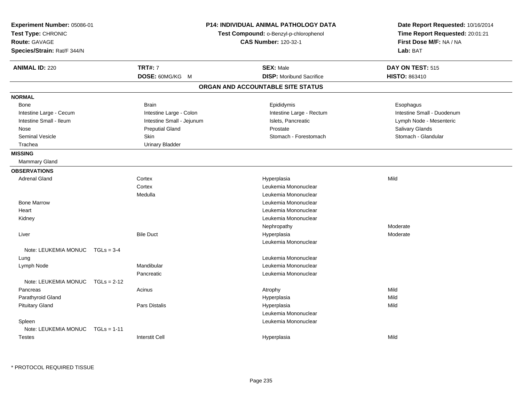| Experiment Number: 05086-01<br>Test Type: CHRONIC<br><b>Route: GAVAGE</b><br>Species/Strain: Rat/F 344/N | <b>P14: INDIVIDUAL ANIMAL PATHOLOGY DATA</b><br>Test Compound: o-Benzyl-p-chlorophenol<br><b>CAS Number: 120-32-1</b> |                           | Date Report Requested: 10/16/2014<br>Time Report Requested: 20:01:21<br>First Dose M/F: NA / NA<br>Lab: BAT |                            |
|----------------------------------------------------------------------------------------------------------|-----------------------------------------------------------------------------------------------------------------------|---------------------------|-------------------------------------------------------------------------------------------------------------|----------------------------|
| <b>ANIMAL ID: 220</b>                                                                                    |                                                                                                                       | <b>TRT#: 7</b>            | <b>SEX: Male</b>                                                                                            | DAY ON TEST: 515           |
|                                                                                                          |                                                                                                                       | DOSE: 60MG/KG M           | <b>DISP:</b> Moribund Sacrifice                                                                             | HISTO: 863410              |
|                                                                                                          |                                                                                                                       |                           | ORGAN AND ACCOUNTABLE SITE STATUS                                                                           |                            |
| <b>NORMAL</b>                                                                                            |                                                                                                                       |                           |                                                                                                             |                            |
| Bone                                                                                                     |                                                                                                                       | <b>Brain</b>              | Epididymis                                                                                                  | Esophagus                  |
| Intestine Large - Cecum                                                                                  |                                                                                                                       | Intestine Large - Colon   | Intestine Large - Rectum                                                                                    | Intestine Small - Duodenum |
| Intestine Small - Ileum                                                                                  |                                                                                                                       | Intestine Small - Jejunum | Islets, Pancreatic                                                                                          | Lymph Node - Mesenteric    |
| Nose                                                                                                     |                                                                                                                       | <b>Preputial Gland</b>    | Prostate                                                                                                    | Salivary Glands            |
| Seminal Vesicle                                                                                          |                                                                                                                       | Skin                      | Stomach - Forestomach                                                                                       | Stomach - Glandular        |
| Trachea                                                                                                  |                                                                                                                       | <b>Urinary Bladder</b>    |                                                                                                             |                            |
| <b>MISSING</b>                                                                                           |                                                                                                                       |                           |                                                                                                             |                            |
| <b>Mammary Gland</b>                                                                                     |                                                                                                                       |                           |                                                                                                             |                            |
| <b>OBSERVATIONS</b>                                                                                      |                                                                                                                       |                           |                                                                                                             |                            |
| <b>Adrenal Gland</b>                                                                                     |                                                                                                                       | Cortex                    | Hyperplasia                                                                                                 | Mild                       |
|                                                                                                          |                                                                                                                       | Cortex                    | Leukemia Mononuclear                                                                                        |                            |
|                                                                                                          |                                                                                                                       | Medulla                   | Leukemia Mononuclear                                                                                        |                            |
| <b>Bone Marrow</b>                                                                                       |                                                                                                                       |                           | Leukemia Mononuclear                                                                                        |                            |
| Heart                                                                                                    |                                                                                                                       |                           | Leukemia Mononuclear                                                                                        |                            |
| Kidney                                                                                                   |                                                                                                                       |                           | Leukemia Mononuclear                                                                                        |                            |
|                                                                                                          |                                                                                                                       |                           | Nephropathy                                                                                                 | Moderate                   |
| Liver                                                                                                    |                                                                                                                       | <b>Bile Duct</b>          | Hyperplasia                                                                                                 | Moderate                   |
|                                                                                                          |                                                                                                                       |                           | Leukemia Mononuclear                                                                                        |                            |
| Note: LEUKEMIA MONUC                                                                                     | $TGLs = 3-4$                                                                                                          |                           |                                                                                                             |                            |
| Lung                                                                                                     |                                                                                                                       |                           | Leukemia Mononuclear                                                                                        |                            |
| Lymph Node                                                                                               |                                                                                                                       | Mandibular                | Leukemia Mononuclear                                                                                        |                            |
|                                                                                                          |                                                                                                                       | Pancreatic                | Leukemia Mononuclear                                                                                        |                            |
| Note: LEUKEMIA MONUC                                                                                     | $TGLs = 2-12$                                                                                                         |                           |                                                                                                             |                            |
| Pancreas                                                                                                 |                                                                                                                       | Acinus                    | Atrophy                                                                                                     | Mild                       |
| Parathyroid Gland                                                                                        |                                                                                                                       |                           | Hyperplasia                                                                                                 | Mild                       |
| <b>Pituitary Gland</b>                                                                                   |                                                                                                                       | <b>Pars Distalis</b>      | Hyperplasia                                                                                                 | Mild                       |
|                                                                                                          |                                                                                                                       |                           | Leukemia Mononuclear                                                                                        |                            |
| Spleen                                                                                                   |                                                                                                                       |                           | Leukemia Mononuclear                                                                                        |                            |
| Note: LEUKEMIA MONUC                                                                                     | $TGLs = 1-11$                                                                                                         |                           |                                                                                                             |                            |
| <b>Testes</b>                                                                                            |                                                                                                                       | <b>Interstit Cell</b>     | Hyperplasia                                                                                                 | Mild                       |
|                                                                                                          |                                                                                                                       |                           |                                                                                                             |                            |

\* PROTOCOL REQUIRED TISSUE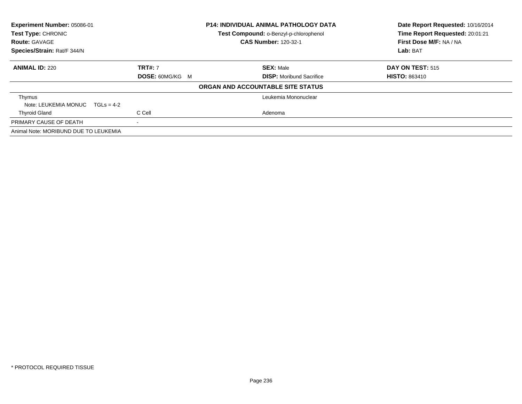| Experiment Number: 05086-01<br><b>Test Type: CHRONIC</b> | <b>P14: INDIVIDUAL ANIMAL PATHOLOGY DATA</b><br>Test Compound: o-Benzyl-p-chlorophenol |                                   | Date Report Requested: 10/16/2014<br>Time Report Requested: 20:01:21 |
|----------------------------------------------------------|----------------------------------------------------------------------------------------|-----------------------------------|----------------------------------------------------------------------|
| <b>Route: GAVAGE</b>                                     |                                                                                        | <b>CAS Number: 120-32-1</b>       | First Dose M/F: NA / NA                                              |
| Species/Strain: Rat/F 344/N                              |                                                                                        |                                   | Lab: BAT                                                             |
| <b>ANIMAL ID: 220</b>                                    | <b>TRT#: 7</b>                                                                         | <b>SEX: Male</b>                  | <b>DAY ON TEST: 515</b>                                              |
|                                                          | <b>DOSE: 60MG/KG M</b>                                                                 | <b>DISP:</b> Moribund Sacrifice   | <b>HISTO: 863410</b>                                                 |
|                                                          |                                                                                        | ORGAN AND ACCOUNTABLE SITE STATUS |                                                                      |
| Thymus                                                   |                                                                                        | Leukemia Mononuclear              |                                                                      |
| Note: LEUKEMIA MONUC<br>$TGI_S = 4-2$                    |                                                                                        |                                   |                                                                      |
| <b>Thyroid Gland</b>                                     | C Cell                                                                                 | Adenoma                           |                                                                      |
| PRIMARY CAUSE OF DEATH                                   | $\,$                                                                                   |                                   |                                                                      |
| Animal Note: MORIBUND DUE TO LEUKEMIA                    |                                                                                        |                                   |                                                                      |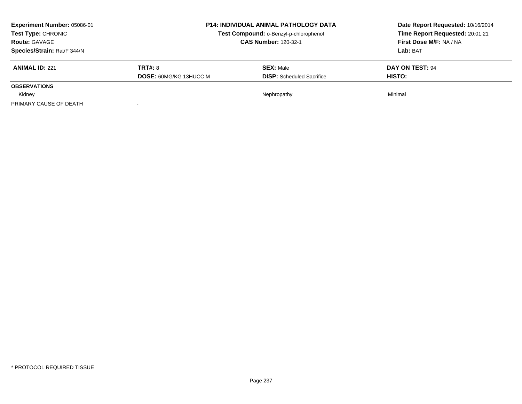| <b>Experiment Number: 05086-01</b><br>Test Type: CHRONIC<br><b>Route: GAVAGE</b><br>Species/Strain: Rat/F 344/N | <b>P14: INDIVIDUAL ANIMAL PATHOLOGY DATA</b><br>Test Compound: o-Benzyl-p-chlorophenol<br><b>CAS Number: 120-32-1</b> |                                                      | Date Report Requested: 10/16/2014<br>Time Report Requested: 20:01:21<br>First Dose M/F: NA / NA<br>Lab: BAT |
|-----------------------------------------------------------------------------------------------------------------|-----------------------------------------------------------------------------------------------------------------------|------------------------------------------------------|-------------------------------------------------------------------------------------------------------------|
| <b>ANIMAL ID: 221</b>                                                                                           | <b>TRT#: 8</b><br><b>DOSE: 60MG/KG 13HUCC M</b>                                                                       | <b>SEX: Male</b><br><b>DISP:</b> Scheduled Sacrifice | DAY ON TEST: 94<br><b>HISTO:</b>                                                                            |
| <b>OBSERVATIONS</b>                                                                                             |                                                                                                                       |                                                      |                                                                                                             |
| Kidney                                                                                                          |                                                                                                                       | Nephropathy                                          | Minimal                                                                                                     |
| PRIMARY CAUSE OF DEATH                                                                                          |                                                                                                                       |                                                      |                                                                                                             |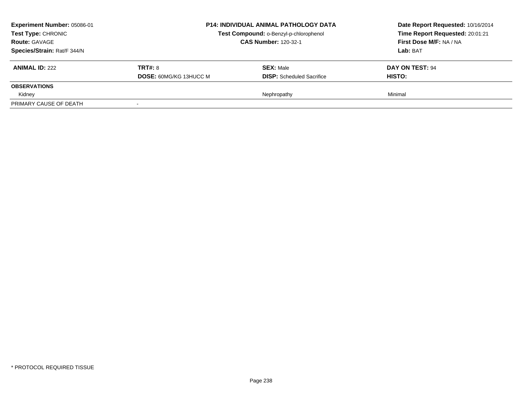| <b>Experiment Number: 05086-01</b><br>Test Type: CHRONIC<br><b>Route: GAVAGE</b><br>Species/Strain: Rat/F 344/N | <b>P14: INDIVIDUAL ANIMAL PATHOLOGY DATA</b><br>Test Compound: o-Benzyl-p-chlorophenol<br><b>CAS Number: 120-32-1</b> |                                                      | Date Report Requested: 10/16/2014<br>Time Report Requested: 20:01:21<br>First Dose M/F: NA / NA<br>Lab: BAT |
|-----------------------------------------------------------------------------------------------------------------|-----------------------------------------------------------------------------------------------------------------------|------------------------------------------------------|-------------------------------------------------------------------------------------------------------------|
| <b>ANIMAL ID: 222</b>                                                                                           | <b>TRT#: 8</b><br><b>DOSE: 60MG/KG 13HUCC M</b>                                                                       | <b>SEX: Male</b><br><b>DISP:</b> Scheduled Sacrifice | DAY ON TEST: 94<br><b>HISTO:</b>                                                                            |
| <b>OBSERVATIONS</b>                                                                                             |                                                                                                                       |                                                      |                                                                                                             |
| Kidney                                                                                                          |                                                                                                                       | Nephropathy                                          | Minimal                                                                                                     |
| PRIMARY CAUSE OF DEATH                                                                                          |                                                                                                                       |                                                      |                                                                                                             |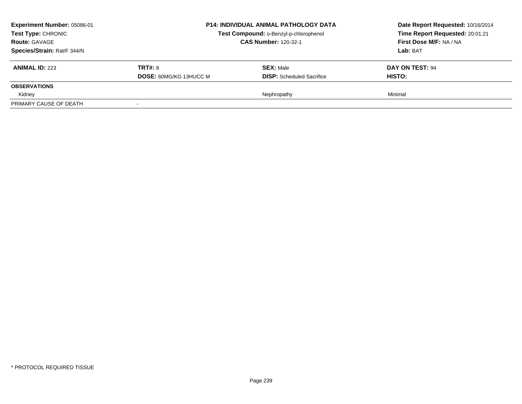| <b>Experiment Number: 05086-01</b><br>Test Type: CHRONIC<br><b>Route: GAVAGE</b><br>Species/Strain: Rat/F 344/N | <b>P14: INDIVIDUAL ANIMAL PATHOLOGY DATA</b><br>Test Compound: o-Benzyl-p-chlorophenol<br><b>CAS Number: 120-32-1</b> |                                                      | Date Report Requested: 10/16/2014<br>Time Report Requested: 20:01:21<br>First Dose M/F: NA / NA<br>Lab: BAT |  |
|-----------------------------------------------------------------------------------------------------------------|-----------------------------------------------------------------------------------------------------------------------|------------------------------------------------------|-------------------------------------------------------------------------------------------------------------|--|
| <b>ANIMAL ID: 223</b>                                                                                           | <b>TRT#: 8</b><br><b>DOSE: 60MG/KG 13HUCC M</b>                                                                       | <b>SEX: Male</b><br><b>DISP:</b> Scheduled Sacrifice | DAY ON TEST: 94<br><b>HISTO:</b>                                                                            |  |
| <b>OBSERVATIONS</b>                                                                                             |                                                                                                                       |                                                      |                                                                                                             |  |
| Kidney                                                                                                          |                                                                                                                       | Nephropathy                                          | Minimal                                                                                                     |  |
| PRIMARY CAUSE OF DEATH                                                                                          |                                                                                                                       |                                                      |                                                                                                             |  |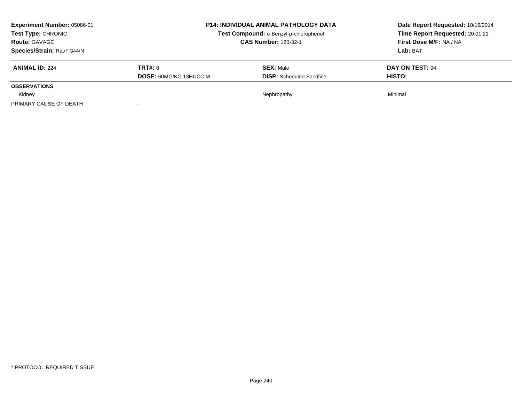| <b>Experiment Number: 05086-01</b><br>Test Type: CHRONIC<br><b>Route: GAVAGE</b><br>Species/Strain: Rat/F 344/N | <b>P14: INDIVIDUAL ANIMAL PATHOLOGY DATA</b><br>Test Compound: o-Benzyl-p-chlorophenol<br><b>CAS Number: 120-32-1</b> |                                                      | Date Report Requested: 10/16/2014<br>Time Report Requested: 20:01:21<br>First Dose M/F: NA / NA<br>Lab: BAT |
|-----------------------------------------------------------------------------------------------------------------|-----------------------------------------------------------------------------------------------------------------------|------------------------------------------------------|-------------------------------------------------------------------------------------------------------------|
| <b>ANIMAL ID: 224</b>                                                                                           | <b>TRT#: 8</b><br><b>DOSE: 60MG/KG 13HUCC M</b>                                                                       | <b>SEX: Male</b><br><b>DISP:</b> Scheduled Sacrifice | DAY ON TEST: 94<br><b>HISTO:</b>                                                                            |
| <b>OBSERVATIONS</b>                                                                                             |                                                                                                                       |                                                      |                                                                                                             |
| Kidney                                                                                                          |                                                                                                                       | Nephropathy                                          | Minimal                                                                                                     |
| PRIMARY CAUSE OF DEATH                                                                                          |                                                                                                                       |                                                      |                                                                                                             |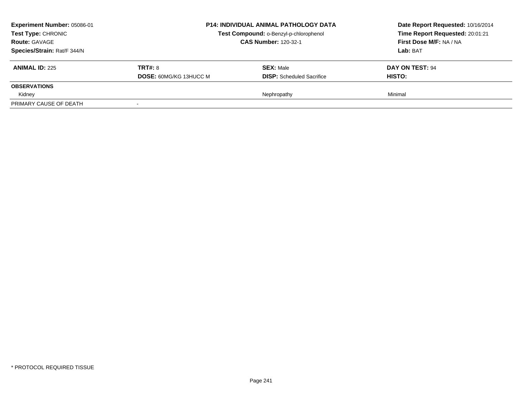| <b>Experiment Number: 05086-01</b><br>Test Type: CHRONIC<br><b>Route: GAVAGE</b><br>Species/Strain: Rat/F 344/N | <b>P14: INDIVIDUAL ANIMAL PATHOLOGY DATA</b><br>Test Compound: o-Benzyl-p-chlorophenol<br><b>CAS Number: 120-32-1</b> |                                                      | Date Report Requested: 10/16/2014<br>Time Report Requested: 20:01:21<br>First Dose M/F: NA / NA<br>Lab: BAT |  |
|-----------------------------------------------------------------------------------------------------------------|-----------------------------------------------------------------------------------------------------------------------|------------------------------------------------------|-------------------------------------------------------------------------------------------------------------|--|
| <b>ANIMAL ID: 225</b>                                                                                           | <b>TRT#: 8</b><br><b>DOSE: 60MG/KG 13HUCC M</b>                                                                       | <b>SEX: Male</b><br><b>DISP:</b> Scheduled Sacrifice | DAY ON TEST: 94<br><b>HISTO:</b>                                                                            |  |
| <b>OBSERVATIONS</b>                                                                                             |                                                                                                                       |                                                      |                                                                                                             |  |
| Kidney                                                                                                          |                                                                                                                       | Nephropathy                                          | Minimal                                                                                                     |  |
| PRIMARY CAUSE OF DEATH                                                                                          |                                                                                                                       |                                                      |                                                                                                             |  |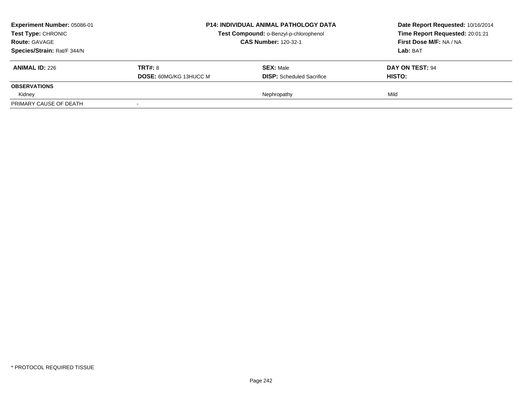| Experiment Number: 05086-01 |                               | <b>P14: INDIVIDUAL ANIMAL PATHOLOGY DATA</b> |                                 |
|-----------------------------|-------------------------------|----------------------------------------------|---------------------------------|
| <b>Test Type: CHRONIC</b>   |                               | Test Compound: o-Benzyl-p-chlorophenol       | Time Report Requested: 20:01:21 |
| <b>Route: GAVAGE</b>        |                               | <b>CAS Number: 120-32-1</b>                  |                                 |
| Species/Strain: Rat/F 344/N |                               |                                              | Lab: BAT                        |
| <b>ANIMAL ID: 226</b>       | <b>TRT#: 8</b>                | <b>SEX: Male</b>                             | DAY ON TEST: 94                 |
|                             | <b>DOSE: 60MG/KG 13HUCC M</b> | <b>DISP:</b> Scheduled Sacrifice             | HISTO:                          |
| <b>OBSERVATIONS</b>         |                               |                                              |                                 |
| Kidney                      |                               | Nephropathy                                  | Mild                            |
| PRIMARY CAUSE OF DEATH      |                               |                                              |                                 |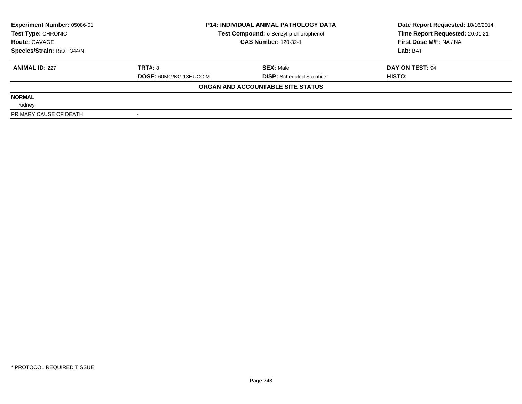| Experiment Number: 05086-01 | <b>P14: INDIVIDUAL ANIMAL PATHOLOGY DATA</b> |                                        | Date Report Requested: 10/16/2014 |  |
|-----------------------------|----------------------------------------------|----------------------------------------|-----------------------------------|--|
| Test Type: CHRONIC          |                                              | Test Compound: o-Benzyl-p-chlorophenol | Time Report Requested: 20:01:21   |  |
| <b>Route: GAVAGE</b>        |                                              | <b>CAS Number: 120-32-1</b>            | First Dose M/F: NA / NA           |  |
| Species/Strain: Rat/F 344/N |                                              |                                        | Lab: BAT                          |  |
| <b>ANIMAL ID: 227</b>       | TRT#: 8                                      | <b>SEX: Male</b>                       | DAY ON TEST: 94                   |  |
|                             | <b>DOSE: 60MG/KG 13HUCC M</b>                | <b>DISP:</b> Scheduled Sacrifice       | HISTO:                            |  |
|                             |                                              | ORGAN AND ACCOUNTABLE SITE STATUS      |                                   |  |
| <b>NORMAL</b>               |                                              |                                        |                                   |  |
| Kidney                      |                                              |                                        |                                   |  |
| PRIMARY CAUSE OF DEATH      |                                              |                                        |                                   |  |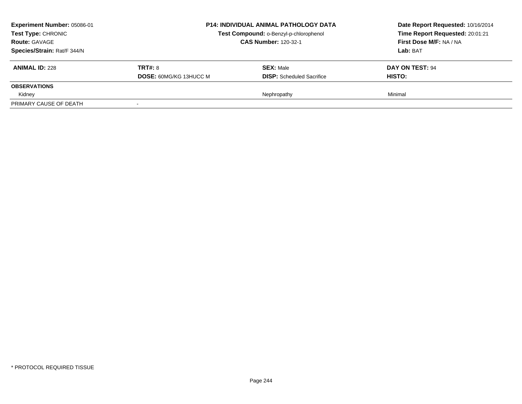| <b>Experiment Number: 05086-01</b><br>Test Type: CHRONIC<br><b>Route: GAVAGE</b><br>Species/Strain: Rat/F 344/N | <b>P14: INDIVIDUAL ANIMAL PATHOLOGY DATA</b><br>Test Compound: o-Benzyl-p-chlorophenol<br><b>CAS Number: 120-32-1</b> |                                                      | Date Report Requested: 10/16/2014<br>Time Report Requested: 20:01:21<br>First Dose M/F: NA / NA<br>Lab: BAT |  |
|-----------------------------------------------------------------------------------------------------------------|-----------------------------------------------------------------------------------------------------------------------|------------------------------------------------------|-------------------------------------------------------------------------------------------------------------|--|
| <b>ANIMAL ID: 228</b>                                                                                           | <b>TRT#: 8</b><br><b>DOSE: 60MG/KG 13HUCC M</b>                                                                       | <b>SEX: Male</b><br><b>DISP:</b> Scheduled Sacrifice | DAY ON TEST: 94<br><b>HISTO:</b>                                                                            |  |
| <b>OBSERVATIONS</b>                                                                                             |                                                                                                                       |                                                      |                                                                                                             |  |
| Kidney                                                                                                          |                                                                                                                       | Nephropathy                                          | Minimal                                                                                                     |  |
| PRIMARY CAUSE OF DEATH                                                                                          |                                                                                                                       |                                                      |                                                                                                             |  |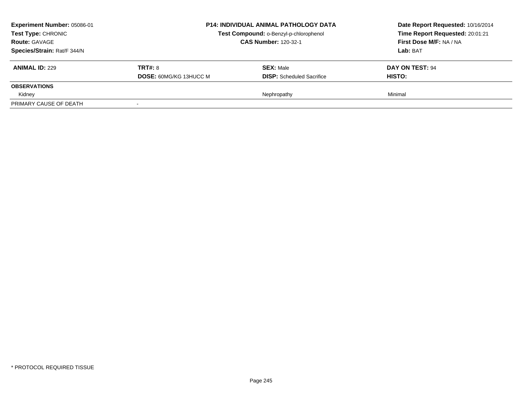| <b>Experiment Number: 05086-01</b><br>Test Type: CHRONIC<br><b>Route: GAVAGE</b><br>Species/Strain: Rat/F 344/N | <b>P14: INDIVIDUAL ANIMAL PATHOLOGY DATA</b><br>Test Compound: o-Benzyl-p-chlorophenol<br><b>CAS Number: 120-32-1</b> |                                                      | Date Report Requested: 10/16/2014<br>Time Report Requested: 20:01:21<br>First Dose M/F: NA / NA<br>Lab: BAT |  |
|-----------------------------------------------------------------------------------------------------------------|-----------------------------------------------------------------------------------------------------------------------|------------------------------------------------------|-------------------------------------------------------------------------------------------------------------|--|
| <b>ANIMAL ID: 229</b>                                                                                           | <b>TRT#: 8</b><br><b>DOSE: 60MG/KG 13HUCC M</b>                                                                       | <b>SEX: Male</b><br><b>DISP:</b> Scheduled Sacrifice | DAY ON TEST: 94<br><b>HISTO:</b>                                                                            |  |
| <b>OBSERVATIONS</b>                                                                                             |                                                                                                                       |                                                      |                                                                                                             |  |
| Kidney                                                                                                          |                                                                                                                       | Nephropathy                                          | Minimal                                                                                                     |  |
| PRIMARY CAUSE OF DEATH                                                                                          |                                                                                                                       |                                                      |                                                                                                             |  |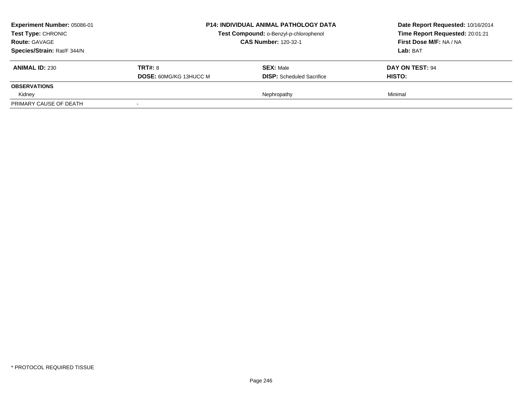| <b>Experiment Number: 05086-01</b><br>Test Type: CHRONIC<br><b>Route: GAVAGE</b><br>Species/Strain: Rat/F 344/N | <b>P14: INDIVIDUAL ANIMAL PATHOLOGY DATA</b><br>Test Compound: o-Benzyl-p-chlorophenol<br><b>CAS Number: 120-32-1</b> |                                                      | Date Report Requested: 10/16/2014<br>Time Report Requested: 20:01:21<br>First Dose M/F: NA / NA<br>Lab: BAT |  |
|-----------------------------------------------------------------------------------------------------------------|-----------------------------------------------------------------------------------------------------------------------|------------------------------------------------------|-------------------------------------------------------------------------------------------------------------|--|
| <b>ANIMAL ID: 230</b>                                                                                           | <b>TRT#: 8</b><br><b>DOSE: 60MG/KG 13HUCC M</b>                                                                       | <b>SEX: Male</b><br><b>DISP:</b> Scheduled Sacrifice | DAY ON TEST: 94<br><b>HISTO:</b>                                                                            |  |
| <b>OBSERVATIONS</b>                                                                                             |                                                                                                                       |                                                      |                                                                                                             |  |
| Kidney                                                                                                          |                                                                                                                       | Nephropathy                                          | Minimal                                                                                                     |  |
| PRIMARY CAUSE OF DEATH                                                                                          |                                                                                                                       |                                                      |                                                                                                             |  |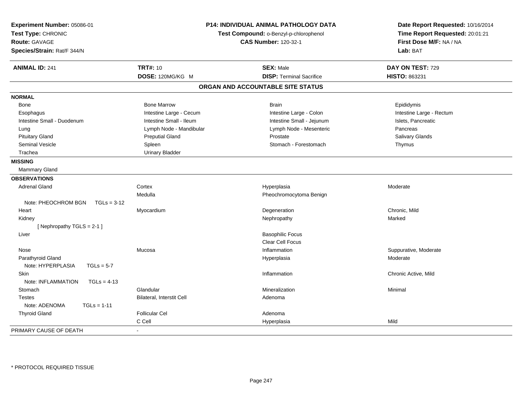| Experiment Number: 05086-01<br>Test Type: CHRONIC<br><b>Route: GAVAGE</b><br>Species/Strain: Rat/F 344/N | <b>P14: INDIVIDUAL ANIMAL PATHOLOGY DATA</b><br>Test Compound: o-Benzyl-p-chlorophenol<br><b>CAS Number: 120-32-1</b> |                                   | Date Report Requested: 10/16/2014<br>Time Report Requested: 20:01:21<br>First Dose M/F: NA / NA<br>Lab: BAT |
|----------------------------------------------------------------------------------------------------------|-----------------------------------------------------------------------------------------------------------------------|-----------------------------------|-------------------------------------------------------------------------------------------------------------|
| <b>ANIMAL ID: 241</b>                                                                                    | <b>TRT#: 10</b>                                                                                                       | <b>SEX: Male</b>                  | DAY ON TEST: 729                                                                                            |
|                                                                                                          | DOSE: 120MG/KG M                                                                                                      | <b>DISP: Terminal Sacrifice</b>   | HISTO: 863231                                                                                               |
|                                                                                                          |                                                                                                                       | ORGAN AND ACCOUNTABLE SITE STATUS |                                                                                                             |
| <b>NORMAL</b>                                                                                            |                                                                                                                       |                                   |                                                                                                             |
| Bone                                                                                                     | <b>Bone Marrow</b>                                                                                                    | <b>Brain</b>                      | Epididymis                                                                                                  |
| Esophagus                                                                                                | Intestine Large - Cecum                                                                                               | Intestine Large - Colon           | Intestine Large - Rectum                                                                                    |
| Intestine Small - Duodenum                                                                               | Intestine Small - Ileum                                                                                               | Intestine Small - Jejunum         | Islets, Pancreatic                                                                                          |
| Lung                                                                                                     | Lymph Node - Mandibular                                                                                               | Lymph Node - Mesenteric           | Pancreas                                                                                                    |
| <b>Pituitary Gland</b>                                                                                   | <b>Preputial Gland</b>                                                                                                | Prostate                          | Salivary Glands                                                                                             |
| <b>Seminal Vesicle</b>                                                                                   | Spleen                                                                                                                | Stomach - Forestomach             | Thymus                                                                                                      |
| Trachea                                                                                                  | <b>Urinary Bladder</b>                                                                                                |                                   |                                                                                                             |
| <b>MISSING</b>                                                                                           |                                                                                                                       |                                   |                                                                                                             |
| Mammary Gland                                                                                            |                                                                                                                       |                                   |                                                                                                             |
| <b>OBSERVATIONS</b>                                                                                      |                                                                                                                       |                                   |                                                                                                             |
| <b>Adrenal Gland</b>                                                                                     | Cortex                                                                                                                | Hyperplasia                       | Moderate                                                                                                    |
|                                                                                                          | Medulla                                                                                                               | Pheochromocytoma Benign           |                                                                                                             |
| Note: PHEOCHROM BGN<br>$TGLs = 3-12$                                                                     |                                                                                                                       |                                   |                                                                                                             |
| Heart                                                                                                    | Myocardium                                                                                                            | Degeneration                      | Chronic, Mild                                                                                               |
| Kidney                                                                                                   |                                                                                                                       | Nephropathy                       | Marked                                                                                                      |
| [Nephropathy TGLS = $2-1$ ]                                                                              |                                                                                                                       |                                   |                                                                                                             |
| Liver                                                                                                    |                                                                                                                       | <b>Basophilic Focus</b>           |                                                                                                             |
|                                                                                                          |                                                                                                                       | Clear Cell Focus                  |                                                                                                             |
| Nose                                                                                                     | Mucosa                                                                                                                | Inflammation                      | Suppurative, Moderate                                                                                       |
| Parathyroid Gland                                                                                        |                                                                                                                       | Hyperplasia                       | Moderate                                                                                                    |
| Note: HYPERPLASIA<br>$TGLs = 5-7$                                                                        |                                                                                                                       |                                   |                                                                                                             |
| Skin                                                                                                     |                                                                                                                       | Inflammation                      | Chronic Active, Mild                                                                                        |
| Note: INFLAMMATION<br>$TGLs = 4-13$                                                                      |                                                                                                                       |                                   |                                                                                                             |
| Stomach                                                                                                  | Glandular                                                                                                             | Mineralization                    | Minimal                                                                                                     |
| <b>Testes</b>                                                                                            | Bilateral, Interstit Cell                                                                                             | Adenoma                           |                                                                                                             |
| Note: ADENOMA<br>$TGLs = 1-11$                                                                           |                                                                                                                       |                                   |                                                                                                             |
| <b>Thyroid Gland</b>                                                                                     | <b>Follicular Cel</b>                                                                                                 | Adenoma                           |                                                                                                             |
|                                                                                                          | C Cell                                                                                                                | Hyperplasia                       | Mild                                                                                                        |
| PRIMARY CAUSE OF DEATH                                                                                   | $\blacksquare$                                                                                                        |                                   |                                                                                                             |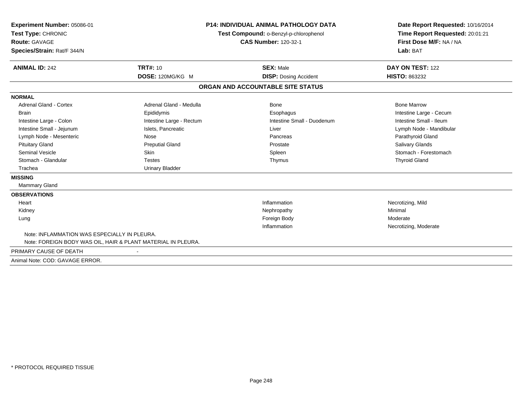| Experiment Number: 05086-01<br>Test Type: CHRONIC<br><b>Route: GAVAGE</b><br>Species/Strain: Rat/F 344/N                                                                                                                                                  | <b>P14: INDIVIDUAL ANIMAL PATHOLOGY DATA</b><br>Test Compound: o-Benzyl-p-chlorophenol<br><b>CAS Number: 120-32-1</b>                                                               |                                                                                                      | Date Report Requested: 10/16/2014<br>Time Report Requested: 20:01:21<br>First Dose M/F: NA / NA<br>Lab: BAT                                                                                  |
|-----------------------------------------------------------------------------------------------------------------------------------------------------------------------------------------------------------------------------------------------------------|-------------------------------------------------------------------------------------------------------------------------------------------------------------------------------------|------------------------------------------------------------------------------------------------------|----------------------------------------------------------------------------------------------------------------------------------------------------------------------------------------------|
| <b>ANIMAL ID: 242</b>                                                                                                                                                                                                                                     | <b>TRT#: 10</b><br>DOSE: 120MG/KG M                                                                                                                                                 | <b>SEX: Male</b><br><b>DISP: Dosing Accident</b>                                                     | DAY ON TEST: 122<br><b>HISTO: 863232</b>                                                                                                                                                     |
|                                                                                                                                                                                                                                                           |                                                                                                                                                                                     | ORGAN AND ACCOUNTABLE SITE STATUS                                                                    |                                                                                                                                                                                              |
| <b>NORMAL</b>                                                                                                                                                                                                                                             |                                                                                                                                                                                     |                                                                                                      |                                                                                                                                                                                              |
| <b>Adrenal Gland - Cortex</b><br>Brain<br>Intestine Large - Colon<br>Intestine Small - Jejunum<br>Lymph Node - Mesenteric<br><b>Pituitary Gland</b><br><b>Seminal Vesicle</b><br>Stomach - Glandular<br>Trachea<br><b>MISSING</b><br><b>Mammary Gland</b> | Adrenal Gland - Medulla<br>Epididymis<br>Intestine Large - Rectum<br>Islets, Pancreatic<br>Nose<br><b>Preputial Gland</b><br><b>Skin</b><br><b>Testes</b><br><b>Urinary Bladder</b> | Bone<br>Esophagus<br>Intestine Small - Duodenum<br>Liver<br>Pancreas<br>Prostate<br>Spleen<br>Thymus | <b>Bone Marrow</b><br>Intestine Large - Cecum<br>Intestine Small - Ileum<br>Lymph Node - Mandibular<br>Parathyroid Gland<br>Salivary Glands<br>Stomach - Forestomach<br><b>Thyroid Gland</b> |
| <b>OBSERVATIONS</b>                                                                                                                                                                                                                                       |                                                                                                                                                                                     |                                                                                                      |                                                                                                                                                                                              |
| Heart                                                                                                                                                                                                                                                     |                                                                                                                                                                                     | Inflammation                                                                                         | Necrotizing, Mild                                                                                                                                                                            |
| Kidney                                                                                                                                                                                                                                                    |                                                                                                                                                                                     | Nephropathy                                                                                          | Minimal                                                                                                                                                                                      |
| Lung                                                                                                                                                                                                                                                      |                                                                                                                                                                                     | Foreign Body<br>Inflammation                                                                         | Moderate<br>Necrotizing, Moderate                                                                                                                                                            |
| Note: INFLAMMATION WAS ESPECIALLY IN PLEURA.<br>Note: FOREIGN BODY WAS OIL, HAIR & PLANT MATERIAL IN PLEURA.                                                                                                                                              |                                                                                                                                                                                     |                                                                                                      |                                                                                                                                                                                              |
| PRIMARY CAUSE OF DEATH                                                                                                                                                                                                                                    |                                                                                                                                                                                     |                                                                                                      |                                                                                                                                                                                              |

Animal Note: COD: GAVAGE ERROR.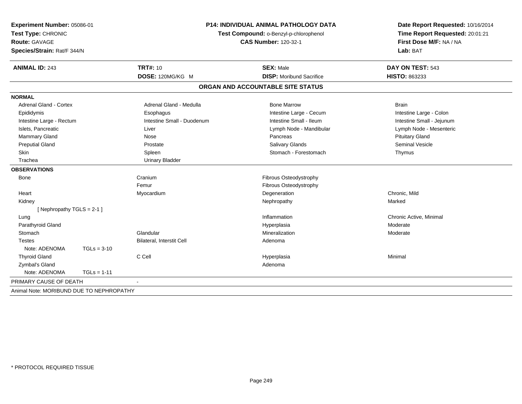| Experiment Number: 05086-01<br>Test Type: CHRONIC<br><b>Route: GAVAGE</b><br>Species/Strain: Rat/F 344/N |               | <b>P14: INDIVIDUAL ANIMAL PATHOLOGY DATA</b><br>Test Compound: o-Benzyl-p-chlorophenol<br><b>CAS Number: 120-32-1</b> |                                   | Date Report Requested: 10/16/2014<br>Time Report Requested: 20:01:21<br>First Dose M/F: NA / NA<br>Lab: BAT |
|----------------------------------------------------------------------------------------------------------|---------------|-----------------------------------------------------------------------------------------------------------------------|-----------------------------------|-------------------------------------------------------------------------------------------------------------|
| <b>ANIMAL ID: 243</b>                                                                                    |               | <b>TRT#: 10</b>                                                                                                       | <b>SEX: Male</b>                  | DAY ON TEST: 543                                                                                            |
|                                                                                                          |               | DOSE: 120MG/KG M                                                                                                      | <b>DISP:</b> Moribund Sacrifice   | HISTO: 863233                                                                                               |
|                                                                                                          |               |                                                                                                                       | ORGAN AND ACCOUNTABLE SITE STATUS |                                                                                                             |
| <b>NORMAL</b>                                                                                            |               |                                                                                                                       |                                   |                                                                                                             |
| <b>Adrenal Gland - Cortex</b>                                                                            |               | Adrenal Gland - Medulla                                                                                               | <b>Bone Marrow</b>                | <b>Brain</b>                                                                                                |
| Epididymis                                                                                               |               | Esophagus                                                                                                             | Intestine Large - Cecum           | Intestine Large - Colon                                                                                     |
| Intestine Large - Rectum                                                                                 |               | Intestine Small - Duodenum                                                                                            | Intestine Small - Ileum           | Intestine Small - Jejunum                                                                                   |
| Islets, Pancreatic                                                                                       |               | Liver                                                                                                                 | Lymph Node - Mandibular           | Lymph Node - Mesenteric                                                                                     |
| Mammary Gland                                                                                            |               | Nose                                                                                                                  | Pancreas                          | <b>Pituitary Gland</b>                                                                                      |
| <b>Preputial Gland</b>                                                                                   |               | Prostate                                                                                                              | <b>Salivary Glands</b>            | <b>Seminal Vesicle</b>                                                                                      |
| Skin                                                                                                     |               | Spleen                                                                                                                | Stomach - Forestomach             | Thymus                                                                                                      |
| Trachea                                                                                                  |               | <b>Urinary Bladder</b>                                                                                                |                                   |                                                                                                             |
| <b>OBSERVATIONS</b>                                                                                      |               |                                                                                                                       |                                   |                                                                                                             |
| <b>Bone</b>                                                                                              |               | Cranium                                                                                                               | Fibrous Osteodystrophy            |                                                                                                             |
|                                                                                                          |               | Femur                                                                                                                 | Fibrous Osteodystrophy            |                                                                                                             |
| Heart                                                                                                    |               | Myocardium                                                                                                            | Degeneration                      | Chronic, Mild                                                                                               |
| Kidney                                                                                                   |               |                                                                                                                       | Nephropathy                       | Marked                                                                                                      |
| [Nephropathy TGLS = $2-1$ ]                                                                              |               |                                                                                                                       |                                   |                                                                                                             |
| Lung                                                                                                     |               |                                                                                                                       | Inflammation                      | Chronic Active, Minimal                                                                                     |
| Parathyroid Gland                                                                                        |               |                                                                                                                       | Hyperplasia                       | Moderate                                                                                                    |
| Stomach                                                                                                  |               | Glandular                                                                                                             | Mineralization                    | Moderate                                                                                                    |
| <b>Testes</b>                                                                                            |               | Bilateral, Interstit Cell                                                                                             | Adenoma                           |                                                                                                             |
| Note: ADENOMA                                                                                            | $TGLs = 3-10$ |                                                                                                                       |                                   |                                                                                                             |
| <b>Thyroid Gland</b>                                                                                     |               | C Cell                                                                                                                | Hyperplasia                       | Minimal                                                                                                     |
| Zymbal's Gland                                                                                           |               |                                                                                                                       | Adenoma                           |                                                                                                             |
| Note: ADENOMA                                                                                            | $TGLs = 1-11$ |                                                                                                                       |                                   |                                                                                                             |
| PRIMARY CAUSE OF DEATH                                                                                   |               |                                                                                                                       |                                   |                                                                                                             |
| Animal Note: MORIBUND DUE TO NEPHROPATHY                                                                 |               |                                                                                                                       |                                   |                                                                                                             |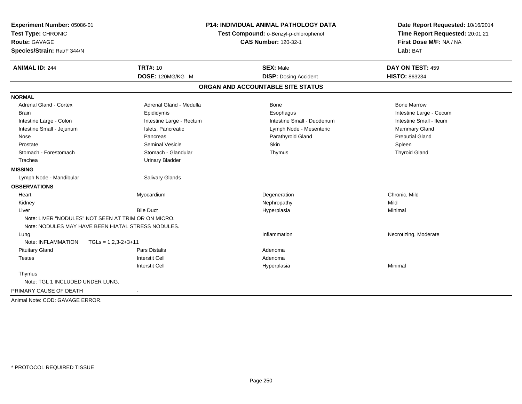| Experiment Number: 05086-01<br>Test Type: CHRONIC<br>Route: GAVAGE<br>Species/Strain: Rat/F 344/N |                                                     | <b>P14: INDIVIDUAL ANIMAL PATHOLOGY DATA</b><br>Test Compound: o-Benzyl-p-chlorophenol<br><b>CAS Number: 120-32-1</b> | Date Report Requested: 10/16/2014<br>Time Report Requested: 20:01:21<br>First Dose M/F: NA / NA<br>Lab: BAT |  |
|---------------------------------------------------------------------------------------------------|-----------------------------------------------------|-----------------------------------------------------------------------------------------------------------------------|-------------------------------------------------------------------------------------------------------------|--|
| <b>ANIMAL ID: 244</b>                                                                             | <b>TRT#: 10</b>                                     | <b>SEX: Male</b>                                                                                                      | DAY ON TEST: 459                                                                                            |  |
|                                                                                                   | DOSE: 120MG/KG M                                    | <b>DISP: Dosing Accident</b>                                                                                          | HISTO: 863234                                                                                               |  |
|                                                                                                   |                                                     | ORGAN AND ACCOUNTABLE SITE STATUS                                                                                     |                                                                                                             |  |
| <b>NORMAL</b>                                                                                     |                                                     |                                                                                                                       |                                                                                                             |  |
| <b>Adrenal Gland - Cortex</b>                                                                     | Adrenal Gland - Medulla                             | <b>Bone</b>                                                                                                           | <b>Bone Marrow</b>                                                                                          |  |
| <b>Brain</b>                                                                                      | Epididymis                                          | Esophagus                                                                                                             | Intestine Large - Cecum                                                                                     |  |
| Intestine Large - Colon                                                                           | Intestine Large - Rectum                            | Intestine Small - Duodenum                                                                                            | Intestine Small - Ileum                                                                                     |  |
| Intestine Small - Jejunum                                                                         | Islets, Pancreatic                                  | Lymph Node - Mesenteric                                                                                               | Mammary Gland                                                                                               |  |
| Nose                                                                                              | Pancreas                                            | Parathyroid Gland                                                                                                     | <b>Preputial Gland</b>                                                                                      |  |
| Prostate                                                                                          | <b>Seminal Vesicle</b>                              | Skin                                                                                                                  | Spleen                                                                                                      |  |
| Stomach - Forestomach                                                                             | Stomach - Glandular                                 | Thymus                                                                                                                | <b>Thyroid Gland</b>                                                                                        |  |
| Trachea                                                                                           | <b>Urinary Bladder</b>                              |                                                                                                                       |                                                                                                             |  |
| <b>MISSING</b>                                                                                    |                                                     |                                                                                                                       |                                                                                                             |  |
| Lymph Node - Mandibular                                                                           | <b>Salivary Glands</b>                              |                                                                                                                       |                                                                                                             |  |
| <b>OBSERVATIONS</b>                                                                               |                                                     |                                                                                                                       |                                                                                                             |  |
| Heart                                                                                             | Myocardium                                          | Degeneration                                                                                                          | Chronic, Mild                                                                                               |  |
| Kidney                                                                                            |                                                     | Nephropathy                                                                                                           | Mild                                                                                                        |  |
| Liver                                                                                             | <b>Bile Duct</b>                                    | Hyperplasia                                                                                                           | Minimal                                                                                                     |  |
|                                                                                                   | Note: LIVER "NODULES" NOT SEEN AT TRIM OR ON MICRO. |                                                                                                                       |                                                                                                             |  |
|                                                                                                   | Note: NODULES MAY HAVE BEEN HIATAL STRESS NODULES.  |                                                                                                                       |                                                                                                             |  |
| Lung                                                                                              |                                                     | Inflammation                                                                                                          | Necrotizing, Moderate                                                                                       |  |
| Note: INFLAMMATION                                                                                | $TGLS = 1,2,3-2+3+11$                               |                                                                                                                       |                                                                                                             |  |
| <b>Pituitary Gland</b>                                                                            | Pars Distalis                                       | Adenoma                                                                                                               |                                                                                                             |  |
| <b>Testes</b>                                                                                     | <b>Interstit Cell</b>                               | Adenoma                                                                                                               |                                                                                                             |  |
|                                                                                                   | <b>Interstit Cell</b>                               | Hyperplasia                                                                                                           | Minimal                                                                                                     |  |
| Thymus                                                                                            |                                                     |                                                                                                                       |                                                                                                             |  |
| Note: TGL 1 INCLUDED UNDER LUNG.                                                                  |                                                     |                                                                                                                       |                                                                                                             |  |
| PRIMARY CAUSE OF DEATH                                                                            | $\sim$                                              |                                                                                                                       |                                                                                                             |  |
| Animal Note: COD: GAVAGE ERROR.                                                                   |                                                     |                                                                                                                       |                                                                                                             |  |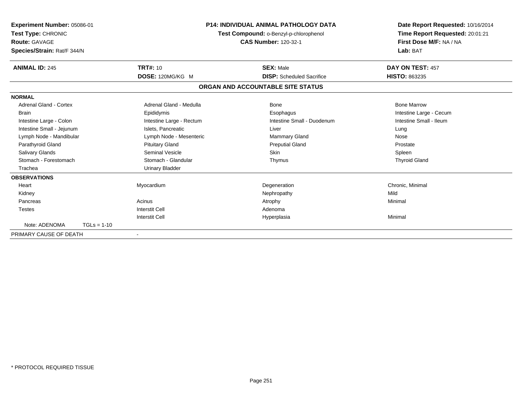| Experiment Number: 05086-01<br>Test Type: CHRONIC<br><b>Route: GAVAGE</b><br>Species/Strain: Rat/F 344/N |               | <b>P14: INDIVIDUAL ANIMAL PATHOLOGY DATA</b><br>Test Compound: o-Benzyl-p-chlorophenol<br><b>CAS Number: 120-32-1</b> |                                   | Date Report Requested: 10/16/2014<br>Time Report Requested: 20:01:21<br>First Dose M/F: NA / NA<br>Lab: BAT |
|----------------------------------------------------------------------------------------------------------|---------------|-----------------------------------------------------------------------------------------------------------------------|-----------------------------------|-------------------------------------------------------------------------------------------------------------|
| <b>ANIMAL ID: 245</b>                                                                                    |               | <b>TRT#: 10</b>                                                                                                       | <b>SEX: Male</b>                  | DAY ON TEST: 457                                                                                            |
|                                                                                                          |               | DOSE: 120MG/KG M                                                                                                      | <b>DISP:</b> Scheduled Sacrifice  | <b>HISTO: 863235</b>                                                                                        |
|                                                                                                          |               |                                                                                                                       | ORGAN AND ACCOUNTABLE SITE STATUS |                                                                                                             |
| <b>NORMAL</b>                                                                                            |               |                                                                                                                       |                                   |                                                                                                             |
| <b>Adrenal Gland - Cortex</b>                                                                            |               | Adrenal Gland - Medulla                                                                                               | <b>Bone</b>                       | <b>Bone Marrow</b>                                                                                          |
| <b>Brain</b>                                                                                             |               | Epididymis                                                                                                            | Esophagus                         | Intestine Large - Cecum                                                                                     |
| Intestine Large - Colon                                                                                  |               | Intestine Large - Rectum                                                                                              | Intestine Small - Duodenum        | Intestine Small - Ileum                                                                                     |
| Intestine Small - Jejunum                                                                                |               | Islets, Pancreatic                                                                                                    | Liver                             | Lung                                                                                                        |
| Lymph Node - Mandibular                                                                                  |               | Lymph Node - Mesenteric                                                                                               | Mammary Gland                     | Nose                                                                                                        |
| Parathyroid Gland                                                                                        |               | <b>Pituitary Gland</b>                                                                                                | <b>Preputial Gland</b>            | Prostate                                                                                                    |
| <b>Salivary Glands</b>                                                                                   |               | <b>Seminal Vesicle</b>                                                                                                | <b>Skin</b>                       | Spleen                                                                                                      |
| Stomach - Forestomach                                                                                    |               | Stomach - Glandular                                                                                                   | Thymus                            | <b>Thyroid Gland</b>                                                                                        |
| Trachea                                                                                                  |               | <b>Urinary Bladder</b>                                                                                                |                                   |                                                                                                             |
| <b>OBSERVATIONS</b>                                                                                      |               |                                                                                                                       |                                   |                                                                                                             |
| Heart                                                                                                    |               | Myocardium                                                                                                            | Degeneration                      | Chronic, Minimal                                                                                            |
| Kidney                                                                                                   |               |                                                                                                                       | Nephropathy                       | Mild                                                                                                        |
| Pancreas                                                                                                 |               | Acinus                                                                                                                | Atrophy                           | Minimal                                                                                                     |
| <b>Testes</b>                                                                                            |               | <b>Interstit Cell</b>                                                                                                 | Adenoma                           |                                                                                                             |
|                                                                                                          |               | <b>Interstit Cell</b>                                                                                                 | Hyperplasia                       | Minimal                                                                                                     |
| Note: ADENOMA                                                                                            | $TGLs = 1-10$ |                                                                                                                       |                                   |                                                                                                             |
| PRIMARY CAUSE OF DEATH                                                                                   |               |                                                                                                                       |                                   |                                                                                                             |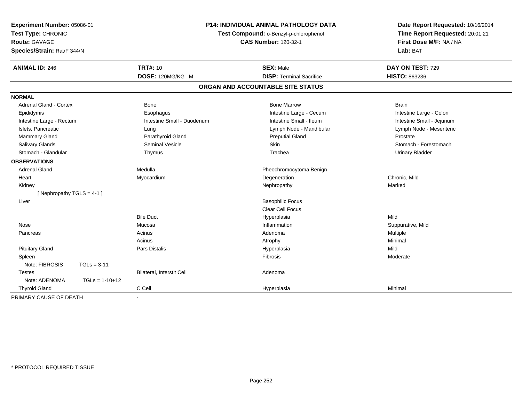| Experiment Number: 05086-01<br>Test Type: CHRONIC<br>Route: GAVAGE<br>Species/Strain: Rat/F 344/N |                            | <b>P14: INDIVIDUAL ANIMAL PATHOLOGY DATA</b><br>Test Compound: o-Benzyl-p-chlorophenol<br><b>CAS Number: 120-32-1</b> | Date Report Requested: 10/16/2014<br>Time Report Requested: 20:01:21<br>First Dose M/F: NA / NA<br>Lab: BAT |  |
|---------------------------------------------------------------------------------------------------|----------------------------|-----------------------------------------------------------------------------------------------------------------------|-------------------------------------------------------------------------------------------------------------|--|
| <b>ANIMAL ID: 246</b>                                                                             | <b>TRT#: 10</b>            | <b>SEX: Male</b>                                                                                                      | DAY ON TEST: 729                                                                                            |  |
|                                                                                                   | DOSE: 120MG/KG M           | <b>DISP: Terminal Sacrifice</b>                                                                                       | <b>HISTO: 863236</b>                                                                                        |  |
|                                                                                                   |                            | ORGAN AND ACCOUNTABLE SITE STATUS                                                                                     |                                                                                                             |  |
| <b>NORMAL</b>                                                                                     |                            |                                                                                                                       |                                                                                                             |  |
| <b>Adrenal Gland - Cortex</b>                                                                     | <b>Bone</b>                | <b>Bone Marrow</b>                                                                                                    | <b>Brain</b>                                                                                                |  |
| Epididymis                                                                                        | Esophagus                  | Intestine Large - Cecum                                                                                               | Intestine Large - Colon                                                                                     |  |
| Intestine Large - Rectum                                                                          | Intestine Small - Duodenum | Intestine Small - Ileum                                                                                               | Intestine Small - Jejunum                                                                                   |  |
| Islets, Pancreatic                                                                                | Lung                       | Lymph Node - Mandibular                                                                                               | Lymph Node - Mesenteric                                                                                     |  |
| Mammary Gland                                                                                     | Parathyroid Gland          | <b>Preputial Gland</b>                                                                                                | Prostate                                                                                                    |  |
| <b>Salivary Glands</b>                                                                            | <b>Seminal Vesicle</b>     | Skin                                                                                                                  | Stomach - Forestomach                                                                                       |  |
| Stomach - Glandular                                                                               | Thymus                     | Trachea                                                                                                               | <b>Urinary Bladder</b>                                                                                      |  |
| <b>OBSERVATIONS</b>                                                                               |                            |                                                                                                                       |                                                                                                             |  |
| Adrenal Gland                                                                                     | Medulla                    | Pheochromocytoma Benign                                                                                               |                                                                                                             |  |
| Heart                                                                                             | Myocardium                 | Degeneration                                                                                                          | Chronic, Mild                                                                                               |  |
| Kidney                                                                                            |                            | Nephropathy                                                                                                           | Marked                                                                                                      |  |
| [ Nephropathy TGLS = $4-1$ ]                                                                      |                            |                                                                                                                       |                                                                                                             |  |
| Liver                                                                                             |                            | <b>Basophilic Focus</b>                                                                                               |                                                                                                             |  |
|                                                                                                   |                            | <b>Clear Cell Focus</b>                                                                                               |                                                                                                             |  |
|                                                                                                   | <b>Bile Duct</b>           | Hyperplasia                                                                                                           | Mild                                                                                                        |  |
| Nose                                                                                              | Mucosa                     | Inflammation                                                                                                          | Suppurative, Mild                                                                                           |  |
| Pancreas                                                                                          | Acinus                     | Adenoma                                                                                                               | Multiple                                                                                                    |  |
|                                                                                                   | Acinus                     | Atrophy                                                                                                               | Minimal                                                                                                     |  |
| <b>Pituitary Gland</b>                                                                            | Pars Distalis              | Hyperplasia                                                                                                           | Mild                                                                                                        |  |
| Spleen                                                                                            |                            | Fibrosis                                                                                                              | Moderate                                                                                                    |  |
| Note: FIBROSIS<br>$TGLs = 3-11$                                                                   |                            |                                                                                                                       |                                                                                                             |  |
| <b>Testes</b>                                                                                     | Bilateral, Interstit Cell  | Adenoma                                                                                                               |                                                                                                             |  |
| Note: ADENOMA                                                                                     | $TGLs = 1-10+12$           |                                                                                                                       |                                                                                                             |  |
| <b>Thyroid Gland</b>                                                                              | C Cell                     | Hyperplasia                                                                                                           | Minimal                                                                                                     |  |
| PRIMARY CAUSE OF DEATH                                                                            |                            |                                                                                                                       |                                                                                                             |  |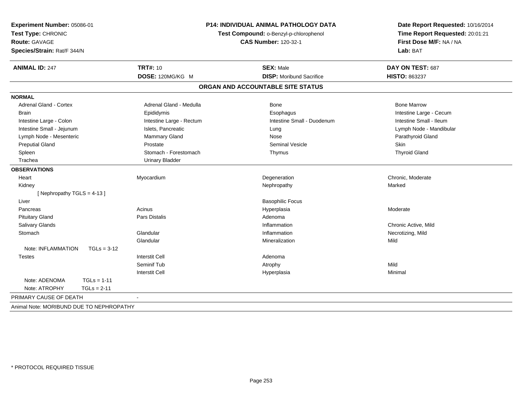| Experiment Number: 05086-01<br>Test Type: CHRONIC<br>Route: GAVAGE<br>Species/Strain: Rat/F 344/N | P14: INDIVIDUAL ANIMAL PATHOLOGY DATA<br>Test Compound: o-Benzyl-p-chlorophenol<br><b>CAS Number: 120-32-1</b> |                                   | Date Report Requested: 10/16/2014<br>Time Report Requested: 20:01:21<br>First Dose M/F: NA / NA<br>Lab: BAT |  |
|---------------------------------------------------------------------------------------------------|----------------------------------------------------------------------------------------------------------------|-----------------------------------|-------------------------------------------------------------------------------------------------------------|--|
| <b>ANIMAL ID: 247</b>                                                                             | <b>TRT#: 10</b>                                                                                                | <b>SEX: Male</b>                  | DAY ON TEST: 687                                                                                            |  |
|                                                                                                   | DOSE: 120MG/KG M                                                                                               | <b>DISP:</b> Moribund Sacrifice   | <b>HISTO: 863237</b>                                                                                        |  |
|                                                                                                   |                                                                                                                | ORGAN AND ACCOUNTABLE SITE STATUS |                                                                                                             |  |
| <b>NORMAL</b>                                                                                     |                                                                                                                |                                   |                                                                                                             |  |
| <b>Adrenal Gland - Cortex</b>                                                                     | Adrenal Gland - Medulla                                                                                        | <b>Bone</b>                       | <b>Bone Marrow</b>                                                                                          |  |
| <b>Brain</b>                                                                                      | Epididymis                                                                                                     | Esophagus                         | Intestine Large - Cecum                                                                                     |  |
| Intestine Large - Colon                                                                           | Intestine Large - Rectum                                                                                       | Intestine Small - Duodenum        | Intestine Small - Ileum                                                                                     |  |
| Intestine Small - Jejunum                                                                         | Islets, Pancreatic                                                                                             | Lung                              | Lymph Node - Mandibular                                                                                     |  |
| Lymph Node - Mesenteric                                                                           | <b>Mammary Gland</b>                                                                                           | Nose                              | Parathyroid Gland                                                                                           |  |
| <b>Preputial Gland</b>                                                                            | Prostate                                                                                                       | <b>Seminal Vesicle</b>            | Skin                                                                                                        |  |
| Spleen                                                                                            | Stomach - Forestomach                                                                                          | Thymus                            | <b>Thyroid Gland</b>                                                                                        |  |
| Trachea                                                                                           | <b>Urinary Bladder</b>                                                                                         |                                   |                                                                                                             |  |
| <b>OBSERVATIONS</b>                                                                               |                                                                                                                |                                   |                                                                                                             |  |
| Heart                                                                                             | Myocardium                                                                                                     | Degeneration                      | Chronic, Moderate                                                                                           |  |
| Kidney                                                                                            |                                                                                                                | Nephropathy                       | Marked                                                                                                      |  |
| [Nephropathy TGLS = 4-13]                                                                         |                                                                                                                |                                   |                                                                                                             |  |
| Liver                                                                                             |                                                                                                                | <b>Basophilic Focus</b>           |                                                                                                             |  |
| Pancreas                                                                                          | Acinus                                                                                                         | Hyperplasia                       | Moderate                                                                                                    |  |
| <b>Pituitary Gland</b>                                                                            | Pars Distalis                                                                                                  | Adenoma                           |                                                                                                             |  |
| <b>Salivary Glands</b>                                                                            |                                                                                                                | Inflammation                      | Chronic Active, Mild                                                                                        |  |
| Stomach                                                                                           | Glandular                                                                                                      | Inflammation                      | Necrotizing, Mild                                                                                           |  |
|                                                                                                   | Glandular                                                                                                      | Mineralization                    | Mild                                                                                                        |  |
| Note: INFLAMMATION<br>$TGLs = 3-12$                                                               |                                                                                                                |                                   |                                                                                                             |  |
| <b>Testes</b>                                                                                     | <b>Interstit Cell</b>                                                                                          | Adenoma                           |                                                                                                             |  |
|                                                                                                   | Seminif Tub                                                                                                    | Atrophy                           | Mild                                                                                                        |  |
|                                                                                                   | <b>Interstit Cell</b>                                                                                          | Hyperplasia                       | Minimal                                                                                                     |  |
| Note: ADENOMA<br>$TGLs = 1-11$                                                                    |                                                                                                                |                                   |                                                                                                             |  |
| Note: ATROPHY<br>$TGLs = 2-11$                                                                    |                                                                                                                |                                   |                                                                                                             |  |
| PRIMARY CAUSE OF DEATH                                                                            |                                                                                                                |                                   |                                                                                                             |  |
| Animal Note: MORIBUND DUE TO NEPHROPATHY                                                          |                                                                                                                |                                   |                                                                                                             |  |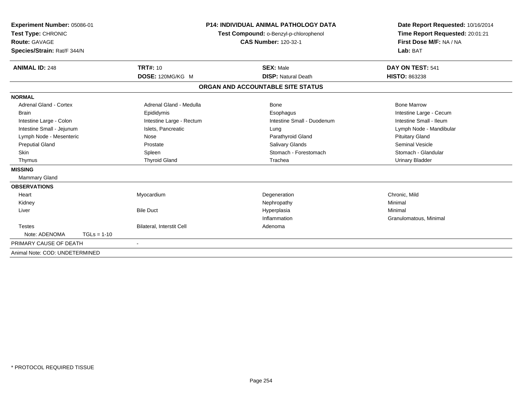| Experiment Number: 05086-01<br>Test Type: CHRONIC<br><b>Route: GAVAGE</b><br>Species/Strain: Rat/F 344/N<br><b>ANIMAL ID: 248</b> | <b>TRT#: 10</b>           | <b>P14: INDIVIDUAL ANIMAL PATHOLOGY DATA</b><br>Test Compound: o-Benzyl-p-chlorophenol<br><b>CAS Number: 120-32-1</b><br><b>SEX: Male</b> | Date Report Requested: 10/16/2014<br>Time Report Requested: 20:01:21<br>First Dose M/F: NA / NA<br>Lab: BAT<br>DAY ON TEST: 541 |
|-----------------------------------------------------------------------------------------------------------------------------------|---------------------------|-------------------------------------------------------------------------------------------------------------------------------------------|---------------------------------------------------------------------------------------------------------------------------------|
|                                                                                                                                   | DOSE: 120MG/KG M          | <b>DISP: Natural Death</b>                                                                                                                | <b>HISTO: 863238</b>                                                                                                            |
|                                                                                                                                   |                           | ORGAN AND ACCOUNTABLE SITE STATUS                                                                                                         |                                                                                                                                 |
| <b>NORMAL</b>                                                                                                                     |                           |                                                                                                                                           |                                                                                                                                 |
| <b>Adrenal Gland - Cortex</b>                                                                                                     | Adrenal Gland - Medulla   | Bone                                                                                                                                      | <b>Bone Marrow</b>                                                                                                              |
| <b>Brain</b>                                                                                                                      | Epididymis                | Esophagus                                                                                                                                 | Intestine Large - Cecum                                                                                                         |
| Intestine Large - Colon                                                                                                           | Intestine Large - Rectum  | Intestine Small - Duodenum                                                                                                                | Intestine Small - Ileum                                                                                                         |
| Intestine Small - Jejunum                                                                                                         | Islets, Pancreatic        | Lung                                                                                                                                      | Lymph Node - Mandibular                                                                                                         |
| Lymph Node - Mesenteric                                                                                                           | Nose                      | Parathyroid Gland                                                                                                                         | <b>Pituitary Gland</b>                                                                                                          |
| <b>Preputial Gland</b>                                                                                                            | Prostate                  | <b>Salivary Glands</b>                                                                                                                    | <b>Seminal Vesicle</b>                                                                                                          |
| <b>Skin</b>                                                                                                                       | Spleen                    | Stomach - Forestomach                                                                                                                     | Stomach - Glandular                                                                                                             |
| Thymus                                                                                                                            | <b>Thyroid Gland</b>      | Trachea                                                                                                                                   | <b>Urinary Bladder</b>                                                                                                          |
| <b>MISSING</b>                                                                                                                    |                           |                                                                                                                                           |                                                                                                                                 |
| Mammary Gland                                                                                                                     |                           |                                                                                                                                           |                                                                                                                                 |
| <b>OBSERVATIONS</b>                                                                                                               |                           |                                                                                                                                           |                                                                                                                                 |
| Heart                                                                                                                             | Myocardium                | Degeneration                                                                                                                              | Chronic, Mild                                                                                                                   |
| Kidney                                                                                                                            |                           | Nephropathy                                                                                                                               | Minimal                                                                                                                         |
| Liver                                                                                                                             | <b>Bile Duct</b>          | Hyperplasia                                                                                                                               | Minimal                                                                                                                         |
|                                                                                                                                   |                           | Inflammation                                                                                                                              | Granulomatous, Minimal                                                                                                          |
| <b>Testes</b>                                                                                                                     | Bilateral, Interstit Cell | Adenoma                                                                                                                                   |                                                                                                                                 |
| Note: ADENOMA<br>$TGLs = 1-10$                                                                                                    |                           |                                                                                                                                           |                                                                                                                                 |
| PRIMARY CAUSE OF DEATH                                                                                                            | ÷                         |                                                                                                                                           |                                                                                                                                 |
| Animal Note: COD: UNDETERMINED                                                                                                    |                           |                                                                                                                                           |                                                                                                                                 |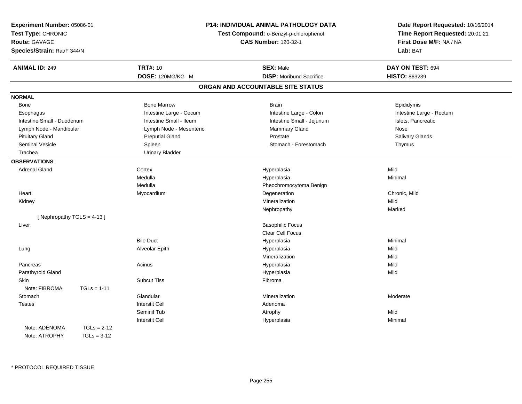| Experiment Number: 05086-01                                               |               | <b>P14: INDIVIDUAL ANIMAL PATHOLOGY DATA</b>                          |                                   | Date Report Requested: 10/16/2014                          |                  |
|---------------------------------------------------------------------------|---------------|-----------------------------------------------------------------------|-----------------------------------|------------------------------------------------------------|------------------|
| Test Type: CHRONIC<br><b>Route: GAVAGE</b><br>Species/Strain: Rat/F 344/N |               | Test Compound: o-Benzyl-p-chlorophenol<br><b>CAS Number: 120-32-1</b> |                                   | Time Report Requested: 20:01:21<br>First Dose M/F: NA / NA |                  |
|                                                                           |               |                                                                       |                                   |                                                            |                  |
|                                                                           |               | <b>ANIMAL ID: 249</b>                                                 |                                   | <b>TRT#: 10</b>                                            | <b>SEX: Male</b> |
|                                                                           |               | DOSE: 120MG/KG M                                                      | <b>DISP:</b> Moribund Sacrifice   | HISTO: 863239                                              |                  |
|                                                                           |               |                                                                       | ORGAN AND ACCOUNTABLE SITE STATUS |                                                            |                  |
| <b>NORMAL</b>                                                             |               |                                                                       |                                   |                                                            |                  |
| Bone                                                                      |               | <b>Bone Marrow</b>                                                    | <b>Brain</b>                      | Epididymis                                                 |                  |
| Esophagus                                                                 |               | Intestine Large - Cecum                                               | Intestine Large - Colon           | Intestine Large - Rectum                                   |                  |
| Intestine Small - Duodenum                                                |               | Intestine Small - Ileum                                               | Intestine Small - Jejunum         | Islets, Pancreatic                                         |                  |
| Lymph Node - Mandibular                                                   |               | Lymph Node - Mesenteric                                               | Mammary Gland                     | Nose                                                       |                  |
| <b>Pituitary Gland</b>                                                    |               | <b>Preputial Gland</b>                                                | Prostate                          | Salivary Glands                                            |                  |
| <b>Seminal Vesicle</b>                                                    |               | Spleen                                                                | Stomach - Forestomach             | Thymus                                                     |                  |
| Trachea                                                                   |               | <b>Urinary Bladder</b>                                                |                                   |                                                            |                  |
| <b>OBSERVATIONS</b>                                                       |               |                                                                       |                                   |                                                            |                  |
| <b>Adrenal Gland</b>                                                      |               | Cortex                                                                | Hyperplasia                       | Mild                                                       |                  |
|                                                                           |               | Medulla                                                               | Hyperplasia                       | Minimal                                                    |                  |
|                                                                           |               | Medulla                                                               | Pheochromocytoma Benign           |                                                            |                  |
| Heart                                                                     |               | Myocardium                                                            | Degeneration                      | Chronic, Mild                                              |                  |
| Kidney                                                                    |               |                                                                       | Mineralization                    | Mild                                                       |                  |
|                                                                           |               |                                                                       | Nephropathy                       | Marked                                                     |                  |
| [Nephropathy TGLS = 4-13]                                                 |               |                                                                       |                                   |                                                            |                  |
| Liver                                                                     |               |                                                                       | <b>Basophilic Focus</b>           |                                                            |                  |
|                                                                           |               |                                                                       | Clear Cell Focus                  |                                                            |                  |
|                                                                           |               | <b>Bile Duct</b>                                                      | Hyperplasia                       | Minimal                                                    |                  |
| Lung                                                                      |               | Alveolar Epith                                                        | Hyperplasia                       | Mild                                                       |                  |
|                                                                           |               |                                                                       | Mineralization                    | Mild                                                       |                  |
| Pancreas                                                                  |               | Acinus                                                                | Hyperplasia                       | Mild                                                       |                  |
| Parathyroid Gland                                                         |               |                                                                       | Hyperplasia                       | Mild                                                       |                  |
| Skin                                                                      |               | <b>Subcut Tiss</b>                                                    | Fibroma                           |                                                            |                  |
| Note: FIBROMA                                                             | $TGLs = 1-11$ |                                                                       |                                   |                                                            |                  |
| Stomach                                                                   |               | Glandular                                                             | Mineralization                    | Moderate                                                   |                  |
| <b>Testes</b>                                                             |               | <b>Interstit Cell</b>                                                 | Adenoma                           |                                                            |                  |
|                                                                           |               | Seminif Tub                                                           | Atrophy                           | Mild                                                       |                  |
|                                                                           |               | <b>Interstit Cell</b>                                                 | Hyperplasia                       | Minimal                                                    |                  |
| Note: ADENOMA                                                             | $TGLs = 2-12$ |                                                                       |                                   |                                                            |                  |
| Note: ATROPHY                                                             | $TGLs = 3-12$ |                                                                       |                                   |                                                            |                  |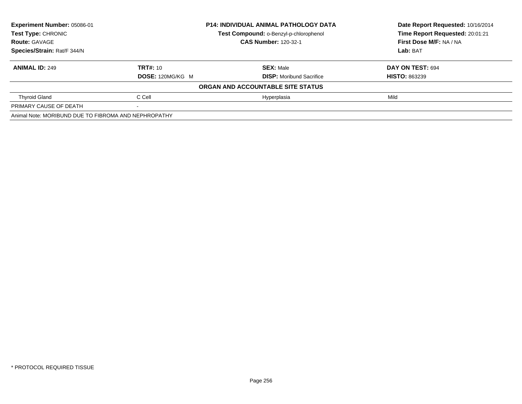| Experiment Number: 05086-01                          | <b>P14: INDIVIDUAL ANIMAL PATHOLOGY DATA</b> |                                        | Date Report Requested: 10/16/2014 |
|------------------------------------------------------|----------------------------------------------|----------------------------------------|-----------------------------------|
| Test Type: CHRONIC                                   |                                              | Test Compound: o-Benzyl-p-chlorophenol | Time Report Requested: 20:01:21   |
| <b>Route: GAVAGE</b>                                 |                                              | <b>CAS Number: 120-32-1</b>            | First Dose M/F: NA / NA           |
| Species/Strain: Rat/F 344/N                          |                                              |                                        | Lab: BAT                          |
| <b>ANIMAL ID: 249</b>                                | <b>TRT#: 10</b>                              | <b>SEX: Male</b>                       | DAY ON TEST: 694                  |
|                                                      | DOSE: 120MG/KG M                             | <b>DISP:</b> Moribund Sacrifice        | <b>HISTO: 863239</b>              |
|                                                      |                                              | ORGAN AND ACCOUNTABLE SITE STATUS      |                                   |
| <b>Thyroid Gland</b>                                 | C Cell                                       | Hyperplasia                            | Mild                              |
| PRIMARY CAUSE OF DEATH                               |                                              |                                        |                                   |
| Animal Note: MORIBUND DUE TO FIBROMA AND NEPHROPATHY |                                              |                                        |                                   |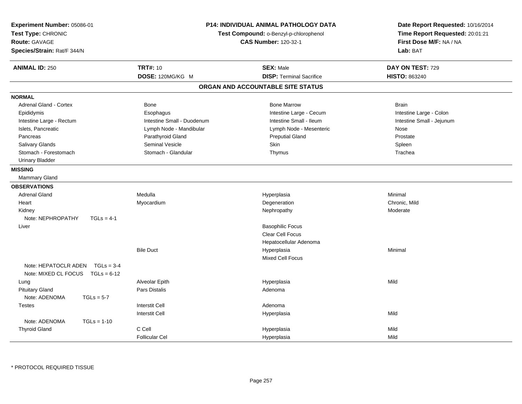| Experiment Number: 05086-01<br>Test Type: CHRONIC<br>Route: GAVAGE<br>Species/Strain: Rat/F 344/N | <b>P14: INDIVIDUAL ANIMAL PATHOLOGY DATA</b><br>Test Compound: o-Benzyl-p-chlorophenol<br><b>CAS Number: 120-32-1</b> |                                   | Date Report Requested: 10/16/2014<br>Time Report Requested: 20:01:21<br>First Dose M/F: NA / NA<br>Lab: BAT |
|---------------------------------------------------------------------------------------------------|-----------------------------------------------------------------------------------------------------------------------|-----------------------------------|-------------------------------------------------------------------------------------------------------------|
| <b>ANIMAL ID: 250</b>                                                                             | <b>TRT#: 10</b>                                                                                                       | <b>SEX: Male</b>                  | DAY ON TEST: 729                                                                                            |
|                                                                                                   | DOSE: 120MG/KG M                                                                                                      | <b>DISP: Terminal Sacrifice</b>   | <b>HISTO: 863240</b>                                                                                        |
|                                                                                                   |                                                                                                                       | ORGAN AND ACCOUNTABLE SITE STATUS |                                                                                                             |
| <b>NORMAL</b>                                                                                     |                                                                                                                       |                                   |                                                                                                             |
| <b>Adrenal Gland - Cortex</b>                                                                     | <b>Bone</b>                                                                                                           | <b>Bone Marrow</b>                | <b>Brain</b>                                                                                                |
| Epididymis                                                                                        | Esophagus                                                                                                             | Intestine Large - Cecum           | Intestine Large - Colon                                                                                     |
| Intestine Large - Rectum                                                                          | Intestine Small - Duodenum                                                                                            | Intestine Small - Ileum           | Intestine Small - Jejunum                                                                                   |
| Islets, Pancreatic                                                                                | Lymph Node - Mandibular                                                                                               | Lymph Node - Mesenteric           | Nose                                                                                                        |
| Pancreas                                                                                          | Parathyroid Gland                                                                                                     | <b>Preputial Gland</b>            | Prostate                                                                                                    |
| Salivary Glands                                                                                   | <b>Seminal Vesicle</b>                                                                                                | Skin                              | Spleen                                                                                                      |
| Stomach - Forestomach                                                                             | Stomach - Glandular                                                                                                   | Thymus                            | Trachea                                                                                                     |
| <b>Urinary Bladder</b>                                                                            |                                                                                                                       |                                   |                                                                                                             |
| <b>MISSING</b>                                                                                    |                                                                                                                       |                                   |                                                                                                             |
| Mammary Gland                                                                                     |                                                                                                                       |                                   |                                                                                                             |
| <b>OBSERVATIONS</b>                                                                               |                                                                                                                       |                                   |                                                                                                             |
| <b>Adrenal Gland</b>                                                                              | Medulla                                                                                                               | Hyperplasia                       | Minimal                                                                                                     |
| Heart                                                                                             | Myocardium                                                                                                            | Degeneration                      | Chronic. Mild                                                                                               |
| Kidney                                                                                            |                                                                                                                       | Nephropathy                       | Moderate                                                                                                    |
| Note: NEPHROPATHY<br>$TGLs = 4-1$                                                                 |                                                                                                                       |                                   |                                                                                                             |
| Liver                                                                                             |                                                                                                                       | <b>Basophilic Focus</b>           |                                                                                                             |
|                                                                                                   |                                                                                                                       | <b>Clear Cell Focus</b>           |                                                                                                             |
|                                                                                                   |                                                                                                                       | Hepatocellular Adenoma            |                                                                                                             |
|                                                                                                   | <b>Bile Duct</b>                                                                                                      | Hyperplasia                       | Minimal                                                                                                     |
|                                                                                                   |                                                                                                                       | <b>Mixed Cell Focus</b>           |                                                                                                             |
| Note: HEPATOCLR ADEN $TGLs = 3-4$<br>Note: MIXED CL FOCUS TGLs = 6-12                             |                                                                                                                       |                                   |                                                                                                             |
| Lung                                                                                              | Alveolar Epith                                                                                                        | Hyperplasia                       | Mild                                                                                                        |
| <b>Pituitary Gland</b>                                                                            | Pars Distalis                                                                                                         | Adenoma                           |                                                                                                             |
| Note: ADENOMA<br>$TGLs = 5-7$                                                                     |                                                                                                                       |                                   |                                                                                                             |
| <b>Testes</b>                                                                                     | <b>Interstit Cell</b>                                                                                                 | Adenoma                           |                                                                                                             |
|                                                                                                   | <b>Interstit Cell</b>                                                                                                 | Hyperplasia                       | Mild                                                                                                        |
| Note: ADENOMA<br>$TGLs = 1-10$                                                                    |                                                                                                                       |                                   |                                                                                                             |
| <b>Thyroid Gland</b>                                                                              | C Cell                                                                                                                | Hyperplasia                       | Mild                                                                                                        |
|                                                                                                   | <b>Follicular Cel</b>                                                                                                 | Hyperplasia                       | Mild                                                                                                        |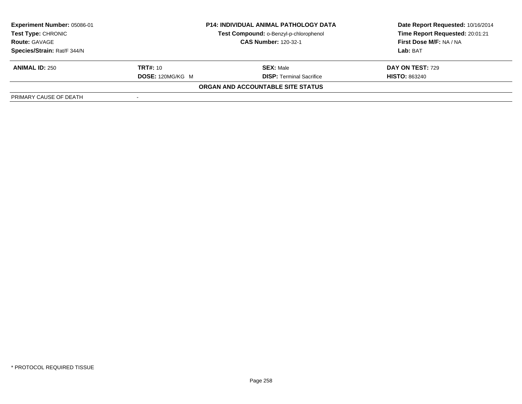| Experiment Number: 05086-01 | <b>P14: INDIVIDUAL ANIMAL PATHOLOGY DATA</b> |                                          | Date Report Requested: 10/16/2014 |  |
|-----------------------------|----------------------------------------------|------------------------------------------|-----------------------------------|--|
| <b>Test Type: CHRONIC</b>   |                                              | Test Compound: o-Benzyl-p-chlorophenol   | Time Report Requested: 20:01:21   |  |
| <b>Route: GAVAGE</b>        |                                              | <b>CAS Number: 120-32-1</b>              | First Dose M/F: NA / NA           |  |
| Species/Strain: Rat/F 344/N |                                              |                                          | Lab: BAT                          |  |
| <b>ANIMAL ID: 250</b>       | <b>TRT#:</b> 10                              | <b>SEX: Male</b>                         | DAY ON TEST: 729                  |  |
|                             | <b>DOSE: 120MG/KG M</b>                      | <b>DISP: Terminal Sacrifice</b>          | <b>HISTO: 863240</b>              |  |
|                             |                                              | <b>ORGAN AND ACCOUNTABLE SITE STATUS</b> |                                   |  |
| PRIMARY CAUSE OF DEATH      |                                              |                                          |                                   |  |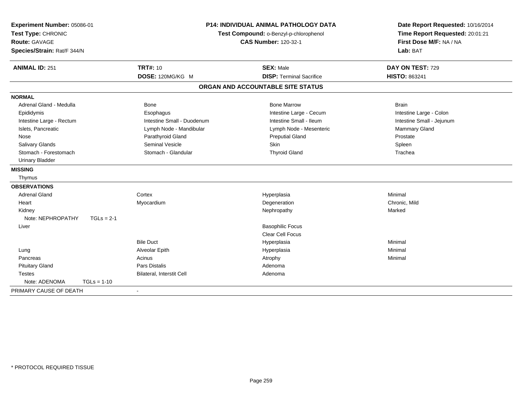| Experiment Number: 05086-01<br><b>P14: INDIVIDUAL ANIMAL PATHOLOGY DATA</b><br>Test Type: CHRONIC<br>Test Compound: o-Benzyl-p-chlorophenol<br><b>Route: GAVAGE</b><br><b>CAS Number: 120-32-1</b><br>Species/Strain: Rat/F 344/N |                            | Date Report Requested: 10/16/2014<br>Time Report Requested: 20:01:21<br>First Dose M/F: NA / NA<br>Lab: BAT |                           |
|-----------------------------------------------------------------------------------------------------------------------------------------------------------------------------------------------------------------------------------|----------------------------|-------------------------------------------------------------------------------------------------------------|---------------------------|
| <b>ANIMAL ID: 251</b>                                                                                                                                                                                                             | <b>TRT#: 10</b>            | <b>SEX: Male</b>                                                                                            | DAY ON TEST: 729          |
|                                                                                                                                                                                                                                   | DOSE: 120MG/KG M           | <b>DISP: Terminal Sacrifice</b>                                                                             | <b>HISTO: 863241</b>      |
|                                                                                                                                                                                                                                   |                            | ORGAN AND ACCOUNTABLE SITE STATUS                                                                           |                           |
| <b>NORMAL</b>                                                                                                                                                                                                                     |                            |                                                                                                             |                           |
| Adrenal Gland - Medulla                                                                                                                                                                                                           | <b>Bone</b>                | <b>Bone Marrow</b>                                                                                          | <b>Brain</b>              |
| Epididymis                                                                                                                                                                                                                        | Esophagus                  | Intestine Large - Cecum                                                                                     | Intestine Large - Colon   |
| Intestine Large - Rectum                                                                                                                                                                                                          | Intestine Small - Duodenum | Intestine Small - Ileum                                                                                     | Intestine Small - Jejunum |
| Islets, Pancreatic                                                                                                                                                                                                                | Lymph Node - Mandibular    | Lymph Node - Mesenteric                                                                                     | <b>Mammary Gland</b>      |
| Nose                                                                                                                                                                                                                              | Parathyroid Gland          | <b>Preputial Gland</b>                                                                                      | Prostate                  |
| Salivary Glands                                                                                                                                                                                                                   | <b>Seminal Vesicle</b>     | <b>Skin</b>                                                                                                 | Spleen                    |
| Stomach - Forestomach                                                                                                                                                                                                             | Stomach - Glandular        | <b>Thyroid Gland</b>                                                                                        | Trachea                   |
| <b>Urinary Bladder</b>                                                                                                                                                                                                            |                            |                                                                                                             |                           |
| <b>MISSING</b>                                                                                                                                                                                                                    |                            |                                                                                                             |                           |
| Thymus                                                                                                                                                                                                                            |                            |                                                                                                             |                           |
| <b>OBSERVATIONS</b>                                                                                                                                                                                                               |                            |                                                                                                             |                           |
| <b>Adrenal Gland</b>                                                                                                                                                                                                              | Cortex                     | Hyperplasia                                                                                                 | Minimal                   |
| Heart                                                                                                                                                                                                                             | Myocardium                 | Degeneration                                                                                                | Chronic, Mild             |
| Kidney                                                                                                                                                                                                                            |                            | Nephropathy                                                                                                 | Marked                    |
| Note: NEPHROPATHY<br>$TGLs = 2-1$                                                                                                                                                                                                 |                            |                                                                                                             |                           |
| Liver                                                                                                                                                                                                                             |                            | <b>Basophilic Focus</b>                                                                                     |                           |
|                                                                                                                                                                                                                                   |                            | <b>Clear Cell Focus</b>                                                                                     |                           |
|                                                                                                                                                                                                                                   | <b>Bile Duct</b>           | Hyperplasia                                                                                                 | Minimal                   |
| Lung                                                                                                                                                                                                                              | Alveolar Epith             | Hyperplasia                                                                                                 | Minimal                   |
| Pancreas                                                                                                                                                                                                                          | Acinus                     | Atrophy                                                                                                     | Minimal                   |
| <b>Pituitary Gland</b>                                                                                                                                                                                                            | <b>Pars Distalis</b>       | Adenoma                                                                                                     |                           |
| <b>Testes</b>                                                                                                                                                                                                                     | Bilateral, Interstit Cell  | Adenoma                                                                                                     |                           |
| Note: ADENOMA<br>$TGLs = 1-10$                                                                                                                                                                                                    |                            |                                                                                                             |                           |
| PRIMARY CAUSE OF DEATH                                                                                                                                                                                                            | $\blacksquare$             |                                                                                                             |                           |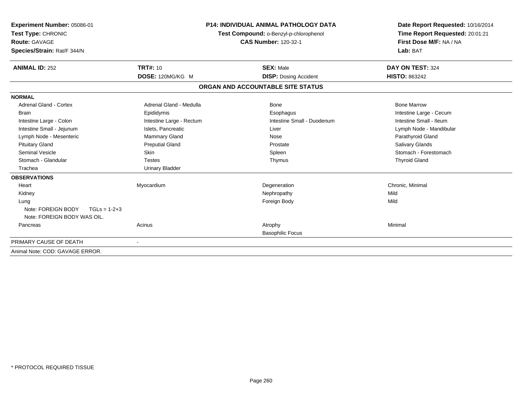| Experiment Number: 05086-01<br>Test Type: CHRONIC<br><b>Route: GAVAGE</b><br>Species/Strain: Rat/F 344/N |                          | <b>P14: INDIVIDUAL ANIMAL PATHOLOGY DATA</b><br>Test Compound: o-Benzyl-p-chlorophenol<br><b>CAS Number: 120-32-1</b> | Date Report Requested: 10/16/2014<br>Time Report Requested: 20:01:21<br>First Dose M/F: NA / NA<br>Lab: BAT |  |
|----------------------------------------------------------------------------------------------------------|--------------------------|-----------------------------------------------------------------------------------------------------------------------|-------------------------------------------------------------------------------------------------------------|--|
| <b>ANIMAL ID: 252</b>                                                                                    | <b>TRT#: 10</b>          | <b>SEX: Male</b>                                                                                                      | DAY ON TEST: 324                                                                                            |  |
|                                                                                                          | DOSE: 120MG/KG M         | <b>DISP: Dosing Accident</b>                                                                                          | <b>HISTO: 863242</b>                                                                                        |  |
|                                                                                                          |                          | ORGAN AND ACCOUNTABLE SITE STATUS                                                                                     |                                                                                                             |  |
| <b>NORMAL</b>                                                                                            |                          |                                                                                                                       |                                                                                                             |  |
| <b>Adrenal Gland - Cortex</b>                                                                            | Adrenal Gland - Medulla  | <b>Bone</b>                                                                                                           | <b>Bone Marrow</b>                                                                                          |  |
| <b>Brain</b>                                                                                             | Epididymis               | Esophagus                                                                                                             | Intestine Large - Cecum                                                                                     |  |
| Intestine Large - Colon                                                                                  | Intestine Large - Rectum | Intestine Small - Duodenum                                                                                            | Intestine Small - Ileum                                                                                     |  |
| Intestine Small - Jejunum                                                                                | Islets, Pancreatic       | Liver                                                                                                                 | Lymph Node - Mandibular                                                                                     |  |
| Lymph Node - Mesenteric                                                                                  | Mammary Gland            | Nose                                                                                                                  | Parathyroid Gland                                                                                           |  |
| <b>Pituitary Gland</b>                                                                                   | <b>Preputial Gland</b>   | Prostate                                                                                                              | Salivary Glands                                                                                             |  |
| <b>Seminal Vesicle</b>                                                                                   | <b>Skin</b>              | Spleen                                                                                                                | Stomach - Forestomach                                                                                       |  |
| Stomach - Glandular                                                                                      | <b>Testes</b>            | Thymus                                                                                                                | <b>Thyroid Gland</b>                                                                                        |  |
| Trachea                                                                                                  | <b>Urinary Bladder</b>   |                                                                                                                       |                                                                                                             |  |
| <b>OBSERVATIONS</b>                                                                                      |                          |                                                                                                                       |                                                                                                             |  |
| Heart                                                                                                    | Myocardium               | Degeneration                                                                                                          | Chronic, Minimal                                                                                            |  |
| Kidney                                                                                                   |                          | Nephropathy                                                                                                           | Mild                                                                                                        |  |
| Lung                                                                                                     |                          | Foreign Body                                                                                                          | Mild                                                                                                        |  |
| Note: FOREIGN BODY<br>$TGLs = 1-2+3$<br>Note: FOREIGN BODY WAS OIL.                                      |                          |                                                                                                                       |                                                                                                             |  |
| Pancreas                                                                                                 | Acinus                   | Atrophy<br><b>Basophilic Focus</b>                                                                                    | Minimal                                                                                                     |  |
| PRIMARY CAUSE OF DEATH                                                                                   |                          |                                                                                                                       |                                                                                                             |  |
| Animal Note: COD: GAVAGE ERROR.                                                                          |                          |                                                                                                                       |                                                                                                             |  |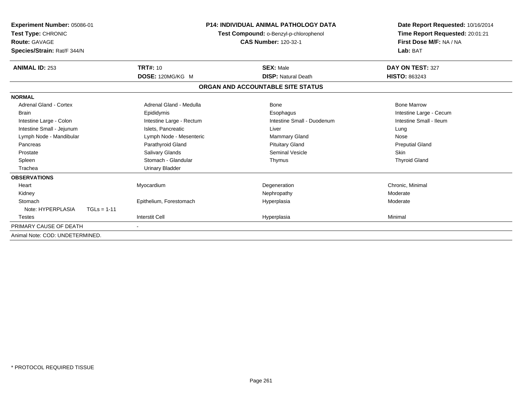| Experiment Number: 05086-01<br>Test Type: CHRONIC<br><b>Route: GAVAGE</b><br>Species/Strain: Rat/F 344/N |                          | <b>P14: INDIVIDUAL ANIMAL PATHOLOGY DATA</b><br>Test Compound: o-Benzyl-p-chlorophenol<br><b>CAS Number: 120-32-1</b> |                         |
|----------------------------------------------------------------------------------------------------------|--------------------------|-----------------------------------------------------------------------------------------------------------------------|-------------------------|
| <b>ANIMAL ID: 253</b>                                                                                    | <b>TRT#: 10</b>          | <b>SEX: Male</b>                                                                                                      | DAY ON TEST: 327        |
|                                                                                                          | DOSE: 120MG/KG M         | <b>DISP: Natural Death</b>                                                                                            | <b>HISTO: 863243</b>    |
|                                                                                                          |                          | ORGAN AND ACCOUNTABLE SITE STATUS                                                                                     |                         |
| <b>NORMAL</b>                                                                                            |                          |                                                                                                                       |                         |
| <b>Adrenal Gland - Cortex</b>                                                                            | Adrenal Gland - Medulla  | <b>Bone</b>                                                                                                           | <b>Bone Marrow</b>      |
| <b>Brain</b>                                                                                             | Epididymis               | Esophagus                                                                                                             | Intestine Large - Cecum |
| Intestine Large - Colon                                                                                  | Intestine Large - Rectum | Intestine Small - Duodenum                                                                                            | Intestine Small - Ileum |
| Intestine Small - Jejunum                                                                                | Islets, Pancreatic       | Liver                                                                                                                 | Lung                    |
| Lymph Node - Mandibular                                                                                  | Lymph Node - Mesenteric  | <b>Mammary Gland</b>                                                                                                  | Nose                    |
| Pancreas                                                                                                 | Parathyroid Gland        | <b>Pituitary Gland</b>                                                                                                | <b>Preputial Gland</b>  |
| Prostate                                                                                                 | Salivary Glands          | Seminal Vesicle                                                                                                       | <b>Skin</b>             |
| Spleen                                                                                                   | Stomach - Glandular      | Thymus                                                                                                                | <b>Thyroid Gland</b>    |
| Trachea                                                                                                  | <b>Urinary Bladder</b>   |                                                                                                                       |                         |
| <b>OBSERVATIONS</b>                                                                                      |                          |                                                                                                                       |                         |
| Heart                                                                                                    | Myocardium               | Degeneration                                                                                                          | Chronic, Minimal        |
| Kidney                                                                                                   |                          | Nephropathy                                                                                                           | Moderate                |
| Stomach                                                                                                  | Epithelium, Forestomach  | Hyperplasia                                                                                                           | Moderate                |
| Note: HYPERPLASIA<br>$TGLs = 1-11$                                                                       |                          |                                                                                                                       |                         |
| <b>Testes</b>                                                                                            | <b>Interstit Cell</b>    | Hyperplasia                                                                                                           | Minimal                 |
| PRIMARY CAUSE OF DEATH                                                                                   |                          |                                                                                                                       |                         |
| Animal Note: COD: UNDETERMINED.                                                                          |                          |                                                                                                                       |                         |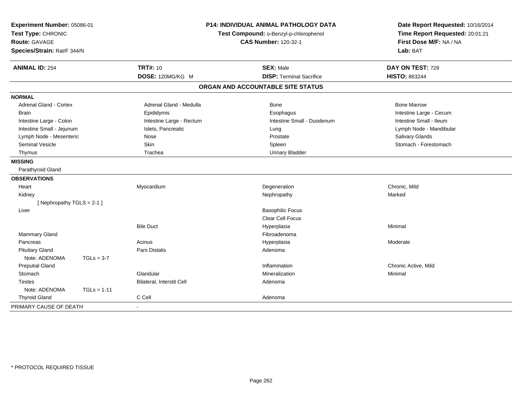| Experiment Number: 05086-01<br>Test Type: CHRONIC<br>Route: GAVAGE<br>Species/Strain: Rat/F 344/N |               | <b>P14: INDIVIDUAL ANIMAL PATHOLOGY DATA</b><br>Test Compound: o-Benzyl-p-chlorophenol<br><b>CAS Number: 120-32-1</b> |                                   | Date Report Requested: 10/16/2014<br>Time Report Requested: 20:01:21<br>First Dose M/F: NA / NA<br>Lab: BAT |  |
|---------------------------------------------------------------------------------------------------|---------------|-----------------------------------------------------------------------------------------------------------------------|-----------------------------------|-------------------------------------------------------------------------------------------------------------|--|
| <b>ANIMAL ID: 254</b>                                                                             |               | <b>TRT#: 10</b>                                                                                                       | <b>SEX: Male</b>                  | DAY ON TEST: 729                                                                                            |  |
|                                                                                                   |               | DOSE: 120MG/KG M                                                                                                      | <b>DISP: Terminal Sacrifice</b>   | <b>HISTO: 863244</b>                                                                                        |  |
|                                                                                                   |               |                                                                                                                       | ORGAN AND ACCOUNTABLE SITE STATUS |                                                                                                             |  |
| <b>NORMAL</b>                                                                                     |               |                                                                                                                       |                                   |                                                                                                             |  |
| <b>Adrenal Gland - Cortex</b>                                                                     |               | Adrenal Gland - Medulla                                                                                               | Bone                              | <b>Bone Marrow</b>                                                                                          |  |
| <b>Brain</b>                                                                                      |               | Epididymis                                                                                                            | Esophagus                         | Intestine Large - Cecum                                                                                     |  |
| Intestine Large - Colon                                                                           |               | Intestine Large - Rectum                                                                                              | Intestine Small - Duodenum        | Intestine Small - Ileum                                                                                     |  |
| Intestine Small - Jejunum                                                                         |               | Islets, Pancreatic                                                                                                    | Lung                              | Lymph Node - Mandibular                                                                                     |  |
| Lymph Node - Mesenteric                                                                           |               | Nose                                                                                                                  | Prostate                          | Salivary Glands                                                                                             |  |
| <b>Seminal Vesicle</b>                                                                            |               | Skin                                                                                                                  | Spleen                            | Stomach - Forestomach                                                                                       |  |
| Thymus                                                                                            |               | Trachea                                                                                                               | <b>Urinary Bladder</b>            |                                                                                                             |  |
| <b>MISSING</b>                                                                                    |               |                                                                                                                       |                                   |                                                                                                             |  |
| Parathyroid Gland                                                                                 |               |                                                                                                                       |                                   |                                                                                                             |  |
| <b>OBSERVATIONS</b>                                                                               |               |                                                                                                                       |                                   |                                                                                                             |  |
| Heart                                                                                             |               | Myocardium                                                                                                            | Degeneration                      | Chronic, Mild                                                                                               |  |
| Kidney                                                                                            |               |                                                                                                                       | Nephropathy                       | Marked                                                                                                      |  |
| [Nephropathy TGLS = 2-1]                                                                          |               |                                                                                                                       |                                   |                                                                                                             |  |
| Liver                                                                                             |               |                                                                                                                       | <b>Basophilic Focus</b>           |                                                                                                             |  |
|                                                                                                   |               |                                                                                                                       | Clear Cell Focus                  |                                                                                                             |  |
|                                                                                                   |               | <b>Bile Duct</b>                                                                                                      | Hyperplasia                       | Minimal                                                                                                     |  |
| Mammary Gland                                                                                     |               |                                                                                                                       | Fibroadenoma                      |                                                                                                             |  |
| Pancreas                                                                                          |               | Acinus                                                                                                                | Hyperplasia                       | Moderate                                                                                                    |  |
| <b>Pituitary Gland</b>                                                                            |               | Pars Distalis                                                                                                         | Adenoma                           |                                                                                                             |  |
| Note: ADENOMA                                                                                     | $TGLs = 3-7$  |                                                                                                                       |                                   |                                                                                                             |  |
| <b>Preputial Gland</b>                                                                            |               |                                                                                                                       | Inflammation                      | Chronic Active, Mild                                                                                        |  |
| Stomach                                                                                           |               | Glandular                                                                                                             | Mineralization                    | Minimal                                                                                                     |  |
| <b>Testes</b>                                                                                     |               | Bilateral, Interstit Cell                                                                                             | Adenoma                           |                                                                                                             |  |
| Note: ADENOMA                                                                                     | $TGLs = 1-11$ |                                                                                                                       |                                   |                                                                                                             |  |
| <b>Thyroid Gland</b>                                                                              |               | C Cell                                                                                                                | Adenoma                           |                                                                                                             |  |
| PRIMARY CAUSE OF DEATH                                                                            |               |                                                                                                                       |                                   |                                                                                                             |  |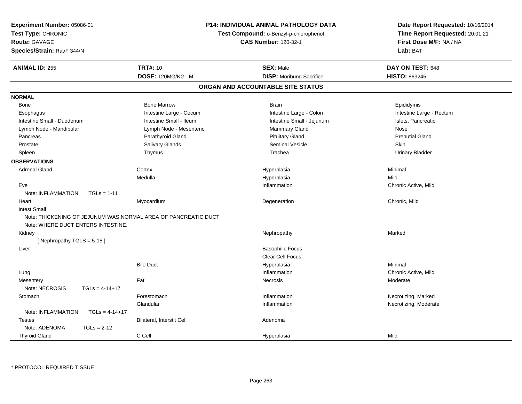| Experiment Number: 05086-01<br>Test Type: CHRONIC<br><b>Route: GAVAGE</b><br>Species/Strain: Rat/F 344/N | P14: INDIVIDUAL ANIMAL PATHOLOGY DATA<br>Test Compound: o-Benzyl-p-chlorophenol<br><b>CAS Number: 120-32-1</b> |                                   | Date Report Requested: 10/16/2014<br>Time Report Requested: 20:01:21<br>First Dose M/F: NA / NA<br>Lab: BAT |
|----------------------------------------------------------------------------------------------------------|----------------------------------------------------------------------------------------------------------------|-----------------------------------|-------------------------------------------------------------------------------------------------------------|
| <b>ANIMAL ID: 255</b>                                                                                    | <b>TRT#: 10</b>                                                                                                | <b>SEX: Male</b>                  | DAY ON TEST: 648                                                                                            |
|                                                                                                          | DOSE: 120MG/KG M                                                                                               | <b>DISP:</b> Moribund Sacrifice   | HISTO: 863245                                                                                               |
|                                                                                                          |                                                                                                                | ORGAN AND ACCOUNTABLE SITE STATUS |                                                                                                             |
| <b>NORMAL</b>                                                                                            |                                                                                                                |                                   |                                                                                                             |
| <b>Bone</b>                                                                                              | <b>Bone Marrow</b>                                                                                             | <b>Brain</b>                      | Epididymis                                                                                                  |
| Esophagus                                                                                                | Intestine Large - Cecum                                                                                        | Intestine Large - Colon           | Intestine Large - Rectum                                                                                    |
| Intestine Small - Duodenum                                                                               | Intestine Small - Ileum                                                                                        | Intestine Small - Jejunum         | Islets, Pancreatic                                                                                          |
| Lymph Node - Mandibular                                                                                  | Lymph Node - Mesenteric                                                                                        | Mammary Gland                     | <b>Nose</b>                                                                                                 |
| Pancreas                                                                                                 | Parathyroid Gland                                                                                              | <b>Pituitary Gland</b>            | <b>Preputial Gland</b>                                                                                      |
| Prostate                                                                                                 | Salivary Glands                                                                                                | <b>Seminal Vesicle</b>            | Skin                                                                                                        |
| Spleen                                                                                                   | Thymus                                                                                                         | Trachea                           | <b>Urinary Bladder</b>                                                                                      |
| <b>OBSERVATIONS</b>                                                                                      |                                                                                                                |                                   |                                                                                                             |
| <b>Adrenal Gland</b>                                                                                     | Cortex                                                                                                         | Hyperplasia                       | Minimal                                                                                                     |
|                                                                                                          | Medulla                                                                                                        | Hyperplasia                       | Mild                                                                                                        |
| Eye                                                                                                      |                                                                                                                | Inflammation                      | Chronic Active, Mild                                                                                        |
| Note: INFLAMMATION<br>$TGLs = 1-11$                                                                      |                                                                                                                |                                   |                                                                                                             |
| Heart                                                                                                    | Myocardium                                                                                                     | Degeneration                      | Chronic, Mild                                                                                               |
| <b>Intest Small</b>                                                                                      |                                                                                                                |                                   |                                                                                                             |
| Note: THICKENING OF JEJUNUM WAS NORMAL AREA OF PANCREATIC DUCT<br>Note: WHERE DUCT ENTERS INTESTINE.     |                                                                                                                |                                   |                                                                                                             |
| Kidney                                                                                                   |                                                                                                                | Nephropathy                       | Marked                                                                                                      |
| [Nephropathy TGLS = 5-15]                                                                                |                                                                                                                |                                   |                                                                                                             |
| Liver                                                                                                    |                                                                                                                | <b>Basophilic Focus</b>           |                                                                                                             |
|                                                                                                          |                                                                                                                | Clear Cell Focus                  |                                                                                                             |
|                                                                                                          | <b>Bile Duct</b>                                                                                               | Hyperplasia                       | Minimal                                                                                                     |
| Lung                                                                                                     |                                                                                                                | Inflammation                      | Chronic Active, Mild                                                                                        |
| Mesentery                                                                                                | Fat                                                                                                            | Necrosis                          | Moderate                                                                                                    |
| Note: NECROSIS<br>$TGLS = 4-14+17$                                                                       |                                                                                                                |                                   |                                                                                                             |
| Stomach                                                                                                  | Forestomach                                                                                                    | Inflammation                      | Necrotizing, Marked                                                                                         |
|                                                                                                          | Glandular                                                                                                      | Inflammation                      | Necrotizing, Moderate                                                                                       |
| Note: INFLAMMATION<br>$TGLS = 4-14+17$                                                                   |                                                                                                                |                                   |                                                                                                             |
| <b>Testes</b>                                                                                            | Bilateral, Interstit Cell                                                                                      | Adenoma                           |                                                                                                             |
| Note: ADENOMA<br>$TGLs = 2-12$                                                                           |                                                                                                                |                                   |                                                                                                             |
| <b>Thyroid Gland</b>                                                                                     | C Cell                                                                                                         | Hyperplasia                       | Mild                                                                                                        |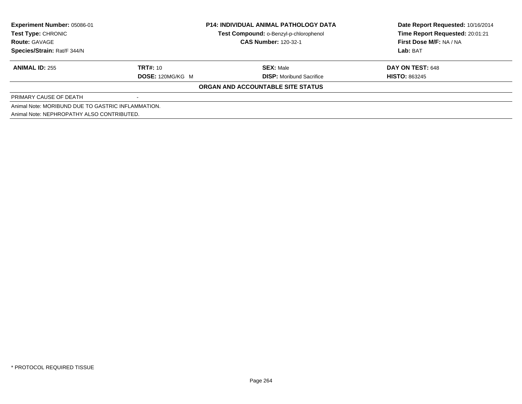| Experiment Number: 05086-01                        | <b>P14: INDIVIDUAL ANIMAL PATHOLOGY DATA</b> |                                        | Date Report Requested: 10/16/2014 |
|----------------------------------------------------|----------------------------------------------|----------------------------------------|-----------------------------------|
| <b>Test Type: CHRONIC</b>                          |                                              | Test Compound: o-Benzyl-p-chlorophenol | Time Report Requested: 20:01:21   |
| <b>Route: GAVAGE</b>                               |                                              | <b>CAS Number: 120-32-1</b>            | First Dose M/F: NA / NA           |
| Species/Strain: Rat/F 344/N                        |                                              |                                        | Lab: BAT                          |
| <b>ANIMAL ID: 255</b>                              | <b>TRT#: 10</b>                              | <b>SEX: Male</b>                       | DAY ON TEST: 648                  |
|                                                    | DOSE: 120MG/KG M                             | <b>DISP:</b> Moribund Sacrifice        | <b>HISTO: 863245</b>              |
|                                                    |                                              | ORGAN AND ACCOUNTABLE SITE STATUS      |                                   |
| PRIMARY CAUSE OF DEATH                             |                                              |                                        |                                   |
| Animal Note: MORIBUND DUE TO GASTRIC INFLAMMATION. |                                              |                                        |                                   |
| Animal Note: NEPHROPATHY ALSO CONTRIBUTED.         |                                              |                                        |                                   |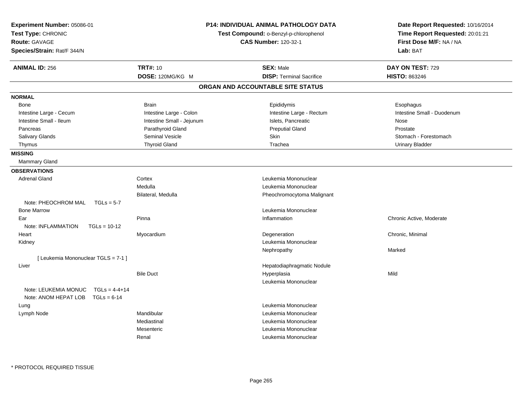| Experiment Number: 05086-01<br>Test Type: CHRONIC<br>Route: GAVAGE<br>Species/Strain: Rat/F 344/N |                           | <b>P14: INDIVIDUAL ANIMAL PATHOLOGY DATA</b><br>Test Compound: o-Benzyl-p-chlorophenol<br><b>CAS Number: 120-32-1</b> | Date Report Requested: 10/16/2014<br>Time Report Requested: 20:01:21<br>First Dose M/F: NA / NA<br>Lab: BAT |
|---------------------------------------------------------------------------------------------------|---------------------------|-----------------------------------------------------------------------------------------------------------------------|-------------------------------------------------------------------------------------------------------------|
| <b>ANIMAL ID: 256</b>                                                                             | <b>TRT#: 10</b>           | <b>SEX: Male</b>                                                                                                      | DAY ON TEST: 729                                                                                            |
|                                                                                                   | DOSE: 120MG/KG M          | <b>DISP: Terminal Sacrifice</b>                                                                                       | <b>HISTO: 863246</b>                                                                                        |
|                                                                                                   |                           | ORGAN AND ACCOUNTABLE SITE STATUS                                                                                     |                                                                                                             |
| <b>NORMAL</b>                                                                                     |                           |                                                                                                                       |                                                                                                             |
| Bone                                                                                              | <b>Brain</b>              | Epididymis                                                                                                            | Esophagus                                                                                                   |
| Intestine Large - Cecum                                                                           | Intestine Large - Colon   | Intestine Large - Rectum                                                                                              | Intestine Small - Duodenum                                                                                  |
| Intestine Small - Ileum                                                                           | Intestine Small - Jejunum | Islets, Pancreatic                                                                                                    | Nose                                                                                                        |
| Pancreas                                                                                          | Parathyroid Gland         | <b>Preputial Gland</b>                                                                                                | Prostate                                                                                                    |
| Salivary Glands                                                                                   | Seminal Vesicle           | Skin                                                                                                                  | Stomach - Forestomach                                                                                       |
| Thymus                                                                                            | <b>Thyroid Gland</b>      | Trachea                                                                                                               | <b>Urinary Bladder</b>                                                                                      |
| <b>MISSING</b>                                                                                    |                           |                                                                                                                       |                                                                                                             |
| <b>Mammary Gland</b>                                                                              |                           |                                                                                                                       |                                                                                                             |
| <b>OBSERVATIONS</b>                                                                               |                           |                                                                                                                       |                                                                                                             |
| <b>Adrenal Gland</b>                                                                              | Cortex                    | Leukemia Mononuclear                                                                                                  |                                                                                                             |
|                                                                                                   | Medulla                   | Leukemia Mononuclear                                                                                                  |                                                                                                             |
|                                                                                                   | Bilateral, Medulla        | Pheochromocytoma Malignant                                                                                            |                                                                                                             |
| Note: PHEOCHROM MAL<br>$TGLs = 5-7$                                                               |                           |                                                                                                                       |                                                                                                             |
| <b>Bone Marrow</b>                                                                                |                           | Leukemia Mononuclear                                                                                                  |                                                                                                             |
| Ear                                                                                               | Pinna                     | Inflammation                                                                                                          | Chronic Active, Moderate                                                                                    |
| Note: INFLAMMATION<br>$TGLs = 10-12$                                                              |                           |                                                                                                                       |                                                                                                             |
| Heart                                                                                             | Myocardium                | Degeneration                                                                                                          | Chronic, Minimal                                                                                            |
| Kidney                                                                                            |                           | Leukemia Mononuclear                                                                                                  |                                                                                                             |
|                                                                                                   |                           | Nephropathy                                                                                                           | Marked                                                                                                      |
| [ Leukemia Mononuclear TGLS = 7-1 ]                                                               |                           |                                                                                                                       |                                                                                                             |
| Liver                                                                                             |                           | Hepatodiaphragmatic Nodule                                                                                            |                                                                                                             |
|                                                                                                   | <b>Bile Duct</b>          | Hyperplasia                                                                                                           | Mild                                                                                                        |
|                                                                                                   |                           | Leukemia Mononuclear                                                                                                  |                                                                                                             |
| Note: LEUKEMIA MONUC<br>$TGLs = 4-4+14$<br>Note: ANOM HEPAT LOB TGLs = 6-14                       |                           |                                                                                                                       |                                                                                                             |
| Lung                                                                                              |                           | Leukemia Mononuclear                                                                                                  |                                                                                                             |
| Lymph Node                                                                                        | Mandibular                | Leukemia Mononuclear                                                                                                  |                                                                                                             |
|                                                                                                   | Mediastinal               | Leukemia Mononuclear                                                                                                  |                                                                                                             |
|                                                                                                   | Mesenteric                | Leukemia Mononuclear                                                                                                  |                                                                                                             |
|                                                                                                   | Renal                     | Leukemia Mononuclear                                                                                                  |                                                                                                             |
|                                                                                                   |                           |                                                                                                                       |                                                                                                             |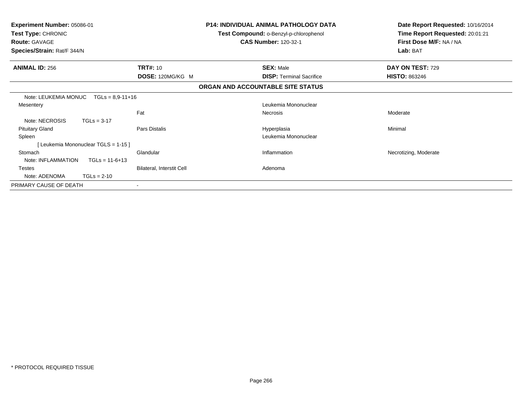| <b>Experiment Number: 05086-01</b><br><b>Test Type: CHRONIC</b><br><b>Route: GAVAGE</b><br>Species/Strain: Rat/F 344/N |                                    |                           | <b>P14: INDIVIDUAL ANIMAL PATHOLOGY DATA</b><br>Test Compound: o-Benzyl-p-chlorophenol<br><b>CAS Number: 120-32-1</b> | Date Report Requested: 10/16/2014<br>Time Report Requested: 20:01:21<br>First Dose M/F: NA / NA<br>Lab: BAT |
|------------------------------------------------------------------------------------------------------------------------|------------------------------------|---------------------------|-----------------------------------------------------------------------------------------------------------------------|-------------------------------------------------------------------------------------------------------------|
| <b>ANIMAL ID: 256</b>                                                                                                  |                                    | <b>TRT#: 10</b>           | <b>SEX: Male</b>                                                                                                      | DAY ON TEST: 729                                                                                            |
|                                                                                                                        |                                    | DOSE: 120MG/KG M          | <b>DISP:</b> Terminal Sacrifice                                                                                       | <b>HISTO: 863246</b>                                                                                        |
|                                                                                                                        |                                    |                           | ORGAN AND ACCOUNTABLE SITE STATUS                                                                                     |                                                                                                             |
| Note: LEUKEMIA MONUC                                                                                                   | $TGLs = 8.9 - 11 + 16$             |                           |                                                                                                                       |                                                                                                             |
| Mesentery                                                                                                              |                                    |                           | Leukemia Mononuclear                                                                                                  |                                                                                                             |
|                                                                                                                        |                                    | Fat                       | Necrosis                                                                                                              | Moderate                                                                                                    |
| Note: NECROSIS                                                                                                         | $TGLs = 3-17$                      |                           |                                                                                                                       |                                                                                                             |
| <b>Pituitary Gland</b>                                                                                                 |                                    | Pars Distalis             | Hyperplasia                                                                                                           | Minimal                                                                                                     |
| Spleen                                                                                                                 |                                    |                           | Leukemia Mononuclear                                                                                                  |                                                                                                             |
|                                                                                                                        | [Leukemia Mononuclear TGLS = 1-15] |                           |                                                                                                                       |                                                                                                             |
| Stomach                                                                                                                |                                    | Glandular                 | Inflammation                                                                                                          | Necrotizing, Moderate                                                                                       |
| Note: INFLAMMATION                                                                                                     | $TGLs = 11-6+13$                   |                           |                                                                                                                       |                                                                                                             |
| <b>Testes</b>                                                                                                          |                                    | Bilateral, Interstit Cell | Adenoma                                                                                                               |                                                                                                             |
| Note: ADENOMA                                                                                                          | $TGLs = 2-10$                      |                           |                                                                                                                       |                                                                                                             |
| PRIMARY CAUSE OF DEATH                                                                                                 |                                    |                           |                                                                                                                       |                                                                                                             |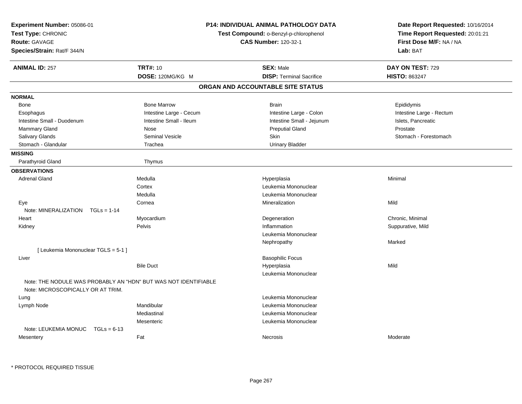| Experiment Number: 05086-01<br>Test Type: CHRONIC<br><b>Route: GAVAGE</b><br>Species/Strain: Rat/F 344/N | <b>P14: INDIVIDUAL ANIMAL PATHOLOGY DATA</b><br>Test Compound: o-Benzyl-p-chlorophenol<br><b>CAS Number: 120-32-1</b> | Date Report Requested: 10/16/2014<br>Time Report Requested: 20:01:21<br>First Dose M/F: NA / NA<br>Lab: BAT |
|----------------------------------------------------------------------------------------------------------|-----------------------------------------------------------------------------------------------------------------------|-------------------------------------------------------------------------------------------------------------|
| <b>TRT#: 10</b><br><b>ANIMAL ID: 257</b>                                                                 | <b>SEX: Male</b>                                                                                                      | DAY ON TEST: 729                                                                                            |
| DOSE: 120MG/KG M                                                                                         | <b>DISP: Terminal Sacrifice</b>                                                                                       | <b>HISTO: 863247</b>                                                                                        |
|                                                                                                          | ORGAN AND ACCOUNTABLE SITE STATUS                                                                                     |                                                                                                             |
| <b>NORMAL</b>                                                                                            |                                                                                                                       |                                                                                                             |
| <b>Bone Marrow</b><br>Bone                                                                               | <b>Brain</b>                                                                                                          | Epididymis                                                                                                  |
| Intestine Large - Cecum<br>Esophagus                                                                     | Intestine Large - Colon                                                                                               | Intestine Large - Rectum                                                                                    |
| Intestine Small - Duodenum<br>Intestine Small - Ileum                                                    | Intestine Small - Jejunum                                                                                             | Islets, Pancreatic                                                                                          |
| Mammary Gland<br>Nose                                                                                    | <b>Preputial Gland</b>                                                                                                | Prostate                                                                                                    |
| Salivary Glands<br><b>Seminal Vesicle</b>                                                                | Skin                                                                                                                  | Stomach - Forestomach                                                                                       |
| Stomach - Glandular<br>Trachea                                                                           | <b>Urinary Bladder</b>                                                                                                |                                                                                                             |
| <b>MISSING</b>                                                                                           |                                                                                                                       |                                                                                                             |
| Parathyroid Gland<br>Thymus                                                                              |                                                                                                                       |                                                                                                             |
| <b>OBSERVATIONS</b>                                                                                      |                                                                                                                       |                                                                                                             |
| <b>Adrenal Gland</b><br>Medulla                                                                          | Hyperplasia                                                                                                           | Minimal                                                                                                     |
| Cortex                                                                                                   | Leukemia Mononuclear                                                                                                  |                                                                                                             |
| Medulla                                                                                                  | Leukemia Mononuclear                                                                                                  |                                                                                                             |
| Cornea<br>Eye                                                                                            | Mineralization                                                                                                        | Mild                                                                                                        |
| Note: MINERALIZATION<br>$TGLs = 1-14$                                                                    |                                                                                                                       |                                                                                                             |
| Myocardium<br>Heart                                                                                      | Degeneration                                                                                                          | Chronic, Minimal                                                                                            |
| Pelvis<br>Kidney                                                                                         | Inflammation                                                                                                          | Suppurative, Mild                                                                                           |
|                                                                                                          | Leukemia Mononuclear                                                                                                  |                                                                                                             |
|                                                                                                          | Nephropathy                                                                                                           | Marked                                                                                                      |
| [ Leukemia Mononuclear TGLS = 5-1 ]                                                                      |                                                                                                                       |                                                                                                             |
| Liver                                                                                                    | <b>Basophilic Focus</b>                                                                                               |                                                                                                             |
| <b>Bile Duct</b>                                                                                         | Hyperplasia                                                                                                           | Mild                                                                                                        |
| Note: THE NODULE WAS PROBABLY AN "HDN" BUT WAS NOT IDENTIFIABLE<br>Note: MICROSCOPICALLY OR AT TRIM.     | Leukemia Mononuclear                                                                                                  |                                                                                                             |
| Lung                                                                                                     | Leukemia Mononuclear                                                                                                  |                                                                                                             |
| Mandibular<br>Lymph Node                                                                                 | Leukemia Mononuclear                                                                                                  |                                                                                                             |
| Mediastinal                                                                                              | Leukemia Mononuclear                                                                                                  |                                                                                                             |
| Mesenteric                                                                                               | Leukemia Mononuclear                                                                                                  |                                                                                                             |
| Note: LEUKEMIA MONUC<br>$TGLs = 6-13$                                                                    |                                                                                                                       |                                                                                                             |
| Fat<br>Mesentery                                                                                         | Necrosis                                                                                                              | Moderate                                                                                                    |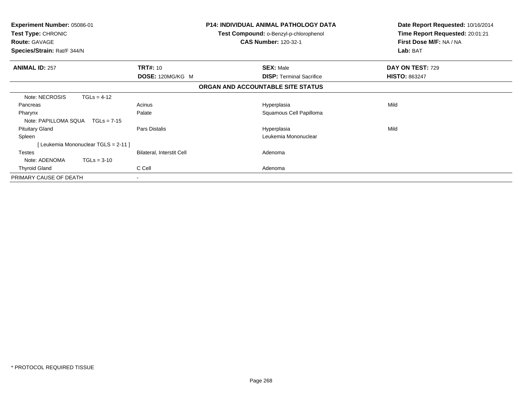| <b>Experiment Number: 05086-01</b><br>Test Type: CHRONIC<br><b>Route: GAVAGE</b><br>Species/Strain: Rat/F 344/N |                                      |                                  | <b>P14: INDIVIDUAL ANIMAL PATHOLOGY DATA</b><br>Test Compound: o-Benzyl-p-chlorophenol<br><b>CAS Number: 120-32-1</b> |                                   |      | Date Report Requested: 10/16/2014<br>Time Report Requested: 20:01:21<br>First Dose M/F: NA / NA<br>Lab: BAT |
|-----------------------------------------------------------------------------------------------------------------|--------------------------------------|----------------------------------|-----------------------------------------------------------------------------------------------------------------------|-----------------------------------|------|-------------------------------------------------------------------------------------------------------------|
| <b>ANIMAL ID: 257</b>                                                                                           |                                      | <b>TRT#: 10</b>                  |                                                                                                                       | <b>SEX: Male</b>                  |      | DAY ON TEST: 729                                                                                            |
|                                                                                                                 |                                      | DOSE: 120MG/KG M                 |                                                                                                                       | <b>DISP: Terminal Sacrifice</b>   |      | <b>HISTO: 863247</b>                                                                                        |
|                                                                                                                 |                                      |                                  |                                                                                                                       | ORGAN AND ACCOUNTABLE SITE STATUS |      |                                                                                                             |
| Note: NECROSIS                                                                                                  | $TGLs = 4-12$                        |                                  |                                                                                                                       |                                   |      |                                                                                                             |
| Pancreas                                                                                                        |                                      | Acinus                           |                                                                                                                       | Hyperplasia                       | Mild |                                                                                                             |
| Pharynx                                                                                                         |                                      | Palate                           |                                                                                                                       | Squamous Cell Papilloma           |      |                                                                                                             |
| Note: PAPILLOMA SQUA                                                                                            | $TGLs = 7-15$                        |                                  |                                                                                                                       |                                   |      |                                                                                                             |
| <b>Pituitary Gland</b>                                                                                          |                                      | Pars Distalis                    |                                                                                                                       | Hyperplasia                       | Mild |                                                                                                             |
| Spleen                                                                                                          |                                      |                                  |                                                                                                                       | Leukemia Mononuclear              |      |                                                                                                             |
|                                                                                                                 | [ Leukemia Mononuclear TGLS = 2-11 ] |                                  |                                                                                                                       |                                   |      |                                                                                                             |
| Testes                                                                                                          |                                      | <b>Bilateral, Interstit Cell</b> |                                                                                                                       | Adenoma                           |      |                                                                                                             |
| Note: ADENOMA                                                                                                   | $TGLs = 3-10$                        |                                  |                                                                                                                       |                                   |      |                                                                                                             |
| <b>Thyroid Gland</b>                                                                                            |                                      | C Cell                           |                                                                                                                       | Adenoma                           |      |                                                                                                             |
| PRIMARY CAUSE OF DEATH                                                                                          |                                      | $\overline{\phantom{a}}$         |                                                                                                                       |                                   |      |                                                                                                             |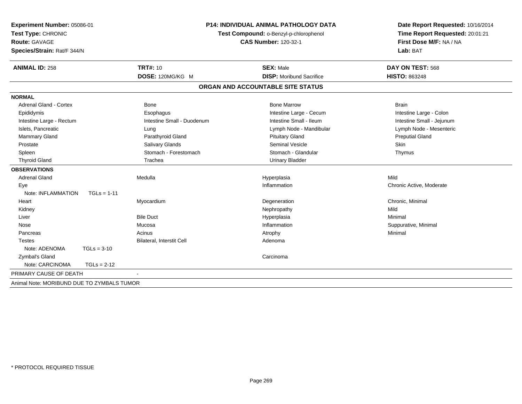| Experiment Number: 05086-01<br>Test Type: CHRONIC<br><b>Route: GAVAGE</b><br>Species/Strain: Rat/F 344/N |               | <b>P14: INDIVIDUAL ANIMAL PATHOLOGY DATA</b><br>Test Compound: o-Benzyl-p-chlorophenol | Date Report Requested: 10/16/2014<br>Time Report Requested: 20:01:21<br>First Dose M/F: NA / NA<br>Lab: BAT |                           |
|----------------------------------------------------------------------------------------------------------|---------------|----------------------------------------------------------------------------------------|-------------------------------------------------------------------------------------------------------------|---------------------------|
| <b>ANIMAL ID: 258</b>                                                                                    |               | <b>TRT#: 10</b>                                                                        | <b>SEX: Male</b>                                                                                            | DAY ON TEST: 568          |
|                                                                                                          |               | DOSE: 120MG/KG M                                                                       | <b>DISP:</b> Moribund Sacrifice                                                                             | <b>HISTO: 863248</b>      |
|                                                                                                          |               |                                                                                        | ORGAN AND ACCOUNTABLE SITE STATUS                                                                           |                           |
| <b>NORMAL</b>                                                                                            |               |                                                                                        |                                                                                                             |                           |
| Adrenal Gland - Cortex                                                                                   |               | Bone                                                                                   | <b>Bone Marrow</b>                                                                                          | <b>Brain</b>              |
| Epididymis                                                                                               |               | Esophagus                                                                              | Intestine Large - Cecum                                                                                     | Intestine Large - Colon   |
| Intestine Large - Rectum                                                                                 |               | Intestine Small - Duodenum                                                             | Intestine Small - Ileum                                                                                     | Intestine Small - Jejunum |
| Islets, Pancreatic                                                                                       |               | Lung                                                                                   | Lymph Node - Mandibular                                                                                     | Lymph Node - Mesenteric   |
| <b>Mammary Gland</b>                                                                                     |               | Parathyroid Gland                                                                      | <b>Pituitary Gland</b>                                                                                      | <b>Preputial Gland</b>    |
| Prostate                                                                                                 |               | Salivary Glands                                                                        | <b>Seminal Vesicle</b>                                                                                      | Skin                      |
| Spleen                                                                                                   |               | Stomach - Forestomach                                                                  | Stomach - Glandular                                                                                         | Thymus                    |
| <b>Thyroid Gland</b>                                                                                     |               | Trachea                                                                                | <b>Urinary Bladder</b>                                                                                      |                           |
| <b>OBSERVATIONS</b>                                                                                      |               |                                                                                        |                                                                                                             |                           |
| <b>Adrenal Gland</b>                                                                                     |               | Medulla                                                                                | Hyperplasia                                                                                                 | Mild                      |
| Eye                                                                                                      |               |                                                                                        | Inflammation                                                                                                | Chronic Active, Moderate  |
| Note: INFLAMMATION                                                                                       | $TGLs = 1-11$ |                                                                                        |                                                                                                             |                           |
| Heart                                                                                                    |               | Myocardium                                                                             | Degeneration                                                                                                | Chronic, Minimal          |
| Kidney                                                                                                   |               |                                                                                        | Nephropathy                                                                                                 | Mild                      |
| Liver                                                                                                    |               | <b>Bile Duct</b>                                                                       | Hyperplasia                                                                                                 | Minimal                   |
| Nose                                                                                                     |               | Mucosa                                                                                 | Inflammation                                                                                                | Suppurative, Minimal      |
| Pancreas                                                                                                 |               | Acinus                                                                                 | Atrophy                                                                                                     | Minimal                   |
| Testes                                                                                                   |               | Bilateral, Interstit Cell                                                              | Adenoma                                                                                                     |                           |
| Note: ADENOMA                                                                                            | $TGLs = 3-10$ |                                                                                        |                                                                                                             |                           |
| Zymbal's Gland                                                                                           |               |                                                                                        | Carcinoma                                                                                                   |                           |
| Note: CARCINOMA                                                                                          | $TGLs = 2-12$ |                                                                                        |                                                                                                             |                           |
| PRIMARY CAUSE OF DEATH                                                                                   |               |                                                                                        |                                                                                                             |                           |
| Animal Note: MORIBUND DUE TO ZYMBALS TUMOR                                                               |               |                                                                                        |                                                                                                             |                           |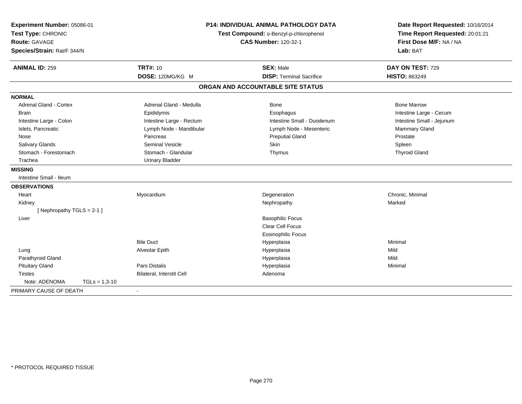| Experiment Number: 05086-01<br>Test Type: CHRONIC<br><b>Route: GAVAGE</b><br>Species/Strain: Rat/F 344/N |                           | <b>P14: INDIVIDUAL ANIMAL PATHOLOGY DATA</b><br>Test Compound: o-Benzyl-p-chlorophenol<br><b>CAS Number: 120-32-1</b> | Date Report Requested: 10/16/2014<br>Time Report Requested: 20:01:21<br>First Dose M/F: NA / NA<br>Lab: BAT |
|----------------------------------------------------------------------------------------------------------|---------------------------|-----------------------------------------------------------------------------------------------------------------------|-------------------------------------------------------------------------------------------------------------|
| <b>ANIMAL ID: 259</b>                                                                                    | <b>TRT#: 10</b>           | <b>SEX: Male</b>                                                                                                      | DAY ON TEST: 729                                                                                            |
|                                                                                                          | DOSE: 120MG/KG M          | <b>DISP: Terminal Sacrifice</b>                                                                                       | HISTO: 863249                                                                                               |
|                                                                                                          |                           | ORGAN AND ACCOUNTABLE SITE STATUS                                                                                     |                                                                                                             |
| <b>NORMAL</b>                                                                                            |                           |                                                                                                                       |                                                                                                             |
| <b>Adrenal Gland - Cortex</b>                                                                            | Adrenal Gland - Medulla   | <b>Bone</b>                                                                                                           | <b>Bone Marrow</b>                                                                                          |
| <b>Brain</b>                                                                                             | Epididymis                | Esophagus                                                                                                             | Intestine Large - Cecum                                                                                     |
| Intestine Large - Colon                                                                                  | Intestine Large - Rectum  | Intestine Small - Duodenum                                                                                            | Intestine Small - Jejunum                                                                                   |
| Islets, Pancreatic                                                                                       | Lymph Node - Mandibular   | Lymph Node - Mesenteric                                                                                               | Mammary Gland                                                                                               |
| Nose                                                                                                     | Pancreas                  | <b>Preputial Gland</b>                                                                                                | Prostate                                                                                                    |
| Salivary Glands                                                                                          | <b>Seminal Vesicle</b>    | Skin                                                                                                                  | Spleen                                                                                                      |
| Stomach - Forestomach                                                                                    | Stomach - Glandular       | Thymus                                                                                                                | <b>Thyroid Gland</b>                                                                                        |
| Trachea                                                                                                  | <b>Urinary Bladder</b>    |                                                                                                                       |                                                                                                             |
| <b>MISSING</b>                                                                                           |                           |                                                                                                                       |                                                                                                             |
| Intestine Small - Ileum                                                                                  |                           |                                                                                                                       |                                                                                                             |
| <b>OBSERVATIONS</b>                                                                                      |                           |                                                                                                                       |                                                                                                             |
| Heart                                                                                                    | Myocardium                | Degeneration                                                                                                          | Chronic, Minimal                                                                                            |
| Kidney                                                                                                   |                           | Nephropathy                                                                                                           | Marked                                                                                                      |
| [Nephropathy TGLS = 2-1]                                                                                 |                           |                                                                                                                       |                                                                                                             |
| Liver                                                                                                    |                           | <b>Basophilic Focus</b>                                                                                               |                                                                                                             |
|                                                                                                          |                           | <b>Clear Cell Focus</b>                                                                                               |                                                                                                             |
|                                                                                                          |                           | <b>Eosinophilic Focus</b>                                                                                             |                                                                                                             |
|                                                                                                          | <b>Bile Duct</b>          | Hyperplasia                                                                                                           | Minimal                                                                                                     |
| Lung                                                                                                     | Alveolar Epith            | Hyperplasia                                                                                                           | Mild                                                                                                        |
| Parathyroid Gland                                                                                        |                           | Hyperplasia                                                                                                           | Mild                                                                                                        |
| <b>Pituitary Gland</b>                                                                                   | Pars Distalis             | Hyperplasia                                                                                                           | Minimal                                                                                                     |
| <b>Testes</b>                                                                                            | Bilateral, Interstit Cell | Adenoma                                                                                                               |                                                                                                             |
| Note: ADENOMA<br>$TGLs = 1,3-10$                                                                         |                           |                                                                                                                       |                                                                                                             |
| PRIMARY CAUSE OF DEATH                                                                                   | $\blacksquare$            |                                                                                                                       |                                                                                                             |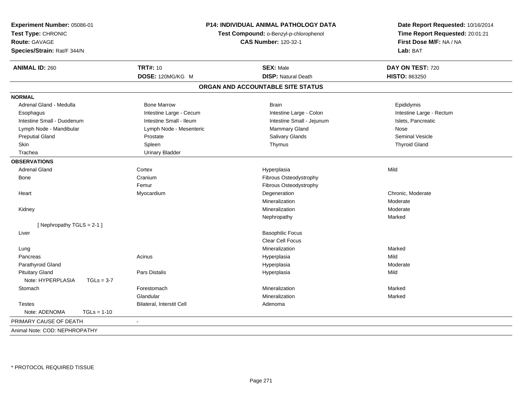| Experiment Number: 05086-01<br>Test Type: CHRONIC<br><b>Route: GAVAGE</b><br>Species/Strain: Rat/F 344/N |                           | <b>P14: INDIVIDUAL ANIMAL PATHOLOGY DATA</b><br>Test Compound: o-Benzyl-p-chlorophenol<br><b>CAS Number: 120-32-1</b> | Date Report Requested: 10/16/2014<br>Time Report Requested: 20:01:21<br>First Dose M/F: NA / NA<br>Lab: BAT |  |
|----------------------------------------------------------------------------------------------------------|---------------------------|-----------------------------------------------------------------------------------------------------------------------|-------------------------------------------------------------------------------------------------------------|--|
| <b>ANIMAL ID: 260</b>                                                                                    | <b>TRT#: 10</b>           | <b>SEX: Male</b>                                                                                                      | DAY ON TEST: 720                                                                                            |  |
|                                                                                                          | DOSE: 120MG/KG M          | <b>DISP: Natural Death</b>                                                                                            | HISTO: 863250                                                                                               |  |
|                                                                                                          |                           | ORGAN AND ACCOUNTABLE SITE STATUS                                                                                     |                                                                                                             |  |
| <b>NORMAL</b>                                                                                            |                           |                                                                                                                       |                                                                                                             |  |
| Adrenal Gland - Medulla                                                                                  | <b>Bone Marrow</b>        | <b>Brain</b>                                                                                                          | Epididymis                                                                                                  |  |
| Esophagus                                                                                                | Intestine Large - Cecum   | Intestine Large - Colon                                                                                               | Intestine Large - Rectum                                                                                    |  |
| Intestine Small - Duodenum                                                                               | Intestine Small - Ileum   | Intestine Small - Jejunum                                                                                             | Islets, Pancreatic                                                                                          |  |
| Lymph Node - Mandibular                                                                                  | Lymph Node - Mesenteric   | Mammary Gland                                                                                                         | Nose                                                                                                        |  |
| <b>Preputial Gland</b>                                                                                   | Prostate                  | Salivary Glands                                                                                                       | <b>Seminal Vesicle</b>                                                                                      |  |
| Skin                                                                                                     | Spleen                    | Thymus                                                                                                                | <b>Thyroid Gland</b>                                                                                        |  |
| Trachea                                                                                                  | <b>Urinary Bladder</b>    |                                                                                                                       |                                                                                                             |  |
| <b>OBSERVATIONS</b>                                                                                      |                           |                                                                                                                       |                                                                                                             |  |
| <b>Adrenal Gland</b>                                                                                     | Cortex                    | Hyperplasia                                                                                                           | Mild                                                                                                        |  |
| Bone                                                                                                     | Cranium                   | Fibrous Osteodystrophy                                                                                                |                                                                                                             |  |
|                                                                                                          | Femur                     | Fibrous Osteodystrophy                                                                                                |                                                                                                             |  |
| Heart                                                                                                    | Myocardium                | Degeneration                                                                                                          | Chronic, Moderate                                                                                           |  |
|                                                                                                          |                           | Mineralization                                                                                                        | Moderate                                                                                                    |  |
| Kidney                                                                                                   |                           | Mineralization                                                                                                        | Moderate                                                                                                    |  |
|                                                                                                          |                           | Nephropathy                                                                                                           | Marked                                                                                                      |  |
| [Nephropathy TGLS = 2-1]                                                                                 |                           |                                                                                                                       |                                                                                                             |  |
| Liver                                                                                                    |                           | <b>Basophilic Focus</b>                                                                                               |                                                                                                             |  |
|                                                                                                          |                           | Clear Cell Focus                                                                                                      |                                                                                                             |  |
| Lung                                                                                                     |                           | Mineralization                                                                                                        | Marked                                                                                                      |  |
| Pancreas                                                                                                 | Acinus                    | Hyperplasia                                                                                                           | Mild                                                                                                        |  |
| Parathyroid Gland                                                                                        |                           | Hyperplasia                                                                                                           | Moderate                                                                                                    |  |
| <b>Pituitary Gland</b>                                                                                   | Pars Distalis             | Hyperplasia                                                                                                           | Mild                                                                                                        |  |
| Note: HYPERPLASIA<br>$TGLs = 3-7$                                                                        |                           |                                                                                                                       |                                                                                                             |  |
| Stomach                                                                                                  | Forestomach               | Mineralization                                                                                                        | Marked                                                                                                      |  |
|                                                                                                          | Glandular                 | Mineralization                                                                                                        | Marked                                                                                                      |  |
| <b>Testes</b>                                                                                            | Bilateral, Interstit Cell | Adenoma                                                                                                               |                                                                                                             |  |
| Note: ADENOMA<br>$TGLs = 1-10$                                                                           |                           |                                                                                                                       |                                                                                                             |  |
| PRIMARY CAUSE OF DEATH                                                                                   | $\sim$                    |                                                                                                                       |                                                                                                             |  |
| Animal Note: COD: NEPHROPATHY                                                                            |                           |                                                                                                                       |                                                                                                             |  |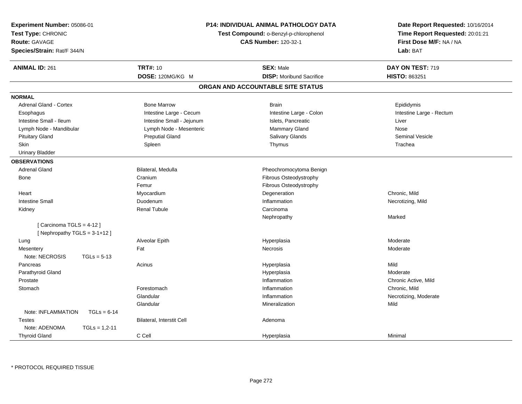| Experiment Number: 05086-01<br>Test Type: CHRONIC<br><b>Route: GAVAGE</b><br>Species/Strain: Rat/F 344/N | P14: INDIVIDUAL ANIMAL PATHOLOGY DATA<br>Test Compound: o-Benzyl-p-chlorophenol<br><b>CAS Number: 120-32-1</b> |                                   | Date Report Requested: 10/16/2014<br>Time Report Requested: 20:01:21<br>First Dose M/F: NA / NA<br>Lab: BAT |
|----------------------------------------------------------------------------------------------------------|----------------------------------------------------------------------------------------------------------------|-----------------------------------|-------------------------------------------------------------------------------------------------------------|
| <b>ANIMAL ID: 261</b>                                                                                    | <b>TRT#: 10</b>                                                                                                | <b>SEX: Male</b>                  | DAY ON TEST: 719                                                                                            |
|                                                                                                          | DOSE: 120MG/KG M                                                                                               | <b>DISP:</b> Moribund Sacrifice   | <b>HISTO: 863251</b>                                                                                        |
|                                                                                                          |                                                                                                                | ORGAN AND ACCOUNTABLE SITE STATUS |                                                                                                             |
| <b>NORMAL</b>                                                                                            |                                                                                                                |                                   |                                                                                                             |
| <b>Adrenal Gland - Cortex</b>                                                                            | <b>Bone Marrow</b>                                                                                             | <b>Brain</b>                      | Epididymis                                                                                                  |
| Esophagus                                                                                                | Intestine Large - Cecum                                                                                        | Intestine Large - Colon           | Intestine Large - Rectum                                                                                    |
| Intestine Small - Ileum                                                                                  | Intestine Small - Jejunum                                                                                      | Islets, Pancreatic                | Liver                                                                                                       |
| Lymph Node - Mandibular                                                                                  | Lymph Node - Mesenteric                                                                                        | Mammary Gland                     | Nose                                                                                                        |
| <b>Pituitary Gland</b>                                                                                   | <b>Preputial Gland</b>                                                                                         | Salivary Glands                   | <b>Seminal Vesicle</b>                                                                                      |
| Skin                                                                                                     | Spleen                                                                                                         | Thymus                            | Trachea                                                                                                     |
| <b>Urinary Bladder</b>                                                                                   |                                                                                                                |                                   |                                                                                                             |
| <b>OBSERVATIONS</b>                                                                                      |                                                                                                                |                                   |                                                                                                             |
| <b>Adrenal Gland</b>                                                                                     | Bilateral, Medulla                                                                                             | Pheochromocytoma Benign           |                                                                                                             |
| <b>Bone</b>                                                                                              | Cranium                                                                                                        | Fibrous Osteodystrophy            |                                                                                                             |
|                                                                                                          | Femur                                                                                                          | Fibrous Osteodystrophy            |                                                                                                             |
| Heart                                                                                                    | Myocardium                                                                                                     | Degeneration                      | Chronic, Mild                                                                                               |
| <b>Intestine Small</b>                                                                                   | Duodenum                                                                                                       | Inflammation                      | Necrotizing, Mild                                                                                           |
| Kidney                                                                                                   | <b>Renal Tubule</b>                                                                                            | Carcinoma                         |                                                                                                             |
|                                                                                                          |                                                                                                                | Nephropathy                       | Marked                                                                                                      |
| [Carcinoma TGLS = $4-12$ ]<br>[Nephropathy TGLS = 3-1+12]                                                |                                                                                                                |                                   |                                                                                                             |
| Lung                                                                                                     | Alveolar Epith                                                                                                 | Hyperplasia                       | Moderate                                                                                                    |
| Mesentery                                                                                                | Fat                                                                                                            | <b>Necrosis</b>                   | Moderate                                                                                                    |
| Note: NECROSIS<br>$TGLs = 5-13$                                                                          |                                                                                                                |                                   |                                                                                                             |
| Pancreas                                                                                                 | Acinus                                                                                                         | Hyperplasia                       | Mild                                                                                                        |
| Parathyroid Gland                                                                                        |                                                                                                                | Hyperplasia                       | Moderate                                                                                                    |
| Prostate                                                                                                 |                                                                                                                | Inflammation                      | Chronic Active, Mild                                                                                        |
| Stomach                                                                                                  | Forestomach                                                                                                    | Inflammation                      | Chronic, Mild                                                                                               |
|                                                                                                          | Glandular                                                                                                      | Inflammation                      | Necrotizing, Moderate                                                                                       |
|                                                                                                          | Glandular                                                                                                      | Mineralization                    | Mild                                                                                                        |
| Note: INFLAMMATION<br>$TGLs = 6-14$                                                                      |                                                                                                                |                                   |                                                                                                             |
| <b>Testes</b>                                                                                            | Bilateral, Interstit Cell                                                                                      | Adenoma                           |                                                                                                             |
| Note: ADENOMA<br>$TGLs = 1.2 - 11$                                                                       |                                                                                                                |                                   |                                                                                                             |
| <b>Thyroid Gland</b>                                                                                     | C Cell                                                                                                         | Hyperplasia                       | Minimal                                                                                                     |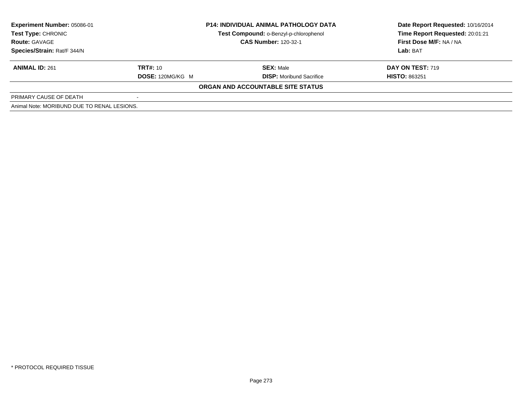| Experiment Number: 05086-01                 | <b>P14: INDIVIDUAL ANIMAL PATHOLOGY DATA</b> |                                        | Date Report Requested: 10/16/2014 |
|---------------------------------------------|----------------------------------------------|----------------------------------------|-----------------------------------|
| <b>Test Type: CHRONIC</b>                   |                                              | Test Compound: o-Benzyl-p-chlorophenol | Time Report Requested: 20:01:21   |
| <b>Route: GAVAGE</b>                        |                                              | <b>CAS Number: 120-32-1</b>            | First Dose M/F: NA / NA           |
| Species/Strain: Rat/F 344/N                 |                                              |                                        | Lab: BAT                          |
| <b>ANIMAL ID: 261</b>                       | <b>TRT#: 10</b>                              | <b>SEX:</b> Male                       | DAY ON TEST: 719                  |
|                                             | DOSE: 120MG/KG M                             | <b>DISP:</b> Moribund Sacrifice        | <b>HISTO: 863251</b>              |
|                                             |                                              | ORGAN AND ACCOUNTABLE SITE STATUS      |                                   |
| PRIMARY CAUSE OF DEATH                      |                                              |                                        |                                   |
| Animal Note: MORIBUND DUE TO RENAL LESIONS. |                                              |                                        |                                   |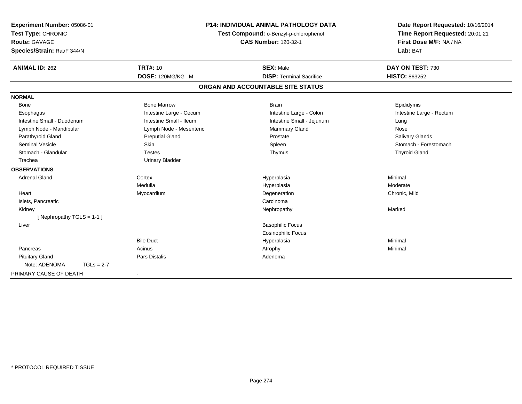| Experiment Number: 05086-01                |              |                         | <b>P14: INDIVIDUAL ANIMAL PATHOLOGY DATA</b>                          | Date Report Requested: 10/16/2014<br>Time Report Requested: 20:01:21 |  |
|--------------------------------------------|--------------|-------------------------|-----------------------------------------------------------------------|----------------------------------------------------------------------|--|
| Test Type: CHRONIC<br><b>Route: GAVAGE</b> |              |                         | Test Compound: o-Benzyl-p-chlorophenol<br><b>CAS Number: 120-32-1</b> | First Dose M/F: NA / NA                                              |  |
|                                            |              |                         |                                                                       |                                                                      |  |
| Species/Strain: Rat/F 344/N                |              |                         |                                                                       | Lab: BAT                                                             |  |
| <b>ANIMAL ID: 262</b>                      |              | <b>TRT#: 10</b>         | <b>SEX: Male</b>                                                      | DAY ON TEST: 730                                                     |  |
|                                            |              | DOSE: 120MG/KG M        | <b>DISP: Terminal Sacrifice</b>                                       | <b>HISTO: 863252</b>                                                 |  |
|                                            |              |                         | ORGAN AND ACCOUNTABLE SITE STATUS                                     |                                                                      |  |
| <b>NORMAL</b>                              |              |                         |                                                                       |                                                                      |  |
| Bone                                       |              | <b>Bone Marrow</b>      | <b>Brain</b>                                                          | Epididymis                                                           |  |
| Esophagus                                  |              | Intestine Large - Cecum | Intestine Large - Colon                                               | Intestine Large - Rectum                                             |  |
| Intestine Small - Duodenum                 |              | Intestine Small - Ileum | Intestine Small - Jejunum                                             | Lung                                                                 |  |
| Lymph Node - Mandibular                    |              | Lymph Node - Mesenteric | Mammary Gland                                                         | Nose                                                                 |  |
| Parathyroid Gland                          |              | <b>Preputial Gland</b>  | Prostate                                                              | Salivary Glands                                                      |  |
| Seminal Vesicle                            |              | Skin                    | Spleen                                                                | Stomach - Forestomach                                                |  |
| Stomach - Glandular                        |              | <b>Testes</b>           | Thymus                                                                | <b>Thyroid Gland</b>                                                 |  |
| Trachea                                    |              | <b>Urinary Bladder</b>  |                                                                       |                                                                      |  |
| <b>OBSERVATIONS</b>                        |              |                         |                                                                       |                                                                      |  |
| <b>Adrenal Gland</b>                       |              | Cortex                  | Hyperplasia                                                           | Minimal                                                              |  |
|                                            |              | Medulla                 | Hyperplasia                                                           | Moderate                                                             |  |
| Heart                                      |              | Myocardium              | Degeneration                                                          | Chronic, Mild                                                        |  |
| Islets, Pancreatic                         |              |                         | Carcinoma                                                             |                                                                      |  |
| Kidney                                     |              |                         | Nephropathy                                                           | Marked                                                               |  |
| [Nephropathy TGLS = $1-1$ ]                |              |                         |                                                                       |                                                                      |  |
| Liver                                      |              |                         | <b>Basophilic Focus</b>                                               |                                                                      |  |
|                                            |              |                         | <b>Eosinophilic Focus</b>                                             |                                                                      |  |
|                                            |              | <b>Bile Duct</b>        | Hyperplasia                                                           | Minimal                                                              |  |
| Pancreas                                   |              | Acinus                  | Atrophy                                                               | Minimal                                                              |  |
| <b>Pituitary Gland</b>                     |              | Pars Distalis           | Adenoma                                                               |                                                                      |  |
| Note: ADENOMA                              | $TGLs = 2-7$ |                         |                                                                       |                                                                      |  |
| PRIMARY CAUSE OF DEATH                     |              |                         |                                                                       |                                                                      |  |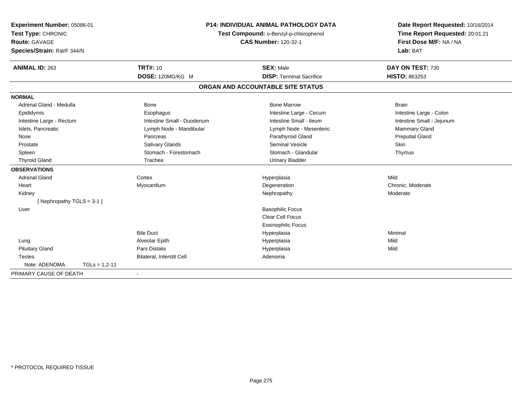| Experiment Number: 05086-01<br>Test Type: CHRONIC |                  | <b>P14: INDIVIDUAL ANIMAL PATHOLOGY DATA</b><br>Test Compound: o-Benzyl-p-chlorophenol |                                   | Date Report Requested: 10/16/2014<br>Time Report Requested: 20:01:21 |  |
|---------------------------------------------------|------------------|----------------------------------------------------------------------------------------|-----------------------------------|----------------------------------------------------------------------|--|
| <b>Route: GAVAGE</b>                              |                  |                                                                                        | <b>CAS Number: 120-32-1</b>       | First Dose M/F: NA / NA                                              |  |
| Species/Strain: Rat/F 344/N                       |                  |                                                                                        |                                   | Lab: BAT                                                             |  |
|                                                   |                  |                                                                                        |                                   |                                                                      |  |
| <b>ANIMAL ID: 263</b>                             | <b>TRT#: 10</b>  |                                                                                        | <b>SEX: Male</b>                  | DAY ON TEST: 730                                                     |  |
|                                                   |                  | DOSE: 120MG/KG M                                                                       | <b>DISP: Terminal Sacrifice</b>   | HISTO: 863253                                                        |  |
|                                                   |                  |                                                                                        | ORGAN AND ACCOUNTABLE SITE STATUS |                                                                      |  |
| <b>NORMAL</b>                                     |                  |                                                                                        |                                   |                                                                      |  |
| Adrenal Gland - Medulla                           | <b>Bone</b>      |                                                                                        | <b>Bone Marrow</b>                | <b>Brain</b>                                                         |  |
| Epididymis                                        |                  | Esophagus                                                                              | Intestine Large - Cecum           | Intestine Large - Colon                                              |  |
| Intestine Large - Rectum                          |                  | Intestine Small - Duodenum                                                             | Intestine Small - Ileum           | Intestine Small - Jejunum                                            |  |
| Islets, Pancreatic                                |                  | Lymph Node - Mandibular                                                                | Lymph Node - Mesenteric           | Mammary Gland                                                        |  |
| Nose                                              |                  | Pancreas                                                                               | Parathyroid Gland                 | <b>Preputial Gland</b>                                               |  |
| Prostate                                          |                  | Salivary Glands                                                                        | Seminal Vesicle                   | <b>Skin</b>                                                          |  |
| Spleen                                            |                  | Stomach - Forestomach                                                                  | Stomach - Glandular               | Thymus                                                               |  |
| <b>Thyroid Gland</b>                              | Trachea          |                                                                                        | <b>Urinary Bladder</b>            |                                                                      |  |
| <b>OBSERVATIONS</b>                               |                  |                                                                                        |                                   |                                                                      |  |
| <b>Adrenal Gland</b>                              | Cortex           |                                                                                        | Hyperplasia                       | Mild                                                                 |  |
| Heart                                             | Myocardium       |                                                                                        | Degeneration                      | Chronic, Moderate                                                    |  |
| Kidney                                            |                  |                                                                                        | Nephropathy                       | Moderate                                                             |  |
| [Nephropathy TGLS = $3-1$ ]                       |                  |                                                                                        |                                   |                                                                      |  |
| Liver                                             |                  |                                                                                        | <b>Basophilic Focus</b>           |                                                                      |  |
|                                                   |                  |                                                                                        | Clear Cell Focus                  |                                                                      |  |
|                                                   |                  |                                                                                        | <b>Eosinophilic Focus</b>         |                                                                      |  |
|                                                   | <b>Bile Duct</b> |                                                                                        | Hyperplasia                       | Minimal                                                              |  |
| Lung                                              | Alveolar Epith   |                                                                                        | Hyperplasia                       | Mild                                                                 |  |
| <b>Pituitary Gland</b>                            | Pars Distalis    |                                                                                        | Hyperplasia                       | Mild                                                                 |  |
| <b>Testes</b>                                     |                  | Bilateral, Interstit Cell                                                              | Adenoma                           |                                                                      |  |
| Note: ADENOMA                                     | $TGLs = 1,2-11$  |                                                                                        |                                   |                                                                      |  |
| PRIMARY CAUSE OF DEATH                            |                  |                                                                                        |                                   |                                                                      |  |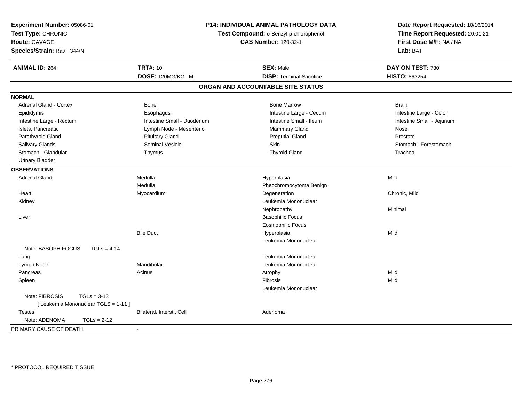| Experiment Number: 05086-01<br>Test Type: CHRONIC<br>Route: GAVAGE<br>Species/Strain: Rat/F 344/N |                            | P14: INDIVIDUAL ANIMAL PATHOLOGY DATA<br>Test Compound: o-Benzyl-p-chlorophenol<br><b>CAS Number: 120-32-1</b> | Date Report Requested: 10/16/2014<br>Time Report Requested: 20:01:21<br>First Dose M/F: NA / NA<br>Lab: BAT |  |
|---------------------------------------------------------------------------------------------------|----------------------------|----------------------------------------------------------------------------------------------------------------|-------------------------------------------------------------------------------------------------------------|--|
| <b>ANIMAL ID: 264</b>                                                                             | <b>TRT#: 10</b>            | <b>SEX: Male</b>                                                                                               | DAY ON TEST: 730                                                                                            |  |
|                                                                                                   | DOSE: 120MG/KG M           | <b>DISP: Terminal Sacrifice</b>                                                                                | <b>HISTO: 863254</b>                                                                                        |  |
|                                                                                                   |                            | ORGAN AND ACCOUNTABLE SITE STATUS                                                                              |                                                                                                             |  |
| <b>NORMAL</b>                                                                                     |                            |                                                                                                                |                                                                                                             |  |
| <b>Adrenal Gland - Cortex</b>                                                                     | Bone                       | <b>Bone Marrow</b>                                                                                             | <b>Brain</b>                                                                                                |  |
| Epididymis                                                                                        | Esophagus                  | Intestine Large - Cecum                                                                                        | Intestine Large - Colon                                                                                     |  |
| Intestine Large - Rectum                                                                          | Intestine Small - Duodenum | Intestine Small - Ileum                                                                                        | Intestine Small - Jejunum                                                                                   |  |
| Islets, Pancreatic                                                                                | Lymph Node - Mesenteric    | Mammary Gland                                                                                                  | Nose                                                                                                        |  |
| Parathyroid Gland                                                                                 | <b>Pituitary Gland</b>     | <b>Preputial Gland</b>                                                                                         | Prostate                                                                                                    |  |
| Salivary Glands                                                                                   | <b>Seminal Vesicle</b>     | Skin                                                                                                           | Stomach - Forestomach                                                                                       |  |
| Stomach - Glandular                                                                               | Thymus                     | <b>Thyroid Gland</b>                                                                                           | Trachea                                                                                                     |  |
| <b>Urinary Bladder</b>                                                                            |                            |                                                                                                                |                                                                                                             |  |
| <b>OBSERVATIONS</b>                                                                               |                            |                                                                                                                |                                                                                                             |  |
| <b>Adrenal Gland</b>                                                                              | Medulla                    | Hyperplasia                                                                                                    | Mild                                                                                                        |  |
|                                                                                                   | Medulla                    | Pheochromocytoma Benign                                                                                        |                                                                                                             |  |
| Heart                                                                                             | Myocardium                 | Degeneration                                                                                                   | Chronic, Mild                                                                                               |  |
| Kidney                                                                                            |                            | Leukemia Mononuclear                                                                                           |                                                                                                             |  |
|                                                                                                   |                            | Nephropathy                                                                                                    | Minimal                                                                                                     |  |
| Liver                                                                                             |                            | <b>Basophilic Focus</b>                                                                                        |                                                                                                             |  |
|                                                                                                   |                            | <b>Eosinophilic Focus</b>                                                                                      |                                                                                                             |  |
|                                                                                                   | <b>Bile Duct</b>           | Hyperplasia                                                                                                    | Mild                                                                                                        |  |
|                                                                                                   |                            | Leukemia Mononuclear                                                                                           |                                                                                                             |  |
| Note: BASOPH FOCUS<br>$TGLs = 4-14$                                                               |                            |                                                                                                                |                                                                                                             |  |
| Lung                                                                                              |                            | Leukemia Mononuclear                                                                                           |                                                                                                             |  |
| Lymph Node                                                                                        | Mandibular                 | Leukemia Mononuclear                                                                                           |                                                                                                             |  |
| Pancreas                                                                                          | Acinus                     | Atrophy                                                                                                        | Mild                                                                                                        |  |
| Spleen                                                                                            |                            | Fibrosis                                                                                                       | Mild                                                                                                        |  |
|                                                                                                   |                            | Leukemia Mononuclear                                                                                           |                                                                                                             |  |
| Note: FIBROSIS<br>$TGLs = 3-13$                                                                   |                            |                                                                                                                |                                                                                                             |  |
| [ Leukemia Mononuclear TGLS = 1-11 ]                                                              |                            |                                                                                                                |                                                                                                             |  |
| <b>Testes</b>                                                                                     | Bilateral, Interstit Cell  | Adenoma                                                                                                        |                                                                                                             |  |
| Note: ADENOMA<br>$TGLs = 2-12$                                                                    |                            |                                                                                                                |                                                                                                             |  |
| PRIMARY CAUSE OF DEATH                                                                            |                            |                                                                                                                |                                                                                                             |  |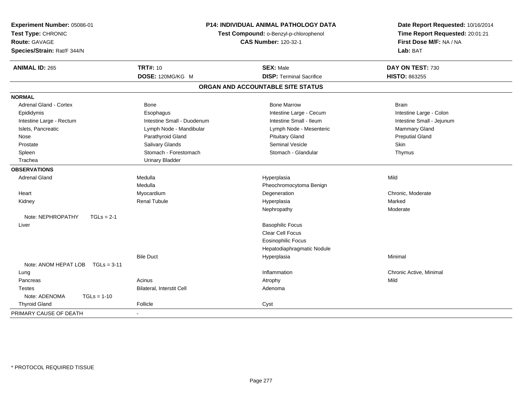| Experiment Number: 05086-01<br>Test Type: CHRONIC<br><b>Route: GAVAGE</b><br>Species/Strain: Rat/F 344/N | <b>P14: INDIVIDUAL ANIMAL PATHOLOGY DATA</b><br>Test Compound: o-Benzyl-p-chlorophenol<br><b>CAS Number: 120-32-1</b> |                                   | Date Report Requested: 10/16/2014<br>Time Report Requested: 20:01:21<br>First Dose M/F: NA / NA<br>Lab: BAT |
|----------------------------------------------------------------------------------------------------------|-----------------------------------------------------------------------------------------------------------------------|-----------------------------------|-------------------------------------------------------------------------------------------------------------|
| <b>ANIMAL ID: 265</b>                                                                                    | <b>TRT#: 10</b>                                                                                                       | <b>SEX: Male</b>                  | DAY ON TEST: 730                                                                                            |
|                                                                                                          | DOSE: 120MG/KG M                                                                                                      | <b>DISP: Terminal Sacrifice</b>   | <b>HISTO: 863255</b>                                                                                        |
|                                                                                                          |                                                                                                                       | ORGAN AND ACCOUNTABLE SITE STATUS |                                                                                                             |
| <b>NORMAL</b>                                                                                            |                                                                                                                       |                                   |                                                                                                             |
| Adrenal Gland - Cortex                                                                                   | Bone                                                                                                                  | <b>Bone Marrow</b>                | <b>Brain</b>                                                                                                |
| Epididymis                                                                                               | Esophagus                                                                                                             | Intestine Large - Cecum           | Intestine Large - Colon                                                                                     |
| Intestine Large - Rectum                                                                                 | Intestine Small - Duodenum                                                                                            | Intestine Small - Ileum           | Intestine Small - Jejunum                                                                                   |
| Islets, Pancreatic                                                                                       | Lymph Node - Mandibular                                                                                               | Lymph Node - Mesenteric           | Mammary Gland                                                                                               |
| Nose                                                                                                     | Parathyroid Gland                                                                                                     | <b>Pituitary Gland</b>            | <b>Preputial Gland</b>                                                                                      |
| Prostate                                                                                                 | Salivary Glands                                                                                                       | Seminal Vesicle                   | Skin                                                                                                        |
| Spleen                                                                                                   | Stomach - Forestomach                                                                                                 | Stomach - Glandular               | Thymus                                                                                                      |
| Trachea                                                                                                  | <b>Urinary Bladder</b>                                                                                                |                                   |                                                                                                             |
| <b>OBSERVATIONS</b>                                                                                      |                                                                                                                       |                                   |                                                                                                             |
| <b>Adrenal Gland</b>                                                                                     | Medulla                                                                                                               | Hyperplasia                       | Mild                                                                                                        |
|                                                                                                          | Medulla                                                                                                               | Pheochromocytoma Benign           |                                                                                                             |
| Heart                                                                                                    | Myocardium                                                                                                            | Degeneration                      | Chronic, Moderate                                                                                           |
| Kidney                                                                                                   | <b>Renal Tubule</b>                                                                                                   | Hyperplasia                       | Marked                                                                                                      |
|                                                                                                          |                                                                                                                       | Nephropathy                       | Moderate                                                                                                    |
| Note: NEPHROPATHY<br>$TGLs = 2-1$                                                                        |                                                                                                                       |                                   |                                                                                                             |
| Liver                                                                                                    |                                                                                                                       | <b>Basophilic Focus</b>           |                                                                                                             |
|                                                                                                          |                                                                                                                       | Clear Cell Focus                  |                                                                                                             |
|                                                                                                          |                                                                                                                       | <b>Eosinophilic Focus</b>         |                                                                                                             |
|                                                                                                          |                                                                                                                       | Hepatodiaphragmatic Nodule        |                                                                                                             |
|                                                                                                          | <b>Bile Duct</b>                                                                                                      | Hyperplasia                       | Minimal                                                                                                     |
| Note: ANOM HEPAT LOB<br>$TGLs = 3-11$                                                                    |                                                                                                                       |                                   |                                                                                                             |
| Lung                                                                                                     |                                                                                                                       | Inflammation                      | Chronic Active, Minimal                                                                                     |
| Pancreas                                                                                                 | Acinus                                                                                                                | Atrophy                           | Mild                                                                                                        |
| <b>Testes</b>                                                                                            | Bilateral, Interstit Cell                                                                                             | Adenoma                           |                                                                                                             |
| Note: ADENOMA<br>$TGLs = 1-10$                                                                           |                                                                                                                       |                                   |                                                                                                             |
| <b>Thyroid Gland</b>                                                                                     | Follicle                                                                                                              | Cyst                              |                                                                                                             |
| PRIMARY CAUSE OF DEATH                                                                                   | $\sim$                                                                                                                |                                   |                                                                                                             |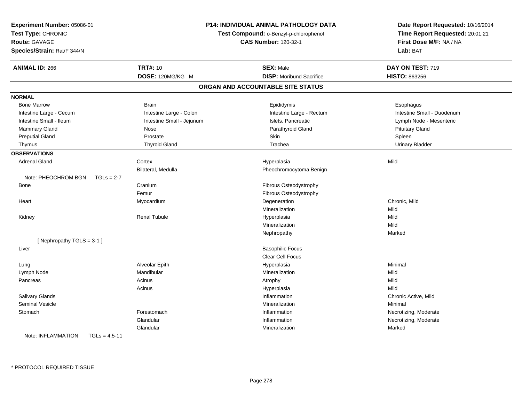| Experiment Number: 05086-01<br>Test Type: CHRONIC<br>Route: GAVAGE<br>Species/Strain: Rat/F 344/N | P14: INDIVIDUAL ANIMAL PATHOLOGY DATA<br>Test Compound: o-Benzyl-p-chlorophenol<br><b>CAS Number: 120-32-1</b> |                                   | Date Report Requested: 10/16/2014<br>Time Report Requested: 20:01:21<br>First Dose M/F: NA / NA<br>Lab: BAT |
|---------------------------------------------------------------------------------------------------|----------------------------------------------------------------------------------------------------------------|-----------------------------------|-------------------------------------------------------------------------------------------------------------|
| <b>ANIMAL ID: 266</b>                                                                             | <b>TRT#: 10</b>                                                                                                | <b>SEX: Male</b>                  | DAY ON TEST: 719                                                                                            |
|                                                                                                   | DOSE: 120MG/KG M                                                                                               | <b>DISP:</b> Moribund Sacrifice   | <b>HISTO: 863256</b>                                                                                        |
|                                                                                                   |                                                                                                                | ORGAN AND ACCOUNTABLE SITE STATUS |                                                                                                             |
| <b>NORMAL</b>                                                                                     |                                                                                                                |                                   |                                                                                                             |
| <b>Bone Marrow</b>                                                                                | <b>Brain</b>                                                                                                   | Epididymis                        | Esophagus                                                                                                   |
| Intestine Large - Cecum                                                                           | Intestine Large - Colon                                                                                        | Intestine Large - Rectum          | Intestine Small - Duodenum                                                                                  |
| Intestine Small - Ileum                                                                           | Intestine Small - Jejunum                                                                                      | Islets, Pancreatic                | Lymph Node - Mesenteric                                                                                     |
| Mammary Gland                                                                                     | Nose                                                                                                           | Parathyroid Gland                 | <b>Pituitary Gland</b>                                                                                      |
| <b>Preputial Gland</b>                                                                            | Prostate                                                                                                       | Skin                              | Spleen                                                                                                      |
| Thymus                                                                                            | <b>Thyroid Gland</b>                                                                                           | Trachea                           | <b>Urinary Bladder</b>                                                                                      |
| <b>OBSERVATIONS</b>                                                                               |                                                                                                                |                                   |                                                                                                             |
| <b>Adrenal Gland</b>                                                                              | Cortex                                                                                                         | Hyperplasia                       | Mild                                                                                                        |
|                                                                                                   | Bilateral, Medulla                                                                                             | Pheochromocytoma Benign           |                                                                                                             |
| Note: PHEOCHROM BGN<br>$TGLs = 2-7$                                                               |                                                                                                                |                                   |                                                                                                             |
| <b>Bone</b>                                                                                       | Cranium                                                                                                        | Fibrous Osteodystrophy            |                                                                                                             |
|                                                                                                   | Femur                                                                                                          | Fibrous Osteodystrophy            |                                                                                                             |
| Heart                                                                                             | Myocardium                                                                                                     | Degeneration                      | Chronic, Mild                                                                                               |
|                                                                                                   |                                                                                                                | Mineralization                    | Mild                                                                                                        |
| Kidney                                                                                            | <b>Renal Tubule</b>                                                                                            | Hyperplasia                       | Mild                                                                                                        |
|                                                                                                   |                                                                                                                | Mineralization                    | Mild                                                                                                        |
|                                                                                                   |                                                                                                                | Nephropathy                       | Marked                                                                                                      |
| [Nephropathy TGLS = 3-1]                                                                          |                                                                                                                |                                   |                                                                                                             |
| Liver                                                                                             |                                                                                                                | <b>Basophilic Focus</b>           |                                                                                                             |
|                                                                                                   |                                                                                                                | Clear Cell Focus                  |                                                                                                             |
| Lung                                                                                              | Alveolar Epith                                                                                                 | Hyperplasia                       | Minimal                                                                                                     |
| Lymph Node                                                                                        | Mandibular                                                                                                     | Mineralization                    | Mild                                                                                                        |
| Pancreas                                                                                          | Acinus                                                                                                         | Atrophy                           | Mild                                                                                                        |
|                                                                                                   | Acinus                                                                                                         | Hyperplasia                       | Mild                                                                                                        |
| Salivary Glands                                                                                   |                                                                                                                | Inflammation                      | Chronic Active, Mild                                                                                        |
| <b>Seminal Vesicle</b>                                                                            |                                                                                                                | Mineralization                    | Minimal                                                                                                     |
| Stomach                                                                                           | Forestomach                                                                                                    | Inflammation                      | Necrotizing, Moderate                                                                                       |
|                                                                                                   | Glandular                                                                                                      | Inflammation                      | Necrotizing, Moderate                                                                                       |
|                                                                                                   | Glandular                                                                                                      | Mineralization                    | Marked                                                                                                      |
| Note: INFLAMMATION<br>$TGLs = 4.5 - 11$                                                           |                                                                                                                |                                   |                                                                                                             |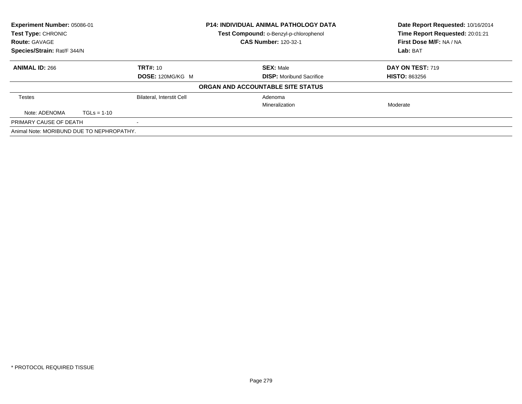| Experiment Number: 05086-01               |                                  | <b>P14: INDIVIDUAL ANIMAL PATHOLOGY DATA</b> | Date Report Requested: 10/16/2014<br>Time Report Requested: 20:01:21 |
|-------------------------------------------|----------------------------------|----------------------------------------------|----------------------------------------------------------------------|
| Test Type: CHRONIC                        |                                  | Test Compound: o-Benzyl-p-chlorophenol       |                                                                      |
| <b>Route: GAVAGE</b>                      |                                  | <b>CAS Number: 120-32-1</b>                  | First Dose M/F: NA / NA                                              |
| Species/Strain: Rat/F 344/N               |                                  |                                              | Lab: BAT                                                             |
| <b>ANIMAL ID: 266</b>                     | <b>TRT#: 10</b>                  | <b>SEX: Male</b>                             | <b>DAY ON TEST: 719</b>                                              |
|                                           | DOSE: 120MG/KG M                 | <b>DISP:</b> Moribund Sacrifice              | <b>HISTO: 863256</b>                                                 |
|                                           |                                  | ORGAN AND ACCOUNTABLE SITE STATUS            |                                                                      |
| <b>Testes</b>                             | <b>Bilateral, Interstit Cell</b> | Adenoma                                      |                                                                      |
|                                           |                                  | Mineralization                               | Moderate                                                             |
| Note: ADENOMA<br>$TGLs = 1-10$            |                                  |                                              |                                                                      |
| PRIMARY CAUSE OF DEATH                    |                                  |                                              |                                                                      |
| Animal Note: MORIBUND DUE TO NEPHROPATHY. |                                  |                                              |                                                                      |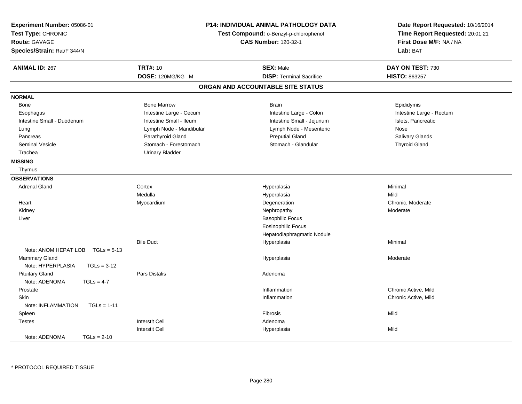| Experiment Number: 05086-01<br>Test Type: CHRONIC<br><b>Route: GAVAGE</b><br>Species/Strain: Rat/F 344/N | P14: INDIVIDUAL ANIMAL PATHOLOGY DATA<br>Test Compound: o-Benzyl-p-chlorophenol<br><b>CAS Number: 120-32-1</b> |                                   | Date Report Requested: 10/16/2014<br>Time Report Requested: 20:01:21<br>First Dose M/F: NA / NA<br>Lab: BAT |
|----------------------------------------------------------------------------------------------------------|----------------------------------------------------------------------------------------------------------------|-----------------------------------|-------------------------------------------------------------------------------------------------------------|
| <b>ANIMAL ID: 267</b>                                                                                    | <b>TRT#: 10</b>                                                                                                | <b>SEX: Male</b>                  | DAY ON TEST: 730                                                                                            |
|                                                                                                          | DOSE: 120MG/KG M                                                                                               | <b>DISP: Terminal Sacrifice</b>   | <b>HISTO: 863257</b>                                                                                        |
|                                                                                                          |                                                                                                                | ORGAN AND ACCOUNTABLE SITE STATUS |                                                                                                             |
| <b>NORMAL</b>                                                                                            |                                                                                                                |                                   |                                                                                                             |
| <b>Bone</b>                                                                                              | <b>Bone Marrow</b>                                                                                             | <b>Brain</b>                      | Epididymis                                                                                                  |
| Esophagus                                                                                                | Intestine Large - Cecum                                                                                        | Intestine Large - Colon           | Intestine Large - Rectum                                                                                    |
| Intestine Small - Duodenum                                                                               | Intestine Small - Ileum                                                                                        | Intestine Small - Jejunum         | Islets, Pancreatic                                                                                          |
| Lung                                                                                                     | Lymph Node - Mandibular                                                                                        | Lymph Node - Mesenteric           | Nose                                                                                                        |
| Pancreas                                                                                                 | Parathyroid Gland                                                                                              | <b>Preputial Gland</b>            | Salivary Glands                                                                                             |
| Seminal Vesicle                                                                                          | Stomach - Forestomach                                                                                          | Stomach - Glandular               | <b>Thyroid Gland</b>                                                                                        |
| Trachea                                                                                                  | <b>Urinary Bladder</b>                                                                                         |                                   |                                                                                                             |
| <b>MISSING</b>                                                                                           |                                                                                                                |                                   |                                                                                                             |
| Thymus                                                                                                   |                                                                                                                |                                   |                                                                                                             |
| <b>OBSERVATIONS</b>                                                                                      |                                                                                                                |                                   |                                                                                                             |
| <b>Adrenal Gland</b>                                                                                     | Cortex                                                                                                         | Hyperplasia                       | Minimal                                                                                                     |
|                                                                                                          | Medulla                                                                                                        | Hyperplasia                       | Mild                                                                                                        |
| Heart                                                                                                    | Myocardium                                                                                                     | Degeneration                      | Chronic, Moderate                                                                                           |
| Kidney                                                                                                   |                                                                                                                | Nephropathy                       | Moderate                                                                                                    |
| Liver                                                                                                    |                                                                                                                | <b>Basophilic Focus</b>           |                                                                                                             |
|                                                                                                          |                                                                                                                | <b>Eosinophilic Focus</b>         |                                                                                                             |
|                                                                                                          |                                                                                                                | Hepatodiaphragmatic Nodule        |                                                                                                             |
|                                                                                                          | <b>Bile Duct</b>                                                                                               | Hyperplasia                       | Minimal                                                                                                     |
| Note: ANOM HEPAT LOB<br>$TGLs = 5-13$                                                                    |                                                                                                                |                                   |                                                                                                             |
| Mammary Gland                                                                                            |                                                                                                                | Hyperplasia                       | Moderate                                                                                                    |
| Note: HYPERPLASIA<br>$TGLs = 3-12$                                                                       |                                                                                                                |                                   |                                                                                                             |
| <b>Pituitary Gland</b>                                                                                   | <b>Pars Distalis</b>                                                                                           | Adenoma                           |                                                                                                             |
| Note: ADENOMA<br>$TGLs = 4-7$                                                                            |                                                                                                                |                                   |                                                                                                             |
| Prostate                                                                                                 |                                                                                                                | Inflammation                      | Chronic Active, Mild                                                                                        |
| <b>Skin</b>                                                                                              |                                                                                                                | Inflammation                      | Chronic Active, Mild                                                                                        |
| $TGLs = 1-11$<br>Note: INFLAMMATION                                                                      |                                                                                                                |                                   |                                                                                                             |
| Spleen                                                                                                   |                                                                                                                | <b>Fibrosis</b>                   | Mild                                                                                                        |
| <b>Testes</b>                                                                                            | <b>Interstit Cell</b>                                                                                          | Adenoma                           |                                                                                                             |
|                                                                                                          | <b>Interstit Cell</b>                                                                                          | Hyperplasia                       | Mild                                                                                                        |
| Note: ADENOMA<br>$TGLs = 2-10$                                                                           |                                                                                                                |                                   |                                                                                                             |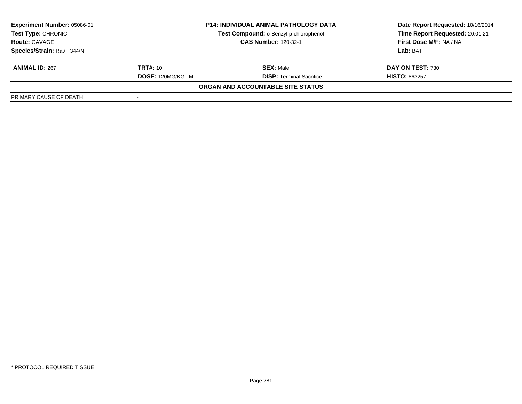| Experiment Number: 05086-01 | <b>P14: INDIVIDUAL ANIMAL PATHOLOGY DATA</b><br>Test Compound: o-Benzyl-p-chlorophenol<br><b>CAS Number: 120-32-1</b> |                                          | Date Report Requested: 10/16/2014 |  |
|-----------------------------|-----------------------------------------------------------------------------------------------------------------------|------------------------------------------|-----------------------------------|--|
| <b>Test Type: CHRONIC</b>   |                                                                                                                       |                                          | Time Report Requested: 20:01:21   |  |
| <b>Route: GAVAGE</b>        |                                                                                                                       |                                          | First Dose M/F: NA / NA           |  |
| Species/Strain: Rat/F 344/N |                                                                                                                       |                                          | Lab: BAT                          |  |
| <b>ANIMAL ID: 267</b>       | <b>TRT#:</b> 10                                                                                                       | <b>SEX: Male</b>                         | DAY ON TEST: 730                  |  |
|                             | <b>DOSE: 120MG/KG M</b>                                                                                               | <b>DISP: Terminal Sacrifice</b>          | <b>HISTO: 863257</b>              |  |
|                             |                                                                                                                       | <b>ORGAN AND ACCOUNTABLE SITE STATUS</b> |                                   |  |
| PRIMARY CAUSE OF DEATH      |                                                                                                                       |                                          |                                   |  |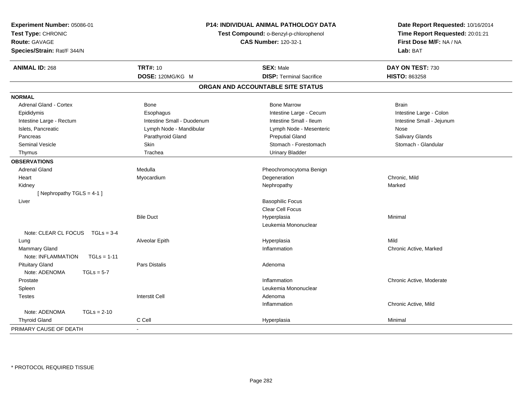| Experiment Number: 05086-01<br>Test Type: CHRONIC<br><b>Route: GAVAGE</b><br>Species/Strain: Rat/F 344/N |                            | P14: INDIVIDUAL ANIMAL PATHOLOGY DATA<br>Test Compound: o-Benzyl-p-chlorophenol<br><b>CAS Number: 120-32-1</b> | Date Report Requested: 10/16/2014<br>Time Report Requested: 20:01:21<br>First Dose M/F: NA / NA<br>Lab: BAT |
|----------------------------------------------------------------------------------------------------------|----------------------------|----------------------------------------------------------------------------------------------------------------|-------------------------------------------------------------------------------------------------------------|
| <b>ANIMAL ID: 268</b>                                                                                    | <b>TRT#: 10</b>            | <b>SEX: Male</b>                                                                                               | DAY ON TEST: 730                                                                                            |
|                                                                                                          | DOSE: 120MG/KG M           | <b>DISP: Terminal Sacrifice</b>                                                                                | <b>HISTO: 863258</b>                                                                                        |
|                                                                                                          |                            | ORGAN AND ACCOUNTABLE SITE STATUS                                                                              |                                                                                                             |
| <b>NORMAL</b>                                                                                            |                            |                                                                                                                |                                                                                                             |
| <b>Adrenal Gland - Cortex</b>                                                                            | Bone                       | <b>Bone Marrow</b>                                                                                             | <b>Brain</b>                                                                                                |
| Epididymis                                                                                               | Esophagus                  | Intestine Large - Cecum                                                                                        | Intestine Large - Colon                                                                                     |
| Intestine Large - Rectum                                                                                 | Intestine Small - Duodenum | Intestine Small - Ileum                                                                                        | Intestine Small - Jejunum                                                                                   |
| Islets, Pancreatic                                                                                       | Lymph Node - Mandibular    | Lymph Node - Mesenteric                                                                                        | Nose                                                                                                        |
| Pancreas                                                                                                 | Parathyroid Gland          | <b>Preputial Gland</b>                                                                                         | Salivary Glands                                                                                             |
| <b>Seminal Vesicle</b>                                                                                   | Skin                       | Stomach - Forestomach                                                                                          | Stomach - Glandular                                                                                         |
| Thymus                                                                                                   | Trachea                    | <b>Urinary Bladder</b>                                                                                         |                                                                                                             |
| <b>OBSERVATIONS</b>                                                                                      |                            |                                                                                                                |                                                                                                             |
| <b>Adrenal Gland</b>                                                                                     | Medulla                    | Pheochromocytoma Benign                                                                                        |                                                                                                             |
| Heart                                                                                                    | Myocardium                 | Degeneration                                                                                                   | Chronic, Mild                                                                                               |
| Kidney                                                                                                   |                            | Nephropathy                                                                                                    | Marked                                                                                                      |
| [Nephropathy TGLS = 4-1]                                                                                 |                            |                                                                                                                |                                                                                                             |
| Liver                                                                                                    |                            | <b>Basophilic Focus</b>                                                                                        |                                                                                                             |
|                                                                                                          |                            | Clear Cell Focus                                                                                               |                                                                                                             |
|                                                                                                          | <b>Bile Duct</b>           | Hyperplasia                                                                                                    | Minimal                                                                                                     |
|                                                                                                          |                            | Leukemia Mononuclear                                                                                           |                                                                                                             |
| Note: CLEAR CL FOCUS TGLs = 3-4                                                                          |                            |                                                                                                                |                                                                                                             |
| Lung                                                                                                     | Alveolar Epith             | Hyperplasia                                                                                                    | Mild                                                                                                        |
| Mammary Gland                                                                                            |                            | Inflammation                                                                                                   | Chronic Active, Marked                                                                                      |
| Note: INFLAMMATION                                                                                       | $TGLs = 1-11$              |                                                                                                                |                                                                                                             |
| <b>Pituitary Gland</b>                                                                                   | Pars Distalis              | Adenoma                                                                                                        |                                                                                                             |
| Note: ADENOMA<br>$TGLs = 5-7$                                                                            |                            |                                                                                                                |                                                                                                             |
| Prostate                                                                                                 |                            | Inflammation                                                                                                   | Chronic Active, Moderate                                                                                    |
| Spleen                                                                                                   |                            | Leukemia Mononuclear                                                                                           |                                                                                                             |
| <b>Testes</b>                                                                                            | <b>Interstit Cell</b>      | Adenoma                                                                                                        |                                                                                                             |
|                                                                                                          |                            | Inflammation                                                                                                   | Chronic Active, Mild                                                                                        |
| Note: ADENOMA<br>$TGLs = 2-10$                                                                           |                            |                                                                                                                |                                                                                                             |
| <b>Thyroid Gland</b>                                                                                     | C Cell                     | Hyperplasia                                                                                                    | Minimal                                                                                                     |
| PRIMARY CAUSE OF DEATH                                                                                   |                            |                                                                                                                |                                                                                                             |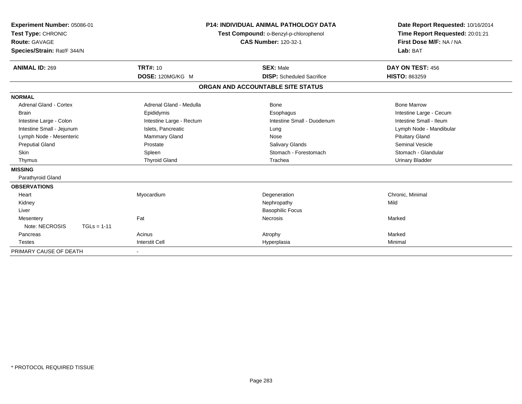| Experiment Number: 05086-01<br>Test Type: CHRONIC<br><b>Route: GAVAGE</b><br>Species/Strain: Rat/F 344/N                                                                                                     | <b>P14: INDIVIDUAL ANIMAL PATHOLOGY DATA</b><br>Test Compound: o-Benzyl-p-chlorophenol<br><b>CAS Number: 120-32-1</b>                                  |                                                                                                                        | Date Report Requested: 10/16/2014<br>Time Report Requested: 20:01:21<br>First Dose M/F: NA / NA<br>Lab: BAT                                                                                       |
|--------------------------------------------------------------------------------------------------------------------------------------------------------------------------------------------------------------|--------------------------------------------------------------------------------------------------------------------------------------------------------|------------------------------------------------------------------------------------------------------------------------|---------------------------------------------------------------------------------------------------------------------------------------------------------------------------------------------------|
| <b>ANIMAL ID: 269</b>                                                                                                                                                                                        | <b>TRT#: 10</b><br>DOSE: 120MG/KG M                                                                                                                    | <b>SEX: Male</b><br><b>DISP:</b> Scheduled Sacrifice                                                                   | DAY ON TEST: 456<br>HISTO: 863259                                                                                                                                                                 |
|                                                                                                                                                                                                              |                                                                                                                                                        | ORGAN AND ACCOUNTABLE SITE STATUS                                                                                      |                                                                                                                                                                                                   |
| <b>NORMAL</b>                                                                                                                                                                                                |                                                                                                                                                        |                                                                                                                        |                                                                                                                                                                                                   |
| Adrenal Gland - Cortex<br><b>Brain</b><br>Intestine Large - Colon<br>Intestine Small - Jejunum<br>Lymph Node - Mesenteric<br><b>Preputial Gland</b><br>Skin<br>Thymus<br><b>MISSING</b><br>Parathyroid Gland | Adrenal Gland - Medulla<br>Epididymis<br>Intestine Large - Rectum<br>Islets, Pancreatic<br>Mammary Gland<br>Prostate<br>Spleen<br><b>Thyroid Gland</b> | Bone<br>Esophagus<br>Intestine Small - Duodenum<br>Lung<br>Nose<br>Salivary Glands<br>Stomach - Forestomach<br>Trachea | <b>Bone Marrow</b><br>Intestine Large - Cecum<br>Intestine Small - Ileum<br>Lymph Node - Mandibular<br><b>Pituitary Gland</b><br>Seminal Vesicle<br>Stomach - Glandular<br><b>Urinary Bladder</b> |
| <b>OBSERVATIONS</b><br>Heart<br>Kidney<br>Liver<br>Mesentery<br>Note: NECROSIS<br>$TGLs = 1-11$<br>Pancreas<br><b>Testes</b>                                                                                 | Myocardium<br>Fat<br>Acinus<br><b>Interstit Cell</b>                                                                                                   | Degeneration<br>Nephropathy<br><b>Basophilic Focus</b><br><b>Necrosis</b><br>Atrophy<br>Hyperplasia                    | Chronic, Minimal<br>Mild<br>Marked<br>Marked<br>Minimal                                                                                                                                           |
| PRIMARY CAUSE OF DEATH                                                                                                                                                                                       | $\overline{\phantom{a}}$                                                                                                                               |                                                                                                                        |                                                                                                                                                                                                   |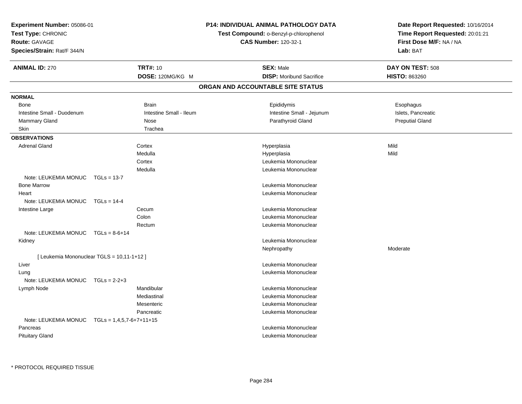| Experiment Number: 05086-01<br>Test Type: CHRONIC<br><b>Route: GAVAGE</b><br>Species/Strain: Rat/F 344/N |                                            | <b>P14: INDIVIDUAL ANIMAL PATHOLOGY DATA</b><br>Test Compound: o-Benzyl-p-chlorophenol<br><b>CAS Number: 120-32-1</b> | Date Report Requested: 10/16/2014<br>Time Report Requested: 20:01:21<br>First Dose M/F: NA / NA<br>Lab: BAT |
|----------------------------------------------------------------------------------------------------------|--------------------------------------------|-----------------------------------------------------------------------------------------------------------------------|-------------------------------------------------------------------------------------------------------------|
| <b>ANIMAL ID: 270</b>                                                                                    | <b>TRT#: 10</b>                            | <b>SEX: Male</b>                                                                                                      | DAY ON TEST: 508                                                                                            |
|                                                                                                          | DOSE: 120MG/KG M                           | <b>DISP:</b> Moribund Sacrifice                                                                                       | HISTO: 863260                                                                                               |
|                                                                                                          |                                            | ORGAN AND ACCOUNTABLE SITE STATUS                                                                                     |                                                                                                             |
| <b>NORMAL</b>                                                                                            |                                            |                                                                                                                       |                                                                                                             |
| Bone                                                                                                     | <b>Brain</b>                               | Epididymis                                                                                                            | Esophagus                                                                                                   |
| Intestine Small - Duodenum                                                                               | Intestine Small - Ileum                    | Intestine Small - Jejunum                                                                                             | Islets, Pancreatic                                                                                          |
| Mammary Gland                                                                                            | Nose                                       | Parathyroid Gland                                                                                                     | <b>Preputial Gland</b>                                                                                      |
| Skin                                                                                                     | Trachea                                    |                                                                                                                       |                                                                                                             |
| <b>OBSERVATIONS</b>                                                                                      |                                            |                                                                                                                       |                                                                                                             |
| <b>Adrenal Gland</b>                                                                                     | Cortex                                     | Hyperplasia                                                                                                           | Mild                                                                                                        |
|                                                                                                          | Medulla                                    | Hyperplasia                                                                                                           | Mild                                                                                                        |
|                                                                                                          | Cortex                                     | Leukemia Mononuclear                                                                                                  |                                                                                                             |
|                                                                                                          | Medulla                                    | Leukemia Mononuclear                                                                                                  |                                                                                                             |
| Note: LEUKEMIA MONUC                                                                                     | $TGLs = 13-7$                              |                                                                                                                       |                                                                                                             |
| <b>Bone Marrow</b>                                                                                       |                                            | Leukemia Mononuclear                                                                                                  |                                                                                                             |
| Heart                                                                                                    |                                            | Leukemia Mononuclear                                                                                                  |                                                                                                             |
| Note: LEUKEMIA MONUC                                                                                     | $TGLs = 14-4$                              |                                                                                                                       |                                                                                                             |
| Intestine Large                                                                                          | Cecum                                      | Leukemia Mononuclear                                                                                                  |                                                                                                             |
|                                                                                                          | Colon                                      | Leukemia Mononuclear                                                                                                  |                                                                                                             |
|                                                                                                          | Rectum                                     | Leukemia Mononuclear                                                                                                  |                                                                                                             |
| Note: LEUKEMIA MONUC                                                                                     | $TGLs = 8-6+14$                            |                                                                                                                       |                                                                                                             |
| Kidney                                                                                                   |                                            | Leukemia Mononuclear                                                                                                  |                                                                                                             |
|                                                                                                          |                                            | Nephropathy                                                                                                           | Moderate                                                                                                    |
|                                                                                                          | [ Leukemia Mononuclear TGLS = 10,11-1+12 ] |                                                                                                                       |                                                                                                             |
| Liver                                                                                                    |                                            | Leukemia Mononuclear                                                                                                  |                                                                                                             |
| Lung                                                                                                     |                                            | Leukemia Mononuclear                                                                                                  |                                                                                                             |
| Note: LEUKEMIA MONUC                                                                                     | $TGLs = 2-2+3$                             |                                                                                                                       |                                                                                                             |
| Lymph Node                                                                                               | Mandibular                                 | Leukemia Mononuclear                                                                                                  |                                                                                                             |
|                                                                                                          | Mediastinal                                | Leukemia Mononuclear                                                                                                  |                                                                                                             |
|                                                                                                          | Mesenteric                                 | Leukemia Mononuclear                                                                                                  |                                                                                                             |
|                                                                                                          | Pancreatic                                 | Leukemia Mononuclear                                                                                                  |                                                                                                             |
| Note: LEUKEMIA MONUC                                                                                     | $TGLs = 1,4,5,7-6+7+11+15$                 |                                                                                                                       |                                                                                                             |
| Pancreas                                                                                                 |                                            | Leukemia Mononuclear                                                                                                  |                                                                                                             |
| <b>Pituitary Gland</b>                                                                                   |                                            | Leukemia Mononuclear                                                                                                  |                                                                                                             |

\* PROTOCOL REQUIRED TISSUE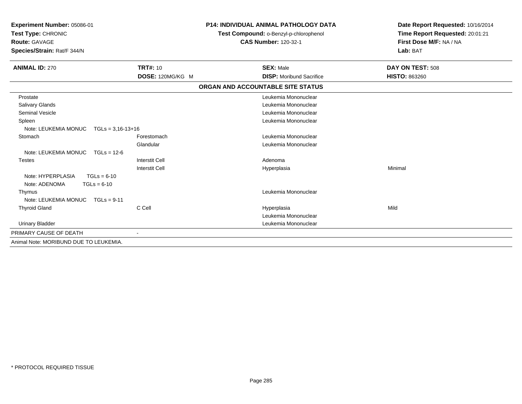| <b>Experiment Number: 05086-01</b><br>Test Type: CHRONIC<br><b>Route: GAVAGE</b><br>Species/Strain: Rat/F 344/N |                       | <b>P14: INDIVIDUAL ANIMAL PATHOLOGY DATA</b><br>Test Compound: o-Benzyl-p-chlorophenol<br><b>CAS Number: 120-32-1</b> | Date Report Requested: 10/16/2014<br>Time Report Requested: 20:01:21<br>First Dose M/F: NA / NA<br>Lab: BAT |
|-----------------------------------------------------------------------------------------------------------------|-----------------------|-----------------------------------------------------------------------------------------------------------------------|-------------------------------------------------------------------------------------------------------------|
| <b>ANIMAL ID: 270</b>                                                                                           | <b>TRT#: 10</b>       | <b>SEX: Male</b>                                                                                                      | DAY ON TEST: 508                                                                                            |
|                                                                                                                 | DOSE: 120MG/KG M      | <b>DISP:</b> Moribund Sacrifice                                                                                       | <b>HISTO: 863260</b>                                                                                        |
|                                                                                                                 |                       | ORGAN AND ACCOUNTABLE SITE STATUS                                                                                     |                                                                                                             |
| Prostate                                                                                                        |                       | Leukemia Mononuclear                                                                                                  |                                                                                                             |
| Salivary Glands                                                                                                 |                       | Leukemia Mononuclear                                                                                                  |                                                                                                             |
| <b>Seminal Vesicle</b>                                                                                          |                       | Leukemia Mononuclear                                                                                                  |                                                                                                             |
| Spleen                                                                                                          |                       | Leukemia Mononuclear                                                                                                  |                                                                                                             |
| Note: LEUKEMIA MONUC<br>$TGLs = 3,16-13+16$                                                                     |                       |                                                                                                                       |                                                                                                             |
| Stomach                                                                                                         | Forestomach           | Leukemia Mononuclear                                                                                                  |                                                                                                             |
|                                                                                                                 | Glandular             | Leukemia Mononuclear                                                                                                  |                                                                                                             |
| Note: LEUKEMIA MONUC<br>$TGLs = 12-6$                                                                           |                       |                                                                                                                       |                                                                                                             |
| Testes                                                                                                          | <b>Interstit Cell</b> | Adenoma                                                                                                               |                                                                                                             |
|                                                                                                                 | <b>Interstit Cell</b> | Hyperplasia                                                                                                           | Minimal                                                                                                     |
| Note: HYPERPLASIA<br>$TGLs = 6-10$<br>Note: ADENOMA<br>$TGLs = 6-10$                                            |                       |                                                                                                                       |                                                                                                             |
| Thymus                                                                                                          |                       | Leukemia Mononuclear                                                                                                  |                                                                                                             |
| Note: LEUKEMIA MONUC TGLs = 9-11                                                                                |                       |                                                                                                                       |                                                                                                             |
| <b>Thyroid Gland</b>                                                                                            | C Cell                | Hyperplasia                                                                                                           | Mild                                                                                                        |
|                                                                                                                 |                       | Leukemia Mononuclear                                                                                                  |                                                                                                             |
| <b>Urinary Bladder</b>                                                                                          |                       | Leukemia Mononuclear                                                                                                  |                                                                                                             |
| PRIMARY CAUSE OF DEATH                                                                                          | $\blacksquare$        |                                                                                                                       |                                                                                                             |
| Animal Note: MORIBUND DUE TO LEUKEMIA.                                                                          |                       |                                                                                                                       |                                                                                                             |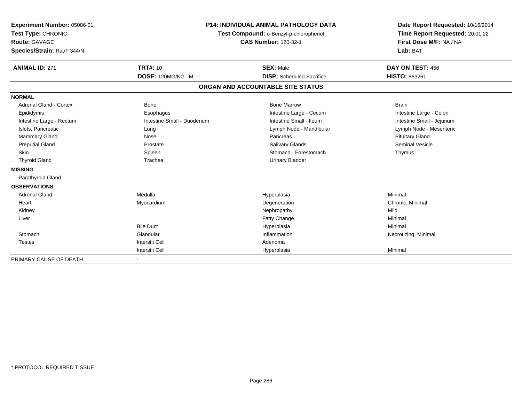| Experiment Number: 05086-01<br>Test Type: CHRONIC<br><b>Route: GAVAGE</b><br>Species/Strain: Rat/F 344/N<br><b>ANIMAL ID: 271</b> | <b>TRT#: 10</b>            | <b>P14: INDIVIDUAL ANIMAL PATHOLOGY DATA</b><br>Test Compound: o-Benzyl-p-chlorophenol<br><b>CAS Number: 120-32-1</b><br><b>SEX: Male</b> | Date Report Requested: 10/16/2014<br>Time Report Requested: 20:01:22<br>First Dose M/F: NA / NA<br>Lab: BAT<br>DAY ON TEST: 456 |
|-----------------------------------------------------------------------------------------------------------------------------------|----------------------------|-------------------------------------------------------------------------------------------------------------------------------------------|---------------------------------------------------------------------------------------------------------------------------------|
|                                                                                                                                   | DOSE: 120MG/KG M           | <b>DISP:</b> Scheduled Sacrifice                                                                                                          | <b>HISTO: 863261</b>                                                                                                            |
|                                                                                                                                   |                            | ORGAN AND ACCOUNTABLE SITE STATUS                                                                                                         |                                                                                                                                 |
| <b>NORMAL</b>                                                                                                                     |                            |                                                                                                                                           |                                                                                                                                 |
| <b>Adrenal Gland - Cortex</b>                                                                                                     | <b>Bone</b>                | <b>Bone Marrow</b>                                                                                                                        | <b>Brain</b>                                                                                                                    |
| Epididymis                                                                                                                        | Esophagus                  | Intestine Large - Cecum                                                                                                                   | Intestine Large - Colon                                                                                                         |
| Intestine Large - Rectum                                                                                                          | Intestine Small - Duodenum | Intestine Small - Ileum                                                                                                                   | Intestine Small - Jejunum                                                                                                       |
| Islets, Pancreatic                                                                                                                | Lung                       | Lymph Node - Mandibular                                                                                                                   | Lymph Node - Mesenteric                                                                                                         |
| Mammary Gland                                                                                                                     | Nose                       | Pancreas                                                                                                                                  | <b>Pituitary Gland</b>                                                                                                          |
| <b>Preputial Gland</b>                                                                                                            | Prostate                   | <b>Salivary Glands</b>                                                                                                                    | <b>Seminal Vesicle</b>                                                                                                          |
| <b>Skin</b>                                                                                                                       | Spleen                     | Stomach - Forestomach                                                                                                                     | Thymus                                                                                                                          |
| <b>Thyroid Gland</b>                                                                                                              | Trachea                    | <b>Urinary Bladder</b>                                                                                                                    |                                                                                                                                 |
| <b>MISSING</b>                                                                                                                    |                            |                                                                                                                                           |                                                                                                                                 |
| Parathyroid Gland                                                                                                                 |                            |                                                                                                                                           |                                                                                                                                 |
| <b>OBSERVATIONS</b>                                                                                                               |                            |                                                                                                                                           |                                                                                                                                 |
| <b>Adrenal Gland</b>                                                                                                              | Medulla                    | Hyperplasia                                                                                                                               | Minimal                                                                                                                         |
| Heart                                                                                                                             | Myocardium                 | Degeneration                                                                                                                              | Chronic, Minimal                                                                                                                |
| Kidney                                                                                                                            |                            | Nephropathy                                                                                                                               | Mild                                                                                                                            |
| Liver                                                                                                                             |                            | Fatty Change                                                                                                                              | Minimal                                                                                                                         |
|                                                                                                                                   | <b>Bile Duct</b>           | Hyperplasia                                                                                                                               | Minimal                                                                                                                         |
| Stomach                                                                                                                           | Glandular                  | Inflammation                                                                                                                              | Necrotizing, Minimal                                                                                                            |
| <b>Testes</b>                                                                                                                     | <b>Interstit Cell</b>      | Adenoma                                                                                                                                   |                                                                                                                                 |
|                                                                                                                                   | <b>Interstit Cell</b>      | Hyperplasia                                                                                                                               | Minimal                                                                                                                         |
| PRIMARY CAUSE OF DEATH                                                                                                            |                            |                                                                                                                                           |                                                                                                                                 |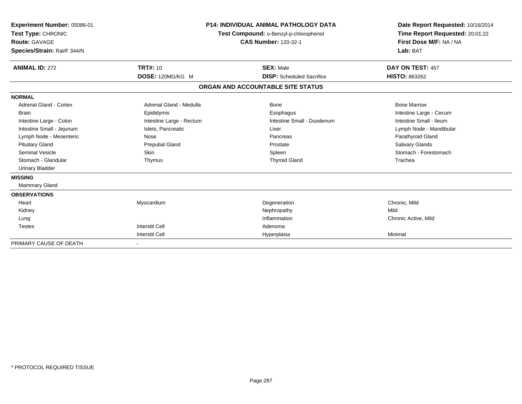| Experiment Number: 05086-01<br>Test Type: CHRONIC<br><b>Route: GAVAGE</b><br>Species/Strain: Rat/F 344/N | <b>P14: INDIVIDUAL ANIMAL PATHOLOGY DATA</b><br>Test Compound: o-Benzyl-p-chlorophenol<br><b>CAS Number: 120-32-1</b> |                                   | Date Report Requested: 10/16/2014<br>Time Report Requested: 20:01:22<br>First Dose M/F: NA / NA<br>Lab: BAT |  |
|----------------------------------------------------------------------------------------------------------|-----------------------------------------------------------------------------------------------------------------------|-----------------------------------|-------------------------------------------------------------------------------------------------------------|--|
| <b>ANIMAL ID: 272</b>                                                                                    | <b>TRT#: 10</b>                                                                                                       | <b>SEX: Male</b>                  | DAY ON TEST: 457                                                                                            |  |
|                                                                                                          | DOSE: 120MG/KG M                                                                                                      | <b>DISP:</b> Scheduled Sacrifice  | <b>HISTO: 863262</b>                                                                                        |  |
|                                                                                                          |                                                                                                                       | ORGAN AND ACCOUNTABLE SITE STATUS |                                                                                                             |  |
| <b>NORMAL</b>                                                                                            |                                                                                                                       |                                   |                                                                                                             |  |
| Adrenal Gland - Cortex                                                                                   | Adrenal Gland - Medulla                                                                                               | Bone                              | <b>Bone Marrow</b>                                                                                          |  |
| <b>Brain</b>                                                                                             | Epididymis                                                                                                            | Esophagus                         | Intestine Large - Cecum                                                                                     |  |
| Intestine Large - Colon                                                                                  | Intestine Large - Rectum                                                                                              | Intestine Small - Duodenum        | Intestine Small - Ileum                                                                                     |  |
| Intestine Small - Jejunum                                                                                | Islets, Pancreatic                                                                                                    | Liver                             | Lymph Node - Mandibular                                                                                     |  |
| Lymph Node - Mesenteric                                                                                  | Nose                                                                                                                  | Pancreas                          | Parathyroid Gland                                                                                           |  |
| <b>Pituitary Gland</b>                                                                                   | <b>Preputial Gland</b>                                                                                                | Prostate                          | Salivary Glands                                                                                             |  |
| Seminal Vesicle                                                                                          | Skin                                                                                                                  | Spleen                            | Stomach - Forestomach                                                                                       |  |
| Stomach - Glandular                                                                                      | Thymus                                                                                                                | <b>Thyroid Gland</b>              | Trachea                                                                                                     |  |
| <b>Urinary Bladder</b>                                                                                   |                                                                                                                       |                                   |                                                                                                             |  |
| <b>MISSING</b>                                                                                           |                                                                                                                       |                                   |                                                                                                             |  |
| Mammary Gland                                                                                            |                                                                                                                       |                                   |                                                                                                             |  |
| <b>OBSERVATIONS</b>                                                                                      |                                                                                                                       |                                   |                                                                                                             |  |
| Heart                                                                                                    | Myocardium                                                                                                            | Degeneration                      | Chronic, Mild                                                                                               |  |
| Kidney                                                                                                   |                                                                                                                       | Nephropathy                       | Mild                                                                                                        |  |
| Lung                                                                                                     |                                                                                                                       | Inflammation                      | Chronic Active, Mild                                                                                        |  |
| <b>Testes</b>                                                                                            | <b>Interstit Cell</b>                                                                                                 | Adenoma                           |                                                                                                             |  |
|                                                                                                          | <b>Interstit Cell</b>                                                                                                 | Hyperplasia                       | Minimal                                                                                                     |  |
| PRIMARY CAUSE OF DEATH                                                                                   |                                                                                                                       |                                   |                                                                                                             |  |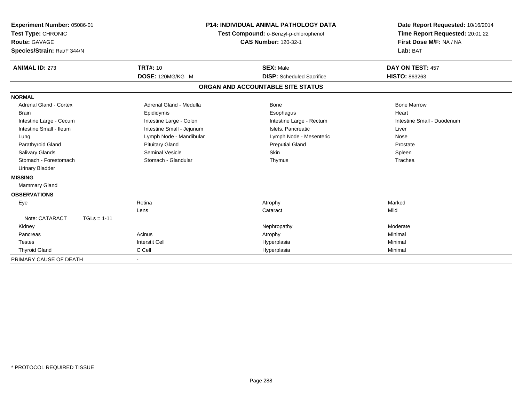| Experiment Number: 05086-01<br>Test Type: CHRONIC<br>Route: GAVAGE<br>Species/Strain: Rat/F 344/N<br><b>ANIMAL ID: 273</b> | <b>P14: INDIVIDUAL ANIMAL PATHOLOGY DATA</b><br>Test Compound: o-Benzyl-p-chlorophenol<br><b>CAS Number: 120-32-1</b><br><b>TRT#: 10</b><br><b>SEX: Male</b> |                                   | Date Report Requested: 10/16/2014<br>Time Report Requested: 20:01:22<br>First Dose M/F: NA / NA<br>Lab: BAT<br>DAY ON TEST: 457 |
|----------------------------------------------------------------------------------------------------------------------------|--------------------------------------------------------------------------------------------------------------------------------------------------------------|-----------------------------------|---------------------------------------------------------------------------------------------------------------------------------|
|                                                                                                                            | DOSE: 120MG/KG M                                                                                                                                             | <b>DISP:</b> Scheduled Sacrifice  | <b>HISTO: 863263</b>                                                                                                            |
|                                                                                                                            |                                                                                                                                                              | ORGAN AND ACCOUNTABLE SITE STATUS |                                                                                                                                 |
| <b>NORMAL</b>                                                                                                              |                                                                                                                                                              |                                   |                                                                                                                                 |
| <b>Adrenal Gland - Cortex</b>                                                                                              | Adrenal Gland - Medulla                                                                                                                                      | Bone                              | <b>Bone Marrow</b>                                                                                                              |
| <b>Brain</b>                                                                                                               | Epididymis                                                                                                                                                   | Esophagus                         | Heart                                                                                                                           |
| Intestine Large - Cecum                                                                                                    | Intestine Large - Colon                                                                                                                                      | Intestine Large - Rectum          | Intestine Small - Duodenum                                                                                                      |
| Intestine Small - Ileum                                                                                                    | Intestine Small - Jejunum                                                                                                                                    | Islets. Pancreatic                | Liver                                                                                                                           |
| Lung                                                                                                                       | Lymph Node - Mandibular                                                                                                                                      | Lymph Node - Mesenteric           | Nose                                                                                                                            |
| Parathyroid Gland                                                                                                          | <b>Pituitary Gland</b>                                                                                                                                       | <b>Preputial Gland</b>            | Prostate                                                                                                                        |
| <b>Salivary Glands</b>                                                                                                     | Seminal Vesicle                                                                                                                                              | Skin                              | Spleen                                                                                                                          |
| Stomach - Forestomach                                                                                                      | Stomach - Glandular                                                                                                                                          | Thymus                            | Trachea                                                                                                                         |
| <b>Urinary Bladder</b>                                                                                                     |                                                                                                                                                              |                                   |                                                                                                                                 |
| <b>MISSING</b>                                                                                                             |                                                                                                                                                              |                                   |                                                                                                                                 |
| <b>Mammary Gland</b>                                                                                                       |                                                                                                                                                              |                                   |                                                                                                                                 |
| <b>OBSERVATIONS</b>                                                                                                        |                                                                                                                                                              |                                   |                                                                                                                                 |
| Eye                                                                                                                        | Retina                                                                                                                                                       | Atrophy                           | Marked                                                                                                                          |
|                                                                                                                            | Lens                                                                                                                                                         | Cataract                          | Mild                                                                                                                            |
| Note: CATARACT<br>$TGLs = 1-11$                                                                                            |                                                                                                                                                              |                                   |                                                                                                                                 |
| Kidney                                                                                                                     |                                                                                                                                                              | Nephropathy                       | Moderate                                                                                                                        |
| Pancreas                                                                                                                   | Acinus                                                                                                                                                       | Atrophy                           | Minimal                                                                                                                         |
| <b>Testes</b>                                                                                                              | <b>Interstit Cell</b>                                                                                                                                        | Hyperplasia                       | Minimal                                                                                                                         |
| <b>Thyroid Gland</b>                                                                                                       | C Cell                                                                                                                                                       | Hyperplasia                       | Minimal                                                                                                                         |
| PRIMARY CAUSE OF DEATH                                                                                                     |                                                                                                                                                              |                                   |                                                                                                                                 |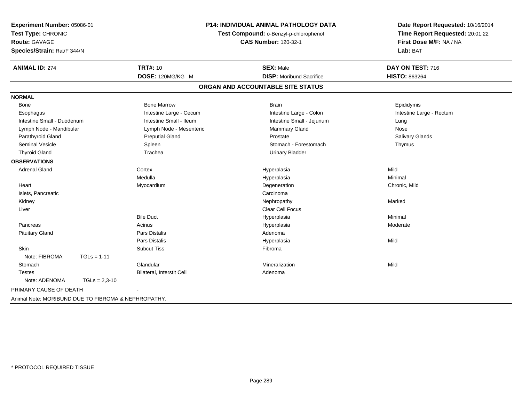| Experiment Number: 05086-01<br>Test Type: CHRONIC<br>Route: GAVAGE<br>Species/Strain: Rat/F 344/N | <b>P14: INDIVIDUAL ANIMAL PATHOLOGY DATA</b><br>Test Compound: o-Benzyl-p-chlorophenol<br><b>CAS Number: 120-32-1</b> |                                   | Date Report Requested: 10/16/2014<br>Time Report Requested: 20:01:22<br>First Dose M/F: NA / NA<br>Lab: BAT |  |
|---------------------------------------------------------------------------------------------------|-----------------------------------------------------------------------------------------------------------------------|-----------------------------------|-------------------------------------------------------------------------------------------------------------|--|
| <b>ANIMAL ID: 274</b>                                                                             | <b>TRT#: 10</b>                                                                                                       | <b>SEX: Male</b>                  | DAY ON TEST: 716                                                                                            |  |
|                                                                                                   | DOSE: 120MG/KG M                                                                                                      | <b>DISP: Moribund Sacrifice</b>   | <b>HISTO: 863264</b>                                                                                        |  |
|                                                                                                   |                                                                                                                       | ORGAN AND ACCOUNTABLE SITE STATUS |                                                                                                             |  |
| <b>NORMAL</b>                                                                                     |                                                                                                                       |                                   |                                                                                                             |  |
| Bone                                                                                              | <b>Bone Marrow</b>                                                                                                    | <b>Brain</b>                      | Epididymis                                                                                                  |  |
| Esophagus                                                                                         | Intestine Large - Cecum                                                                                               | Intestine Large - Colon           | Intestine Large - Rectum                                                                                    |  |
| Intestine Small - Duodenum                                                                        | Intestine Small - Ileum                                                                                               | Intestine Small - Jejunum         | Lung                                                                                                        |  |
| Lymph Node - Mandibular                                                                           | Lymph Node - Mesenteric                                                                                               | <b>Mammary Gland</b>              | Nose                                                                                                        |  |
| Parathyroid Gland                                                                                 | <b>Preputial Gland</b>                                                                                                | Prostate                          | Salivary Glands                                                                                             |  |
| Seminal Vesicle                                                                                   | Spleen                                                                                                                | Stomach - Forestomach             | Thymus                                                                                                      |  |
| <b>Thyroid Gland</b>                                                                              | Trachea                                                                                                               | <b>Urinary Bladder</b>            |                                                                                                             |  |
| <b>OBSERVATIONS</b>                                                                               |                                                                                                                       |                                   |                                                                                                             |  |
| <b>Adrenal Gland</b>                                                                              | Cortex                                                                                                                | Hyperplasia                       | Mild                                                                                                        |  |
|                                                                                                   | Medulla                                                                                                               | Hyperplasia                       | Minimal                                                                                                     |  |
| Heart                                                                                             | Myocardium                                                                                                            | Degeneration                      | Chronic, Mild                                                                                               |  |
| Islets, Pancreatic                                                                                |                                                                                                                       | Carcinoma                         |                                                                                                             |  |
| Kidney                                                                                            |                                                                                                                       | Nephropathy                       | Marked                                                                                                      |  |
| Liver                                                                                             |                                                                                                                       | <b>Clear Cell Focus</b>           |                                                                                                             |  |
|                                                                                                   | <b>Bile Duct</b>                                                                                                      | Hyperplasia                       | Minimal                                                                                                     |  |
| Pancreas                                                                                          | Acinus                                                                                                                | Hyperplasia                       | Moderate                                                                                                    |  |
| <b>Pituitary Gland</b>                                                                            | Pars Distalis                                                                                                         | Adenoma                           |                                                                                                             |  |
|                                                                                                   | Pars Distalis                                                                                                         | Hyperplasia                       | Mild                                                                                                        |  |
| Skin                                                                                              | <b>Subcut Tiss</b>                                                                                                    | Fibroma                           |                                                                                                             |  |
| Note: FIBROMA<br>$TGLs = 1-11$                                                                    |                                                                                                                       |                                   |                                                                                                             |  |
| Stomach                                                                                           | Glandular                                                                                                             | Mineralization                    | Mild                                                                                                        |  |
| Testes                                                                                            | Bilateral, Interstit Cell                                                                                             | Adenoma                           |                                                                                                             |  |
| Note: ADENOMA<br>$TGLs = 2,3-10$                                                                  |                                                                                                                       |                                   |                                                                                                             |  |
| PRIMARY CAUSE OF DEATH                                                                            | $\sim$                                                                                                                |                                   |                                                                                                             |  |
| Animal Note: MORIBUND DUE TO FIBROMA & NEPHROPATHY.                                               |                                                                                                                       |                                   |                                                                                                             |  |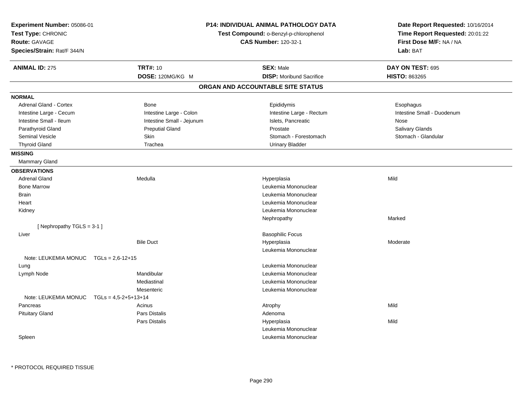| Experiment Number: 05086-01<br>Test Type: CHRONIC<br><b>Route: GAVAGE</b><br>Species/Strain: Rat/F 344/N |                                | P14: INDIVIDUAL ANIMAL PATHOLOGY DATA<br>Test Compound: o-Benzyl-p-chlorophenol<br><b>CAS Number: 120-32-1</b> | Date Report Requested: 10/16/2014<br>Time Report Requested: 20:01:22<br>First Dose M/F: NA / NA<br>Lab: BAT |
|----------------------------------------------------------------------------------------------------------|--------------------------------|----------------------------------------------------------------------------------------------------------------|-------------------------------------------------------------------------------------------------------------|
| <b>ANIMAL ID: 275</b>                                                                                    | <b>TRT#: 10</b>                | <b>SEX: Male</b>                                                                                               | DAY ON TEST: 695                                                                                            |
|                                                                                                          | DOSE: 120MG/KG M               | <b>DISP:</b> Moribund Sacrifice                                                                                | <b>HISTO: 863265</b>                                                                                        |
|                                                                                                          |                                | ORGAN AND ACCOUNTABLE SITE STATUS                                                                              |                                                                                                             |
| <b>NORMAL</b>                                                                                            |                                |                                                                                                                |                                                                                                             |
| <b>Adrenal Gland - Cortex</b>                                                                            | Bone                           | Epididymis                                                                                                     | Esophagus                                                                                                   |
| Intestine Large - Cecum                                                                                  | Intestine Large - Colon        | Intestine Large - Rectum                                                                                       | Intestine Small - Duodenum                                                                                  |
| Intestine Small - Ileum                                                                                  | Intestine Small - Jejunum      | Islets, Pancreatic                                                                                             | Nose                                                                                                        |
| Parathyroid Gland                                                                                        | <b>Preputial Gland</b>         | Prostate                                                                                                       | Salivary Glands                                                                                             |
| Seminal Vesicle                                                                                          | Skin                           | Stomach - Forestomach                                                                                          | Stomach - Glandular                                                                                         |
| <b>Thyroid Gland</b>                                                                                     | Trachea                        | <b>Urinary Bladder</b>                                                                                         |                                                                                                             |
| <b>MISSING</b>                                                                                           |                                |                                                                                                                |                                                                                                             |
| <b>Mammary Gland</b>                                                                                     |                                |                                                                                                                |                                                                                                             |
| <b>OBSERVATIONS</b>                                                                                      |                                |                                                                                                                |                                                                                                             |
| <b>Adrenal Gland</b>                                                                                     | Medulla                        | Hyperplasia                                                                                                    | Mild                                                                                                        |
| <b>Bone Marrow</b>                                                                                       |                                | Leukemia Mononuclear                                                                                           |                                                                                                             |
| Brain                                                                                                    |                                | Leukemia Mononuclear                                                                                           |                                                                                                             |
| Heart                                                                                                    |                                | Leukemia Mononuclear                                                                                           |                                                                                                             |
| Kidney                                                                                                   |                                | Leukemia Mononuclear                                                                                           |                                                                                                             |
|                                                                                                          |                                | Nephropathy                                                                                                    | Marked                                                                                                      |
| [Nephropathy TGLS = 3-1]                                                                                 |                                |                                                                                                                |                                                                                                             |
| Liver                                                                                                    |                                | <b>Basophilic Focus</b>                                                                                        |                                                                                                             |
|                                                                                                          | <b>Bile Duct</b>               | Hyperplasia                                                                                                    | Moderate                                                                                                    |
|                                                                                                          |                                | Leukemia Mononuclear                                                                                           |                                                                                                             |
| Note: LEUKEMIA MONUC                                                                                     | $TGLs = 2,6-12+15$             |                                                                                                                |                                                                                                             |
| Lung                                                                                                     |                                | Leukemia Mononuclear                                                                                           |                                                                                                             |
| Lymph Node                                                                                               | Mandibular                     | Leukemia Mononuclear                                                                                           |                                                                                                             |
|                                                                                                          | Mediastinal                    | Leukemia Mononuclear                                                                                           |                                                                                                             |
|                                                                                                          | Mesenteric                     | Leukemia Mononuclear                                                                                           |                                                                                                             |
| Note: LEUKEMIA MONUC                                                                                     | $TGLs = 4.5 - 2 + 5 + 13 + 14$ |                                                                                                                |                                                                                                             |
| Pancreas                                                                                                 | Acinus                         | Atrophy                                                                                                        | Mild                                                                                                        |
| <b>Pituitary Gland</b>                                                                                   | Pars Distalis                  | Adenoma                                                                                                        |                                                                                                             |
|                                                                                                          | Pars Distalis                  | Hyperplasia                                                                                                    | Mild                                                                                                        |
|                                                                                                          |                                | Leukemia Mononuclear                                                                                           |                                                                                                             |
| Spleen                                                                                                   |                                | Leukemia Mononuclear                                                                                           |                                                                                                             |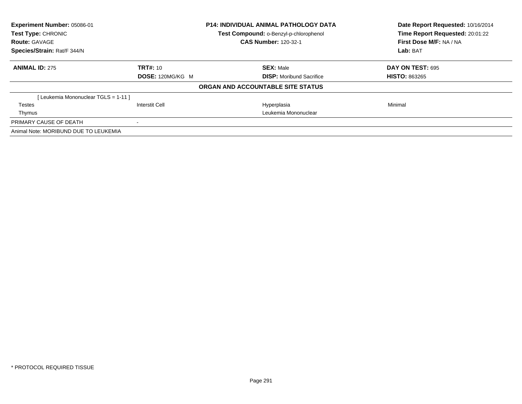| Experiment Number: 05086-01           |                  | <b>P14: INDIVIDUAL ANIMAL PATHOLOGY DATA</b> | Date Report Requested: 10/16/2014<br>Time Report Requested: 20:01:22 |  |
|---------------------------------------|------------------|----------------------------------------------|----------------------------------------------------------------------|--|
| Test Type: CHRONIC                    |                  | Test Compound: o-Benzyl-p-chlorophenol       |                                                                      |  |
| <b>Route: GAVAGE</b>                  |                  | <b>CAS Number: 120-32-1</b>                  | First Dose M/F: NA / NA                                              |  |
| Species/Strain: Rat/F 344/N           |                  |                                              | Lab: BAT                                                             |  |
| <b>ANIMAL ID: 275</b>                 | TRT#: 10         | <b>SEX: Male</b>                             | DAY ON TEST: 695                                                     |  |
|                                       | DOSE: 120MG/KG M | <b>DISP:</b> Moribund Sacrifice              | <b>HISTO: 863265</b>                                                 |  |
|                                       |                  | ORGAN AND ACCOUNTABLE SITE STATUS            |                                                                      |  |
| [ Leukemia Mononuclear TGLS = 1-11 ]  |                  |                                              |                                                                      |  |
| Testes                                | Interstit Cell   | Hyperplasia                                  | Minimal                                                              |  |
| Thymus                                |                  | Leukemia Mononuclear                         |                                                                      |  |
| PRIMARY CAUSE OF DEATH                |                  |                                              |                                                                      |  |
| Animal Note: MORIBUND DUE TO LEUKEMIA |                  |                                              |                                                                      |  |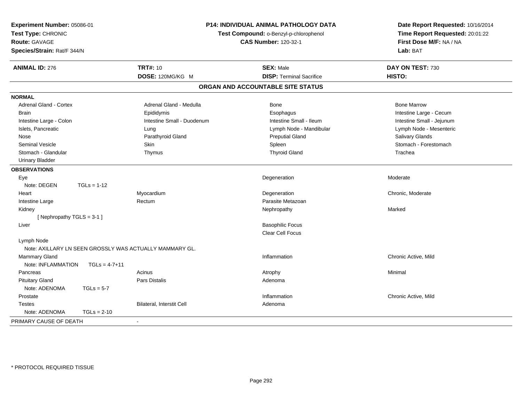| Experiment Number: 05086-01<br>Test Type: CHRONIC<br><b>Route: GAVAGE</b><br>Species/Strain: Rat/F 344/N |                                                         | P14: INDIVIDUAL ANIMAL PATHOLOGY DATA<br>Test Compound: o-Benzyl-p-chlorophenol<br><b>CAS Number: 120-32-1</b> | Date Report Requested: 10/16/2014<br>Time Report Requested: 20:01:22<br>First Dose M/F: NA / NA<br>Lab: BAT |  |
|----------------------------------------------------------------------------------------------------------|---------------------------------------------------------|----------------------------------------------------------------------------------------------------------------|-------------------------------------------------------------------------------------------------------------|--|
| <b>ANIMAL ID: 276</b>                                                                                    | <b>TRT#: 10</b>                                         | <b>SEX: Male</b>                                                                                               | DAY ON TEST: 730                                                                                            |  |
|                                                                                                          | DOSE: 120MG/KG M                                        | <b>DISP: Terminal Sacrifice</b>                                                                                | <b>HISTO:</b>                                                                                               |  |
|                                                                                                          |                                                         | ORGAN AND ACCOUNTABLE SITE STATUS                                                                              |                                                                                                             |  |
| <b>NORMAL</b>                                                                                            |                                                         |                                                                                                                |                                                                                                             |  |
| Adrenal Gland - Cortex                                                                                   | Adrenal Gland - Medulla                                 | Bone                                                                                                           | <b>Bone Marrow</b>                                                                                          |  |
| <b>Brain</b>                                                                                             | Epididymis                                              | Esophagus                                                                                                      | Intestine Large - Cecum                                                                                     |  |
| Intestine Large - Colon                                                                                  | Intestine Small - Duodenum                              | Intestine Small - Ileum                                                                                        | Intestine Small - Jejunum                                                                                   |  |
| Islets, Pancreatic                                                                                       | Lung                                                    | Lymph Node - Mandibular                                                                                        | Lymph Node - Mesenteric                                                                                     |  |
| Nose                                                                                                     | Parathyroid Gland                                       | <b>Preputial Gland</b>                                                                                         | Salivary Glands                                                                                             |  |
| <b>Seminal Vesicle</b>                                                                                   | Skin                                                    | Spleen                                                                                                         | Stomach - Forestomach                                                                                       |  |
| Stomach - Glandular                                                                                      | Thymus                                                  | <b>Thyroid Gland</b>                                                                                           | Trachea                                                                                                     |  |
| <b>Urinary Bladder</b>                                                                                   |                                                         |                                                                                                                |                                                                                                             |  |
| <b>OBSERVATIONS</b>                                                                                      |                                                         |                                                                                                                |                                                                                                             |  |
| Eye                                                                                                      |                                                         | Degeneration                                                                                                   | Moderate                                                                                                    |  |
| Note: DEGEN<br>$TGLs = 1-12$                                                                             |                                                         |                                                                                                                |                                                                                                             |  |
| Heart                                                                                                    | Myocardium                                              | Degeneration                                                                                                   | Chronic, Moderate                                                                                           |  |
| Intestine Large                                                                                          | Rectum                                                  | Parasite Metazoan                                                                                              |                                                                                                             |  |
| Kidney                                                                                                   |                                                         | Nephropathy                                                                                                    | Marked                                                                                                      |  |
| [Nephropathy TGLS = 3-1]                                                                                 |                                                         |                                                                                                                |                                                                                                             |  |
| Liver                                                                                                    |                                                         | <b>Basophilic Focus</b>                                                                                        |                                                                                                             |  |
|                                                                                                          |                                                         | <b>Clear Cell Focus</b>                                                                                        |                                                                                                             |  |
| Lymph Node                                                                                               |                                                         |                                                                                                                |                                                                                                             |  |
|                                                                                                          | Note: AXILLARY LN SEEN GROSSLY WAS ACTUALLY MAMMARY GL. |                                                                                                                |                                                                                                             |  |
| Mammary Gland                                                                                            |                                                         | Inflammation                                                                                                   | Chronic Active, Mild                                                                                        |  |
| Note: INFLAMMATION                                                                                       | $TGLs = 4-7+11$                                         |                                                                                                                |                                                                                                             |  |
| Pancreas                                                                                                 | Acinus                                                  | Atrophy                                                                                                        | Minimal                                                                                                     |  |
| <b>Pituitary Gland</b>                                                                                   | Pars Distalis                                           | Adenoma                                                                                                        |                                                                                                             |  |
| Note: ADENOMA<br>$TGLs = 5-7$                                                                            |                                                         |                                                                                                                |                                                                                                             |  |
| Prostate                                                                                                 |                                                         | Inflammation                                                                                                   | Chronic Active, Mild                                                                                        |  |
| <b>Testes</b>                                                                                            | Bilateral, Interstit Cell                               | Adenoma                                                                                                        |                                                                                                             |  |
| Note: ADENOMA<br>$TGLs = 2-10$                                                                           |                                                         |                                                                                                                |                                                                                                             |  |
| PRIMARY CAUSE OF DEATH                                                                                   | $\blacksquare$                                          |                                                                                                                |                                                                                                             |  |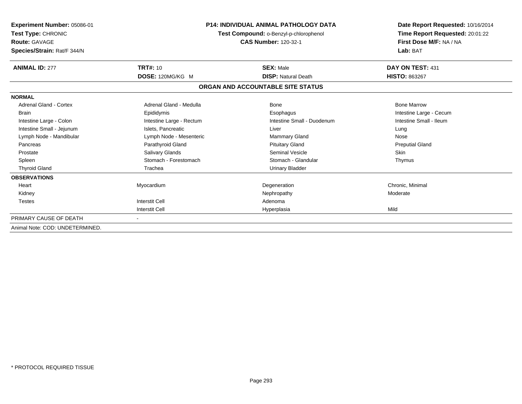| Experiment Number: 05086-01<br>Test Type: CHRONIC<br><b>Route: GAVAGE</b><br>Species/Strain: Rat/F 344/N | <b>P14: INDIVIDUAL ANIMAL PATHOLOGY DATA</b><br>Test Compound: o-Benzyl-p-chlorophenol<br><b>CAS Number: 120-32-1</b> |                                   | Date Report Requested: 10/16/2014<br>Time Report Requested: 20:01:22<br>First Dose M/F: NA / NA<br>Lab: BAT |
|----------------------------------------------------------------------------------------------------------|-----------------------------------------------------------------------------------------------------------------------|-----------------------------------|-------------------------------------------------------------------------------------------------------------|
| <b>ANIMAL ID: 277</b>                                                                                    | <b>TRT#: 10</b>                                                                                                       | <b>SEX: Male</b>                  | DAY ON TEST: 431                                                                                            |
|                                                                                                          | DOSE: 120MG/KG M                                                                                                      | <b>DISP: Natural Death</b>        | <b>HISTO: 863267</b>                                                                                        |
|                                                                                                          |                                                                                                                       | ORGAN AND ACCOUNTABLE SITE STATUS |                                                                                                             |
| <b>NORMAL</b>                                                                                            |                                                                                                                       |                                   |                                                                                                             |
| Adrenal Gland - Cortex                                                                                   | Adrenal Gland - Medulla                                                                                               | <b>Bone</b>                       | <b>Bone Marrow</b>                                                                                          |
| Brain                                                                                                    | Epididymis                                                                                                            | Esophagus                         | Intestine Large - Cecum                                                                                     |
| Intestine Large - Colon                                                                                  | Intestine Large - Rectum                                                                                              | Intestine Small - Duodenum        | Intestine Small - Ileum                                                                                     |
| Intestine Small - Jejunum                                                                                | Islets, Pancreatic                                                                                                    | Liver                             | Lung                                                                                                        |
| Lymph Node - Mandibular                                                                                  | Lymph Node - Mesenteric                                                                                               | Mammary Gland                     | Nose                                                                                                        |
| Pancreas                                                                                                 | Parathyroid Gland                                                                                                     | <b>Pituitary Gland</b>            | <b>Preputial Gland</b>                                                                                      |
| Prostate                                                                                                 | Salivary Glands                                                                                                       | Seminal Vesicle                   | <b>Skin</b>                                                                                                 |
| Spleen                                                                                                   | Stomach - Forestomach                                                                                                 | Stomach - Glandular               | Thymus                                                                                                      |
| <b>Thyroid Gland</b>                                                                                     | Trachea                                                                                                               | <b>Urinary Bladder</b>            |                                                                                                             |
| <b>OBSERVATIONS</b>                                                                                      |                                                                                                                       |                                   |                                                                                                             |
| Heart                                                                                                    | Myocardium                                                                                                            | Degeneration                      | Chronic, Minimal                                                                                            |
| Kidney                                                                                                   |                                                                                                                       | Nephropathy                       | Moderate                                                                                                    |
| <b>Testes</b>                                                                                            | <b>Interstit Cell</b>                                                                                                 | Adenoma                           |                                                                                                             |
|                                                                                                          | <b>Interstit Cell</b>                                                                                                 | Hyperplasia                       | Mild                                                                                                        |
| PRIMARY CAUSE OF DEATH                                                                                   |                                                                                                                       |                                   |                                                                                                             |
| Animal Note: COD: UNDETERMINED.                                                                          |                                                                                                                       |                                   |                                                                                                             |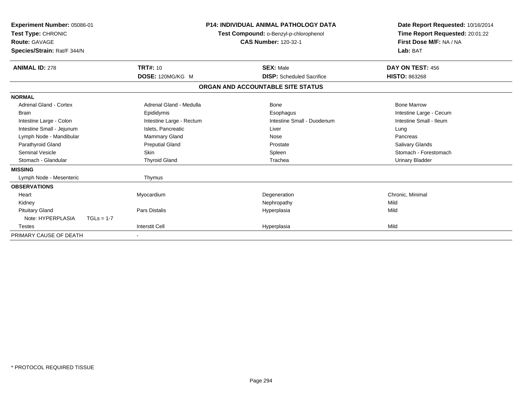| Experiment Number: 05086-01<br>Test Type: CHRONIC<br><b>Route: GAVAGE</b><br>Species/Strain: Rat/F 344/N |                          | <b>P14: INDIVIDUAL ANIMAL PATHOLOGY DATA</b><br>Test Compound: o-Benzyl-p-chlorophenol<br><b>CAS Number: 120-32-1</b> | Date Report Requested: 10/16/2014<br>Time Report Requested: 20:01:22<br>First Dose M/F: NA / NA<br>Lab: BAT |
|----------------------------------------------------------------------------------------------------------|--------------------------|-----------------------------------------------------------------------------------------------------------------------|-------------------------------------------------------------------------------------------------------------|
| <b>ANIMAL ID: 278</b>                                                                                    | <b>TRT#: 10</b>          | <b>SEX: Male</b>                                                                                                      | DAY ON TEST: 456                                                                                            |
|                                                                                                          | DOSE: 120MG/KG M         | <b>DISP:</b> Scheduled Sacrifice                                                                                      | <b>HISTO: 863268</b>                                                                                        |
|                                                                                                          |                          | ORGAN AND ACCOUNTABLE SITE STATUS                                                                                     |                                                                                                             |
| <b>NORMAL</b>                                                                                            |                          |                                                                                                                       |                                                                                                             |
| Adrenal Gland - Cortex                                                                                   | Adrenal Gland - Medulla  | Bone                                                                                                                  | <b>Bone Marrow</b>                                                                                          |
| <b>Brain</b>                                                                                             | Epididymis               | Esophagus                                                                                                             | Intestine Large - Cecum                                                                                     |
| Intestine Large - Colon                                                                                  | Intestine Large - Rectum | Intestine Small - Duodenum                                                                                            | Intestine Small - Ileum                                                                                     |
| Intestine Small - Jejunum                                                                                | Islets, Pancreatic       | Liver                                                                                                                 | Lung                                                                                                        |
| Lymph Node - Mandibular                                                                                  | <b>Mammary Gland</b>     | Nose                                                                                                                  | Pancreas                                                                                                    |
| Parathyroid Gland                                                                                        | <b>Preputial Gland</b>   | Prostate                                                                                                              | Salivary Glands                                                                                             |
| <b>Seminal Vesicle</b>                                                                                   | <b>Skin</b>              | Spleen                                                                                                                | Stomach - Forestomach                                                                                       |
| Stomach - Glandular                                                                                      | <b>Thyroid Gland</b>     | Trachea                                                                                                               | <b>Urinary Bladder</b>                                                                                      |
| <b>MISSING</b>                                                                                           |                          |                                                                                                                       |                                                                                                             |
| Lymph Node - Mesenteric                                                                                  | Thymus                   |                                                                                                                       |                                                                                                             |
| <b>OBSERVATIONS</b>                                                                                      |                          |                                                                                                                       |                                                                                                             |
| Heart                                                                                                    | Myocardium               | Degeneration                                                                                                          | Chronic, Minimal                                                                                            |
| Kidney                                                                                                   |                          | Nephropathy                                                                                                           | Mild                                                                                                        |
| <b>Pituitary Gland</b>                                                                                   | Pars Distalis            | Hyperplasia                                                                                                           | Mild                                                                                                        |
| Note: HYPERPLASIA<br>$TGLs = 1-7$                                                                        |                          |                                                                                                                       |                                                                                                             |
| <b>Testes</b>                                                                                            | <b>Interstit Cell</b>    | Hyperplasia                                                                                                           | Mild                                                                                                        |
| PRIMARY CAUSE OF DEATH                                                                                   |                          |                                                                                                                       |                                                                                                             |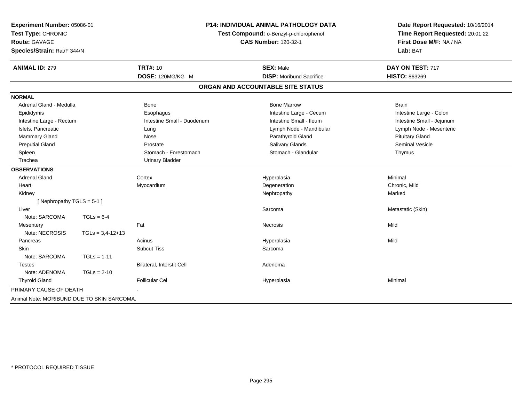| Experiment Number: 05086-01<br>Test Type: CHRONIC<br><b>Route: GAVAGE</b><br>Species/Strain: Rat/F 344/N | <b>P14: INDIVIDUAL ANIMAL PATHOLOGY DATA</b><br>Test Compound: o-Benzyl-p-chlorophenol<br><b>CAS Number: 120-32-1</b> |                            | Date Report Requested: 10/16/2014<br>Time Report Requested: 20:01:22<br>First Dose M/F: NA / NA<br>Lab: BAT |                           |
|----------------------------------------------------------------------------------------------------------|-----------------------------------------------------------------------------------------------------------------------|----------------------------|-------------------------------------------------------------------------------------------------------------|---------------------------|
| <b>ANIMAL ID: 279</b>                                                                                    |                                                                                                                       | <b>TRT#: 10</b>            | <b>SEX: Male</b>                                                                                            | DAY ON TEST: 717          |
|                                                                                                          |                                                                                                                       | DOSE: 120MG/KG M           | <b>DISP:</b> Moribund Sacrifice                                                                             | <b>HISTO: 863269</b>      |
|                                                                                                          |                                                                                                                       |                            | ORGAN AND ACCOUNTABLE SITE STATUS                                                                           |                           |
| <b>NORMAL</b>                                                                                            |                                                                                                                       |                            |                                                                                                             |                           |
| Adrenal Gland - Medulla                                                                                  |                                                                                                                       | Bone                       | <b>Bone Marrow</b>                                                                                          | <b>Brain</b>              |
| Epididymis                                                                                               |                                                                                                                       | Esophagus                  | Intestine Large - Cecum                                                                                     | Intestine Large - Colon   |
| Intestine Large - Rectum                                                                                 |                                                                                                                       | Intestine Small - Duodenum | Intestine Small - Ileum                                                                                     | Intestine Small - Jejunum |
| Islets, Pancreatic                                                                                       |                                                                                                                       | Lung                       | Lymph Node - Mandibular                                                                                     | Lymph Node - Mesenteric   |
| Mammary Gland                                                                                            |                                                                                                                       | Nose                       | Parathyroid Gland                                                                                           | <b>Pituitary Gland</b>    |
| <b>Preputial Gland</b>                                                                                   |                                                                                                                       | Prostate                   | <b>Salivary Glands</b>                                                                                      | <b>Seminal Vesicle</b>    |
| Spleen                                                                                                   |                                                                                                                       | Stomach - Forestomach      | Stomach - Glandular                                                                                         | Thymus                    |
| Trachea                                                                                                  |                                                                                                                       | <b>Urinary Bladder</b>     |                                                                                                             |                           |
| <b>OBSERVATIONS</b>                                                                                      |                                                                                                                       |                            |                                                                                                             |                           |
| <b>Adrenal Gland</b>                                                                                     |                                                                                                                       | Cortex                     | Hyperplasia                                                                                                 | Minimal                   |
| Heart                                                                                                    |                                                                                                                       | Myocardium                 | Degeneration                                                                                                | Chronic, Mild             |
| Kidney                                                                                                   |                                                                                                                       |                            | Nephropathy                                                                                                 | Marked                    |
| [Nephropathy TGLS = 5-1]                                                                                 |                                                                                                                       |                            |                                                                                                             |                           |
| Liver                                                                                                    |                                                                                                                       |                            | Sarcoma                                                                                                     | Metastatic (Skin)         |
| Note: SARCOMA                                                                                            | $TGLs = 6-4$                                                                                                          |                            |                                                                                                             |                           |
| Mesentery                                                                                                |                                                                                                                       | Fat                        | Necrosis                                                                                                    | Mild                      |
| Note: NECROSIS                                                                                           | $TGLs = 3,4-12+13$                                                                                                    |                            |                                                                                                             |                           |
| Pancreas                                                                                                 |                                                                                                                       | Acinus                     | Hyperplasia                                                                                                 | Mild                      |
| Skin                                                                                                     |                                                                                                                       | <b>Subcut Tiss</b>         | Sarcoma                                                                                                     |                           |
| Note: SARCOMA                                                                                            | $TGLs = 1-11$                                                                                                         |                            |                                                                                                             |                           |
| <b>Testes</b>                                                                                            |                                                                                                                       | Bilateral, Interstit Cell  | Adenoma                                                                                                     |                           |
| Note: ADENOMA                                                                                            | $TGLs = 2-10$                                                                                                         |                            |                                                                                                             |                           |
| <b>Thyroid Gland</b>                                                                                     |                                                                                                                       | <b>Follicular Cel</b>      | Hyperplasia                                                                                                 | Minimal                   |
| PRIMARY CAUSE OF DEATH                                                                                   |                                                                                                                       |                            |                                                                                                             |                           |
| Animal Note: MORIBUND DUE TO SKIN SARCOMA.                                                               |                                                                                                                       |                            |                                                                                                             |                           |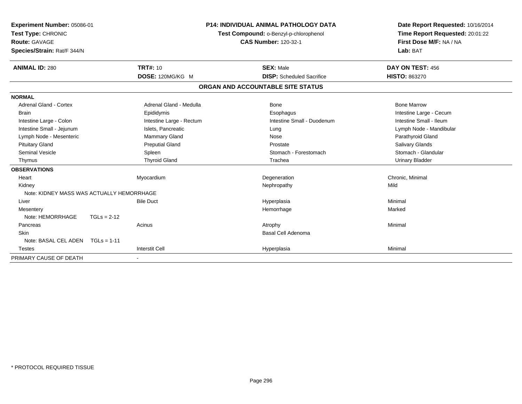| Experiment Number: 05086-01<br>Test Type: CHRONIC<br>Route: GAVAGE<br>Species/Strain: Rat/F 344/N<br><b>TRT#: 10</b><br><b>ANIMAL ID: 280</b> |               | <b>P14: INDIVIDUAL ANIMAL PATHOLOGY DATA</b><br>Test Compound: o-Benzyl-p-chlorophenol<br><b>CAS Number: 120-32-1</b><br><b>SEX: Male</b> |  | Date Report Requested: 10/16/2014<br>Time Report Requested: 20:01:22<br>First Dose M/F: NA / NA<br>Lab: BAT<br>DAY ON TEST: 456 |                         |
|-----------------------------------------------------------------------------------------------------------------------------------------------|---------------|-------------------------------------------------------------------------------------------------------------------------------------------|--|---------------------------------------------------------------------------------------------------------------------------------|-------------------------|
|                                                                                                                                               |               | DOSE: 120MG/KG M                                                                                                                          |  | <b>DISP:</b> Scheduled Sacrifice                                                                                                | <b>HISTO: 863270</b>    |
|                                                                                                                                               |               |                                                                                                                                           |  | ORGAN AND ACCOUNTABLE SITE STATUS                                                                                               |                         |
| <b>NORMAL</b>                                                                                                                                 |               |                                                                                                                                           |  |                                                                                                                                 |                         |
| <b>Adrenal Gland - Cortex</b>                                                                                                                 |               | Adrenal Gland - Medulla                                                                                                                   |  | Bone                                                                                                                            | <b>Bone Marrow</b>      |
| <b>Brain</b>                                                                                                                                  |               | Epididymis                                                                                                                                |  | Esophagus                                                                                                                       | Intestine Large - Cecum |
| Intestine Large - Colon                                                                                                                       |               | Intestine Large - Rectum                                                                                                                  |  | Intestine Small - Duodenum                                                                                                      | Intestine Small - Ileum |
| Intestine Small - Jejunum                                                                                                                     |               | Islets, Pancreatic                                                                                                                        |  | Lung                                                                                                                            | Lymph Node - Mandibular |
| Lymph Node - Mesenteric                                                                                                                       |               | <b>Mammary Gland</b>                                                                                                                      |  | Nose                                                                                                                            | Parathyroid Gland       |
| <b>Pituitary Gland</b>                                                                                                                        |               | <b>Preputial Gland</b>                                                                                                                    |  | Prostate                                                                                                                        | <b>Salivary Glands</b>  |
| <b>Seminal Vesicle</b>                                                                                                                        |               | Spleen                                                                                                                                    |  | Stomach - Forestomach                                                                                                           | Stomach - Glandular     |
| Thymus                                                                                                                                        |               | <b>Thyroid Gland</b>                                                                                                                      |  | Trachea                                                                                                                         | <b>Urinary Bladder</b>  |
| <b>OBSERVATIONS</b>                                                                                                                           |               |                                                                                                                                           |  |                                                                                                                                 |                         |
| Heart                                                                                                                                         |               | Myocardium                                                                                                                                |  | Degeneration                                                                                                                    | Chronic, Minimal        |
| Kidney                                                                                                                                        |               |                                                                                                                                           |  | Nephropathy                                                                                                                     | Mild                    |
| Note: KIDNEY MASS WAS ACTUALLY HEMORRHAGE                                                                                                     |               |                                                                                                                                           |  |                                                                                                                                 |                         |
| Liver                                                                                                                                         |               | <b>Bile Duct</b>                                                                                                                          |  | Hyperplasia                                                                                                                     | Minimal                 |
| Mesentery                                                                                                                                     |               |                                                                                                                                           |  | Hemorrhage                                                                                                                      | Marked                  |
| Note: HEMORRHAGE                                                                                                                              | $TGLs = 2-12$ |                                                                                                                                           |  |                                                                                                                                 |                         |
| Pancreas                                                                                                                                      |               | Acinus                                                                                                                                    |  | Atrophy                                                                                                                         | Minimal                 |
| Skin                                                                                                                                          |               |                                                                                                                                           |  | <b>Basal Cell Adenoma</b>                                                                                                       |                         |
| Note: BASAL CEL ADEN TGLs = 1-11                                                                                                              |               |                                                                                                                                           |  |                                                                                                                                 |                         |
| <b>Testes</b>                                                                                                                                 |               | <b>Interstit Cell</b>                                                                                                                     |  | Hyperplasia                                                                                                                     | Minimal                 |
| PRIMARY CAUSE OF DEATH                                                                                                                        |               |                                                                                                                                           |  |                                                                                                                                 |                         |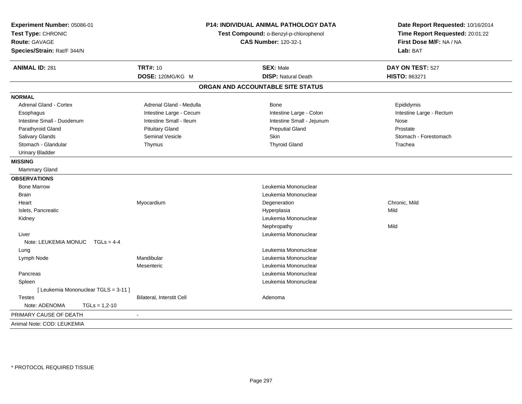| Experiment Number: 05086-01<br>Test Type: CHRONIC<br><b>Route: GAVAGE</b><br>Species/Strain: Rat/F 344/N | P14: INDIVIDUAL ANIMAL PATHOLOGY DATA<br>Test Compound: o-Benzyl-p-chlorophenol<br><b>CAS Number: 120-32-1</b> |                                                | Date Report Requested: 10/16/2014<br>Time Report Requested: 20:01:22<br>First Dose M/F: NA / NA<br>Lab: BAT |  |
|----------------------------------------------------------------------------------------------------------|----------------------------------------------------------------------------------------------------------------|------------------------------------------------|-------------------------------------------------------------------------------------------------------------|--|
| <b>ANIMAL ID: 281</b>                                                                                    | <b>TRT#: 10</b><br>DOSE: 120MG/KG M                                                                            | <b>SEX: Male</b><br><b>DISP: Natural Death</b> | DAY ON TEST: 527<br>HISTO: 863271                                                                           |  |
|                                                                                                          |                                                                                                                |                                                |                                                                                                             |  |
|                                                                                                          |                                                                                                                | ORGAN AND ACCOUNTABLE SITE STATUS              |                                                                                                             |  |
| <b>NORMAL</b>                                                                                            |                                                                                                                |                                                |                                                                                                             |  |
| Adrenal Gland - Cortex                                                                                   | Adrenal Gland - Medulla                                                                                        | Bone                                           | Epididymis                                                                                                  |  |
| Esophagus                                                                                                | Intestine Large - Cecum                                                                                        | Intestine Large - Colon                        | Intestine Large - Rectum                                                                                    |  |
| Intestine Small - Duodenum                                                                               | Intestine Small - Ileum                                                                                        | Intestine Small - Jejunum                      | Nose                                                                                                        |  |
| Parathyroid Gland                                                                                        | <b>Pituitary Gland</b>                                                                                         | <b>Preputial Gland</b>                         | Prostate                                                                                                    |  |
| Salivary Glands                                                                                          | Seminal Vesicle                                                                                                | Skin                                           | Stomach - Forestomach                                                                                       |  |
| Stomach - Glandular                                                                                      | Thymus                                                                                                         | <b>Thyroid Gland</b>                           | Trachea                                                                                                     |  |
| <b>Urinary Bladder</b>                                                                                   |                                                                                                                |                                                |                                                                                                             |  |
| <b>MISSING</b>                                                                                           |                                                                                                                |                                                |                                                                                                             |  |
| Mammary Gland                                                                                            |                                                                                                                |                                                |                                                                                                             |  |
| <b>OBSERVATIONS</b>                                                                                      |                                                                                                                |                                                |                                                                                                             |  |
| <b>Bone Marrow</b>                                                                                       |                                                                                                                | Leukemia Mononuclear                           |                                                                                                             |  |
| <b>Brain</b>                                                                                             |                                                                                                                | Leukemia Mononuclear                           |                                                                                                             |  |
| Heart                                                                                                    | Myocardium                                                                                                     | Degeneration                                   | Chronic, Mild                                                                                               |  |
| Islets, Pancreatic                                                                                       |                                                                                                                | Hyperplasia                                    | Mild                                                                                                        |  |
| Kidney                                                                                                   |                                                                                                                | Leukemia Mononuclear                           |                                                                                                             |  |
|                                                                                                          |                                                                                                                | Nephropathy                                    | Mild                                                                                                        |  |
| Liver                                                                                                    |                                                                                                                | Leukemia Mononuclear                           |                                                                                                             |  |
| Note: LEUKEMIA MONUC<br>$TGLS = 4-4$                                                                     |                                                                                                                |                                                |                                                                                                             |  |
| Lung                                                                                                     |                                                                                                                | Leukemia Mononuclear                           |                                                                                                             |  |
| Lymph Node                                                                                               | Mandibular                                                                                                     | Leukemia Mononuclear                           |                                                                                                             |  |
|                                                                                                          | Mesenteric                                                                                                     | Leukemia Mononuclear                           |                                                                                                             |  |
| Pancreas                                                                                                 |                                                                                                                | Leukemia Mononuclear                           |                                                                                                             |  |
| Spleen                                                                                                   |                                                                                                                | Leukemia Mononuclear                           |                                                                                                             |  |
| [ Leukemia Mononuclear TGLS = 3-11 ]                                                                     |                                                                                                                |                                                |                                                                                                             |  |
| Testes                                                                                                   | Bilateral, Interstit Cell                                                                                      | Adenoma                                        |                                                                                                             |  |
| Note: ADENOMA<br>$TGLs = 1,2-10$                                                                         |                                                                                                                |                                                |                                                                                                             |  |
| PRIMARY CAUSE OF DEATH                                                                                   | $\sim$                                                                                                         |                                                |                                                                                                             |  |
| Animal Note: COD: LEUKEMIA                                                                               |                                                                                                                |                                                |                                                                                                             |  |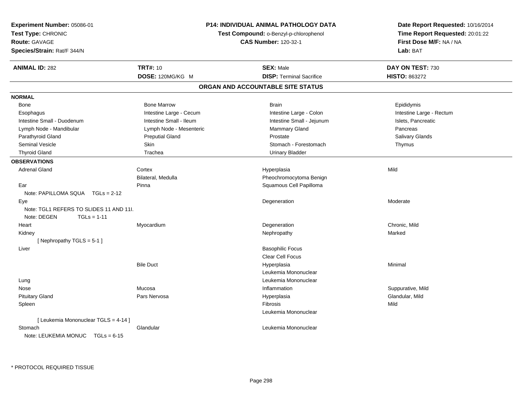| Experiment Number: 05086-01<br>Test Type: CHRONIC<br>Route: GAVAGE<br>Species/Strain: Rat/F 344/N | <b>P14: INDIVIDUAL ANIMAL PATHOLOGY DATA</b><br>Test Compound: o-Benzyl-p-chlorophenol<br><b>CAS Number: 120-32-1</b> |                                   | Date Report Requested: 10/16/2014<br>Time Report Requested: 20:01:22<br>First Dose M/F: NA / NA<br>Lab: BAT |
|---------------------------------------------------------------------------------------------------|-----------------------------------------------------------------------------------------------------------------------|-----------------------------------|-------------------------------------------------------------------------------------------------------------|
| <b>ANIMAL ID: 282</b>                                                                             | <b>TRT#: 10</b>                                                                                                       | <b>SEX: Male</b>                  | DAY ON TEST: 730                                                                                            |
|                                                                                                   | DOSE: 120MG/KG M                                                                                                      | <b>DISP: Terminal Sacrifice</b>   | <b>HISTO: 863272</b>                                                                                        |
|                                                                                                   |                                                                                                                       | ORGAN AND ACCOUNTABLE SITE STATUS |                                                                                                             |
| <b>NORMAL</b>                                                                                     |                                                                                                                       |                                   |                                                                                                             |
| Bone                                                                                              | <b>Bone Marrow</b>                                                                                                    | <b>Brain</b>                      | Epididymis                                                                                                  |
| Esophagus                                                                                         | Intestine Large - Cecum                                                                                               | Intestine Large - Colon           | Intestine Large - Rectum                                                                                    |
| Intestine Small - Duodenum                                                                        | Intestine Small - Ileum                                                                                               | Intestine Small - Jejunum         | Islets, Pancreatic                                                                                          |
| Lymph Node - Mandibular                                                                           | Lymph Node - Mesenteric                                                                                               | Mammary Gland                     | Pancreas                                                                                                    |
| Parathyroid Gland                                                                                 | <b>Preputial Gland</b>                                                                                                | Prostate                          | Salivary Glands                                                                                             |
| <b>Seminal Vesicle</b>                                                                            | Skin                                                                                                                  | Stomach - Forestomach             | Thymus                                                                                                      |
| <b>Thyroid Gland</b>                                                                              | Trachea                                                                                                               | <b>Urinary Bladder</b>            |                                                                                                             |
| <b>OBSERVATIONS</b>                                                                               |                                                                                                                       |                                   |                                                                                                             |
| <b>Adrenal Gland</b>                                                                              | Cortex                                                                                                                | Hyperplasia                       | Mild                                                                                                        |
|                                                                                                   | Bilateral, Medulla                                                                                                    | Pheochromocytoma Benign           |                                                                                                             |
| Ear                                                                                               | Pinna                                                                                                                 | Squamous Cell Papilloma           |                                                                                                             |
| Note: PAPILLOMA SQUA TGLs = 2-12                                                                  |                                                                                                                       |                                   |                                                                                                             |
| Eye<br>Note: TGL1 REFERS TO SLIDES 11 AND 11I.<br>Note: DEGEN<br>$TGLs = 1-11$                    |                                                                                                                       | Degeneration                      | Moderate                                                                                                    |
| Heart                                                                                             | Myocardium                                                                                                            | Degeneration                      | Chronic, Mild                                                                                               |
| Kidney                                                                                            |                                                                                                                       | Nephropathy                       | Marked                                                                                                      |
| [Nephropathy TGLS = 5-1]                                                                          |                                                                                                                       |                                   |                                                                                                             |
| Liver                                                                                             |                                                                                                                       | <b>Basophilic Focus</b>           |                                                                                                             |
|                                                                                                   |                                                                                                                       | Clear Cell Focus                  |                                                                                                             |
|                                                                                                   | <b>Bile Duct</b>                                                                                                      | Hyperplasia                       | Minimal                                                                                                     |
|                                                                                                   |                                                                                                                       | Leukemia Mononuclear              |                                                                                                             |
| Lung                                                                                              |                                                                                                                       | Leukemia Mononuclear              |                                                                                                             |
| Nose                                                                                              | Mucosa                                                                                                                | Inflammation                      | Suppurative, Mild                                                                                           |
| <b>Pituitary Gland</b>                                                                            | Pars Nervosa                                                                                                          | Hyperplasia                       | Glandular, Mild                                                                                             |
| Spleen                                                                                            |                                                                                                                       | Fibrosis                          | Mild                                                                                                        |
|                                                                                                   |                                                                                                                       | Leukemia Mononuclear              |                                                                                                             |
| [ Leukemia Mononuclear TGLS = 4-14 ]                                                              |                                                                                                                       |                                   |                                                                                                             |
| Stomach                                                                                           | Glandular                                                                                                             | Leukemia Mononuclear              |                                                                                                             |
| Note: LEUKEMIA MONUC TGLs = 6-15                                                                  |                                                                                                                       |                                   |                                                                                                             |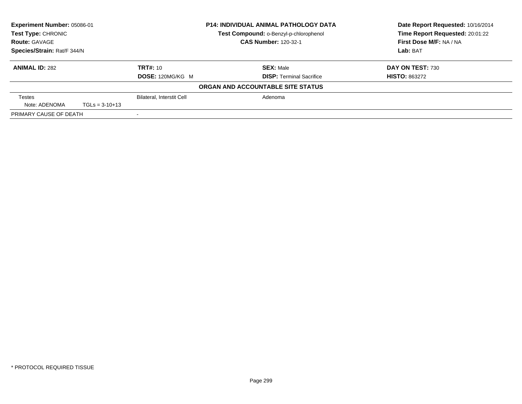| Experiment Number: 05086-01<br><b>Test Type: CHRONIC</b><br><b>Route: GAVAGE</b><br>Species/Strain: Rat/F 344/N |                  | <b>P14: INDIVIDUAL ANIMAL PATHOLOGY DATA</b> |                                        | Date Report Requested: 10/16/2014 |
|-----------------------------------------------------------------------------------------------------------------|------------------|----------------------------------------------|----------------------------------------|-----------------------------------|
|                                                                                                                 |                  |                                              | Test Compound: o-Benzyl-p-chlorophenol | Time Report Requested: 20:01:22   |
|                                                                                                                 |                  |                                              | <b>CAS Number: 120-32-1</b>            | First Dose M/F: NA / NA           |
|                                                                                                                 |                  |                                              |                                        | Lab: BAT                          |
| <b>ANIMAL ID: 282</b>                                                                                           |                  | <b>TRT#: 10</b>                              | <b>SEX: Male</b>                       | DAY ON TEST: 730                  |
|                                                                                                                 |                  | DOSE: 120MG/KG M                             | <b>DISP: Terminal Sacrifice</b>        | <b>HISTO: 863272</b>              |
|                                                                                                                 |                  |                                              | ORGAN AND ACCOUNTABLE SITE STATUS      |                                   |
| <b>Testes</b>                                                                                                   |                  | <b>Bilateral, Interstit Cell</b>             | Adenoma                                |                                   |
| Note: ADENOMA                                                                                                   | $TGLs = 3-10+13$ |                                              |                                        |                                   |
| PRIMARY CAUSE OF DEATH                                                                                          |                  |                                              |                                        |                                   |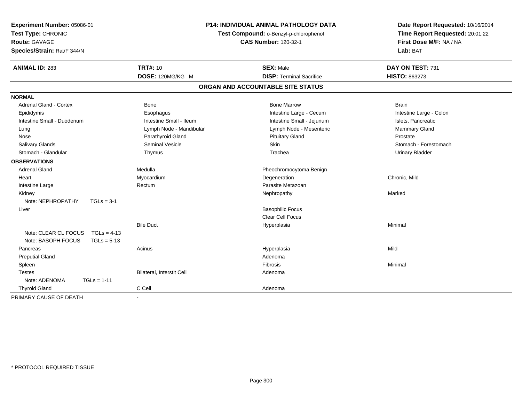| Experiment Number: 05086-01<br>Test Type: CHRONIC<br>Route: GAVAGE<br>Species/Strain: Rat/F 344/N | <b>P14: INDIVIDUAL ANIMAL PATHOLOGY DATA</b><br>Test Compound: o-Benzyl-p-chlorophenol<br><b>CAS Number: 120-32-1</b> |                                   | Date Report Requested: 10/16/2014<br>Time Report Requested: 20:01:22<br>First Dose M/F: NA / NA<br>Lab: BAT |  |
|---------------------------------------------------------------------------------------------------|-----------------------------------------------------------------------------------------------------------------------|-----------------------------------|-------------------------------------------------------------------------------------------------------------|--|
| <b>ANIMAL ID: 283</b>                                                                             | <b>TRT#: 10</b>                                                                                                       | <b>SEX: Male</b>                  | DAY ON TEST: 731                                                                                            |  |
|                                                                                                   | DOSE: 120MG/KG M                                                                                                      | <b>DISP: Terminal Sacrifice</b>   | HISTO: 863273                                                                                               |  |
|                                                                                                   |                                                                                                                       | ORGAN AND ACCOUNTABLE SITE STATUS |                                                                                                             |  |
| <b>NORMAL</b>                                                                                     |                                                                                                                       |                                   |                                                                                                             |  |
| <b>Adrenal Gland - Cortex</b>                                                                     | Bone                                                                                                                  | <b>Bone Marrow</b>                | <b>Brain</b>                                                                                                |  |
| Epididymis                                                                                        | Esophagus                                                                                                             | Intestine Large - Cecum           | Intestine Large - Colon                                                                                     |  |
| Intestine Small - Duodenum                                                                        | Intestine Small - Ileum                                                                                               | Intestine Small - Jejunum         | Islets, Pancreatic                                                                                          |  |
| Lung                                                                                              | Lymph Node - Mandibular                                                                                               | Lymph Node - Mesenteric           | Mammary Gland                                                                                               |  |
| Nose                                                                                              | Parathyroid Gland                                                                                                     | <b>Pituitary Gland</b>            | Prostate                                                                                                    |  |
| <b>Salivary Glands</b>                                                                            | <b>Seminal Vesicle</b>                                                                                                | Skin                              | Stomach - Forestomach                                                                                       |  |
| Stomach - Glandular                                                                               | Thymus                                                                                                                | Trachea                           | <b>Urinary Bladder</b>                                                                                      |  |
| <b>OBSERVATIONS</b>                                                                               |                                                                                                                       |                                   |                                                                                                             |  |
| <b>Adrenal Gland</b>                                                                              | Medulla                                                                                                               | Pheochromocytoma Benign           |                                                                                                             |  |
| Heart                                                                                             | Myocardium                                                                                                            | Degeneration                      | Chronic, Mild                                                                                               |  |
| Intestine Large                                                                                   | Rectum                                                                                                                | Parasite Metazoan                 |                                                                                                             |  |
| Kidney                                                                                            |                                                                                                                       | Nephropathy                       | Marked                                                                                                      |  |
| Note: NEPHROPATHY<br>$TGLs = 3-1$                                                                 |                                                                                                                       |                                   |                                                                                                             |  |
| Liver                                                                                             |                                                                                                                       | <b>Basophilic Focus</b>           |                                                                                                             |  |
|                                                                                                   |                                                                                                                       | <b>Clear Cell Focus</b>           |                                                                                                             |  |
|                                                                                                   | <b>Bile Duct</b>                                                                                                      | Hyperplasia                       | Minimal                                                                                                     |  |
| Note: CLEAR CL FOCUS<br>$TGLs = 4-13$                                                             |                                                                                                                       |                                   |                                                                                                             |  |
| Note: BASOPH FOCUS<br>$TGLs = 5-13$                                                               |                                                                                                                       |                                   |                                                                                                             |  |
| Pancreas                                                                                          | Acinus                                                                                                                | Hyperplasia                       | Mild                                                                                                        |  |
| <b>Preputial Gland</b>                                                                            |                                                                                                                       | Adenoma                           |                                                                                                             |  |
| Spleen                                                                                            |                                                                                                                       | Fibrosis                          | Minimal                                                                                                     |  |
| <b>Testes</b>                                                                                     | Bilateral, Interstit Cell                                                                                             | Adenoma                           |                                                                                                             |  |
| Note: ADENOMA<br>$TGLs = 1-11$                                                                    |                                                                                                                       |                                   |                                                                                                             |  |
| <b>Thyroid Gland</b>                                                                              | C Cell                                                                                                                | Adenoma                           |                                                                                                             |  |
| PRIMARY CAUSE OF DEATH                                                                            |                                                                                                                       |                                   |                                                                                                             |  |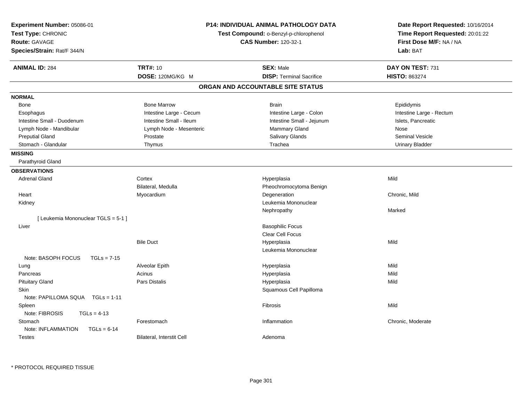| Experiment Number: 05086-01<br>Test Type: CHRONIC<br><b>Route: GAVAGE</b><br>Species/Strain: Rat/F 344/N |                           | <b>P14: INDIVIDUAL ANIMAL PATHOLOGY DATA</b><br>Test Compound: o-Benzyl-p-chlorophenol<br><b>CAS Number: 120-32-1</b> | Date Report Requested: 10/16/2014<br>Time Report Requested: 20:01:22<br>First Dose M/F: NA / NA<br>Lab: BAT |
|----------------------------------------------------------------------------------------------------------|---------------------------|-----------------------------------------------------------------------------------------------------------------------|-------------------------------------------------------------------------------------------------------------|
| <b>ANIMAL ID: 284</b>                                                                                    | <b>TRT#: 10</b>           | <b>SEX: Male</b>                                                                                                      | DAY ON TEST: 731                                                                                            |
|                                                                                                          | DOSE: 120MG/KG M          | <b>DISP: Terminal Sacrifice</b>                                                                                       | <b>HISTO: 863274</b>                                                                                        |
|                                                                                                          |                           | ORGAN AND ACCOUNTABLE SITE STATUS                                                                                     |                                                                                                             |
| <b>NORMAL</b>                                                                                            |                           |                                                                                                                       |                                                                                                             |
| Bone                                                                                                     | <b>Bone Marrow</b>        | <b>Brain</b>                                                                                                          | Epididymis                                                                                                  |
| Esophagus                                                                                                | Intestine Large - Cecum   | Intestine Large - Colon                                                                                               | Intestine Large - Rectum                                                                                    |
| Intestine Small - Duodenum                                                                               | Intestine Small - Ileum   | Intestine Small - Jejunum                                                                                             | Islets, Pancreatic                                                                                          |
| Lymph Node - Mandibular                                                                                  | Lymph Node - Mesenteric   | Mammary Gland                                                                                                         | Nose                                                                                                        |
| <b>Preputial Gland</b>                                                                                   | Prostate                  | Salivary Glands                                                                                                       | <b>Seminal Vesicle</b>                                                                                      |
| Stomach - Glandular                                                                                      | Thymus                    | Trachea                                                                                                               | <b>Urinary Bladder</b>                                                                                      |
| <b>MISSING</b>                                                                                           |                           |                                                                                                                       |                                                                                                             |
| Parathyroid Gland                                                                                        |                           |                                                                                                                       |                                                                                                             |
| <b>OBSERVATIONS</b>                                                                                      |                           |                                                                                                                       |                                                                                                             |
| <b>Adrenal Gland</b>                                                                                     | Cortex                    | Hyperplasia                                                                                                           | Mild                                                                                                        |
|                                                                                                          | Bilateral, Medulla        | Pheochromocytoma Benign                                                                                               |                                                                                                             |
| Heart                                                                                                    | Myocardium                | Degeneration                                                                                                          | Chronic, Mild                                                                                               |
| Kidney                                                                                                   |                           | Leukemia Mononuclear                                                                                                  |                                                                                                             |
|                                                                                                          |                           | Nephropathy                                                                                                           | Marked                                                                                                      |
| [ Leukemia Mononuclear TGLS = 5-1 ]                                                                      |                           |                                                                                                                       |                                                                                                             |
| Liver                                                                                                    |                           | <b>Basophilic Focus</b>                                                                                               |                                                                                                             |
|                                                                                                          |                           | Clear Cell Focus                                                                                                      |                                                                                                             |
|                                                                                                          | <b>Bile Duct</b>          | Hyperplasia                                                                                                           | Mild                                                                                                        |
|                                                                                                          |                           | Leukemia Mononuclear                                                                                                  |                                                                                                             |
| Note: BASOPH FOCUS<br>$TGLs = 7-15$                                                                      |                           |                                                                                                                       |                                                                                                             |
| Lung                                                                                                     | Alveolar Epith            | Hyperplasia                                                                                                           | Mild                                                                                                        |
| Pancreas                                                                                                 | Acinus                    | Hyperplasia                                                                                                           | Mild                                                                                                        |
| <b>Pituitary Gland</b>                                                                                   | <b>Pars Distalis</b>      | Hyperplasia                                                                                                           | Mild                                                                                                        |
| <b>Skin</b>                                                                                              |                           | Squamous Cell Papilloma                                                                                               |                                                                                                             |
| Note: PAPILLOMA SQUA TGLs = 1-11                                                                         |                           |                                                                                                                       |                                                                                                             |
| Spleen                                                                                                   |                           | Fibrosis                                                                                                              | Mild                                                                                                        |
| Note: FIBROSIS<br>$TGLs = 4-13$                                                                          |                           |                                                                                                                       |                                                                                                             |
| Stomach                                                                                                  | Forestomach               | Inflammation                                                                                                          | Chronic, Moderate                                                                                           |
| Note: INFLAMMATION<br>$TGLs = 6-14$                                                                      |                           |                                                                                                                       |                                                                                                             |
| <b>Testes</b>                                                                                            | Bilateral, Interstit Cell | Adenoma                                                                                                               |                                                                                                             |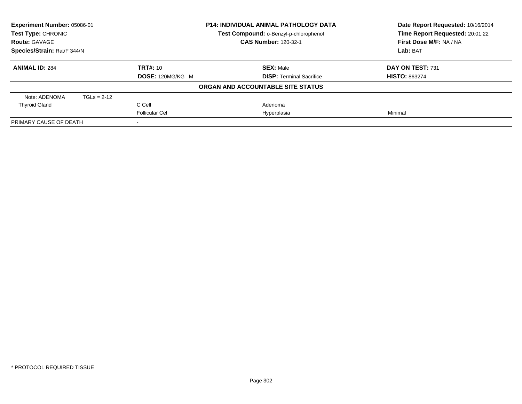| Experiment Number: 05086-01<br><b>Test Type: CHRONIC</b> |               |                         | <b>P14: INDIVIDUAL ANIMAL PATHOLOGY DATA</b> | Date Report Requested: 10/16/2014<br>Time Report Requested: 20:01:22 |
|----------------------------------------------------------|---------------|-------------------------|----------------------------------------------|----------------------------------------------------------------------|
|                                                          |               |                         | Test Compound: o-Benzyl-p-chlorophenol       |                                                                      |
| <b>Route: GAVAGE</b>                                     |               |                         | <b>CAS Number: 120-32-1</b>                  | First Dose M/F: NA / NA                                              |
| Species/Strain: Rat/F 344/N                              |               |                         |                                              | Lab: BAT                                                             |
| <b>ANIMAL ID: 284</b>                                    |               | <b>TRT#: 10</b>         | <b>SEX: Male</b>                             | DAY ON TEST: 731                                                     |
|                                                          |               | <b>DOSE: 120MG/KG M</b> | <b>DISP:</b> Terminal Sacrifice              | <b>HISTO: 863274</b>                                                 |
|                                                          |               |                         | ORGAN AND ACCOUNTABLE SITE STATUS            |                                                                      |
| Note: ADENOMA                                            | $TGLs = 2-12$ |                         |                                              |                                                                      |
| <b>Thyroid Gland</b>                                     |               | C Cell                  | Adenoma                                      |                                                                      |
|                                                          |               | <b>Follicular Cel</b>   | Hyperplasia                                  | Minimal                                                              |
| PRIMARY CAUSE OF DEATH                                   |               |                         |                                              |                                                                      |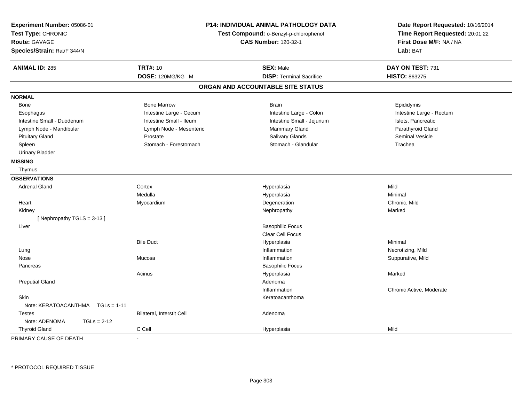| Experiment Number: 05086-01<br>Test Type: CHRONIC<br><b>Route: GAVAGE</b><br>Species/Strain: Rat/F 344/N |                           | P14: INDIVIDUAL ANIMAL PATHOLOGY DATA<br>Test Compound: o-Benzyl-p-chlorophenol<br><b>CAS Number: 120-32-1</b> | Date Report Requested: 10/16/2014<br>Time Report Requested: 20:01:22<br>First Dose M/F: NA / NA<br>Lab: BAT |
|----------------------------------------------------------------------------------------------------------|---------------------------|----------------------------------------------------------------------------------------------------------------|-------------------------------------------------------------------------------------------------------------|
| <b>ANIMAL ID: 285</b>                                                                                    | <b>TRT#: 10</b>           | <b>SEX: Male</b>                                                                                               | DAY ON TEST: 731                                                                                            |
|                                                                                                          | DOSE: 120MG/KG M          | <b>DISP: Terminal Sacrifice</b>                                                                                | HISTO: 863275                                                                                               |
|                                                                                                          |                           | ORGAN AND ACCOUNTABLE SITE STATUS                                                                              |                                                                                                             |
| <b>NORMAL</b>                                                                                            |                           |                                                                                                                |                                                                                                             |
| <b>Bone</b>                                                                                              | <b>Bone Marrow</b>        | <b>Brain</b>                                                                                                   | Epididymis                                                                                                  |
| Esophagus                                                                                                | Intestine Large - Cecum   | Intestine Large - Colon                                                                                        | Intestine Large - Rectum                                                                                    |
| Intestine Small - Duodenum                                                                               | Intestine Small - Ileum   | Intestine Small - Jejunum                                                                                      | Islets, Pancreatic                                                                                          |
| Lymph Node - Mandibular                                                                                  | Lymph Node - Mesenteric   | Mammary Gland                                                                                                  | Parathyroid Gland                                                                                           |
| <b>Pituitary Gland</b>                                                                                   | Prostate                  | Salivary Glands                                                                                                | <b>Seminal Vesicle</b>                                                                                      |
| Spleen                                                                                                   | Stomach - Forestomach     | Stomach - Glandular                                                                                            | Trachea                                                                                                     |
| <b>Urinary Bladder</b>                                                                                   |                           |                                                                                                                |                                                                                                             |
| <b>MISSING</b>                                                                                           |                           |                                                                                                                |                                                                                                             |
| Thymus                                                                                                   |                           |                                                                                                                |                                                                                                             |
| <b>OBSERVATIONS</b>                                                                                      |                           |                                                                                                                |                                                                                                             |
| <b>Adrenal Gland</b>                                                                                     | Cortex                    | Hyperplasia                                                                                                    | Mild                                                                                                        |
|                                                                                                          | Medulla                   | Hyperplasia                                                                                                    | Minimal                                                                                                     |
| Heart                                                                                                    | Myocardium                | Degeneration                                                                                                   | Chronic, Mild                                                                                               |
| Kidney                                                                                                   |                           | Nephropathy                                                                                                    | Marked                                                                                                      |
| [Nephropathy TGLS = 3-13]                                                                                |                           |                                                                                                                |                                                                                                             |
| Liver                                                                                                    |                           | <b>Basophilic Focus</b>                                                                                        |                                                                                                             |
|                                                                                                          |                           | Clear Cell Focus                                                                                               |                                                                                                             |
|                                                                                                          | <b>Bile Duct</b>          | Hyperplasia                                                                                                    | Minimal                                                                                                     |
| Lung                                                                                                     |                           | Inflammation                                                                                                   | Necrotizing, Mild                                                                                           |
| Nose                                                                                                     | Mucosa                    | Inflammation                                                                                                   | Suppurative, Mild                                                                                           |
| Pancreas                                                                                                 |                           | <b>Basophilic Focus</b>                                                                                        |                                                                                                             |
|                                                                                                          | Acinus                    | Hyperplasia                                                                                                    | Marked                                                                                                      |
| <b>Preputial Gland</b>                                                                                   |                           | Adenoma                                                                                                        |                                                                                                             |
|                                                                                                          |                           | Inflammation                                                                                                   | Chronic Active, Moderate                                                                                    |
| Skin                                                                                                     |                           | Keratoacanthoma                                                                                                |                                                                                                             |
| Note: KERATOACANTHMA    TGLs = 1-11                                                                      |                           |                                                                                                                |                                                                                                             |
| <b>Testes</b>                                                                                            | Bilateral, Interstit Cell | Adenoma                                                                                                        |                                                                                                             |
| Note: ADENOMA<br>$TGLs = 2-12$                                                                           |                           |                                                                                                                |                                                                                                             |
| <b>Thyroid Gland</b>                                                                                     | C Cell                    | Hyperplasia                                                                                                    | Mild                                                                                                        |

PRIMARY CAUSE OF DEATH-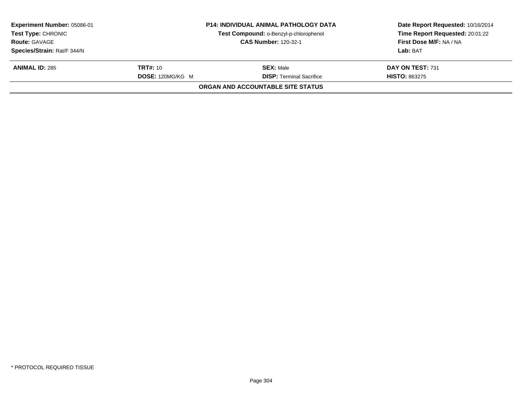| <b>Experiment Number: 05086-01</b><br><b>Test Type: CHRONIC</b> |                  | <b>P14: INDIVIDUAL ANIMAL PATHOLOGY DATA</b> | Date Report Requested: 10/16/2014<br>Time Report Requested: 20:01:22 |
|-----------------------------------------------------------------|------------------|----------------------------------------------|----------------------------------------------------------------------|
|                                                                 |                  | Test Compound: o-Benzyl-p-chlorophenol       |                                                                      |
| <b>Route: GAVAGE</b>                                            |                  | <b>CAS Number: 120-32-1</b>                  | First Dose M/F: NA / NA                                              |
| Species/Strain: Rat/F 344/N                                     |                  |                                              | Lab: BAT                                                             |
| <b>ANIMAL ID: 285</b>                                           | <b>TRT#:</b> 10  | <b>SEX: Male</b>                             | DAY ON TEST: 731                                                     |
|                                                                 | DOSE: 120MG/KG M | <b>DISP:</b> Terminal Sacrifice              | <b>HISTO: 863275</b>                                                 |
|                                                                 |                  | <b>ORGAN AND ACCOUNTABLE SITE STATUS</b>     |                                                                      |
|                                                                 |                  |                                              |                                                                      |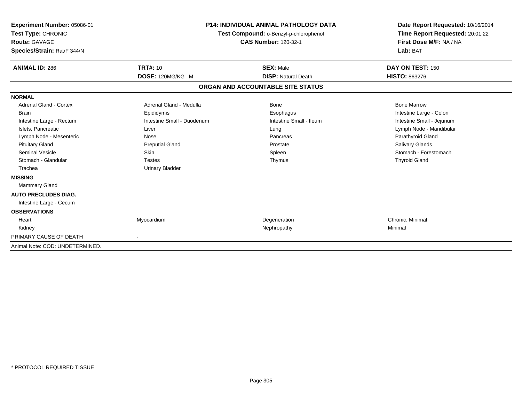| Experiment Number: 05086-01<br>Test Type: CHRONIC<br><b>Route: GAVAGE</b><br>Species/Strain: Rat/F 344/N |                            | P14: INDIVIDUAL ANIMAL PATHOLOGY DATA<br>Test Compound: o-Benzyl-p-chlorophenol<br><b>CAS Number: 120-32-1</b> | Date Report Requested: 10/16/2014<br>Time Report Requested: 20:01:22<br>First Dose M/F: NA / NA<br>Lab: BAT |
|----------------------------------------------------------------------------------------------------------|----------------------------|----------------------------------------------------------------------------------------------------------------|-------------------------------------------------------------------------------------------------------------|
| <b>ANIMAL ID: 286</b>                                                                                    | <b>TRT#: 10</b>            | <b>SEX: Male</b>                                                                                               | DAY ON TEST: 150                                                                                            |
|                                                                                                          | DOSE: 120MG/KG M           | <b>DISP: Natural Death</b>                                                                                     | <b>HISTO: 863276</b>                                                                                        |
|                                                                                                          |                            | ORGAN AND ACCOUNTABLE SITE STATUS                                                                              |                                                                                                             |
| <b>NORMAL</b>                                                                                            |                            |                                                                                                                |                                                                                                             |
| <b>Adrenal Gland - Cortex</b>                                                                            | Adrenal Gland - Medulla    | Bone                                                                                                           | <b>Bone Marrow</b>                                                                                          |
| <b>Brain</b>                                                                                             | Epididymis                 | Esophagus                                                                                                      | Intestine Large - Colon                                                                                     |
| Intestine Large - Rectum                                                                                 | Intestine Small - Duodenum | Intestine Small - Ileum                                                                                        | Intestine Small - Jejunum                                                                                   |
| Islets, Pancreatic                                                                                       | Liver                      | Lung                                                                                                           | Lymph Node - Mandibular                                                                                     |
| Lymph Node - Mesenteric                                                                                  | Nose                       | Pancreas                                                                                                       | Parathyroid Gland                                                                                           |
| <b>Pituitary Gland</b>                                                                                   | <b>Preputial Gland</b>     | Prostate                                                                                                       | <b>Salivary Glands</b>                                                                                      |
| Seminal Vesicle                                                                                          | <b>Skin</b>                | Spleen                                                                                                         | Stomach - Forestomach                                                                                       |
| Stomach - Glandular                                                                                      | <b>Testes</b>              | Thymus                                                                                                         | <b>Thyroid Gland</b>                                                                                        |
| Trachea                                                                                                  | <b>Urinary Bladder</b>     |                                                                                                                |                                                                                                             |
| <b>MISSING</b>                                                                                           |                            |                                                                                                                |                                                                                                             |
| <b>Mammary Gland</b>                                                                                     |                            |                                                                                                                |                                                                                                             |
| <b>AUTO PRECLUDES DIAG.</b>                                                                              |                            |                                                                                                                |                                                                                                             |
| Intestine Large - Cecum                                                                                  |                            |                                                                                                                |                                                                                                             |
| <b>OBSERVATIONS</b>                                                                                      |                            |                                                                                                                |                                                                                                             |
| Heart                                                                                                    | Myocardium                 | Degeneration                                                                                                   | Chronic, Minimal                                                                                            |
| Kidney                                                                                                   |                            | Nephropathy                                                                                                    | Minimal                                                                                                     |
| PRIMARY CAUSE OF DEATH                                                                                   | $\sim$                     |                                                                                                                |                                                                                                             |
| Animal Note: COD: UNDETERMINED.                                                                          |                            |                                                                                                                |                                                                                                             |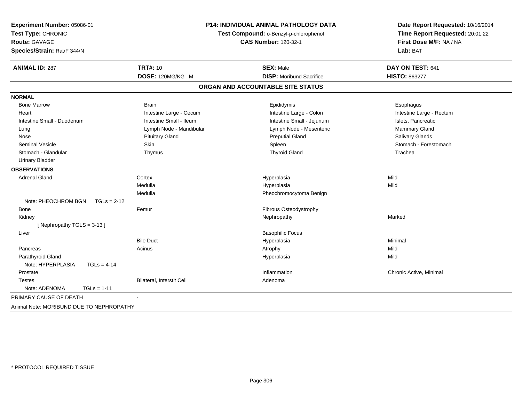| Experiment Number: 05086-01<br>Test Type: CHRONIC<br><b>Route: GAVAGE</b><br>Species/Strain: Rat/F 344/N |                           | P14: INDIVIDUAL ANIMAL PATHOLOGY DATA<br>Test Compound: o-Benzyl-p-chlorophenol<br><b>CAS Number: 120-32-1</b> | Date Report Requested: 10/16/2014<br>Time Report Requested: 20:01:22<br>First Dose M/F: NA / NA<br>Lab: BAT |
|----------------------------------------------------------------------------------------------------------|---------------------------|----------------------------------------------------------------------------------------------------------------|-------------------------------------------------------------------------------------------------------------|
| <b>ANIMAL ID: 287</b>                                                                                    | <b>TRT#: 10</b>           | <b>SEX: Male</b>                                                                                               | DAY ON TEST: 641                                                                                            |
|                                                                                                          | DOSE: 120MG/KG M          | <b>DISP:</b> Moribund Sacrifice                                                                                | <b>HISTO: 863277</b>                                                                                        |
|                                                                                                          |                           | ORGAN AND ACCOUNTABLE SITE STATUS                                                                              |                                                                                                             |
| <b>NORMAL</b>                                                                                            |                           |                                                                                                                |                                                                                                             |
| <b>Bone Marrow</b>                                                                                       | <b>Brain</b>              | Epididymis                                                                                                     | Esophagus                                                                                                   |
| Heart                                                                                                    | Intestine Large - Cecum   | Intestine Large - Colon                                                                                        | Intestine Large - Rectum                                                                                    |
| Intestine Small - Duodenum                                                                               | Intestine Small - Ileum   | Intestine Small - Jejunum                                                                                      | Islets, Pancreatic                                                                                          |
| Lung                                                                                                     | Lymph Node - Mandibular   | Lymph Node - Mesenteric                                                                                        | Mammary Gland                                                                                               |
| Nose                                                                                                     | <b>Pituitary Gland</b>    | <b>Preputial Gland</b>                                                                                         | Salivary Glands                                                                                             |
| <b>Seminal Vesicle</b>                                                                                   | Skin                      | Spleen                                                                                                         | Stomach - Forestomach                                                                                       |
| Stomach - Glandular                                                                                      | Thymus                    | <b>Thyroid Gland</b>                                                                                           | Trachea                                                                                                     |
| <b>Urinary Bladder</b>                                                                                   |                           |                                                                                                                |                                                                                                             |
| <b>OBSERVATIONS</b>                                                                                      |                           |                                                                                                                |                                                                                                             |
| <b>Adrenal Gland</b>                                                                                     | Cortex                    | Hyperplasia                                                                                                    | Mild                                                                                                        |
|                                                                                                          | Medulla                   | Hyperplasia                                                                                                    | Mild                                                                                                        |
|                                                                                                          | Medulla                   | Pheochromocytoma Benign                                                                                        |                                                                                                             |
| Note: PHEOCHROM BGN<br>$TGLs = 2-12$                                                                     |                           |                                                                                                                |                                                                                                             |
| Bone                                                                                                     | Femur                     | Fibrous Osteodystrophy                                                                                         |                                                                                                             |
| Kidney                                                                                                   |                           | Nephropathy                                                                                                    | Marked                                                                                                      |
| [Nephropathy TGLS = 3-13]                                                                                |                           |                                                                                                                |                                                                                                             |
| Liver                                                                                                    |                           | <b>Basophilic Focus</b>                                                                                        |                                                                                                             |
|                                                                                                          | <b>Bile Duct</b>          | Hyperplasia                                                                                                    | Minimal                                                                                                     |
| Pancreas                                                                                                 | Acinus                    | Atrophy                                                                                                        | Mild                                                                                                        |
| Parathyroid Gland                                                                                        |                           | Hyperplasia                                                                                                    | Mild                                                                                                        |
| Note: HYPERPLASIA<br>$TGLs = 4-14$                                                                       |                           |                                                                                                                |                                                                                                             |
| Prostate                                                                                                 |                           | Inflammation                                                                                                   | Chronic Active, Minimal                                                                                     |
| <b>Testes</b>                                                                                            | Bilateral, Interstit Cell | Adenoma                                                                                                        |                                                                                                             |
| Note: ADENOMA<br>$TGLs = 1-11$                                                                           |                           |                                                                                                                |                                                                                                             |
| PRIMARY CAUSE OF DEATH                                                                                   |                           |                                                                                                                |                                                                                                             |
| Animal Note: MORIBUND DUE TO NEPHROPATHY                                                                 |                           |                                                                                                                |                                                                                                             |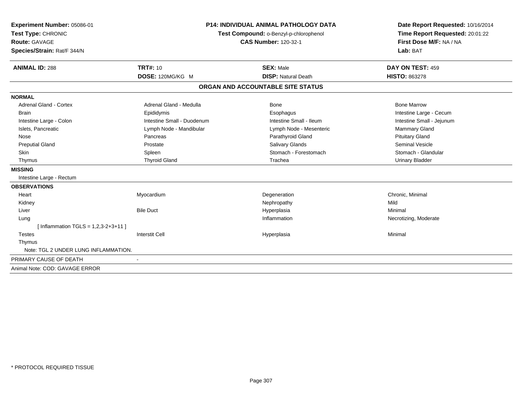| Experiment Number: 05086-01           |                                                                       | <b>P14: INDIVIDUAL ANIMAL PATHOLOGY DATA</b> | Date Report Requested: 10/16/2014 |  |
|---------------------------------------|-----------------------------------------------------------------------|----------------------------------------------|-----------------------------------|--|
| Test Type: CHRONIC                    | Test Compound: o-Benzyl-p-chlorophenol<br><b>CAS Number: 120-32-1</b> |                                              | Time Report Requested: 20:01:22   |  |
| <b>Route: GAVAGE</b>                  |                                                                       |                                              | First Dose M/F: NA / NA           |  |
| Species/Strain: Rat/F 344/N           |                                                                       |                                              | Lab: BAT                          |  |
|                                       |                                                                       |                                              |                                   |  |
| <b>ANIMAL ID: 288</b>                 | <b>TRT#: 10</b>                                                       | <b>SEX: Male</b>                             | DAY ON TEST: 459                  |  |
|                                       | DOSE: 120MG/KG M                                                      | <b>DISP: Natural Death</b>                   | <b>HISTO: 863278</b>              |  |
|                                       |                                                                       | ORGAN AND ACCOUNTABLE SITE STATUS            |                                   |  |
| <b>NORMAL</b>                         |                                                                       |                                              |                                   |  |
| <b>Adrenal Gland - Cortex</b>         | Adrenal Gland - Medulla                                               | <b>Bone</b>                                  | <b>Bone Marrow</b>                |  |
| <b>Brain</b>                          | Epididymis                                                            | Esophagus                                    | Intestine Large - Cecum           |  |
| Intestine Large - Colon               | Intestine Small - Duodenum                                            | Intestine Small - Ileum                      | Intestine Small - Jejunum         |  |
| Islets, Pancreatic                    | Lymph Node - Mandibular                                               | Lymph Node - Mesenteric                      | Mammary Gland                     |  |
| Nose                                  | Pancreas                                                              | Parathyroid Gland                            | <b>Pituitary Gland</b>            |  |
| <b>Preputial Gland</b>                | Prostate                                                              | Salivary Glands                              | Seminal Vesicle                   |  |
| <b>Skin</b>                           | Spleen                                                                | Stomach - Forestomach                        | Stomach - Glandular               |  |
| Thymus                                | <b>Thyroid Gland</b>                                                  | Trachea                                      | <b>Urinary Bladder</b>            |  |
| <b>MISSING</b>                        |                                                                       |                                              |                                   |  |
| Intestine Large - Rectum              |                                                                       |                                              |                                   |  |
| <b>OBSERVATIONS</b>                   |                                                                       |                                              |                                   |  |
| Heart                                 | Myocardium                                                            | Degeneration                                 | Chronic, Minimal                  |  |
| Kidney                                |                                                                       | Nephropathy                                  | Mild                              |  |
| Liver                                 | <b>Bile Duct</b>                                                      | Hyperplasia                                  | Minimal                           |  |
| Lung                                  |                                                                       | Inflammation                                 | Necrotizing, Moderate             |  |
| [Inflammation TGLS = $1,2,3-2+3+11$ ] |                                                                       |                                              |                                   |  |
| <b>Testes</b>                         | <b>Interstit Cell</b>                                                 | Hyperplasia                                  | Minimal                           |  |
| Thymus                                |                                                                       |                                              |                                   |  |
| Note: TGL 2 UNDER LUNG INFLAMMATION.  |                                                                       |                                              |                                   |  |
| PRIMARY CAUSE OF DEATH                |                                                                       |                                              |                                   |  |
| Animal Note: COD: GAVAGE ERROR        |                                                                       |                                              |                                   |  |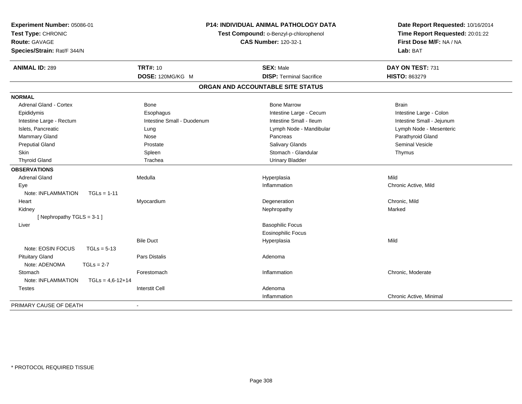| Experiment Number: 05086-01<br>Test Type: CHRONIC<br>Route: GAVAGE<br>Species/Strain: Rat/F 344/N | P14: INDIVIDUAL ANIMAL PATHOLOGY DATA<br>Test Compound: o-Benzyl-p-chlorophenol<br><b>CAS Number: 120-32-1</b> |                                   | Date Report Requested: 10/16/2014<br>Time Report Requested: 20:01:22<br>First Dose M/F: NA / NA<br>Lab: BAT |
|---------------------------------------------------------------------------------------------------|----------------------------------------------------------------------------------------------------------------|-----------------------------------|-------------------------------------------------------------------------------------------------------------|
| <b>ANIMAL ID: 289</b>                                                                             | <b>TRT#: 10</b>                                                                                                | <b>SEX: Male</b>                  | DAY ON TEST: 731                                                                                            |
|                                                                                                   | DOSE: 120MG/KG M                                                                                               | <b>DISP: Terminal Sacrifice</b>   | <b>HISTO: 863279</b>                                                                                        |
|                                                                                                   |                                                                                                                | ORGAN AND ACCOUNTABLE SITE STATUS |                                                                                                             |
| <b>NORMAL</b>                                                                                     |                                                                                                                |                                   |                                                                                                             |
| <b>Adrenal Gland - Cortex</b>                                                                     | Bone                                                                                                           | <b>Bone Marrow</b>                | <b>Brain</b>                                                                                                |
| Epididymis                                                                                        | Esophagus                                                                                                      | Intestine Large - Cecum           | Intestine Large - Colon                                                                                     |
| Intestine Large - Rectum                                                                          | Intestine Small - Duodenum                                                                                     | Intestine Small - Ileum           | Intestine Small - Jejunum                                                                                   |
| Islets, Pancreatic                                                                                | Lung                                                                                                           | Lymph Node - Mandibular           | Lymph Node - Mesenteric                                                                                     |
| Mammary Gland                                                                                     | Nose                                                                                                           | Pancreas                          | Parathyroid Gland                                                                                           |
| <b>Preputial Gland</b>                                                                            | Prostate                                                                                                       | Salivary Glands                   | <b>Seminal Vesicle</b>                                                                                      |
| <b>Skin</b>                                                                                       | Spleen                                                                                                         | Stomach - Glandular               | Thymus                                                                                                      |
| <b>Thyroid Gland</b>                                                                              | Trachea                                                                                                        | <b>Urinary Bladder</b>            |                                                                                                             |
| <b>OBSERVATIONS</b>                                                                               |                                                                                                                |                                   |                                                                                                             |
| <b>Adrenal Gland</b>                                                                              | Medulla                                                                                                        | Hyperplasia                       | Mild                                                                                                        |
| Eye                                                                                               |                                                                                                                | Inflammation                      | Chronic Active, Mild                                                                                        |
| Note: INFLAMMATION<br>$TGLs = 1-11$                                                               |                                                                                                                |                                   |                                                                                                             |
| Heart                                                                                             | Myocardium                                                                                                     | Degeneration                      | Chronic, Mild                                                                                               |
| Kidney                                                                                            |                                                                                                                | Nephropathy                       | Marked                                                                                                      |
| [Nephropathy TGLS = 3-1]                                                                          |                                                                                                                |                                   |                                                                                                             |
| Liver                                                                                             |                                                                                                                | <b>Basophilic Focus</b>           |                                                                                                             |
|                                                                                                   |                                                                                                                | <b>Eosinophilic Focus</b>         |                                                                                                             |
|                                                                                                   | <b>Bile Duct</b>                                                                                               | Hyperplasia                       | Mild                                                                                                        |
| Note: EOSIN FOCUS<br>$TGLs = 5-13$                                                                |                                                                                                                |                                   |                                                                                                             |
| <b>Pituitary Gland</b>                                                                            | Pars Distalis                                                                                                  | Adenoma                           |                                                                                                             |
| Note: ADENOMA<br>$TGLs = 2-7$                                                                     |                                                                                                                |                                   |                                                                                                             |
| Stomach                                                                                           | Forestomach                                                                                                    | Inflammation                      | Chronic, Moderate                                                                                           |
| Note: INFLAMMATION<br>$TGLs = 4,6-12+14$                                                          |                                                                                                                |                                   |                                                                                                             |
| Testes                                                                                            | <b>Interstit Cell</b>                                                                                          | Adenoma                           |                                                                                                             |
|                                                                                                   |                                                                                                                | Inflammation                      | Chronic Active, Minimal                                                                                     |
| PRIMARY CAUSE OF DEATH                                                                            |                                                                                                                |                                   |                                                                                                             |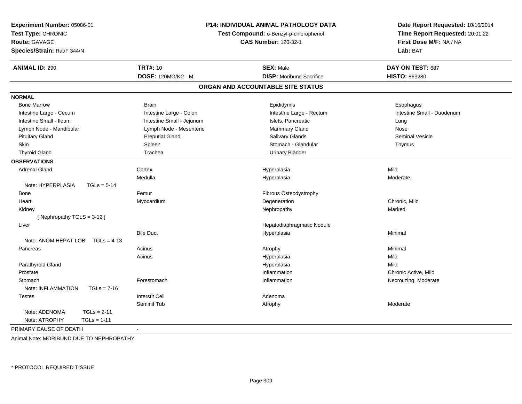| Experiment Number: 05086-01<br>Test Type: CHRONIC<br><b>Route: GAVAGE</b><br>Species/Strain: Rat/F 344/N |                           | P14: INDIVIDUAL ANIMAL PATHOLOGY DATA<br>Test Compound: o-Benzyl-p-chlorophenol<br><b>CAS Number: 120-32-1</b> | Date Report Requested: 10/16/2014<br>Time Report Requested: 20:01:22<br>First Dose M/F: NA / NA<br>Lab: BAT |
|----------------------------------------------------------------------------------------------------------|---------------------------|----------------------------------------------------------------------------------------------------------------|-------------------------------------------------------------------------------------------------------------|
| <b>ANIMAL ID: 290</b>                                                                                    | <b>TRT#: 10</b>           | <b>SEX: Male</b>                                                                                               | DAY ON TEST: 687                                                                                            |
|                                                                                                          | DOSE: 120MG/KG M          | <b>DISP:</b> Moribund Sacrifice                                                                                | <b>HISTO: 863280</b>                                                                                        |
|                                                                                                          |                           | ORGAN AND ACCOUNTABLE SITE STATUS                                                                              |                                                                                                             |
| <b>NORMAL</b>                                                                                            |                           |                                                                                                                |                                                                                                             |
| <b>Bone Marrow</b>                                                                                       | <b>Brain</b>              | Epididymis                                                                                                     | Esophagus                                                                                                   |
| Intestine Large - Cecum                                                                                  | Intestine Large - Colon   | Intestine Large - Rectum                                                                                       | Intestine Small - Duodenum                                                                                  |
| Intestine Small - Ileum                                                                                  | Intestine Small - Jejunum | Islets, Pancreatic                                                                                             | Lung                                                                                                        |
| Lymph Node - Mandibular                                                                                  | Lymph Node - Mesenteric   | <b>Mammary Gland</b>                                                                                           | Nose                                                                                                        |
| <b>Pituitary Gland</b>                                                                                   | <b>Preputial Gland</b>    | Salivary Glands                                                                                                | <b>Seminal Vesicle</b>                                                                                      |
| <b>Skin</b>                                                                                              | Spleen                    | Stomach - Glandular                                                                                            | Thymus                                                                                                      |
| <b>Thyroid Gland</b>                                                                                     | Trachea                   | <b>Urinary Bladder</b>                                                                                         |                                                                                                             |
| <b>OBSERVATIONS</b>                                                                                      |                           |                                                                                                                |                                                                                                             |
| <b>Adrenal Gland</b>                                                                                     | Cortex                    | Hyperplasia                                                                                                    | Mild                                                                                                        |
|                                                                                                          | Medulla                   | Hyperplasia                                                                                                    | Moderate                                                                                                    |
| Note: HYPERPLASIA<br>$TGLs = 5-14$                                                                       |                           |                                                                                                                |                                                                                                             |
| Bone                                                                                                     | Femur                     | Fibrous Osteodystrophy                                                                                         |                                                                                                             |
| Heart                                                                                                    | Myocardium                | Degeneration                                                                                                   | Chronic, Mild                                                                                               |
| Kidney                                                                                                   |                           | Nephropathy                                                                                                    | Marked                                                                                                      |
| [Nephropathy TGLS = 3-12]                                                                                |                           |                                                                                                                |                                                                                                             |
| Liver                                                                                                    |                           | Hepatodiaphragmatic Nodule                                                                                     |                                                                                                             |
|                                                                                                          | <b>Bile Duct</b>          | Hyperplasia                                                                                                    | Minimal                                                                                                     |
| Note: ANOM HEPAT LOB TGLs = 4-13                                                                         |                           |                                                                                                                |                                                                                                             |
| Pancreas                                                                                                 | Acinus                    | Atrophy                                                                                                        | Minimal                                                                                                     |
|                                                                                                          | Acinus                    | Hyperplasia                                                                                                    | Mild                                                                                                        |
| Parathyroid Gland                                                                                        |                           | Hyperplasia                                                                                                    | Mild                                                                                                        |
| Prostate                                                                                                 |                           | Inflammation                                                                                                   | Chronic Active, Mild                                                                                        |
| Stomach                                                                                                  | Forestomach               | Inflammation                                                                                                   | Necrotizing, Moderate                                                                                       |
| Note: INFLAMMATION<br>$TGLs = 7-16$                                                                      |                           |                                                                                                                |                                                                                                             |
| <b>Testes</b>                                                                                            | <b>Interstit Cell</b>     | Adenoma                                                                                                        |                                                                                                             |
|                                                                                                          | Seminif Tub               | Atrophy                                                                                                        | Moderate                                                                                                    |
| Note: ADENOMA<br>$TGLs = 2-11$                                                                           |                           |                                                                                                                |                                                                                                             |
| Note: ATROPHY<br>$TGLs = 1-11$                                                                           |                           |                                                                                                                |                                                                                                             |
| PRIMARY CAUSE OF DEATH                                                                                   | $\sim$                    |                                                                                                                |                                                                                                             |

Animal Note: MORIBUND DUE TO NEPHROPATHY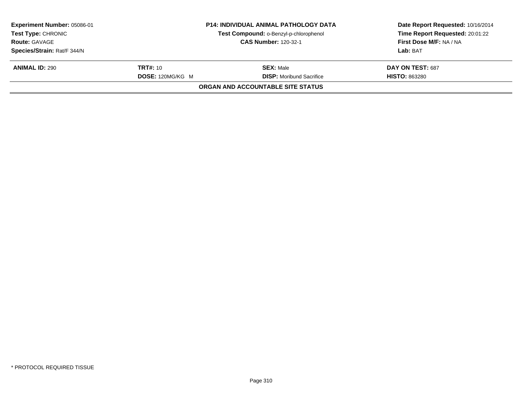| Experiment Number: 05086-01<br><b>Test Type: CHRONIC</b> |                  | <b>P14: INDIVIDUAL ANIMAL PATHOLOGY DATA</b> | Date Report Requested: 10/16/2014<br>Time Report Requested: 20:01:22 |
|----------------------------------------------------------|------------------|----------------------------------------------|----------------------------------------------------------------------|
|                                                          |                  | Test Compound: o-Benzyl-p-chlorophenol       |                                                                      |
| <b>Route: GAVAGE</b>                                     |                  | <b>CAS Number: 120-32-1</b>                  | First Dose M/F: NA / NA                                              |
| Species/Strain: Rat/F 344/N                              |                  |                                              | Lab: BAT                                                             |
| <b>ANIMAL ID: 290</b>                                    | <b>TRT#:</b> 10  | <b>SEX:</b> Male                             | DAY ON TEST: 687                                                     |
|                                                          | DOSE: 120MG/KG M | <b>DISP:</b> Moribund Sacrifice              | <b>HISTO: 863280</b>                                                 |
|                                                          |                  | ORGAN AND ACCOUNTABLE SITE STATUS            |                                                                      |
|                                                          |                  |                                              |                                                                      |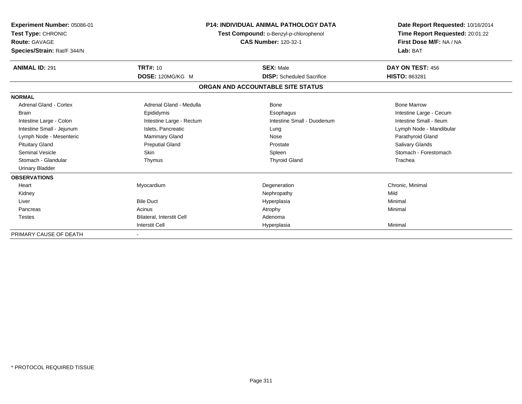| Experiment Number: 05086-01<br>Test Type: CHRONIC<br><b>Route: GAVAGE</b><br>Species/Strain: Rat/F 344/N | <b>P14: INDIVIDUAL ANIMAL PATHOLOGY DATA</b><br>Test Compound: o-Benzyl-p-chlorophenol<br><b>CAS Number: 120-32-1</b> |                                   | Date Report Requested: 10/16/2014<br>Time Report Requested: 20:01:22<br>First Dose M/F: NA / NA<br>Lab: BAT |
|----------------------------------------------------------------------------------------------------------|-----------------------------------------------------------------------------------------------------------------------|-----------------------------------|-------------------------------------------------------------------------------------------------------------|
| <b>ANIMAL ID: 291</b>                                                                                    | <b>TRT#: 10</b>                                                                                                       | <b>SEX: Male</b>                  | DAY ON TEST: 456                                                                                            |
|                                                                                                          | DOSE: 120MG/KG M                                                                                                      | <b>DISP:</b> Scheduled Sacrifice  | <b>HISTO: 863281</b>                                                                                        |
|                                                                                                          |                                                                                                                       | ORGAN AND ACCOUNTABLE SITE STATUS |                                                                                                             |
| <b>NORMAL</b>                                                                                            |                                                                                                                       |                                   |                                                                                                             |
| <b>Adrenal Gland - Cortex</b>                                                                            | Adrenal Gland - Medulla                                                                                               | <b>Bone</b>                       | <b>Bone Marrow</b>                                                                                          |
| <b>Brain</b>                                                                                             | Epididymis                                                                                                            | Esophagus                         | Intestine Large - Cecum                                                                                     |
| Intestine Large - Colon                                                                                  | Intestine Large - Rectum                                                                                              | Intestine Small - Duodenum        | Intestine Small - Ileum                                                                                     |
| Intestine Small - Jejunum                                                                                | Islets, Pancreatic                                                                                                    | Lung                              | Lymph Node - Mandibular                                                                                     |
| Lymph Node - Mesenteric                                                                                  | <b>Mammary Gland</b>                                                                                                  | Nose                              | Parathyroid Gland                                                                                           |
| <b>Pituitary Gland</b>                                                                                   | <b>Preputial Gland</b>                                                                                                | Prostate                          | <b>Salivary Glands</b>                                                                                      |
| <b>Seminal Vesicle</b>                                                                                   | <b>Skin</b>                                                                                                           | Spleen                            | Stomach - Forestomach                                                                                       |
| Stomach - Glandular                                                                                      | Thymus                                                                                                                | <b>Thyroid Gland</b>              | Trachea                                                                                                     |
| <b>Urinary Bladder</b>                                                                                   |                                                                                                                       |                                   |                                                                                                             |
| <b>OBSERVATIONS</b>                                                                                      |                                                                                                                       |                                   |                                                                                                             |
| Heart                                                                                                    | Myocardium                                                                                                            | Degeneration                      | Chronic, Minimal                                                                                            |
| Kidney                                                                                                   |                                                                                                                       | Nephropathy                       | Mild                                                                                                        |
| Liver                                                                                                    | <b>Bile Duct</b>                                                                                                      | Hyperplasia                       | Minimal                                                                                                     |
| Pancreas                                                                                                 | Acinus                                                                                                                | Atrophy                           | Minimal                                                                                                     |
| <b>Testes</b>                                                                                            | Bilateral, Interstit Cell                                                                                             | Adenoma                           |                                                                                                             |
|                                                                                                          | <b>Interstit Cell</b>                                                                                                 | Hyperplasia                       | Minimal                                                                                                     |
| PRIMARY CAUSE OF DEATH                                                                                   |                                                                                                                       |                                   |                                                                                                             |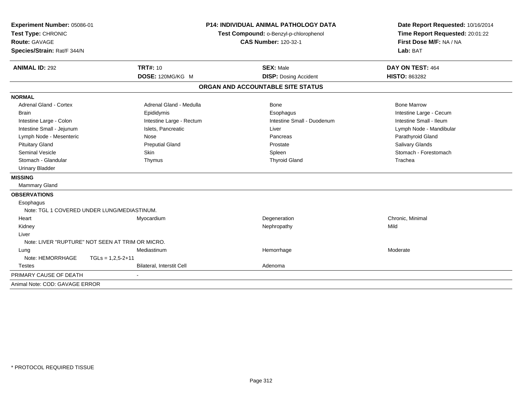| Experiment Number: 05086-01                 |                                                  | <b>P14: INDIVIDUAL ANIMAL PATHOLOGY DATA</b> | Date Report Requested: 10/16/2014                          |
|---------------------------------------------|--------------------------------------------------|----------------------------------------------|------------------------------------------------------------|
| Test Type: CHRONIC                          |                                                  | Test Compound: o-Benzyl-p-chlorophenol       | Time Report Requested: 20:01:22<br>First Dose M/F: NA / NA |
| <b>Route: GAVAGE</b>                        |                                                  | <b>CAS Number: 120-32-1</b>                  |                                                            |
| Species/Strain: Rat/F 344/N                 |                                                  |                                              | Lab: BAT                                                   |
| <b>ANIMAL ID: 292</b>                       | <b>TRT#: 10</b>                                  | <b>SEX: Male</b>                             | DAY ON TEST: 464                                           |
|                                             | DOSE: 120MG/KG M                                 | <b>DISP: Dosing Accident</b>                 | <b>HISTO: 863282</b>                                       |
|                                             |                                                  | ORGAN AND ACCOUNTABLE SITE STATUS            |                                                            |
| <b>NORMAL</b>                               |                                                  |                                              |                                                            |
| <b>Adrenal Gland - Cortex</b>               | Adrenal Gland - Medulla                          | Bone                                         | <b>Bone Marrow</b>                                         |
| <b>Brain</b>                                | Epididymis                                       | Esophagus                                    | Intestine Large - Cecum                                    |
| Intestine Large - Colon                     | Intestine Large - Rectum                         | Intestine Small - Duodenum                   | Intestine Small - Ileum                                    |
| Intestine Small - Jejunum                   | Islets, Pancreatic                               | Liver                                        | Lymph Node - Mandibular                                    |
| Lymph Node - Mesenteric                     | Nose                                             | Pancreas                                     | Parathyroid Gland                                          |
| <b>Pituitary Gland</b>                      | <b>Preputial Gland</b>                           | Prostate                                     | <b>Salivary Glands</b>                                     |
| <b>Seminal Vesicle</b>                      | <b>Skin</b>                                      | Spleen                                       | Stomach - Forestomach                                      |
| Stomach - Glandular                         | Thymus                                           | <b>Thyroid Gland</b>                         | Trachea                                                    |
| <b>Urinary Bladder</b>                      |                                                  |                                              |                                                            |
| <b>MISSING</b>                              |                                                  |                                              |                                                            |
| Mammary Gland                               |                                                  |                                              |                                                            |
| <b>OBSERVATIONS</b>                         |                                                  |                                              |                                                            |
| Esophagus                                   |                                                  |                                              |                                                            |
| Note: TGL 1 COVERED UNDER LUNG/MEDIASTINUM. |                                                  |                                              |                                                            |
| Heart                                       | Myocardium                                       | Degeneration                                 | Chronic, Minimal                                           |
| Kidney                                      |                                                  | Nephropathy                                  | Mild                                                       |
| Liver                                       |                                                  |                                              |                                                            |
|                                             | Note: LIVER "RUPTURE" NOT SEEN AT TRIM OR MICRO. |                                              |                                                            |
| Lung                                        | Mediastinum                                      | Hemorrhage                                   | Moderate                                                   |
| Note: HEMORRHAGE                            | $TGLs = 1,2,5-2+11$                              |                                              |                                                            |
| Testes                                      | <b>Bilateral, Interstit Cell</b>                 | Adenoma                                      |                                                            |
| PRIMARY CAUSE OF DEATH                      |                                                  |                                              |                                                            |
| Animal Note: COD: GAVAGE ERROR              |                                                  |                                              |                                                            |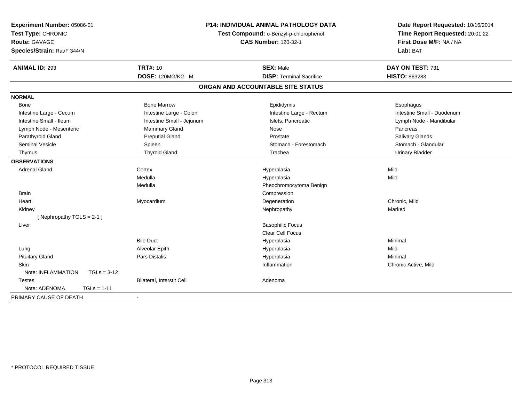| Experiment Number: 05086-01<br>Test Type: CHRONIC<br><b>Route: GAVAGE</b><br>Species/Strain: Rat/F 344/N | <b>P14: INDIVIDUAL ANIMAL PATHOLOGY DATA</b><br>Test Compound: o-Benzyl-p-chlorophenol<br><b>CAS Number: 120-32-1</b> |                                   | Date Report Requested: 10/16/2014<br>Time Report Requested: 20:01:22<br>First Dose M/F: NA / NA<br>Lab: BAT |
|----------------------------------------------------------------------------------------------------------|-----------------------------------------------------------------------------------------------------------------------|-----------------------------------|-------------------------------------------------------------------------------------------------------------|
| <b>ANIMAL ID: 293</b>                                                                                    | <b>TRT#: 10</b>                                                                                                       | <b>SEX: Male</b>                  | DAY ON TEST: 731                                                                                            |
|                                                                                                          | DOSE: 120MG/KG M                                                                                                      | <b>DISP: Terminal Sacrifice</b>   | HISTO: 863283                                                                                               |
|                                                                                                          |                                                                                                                       | ORGAN AND ACCOUNTABLE SITE STATUS |                                                                                                             |
| <b>NORMAL</b>                                                                                            |                                                                                                                       |                                   |                                                                                                             |
| Bone                                                                                                     | <b>Bone Marrow</b>                                                                                                    | Epididymis                        | Esophagus                                                                                                   |
| Intestine Large - Cecum                                                                                  | Intestine Large - Colon                                                                                               | Intestine Large - Rectum          | Intestine Small - Duodenum                                                                                  |
| Intestine Small - Ileum                                                                                  | Intestine Small - Jejunum                                                                                             | Islets, Pancreatic                | Lymph Node - Mandibular                                                                                     |
| Lymph Node - Mesenteric                                                                                  | <b>Mammary Gland</b>                                                                                                  | Nose                              | Pancreas                                                                                                    |
| Parathyroid Gland                                                                                        | <b>Preputial Gland</b>                                                                                                | Prostate                          | Salivary Glands                                                                                             |
| <b>Seminal Vesicle</b>                                                                                   | Spleen                                                                                                                | Stomach - Forestomach             | Stomach - Glandular                                                                                         |
| Thymus                                                                                                   | <b>Thyroid Gland</b>                                                                                                  | Trachea                           | <b>Urinary Bladder</b>                                                                                      |
| <b>OBSERVATIONS</b>                                                                                      |                                                                                                                       |                                   |                                                                                                             |
| <b>Adrenal Gland</b>                                                                                     | Cortex                                                                                                                | Hyperplasia                       | Mild                                                                                                        |
|                                                                                                          | Medulla                                                                                                               | Hyperplasia                       | Mild                                                                                                        |
|                                                                                                          | Medulla                                                                                                               | Pheochromocytoma Benign           |                                                                                                             |
| <b>Brain</b>                                                                                             |                                                                                                                       | Compression                       |                                                                                                             |
| Heart                                                                                                    | Myocardium                                                                                                            | Degeneration                      | Chronic, Mild                                                                                               |
| Kidney                                                                                                   |                                                                                                                       | Nephropathy                       | Marked                                                                                                      |
| [Nephropathy TGLS = $2-1$ ]                                                                              |                                                                                                                       |                                   |                                                                                                             |
| Liver                                                                                                    |                                                                                                                       | <b>Basophilic Focus</b>           |                                                                                                             |
|                                                                                                          |                                                                                                                       | <b>Clear Cell Focus</b>           |                                                                                                             |
|                                                                                                          | <b>Bile Duct</b>                                                                                                      | Hyperplasia                       | Minimal                                                                                                     |
| Lung                                                                                                     | Alveolar Epith                                                                                                        | Hyperplasia                       | Mild                                                                                                        |
| <b>Pituitary Gland</b>                                                                                   | Pars Distalis                                                                                                         | Hyperplasia                       | Minimal                                                                                                     |
| <b>Skin</b>                                                                                              |                                                                                                                       | Inflammation                      | Chronic Active, Mild                                                                                        |
| Note: INFLAMMATION<br>$TGLs = 3-12$                                                                      |                                                                                                                       |                                   |                                                                                                             |
| <b>Testes</b>                                                                                            | Bilateral, Interstit Cell                                                                                             | Adenoma                           |                                                                                                             |
| Note: ADENOMA<br>$TGLs = 1-11$                                                                           |                                                                                                                       |                                   |                                                                                                             |
| PRIMARY CAUSE OF DEATH                                                                                   | $\blacksquare$                                                                                                        |                                   |                                                                                                             |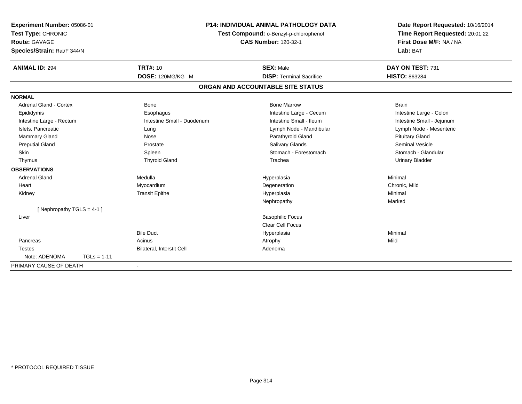| Experiment Number: 05086-01<br>Test Type: CHRONIC<br>Route: GAVAGE<br>Species/Strain: Rat/F 344/N |               |                            | <b>P14: INDIVIDUAL ANIMAL PATHOLOGY DATA</b><br>Test Compound: o-Benzyl-p-chlorophenol<br><b>CAS Number: 120-32-1</b> | Date Report Requested: 10/16/2014<br>Time Report Requested: 20:01:22<br>First Dose M/F: NA / NA<br>Lab: BAT |  |
|---------------------------------------------------------------------------------------------------|---------------|----------------------------|-----------------------------------------------------------------------------------------------------------------------|-------------------------------------------------------------------------------------------------------------|--|
| <b>ANIMAL ID: 294</b>                                                                             |               | <b>TRT#: 10</b>            | <b>SEX: Male</b>                                                                                                      | DAY ON TEST: 731                                                                                            |  |
|                                                                                                   |               | DOSE: 120MG/KG M           | <b>DISP: Terminal Sacrifice</b>                                                                                       | <b>HISTO: 863284</b>                                                                                        |  |
|                                                                                                   |               |                            | ORGAN AND ACCOUNTABLE SITE STATUS                                                                                     |                                                                                                             |  |
| <b>NORMAL</b>                                                                                     |               |                            |                                                                                                                       |                                                                                                             |  |
| Adrenal Gland - Cortex                                                                            |               | <b>Bone</b>                | <b>Bone Marrow</b>                                                                                                    | <b>Brain</b>                                                                                                |  |
| Epididymis                                                                                        |               | Esophagus                  | Intestine Large - Cecum                                                                                               | Intestine Large - Colon                                                                                     |  |
| Intestine Large - Rectum                                                                          |               | Intestine Small - Duodenum | Intestine Small - Ileum                                                                                               | Intestine Small - Jejunum                                                                                   |  |
| Islets, Pancreatic                                                                                |               | Lung                       | Lymph Node - Mandibular                                                                                               | Lymph Node - Mesenteric                                                                                     |  |
| <b>Mammary Gland</b>                                                                              |               | Nose                       | Parathyroid Gland                                                                                                     | <b>Pituitary Gland</b>                                                                                      |  |
| <b>Preputial Gland</b>                                                                            |               | Prostate                   | Salivary Glands                                                                                                       | <b>Seminal Vesicle</b>                                                                                      |  |
| <b>Skin</b>                                                                                       |               | Spleen                     | Stomach - Forestomach                                                                                                 | Stomach - Glandular                                                                                         |  |
| Thymus                                                                                            |               | <b>Thyroid Gland</b>       | Trachea                                                                                                               | <b>Urinary Bladder</b>                                                                                      |  |
| <b>OBSERVATIONS</b>                                                                               |               |                            |                                                                                                                       |                                                                                                             |  |
| <b>Adrenal Gland</b>                                                                              |               | Medulla                    | Hyperplasia                                                                                                           | Minimal                                                                                                     |  |
| Heart                                                                                             |               | Myocardium                 | Degeneration                                                                                                          | Chronic, Mild                                                                                               |  |
| Kidney                                                                                            |               | <b>Transit Epithe</b>      | Hyperplasia                                                                                                           | Minimal                                                                                                     |  |
|                                                                                                   |               |                            | Nephropathy                                                                                                           | Marked                                                                                                      |  |
| [Nephropathy TGLS = 4-1]                                                                          |               |                            |                                                                                                                       |                                                                                                             |  |
| Liver                                                                                             |               |                            | <b>Basophilic Focus</b>                                                                                               |                                                                                                             |  |
|                                                                                                   |               |                            | <b>Clear Cell Focus</b>                                                                                               |                                                                                                             |  |
|                                                                                                   |               | <b>Bile Duct</b>           | Hyperplasia                                                                                                           | Minimal                                                                                                     |  |
| Pancreas                                                                                          |               | Acinus                     | Atrophy                                                                                                               | Mild                                                                                                        |  |
| <b>Testes</b>                                                                                     |               | Bilateral, Interstit Cell  | Adenoma                                                                                                               |                                                                                                             |  |
| Note: ADENOMA                                                                                     | $TGLs = 1-11$ |                            |                                                                                                                       |                                                                                                             |  |
| PRIMARY CAUSE OF DEATH                                                                            |               |                            |                                                                                                                       |                                                                                                             |  |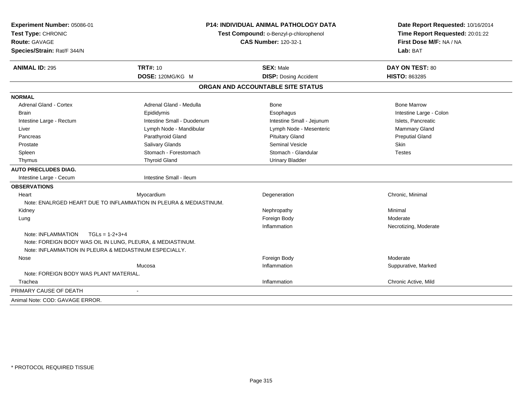| Experiment Number: 05086-01<br>Test Type: CHRONIC<br><b>Route: GAVAGE</b><br>Species/Strain: Rat/F 344/N             | <b>P14: INDIVIDUAL ANIMAL PATHOLOGY DATA</b><br>Test Compound: o-Benzyl-p-chlorophenol<br><b>CAS Number: 120-32-1</b> |                                   | Date Report Requested: 10/16/2014<br>Time Report Requested: 20:01:22<br>First Dose M/F: NA / NA<br>Lab: BAT |  |
|----------------------------------------------------------------------------------------------------------------------|-----------------------------------------------------------------------------------------------------------------------|-----------------------------------|-------------------------------------------------------------------------------------------------------------|--|
| <b>ANIMAL ID: 295</b>                                                                                                | <b>TRT#: 10</b>                                                                                                       | <b>SEX: Male</b>                  | DAY ON TEST: 80                                                                                             |  |
|                                                                                                                      | DOSE: 120MG/KG M                                                                                                      | <b>DISP: Dosing Accident</b>      | HISTO: 863285                                                                                               |  |
|                                                                                                                      |                                                                                                                       | ORGAN AND ACCOUNTABLE SITE STATUS |                                                                                                             |  |
| <b>NORMAL</b>                                                                                                        |                                                                                                                       |                                   |                                                                                                             |  |
| Adrenal Gland - Cortex                                                                                               | Adrenal Gland - Medulla                                                                                               | <b>Bone</b>                       | <b>Bone Marrow</b>                                                                                          |  |
| <b>Brain</b>                                                                                                         | Epididymis                                                                                                            | Esophagus                         | Intestine Large - Colon                                                                                     |  |
| Intestine Large - Rectum                                                                                             | Intestine Small - Duodenum                                                                                            | Intestine Small - Jejunum         | Islets, Pancreatic                                                                                          |  |
| Liver                                                                                                                | Lymph Node - Mandibular                                                                                               | Lymph Node - Mesenteric           | <b>Mammary Gland</b>                                                                                        |  |
| Pancreas                                                                                                             | Parathyroid Gland                                                                                                     | <b>Pituitary Gland</b>            | <b>Preputial Gland</b>                                                                                      |  |
| Prostate                                                                                                             | <b>Salivary Glands</b>                                                                                                | <b>Seminal Vesicle</b>            | Skin                                                                                                        |  |
| Spleen                                                                                                               | Stomach - Forestomach                                                                                                 | Stomach - Glandular               | <b>Testes</b>                                                                                               |  |
| Thymus                                                                                                               | <b>Thyroid Gland</b>                                                                                                  | <b>Urinary Bladder</b>            |                                                                                                             |  |
| <b>AUTO PRECLUDES DIAG.</b>                                                                                          |                                                                                                                       |                                   |                                                                                                             |  |
| Intestine Large - Cecum                                                                                              | Intestine Small - Ileum                                                                                               |                                   |                                                                                                             |  |
| <b>OBSERVATIONS</b>                                                                                                  |                                                                                                                       |                                   |                                                                                                             |  |
| Heart                                                                                                                | Myocardium                                                                                                            | Degeneration                      | Chronic, Minimal                                                                                            |  |
|                                                                                                                      | Note: ENALRGED HEART DUE TO INFLAMMATION IN PLEURA & MEDIASTINUM.                                                     |                                   |                                                                                                             |  |
| Kidney                                                                                                               |                                                                                                                       | Nephropathy                       | Minimal                                                                                                     |  |
| Lung                                                                                                                 |                                                                                                                       | Foreign Body                      | Moderate                                                                                                    |  |
|                                                                                                                      |                                                                                                                       | Inflammation                      | Necrotizing, Moderate                                                                                       |  |
| Note: INFLAMMATION<br>$TGLs = 1-2+3+4$                                                                               |                                                                                                                       |                                   |                                                                                                             |  |
| Note: FOREIGN BODY WAS OIL IN LUNG, PLEURA, & MEDIASTINUM.<br>Note: INFLAMMATION IN PLEURA & MEDIASTINUM ESPECIALLY. |                                                                                                                       |                                   |                                                                                                             |  |
|                                                                                                                      |                                                                                                                       |                                   | Moderate                                                                                                    |  |
| Nose                                                                                                                 |                                                                                                                       | Foreign Body                      |                                                                                                             |  |
| Note: FOREIGN BODY WAS PLANT MATERIAL.                                                                               | Mucosa                                                                                                                | Inflammation                      | Suppurative, Marked                                                                                         |  |
| Trachea                                                                                                              |                                                                                                                       | Inflammation                      | Chronic Active, Mild                                                                                        |  |
|                                                                                                                      |                                                                                                                       |                                   |                                                                                                             |  |
| PRIMARY CAUSE OF DEATH                                                                                               |                                                                                                                       |                                   |                                                                                                             |  |
| Animal Note: COD: GAVAGE ERROR.                                                                                      |                                                                                                                       |                                   |                                                                                                             |  |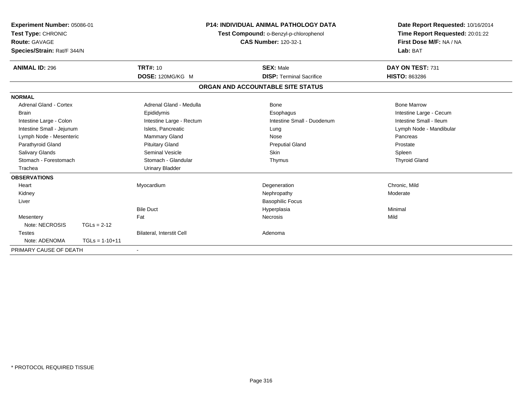| Experiment Number: 05086-01<br>Test Type: CHRONIC<br><b>Route: GAVAGE</b><br>Species/Strain: Rat/F 344/N |                  |                           | <b>P14: INDIVIDUAL ANIMAL PATHOLOGY DATA</b><br>Test Compound: o-Benzyl-p-chlorophenol<br><b>CAS Number: 120-32-1</b> |                                   | Date Report Requested: 10/16/2014<br>Time Report Requested: 20:01:22<br>First Dose M/F: NA / NA<br>Lab: BAT |
|----------------------------------------------------------------------------------------------------------|------------------|---------------------------|-----------------------------------------------------------------------------------------------------------------------|-----------------------------------|-------------------------------------------------------------------------------------------------------------|
| <b>ANIMAL ID: 296</b>                                                                                    |                  | <b>TRT#: 10</b>           |                                                                                                                       | <b>SEX: Male</b>                  | DAY ON TEST: 731                                                                                            |
|                                                                                                          |                  | DOSE: 120MG/KG M          |                                                                                                                       | <b>DISP: Terminal Sacrifice</b>   | <b>HISTO: 863286</b>                                                                                        |
|                                                                                                          |                  |                           |                                                                                                                       | ORGAN AND ACCOUNTABLE SITE STATUS |                                                                                                             |
| <b>NORMAL</b>                                                                                            |                  |                           |                                                                                                                       |                                   |                                                                                                             |
| <b>Adrenal Gland - Cortex</b>                                                                            |                  | Adrenal Gland - Medulla   |                                                                                                                       | Bone                              | <b>Bone Marrow</b>                                                                                          |
| <b>Brain</b>                                                                                             |                  | Epididymis                |                                                                                                                       | Esophagus                         | Intestine Large - Cecum                                                                                     |
| Intestine Large - Colon                                                                                  |                  | Intestine Large - Rectum  |                                                                                                                       | Intestine Small - Duodenum        | Intestine Small - Ileum                                                                                     |
| Intestine Small - Jejunum                                                                                |                  | Islets, Pancreatic        |                                                                                                                       | Lung                              | Lymph Node - Mandibular                                                                                     |
| Lymph Node - Mesenteric                                                                                  |                  | <b>Mammary Gland</b>      |                                                                                                                       | Nose                              | Pancreas                                                                                                    |
| Parathyroid Gland                                                                                        |                  | <b>Pituitary Gland</b>    |                                                                                                                       | <b>Preputial Gland</b>            | Prostate                                                                                                    |
| <b>Salivary Glands</b>                                                                                   |                  | Seminal Vesicle           |                                                                                                                       | <b>Skin</b>                       | Spleen                                                                                                      |
| Stomach - Forestomach                                                                                    |                  | Stomach - Glandular       |                                                                                                                       | Thymus                            | <b>Thyroid Gland</b>                                                                                        |
| Trachea                                                                                                  |                  | <b>Urinary Bladder</b>    |                                                                                                                       |                                   |                                                                                                             |
| <b>OBSERVATIONS</b>                                                                                      |                  |                           |                                                                                                                       |                                   |                                                                                                             |
| Heart                                                                                                    |                  | Myocardium                |                                                                                                                       | Degeneration                      | Chronic, Mild                                                                                               |
| Kidney                                                                                                   |                  |                           |                                                                                                                       | Nephropathy                       | Moderate                                                                                                    |
| Liver                                                                                                    |                  |                           |                                                                                                                       | <b>Basophilic Focus</b>           |                                                                                                             |
|                                                                                                          |                  | <b>Bile Duct</b>          |                                                                                                                       | Hyperplasia                       | Minimal                                                                                                     |
| Mesentery                                                                                                |                  | Fat                       |                                                                                                                       | <b>Necrosis</b>                   | Mild                                                                                                        |
| Note: NECROSIS                                                                                           | $TGLs = 2-12$    |                           |                                                                                                                       |                                   |                                                                                                             |
| <b>Testes</b>                                                                                            |                  | Bilateral, Interstit Cell |                                                                                                                       | Adenoma                           |                                                                                                             |
| Note: ADENOMA                                                                                            | $TGLs = 1-10+11$ |                           |                                                                                                                       |                                   |                                                                                                             |
| PRIMARY CAUSE OF DEATH                                                                                   |                  |                           |                                                                                                                       |                                   |                                                                                                             |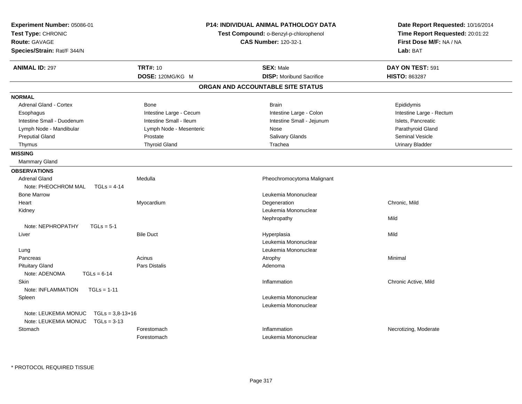| Experiment Number: 05086-01<br>Test Type: CHRONIC<br><b>Route: GAVAGE</b><br>Species/Strain: Rat/F 344/N |                         | <b>P14: INDIVIDUAL ANIMAL PATHOLOGY DATA</b><br>Test Compound: o-Benzyl-p-chlorophenol<br><b>CAS Number: 120-32-1</b> | Date Report Requested: 10/16/2014<br>Time Report Requested: 20:01:22<br>First Dose M/F: NA / NA<br>Lab: BAT |  |
|----------------------------------------------------------------------------------------------------------|-------------------------|-----------------------------------------------------------------------------------------------------------------------|-------------------------------------------------------------------------------------------------------------|--|
| <b>ANIMAL ID: 297</b>                                                                                    | <b>TRT#: 10</b>         | <b>SEX: Male</b>                                                                                                      | DAY ON TEST: 591                                                                                            |  |
|                                                                                                          | DOSE: 120MG/KG M        | <b>DISP:</b> Moribund Sacrifice                                                                                       | <b>HISTO: 863287</b>                                                                                        |  |
|                                                                                                          |                         | ORGAN AND ACCOUNTABLE SITE STATUS                                                                                     |                                                                                                             |  |
| <b>NORMAL</b>                                                                                            |                         |                                                                                                                       |                                                                                                             |  |
| <b>Adrenal Gland - Cortex</b>                                                                            | <b>Bone</b>             | <b>Brain</b>                                                                                                          | Epididymis                                                                                                  |  |
| Esophagus                                                                                                | Intestine Large - Cecum | Intestine Large - Colon                                                                                               | Intestine Large - Rectum                                                                                    |  |
| Intestine Small - Duodenum                                                                               | Intestine Small - Ileum | Intestine Small - Jejunum                                                                                             | Islets, Pancreatic                                                                                          |  |
| Lymph Node - Mandibular                                                                                  | Lymph Node - Mesenteric | Nose                                                                                                                  | Parathyroid Gland                                                                                           |  |
| <b>Preputial Gland</b>                                                                                   | Prostate                | Salivary Glands                                                                                                       | <b>Seminal Vesicle</b>                                                                                      |  |
| Thymus                                                                                                   | <b>Thyroid Gland</b>    | Trachea                                                                                                               | <b>Urinary Bladder</b>                                                                                      |  |
| <b>MISSING</b>                                                                                           |                         |                                                                                                                       |                                                                                                             |  |
| Mammary Gland                                                                                            |                         |                                                                                                                       |                                                                                                             |  |
| <b>OBSERVATIONS</b>                                                                                      |                         |                                                                                                                       |                                                                                                             |  |
| <b>Adrenal Gland</b>                                                                                     | Medulla                 | Pheochromocytoma Malignant                                                                                            |                                                                                                             |  |
| Note: PHEOCHROM MAL<br>$TGLs = 4-14$                                                                     |                         |                                                                                                                       |                                                                                                             |  |
| <b>Bone Marrow</b>                                                                                       |                         | Leukemia Mononuclear                                                                                                  |                                                                                                             |  |
| Heart                                                                                                    | Myocardium              | Degeneration                                                                                                          | Chronic, Mild                                                                                               |  |
| Kidney                                                                                                   |                         | Leukemia Mononuclear                                                                                                  |                                                                                                             |  |
|                                                                                                          |                         | Nephropathy                                                                                                           | Mild                                                                                                        |  |
| Note: NEPHROPATHY<br>$TGLs = 5-1$                                                                        |                         |                                                                                                                       |                                                                                                             |  |
| Liver                                                                                                    | <b>Bile Duct</b>        | Hyperplasia                                                                                                           | Mild                                                                                                        |  |
|                                                                                                          |                         | Leukemia Mononuclear                                                                                                  |                                                                                                             |  |
| Lung                                                                                                     |                         | Leukemia Mononuclear                                                                                                  |                                                                                                             |  |
| Pancreas                                                                                                 | Acinus                  | Atrophy                                                                                                               | Minimal                                                                                                     |  |
| <b>Pituitary Gland</b>                                                                                   | Pars Distalis           | Adenoma                                                                                                               |                                                                                                             |  |
| Note: ADENOMA<br>$TGLs = 6-14$                                                                           |                         |                                                                                                                       |                                                                                                             |  |
| Skin                                                                                                     |                         | Inflammation                                                                                                          | Chronic Active, Mild                                                                                        |  |
| Note: INFLAMMATION<br>$TGLs = 1-11$                                                                      |                         |                                                                                                                       |                                                                                                             |  |
| Spleen                                                                                                   |                         | Leukemia Mononuclear                                                                                                  |                                                                                                             |  |
|                                                                                                          |                         | Leukemia Mononuclear                                                                                                  |                                                                                                             |  |
| Note: LEUKEMIA MONUC<br>$TGLs = 3,8-13+16$                                                               |                         |                                                                                                                       |                                                                                                             |  |
| Note: LEUKEMIA MONUC<br>$TGLs = 3-13$                                                                    |                         |                                                                                                                       |                                                                                                             |  |
| Stomach                                                                                                  | Forestomach             | Inflammation                                                                                                          | Necrotizing, Moderate                                                                                       |  |
|                                                                                                          | Forestomach             | Leukemia Mononuclear                                                                                                  |                                                                                                             |  |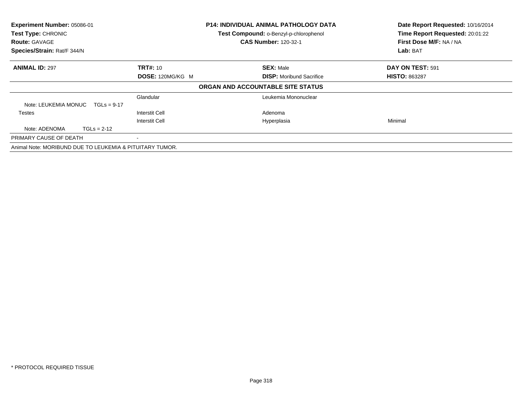| Experiment Number: 05086-01<br>Test Type: CHRONIC<br><b>Route: GAVAGE</b><br>Species/Strain: Rat/F 344/N |                  | <b>P14: INDIVIDUAL ANIMAL PATHOLOGY DATA</b><br>Test Compound: o-Benzyl-p-chlorophenol<br><b>CAS Number: 120-32-1</b> | Date Report Requested: 10/16/2014<br>Time Report Requested: 20:01:22<br>First Dose M/F: NA / NA<br>Lab: BAT |  |
|----------------------------------------------------------------------------------------------------------|------------------|-----------------------------------------------------------------------------------------------------------------------|-------------------------------------------------------------------------------------------------------------|--|
| <b>ANIMAL ID: 297</b>                                                                                    | <b>TRT#: 10</b>  | <b>SEX: Male</b>                                                                                                      | DAY ON TEST: 591                                                                                            |  |
|                                                                                                          | DOSE: 120MG/KG M | <b>DISP:</b> Moribund Sacrifice                                                                                       | <b>HISTO: 863287</b>                                                                                        |  |
|                                                                                                          |                  | ORGAN AND ACCOUNTABLE SITE STATUS                                                                                     |                                                                                                             |  |
|                                                                                                          | Glandular        | Leukemia Mononuclear                                                                                                  |                                                                                                             |  |
| Note: LEUKEMIA MONUC<br>$TGLs = 9-17$                                                                    |                  |                                                                                                                       |                                                                                                             |  |
| Testes                                                                                                   | Interstit Cell   | Adenoma                                                                                                               |                                                                                                             |  |
|                                                                                                          | Interstit Cell   | Hyperplasia                                                                                                           | Minimal                                                                                                     |  |
| Note: ADENOMA<br>$TGLs = 2-12$                                                                           |                  |                                                                                                                       |                                                                                                             |  |
| PRIMARY CAUSE OF DEATH                                                                                   |                  |                                                                                                                       |                                                                                                             |  |
| Animal Note: MORIBUND DUE TO LEUKEMIA & PITUITARY TUMOR.                                                 |                  |                                                                                                                       |                                                                                                             |  |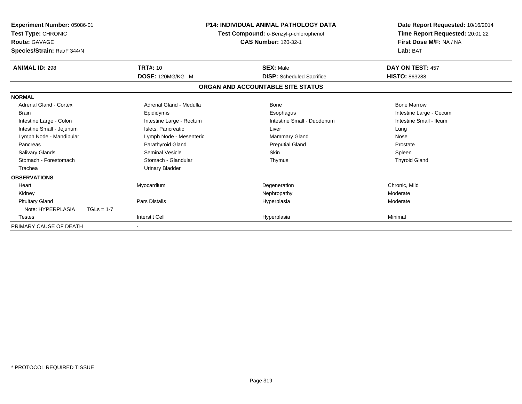| Experiment Number: 05086-01<br>Test Type: CHRONIC<br><b>Route: GAVAGE</b><br>Species/Strain: Rat/F 344/N | <b>P14: INDIVIDUAL ANIMAL PATHOLOGY DATA</b><br>Test Compound: o-Benzyl-p-chlorophenol<br><b>CAS Number: 120-32-1</b> |                                   | Date Report Requested: 10/16/2014<br>Time Report Requested: 20:01:22<br>First Dose M/F: NA / NA<br>Lab: BAT |
|----------------------------------------------------------------------------------------------------------|-----------------------------------------------------------------------------------------------------------------------|-----------------------------------|-------------------------------------------------------------------------------------------------------------|
| <b>ANIMAL ID: 298</b>                                                                                    | <b>TRT#: 10</b>                                                                                                       | <b>SEX: Male</b>                  | DAY ON TEST: 457                                                                                            |
|                                                                                                          | DOSE: 120MG/KG M                                                                                                      | <b>DISP:</b> Scheduled Sacrifice  | <b>HISTO: 863288</b>                                                                                        |
|                                                                                                          |                                                                                                                       | ORGAN AND ACCOUNTABLE SITE STATUS |                                                                                                             |
| <b>NORMAL</b>                                                                                            |                                                                                                                       |                                   |                                                                                                             |
| <b>Adrenal Gland - Cortex</b>                                                                            | Adrenal Gland - Medulla                                                                                               | Bone                              | <b>Bone Marrow</b>                                                                                          |
| <b>Brain</b>                                                                                             | Epididymis                                                                                                            | Esophagus                         | Intestine Large - Cecum                                                                                     |
| Intestine Large - Colon                                                                                  | Intestine Large - Rectum                                                                                              | Intestine Small - Duodenum        | Intestine Small - Ileum                                                                                     |
| Intestine Small - Jejunum                                                                                | Islets, Pancreatic                                                                                                    | Liver                             | Lung                                                                                                        |
| Lymph Node - Mandibular                                                                                  | Lymph Node - Mesenteric                                                                                               | <b>Mammary Gland</b>              | Nose                                                                                                        |
| Pancreas                                                                                                 | Parathyroid Gland                                                                                                     | <b>Preputial Gland</b>            | Prostate                                                                                                    |
| <b>Salivary Glands</b>                                                                                   | <b>Seminal Vesicle</b>                                                                                                | <b>Skin</b>                       | Spleen                                                                                                      |
| Stomach - Forestomach                                                                                    | Stomach - Glandular                                                                                                   | Thymus                            | <b>Thyroid Gland</b>                                                                                        |
| Trachea                                                                                                  | <b>Urinary Bladder</b>                                                                                                |                                   |                                                                                                             |
| <b>OBSERVATIONS</b>                                                                                      |                                                                                                                       |                                   |                                                                                                             |
| Heart                                                                                                    | Myocardium                                                                                                            | Degeneration                      | Chronic, Mild                                                                                               |
| Kidney                                                                                                   |                                                                                                                       | Nephropathy                       | Moderate                                                                                                    |
| <b>Pituitary Gland</b>                                                                                   | <b>Pars Distalis</b>                                                                                                  | Hyperplasia                       | Moderate                                                                                                    |
| Note: HYPERPLASIA                                                                                        | $TGLs = 1-7$                                                                                                          |                                   |                                                                                                             |
| Testes                                                                                                   | <b>Interstit Cell</b>                                                                                                 | Hyperplasia                       | Minimal                                                                                                     |
| PRIMARY CAUSE OF DEATH                                                                                   |                                                                                                                       |                                   |                                                                                                             |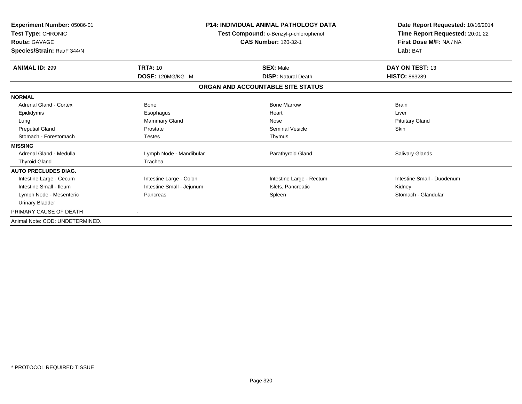| <b>Experiment Number: 05086-01</b><br>Test Type: CHRONIC<br><b>Route: GAVAGE</b><br>Species/Strain: Rat/F 344/N |                           | <b>P14: INDIVIDUAL ANIMAL PATHOLOGY DATA</b><br>Test Compound: o-Benzyl-p-chlorophenol<br><b>CAS Number: 120-32-1</b> | Date Report Requested: 10/16/2014<br>Time Report Requested: 20:01:22<br>First Dose M/F: NA / NA<br>Lab: BAT |  |
|-----------------------------------------------------------------------------------------------------------------|---------------------------|-----------------------------------------------------------------------------------------------------------------------|-------------------------------------------------------------------------------------------------------------|--|
| <b>ANIMAL ID: 299</b>                                                                                           | <b>TRT#: 10</b>           | <b>SEX: Male</b>                                                                                                      | DAY ON TEST: 13                                                                                             |  |
|                                                                                                                 | DOSE: 120MG/KG M          | <b>DISP: Natural Death</b>                                                                                            | <b>HISTO: 863289</b>                                                                                        |  |
|                                                                                                                 |                           | ORGAN AND ACCOUNTABLE SITE STATUS                                                                                     |                                                                                                             |  |
| <b>NORMAL</b>                                                                                                   |                           |                                                                                                                       |                                                                                                             |  |
| <b>Adrenal Gland - Cortex</b>                                                                                   | Bone                      | <b>Bone Marrow</b>                                                                                                    | <b>Brain</b>                                                                                                |  |
| Epididymis                                                                                                      | Esophagus                 | Heart                                                                                                                 | Liver                                                                                                       |  |
| Lung                                                                                                            | Mammary Gland             | Nose                                                                                                                  | <b>Pituitary Gland</b>                                                                                      |  |
| <b>Preputial Gland</b>                                                                                          | Prostate                  | <b>Seminal Vesicle</b>                                                                                                | <b>Skin</b>                                                                                                 |  |
| Stomach - Forestomach                                                                                           | <b>Testes</b>             | Thymus                                                                                                                |                                                                                                             |  |
| <b>MISSING</b>                                                                                                  |                           |                                                                                                                       |                                                                                                             |  |
| Adrenal Gland - Medulla                                                                                         | Lymph Node - Mandibular   | Parathyroid Gland                                                                                                     | <b>Salivary Glands</b>                                                                                      |  |
| <b>Thyroid Gland</b>                                                                                            | Trachea                   |                                                                                                                       |                                                                                                             |  |
| <b>AUTO PRECLUDES DIAG.</b>                                                                                     |                           |                                                                                                                       |                                                                                                             |  |
| Intestine Large - Cecum                                                                                         | Intestine Large - Colon   | Intestine Large - Rectum                                                                                              | Intestine Small - Duodenum                                                                                  |  |
| Intestine Small - Ileum                                                                                         | Intestine Small - Jejunum | Islets, Pancreatic                                                                                                    | Kidney                                                                                                      |  |
| Lymph Node - Mesenteric                                                                                         | Pancreas                  | Spleen                                                                                                                | Stomach - Glandular                                                                                         |  |
| <b>Urinary Bladder</b>                                                                                          |                           |                                                                                                                       |                                                                                                             |  |
| PRIMARY CAUSE OF DEATH                                                                                          |                           |                                                                                                                       |                                                                                                             |  |
| Animal Note: COD: UNDETERMINED.                                                                                 |                           |                                                                                                                       |                                                                                                             |  |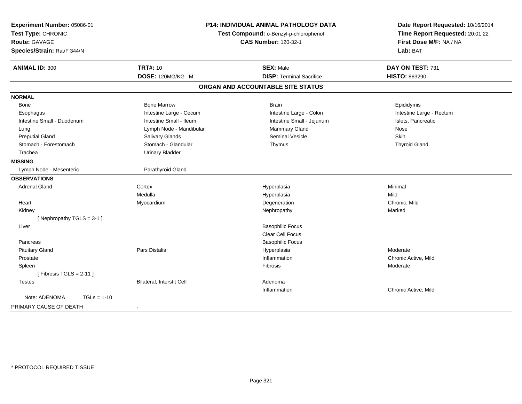| Experiment Number: 05086-01<br>Test Type: CHRONIC<br>Route: GAVAGE | P14: INDIVIDUAL ANIMAL PATHOLOGY DATA<br>Test Compound: o-Benzyl-p-chlorophenol<br><b>CAS Number: 120-32-1</b> |                                   | Date Report Requested: 10/16/2014<br>Time Report Requested: 20:01:22<br>First Dose M/F: NA / NA |  |
|--------------------------------------------------------------------|----------------------------------------------------------------------------------------------------------------|-----------------------------------|-------------------------------------------------------------------------------------------------|--|
| Species/Strain: Rat/F 344/N                                        |                                                                                                                |                                   | Lab: BAT                                                                                        |  |
| <b>ANIMAL ID: 300</b>                                              | <b>TRT#: 10</b>                                                                                                | <b>SEX: Male</b>                  | DAY ON TEST: 731                                                                                |  |
|                                                                    | DOSE: 120MG/KG M                                                                                               | <b>DISP: Terminal Sacrifice</b>   | <b>HISTO: 863290</b>                                                                            |  |
|                                                                    |                                                                                                                | ORGAN AND ACCOUNTABLE SITE STATUS |                                                                                                 |  |
| <b>NORMAL</b>                                                      |                                                                                                                |                                   |                                                                                                 |  |
| <b>Bone</b>                                                        | <b>Bone Marrow</b>                                                                                             | <b>Brain</b>                      | Epididymis                                                                                      |  |
| Esophagus                                                          | Intestine Large - Cecum                                                                                        | Intestine Large - Colon           | Intestine Large - Rectum                                                                        |  |
| Intestine Small - Duodenum                                         | Intestine Small - Ileum                                                                                        | Intestine Small - Jejunum         | Islets, Pancreatic                                                                              |  |
| Lung                                                               | Lymph Node - Mandibular                                                                                        | Mammary Gland                     | Nose                                                                                            |  |
| <b>Preputial Gland</b>                                             | Salivary Glands                                                                                                | <b>Seminal Vesicle</b>            | <b>Skin</b>                                                                                     |  |
| Stomach - Forestomach                                              | Stomach - Glandular                                                                                            | Thymus                            | <b>Thyroid Gland</b>                                                                            |  |
| Trachea                                                            | <b>Urinary Bladder</b>                                                                                         |                                   |                                                                                                 |  |
| <b>MISSING</b>                                                     |                                                                                                                |                                   |                                                                                                 |  |
| Lymph Node - Mesenteric                                            | Parathyroid Gland                                                                                              |                                   |                                                                                                 |  |
| <b>OBSERVATIONS</b>                                                |                                                                                                                |                                   |                                                                                                 |  |
| <b>Adrenal Gland</b>                                               | Cortex                                                                                                         | Hyperplasia                       | Minimal                                                                                         |  |
|                                                                    | Medulla                                                                                                        | Hyperplasia                       | Mild                                                                                            |  |
| Heart                                                              | Myocardium                                                                                                     | Degeneration                      | Chronic, Mild                                                                                   |  |
| Kidney                                                             |                                                                                                                | Nephropathy                       | Marked                                                                                          |  |
| [Nephropathy TGLS = $3-1$ ]                                        |                                                                                                                |                                   |                                                                                                 |  |
| Liver                                                              |                                                                                                                | <b>Basophilic Focus</b>           |                                                                                                 |  |
|                                                                    |                                                                                                                | Clear Cell Focus                  |                                                                                                 |  |
| Pancreas                                                           |                                                                                                                | <b>Basophilic Focus</b>           |                                                                                                 |  |
| <b>Pituitary Gland</b>                                             | Pars Distalis                                                                                                  | Hyperplasia                       | Moderate                                                                                        |  |
| Prostate                                                           |                                                                                                                | Inflammation                      | Chronic Active, Mild                                                                            |  |
| Spleen                                                             |                                                                                                                | Fibrosis                          | Moderate                                                                                        |  |
| [Fibrosis TGLS = $2-11$ ]                                          |                                                                                                                |                                   |                                                                                                 |  |
| <b>Testes</b>                                                      | Bilateral, Interstit Cell                                                                                      | Adenoma                           |                                                                                                 |  |
|                                                                    |                                                                                                                | Inflammation                      | Chronic Active, Mild                                                                            |  |
| Note: ADENOMA<br>$TGLs = 1-10$                                     |                                                                                                                |                                   |                                                                                                 |  |
| PRIMARY CAUSE OF DEATH                                             | $\blacksquare$                                                                                                 |                                   |                                                                                                 |  |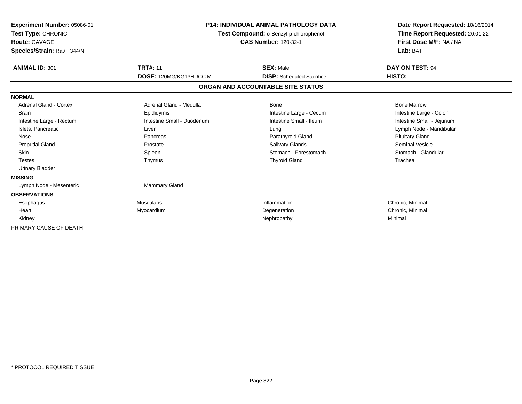| Experiment Number: 05086-01<br>Test Type: CHRONIC<br><b>Route: GAVAGE</b><br>Species/Strain: Rat/F 344/N |                            | <b>P14: INDIVIDUAL ANIMAL PATHOLOGY DATA</b><br>Test Compound: o-Benzyl-p-chlorophenol<br><b>CAS Number: 120-32-1</b> |                           |
|----------------------------------------------------------------------------------------------------------|----------------------------|-----------------------------------------------------------------------------------------------------------------------|---------------------------|
| <b>ANIMAL ID: 301</b>                                                                                    | <b>TRT#: 11</b>            | <b>SEX: Male</b>                                                                                                      | DAY ON TEST: 94           |
|                                                                                                          | DOSE: 120MG/KG13HUCC M     | <b>DISP:</b> Scheduled Sacrifice                                                                                      | HISTO:                    |
|                                                                                                          |                            | ORGAN AND ACCOUNTABLE SITE STATUS                                                                                     |                           |
| <b>NORMAL</b>                                                                                            |                            |                                                                                                                       |                           |
| Adrenal Gland - Cortex                                                                                   | Adrenal Gland - Medulla    | Bone                                                                                                                  | <b>Bone Marrow</b>        |
| <b>Brain</b>                                                                                             | Epididymis                 | Intestine Large - Cecum                                                                                               | Intestine Large - Colon   |
| Intestine Large - Rectum                                                                                 | Intestine Small - Duodenum | Intestine Small - Ileum                                                                                               | Intestine Small - Jejunum |
| Islets, Pancreatic                                                                                       | Liver                      | Lung                                                                                                                  | Lymph Node - Mandibular   |
| Nose                                                                                                     | Pancreas                   | Parathyroid Gland                                                                                                     | <b>Pituitary Gland</b>    |
| <b>Preputial Gland</b>                                                                                   | Prostate                   | Salivary Glands                                                                                                       | <b>Seminal Vesicle</b>    |
| <b>Skin</b>                                                                                              | Spleen                     | Stomach - Forestomach                                                                                                 | Stomach - Glandular       |
| Testes                                                                                                   | Thymus                     | <b>Thyroid Gland</b>                                                                                                  | Trachea                   |
| <b>Urinary Bladder</b>                                                                                   |                            |                                                                                                                       |                           |
| <b>MISSING</b>                                                                                           |                            |                                                                                                                       |                           |
| Lymph Node - Mesenteric                                                                                  | <b>Mammary Gland</b>       |                                                                                                                       |                           |
| <b>OBSERVATIONS</b>                                                                                      |                            |                                                                                                                       |                           |
| Esophagus                                                                                                | <b>Muscularis</b>          | Inflammation                                                                                                          | Chronic, Minimal          |
| Heart                                                                                                    | Myocardium                 | Degeneration                                                                                                          | Chronic, Minimal          |
| Kidney                                                                                                   |                            | Nephropathy                                                                                                           | Minimal                   |
| PRIMARY CAUSE OF DEATH                                                                                   |                            |                                                                                                                       |                           |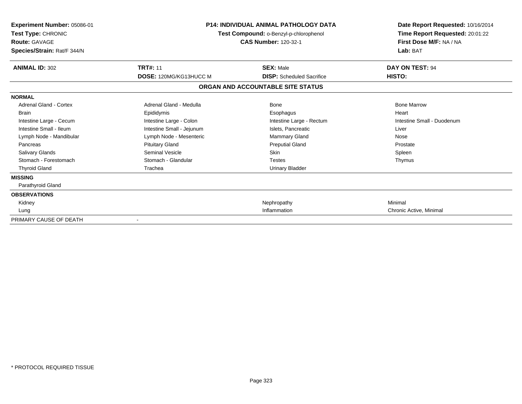| Experiment Number: 05086-01<br>Test Type: CHRONIC<br><b>Route: GAVAGE</b><br>Species/Strain: Rat/F 344/N | <b>P14: INDIVIDUAL ANIMAL PATHOLOGY DATA</b><br>Test Compound: o-Benzyl-p-chlorophenol<br><b>CAS Number: 120-32-1</b> |                                   | Date Report Requested: 10/16/2014<br>Time Report Requested: 20:01:22<br>First Dose M/F: NA / NA<br>Lab: BAT |
|----------------------------------------------------------------------------------------------------------|-----------------------------------------------------------------------------------------------------------------------|-----------------------------------|-------------------------------------------------------------------------------------------------------------|
| <b>ANIMAL ID: 302</b>                                                                                    | <b>TRT#: 11</b>                                                                                                       | <b>SEX: Male</b>                  | DAY ON TEST: 94                                                                                             |
|                                                                                                          | DOSE: 120MG/KG13HUCC M                                                                                                | <b>DISP:</b> Scheduled Sacrifice  | HISTO:                                                                                                      |
|                                                                                                          |                                                                                                                       | ORGAN AND ACCOUNTABLE SITE STATUS |                                                                                                             |
| <b>NORMAL</b>                                                                                            |                                                                                                                       |                                   |                                                                                                             |
| <b>Adrenal Gland - Cortex</b>                                                                            | Adrenal Gland - Medulla                                                                                               | Bone                              | <b>Bone Marrow</b>                                                                                          |
| <b>Brain</b>                                                                                             | Epididymis                                                                                                            | Esophagus                         | Heart                                                                                                       |
| Intestine Large - Cecum                                                                                  | Intestine Large - Colon                                                                                               | Intestine Large - Rectum          | Intestine Small - Duodenum                                                                                  |
| Intestine Small - Ileum                                                                                  | Intestine Small - Jejunum                                                                                             | Islets. Pancreatic                | Liver                                                                                                       |
| Lymph Node - Mandibular                                                                                  | Lymph Node - Mesenteric                                                                                               | <b>Mammary Gland</b>              | Nose                                                                                                        |
| Pancreas                                                                                                 | <b>Pituitary Gland</b>                                                                                                | <b>Preputial Gland</b>            | Prostate                                                                                                    |
| <b>Salivary Glands</b>                                                                                   | <b>Seminal Vesicle</b>                                                                                                | <b>Skin</b>                       | Spleen                                                                                                      |
| Stomach - Forestomach                                                                                    | Stomach - Glandular                                                                                                   | <b>Testes</b>                     | Thymus                                                                                                      |
| <b>Thyroid Gland</b>                                                                                     | Trachea                                                                                                               | Urinary Bladder                   |                                                                                                             |
| <b>MISSING</b>                                                                                           |                                                                                                                       |                                   |                                                                                                             |
| Parathyroid Gland                                                                                        |                                                                                                                       |                                   |                                                                                                             |
| <b>OBSERVATIONS</b>                                                                                      |                                                                                                                       |                                   |                                                                                                             |
| Kidney                                                                                                   |                                                                                                                       | Nephropathy                       | Minimal                                                                                                     |
| Lung                                                                                                     |                                                                                                                       | Inflammation                      | Chronic Active, Minimal                                                                                     |
| PRIMARY CAUSE OF DEATH                                                                                   |                                                                                                                       |                                   |                                                                                                             |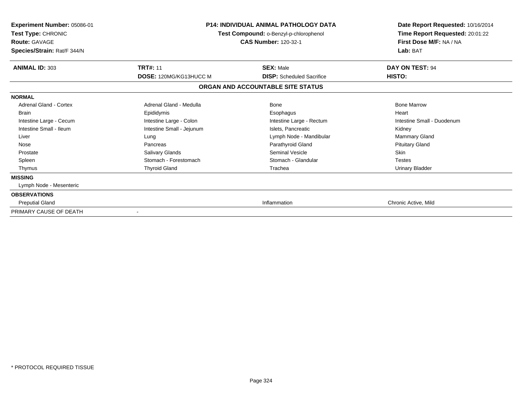| Experiment Number: 05086-01<br>Test Type: CHRONIC<br><b>Route: GAVAGE</b><br>Species/Strain: Rat/F 344/N | <b>P14: INDIVIDUAL ANIMAL PATHOLOGY DATA</b><br>Test Compound: o-Benzyl-p-chlorophenol<br><b>CAS Number: 120-32-1</b> |                                                                       | Date Report Requested: 10/16/2014<br>Time Report Requested: 20:01:22<br>First Dose M/F: NA / NA<br>Lab: BAT |
|----------------------------------------------------------------------------------------------------------|-----------------------------------------------------------------------------------------------------------------------|-----------------------------------------------------------------------|-------------------------------------------------------------------------------------------------------------|
| <b>ANIMAL ID: 303</b>                                                                                    | <b>TRT#: 11</b>                                                                                                       | <b>SEX: Male</b>                                                      | DAY ON TEST: 94                                                                                             |
|                                                                                                          | <b>DOSE: 120MG/KG13HUCC M</b>                                                                                         | <b>DISP:</b> Scheduled Sacrifice<br>ORGAN AND ACCOUNTABLE SITE STATUS | HISTO:                                                                                                      |
| <b>NORMAL</b>                                                                                            |                                                                                                                       |                                                                       |                                                                                                             |
| <b>Adrenal Gland - Cortex</b>                                                                            | Adrenal Gland - Medulla                                                                                               | <b>Bone</b>                                                           | <b>Bone Marrow</b>                                                                                          |
| <b>Brain</b>                                                                                             | Epididymis                                                                                                            | Esophagus                                                             | Heart                                                                                                       |
| Intestine Large - Cecum                                                                                  | Intestine Large - Colon                                                                                               | Intestine Large - Rectum                                              | Intestine Small - Duodenum                                                                                  |
| Intestine Small - Ileum                                                                                  | Intestine Small - Jejunum                                                                                             | Islets. Pancreatic                                                    | Kidney                                                                                                      |
| Liver                                                                                                    | Lung                                                                                                                  | Lymph Node - Mandibular                                               | Mammary Gland                                                                                               |
| Nose                                                                                                     | Pancreas                                                                                                              | Parathyroid Gland                                                     | <b>Pituitary Gland</b>                                                                                      |
| Prostate                                                                                                 | <b>Salivary Glands</b>                                                                                                | <b>Seminal Vesicle</b>                                                | <b>Skin</b>                                                                                                 |
| Spleen                                                                                                   | Stomach - Forestomach                                                                                                 | Stomach - Glandular                                                   | <b>Testes</b>                                                                                               |
| Thymus                                                                                                   | <b>Thyroid Gland</b>                                                                                                  | Trachea                                                               | <b>Urinary Bladder</b>                                                                                      |
| <b>MISSING</b>                                                                                           |                                                                                                                       |                                                                       |                                                                                                             |
| Lymph Node - Mesenteric                                                                                  |                                                                                                                       |                                                                       |                                                                                                             |
| <b>OBSERVATIONS</b>                                                                                      |                                                                                                                       |                                                                       |                                                                                                             |
| <b>Preputial Gland</b>                                                                                   |                                                                                                                       | Inflammation                                                          | Chronic Active, Mild                                                                                        |
| PRIMARY CAUSE OF DEATH                                                                                   |                                                                                                                       |                                                                       |                                                                                                             |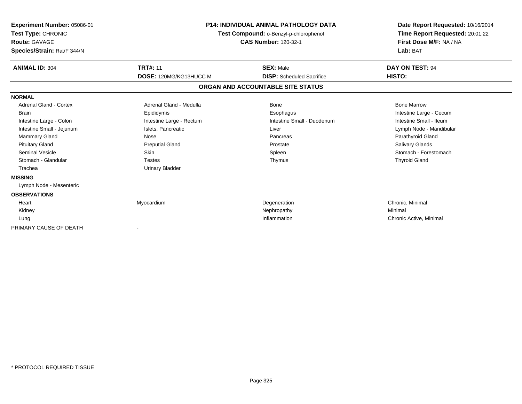| <b>Experiment Number: 05086-01</b><br>Test Type: CHRONIC<br><b>Route: GAVAGE</b><br>Species/Strain: Rat/F 344/N | <b>P14: INDIVIDUAL ANIMAL PATHOLOGY DATA</b><br>Test Compound: o-Benzyl-p-chlorophenol<br><b>CAS Number: 120-32-1</b> |                                   | Date Report Requested: 10/16/2014<br>Time Report Requested: 20:01:22<br>First Dose M/F: NA / NA<br>Lab: BAT |  |
|-----------------------------------------------------------------------------------------------------------------|-----------------------------------------------------------------------------------------------------------------------|-----------------------------------|-------------------------------------------------------------------------------------------------------------|--|
| <b>ANIMAL ID: 304</b>                                                                                           | <b>TRT#: 11</b>                                                                                                       | <b>SEX: Male</b>                  | DAY ON TEST: 94                                                                                             |  |
|                                                                                                                 | DOSE: 120MG/KG13HUCC M                                                                                                | <b>DISP:</b> Scheduled Sacrifice  | HISTO:                                                                                                      |  |
|                                                                                                                 |                                                                                                                       | ORGAN AND ACCOUNTABLE SITE STATUS |                                                                                                             |  |
| <b>NORMAL</b>                                                                                                   |                                                                                                                       |                                   |                                                                                                             |  |
| Adrenal Gland - Cortex                                                                                          | Adrenal Gland - Medulla                                                                                               | Bone                              | <b>Bone Marrow</b>                                                                                          |  |
| <b>Brain</b>                                                                                                    | Epididymis                                                                                                            | Esophagus                         | Intestine Large - Cecum                                                                                     |  |
| Intestine Large - Colon                                                                                         | Intestine Large - Rectum                                                                                              | Intestine Small - Duodenum        | Intestine Small - Ileum                                                                                     |  |
| Intestine Small - Jejunum                                                                                       | Islets, Pancreatic                                                                                                    | Liver                             | Lymph Node - Mandibular                                                                                     |  |
| Mammary Gland                                                                                                   | <b>Nose</b>                                                                                                           | Pancreas                          | Parathyroid Gland                                                                                           |  |
| <b>Pituitary Gland</b>                                                                                          | <b>Preputial Gland</b>                                                                                                | Prostate                          | <b>Salivary Glands</b>                                                                                      |  |
| <b>Seminal Vesicle</b>                                                                                          | <b>Skin</b>                                                                                                           | Spleen                            | Stomach - Forestomach                                                                                       |  |
| Stomach - Glandular                                                                                             | <b>Testes</b>                                                                                                         | Thymus                            | <b>Thyroid Gland</b>                                                                                        |  |
| Trachea                                                                                                         | <b>Urinary Bladder</b>                                                                                                |                                   |                                                                                                             |  |
| <b>MISSING</b>                                                                                                  |                                                                                                                       |                                   |                                                                                                             |  |
| Lymph Node - Mesenteric                                                                                         |                                                                                                                       |                                   |                                                                                                             |  |
| <b>OBSERVATIONS</b>                                                                                             |                                                                                                                       |                                   |                                                                                                             |  |
| Heart                                                                                                           | Myocardium                                                                                                            | Degeneration                      | Chronic, Minimal                                                                                            |  |
| Kidney                                                                                                          |                                                                                                                       | Nephropathy                       | Minimal                                                                                                     |  |
| Lung                                                                                                            |                                                                                                                       | Inflammation                      | Chronic Active, Minimal                                                                                     |  |
| PRIMARY CAUSE OF DEATH                                                                                          |                                                                                                                       |                                   |                                                                                                             |  |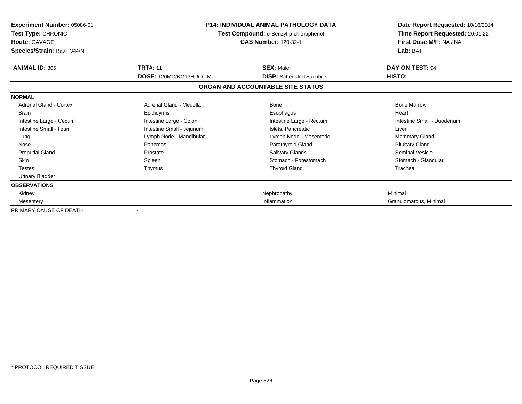| <b>Experiment Number: 05086-01</b><br>Test Type: CHRONIC<br><b>Route: GAVAGE</b><br>Species/Strain: Rat/F 344/N | <b>P14: INDIVIDUAL ANIMAL PATHOLOGY DATA</b><br>Test Compound: o-Benzyl-p-chlorophenol<br><b>CAS Number: 120-32-1</b> |                                                      | Date Report Requested: 10/16/2014<br>Time Report Requested: 20:01:22<br>First Dose M/F: NA / NA<br>Lab: BAT |
|-----------------------------------------------------------------------------------------------------------------|-----------------------------------------------------------------------------------------------------------------------|------------------------------------------------------|-------------------------------------------------------------------------------------------------------------|
| <b>ANIMAL ID: 305</b>                                                                                           | <b>TRT#: 11</b><br>DOSE: 120MG/KG13HUCC M                                                                             | <b>SEX: Male</b><br><b>DISP:</b> Scheduled Sacrifice | DAY ON TEST: 94<br>HISTO:                                                                                   |
|                                                                                                                 |                                                                                                                       | ORGAN AND ACCOUNTABLE SITE STATUS                    |                                                                                                             |
| <b>NORMAL</b>                                                                                                   |                                                                                                                       |                                                      |                                                                                                             |
| Adrenal Gland - Cortex                                                                                          | Adrenal Gland - Medulla                                                                                               | Bone                                                 | <b>Bone Marrow</b>                                                                                          |
| <b>Brain</b>                                                                                                    | Epididymis                                                                                                            | Esophagus                                            | Heart                                                                                                       |
| Intestine Large - Cecum                                                                                         | Intestine Large - Colon                                                                                               | Intestine Large - Rectum                             | Intestine Small - Duodenum                                                                                  |
| Intestine Small - Ileum                                                                                         | Intestine Small - Jejunum                                                                                             | Islets, Pancreatic                                   | Liver                                                                                                       |
| Lung                                                                                                            | Lymph Node - Mandibular                                                                                               | Lymph Node - Mesenteric                              | <b>Mammary Gland</b>                                                                                        |
| Nose                                                                                                            | Pancreas                                                                                                              | Parathyroid Gland                                    | <b>Pituitary Gland</b>                                                                                      |
| <b>Preputial Gland</b>                                                                                          | Prostate                                                                                                              | Salivary Glands                                      | <b>Seminal Vesicle</b>                                                                                      |
| <b>Skin</b>                                                                                                     | Spleen                                                                                                                | Stomach - Forestomach                                | Stomach - Glandular                                                                                         |
| <b>Testes</b>                                                                                                   | Thymus                                                                                                                | <b>Thyroid Gland</b>                                 | Trachea                                                                                                     |
| <b>Urinary Bladder</b>                                                                                          |                                                                                                                       |                                                      |                                                                                                             |
| <b>OBSERVATIONS</b>                                                                                             |                                                                                                                       |                                                      |                                                                                                             |
| Kidney                                                                                                          |                                                                                                                       | Nephropathy                                          | Minimal                                                                                                     |
| Mesentery                                                                                                       | Inflammation                                                                                                          |                                                      | Granulomatous, Minimal                                                                                      |
| PRIMARY CAUSE OF DEATH                                                                                          |                                                                                                                       |                                                      |                                                                                                             |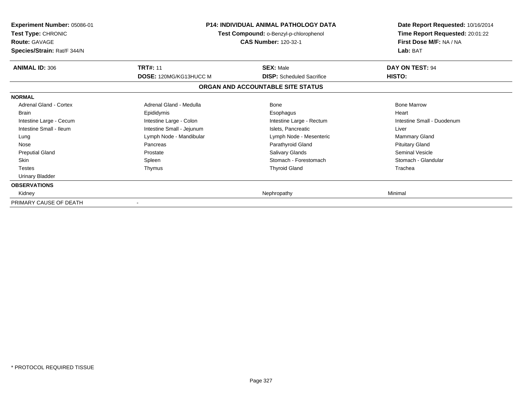| <b>Experiment Number: 05086-01</b><br>Test Type: CHRONIC<br><b>Route: GAVAGE</b><br>Species/Strain: Rat/F 344/N | <b>P14: INDIVIDUAL ANIMAL PATHOLOGY DATA</b><br>Test Compound: o-Benzyl-p-chlorophenol<br><b>CAS Number: 120-32-1</b> |                                   | Date Report Requested: 10/16/2014<br>Time Report Requested: 20:01:22<br>First Dose M/F: NA / NA<br>Lab: BAT |
|-----------------------------------------------------------------------------------------------------------------|-----------------------------------------------------------------------------------------------------------------------|-----------------------------------|-------------------------------------------------------------------------------------------------------------|
| <b>ANIMAL ID: 306</b>                                                                                           | <b>TRT#: 11</b>                                                                                                       | <b>SEX: Male</b>                  | DAY ON TEST: 94                                                                                             |
|                                                                                                                 | <b>DOSE: 120MG/KG13HUCC M</b>                                                                                         | <b>DISP:</b> Scheduled Sacrifice  | <b>HISTO:</b>                                                                                               |
|                                                                                                                 |                                                                                                                       | ORGAN AND ACCOUNTABLE SITE STATUS |                                                                                                             |
| <b>NORMAL</b>                                                                                                   |                                                                                                                       |                                   |                                                                                                             |
| <b>Adrenal Gland - Cortex</b>                                                                                   | Adrenal Gland - Medulla                                                                                               | Bone                              | <b>Bone Marrow</b>                                                                                          |
| <b>Brain</b>                                                                                                    | Epididymis                                                                                                            | Esophagus                         | Heart                                                                                                       |
| Intestine Large - Cecum                                                                                         | Intestine Large - Colon                                                                                               | Intestine Large - Rectum          | Intestine Small - Duodenum                                                                                  |
| Intestine Small - Ileum                                                                                         | Intestine Small - Jejunum                                                                                             | Islets, Pancreatic                | Liver                                                                                                       |
| Lung                                                                                                            | Lymph Node - Mandibular                                                                                               | Lymph Node - Mesenteric           | <b>Mammary Gland</b>                                                                                        |
| Nose                                                                                                            | Pancreas                                                                                                              | Parathyroid Gland                 | <b>Pituitary Gland</b>                                                                                      |
| <b>Preputial Gland</b>                                                                                          | Prostate                                                                                                              | <b>Salivary Glands</b>            | <b>Seminal Vesicle</b>                                                                                      |
| <b>Skin</b>                                                                                                     | Spleen                                                                                                                | Stomach - Forestomach             | Stomach - Glandular                                                                                         |
| <b>Testes</b>                                                                                                   | Thymus                                                                                                                | <b>Thyroid Gland</b>              | Trachea                                                                                                     |
| <b>Urinary Bladder</b>                                                                                          |                                                                                                                       |                                   |                                                                                                             |
| <b>OBSERVATIONS</b>                                                                                             |                                                                                                                       |                                   |                                                                                                             |
| Kidney                                                                                                          |                                                                                                                       | Nephropathy                       | Minimal                                                                                                     |
| PRIMARY CAUSE OF DEATH                                                                                          |                                                                                                                       |                                   |                                                                                                             |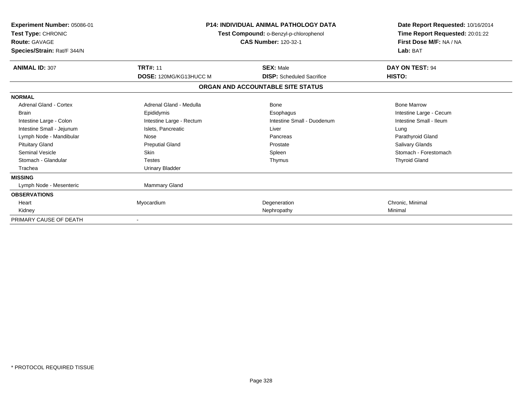| Experiment Number: 05086-01<br>Test Type: CHRONIC<br><b>Route: GAVAGE</b><br>Species/Strain: Rat/F 344/N | <b>P14: INDIVIDUAL ANIMAL PATHOLOGY DATA</b><br>Test Compound: o-Benzyl-p-chlorophenol<br><b>CAS Number: 120-32-1</b> |                                                      | Date Report Requested: 10/16/2014<br>Time Report Requested: 20:01:22<br>First Dose M/F: NA / NA<br>Lab: BAT |  |
|----------------------------------------------------------------------------------------------------------|-----------------------------------------------------------------------------------------------------------------------|------------------------------------------------------|-------------------------------------------------------------------------------------------------------------|--|
| <b>ANIMAL ID: 307</b>                                                                                    | <b>TRT#: 11</b><br>DOSE: 120MG/KG13HUCC M                                                                             | <b>SEX: Male</b><br><b>DISP:</b> Scheduled Sacrifice | DAY ON TEST: 94<br>HISTO:                                                                                   |  |
|                                                                                                          |                                                                                                                       |                                                      |                                                                                                             |  |
|                                                                                                          |                                                                                                                       | ORGAN AND ACCOUNTABLE SITE STATUS                    |                                                                                                             |  |
| <b>NORMAL</b>                                                                                            |                                                                                                                       |                                                      |                                                                                                             |  |
| Adrenal Gland - Cortex                                                                                   | Adrenal Gland - Medulla                                                                                               | Bone                                                 | <b>Bone Marrow</b>                                                                                          |  |
| <b>Brain</b>                                                                                             | Epididymis                                                                                                            | Esophagus                                            | Intestine Large - Cecum                                                                                     |  |
| Intestine Large - Colon                                                                                  | Intestine Large - Rectum                                                                                              | Intestine Small - Duodenum                           | Intestine Small - Ileum                                                                                     |  |
| Intestine Small - Jejunum                                                                                | Islets, Pancreatic                                                                                                    | Liver                                                | Lung                                                                                                        |  |
| Lymph Node - Mandibular                                                                                  | Nose                                                                                                                  | Pancreas                                             | Parathyroid Gland                                                                                           |  |
| <b>Pituitary Gland</b>                                                                                   | <b>Preputial Gland</b>                                                                                                | Prostate                                             | <b>Salivary Glands</b>                                                                                      |  |
| <b>Seminal Vesicle</b>                                                                                   | <b>Skin</b>                                                                                                           | Spleen                                               | Stomach - Forestomach                                                                                       |  |
| Stomach - Glandular                                                                                      | <b>Testes</b>                                                                                                         | Thymus                                               | <b>Thyroid Gland</b>                                                                                        |  |
| Trachea                                                                                                  | <b>Urinary Bladder</b>                                                                                                |                                                      |                                                                                                             |  |
| <b>MISSING</b>                                                                                           |                                                                                                                       |                                                      |                                                                                                             |  |
| Lymph Node - Mesenteric                                                                                  | Mammary Gland                                                                                                         |                                                      |                                                                                                             |  |
| <b>OBSERVATIONS</b>                                                                                      |                                                                                                                       |                                                      |                                                                                                             |  |
| Heart                                                                                                    | Myocardium                                                                                                            | Degeneration                                         | Chronic, Minimal                                                                                            |  |
| Kidney                                                                                                   |                                                                                                                       | Nephropathy                                          | Minimal                                                                                                     |  |
| PRIMARY CAUSE OF DEATH                                                                                   |                                                                                                                       |                                                      |                                                                                                             |  |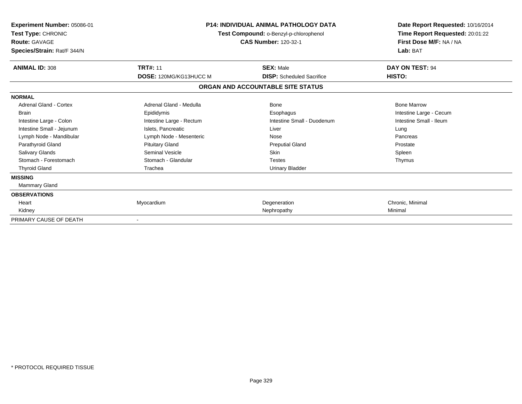| Experiment Number: 05086-01<br>Test Type: CHRONIC<br><b>Route: GAVAGE</b><br>Species/Strain: Rat/F 344/N | <b>P14: INDIVIDUAL ANIMAL PATHOLOGY DATA</b><br>Test Compound: o-Benzyl-p-chlorophenol<br><b>CAS Number: 120-32-1</b> |                                   | Date Report Requested: 10/16/2014<br>Time Report Requested: 20:01:22<br>First Dose M/F: NA / NA<br>Lab: BAT |  |
|----------------------------------------------------------------------------------------------------------|-----------------------------------------------------------------------------------------------------------------------|-----------------------------------|-------------------------------------------------------------------------------------------------------------|--|
| <b>ANIMAL ID: 308</b>                                                                                    | <b>TRT#: 11</b>                                                                                                       | <b>SEX: Male</b>                  | DAY ON TEST: 94                                                                                             |  |
|                                                                                                          | DOSE: 120MG/KG13HUCC M                                                                                                | <b>DISP:</b> Scheduled Sacrifice  | HISTO:                                                                                                      |  |
|                                                                                                          |                                                                                                                       | ORGAN AND ACCOUNTABLE SITE STATUS |                                                                                                             |  |
| <b>NORMAL</b>                                                                                            |                                                                                                                       |                                   |                                                                                                             |  |
| Adrenal Gland - Cortex                                                                                   | Adrenal Gland - Medulla                                                                                               | Bone                              | <b>Bone Marrow</b>                                                                                          |  |
| <b>Brain</b>                                                                                             | Epididymis                                                                                                            | Esophagus                         | Intestine Large - Cecum                                                                                     |  |
| Intestine Large - Colon                                                                                  | Intestine Large - Rectum                                                                                              | Intestine Small - Duodenum        | Intestine Small - Ileum                                                                                     |  |
| Intestine Small - Jejunum                                                                                | Islets, Pancreatic                                                                                                    | Liver                             | Lung                                                                                                        |  |
| Lymph Node - Mandibular                                                                                  | Lymph Node - Mesenteric                                                                                               | Nose                              | Pancreas                                                                                                    |  |
| Parathyroid Gland                                                                                        | <b>Pituitary Gland</b>                                                                                                | <b>Preputial Gland</b>            | Prostate                                                                                                    |  |
| <b>Salivary Glands</b>                                                                                   | <b>Seminal Vesicle</b>                                                                                                | <b>Skin</b>                       | Spleen                                                                                                      |  |
| Stomach - Forestomach                                                                                    | Stomach - Glandular                                                                                                   | <b>Testes</b>                     | Thymus                                                                                                      |  |
| <b>Thyroid Gland</b>                                                                                     | Trachea                                                                                                               | <b>Urinary Bladder</b>            |                                                                                                             |  |
| <b>MISSING</b>                                                                                           |                                                                                                                       |                                   |                                                                                                             |  |
| Mammary Gland                                                                                            |                                                                                                                       |                                   |                                                                                                             |  |
| <b>OBSERVATIONS</b>                                                                                      |                                                                                                                       |                                   |                                                                                                             |  |
| Heart                                                                                                    | Myocardium                                                                                                            | Degeneration                      | Chronic, Minimal                                                                                            |  |
| Kidney                                                                                                   |                                                                                                                       | Nephropathy                       | Minimal                                                                                                     |  |
| PRIMARY CAUSE OF DEATH                                                                                   |                                                                                                                       |                                   |                                                                                                             |  |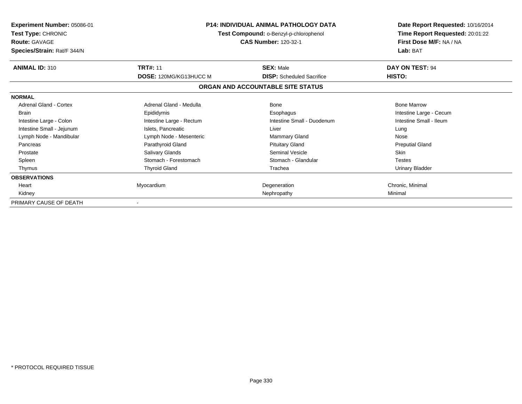| <b>Experiment Number: 05086-01</b><br><b>Test Type: CHRONIC</b><br><b>Route: GAVAGE</b><br>Species/Strain: Rat/F 344/N | <b>P14: INDIVIDUAL ANIMAL PATHOLOGY DATA</b><br>Test Compound: o-Benzyl-p-chlorophenol<br><b>CAS Number: 120-32-1</b> |                                   | Date Report Requested: 10/16/2014<br>Time Report Requested: 20:01:22<br>First Dose M/F: NA / NA<br>Lab: BAT |
|------------------------------------------------------------------------------------------------------------------------|-----------------------------------------------------------------------------------------------------------------------|-----------------------------------|-------------------------------------------------------------------------------------------------------------|
| <b>ANIMAL ID: 310</b>                                                                                                  | <b>TRT#: 11</b>                                                                                                       | <b>SEX: Male</b>                  | DAY ON TEST: 94                                                                                             |
|                                                                                                                        | <b>DOSE: 120MG/KG13HUCC M</b>                                                                                         | <b>DISP:</b> Scheduled Sacrifice  | <b>HISTO:</b>                                                                                               |
|                                                                                                                        |                                                                                                                       | ORGAN AND ACCOUNTABLE SITE STATUS |                                                                                                             |
| <b>NORMAL</b>                                                                                                          |                                                                                                                       |                                   |                                                                                                             |
| <b>Adrenal Gland - Cortex</b>                                                                                          | Adrenal Gland - Medulla                                                                                               | Bone                              | <b>Bone Marrow</b>                                                                                          |
| <b>Brain</b>                                                                                                           | Epididymis                                                                                                            | Esophagus                         | Intestine Large - Cecum                                                                                     |
| Intestine Large - Colon                                                                                                | Intestine Large - Rectum                                                                                              | Intestine Small - Duodenum        | Intestine Small - Ileum                                                                                     |
| Intestine Small - Jejunum                                                                                              | Islets, Pancreatic                                                                                                    | Liver                             | Lung                                                                                                        |
| Lymph Node - Mandibular                                                                                                | Lymph Node - Mesenteric                                                                                               | <b>Mammary Gland</b>              | Nose                                                                                                        |
| Pancreas                                                                                                               | Parathyroid Gland                                                                                                     | <b>Pituitary Gland</b>            | <b>Preputial Gland</b>                                                                                      |
| Prostate                                                                                                               | Salivary Glands                                                                                                       | Seminal Vesicle                   | <b>Skin</b>                                                                                                 |
| Spleen                                                                                                                 | Stomach - Forestomach                                                                                                 | Stomach - Glandular               | <b>Testes</b>                                                                                               |
| Thymus                                                                                                                 | <b>Thyroid Gland</b>                                                                                                  | Trachea                           | <b>Urinary Bladder</b>                                                                                      |
| <b>OBSERVATIONS</b>                                                                                                    |                                                                                                                       |                                   |                                                                                                             |
| Heart                                                                                                                  | Myocardium                                                                                                            | Degeneration                      | Chronic, Minimal                                                                                            |
| Kidney                                                                                                                 |                                                                                                                       | Nephropathy                       | Minimal                                                                                                     |
| PRIMARY CAUSE OF DEATH                                                                                                 |                                                                                                                       |                                   |                                                                                                             |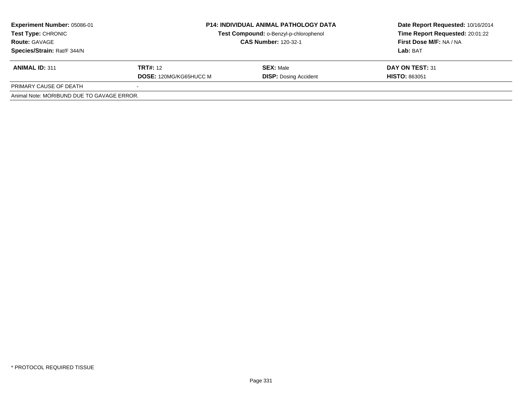| <b>Experiment Number: 05086-01</b><br>Test Type: CHRONIC<br><b>Route: GAVAGE</b><br>Species/Strain: Rat/F 344/N | <b>P14: INDIVIDUAL ANIMAL PATHOLOGY DATA</b><br>Test Compound: o-Benzyl-p-chlorophenol<br><b>CAS Number: 120-32-1</b> |                                                  | Date Report Requested: 10/16/2014<br>Time Report Requested: 20:01:22<br>First Dose M/F: NA / NA<br>Lab: BAT |  |
|-----------------------------------------------------------------------------------------------------------------|-----------------------------------------------------------------------------------------------------------------------|--------------------------------------------------|-------------------------------------------------------------------------------------------------------------|--|
| <b>ANIMAL ID: 311</b>                                                                                           | <b>TRT#:</b> 12<br><b>DOSE: 120MG/KG65HUCC M</b>                                                                      | <b>SEX: Male</b><br><b>DISP: Dosing Accident</b> | DAY ON TEST: 31<br><b>HISTO: 863051</b>                                                                     |  |
| PRIMARY CAUSE OF DEATH                                                                                          |                                                                                                                       |                                                  |                                                                                                             |  |
| Animal Note: MORIBUND DUE TO GAVAGE ERROR.                                                                      |                                                                                                                       |                                                  |                                                                                                             |  |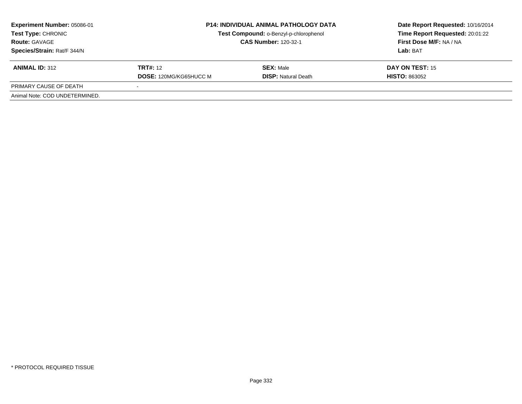| <b>Experiment Number: 05086-01</b><br><b>Test Type: CHRONIC</b><br><b>Route: GAVAGE</b><br>Species/Strain: Rat/F 344/N | <b>P14: INDIVIDUAL ANIMAL PATHOLOGY DATA</b><br>Test Compound: o-Benzyl-p-chlorophenol<br><b>CAS Number: 120-32-1</b> |                                                | Date Report Requested: 10/16/2014<br>Time Report Requested: 20:01:22<br>First Dose M/F: NA / NA<br>Lab: BAT |
|------------------------------------------------------------------------------------------------------------------------|-----------------------------------------------------------------------------------------------------------------------|------------------------------------------------|-------------------------------------------------------------------------------------------------------------|
| <b>ANIMAL ID: 312</b>                                                                                                  | <b>TRT#:</b> 12<br><b>DOSE: 120MG/KG65HUCC M</b>                                                                      | <b>SEX: Male</b><br><b>DISP:</b> Natural Death | DAY ON TEST: 15<br><b>HISTO: 863052</b>                                                                     |
| PRIMARY CAUSE OF DEATH                                                                                                 |                                                                                                                       |                                                |                                                                                                             |
| Animal Note: COD UNDETERMINED.                                                                                         |                                                                                                                       |                                                |                                                                                                             |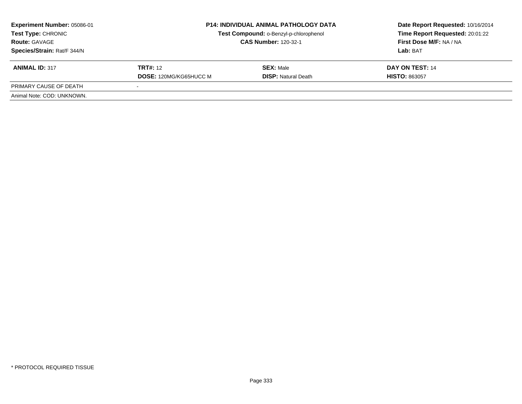| <b>Experiment Number: 05086-01</b><br><b>Test Type: CHRONIC</b><br><b>Route: GAVAGE</b><br>Species/Strain: Rat/F 344/N | <b>P14: INDIVIDUAL ANIMAL PATHOLOGY DATA</b><br>Test Compound: o-Benzyl-p-chlorophenol<br><b>CAS Number: 120-32-1</b> |                                                | Date Report Requested: 10/16/2014<br>Time Report Requested: 20:01:22<br>First Dose M/F: NA / NA<br>Lab: BAT |
|------------------------------------------------------------------------------------------------------------------------|-----------------------------------------------------------------------------------------------------------------------|------------------------------------------------|-------------------------------------------------------------------------------------------------------------|
| <b>ANIMAL ID: 317</b>                                                                                                  | <b>TRT#:</b> 12<br><b>DOSE: 120MG/KG65HUCC M</b>                                                                      | <b>SEX: Male</b><br><b>DISP: Natural Death</b> | DAY ON TEST: 14<br><b>HISTO: 863057</b>                                                                     |
| PRIMARY CAUSE OF DEATH                                                                                                 |                                                                                                                       |                                                |                                                                                                             |
| Animal Note: COD: UNKNOWN.                                                                                             |                                                                                                                       |                                                |                                                                                                             |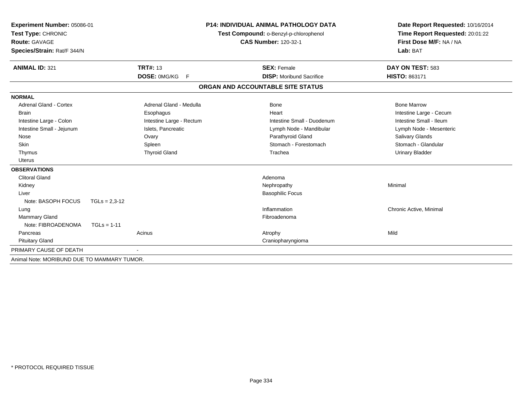| Experiment Number: 05086-01<br>Test Type: CHRONIC<br><b>Route: GAVAGE</b><br>Species/Strain: Rat/F 344/N |                 |                          | <b>P14: INDIVIDUAL ANIMAL PATHOLOGY DATA</b><br>Test Compound: o-Benzyl-p-chlorophenol<br><b>CAS Number: 120-32-1</b> |  | Date Report Requested: 10/16/2014<br>Time Report Requested: 20:01:22<br>First Dose M/F: NA / NA<br>Lab: BAT |  |
|----------------------------------------------------------------------------------------------------------|-----------------|--------------------------|-----------------------------------------------------------------------------------------------------------------------|--|-------------------------------------------------------------------------------------------------------------|--|
| <b>ANIMAL ID: 321</b>                                                                                    |                 | <b>TRT#: 13</b>          | <b>SEX: Female</b>                                                                                                    |  | DAY ON TEST: 583                                                                                            |  |
|                                                                                                          |                 | DOSE: 0MG/KG<br>-F       | <b>DISP:</b> Moribund Sacrifice                                                                                       |  | HISTO: 863171                                                                                               |  |
|                                                                                                          |                 |                          | ORGAN AND ACCOUNTABLE SITE STATUS                                                                                     |  |                                                                                                             |  |
| <b>NORMAL</b>                                                                                            |                 |                          |                                                                                                                       |  |                                                                                                             |  |
| Adrenal Gland - Cortex                                                                                   |                 | Adrenal Gland - Medulla  | Bone                                                                                                                  |  | <b>Bone Marrow</b>                                                                                          |  |
| <b>Brain</b>                                                                                             |                 | Esophagus                | Heart                                                                                                                 |  | Intestine Large - Cecum                                                                                     |  |
| Intestine Large - Colon                                                                                  |                 | Intestine Large - Rectum | Intestine Small - Duodenum                                                                                            |  | Intestine Small - Ileum                                                                                     |  |
| Intestine Small - Jejunum                                                                                |                 | Islets, Pancreatic       | Lymph Node - Mandibular                                                                                               |  | Lymph Node - Mesenteric                                                                                     |  |
| Nose                                                                                                     |                 | Ovary                    | Parathyroid Gland                                                                                                     |  | Salivary Glands                                                                                             |  |
| Skin                                                                                                     |                 | Spleen                   | Stomach - Forestomach                                                                                                 |  | Stomach - Glandular                                                                                         |  |
| Thymus                                                                                                   |                 | <b>Thyroid Gland</b>     | Trachea                                                                                                               |  | <b>Urinary Bladder</b>                                                                                      |  |
| <b>Uterus</b>                                                                                            |                 |                          |                                                                                                                       |  |                                                                                                             |  |
| <b>OBSERVATIONS</b>                                                                                      |                 |                          |                                                                                                                       |  |                                                                                                             |  |
| <b>Clitoral Gland</b>                                                                                    |                 |                          | Adenoma                                                                                                               |  |                                                                                                             |  |
| Kidney                                                                                                   |                 |                          | Nephropathy                                                                                                           |  | Minimal                                                                                                     |  |
| Liver                                                                                                    |                 |                          | <b>Basophilic Focus</b>                                                                                               |  |                                                                                                             |  |
| Note: BASOPH FOCUS                                                                                       | $TGLs = 2,3-12$ |                          |                                                                                                                       |  |                                                                                                             |  |
| Lung                                                                                                     |                 |                          | Inflammation                                                                                                          |  | Chronic Active, Minimal                                                                                     |  |
| Mammary Gland                                                                                            |                 |                          | Fibroadenoma                                                                                                          |  |                                                                                                             |  |
| Note: FIBROADENOMA                                                                                       | $TGLs = 1-11$   |                          |                                                                                                                       |  |                                                                                                             |  |
| Pancreas                                                                                                 |                 | Acinus                   | Atrophy                                                                                                               |  | Mild                                                                                                        |  |
| <b>Pituitary Gland</b>                                                                                   |                 |                          | Craniopharyngioma                                                                                                     |  |                                                                                                             |  |
| PRIMARY CAUSE OF DEATH                                                                                   |                 |                          |                                                                                                                       |  |                                                                                                             |  |
| Animal Note: MORIBUND DUE TO MAMMARY TUMOR.                                                              |                 |                          |                                                                                                                       |  |                                                                                                             |  |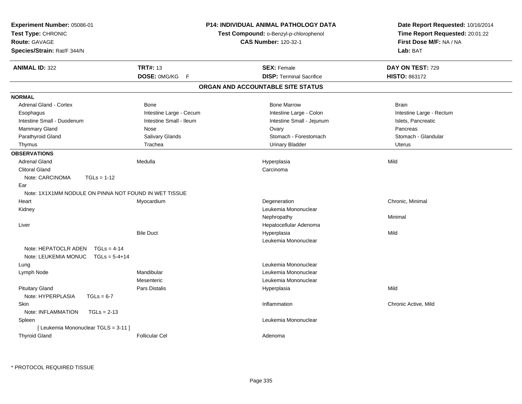| <b>Experiment Number: 05086-01</b><br>Test Type: CHRONIC<br><b>Route: GAVAGE</b><br>Species/Strain: Rat/F 344/N |                         | <b>P14: INDIVIDUAL ANIMAL PATHOLOGY DATA</b><br>Test Compound: o-Benzyl-p-chlorophenol<br><b>CAS Number: 120-32-1</b> | Date Report Requested: 10/16/2014<br>Time Report Requested: 20:01:22<br>First Dose M/F: NA / NA<br>Lab: BAT |
|-----------------------------------------------------------------------------------------------------------------|-------------------------|-----------------------------------------------------------------------------------------------------------------------|-------------------------------------------------------------------------------------------------------------|
| <b>ANIMAL ID: 322</b>                                                                                           | <b>TRT#: 13</b>         | <b>SEX: Female</b>                                                                                                    | DAY ON TEST: 729                                                                                            |
|                                                                                                                 | DOSE: 0MG/KG<br>F       | <b>DISP: Terminal Sacrifice</b>                                                                                       | HISTO: 863172                                                                                               |
|                                                                                                                 |                         | ORGAN AND ACCOUNTABLE SITE STATUS                                                                                     |                                                                                                             |
| <b>NORMAL</b>                                                                                                   |                         |                                                                                                                       |                                                                                                             |
| Adrenal Gland - Cortex                                                                                          | Bone                    | <b>Bone Marrow</b>                                                                                                    | <b>Brain</b>                                                                                                |
| Esophagus                                                                                                       | Intestine Large - Cecum | Intestine Large - Colon                                                                                               | Intestine Large - Rectum                                                                                    |
| Intestine Small - Duodenum                                                                                      | Intestine Small - Ileum | Intestine Small - Jejunum                                                                                             | Islets, Pancreatic                                                                                          |
| Mammary Gland                                                                                                   | Nose                    | Ovary                                                                                                                 | Pancreas                                                                                                    |
| Parathyroid Gland                                                                                               | Salivary Glands         | Stomach - Forestomach                                                                                                 | Stomach - Glandular                                                                                         |
| Thymus                                                                                                          | Trachea                 | <b>Urinary Bladder</b>                                                                                                | <b>Uterus</b>                                                                                               |
| <b>OBSERVATIONS</b>                                                                                             |                         |                                                                                                                       |                                                                                                             |
| <b>Adrenal Gland</b>                                                                                            | Medulla                 | Hyperplasia                                                                                                           | Mild                                                                                                        |
| <b>Clitoral Gland</b>                                                                                           |                         | Carcinoma                                                                                                             |                                                                                                             |
| Note: CARCINOMA<br>$TGLs = 1-12$                                                                                |                         |                                                                                                                       |                                                                                                             |
| Ear                                                                                                             |                         |                                                                                                                       |                                                                                                             |
| Note: 1X1X1MM NODULE ON PINNA NOT FOUND IN WET TISSUE                                                           |                         |                                                                                                                       |                                                                                                             |
| Heart                                                                                                           | Myocardium              | Degeneration                                                                                                          | Chronic, Minimal                                                                                            |
| Kidney                                                                                                          |                         | Leukemia Mononuclear                                                                                                  |                                                                                                             |
|                                                                                                                 |                         | Nephropathy                                                                                                           | Minimal                                                                                                     |
| Liver                                                                                                           |                         | Hepatocellular Adenoma                                                                                                |                                                                                                             |
|                                                                                                                 | <b>Bile Duct</b>        | Hyperplasia                                                                                                           | Mild                                                                                                        |
|                                                                                                                 |                         | Leukemia Mononuclear                                                                                                  |                                                                                                             |
| Note: HEPATOCLR ADEN<br>$TGLs = 4-14$                                                                           |                         |                                                                                                                       |                                                                                                             |
| Note: LEUKEMIA MONUC<br>$TGLs = 5-4+14$                                                                         |                         |                                                                                                                       |                                                                                                             |
| Lung                                                                                                            |                         | Leukemia Mononuclear                                                                                                  |                                                                                                             |
| Lymph Node                                                                                                      | Mandibular              | Leukemia Mononuclear                                                                                                  |                                                                                                             |
|                                                                                                                 | Mesenteric              | Leukemia Mononuclear                                                                                                  |                                                                                                             |
| <b>Pituitary Gland</b>                                                                                          | <b>Pars Distalis</b>    | Hyperplasia                                                                                                           | Mild                                                                                                        |
| Note: HYPERPLASIA<br>$TGLs = 6-7$                                                                               |                         |                                                                                                                       |                                                                                                             |
| Skin                                                                                                            |                         | Inflammation                                                                                                          | Chronic Active, Mild                                                                                        |
| Note: INFLAMMATION<br>$TGLs = 2-13$                                                                             |                         |                                                                                                                       |                                                                                                             |
| Spleen                                                                                                          |                         | Leukemia Mononuclear                                                                                                  |                                                                                                             |
| [ Leukemia Mononuclear TGLS = 3-11 ]                                                                            |                         |                                                                                                                       |                                                                                                             |
| <b>Thyroid Gland</b>                                                                                            | <b>Follicular Cel</b>   | Adenoma                                                                                                               |                                                                                                             |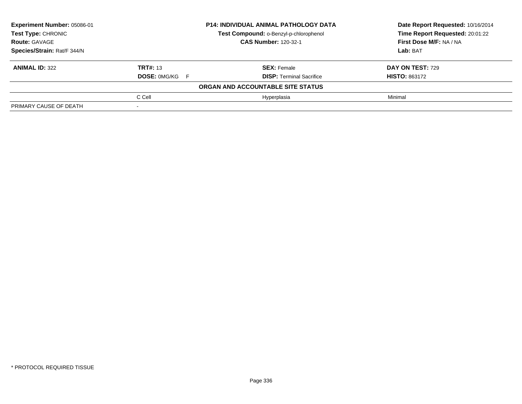| Experiment Number: 05086-01 |                             | <b>P14: INDIVIDUAL ANIMAL PATHOLOGY DATA</b> | Date Report Requested: 10/16/2014<br>Time Report Requested: 20:01:22 |  |
|-----------------------------|-----------------------------|----------------------------------------------|----------------------------------------------------------------------|--|
| <b>Test Type: CHRONIC</b>   |                             | Test Compound: o-Benzyl-p-chlorophenol       |                                                                      |  |
| <b>Route: GAVAGE</b>        | <b>CAS Number: 120-32-1</b> |                                              | First Dose M/F: NA / NA                                              |  |
| Species/Strain: Rat/F 344/N |                             |                                              | Lab: BAT                                                             |  |
| <b>ANIMAL ID: 322</b>       | <b>TRT#: 13</b>             | <b>SEX: Female</b>                           | DAY ON TEST: 729                                                     |  |
|                             | <b>DOSE: OMG/KG F</b>       | <b>DISP: Terminal Sacrifice</b>              | <b>HISTO: 863172</b>                                                 |  |
|                             |                             | ORGAN AND ACCOUNTABLE SITE STATUS            |                                                                      |  |
|                             | C Cell                      | Hyperplasia                                  | Minimal                                                              |  |
| PRIMARY CAUSE OF DEATH      |                             |                                              |                                                                      |  |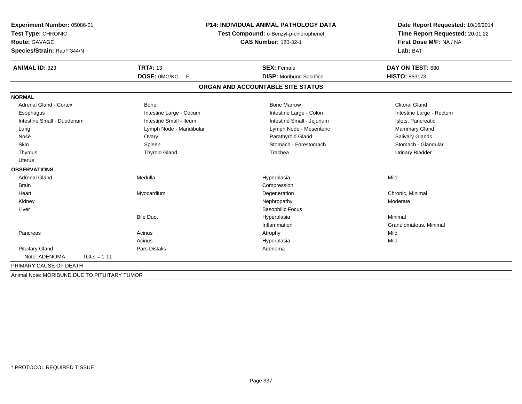| Experiment Number: 05086-01<br>Test Type: CHRONIC |                         | <b>P14: INDIVIDUAL ANIMAL PATHOLOGY DATA</b><br>Test Compound: o-Benzyl-p-chlorophenol | Date Report Requested: 10/16/2014<br>Time Report Requested: 20:01:22 |  |
|---------------------------------------------------|-------------------------|----------------------------------------------------------------------------------------|----------------------------------------------------------------------|--|
| Route: GAVAGE                                     |                         | <b>CAS Number: 120-32-1</b>                                                            | First Dose M/F: NA / NA                                              |  |
| Species/Strain: Rat/F 344/N                       |                         |                                                                                        | Lab: BAT                                                             |  |
| <b>ANIMAL ID: 323</b>                             | <b>TRT#: 13</b>         | <b>SEX: Female</b>                                                                     | DAY ON TEST: 680                                                     |  |
|                                                   | DOSE: 0MG/KG F          | <b>DISP:</b> Moribund Sacrifice                                                        | <b>HISTO: 863173</b>                                                 |  |
|                                                   |                         | ORGAN AND ACCOUNTABLE SITE STATUS                                                      |                                                                      |  |
| <b>NORMAL</b>                                     |                         |                                                                                        |                                                                      |  |
| <b>Adrenal Gland - Cortex</b>                     | <b>Bone</b>             | <b>Bone Marrow</b>                                                                     | <b>Clitoral Gland</b>                                                |  |
| Esophagus                                         | Intestine Large - Cecum | Intestine Large - Colon                                                                | Intestine Large - Rectum                                             |  |
| Intestine Small - Duodenum                        | Intestine Small - Ileum | Intestine Small - Jejunum                                                              | Islets, Pancreatic                                                   |  |
| Lung                                              | Lymph Node - Mandibular | Lymph Node - Mesenteric                                                                | Mammary Gland                                                        |  |
| Nose                                              | Ovary                   | Parathyroid Gland                                                                      | Salivary Glands                                                      |  |
| Skin                                              | Spleen                  | Stomach - Forestomach                                                                  | Stomach - Glandular                                                  |  |
| Thymus                                            | <b>Thyroid Gland</b>    | Trachea                                                                                | <b>Urinary Bladder</b>                                               |  |
| <b>Uterus</b>                                     |                         |                                                                                        |                                                                      |  |
| <b>OBSERVATIONS</b>                               |                         |                                                                                        |                                                                      |  |
| <b>Adrenal Gland</b>                              | Medulla                 | Hyperplasia                                                                            | Mild                                                                 |  |
| <b>Brain</b>                                      |                         | Compression                                                                            |                                                                      |  |
| Heart                                             | Myocardium              | Degeneration                                                                           | Chronic, Minimal                                                     |  |
| Kidney                                            |                         | Nephropathy                                                                            | Moderate                                                             |  |
| Liver                                             |                         | <b>Basophilic Focus</b>                                                                |                                                                      |  |
|                                                   | <b>Bile Duct</b>        | Hyperplasia                                                                            | Minimal                                                              |  |
|                                                   |                         | Inflammation                                                                           | Granulomatous, Minimal                                               |  |
| Pancreas                                          | Acinus                  | Atrophy                                                                                | Mild                                                                 |  |
|                                                   | Acinus                  | Hyperplasia                                                                            | Mild                                                                 |  |
| <b>Pituitary Gland</b>                            | <b>Pars Distalis</b>    | Adenoma                                                                                |                                                                      |  |
| Note: ADENOMA<br>$TGLs = 1-11$                    |                         |                                                                                        |                                                                      |  |
| PRIMARY CAUSE OF DEATH                            |                         |                                                                                        |                                                                      |  |
| Animal Note: MORIBUND DUE TO PITUITARY TUMOR      |                         |                                                                                        |                                                                      |  |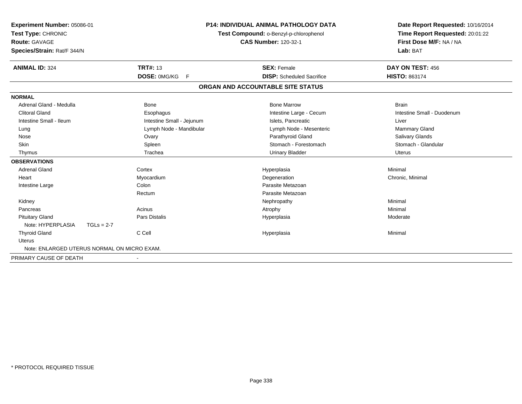| Experiment Number: 05086-01<br>Test Type: CHRONIC<br>Route: GAVAGE<br>Species/Strain: Rat/F 344/N |              | <b>P14: INDIVIDUAL ANIMAL PATHOLOGY DATA</b><br>Test Compound: o-Benzyl-p-chlorophenol<br><b>CAS Number: 120-32-1</b> |  | Date Report Requested: 10/16/2014<br>Time Report Requested: 20:01:22<br>First Dose M/F: NA / NA<br>Lab: BAT |                            |
|---------------------------------------------------------------------------------------------------|--------------|-----------------------------------------------------------------------------------------------------------------------|--|-------------------------------------------------------------------------------------------------------------|----------------------------|
| <b>ANIMAL ID: 324</b>                                                                             |              | <b>TRT#: 13</b>                                                                                                       |  | <b>SEX: Female</b>                                                                                          | DAY ON TEST: 456           |
|                                                                                                   |              | DOSE: 0MG/KG F                                                                                                        |  | <b>DISP:</b> Scheduled Sacrifice                                                                            | HISTO: 863174              |
|                                                                                                   |              |                                                                                                                       |  | ORGAN AND ACCOUNTABLE SITE STATUS                                                                           |                            |
| <b>NORMAL</b>                                                                                     |              |                                                                                                                       |  |                                                                                                             |                            |
| Adrenal Gland - Medulla                                                                           |              | <b>Bone</b>                                                                                                           |  | <b>Bone Marrow</b>                                                                                          | <b>Brain</b>               |
| <b>Clitoral Gland</b>                                                                             |              | Esophagus                                                                                                             |  | Intestine Large - Cecum                                                                                     | Intestine Small - Duodenum |
| Intestine Small - Ileum                                                                           |              | Intestine Small - Jejunum                                                                                             |  | Islets, Pancreatic                                                                                          | Liver                      |
| Lung                                                                                              |              | Lymph Node - Mandibular                                                                                               |  | Lymph Node - Mesenteric                                                                                     | Mammary Gland              |
| Nose                                                                                              |              | Ovary                                                                                                                 |  | Parathyroid Gland                                                                                           | Salivary Glands            |
| Skin                                                                                              |              | Spleen                                                                                                                |  | Stomach - Forestomach                                                                                       | Stomach - Glandular        |
| Thymus                                                                                            |              | Trachea                                                                                                               |  | <b>Urinary Bladder</b>                                                                                      | <b>Uterus</b>              |
| <b>OBSERVATIONS</b>                                                                               |              |                                                                                                                       |  |                                                                                                             |                            |
| <b>Adrenal Gland</b>                                                                              |              | Cortex                                                                                                                |  | Hyperplasia                                                                                                 | Minimal                    |
| Heart                                                                                             |              | Myocardium                                                                                                            |  | Degeneration                                                                                                | Chronic, Minimal           |
| Intestine Large                                                                                   |              | Colon                                                                                                                 |  | Parasite Metazoan                                                                                           |                            |
|                                                                                                   |              | Rectum                                                                                                                |  | Parasite Metazoan                                                                                           |                            |
| Kidney                                                                                            |              |                                                                                                                       |  | Nephropathy                                                                                                 | Minimal                    |
| Pancreas                                                                                          |              | Acinus                                                                                                                |  | Atrophy                                                                                                     | Minimal                    |
| <b>Pituitary Gland</b>                                                                            |              | <b>Pars Distalis</b>                                                                                                  |  | Hyperplasia                                                                                                 | Moderate                   |
| Note: HYPERPLASIA                                                                                 | $TGLs = 2-7$ |                                                                                                                       |  |                                                                                                             |                            |
| <b>Thyroid Gland</b>                                                                              |              | C Cell                                                                                                                |  | Hyperplasia                                                                                                 | Minimal                    |
| <b>Uterus</b>                                                                                     |              |                                                                                                                       |  |                                                                                                             |                            |
| Note: ENLARGED UTERUS NORMAL ON MICRO EXAM.                                                       |              |                                                                                                                       |  |                                                                                                             |                            |
| PRIMARY CAUSE OF DEATH                                                                            |              |                                                                                                                       |  |                                                                                                             |                            |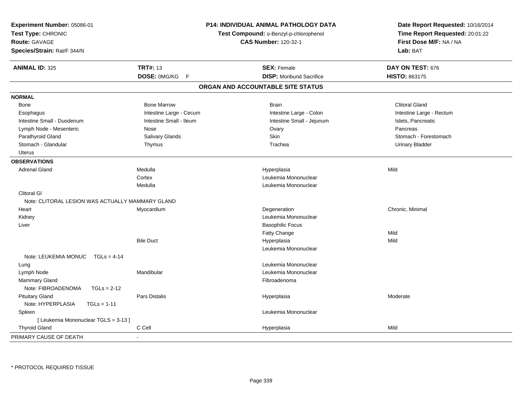| Experiment Number: 05086-01<br>Test Type: CHRONIC<br><b>Route: GAVAGE</b><br>Species/Strain: Rat/F 344/N |                             | <b>P14: INDIVIDUAL ANIMAL PATHOLOGY DATA</b><br>Test Compound: o-Benzyl-p-chlorophenol<br><b>CAS Number: 120-32-1</b> | Date Report Requested: 10/16/2014<br>Time Report Requested: 20:01:22<br>First Dose M/F: NA / NA<br>Lab: BAT |
|----------------------------------------------------------------------------------------------------------|-----------------------------|-----------------------------------------------------------------------------------------------------------------------|-------------------------------------------------------------------------------------------------------------|
| <b>ANIMAL ID: 325</b>                                                                                    | <b>TRT#: 13</b>             | <b>SEX: Female</b>                                                                                                    | DAY ON TEST: 676                                                                                            |
|                                                                                                          | DOSE: 0MG/KG<br>$\mathsf F$ | <b>DISP:</b> Moribund Sacrifice                                                                                       | <b>HISTO: 863175</b>                                                                                        |
|                                                                                                          |                             | ORGAN AND ACCOUNTABLE SITE STATUS                                                                                     |                                                                                                             |
| <b>NORMAL</b>                                                                                            |                             |                                                                                                                       |                                                                                                             |
| Bone                                                                                                     | <b>Bone Marrow</b>          | <b>Brain</b>                                                                                                          | <b>Clitoral Gland</b>                                                                                       |
| Esophagus                                                                                                | Intestine Large - Cecum     | Intestine Large - Colon                                                                                               | Intestine Large - Rectum                                                                                    |
| Intestine Small - Duodenum                                                                               | Intestine Small - Ileum     | Intestine Small - Jejunum                                                                                             | Islets, Pancreatic                                                                                          |
| Lymph Node - Mesenteric                                                                                  | Nose                        | Ovary                                                                                                                 | Pancreas                                                                                                    |
| Parathyroid Gland                                                                                        | Salivary Glands             | Skin                                                                                                                  | Stomach - Forestomach                                                                                       |
| Stomach - Glandular                                                                                      | Thymus                      | Trachea                                                                                                               | <b>Urinary Bladder</b>                                                                                      |
| <b>Uterus</b>                                                                                            |                             |                                                                                                                       |                                                                                                             |
| <b>OBSERVATIONS</b>                                                                                      |                             |                                                                                                                       |                                                                                                             |
| <b>Adrenal Gland</b>                                                                                     | Medulla                     | Hyperplasia                                                                                                           | Mild                                                                                                        |
|                                                                                                          | Cortex                      | Leukemia Mononuclear                                                                                                  |                                                                                                             |
|                                                                                                          | Medulla                     | Leukemia Mononuclear                                                                                                  |                                                                                                             |
| <b>Clitoral GI</b>                                                                                       |                             |                                                                                                                       |                                                                                                             |
| Note: CLITORAL LESION WAS ACTUALLY MAMMARY GLAND                                                         |                             |                                                                                                                       |                                                                                                             |
| Heart                                                                                                    | Myocardium                  | Degeneration                                                                                                          | Chronic, Minimal                                                                                            |
| Kidney                                                                                                   |                             | Leukemia Mononuclear                                                                                                  |                                                                                                             |
| Liver                                                                                                    |                             | <b>Basophilic Focus</b>                                                                                               |                                                                                                             |
|                                                                                                          |                             | Fatty Change                                                                                                          | Mild                                                                                                        |
|                                                                                                          | <b>Bile Duct</b>            | Hyperplasia                                                                                                           | Mild                                                                                                        |
|                                                                                                          |                             | Leukemia Mononuclear                                                                                                  |                                                                                                             |
| Note: LEUKEMIA MONUC TGLs = 4-14                                                                         |                             |                                                                                                                       |                                                                                                             |
| Lung                                                                                                     |                             | Leukemia Mononuclear                                                                                                  |                                                                                                             |
| Lymph Node                                                                                               | Mandibular                  | Leukemia Mononuclear                                                                                                  |                                                                                                             |
| <b>Mammary Gland</b>                                                                                     |                             | Fibroadenoma                                                                                                          |                                                                                                             |
| Note: FIBROADENOMA<br>$TGLs = 2-12$                                                                      |                             |                                                                                                                       |                                                                                                             |
| <b>Pituitary Gland</b>                                                                                   | <b>Pars Distalis</b>        | Hyperplasia                                                                                                           | Moderate                                                                                                    |
| Note: HYPERPLASIA<br>$TGLs = 1-11$                                                                       |                             |                                                                                                                       |                                                                                                             |
| Spleen                                                                                                   |                             | Leukemia Mononuclear                                                                                                  |                                                                                                             |
| [ Leukemia Mononuclear TGLS = 3-13 ]                                                                     |                             |                                                                                                                       |                                                                                                             |
| <b>Thyroid Gland</b>                                                                                     | C Cell                      | Hyperplasia                                                                                                           | Mild                                                                                                        |
| PRIMARY CAUSE OF DEATH                                                                                   |                             |                                                                                                                       |                                                                                                             |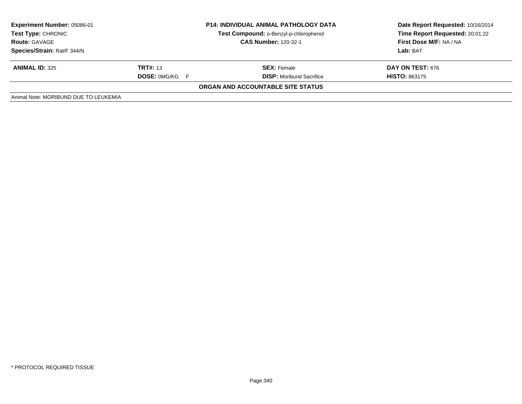| <b>Experiment Number: 05086-01</b><br><b>Test Type: CHRONIC</b><br><b>Route: GAVAGE</b><br>Species/Strain: Rat/F 344/N | <b>P14: INDIVIDUAL ANIMAL PATHOLOGY DATA</b><br>Test Compound: o-Benzyl-p-chlorophenol<br><b>CAS Number: 120-32-1</b> |                                                       | Date Report Requested: 10/16/2014<br>Time Report Requested: 20:01:22<br>First Dose M/F: NA / NA<br>Lab: BAT |  |
|------------------------------------------------------------------------------------------------------------------------|-----------------------------------------------------------------------------------------------------------------------|-------------------------------------------------------|-------------------------------------------------------------------------------------------------------------|--|
| <b>ANIMAL ID: 325</b>                                                                                                  | <b>TRT#: 13</b><br><b>DOSE: 0MG/KG F</b>                                                                              | <b>SEX: Female</b><br><b>DISP:</b> Moribund Sacrifice | DAY ON TEST: 676<br><b>HISTO: 863175</b>                                                                    |  |
|                                                                                                                        |                                                                                                                       | ORGAN AND ACCOUNTABLE SITE STATUS                     |                                                                                                             |  |
| Animal Note: MORIBUND DUE TO LEUKEMIA                                                                                  |                                                                                                                       |                                                       |                                                                                                             |  |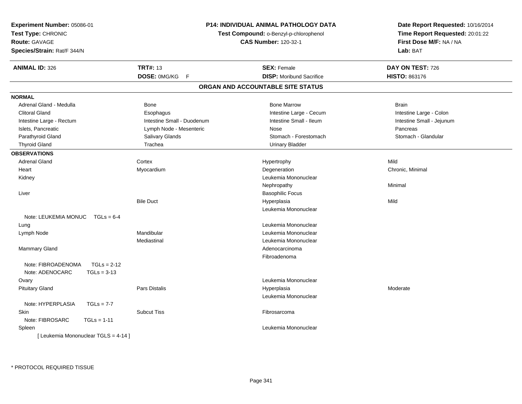| Experiment Number: 05086-01                                             |                                        | <b>P14: INDIVIDUAL ANIMAL PATHOLOGY DATA</b> | Date Report Requested: 10/16/2014 |  |
|-------------------------------------------------------------------------|----------------------------------------|----------------------------------------------|-----------------------------------|--|
| Test Type: CHRONIC                                                      | Test Compound: o-Benzyl-p-chlorophenol |                                              | Time Report Requested: 20:01:22   |  |
| <b>Route: GAVAGE</b>                                                    |                                        | <b>CAS Number: 120-32-1</b>                  | First Dose M/F: NA / NA           |  |
| Species/Strain: Rat/F 344/N                                             |                                        |                                              | Lab: BAT                          |  |
| <b>ANIMAL ID: 326</b>                                                   | <b>TRT#: 13</b>                        | <b>SEX: Female</b>                           | DAY ON TEST: 726                  |  |
|                                                                         | DOSE: 0MG/KG<br>F                      | <b>DISP:</b> Moribund Sacrifice              | HISTO: 863176                     |  |
|                                                                         |                                        | ORGAN AND ACCOUNTABLE SITE STATUS            |                                   |  |
| <b>NORMAL</b>                                                           |                                        |                                              |                                   |  |
| Adrenal Gland - Medulla                                                 | Bone                                   | <b>Bone Marrow</b>                           | <b>Brain</b>                      |  |
| <b>Clitoral Gland</b>                                                   | Esophagus                              | Intestine Large - Cecum                      | Intestine Large - Colon           |  |
| Intestine Large - Rectum                                                | Intestine Small - Duodenum             | Intestine Small - Ileum                      | Intestine Small - Jejunum         |  |
| Islets, Pancreatic                                                      | Lymph Node - Mesenteric                | Nose                                         | Pancreas                          |  |
| Parathyroid Gland                                                       | Salivary Glands                        | Stomach - Forestomach                        | Stomach - Glandular               |  |
| <b>Thyroid Gland</b>                                                    | Trachea                                | <b>Urinary Bladder</b>                       |                                   |  |
| <b>OBSERVATIONS</b>                                                     |                                        |                                              |                                   |  |
| <b>Adrenal Gland</b>                                                    | Cortex                                 | Hypertrophy                                  | Mild                              |  |
| Heart                                                                   | Myocardium                             | Degeneration                                 | Chronic, Minimal                  |  |
| Kidney                                                                  |                                        | Leukemia Mononuclear                         |                                   |  |
|                                                                         |                                        | Nephropathy                                  | Minimal                           |  |
| Liver                                                                   |                                        | <b>Basophilic Focus</b>                      |                                   |  |
|                                                                         | <b>Bile Duct</b>                       | Hyperplasia                                  | Mild                              |  |
|                                                                         |                                        | Leukemia Mononuclear                         |                                   |  |
| Note: LEUKEMIA MONUC $TGLs = 6-4$                                       |                                        |                                              |                                   |  |
| Lung                                                                    |                                        | Leukemia Mononuclear                         |                                   |  |
| Lymph Node                                                              | Mandibular                             | Leukemia Mononuclear                         |                                   |  |
|                                                                         | Mediastinal                            | Leukemia Mononuclear                         |                                   |  |
| <b>Mammary Gland</b>                                                    |                                        | Adenocarcinoma                               |                                   |  |
|                                                                         |                                        | Fibroadenoma                                 |                                   |  |
| $TGLs = 2-12$<br>Note: FIBROADENOMA<br>Note: ADENOCARC<br>$TGLs = 3-13$ |                                        |                                              |                                   |  |
| Ovary                                                                   |                                        | Leukemia Mononuclear                         |                                   |  |
| <b>Pituitary Gland</b>                                                  | <b>Pars Distalis</b>                   | Hyperplasia                                  | Moderate                          |  |
|                                                                         |                                        | Leukemia Mononuclear                         |                                   |  |
| Note: HYPERPLASIA<br>$TGLs = 7-7$                                       |                                        |                                              |                                   |  |
| Skin                                                                    | <b>Subcut Tiss</b>                     | Fibrosarcoma                                 |                                   |  |
| Note: FIBROSARC<br>$TGLs = 1-11$                                        |                                        |                                              |                                   |  |
| Spleen                                                                  |                                        | Leukemia Mononuclear                         |                                   |  |
| [ Leukemia Mononuclear TGLS = 4-14 ]                                    |                                        |                                              |                                   |  |
|                                                                         |                                        |                                              |                                   |  |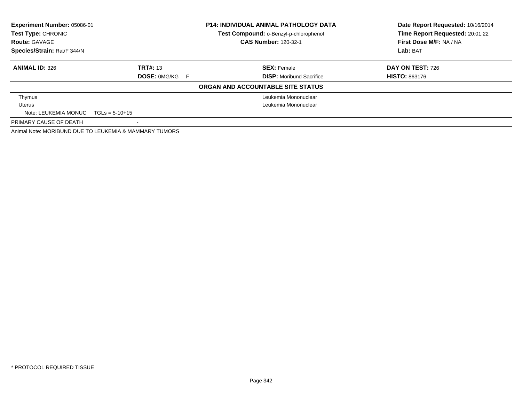| <b>Experiment Number: 05086-01</b><br><b>Test Type: CHRONIC</b> |                                                        | <b>P14: INDIVIDUAL ANIMAL PATHOLOGY DATA</b> | Date Report Requested: 10/16/2014 |
|-----------------------------------------------------------------|--------------------------------------------------------|----------------------------------------------|-----------------------------------|
|                                                                 |                                                        | Test Compound: o-Benzyl-p-chlorophenol       | Time Report Requested: 20:01:22   |
| <b>Route: GAVAGE</b>                                            |                                                        | <b>CAS Number: 120-32-1</b>                  | First Dose M/F: NA / NA           |
| Species/Strain: Rat/F 344/N                                     |                                                        |                                              | Lab: BAT                          |
| <b>ANIMAL ID: 326</b>                                           | <b>TRT#: 13</b>                                        | <b>SEX: Female</b>                           | DAY ON TEST: 726                  |
|                                                                 | <b>DOSE: OMG/KG F</b>                                  | <b>DISP:</b> Moribund Sacrifice              | <b>HISTO: 863176</b>              |
|                                                                 |                                                        | ORGAN AND ACCOUNTABLE SITE STATUS            |                                   |
| Thymus                                                          |                                                        | Leukemia Mononuclear                         |                                   |
| Uterus                                                          |                                                        | Leukemia Mononuclear                         |                                   |
| Note: LEUKEMIA MONUC $TGLs = 5-10+15$                           |                                                        |                                              |                                   |
| PRIMARY CAUSE OF DEATH                                          |                                                        |                                              |                                   |
|                                                                 | Animal Note: MORIBUND DUE TO LEUKEMIA & MAMMARY TUMORS |                                              |                                   |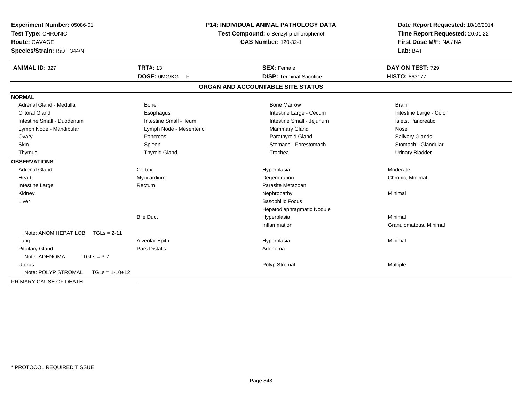| Experiment Number: 05086-01<br>Test Type: CHRONIC<br>Route: GAVAGE<br>Species/Strain: Rat/F 344/N | <b>P14: INDIVIDUAL ANIMAL PATHOLOGY DATA</b><br>Test Compound: o-Benzyl-p-chlorophenol<br><b>CAS Number: 120-32-1</b> |                                   | Date Report Requested: 10/16/2014<br>Time Report Requested: 20:01:22<br>First Dose M/F: NA / NA<br>Lab: BAT |  |
|---------------------------------------------------------------------------------------------------|-----------------------------------------------------------------------------------------------------------------------|-----------------------------------|-------------------------------------------------------------------------------------------------------------|--|
| <b>ANIMAL ID: 327</b>                                                                             | <b>TRT#: 13</b>                                                                                                       | <b>SEX: Female</b>                | DAY ON TEST: 729                                                                                            |  |
|                                                                                                   | DOSE: 0MG/KG F                                                                                                        | <b>DISP: Terminal Sacrifice</b>   | HISTO: 863177                                                                                               |  |
|                                                                                                   |                                                                                                                       | ORGAN AND ACCOUNTABLE SITE STATUS |                                                                                                             |  |
| <b>NORMAL</b>                                                                                     |                                                                                                                       |                                   |                                                                                                             |  |
| Adrenal Gland - Medulla                                                                           | <b>Bone</b>                                                                                                           | <b>Bone Marrow</b>                | <b>Brain</b>                                                                                                |  |
| <b>Clitoral Gland</b>                                                                             | Esophagus                                                                                                             | Intestine Large - Cecum           | Intestine Large - Colon                                                                                     |  |
| Intestine Small - Duodenum                                                                        | Intestine Small - Ileum                                                                                               | Intestine Small - Jejunum         | Islets, Pancreatic                                                                                          |  |
| Lymph Node - Mandibular                                                                           | Lymph Node - Mesenteric                                                                                               | Mammary Gland                     | Nose                                                                                                        |  |
| Ovary                                                                                             | Pancreas                                                                                                              | Parathyroid Gland                 | Salivary Glands                                                                                             |  |
| Skin                                                                                              | Spleen                                                                                                                | Stomach - Forestomach             | Stomach - Glandular                                                                                         |  |
| Thymus                                                                                            | <b>Thyroid Gland</b>                                                                                                  | Trachea                           | <b>Urinary Bladder</b>                                                                                      |  |
| <b>OBSERVATIONS</b>                                                                               |                                                                                                                       |                                   |                                                                                                             |  |
| <b>Adrenal Gland</b>                                                                              | Cortex                                                                                                                | Hyperplasia                       | Moderate                                                                                                    |  |
| Heart                                                                                             | Myocardium                                                                                                            | Degeneration                      | Chronic, Minimal                                                                                            |  |
| Intestine Large                                                                                   | Rectum                                                                                                                | Parasite Metazoan                 |                                                                                                             |  |
| Kidney                                                                                            |                                                                                                                       | Nephropathy                       | Minimal                                                                                                     |  |
| Liver                                                                                             |                                                                                                                       | <b>Basophilic Focus</b>           |                                                                                                             |  |
|                                                                                                   |                                                                                                                       | Hepatodiaphragmatic Nodule        |                                                                                                             |  |
|                                                                                                   | <b>Bile Duct</b>                                                                                                      | Hyperplasia                       | Minimal                                                                                                     |  |
| Note: ANOM HEPAT LOB<br>$TGLs = 2-11$                                                             |                                                                                                                       | Inflammation                      | Granulomatous, Minimal                                                                                      |  |
| Lung                                                                                              | Alveolar Epith                                                                                                        | Hyperplasia                       | Minimal                                                                                                     |  |
| <b>Pituitary Gland</b>                                                                            | <b>Pars Distalis</b>                                                                                                  | Adenoma                           |                                                                                                             |  |
| Note: ADENOMA<br>$TGLs = 3-7$                                                                     |                                                                                                                       |                                   |                                                                                                             |  |
| Uterus                                                                                            |                                                                                                                       | Polyp Stromal                     | Multiple                                                                                                    |  |
| Note: POLYP STROMAL<br>$TGLs = 1-10+12$                                                           |                                                                                                                       |                                   |                                                                                                             |  |
| PRIMARY CAUSE OF DEATH                                                                            | $\sim$                                                                                                                |                                   |                                                                                                             |  |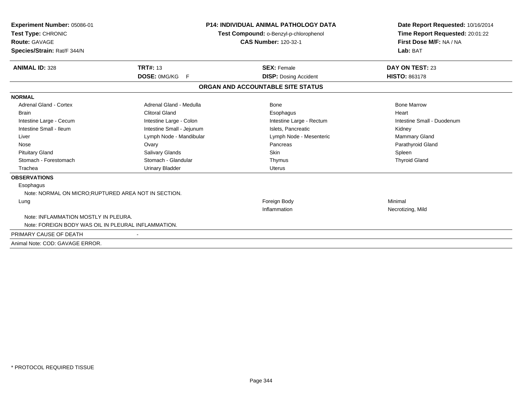| Experiment Number: 05086-01<br>Test Type: CHRONIC<br><b>Route: GAVAGE</b><br>Species/Strain: Rat/F 344/N |                           | <b>P14: INDIVIDUAL ANIMAL PATHOLOGY DATA</b><br>Test Compound: o-Benzyl-p-chlorophenol<br><b>CAS Number: 120-32-1</b> | Date Report Requested: 10/16/2014<br>Time Report Requested: 20:01:22<br>First Dose M/F: NA / NA<br>Lab: BAT |  |
|----------------------------------------------------------------------------------------------------------|---------------------------|-----------------------------------------------------------------------------------------------------------------------|-------------------------------------------------------------------------------------------------------------|--|
| <b>ANIMAL ID: 328</b>                                                                                    | <b>TRT#: 13</b>           | <b>SEX: Female</b>                                                                                                    | DAY ON TEST: 23                                                                                             |  |
|                                                                                                          | DOSE: 0MG/KG<br>F.        | <b>DISP: Dosing Accident</b>                                                                                          | <b>HISTO: 863178</b>                                                                                        |  |
|                                                                                                          |                           | ORGAN AND ACCOUNTABLE SITE STATUS                                                                                     |                                                                                                             |  |
| <b>NORMAL</b>                                                                                            |                           |                                                                                                                       |                                                                                                             |  |
| <b>Adrenal Gland - Cortex</b>                                                                            | Adrenal Gland - Medulla   | Bone                                                                                                                  | <b>Bone Marrow</b>                                                                                          |  |
| <b>Brain</b>                                                                                             | <b>Clitoral Gland</b>     | Esophagus                                                                                                             | Heart                                                                                                       |  |
| Intestine Large - Cecum                                                                                  | Intestine Large - Colon   | Intestine Large - Rectum                                                                                              | Intestine Small - Duodenum                                                                                  |  |
| Intestine Small - Ileum                                                                                  | Intestine Small - Jejunum | Islets. Pancreatic                                                                                                    | Kidney                                                                                                      |  |
| Liver                                                                                                    | Lymph Node - Mandibular   | Lymph Node - Mesenteric                                                                                               | Mammary Gland                                                                                               |  |
| Nose                                                                                                     | Ovary                     | Pancreas                                                                                                              | Parathyroid Gland                                                                                           |  |
| <b>Pituitary Gland</b>                                                                                   | Salivary Glands           | <b>Skin</b>                                                                                                           | Spleen                                                                                                      |  |
| Stomach - Forestomach                                                                                    | Stomach - Glandular       | Thymus                                                                                                                | <b>Thyroid Gland</b>                                                                                        |  |
| Trachea                                                                                                  | <b>Urinary Bladder</b>    | <b>Uterus</b>                                                                                                         |                                                                                                             |  |
| <b>OBSERVATIONS</b>                                                                                      |                           |                                                                                                                       |                                                                                                             |  |
| Esophagus                                                                                                |                           |                                                                                                                       |                                                                                                             |  |
| Note: NORMAL ON MICRO; RUPTURED AREA NOT IN SECTION.                                                     |                           |                                                                                                                       |                                                                                                             |  |
| Lung                                                                                                     |                           | Foreign Body                                                                                                          | Minimal                                                                                                     |  |
|                                                                                                          |                           | Inflammation                                                                                                          | Necrotizing, Mild                                                                                           |  |
| Note: INFLAMMATION MOSTLY IN PLEURA.                                                                     |                           |                                                                                                                       |                                                                                                             |  |
| Note: FOREIGN BODY WAS OIL IN PLEURAL INFLAMMATION.                                                      |                           |                                                                                                                       |                                                                                                             |  |
| PRIMARY CAUSE OF DEATH                                                                                   |                           |                                                                                                                       |                                                                                                             |  |
| Animal Note: COD: GAVAGE ERROR.                                                                          |                           |                                                                                                                       |                                                                                                             |  |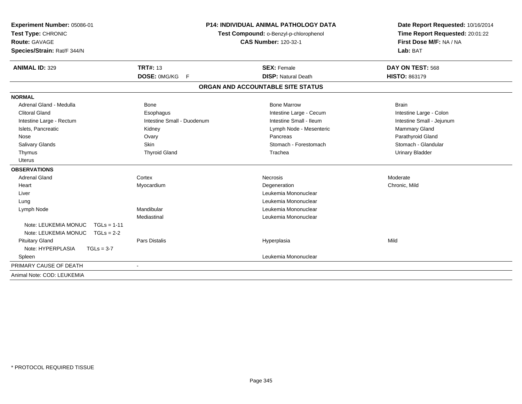| Experiment Number: 05086-01<br>Test Type: CHRONIC |                            | <b>P14: INDIVIDUAL ANIMAL PATHOLOGY DATA</b><br>Test Compound: o-Benzyl-p-chlorophenol | Date Report Requested: 10/16/2014<br>Time Report Requested: 20:01:22 |  |
|---------------------------------------------------|----------------------------|----------------------------------------------------------------------------------------|----------------------------------------------------------------------|--|
| <b>Route: GAVAGE</b>                              |                            | <b>CAS Number: 120-32-1</b>                                                            | First Dose M/F: NA / NA                                              |  |
| Species/Strain: Rat/F 344/N                       |                            |                                                                                        | Lab: BAT                                                             |  |
| <b>ANIMAL ID: 329</b>                             | <b>TRT#: 13</b>            | <b>SEX: Female</b>                                                                     | DAY ON TEST: 568                                                     |  |
|                                                   | DOSE: 0MG/KG<br>F          | <b>DISP: Natural Death</b>                                                             | <b>HISTO: 863179</b>                                                 |  |
|                                                   |                            | ORGAN AND ACCOUNTABLE SITE STATUS                                                      |                                                                      |  |
| <b>NORMAL</b>                                     |                            |                                                                                        |                                                                      |  |
| Adrenal Gland - Medulla                           | Bone                       | <b>Bone Marrow</b>                                                                     | <b>Brain</b>                                                         |  |
| <b>Clitoral Gland</b>                             | Esophagus                  | Intestine Large - Cecum                                                                | Intestine Large - Colon                                              |  |
| Intestine Large - Rectum                          | Intestine Small - Duodenum | Intestine Small - Ileum                                                                | Intestine Small - Jejunum                                            |  |
| Islets, Pancreatic                                | Kidney                     | Lymph Node - Mesenteric                                                                | Mammary Gland                                                        |  |
| Nose                                              | Ovary                      | Pancreas                                                                               | Parathyroid Gland                                                    |  |
| Salivary Glands                                   | <b>Skin</b>                | Stomach - Forestomach                                                                  | Stomach - Glandular                                                  |  |
| Thymus                                            | <b>Thyroid Gland</b>       | Trachea                                                                                | <b>Urinary Bladder</b>                                               |  |
| <b>Uterus</b>                                     |                            |                                                                                        |                                                                      |  |
| <b>OBSERVATIONS</b>                               |                            |                                                                                        |                                                                      |  |
| <b>Adrenal Gland</b>                              | Cortex                     | Necrosis                                                                               | Moderate                                                             |  |
| Heart                                             | Myocardium                 | Degeneration                                                                           | Chronic, Mild                                                        |  |
| Liver                                             |                            | Leukemia Mononuclear                                                                   |                                                                      |  |
| Lung                                              |                            | Leukemia Mononuclear                                                                   |                                                                      |  |
| Lymph Node                                        | Mandibular                 | Leukemia Mononuclear                                                                   |                                                                      |  |
|                                                   | Mediastinal                | Leukemia Mononuclear                                                                   |                                                                      |  |
| Note: LEUKEMIA MONUC<br>$TGLs = 1-11$             |                            |                                                                                        |                                                                      |  |
| Note: LEUKEMIA MONUC TGLs = 2-2                   |                            |                                                                                        |                                                                      |  |
| <b>Pituitary Gland</b>                            | <b>Pars Distalis</b>       | Hyperplasia                                                                            | Mild                                                                 |  |
| Note: HYPERPLASIA<br>$TGLs = 3-7$                 |                            |                                                                                        |                                                                      |  |
| Spleen                                            |                            | Leukemia Mononuclear                                                                   |                                                                      |  |
| PRIMARY CAUSE OF DEATH                            | $\blacksquare$             |                                                                                        |                                                                      |  |
| Animal Note: COD: LEUKEMIA                        |                            |                                                                                        |                                                                      |  |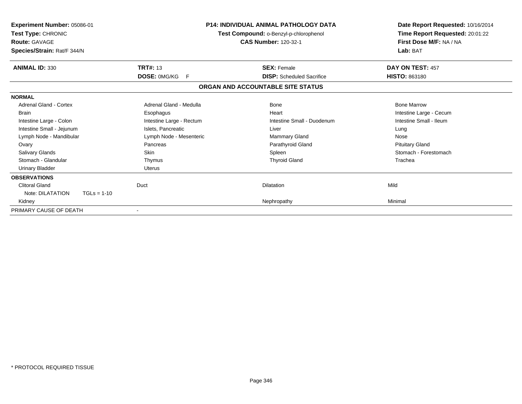| <b>Experiment Number: 05086-01</b><br>Test Type: CHRONIC<br><b>Route: GAVAGE</b><br>Species/Strain: Rat/F 344/N |                          | P14: INDIVIDUAL ANIMAL PATHOLOGY DATA<br>Test Compound: o-Benzyl-p-chlorophenol<br><b>CAS Number: 120-32-1</b> | Date Report Requested: 10/16/2014<br>Time Report Requested: 20:01:22<br>First Dose M/F: NA / NA<br>Lab: BAT |  |
|-----------------------------------------------------------------------------------------------------------------|--------------------------|----------------------------------------------------------------------------------------------------------------|-------------------------------------------------------------------------------------------------------------|--|
| <b>ANIMAL ID: 330</b>                                                                                           | <b>TRT#: 13</b>          | <b>SEX: Female</b>                                                                                             | DAY ON TEST: 457                                                                                            |  |
|                                                                                                                 | DOSE: 0MG/KG<br>-F       | <b>DISP:</b> Scheduled Sacrifice                                                                               | <b>HISTO: 863180</b>                                                                                        |  |
|                                                                                                                 |                          | ORGAN AND ACCOUNTABLE SITE STATUS                                                                              |                                                                                                             |  |
| <b>NORMAL</b>                                                                                                   |                          |                                                                                                                |                                                                                                             |  |
| Adrenal Gland - Cortex                                                                                          | Adrenal Gland - Medulla  | <b>Bone</b>                                                                                                    | <b>Bone Marrow</b>                                                                                          |  |
| <b>Brain</b>                                                                                                    | Esophagus                | Heart                                                                                                          | Intestine Large - Cecum                                                                                     |  |
| Intestine Large - Colon                                                                                         | Intestine Large - Rectum | Intestine Small - Duodenum                                                                                     | Intestine Small - Ileum                                                                                     |  |
| Intestine Small - Jejunum                                                                                       | Islets, Pancreatic       | Liver                                                                                                          | Lung                                                                                                        |  |
| Lymph Node - Mandibular                                                                                         | Lymph Node - Mesenteric  | <b>Mammary Gland</b>                                                                                           | Nose                                                                                                        |  |
| Ovary                                                                                                           | Pancreas                 | Parathyroid Gland                                                                                              | <b>Pituitary Gland</b>                                                                                      |  |
| Salivary Glands                                                                                                 | <b>Skin</b>              | Spleen                                                                                                         | Stomach - Forestomach                                                                                       |  |
| Stomach - Glandular                                                                                             | Thymus                   | <b>Thyroid Gland</b>                                                                                           | Trachea                                                                                                     |  |
| <b>Urinary Bladder</b>                                                                                          | <b>Uterus</b>            |                                                                                                                |                                                                                                             |  |
| <b>OBSERVATIONS</b>                                                                                             |                          |                                                                                                                |                                                                                                             |  |
| <b>Clitoral Gland</b>                                                                                           | Duct                     | <b>Dilatation</b>                                                                                              | Mild                                                                                                        |  |
| Note: DILATATION<br>$TGLs = 1-10$                                                                               |                          |                                                                                                                |                                                                                                             |  |
| Kidney                                                                                                          |                          | Nephropathy                                                                                                    | Minimal                                                                                                     |  |
| PRIMARY CAUSE OF DEATH                                                                                          |                          |                                                                                                                |                                                                                                             |  |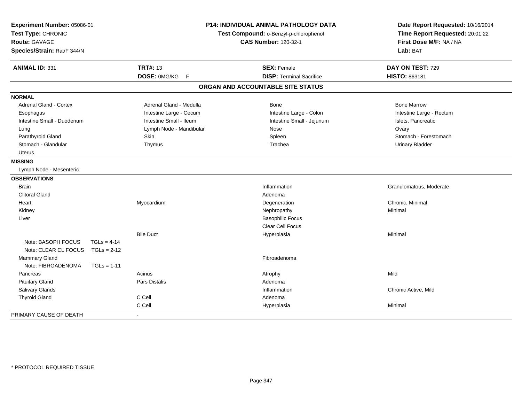| Experiment Number: 05086-01<br>Test Type: CHRONIC<br><b>Route: GAVAGE</b><br>Species/Strain: Rat/F 344/N |               |                         | P14: INDIVIDUAL ANIMAL PATHOLOGY DATA<br>Test Compound: o-Benzyl-p-chlorophenol<br><b>CAS Number: 120-32-1</b> | Date Report Requested: 10/16/2014<br>Time Report Requested: 20:01:22<br>First Dose M/F: NA / NA<br>Lab: BAT |  |
|----------------------------------------------------------------------------------------------------------|---------------|-------------------------|----------------------------------------------------------------------------------------------------------------|-------------------------------------------------------------------------------------------------------------|--|
| <b>ANIMAL ID: 331</b>                                                                                    |               | <b>TRT#: 13</b>         | <b>SEX: Female</b>                                                                                             | DAY ON TEST: 729                                                                                            |  |
|                                                                                                          |               | DOSE: 0MG/KG F          | <b>DISP: Terminal Sacrifice</b>                                                                                | HISTO: 863181                                                                                               |  |
|                                                                                                          |               |                         | ORGAN AND ACCOUNTABLE SITE STATUS                                                                              |                                                                                                             |  |
| <b>NORMAL</b>                                                                                            |               |                         |                                                                                                                |                                                                                                             |  |
| Adrenal Gland - Cortex                                                                                   |               | Adrenal Gland - Medulla | Bone                                                                                                           | <b>Bone Marrow</b>                                                                                          |  |
| Esophagus                                                                                                |               | Intestine Large - Cecum | Intestine Large - Colon                                                                                        | Intestine Large - Rectum                                                                                    |  |
| Intestine Small - Duodenum                                                                               |               | Intestine Small - Ileum | Intestine Small - Jejunum                                                                                      | Islets, Pancreatic                                                                                          |  |
| Lung                                                                                                     |               | Lymph Node - Mandibular | Nose                                                                                                           | Ovary                                                                                                       |  |
| Parathyroid Gland                                                                                        |               | Skin                    | Spleen                                                                                                         | Stomach - Forestomach                                                                                       |  |
| Stomach - Glandular                                                                                      |               | Thymus                  | Trachea                                                                                                        | <b>Urinary Bladder</b>                                                                                      |  |
| <b>Uterus</b>                                                                                            |               |                         |                                                                                                                |                                                                                                             |  |
| <b>MISSING</b>                                                                                           |               |                         |                                                                                                                |                                                                                                             |  |
| Lymph Node - Mesenteric                                                                                  |               |                         |                                                                                                                |                                                                                                             |  |
| <b>OBSERVATIONS</b>                                                                                      |               |                         |                                                                                                                |                                                                                                             |  |
| <b>Brain</b>                                                                                             |               |                         | Inflammation                                                                                                   | Granulomatous, Moderate                                                                                     |  |
| <b>Clitoral Gland</b>                                                                                    |               |                         | Adenoma                                                                                                        |                                                                                                             |  |
| Heart                                                                                                    |               | Myocardium              | Degeneration                                                                                                   | Chronic, Minimal                                                                                            |  |
| Kidney                                                                                                   |               |                         | Nephropathy                                                                                                    | Minimal                                                                                                     |  |
| Liver                                                                                                    |               |                         | <b>Basophilic Focus</b>                                                                                        |                                                                                                             |  |
|                                                                                                          |               |                         | <b>Clear Cell Focus</b>                                                                                        |                                                                                                             |  |
|                                                                                                          |               | <b>Bile Duct</b>        | Hyperplasia                                                                                                    | Minimal                                                                                                     |  |
| Note: BASOPH FOCUS                                                                                       | $TGLs = 4-14$ |                         |                                                                                                                |                                                                                                             |  |
| Note: CLEAR CL FOCUS                                                                                     | $TGLs = 2-12$ |                         |                                                                                                                |                                                                                                             |  |
| Mammary Gland                                                                                            |               |                         | Fibroadenoma                                                                                                   |                                                                                                             |  |
| Note: FIBROADENOMA                                                                                       | $TGLs = 1-11$ |                         |                                                                                                                |                                                                                                             |  |
| Pancreas                                                                                                 |               | Acinus                  | Atrophy                                                                                                        | Mild                                                                                                        |  |
| <b>Pituitary Gland</b>                                                                                   |               | Pars Distalis           | Adenoma                                                                                                        |                                                                                                             |  |
| Salivary Glands                                                                                          |               |                         | Inflammation                                                                                                   | Chronic Active, Mild                                                                                        |  |
| <b>Thyroid Gland</b>                                                                                     |               | C Cell                  | Adenoma                                                                                                        |                                                                                                             |  |
|                                                                                                          |               | C Cell                  | Hyperplasia                                                                                                    | Minimal                                                                                                     |  |
| PRIMARY CAUSE OF DEATH                                                                                   |               |                         |                                                                                                                |                                                                                                             |  |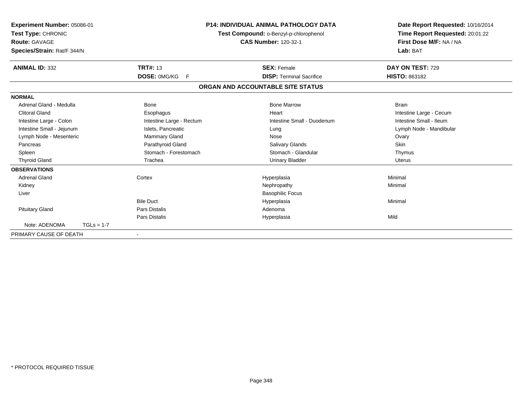| Experiment Number: 05086-01<br>Test Type: CHRONIC<br><b>Route: GAVAGE</b><br>Species/Strain: Rat/F 344/N |              | <b>P14: INDIVIDUAL ANIMAL PATHOLOGY DATA</b><br>Test Compound: o-Benzyl-p-chlorophenol<br><b>CAS Number: 120-32-1</b> |                                   | Date Report Requested: 10/16/2014<br>Time Report Requested: 20:01:22<br>First Dose M/F: NA / NA<br>Lab: BAT |  |
|----------------------------------------------------------------------------------------------------------|--------------|-----------------------------------------------------------------------------------------------------------------------|-----------------------------------|-------------------------------------------------------------------------------------------------------------|--|
| <b>ANIMAL ID: 332</b>                                                                                    |              | <b>TRT#: 13</b>                                                                                                       | <b>SEX: Female</b>                | DAY ON TEST: 729                                                                                            |  |
|                                                                                                          |              | DOSE: 0MG/KG<br>F                                                                                                     | <b>DISP: Terminal Sacrifice</b>   | <b>HISTO: 863182</b>                                                                                        |  |
|                                                                                                          |              |                                                                                                                       | ORGAN AND ACCOUNTABLE SITE STATUS |                                                                                                             |  |
| <b>NORMAL</b>                                                                                            |              |                                                                                                                       |                                   |                                                                                                             |  |
| Adrenal Gland - Medulla                                                                                  |              | <b>Bone</b>                                                                                                           | <b>Bone Marrow</b>                | <b>Brain</b>                                                                                                |  |
| <b>Clitoral Gland</b>                                                                                    |              | Esophagus                                                                                                             | Heart                             | Intestine Large - Cecum                                                                                     |  |
| Intestine Large - Colon                                                                                  |              | Intestine Large - Rectum                                                                                              | Intestine Small - Duodenum        | Intestine Small - Ileum                                                                                     |  |
| Intestine Small - Jejunum                                                                                |              | Islets, Pancreatic                                                                                                    | Lung                              | Lymph Node - Mandibular                                                                                     |  |
| Lymph Node - Mesenteric                                                                                  |              | Mammary Gland                                                                                                         | Nose                              | Ovary                                                                                                       |  |
| Pancreas                                                                                                 |              | Parathyroid Gland                                                                                                     | Salivary Glands                   | <b>Skin</b>                                                                                                 |  |
| Spleen                                                                                                   |              | Stomach - Forestomach                                                                                                 | Stomach - Glandular               | Thymus                                                                                                      |  |
| <b>Thyroid Gland</b>                                                                                     |              | Trachea                                                                                                               | <b>Urinary Bladder</b>            | <b>Uterus</b>                                                                                               |  |
| <b>OBSERVATIONS</b>                                                                                      |              |                                                                                                                       |                                   |                                                                                                             |  |
| <b>Adrenal Gland</b>                                                                                     |              | Cortex                                                                                                                | Hyperplasia                       | Minimal                                                                                                     |  |
| Kidney                                                                                                   |              |                                                                                                                       | Nephropathy                       | Minimal                                                                                                     |  |
| Liver                                                                                                    |              |                                                                                                                       | <b>Basophilic Focus</b>           |                                                                                                             |  |
|                                                                                                          |              | <b>Bile Duct</b>                                                                                                      | Hyperplasia                       | Minimal                                                                                                     |  |
| <b>Pituitary Gland</b>                                                                                   |              | Pars Distalis                                                                                                         | Adenoma                           |                                                                                                             |  |
|                                                                                                          |              | Pars Distalis                                                                                                         | Hyperplasia                       | Mild                                                                                                        |  |
| Note: ADENOMA                                                                                            | $TGLs = 1-7$ |                                                                                                                       |                                   |                                                                                                             |  |
| PRIMARY CAUSE OF DEATH                                                                                   |              |                                                                                                                       |                                   |                                                                                                             |  |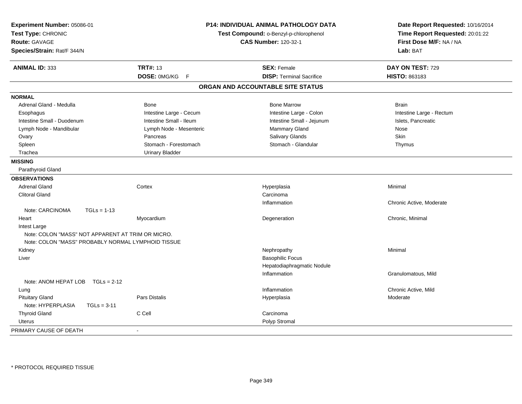| Experiment Number: 05086-01<br>Test Type: CHRONIC<br><b>Route: GAVAGE</b><br>Species/Strain: Rat/F 344/N |                          | <b>P14: INDIVIDUAL ANIMAL PATHOLOGY DATA</b><br>Test Compound: o-Benzyl-p-chlorophenol<br><b>CAS Number: 120-32-1</b> | Date Report Requested: 10/16/2014<br>Time Report Requested: 20:01:22<br>First Dose M/F: NA / NA<br>Lab: BAT |
|----------------------------------------------------------------------------------------------------------|--------------------------|-----------------------------------------------------------------------------------------------------------------------|-------------------------------------------------------------------------------------------------------------|
| ANIMAL ID: 333                                                                                           | <b>TRT#: 13</b>          | <b>SEX: Female</b>                                                                                                    | DAY ON TEST: 729                                                                                            |
|                                                                                                          | DOSE: 0MG/KG F           | <b>DISP: Terminal Sacrifice</b>                                                                                       | HISTO: 863183                                                                                               |
|                                                                                                          |                          | ORGAN AND ACCOUNTABLE SITE STATUS                                                                                     |                                                                                                             |
| <b>NORMAL</b>                                                                                            |                          |                                                                                                                       |                                                                                                             |
| Adrenal Gland - Medulla                                                                                  | Bone                     | <b>Bone Marrow</b>                                                                                                    | <b>Brain</b>                                                                                                |
| Esophagus                                                                                                | Intestine Large - Cecum  | Intestine Large - Colon                                                                                               | Intestine Large - Rectum                                                                                    |
| Intestine Small - Duodenum                                                                               | Intestine Small - Ileum  | Intestine Small - Jejunum                                                                                             | Islets, Pancreatic                                                                                          |
| Lymph Node - Mandibular                                                                                  | Lymph Node - Mesenteric  | Mammary Gland                                                                                                         | Nose                                                                                                        |
| Ovary                                                                                                    | Pancreas                 | Salivary Glands                                                                                                       | <b>Skin</b>                                                                                                 |
| Spleen                                                                                                   | Stomach - Forestomach    | Stomach - Glandular                                                                                                   | Thymus                                                                                                      |
| Trachea                                                                                                  | <b>Urinary Bladder</b>   |                                                                                                                       |                                                                                                             |
| <b>MISSING</b>                                                                                           |                          |                                                                                                                       |                                                                                                             |
| Parathyroid Gland                                                                                        |                          |                                                                                                                       |                                                                                                             |
| <b>OBSERVATIONS</b>                                                                                      |                          |                                                                                                                       |                                                                                                             |
| <b>Adrenal Gland</b>                                                                                     | Cortex                   | Hyperplasia                                                                                                           | Minimal                                                                                                     |
| <b>Clitoral Gland</b>                                                                                    |                          | Carcinoma                                                                                                             |                                                                                                             |
|                                                                                                          |                          | Inflammation                                                                                                          | Chronic Active, Moderate                                                                                    |
| Note: CARCINOMA<br>$TGLs = 1-13$                                                                         |                          |                                                                                                                       |                                                                                                             |
| Heart                                                                                                    | Myocardium               | Degeneration                                                                                                          | Chronic, Minimal                                                                                            |
| Intest Large                                                                                             |                          |                                                                                                                       |                                                                                                             |
| Note: COLON "MASS" NOT APPARENT AT TRIM OR MICRO.                                                        |                          |                                                                                                                       |                                                                                                             |
| Note: COLON "MASS" PROBABLY NORMAL LYMPHOID TISSUE                                                       |                          |                                                                                                                       |                                                                                                             |
| Kidney                                                                                                   |                          | Nephropathy                                                                                                           | Minimal                                                                                                     |
| Liver                                                                                                    |                          | <b>Basophilic Focus</b>                                                                                               |                                                                                                             |
|                                                                                                          |                          | Hepatodiaphragmatic Nodule                                                                                            |                                                                                                             |
|                                                                                                          |                          | Inflammation                                                                                                          | Granulomatous, Mild                                                                                         |
| Note: ANOM HEPAT LOB $TGLs = 2-12$                                                                       |                          |                                                                                                                       |                                                                                                             |
| Lung                                                                                                     |                          | Inflammation                                                                                                          | Chronic Active, Mild                                                                                        |
| <b>Pituitary Gland</b>                                                                                   | <b>Pars Distalis</b>     | Hyperplasia                                                                                                           | Moderate                                                                                                    |
| Note: HYPERPLASIA<br>$TGLs = 3-11$                                                                       |                          |                                                                                                                       |                                                                                                             |
| <b>Thyroid Gland</b>                                                                                     | C Cell                   | Carcinoma                                                                                                             |                                                                                                             |
| Uterus                                                                                                   |                          | Polyp Stromal                                                                                                         |                                                                                                             |
| PRIMARY CAUSE OF DEATH                                                                                   | $\overline{\phantom{a}}$ |                                                                                                                       |                                                                                                             |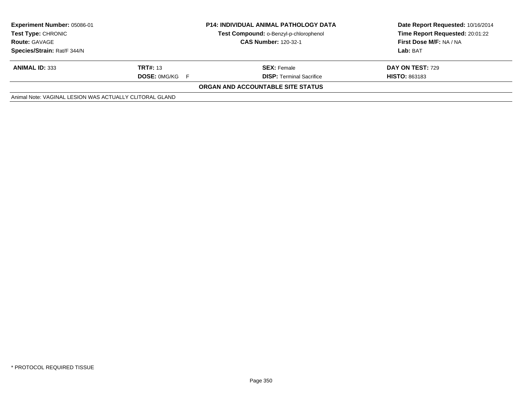| Experiment Number: 05086-01<br><b>Test Type: CHRONIC</b><br><b>Route: GAVAGE</b> | <b>P14: INDIVIDUAL ANIMAL PATHOLOGY DATA</b><br>Test Compound: o-Benzyl-p-chlorophenol<br><b>CAS Number: 120-32-1</b> |                                   | Date Report Requested: 10/16/2014<br>Time Report Requested: 20:01:22<br>First Dose M/F: NA / NA |
|----------------------------------------------------------------------------------|-----------------------------------------------------------------------------------------------------------------------|-----------------------------------|-------------------------------------------------------------------------------------------------|
| Species/Strain: Rat/F 344/N                                                      |                                                                                                                       |                                   | Lab: BAT                                                                                        |
| <b>ANIMAL ID: 333</b>                                                            | <b>TRT#: 13</b>                                                                                                       | <b>SEX: Female</b>                | <b>DAY ON TEST: 729</b>                                                                         |
|                                                                                  | <b>DOSE: OMG/KG F</b>                                                                                                 | <b>DISP:</b> Terminal Sacrifice   | <b>HISTO: 863183</b>                                                                            |
|                                                                                  |                                                                                                                       | ORGAN AND ACCOUNTABLE SITE STATUS |                                                                                                 |
| Animal Note: VAGINAL LESION WAS ACTUALLY CLITORAL GLAND                          |                                                                                                                       |                                   |                                                                                                 |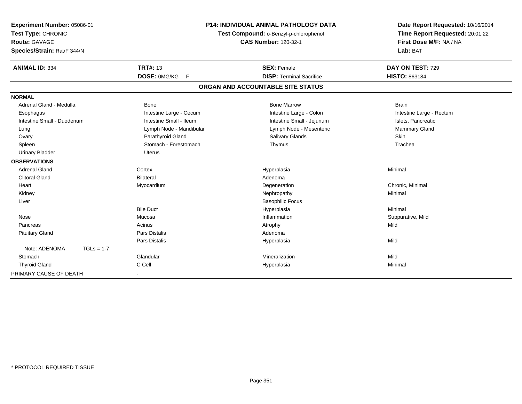| Experiment Number: 05086-01<br>Test Type: CHRONIC |              |                         | <b>P14: INDIVIDUAL ANIMAL PATHOLOGY DATA</b> | Date Report Requested: 10/16/2014 |
|---------------------------------------------------|--------------|-------------------------|----------------------------------------------|-----------------------------------|
|                                                   |              |                         | Test Compound: o-Benzyl-p-chlorophenol       | Time Report Requested: 20:01:22   |
| <b>Route: GAVAGE</b>                              |              |                         | <b>CAS Number: 120-32-1</b>                  | First Dose M/F: NA / NA           |
| Species/Strain: Rat/F 344/N                       |              |                         |                                              | Lab: BAT                          |
| <b>ANIMAL ID: 334</b>                             |              | <b>TRT#: 13</b>         | <b>SEX: Female</b>                           | DAY ON TEST: 729                  |
|                                                   |              | DOSE: 0MG/KG<br>F       | <b>DISP: Terminal Sacrifice</b>              | HISTO: 863184                     |
|                                                   |              |                         | ORGAN AND ACCOUNTABLE SITE STATUS            |                                   |
| <b>NORMAL</b>                                     |              |                         |                                              |                                   |
| Adrenal Gland - Medulla                           |              | Bone                    | <b>Bone Marrow</b>                           | <b>Brain</b>                      |
| Esophagus                                         |              | Intestine Large - Cecum | Intestine Large - Colon                      | Intestine Large - Rectum          |
| Intestine Small - Duodenum                        |              | Intestine Small - Ileum | Intestine Small - Jejunum                    | Islets, Pancreatic                |
| Lung                                              |              | Lymph Node - Mandibular | Lymph Node - Mesenteric                      | <b>Mammary Gland</b>              |
| Ovary                                             |              | Parathyroid Gland       | <b>Salivary Glands</b>                       | Skin                              |
| Spleen                                            |              | Stomach - Forestomach   | Thymus                                       | Trachea                           |
| <b>Urinary Bladder</b>                            |              | <b>Uterus</b>           |                                              |                                   |
| <b>OBSERVATIONS</b>                               |              |                         |                                              |                                   |
| <b>Adrenal Gland</b>                              |              | Cortex                  | Hyperplasia                                  | Minimal                           |
| <b>Clitoral Gland</b>                             |              | <b>Bilateral</b>        | Adenoma                                      |                                   |
| Heart                                             |              | Myocardium              | Degeneration                                 | Chronic, Minimal                  |
| Kidney                                            |              |                         | Nephropathy                                  | Minimal                           |
| Liver                                             |              |                         | <b>Basophilic Focus</b>                      |                                   |
|                                                   |              | <b>Bile Duct</b>        | Hyperplasia                                  | Minimal                           |
| Nose                                              |              | Mucosa                  | Inflammation                                 | Suppurative, Mild                 |
| Pancreas                                          |              | Acinus                  | Atrophy                                      | Mild                              |
| <b>Pituitary Gland</b>                            |              | <b>Pars Distalis</b>    | Adenoma                                      |                                   |
|                                                   |              | <b>Pars Distalis</b>    | Hyperplasia                                  | Mild                              |
| Note: ADENOMA                                     | $TGLs = 1-7$ |                         |                                              |                                   |
| Stomach                                           |              | Glandular               | Mineralization                               | Mild                              |
| <b>Thyroid Gland</b>                              |              | C Cell                  | Hyperplasia                                  | Minimal                           |
| PRIMARY CAUSE OF DEATH                            |              |                         |                                              |                                   |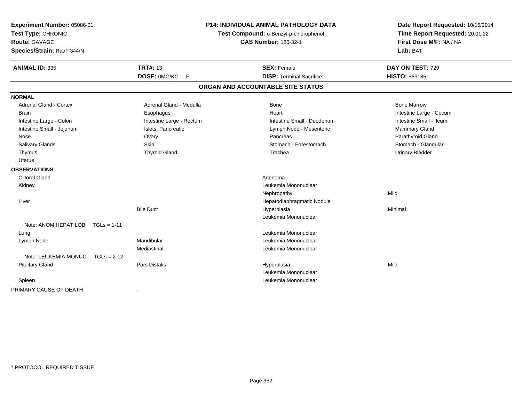| Experiment Number: 05086-01<br>Test Type: CHRONIC<br><b>Route: GAVAGE</b><br>Species/Strain: Rat/F 344/N |                          | <b>P14: INDIVIDUAL ANIMAL PATHOLOGY DATA</b><br>Test Compound: o-Benzyl-p-chlorophenol<br><b>CAS Number: 120-32-1</b> |                                   | Date Report Requested: 10/16/2014<br>Time Report Requested: 20:01:22<br>First Dose M/F: NA / NA<br>Lab: BAT |
|----------------------------------------------------------------------------------------------------------|--------------------------|-----------------------------------------------------------------------------------------------------------------------|-----------------------------------|-------------------------------------------------------------------------------------------------------------|
| <b>ANIMAL ID: 335</b>                                                                                    | <b>TRT#: 13</b>          |                                                                                                                       | <b>SEX: Female</b>                | DAY ON TEST: 729                                                                                            |
|                                                                                                          | DOSE: 0MG/KG             | F                                                                                                                     | <b>DISP: Terminal Sacrifice</b>   | HISTO: 863185                                                                                               |
|                                                                                                          |                          |                                                                                                                       | ORGAN AND ACCOUNTABLE SITE STATUS |                                                                                                             |
| <b>NORMAL</b>                                                                                            |                          |                                                                                                                       |                                   |                                                                                                             |
| <b>Adrenal Gland - Cortex</b>                                                                            | Adrenal Gland - Medulla  |                                                                                                                       | Bone                              | <b>Bone Marrow</b>                                                                                          |
| <b>Brain</b>                                                                                             | Esophagus                |                                                                                                                       | Heart                             | Intestine Large - Cecum                                                                                     |
| Intestine Large - Colon                                                                                  | Intestine Large - Rectum |                                                                                                                       | Intestine Small - Duodenum        | Intestine Small - Ileum                                                                                     |
| Intestine Small - Jejunum                                                                                | Islets, Pancreatic       |                                                                                                                       | Lymph Node - Mesenteric           | Mammary Gland                                                                                               |
| Nose                                                                                                     | Ovary                    |                                                                                                                       | Pancreas                          | Parathyroid Gland                                                                                           |
| Salivary Glands                                                                                          | Skin                     |                                                                                                                       | Stomach - Forestomach             | Stomach - Glandular                                                                                         |
| Thymus                                                                                                   | <b>Thyroid Gland</b>     |                                                                                                                       | Trachea                           | <b>Urinary Bladder</b>                                                                                      |
| <b>Uterus</b>                                                                                            |                          |                                                                                                                       |                                   |                                                                                                             |
| <b>OBSERVATIONS</b>                                                                                      |                          |                                                                                                                       |                                   |                                                                                                             |
| <b>Clitoral Gland</b>                                                                                    |                          |                                                                                                                       | Adenoma                           |                                                                                                             |
| Kidney                                                                                                   |                          |                                                                                                                       | Leukemia Mononuclear              |                                                                                                             |
|                                                                                                          |                          |                                                                                                                       | Nephropathy                       | Mild                                                                                                        |
| Liver                                                                                                    |                          |                                                                                                                       | Hepatodiaphragmatic Nodule        |                                                                                                             |
|                                                                                                          | <b>Bile Duct</b>         |                                                                                                                       | Hyperplasia                       | Minimal                                                                                                     |
|                                                                                                          |                          |                                                                                                                       | Leukemia Mononuclear              |                                                                                                             |
| Note: ANOM HEPAT LOB TGLs = 1-11                                                                         |                          |                                                                                                                       |                                   |                                                                                                             |
| Lung                                                                                                     |                          |                                                                                                                       | Leukemia Mononuclear              |                                                                                                             |
| Lymph Node                                                                                               | Mandibular               |                                                                                                                       | Leukemia Mononuclear              |                                                                                                             |
|                                                                                                          | Mediastinal              |                                                                                                                       | Leukemia Mononuclear              |                                                                                                             |
| Note: LEUKEMIA MONUC                                                                                     | $TGLs = 2-12$            |                                                                                                                       |                                   |                                                                                                             |
| <b>Pituitary Gland</b>                                                                                   | <b>Pars Distalis</b>     |                                                                                                                       | Hyperplasia                       | Mild                                                                                                        |
|                                                                                                          |                          |                                                                                                                       | Leukemia Mononuclear              |                                                                                                             |
| Spleen                                                                                                   |                          |                                                                                                                       | Leukemia Mononuclear              |                                                                                                             |
| PRIMARY CAUSE OF DEATH                                                                                   | $\blacksquare$           |                                                                                                                       |                                   |                                                                                                             |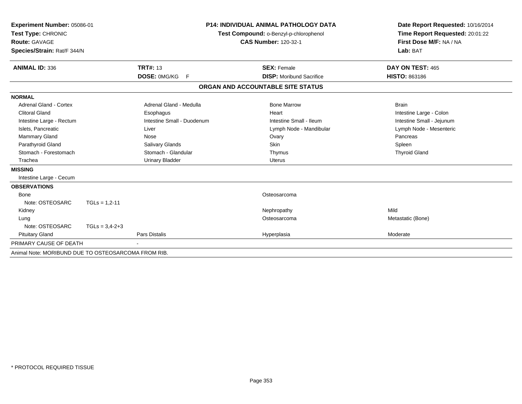| Experiment Number: 05086-01<br>Test Type: CHRONIC<br>Route: GAVAGE<br>Species/Strain: Rat/F 344/N |                      |                            | <b>P14: INDIVIDUAL ANIMAL PATHOLOGY DATA</b><br>Test Compound: o-Benzyl-p-chlorophenol<br><b>CAS Number: 120-32-1</b> | Date Report Requested: 10/16/2014<br>Time Report Requested: 20:01:22<br>First Dose M/F: NA / NA<br>Lab: BAT |  |
|---------------------------------------------------------------------------------------------------|----------------------|----------------------------|-----------------------------------------------------------------------------------------------------------------------|-------------------------------------------------------------------------------------------------------------|--|
| <b>ANIMAL ID: 336</b>                                                                             |                      | <b>TRT#: 13</b>            | <b>SEX: Female</b>                                                                                                    | DAY ON TEST: 465                                                                                            |  |
|                                                                                                   |                      | DOSE: 0MG/KG F             | <b>DISP:</b> Moribund Sacrifice                                                                                       | <b>HISTO: 863186</b>                                                                                        |  |
|                                                                                                   |                      |                            | ORGAN AND ACCOUNTABLE SITE STATUS                                                                                     |                                                                                                             |  |
| <b>NORMAL</b>                                                                                     |                      |                            |                                                                                                                       |                                                                                                             |  |
| Adrenal Gland - Cortex                                                                            |                      | Adrenal Gland - Medulla    | <b>Bone Marrow</b>                                                                                                    | <b>Brain</b>                                                                                                |  |
| <b>Clitoral Gland</b>                                                                             |                      | Esophagus                  | Heart                                                                                                                 | Intestine Large - Colon                                                                                     |  |
| Intestine Large - Rectum                                                                          |                      | Intestine Small - Duodenum | Intestine Small - Ileum                                                                                               | Intestine Small - Jejunum                                                                                   |  |
| Islets, Pancreatic                                                                                |                      | Liver                      | Lymph Node - Mandibular                                                                                               | Lymph Node - Mesenteric                                                                                     |  |
| Mammary Gland                                                                                     |                      | <b>Nose</b>                | Ovary                                                                                                                 | Pancreas                                                                                                    |  |
| Parathyroid Gland                                                                                 |                      | Salivary Glands            | <b>Skin</b>                                                                                                           | Spleen                                                                                                      |  |
| Stomach - Forestomach                                                                             |                      | Stomach - Glandular        | Thymus                                                                                                                | <b>Thyroid Gland</b>                                                                                        |  |
| Trachea                                                                                           |                      | <b>Urinary Bladder</b>     | <b>Uterus</b>                                                                                                         |                                                                                                             |  |
| <b>MISSING</b>                                                                                    |                      |                            |                                                                                                                       |                                                                                                             |  |
| Intestine Large - Cecum                                                                           |                      |                            |                                                                                                                       |                                                                                                             |  |
| <b>OBSERVATIONS</b>                                                                               |                      |                            |                                                                                                                       |                                                                                                             |  |
| Bone                                                                                              |                      |                            | Osteosarcoma                                                                                                          |                                                                                                             |  |
| Note: OSTEOSARC                                                                                   | $TGLs = 1,2-11$      |                            |                                                                                                                       |                                                                                                             |  |
| Kidney                                                                                            |                      |                            | Nephropathy                                                                                                           | Mild                                                                                                        |  |
| Lung                                                                                              |                      |                            | Osteosarcoma                                                                                                          | Metastatic (Bone)                                                                                           |  |
| Note: OSTEOSARC                                                                                   | $TGLs = 3.4 - 2 + 3$ |                            |                                                                                                                       |                                                                                                             |  |
| <b>Pituitary Gland</b>                                                                            |                      | <b>Pars Distalis</b>       | Hyperplasia                                                                                                           | Moderate                                                                                                    |  |
| PRIMARY CAUSE OF DEATH                                                                            |                      |                            |                                                                                                                       |                                                                                                             |  |
| Animal Note: MORIBUND DUE TO OSTEOSARCOMA FROM RIB.                                               |                      |                            |                                                                                                                       |                                                                                                             |  |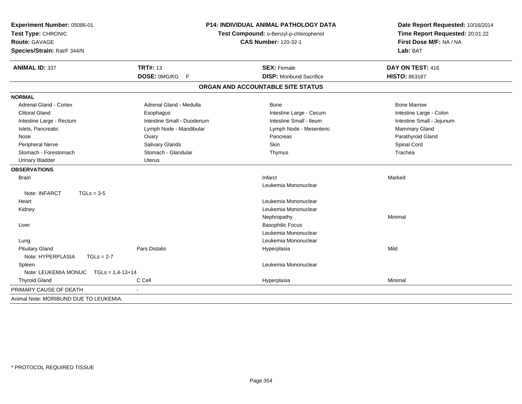| Experiment Number: 05086-01<br>Test Type: CHRONIC<br><b>Route: GAVAGE</b><br>Species/Strain: Rat/F 344/N |                            | <b>P14: INDIVIDUAL ANIMAL PATHOLOGY DATA</b><br>Test Compound: o-Benzyl-p-chlorophenol<br><b>CAS Number: 120-32-1</b> |                           |
|----------------------------------------------------------------------------------------------------------|----------------------------|-----------------------------------------------------------------------------------------------------------------------|---------------------------|
| <b>ANIMAL ID: 337</b>                                                                                    | <b>TRT#: 13</b>            | <b>SEX: Female</b>                                                                                                    | DAY ON TEST: 416          |
|                                                                                                          | DOSE: 0MG/KG F             | <b>DISP:</b> Moribund Sacrifice                                                                                       | HISTO: 863187             |
|                                                                                                          |                            | ORGAN AND ACCOUNTABLE SITE STATUS                                                                                     |                           |
| <b>NORMAL</b>                                                                                            |                            |                                                                                                                       |                           |
| Adrenal Gland - Cortex                                                                                   | Adrenal Gland - Medulla    | Bone                                                                                                                  | <b>Bone Marrow</b>        |
| <b>Clitoral Gland</b>                                                                                    | Esophagus                  | Intestine Large - Cecum                                                                                               | Intestine Large - Colon   |
| Intestine Large - Rectum                                                                                 | Intestine Small - Duodenum | Intestine Small - Ileum                                                                                               | Intestine Small - Jejunum |
| Islets, Pancreatic                                                                                       | Lymph Node - Mandibular    | Lymph Node - Mesenteric                                                                                               | Mammary Gland             |
| Nose                                                                                                     | Ovary                      | Pancreas                                                                                                              | Parathyroid Gland         |
| <b>Peripheral Nerve</b>                                                                                  | Salivary Glands            | Skin                                                                                                                  | Spinal Cord               |
| Stomach - Forestomach                                                                                    | Stomach - Glandular        | Thymus                                                                                                                | Trachea                   |
| <b>Urinary Bladder</b>                                                                                   | <b>Uterus</b>              |                                                                                                                       |                           |
| <b>OBSERVATIONS</b>                                                                                      |                            |                                                                                                                       |                           |
| <b>Brain</b>                                                                                             |                            | Infarct                                                                                                               | Marked                    |
|                                                                                                          |                            | Leukemia Mononuclear                                                                                                  |                           |
| Note: INFARCT<br>$TGLs = 3-5$                                                                            |                            |                                                                                                                       |                           |
| Heart                                                                                                    |                            | Leukemia Mononuclear                                                                                                  |                           |
| Kidney                                                                                                   |                            | Leukemia Mononuclear                                                                                                  |                           |
|                                                                                                          |                            | Nephropathy                                                                                                           | Minimal                   |
| Liver                                                                                                    |                            | <b>Basophilic Focus</b>                                                                                               |                           |
|                                                                                                          |                            | Leukemia Mononuclear                                                                                                  |                           |
| Lung                                                                                                     |                            | Leukemia Mononuclear                                                                                                  |                           |
| <b>Pituitary Gland</b>                                                                                   | <b>Pars Distalis</b>       | Hyperplasia                                                                                                           | Mild                      |
| Note: HYPERPLASIA<br>$TGLs = 2-7$                                                                        |                            |                                                                                                                       |                           |
| Spleen                                                                                                   |                            | Leukemia Mononuclear                                                                                                  |                           |
| Note: LEUKEMIA MONUC<br>$TGLs = 1,4-13+14$                                                               |                            |                                                                                                                       |                           |
| <b>Thyroid Gland</b>                                                                                     | C Cell                     | Hyperplasia                                                                                                           | Minimal                   |
| PRIMARY CAUSE OF DEATH                                                                                   |                            |                                                                                                                       |                           |
| Animal Note: MORIBUND DUE TO LEUKEMIA.                                                                   |                            |                                                                                                                       |                           |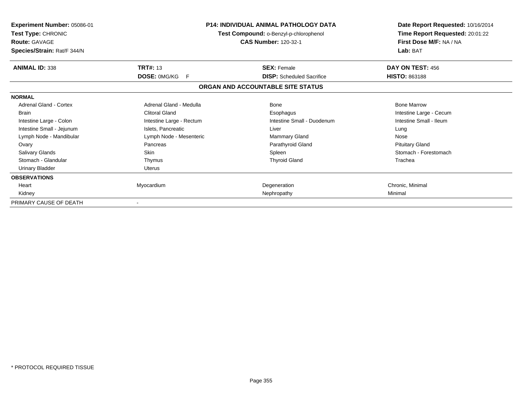| <b>Experiment Number: 05086-01</b><br>Test Type: CHRONIC<br><b>Route: GAVAGE</b><br>Species/Strain: Rat/F 344/N |                          | P14: INDIVIDUAL ANIMAL PATHOLOGY DATA<br>Test Compound: o-Benzyl-p-chlorophenol<br><b>CAS Number: 120-32-1</b> | Date Report Requested: 10/16/2014<br>Time Report Requested: 20:01:22<br>First Dose M/F: NA / NA<br>Lab: BAT |
|-----------------------------------------------------------------------------------------------------------------|--------------------------|----------------------------------------------------------------------------------------------------------------|-------------------------------------------------------------------------------------------------------------|
| <b>ANIMAL ID: 338</b>                                                                                           | <b>TRT#: 13</b>          | <b>SEX: Female</b>                                                                                             | DAY ON TEST: 456                                                                                            |
|                                                                                                                 | DOSE: 0MG/KG<br>F        | <b>DISP:</b> Scheduled Sacrifice                                                                               | <b>HISTO: 863188</b>                                                                                        |
|                                                                                                                 |                          | ORGAN AND ACCOUNTABLE SITE STATUS                                                                              |                                                                                                             |
| <b>NORMAL</b>                                                                                                   |                          |                                                                                                                |                                                                                                             |
| Adrenal Gland - Cortex                                                                                          | Adrenal Gland - Medulla  | Bone                                                                                                           | <b>Bone Marrow</b>                                                                                          |
| <b>Brain</b>                                                                                                    | <b>Clitoral Gland</b>    | Esophagus                                                                                                      | Intestine Large - Cecum                                                                                     |
| Intestine Large - Colon                                                                                         | Intestine Large - Rectum | Intestine Small - Duodenum                                                                                     | Intestine Small - Ileum                                                                                     |
| Intestine Small - Jejunum                                                                                       | Islets, Pancreatic       | Liver                                                                                                          | Lung                                                                                                        |
| Lymph Node - Mandibular                                                                                         | Lymph Node - Mesenteric  | Mammary Gland                                                                                                  | Nose                                                                                                        |
| Ovary                                                                                                           | Pancreas                 | Parathyroid Gland                                                                                              | <b>Pituitary Gland</b>                                                                                      |
| Salivary Glands                                                                                                 | Skin                     | Spleen                                                                                                         | Stomach - Forestomach                                                                                       |
| Stomach - Glandular                                                                                             | Thymus                   | <b>Thyroid Gland</b>                                                                                           | Trachea                                                                                                     |
| <b>Urinary Bladder</b>                                                                                          | <b>Uterus</b>            |                                                                                                                |                                                                                                             |
| <b>OBSERVATIONS</b>                                                                                             |                          |                                                                                                                |                                                                                                             |
| Heart                                                                                                           | Myocardium               | Degeneration                                                                                                   | Chronic, Minimal                                                                                            |
| Kidney                                                                                                          |                          | Nephropathy                                                                                                    | Minimal                                                                                                     |
| PRIMARY CAUSE OF DEATH                                                                                          |                          |                                                                                                                |                                                                                                             |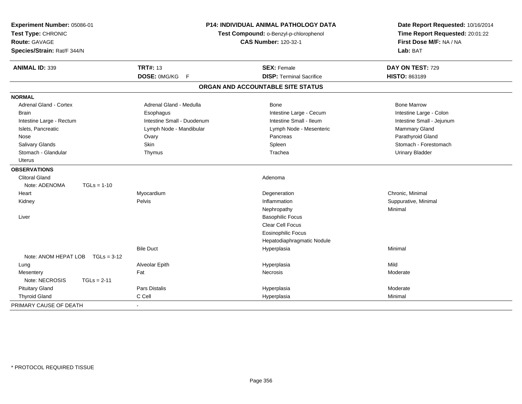| Experiment Number: 05086-01<br>Test Type: CHRONIC<br>Route: GAVAGE<br>Species/Strain: Rat/F 344/N |                            | P14: INDIVIDUAL ANIMAL PATHOLOGY DATA<br>Test Compound: o-Benzyl-p-chlorophenol<br><b>CAS Number: 120-32-1</b> | Date Report Requested: 10/16/2014<br>Time Report Requested: 20:01:22<br>First Dose M/F: NA / NA<br>Lab: BAT |
|---------------------------------------------------------------------------------------------------|----------------------------|----------------------------------------------------------------------------------------------------------------|-------------------------------------------------------------------------------------------------------------|
| <b>ANIMAL ID: 339</b>                                                                             | <b>TRT#: 13</b>            | <b>SEX: Female</b>                                                                                             | DAY ON TEST: 729                                                                                            |
|                                                                                                   | DOSE: 0MG/KG<br>E          | <b>DISP: Terminal Sacrifice</b>                                                                                | HISTO: 863189                                                                                               |
|                                                                                                   |                            | ORGAN AND ACCOUNTABLE SITE STATUS                                                                              |                                                                                                             |
| <b>NORMAL</b>                                                                                     |                            |                                                                                                                |                                                                                                             |
| <b>Adrenal Gland - Cortex</b>                                                                     | Adrenal Gland - Medulla    | Bone                                                                                                           | <b>Bone Marrow</b>                                                                                          |
| Brain                                                                                             | Esophagus                  | Intestine Large - Cecum                                                                                        | Intestine Large - Colon                                                                                     |
| Intestine Large - Rectum                                                                          | Intestine Small - Duodenum | Intestine Small - Ileum                                                                                        | Intestine Small - Jejunum                                                                                   |
| Islets, Pancreatic                                                                                | Lymph Node - Mandibular    | Lymph Node - Mesenteric                                                                                        | Mammary Gland                                                                                               |
| Nose                                                                                              | Ovary                      | Pancreas                                                                                                       | Parathyroid Gland                                                                                           |
| Salivary Glands                                                                                   | Skin                       | Spleen                                                                                                         | Stomach - Forestomach                                                                                       |
| Stomach - Glandular                                                                               | Thymus                     | Trachea                                                                                                        | <b>Urinary Bladder</b>                                                                                      |
| <b>Uterus</b>                                                                                     |                            |                                                                                                                |                                                                                                             |
| <b>OBSERVATIONS</b>                                                                               |                            |                                                                                                                |                                                                                                             |
| <b>Clitoral Gland</b>                                                                             |                            | Adenoma                                                                                                        |                                                                                                             |
| Note: ADENOMA<br>$TGLs = 1-10$                                                                    |                            |                                                                                                                |                                                                                                             |
| Heart                                                                                             | Myocardium                 | Degeneration                                                                                                   | Chronic, Minimal                                                                                            |
| Kidney                                                                                            | Pelvis                     | Inflammation                                                                                                   | Suppurative, Minimal                                                                                        |
|                                                                                                   |                            | Nephropathy                                                                                                    | Minimal                                                                                                     |
| Liver                                                                                             |                            | <b>Basophilic Focus</b>                                                                                        |                                                                                                             |
|                                                                                                   |                            | Clear Cell Focus                                                                                               |                                                                                                             |
|                                                                                                   |                            | <b>Eosinophilic Focus</b>                                                                                      |                                                                                                             |
|                                                                                                   |                            | Hepatodiaphragmatic Nodule                                                                                     |                                                                                                             |
|                                                                                                   | <b>Bile Duct</b>           | Hyperplasia                                                                                                    | Minimal                                                                                                     |
| Note: ANOM HEPAT LOB<br>$TGLs = 3-12$                                                             |                            |                                                                                                                |                                                                                                             |
| Lung                                                                                              | Alveolar Epith             | Hyperplasia                                                                                                    | Mild                                                                                                        |
| Mesentery                                                                                         | Fat                        | <b>Necrosis</b>                                                                                                | Moderate                                                                                                    |
| Note: NECROSIS<br>$TGLs = 2-11$                                                                   |                            |                                                                                                                |                                                                                                             |
| <b>Pituitary Gland</b>                                                                            | <b>Pars Distalis</b>       | Hyperplasia                                                                                                    | Moderate                                                                                                    |
| <b>Thyroid Gland</b>                                                                              | C Cell                     | Hyperplasia                                                                                                    | Minimal                                                                                                     |
| PRIMARY CAUSE OF DEATH                                                                            | $\sim$                     |                                                                                                                |                                                                                                             |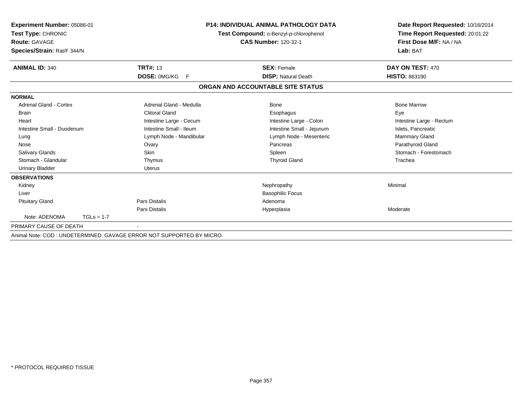| Experiment Number: 05086-01<br>Test Type: CHRONIC<br><b>Route: GAVAGE</b><br>Species/Strain: Rat/F 344/N |                                                                      | <b>P14: INDIVIDUAL ANIMAL PATHOLOGY DATA</b><br>Test Compound: o-Benzyl-p-chlorophenol<br><b>CAS Number: 120-32-1</b> | Date Report Requested: 10/16/2014<br>Time Report Requested: 20:01:22<br>First Dose M/F: NA / NA<br>Lab: BAT |
|----------------------------------------------------------------------------------------------------------|----------------------------------------------------------------------|-----------------------------------------------------------------------------------------------------------------------|-------------------------------------------------------------------------------------------------------------|
| <b>ANIMAL ID: 340</b>                                                                                    | <b>TRT#: 13</b>                                                      | <b>SEX: Female</b>                                                                                                    | DAY ON TEST: 470                                                                                            |
|                                                                                                          | DOSE: 0MG/KG<br>F                                                    | <b>DISP: Natural Death</b>                                                                                            | HISTO: 863190                                                                                               |
|                                                                                                          |                                                                      | ORGAN AND ACCOUNTABLE SITE STATUS                                                                                     |                                                                                                             |
| <b>NORMAL</b>                                                                                            |                                                                      |                                                                                                                       |                                                                                                             |
| <b>Adrenal Gland - Cortex</b>                                                                            | Adrenal Gland - Medulla                                              | <b>Bone</b>                                                                                                           | <b>Bone Marrow</b>                                                                                          |
| <b>Brain</b>                                                                                             | <b>Clitoral Gland</b>                                                | Esophagus                                                                                                             | Eye                                                                                                         |
| Heart                                                                                                    | Intestine Large - Cecum                                              | Intestine Large - Colon                                                                                               | Intestine Large - Rectum                                                                                    |
| Intestine Small - Duodenum                                                                               | Intestine Small - Ileum                                              | Intestine Small - Jejunum                                                                                             | Islets, Pancreatic                                                                                          |
| Lung                                                                                                     | Lymph Node - Mandibular                                              | Lymph Node - Mesenteric                                                                                               | <b>Mammary Gland</b>                                                                                        |
| Nose                                                                                                     | Ovary                                                                | Pancreas                                                                                                              | Parathyroid Gland                                                                                           |
| <b>Salivary Glands</b>                                                                                   | <b>Skin</b>                                                          | Spleen                                                                                                                | Stomach - Forestomach                                                                                       |
| Stomach - Glandular                                                                                      | Thymus                                                               | <b>Thyroid Gland</b>                                                                                                  | Trachea                                                                                                     |
| <b>Urinary Bladder</b>                                                                                   | Uterus                                                               |                                                                                                                       |                                                                                                             |
| <b>OBSERVATIONS</b>                                                                                      |                                                                      |                                                                                                                       |                                                                                                             |
| Kidney                                                                                                   |                                                                      | Nephropathy                                                                                                           | Minimal                                                                                                     |
| Liver                                                                                                    |                                                                      | <b>Basophilic Focus</b>                                                                                               |                                                                                                             |
| <b>Pituitary Gland</b>                                                                                   | <b>Pars Distalis</b>                                                 | Adenoma                                                                                                               |                                                                                                             |
|                                                                                                          | <b>Pars Distalis</b>                                                 | Hyperplasia                                                                                                           | Moderate                                                                                                    |
| Note: ADENOMA<br>$TGLs = 1-7$                                                                            |                                                                      |                                                                                                                       |                                                                                                             |
| PRIMARY CAUSE OF DEATH                                                                                   |                                                                      |                                                                                                                       |                                                                                                             |
|                                                                                                          | Animal Note: COD: UNDETERMINED, GAVAGE ERROR NOT SUPPORTED BY MICRO. |                                                                                                                       |                                                                                                             |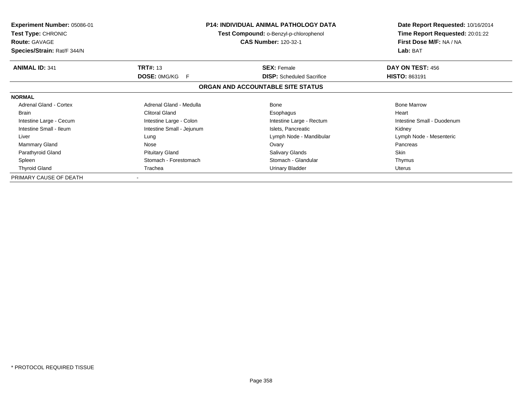| <b>Experiment Number: 05086-01</b><br><b>Test Type: CHRONIC</b><br><b>Route: GAVAGE</b><br>Species/Strain: Rat/F 344/N |                            | <b>P14: INDIVIDUAL ANIMAL PATHOLOGY DATA</b><br><b>Test Compound: o-Benzyl-p-chlorophenol</b><br><b>CAS Number: 120-32-1</b> | Date Report Requested: 10/16/2014<br>Time Report Requested: 20:01:22<br>First Dose M/F: NA / NA<br>Lab: BAT |  |
|------------------------------------------------------------------------------------------------------------------------|----------------------------|------------------------------------------------------------------------------------------------------------------------------|-------------------------------------------------------------------------------------------------------------|--|
| <b>ANIMAL ID: 341</b>                                                                                                  | <b>TRT#: 13</b>            | <b>SEX: Female</b>                                                                                                           | DAY ON TEST: 456                                                                                            |  |
|                                                                                                                        | <b>DOSE: OMG/KG</b><br>- F | <b>DISP:</b> Scheduled Sacrifice                                                                                             | <b>HISTO: 863191</b>                                                                                        |  |
|                                                                                                                        |                            | ORGAN AND ACCOUNTABLE SITE STATUS                                                                                            |                                                                                                             |  |
| <b>NORMAL</b>                                                                                                          |                            |                                                                                                                              |                                                                                                             |  |
| Adrenal Gland - Cortex                                                                                                 | Adrenal Gland - Medulla    | Bone                                                                                                                         | <b>Bone Marrow</b>                                                                                          |  |
| <b>Brain</b>                                                                                                           | <b>Clitoral Gland</b>      | Esophagus                                                                                                                    | Heart                                                                                                       |  |
| Intestine Large - Cecum                                                                                                | Intestine Large - Colon    | Intestine Large - Rectum                                                                                                     | Intestine Small - Duodenum                                                                                  |  |
| Intestine Small - Ileum                                                                                                | Intestine Small - Jejunum  | Islets, Pancreatic                                                                                                           | Kidney                                                                                                      |  |
| Liver                                                                                                                  | Lung                       | Lymph Node - Mandibular                                                                                                      | Lymph Node - Mesenteric                                                                                     |  |
| <b>Mammary Gland</b>                                                                                                   | Nose                       | Ovary                                                                                                                        | Pancreas                                                                                                    |  |
| Parathyroid Gland                                                                                                      | <b>Pituitary Gland</b>     | <b>Salivary Glands</b>                                                                                                       | <b>Skin</b>                                                                                                 |  |
| Spleen                                                                                                                 | Stomach - Forestomach      | Stomach - Glandular                                                                                                          | Thymus                                                                                                      |  |
| <b>Thyroid Gland</b>                                                                                                   | Urinary Bladder<br>Trachea |                                                                                                                              | Uterus                                                                                                      |  |
| PRIMARY CAUSE OF DEATH                                                                                                 |                            |                                                                                                                              |                                                                                                             |  |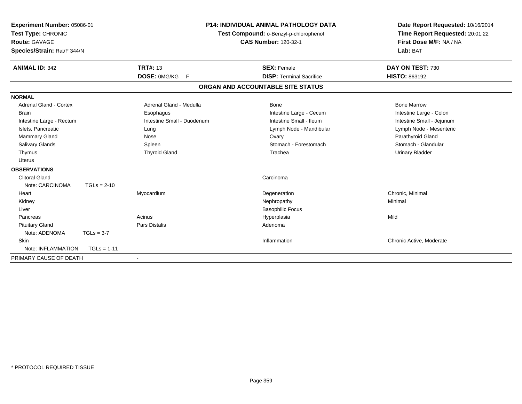| Experiment Number: 05086-01<br>Test Type: CHRONIC<br>Route: GAVAGE<br>Species/Strain: Rat/F 344/N<br><b>ANIMAL ID: 342</b> |               | <b>TRT#: 13</b>            | <b>P14: INDIVIDUAL ANIMAL PATHOLOGY DATA</b><br>Test Compound: o-Benzyl-p-chlorophenol<br><b>CAS Number: 120-32-1</b><br><b>SEX: Female</b> | Date Report Requested: 10/16/2014<br>Time Report Requested: 20:01:22<br>First Dose M/F: NA / NA<br>Lab: BAT<br>DAY ON TEST: 730 |
|----------------------------------------------------------------------------------------------------------------------------|---------------|----------------------------|---------------------------------------------------------------------------------------------------------------------------------------------|---------------------------------------------------------------------------------------------------------------------------------|
|                                                                                                                            |               | DOSE: 0MG/KG F             | <b>DISP: Terminal Sacrifice</b>                                                                                                             | <b>HISTO: 863192</b>                                                                                                            |
|                                                                                                                            |               |                            |                                                                                                                                             |                                                                                                                                 |
|                                                                                                                            |               |                            | ORGAN AND ACCOUNTABLE SITE STATUS                                                                                                           |                                                                                                                                 |
| <b>NORMAL</b>                                                                                                              |               |                            |                                                                                                                                             |                                                                                                                                 |
| <b>Adrenal Gland - Cortex</b>                                                                                              |               | Adrenal Gland - Medulla    | Bone                                                                                                                                        | <b>Bone Marrow</b>                                                                                                              |
| <b>Brain</b>                                                                                                               |               | Esophagus                  | Intestine Large - Cecum                                                                                                                     | Intestine Large - Colon                                                                                                         |
| Intestine Large - Rectum                                                                                                   |               | Intestine Small - Duodenum | Intestine Small - Ileum                                                                                                                     | Intestine Small - Jejunum                                                                                                       |
| Islets, Pancreatic                                                                                                         |               | Lung                       | Lymph Node - Mandibular                                                                                                                     | Lymph Node - Mesenteric                                                                                                         |
| <b>Mammary Gland</b>                                                                                                       |               | Nose                       | Ovary                                                                                                                                       | Parathyroid Gland                                                                                                               |
| <b>Salivary Glands</b>                                                                                                     |               | Spleen                     | Stomach - Forestomach                                                                                                                       | Stomach - Glandular                                                                                                             |
| Thymus                                                                                                                     |               | <b>Thyroid Gland</b>       | Trachea                                                                                                                                     | <b>Urinary Bladder</b>                                                                                                          |
| Uterus                                                                                                                     |               |                            |                                                                                                                                             |                                                                                                                                 |
| <b>OBSERVATIONS</b>                                                                                                        |               |                            |                                                                                                                                             |                                                                                                                                 |
| <b>Clitoral Gland</b>                                                                                                      |               |                            | Carcinoma                                                                                                                                   |                                                                                                                                 |
| Note: CARCINOMA                                                                                                            | $TGLs = 2-10$ |                            |                                                                                                                                             |                                                                                                                                 |
| Heart                                                                                                                      |               | Myocardium                 | Degeneration                                                                                                                                | Chronic, Minimal                                                                                                                |
| Kidney                                                                                                                     |               |                            | Nephropathy                                                                                                                                 | Minimal                                                                                                                         |
| Liver                                                                                                                      |               |                            | <b>Basophilic Focus</b>                                                                                                                     |                                                                                                                                 |
| Pancreas                                                                                                                   |               | Acinus                     | Hyperplasia                                                                                                                                 | Mild                                                                                                                            |
| <b>Pituitary Gland</b>                                                                                                     |               | Pars Distalis              | Adenoma                                                                                                                                     |                                                                                                                                 |
| Note: ADENOMA                                                                                                              | $TGLs = 3-7$  |                            |                                                                                                                                             |                                                                                                                                 |
| <b>Skin</b>                                                                                                                |               |                            | Inflammation                                                                                                                                | Chronic Active, Moderate                                                                                                        |
| Note: INFLAMMATION                                                                                                         | $TGLs = 1-11$ |                            |                                                                                                                                             |                                                                                                                                 |
| PRIMARY CAUSE OF DEATH                                                                                                     |               |                            |                                                                                                                                             |                                                                                                                                 |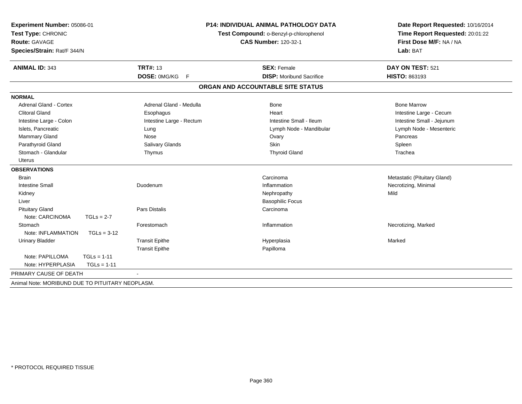| Experiment Number: 05086-01                      |                          | <b>P14: INDIVIDUAL ANIMAL PATHOLOGY DATA</b> | Date Report Requested: 10/16/2014                          |
|--------------------------------------------------|--------------------------|----------------------------------------------|------------------------------------------------------------|
| Test Type: CHRONIC                               |                          | Test Compound: o-Benzyl-p-chlorophenol       | Time Report Requested: 20:01:22<br>First Dose M/F: NA / NA |
| <b>Route: GAVAGE</b>                             |                          | <b>CAS Number: 120-32-1</b>                  |                                                            |
| Species/Strain: Rat/F 344/N                      |                          |                                              | Lab: BAT                                                   |
| <b>ANIMAL ID: 343</b>                            | <b>TRT#: 13</b>          | <b>SEX: Female</b>                           | DAY ON TEST: 521                                           |
|                                                  | DOSE: 0MG/KG F           | <b>DISP:</b> Moribund Sacrifice              | HISTO: 863193                                              |
|                                                  |                          | ORGAN AND ACCOUNTABLE SITE STATUS            |                                                            |
| <b>NORMAL</b>                                    |                          |                                              |                                                            |
| Adrenal Gland - Cortex                           | Adrenal Gland - Medulla  | Bone                                         | <b>Bone Marrow</b>                                         |
| <b>Clitoral Gland</b>                            | Esophagus                | Heart                                        | Intestine Large - Cecum                                    |
| Intestine Large - Colon                          | Intestine Large - Rectum | Intestine Small - Ileum                      | Intestine Small - Jejunum                                  |
| Islets, Pancreatic                               | Lung                     | Lymph Node - Mandibular                      | Lymph Node - Mesenteric                                    |
| Mammary Gland                                    | Nose                     | Ovary                                        | Pancreas                                                   |
| Parathyroid Gland                                | Salivary Glands          | Skin                                         | Spleen                                                     |
| Stomach - Glandular                              | Thymus                   | <b>Thyroid Gland</b>                         | Trachea                                                    |
| <b>Uterus</b>                                    |                          |                                              |                                                            |
| <b>OBSERVATIONS</b>                              |                          |                                              |                                                            |
| <b>Brain</b>                                     |                          | Carcinoma                                    | Metastatic (Pituitary Gland)                               |
| <b>Intestine Small</b>                           | Duodenum                 | Inflammation                                 | Necrotizing, Minimal                                       |
| Kidney                                           |                          | Nephropathy                                  | Mild                                                       |
| Liver                                            |                          | <b>Basophilic Focus</b>                      |                                                            |
| <b>Pituitary Gland</b>                           | <b>Pars Distalis</b>     | Carcinoma                                    |                                                            |
| Note: CARCINOMA<br>$TGLs = 2-7$                  |                          |                                              |                                                            |
| Stomach                                          | Forestomach              | Inflammation                                 | Necrotizing, Marked                                        |
| Note: INFLAMMATION<br>$TGLs = 3-12$              |                          |                                              |                                                            |
| <b>Urinary Bladder</b>                           | <b>Transit Epithe</b>    | Hyperplasia                                  | Marked                                                     |
|                                                  | <b>Transit Epithe</b>    | Papilloma                                    |                                                            |
| Note: PAPILLOMA<br>$TGLs = 1-11$                 |                          |                                              |                                                            |
| Note: HYPERPLASIA<br>$TGLs = 1-11$               |                          |                                              |                                                            |
| PRIMARY CAUSE OF DEATH                           |                          |                                              |                                                            |
| Animal Note: MORIBUND DUE TO PITUITARY NEOPLASM. |                          |                                              |                                                            |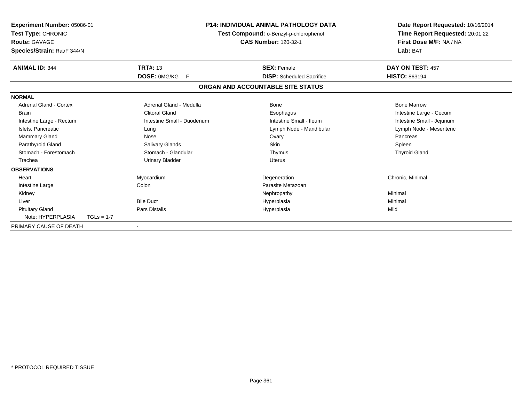| <b>Experiment Number: 05086-01</b><br>Test Type: CHRONIC<br><b>Route: GAVAGE</b><br>Species/Strain: Rat/F 344/N |              |                            | <b>P14: INDIVIDUAL ANIMAL PATHOLOGY DATA</b><br>Test Compound: o-Benzyl-p-chlorophenol<br><b>CAS Number: 120-32-1</b> |                                   | Date Report Requested: 10/16/2014<br>Time Report Requested: 20:01:22<br>First Dose M/F: NA / NA<br>Lab: BAT |
|-----------------------------------------------------------------------------------------------------------------|--------------|----------------------------|-----------------------------------------------------------------------------------------------------------------------|-----------------------------------|-------------------------------------------------------------------------------------------------------------|
| <b>ANIMAL ID: 344</b>                                                                                           |              | <b>TRT#: 13</b>            |                                                                                                                       | <b>SEX: Female</b>                | DAY ON TEST: 457                                                                                            |
|                                                                                                                 |              | <b>DOSE: OMG/KG</b><br>-F  |                                                                                                                       | <b>DISP:</b> Scheduled Sacrifice  | <b>HISTO: 863194</b>                                                                                        |
|                                                                                                                 |              |                            |                                                                                                                       | ORGAN AND ACCOUNTABLE SITE STATUS |                                                                                                             |
| <b>NORMAL</b>                                                                                                   |              |                            |                                                                                                                       |                                   |                                                                                                             |
| Adrenal Gland - Cortex                                                                                          |              | Adrenal Gland - Medulla    |                                                                                                                       | <b>Bone</b>                       | <b>Bone Marrow</b>                                                                                          |
| <b>Brain</b>                                                                                                    |              | <b>Clitoral Gland</b>      |                                                                                                                       | Esophagus                         | Intestine Large - Cecum                                                                                     |
| Intestine Large - Rectum                                                                                        |              | Intestine Small - Duodenum |                                                                                                                       | Intestine Small - Ileum           | Intestine Small - Jejunum                                                                                   |
| Islets, Pancreatic                                                                                              |              | Lung                       |                                                                                                                       | Lymph Node - Mandibular           | Lymph Node - Mesenteric                                                                                     |
| <b>Mammary Gland</b>                                                                                            |              | Nose                       |                                                                                                                       | Ovary                             | Pancreas                                                                                                    |
| Parathyroid Gland                                                                                               |              | <b>Salivary Glands</b>     |                                                                                                                       | Skin                              | Spleen                                                                                                      |
| Stomach - Forestomach                                                                                           |              | Stomach - Glandular        |                                                                                                                       | Thymus                            | <b>Thyroid Gland</b>                                                                                        |
| Trachea                                                                                                         |              | <b>Urinary Bladder</b>     |                                                                                                                       | Uterus                            |                                                                                                             |
| <b>OBSERVATIONS</b>                                                                                             |              |                            |                                                                                                                       |                                   |                                                                                                             |
| Heart                                                                                                           |              | Myocardium                 |                                                                                                                       | Degeneration                      | Chronic, Minimal                                                                                            |
| Intestine Large                                                                                                 |              | Colon                      |                                                                                                                       | Parasite Metazoan                 |                                                                                                             |
| Kidney                                                                                                          |              |                            |                                                                                                                       | Nephropathy                       | Minimal                                                                                                     |
| Liver                                                                                                           |              | <b>Bile Duct</b>           |                                                                                                                       | Hyperplasia                       | Minimal                                                                                                     |
| <b>Pituitary Gland</b>                                                                                          |              | Pars Distalis              |                                                                                                                       | Hyperplasia                       | Mild                                                                                                        |
| Note: HYPERPLASIA                                                                                               | $TGLs = 1-7$ |                            |                                                                                                                       |                                   |                                                                                                             |
| PRIMARY CAUSE OF DEATH                                                                                          |              |                            |                                                                                                                       |                                   |                                                                                                             |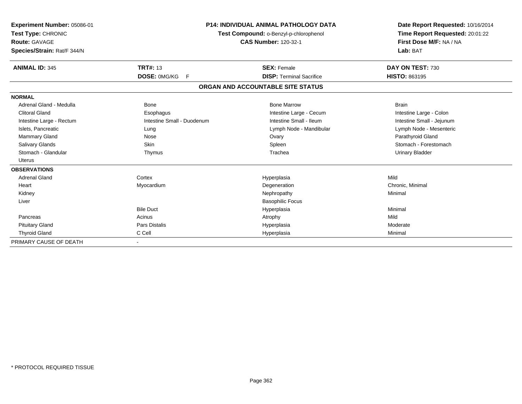| Experiment Number: 05086-01<br>Test Type: CHRONIC<br><b>Route: GAVAGE</b><br>Species/Strain: Rat/F 344/N |                            | <b>P14: INDIVIDUAL ANIMAL PATHOLOGY DATA</b><br>Test Compound: o-Benzyl-p-chlorophenol<br><b>CAS Number: 120-32-1</b> | Date Report Requested: 10/16/2014<br>Time Report Requested: 20:01:22<br>First Dose M/F: NA / NA<br>Lab: BAT |
|----------------------------------------------------------------------------------------------------------|----------------------------|-----------------------------------------------------------------------------------------------------------------------|-------------------------------------------------------------------------------------------------------------|
| <b>ANIMAL ID: 345</b>                                                                                    | <b>TRT#: 13</b>            | <b>SEX: Female</b>                                                                                                    | DAY ON TEST: 730                                                                                            |
|                                                                                                          | DOSE: 0MG/KG<br>- F        | <b>DISP: Terminal Sacrifice</b>                                                                                       | <b>HISTO: 863195</b>                                                                                        |
|                                                                                                          |                            | ORGAN AND ACCOUNTABLE SITE STATUS                                                                                     |                                                                                                             |
| <b>NORMAL</b>                                                                                            |                            |                                                                                                                       |                                                                                                             |
| Adrenal Gland - Medulla                                                                                  | <b>Bone</b>                | <b>Bone Marrow</b>                                                                                                    | <b>Brain</b>                                                                                                |
| <b>Clitoral Gland</b>                                                                                    | Esophagus                  | Intestine Large - Cecum                                                                                               | Intestine Large - Colon                                                                                     |
| Intestine Large - Rectum                                                                                 | Intestine Small - Duodenum | Intestine Small - Ileum                                                                                               | Intestine Small - Jejunum                                                                                   |
| Islets, Pancreatic                                                                                       | Lung                       | Lymph Node - Mandibular                                                                                               | Lymph Node - Mesenteric                                                                                     |
| Mammary Gland                                                                                            | Nose                       | Ovary                                                                                                                 | Parathyroid Gland                                                                                           |
| Salivary Glands                                                                                          | Skin                       | Spleen                                                                                                                | Stomach - Forestomach                                                                                       |
| Stomach - Glandular                                                                                      | Thymus                     | Trachea                                                                                                               | <b>Urinary Bladder</b>                                                                                      |
| Uterus                                                                                                   |                            |                                                                                                                       |                                                                                                             |
| <b>OBSERVATIONS</b>                                                                                      |                            |                                                                                                                       |                                                                                                             |
| <b>Adrenal Gland</b>                                                                                     | Cortex                     | Hyperplasia                                                                                                           | Mild                                                                                                        |
| Heart                                                                                                    | Myocardium                 | Degeneration                                                                                                          | Chronic, Minimal                                                                                            |
| Kidney                                                                                                   |                            | Nephropathy                                                                                                           | Minimal                                                                                                     |
| Liver                                                                                                    |                            | <b>Basophilic Focus</b>                                                                                               |                                                                                                             |
|                                                                                                          | <b>Bile Duct</b>           | Hyperplasia                                                                                                           | Minimal                                                                                                     |
| Pancreas                                                                                                 | Acinus                     | Atrophy                                                                                                               | Mild                                                                                                        |
| <b>Pituitary Gland</b>                                                                                   | Pars Distalis              | Hyperplasia                                                                                                           | Moderate                                                                                                    |
| <b>Thyroid Gland</b>                                                                                     | C Cell                     | Hyperplasia                                                                                                           | Minimal                                                                                                     |
| PRIMARY CAUSE OF DEATH                                                                                   | $\blacksquare$             |                                                                                                                       |                                                                                                             |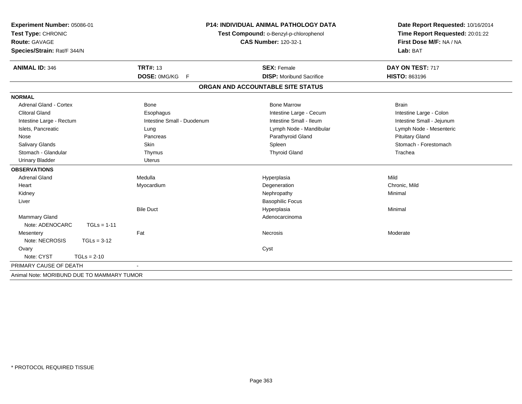| Experiment Number: 05086-01<br>Test Type: CHRONIC<br><b>Route: GAVAGE</b><br>Species/Strain: Rat/F 344/N | <b>P14: INDIVIDUAL ANIMAL PATHOLOGY DATA</b><br>Test Compound: o-Benzyl-p-chlorophenol<br><b>CAS Number: 120-32-1</b> |                                   | Date Report Requested: 10/16/2014<br>Time Report Requested: 20:01:22<br>First Dose M/F: NA / NA<br>Lab: BAT |
|----------------------------------------------------------------------------------------------------------|-----------------------------------------------------------------------------------------------------------------------|-----------------------------------|-------------------------------------------------------------------------------------------------------------|
| <b>TRT#: 13</b><br><b>ANIMAL ID: 346</b>                                                                 |                                                                                                                       | <b>SEX: Female</b>                | DAY ON TEST: 717                                                                                            |
|                                                                                                          | DOSE: 0MG/KG F                                                                                                        | <b>DISP:</b> Moribund Sacrifice   | <b>HISTO: 863196</b>                                                                                        |
|                                                                                                          |                                                                                                                       | ORGAN AND ACCOUNTABLE SITE STATUS |                                                                                                             |
| <b>NORMAL</b>                                                                                            |                                                                                                                       |                                   |                                                                                                             |
| Adrenal Gland - Cortex<br><b>Bone</b>                                                                    |                                                                                                                       | <b>Bone Marrow</b>                | <b>Brain</b>                                                                                                |
| <b>Clitoral Gland</b><br>Esophagus                                                                       |                                                                                                                       | Intestine Large - Cecum           | Intestine Large - Colon                                                                                     |
| Intestine Large - Rectum                                                                                 | Intestine Small - Duodenum                                                                                            | Intestine Small - Ileum           | Intestine Small - Jejunum                                                                                   |
| Islets, Pancreatic<br>Lung                                                                               |                                                                                                                       | Lymph Node - Mandibular           | Lymph Node - Mesenteric                                                                                     |
| Nose<br>Pancreas                                                                                         |                                                                                                                       | Parathyroid Gland                 | <b>Pituitary Gland</b>                                                                                      |
| <b>Salivary Glands</b><br>Skin                                                                           |                                                                                                                       | Spleen                            | Stomach - Forestomach                                                                                       |
| Stomach - Glandular<br>Thymus                                                                            |                                                                                                                       | <b>Thyroid Gland</b>              | Trachea                                                                                                     |
| <b>Urinary Bladder</b><br><b>Uterus</b>                                                                  |                                                                                                                       |                                   |                                                                                                             |
| <b>OBSERVATIONS</b>                                                                                      |                                                                                                                       |                                   |                                                                                                             |
| <b>Adrenal Gland</b><br>Medulla                                                                          |                                                                                                                       | Hyperplasia                       | Mild                                                                                                        |
| Heart<br>Myocardium                                                                                      |                                                                                                                       | Degeneration                      | Chronic, Mild                                                                                               |
| Kidney                                                                                                   |                                                                                                                       | Nephropathy                       | Minimal                                                                                                     |
| Liver                                                                                                    |                                                                                                                       | <b>Basophilic Focus</b>           |                                                                                                             |
| <b>Bile Duct</b>                                                                                         |                                                                                                                       | Hyperplasia                       | Minimal                                                                                                     |
| Mammary Gland                                                                                            |                                                                                                                       | Adenocarcinoma                    |                                                                                                             |
| Note: ADENOCARC<br>$TGLs = 1-11$                                                                         |                                                                                                                       |                                   |                                                                                                             |
| Fat<br>Mesentery                                                                                         |                                                                                                                       | Necrosis                          | Moderate                                                                                                    |
| Note: NECROSIS<br>$TGLs = 3-12$                                                                          |                                                                                                                       |                                   |                                                                                                             |
| Ovary                                                                                                    |                                                                                                                       | Cyst                              |                                                                                                             |
| Note: CYST<br>$TGLs = 2-10$                                                                              |                                                                                                                       |                                   |                                                                                                             |
| PRIMARY CAUSE OF DEATH                                                                                   |                                                                                                                       |                                   |                                                                                                             |
| Animal Note: MORIBUND DUE TO MAMMARY TUMOR                                                               |                                                                                                                       |                                   |                                                                                                             |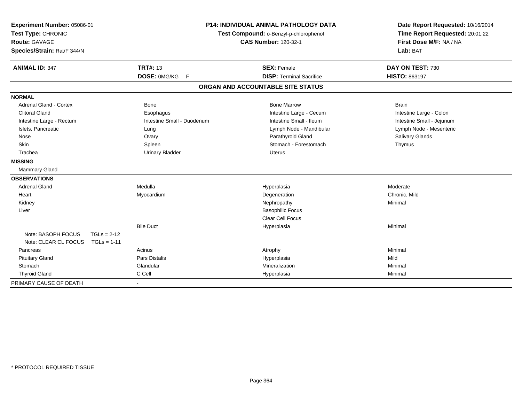| Experiment Number: 05086-01<br>Test Type: CHRONIC |               |                            |                                        | <b>P14: INDIVIDUAL ANIMAL PATHOLOGY DATA</b> |  | Date Report Requested: 10/16/2014 |  |
|---------------------------------------------------|---------------|----------------------------|----------------------------------------|----------------------------------------------|--|-----------------------------------|--|
|                                                   |               |                            | Test Compound: o-Benzyl-p-chlorophenol |                                              |  | Time Report Requested: 20:01:22   |  |
| <b>Route: GAVAGE</b>                              |               |                            | <b>CAS Number: 120-32-1</b>            |                                              |  | First Dose M/F: NA / NA           |  |
| Species/Strain: Rat/F 344/N                       |               |                            |                                        |                                              |  | Lab: BAT                          |  |
| <b>ANIMAL ID: 347</b>                             |               | <b>TRT#: 13</b>            |                                        | <b>SEX: Female</b>                           |  | DAY ON TEST: 730                  |  |
|                                                   |               | DOSE: 0MG/KG F             |                                        | <b>DISP: Terminal Sacrifice</b>              |  | HISTO: 863197                     |  |
|                                                   |               |                            |                                        | ORGAN AND ACCOUNTABLE SITE STATUS            |  |                                   |  |
| <b>NORMAL</b>                                     |               |                            |                                        |                                              |  |                                   |  |
| Adrenal Gland - Cortex                            |               | Bone                       |                                        | <b>Bone Marrow</b>                           |  | <b>Brain</b>                      |  |
| <b>Clitoral Gland</b>                             |               | Esophagus                  |                                        | Intestine Large - Cecum                      |  | Intestine Large - Colon           |  |
| Intestine Large - Rectum                          |               | Intestine Small - Duodenum |                                        | Intestine Small - Ileum                      |  | Intestine Small - Jejunum         |  |
| Islets, Pancreatic                                |               | Lung                       |                                        | Lymph Node - Mandibular                      |  | Lymph Node - Mesenteric           |  |
| Nose                                              |               | Ovary                      |                                        | Parathyroid Gland                            |  | <b>Salivary Glands</b>            |  |
| Skin                                              |               | Spleen                     |                                        | Stomach - Forestomach                        |  | Thymus                            |  |
| Trachea                                           |               | <b>Urinary Bladder</b>     |                                        | Uterus                                       |  |                                   |  |
| <b>MISSING</b>                                    |               |                            |                                        |                                              |  |                                   |  |
| Mammary Gland                                     |               |                            |                                        |                                              |  |                                   |  |
| <b>OBSERVATIONS</b>                               |               |                            |                                        |                                              |  |                                   |  |
| <b>Adrenal Gland</b>                              |               | Medulla                    |                                        | Hyperplasia                                  |  | Moderate                          |  |
| Heart                                             |               | Myocardium                 |                                        | Degeneration                                 |  | Chronic, Mild                     |  |
| Kidney                                            |               |                            |                                        | Nephropathy                                  |  | Minimal                           |  |
| Liver                                             |               |                            |                                        | <b>Basophilic Focus</b>                      |  |                                   |  |
|                                                   |               |                            |                                        | <b>Clear Cell Focus</b>                      |  |                                   |  |
|                                                   |               | <b>Bile Duct</b>           |                                        | Hyperplasia                                  |  | Minimal                           |  |
| Note: BASOPH FOCUS                                | $TGLs = 2-12$ |                            |                                        |                                              |  |                                   |  |
| Note: CLEAR CL FOCUS                              | $TGLs = 1-11$ |                            |                                        |                                              |  |                                   |  |
| Pancreas                                          |               | Acinus                     |                                        | Atrophy                                      |  | Minimal                           |  |
| <b>Pituitary Gland</b>                            |               | <b>Pars Distalis</b>       |                                        | Hyperplasia                                  |  | Mild                              |  |
| Stomach                                           |               | Glandular                  |                                        | Mineralization                               |  | Minimal                           |  |
| <b>Thyroid Gland</b>                              |               | C Cell                     |                                        | Hyperplasia                                  |  | Minimal                           |  |
| PRIMARY CAUSE OF DEATH                            |               |                            |                                        |                                              |  |                                   |  |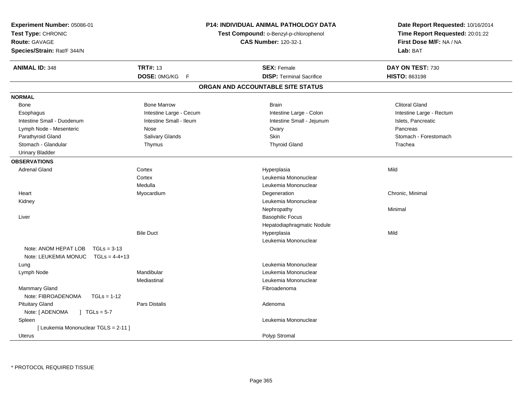| Experiment Number: 05086-01<br>Test Type: CHRONIC<br><b>Route: GAVAGE</b><br>Species/Strain: Rat/F 344/N |                              | <b>P14: INDIVIDUAL ANIMAL PATHOLOGY DATA</b><br>Test Compound: o-Benzyl-p-chlorophenol<br><b>CAS Number: 120-32-1</b> | Date Report Requested: 10/16/2014<br>Time Report Requested: 20:01:22<br>First Dose M/F: NA / NA<br>Lab: BAT |
|----------------------------------------------------------------------------------------------------------|------------------------------|-----------------------------------------------------------------------------------------------------------------------|-------------------------------------------------------------------------------------------------------------|
| <b>ANIMAL ID: 348</b>                                                                                    | <b>TRT#: 13</b>              | <b>SEX: Female</b>                                                                                                    | DAY ON TEST: 730                                                                                            |
|                                                                                                          | DOSE: 0MG/KG<br>$\mathsf{F}$ | <b>DISP: Terminal Sacrifice</b>                                                                                       | <b>HISTO: 863198</b>                                                                                        |
|                                                                                                          |                              | ORGAN AND ACCOUNTABLE SITE STATUS                                                                                     |                                                                                                             |
| <b>NORMAL</b>                                                                                            |                              |                                                                                                                       |                                                                                                             |
| Bone                                                                                                     | <b>Bone Marrow</b>           | <b>Brain</b>                                                                                                          | <b>Clitoral Gland</b>                                                                                       |
| Esophagus                                                                                                | Intestine Large - Cecum      | Intestine Large - Colon                                                                                               | Intestine Large - Rectum                                                                                    |
| Intestine Small - Duodenum                                                                               | Intestine Small - Ileum      | Intestine Small - Jejunum                                                                                             | Islets, Pancreatic                                                                                          |
| Lymph Node - Mesenteric                                                                                  | Nose                         | Ovary                                                                                                                 | Pancreas                                                                                                    |
| Parathyroid Gland                                                                                        | Salivary Glands              | <b>Skin</b>                                                                                                           | Stomach - Forestomach                                                                                       |
| Stomach - Glandular                                                                                      | Thymus                       | <b>Thyroid Gland</b>                                                                                                  | Trachea                                                                                                     |
| <b>Urinary Bladder</b>                                                                                   |                              |                                                                                                                       |                                                                                                             |
| <b>OBSERVATIONS</b>                                                                                      |                              |                                                                                                                       |                                                                                                             |
| <b>Adrenal Gland</b>                                                                                     | Cortex                       | Hyperplasia                                                                                                           | Mild                                                                                                        |
|                                                                                                          | Cortex                       | Leukemia Mononuclear                                                                                                  |                                                                                                             |
|                                                                                                          | Medulla                      | Leukemia Mononuclear                                                                                                  |                                                                                                             |
| Heart                                                                                                    | Myocardium                   | Degeneration                                                                                                          | Chronic, Minimal                                                                                            |
| Kidney                                                                                                   |                              | Leukemia Mononuclear                                                                                                  |                                                                                                             |
|                                                                                                          |                              | Nephropathy                                                                                                           | Minimal                                                                                                     |
| Liver                                                                                                    |                              | <b>Basophilic Focus</b>                                                                                               |                                                                                                             |
|                                                                                                          |                              | Hepatodiaphragmatic Nodule                                                                                            |                                                                                                             |
|                                                                                                          | <b>Bile Duct</b>             | Hyperplasia                                                                                                           | Mild                                                                                                        |
|                                                                                                          |                              | Leukemia Mononuclear                                                                                                  |                                                                                                             |
| Note: ANOM HEPAT LOB<br>$TGLs = 3-13$                                                                    |                              |                                                                                                                       |                                                                                                             |
| Note: LEUKEMIA MONUC<br>$TGLs = 4-4+13$                                                                  |                              |                                                                                                                       |                                                                                                             |
| Lung                                                                                                     |                              | Leukemia Mononuclear                                                                                                  |                                                                                                             |
| Lymph Node                                                                                               | Mandibular                   | Leukemia Mononuclear                                                                                                  |                                                                                                             |
|                                                                                                          | Mediastinal                  | Leukemia Mononuclear                                                                                                  |                                                                                                             |
| <b>Mammary Gland</b>                                                                                     |                              | Fibroadenoma                                                                                                          |                                                                                                             |
| Note: FIBROADENOMA<br>$TGLs = 1-12$                                                                      |                              |                                                                                                                       |                                                                                                             |
| <b>Pituitary Gland</b>                                                                                   | Pars Distalis                | Adenoma                                                                                                               |                                                                                                             |
| Note: [ ADENOMA<br>$1 TGLs = 5-7$                                                                        |                              |                                                                                                                       |                                                                                                             |
| Spleen                                                                                                   |                              | Leukemia Mononuclear                                                                                                  |                                                                                                             |
| [ Leukemia Mononuclear TGLS = 2-11 ]                                                                     |                              |                                                                                                                       |                                                                                                             |
| <b>Uterus</b>                                                                                            |                              | Polyp Stromal                                                                                                         |                                                                                                             |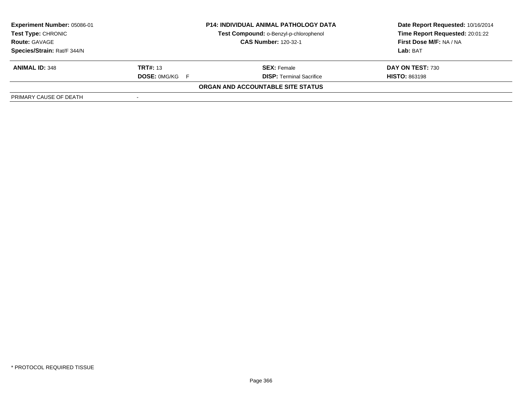| Experiment Number: 05086-01 |                       | <b>P14: INDIVIDUAL ANIMAL PATHOLOGY DATA</b> | Date Report Requested: 10/16/2014 |
|-----------------------------|-----------------------|----------------------------------------------|-----------------------------------|
| <b>Test Type: CHRONIC</b>   |                       | Test Compound: o-Benzyl-p-chlorophenol       | Time Report Requested: 20:01:22   |
| <b>Route: GAVAGE</b>        |                       | <b>CAS Number: 120-32-1</b>                  | First Dose M/F: NA / NA           |
| Species/Strain: Rat/F 344/N |                       |                                              | Lab: BAT                          |
| <b>ANIMAL ID: 348</b>       | <b>TRT#:</b> 13       | <b>SEX: Female</b>                           | DAY ON TEST: 730                  |
|                             | <b>DOSE: 0MG/KG F</b> | <b>DISP: Terminal Sacrifice</b>              | <b>HISTO: 863198</b>              |
|                             |                       | ORGAN AND ACCOUNTABLE SITE STATUS            |                                   |
| PRIMARY CAUSE OF DEATH      |                       |                                              |                                   |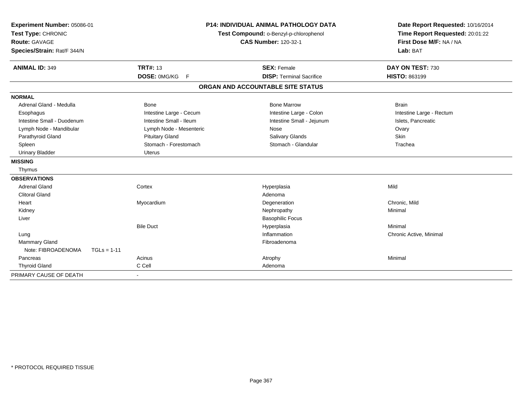| Experiment Number: 05086-01<br>Test Type: CHRONIC<br><b>Route: GAVAGE</b><br>Species/Strain: Rat/F 344/N |               | <b>TRT#: 13</b>         | <b>P14: INDIVIDUAL ANIMAL PATHOLOGY DATA</b><br>Test Compound: o-Benzyl-p-chlorophenol<br><b>CAS Number: 120-32-1</b> |                                                       | Date Report Requested: 10/16/2014<br>Time Report Requested: 20:01:22<br>First Dose M/F: NA / NA<br>Lab: BAT |
|----------------------------------------------------------------------------------------------------------|---------------|-------------------------|-----------------------------------------------------------------------------------------------------------------------|-------------------------------------------------------|-------------------------------------------------------------------------------------------------------------|
| <b>ANIMAL ID: 349</b>                                                                                    |               | DOSE: 0MG/KG<br>F       |                                                                                                                       | <b>SEX: Female</b><br><b>DISP: Terminal Sacrifice</b> | DAY ON TEST: 730<br><b>HISTO: 863199</b>                                                                    |
|                                                                                                          |               |                         |                                                                                                                       | ORGAN AND ACCOUNTABLE SITE STATUS                     |                                                                                                             |
|                                                                                                          |               |                         |                                                                                                                       |                                                       |                                                                                                             |
| <b>NORMAL</b>                                                                                            |               |                         |                                                                                                                       |                                                       |                                                                                                             |
| Adrenal Gland - Medulla                                                                                  |               | Bone                    |                                                                                                                       | <b>Bone Marrow</b>                                    | <b>Brain</b>                                                                                                |
| Esophagus                                                                                                |               | Intestine Large - Cecum |                                                                                                                       | Intestine Large - Colon                               | Intestine Large - Rectum                                                                                    |
| Intestine Small - Duodenum                                                                               |               | Intestine Small - Ileum |                                                                                                                       | Intestine Small - Jejunum                             | Islets, Pancreatic                                                                                          |
| Lymph Node - Mandibular                                                                                  |               | Lymph Node - Mesenteric |                                                                                                                       | Nose                                                  | Ovary                                                                                                       |
| Parathyroid Gland                                                                                        |               | <b>Pituitary Gland</b>  |                                                                                                                       | Salivary Glands                                       | <b>Skin</b>                                                                                                 |
| Spleen                                                                                                   |               | Stomach - Forestomach   |                                                                                                                       | Stomach - Glandular                                   | Trachea                                                                                                     |
| <b>Urinary Bladder</b>                                                                                   |               | <b>Uterus</b>           |                                                                                                                       |                                                       |                                                                                                             |
| <b>MISSING</b>                                                                                           |               |                         |                                                                                                                       |                                                       |                                                                                                             |
| Thymus                                                                                                   |               |                         |                                                                                                                       |                                                       |                                                                                                             |
| <b>OBSERVATIONS</b>                                                                                      |               |                         |                                                                                                                       |                                                       |                                                                                                             |
| <b>Adrenal Gland</b>                                                                                     |               | Cortex                  |                                                                                                                       | Hyperplasia                                           | Mild                                                                                                        |
| <b>Clitoral Gland</b>                                                                                    |               |                         |                                                                                                                       | Adenoma                                               |                                                                                                             |
| Heart                                                                                                    |               | Myocardium              |                                                                                                                       | Degeneration                                          | Chronic, Mild                                                                                               |
| Kidney                                                                                                   |               |                         |                                                                                                                       | Nephropathy                                           | Minimal                                                                                                     |
| Liver                                                                                                    |               |                         |                                                                                                                       | <b>Basophilic Focus</b>                               |                                                                                                             |
|                                                                                                          |               | <b>Bile Duct</b>        |                                                                                                                       | Hyperplasia                                           | Minimal                                                                                                     |
| Lung                                                                                                     |               |                         |                                                                                                                       | Inflammation                                          | Chronic Active, Minimal                                                                                     |
| Mammary Gland                                                                                            |               |                         |                                                                                                                       | Fibroadenoma                                          |                                                                                                             |
| Note: FIBROADENOMA                                                                                       | $TGLs = 1-11$ |                         |                                                                                                                       |                                                       |                                                                                                             |
| Pancreas                                                                                                 |               | Acinus                  |                                                                                                                       | Atrophy                                               | Minimal                                                                                                     |
| <b>Thyroid Gland</b>                                                                                     |               | C Cell                  |                                                                                                                       | Adenoma                                               |                                                                                                             |
| PRIMARY CAUSE OF DEATH                                                                                   |               |                         |                                                                                                                       |                                                       |                                                                                                             |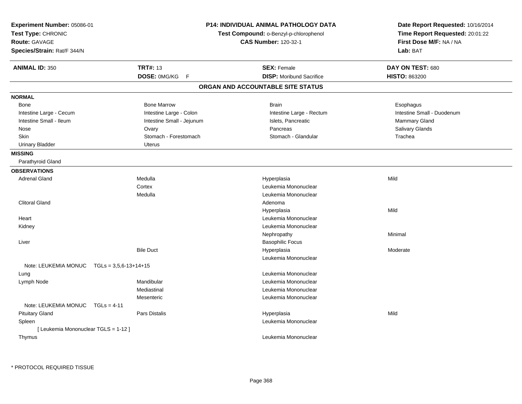| Experiment Number: 05086-01<br>Test Type: CHRONIC<br>Route: GAVAGE<br>Species/Strain: Rat/F 344/N |                           | <b>P14: INDIVIDUAL ANIMAL PATHOLOGY DATA</b><br>Test Compound: o-Benzyl-p-chlorophenol<br><b>CAS Number: 120-32-1</b> | Date Report Requested: 10/16/2014<br>Time Report Requested: 20:01:22<br>First Dose M/F: NA / NA<br>Lab: BAT |
|---------------------------------------------------------------------------------------------------|---------------------------|-----------------------------------------------------------------------------------------------------------------------|-------------------------------------------------------------------------------------------------------------|
| <b>ANIMAL ID: 350</b>                                                                             | <b>TRT#: 13</b>           | <b>SEX: Female</b>                                                                                                    | DAY ON TEST: 680                                                                                            |
|                                                                                                   | DOSE: 0MG/KG<br>F         | <b>DISP:</b> Moribund Sacrifice                                                                                       | <b>HISTO: 863200</b>                                                                                        |
|                                                                                                   |                           | ORGAN AND ACCOUNTABLE SITE STATUS                                                                                     |                                                                                                             |
| <b>NORMAL</b>                                                                                     |                           |                                                                                                                       |                                                                                                             |
| <b>Bone</b>                                                                                       | <b>Bone Marrow</b>        | <b>Brain</b>                                                                                                          | Esophagus                                                                                                   |
| Intestine Large - Cecum                                                                           | Intestine Large - Colon   | Intestine Large - Rectum                                                                                              | Intestine Small - Duodenum                                                                                  |
| Intestine Small - Ileum                                                                           | Intestine Small - Jejunum | Islets, Pancreatic                                                                                                    | Mammary Gland                                                                                               |
| Nose                                                                                              | Ovary                     | Pancreas                                                                                                              | Salivary Glands                                                                                             |
| <b>Skin</b>                                                                                       | Stomach - Forestomach     | Stomach - Glandular                                                                                                   | Trachea                                                                                                     |
| <b>Urinary Bladder</b>                                                                            | <b>Uterus</b>             |                                                                                                                       |                                                                                                             |
| <b>MISSING</b>                                                                                    |                           |                                                                                                                       |                                                                                                             |
| Parathyroid Gland                                                                                 |                           |                                                                                                                       |                                                                                                             |
| <b>OBSERVATIONS</b>                                                                               |                           |                                                                                                                       |                                                                                                             |
| <b>Adrenal Gland</b>                                                                              | Medulla                   | Hyperplasia                                                                                                           | Mild                                                                                                        |
|                                                                                                   | Cortex                    | Leukemia Mononuclear                                                                                                  |                                                                                                             |
|                                                                                                   | Medulla                   | Leukemia Mononuclear                                                                                                  |                                                                                                             |
| <b>Clitoral Gland</b>                                                                             |                           | Adenoma                                                                                                               |                                                                                                             |
|                                                                                                   |                           | Hyperplasia                                                                                                           | Mild                                                                                                        |
| Heart                                                                                             |                           | Leukemia Mononuclear                                                                                                  |                                                                                                             |
| Kidney                                                                                            |                           | Leukemia Mononuclear                                                                                                  |                                                                                                             |
|                                                                                                   |                           | Nephropathy                                                                                                           | Minimal                                                                                                     |
| Liver                                                                                             |                           | <b>Basophilic Focus</b>                                                                                               |                                                                                                             |
|                                                                                                   | <b>Bile Duct</b>          | Hyperplasia                                                                                                           | Moderate                                                                                                    |
|                                                                                                   |                           | Leukemia Mononuclear                                                                                                  |                                                                                                             |
| Note: LEUKEMIA MONUC $TGLs = 3,5,6-13+14+15$                                                      |                           |                                                                                                                       |                                                                                                             |
| Lung                                                                                              |                           | Leukemia Mononuclear                                                                                                  |                                                                                                             |
| Lymph Node                                                                                        | Mandibular                | Leukemia Mononuclear                                                                                                  |                                                                                                             |
|                                                                                                   | Mediastinal               | Leukemia Mononuclear                                                                                                  |                                                                                                             |
|                                                                                                   | Mesenteric                | Leukemia Mononuclear                                                                                                  |                                                                                                             |
| Note: LEUKEMIA MONUC<br>$TGLs = 4-11$                                                             |                           |                                                                                                                       |                                                                                                             |
| <b>Pituitary Gland</b>                                                                            | <b>Pars Distalis</b>      | Hyperplasia                                                                                                           | Mild                                                                                                        |
| Spleen                                                                                            |                           | Leukemia Mononuclear                                                                                                  |                                                                                                             |
| [ Leukemia Mononuclear TGLS = 1-12 ]                                                              |                           |                                                                                                                       |                                                                                                             |
| Thymus                                                                                            |                           | Leukemia Mononuclear                                                                                                  |                                                                                                             |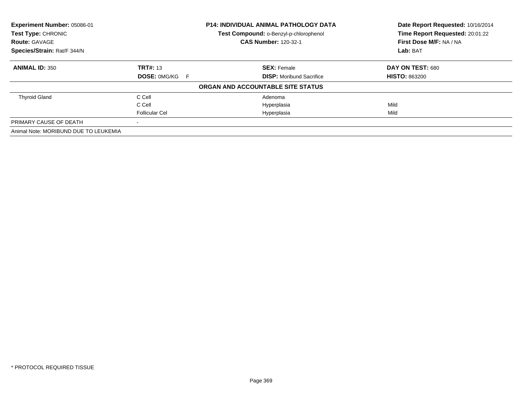| Experiment Number: 05086-01           |                       | <b>P14: INDIVIDUAL ANIMAL PATHOLOGY DATA</b> | Date Report Requested: 10/16/2014 |
|---------------------------------------|-----------------------|----------------------------------------------|-----------------------------------|
| Test Type: CHRONIC                    |                       | Test Compound: o-Benzyl-p-chlorophenol       | Time Report Requested: 20:01:22   |
| <b>Route: GAVAGE</b>                  |                       | <b>CAS Number: 120-32-1</b>                  | First Dose M/F: NA / NA           |
| Species/Strain: Rat/F 344/N           |                       |                                              | Lab: BAT                          |
| <b>ANIMAL ID: 350</b>                 | <b>TRT#: 13</b>       | <b>SEX: Female</b>                           | DAY ON TEST: 680                  |
|                                       | <b>DOSE: 0MG/KG F</b> | <b>DISP:</b> Moribund Sacrifice              | <b>HISTO: 863200</b>              |
|                                       |                       | ORGAN AND ACCOUNTABLE SITE STATUS            |                                   |
| <b>Thyroid Gland</b>                  | C Cell                | Adenoma                                      |                                   |
|                                       | C Cell                | Hyperplasia                                  | Mild                              |
|                                       | <b>Follicular Cel</b> | Hyperplasia                                  | Mild                              |
| PRIMARY CAUSE OF DEATH                |                       |                                              |                                   |
| Animal Note: MORIBUND DUE TO LEUKEMIA |                       |                                              |                                   |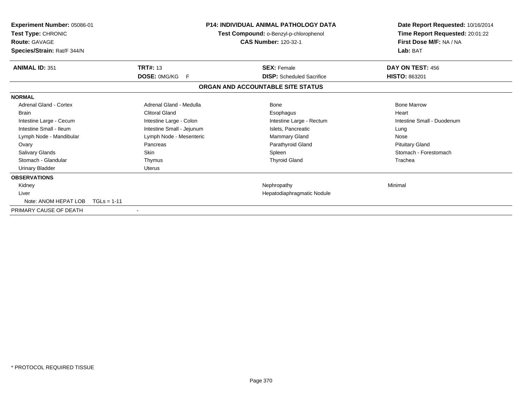| <b>Experiment Number: 05086-01</b><br>Test Type: CHRONIC<br><b>Route: GAVAGE</b><br>Species/Strain: Rat/F 344/N |                           | <b>P14: INDIVIDUAL ANIMAL PATHOLOGY DATA</b><br>Test Compound: o-Benzyl-p-chlorophenol<br><b>CAS Number: 120-32-1</b> | Date Report Requested: 10/16/2014<br>Time Report Requested: 20:01:22<br>First Dose M/F: NA / NA<br>Lab: BAT |
|-----------------------------------------------------------------------------------------------------------------|---------------------------|-----------------------------------------------------------------------------------------------------------------------|-------------------------------------------------------------------------------------------------------------|
| <b>ANIMAL ID: 351</b>                                                                                           | <b>TRT#: 13</b>           | <b>SEX: Female</b>                                                                                                    | DAY ON TEST: 456                                                                                            |
|                                                                                                                 | <b>DOSE: OMG/KG</b><br>-F | <b>DISP:</b> Scheduled Sacrifice                                                                                      | <b>HISTO: 863201</b>                                                                                        |
|                                                                                                                 |                           | ORGAN AND ACCOUNTABLE SITE STATUS                                                                                     |                                                                                                             |
| <b>NORMAL</b>                                                                                                   |                           |                                                                                                                       |                                                                                                             |
| Adrenal Gland - Cortex                                                                                          | Adrenal Gland - Medulla   | <b>Bone</b>                                                                                                           | <b>Bone Marrow</b>                                                                                          |
| <b>Brain</b>                                                                                                    | <b>Clitoral Gland</b>     | Esophagus                                                                                                             | Heart                                                                                                       |
| Intestine Large - Cecum                                                                                         | Intestine Large - Colon   | Intestine Large - Rectum                                                                                              | Intestine Small - Duodenum                                                                                  |
| Intestine Small - Ileum                                                                                         | Intestine Small - Jejunum | Islets, Pancreatic                                                                                                    | Lung                                                                                                        |
| Lymph Node - Mandibular                                                                                         | Lymph Node - Mesenteric   | Mammary Gland                                                                                                         | Nose                                                                                                        |
| Ovary                                                                                                           | Pancreas                  | Parathyroid Gland                                                                                                     | <b>Pituitary Gland</b>                                                                                      |
| Salivary Glands                                                                                                 | Skin                      | Spleen                                                                                                                | Stomach - Forestomach                                                                                       |
| Stomach - Glandular                                                                                             | Thymus                    | <b>Thyroid Gland</b>                                                                                                  | Trachea                                                                                                     |
| <b>Urinary Bladder</b>                                                                                          | <b>Uterus</b>             |                                                                                                                       |                                                                                                             |
| <b>OBSERVATIONS</b>                                                                                             |                           |                                                                                                                       |                                                                                                             |
| Kidney                                                                                                          |                           | Nephropathy                                                                                                           | Minimal                                                                                                     |
| Liver                                                                                                           |                           | Hepatodiaphragmatic Nodule                                                                                            |                                                                                                             |
| Note: ANOM HEPAT LOB                                                                                            | $TGLs = 1-11$             |                                                                                                                       |                                                                                                             |
| PRIMARY CAUSE OF DEATH                                                                                          |                           |                                                                                                                       |                                                                                                             |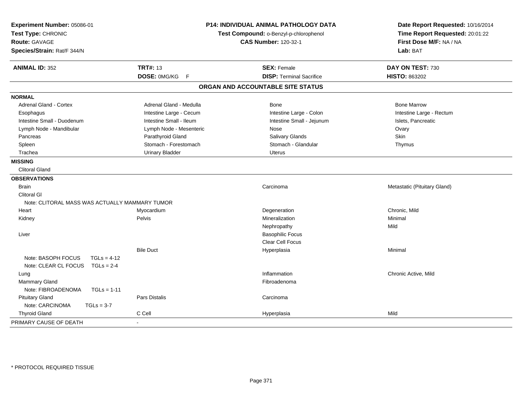| Experiment Number: 05086-01<br>Test Type: CHRONIC<br>Route: GAVAGE<br>Species/Strain: Rat/F 344/N |                         | <b>P14: INDIVIDUAL ANIMAL PATHOLOGY DATA</b><br>Test Compound: o-Benzyl-p-chlorophenol<br><b>CAS Number: 120-32-1</b> | Date Report Requested: 10/16/2014<br>Time Report Requested: 20:01:22<br>First Dose M/F: NA / NA<br>Lab: BAT |
|---------------------------------------------------------------------------------------------------|-------------------------|-----------------------------------------------------------------------------------------------------------------------|-------------------------------------------------------------------------------------------------------------|
| <b>ANIMAL ID: 352</b>                                                                             | <b>TRT#: 13</b>         | <b>SEX: Female</b>                                                                                                    | DAY ON TEST: 730                                                                                            |
|                                                                                                   | DOSE: 0MG/KG F          | <b>DISP: Terminal Sacrifice</b>                                                                                       | HISTO: 863202                                                                                               |
|                                                                                                   |                         | ORGAN AND ACCOUNTABLE SITE STATUS                                                                                     |                                                                                                             |
| <b>NORMAL</b>                                                                                     |                         |                                                                                                                       |                                                                                                             |
| <b>Adrenal Gland - Cortex</b>                                                                     | Adrenal Gland - Medulla | <b>Bone</b>                                                                                                           | <b>Bone Marrow</b>                                                                                          |
| Esophagus                                                                                         | Intestine Large - Cecum | Intestine Large - Colon                                                                                               | Intestine Large - Rectum                                                                                    |
| Intestine Small - Duodenum                                                                        | Intestine Small - Ileum | Intestine Small - Jejunum                                                                                             | Islets, Pancreatic                                                                                          |
| Lymph Node - Mandibular                                                                           | Lymph Node - Mesenteric | <b>Nose</b>                                                                                                           | Ovary                                                                                                       |
| Pancreas                                                                                          | Parathyroid Gland       | Salivary Glands                                                                                                       | Skin                                                                                                        |
| Spleen                                                                                            | Stomach - Forestomach   | Stomach - Glandular                                                                                                   | Thymus                                                                                                      |
| Trachea                                                                                           | <b>Urinary Bladder</b>  | <b>Uterus</b>                                                                                                         |                                                                                                             |
| <b>MISSING</b>                                                                                    |                         |                                                                                                                       |                                                                                                             |
| <b>Clitoral Gland</b>                                                                             |                         |                                                                                                                       |                                                                                                             |
| <b>OBSERVATIONS</b>                                                                               |                         |                                                                                                                       |                                                                                                             |
| <b>Brain</b>                                                                                      |                         | Carcinoma                                                                                                             | Metastatic (Pituitary Gland)                                                                                |
| <b>Clitoral GI</b>                                                                                |                         |                                                                                                                       |                                                                                                             |
| Note: CLITORAL MASS WAS ACTUALLY MAMMARY TUMOR                                                    |                         |                                                                                                                       |                                                                                                             |
| Heart                                                                                             | Myocardium              | Degeneration                                                                                                          | Chronic, Mild                                                                                               |
| Kidney                                                                                            | Pelvis                  | Mineralization                                                                                                        | Minimal                                                                                                     |
|                                                                                                   |                         | Nephropathy                                                                                                           | Mild                                                                                                        |
| Liver                                                                                             |                         | <b>Basophilic Focus</b>                                                                                               |                                                                                                             |
|                                                                                                   |                         | Clear Cell Focus                                                                                                      |                                                                                                             |
|                                                                                                   | <b>Bile Duct</b>        | Hyperplasia                                                                                                           | Minimal                                                                                                     |
| Note: BASOPH FOCUS                                                                                | $TGLs = 4-12$           |                                                                                                                       |                                                                                                             |
| Note: CLEAR CL FOCUS                                                                              | $TGLS = 2-4$            |                                                                                                                       |                                                                                                             |
| Lung                                                                                              |                         | Inflammation                                                                                                          | Chronic Active, Mild                                                                                        |
| Mammary Gland                                                                                     |                         | Fibroadenoma                                                                                                          |                                                                                                             |
| Note: FIBROADENOMA                                                                                | $TGLs = 1-11$           |                                                                                                                       |                                                                                                             |
| <b>Pituitary Gland</b>                                                                            | Pars Distalis           | Carcinoma                                                                                                             |                                                                                                             |
| Note: CARCINOMA<br>$TGLs = 3-7$                                                                   |                         |                                                                                                                       |                                                                                                             |
| <b>Thyroid Gland</b>                                                                              | C Cell                  | Hyperplasia                                                                                                           | Mild                                                                                                        |
| PRIMARY CAUSE OF DEATH                                                                            |                         |                                                                                                                       |                                                                                                             |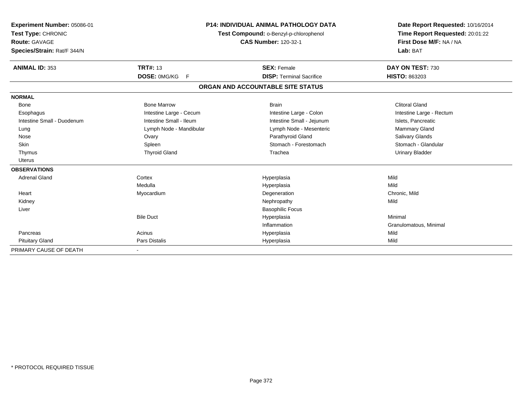| Experiment Number: 05086-01<br>Test Type: CHRONIC<br><b>Route: GAVAGE</b><br>Species/Strain: Rat/F 344/N |                         | <b>P14: INDIVIDUAL ANIMAL PATHOLOGY DATA</b><br>Test Compound: o-Benzyl-p-chlorophenol<br><b>CAS Number: 120-32-1</b> | Date Report Requested: 10/16/2014<br>Time Report Requested: 20:01:22<br>First Dose M/F: NA / NA<br>Lab: BAT |
|----------------------------------------------------------------------------------------------------------|-------------------------|-----------------------------------------------------------------------------------------------------------------------|-------------------------------------------------------------------------------------------------------------|
| <b>ANIMAL ID: 353</b>                                                                                    | <b>TRT#: 13</b>         | <b>SEX: Female</b>                                                                                                    | DAY ON TEST: 730                                                                                            |
|                                                                                                          | DOSE: 0MG/KG<br>E       | <b>DISP: Terminal Sacrifice</b>                                                                                       | <b>HISTO: 863203</b>                                                                                        |
|                                                                                                          |                         | ORGAN AND ACCOUNTABLE SITE STATUS                                                                                     |                                                                                                             |
| <b>NORMAL</b>                                                                                            |                         |                                                                                                                       |                                                                                                             |
| Bone                                                                                                     | <b>Bone Marrow</b>      | <b>Brain</b>                                                                                                          | <b>Clitoral Gland</b>                                                                                       |
| Esophagus                                                                                                | Intestine Large - Cecum | Intestine Large - Colon                                                                                               | Intestine Large - Rectum                                                                                    |
| Intestine Small - Duodenum                                                                               | Intestine Small - Ileum | Intestine Small - Jejunum                                                                                             | Islets, Pancreatic                                                                                          |
| Lung                                                                                                     | Lymph Node - Mandibular | Lymph Node - Mesenteric                                                                                               | Mammary Gland                                                                                               |
| Nose                                                                                                     | Ovary                   | Parathyroid Gland                                                                                                     | Salivary Glands                                                                                             |
| <b>Skin</b>                                                                                              | Spleen                  | Stomach - Forestomach                                                                                                 | Stomach - Glandular                                                                                         |
| Thymus                                                                                                   | <b>Thyroid Gland</b>    | Trachea                                                                                                               | <b>Urinary Bladder</b>                                                                                      |
| <b>Uterus</b>                                                                                            |                         |                                                                                                                       |                                                                                                             |
| <b>OBSERVATIONS</b>                                                                                      |                         |                                                                                                                       |                                                                                                             |
| <b>Adrenal Gland</b>                                                                                     | Cortex                  | Hyperplasia                                                                                                           | Mild                                                                                                        |
|                                                                                                          | Medulla                 | Hyperplasia                                                                                                           | Mild                                                                                                        |
| Heart                                                                                                    | Myocardium              | Degeneration                                                                                                          | Chronic, Mild                                                                                               |
| Kidney                                                                                                   |                         | Nephropathy                                                                                                           | Mild                                                                                                        |
| Liver                                                                                                    |                         | <b>Basophilic Focus</b>                                                                                               |                                                                                                             |
|                                                                                                          | <b>Bile Duct</b>        | Hyperplasia                                                                                                           | Minimal                                                                                                     |
|                                                                                                          |                         | Inflammation                                                                                                          | Granulomatous, Minimal                                                                                      |
| Pancreas                                                                                                 | Acinus                  | Hyperplasia                                                                                                           | Mild                                                                                                        |
| <b>Pituitary Gland</b>                                                                                   | Pars Distalis           | Hyperplasia                                                                                                           | Mild                                                                                                        |
| PRIMARY CAUSE OF DEATH                                                                                   |                         |                                                                                                                       |                                                                                                             |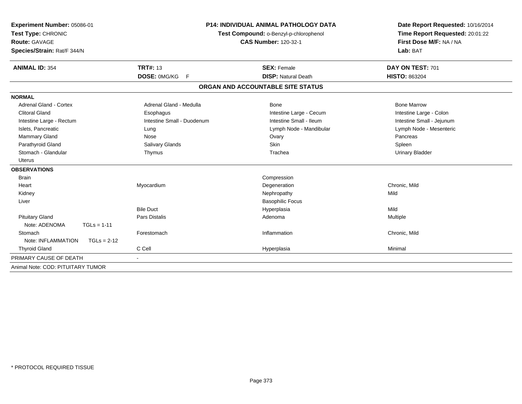| Experiment Number: 05086-01<br>Test Type: CHRONIC<br>Route: GAVAGE<br>Species/Strain: Rat/F 344/N<br><b>ANIMAL ID: 354</b> | <b>TRT#: 13</b>            | <b>P14: INDIVIDUAL ANIMAL PATHOLOGY DATA</b><br>Test Compound: o-Benzyl-p-chlorophenol<br><b>CAS Number: 120-32-1</b><br><b>SEX: Female</b> | Date Report Requested: 10/16/2014<br>Time Report Requested: 20:01:22<br>First Dose M/F: NA / NA<br>Lab: BAT<br>DAY ON TEST: 701 |
|----------------------------------------------------------------------------------------------------------------------------|----------------------------|---------------------------------------------------------------------------------------------------------------------------------------------|---------------------------------------------------------------------------------------------------------------------------------|
|                                                                                                                            | DOSE: 0MG/KG F             | <b>DISP: Natural Death</b>                                                                                                                  | <b>HISTO: 863204</b>                                                                                                            |
|                                                                                                                            |                            | ORGAN AND ACCOUNTABLE SITE STATUS                                                                                                           |                                                                                                                                 |
| <b>NORMAL</b>                                                                                                              |                            |                                                                                                                                             |                                                                                                                                 |
| Adrenal Gland - Cortex                                                                                                     | Adrenal Gland - Medulla    | Bone                                                                                                                                        | <b>Bone Marrow</b>                                                                                                              |
| <b>Clitoral Gland</b>                                                                                                      | Esophagus                  | Intestine Large - Cecum                                                                                                                     | Intestine Large - Colon                                                                                                         |
| Intestine Large - Rectum                                                                                                   | Intestine Small - Duodenum | Intestine Small - Ileum                                                                                                                     | Intestine Small - Jejunum                                                                                                       |
| Islets, Pancreatic                                                                                                         | Lung                       | Lymph Node - Mandibular                                                                                                                     | Lymph Node - Mesenteric                                                                                                         |
| <b>Mammary Gland</b>                                                                                                       | Nose                       | Ovary                                                                                                                                       | Pancreas                                                                                                                        |
| Parathyroid Gland                                                                                                          | Salivary Glands            | <b>Skin</b>                                                                                                                                 | Spleen                                                                                                                          |
| Stomach - Glandular                                                                                                        | Thymus                     | Trachea                                                                                                                                     | <b>Urinary Bladder</b>                                                                                                          |
| <b>Uterus</b>                                                                                                              |                            |                                                                                                                                             |                                                                                                                                 |
| <b>OBSERVATIONS</b>                                                                                                        |                            |                                                                                                                                             |                                                                                                                                 |
| <b>Brain</b>                                                                                                               |                            | Compression                                                                                                                                 |                                                                                                                                 |
| Heart                                                                                                                      | Myocardium                 | Degeneration                                                                                                                                | Chronic, Mild                                                                                                                   |
| Kidney                                                                                                                     |                            | Nephropathy                                                                                                                                 | Mild                                                                                                                            |
| Liver                                                                                                                      |                            | <b>Basophilic Focus</b>                                                                                                                     |                                                                                                                                 |
|                                                                                                                            | <b>Bile Duct</b>           | Hyperplasia                                                                                                                                 | Mild                                                                                                                            |
| <b>Pituitary Gland</b>                                                                                                     | <b>Pars Distalis</b>       | Adenoma                                                                                                                                     | Multiple                                                                                                                        |
| Note: ADENOMA<br>$TGLs = 1-11$                                                                                             |                            |                                                                                                                                             |                                                                                                                                 |
| Stomach                                                                                                                    | Forestomach                | Inflammation                                                                                                                                | Chronic, Mild                                                                                                                   |
| Note: INFLAMMATION<br>$TGLs = 2-12$                                                                                        |                            |                                                                                                                                             |                                                                                                                                 |
| <b>Thyroid Gland</b>                                                                                                       | C Cell                     | Hyperplasia                                                                                                                                 | Minimal                                                                                                                         |
| PRIMARY CAUSE OF DEATH                                                                                                     |                            |                                                                                                                                             |                                                                                                                                 |
| Animal Note: COD: PITUITARY TUMOR                                                                                          |                            |                                                                                                                                             |                                                                                                                                 |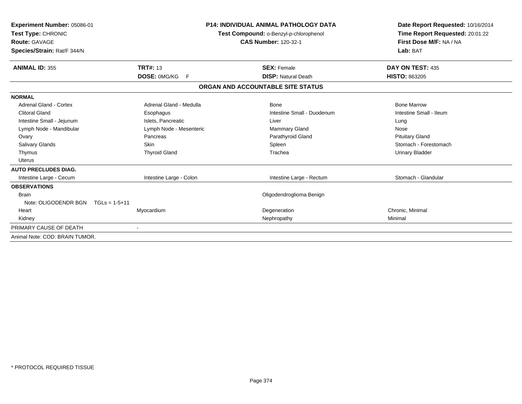| Experiment Number: 05086-01<br>Test Type: CHRONIC<br><b>Route: GAVAGE</b><br>Species/Strain: Rat/F 344/N | <b>P14: INDIVIDUAL ANIMAL PATHOLOGY DATA</b><br>Test Compound: o-Benzyl-p-chlorophenol<br><b>CAS Number: 120-32-1</b> |                                   | Date Report Requested: 10/16/2014<br>Time Report Requested: 20:01:22<br>First Dose M/F: NA / NA<br>Lab: BAT |  |
|----------------------------------------------------------------------------------------------------------|-----------------------------------------------------------------------------------------------------------------------|-----------------------------------|-------------------------------------------------------------------------------------------------------------|--|
| <b>ANIMAL ID: 355</b>                                                                                    | <b>TRT#: 13</b>                                                                                                       | <b>SEX: Female</b>                | DAY ON TEST: 435                                                                                            |  |
|                                                                                                          | <b>DOSE: OMG/KG</b><br>- F                                                                                            | <b>DISP: Natural Death</b>        | <b>HISTO: 863205</b>                                                                                        |  |
|                                                                                                          |                                                                                                                       | ORGAN AND ACCOUNTABLE SITE STATUS |                                                                                                             |  |
| <b>NORMAL</b>                                                                                            |                                                                                                                       |                                   |                                                                                                             |  |
| Adrenal Gland - Cortex                                                                                   | Adrenal Gland - Medulla                                                                                               | <b>Bone</b>                       | <b>Bone Marrow</b>                                                                                          |  |
| <b>Clitoral Gland</b>                                                                                    | Esophagus                                                                                                             | Intestine Small - Duodenum        | Intestine Small - Ileum                                                                                     |  |
| Intestine Small - Jejunum                                                                                | Islets, Pancreatic                                                                                                    | Liver                             | Lung                                                                                                        |  |
| Lymph Node - Mandibular                                                                                  | Lymph Node - Mesenteric                                                                                               | <b>Mammary Gland</b>              | Nose                                                                                                        |  |
| Ovary                                                                                                    | Pancreas                                                                                                              | Parathyroid Gland                 | <b>Pituitary Gland</b>                                                                                      |  |
| <b>Salivary Glands</b>                                                                                   | Skin                                                                                                                  | Spleen                            | Stomach - Forestomach                                                                                       |  |
| Thymus                                                                                                   | <b>Thyroid Gland</b>                                                                                                  | Trachea                           | <b>Urinary Bladder</b>                                                                                      |  |
| Uterus                                                                                                   |                                                                                                                       |                                   |                                                                                                             |  |
| <b>AUTO PRECLUDES DIAG.</b>                                                                              |                                                                                                                       |                                   |                                                                                                             |  |
| Intestine Large - Cecum                                                                                  | Intestine Large - Colon                                                                                               | Intestine Large - Rectum          | Stomach - Glandular                                                                                         |  |
| <b>OBSERVATIONS</b>                                                                                      |                                                                                                                       |                                   |                                                                                                             |  |
| <b>Brain</b>                                                                                             |                                                                                                                       | Oligodendroglioma Benign          |                                                                                                             |  |
| Note: OLIGODENDR BGN<br>$TGLs = 1-5+11$                                                                  |                                                                                                                       |                                   |                                                                                                             |  |
| Heart                                                                                                    | Myocardium                                                                                                            | Degeneration                      | Chronic, Minimal                                                                                            |  |
| Kidney                                                                                                   |                                                                                                                       | Nephropathy                       | Minimal                                                                                                     |  |
| PRIMARY CAUSE OF DEATH                                                                                   |                                                                                                                       |                                   |                                                                                                             |  |
| Animal Note: COD: BRAIN TUMOR.                                                                           |                                                                                                                       |                                   |                                                                                                             |  |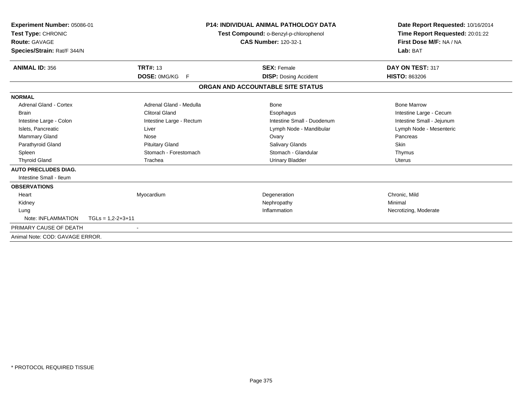| Experiment Number: 05086-01<br>Test Type: CHRONIC<br>Route: GAVAGE<br>Species/Strain: Rat/F 344/N |                          | <b>P14: INDIVIDUAL ANIMAL PATHOLOGY DATA</b><br>Test Compound: o-Benzyl-p-chlorophenol<br><b>CAS Number: 120-32-1</b> | Date Report Requested: 10/16/2014<br>Time Report Requested: 20:01:22<br>First Dose M/F: NA / NA<br>Lab: BAT |
|---------------------------------------------------------------------------------------------------|--------------------------|-----------------------------------------------------------------------------------------------------------------------|-------------------------------------------------------------------------------------------------------------|
| <b>ANIMAL ID: 356</b>                                                                             | <b>TRT#: 13</b>          | <b>SEX: Female</b>                                                                                                    | DAY ON TEST: 317                                                                                            |
|                                                                                                   | DOSE: 0MG/KG<br>E        | <b>DISP:</b> Dosing Accident                                                                                          | <b>HISTO: 863206</b>                                                                                        |
|                                                                                                   |                          | ORGAN AND ACCOUNTABLE SITE STATUS                                                                                     |                                                                                                             |
| <b>NORMAL</b>                                                                                     |                          |                                                                                                                       |                                                                                                             |
| Adrenal Gland - Cortex                                                                            | Adrenal Gland - Medulla  | Bone                                                                                                                  | <b>Bone Marrow</b>                                                                                          |
| <b>Brain</b>                                                                                      | <b>Clitoral Gland</b>    | Esophagus                                                                                                             | Intestine Large - Cecum                                                                                     |
| Intestine Large - Colon                                                                           | Intestine Large - Rectum | Intestine Small - Duodenum                                                                                            | Intestine Small - Jejunum                                                                                   |
| Islets, Pancreatic                                                                                | Liver                    | Lymph Node - Mandibular                                                                                               | Lymph Node - Mesenteric                                                                                     |
| Mammary Gland                                                                                     | Nose                     | Ovary                                                                                                                 | Pancreas                                                                                                    |
| Parathyroid Gland                                                                                 | <b>Pituitary Gland</b>   | Salivary Glands                                                                                                       | Skin                                                                                                        |
| Spleen                                                                                            | Stomach - Forestomach    | Stomach - Glandular                                                                                                   | Thymus                                                                                                      |
| <b>Thyroid Gland</b>                                                                              | Trachea                  | <b>Urinary Bladder</b>                                                                                                | <b>Uterus</b>                                                                                               |
| <b>AUTO PRECLUDES DIAG.</b>                                                                       |                          |                                                                                                                       |                                                                                                             |
| Intestine Small - Ileum                                                                           |                          |                                                                                                                       |                                                                                                             |
| <b>OBSERVATIONS</b>                                                                               |                          |                                                                                                                       |                                                                                                             |
| Heart                                                                                             | Myocardium               | Degeneration                                                                                                          | Chronic, Mild                                                                                               |
| Kidney                                                                                            |                          | Nephropathy                                                                                                           | Minimal                                                                                                     |
| Lung                                                                                              |                          | Inflammation                                                                                                          | Necrotizing, Moderate                                                                                       |
| Note: INFLAMMATION                                                                                | $TGLs = 1,2-2+3+11$      |                                                                                                                       |                                                                                                             |
| PRIMARY CAUSE OF DEATH                                                                            |                          |                                                                                                                       |                                                                                                             |
| Animal Note: COD: GAVAGE ERROR.                                                                   |                          |                                                                                                                       |                                                                                                             |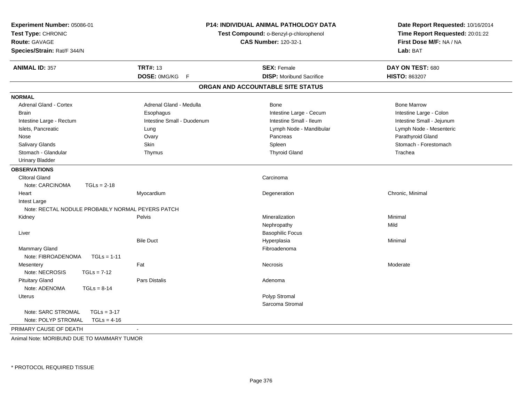| <b>P14: INDIVIDUAL ANIMAL PATHOLOGY DATA</b><br>Experiment Number: 05086-01<br>Test Type: CHRONIC<br>Test Compound: o-Benzyl-p-chlorophenol<br><b>CAS Number: 120-32-1</b><br><b>Route: GAVAGE</b><br>Species/Strain: Rat/F 344/N |                            |                                   | Date Report Requested: 10/16/2014<br>Time Report Requested: 20:01:22<br>First Dose M/F: NA / NA<br>Lab: BAT |  |
|-----------------------------------------------------------------------------------------------------------------------------------------------------------------------------------------------------------------------------------|----------------------------|-----------------------------------|-------------------------------------------------------------------------------------------------------------|--|
| <b>ANIMAL ID: 357</b>                                                                                                                                                                                                             | <b>TRT#: 13</b>            | <b>SEX: Female</b>                | DAY ON TEST: 680                                                                                            |  |
|                                                                                                                                                                                                                                   | DOSE: 0MG/KG<br>F          | <b>DISP: Moribund Sacrifice</b>   | <b>HISTO: 863207</b>                                                                                        |  |
|                                                                                                                                                                                                                                   |                            | ORGAN AND ACCOUNTABLE SITE STATUS |                                                                                                             |  |
| <b>NORMAL</b>                                                                                                                                                                                                                     |                            |                                   |                                                                                                             |  |
| <b>Adrenal Gland - Cortex</b>                                                                                                                                                                                                     | Adrenal Gland - Medulla    | Bone                              | <b>Bone Marrow</b>                                                                                          |  |
| <b>Brain</b>                                                                                                                                                                                                                      | Esophagus                  | Intestine Large - Cecum           | Intestine Large - Colon                                                                                     |  |
| Intestine Large - Rectum                                                                                                                                                                                                          | Intestine Small - Duodenum | Intestine Small - Ileum           | Intestine Small - Jejunum                                                                                   |  |
| Islets, Pancreatic                                                                                                                                                                                                                | Lung                       | Lymph Node - Mandibular           | Lymph Node - Mesenteric                                                                                     |  |
| Nose                                                                                                                                                                                                                              | Ovary                      | Pancreas                          | Parathyroid Gland                                                                                           |  |
| Salivary Glands                                                                                                                                                                                                                   | Skin                       | Spleen                            | Stomach - Forestomach                                                                                       |  |
| Stomach - Glandular                                                                                                                                                                                                               | Thymus                     | <b>Thyroid Gland</b>              | Trachea                                                                                                     |  |
| <b>Urinary Bladder</b>                                                                                                                                                                                                            |                            |                                   |                                                                                                             |  |
| <b>OBSERVATIONS</b>                                                                                                                                                                                                               |                            |                                   |                                                                                                             |  |
| <b>Clitoral Gland</b>                                                                                                                                                                                                             |                            | Carcinoma                         |                                                                                                             |  |
| Note: CARCINOMA<br>$TGLs = 2-18$                                                                                                                                                                                                  |                            |                                   |                                                                                                             |  |
| Heart                                                                                                                                                                                                                             | Myocardium                 | Degeneration                      | Chronic, Minimal                                                                                            |  |
| Intest Large                                                                                                                                                                                                                      |                            |                                   |                                                                                                             |  |
| Note: RECTAL NODULE PROBABLY NORMAL PEYERS PATCH                                                                                                                                                                                  |                            |                                   |                                                                                                             |  |
| Kidney                                                                                                                                                                                                                            | Pelvis                     | Mineralization                    | Minimal                                                                                                     |  |
|                                                                                                                                                                                                                                   |                            | Nephropathy                       | Mild                                                                                                        |  |
| Liver                                                                                                                                                                                                                             |                            | <b>Basophilic Focus</b>           |                                                                                                             |  |
|                                                                                                                                                                                                                                   | <b>Bile Duct</b>           | Hyperplasia                       | Minimal                                                                                                     |  |
| <b>Mammary Gland</b>                                                                                                                                                                                                              |                            | Fibroadenoma                      |                                                                                                             |  |
| Note: FIBROADENOMA<br>$TGLs = 1-11$                                                                                                                                                                                               |                            |                                   |                                                                                                             |  |
| Mesentery                                                                                                                                                                                                                         | Fat                        | Necrosis                          | Moderate                                                                                                    |  |
| Note: NECROSIS<br>$TGLs = 7-12$                                                                                                                                                                                                   |                            |                                   |                                                                                                             |  |
| <b>Pituitary Gland</b>                                                                                                                                                                                                            | <b>Pars Distalis</b>       | Adenoma                           |                                                                                                             |  |
| Note: ADENOMA<br>$TGLs = 8-14$                                                                                                                                                                                                    |                            |                                   |                                                                                                             |  |
| Uterus                                                                                                                                                                                                                            |                            | Polyp Stromal                     |                                                                                                             |  |
|                                                                                                                                                                                                                                   |                            | Sarcoma Stromal                   |                                                                                                             |  |
| Note: SARC STROMAL<br>$TGLs = 3-17$                                                                                                                                                                                               |                            |                                   |                                                                                                             |  |
| Note: POLYP STROMAL<br>$TGLs = 4-16$                                                                                                                                                                                              |                            |                                   |                                                                                                             |  |
| PRIMARY CAUSE OF DEATH                                                                                                                                                                                                            | $\sim$                     |                                   |                                                                                                             |  |

Animal Note: MORIBUND DUE TO MAMMARY TUMOR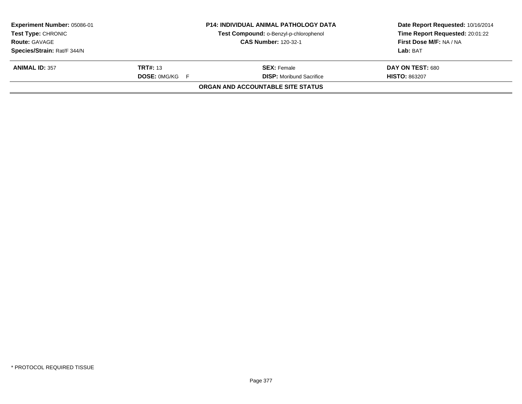|                                          | Date Report Requested: 10/16/2014                                                              |  |
|------------------------------------------|------------------------------------------------------------------------------------------------|--|
|                                          | Time Report Requested: 20:01:22                                                                |  |
|                                          | First Dose M/F: NA / NA                                                                        |  |
|                                          | Lab: BAT                                                                                       |  |
| <b>SEX:</b> Female                       | DAY ON TEST: 680                                                                               |  |
| <b>DISP:</b> Moribund Sacrifice          | <b>HISTO: 863207</b>                                                                           |  |
| <b>ORGAN AND ACCOUNTABLE SITE STATUS</b> |                                                                                                |  |
|                                          | Test Compound: o-Benzyl-p-chlorophenol<br><b>CAS Number: 120-32-1</b><br><b>DOSE: 0MG/KG F</b> |  |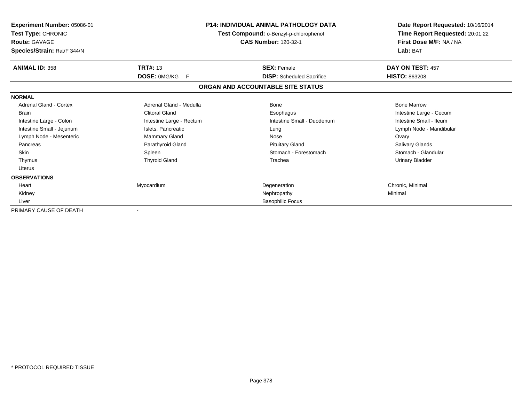| Experiment Number: 05086-01<br>Test Type: CHRONIC<br><b>Route: GAVAGE</b><br>Species/Strain: Rat/F 344/N |                           | <b>P14: INDIVIDUAL ANIMAL PATHOLOGY DATA</b><br>Test Compound: o-Benzyl-p-chlorophenol<br><b>CAS Number: 120-32-1</b> | Date Report Requested: 10/16/2014<br>Time Report Requested: 20:01:22<br>First Dose M/F: NA / NA<br>Lab: BAT |  |
|----------------------------------------------------------------------------------------------------------|---------------------------|-----------------------------------------------------------------------------------------------------------------------|-------------------------------------------------------------------------------------------------------------|--|
| <b>ANIMAL ID: 358</b>                                                                                    | <b>TRT#: 13</b>           | <b>SEX: Female</b>                                                                                                    | DAY ON TEST: 457                                                                                            |  |
|                                                                                                          | <b>DOSE: OMG/KG</b><br>-F | <b>DISP:</b> Scheduled Sacrifice                                                                                      | <b>HISTO: 863208</b>                                                                                        |  |
|                                                                                                          |                           | ORGAN AND ACCOUNTABLE SITE STATUS                                                                                     |                                                                                                             |  |
| <b>NORMAL</b>                                                                                            |                           |                                                                                                                       |                                                                                                             |  |
| Adrenal Gland - Cortex                                                                                   | Adrenal Gland - Medulla   | Bone                                                                                                                  | <b>Bone Marrow</b>                                                                                          |  |
| <b>Brain</b>                                                                                             | <b>Clitoral Gland</b>     | Esophagus                                                                                                             | Intestine Large - Cecum                                                                                     |  |
| Intestine Large - Colon                                                                                  | Intestine Large - Rectum  | Intestine Small - Duodenum                                                                                            | Intestine Small - Ileum                                                                                     |  |
| Intestine Small - Jejunum                                                                                | Islets, Pancreatic        | Lung                                                                                                                  | Lymph Node - Mandibular                                                                                     |  |
| Lymph Node - Mesenteric                                                                                  | <b>Mammary Gland</b>      | Nose                                                                                                                  | Ovary                                                                                                       |  |
| Pancreas                                                                                                 | Parathyroid Gland         | <b>Pituitary Gland</b>                                                                                                | <b>Salivary Glands</b>                                                                                      |  |
| <b>Skin</b>                                                                                              | Spleen                    | Stomach - Forestomach                                                                                                 | Stomach - Glandular                                                                                         |  |
| Thymus                                                                                                   | <b>Thyroid Gland</b>      | Trachea                                                                                                               | <b>Urinary Bladder</b>                                                                                      |  |
| Uterus                                                                                                   |                           |                                                                                                                       |                                                                                                             |  |
| <b>OBSERVATIONS</b>                                                                                      |                           |                                                                                                                       |                                                                                                             |  |
| Heart                                                                                                    | Myocardium                | Degeneration                                                                                                          | Chronic, Minimal                                                                                            |  |
| Kidney                                                                                                   |                           | Nephropathy                                                                                                           | Minimal                                                                                                     |  |
| Liver                                                                                                    |                           | <b>Basophilic Focus</b>                                                                                               |                                                                                                             |  |
| PRIMARY CAUSE OF DEATH                                                                                   |                           |                                                                                                                       |                                                                                                             |  |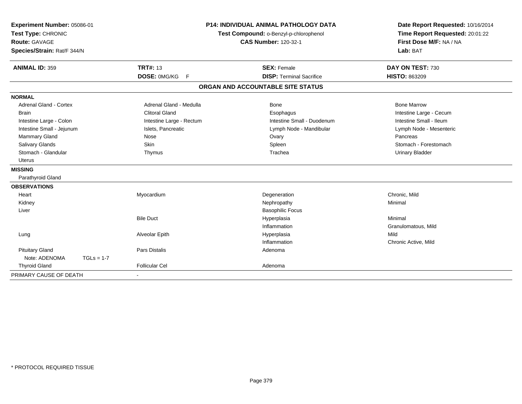| Experiment Number: 05086-01   | <b>P14: INDIVIDUAL ANIMAL PATHOLOGY DATA</b> |                                        | Date Report Requested: 10/16/2014 |
|-------------------------------|----------------------------------------------|----------------------------------------|-----------------------------------|
| Test Type: CHRONIC            |                                              | Test Compound: o-Benzyl-p-chlorophenol | Time Report Requested: 20:01:22   |
| <b>Route: GAVAGE</b>          |                                              | <b>CAS Number: 120-32-1</b>            | First Dose M/F: NA / NA           |
| Species/Strain: Rat/F 344/N   |                                              |                                        | Lab: BAT                          |
| <b>ANIMAL ID: 359</b>         | <b>TRT#: 13</b>                              | <b>SEX: Female</b>                     | DAY ON TEST: 730                  |
|                               | DOSE: 0MG/KG F                               | <b>DISP: Terminal Sacrifice</b>        | <b>HISTO: 863209</b>              |
|                               |                                              | ORGAN AND ACCOUNTABLE SITE STATUS      |                                   |
| <b>NORMAL</b>                 |                                              |                                        |                                   |
| <b>Adrenal Gland - Cortex</b> | Adrenal Gland - Medulla                      | <b>Bone</b>                            | <b>Bone Marrow</b>                |
| <b>Brain</b>                  | <b>Clitoral Gland</b>                        | Esophagus                              | Intestine Large - Cecum           |
| Intestine Large - Colon       | Intestine Large - Rectum                     | Intestine Small - Duodenum             | Intestine Small - Ileum           |
| Intestine Small - Jejunum     | Islets, Pancreatic                           | Lymph Node - Mandibular                | Lymph Node - Mesenteric           |
| <b>Mammary Gland</b>          | Nose                                         | Ovary                                  | Pancreas                          |
| Salivary Glands               | Skin                                         | Spleen                                 | Stomach - Forestomach             |
| Stomach - Glandular           | Thymus                                       | Trachea                                | <b>Urinary Bladder</b>            |
| <b>Uterus</b>                 |                                              |                                        |                                   |
| <b>MISSING</b>                |                                              |                                        |                                   |
| Parathyroid Gland             |                                              |                                        |                                   |
| <b>OBSERVATIONS</b>           |                                              |                                        |                                   |
| Heart                         | Myocardium                                   | Degeneration                           | Chronic, Mild                     |
| Kidney                        |                                              | Nephropathy                            | Minimal                           |
| Liver                         |                                              | <b>Basophilic Focus</b>                |                                   |
|                               | <b>Bile Duct</b>                             | Hyperplasia                            | Minimal                           |
|                               |                                              | Inflammation                           | Granulomatous, Mild               |
| Lung                          | Alveolar Epith                               | Hyperplasia                            | Mild                              |
|                               |                                              | Inflammation                           | Chronic Active, Mild              |
| <b>Pituitary Gland</b>        | <b>Pars Distalis</b>                         | Adenoma                                |                                   |
| Note: ADENOMA<br>$TGLs = 1-7$ |                                              |                                        |                                   |
| <b>Thyroid Gland</b>          | <b>Follicular Cel</b>                        | Adenoma                                |                                   |
| PRIMARY CAUSE OF DEATH        |                                              |                                        |                                   |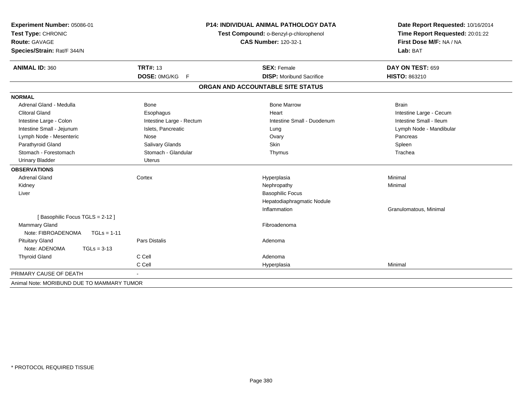| Experiment Number: 05086-01<br>Test Type: CHRONIC |                          | <b>P14: INDIVIDUAL ANIMAL PATHOLOGY DATA</b> | Date Report Requested: 10/16/2014 |  |
|---------------------------------------------------|--------------------------|----------------------------------------------|-----------------------------------|--|
|                                                   |                          | Test Compound: o-Benzyl-p-chlorophenol       | Time Report Requested: 20:01:22   |  |
| <b>Route: GAVAGE</b>                              |                          | <b>CAS Number: 120-32-1</b>                  | First Dose M/F: NA / NA           |  |
| Species/Strain: Rat/F 344/N                       |                          |                                              | Lab: BAT                          |  |
| <b>ANIMAL ID: 360</b>                             | <b>TRT#: 13</b>          | <b>SEX: Female</b>                           | DAY ON TEST: 659                  |  |
|                                                   | DOSE: 0MG/KG<br>E        | <b>DISP:</b> Moribund Sacrifice              | HISTO: 863210                     |  |
|                                                   |                          | ORGAN AND ACCOUNTABLE SITE STATUS            |                                   |  |
| <b>NORMAL</b>                                     |                          |                                              |                                   |  |
| Adrenal Gland - Medulla                           | <b>Bone</b>              | <b>Bone Marrow</b>                           | <b>Brain</b>                      |  |
| <b>Clitoral Gland</b>                             | Esophagus                | Heart                                        | Intestine Large - Cecum           |  |
| Intestine Large - Colon                           | Intestine Large - Rectum | Intestine Small - Duodenum                   | Intestine Small - Ileum           |  |
| Intestine Small - Jejunum                         | Islets, Pancreatic       | Lung                                         | Lymph Node - Mandibular           |  |
| Lymph Node - Mesenteric                           | Nose                     | Ovary                                        | Pancreas                          |  |
| Parathyroid Gland                                 | Salivary Glands          | <b>Skin</b>                                  | Spleen                            |  |
| Stomach - Forestomach                             | Stomach - Glandular      | Thymus                                       | Trachea                           |  |
| <b>Urinary Bladder</b>                            | Uterus                   |                                              |                                   |  |
| <b>OBSERVATIONS</b>                               |                          |                                              |                                   |  |
| <b>Adrenal Gland</b>                              | Cortex                   | Hyperplasia                                  | Minimal                           |  |
| Kidney                                            |                          | Nephropathy                                  | Minimal                           |  |
| Liver                                             |                          | <b>Basophilic Focus</b>                      |                                   |  |
|                                                   |                          | Hepatodiaphragmatic Nodule                   |                                   |  |
|                                                   |                          | Inflammation                                 | Granulomatous, Minimal            |  |
| [Basophilic Focus TGLS = 2-12]                    |                          |                                              |                                   |  |
| Mammary Gland                                     |                          | Fibroadenoma                                 |                                   |  |
| Note: FIBROADENOMA<br>$TGLs = 1-11$               |                          |                                              |                                   |  |
| <b>Pituitary Gland</b>                            | <b>Pars Distalis</b>     | Adenoma                                      |                                   |  |
| Note: ADENOMA<br>$TGLs = 3-13$                    |                          |                                              |                                   |  |
| <b>Thyroid Gland</b>                              | C Cell                   | Adenoma                                      |                                   |  |
|                                                   | C Cell                   | Hyperplasia                                  | Minimal                           |  |
| PRIMARY CAUSE OF DEATH                            |                          |                                              |                                   |  |
| Animal Note: MORIBUND DUE TO MAMMARY TUMOR        |                          |                                              |                                   |  |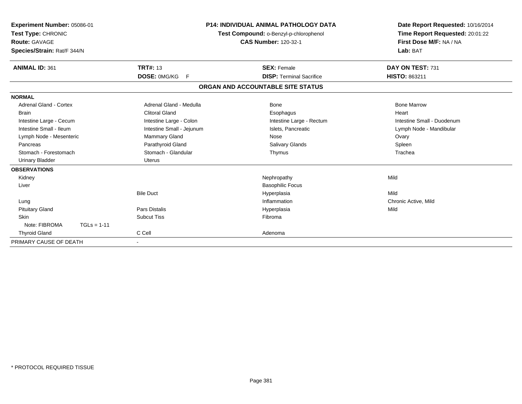| Experiment Number: 05086-01<br>Test Type: CHRONIC<br>Route: GAVAGE<br>Species/Strain: Rat/F 344/N |                           | <b>P14: INDIVIDUAL ANIMAL PATHOLOGY DATA</b><br>Test Compound: o-Benzyl-p-chlorophenol<br><b>CAS Number: 120-32-1</b> | Date Report Requested: 10/16/2014<br>Time Report Requested: 20:01:22<br>First Dose M/F: NA / NA<br>Lab: BAT |
|---------------------------------------------------------------------------------------------------|---------------------------|-----------------------------------------------------------------------------------------------------------------------|-------------------------------------------------------------------------------------------------------------|
| <b>ANIMAL ID: 361</b>                                                                             | <b>TRT#: 13</b>           | <b>SEX: Female</b>                                                                                                    | DAY ON TEST: 731                                                                                            |
|                                                                                                   | DOSE: 0MG/KG<br>F.        | <b>DISP:</b> Terminal Sacrifice                                                                                       | <b>HISTO: 863211</b>                                                                                        |
|                                                                                                   |                           | ORGAN AND ACCOUNTABLE SITE STATUS                                                                                     |                                                                                                             |
| <b>NORMAL</b>                                                                                     |                           |                                                                                                                       |                                                                                                             |
| Adrenal Gland - Cortex                                                                            | Adrenal Gland - Medulla   | Bone                                                                                                                  | <b>Bone Marrow</b>                                                                                          |
| <b>Brain</b>                                                                                      | <b>Clitoral Gland</b>     | Esophagus                                                                                                             | Heart                                                                                                       |
| Intestine Large - Cecum                                                                           | Intestine Large - Colon   | Intestine Large - Rectum                                                                                              | Intestine Small - Duodenum                                                                                  |
| Intestine Small - Ileum                                                                           | Intestine Small - Jejunum | Islets, Pancreatic                                                                                                    | Lymph Node - Mandibular                                                                                     |
| Lymph Node - Mesenteric                                                                           | Mammary Gland             | Nose                                                                                                                  | Ovary                                                                                                       |
| Pancreas                                                                                          | Parathyroid Gland         | Salivary Glands                                                                                                       | Spleen                                                                                                      |
| Stomach - Forestomach                                                                             | Stomach - Glandular       | Thymus                                                                                                                | Trachea                                                                                                     |
| <b>Urinary Bladder</b>                                                                            | <b>Uterus</b>             |                                                                                                                       |                                                                                                             |
| <b>OBSERVATIONS</b>                                                                               |                           |                                                                                                                       |                                                                                                             |
| Kidney                                                                                            |                           | Nephropathy                                                                                                           | Mild                                                                                                        |
| Liver                                                                                             |                           | <b>Basophilic Focus</b>                                                                                               |                                                                                                             |
|                                                                                                   | <b>Bile Duct</b>          | Hyperplasia                                                                                                           | Mild                                                                                                        |
| Lung                                                                                              |                           | Inflammation                                                                                                          | Chronic Active, Mild                                                                                        |
| <b>Pituitary Gland</b>                                                                            | <b>Pars Distalis</b>      | Hyperplasia                                                                                                           | Mild                                                                                                        |
| Skin                                                                                              | <b>Subcut Tiss</b>        | Fibroma                                                                                                               |                                                                                                             |
| Note: FIBROMA<br>$TGLs = 1-11$                                                                    |                           |                                                                                                                       |                                                                                                             |
| <b>Thyroid Gland</b>                                                                              | C Cell                    | Adenoma                                                                                                               |                                                                                                             |
| PRIMARY CAUSE OF DEATH                                                                            |                           |                                                                                                                       |                                                                                                             |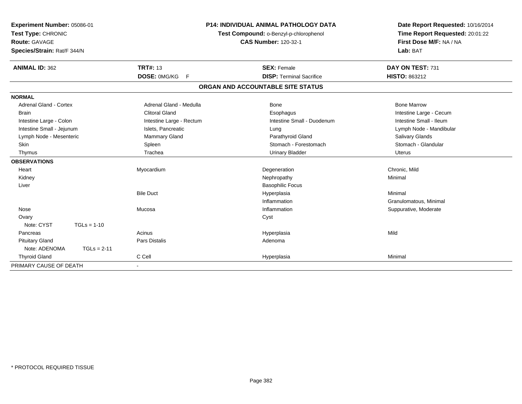| Experiment Number: 05086-01<br>Test Type: CHRONIC<br>Route: GAVAGE<br>Species/Strain: Rat/F 344/N<br><b>ANIMAL ID: 362</b> |               | <b>TRT#: 13</b>          | <b>P14: INDIVIDUAL ANIMAL PATHOLOGY DATA</b><br>Test Compound: o-Benzyl-p-chlorophenol<br><b>CAS Number: 120-32-1</b><br><b>SEX: Female</b> |                                   | Date Report Requested: 10/16/2014<br>Time Report Requested: 20:01:22<br>First Dose M/F: NA / NA<br>Lab: BAT<br>DAY ON TEST: 731 |
|----------------------------------------------------------------------------------------------------------------------------|---------------|--------------------------|---------------------------------------------------------------------------------------------------------------------------------------------|-----------------------------------|---------------------------------------------------------------------------------------------------------------------------------|
|                                                                                                                            |               | DOSE: 0MG/KG<br>F        |                                                                                                                                             | <b>DISP: Terminal Sacrifice</b>   | HISTO: 863212                                                                                                                   |
|                                                                                                                            |               |                          |                                                                                                                                             | ORGAN AND ACCOUNTABLE SITE STATUS |                                                                                                                                 |
| <b>NORMAL</b>                                                                                                              |               |                          |                                                                                                                                             |                                   |                                                                                                                                 |
| Adrenal Gland - Cortex                                                                                                     |               | Adrenal Gland - Medulla  |                                                                                                                                             | Bone                              | <b>Bone Marrow</b>                                                                                                              |
| <b>Brain</b>                                                                                                               |               | <b>Clitoral Gland</b>    |                                                                                                                                             | Esophagus                         | Intestine Large - Cecum                                                                                                         |
| Intestine Large - Colon                                                                                                    |               | Intestine Large - Rectum |                                                                                                                                             | Intestine Small - Duodenum        | Intestine Small - Ileum                                                                                                         |
| Intestine Small - Jejunum                                                                                                  |               | Islets, Pancreatic       |                                                                                                                                             | Lung                              | Lymph Node - Mandibular                                                                                                         |
| Lymph Node - Mesenteric                                                                                                    |               | Mammary Gland            |                                                                                                                                             | Parathyroid Gland                 | Salivary Glands                                                                                                                 |
| Skin                                                                                                                       |               | Spleen                   |                                                                                                                                             | Stomach - Forestomach             | Stomach - Glandular                                                                                                             |
| Thymus                                                                                                                     |               | Trachea                  |                                                                                                                                             | <b>Urinary Bladder</b>            | Uterus                                                                                                                          |
| <b>OBSERVATIONS</b>                                                                                                        |               |                          |                                                                                                                                             |                                   |                                                                                                                                 |
| Heart                                                                                                                      |               | Myocardium               |                                                                                                                                             | Degeneration                      | Chronic, Mild                                                                                                                   |
| Kidney                                                                                                                     |               |                          |                                                                                                                                             | Nephropathy                       | Minimal                                                                                                                         |
| Liver                                                                                                                      |               |                          |                                                                                                                                             | <b>Basophilic Focus</b>           |                                                                                                                                 |
|                                                                                                                            |               | <b>Bile Duct</b>         |                                                                                                                                             | Hyperplasia                       | Minimal                                                                                                                         |
|                                                                                                                            |               |                          |                                                                                                                                             | Inflammation                      | Granulomatous, Minimal                                                                                                          |
| Nose                                                                                                                       |               | Mucosa                   |                                                                                                                                             | Inflammation                      | Suppurative, Moderate                                                                                                           |
| Ovary                                                                                                                      |               |                          |                                                                                                                                             | Cyst                              |                                                                                                                                 |
| Note: CYST                                                                                                                 | $TGLs = 1-10$ |                          |                                                                                                                                             |                                   |                                                                                                                                 |
| Pancreas                                                                                                                   |               | Acinus                   |                                                                                                                                             | Hyperplasia                       | Mild                                                                                                                            |
| <b>Pituitary Gland</b>                                                                                                     |               | <b>Pars Distalis</b>     |                                                                                                                                             | Adenoma                           |                                                                                                                                 |
| Note: ADENOMA                                                                                                              | $TGLs = 2-11$ |                          |                                                                                                                                             |                                   |                                                                                                                                 |
| <b>Thyroid Gland</b>                                                                                                       |               | C Cell                   |                                                                                                                                             | Hyperplasia                       | Minimal                                                                                                                         |
| PRIMARY CAUSE OF DEATH                                                                                                     |               |                          |                                                                                                                                             |                                   |                                                                                                                                 |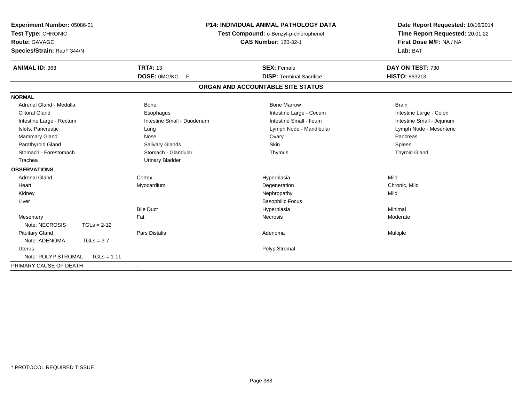| Experiment Number: 05086-01<br>Test Type: CHRONIC<br><b>Route: GAVAGE</b><br>Species/Strain: Rat/F 344/N<br><b>ANIMAL ID: 363</b> |               | <b>TRT#: 13</b>            | <b>P14: INDIVIDUAL ANIMAL PATHOLOGY DATA</b><br>Test Compound: o-Benzyl-p-chlorophenol<br><b>CAS Number: 120-32-1</b><br><b>SEX: Female</b> | Date Report Requested: 10/16/2014<br>Time Report Requested: 20:01:22<br>First Dose M/F: NA / NA<br>Lab: BAT<br>DAY ON TEST: 730 |  |
|-----------------------------------------------------------------------------------------------------------------------------------|---------------|----------------------------|---------------------------------------------------------------------------------------------------------------------------------------------|---------------------------------------------------------------------------------------------------------------------------------|--|
|                                                                                                                                   |               | DOSE: 0MG/KG F             | <b>DISP: Terminal Sacrifice</b>                                                                                                             | HISTO: 863213                                                                                                                   |  |
|                                                                                                                                   |               |                            |                                                                                                                                             |                                                                                                                                 |  |
|                                                                                                                                   |               |                            | ORGAN AND ACCOUNTABLE SITE STATUS                                                                                                           |                                                                                                                                 |  |
| <b>NORMAL</b>                                                                                                                     |               |                            |                                                                                                                                             |                                                                                                                                 |  |
| Adrenal Gland - Medulla                                                                                                           |               | <b>Bone</b>                | <b>Bone Marrow</b>                                                                                                                          | <b>Brain</b>                                                                                                                    |  |
| <b>Clitoral Gland</b>                                                                                                             |               | Esophagus                  | Intestine Large - Cecum                                                                                                                     | Intestine Large - Colon                                                                                                         |  |
| Intestine Large - Rectum                                                                                                          |               | Intestine Small - Duodenum | Intestine Small - Ileum                                                                                                                     | Intestine Small - Jejunum                                                                                                       |  |
| Islets, Pancreatic                                                                                                                |               | Lung                       | Lymph Node - Mandibular                                                                                                                     | Lymph Node - Mesenteric                                                                                                         |  |
| <b>Mammary Gland</b>                                                                                                              |               | Nose                       | Ovary                                                                                                                                       | Pancreas                                                                                                                        |  |
| Parathyroid Gland                                                                                                                 |               | Salivary Glands            | <b>Skin</b>                                                                                                                                 | Spleen                                                                                                                          |  |
| Stomach - Forestomach                                                                                                             |               | Stomach - Glandular        | Thymus                                                                                                                                      | <b>Thyroid Gland</b>                                                                                                            |  |
| Trachea                                                                                                                           |               | <b>Urinary Bladder</b>     |                                                                                                                                             |                                                                                                                                 |  |
| <b>OBSERVATIONS</b>                                                                                                               |               |                            |                                                                                                                                             |                                                                                                                                 |  |
| <b>Adrenal Gland</b>                                                                                                              |               | Cortex                     | Hyperplasia                                                                                                                                 | Mild                                                                                                                            |  |
| Heart                                                                                                                             |               | Myocardium                 | Degeneration                                                                                                                                | Chronic, Mild                                                                                                                   |  |
| Kidney                                                                                                                            |               |                            | Nephropathy                                                                                                                                 | Mild                                                                                                                            |  |
| Liver                                                                                                                             |               |                            | <b>Basophilic Focus</b>                                                                                                                     |                                                                                                                                 |  |
|                                                                                                                                   |               | <b>Bile Duct</b>           | Hyperplasia                                                                                                                                 | Minimal                                                                                                                         |  |
| Mesentery                                                                                                                         |               | Fat                        | Necrosis                                                                                                                                    | Moderate                                                                                                                        |  |
| Note: NECROSIS                                                                                                                    | $TGLs = 2-12$ |                            |                                                                                                                                             |                                                                                                                                 |  |
| <b>Pituitary Gland</b>                                                                                                            |               | Pars Distalis              | Adenoma                                                                                                                                     | Multiple                                                                                                                        |  |
| Note: ADENOMA                                                                                                                     | $TGLs = 3-7$  |                            |                                                                                                                                             |                                                                                                                                 |  |
| Uterus                                                                                                                            |               |                            | Polyp Stromal                                                                                                                               |                                                                                                                                 |  |
| Note: POLYP STROMAL                                                                                                               | $TGLs = 1-11$ |                            |                                                                                                                                             |                                                                                                                                 |  |
| PRIMARY CAUSE OF DEATH                                                                                                            |               |                            |                                                                                                                                             |                                                                                                                                 |  |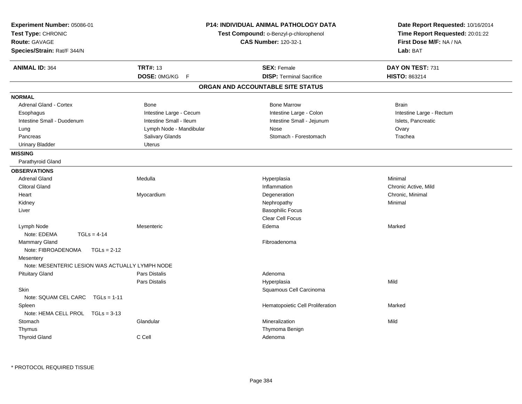| Experiment Number: 05086-01<br>Test Type: CHRONIC<br>Route: GAVAGE<br>Species/Strain: Rat/F 344/N |                         | P14: INDIVIDUAL ANIMAL PATHOLOGY DATA<br>Test Compound: o-Benzyl-p-chlorophenol<br><b>CAS Number: 120-32-1</b> | Date Report Requested: 10/16/2014<br>Time Report Requested: 20:01:22<br>First Dose M/F: NA / NA<br>Lab: BAT |  |
|---------------------------------------------------------------------------------------------------|-------------------------|----------------------------------------------------------------------------------------------------------------|-------------------------------------------------------------------------------------------------------------|--|
| <b>ANIMAL ID: 364</b>                                                                             | <b>TRT#: 13</b>         | <b>SEX: Female</b>                                                                                             | DAY ON TEST: 731                                                                                            |  |
|                                                                                                   | DOSE: 0MG/KG<br>F       | <b>DISP: Terminal Sacrifice</b>                                                                                | HISTO: 863214                                                                                               |  |
|                                                                                                   |                         | ORGAN AND ACCOUNTABLE SITE STATUS                                                                              |                                                                                                             |  |
| <b>NORMAL</b>                                                                                     |                         |                                                                                                                |                                                                                                             |  |
| Adrenal Gland - Cortex                                                                            | Bone                    | <b>Bone Marrow</b>                                                                                             | <b>Brain</b>                                                                                                |  |
| Esophagus                                                                                         | Intestine Large - Cecum | Intestine Large - Colon                                                                                        | Intestine Large - Rectum                                                                                    |  |
| Intestine Small - Duodenum                                                                        | Intestine Small - Ileum | Intestine Small - Jejunum                                                                                      | Islets, Pancreatic                                                                                          |  |
| Lung                                                                                              | Lymph Node - Mandibular | Nose                                                                                                           | Ovary                                                                                                       |  |
| Pancreas                                                                                          | Salivary Glands         | Stomach - Forestomach                                                                                          | Trachea                                                                                                     |  |
| <b>Urinary Bladder</b>                                                                            | Uterus                  |                                                                                                                |                                                                                                             |  |
| <b>MISSING</b>                                                                                    |                         |                                                                                                                |                                                                                                             |  |
| Parathyroid Gland                                                                                 |                         |                                                                                                                |                                                                                                             |  |
| <b>OBSERVATIONS</b>                                                                               |                         |                                                                                                                |                                                                                                             |  |
| <b>Adrenal Gland</b>                                                                              | Medulla                 | Hyperplasia                                                                                                    | Minimal                                                                                                     |  |
| <b>Clitoral Gland</b>                                                                             |                         | Inflammation                                                                                                   | Chronic Active, Mild                                                                                        |  |
| Heart                                                                                             | Myocardium              | Degeneration                                                                                                   | Chronic, Minimal                                                                                            |  |
| Kidney                                                                                            |                         | Nephropathy                                                                                                    | Minimal                                                                                                     |  |
| Liver                                                                                             |                         | <b>Basophilic Focus</b>                                                                                        |                                                                                                             |  |
|                                                                                                   |                         | Clear Cell Focus                                                                                               |                                                                                                             |  |
| Lymph Node                                                                                        | Mesenteric              | Edema                                                                                                          | Marked                                                                                                      |  |
| Note: EDEMA<br>$TGLs = 4-14$                                                                      |                         |                                                                                                                |                                                                                                             |  |
| <b>Mammary Gland</b>                                                                              |                         | Fibroadenoma                                                                                                   |                                                                                                             |  |
| Note: FIBROADENOMA<br>$TGLs = 2-12$                                                               |                         |                                                                                                                |                                                                                                             |  |
| Mesentery                                                                                         |                         |                                                                                                                |                                                                                                             |  |
| Note: MESENTERIC LESION WAS ACTUALLY LYMPH NODE                                                   |                         |                                                                                                                |                                                                                                             |  |
| <b>Pituitary Gland</b>                                                                            | <b>Pars Distalis</b>    | Adenoma                                                                                                        |                                                                                                             |  |
|                                                                                                   | <b>Pars Distalis</b>    | Hyperplasia                                                                                                    | Mild                                                                                                        |  |
| Skin                                                                                              |                         | Squamous Cell Carcinoma                                                                                        |                                                                                                             |  |
| Note: SQUAM CEL CARC<br>$TGLs = 1-11$                                                             |                         |                                                                                                                |                                                                                                             |  |
| Spleen                                                                                            |                         | Hematopoietic Cell Proliferation                                                                               | Marked                                                                                                      |  |
| Note: HEMA CELL PROL TGLs = 3-13                                                                  |                         |                                                                                                                |                                                                                                             |  |
| Stomach                                                                                           | Glandular               | Mineralization                                                                                                 | Mild                                                                                                        |  |
| Thymus                                                                                            |                         | Thymoma Benign                                                                                                 |                                                                                                             |  |
| <b>Thyroid Gland</b>                                                                              | C Cell                  | Adenoma                                                                                                        |                                                                                                             |  |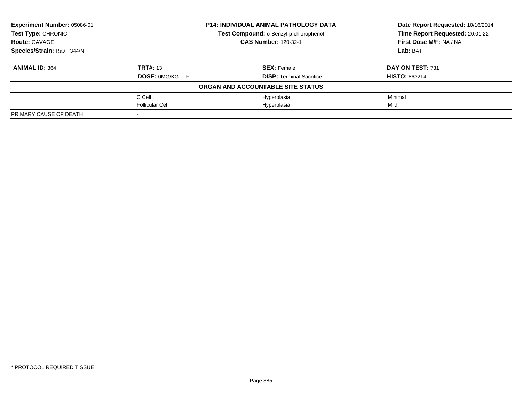| Experiment Number: 05086-01 | <b>P14: INDIVIDUAL ANIMAL PATHOLOGY DATA</b> |                                        | Date Report Requested: 10/16/2014 |
|-----------------------------|----------------------------------------------|----------------------------------------|-----------------------------------|
| Test Type: CHRONIC          |                                              | Test Compound: o-Benzyl-p-chlorophenol | Time Report Requested: 20:01:22   |
| <b>Route: GAVAGE</b>        |                                              | <b>CAS Number: 120-32-1</b>            | First Dose M/F: NA / NA           |
| Species/Strain: Rat/F 344/N |                                              |                                        | <b>Lab: BAT</b>                   |
| <b>ANIMAL ID: 364</b>       | <b>TRT#: 13</b>                              | <b>SEX: Female</b>                     | DAY ON TEST: 731                  |
|                             | <b>DOSE: OMG/KG F</b>                        | <b>DISP:</b> Terminal Sacrifice        | <b>HISTO: 863214</b>              |
|                             |                                              | ORGAN AND ACCOUNTABLE SITE STATUS      |                                   |
|                             | C Cell                                       | Hyperplasia                            | Minimal                           |
|                             | <b>Follicular Cel</b>                        | Hyperplasia                            | Mild                              |
| PRIMARY CAUSE OF DEATH      |                                              |                                        |                                   |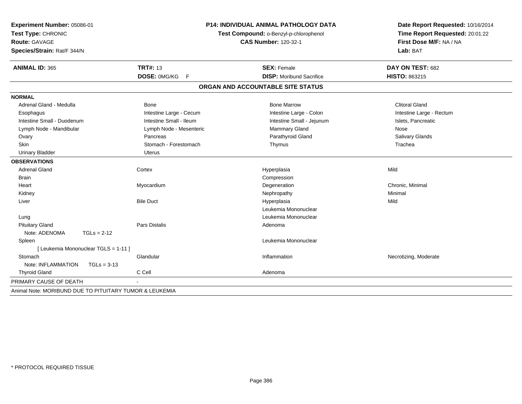| <b>ANIMAL ID: 365</b><br><b>TRT#: 13</b><br><b>SEX: Female</b><br>DAY ON TEST: 682<br>DOSE: 0MG/KG F<br><b>DISP:</b> Moribund Sacrifice<br>HISTO: 863215<br>ORGAN AND ACCOUNTABLE SITE STATUS<br><b>NORMAL</b><br><b>Clitoral Gland</b><br>Adrenal Gland - Medulla<br><b>Bone</b><br><b>Bone Marrow</b><br>Intestine Large - Cecum<br>Intestine Large - Colon<br>Intestine Large - Rectum<br>Esophagus<br>Intestine Small - Ileum<br>Intestine Small - Jejunum<br>Islets, Pancreatic<br>Intestine Small - Duodenum<br>Mammary Gland<br>Lymph Node - Mandibular<br>Lymph Node - Mesenteric<br>Nose<br>Parathyroid Gland<br>Pancreas<br>Salivary Glands<br>Ovary<br>Stomach - Forestomach<br><b>Skin</b><br>Trachea<br>Thymus<br><b>Urinary Bladder</b><br>Uterus<br><b>OBSERVATIONS</b><br><b>Adrenal Gland</b><br>Mild<br>Cortex<br>Hyperplasia<br>Compression<br>Brain<br>Chronic, Minimal<br>Heart<br>Myocardium<br>Degeneration<br>Minimal<br>Kidney<br>Nephropathy<br><b>Bile Duct</b><br>Hyperplasia<br>Mild<br>Liver<br>Leukemia Mononuclear<br>Leukemia Mononuclear<br>Lung<br><b>Pituitary Gland</b><br><b>Pars Distalis</b><br>Adenoma<br>Note: ADENOMA<br>$TGLs = 2-12$<br>Leukemia Mononuclear<br>Spleen | Experiment Number: 05086-01<br>Test Type: CHRONIC<br><b>Route: GAVAGE</b><br>Species/Strain: Rat/F 344/N | <b>P14: INDIVIDUAL ANIMAL PATHOLOGY DATA</b><br>Test Compound: o-Benzyl-p-chlorophenol<br><b>CAS Number: 120-32-1</b> |  | Date Report Requested: 10/16/2014<br>Time Report Requested: 20:01:22<br>First Dose M/F: NA / NA<br>Lab: BAT |  |
|---------------------------------------------------------------------------------------------------------------------------------------------------------------------------------------------------------------------------------------------------------------------------------------------------------------------------------------------------------------------------------------------------------------------------------------------------------------------------------------------------------------------------------------------------------------------------------------------------------------------------------------------------------------------------------------------------------------------------------------------------------------------------------------------------------------------------------------------------------------------------------------------------------------------------------------------------------------------------------------------------------------------------------------------------------------------------------------------------------------------------------------------------------------------------------------------------------------------|----------------------------------------------------------------------------------------------------------|-----------------------------------------------------------------------------------------------------------------------|--|-------------------------------------------------------------------------------------------------------------|--|
|                                                                                                                                                                                                                                                                                                                                                                                                                                                                                                                                                                                                                                                                                                                                                                                                                                                                                                                                                                                                                                                                                                                                                                                                                     |                                                                                                          |                                                                                                                       |  |                                                                                                             |  |
|                                                                                                                                                                                                                                                                                                                                                                                                                                                                                                                                                                                                                                                                                                                                                                                                                                                                                                                                                                                                                                                                                                                                                                                                                     |                                                                                                          |                                                                                                                       |  |                                                                                                             |  |
|                                                                                                                                                                                                                                                                                                                                                                                                                                                                                                                                                                                                                                                                                                                                                                                                                                                                                                                                                                                                                                                                                                                                                                                                                     |                                                                                                          |                                                                                                                       |  |                                                                                                             |  |
|                                                                                                                                                                                                                                                                                                                                                                                                                                                                                                                                                                                                                                                                                                                                                                                                                                                                                                                                                                                                                                                                                                                                                                                                                     |                                                                                                          |                                                                                                                       |  |                                                                                                             |  |
|                                                                                                                                                                                                                                                                                                                                                                                                                                                                                                                                                                                                                                                                                                                                                                                                                                                                                                                                                                                                                                                                                                                                                                                                                     |                                                                                                          |                                                                                                                       |  |                                                                                                             |  |
|                                                                                                                                                                                                                                                                                                                                                                                                                                                                                                                                                                                                                                                                                                                                                                                                                                                                                                                                                                                                                                                                                                                                                                                                                     |                                                                                                          |                                                                                                                       |  |                                                                                                             |  |
|                                                                                                                                                                                                                                                                                                                                                                                                                                                                                                                                                                                                                                                                                                                                                                                                                                                                                                                                                                                                                                                                                                                                                                                                                     |                                                                                                          |                                                                                                                       |  |                                                                                                             |  |
|                                                                                                                                                                                                                                                                                                                                                                                                                                                                                                                                                                                                                                                                                                                                                                                                                                                                                                                                                                                                                                                                                                                                                                                                                     |                                                                                                          |                                                                                                                       |  |                                                                                                             |  |
|                                                                                                                                                                                                                                                                                                                                                                                                                                                                                                                                                                                                                                                                                                                                                                                                                                                                                                                                                                                                                                                                                                                                                                                                                     |                                                                                                          |                                                                                                                       |  |                                                                                                             |  |
|                                                                                                                                                                                                                                                                                                                                                                                                                                                                                                                                                                                                                                                                                                                                                                                                                                                                                                                                                                                                                                                                                                                                                                                                                     |                                                                                                          |                                                                                                                       |  |                                                                                                             |  |
|                                                                                                                                                                                                                                                                                                                                                                                                                                                                                                                                                                                                                                                                                                                                                                                                                                                                                                                                                                                                                                                                                                                                                                                                                     |                                                                                                          |                                                                                                                       |  |                                                                                                             |  |
|                                                                                                                                                                                                                                                                                                                                                                                                                                                                                                                                                                                                                                                                                                                                                                                                                                                                                                                                                                                                                                                                                                                                                                                                                     |                                                                                                          |                                                                                                                       |  |                                                                                                             |  |
|                                                                                                                                                                                                                                                                                                                                                                                                                                                                                                                                                                                                                                                                                                                                                                                                                                                                                                                                                                                                                                                                                                                                                                                                                     |                                                                                                          |                                                                                                                       |  |                                                                                                             |  |
|                                                                                                                                                                                                                                                                                                                                                                                                                                                                                                                                                                                                                                                                                                                                                                                                                                                                                                                                                                                                                                                                                                                                                                                                                     |                                                                                                          |                                                                                                                       |  |                                                                                                             |  |
|                                                                                                                                                                                                                                                                                                                                                                                                                                                                                                                                                                                                                                                                                                                                                                                                                                                                                                                                                                                                                                                                                                                                                                                                                     |                                                                                                          |                                                                                                                       |  |                                                                                                             |  |
|                                                                                                                                                                                                                                                                                                                                                                                                                                                                                                                                                                                                                                                                                                                                                                                                                                                                                                                                                                                                                                                                                                                                                                                                                     |                                                                                                          |                                                                                                                       |  |                                                                                                             |  |
|                                                                                                                                                                                                                                                                                                                                                                                                                                                                                                                                                                                                                                                                                                                                                                                                                                                                                                                                                                                                                                                                                                                                                                                                                     |                                                                                                          |                                                                                                                       |  |                                                                                                             |  |
|                                                                                                                                                                                                                                                                                                                                                                                                                                                                                                                                                                                                                                                                                                                                                                                                                                                                                                                                                                                                                                                                                                                                                                                                                     |                                                                                                          |                                                                                                                       |  |                                                                                                             |  |
|                                                                                                                                                                                                                                                                                                                                                                                                                                                                                                                                                                                                                                                                                                                                                                                                                                                                                                                                                                                                                                                                                                                                                                                                                     |                                                                                                          |                                                                                                                       |  |                                                                                                             |  |
|                                                                                                                                                                                                                                                                                                                                                                                                                                                                                                                                                                                                                                                                                                                                                                                                                                                                                                                                                                                                                                                                                                                                                                                                                     |                                                                                                          |                                                                                                                       |  |                                                                                                             |  |
|                                                                                                                                                                                                                                                                                                                                                                                                                                                                                                                                                                                                                                                                                                                                                                                                                                                                                                                                                                                                                                                                                                                                                                                                                     |                                                                                                          |                                                                                                                       |  |                                                                                                             |  |
|                                                                                                                                                                                                                                                                                                                                                                                                                                                                                                                                                                                                                                                                                                                                                                                                                                                                                                                                                                                                                                                                                                                                                                                                                     |                                                                                                          |                                                                                                                       |  |                                                                                                             |  |
|                                                                                                                                                                                                                                                                                                                                                                                                                                                                                                                                                                                                                                                                                                                                                                                                                                                                                                                                                                                                                                                                                                                                                                                                                     | [ Leukemia Mononuclear TGLS = 1-11 ]                                                                     |                                                                                                                       |  |                                                                                                             |  |
| Stomach<br>Inflammation<br>Necrotizing, Moderate<br>Glandular                                                                                                                                                                                                                                                                                                                                                                                                                                                                                                                                                                                                                                                                                                                                                                                                                                                                                                                                                                                                                                                                                                                                                       |                                                                                                          |                                                                                                                       |  |                                                                                                             |  |
| Note: INFLAMMATION<br>$TGLs = 3-13$                                                                                                                                                                                                                                                                                                                                                                                                                                                                                                                                                                                                                                                                                                                                                                                                                                                                                                                                                                                                                                                                                                                                                                                 |                                                                                                          |                                                                                                                       |  |                                                                                                             |  |
| C Cell<br><b>Thyroid Gland</b><br>Adenoma                                                                                                                                                                                                                                                                                                                                                                                                                                                                                                                                                                                                                                                                                                                                                                                                                                                                                                                                                                                                                                                                                                                                                                           |                                                                                                          |                                                                                                                       |  |                                                                                                             |  |
| PRIMARY CAUSE OF DEATH                                                                                                                                                                                                                                                                                                                                                                                                                                                                                                                                                                                                                                                                                                                                                                                                                                                                                                                                                                                                                                                                                                                                                                                              |                                                                                                          |                                                                                                                       |  |                                                                                                             |  |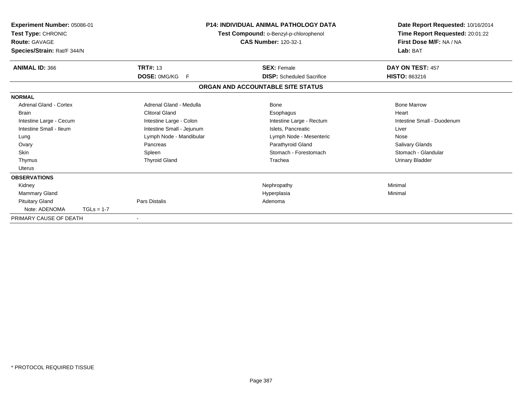| Experiment Number: 05086-01<br>Test Type: CHRONIC<br><b>Route: GAVAGE</b><br>Species/Strain: Rat/F 344/N |              |                           | <b>P14: INDIVIDUAL ANIMAL PATHOLOGY DATA</b><br>Test Compound: o-Benzyl-p-chlorophenol<br><b>CAS Number: 120-32-1</b> | Date Report Requested: 10/16/2014<br>Time Report Requested: 20:01:22<br>First Dose M/F: NA / NA<br>Lab: BAT |
|----------------------------------------------------------------------------------------------------------|--------------|---------------------------|-----------------------------------------------------------------------------------------------------------------------|-------------------------------------------------------------------------------------------------------------|
| <b>ANIMAL ID: 366</b>                                                                                    |              | <b>TRT#: 13</b>           | <b>SEX: Female</b>                                                                                                    | DAY ON TEST: 457                                                                                            |
|                                                                                                          |              | DOSE: 0MG/KG<br>F         | <b>DISP:</b> Scheduled Sacrifice                                                                                      | <b>HISTO: 863216</b>                                                                                        |
|                                                                                                          |              |                           | ORGAN AND ACCOUNTABLE SITE STATUS                                                                                     |                                                                                                             |
| <b>NORMAL</b>                                                                                            |              |                           |                                                                                                                       |                                                                                                             |
| Adrenal Gland - Cortex                                                                                   |              | Adrenal Gland - Medulla   | Bone                                                                                                                  | <b>Bone Marrow</b>                                                                                          |
| <b>Brain</b>                                                                                             |              | <b>Clitoral Gland</b>     | Esophagus                                                                                                             | Heart                                                                                                       |
| Intestine Large - Cecum                                                                                  |              | Intestine Large - Colon   | Intestine Large - Rectum                                                                                              | Intestine Small - Duodenum                                                                                  |
| Intestine Small - Ileum                                                                                  |              | Intestine Small - Jejunum | Islets, Pancreatic                                                                                                    | Liver                                                                                                       |
| Lung                                                                                                     |              | Lymph Node - Mandibular   | Lymph Node - Mesenteric                                                                                               | Nose                                                                                                        |
| Ovary                                                                                                    |              | Pancreas                  | Parathyroid Gland                                                                                                     | <b>Salivary Glands</b>                                                                                      |
| <b>Skin</b>                                                                                              |              | Spleen                    | Stomach - Forestomach                                                                                                 | Stomach - Glandular                                                                                         |
| Thymus                                                                                                   |              | <b>Thyroid Gland</b>      | Trachea                                                                                                               | Urinary Bladder                                                                                             |
| <b>Uterus</b>                                                                                            |              |                           |                                                                                                                       |                                                                                                             |
| <b>OBSERVATIONS</b>                                                                                      |              |                           |                                                                                                                       |                                                                                                             |
| Kidney                                                                                                   |              |                           | Nephropathy                                                                                                           | Minimal                                                                                                     |
| <b>Mammary Gland</b>                                                                                     |              |                           | Hyperplasia                                                                                                           | Minimal                                                                                                     |
| <b>Pituitary Gland</b>                                                                                   |              | Pars Distalis             | Adenoma                                                                                                               |                                                                                                             |
| Note: ADENOMA                                                                                            | $TGLs = 1-7$ |                           |                                                                                                                       |                                                                                                             |
| PRIMARY CAUSE OF DEATH                                                                                   |              |                           |                                                                                                                       |                                                                                                             |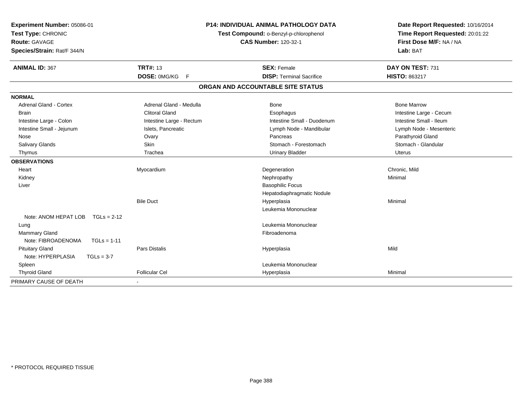| Experiment Number: 05086-01<br>Test Type: CHRONIC<br><b>Route: GAVAGE</b><br>Species/Strain: Rat/F 344/N |                          | <b>P14: INDIVIDUAL ANIMAL PATHOLOGY DATA</b><br>Test Compound: o-Benzyl-p-chlorophenol<br><b>CAS Number: 120-32-1</b> | Date Report Requested: 10/16/2014<br>Time Report Requested: 20:01:22<br>First Dose M/F: NA / NA<br>Lab: BAT |  |
|----------------------------------------------------------------------------------------------------------|--------------------------|-----------------------------------------------------------------------------------------------------------------------|-------------------------------------------------------------------------------------------------------------|--|
| <b>ANIMAL ID: 367</b>                                                                                    | <b>TRT#: 13</b>          | <b>SEX: Female</b>                                                                                                    | DAY ON TEST: 731                                                                                            |  |
|                                                                                                          | DOSE: 0MG/KG F           | <b>DISP: Terminal Sacrifice</b>                                                                                       | HISTO: 863217                                                                                               |  |
|                                                                                                          |                          | ORGAN AND ACCOUNTABLE SITE STATUS                                                                                     |                                                                                                             |  |
| <b>NORMAL</b>                                                                                            |                          |                                                                                                                       |                                                                                                             |  |
| <b>Adrenal Gland - Cortex</b>                                                                            | Adrenal Gland - Medulla  | Bone                                                                                                                  | <b>Bone Marrow</b>                                                                                          |  |
| <b>Brain</b>                                                                                             | <b>Clitoral Gland</b>    | Esophagus                                                                                                             | Intestine Large - Cecum                                                                                     |  |
| Intestine Large - Colon                                                                                  | Intestine Large - Rectum | Intestine Small - Duodenum                                                                                            | Intestine Small - Ileum                                                                                     |  |
| Intestine Small - Jejunum                                                                                | Islets, Pancreatic       | Lymph Node - Mandibular                                                                                               | Lymph Node - Mesenteric                                                                                     |  |
| Nose                                                                                                     | Ovary                    | Pancreas                                                                                                              | Parathyroid Gland                                                                                           |  |
| Salivary Glands                                                                                          | <b>Skin</b>              | Stomach - Forestomach                                                                                                 | Stomach - Glandular                                                                                         |  |
| Thymus                                                                                                   | Trachea                  | <b>Urinary Bladder</b>                                                                                                | <b>Uterus</b>                                                                                               |  |
| <b>OBSERVATIONS</b>                                                                                      |                          |                                                                                                                       |                                                                                                             |  |
| Heart                                                                                                    | Myocardium               | Degeneration                                                                                                          | Chronic, Mild                                                                                               |  |
| Kidney                                                                                                   |                          | Nephropathy                                                                                                           | Minimal                                                                                                     |  |
| Liver                                                                                                    |                          | <b>Basophilic Focus</b>                                                                                               |                                                                                                             |  |
|                                                                                                          |                          | Hepatodiaphragmatic Nodule                                                                                            |                                                                                                             |  |
|                                                                                                          | <b>Bile Duct</b>         | Hyperplasia                                                                                                           | Minimal                                                                                                     |  |
|                                                                                                          |                          | Leukemia Mononuclear                                                                                                  |                                                                                                             |  |
| Note: ANOM HEPAT LOB<br>$TGLs = 2-12$                                                                    |                          |                                                                                                                       |                                                                                                             |  |
| Lung                                                                                                     |                          | Leukemia Mononuclear                                                                                                  |                                                                                                             |  |
| <b>Mammary Gland</b>                                                                                     |                          | Fibroadenoma                                                                                                          |                                                                                                             |  |
| Note: FIBROADENOMA<br>$TGLs = 1-11$                                                                      |                          |                                                                                                                       |                                                                                                             |  |
| <b>Pituitary Gland</b>                                                                                   | <b>Pars Distalis</b>     | Hyperplasia                                                                                                           | Mild                                                                                                        |  |
| Note: HYPERPLASIA<br>$TGLs = 3-7$                                                                        |                          |                                                                                                                       |                                                                                                             |  |
| Spleen                                                                                                   |                          | Leukemia Mononuclear                                                                                                  |                                                                                                             |  |
| <b>Thyroid Gland</b>                                                                                     | <b>Follicular Cel</b>    | Hyperplasia                                                                                                           | Minimal                                                                                                     |  |
| PRIMARY CAUSE OF DEATH                                                                                   |                          |                                                                                                                       |                                                                                                             |  |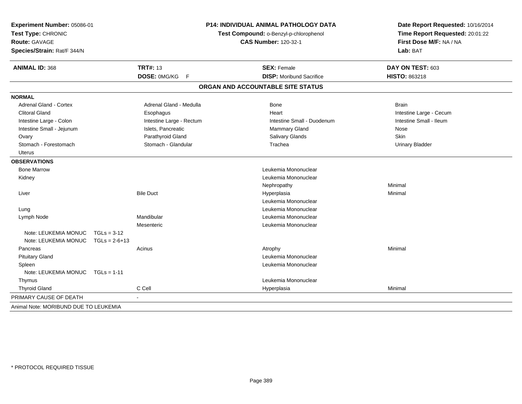| Experiment Number: 05086-01<br>Test Type: CHRONIC<br><b>Route: GAVAGE</b><br>Species/Strain: Rat/F 344/N |                 | P14: INDIVIDUAL ANIMAL PATHOLOGY DATA<br>Test Compound: o-Benzyl-p-chlorophenol<br><b>CAS Number: 120-32-1</b> |                                   | Date Report Requested: 10/16/2014<br>Time Report Requested: 20:01:22<br>First Dose M/F: NA / NA<br>Lab: BAT |
|----------------------------------------------------------------------------------------------------------|-----------------|----------------------------------------------------------------------------------------------------------------|-----------------------------------|-------------------------------------------------------------------------------------------------------------|
| <b>ANIMAL ID: 368</b>                                                                                    |                 | <b>TRT#: 13</b>                                                                                                | <b>SEX: Female</b>                | DAY ON TEST: 603                                                                                            |
|                                                                                                          |                 | DOSE: 0MG/KG F                                                                                                 | <b>DISP:</b> Moribund Sacrifice   | HISTO: 863218                                                                                               |
|                                                                                                          |                 |                                                                                                                | ORGAN AND ACCOUNTABLE SITE STATUS |                                                                                                             |
| <b>NORMAL</b>                                                                                            |                 |                                                                                                                |                                   |                                                                                                             |
| <b>Adrenal Gland - Cortex</b>                                                                            |                 | Adrenal Gland - Medulla                                                                                        | Bone                              | <b>Brain</b>                                                                                                |
| <b>Clitoral Gland</b>                                                                                    |                 | Esophagus                                                                                                      | Heart                             | Intestine Large - Cecum                                                                                     |
| Intestine Large - Colon                                                                                  |                 | Intestine Large - Rectum                                                                                       | Intestine Small - Duodenum        | Intestine Small - Ileum                                                                                     |
| Intestine Small - Jejunum                                                                                |                 | Islets, Pancreatic                                                                                             | Mammary Gland                     | Nose                                                                                                        |
| Ovary                                                                                                    |                 | Parathyroid Gland                                                                                              | Salivary Glands                   | Skin                                                                                                        |
| Stomach - Forestomach                                                                                    |                 | Stomach - Glandular                                                                                            | Trachea                           | <b>Urinary Bladder</b>                                                                                      |
| <b>Uterus</b>                                                                                            |                 |                                                                                                                |                                   |                                                                                                             |
| <b>OBSERVATIONS</b>                                                                                      |                 |                                                                                                                |                                   |                                                                                                             |
| <b>Bone Marrow</b>                                                                                       |                 |                                                                                                                | Leukemia Mononuclear              |                                                                                                             |
| Kidney                                                                                                   |                 |                                                                                                                | Leukemia Mononuclear              |                                                                                                             |
|                                                                                                          |                 |                                                                                                                | Nephropathy                       | Minimal                                                                                                     |
| Liver                                                                                                    |                 | <b>Bile Duct</b>                                                                                               | Hyperplasia                       | Minimal                                                                                                     |
|                                                                                                          |                 |                                                                                                                | Leukemia Mononuclear              |                                                                                                             |
| Lung                                                                                                     |                 |                                                                                                                | Leukemia Mononuclear              |                                                                                                             |
| Lymph Node                                                                                               |                 | Mandibular                                                                                                     | Leukemia Mononuclear              |                                                                                                             |
|                                                                                                          |                 | Mesenteric                                                                                                     | Leukemia Mononuclear              |                                                                                                             |
| Note: LEUKEMIA MONUC                                                                                     | $TGLs = 3-12$   |                                                                                                                |                                   |                                                                                                             |
| Note: LEUKEMIA MONUC                                                                                     | $TGLs = 2-6+13$ |                                                                                                                |                                   |                                                                                                             |
| Pancreas                                                                                                 |                 | Acinus                                                                                                         | Atrophy                           | Minimal                                                                                                     |
| <b>Pituitary Gland</b>                                                                                   |                 |                                                                                                                | Leukemia Mononuclear              |                                                                                                             |
| Spleen                                                                                                   |                 |                                                                                                                | Leukemia Mononuclear              |                                                                                                             |
| Note: LEUKEMIA MONUC                                                                                     | $TGLs = 1-11$   |                                                                                                                |                                   |                                                                                                             |
| Thymus                                                                                                   |                 |                                                                                                                | Leukemia Mononuclear              |                                                                                                             |
| <b>Thyroid Gland</b>                                                                                     |                 | C Cell                                                                                                         | Hyperplasia                       | Minimal                                                                                                     |
| PRIMARY CAUSE OF DEATH                                                                                   |                 | $\sim$                                                                                                         |                                   |                                                                                                             |
| Animal Note: MORIBUND DUE TO LEUKEMIA                                                                    |                 |                                                                                                                |                                   |                                                                                                             |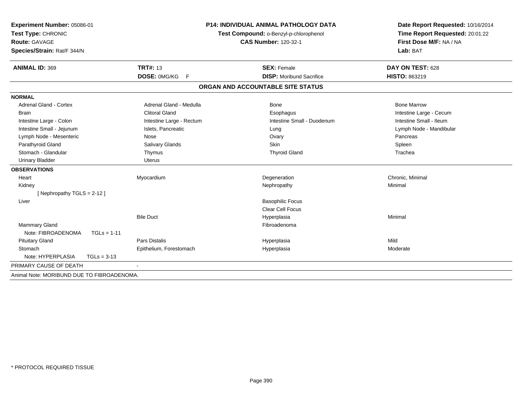| Experiment Number: 05086-01<br>Test Type: CHRONIC |                          | P14: INDIVIDUAL ANIMAL PATHOLOGY DATA<br>Test Compound: o-Benzyl-p-chlorophenol | Date Report Requested: 10/16/2014<br>Time Report Requested: 20:01:22 |
|---------------------------------------------------|--------------------------|---------------------------------------------------------------------------------|----------------------------------------------------------------------|
| <b>Route: GAVAGE</b>                              |                          |                                                                                 | First Dose M/F: NA / NA                                              |
| Species/Strain: Rat/F 344/N                       |                          | <b>CAS Number: 120-32-1</b>                                                     | Lab: BAT                                                             |
| <b>ANIMAL ID: 369</b>                             | <b>TRT#: 13</b>          | <b>SEX: Female</b>                                                              | DAY ON TEST: 628                                                     |
|                                                   | DOSE: 0MG/KG F           | <b>DISP:</b> Moribund Sacrifice                                                 | <b>HISTO: 863219</b>                                                 |
|                                                   |                          | ORGAN AND ACCOUNTABLE SITE STATUS                                               |                                                                      |
| <b>NORMAL</b>                                     |                          |                                                                                 |                                                                      |
| <b>Adrenal Gland - Cortex</b>                     | Adrenal Gland - Medulla  | Bone                                                                            | <b>Bone Marrow</b>                                                   |
| <b>Brain</b>                                      | <b>Clitoral Gland</b>    | Esophagus                                                                       | Intestine Large - Cecum                                              |
| Intestine Large - Colon                           | Intestine Large - Rectum | Intestine Small - Duodenum                                                      | Intestine Small - Ileum                                              |
| Intestine Small - Jejunum                         | Islets, Pancreatic       | Lung                                                                            | Lymph Node - Mandibular                                              |
| Lymph Node - Mesenteric                           | Nose                     | Ovary                                                                           | Pancreas                                                             |
| Parathyroid Gland                                 | Salivary Glands          | Skin                                                                            | Spleen                                                               |
| Stomach - Glandular                               | Thymus                   | <b>Thyroid Gland</b>                                                            | Trachea                                                              |
| <b>Urinary Bladder</b>                            | <b>Uterus</b>            |                                                                                 |                                                                      |
| <b>OBSERVATIONS</b>                               |                          |                                                                                 |                                                                      |
| Heart                                             | Myocardium               | Degeneration                                                                    | Chronic, Minimal                                                     |
| Kidney                                            |                          | Nephropathy                                                                     | Minimal                                                              |
| [Nephropathy TGLS = 2-12]                         |                          |                                                                                 |                                                                      |
| Liver                                             |                          | <b>Basophilic Focus</b>                                                         |                                                                      |
|                                                   |                          | Clear Cell Focus                                                                |                                                                      |
|                                                   | <b>Bile Duct</b>         | Hyperplasia                                                                     | Minimal                                                              |
| <b>Mammary Gland</b>                              |                          | Fibroadenoma                                                                    |                                                                      |
| Note: FIBROADENOMA<br>$TGLs = 1-11$               |                          |                                                                                 |                                                                      |
| <b>Pituitary Gland</b>                            | <b>Pars Distalis</b>     | Hyperplasia                                                                     | Mild                                                                 |
| Stomach                                           | Epithelium, Forestomach  | Hyperplasia                                                                     | Moderate                                                             |
| Note: HYPERPLASIA<br>$TGLs = 3-13$                |                          |                                                                                 |                                                                      |
| PRIMARY CAUSE OF DEATH                            |                          |                                                                                 |                                                                      |
| Animal Note: MORIBUND DUE TO FIBROADENOMA.        |                          |                                                                                 |                                                                      |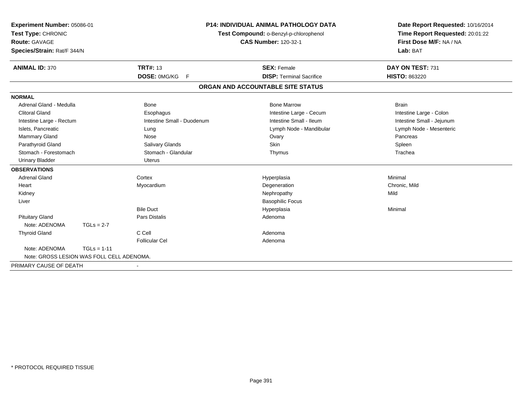| Experiment Number: 05086-01<br>Test Type: CHRONIC<br><b>Route: GAVAGE</b><br>Species/Strain: Rat/F 344/N |               | <b>P14: INDIVIDUAL ANIMAL PATHOLOGY DATA</b><br>Test Compound: o-Benzyl-p-chlorophenol<br><b>CAS Number: 120-32-1</b> |                                   | Date Report Requested: 10/16/2014<br>Time Report Requested: 20:01:22<br>First Dose M/F: NA / NA<br>Lab: BAT |  |
|----------------------------------------------------------------------------------------------------------|---------------|-----------------------------------------------------------------------------------------------------------------------|-----------------------------------|-------------------------------------------------------------------------------------------------------------|--|
| <b>ANIMAL ID: 370</b>                                                                                    |               | <b>TRT#: 13</b>                                                                                                       | <b>SEX: Female</b>                | DAY ON TEST: 731                                                                                            |  |
|                                                                                                          |               | DOSE: 0MG/KG F                                                                                                        | <b>DISP: Terminal Sacrifice</b>   | HISTO: 863220                                                                                               |  |
|                                                                                                          |               |                                                                                                                       | ORGAN AND ACCOUNTABLE SITE STATUS |                                                                                                             |  |
| <b>NORMAL</b>                                                                                            |               |                                                                                                                       |                                   |                                                                                                             |  |
| Adrenal Gland - Medulla                                                                                  |               | <b>Bone</b>                                                                                                           | <b>Bone Marrow</b>                | <b>Brain</b>                                                                                                |  |
| <b>Clitoral Gland</b>                                                                                    |               | Esophagus                                                                                                             | Intestine Large - Cecum           | Intestine Large - Colon                                                                                     |  |
| Intestine Large - Rectum                                                                                 |               | Intestine Small - Duodenum                                                                                            | Intestine Small - Ileum           | Intestine Small - Jejunum                                                                                   |  |
| Islets, Pancreatic                                                                                       |               | Lung                                                                                                                  | Lymph Node - Mandibular           | Lymph Node - Mesenteric                                                                                     |  |
| <b>Mammary Gland</b>                                                                                     |               | Nose                                                                                                                  | Ovary                             | Pancreas                                                                                                    |  |
| Parathyroid Gland                                                                                        |               | Salivary Glands                                                                                                       | <b>Skin</b>                       | Spleen                                                                                                      |  |
| Stomach - Forestomach                                                                                    |               | Stomach - Glandular                                                                                                   | Thymus                            | Trachea                                                                                                     |  |
| <b>Urinary Bladder</b>                                                                                   |               | <b>Uterus</b>                                                                                                         |                                   |                                                                                                             |  |
| <b>OBSERVATIONS</b>                                                                                      |               |                                                                                                                       |                                   |                                                                                                             |  |
| Adrenal Gland                                                                                            |               | Cortex                                                                                                                | Hyperplasia                       | Minimal                                                                                                     |  |
| Heart                                                                                                    |               | Myocardium                                                                                                            | Degeneration                      | Chronic, Mild                                                                                               |  |
| Kidney                                                                                                   |               |                                                                                                                       | Nephropathy                       | Mild                                                                                                        |  |
| Liver                                                                                                    |               |                                                                                                                       | <b>Basophilic Focus</b>           |                                                                                                             |  |
|                                                                                                          |               | <b>Bile Duct</b>                                                                                                      | Hyperplasia                       | Minimal                                                                                                     |  |
| <b>Pituitary Gland</b>                                                                                   |               | Pars Distalis                                                                                                         | Adenoma                           |                                                                                                             |  |
| Note: ADENOMA                                                                                            | $TGLs = 2-7$  |                                                                                                                       |                                   |                                                                                                             |  |
| <b>Thyroid Gland</b>                                                                                     |               | C Cell                                                                                                                | Adenoma                           |                                                                                                             |  |
|                                                                                                          |               | <b>Follicular Cel</b>                                                                                                 | Adenoma                           |                                                                                                             |  |
| Note: ADENOMA                                                                                            | $TGLs = 1-11$ |                                                                                                                       |                                   |                                                                                                             |  |
| Note: GROSS LESION WAS FOLL CELL ADENOMA.                                                                |               |                                                                                                                       |                                   |                                                                                                             |  |
| PRIMARY CAUSE OF DEATH                                                                                   |               |                                                                                                                       |                                   |                                                                                                             |  |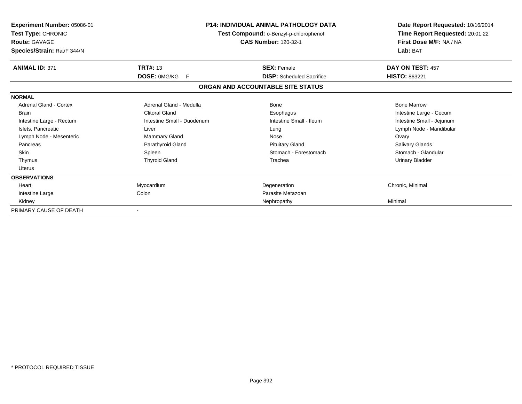| Experiment Number: 05086-01<br>Test Type: CHRONIC<br><b>Route: GAVAGE</b><br>Species/Strain: Rat/F 344/N | <b>P14: INDIVIDUAL ANIMAL PATHOLOGY DATA</b><br>Test Compound: o-Benzyl-p-chlorophenol<br><b>CAS Number: 120-32-1</b> |                                   | Date Report Requested: 10/16/2014<br>Time Report Requested: 20:01:22<br>First Dose M/F: NA / NA<br>Lab: BAT |
|----------------------------------------------------------------------------------------------------------|-----------------------------------------------------------------------------------------------------------------------|-----------------------------------|-------------------------------------------------------------------------------------------------------------|
| <b>ANIMAL ID: 371</b>                                                                                    | <b>TRT#: 13</b>                                                                                                       | <b>SEX: Female</b>                | DAY ON TEST: 457                                                                                            |
|                                                                                                          | <b>DOSE: OMG/KG</b><br>F.                                                                                             | <b>DISP:</b> Scheduled Sacrifice  | HISTO: 863221                                                                                               |
|                                                                                                          |                                                                                                                       | ORGAN AND ACCOUNTABLE SITE STATUS |                                                                                                             |
| <b>NORMAL</b>                                                                                            |                                                                                                                       |                                   |                                                                                                             |
| Adrenal Gland - Cortex                                                                                   | Adrenal Gland - Medulla                                                                                               | Bone                              | <b>Bone Marrow</b>                                                                                          |
| Brain                                                                                                    | <b>Clitoral Gland</b>                                                                                                 | Esophagus                         | Intestine Large - Cecum                                                                                     |
| Intestine Large - Rectum                                                                                 | Intestine Small - Duodenum                                                                                            | Intestine Small - Ileum           | Intestine Small - Jejunum                                                                                   |
| Islets, Pancreatic                                                                                       | Liver                                                                                                                 | Lung                              | Lymph Node - Mandibular                                                                                     |
| Lymph Node - Mesenteric                                                                                  | Mammary Gland                                                                                                         | Nose                              | Ovary                                                                                                       |
| Pancreas                                                                                                 | Parathyroid Gland                                                                                                     | <b>Pituitary Gland</b>            | <b>Salivary Glands</b>                                                                                      |
| <b>Skin</b>                                                                                              | Spleen                                                                                                                | Stomach - Forestomach             | Stomach - Glandular                                                                                         |
| Thymus                                                                                                   | <b>Thyroid Gland</b>                                                                                                  | Trachea                           | <b>Urinary Bladder</b>                                                                                      |
| Uterus                                                                                                   |                                                                                                                       |                                   |                                                                                                             |
| <b>OBSERVATIONS</b>                                                                                      |                                                                                                                       |                                   |                                                                                                             |
| Heart                                                                                                    | Myocardium                                                                                                            | Degeneration                      | Chronic, Minimal                                                                                            |
| Intestine Large                                                                                          | Colon                                                                                                                 | Parasite Metazoan                 |                                                                                                             |
| Kidney                                                                                                   |                                                                                                                       | Nephropathy                       | Minimal                                                                                                     |
| PRIMARY CAUSE OF DEATH                                                                                   |                                                                                                                       |                                   |                                                                                                             |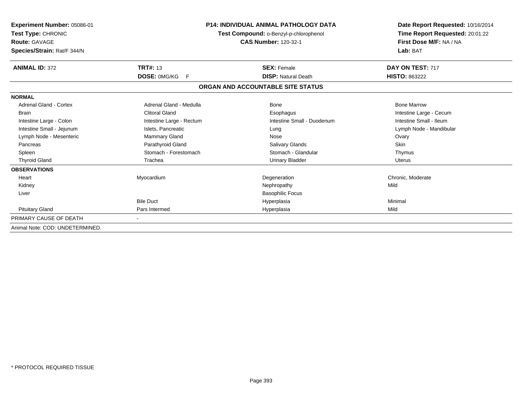| Experiment Number: 05086-01<br>Test Type: CHRONIC<br>Route: GAVAGE<br>Species/Strain: Rat/F 344/N |                                     | <b>P14: INDIVIDUAL ANIMAL PATHOLOGY DATA</b><br>Test Compound: o-Benzyl-p-chlorophenol<br><b>CAS Number: 120-32-1</b> | Date Report Requested: 10/16/2014<br>Time Report Requested: 20:01:22<br>First Dose M/F: NA / NA<br>Lab: BAT |  |
|---------------------------------------------------------------------------------------------------|-------------------------------------|-----------------------------------------------------------------------------------------------------------------------|-------------------------------------------------------------------------------------------------------------|--|
| <b>ANIMAL ID: 372</b>                                                                             | <b>TRT#: 13</b>                     | <b>SEX: Female</b>                                                                                                    | DAY ON TEST: 717                                                                                            |  |
|                                                                                                   | <b>DOSE: OMG/KG</b><br>$\mathsf{F}$ | <b>DISP: Natural Death</b>                                                                                            | <b>HISTO: 863222</b>                                                                                        |  |
|                                                                                                   |                                     | ORGAN AND ACCOUNTABLE SITE STATUS                                                                                     |                                                                                                             |  |
| <b>NORMAL</b>                                                                                     |                                     |                                                                                                                       |                                                                                                             |  |
| Adrenal Gland - Cortex                                                                            | Adrenal Gland - Medulla             | Bone                                                                                                                  | <b>Bone Marrow</b>                                                                                          |  |
| <b>Brain</b>                                                                                      | <b>Clitoral Gland</b>               | Esophagus                                                                                                             | Intestine Large - Cecum                                                                                     |  |
| Intestine Large - Colon                                                                           | Intestine Large - Rectum            | Intestine Small - Duodenum                                                                                            | Intestine Small - Ileum                                                                                     |  |
| Intestine Small - Jejunum                                                                         | Islets, Pancreatic                  | Lung                                                                                                                  | Lymph Node - Mandibular                                                                                     |  |
| Lymph Node - Mesenteric                                                                           | Mammary Gland                       | Nose                                                                                                                  | Ovary                                                                                                       |  |
| Pancreas                                                                                          | Parathyroid Gland                   | <b>Salivary Glands</b>                                                                                                | <b>Skin</b>                                                                                                 |  |
| Spleen                                                                                            | Stomach - Forestomach               | Stomach - Glandular                                                                                                   | Thymus                                                                                                      |  |
| <b>Thyroid Gland</b>                                                                              | Trachea                             | <b>Urinary Bladder</b>                                                                                                | Uterus                                                                                                      |  |
| <b>OBSERVATIONS</b>                                                                               |                                     |                                                                                                                       |                                                                                                             |  |
| Heart                                                                                             | Myocardium                          | Degeneration                                                                                                          | Chronic, Moderate                                                                                           |  |
| Kidney                                                                                            |                                     | Nephropathy                                                                                                           | Mild                                                                                                        |  |
| Liver                                                                                             |                                     | <b>Basophilic Focus</b>                                                                                               |                                                                                                             |  |
|                                                                                                   | <b>Bile Duct</b>                    | Hyperplasia                                                                                                           | Minimal                                                                                                     |  |
| <b>Pituitary Gland</b>                                                                            | Pars Intermed                       | Hyperplasia                                                                                                           | Mild                                                                                                        |  |
| PRIMARY CAUSE OF DEATH                                                                            |                                     |                                                                                                                       |                                                                                                             |  |
| Animal Note: COD: UNDETERMINED.                                                                   |                                     |                                                                                                                       |                                                                                                             |  |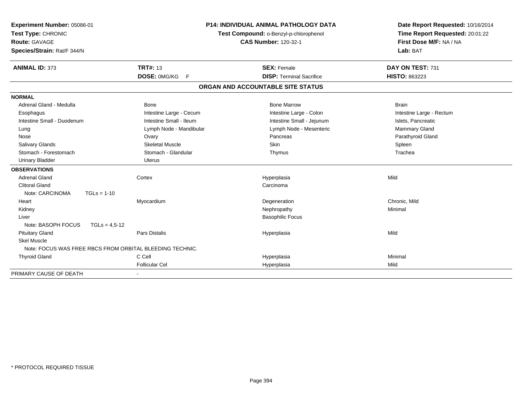| <b>Experiment Number: 05086-01</b><br>Test Type: CHRONIC<br><b>Route: GAVAGE</b><br>Species/Strain: Rat/F 344/N |                         | <b>P14: INDIVIDUAL ANIMAL PATHOLOGY DATA</b><br>Test Compound: o-Benzyl-p-chlorophenol<br><b>CAS Number: 120-32-1</b> | Date Report Requested: 10/16/2014<br>Time Report Requested: 20:01:22<br>First Dose M/F: NA / NA<br>Lab: BAT |  |
|-----------------------------------------------------------------------------------------------------------------|-------------------------|-----------------------------------------------------------------------------------------------------------------------|-------------------------------------------------------------------------------------------------------------|--|
| <b>ANIMAL ID: 373</b>                                                                                           | <b>TRT#: 13</b>         | <b>SEX: Female</b>                                                                                                    | DAY ON TEST: 731                                                                                            |  |
|                                                                                                                 | DOSE: 0MG/KG<br>F       | <b>DISP: Terminal Sacrifice</b>                                                                                       | HISTO: 863223                                                                                               |  |
|                                                                                                                 |                         | ORGAN AND ACCOUNTABLE SITE STATUS                                                                                     |                                                                                                             |  |
| <b>NORMAL</b>                                                                                                   |                         |                                                                                                                       |                                                                                                             |  |
| Adrenal Gland - Medulla                                                                                         | <b>Bone</b>             | <b>Bone Marrow</b>                                                                                                    | <b>Brain</b>                                                                                                |  |
| Esophagus                                                                                                       | Intestine Large - Cecum | Intestine Large - Colon                                                                                               | Intestine Large - Rectum                                                                                    |  |
| Intestine Small - Duodenum                                                                                      | Intestine Small - Ileum | Intestine Small - Jejunum                                                                                             | Islets, Pancreatic                                                                                          |  |
| Lung                                                                                                            | Lymph Node - Mandibular | Lymph Node - Mesenteric                                                                                               | Mammary Gland                                                                                               |  |
| Nose                                                                                                            | Ovary                   | Pancreas                                                                                                              | Parathyroid Gland                                                                                           |  |
| <b>Salivary Glands</b>                                                                                          | <b>Skeletal Muscle</b>  | <b>Skin</b>                                                                                                           | Spleen                                                                                                      |  |
| Stomach - Forestomach                                                                                           | Stomach - Glandular     | Thymus                                                                                                                | Trachea                                                                                                     |  |
| <b>Urinary Bladder</b>                                                                                          | <b>Uterus</b>           |                                                                                                                       |                                                                                                             |  |
| <b>OBSERVATIONS</b>                                                                                             |                         |                                                                                                                       |                                                                                                             |  |
| <b>Adrenal Gland</b>                                                                                            | Cortex                  | Hyperplasia                                                                                                           | Mild                                                                                                        |  |
| <b>Clitoral Gland</b>                                                                                           |                         | Carcinoma                                                                                                             |                                                                                                             |  |
| Note: CARCINOMA<br>$TGLs = 1-10$                                                                                |                         |                                                                                                                       |                                                                                                             |  |
| Heart                                                                                                           | Myocardium              | Degeneration                                                                                                          | Chronic, Mild                                                                                               |  |
| Kidney                                                                                                          |                         | Nephropathy                                                                                                           | Minimal                                                                                                     |  |
| Liver                                                                                                           |                         | <b>Basophilic Focus</b>                                                                                               |                                                                                                             |  |
| Note: BASOPH FOCUS<br>$TGLs = 4.5-12$                                                                           |                         |                                                                                                                       |                                                                                                             |  |
| <b>Pituitary Gland</b>                                                                                          | <b>Pars Distalis</b>    | Hyperplasia                                                                                                           | Mild                                                                                                        |  |
| <b>Skel Muscle</b>                                                                                              |                         |                                                                                                                       |                                                                                                             |  |
| Note: FOCUS WAS FREE RBCS FROM ORBITAL BLEEDING TECHNIC.                                                        |                         |                                                                                                                       |                                                                                                             |  |
| <b>Thyroid Gland</b>                                                                                            | C Cell                  | Hyperplasia                                                                                                           | Minimal                                                                                                     |  |
|                                                                                                                 | <b>Follicular Cel</b>   | Hyperplasia                                                                                                           | Mild                                                                                                        |  |
| PRIMARY CAUSE OF DEATH                                                                                          |                         |                                                                                                                       |                                                                                                             |  |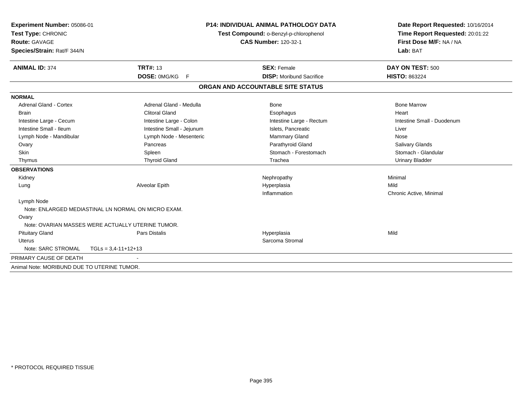| Experiment Number: 05086-01                         |                           | <b>P14: INDIVIDUAL ANIMAL PATHOLOGY DATA</b> | Date Report Requested: 10/16/2014                          |  |
|-----------------------------------------------------|---------------------------|----------------------------------------------|------------------------------------------------------------|--|
| Test Type: CHRONIC                                  |                           | Test Compound: o-Benzyl-p-chlorophenol       | Time Report Requested: 20:01:22<br>First Dose M/F: NA / NA |  |
| <b>Route: GAVAGE</b>                                |                           | <b>CAS Number: 120-32-1</b>                  |                                                            |  |
| Species/Strain: Rat/F 344/N                         |                           |                                              | Lab: BAT                                                   |  |
| <b>ANIMAL ID: 374</b>                               | <b>TRT#: 13</b>           | <b>SEX: Female</b>                           | DAY ON TEST: 500                                           |  |
|                                                     | DOSE: 0MG/KG F            | <b>DISP:</b> Moribund Sacrifice              | <b>HISTO: 863224</b>                                       |  |
|                                                     |                           |                                              |                                                            |  |
|                                                     |                           | ORGAN AND ACCOUNTABLE SITE STATUS            |                                                            |  |
| <b>NORMAL</b>                                       |                           |                                              |                                                            |  |
| <b>Adrenal Gland - Cortex</b>                       | Adrenal Gland - Medulla   | <b>Bone</b>                                  | <b>Bone Marrow</b>                                         |  |
| <b>Brain</b>                                        | <b>Clitoral Gland</b>     | Esophagus                                    | Heart                                                      |  |
| Intestine Large - Cecum                             | Intestine Large - Colon   | Intestine Large - Rectum                     | Intestine Small - Duodenum                                 |  |
| Intestine Small - Ileum                             | Intestine Small - Jejunum | Islets, Pancreatic                           | Liver                                                      |  |
| Lymph Node - Mandibular                             | Lymph Node - Mesenteric   | Mammary Gland                                | Nose                                                       |  |
| Ovary                                               | Pancreas                  | Parathyroid Gland                            | Salivary Glands                                            |  |
| Skin                                                | Spleen                    | Stomach - Forestomach                        | Stomach - Glandular                                        |  |
| Thymus                                              | <b>Thyroid Gland</b>      | Trachea                                      | <b>Urinary Bladder</b>                                     |  |
| <b>OBSERVATIONS</b>                                 |                           |                                              |                                                            |  |
| Kidney                                              |                           | Nephropathy                                  | Minimal                                                    |  |
| Lung                                                | Alveolar Epith            | Hyperplasia                                  | Mild                                                       |  |
|                                                     |                           | Inflammation                                 | Chronic Active, Minimal                                    |  |
| Lymph Node                                          |                           |                                              |                                                            |  |
| Note: ENLARGED MEDIASTINAL LN NORMAL ON MICRO EXAM. |                           |                                              |                                                            |  |
| Ovary                                               |                           |                                              |                                                            |  |
| Note: OVARIAN MASSES WERE ACTUALLY UTERINE TUMOR.   |                           |                                              |                                                            |  |
| <b>Pituitary Gland</b>                              | <b>Pars Distalis</b>      | Hyperplasia                                  | Mild                                                       |  |
| Uterus                                              |                           | Sarcoma Stromal                              |                                                            |  |
| Note: SARC STROMAL                                  | $TGLs = 3,4-11+12+13$     |                                              |                                                            |  |
| PRIMARY CAUSE OF DEATH                              |                           |                                              |                                                            |  |
| Animal Note: MORIBUND DUE TO UTERINE TUMOR.         |                           |                                              |                                                            |  |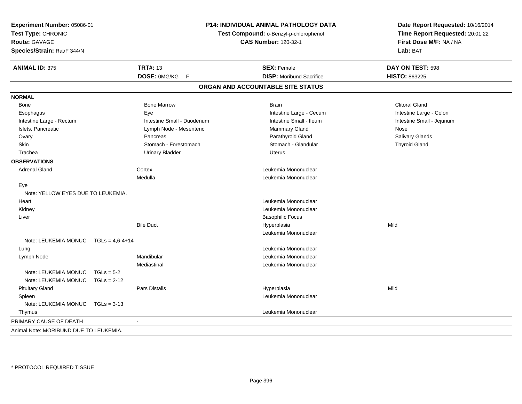| Experiment Number: 05086-01<br>P14: INDIVIDUAL ANIMAL PATHOLOGY DATA<br>Test Type: CHRONIC<br>Test Compound: o-Benzyl-p-chlorophenol<br><b>Route: GAVAGE</b><br><b>CAS Number: 120-32-1</b><br>Species/Strain: Rat/F 344/N |               | Date Report Requested: 10/16/2014<br>Time Report Requested: 20:01:22<br>First Dose M/F: NA / NA<br>Lab: BAT |                                   |                           |
|----------------------------------------------------------------------------------------------------------------------------------------------------------------------------------------------------------------------------|---------------|-------------------------------------------------------------------------------------------------------------|-----------------------------------|---------------------------|
| <b>ANIMAL ID: 375</b>                                                                                                                                                                                                      |               | <b>TRT#: 13</b>                                                                                             | <b>SEX: Female</b>                | DAY ON TEST: 598          |
|                                                                                                                                                                                                                            |               | DOSE: 0MG/KG<br>F                                                                                           | <b>DISP: Moribund Sacrifice</b>   | <b>HISTO: 863225</b>      |
|                                                                                                                                                                                                                            |               |                                                                                                             | ORGAN AND ACCOUNTABLE SITE STATUS |                           |
| <b>NORMAL</b>                                                                                                                                                                                                              |               |                                                                                                             |                                   |                           |
| Bone                                                                                                                                                                                                                       |               | <b>Bone Marrow</b>                                                                                          | <b>Brain</b>                      | <b>Clitoral Gland</b>     |
| Esophagus                                                                                                                                                                                                                  |               | Eye                                                                                                         | Intestine Large - Cecum           | Intestine Large - Colon   |
| Intestine Large - Rectum                                                                                                                                                                                                   |               | Intestine Small - Duodenum                                                                                  | Intestine Small - Ileum           | Intestine Small - Jejunum |
| Islets, Pancreatic                                                                                                                                                                                                         |               | Lymph Node - Mesenteric                                                                                     | Mammary Gland                     | Nose                      |
| Ovary                                                                                                                                                                                                                      |               | Pancreas                                                                                                    | Parathyroid Gland                 | Salivary Glands           |
| Skin                                                                                                                                                                                                                       |               | Stomach - Forestomach                                                                                       | Stomach - Glandular               | <b>Thyroid Gland</b>      |
| Trachea                                                                                                                                                                                                                    |               | <b>Urinary Bladder</b>                                                                                      | <b>Uterus</b>                     |                           |
| <b>OBSERVATIONS</b>                                                                                                                                                                                                        |               |                                                                                                             |                                   |                           |
| <b>Adrenal Gland</b>                                                                                                                                                                                                       |               | Cortex                                                                                                      | Leukemia Mononuclear              |                           |
|                                                                                                                                                                                                                            |               | Medulla                                                                                                     | Leukemia Mononuclear              |                           |
| Eye                                                                                                                                                                                                                        |               |                                                                                                             |                                   |                           |
| Note: YELLOW EYES DUE TO LEUKEMIA.                                                                                                                                                                                         |               |                                                                                                             |                                   |                           |
| Heart                                                                                                                                                                                                                      |               |                                                                                                             | Leukemia Mononuclear              |                           |
| Kidney                                                                                                                                                                                                                     |               |                                                                                                             | Leukemia Mononuclear              |                           |
| Liver                                                                                                                                                                                                                      |               |                                                                                                             | <b>Basophilic Focus</b>           |                           |
|                                                                                                                                                                                                                            |               | <b>Bile Duct</b>                                                                                            | Hyperplasia                       | Mild                      |
|                                                                                                                                                                                                                            |               |                                                                                                             | Leukemia Mononuclear              |                           |
| Note: LEUKEMIA MONUC  TGLs = 4,6-4+14                                                                                                                                                                                      |               |                                                                                                             |                                   |                           |
| Lung                                                                                                                                                                                                                       |               |                                                                                                             | Leukemia Mononuclear              |                           |
| Lymph Node                                                                                                                                                                                                                 |               | Mandibular                                                                                                  | Leukemia Mononuclear              |                           |
|                                                                                                                                                                                                                            |               | Mediastinal                                                                                                 | Leukemia Mononuclear              |                           |
| Note: LEUKEMIA MONUC                                                                                                                                                                                                       | $TGLs = 5-2$  |                                                                                                             |                                   |                           |
| Note: LEUKEMIA MONUC                                                                                                                                                                                                       | $TGLs = 2-12$ |                                                                                                             |                                   |                           |
| <b>Pituitary Gland</b>                                                                                                                                                                                                     |               | <b>Pars Distalis</b>                                                                                        | Hyperplasia                       | Mild                      |
| Spleen                                                                                                                                                                                                                     |               |                                                                                                             | Leukemia Mononuclear              |                           |
| Note: LEUKEMIA MONUC                                                                                                                                                                                                       | $TGLs = 3-13$ |                                                                                                             |                                   |                           |
| Thymus                                                                                                                                                                                                                     |               |                                                                                                             | Leukemia Mononuclear              |                           |
| PRIMARY CAUSE OF DEATH                                                                                                                                                                                                     |               | $\blacksquare$                                                                                              |                                   |                           |
| Animal Note: MORIBUND DUE TO LEUKEMIA.                                                                                                                                                                                     |               |                                                                                                             |                                   |                           |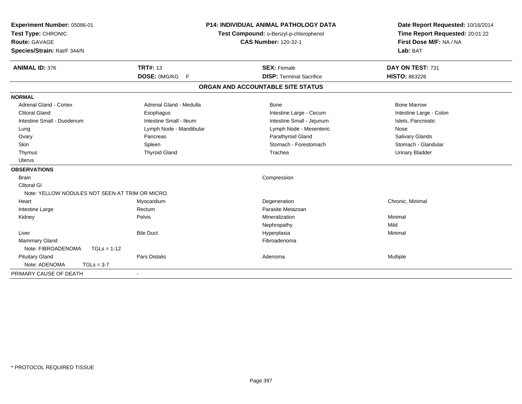| Experiment Number: 05086-01<br>Test Type: CHRONIC<br><b>Route: GAVAGE</b><br>Species/Strain: Rat/F 344/N |                                                 | <b>P14: INDIVIDUAL ANIMAL PATHOLOGY DATA</b><br>Test Compound: o-Benzyl-p-chlorophenol<br><b>CAS Number: 120-32-1</b> |                                   | Date Report Requested: 10/16/2014<br>Time Report Requested: 20:01:22<br>First Dose M/F: NA / NA<br>Lab: BAT |
|----------------------------------------------------------------------------------------------------------|-------------------------------------------------|-----------------------------------------------------------------------------------------------------------------------|-----------------------------------|-------------------------------------------------------------------------------------------------------------|
| <b>ANIMAL ID: 376</b>                                                                                    | <b>TRT#: 13</b>                                 |                                                                                                                       | <b>SEX: Female</b>                | DAY ON TEST: 731                                                                                            |
|                                                                                                          | DOSE: 0MG/KG                                    | F                                                                                                                     | <b>DISP: Terminal Sacrifice</b>   | HISTO: 863226                                                                                               |
|                                                                                                          |                                                 |                                                                                                                       | ORGAN AND ACCOUNTABLE SITE STATUS |                                                                                                             |
| <b>NORMAL</b>                                                                                            |                                                 |                                                                                                                       |                                   |                                                                                                             |
| Adrenal Gland - Cortex                                                                                   | Adrenal Gland - Medulla                         |                                                                                                                       | Bone                              | <b>Bone Marrow</b>                                                                                          |
| <b>Clitoral Gland</b>                                                                                    | Esophagus                                       |                                                                                                                       | Intestine Large - Cecum           | Intestine Large - Colon                                                                                     |
| Intestine Small - Duodenum                                                                               | Intestine Small - Ileum                         |                                                                                                                       | Intestine Small - Jejunum         | Islets, Pancreatic                                                                                          |
| Lung                                                                                                     | Lymph Node - Mandibular                         |                                                                                                                       | Lymph Node - Mesenteric           | Nose                                                                                                        |
| Ovary                                                                                                    | Pancreas                                        |                                                                                                                       | Parathyroid Gland                 | Salivary Glands                                                                                             |
| Skin                                                                                                     | Spleen                                          |                                                                                                                       | Stomach - Forestomach             | Stomach - Glandular                                                                                         |
| Thymus                                                                                                   | <b>Thyroid Gland</b>                            |                                                                                                                       | Trachea                           | <b>Urinary Bladder</b>                                                                                      |
| <b>Uterus</b>                                                                                            |                                                 |                                                                                                                       |                                   |                                                                                                             |
| <b>OBSERVATIONS</b>                                                                                      |                                                 |                                                                                                                       |                                   |                                                                                                             |
| <b>Brain</b>                                                                                             |                                                 |                                                                                                                       | Compression                       |                                                                                                             |
| <b>Clitoral GI</b>                                                                                       |                                                 |                                                                                                                       |                                   |                                                                                                             |
|                                                                                                          | Note: YELLOW NODULES NOT SEEN AT TRIM OR MICRO. |                                                                                                                       |                                   |                                                                                                             |
| Heart                                                                                                    | Myocardium                                      |                                                                                                                       | Degeneration                      | Chronic, Minimal                                                                                            |
| Intestine Large                                                                                          | Rectum                                          |                                                                                                                       | Parasite Metazoan                 |                                                                                                             |
| Kidney                                                                                                   | Pelvis                                          |                                                                                                                       | Mineralization                    | Minimal                                                                                                     |
|                                                                                                          |                                                 |                                                                                                                       | Nephropathy                       | Mild                                                                                                        |
| Liver                                                                                                    | <b>Bile Duct</b>                                |                                                                                                                       | Hyperplasia                       | Minimal                                                                                                     |
| <b>Mammary Gland</b>                                                                                     |                                                 |                                                                                                                       | Fibroadenoma                      |                                                                                                             |
| Note: FIBROADENOMA                                                                                       | $TGLs = 1-12$                                   |                                                                                                                       |                                   |                                                                                                             |
| <b>Pituitary Gland</b>                                                                                   | Pars Distalis                                   |                                                                                                                       | Adenoma                           | Multiple                                                                                                    |
| Note: ADENOMA                                                                                            | $TGLs = 3-7$                                    |                                                                                                                       |                                   |                                                                                                             |
| PRIMARY CAUSE OF DEATH                                                                                   |                                                 |                                                                                                                       |                                   |                                                                                                             |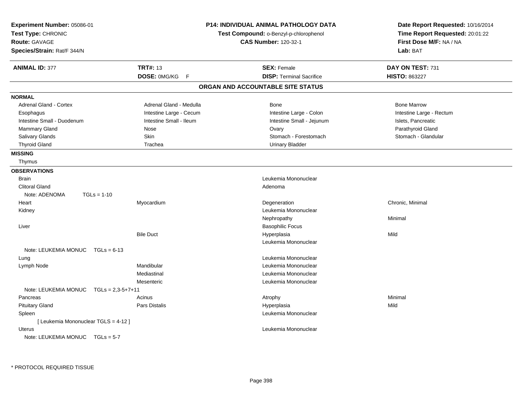| Experiment Number: 05086-01<br>Test Type: CHRONIC<br><b>Route: GAVAGE</b><br>Species/Strain: Rat/F 344/N |                         | <b>P14: INDIVIDUAL ANIMAL PATHOLOGY DATA</b><br>Test Compound: o-Benzyl-p-chlorophenol<br><b>CAS Number: 120-32-1</b> | Date Report Requested: 10/16/2014<br>Time Report Requested: 20:01:22<br>First Dose M/F: NA / NA<br>Lab: BAT |
|----------------------------------------------------------------------------------------------------------|-------------------------|-----------------------------------------------------------------------------------------------------------------------|-------------------------------------------------------------------------------------------------------------|
| <b>ANIMAL ID: 377</b>                                                                                    | <b>TRT#: 13</b>         | <b>SEX: Female</b>                                                                                                    | DAY ON TEST: 731                                                                                            |
|                                                                                                          | DOSE: 0MG/KG F          | <b>DISP: Terminal Sacrifice</b>                                                                                       | <b>HISTO: 863227</b>                                                                                        |
|                                                                                                          |                         | ORGAN AND ACCOUNTABLE SITE STATUS                                                                                     |                                                                                                             |
| <b>NORMAL</b>                                                                                            |                         |                                                                                                                       |                                                                                                             |
| <b>Adrenal Gland - Cortex</b>                                                                            | Adrenal Gland - Medulla | Bone                                                                                                                  | <b>Bone Marrow</b>                                                                                          |
| Esophagus                                                                                                | Intestine Large - Cecum | Intestine Large - Colon                                                                                               | Intestine Large - Rectum                                                                                    |
| Intestine Small - Duodenum                                                                               | Intestine Small - Ileum | Intestine Small - Jejunum                                                                                             | Islets, Pancreatic                                                                                          |
| <b>Mammary Gland</b>                                                                                     | Nose                    | Ovary                                                                                                                 | Parathyroid Gland                                                                                           |
| Salivary Glands                                                                                          | Skin                    | Stomach - Forestomach                                                                                                 | Stomach - Glandular                                                                                         |
| <b>Thyroid Gland</b>                                                                                     | Trachea                 | <b>Urinary Bladder</b>                                                                                                |                                                                                                             |
| <b>MISSING</b>                                                                                           |                         |                                                                                                                       |                                                                                                             |
| Thymus                                                                                                   |                         |                                                                                                                       |                                                                                                             |
| <b>OBSERVATIONS</b>                                                                                      |                         |                                                                                                                       |                                                                                                             |
| <b>Brain</b>                                                                                             |                         | Leukemia Mononuclear                                                                                                  |                                                                                                             |
| <b>Clitoral Gland</b>                                                                                    |                         | Adenoma                                                                                                               |                                                                                                             |
| Note: ADENOMA<br>$TGLs = 1-10$                                                                           |                         |                                                                                                                       |                                                                                                             |
| Heart                                                                                                    | Myocardium              | Degeneration                                                                                                          | Chronic, Minimal                                                                                            |
| Kidney                                                                                                   |                         | Leukemia Mononuclear                                                                                                  |                                                                                                             |
|                                                                                                          |                         | Nephropathy                                                                                                           | Minimal                                                                                                     |
| Liver                                                                                                    |                         | <b>Basophilic Focus</b>                                                                                               |                                                                                                             |
|                                                                                                          | <b>Bile Duct</b>        | Hyperplasia                                                                                                           | Mild                                                                                                        |
|                                                                                                          |                         | Leukemia Mononuclear                                                                                                  |                                                                                                             |
| Note: LEUKEMIA MONUC<br>$TGLs = 6-13$                                                                    |                         |                                                                                                                       |                                                                                                             |
| Lung                                                                                                     |                         | Leukemia Mononuclear                                                                                                  |                                                                                                             |
| Lymph Node                                                                                               | Mandibular              | Leukemia Mononuclear                                                                                                  |                                                                                                             |
|                                                                                                          | Mediastinal             | Leukemia Mononuclear                                                                                                  |                                                                                                             |
|                                                                                                          | Mesenteric              | Leukemia Mononuclear                                                                                                  |                                                                                                             |
| Note: LEUKEMIA MONUC<br>$TGLs = 2,3-5+7+11$                                                              |                         |                                                                                                                       |                                                                                                             |
| Pancreas                                                                                                 | Acinus                  | Atrophy                                                                                                               | Minimal                                                                                                     |
| <b>Pituitary Gland</b>                                                                                   | Pars Distalis           | Hyperplasia                                                                                                           | Mild                                                                                                        |
| Spleen                                                                                                   |                         | Leukemia Mononuclear                                                                                                  |                                                                                                             |
| [ Leukemia Mononuclear TGLS = 4-12 ]                                                                     |                         |                                                                                                                       |                                                                                                             |
| Uterus                                                                                                   |                         | Leukemia Mononuclear                                                                                                  |                                                                                                             |
| Note: LEUKEMIA MONUC<br>$TGLS = 5-7$                                                                     |                         |                                                                                                                       |                                                                                                             |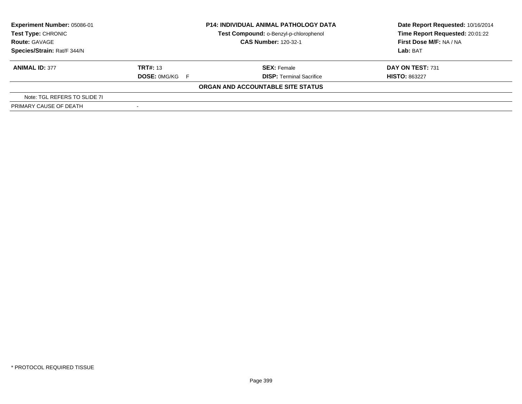| Experiment Number: 05086-01<br>Test Type: CHRONIC<br><b>Route: GAVAGE</b> |                       | <b>P14: INDIVIDUAL ANIMAL PATHOLOGY DATA</b><br>Test Compound: o-Benzyl-p-chlorophenol | Date Report Requested: 10/16/2014<br>Time Report Requested: 20:01:22 |
|---------------------------------------------------------------------------|-----------------------|----------------------------------------------------------------------------------------|----------------------------------------------------------------------|
|                                                                           |                       | <b>CAS Number: 120-32-1</b>                                                            | First Dose M/F: NA / NA                                              |
| Species/Strain: Rat/F 344/N                                               |                       |                                                                                        | Lab: BAT                                                             |
| <b>ANIMAL ID: 377</b>                                                     | <b>TRT#: 13</b>       | <b>SEX: Female</b>                                                                     | DAY ON TEST: 731                                                     |
|                                                                           | <b>DOSE: 0MG/KG F</b> | <b>DISP: Terminal Sacrifice</b>                                                        | <b>HISTO: 863227</b>                                                 |
|                                                                           |                       | ORGAN AND ACCOUNTABLE SITE STATUS                                                      |                                                                      |
| Note: TGL REFERS TO SLIDE 71                                              |                       |                                                                                        |                                                                      |
| PRIMARY CAUSE OF DEATH                                                    |                       |                                                                                        |                                                                      |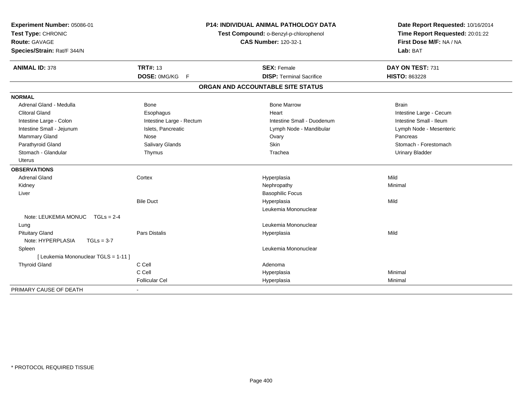| Experiment Number: 05086-01<br>Test Type: CHRONIC |                                     | <b>P14: INDIVIDUAL ANIMAL PATHOLOGY DATA</b> | Date Report Requested: 10/16/2014 |  |
|---------------------------------------------------|-------------------------------------|----------------------------------------------|-----------------------------------|--|
|                                                   |                                     | Test Compound: o-Benzyl-p-chlorophenol       | Time Report Requested: 20:01:22   |  |
| Route: GAVAGE                                     |                                     | <b>CAS Number: 120-32-1</b>                  | First Dose M/F: NA / NA           |  |
| Species/Strain: Rat/F 344/N                       |                                     |                                              | Lab: BAT                          |  |
| <b>ANIMAL ID: 378</b>                             | <b>TRT#: 13</b>                     | <b>SEX: Female</b>                           | DAY ON TEST: 731                  |  |
|                                                   | <b>DOSE: 0MG/KG</b><br>$\mathsf{F}$ | <b>DISP: Terminal Sacrifice</b>              | <b>HISTO: 863228</b>              |  |
|                                                   |                                     | ORGAN AND ACCOUNTABLE SITE STATUS            |                                   |  |
| <b>NORMAL</b>                                     |                                     |                                              |                                   |  |
| Adrenal Gland - Medulla                           | <b>Bone</b>                         | <b>Bone Marrow</b>                           | <b>Brain</b>                      |  |
| <b>Clitoral Gland</b>                             | Esophagus                           | Heart                                        | Intestine Large - Cecum           |  |
| Intestine Large - Colon                           | Intestine Large - Rectum            | Intestine Small - Duodenum                   | Intestine Small - Ileum           |  |
| Intestine Small - Jejunum                         | Islets, Pancreatic                  | Lymph Node - Mandibular                      | Lymph Node - Mesenteric           |  |
| Mammary Gland                                     | Nose                                | Ovary                                        | Pancreas                          |  |
| Parathyroid Gland                                 | Salivary Glands                     | <b>Skin</b>                                  | Stomach - Forestomach             |  |
| Stomach - Glandular                               | Thymus                              | Trachea                                      | <b>Urinary Bladder</b>            |  |
| <b>Uterus</b>                                     |                                     |                                              |                                   |  |
| <b>OBSERVATIONS</b>                               |                                     |                                              |                                   |  |
| <b>Adrenal Gland</b>                              | Cortex                              | Hyperplasia                                  | Mild                              |  |
| Kidney                                            |                                     | Nephropathy                                  | Minimal                           |  |
| Liver                                             |                                     | <b>Basophilic Focus</b>                      |                                   |  |
|                                                   | <b>Bile Duct</b>                    | Hyperplasia                                  | Mild                              |  |
|                                                   |                                     | Leukemia Mononuclear                         |                                   |  |
| Note: LEUKEMIA MONUC<br>$TGLs = 2-4$              |                                     |                                              |                                   |  |
| Lung                                              |                                     | Leukemia Mononuclear                         |                                   |  |
| <b>Pituitary Gland</b>                            | <b>Pars Distalis</b>                | Hyperplasia                                  | Mild                              |  |
| Note: HYPERPLASIA<br>$TGLs = 3-7$                 |                                     |                                              |                                   |  |
| Spleen                                            |                                     | Leukemia Mononuclear                         |                                   |  |
| [ Leukemia Mononuclear TGLS = 1-11 ]              |                                     |                                              |                                   |  |
| <b>Thyroid Gland</b>                              | C Cell                              | Adenoma                                      |                                   |  |
|                                                   | C Cell                              | Hyperplasia                                  | Minimal                           |  |
|                                                   | <b>Follicular Cel</b>               | Hyperplasia                                  | Minimal                           |  |
| PRIMARY CAUSE OF DEATH                            |                                     |                                              |                                   |  |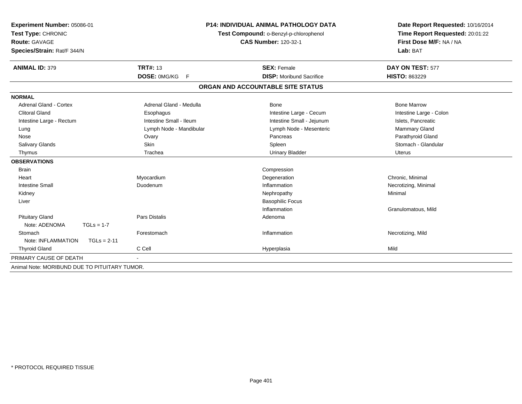| Experiment Number: 05086-01                   | <b>P14: INDIVIDUAL ANIMAL PATHOLOGY DATA</b><br>Test Compound: o-Benzyl-p-chlorophenol |                                   | Date Report Requested: 10/16/2014<br>Time Report Requested: 20:01:22 |  |
|-----------------------------------------------|----------------------------------------------------------------------------------------|-----------------------------------|----------------------------------------------------------------------|--|
| Test Type: CHRONIC                            |                                                                                        |                                   |                                                                      |  |
| <b>Route: GAVAGE</b>                          |                                                                                        | <b>CAS Number: 120-32-1</b>       | First Dose M/F: NA / NA                                              |  |
| Species/Strain: Rat/F 344/N                   |                                                                                        |                                   | Lab: BAT                                                             |  |
| <b>ANIMAL ID: 379</b>                         | <b>TRT#: 13</b>                                                                        | <b>SEX: Female</b>                | DAY ON TEST: 577                                                     |  |
|                                               | DOSE: 0MG/KG F                                                                         | <b>DISP:</b> Moribund Sacrifice   | <b>HISTO: 863229</b>                                                 |  |
|                                               |                                                                                        | ORGAN AND ACCOUNTABLE SITE STATUS |                                                                      |  |
| <b>NORMAL</b>                                 |                                                                                        |                                   |                                                                      |  |
| <b>Adrenal Gland - Cortex</b>                 | Adrenal Gland - Medulla                                                                | <b>Bone</b>                       | <b>Bone Marrow</b>                                                   |  |
| <b>Clitoral Gland</b>                         | Esophagus                                                                              | Intestine Large - Cecum           | Intestine Large - Colon                                              |  |
| Intestine Large - Rectum                      | Intestine Small - Ileum                                                                | Intestine Small - Jejunum         | Islets, Pancreatic                                                   |  |
| Lung                                          | Lymph Node - Mandibular                                                                | Lymph Node - Mesenteric           | Mammary Gland                                                        |  |
| Nose                                          | Ovary                                                                                  | Pancreas                          | Parathyroid Gland                                                    |  |
| Salivary Glands                               | Skin                                                                                   | Spleen                            | Stomach - Glandular                                                  |  |
| Thymus                                        | Trachea                                                                                | <b>Urinary Bladder</b>            | <b>Uterus</b>                                                        |  |
| <b>OBSERVATIONS</b>                           |                                                                                        |                                   |                                                                      |  |
| <b>Brain</b>                                  |                                                                                        | Compression                       |                                                                      |  |
| Heart                                         | Myocardium                                                                             | Degeneration                      | Chronic, Minimal                                                     |  |
| <b>Intestine Small</b>                        | Duodenum                                                                               | Inflammation                      | Necrotizing, Minimal                                                 |  |
| Kidney                                        |                                                                                        | Nephropathy                       | Minimal                                                              |  |
| Liver                                         |                                                                                        | <b>Basophilic Focus</b>           |                                                                      |  |
|                                               |                                                                                        | Inflammation                      | Granulomatous, Mild                                                  |  |
| <b>Pituitary Gland</b>                        | <b>Pars Distalis</b>                                                                   | Adenoma                           |                                                                      |  |
| Note: ADENOMA<br>$TGLs = 1-7$                 |                                                                                        |                                   |                                                                      |  |
| Stomach                                       | Forestomach                                                                            | Inflammation                      | Necrotizing, Mild                                                    |  |
| Note: INFLAMMATION<br>$TGLs = 2-11$           |                                                                                        |                                   |                                                                      |  |
| <b>Thyroid Gland</b>                          | C Cell                                                                                 | Hyperplasia                       | Mild                                                                 |  |
| PRIMARY CAUSE OF DEATH                        |                                                                                        |                                   |                                                                      |  |
| Animal Note: MORIBUND DUE TO PITUITARY TUMOR. |                                                                                        |                                   |                                                                      |  |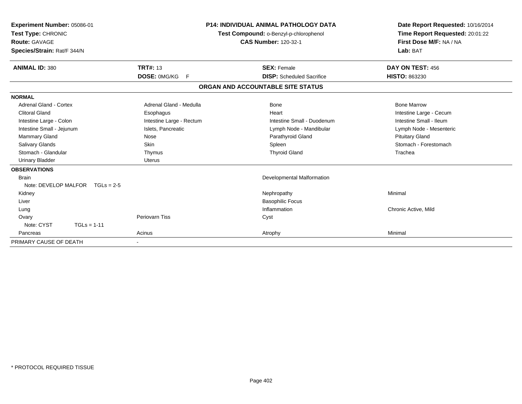| Experiment Number: 05086-01<br>Test Type: CHRONIC<br><b>Route: GAVAGE</b><br>Species/Strain: Rat/F 344/N |                          | <b>P14: INDIVIDUAL ANIMAL PATHOLOGY DATA</b><br>Test Compound: o-Benzyl-p-chlorophenol<br><b>CAS Number: 120-32-1</b> | Date Report Requested: 10/16/2014<br>Time Report Requested: 20:01:22<br>First Dose M/F: NA / NA<br>Lab: BAT |
|----------------------------------------------------------------------------------------------------------|--------------------------|-----------------------------------------------------------------------------------------------------------------------|-------------------------------------------------------------------------------------------------------------|
| <b>ANIMAL ID: 380</b>                                                                                    | <b>TRT#: 13</b>          | <b>SEX: Female</b>                                                                                                    | DAY ON TEST: 456                                                                                            |
|                                                                                                          | DOSE: 0MG/KG<br>F        | <b>DISP:</b> Scheduled Sacrifice                                                                                      | <b>HISTO: 863230</b>                                                                                        |
|                                                                                                          |                          | ORGAN AND ACCOUNTABLE SITE STATUS                                                                                     |                                                                                                             |
| <b>NORMAL</b>                                                                                            |                          |                                                                                                                       |                                                                                                             |
| <b>Adrenal Gland - Cortex</b>                                                                            | Adrenal Gland - Medulla  | Bone                                                                                                                  | <b>Bone Marrow</b>                                                                                          |
| <b>Clitoral Gland</b>                                                                                    | Esophagus                | Heart                                                                                                                 | Intestine Large - Cecum                                                                                     |
| Intestine Large - Colon                                                                                  | Intestine Large - Rectum | Intestine Small - Duodenum                                                                                            | Intestine Small - Ileum                                                                                     |
| Intestine Small - Jejunum                                                                                | Islets, Pancreatic       | Lymph Node - Mandibular                                                                                               | Lymph Node - Mesenteric                                                                                     |
| Mammary Gland                                                                                            | Nose                     | Parathyroid Gland                                                                                                     | <b>Pituitary Gland</b>                                                                                      |
| <b>Salivary Glands</b>                                                                                   | Skin                     | Spleen                                                                                                                | Stomach - Forestomach                                                                                       |
| Stomach - Glandular                                                                                      | Thymus                   | <b>Thyroid Gland</b>                                                                                                  | Trachea                                                                                                     |
| <b>Urinary Bladder</b>                                                                                   | <b>Uterus</b>            |                                                                                                                       |                                                                                                             |
| <b>OBSERVATIONS</b>                                                                                      |                          |                                                                                                                       |                                                                                                             |
| Brain                                                                                                    |                          | Developmental Malformation                                                                                            |                                                                                                             |
| Note: DEVELOP MALFOR $TGLs = 2-5$                                                                        |                          |                                                                                                                       |                                                                                                             |
| Kidney                                                                                                   |                          | Nephropathy                                                                                                           | Minimal                                                                                                     |
| Liver                                                                                                    |                          | <b>Basophilic Focus</b>                                                                                               |                                                                                                             |
| Lung                                                                                                     |                          | Inflammation                                                                                                          | Chronic Active, Mild                                                                                        |
| Ovary                                                                                                    | <b>Periovarn Tiss</b>    | Cyst                                                                                                                  |                                                                                                             |
| Note: CYST<br>$TGLs = 1-11$                                                                              |                          |                                                                                                                       |                                                                                                             |
| Pancreas                                                                                                 | Acinus                   | Atrophy                                                                                                               | Minimal                                                                                                     |
| PRIMARY CAUSE OF DEATH                                                                                   | $\blacksquare$           |                                                                                                                       |                                                                                                             |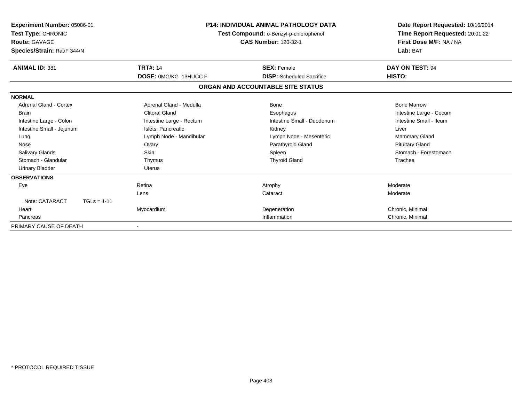| Experiment Number: 05086-01<br>Test Type: CHRONIC<br><b>Route: GAVAGE</b><br>Species/Strain: Rat/F 344/N | <b>P14: INDIVIDUAL ANIMAL PATHOLOGY DATA</b><br>Test Compound: o-Benzyl-p-chlorophenol<br><b>CAS Number: 120-32-1</b> |                                   | Date Report Requested: 10/16/2014<br>Time Report Requested: 20:01:22<br>First Dose M/F: NA / NA<br>Lab: BAT |
|----------------------------------------------------------------------------------------------------------|-----------------------------------------------------------------------------------------------------------------------|-----------------------------------|-------------------------------------------------------------------------------------------------------------|
| <b>ANIMAL ID: 381</b>                                                                                    | <b>TRT#: 14</b>                                                                                                       | <b>SEX: Female</b>                | DAY ON TEST: 94                                                                                             |
|                                                                                                          | DOSE: 0MG/KG 13HUCC F                                                                                                 | <b>DISP:</b> Scheduled Sacrifice  | HISTO:                                                                                                      |
|                                                                                                          |                                                                                                                       | ORGAN AND ACCOUNTABLE SITE STATUS |                                                                                                             |
| <b>NORMAL</b>                                                                                            |                                                                                                                       |                                   |                                                                                                             |
| Adrenal Gland - Cortex                                                                                   | Adrenal Gland - Medulla                                                                                               | <b>Bone</b>                       | <b>Bone Marrow</b>                                                                                          |
| <b>Brain</b>                                                                                             | <b>Clitoral Gland</b>                                                                                                 | Esophagus                         | Intestine Large - Cecum                                                                                     |
| Intestine Large - Colon                                                                                  | Intestine Large - Rectum                                                                                              | Intestine Small - Duodenum        | Intestine Small - Ileum                                                                                     |
| Intestine Small - Jejunum                                                                                | Islets, Pancreatic                                                                                                    | Kidney                            | Liver                                                                                                       |
| Lung                                                                                                     | Lymph Node - Mandibular                                                                                               | Lymph Node - Mesenteric           | <b>Mammary Gland</b>                                                                                        |
| Nose                                                                                                     | Ovary                                                                                                                 | Parathyroid Gland                 | <b>Pituitary Gland</b>                                                                                      |
| <b>Salivary Glands</b>                                                                                   | Skin                                                                                                                  | Spleen                            | Stomach - Forestomach                                                                                       |
| Stomach - Glandular                                                                                      | Thymus                                                                                                                | <b>Thyroid Gland</b>              | Trachea                                                                                                     |
| <b>Urinary Bladder</b>                                                                                   | <b>Uterus</b>                                                                                                         |                                   |                                                                                                             |
| <b>OBSERVATIONS</b>                                                                                      |                                                                                                                       |                                   |                                                                                                             |
| Eye                                                                                                      | Retina                                                                                                                | Atrophy                           | Moderate                                                                                                    |
|                                                                                                          | Lens                                                                                                                  | Cataract                          | Moderate                                                                                                    |
| Note: CATARACT<br>$TGLs = 1-11$                                                                          |                                                                                                                       |                                   |                                                                                                             |
| Heart                                                                                                    | Myocardium                                                                                                            | Degeneration                      | Chronic, Minimal                                                                                            |
| Pancreas                                                                                                 |                                                                                                                       | Inflammation                      | Chronic, Minimal                                                                                            |
| PRIMARY CAUSE OF DEATH                                                                                   |                                                                                                                       |                                   |                                                                                                             |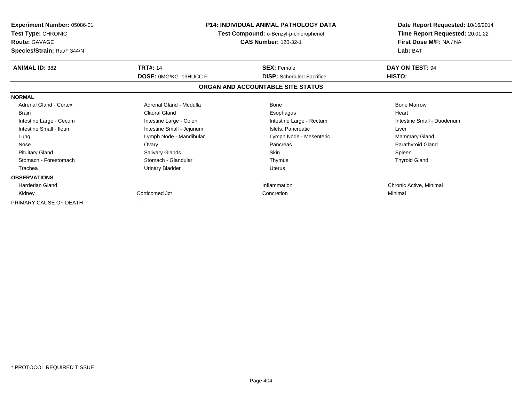| <b>Experiment Number: 05086-01</b><br><b>Test Type: CHRONIC</b><br><b>Route: GAVAGE</b><br>Species/Strain: Rat/F 344/N | <b>P14: INDIVIDUAL ANIMAL PATHOLOGY DATA</b><br>Test Compound: o-Benzyl-p-chlorophenol<br><b>CAS Number: 120-32-1</b> |                                   | Date Report Requested: 10/16/2014<br>Time Report Requested: 20:01:22<br>First Dose M/F: NA / NA<br>Lab: BAT |
|------------------------------------------------------------------------------------------------------------------------|-----------------------------------------------------------------------------------------------------------------------|-----------------------------------|-------------------------------------------------------------------------------------------------------------|
| <b>ANIMAL ID: 382</b>                                                                                                  | <b>TRT#: 14</b>                                                                                                       | <b>SEX: Female</b>                | DAY ON TEST: 94                                                                                             |
|                                                                                                                        | <b>DOSE: 0MG/KG 13HUCC F</b>                                                                                          | <b>DISP:</b> Scheduled Sacrifice  | HISTO:                                                                                                      |
|                                                                                                                        |                                                                                                                       | ORGAN AND ACCOUNTABLE SITE STATUS |                                                                                                             |
| <b>NORMAL</b>                                                                                                          |                                                                                                                       |                                   |                                                                                                             |
| <b>Adrenal Gland - Cortex</b>                                                                                          | Adrenal Gland - Medulla                                                                                               | <b>Bone</b>                       | <b>Bone Marrow</b>                                                                                          |
| <b>Brain</b>                                                                                                           | <b>Clitoral Gland</b>                                                                                                 | Esophagus                         | Heart                                                                                                       |
| Intestine Large - Cecum                                                                                                | Intestine Large - Colon                                                                                               | Intestine Large - Rectum          | Intestine Small - Duodenum                                                                                  |
| Intestine Small - Ileum                                                                                                | Intestine Small - Jejunum                                                                                             | Islets, Pancreatic                | Liver                                                                                                       |
| Lung                                                                                                                   | Lymph Node - Mandibular                                                                                               | Lymph Node - Mesenteric           | <b>Mammary Gland</b>                                                                                        |
| Nose                                                                                                                   | Ovary                                                                                                                 | Pancreas                          | Parathyroid Gland                                                                                           |
| <b>Pituitary Gland</b>                                                                                                 | Salivary Glands                                                                                                       | <b>Skin</b>                       | Spleen                                                                                                      |
| Stomach - Forestomach                                                                                                  | Stomach - Glandular                                                                                                   | Thymus                            | <b>Thyroid Gland</b>                                                                                        |
| Trachea                                                                                                                | Urinary Bladder                                                                                                       | <b>Uterus</b>                     |                                                                                                             |
| <b>OBSERVATIONS</b>                                                                                                    |                                                                                                                       |                                   |                                                                                                             |
| <b>Harderian Gland</b>                                                                                                 |                                                                                                                       | Inflammation                      | Chronic Active, Minimal                                                                                     |
| Kidney                                                                                                                 | Corticomed Jct                                                                                                        | Concretion                        | Minimal                                                                                                     |
| PRIMARY CAUSE OF DEATH                                                                                                 |                                                                                                                       |                                   |                                                                                                             |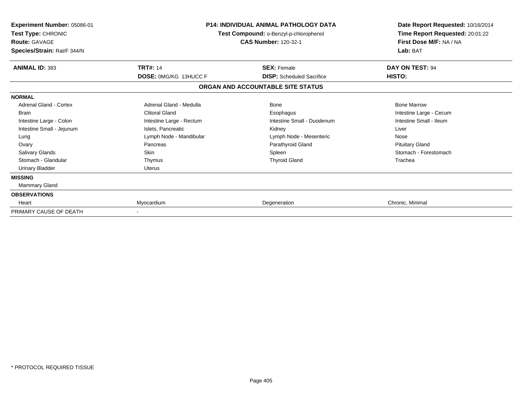| Experiment Number: 05086-01<br><b>Test Type: CHRONIC</b><br><b>Route: GAVAGE</b><br>Species/Strain: Rat/F 344/N | P14: INDIVIDUAL ANIMAL PATHOLOGY DATA<br>Test Compound: o-Benzyl-p-chlorophenol<br><b>CAS Number: 120-32-1</b> |                                                        | Date Report Requested: 10/16/2014<br>Time Report Requested: 20:01:22<br>First Dose M/F: NA / NA<br>Lab: BAT |
|-----------------------------------------------------------------------------------------------------------------|----------------------------------------------------------------------------------------------------------------|--------------------------------------------------------|-------------------------------------------------------------------------------------------------------------|
| <b>ANIMAL ID: 383</b>                                                                                           | <b>TRT#: 14</b>                                                                                                | <b>SEX: Female</b><br><b>DISP:</b> Scheduled Sacrifice | DAY ON TEST: 94                                                                                             |
|                                                                                                                 | <b>DOSE: 0MG/KG 13HUCC F</b>                                                                                   | ORGAN AND ACCOUNTABLE SITE STATUS                      | HISTO:                                                                                                      |
| <b>NORMAL</b>                                                                                                   |                                                                                                                |                                                        |                                                                                                             |
| Adrenal Gland - Cortex                                                                                          | Adrenal Gland - Medulla                                                                                        | <b>Bone</b>                                            | <b>Bone Marrow</b>                                                                                          |
| <b>Brain</b>                                                                                                    | <b>Clitoral Gland</b>                                                                                          | Esophagus                                              | Intestine Large - Cecum                                                                                     |
| Intestine Large - Colon                                                                                         | Intestine Large - Rectum                                                                                       | Intestine Small - Duodenum                             | Intestine Small - Ileum                                                                                     |
| Intestine Small - Jejunum                                                                                       | Islets, Pancreatic                                                                                             | Kidney                                                 | Liver                                                                                                       |
| Lung                                                                                                            | Lymph Node - Mandibular                                                                                        | Lymph Node - Mesenteric                                | Nose                                                                                                        |
| Ovary                                                                                                           | Pancreas                                                                                                       | Parathyroid Gland                                      | <b>Pituitary Gland</b>                                                                                      |
| <b>Salivary Glands</b>                                                                                          | <b>Skin</b>                                                                                                    | Spleen                                                 | Stomach - Forestomach                                                                                       |
| Stomach - Glandular                                                                                             | Thymus                                                                                                         | <b>Thyroid Gland</b>                                   | Trachea                                                                                                     |
| <b>Urinary Bladder</b>                                                                                          | <b>Uterus</b>                                                                                                  |                                                        |                                                                                                             |
| <b>MISSING</b>                                                                                                  |                                                                                                                |                                                        |                                                                                                             |
| <b>Mammary Gland</b>                                                                                            |                                                                                                                |                                                        |                                                                                                             |
| <b>OBSERVATIONS</b>                                                                                             |                                                                                                                |                                                        |                                                                                                             |
| Heart                                                                                                           | Myocardium                                                                                                     | Degeneration                                           | Chronic, Minimal                                                                                            |
| PRIMARY CAUSE OF DEATH                                                                                          |                                                                                                                |                                                        |                                                                                                             |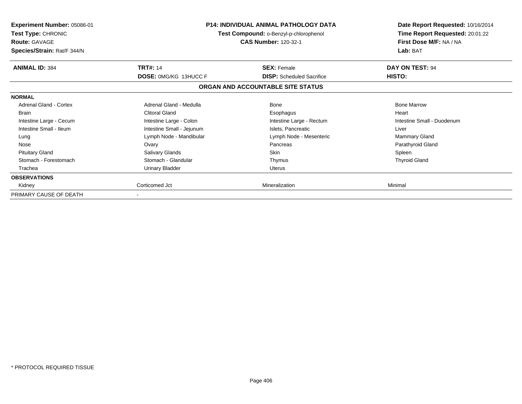| Experiment Number: 05086-01<br><b>Test Type: CHRONIC</b><br><b>Route: GAVAGE</b><br>Species/Strain: Rat/F 344/N | <b>P14: INDIVIDUAL ANIMAL PATHOLOGY DATA</b><br>Test Compound: o-Benzyl-p-chlorophenol<br><b>CAS Number: 120-32-1</b> |                                   | Date Report Requested: 10/16/2014<br>Time Report Requested: 20:01:22<br>First Dose M/F: NA / NA<br>Lab: BAT |
|-----------------------------------------------------------------------------------------------------------------|-----------------------------------------------------------------------------------------------------------------------|-----------------------------------|-------------------------------------------------------------------------------------------------------------|
| <b>ANIMAL ID: 384</b>                                                                                           | <b>TRT#: 14</b>                                                                                                       | <b>SEX: Female</b>                | DAY ON TEST: 94                                                                                             |
|                                                                                                                 | <b>DOSE: 0MG/KG 13HUCC F</b>                                                                                          | <b>DISP:</b> Scheduled Sacrifice  | HISTO:                                                                                                      |
|                                                                                                                 |                                                                                                                       | ORGAN AND ACCOUNTABLE SITE STATUS |                                                                                                             |
| <b>NORMAL</b>                                                                                                   |                                                                                                                       |                                   |                                                                                                             |
| Adrenal Gland - Cortex                                                                                          | Adrenal Gland - Medulla                                                                                               | Bone                              | <b>Bone Marrow</b>                                                                                          |
| <b>Brain</b>                                                                                                    | <b>Clitoral Gland</b>                                                                                                 | Esophagus                         | Heart                                                                                                       |
| Intestine Large - Cecum                                                                                         | Intestine Large - Colon                                                                                               | Intestine Large - Rectum          | Intestine Small - Duodenum                                                                                  |
| Intestine Small - Ileum                                                                                         | Intestine Small - Jejunum                                                                                             | Islets, Pancreatic                | Liver                                                                                                       |
| Lung                                                                                                            | Lymph Node - Mandibular                                                                                               | Lymph Node - Mesenteric           | <b>Mammary Gland</b>                                                                                        |
| Nose                                                                                                            | Ovary                                                                                                                 | Pancreas                          | Parathyroid Gland                                                                                           |
| <b>Pituitary Gland</b>                                                                                          | Salivary Glands                                                                                                       | Skin                              | Spleen                                                                                                      |
| Stomach - Forestomach                                                                                           | Stomach - Glandular                                                                                                   | Thymus                            | <b>Thyroid Gland</b>                                                                                        |
| Trachea                                                                                                         | <b>Urinary Bladder</b>                                                                                                | Uterus                            |                                                                                                             |
| <b>OBSERVATIONS</b>                                                                                             |                                                                                                                       |                                   |                                                                                                             |
| Kidney                                                                                                          | Corticomed Jct                                                                                                        | Mineralization                    | Minimal                                                                                                     |
| PRIMARY CAUSE OF DEATH                                                                                          |                                                                                                                       |                                   |                                                                                                             |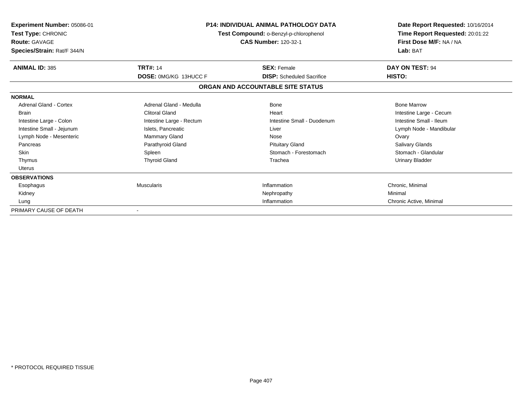| <b>Experiment Number: 05086-01</b><br>Test Type: CHRONIC<br><b>Route: GAVAGE</b><br>Species/Strain: Rat/F 344/N | <b>P14: INDIVIDUAL ANIMAL PATHOLOGY DATA</b><br>Test Compound: o-Benzyl-p-chlorophenol<br><b>CAS Number: 120-32-1</b> |                                   | Date Report Requested: 10/16/2014<br>Time Report Requested: 20:01:22<br>First Dose M/F: NA / NA<br>Lab: BAT |
|-----------------------------------------------------------------------------------------------------------------|-----------------------------------------------------------------------------------------------------------------------|-----------------------------------|-------------------------------------------------------------------------------------------------------------|
| <b>ANIMAL ID: 385</b>                                                                                           | <b>TRT#: 14</b>                                                                                                       | <b>SEX: Female</b>                | DAY ON TEST: 94                                                                                             |
|                                                                                                                 | <b>DOSE: 0MG/KG 13HUCC F</b>                                                                                          | <b>DISP:</b> Scheduled Sacrifice  | HISTO:                                                                                                      |
|                                                                                                                 |                                                                                                                       | ORGAN AND ACCOUNTABLE SITE STATUS |                                                                                                             |
| <b>NORMAL</b>                                                                                                   |                                                                                                                       |                                   |                                                                                                             |
| Adrenal Gland - Cortex                                                                                          | Adrenal Gland - Medulla                                                                                               | Bone                              | <b>Bone Marrow</b>                                                                                          |
| <b>Brain</b>                                                                                                    | Clitoral Gland                                                                                                        | Heart                             | Intestine Large - Cecum                                                                                     |
| Intestine Large - Colon                                                                                         | Intestine Large - Rectum                                                                                              | Intestine Small - Duodenum        | Intestine Small - Ileum                                                                                     |
| Intestine Small - Jejunum                                                                                       | Islets, Pancreatic                                                                                                    | Liver                             | Lymph Node - Mandibular                                                                                     |
| Lymph Node - Mesenteric                                                                                         | Mammary Gland                                                                                                         | Nose                              | Ovary                                                                                                       |
| Pancreas                                                                                                        | Parathyroid Gland                                                                                                     | <b>Pituitary Gland</b>            | <b>Salivary Glands</b>                                                                                      |
| <b>Skin</b>                                                                                                     | Spleen                                                                                                                | Stomach - Forestomach             | Stomach - Glandular                                                                                         |
| Thymus                                                                                                          | <b>Thyroid Gland</b>                                                                                                  | Trachea                           | <b>Urinary Bladder</b>                                                                                      |
| Uterus                                                                                                          |                                                                                                                       |                                   |                                                                                                             |
| <b>OBSERVATIONS</b>                                                                                             |                                                                                                                       |                                   |                                                                                                             |
| Esophagus                                                                                                       | Muscularis                                                                                                            | Inflammation                      | Chronic, Minimal                                                                                            |
| Kidney                                                                                                          |                                                                                                                       | Nephropathy                       | Minimal                                                                                                     |
| Lung                                                                                                            |                                                                                                                       | Inflammation                      | Chronic Active, Minimal                                                                                     |
| PRIMARY CAUSE OF DEATH                                                                                          |                                                                                                                       |                                   |                                                                                                             |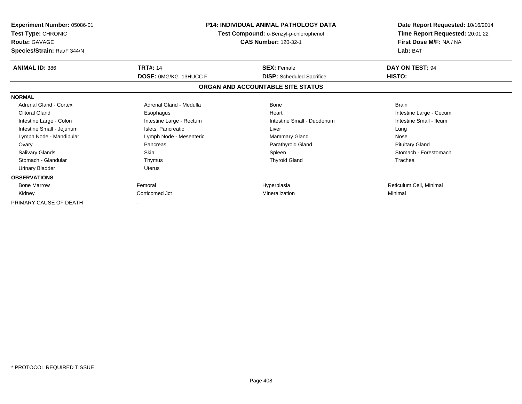| <b>Experiment Number: 05086-01</b><br>Test Type: CHRONIC<br><b>Route: GAVAGE</b><br>Species/Strain: Rat/F 344/N | <b>P14: INDIVIDUAL ANIMAL PATHOLOGY DATA</b><br>Test Compound: o-Benzyl-p-chlorophenol<br><b>CAS Number: 120-32-1</b> |                                   | Date Report Requested: 10/16/2014<br>Time Report Requested: 20:01:22<br>First Dose M/F: NA / NA<br>Lab: BAT |
|-----------------------------------------------------------------------------------------------------------------|-----------------------------------------------------------------------------------------------------------------------|-----------------------------------|-------------------------------------------------------------------------------------------------------------|
| <b>ANIMAL ID: 386</b>                                                                                           | <b>TRT#: 14</b><br><b>DOSE: 0MG/KG 13HUCC F</b>                                                                       | <b>SEX: Female</b>                | DAY ON TEST: 94<br>HISTO:                                                                                   |
|                                                                                                                 |                                                                                                                       | <b>DISP:</b> Scheduled Sacrifice  |                                                                                                             |
|                                                                                                                 |                                                                                                                       | ORGAN AND ACCOUNTABLE SITE STATUS |                                                                                                             |
| <b>NORMAL</b>                                                                                                   |                                                                                                                       |                                   |                                                                                                             |
| Adrenal Gland - Cortex                                                                                          | Adrenal Gland - Medulla                                                                                               | Bone                              | <b>Brain</b>                                                                                                |
| <b>Clitoral Gland</b>                                                                                           | Esophagus                                                                                                             | Heart                             | Intestine Large - Cecum                                                                                     |
| Intestine Large - Colon                                                                                         | Intestine Large - Rectum                                                                                              | Intestine Small - Duodenum        | Intestine Small - Ileum                                                                                     |
| Intestine Small - Jejunum                                                                                       | Islets, Pancreatic                                                                                                    | Liver                             | Lung                                                                                                        |
| Lymph Node - Mandibular                                                                                         | Lymph Node - Mesenteric                                                                                               | <b>Mammary Gland</b>              | Nose                                                                                                        |
| Ovary                                                                                                           | Pancreas                                                                                                              | Parathyroid Gland                 | <b>Pituitary Gland</b>                                                                                      |
| <b>Salivary Glands</b>                                                                                          | Skin                                                                                                                  | Spleen                            | Stomach - Forestomach                                                                                       |
| Stomach - Glandular                                                                                             | Thymus                                                                                                                | <b>Thyroid Gland</b>              | Trachea                                                                                                     |
| <b>Urinary Bladder</b>                                                                                          | <b>Uterus</b>                                                                                                         |                                   |                                                                                                             |
| <b>OBSERVATIONS</b>                                                                                             |                                                                                                                       |                                   |                                                                                                             |
| <b>Bone Marrow</b>                                                                                              | Femoral                                                                                                               | Hyperplasia                       | Reticulum Cell, Minimal                                                                                     |
| Kidney                                                                                                          | Corticomed Jct                                                                                                        | Mineralization                    | Minimal                                                                                                     |
| PRIMARY CAUSE OF DEATH                                                                                          |                                                                                                                       |                                   |                                                                                                             |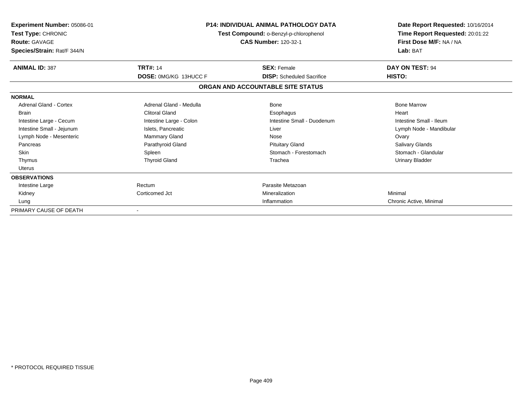| Experiment Number: 05086-01<br>Test Type: CHRONIC<br><b>Route: GAVAGE</b><br>Species/Strain: Rat/F 344/N |                              | <b>P14: INDIVIDUAL ANIMAL PATHOLOGY DATA</b><br>Test Compound: o-Benzyl-p-chlorophenol<br><b>CAS Number: 120-32-1</b> | Date Report Requested: 10/16/2014<br>Time Report Requested: 20:01:22<br>First Dose M/F: NA / NA<br>Lab: BAT |
|----------------------------------------------------------------------------------------------------------|------------------------------|-----------------------------------------------------------------------------------------------------------------------|-------------------------------------------------------------------------------------------------------------|
| <b>ANIMAL ID: 387</b>                                                                                    | <b>TRT#: 14</b>              | <b>SEX: Female</b>                                                                                                    | DAY ON TEST: 94                                                                                             |
|                                                                                                          | <b>DOSE: 0MG/KG 13HUCC F</b> | <b>DISP:</b> Scheduled Sacrifice                                                                                      | HISTO:                                                                                                      |
|                                                                                                          |                              | ORGAN AND ACCOUNTABLE SITE STATUS                                                                                     |                                                                                                             |
| <b>NORMAL</b>                                                                                            |                              |                                                                                                                       |                                                                                                             |
| Adrenal Gland - Cortex                                                                                   | Adrenal Gland - Medulla      | Bone                                                                                                                  | <b>Bone Marrow</b>                                                                                          |
| <b>Brain</b>                                                                                             | <b>Clitoral Gland</b>        | Esophagus                                                                                                             | Heart                                                                                                       |
| Intestine Large - Cecum                                                                                  | Intestine Large - Colon      | Intestine Small - Duodenum                                                                                            | Intestine Small - Ileum                                                                                     |
| Intestine Small - Jejunum                                                                                | Islets, Pancreatic           | Liver                                                                                                                 | Lymph Node - Mandibular                                                                                     |
| Lymph Node - Mesenteric                                                                                  | <b>Mammary Gland</b>         | Nose                                                                                                                  | Ovary                                                                                                       |
| Pancreas                                                                                                 | Parathyroid Gland            | <b>Pituitary Gland</b>                                                                                                | <b>Salivary Glands</b>                                                                                      |
| <b>Skin</b>                                                                                              | Spleen                       | Stomach - Forestomach                                                                                                 | Stomach - Glandular                                                                                         |
| Thymus                                                                                                   | <b>Thyroid Gland</b>         | Trachea                                                                                                               | Urinary Bladder                                                                                             |
| <b>Uterus</b>                                                                                            |                              |                                                                                                                       |                                                                                                             |
| <b>OBSERVATIONS</b>                                                                                      |                              |                                                                                                                       |                                                                                                             |
| Intestine Large                                                                                          | Rectum                       | Parasite Metazoan                                                                                                     |                                                                                                             |
| Kidney                                                                                                   | Corticomed Jct               | Mineralization                                                                                                        | Minimal                                                                                                     |
| Lung                                                                                                     |                              | Inflammation                                                                                                          | Chronic Active, Minimal                                                                                     |
| PRIMARY CAUSE OF DEATH                                                                                   |                              |                                                                                                                       |                                                                                                             |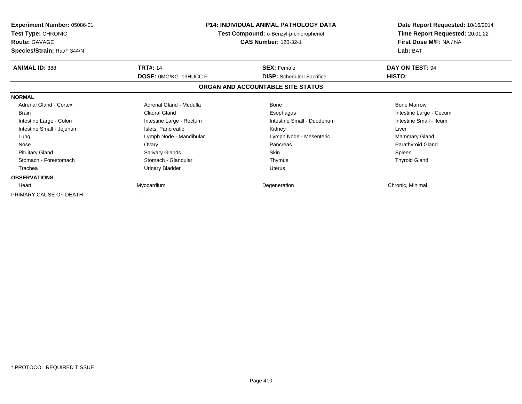| <b>Experiment Number: 05086-01</b><br><b>Test Type: CHRONIC</b><br><b>Route: GAVAGE</b><br>Species/Strain: Rat/F 344/N |                              | <b>P14: INDIVIDUAL ANIMAL PATHOLOGY DATA</b><br>Test Compound: o-Benzyl-p-chlorophenol<br><b>CAS Number: 120-32-1</b> | Date Report Requested: 10/16/2014<br>Time Report Requested: 20:01:22<br>First Dose M/F: NA / NA<br>Lab: BAT |
|------------------------------------------------------------------------------------------------------------------------|------------------------------|-----------------------------------------------------------------------------------------------------------------------|-------------------------------------------------------------------------------------------------------------|
| <b>ANIMAL ID: 388</b>                                                                                                  | <b>TRT#: 14</b>              | <b>SEX: Female</b>                                                                                                    | DAY ON TEST: 94                                                                                             |
|                                                                                                                        | <b>DOSE: 0MG/KG 13HUCC F</b> | <b>DISP:</b> Scheduled Sacrifice                                                                                      | HISTO:                                                                                                      |
|                                                                                                                        |                              | ORGAN AND ACCOUNTABLE SITE STATUS                                                                                     |                                                                                                             |
| <b>NORMAL</b>                                                                                                          |                              |                                                                                                                       |                                                                                                             |
| Adrenal Gland - Cortex                                                                                                 | Adrenal Gland - Medulla      | Bone                                                                                                                  | <b>Bone Marrow</b>                                                                                          |
| <b>Brain</b>                                                                                                           | <b>Clitoral Gland</b>        | Esophagus                                                                                                             | Intestine Large - Cecum                                                                                     |
| Intestine Large - Colon                                                                                                | Intestine Large - Rectum     | Intestine Small - Duodenum                                                                                            | Intestine Small - Ileum                                                                                     |
| Intestine Small - Jejunum                                                                                              | Islets, Pancreatic           | Kidney                                                                                                                | Liver                                                                                                       |
| Lung                                                                                                                   | Lymph Node - Mandibular      | Lymph Node - Mesenteric                                                                                               | <b>Mammary Gland</b>                                                                                        |
| Nose                                                                                                                   | Ovary                        | Pancreas                                                                                                              | Parathyroid Gland                                                                                           |
| <b>Pituitary Gland</b>                                                                                                 | <b>Salivary Glands</b>       | <b>Skin</b>                                                                                                           | Spleen                                                                                                      |
| Stomach - Forestomach                                                                                                  | Stomach - Glandular          | Thymus                                                                                                                | <b>Thyroid Gland</b>                                                                                        |
| Trachea                                                                                                                | <b>Urinary Bladder</b>       | <b>Uterus</b>                                                                                                         |                                                                                                             |
| <b>OBSERVATIONS</b>                                                                                                    |                              |                                                                                                                       |                                                                                                             |
| Heart                                                                                                                  | Myocardium                   | Degeneration                                                                                                          | Chronic, Minimal                                                                                            |
| PRIMARY CAUSE OF DEATH                                                                                                 |                              |                                                                                                                       |                                                                                                             |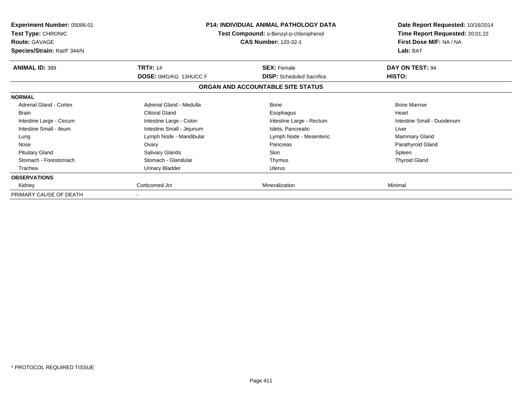| Experiment Number: 05086-01<br><b>Test Type: CHRONIC</b><br><b>Route: GAVAGE</b><br>Species/Strain: Rat/F 344/N |                              | <b>P14: INDIVIDUAL ANIMAL PATHOLOGY DATA</b><br>Test Compound: o-Benzyl-p-chlorophenol<br><b>CAS Number: 120-32-1</b> |                            |
|-----------------------------------------------------------------------------------------------------------------|------------------------------|-----------------------------------------------------------------------------------------------------------------------|----------------------------|
| <b>ANIMAL ID: 389</b>                                                                                           | <b>TRT#: 14</b>              | <b>SEX: Female</b>                                                                                                    | DAY ON TEST: 94            |
|                                                                                                                 | <b>DOSE: 0MG/KG 13HUCC F</b> | <b>DISP:</b> Scheduled Sacrifice                                                                                      | HISTO:                     |
|                                                                                                                 |                              | ORGAN AND ACCOUNTABLE SITE STATUS                                                                                     |                            |
| <b>NORMAL</b>                                                                                                   |                              |                                                                                                                       |                            |
| Adrenal Gland - Cortex                                                                                          | Adrenal Gland - Medulla      | Bone                                                                                                                  | <b>Bone Marrow</b>         |
| <b>Brain</b>                                                                                                    | <b>Clitoral Gland</b>        | Esophagus                                                                                                             | Heart                      |
| Intestine Large - Cecum                                                                                         | Intestine Large - Colon      | Intestine Large - Rectum                                                                                              | Intestine Small - Duodenum |
| Intestine Small - Ileum                                                                                         | Intestine Small - Jejunum    | Islets, Pancreatic                                                                                                    | Liver                      |
| Lung                                                                                                            | Lymph Node - Mandibular      | Lymph Node - Mesenteric                                                                                               | <b>Mammary Gland</b>       |
| Nose                                                                                                            | Ovary                        | Pancreas                                                                                                              | Parathyroid Gland          |
| <b>Pituitary Gland</b>                                                                                          | Salivary Glands              | Skin                                                                                                                  | Spleen                     |
| Stomach - Forestomach                                                                                           | Stomach - Glandular          | Thymus                                                                                                                | <b>Thyroid Gland</b>       |
| Trachea                                                                                                         | <b>Urinary Bladder</b>       | Uterus                                                                                                                |                            |
| <b>OBSERVATIONS</b>                                                                                             |                              |                                                                                                                       |                            |
| Kidney                                                                                                          | Corticomed Jct               | Mineralization                                                                                                        | Minimal                    |
| PRIMARY CAUSE OF DEATH                                                                                          |                              |                                                                                                                       |                            |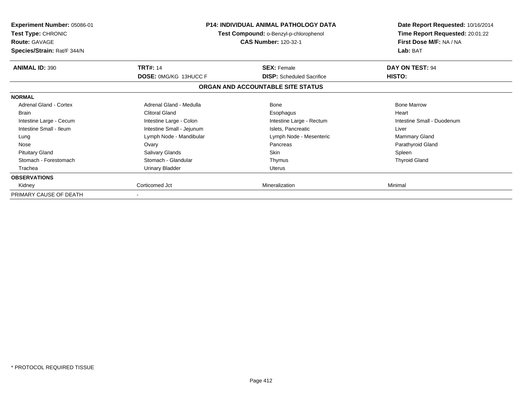| Experiment Number: 05086-01<br><b>Test Type: CHRONIC</b><br><b>Route: GAVAGE</b><br>Species/Strain: Rat/F 344/N |                              | <b>P14: INDIVIDUAL ANIMAL PATHOLOGY DATA</b><br>Test Compound: o-Benzyl-p-chlorophenol<br><b>CAS Number: 120-32-1</b> |                            |
|-----------------------------------------------------------------------------------------------------------------|------------------------------|-----------------------------------------------------------------------------------------------------------------------|----------------------------|
| <b>ANIMAL ID: 390</b>                                                                                           | <b>TRT#: 14</b>              | <b>SEX: Female</b>                                                                                                    | DAY ON TEST: 94            |
|                                                                                                                 | <b>DOSE: 0MG/KG 13HUCC F</b> | <b>DISP:</b> Scheduled Sacrifice                                                                                      | HISTO:                     |
|                                                                                                                 |                              | ORGAN AND ACCOUNTABLE SITE STATUS                                                                                     |                            |
| <b>NORMAL</b>                                                                                                   |                              |                                                                                                                       |                            |
| Adrenal Gland - Cortex                                                                                          | Adrenal Gland - Medulla      | Bone                                                                                                                  | <b>Bone Marrow</b>         |
| <b>Brain</b>                                                                                                    | <b>Clitoral Gland</b>        | Esophagus                                                                                                             | Heart                      |
| Intestine Large - Cecum                                                                                         | Intestine Large - Colon      | Intestine Large - Rectum                                                                                              | Intestine Small - Duodenum |
| Intestine Small - Ileum                                                                                         | Intestine Small - Jejunum    | Islets, Pancreatic                                                                                                    | Liver                      |
| Lung                                                                                                            | Lymph Node - Mandibular      | Lymph Node - Mesenteric                                                                                               | <b>Mammary Gland</b>       |
| Nose                                                                                                            | Ovary                        | Pancreas                                                                                                              | Parathyroid Gland          |
| <b>Pituitary Gland</b>                                                                                          | Salivary Glands              | Skin                                                                                                                  | Spleen                     |
| Stomach - Forestomach                                                                                           | Stomach - Glandular          | Thymus                                                                                                                | <b>Thyroid Gland</b>       |
| Trachea                                                                                                         | <b>Urinary Bladder</b>       | Uterus                                                                                                                |                            |
| <b>OBSERVATIONS</b>                                                                                             |                              |                                                                                                                       |                            |
| Kidney                                                                                                          | Corticomed Jct               | Mineralization                                                                                                        | Minimal                    |
| PRIMARY CAUSE OF DEATH                                                                                          |                              |                                                                                                                       |                            |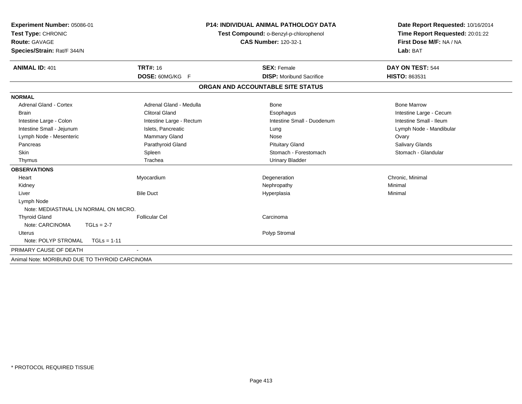| Experiment Number: 05086-01<br>Test Type: CHRONIC<br><b>Route: GAVAGE</b><br>Species/Strain: Rat/F 344/N |                          | <b>P14: INDIVIDUAL ANIMAL PATHOLOGY DATA</b><br>Test Compound: o-Benzyl-p-chlorophenol<br><b>CAS Number: 120-32-1</b> | Date Report Requested: 10/16/2014<br>Time Report Requested: 20:01:22<br>First Dose M/F: NA / NA<br>Lab: BAT |  |
|----------------------------------------------------------------------------------------------------------|--------------------------|-----------------------------------------------------------------------------------------------------------------------|-------------------------------------------------------------------------------------------------------------|--|
|                                                                                                          |                          |                                                                                                                       |                                                                                                             |  |
| <b>ANIMAL ID: 401</b>                                                                                    | <b>TRT#: 16</b>          | <b>SEX: Female</b>                                                                                                    | DAY ON TEST: 544                                                                                            |  |
|                                                                                                          | DOSE: 60MG/KG F          | <b>DISP:</b> Moribund Sacrifice                                                                                       | HISTO: 863531                                                                                               |  |
|                                                                                                          |                          | ORGAN AND ACCOUNTABLE SITE STATUS                                                                                     |                                                                                                             |  |
| <b>NORMAL</b>                                                                                            |                          |                                                                                                                       |                                                                                                             |  |
| <b>Adrenal Gland - Cortex</b>                                                                            | Adrenal Gland - Medulla  | Bone                                                                                                                  | <b>Bone Marrow</b>                                                                                          |  |
| <b>Brain</b>                                                                                             | <b>Clitoral Gland</b>    | Esophagus                                                                                                             | Intestine Large - Cecum                                                                                     |  |
| Intestine Large - Colon                                                                                  | Intestine Large - Rectum | Intestine Small - Duodenum                                                                                            | Intestine Small - Ileum                                                                                     |  |
| Intestine Small - Jejunum                                                                                | Islets, Pancreatic       | Lung                                                                                                                  | Lymph Node - Mandibular                                                                                     |  |
| Lymph Node - Mesenteric                                                                                  | Mammary Gland            | Nose                                                                                                                  | Ovary                                                                                                       |  |
| Pancreas                                                                                                 | Parathyroid Gland        | <b>Pituitary Gland</b>                                                                                                | Salivary Glands                                                                                             |  |
| Skin                                                                                                     | Spleen                   | Stomach - Forestomach                                                                                                 | Stomach - Glandular                                                                                         |  |
| Thymus                                                                                                   | Trachea                  | <b>Urinary Bladder</b>                                                                                                |                                                                                                             |  |
| <b>OBSERVATIONS</b>                                                                                      |                          |                                                                                                                       |                                                                                                             |  |
| Heart                                                                                                    | Myocardium               | Degeneration                                                                                                          | Chronic, Minimal                                                                                            |  |
| Kidney                                                                                                   |                          | Nephropathy                                                                                                           | Minimal                                                                                                     |  |
| Liver                                                                                                    | <b>Bile Duct</b>         | Hyperplasia                                                                                                           | Minimal                                                                                                     |  |
| Lymph Node                                                                                               |                          |                                                                                                                       |                                                                                                             |  |
| Note: MEDIASTINAL LN NORMAL ON MICRO.                                                                    |                          |                                                                                                                       |                                                                                                             |  |
| <b>Thyroid Gland</b>                                                                                     | Follicular Cel           | Carcinoma                                                                                                             |                                                                                                             |  |
| Note: CARCINOMA<br>$TGLs = 2-7$                                                                          |                          |                                                                                                                       |                                                                                                             |  |
| Uterus                                                                                                   |                          | Polyp Stromal                                                                                                         |                                                                                                             |  |
| Note: POLYP STROMAL<br>$TGLs = 1-11$                                                                     |                          |                                                                                                                       |                                                                                                             |  |
| PRIMARY CAUSE OF DEATH                                                                                   |                          |                                                                                                                       |                                                                                                             |  |
| Animal Note: MORIBUND DUE TO THYROID CARCINOMA                                                           |                          |                                                                                                                       |                                                                                                             |  |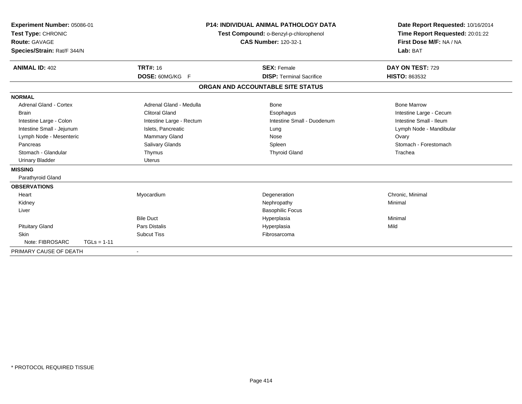| Experiment Number: 05086-01<br>Test Type: CHRONIC<br>Route: GAVAGE<br>Species/Strain: Rat/F 344/N |               |                                    | <b>P14: INDIVIDUAL ANIMAL PATHOLOGY DATA</b><br>Test Compound: o-Benzyl-p-chlorophenol<br><b>CAS Number: 120-32-1</b> |                                                       | Date Report Requested: 10/16/2014<br>Time Report Requested: 20:01:22<br>First Dose M/F: NA / NA<br>Lab: BAT |
|---------------------------------------------------------------------------------------------------|---------------|------------------------------------|-----------------------------------------------------------------------------------------------------------------------|-------------------------------------------------------|-------------------------------------------------------------------------------------------------------------|
| <b>ANIMAL ID: 402</b>                                                                             |               | <b>TRT#: 16</b><br>DOSE: 60MG/KG F |                                                                                                                       | <b>SEX: Female</b><br><b>DISP: Terminal Sacrifice</b> | DAY ON TEST: 729<br>HISTO: 863532                                                                           |
|                                                                                                   |               |                                    |                                                                                                                       | ORGAN AND ACCOUNTABLE SITE STATUS                     |                                                                                                             |
| <b>NORMAL</b>                                                                                     |               |                                    |                                                                                                                       |                                                       |                                                                                                             |
| Adrenal Gland - Cortex                                                                            |               | Adrenal Gland - Medulla            |                                                                                                                       | Bone                                                  | <b>Bone Marrow</b>                                                                                          |
| <b>Brain</b>                                                                                      |               | <b>Clitoral Gland</b>              |                                                                                                                       | Esophagus                                             | Intestine Large - Cecum                                                                                     |
| Intestine Large - Colon                                                                           |               | Intestine Large - Rectum           |                                                                                                                       | Intestine Small - Duodenum                            | Intestine Small - Ileum                                                                                     |
| Intestine Small - Jejunum                                                                         |               | Islets, Pancreatic                 |                                                                                                                       | Lung                                                  | Lymph Node - Mandibular                                                                                     |
| Lymph Node - Mesenteric                                                                           |               | <b>Mammary Gland</b>               |                                                                                                                       | Nose                                                  | Ovary                                                                                                       |
| Pancreas                                                                                          |               | Salivary Glands                    |                                                                                                                       | Spleen                                                | Stomach - Forestomach                                                                                       |
| Stomach - Glandular                                                                               |               | Thymus                             |                                                                                                                       | <b>Thyroid Gland</b>                                  | Trachea                                                                                                     |
| <b>Urinary Bladder</b>                                                                            |               | <b>Uterus</b>                      |                                                                                                                       |                                                       |                                                                                                             |
| <b>MISSING</b>                                                                                    |               |                                    |                                                                                                                       |                                                       |                                                                                                             |
| Parathyroid Gland                                                                                 |               |                                    |                                                                                                                       |                                                       |                                                                                                             |
| <b>OBSERVATIONS</b>                                                                               |               |                                    |                                                                                                                       |                                                       |                                                                                                             |
| Heart                                                                                             |               | Myocardium                         |                                                                                                                       | Degeneration                                          | Chronic, Minimal                                                                                            |
| Kidney                                                                                            |               |                                    |                                                                                                                       | Nephropathy                                           | Minimal                                                                                                     |
| Liver                                                                                             |               |                                    |                                                                                                                       | <b>Basophilic Focus</b>                               |                                                                                                             |
|                                                                                                   |               | <b>Bile Duct</b>                   |                                                                                                                       | Hyperplasia                                           | Minimal                                                                                                     |
| <b>Pituitary Gland</b>                                                                            |               | <b>Pars Distalis</b>               |                                                                                                                       | Hyperplasia                                           | Mild                                                                                                        |
| <b>Skin</b>                                                                                       |               | <b>Subcut Tiss</b>                 |                                                                                                                       | Fibrosarcoma                                          |                                                                                                             |
| Note: FIBROSARC                                                                                   | $TGLs = 1-11$ |                                    |                                                                                                                       |                                                       |                                                                                                             |
| PRIMARY CAUSE OF DEATH                                                                            |               | $\blacksquare$                     |                                                                                                                       |                                                       |                                                                                                             |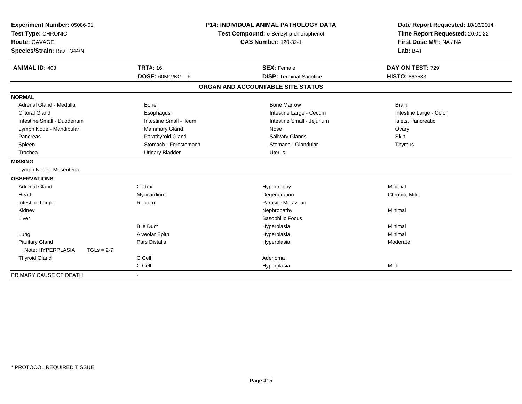| Experiment Number: 05086-01       | <b>P14: INDIVIDUAL ANIMAL PATHOLOGY DATA</b> |                                        | Date Report Requested: 10/16/2014 |
|-----------------------------------|----------------------------------------------|----------------------------------------|-----------------------------------|
| Test Type: CHRONIC                |                                              | Test Compound: o-Benzyl-p-chlorophenol | Time Report Requested: 20:01:22   |
| <b>Route: GAVAGE</b>              |                                              | <b>CAS Number: 120-32-1</b>            | First Dose M/F: NA / NA           |
| Species/Strain: Rat/F 344/N       |                                              |                                        | Lab: BAT                          |
| <b>ANIMAL ID: 403</b>             | <b>TRT#: 16</b>                              | <b>SEX: Female</b>                     | DAY ON TEST: 729                  |
|                                   | DOSE: 60MG/KG F                              | <b>DISP: Terminal Sacrifice</b>        | <b>HISTO: 863533</b>              |
|                                   |                                              |                                        |                                   |
|                                   |                                              | ORGAN AND ACCOUNTABLE SITE STATUS      |                                   |
| <b>NORMAL</b>                     |                                              |                                        |                                   |
| Adrenal Gland - Medulla           | Bone                                         | <b>Bone Marrow</b>                     | <b>Brain</b>                      |
| <b>Clitoral Gland</b>             | Esophagus                                    | Intestine Large - Cecum                | Intestine Large - Colon           |
| Intestine Small - Duodenum        | Intestine Small - Ileum                      | Intestine Small - Jejunum              | Islets, Pancreatic                |
| Lymph Node - Mandibular           | <b>Mammary Gland</b>                         | Nose                                   | Ovary                             |
| Pancreas                          | Parathyroid Gland                            | <b>Salivary Glands</b>                 | Skin                              |
| Spleen                            | Stomach - Forestomach                        | Stomach - Glandular                    | Thymus                            |
| Trachea                           | <b>Urinary Bladder</b>                       | Uterus                                 |                                   |
| <b>MISSING</b>                    |                                              |                                        |                                   |
| Lymph Node - Mesenteric           |                                              |                                        |                                   |
| <b>OBSERVATIONS</b>               |                                              |                                        |                                   |
| <b>Adrenal Gland</b>              | Cortex                                       | Hypertrophy                            | Minimal                           |
| Heart                             | Myocardium                                   | Degeneration                           | Chronic, Mild                     |
| Intestine Large                   | Rectum                                       | Parasite Metazoan                      |                                   |
| Kidney                            |                                              | Nephropathy                            | Minimal                           |
| Liver                             |                                              | <b>Basophilic Focus</b>                |                                   |
|                                   | <b>Bile Duct</b>                             | Hyperplasia                            | Minimal                           |
| Lung                              | Alveolar Epith                               | Hyperplasia                            | Minimal                           |
| <b>Pituitary Gland</b>            | Pars Distalis                                | Hyperplasia                            | Moderate                          |
| Note: HYPERPLASIA<br>$TGLs = 2-7$ |                                              |                                        |                                   |
| <b>Thyroid Gland</b>              | C Cell                                       | Adenoma                                |                                   |
|                                   | C Cell                                       | Hyperplasia                            | Mild                              |
| PRIMARY CAUSE OF DEATH            |                                              |                                        |                                   |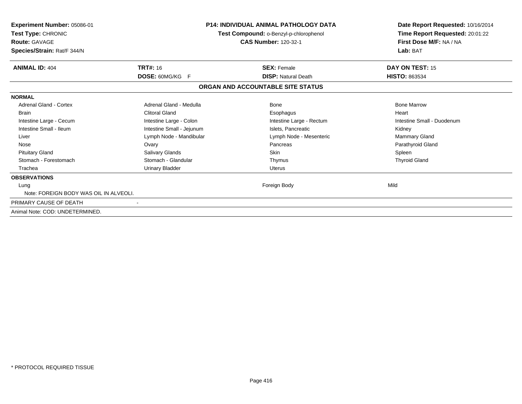| Experiment Number: 05086-01<br>Test Type: CHRONIC<br><b>Route: GAVAGE</b><br>Species/Strain: Rat/F 344/N | <b>P14: INDIVIDUAL ANIMAL PATHOLOGY DATA</b><br>Test Compound: o-Benzyl-p-chlorophenol<br><b>CAS Number: 120-32-1</b> |                                   | Date Report Requested: 10/16/2014<br>Time Report Requested: 20:01:22<br>First Dose M/F: NA / NA<br>Lab: BAT |
|----------------------------------------------------------------------------------------------------------|-----------------------------------------------------------------------------------------------------------------------|-----------------------------------|-------------------------------------------------------------------------------------------------------------|
| <b>ANIMAL ID: 404</b>                                                                                    | <b>TRT#: 16</b>                                                                                                       | <b>SEX: Female</b>                | DAY ON TEST: 15                                                                                             |
|                                                                                                          | DOSE: 60MG/KG F                                                                                                       | <b>DISP: Natural Death</b>        | <b>HISTO: 863534</b>                                                                                        |
|                                                                                                          |                                                                                                                       | ORGAN AND ACCOUNTABLE SITE STATUS |                                                                                                             |
| <b>NORMAL</b>                                                                                            |                                                                                                                       |                                   |                                                                                                             |
| <b>Adrenal Gland - Cortex</b>                                                                            | Adrenal Gland - Medulla                                                                                               | Bone                              | <b>Bone Marrow</b>                                                                                          |
| <b>Brain</b>                                                                                             | Clitoral Gland                                                                                                        | Esophagus                         | Heart                                                                                                       |
| Intestine Large - Cecum                                                                                  | Intestine Large - Colon                                                                                               | Intestine Large - Rectum          | Intestine Small - Duodenum                                                                                  |
| Intestine Small - Ileum                                                                                  | Intestine Small - Jejunum                                                                                             | Islets, Pancreatic                | Kidney                                                                                                      |
| Liver                                                                                                    | Lymph Node - Mandibular                                                                                               | Lymph Node - Mesenteric           | <b>Mammary Gland</b>                                                                                        |
| Nose                                                                                                     | Ovary                                                                                                                 | Pancreas                          | Parathyroid Gland                                                                                           |
| <b>Pituitary Gland</b>                                                                                   | Salivary Glands                                                                                                       | <b>Skin</b>                       | Spleen                                                                                                      |
| Stomach - Forestomach                                                                                    | Stomach - Glandular                                                                                                   | Thymus                            | <b>Thyroid Gland</b>                                                                                        |
| Trachea                                                                                                  | <b>Urinary Bladder</b>                                                                                                | <b>Uterus</b>                     |                                                                                                             |
| <b>OBSERVATIONS</b>                                                                                      |                                                                                                                       |                                   |                                                                                                             |
| Lung                                                                                                     |                                                                                                                       | Foreign Body                      | Mild                                                                                                        |
| Note: FOREIGN BODY WAS OIL IN ALVEOLI.                                                                   |                                                                                                                       |                                   |                                                                                                             |
| PRIMARY CAUSE OF DEATH                                                                                   |                                                                                                                       |                                   |                                                                                                             |
| Animal Note: COD: UNDETERMINED.                                                                          |                                                                                                                       |                                   |                                                                                                             |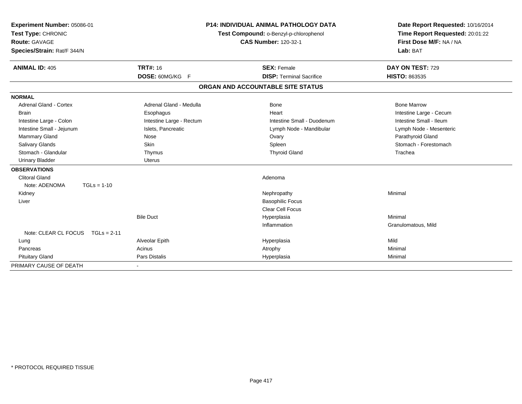| Experiment Number: 05086-01<br>Test Type: CHRONIC<br><b>Route: GAVAGE</b><br>Species/Strain: Rat/F 344/N |                          | <b>P14: INDIVIDUAL ANIMAL PATHOLOGY DATA</b><br>Test Compound: o-Benzyl-p-chlorophenol<br><b>CAS Number: 120-32-1</b> |                                   | Date Report Requested: 10/16/2014<br>Time Report Requested: 20:01:22<br>First Dose M/F: NA / NA<br>Lab: BAT |
|----------------------------------------------------------------------------------------------------------|--------------------------|-----------------------------------------------------------------------------------------------------------------------|-----------------------------------|-------------------------------------------------------------------------------------------------------------|
| <b>ANIMAL ID: 405</b>                                                                                    | <b>TRT#: 16</b>          |                                                                                                                       | <b>SEX: Female</b>                | DAY ON TEST: 729                                                                                            |
|                                                                                                          | DOSE: 60MG/KG F          |                                                                                                                       | <b>DISP: Terminal Sacrifice</b>   | HISTO: 863535                                                                                               |
|                                                                                                          |                          |                                                                                                                       | ORGAN AND ACCOUNTABLE SITE STATUS |                                                                                                             |
| <b>NORMAL</b>                                                                                            |                          |                                                                                                                       |                                   |                                                                                                             |
| Adrenal Gland - Cortex                                                                                   | Adrenal Gland - Medulla  |                                                                                                                       | <b>Bone</b>                       | <b>Bone Marrow</b>                                                                                          |
| Brain                                                                                                    | Esophagus                |                                                                                                                       | Heart                             | Intestine Large - Cecum                                                                                     |
| Intestine Large - Colon                                                                                  | Intestine Large - Rectum |                                                                                                                       | Intestine Small - Duodenum        | Intestine Small - Ileum                                                                                     |
| Intestine Small - Jejunum                                                                                | Islets, Pancreatic       |                                                                                                                       | Lymph Node - Mandibular           | Lymph Node - Mesenteric                                                                                     |
| Mammary Gland                                                                                            | Nose                     |                                                                                                                       | Ovary                             | Parathyroid Gland                                                                                           |
| <b>Salivary Glands</b>                                                                                   | <b>Skin</b>              |                                                                                                                       | Spleen                            | Stomach - Forestomach                                                                                       |
| Stomach - Glandular                                                                                      | Thymus                   |                                                                                                                       | <b>Thyroid Gland</b>              | Trachea                                                                                                     |
| <b>Urinary Bladder</b>                                                                                   | Uterus                   |                                                                                                                       |                                   |                                                                                                             |
| <b>OBSERVATIONS</b>                                                                                      |                          |                                                                                                                       |                                   |                                                                                                             |
| <b>Clitoral Gland</b>                                                                                    |                          |                                                                                                                       | Adenoma                           |                                                                                                             |
| Note: ADENOMA<br>$TGLs = 1-10$                                                                           |                          |                                                                                                                       |                                   |                                                                                                             |
| Kidney                                                                                                   |                          |                                                                                                                       | Nephropathy                       | Minimal                                                                                                     |
| Liver                                                                                                    |                          |                                                                                                                       | <b>Basophilic Focus</b>           |                                                                                                             |
|                                                                                                          |                          |                                                                                                                       | <b>Clear Cell Focus</b>           |                                                                                                             |
|                                                                                                          | <b>Bile Duct</b>         |                                                                                                                       | Hyperplasia                       | Minimal                                                                                                     |
|                                                                                                          |                          |                                                                                                                       | Inflammation                      | Granulomatous, Mild                                                                                         |
| Note: CLEAR CL FOCUS TGLs = 2-11                                                                         |                          |                                                                                                                       |                                   |                                                                                                             |
| Lung                                                                                                     | Alveolar Epith           |                                                                                                                       | Hyperplasia                       | Mild                                                                                                        |
| Pancreas                                                                                                 | Acinus                   |                                                                                                                       | Atrophy                           | Minimal                                                                                                     |
| <b>Pituitary Gland</b>                                                                                   | <b>Pars Distalis</b>     |                                                                                                                       | Hyperplasia                       | Minimal                                                                                                     |
| PRIMARY CAUSE OF DEATH                                                                                   |                          |                                                                                                                       |                                   |                                                                                                             |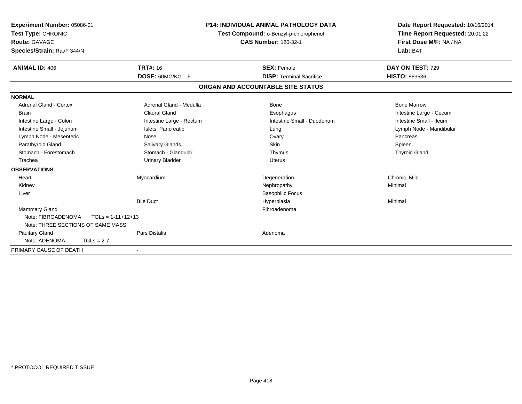| Experiment Number: 05086-01<br>Test Type: CHRONIC<br><b>Route: GAVAGE</b><br>Species/Strain: Rat/F 344/N |                          | <b>P14: INDIVIDUAL ANIMAL PATHOLOGY DATA</b><br>Test Compound: o-Benzyl-p-chlorophenol<br><b>CAS Number: 120-32-1</b> | Date Report Requested: 10/16/2014<br>Time Report Requested: 20:01:22<br>First Dose M/F: NA / NA<br>Lab: BAT |
|----------------------------------------------------------------------------------------------------------|--------------------------|-----------------------------------------------------------------------------------------------------------------------|-------------------------------------------------------------------------------------------------------------|
| <b>ANIMAL ID: 406</b>                                                                                    | <b>TRT#: 16</b>          | <b>SEX: Female</b>                                                                                                    | DAY ON TEST: 729                                                                                            |
|                                                                                                          | DOSE: 60MG/KG F          | <b>DISP: Terminal Sacrifice</b>                                                                                       | <b>HISTO: 863536</b>                                                                                        |
|                                                                                                          |                          | ORGAN AND ACCOUNTABLE SITE STATUS                                                                                     |                                                                                                             |
| <b>NORMAL</b>                                                                                            |                          |                                                                                                                       |                                                                                                             |
| <b>Adrenal Gland - Cortex</b>                                                                            | Adrenal Gland - Medulla  | Bone                                                                                                                  | <b>Bone Marrow</b>                                                                                          |
| Brain                                                                                                    | <b>Clitoral Gland</b>    | Esophagus                                                                                                             | Intestine Large - Cecum                                                                                     |
| Intestine Large - Colon                                                                                  | Intestine Large - Rectum | Intestine Small - Duodenum                                                                                            | Intestine Small - Ileum                                                                                     |
| Intestine Small - Jejunum                                                                                | Islets, Pancreatic       | Lung                                                                                                                  | Lymph Node - Mandibular                                                                                     |
| Lymph Node - Mesenteric                                                                                  | Nose                     | Ovary                                                                                                                 | Pancreas                                                                                                    |
| Parathyroid Gland                                                                                        | Salivary Glands          | <b>Skin</b>                                                                                                           | Spleen                                                                                                      |
| Stomach - Forestomach                                                                                    | Stomach - Glandular      | Thymus                                                                                                                | <b>Thyroid Gland</b>                                                                                        |
| Trachea                                                                                                  | <b>Urinary Bladder</b>   | <b>Uterus</b>                                                                                                         |                                                                                                             |
| <b>OBSERVATIONS</b>                                                                                      |                          |                                                                                                                       |                                                                                                             |
| Heart                                                                                                    | Myocardium               | Degeneration                                                                                                          | Chronic, Mild                                                                                               |
| Kidney                                                                                                   |                          | Nephropathy                                                                                                           | Minimal                                                                                                     |
| Liver                                                                                                    |                          | <b>Basophilic Focus</b>                                                                                               |                                                                                                             |
|                                                                                                          | <b>Bile Duct</b>         | Hyperplasia                                                                                                           | Minimal                                                                                                     |
| Mammary Gland                                                                                            |                          | Fibroadenoma                                                                                                          |                                                                                                             |
| Note: FIBROADENOMA                                                                                       | $TGLs = 1-11+12+13$      |                                                                                                                       |                                                                                                             |
| Note: THREE SECTIONS OF SAME MASS                                                                        |                          |                                                                                                                       |                                                                                                             |
| <b>Pituitary Gland</b>                                                                                   | <b>Pars Distalis</b>     | Adenoma                                                                                                               |                                                                                                             |
| Note: ADENOMA<br>$TGLs = 2-7$                                                                            |                          |                                                                                                                       |                                                                                                             |
| PRIMARY CAUSE OF DEATH                                                                                   |                          |                                                                                                                       |                                                                                                             |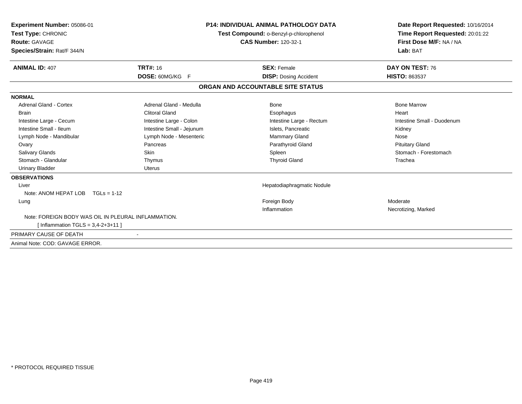| Experiment Number: 05086-01<br>Test Type: CHRONIC   |                           | <b>P14: INDIVIDUAL ANIMAL PATHOLOGY DATA</b> | Date Report Requested: 10/16/2014 |  |
|-----------------------------------------------------|---------------------------|----------------------------------------------|-----------------------------------|--|
|                                                     |                           | Test Compound: o-Benzyl-p-chlorophenol       | Time Report Requested: 20:01:22   |  |
| <b>Route: GAVAGE</b>                                |                           | <b>CAS Number: 120-32-1</b>                  | First Dose M/F: NA / NA           |  |
| Species/Strain: Rat/F 344/N                         |                           |                                              | Lab: BAT                          |  |
| <b>ANIMAL ID: 407</b>                               | <b>TRT#: 16</b>           | <b>SEX: Female</b>                           | DAY ON TEST: 76                   |  |
|                                                     | DOSE: 60MG/KG F           | <b>DISP:</b> Dosing Accident                 | <b>HISTO: 863537</b>              |  |
|                                                     |                           | ORGAN AND ACCOUNTABLE SITE STATUS            |                                   |  |
| <b>NORMAL</b>                                       |                           |                                              |                                   |  |
| Adrenal Gland - Cortex                              | Adrenal Gland - Medulla   | Bone                                         | <b>Bone Marrow</b>                |  |
| <b>Brain</b>                                        | <b>Clitoral Gland</b>     | Esophagus                                    | Heart                             |  |
| Intestine Large - Cecum                             | Intestine Large - Colon   | Intestine Large - Rectum                     | Intestine Small - Duodenum        |  |
| Intestine Small - Ileum                             | Intestine Small - Jejunum | Islets, Pancreatic                           | Kidney                            |  |
| Lymph Node - Mandibular                             | Lymph Node - Mesenteric   | <b>Mammary Gland</b>                         | Nose                              |  |
| Ovary                                               | Pancreas                  | Parathyroid Gland                            | <b>Pituitary Gland</b>            |  |
| <b>Salivary Glands</b>                              | <b>Skin</b>               | Spleen                                       | Stomach - Forestomach             |  |
| Stomach - Glandular                                 | Thymus                    | <b>Thyroid Gland</b>                         | Trachea                           |  |
| <b>Urinary Bladder</b>                              | <b>Uterus</b>             |                                              |                                   |  |
| <b>OBSERVATIONS</b>                                 |                           |                                              |                                   |  |
| Liver                                               |                           | Hepatodiaphragmatic Nodule                   |                                   |  |
| Note: ANOM HEPAT LOB TGLs = 1-12                    |                           |                                              |                                   |  |
| Lung                                                |                           | Foreign Body                                 | Moderate                          |  |
|                                                     |                           | Inflammation                                 | Necrotizing, Marked               |  |
| Note: FOREIGN BODY WAS OIL IN PLEURAL INFLAMMATION. |                           |                                              |                                   |  |
| [Inflammation TGLS = $3,4-2+3+11$ ]                 |                           |                                              |                                   |  |
| PRIMARY CAUSE OF DEATH                              |                           |                                              |                                   |  |
| Animal Note: COD: GAVAGE ERROR.                     |                           |                                              |                                   |  |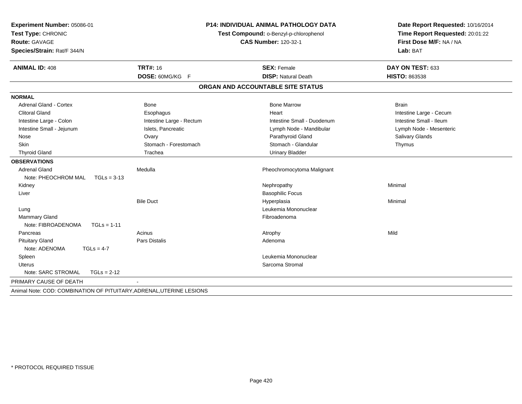| Experiment Number: 05086-01                                          |                          | <b>P14: INDIVIDUAL ANIMAL PATHOLOGY DATA</b> | Date Report Requested: 10/16/2014                          |
|----------------------------------------------------------------------|--------------------------|----------------------------------------------|------------------------------------------------------------|
| Test Type: CHRONIC                                                   |                          | Test Compound: o-Benzyl-p-chlorophenol       | Time Report Requested: 20:01:22<br>First Dose M/F: NA / NA |
| Route: GAVAGE                                                        |                          | <b>CAS Number: 120-32-1</b>                  |                                                            |
| Species/Strain: Rat/F 344/N                                          |                          |                                              | Lab: BAT                                                   |
| <b>ANIMAL ID: 408</b>                                                | <b>TRT#: 16</b>          | <b>SEX: Female</b>                           | DAY ON TEST: 633                                           |
|                                                                      | DOSE: 60MG/KG F          | <b>DISP: Natural Death</b>                   | <b>HISTO: 863538</b>                                       |
|                                                                      |                          | ORGAN AND ACCOUNTABLE SITE STATUS            |                                                            |
| <b>NORMAL</b>                                                        |                          |                                              |                                                            |
| <b>Adrenal Gland - Cortex</b>                                        | <b>Bone</b>              | <b>Bone Marrow</b>                           | <b>Brain</b>                                               |
| <b>Clitoral Gland</b>                                                | Esophagus                | Heart                                        | Intestine Large - Cecum                                    |
| Intestine Large - Colon                                              | Intestine Large - Rectum | Intestine Small - Duodenum                   | Intestine Small - Ileum                                    |
| Intestine Small - Jejunum                                            | Islets, Pancreatic       | Lymph Node - Mandibular                      | Lymph Node - Mesenteric                                    |
| Nose                                                                 | Ovary                    | Parathyroid Gland                            | <b>Salivary Glands</b>                                     |
| <b>Skin</b>                                                          | Stomach - Forestomach    | Stomach - Glandular                          | Thymus                                                     |
| <b>Thyroid Gland</b>                                                 | Trachea                  | <b>Urinary Bladder</b>                       |                                                            |
| <b>OBSERVATIONS</b>                                                  |                          |                                              |                                                            |
| <b>Adrenal Gland</b>                                                 | Medulla                  | Pheochromocytoma Malignant                   |                                                            |
| Note: PHEOCHROM MAL<br>$TGLs = 3-13$                                 |                          |                                              |                                                            |
| Kidney                                                               |                          | Nephropathy                                  | Minimal                                                    |
| Liver                                                                |                          | <b>Basophilic Focus</b>                      |                                                            |
|                                                                      | <b>Bile Duct</b>         | Hyperplasia                                  | Minimal                                                    |
| Lung                                                                 |                          | Leukemia Mononuclear                         |                                                            |
| Mammary Gland                                                        |                          | Fibroadenoma                                 |                                                            |
| Note: FIBROADENOMA<br>$TGLs = 1-11$                                  |                          |                                              |                                                            |
| Pancreas                                                             | Acinus                   | Atrophy                                      | Mild                                                       |
| <b>Pituitary Gland</b>                                               | <b>Pars Distalis</b>     | Adenoma                                      |                                                            |
| Note: ADENOMA<br>$TGLs = 4-7$                                        |                          |                                              |                                                            |
| Spleen                                                               |                          | Leukemia Mononuclear                         |                                                            |
| Uterus                                                               |                          | Sarcoma Stromal                              |                                                            |
| Note: SARC STROMAL<br>$TGLs = 2-12$                                  |                          |                                              |                                                            |
| PRIMARY CAUSE OF DEATH                                               |                          |                                              |                                                            |
| Animal Note: COD: COMBINATION OF PITUITARY, ADRENAL, UTERINE LESIONS |                          |                                              |                                                            |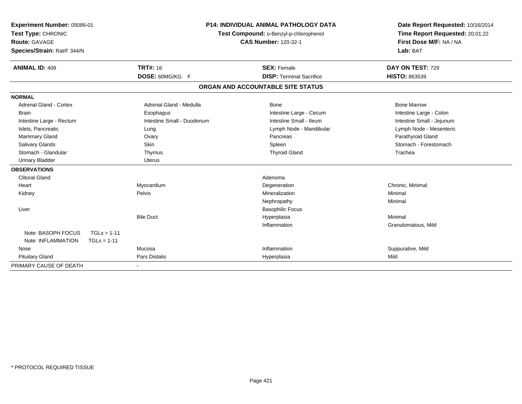| Experiment Number: 05086-01<br>Test Type: CHRONIC<br>Route: GAVAGE<br>Species/Strain: Rat/F 344/N<br><b>ANIMAL ID: 409</b> | <b>TRT#: 16</b>            | <b>P14: INDIVIDUAL ANIMAL PATHOLOGY DATA</b><br>Test Compound: o-Benzyl-p-chlorophenol<br><b>CAS Number: 120-32-1</b><br><b>SEX: Female</b> | Date Report Requested: 10/16/2014<br>Time Report Requested: 20:01:22<br>First Dose M/F: NA / NA<br>Lab: BAT<br>DAY ON TEST: 729 |
|----------------------------------------------------------------------------------------------------------------------------|----------------------------|---------------------------------------------------------------------------------------------------------------------------------------------|---------------------------------------------------------------------------------------------------------------------------------|
|                                                                                                                            | DOSE: 60MG/KG F            | <b>DISP: Terminal Sacrifice</b>                                                                                                             | HISTO: 863539                                                                                                                   |
|                                                                                                                            |                            | ORGAN AND ACCOUNTABLE SITE STATUS                                                                                                           |                                                                                                                                 |
| <b>NORMAL</b>                                                                                                              |                            |                                                                                                                                             |                                                                                                                                 |
| <b>Adrenal Gland - Cortex</b>                                                                                              | Adrenal Gland - Medulla    | <b>Bone</b>                                                                                                                                 | <b>Bone Marrow</b>                                                                                                              |
| <b>Brain</b>                                                                                                               | Esophagus                  | Intestine Large - Cecum                                                                                                                     | Intestine Large - Colon                                                                                                         |
| Intestine Large - Rectum                                                                                                   | Intestine Small - Duodenum | Intestine Small - Ileum                                                                                                                     | Intestine Small - Jejunum                                                                                                       |
| Islets, Pancreatic                                                                                                         | Lung                       | Lymph Node - Mandibular                                                                                                                     | Lymph Node - Mesenteric                                                                                                         |
| Mammary Gland                                                                                                              | Ovary                      | Pancreas                                                                                                                                    | Parathyroid Gland                                                                                                               |
| <b>Salivary Glands</b>                                                                                                     | Skin                       | Spleen                                                                                                                                      | Stomach - Forestomach                                                                                                           |
| Stomach - Glandular                                                                                                        | Thymus                     | <b>Thyroid Gland</b>                                                                                                                        | Trachea                                                                                                                         |
| <b>Urinary Bladder</b>                                                                                                     | <b>Uterus</b>              |                                                                                                                                             |                                                                                                                                 |
| <b>OBSERVATIONS</b>                                                                                                        |                            |                                                                                                                                             |                                                                                                                                 |
| <b>Clitoral Gland</b>                                                                                                      |                            | Adenoma                                                                                                                                     |                                                                                                                                 |
| Heart                                                                                                                      | Myocardium                 | Degeneration                                                                                                                                | Chronic, Minimal                                                                                                                |
| Kidney                                                                                                                     | Pelvis                     | Mineralization                                                                                                                              | Minimal                                                                                                                         |
|                                                                                                                            |                            | Nephropathy                                                                                                                                 | Minimal                                                                                                                         |
| Liver                                                                                                                      |                            | <b>Basophilic Focus</b>                                                                                                                     |                                                                                                                                 |
|                                                                                                                            | <b>Bile Duct</b>           | Hyperplasia                                                                                                                                 | Minimal                                                                                                                         |
|                                                                                                                            |                            | Inflammation                                                                                                                                | Granulomatous, Mild                                                                                                             |
| Note: BASOPH FOCUS<br>$TGLs = 1-11$                                                                                        |                            |                                                                                                                                             |                                                                                                                                 |
| Note: INFLAMMATION<br>$TGLs = 1-11$                                                                                        |                            |                                                                                                                                             |                                                                                                                                 |
| Nose                                                                                                                       | Mucosa                     | Inflammation                                                                                                                                | Suppurative, Mild                                                                                                               |
| <b>Pituitary Gland</b>                                                                                                     | Pars Distalis              | Hyperplasia                                                                                                                                 | Mild                                                                                                                            |
| PRIMARY CAUSE OF DEATH                                                                                                     |                            |                                                                                                                                             |                                                                                                                                 |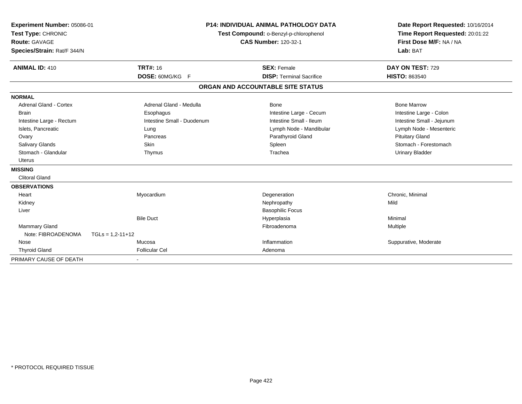| Experiment Number: 05086-01<br>Test Type: CHRONIC<br><b>Route: GAVAGE</b><br>Species/Strain: Rat/F 344/N |                            | <b>P14: INDIVIDUAL ANIMAL PATHOLOGY DATA</b><br>Test Compound: o-Benzyl-p-chlorophenol<br><b>CAS Number: 120-32-1</b> | Date Report Requested: 10/16/2014<br>Time Report Requested: 20:01:22<br>First Dose M/F: NA / NA<br>Lab: BAT |
|----------------------------------------------------------------------------------------------------------|----------------------------|-----------------------------------------------------------------------------------------------------------------------|-------------------------------------------------------------------------------------------------------------|
| <b>ANIMAL ID: 410</b>                                                                                    | <b>TRT#: 16</b>            | <b>SEX: Female</b>                                                                                                    | DAY ON TEST: 729                                                                                            |
|                                                                                                          | DOSE: 60MG/KG F            | <b>DISP: Terminal Sacrifice</b>                                                                                       | <b>HISTO: 863540</b>                                                                                        |
|                                                                                                          |                            | ORGAN AND ACCOUNTABLE SITE STATUS                                                                                     |                                                                                                             |
| <b>NORMAL</b>                                                                                            |                            |                                                                                                                       |                                                                                                             |
| <b>Adrenal Gland - Cortex</b>                                                                            | Adrenal Gland - Medulla    | <b>Bone</b>                                                                                                           | <b>Bone Marrow</b>                                                                                          |
| <b>Brain</b>                                                                                             | Esophagus                  | Intestine Large - Cecum                                                                                               | Intestine Large - Colon                                                                                     |
| Intestine Large - Rectum                                                                                 | Intestine Small - Duodenum | Intestine Small - Ileum                                                                                               | Intestine Small - Jejunum                                                                                   |
| Islets, Pancreatic                                                                                       | Lung                       | Lymph Node - Mandibular                                                                                               | Lymph Node - Mesenteric                                                                                     |
| Ovary                                                                                                    | Pancreas                   | Parathyroid Gland                                                                                                     | <b>Pituitary Gland</b>                                                                                      |
| Salivary Glands                                                                                          | <b>Skin</b>                | Spleen                                                                                                                | Stomach - Forestomach                                                                                       |
| Stomach - Glandular                                                                                      | Thymus                     | Trachea                                                                                                               | <b>Urinary Bladder</b>                                                                                      |
| <b>Uterus</b>                                                                                            |                            |                                                                                                                       |                                                                                                             |
| <b>MISSING</b>                                                                                           |                            |                                                                                                                       |                                                                                                             |
| <b>Clitoral Gland</b>                                                                                    |                            |                                                                                                                       |                                                                                                             |
| <b>OBSERVATIONS</b>                                                                                      |                            |                                                                                                                       |                                                                                                             |
| Heart                                                                                                    | Myocardium                 | Degeneration                                                                                                          | Chronic, Minimal                                                                                            |
| Kidney                                                                                                   |                            | Nephropathy                                                                                                           | Mild                                                                                                        |
| Liver                                                                                                    |                            | <b>Basophilic Focus</b>                                                                                               |                                                                                                             |
|                                                                                                          | <b>Bile Duct</b>           | Hyperplasia                                                                                                           | Minimal                                                                                                     |
| <b>Mammary Gland</b>                                                                                     |                            | Fibroadenoma                                                                                                          | Multiple                                                                                                    |
| Note: FIBROADENOMA                                                                                       | $TGLs = 1.2 - 11 + 12$     |                                                                                                                       |                                                                                                             |
| Nose                                                                                                     | Mucosa                     | Inflammation                                                                                                          | Suppurative, Moderate                                                                                       |
| <b>Thyroid Gland</b>                                                                                     | <b>Follicular Cel</b>      | Adenoma                                                                                                               |                                                                                                             |
| PRIMARY CAUSE OF DEATH                                                                                   |                            |                                                                                                                       |                                                                                                             |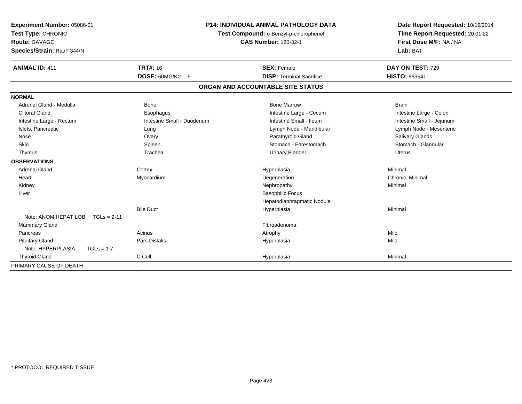| Experiment Number: 05086-01<br>Test Type: CHRONIC<br>Route: GAVAGE<br>Species/Strain: Rat/F 344/N<br><b>ANIMAL ID: 411</b> | <b>TRT#: 16</b>            | <b>P14: INDIVIDUAL ANIMAL PATHOLOGY DATA</b><br>Test Compound: o-Benzyl-p-chlorophenol<br><b>CAS Number: 120-32-1</b><br><b>SEX: Female</b> | Date Report Requested: 10/16/2014<br>Time Report Requested: 20:01:22<br>First Dose M/F: NA / NA<br>Lab: BAT<br>DAY ON TEST: 729 |
|----------------------------------------------------------------------------------------------------------------------------|----------------------------|---------------------------------------------------------------------------------------------------------------------------------------------|---------------------------------------------------------------------------------------------------------------------------------|
|                                                                                                                            | DOSE: 60MG/KG F            | <b>DISP: Terminal Sacrifice</b>                                                                                                             | <b>HISTO: 863541</b>                                                                                                            |
|                                                                                                                            |                            | ORGAN AND ACCOUNTABLE SITE STATUS                                                                                                           |                                                                                                                                 |
| <b>NORMAL</b>                                                                                                              |                            |                                                                                                                                             |                                                                                                                                 |
| Adrenal Gland - Medulla                                                                                                    | <b>Bone</b>                | <b>Bone Marrow</b>                                                                                                                          | <b>Brain</b>                                                                                                                    |
| <b>Clitoral Gland</b>                                                                                                      | Esophagus                  | Intestine Large - Cecum                                                                                                                     | Intestine Large - Colon                                                                                                         |
| Intestine Large - Rectum                                                                                                   | Intestine Small - Duodenum | Intestine Small - Ileum                                                                                                                     | Intestine Small - Jejunum                                                                                                       |
| Islets, Pancreatic                                                                                                         | Lung                       | Lymph Node - Mandibular                                                                                                                     | Lymph Node - Mesenteric                                                                                                         |
| Nose                                                                                                                       | Ovary                      | Parathyroid Gland                                                                                                                           | Salivary Glands                                                                                                                 |
| <b>Skin</b>                                                                                                                | Spleen                     | Stomach - Forestomach                                                                                                                       | Stomach - Glandular                                                                                                             |
| Thymus                                                                                                                     | Trachea                    | <b>Urinary Bladder</b>                                                                                                                      | <b>Uterus</b>                                                                                                                   |
| <b>OBSERVATIONS</b>                                                                                                        |                            |                                                                                                                                             |                                                                                                                                 |
| <b>Adrenal Gland</b>                                                                                                       | Cortex                     | Hyperplasia                                                                                                                                 | Minimal                                                                                                                         |
| Heart                                                                                                                      | Myocardium                 | Degeneration                                                                                                                                | Chronic, Minimal                                                                                                                |
| Kidney                                                                                                                     |                            | Nephropathy                                                                                                                                 | Minimal                                                                                                                         |
| Liver                                                                                                                      |                            | <b>Basophilic Focus</b>                                                                                                                     |                                                                                                                                 |
|                                                                                                                            |                            | Hepatodiaphragmatic Nodule                                                                                                                  |                                                                                                                                 |
|                                                                                                                            | <b>Bile Duct</b>           | Hyperplasia                                                                                                                                 | Minimal                                                                                                                         |
| Note: ANOM HEPAT LOB<br>$TGLs = 2-11$                                                                                      |                            |                                                                                                                                             |                                                                                                                                 |
| <b>Mammary Gland</b>                                                                                                       |                            | Fibroadenoma                                                                                                                                |                                                                                                                                 |
| Pancreas                                                                                                                   | Acinus                     | Atrophy                                                                                                                                     | Mild                                                                                                                            |
| <b>Pituitary Gland</b>                                                                                                     | <b>Pars Distalis</b>       | Hyperplasia                                                                                                                                 | Mild                                                                                                                            |
| Note: HYPERPLASIA<br>$TGLs = 1-7$                                                                                          |                            |                                                                                                                                             |                                                                                                                                 |
| <b>Thyroid Gland</b>                                                                                                       | C Cell                     | Hyperplasia                                                                                                                                 | Minimal                                                                                                                         |
| PRIMARY CAUSE OF DEATH                                                                                                     | $\overline{\phantom{a}}$   |                                                                                                                                             |                                                                                                                                 |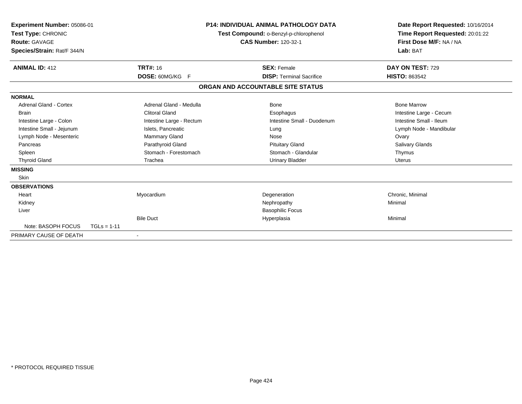| Experiment Number: 05086-01<br>Test Type: CHRONIC<br><b>Route: GAVAGE</b><br>Species/Strain: Rat/F 344/N |               |                          | <b>P14: INDIVIDUAL ANIMAL PATHOLOGY DATA</b><br>Test Compound: o-Benzyl-p-chlorophenol<br><b>CAS Number: 120-32-1</b> |                                   | Date Report Requested: 10/16/2014<br>Time Report Requested: 20:01:22<br>First Dose M/F: NA / NA<br>Lab: BAT |
|----------------------------------------------------------------------------------------------------------|---------------|--------------------------|-----------------------------------------------------------------------------------------------------------------------|-----------------------------------|-------------------------------------------------------------------------------------------------------------|
| <b>ANIMAL ID: 412</b>                                                                                    |               | <b>TRT#: 16</b>          |                                                                                                                       | <b>SEX: Female</b>                | DAY ON TEST: 729                                                                                            |
|                                                                                                          |               | DOSE: 60MG/KG F          |                                                                                                                       | <b>DISP: Terminal Sacrifice</b>   | <b>HISTO: 863542</b>                                                                                        |
|                                                                                                          |               |                          |                                                                                                                       | ORGAN AND ACCOUNTABLE SITE STATUS |                                                                                                             |
| <b>NORMAL</b>                                                                                            |               |                          |                                                                                                                       |                                   |                                                                                                             |
| <b>Adrenal Gland - Cortex</b>                                                                            |               | Adrenal Gland - Medulla  |                                                                                                                       | Bone                              | <b>Bone Marrow</b>                                                                                          |
| <b>Brain</b>                                                                                             |               | <b>Clitoral Gland</b>    |                                                                                                                       | Esophagus                         | Intestine Large - Cecum                                                                                     |
| Intestine Large - Colon                                                                                  |               | Intestine Large - Rectum |                                                                                                                       | Intestine Small - Duodenum        | Intestine Small - Ileum                                                                                     |
| Intestine Small - Jejunum                                                                                |               | Islets, Pancreatic       |                                                                                                                       | Lung                              | Lymph Node - Mandibular                                                                                     |
| Lymph Node - Mesenteric                                                                                  |               | Mammary Gland            |                                                                                                                       | Nose                              | Ovary                                                                                                       |
| Pancreas                                                                                                 |               | Parathyroid Gland        |                                                                                                                       | <b>Pituitary Gland</b>            | <b>Salivary Glands</b>                                                                                      |
| Spleen                                                                                                   |               | Stomach - Forestomach    |                                                                                                                       | Stomach - Glandular               | Thymus                                                                                                      |
| <b>Thyroid Gland</b>                                                                                     |               | Trachea                  |                                                                                                                       | <b>Urinary Bladder</b>            | <b>Uterus</b>                                                                                               |
| <b>MISSING</b>                                                                                           |               |                          |                                                                                                                       |                                   |                                                                                                             |
| Skin                                                                                                     |               |                          |                                                                                                                       |                                   |                                                                                                             |
| <b>OBSERVATIONS</b>                                                                                      |               |                          |                                                                                                                       |                                   |                                                                                                             |
| Heart                                                                                                    |               | Myocardium               |                                                                                                                       | Degeneration                      | Chronic, Minimal                                                                                            |
| Kidney                                                                                                   |               |                          |                                                                                                                       | Nephropathy                       | Minimal                                                                                                     |
| Liver                                                                                                    |               |                          |                                                                                                                       | <b>Basophilic Focus</b>           |                                                                                                             |
|                                                                                                          |               | <b>Bile Duct</b>         |                                                                                                                       | Hyperplasia                       | Minimal                                                                                                     |
| Note: BASOPH FOCUS                                                                                       | $TGLs = 1-11$ |                          |                                                                                                                       |                                   |                                                                                                             |
| PRIMARY CAUSE OF DEATH                                                                                   |               |                          |                                                                                                                       |                                   |                                                                                                             |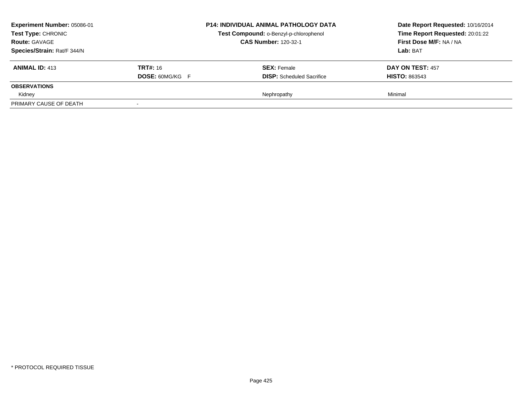| Experiment Number: 05086-01<br>Test Type: CHRONIC<br><b>Route: GAVAGE</b><br>Species/Strain: Rat/F 344/N |                                           | <b>P14: INDIVIDUAL ANIMAL PATHOLOGY DATA</b><br>Test Compound: o-Benzyl-p-chlorophenol<br><b>CAS Number: 120-32-1</b> | Date Report Requested: 10/16/2014<br>Time Report Requested: 20:01:22<br>First Dose M/F: NA / NA<br>Lab: BAT |
|----------------------------------------------------------------------------------------------------------|-------------------------------------------|-----------------------------------------------------------------------------------------------------------------------|-------------------------------------------------------------------------------------------------------------|
| <b>ANIMAL ID: 413</b>                                                                                    | <b>TRT#:</b> 16<br><b>DOSE: 60MG/KG F</b> | <b>SEX: Female</b><br><b>DISP:</b> Scheduled Sacrifice                                                                | <b>DAY ON TEST: 457</b><br><b>HISTO: 863543</b>                                                             |
| <b>OBSERVATIONS</b>                                                                                      |                                           |                                                                                                                       |                                                                                                             |
| Kidney                                                                                                   |                                           | Nephropathy                                                                                                           | Minimal                                                                                                     |
| PRIMARY CAUSE OF DEATH                                                                                   | $\overline{\phantom{a}}$                  |                                                                                                                       |                                                                                                             |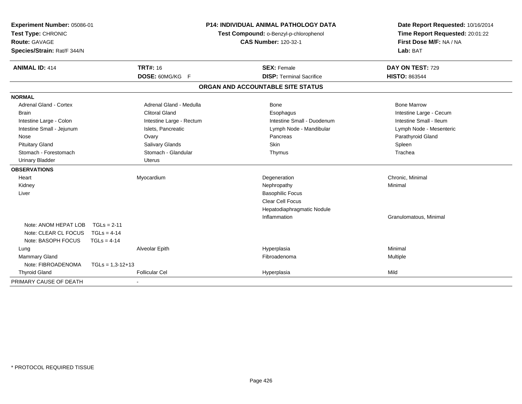| Experiment Number: 05086-01<br>Test Type: CHRONIC<br>Route: GAVAGE<br>Species/Strain: Rat/F 344/N |                    |                          | <b>P14: INDIVIDUAL ANIMAL PATHOLOGY DATA</b><br>Test Compound: o-Benzyl-p-chlorophenol<br><b>CAS Number: 120-32-1</b> |                                   | Date Report Requested: 10/16/2014<br>Time Report Requested: 20:01:22<br>First Dose M/F: NA / NA<br>Lab: BAT |
|---------------------------------------------------------------------------------------------------|--------------------|--------------------------|-----------------------------------------------------------------------------------------------------------------------|-----------------------------------|-------------------------------------------------------------------------------------------------------------|
| <b>ANIMAL ID: 414</b>                                                                             |                    | <b>TRT#: 16</b>          |                                                                                                                       | <b>SEX: Female</b>                | DAY ON TEST: 729                                                                                            |
|                                                                                                   |                    | DOSE: 60MG/KG F          |                                                                                                                       | <b>DISP: Terminal Sacrifice</b>   | <b>HISTO: 863544</b>                                                                                        |
|                                                                                                   |                    |                          |                                                                                                                       | ORGAN AND ACCOUNTABLE SITE STATUS |                                                                                                             |
| <b>NORMAL</b>                                                                                     |                    |                          |                                                                                                                       |                                   |                                                                                                             |
| <b>Adrenal Gland - Cortex</b>                                                                     |                    | Adrenal Gland - Medulla  |                                                                                                                       | Bone                              | <b>Bone Marrow</b>                                                                                          |
| <b>Brain</b>                                                                                      |                    | <b>Clitoral Gland</b>    |                                                                                                                       | Esophagus                         | Intestine Large - Cecum                                                                                     |
| Intestine Large - Colon                                                                           |                    | Intestine Large - Rectum |                                                                                                                       | Intestine Small - Duodenum        | Intestine Small - Ileum                                                                                     |
| Intestine Small - Jejunum                                                                         |                    | Islets, Pancreatic       |                                                                                                                       | Lymph Node - Mandibular           | Lymph Node - Mesenteric                                                                                     |
| Nose                                                                                              |                    | Ovary                    |                                                                                                                       | Pancreas                          | Parathyroid Gland                                                                                           |
| <b>Pituitary Gland</b>                                                                            |                    | Salivary Glands          |                                                                                                                       | Skin                              | Spleen                                                                                                      |
| Stomach - Forestomach                                                                             |                    | Stomach - Glandular      |                                                                                                                       | Thymus                            | Trachea                                                                                                     |
| <b>Urinary Bladder</b>                                                                            |                    | <b>Uterus</b>            |                                                                                                                       |                                   |                                                                                                             |
| <b>OBSERVATIONS</b>                                                                               |                    |                          |                                                                                                                       |                                   |                                                                                                             |
| Heart                                                                                             |                    | Myocardium               |                                                                                                                       | Degeneration                      | Chronic, Minimal                                                                                            |
| Kidney                                                                                            |                    |                          |                                                                                                                       | Nephropathy                       | Minimal                                                                                                     |
| Liver                                                                                             |                    |                          |                                                                                                                       | <b>Basophilic Focus</b>           |                                                                                                             |
|                                                                                                   |                    |                          |                                                                                                                       | <b>Clear Cell Focus</b>           |                                                                                                             |
|                                                                                                   |                    |                          |                                                                                                                       | Hepatodiaphragmatic Nodule        |                                                                                                             |
|                                                                                                   |                    |                          |                                                                                                                       | Inflammation                      | Granulomatous, Minimal                                                                                      |
| Note: ANOM HEPAT LOB                                                                              | $TGLs = 2-11$      |                          |                                                                                                                       |                                   |                                                                                                             |
| Note: CLEAR CL FOCUS                                                                              | $TGLs = 4-14$      |                          |                                                                                                                       |                                   |                                                                                                             |
| Note: BASOPH FOCUS                                                                                | $TGLs = 4-14$      |                          |                                                                                                                       |                                   |                                                                                                             |
| Lung                                                                                              |                    | Alveolar Epith           |                                                                                                                       | Hyperplasia                       | Minimal                                                                                                     |
| Mammary Gland                                                                                     |                    |                          |                                                                                                                       | Fibroadenoma                      | Multiple                                                                                                    |
| Note: FIBROADENOMA                                                                                | $TGLs = 1,3-12+13$ |                          |                                                                                                                       |                                   |                                                                                                             |
| <b>Thyroid Gland</b>                                                                              |                    | <b>Follicular Cel</b>    |                                                                                                                       | Hyperplasia                       | Mild                                                                                                        |
| PRIMARY CAUSE OF DEATH                                                                            |                    |                          |                                                                                                                       |                                   |                                                                                                             |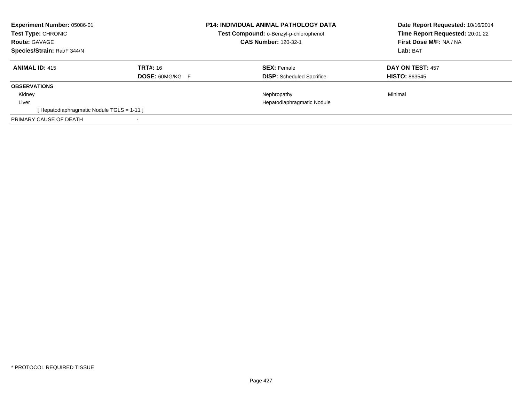| Experiment Number: 05086-01<br><b>Test Type: CHRONIC</b><br><b>Route: GAVAGE</b><br>Species/Strain: Rat/F 344/N |                                           | <b>P14: INDIVIDUAL ANIMAL PATHOLOGY DATA</b><br>Test Compound: o-Benzyl-p-chlorophenol<br><b>CAS Number: 120-32-1</b> | Date Report Requested: 10/16/2014<br>Time Report Requested: 20:01:22<br>First Dose M/F: NA / NA<br>Lab: BAT |
|-----------------------------------------------------------------------------------------------------------------|-------------------------------------------|-----------------------------------------------------------------------------------------------------------------------|-------------------------------------------------------------------------------------------------------------|
| <b>ANIMAL ID: 415</b>                                                                                           | <b>TRT#: 16</b><br><b>DOSE: 60MG/KG F</b> | <b>SEX:</b> Female<br><b>DISP:</b> Scheduled Sacrifice                                                                | <b>DAY ON TEST: 457</b><br><b>HISTO: 863545</b>                                                             |
| <b>OBSERVATIONS</b>                                                                                             |                                           |                                                                                                                       |                                                                                                             |
| Kidney                                                                                                          |                                           | Nephropathy                                                                                                           | Minimal                                                                                                     |
| Liver                                                                                                           |                                           | Hepatodiaphragmatic Nodule                                                                                            |                                                                                                             |
| [Hepatodiaphragmatic Nodule TGLS = 1-11]                                                                        |                                           |                                                                                                                       |                                                                                                             |
| PRIMARY CAUSE OF DEATH                                                                                          |                                           |                                                                                                                       |                                                                                                             |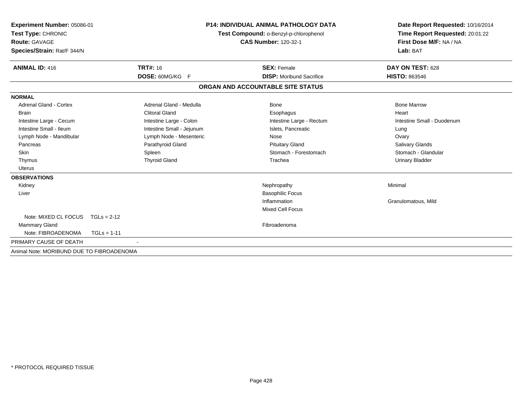| Experiment Number: 05086-01<br>Test Type: CHRONIC<br>Route: GAVAGE<br>Species/Strain: Rat/F 344/N |                           | <b>P14: INDIVIDUAL ANIMAL PATHOLOGY DATA</b><br>Test Compound: o-Benzyl-p-chlorophenol<br><b>CAS Number: 120-32-1</b> |                                   | Date Report Requested: 10/16/2014<br>Time Report Requested: 20:01:22<br>First Dose M/F: NA / NA<br>Lab: BAT |
|---------------------------------------------------------------------------------------------------|---------------------------|-----------------------------------------------------------------------------------------------------------------------|-----------------------------------|-------------------------------------------------------------------------------------------------------------|
| <b>ANIMAL ID: 416</b>                                                                             | <b>TRT#: 16</b>           |                                                                                                                       | <b>SEX: Female</b>                | DAY ON TEST: 628                                                                                            |
|                                                                                                   | DOSE: 60MG/KG F           |                                                                                                                       | <b>DISP:</b> Moribund Sacrifice   | <b>HISTO: 863546</b>                                                                                        |
|                                                                                                   |                           |                                                                                                                       | ORGAN AND ACCOUNTABLE SITE STATUS |                                                                                                             |
| <b>NORMAL</b>                                                                                     |                           |                                                                                                                       |                                   |                                                                                                             |
| <b>Adrenal Gland - Cortex</b>                                                                     | Adrenal Gland - Medulla   |                                                                                                                       | <b>Bone</b>                       | <b>Bone Marrow</b>                                                                                          |
| <b>Brain</b>                                                                                      | <b>Clitoral Gland</b>     |                                                                                                                       | Esophagus                         | Heart                                                                                                       |
| Intestine Large - Cecum                                                                           | Intestine Large - Colon   |                                                                                                                       | Intestine Large - Rectum          | Intestine Small - Duodenum                                                                                  |
| Intestine Small - Ileum                                                                           | Intestine Small - Jejunum |                                                                                                                       | Islets, Pancreatic                | Lung                                                                                                        |
| Lymph Node - Mandibular                                                                           | Lymph Node - Mesenteric   |                                                                                                                       | Nose                              | Ovary                                                                                                       |
| Pancreas                                                                                          | Parathyroid Gland         |                                                                                                                       | <b>Pituitary Gland</b>            | Salivary Glands                                                                                             |
| Skin                                                                                              | Spleen                    |                                                                                                                       | Stomach - Forestomach             | Stomach - Glandular                                                                                         |
| Thymus                                                                                            | <b>Thyroid Gland</b>      |                                                                                                                       | Trachea                           | <b>Urinary Bladder</b>                                                                                      |
| <b>Uterus</b>                                                                                     |                           |                                                                                                                       |                                   |                                                                                                             |
| <b>OBSERVATIONS</b>                                                                               |                           |                                                                                                                       |                                   |                                                                                                             |
| Kidney                                                                                            |                           |                                                                                                                       | Nephropathy                       | Minimal                                                                                                     |
| Liver                                                                                             |                           |                                                                                                                       | <b>Basophilic Focus</b>           |                                                                                                             |
|                                                                                                   |                           |                                                                                                                       | Inflammation                      | Granulomatous, Mild                                                                                         |
|                                                                                                   |                           |                                                                                                                       | <b>Mixed Cell Focus</b>           |                                                                                                             |
| Note: MIXED CL FOCUS                                                                              | $TGLs = 2-12$             |                                                                                                                       |                                   |                                                                                                             |
| Mammary Gland                                                                                     |                           |                                                                                                                       | Fibroadenoma                      |                                                                                                             |
| Note: FIBROADENOMA                                                                                | $TGLs = 1-11$             |                                                                                                                       |                                   |                                                                                                             |
| PRIMARY CAUSE OF DEATH                                                                            |                           |                                                                                                                       |                                   |                                                                                                             |
| Animal Note: MORIBUND DUE TO FIBROADENOMA                                                         |                           |                                                                                                                       |                                   |                                                                                                             |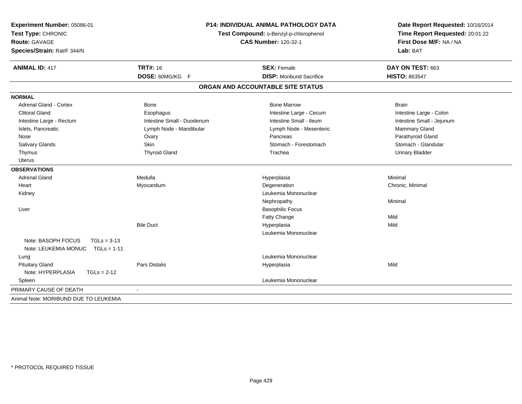| Experiment Number: 05086-01<br>Test Type: CHRONIC<br>Route: GAVAGE<br>Species/Strain: Rat/F 344/N |                            | <b>P14: INDIVIDUAL ANIMAL PATHOLOGY DATA</b><br>Test Compound: o-Benzyl-p-chlorophenol<br><b>CAS Number: 120-32-1</b> | Date Report Requested: 10/16/2014<br>Time Report Requested: 20:01:22<br>First Dose M/F: NA / NA<br>Lab: BAT |  |
|---------------------------------------------------------------------------------------------------|----------------------------|-----------------------------------------------------------------------------------------------------------------------|-------------------------------------------------------------------------------------------------------------|--|
| <b>ANIMAL ID: 417</b>                                                                             | <b>TRT#: 16</b>            | <b>SEX: Female</b>                                                                                                    | DAY ON TEST: 663                                                                                            |  |
|                                                                                                   | DOSE: 60MG/KG F            | <b>DISP:</b> Moribund Sacrifice                                                                                       | <b>HISTO: 863547</b>                                                                                        |  |
|                                                                                                   |                            | ORGAN AND ACCOUNTABLE SITE STATUS                                                                                     |                                                                                                             |  |
| <b>NORMAL</b>                                                                                     |                            |                                                                                                                       |                                                                                                             |  |
| <b>Adrenal Gland - Cortex</b>                                                                     | Bone                       | <b>Bone Marrow</b>                                                                                                    | <b>Brain</b>                                                                                                |  |
| <b>Clitoral Gland</b>                                                                             | Esophagus                  | Intestine Large - Cecum                                                                                               | Intestine Large - Colon                                                                                     |  |
| Intestine Large - Rectum                                                                          | Intestine Small - Duodenum | Intestine Small - Ileum                                                                                               | Intestine Small - Jejunum                                                                                   |  |
| Islets, Pancreatic                                                                                | Lymph Node - Mandibular    | Lymph Node - Mesenteric                                                                                               | Mammary Gland                                                                                               |  |
| Nose                                                                                              | Ovary                      | Pancreas                                                                                                              | Parathyroid Gland                                                                                           |  |
| <b>Salivary Glands</b>                                                                            | Skin                       | Stomach - Forestomach                                                                                                 | Stomach - Glandular                                                                                         |  |
| Thymus                                                                                            | <b>Thyroid Gland</b>       | Trachea                                                                                                               | <b>Urinary Bladder</b>                                                                                      |  |
| <b>Uterus</b>                                                                                     |                            |                                                                                                                       |                                                                                                             |  |
| <b>OBSERVATIONS</b>                                                                               |                            |                                                                                                                       |                                                                                                             |  |
| <b>Adrenal Gland</b>                                                                              | Medulla                    | Hyperplasia                                                                                                           | Minimal                                                                                                     |  |
| Heart                                                                                             | Myocardium                 | Degeneration                                                                                                          | Chronic, Minimal                                                                                            |  |
| Kidney                                                                                            |                            | Leukemia Mononuclear                                                                                                  |                                                                                                             |  |
|                                                                                                   |                            | Nephropathy                                                                                                           | Minimal                                                                                                     |  |
| Liver                                                                                             |                            | <b>Basophilic Focus</b>                                                                                               |                                                                                                             |  |
|                                                                                                   |                            | Fatty Change                                                                                                          | Mild                                                                                                        |  |
|                                                                                                   | <b>Bile Duct</b>           | Hyperplasia                                                                                                           | Mild                                                                                                        |  |
|                                                                                                   |                            | Leukemia Mononuclear                                                                                                  |                                                                                                             |  |
| Note: BASOPH FOCUS<br>$TGLs = 3-13$                                                               |                            |                                                                                                                       |                                                                                                             |  |
| Note: LEUKEMIA MONUC<br>$TGLs = 1-11$                                                             |                            |                                                                                                                       |                                                                                                             |  |
| Lung                                                                                              |                            | Leukemia Mononuclear                                                                                                  |                                                                                                             |  |
| <b>Pituitary Gland</b>                                                                            | <b>Pars Distalis</b>       | Hyperplasia                                                                                                           | Mild                                                                                                        |  |
| Note: HYPERPLASIA<br>$TGLs = 2-12$                                                                |                            |                                                                                                                       |                                                                                                             |  |
| Spleen                                                                                            |                            | Leukemia Mononuclear                                                                                                  |                                                                                                             |  |
| PRIMARY CAUSE OF DEATH                                                                            |                            |                                                                                                                       |                                                                                                             |  |
| Animal Note: MORIBUND DUE TO LEUKEMIA                                                             |                            |                                                                                                                       |                                                                                                             |  |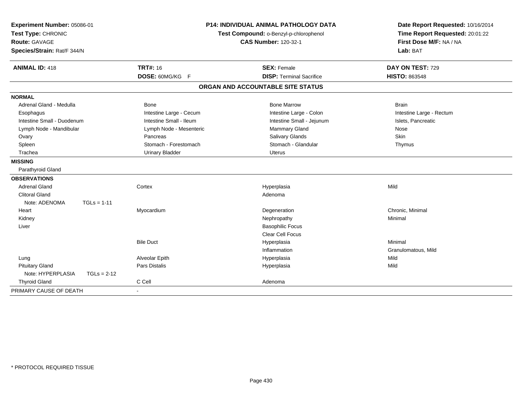| Experiment Number: 05086-01        |                         | <b>P14: INDIVIDUAL ANIMAL PATHOLOGY DATA</b> | Date Report Requested: 10/16/2014 |
|------------------------------------|-------------------------|----------------------------------------------|-----------------------------------|
| Test Type: CHRONIC                 |                         | Test Compound: o-Benzyl-p-chlorophenol       | Time Report Requested: 20:01:22   |
| <b>Route: GAVAGE</b>               |                         | <b>CAS Number: 120-32-1</b>                  | First Dose M/F: NA / NA           |
| Species/Strain: Rat/F 344/N        |                         |                                              | Lab: BAT                          |
| <b>ANIMAL ID: 418</b>              | <b>TRT#: 16</b>         | <b>SEX: Female</b>                           | DAY ON TEST: 729                  |
|                                    | DOSE: 60MG/KG F         | <b>DISP: Terminal Sacrifice</b>              | <b>HISTO: 863548</b>              |
|                                    |                         | ORGAN AND ACCOUNTABLE SITE STATUS            |                                   |
| <b>NORMAL</b>                      |                         |                                              |                                   |
| Adrenal Gland - Medulla            | Bone                    | <b>Bone Marrow</b>                           | <b>Brain</b>                      |
| Esophagus                          | Intestine Large - Cecum | Intestine Large - Colon                      | Intestine Large - Rectum          |
| Intestine Small - Duodenum         | Intestine Small - Ileum | Intestine Small - Jejunum                    | Islets, Pancreatic                |
| Lymph Node - Mandibular            | Lymph Node - Mesenteric | Mammary Gland                                | Nose                              |
| Ovary                              | Pancreas                | Salivary Glands                              | <b>Skin</b>                       |
| Spleen                             | Stomach - Forestomach   | Stomach - Glandular                          | Thymus                            |
| Trachea                            | <b>Urinary Bladder</b>  | Uterus                                       |                                   |
| <b>MISSING</b>                     |                         |                                              |                                   |
| Parathyroid Gland                  |                         |                                              |                                   |
| <b>OBSERVATIONS</b>                |                         |                                              |                                   |
| <b>Adrenal Gland</b>               | Cortex                  | Hyperplasia                                  | Mild                              |
| <b>Clitoral Gland</b>              |                         | Adenoma                                      |                                   |
| Note: ADENOMA<br>$TGLs = 1-11$     |                         |                                              |                                   |
| Heart                              | Myocardium              | Degeneration                                 | Chronic, Minimal                  |
| Kidney                             |                         | Nephropathy                                  | Minimal                           |
| Liver                              |                         | <b>Basophilic Focus</b>                      |                                   |
|                                    |                         | <b>Clear Cell Focus</b>                      |                                   |
|                                    | <b>Bile Duct</b>        | Hyperplasia                                  | Minimal                           |
|                                    |                         | Inflammation                                 | Granulomatous, Mild               |
| Lung                               | Alveolar Epith          | Hyperplasia                                  | Mild                              |
| <b>Pituitary Gland</b>             | Pars Distalis           | Hyperplasia                                  | Mild                              |
| Note: HYPERPLASIA<br>$TGLs = 2-12$ |                         |                                              |                                   |
| <b>Thyroid Gland</b>               | C Cell                  | Adenoma                                      |                                   |
| PRIMARY CAUSE OF DEATH             | $\blacksquare$          |                                              |                                   |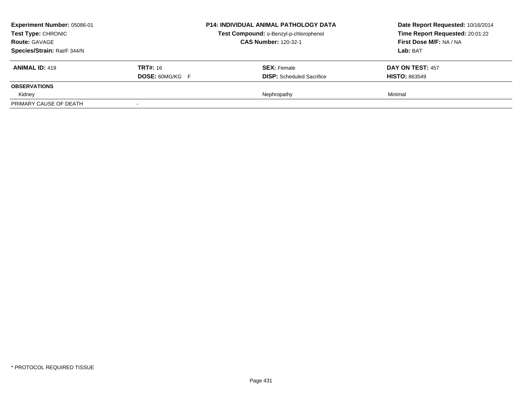| Experiment Number: 05086-01<br>Test Type: CHRONIC<br><b>Route: GAVAGE</b><br>Species/Strain: Rat/F 344/N |                                           | <b>P14: INDIVIDUAL ANIMAL PATHOLOGY DATA</b><br>Test Compound: o-Benzyl-p-chlorophenol<br><b>CAS Number: 120-32-1</b> | Date Report Requested: 10/16/2014<br>Time Report Requested: 20:01:22<br>First Dose M/F: NA / NA<br>Lab: BAT |
|----------------------------------------------------------------------------------------------------------|-------------------------------------------|-----------------------------------------------------------------------------------------------------------------------|-------------------------------------------------------------------------------------------------------------|
| <b>ANIMAL ID: 419</b>                                                                                    | <b>TRT#:</b> 16<br><b>DOSE: 60MG/KG F</b> | <b>SEX: Female</b><br><b>DISP:</b> Scheduled Sacrifice                                                                | <b>DAY ON TEST: 457</b><br><b>HISTO: 863549</b>                                                             |
| <b>OBSERVATIONS</b>                                                                                      |                                           |                                                                                                                       |                                                                                                             |
| Kidney                                                                                                   |                                           | Nephropathy                                                                                                           | Minimal                                                                                                     |
| PRIMARY CAUSE OF DEATH                                                                                   | $\overline{\phantom{a}}$                  |                                                                                                                       |                                                                                                             |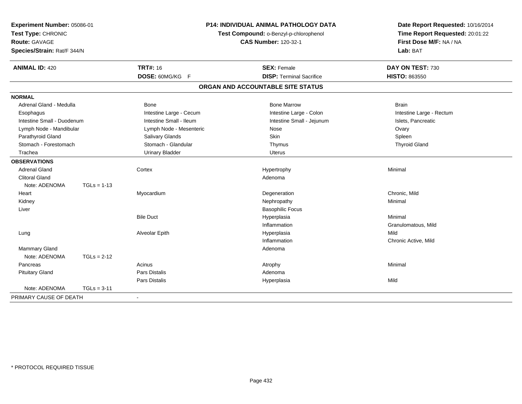| Experiment Number: 05086-01<br>Test Type: CHRONIC<br><b>Route: GAVAGE</b><br>Species/Strain: Rat/F 344/N |               |                         | <b>P14: INDIVIDUAL ANIMAL PATHOLOGY DATA</b><br>Test Compound: o-Benzyl-p-chlorophenol<br><b>CAS Number: 120-32-1</b> | Date Report Requested: 10/16/2014<br>Time Report Requested: 20:01:22<br>First Dose M/F: NA / NA<br>Lab: BAT |
|----------------------------------------------------------------------------------------------------------|---------------|-------------------------|-----------------------------------------------------------------------------------------------------------------------|-------------------------------------------------------------------------------------------------------------|
| <b>ANIMAL ID: 420</b>                                                                                    |               | <b>TRT#: 16</b>         | <b>SEX: Female</b>                                                                                                    | DAY ON TEST: 730                                                                                            |
|                                                                                                          |               | DOSE: 60MG/KG F         | <b>DISP: Terminal Sacrifice</b>                                                                                       | HISTO: 863550                                                                                               |
|                                                                                                          |               |                         | ORGAN AND ACCOUNTABLE SITE STATUS                                                                                     |                                                                                                             |
| <b>NORMAL</b>                                                                                            |               |                         |                                                                                                                       |                                                                                                             |
| Adrenal Gland - Medulla                                                                                  |               | <b>Bone</b>             | <b>Bone Marrow</b>                                                                                                    | <b>Brain</b>                                                                                                |
| Esophagus                                                                                                |               | Intestine Large - Cecum | Intestine Large - Colon                                                                                               | Intestine Large - Rectum                                                                                    |
| Intestine Small - Duodenum                                                                               |               | Intestine Small - Ileum | Intestine Small - Jejunum                                                                                             | Islets, Pancreatic                                                                                          |
| Lymph Node - Mandibular                                                                                  |               | Lymph Node - Mesenteric | Nose                                                                                                                  | Ovary                                                                                                       |
| Parathyroid Gland                                                                                        |               | <b>Salivary Glands</b>  | <b>Skin</b>                                                                                                           | Spleen                                                                                                      |
| Stomach - Forestomach                                                                                    |               | Stomach - Glandular     | Thymus                                                                                                                | <b>Thyroid Gland</b>                                                                                        |
| Trachea                                                                                                  |               | <b>Urinary Bladder</b>  | Uterus                                                                                                                |                                                                                                             |
| <b>OBSERVATIONS</b>                                                                                      |               |                         |                                                                                                                       |                                                                                                             |
| <b>Adrenal Gland</b>                                                                                     |               | Cortex                  | Hypertrophy                                                                                                           | Minimal                                                                                                     |
| <b>Clitoral Gland</b>                                                                                    |               |                         | Adenoma                                                                                                               |                                                                                                             |
| Note: ADENOMA                                                                                            | $TGLs = 1-13$ |                         |                                                                                                                       |                                                                                                             |
| Heart                                                                                                    |               | Myocardium              | Degeneration                                                                                                          | Chronic, Mild                                                                                               |
| Kidney                                                                                                   |               |                         | Nephropathy                                                                                                           | Minimal                                                                                                     |
| Liver                                                                                                    |               |                         | <b>Basophilic Focus</b>                                                                                               |                                                                                                             |
|                                                                                                          |               | <b>Bile Duct</b>        | Hyperplasia                                                                                                           | Minimal                                                                                                     |
|                                                                                                          |               |                         | Inflammation                                                                                                          | Granulomatous, Mild                                                                                         |
| Lung                                                                                                     |               | Alveolar Epith          | Hyperplasia                                                                                                           | Mild                                                                                                        |
|                                                                                                          |               |                         | Inflammation                                                                                                          | Chronic Active, Mild                                                                                        |
| <b>Mammary Gland</b>                                                                                     |               |                         | Adenoma                                                                                                               |                                                                                                             |
| Note: ADENOMA                                                                                            | $TGLs = 2-12$ |                         |                                                                                                                       |                                                                                                             |
| Pancreas                                                                                                 |               | Acinus                  | Atrophy                                                                                                               | Minimal                                                                                                     |
| <b>Pituitary Gland</b>                                                                                   |               | Pars Distalis           | Adenoma                                                                                                               |                                                                                                             |
|                                                                                                          |               | Pars Distalis           | Hyperplasia                                                                                                           | Mild                                                                                                        |
| Note: ADENOMA                                                                                            | $TGLs = 3-11$ |                         |                                                                                                                       |                                                                                                             |
| PRIMARY CAUSE OF DEATH                                                                                   |               | $\blacksquare$          |                                                                                                                       |                                                                                                             |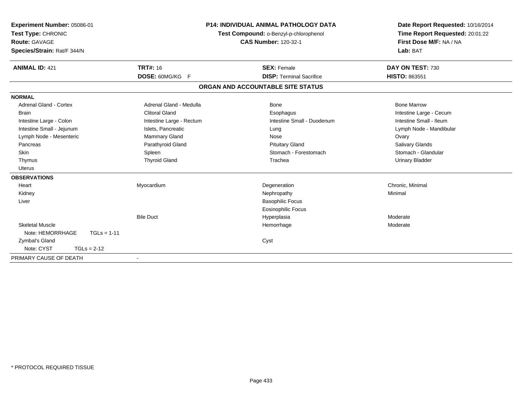| <b>TRT#: 16</b>                                                                                                                                                            | Test Compound: o-Benzyl-p-chlorophenol<br><b>CAS Number: 120-32-1</b><br><b>SEX: Female</b>                                          | Date Report Requested: 10/16/2014<br>Time Report Requested: 20:01:22<br>First Dose M/F: NA / NA<br>Lab: BAT<br>DAY ON TEST: 730                                                         |
|----------------------------------------------------------------------------------------------------------------------------------------------------------------------------|--------------------------------------------------------------------------------------------------------------------------------------|-----------------------------------------------------------------------------------------------------------------------------------------------------------------------------------------|
|                                                                                                                                                                            |                                                                                                                                      | <b>HISTO: 863551</b>                                                                                                                                                                    |
|                                                                                                                                                                            |                                                                                                                                      |                                                                                                                                                                                         |
| Adrenal Gland - Medulla<br><b>Clitoral Gland</b><br>Intestine Large - Rectum<br>Islets, Pancreatic<br>Mammary Gland<br>Parathyroid Gland<br>Spleen<br><b>Thyroid Gland</b> | <b>Bone</b><br>Esophagus<br>Intestine Small - Duodenum<br>Lung<br>Nose<br><b>Pituitary Gland</b><br>Stomach - Forestomach<br>Trachea | <b>Bone Marrow</b><br>Intestine Large - Cecum<br>Intestine Small - Ileum<br>Lymph Node - Mandibular<br>Ovary<br><b>Salivary Glands</b><br>Stomach - Glandular<br><b>Urinary Bladder</b> |
| Myocardium<br><b>Bile Duct</b>                                                                                                                                             | Degeneration<br>Nephropathy<br><b>Basophilic Focus</b><br>Eosinophilic Focus<br>Hyperplasia<br>Hemorrhage<br>Cyst                    | Chronic, Minimal<br>Minimal<br>Moderate<br>Moderate                                                                                                                                     |
|                                                                                                                                                                            | DOSE: 60MG/KG F<br>$\overline{\phantom{a}}$                                                                                          | <b>P14: INDIVIDUAL ANIMAL PATHOLOGY DATA</b><br><b>DISP: Terminal Sacrifice</b><br>ORGAN AND ACCOUNTABLE SITE STATUS                                                                    |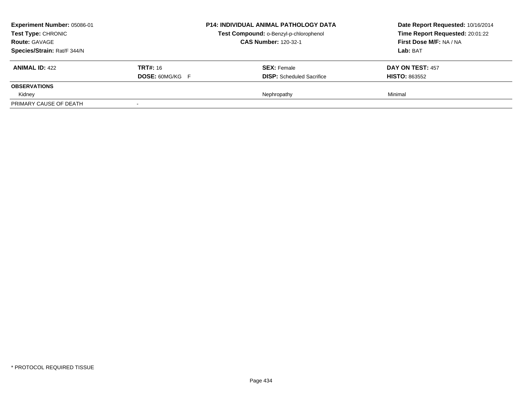| Experiment Number: 05086-01<br>Test Type: CHRONIC<br><b>Route: GAVAGE</b><br>Species/Strain: Rat/F 344/N |                                           | <b>P14: INDIVIDUAL ANIMAL PATHOLOGY DATA</b><br>Test Compound: o-Benzyl-p-chlorophenol<br><b>CAS Number: 120-32-1</b> | Date Report Requested: 10/16/2014<br>Time Report Requested: 20:01:22<br>First Dose M/F: NA / NA<br>Lab: BAT |
|----------------------------------------------------------------------------------------------------------|-------------------------------------------|-----------------------------------------------------------------------------------------------------------------------|-------------------------------------------------------------------------------------------------------------|
| <b>ANIMAL ID: 422</b>                                                                                    | <b>TRT#:</b> 16<br><b>DOSE: 60MG/KG F</b> | <b>SEX: Female</b><br><b>DISP:</b> Scheduled Sacrifice                                                                | <b>DAY ON TEST: 457</b><br><b>HISTO: 863552</b>                                                             |
| <b>OBSERVATIONS</b>                                                                                      |                                           |                                                                                                                       |                                                                                                             |
| Kidney                                                                                                   |                                           | Nephropathy                                                                                                           | Minimal                                                                                                     |
| PRIMARY CAUSE OF DEATH                                                                                   | $\overline{\phantom{a}}$                  |                                                                                                                       |                                                                                                             |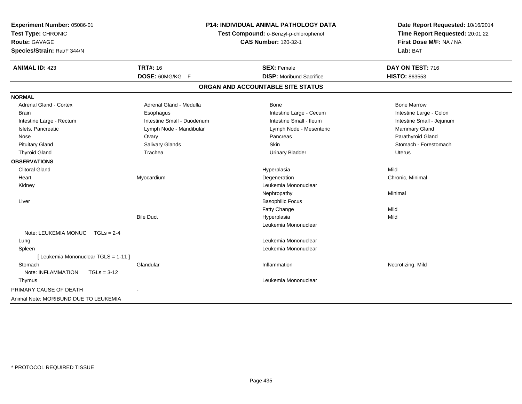| Experiment Number: 05086-01<br>Test Type: CHRONIC<br><b>Route: GAVAGE</b><br>Species/Strain: Rat/F 344/N | <b>P14: INDIVIDUAL ANIMAL PATHOLOGY DATA</b><br>Test Compound: o-Benzyl-p-chlorophenol<br><b>CAS Number: 120-32-1</b> |                                   | Date Report Requested: 10/16/2014<br>Time Report Requested: 20:01:22<br>First Dose M/F: NA / NA<br>Lab: BAT |  |
|----------------------------------------------------------------------------------------------------------|-----------------------------------------------------------------------------------------------------------------------|-----------------------------------|-------------------------------------------------------------------------------------------------------------|--|
| <b>ANIMAL ID: 423</b>                                                                                    | <b>TRT#: 16</b>                                                                                                       | <b>SEX: Female</b>                | DAY ON TEST: 716                                                                                            |  |
|                                                                                                          | DOSE: 60MG/KG F                                                                                                       | <b>DISP:</b> Moribund Sacrifice   | HISTO: 863553                                                                                               |  |
|                                                                                                          |                                                                                                                       | ORGAN AND ACCOUNTABLE SITE STATUS |                                                                                                             |  |
| <b>NORMAL</b>                                                                                            |                                                                                                                       |                                   |                                                                                                             |  |
| <b>Adrenal Gland - Cortex</b>                                                                            | Adrenal Gland - Medulla                                                                                               | Bone                              | <b>Bone Marrow</b>                                                                                          |  |
| Brain                                                                                                    | Esophagus                                                                                                             | Intestine Large - Cecum           | Intestine Large - Colon                                                                                     |  |
| Intestine Large - Rectum                                                                                 | Intestine Small - Duodenum                                                                                            | Intestine Small - Ileum           | Intestine Small - Jejunum                                                                                   |  |
| Islets, Pancreatic                                                                                       | Lymph Node - Mandibular                                                                                               | Lymph Node - Mesenteric           | Mammary Gland                                                                                               |  |
| Nose                                                                                                     | Ovary                                                                                                                 | Pancreas                          | Parathyroid Gland                                                                                           |  |
| <b>Pituitary Gland</b>                                                                                   | Salivary Glands                                                                                                       | Skin                              | Stomach - Forestomach                                                                                       |  |
| <b>Thyroid Gland</b>                                                                                     | Trachea                                                                                                               | <b>Urinary Bladder</b>            | <b>Uterus</b>                                                                                               |  |
| <b>OBSERVATIONS</b>                                                                                      |                                                                                                                       |                                   |                                                                                                             |  |
| <b>Clitoral Gland</b>                                                                                    |                                                                                                                       | Hyperplasia                       | Mild                                                                                                        |  |
| Heart                                                                                                    | Myocardium                                                                                                            | Degeneration                      | Chronic, Minimal                                                                                            |  |
| Kidney                                                                                                   |                                                                                                                       | Leukemia Mononuclear              |                                                                                                             |  |
|                                                                                                          |                                                                                                                       | Nephropathy                       | Minimal                                                                                                     |  |
| Liver                                                                                                    |                                                                                                                       | <b>Basophilic Focus</b>           |                                                                                                             |  |
|                                                                                                          |                                                                                                                       | Fatty Change                      | Mild                                                                                                        |  |
|                                                                                                          | <b>Bile Duct</b>                                                                                                      | Hyperplasia                       | Mild                                                                                                        |  |
|                                                                                                          |                                                                                                                       | Leukemia Mononuclear              |                                                                                                             |  |
| Note: LEUKEMIA MONUC<br>$TGLs = 2-4$                                                                     |                                                                                                                       |                                   |                                                                                                             |  |
| Lung                                                                                                     |                                                                                                                       | Leukemia Mononuclear              |                                                                                                             |  |
| Spleen                                                                                                   |                                                                                                                       | Leukemia Mononuclear              |                                                                                                             |  |
| [ Leukemia Mononuclear TGLS = 1-11 ]                                                                     |                                                                                                                       |                                   |                                                                                                             |  |
| Stomach                                                                                                  | Glandular                                                                                                             | Inflammation                      | Necrotizing, Mild                                                                                           |  |
| Note: INFLAMMATION<br>$TGLs = 3-12$                                                                      |                                                                                                                       |                                   |                                                                                                             |  |
| Thymus                                                                                                   |                                                                                                                       | Leukemia Mononuclear              |                                                                                                             |  |
| PRIMARY CAUSE OF DEATH                                                                                   |                                                                                                                       |                                   |                                                                                                             |  |
| Animal Note: MORIBUND DUE TO LEUKEMIA                                                                    |                                                                                                                       |                                   |                                                                                                             |  |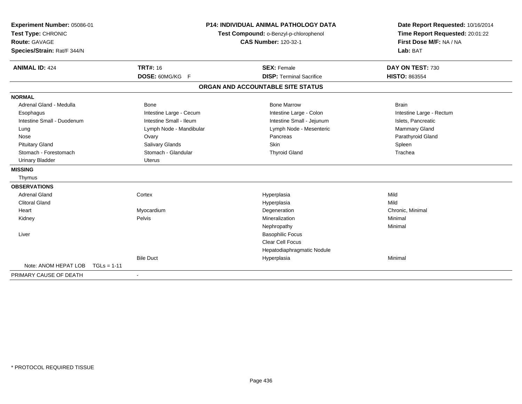| Experiment Number: 05086-01<br>Test Type: CHRONIC<br><b>Route: GAVAGE</b><br>Species/Strain: Rat/F 344/N |                         | <b>P14: INDIVIDUAL ANIMAL PATHOLOGY DATA</b><br>Test Compound: o-Benzyl-p-chlorophenol<br><b>CAS Number: 120-32-1</b> |                          |
|----------------------------------------------------------------------------------------------------------|-------------------------|-----------------------------------------------------------------------------------------------------------------------|--------------------------|
| <b>ANIMAL ID: 424</b>                                                                                    | <b>TRT#: 16</b>         | <b>SEX: Female</b>                                                                                                    | DAY ON TEST: 730         |
|                                                                                                          | DOSE: 60MG/KG F         | <b>DISP: Terminal Sacrifice</b>                                                                                       | <b>HISTO: 863554</b>     |
|                                                                                                          |                         | ORGAN AND ACCOUNTABLE SITE STATUS                                                                                     |                          |
| <b>NORMAL</b>                                                                                            |                         |                                                                                                                       |                          |
| Adrenal Gland - Medulla                                                                                  | <b>Bone</b>             | <b>Bone Marrow</b>                                                                                                    | <b>Brain</b>             |
| Esophagus                                                                                                | Intestine Large - Cecum | Intestine Large - Colon                                                                                               | Intestine Large - Rectum |
| Intestine Small - Duodenum                                                                               | Intestine Small - Ileum | Intestine Small - Jejunum                                                                                             | Islets, Pancreatic       |
| Lung                                                                                                     | Lymph Node - Mandibular | Lymph Node - Mesenteric                                                                                               | Mammary Gland            |
| Nose                                                                                                     | Ovary                   | Pancreas                                                                                                              | Parathyroid Gland        |
| <b>Pituitary Gland</b>                                                                                   | Salivary Glands         | <b>Skin</b>                                                                                                           | Spleen                   |
| Stomach - Forestomach                                                                                    | Stomach - Glandular     | <b>Thyroid Gland</b>                                                                                                  | Trachea                  |
| <b>Urinary Bladder</b>                                                                                   | <b>Uterus</b>           |                                                                                                                       |                          |
| <b>MISSING</b>                                                                                           |                         |                                                                                                                       |                          |
| Thymus                                                                                                   |                         |                                                                                                                       |                          |
| <b>OBSERVATIONS</b>                                                                                      |                         |                                                                                                                       |                          |
| <b>Adrenal Gland</b>                                                                                     | Cortex                  | Hyperplasia                                                                                                           | Mild                     |
| <b>Clitoral Gland</b>                                                                                    |                         | Hyperplasia                                                                                                           | Mild                     |
| Heart                                                                                                    | Myocardium              | Degeneration                                                                                                          | Chronic, Minimal         |
| Kidney                                                                                                   | Pelvis                  | Mineralization                                                                                                        | Minimal                  |
|                                                                                                          |                         | Nephropathy                                                                                                           | Minimal                  |
| Liver                                                                                                    |                         | <b>Basophilic Focus</b>                                                                                               |                          |
|                                                                                                          |                         | <b>Clear Cell Focus</b>                                                                                               |                          |
|                                                                                                          |                         | Hepatodiaphragmatic Nodule                                                                                            |                          |
|                                                                                                          | <b>Bile Duct</b>        | Hyperplasia                                                                                                           | Minimal                  |
| Note: ANOM HEPAT LOB<br>$TGLs = 1-11$                                                                    |                         |                                                                                                                       |                          |
| PRIMARY CAUSE OF DEATH                                                                                   |                         |                                                                                                                       |                          |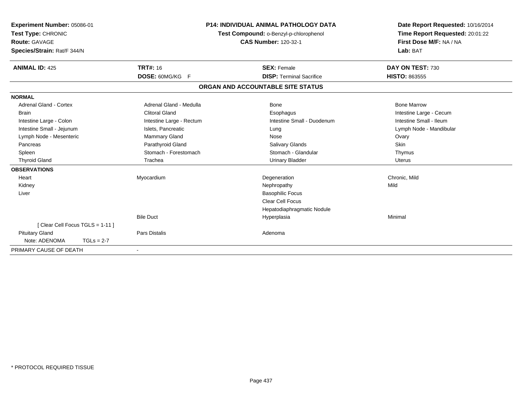| Experiment Number: 05086-01<br>Test Type: CHRONIC<br><b>Route: GAVAGE</b><br>Species/Strain: Rat/F 344/N |                                    | <b>P14: INDIVIDUAL ANIMAL PATHOLOGY DATA</b><br>Test Compound: o-Benzyl-p-chlorophenol<br><b>CAS Number: 120-32-1</b> | Date Report Requested: 10/16/2014<br>Time Report Requested: 20:01:22<br>First Dose M/F: NA / NA<br>Lab: BAT |
|----------------------------------------------------------------------------------------------------------|------------------------------------|-----------------------------------------------------------------------------------------------------------------------|-------------------------------------------------------------------------------------------------------------|
| <b>ANIMAL ID: 425</b>                                                                                    | <b>TRT#: 16</b><br>DOSE: 60MG/KG F | <b>SEX: Female</b><br><b>DISP: Terminal Sacrifice</b>                                                                 | DAY ON TEST: 730<br><b>HISTO: 863555</b>                                                                    |
|                                                                                                          |                                    |                                                                                                                       |                                                                                                             |
|                                                                                                          |                                    | ORGAN AND ACCOUNTABLE SITE STATUS                                                                                     |                                                                                                             |
| <b>NORMAL</b>                                                                                            |                                    |                                                                                                                       |                                                                                                             |
| <b>Adrenal Gland - Cortex</b>                                                                            | Adrenal Gland - Medulla            | <b>Bone</b>                                                                                                           | <b>Bone Marrow</b>                                                                                          |
| <b>Brain</b>                                                                                             | <b>Clitoral Gland</b>              | Esophagus                                                                                                             | Intestine Large - Cecum                                                                                     |
| Intestine Large - Colon                                                                                  | Intestine Large - Rectum           | Intestine Small - Duodenum                                                                                            | Intestine Small - Ileum                                                                                     |
| Intestine Small - Jejunum                                                                                | Islets, Pancreatic                 | Lung                                                                                                                  | Lymph Node - Mandibular                                                                                     |
| Lymph Node - Mesenteric                                                                                  | Mammary Gland                      | Nose                                                                                                                  | Ovary                                                                                                       |
| Pancreas                                                                                                 | Parathyroid Gland                  | Salivary Glands                                                                                                       | Skin                                                                                                        |
| Spleen                                                                                                   | Stomach - Forestomach              | Stomach - Glandular                                                                                                   | Thymus                                                                                                      |
| <b>Thyroid Gland</b>                                                                                     | Trachea                            | <b>Urinary Bladder</b>                                                                                                | <b>Uterus</b>                                                                                               |
| <b>OBSERVATIONS</b>                                                                                      |                                    |                                                                                                                       |                                                                                                             |
| Heart                                                                                                    | Myocardium                         | Degeneration                                                                                                          | Chronic, Mild                                                                                               |
| Kidney                                                                                                   |                                    | Nephropathy                                                                                                           | Mild                                                                                                        |
| Liver                                                                                                    |                                    | <b>Basophilic Focus</b>                                                                                               |                                                                                                             |
|                                                                                                          |                                    | <b>Clear Cell Focus</b>                                                                                               |                                                                                                             |
|                                                                                                          |                                    | Hepatodiaphragmatic Nodule                                                                                            |                                                                                                             |
|                                                                                                          | <b>Bile Duct</b>                   | Hyperplasia                                                                                                           | Minimal                                                                                                     |
| [Clear Cell Focus TGLS = 1-11]                                                                           |                                    |                                                                                                                       |                                                                                                             |
| <b>Pituitary Gland</b>                                                                                   | Pars Distalis                      | Adenoma                                                                                                               |                                                                                                             |
| Note: ADENOMA<br>$TGLs = 2-7$                                                                            |                                    |                                                                                                                       |                                                                                                             |
| PRIMARY CAUSE OF DEATH                                                                                   | $\blacksquare$                     |                                                                                                                       |                                                                                                             |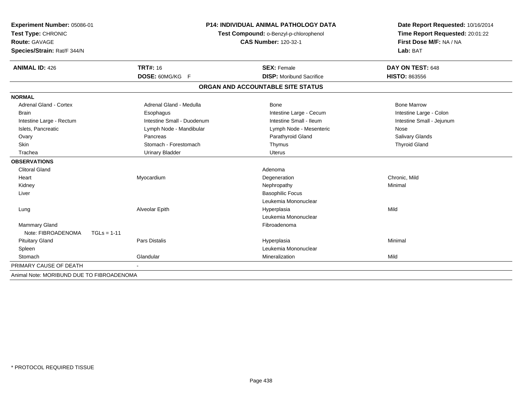| Experiment Number: 05086-01               |               | <b>P14: INDIVIDUAL ANIMAL PATHOLOGY DATA</b><br>Test Compound: o-Benzyl-p-chlorophenol |                                   | Date Report Requested: 10/16/2014 |
|-------------------------------------------|---------------|----------------------------------------------------------------------------------------|-----------------------------------|-----------------------------------|
| Test Type: CHRONIC                        |               |                                                                                        |                                   | Time Report Requested: 20:01:22   |
| Route: GAVAGE                             |               |                                                                                        | <b>CAS Number: 120-32-1</b>       | First Dose M/F: NA / NA           |
| Species/Strain: Rat/F 344/N               |               |                                                                                        |                                   | Lab: BAT                          |
| <b>ANIMAL ID: 426</b>                     |               | <b>TRT#: 16</b>                                                                        | <b>SEX: Female</b>                | DAY ON TEST: 648                  |
|                                           |               | DOSE: 60MG/KG F                                                                        | <b>DISP:</b> Moribund Sacrifice   | <b>HISTO: 863556</b>              |
|                                           |               |                                                                                        | ORGAN AND ACCOUNTABLE SITE STATUS |                                   |
| <b>NORMAL</b>                             |               |                                                                                        |                                   |                                   |
| <b>Adrenal Gland - Cortex</b>             |               | Adrenal Gland - Medulla                                                                | Bone                              | <b>Bone Marrow</b>                |
| <b>Brain</b>                              |               | Esophagus                                                                              | Intestine Large - Cecum           | Intestine Large - Colon           |
| Intestine Large - Rectum                  |               | Intestine Small - Duodenum                                                             | Intestine Small - Ileum           | Intestine Small - Jejunum         |
| Islets. Pancreatic                        |               | Lymph Node - Mandibular                                                                | Lymph Node - Mesenteric           | Nose                              |
| Ovary                                     |               | Pancreas                                                                               | Parathyroid Gland                 | Salivary Glands                   |
| <b>Skin</b>                               |               | Stomach - Forestomach                                                                  | Thymus                            | <b>Thyroid Gland</b>              |
| Trachea                                   |               | <b>Urinary Bladder</b>                                                                 | <b>Uterus</b>                     |                                   |
| <b>OBSERVATIONS</b>                       |               |                                                                                        |                                   |                                   |
| <b>Clitoral Gland</b>                     |               |                                                                                        | Adenoma                           |                                   |
| Heart                                     |               | Myocardium                                                                             | Degeneration                      | Chronic, Mild                     |
| Kidney                                    |               |                                                                                        | Nephropathy                       | Minimal                           |
| Liver                                     |               |                                                                                        | <b>Basophilic Focus</b>           |                                   |
|                                           |               |                                                                                        | Leukemia Mononuclear              |                                   |
| Lung                                      |               | Alveolar Epith                                                                         | Hyperplasia                       | Mild                              |
|                                           |               |                                                                                        | Leukemia Mononuclear              |                                   |
| <b>Mammary Gland</b>                      |               |                                                                                        | Fibroadenoma                      |                                   |
| Note: FIBROADENOMA                        | $TGLs = 1-11$ |                                                                                        |                                   |                                   |
| <b>Pituitary Gland</b>                    |               | Pars Distalis                                                                          | Hyperplasia                       | Minimal                           |
| Spleen                                    |               |                                                                                        | Leukemia Mononuclear              |                                   |
| Stomach                                   | Glandular     |                                                                                        | Mineralization                    | Mild                              |
| PRIMARY CAUSE OF DEATH                    |               |                                                                                        |                                   |                                   |
| Animal Note: MORIBUND DUE TO FIBROADENOMA |               |                                                                                        |                                   |                                   |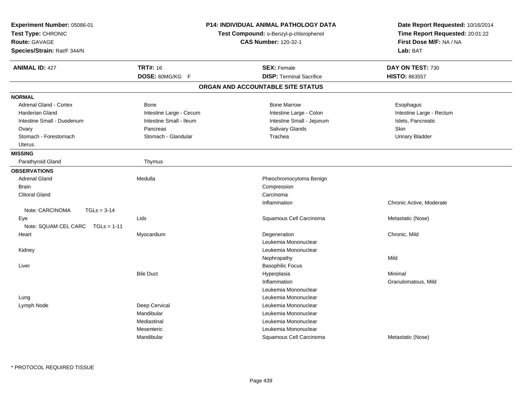| Experiment Number: 05086-01<br>Test Type: CHRONIC<br><b>Route: GAVAGE</b><br>Species/Strain: Rat/F 344/N | <b>P14: INDIVIDUAL ANIMAL PATHOLOGY DATA</b><br>Test Compound: o-Benzyl-p-chlorophenol<br><b>CAS Number: 120-32-1</b> |                                   | Date Report Requested: 10/16/2014<br>Time Report Requested: 20:01:22<br>First Dose M/F: NA / NA<br>Lab: BAT |
|----------------------------------------------------------------------------------------------------------|-----------------------------------------------------------------------------------------------------------------------|-----------------------------------|-------------------------------------------------------------------------------------------------------------|
| <b>ANIMAL ID: 427</b>                                                                                    | <b>TRT#: 16</b>                                                                                                       | <b>SEX: Female</b>                | DAY ON TEST: 730                                                                                            |
|                                                                                                          | DOSE: 60MG/KG F                                                                                                       | <b>DISP: Terminal Sacrifice</b>   | <b>HISTO: 863557</b>                                                                                        |
|                                                                                                          |                                                                                                                       | ORGAN AND ACCOUNTABLE SITE STATUS |                                                                                                             |
| <b>NORMAL</b>                                                                                            |                                                                                                                       |                                   |                                                                                                             |
| Adrenal Gland - Cortex                                                                                   | <b>Bone</b>                                                                                                           | <b>Bone Marrow</b>                | Esophagus                                                                                                   |
| <b>Harderian Gland</b>                                                                                   | Intestine Large - Cecum                                                                                               | Intestine Large - Colon           | Intestine Large - Rectum                                                                                    |
| Intestine Small - Duodenum                                                                               | Intestine Small - Ileum                                                                                               | Intestine Small - Jejunum         | Islets, Pancreatic                                                                                          |
| Ovary                                                                                                    | Pancreas                                                                                                              | Salivary Glands                   | Skin                                                                                                        |
| Stomach - Forestomach                                                                                    | Stomach - Glandular                                                                                                   | Trachea                           | <b>Urinary Bladder</b>                                                                                      |
| Uterus                                                                                                   |                                                                                                                       |                                   |                                                                                                             |
| <b>MISSING</b>                                                                                           |                                                                                                                       |                                   |                                                                                                             |
| Parathyroid Gland                                                                                        | Thymus                                                                                                                |                                   |                                                                                                             |
| <b>OBSERVATIONS</b>                                                                                      |                                                                                                                       |                                   |                                                                                                             |
| <b>Adrenal Gland</b>                                                                                     | Medulla                                                                                                               | Pheochromocytoma Benign           |                                                                                                             |
| <b>Brain</b>                                                                                             |                                                                                                                       | Compression                       |                                                                                                             |
| <b>Clitoral Gland</b>                                                                                    |                                                                                                                       | Carcinoma                         |                                                                                                             |
|                                                                                                          |                                                                                                                       | Inflammation                      | Chronic Active, Moderate                                                                                    |
| Note: CARCINOMA<br>$TGLs = 3-14$                                                                         |                                                                                                                       |                                   |                                                                                                             |
| Eye                                                                                                      | Lids                                                                                                                  | Squamous Cell Carcinoma           | Metastatic (Nose)                                                                                           |
| Note: SQUAM CEL CARC<br>$TGLs = 1-11$                                                                    |                                                                                                                       |                                   |                                                                                                             |
| Heart                                                                                                    | Myocardium                                                                                                            | Degeneration                      | Chronic, Mild                                                                                               |
|                                                                                                          |                                                                                                                       | Leukemia Mononuclear              |                                                                                                             |
| Kidney                                                                                                   |                                                                                                                       | Leukemia Mononuclear              |                                                                                                             |
|                                                                                                          |                                                                                                                       | Nephropathy                       | Mild                                                                                                        |
| Liver                                                                                                    |                                                                                                                       | <b>Basophilic Focus</b>           |                                                                                                             |
|                                                                                                          | <b>Bile Duct</b>                                                                                                      | Hyperplasia                       | Minimal                                                                                                     |
|                                                                                                          |                                                                                                                       | Inflammation                      | Granulomatous, Mild                                                                                         |
|                                                                                                          |                                                                                                                       | Leukemia Mononuclear              |                                                                                                             |
| Lung                                                                                                     |                                                                                                                       | Leukemia Mononuclear              |                                                                                                             |
| Lymph Node                                                                                               | Deep Cervical                                                                                                         | Leukemia Mononuclear              |                                                                                                             |
|                                                                                                          | Mandibular                                                                                                            | Leukemia Mononuclear              |                                                                                                             |
|                                                                                                          | Mediastinal                                                                                                           | Leukemia Mononuclear              |                                                                                                             |
|                                                                                                          | Mesenteric                                                                                                            | Leukemia Mononuclear              |                                                                                                             |
|                                                                                                          | Mandibular                                                                                                            | Squamous Cell Carcinoma           | Metastatic (Nose)                                                                                           |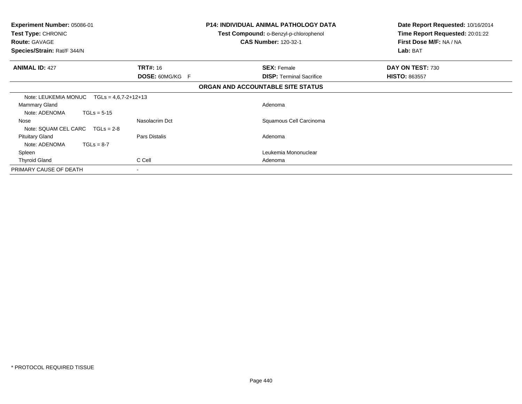| <b>Experiment Number: 05086-01</b><br><b>Test Type: CHRONIC</b><br><b>Route: GAVAGE</b><br>Species/Strain: Rat/F 344/N |                 |                                   | <b>P14: INDIVIDUAL ANIMAL PATHOLOGY DATA</b><br><b>Test Compound: o-Benzyl-p-chlorophenol</b><br><b>CAS Number: 120-32-1</b> | Date Report Requested: 10/16/2014<br>Time Report Requested: 20:01:22<br>First Dose M/F: NA / NA<br>Lab: BAT |
|------------------------------------------------------------------------------------------------------------------------|-----------------|-----------------------------------|------------------------------------------------------------------------------------------------------------------------------|-------------------------------------------------------------------------------------------------------------|
| <b>ANIMAL ID: 427</b>                                                                                                  | <b>TRT#:</b> 16 |                                   | <b>SEX: Female</b>                                                                                                           | DAY ON TEST: 730                                                                                            |
|                                                                                                                        | DOSE: 60MG/KG F |                                   | <b>DISP:</b> Terminal Sacrifice                                                                                              | <b>HISTO: 863557</b>                                                                                        |
|                                                                                                                        |                 | ORGAN AND ACCOUNTABLE SITE STATUS |                                                                                                                              |                                                                                                             |
| Note: LEUKEMIA MONUC<br>$TGLs = 4.6.7 - 2 + 12 + 13$                                                                   |                 |                                   |                                                                                                                              |                                                                                                             |
| Mammary Gland<br>Note: ADENOMA<br>$TGLs = 5-15$                                                                        |                 |                                   | Adenoma                                                                                                                      |                                                                                                             |
| Nose<br>Note: SQUAM CEL CARC $TGLS = 2-8$                                                                              | Nasolacrim Dct  |                                   | Squamous Cell Carcinoma                                                                                                      |                                                                                                             |
| <b>Pituitary Gland</b><br>$TGLs = 8-7$<br>Note: ADENOMA                                                                | Pars Distalis   |                                   | Adenoma                                                                                                                      |                                                                                                             |
| Spleen                                                                                                                 |                 |                                   | Leukemia Mononuclear                                                                                                         |                                                                                                             |
| <b>Thyroid Gland</b>                                                                                                   | C Cell          |                                   | Adenoma                                                                                                                      |                                                                                                             |
| PRIMARY CAUSE OF DEATH                                                                                                 | $\blacksquare$  |                                   |                                                                                                                              |                                                                                                             |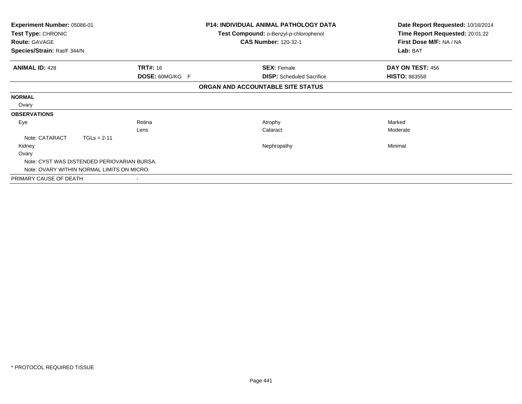| <b>Experiment Number: 05086-01</b>          | <b>P14: INDIVIDUAL ANIMAL PATHOLOGY DATA</b> |                                        | Date Report Requested: 10/16/2014 |
|---------------------------------------------|----------------------------------------------|----------------------------------------|-----------------------------------|
| Test Type: CHRONIC                          |                                              | Test Compound: o-Benzyl-p-chlorophenol | Time Report Requested: 20:01:22   |
| <b>Route: GAVAGE</b>                        |                                              | <b>CAS Number: 120-32-1</b>            | First Dose M/F: NA / NA           |
| Species/Strain: Rat/F 344/N                 |                                              |                                        | Lab: BAT                          |
| <b>ANIMAL ID: 428</b>                       | <b>TRT#: 16</b>                              | <b>SEX: Female</b>                     | DAY ON TEST: 456                  |
|                                             | DOSE: 60MG/KG F                              | <b>DISP:</b> Scheduled Sacrifice       | <b>HISTO: 863558</b>              |
|                                             |                                              | ORGAN AND ACCOUNTABLE SITE STATUS      |                                   |
| <b>NORMAL</b>                               |                                              |                                        |                                   |
| Ovary                                       |                                              |                                        |                                   |
| <b>OBSERVATIONS</b>                         |                                              |                                        |                                   |
| Eye                                         | Retina                                       | Atrophy                                | Marked                            |
|                                             | Lens                                         | Cataract                               | Moderate                          |
| Note: CATARACT<br>$TGLs = 2-11$             |                                              |                                        |                                   |
| Kidney                                      |                                              | Nephropathy                            | Minimal                           |
| Ovary                                       |                                              |                                        |                                   |
| Note: CYST WAS DISTENDED PERIOVARIAN BURSA. |                                              |                                        |                                   |
| Note: OVARY WITHIN NORMAL LIMITS ON MICRO.  |                                              |                                        |                                   |
| PRIMARY CAUSE OF DEATH                      |                                              |                                        |                                   |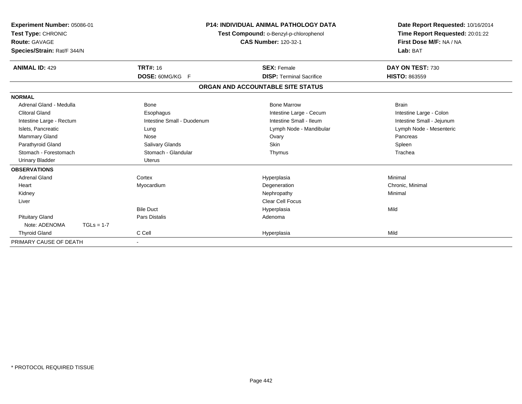| Experiment Number: 05086-01<br>Test Type: CHRONIC<br><b>Route: GAVAGE</b><br>Species/Strain: Rat/F 344/N |              |                            | <b>P14: INDIVIDUAL ANIMAL PATHOLOGY DATA</b><br>Test Compound: o-Benzyl-p-chlorophenol<br><b>CAS Number: 120-32-1</b> | Date Report Requested: 10/16/2014<br>Time Report Requested: 20:01:22<br>First Dose M/F: NA / NA<br>Lab: BAT |  |
|----------------------------------------------------------------------------------------------------------|--------------|----------------------------|-----------------------------------------------------------------------------------------------------------------------|-------------------------------------------------------------------------------------------------------------|--|
| <b>ANIMAL ID: 429</b>                                                                                    |              | <b>TRT#: 16</b>            | <b>SEX: Female</b>                                                                                                    | DAY ON TEST: 730                                                                                            |  |
|                                                                                                          |              | <b>DOSE: 60MG/KG F</b>     | <b>DISP: Terminal Sacrifice</b>                                                                                       | <b>HISTO: 863559</b>                                                                                        |  |
|                                                                                                          |              |                            | ORGAN AND ACCOUNTABLE SITE STATUS                                                                                     |                                                                                                             |  |
| <b>NORMAL</b>                                                                                            |              |                            |                                                                                                                       |                                                                                                             |  |
| Adrenal Gland - Medulla                                                                                  |              | <b>Bone</b>                | <b>Bone Marrow</b>                                                                                                    | <b>Brain</b>                                                                                                |  |
| <b>Clitoral Gland</b>                                                                                    |              | Esophagus                  | Intestine Large - Cecum                                                                                               | Intestine Large - Colon                                                                                     |  |
| Intestine Large - Rectum                                                                                 |              | Intestine Small - Duodenum | Intestine Small - Ileum                                                                                               | Intestine Small - Jejunum                                                                                   |  |
| Islets, Pancreatic                                                                                       |              | Lung                       | Lymph Node - Mandibular                                                                                               | Lymph Node - Mesenteric                                                                                     |  |
| <b>Mammary Gland</b>                                                                                     |              | Nose                       | Ovary                                                                                                                 | Pancreas                                                                                                    |  |
| Parathyroid Gland                                                                                        |              | Salivary Glands            | <b>Skin</b>                                                                                                           | Spleen                                                                                                      |  |
| Stomach - Forestomach                                                                                    |              | Stomach - Glandular        | Thymus                                                                                                                | Trachea                                                                                                     |  |
| <b>Urinary Bladder</b>                                                                                   |              | <b>Uterus</b>              |                                                                                                                       |                                                                                                             |  |
| <b>OBSERVATIONS</b>                                                                                      |              |                            |                                                                                                                       |                                                                                                             |  |
| <b>Adrenal Gland</b>                                                                                     |              | Cortex                     | Hyperplasia                                                                                                           | Minimal                                                                                                     |  |
| Heart                                                                                                    |              | Myocardium                 | Degeneration                                                                                                          | Chronic, Minimal                                                                                            |  |
| Kidney                                                                                                   |              |                            | Nephropathy                                                                                                           | Minimal                                                                                                     |  |
| Liver                                                                                                    |              |                            | Clear Cell Focus                                                                                                      |                                                                                                             |  |
|                                                                                                          |              | <b>Bile Duct</b>           | Hyperplasia                                                                                                           | Mild                                                                                                        |  |
| <b>Pituitary Gland</b>                                                                                   |              | <b>Pars Distalis</b>       | Adenoma                                                                                                               |                                                                                                             |  |
| Note: ADENOMA                                                                                            | $TGLs = 1-7$ |                            |                                                                                                                       |                                                                                                             |  |
| <b>Thyroid Gland</b>                                                                                     |              | C Cell                     | Hyperplasia                                                                                                           | Mild                                                                                                        |  |
| PRIMARY CAUSE OF DEATH                                                                                   |              |                            |                                                                                                                       |                                                                                                             |  |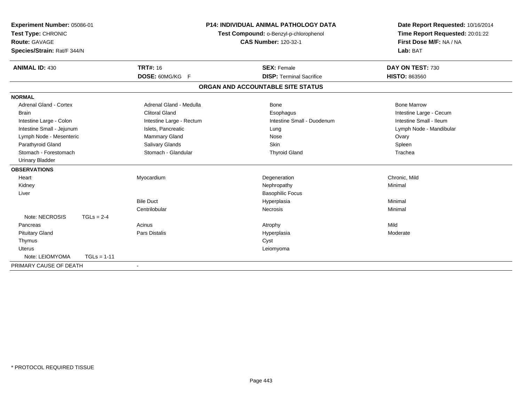| Experiment Number: 05086-01<br>Test Type: CHRONIC<br>Route: GAVAGE<br>Species/Strain: Rat/F 344/N |               |                          | <b>P14: INDIVIDUAL ANIMAL PATHOLOGY DATA</b><br>Test Compound: o-Benzyl-p-chlorophenol<br><b>CAS Number: 120-32-1</b> | Date Report Requested: 10/16/2014<br>Time Report Requested: 20:01:22<br>First Dose M/F: NA / NA<br>Lab: BAT |
|---------------------------------------------------------------------------------------------------|---------------|--------------------------|-----------------------------------------------------------------------------------------------------------------------|-------------------------------------------------------------------------------------------------------------|
| <b>ANIMAL ID: 430</b>                                                                             |               | <b>TRT#: 16</b>          | <b>SEX: Female</b>                                                                                                    | DAY ON TEST: 730                                                                                            |
|                                                                                                   |               | DOSE: 60MG/KG F          | <b>DISP: Terminal Sacrifice</b>                                                                                       | <b>HISTO: 863560</b>                                                                                        |
|                                                                                                   |               |                          | ORGAN AND ACCOUNTABLE SITE STATUS                                                                                     |                                                                                                             |
| <b>NORMAL</b>                                                                                     |               |                          |                                                                                                                       |                                                                                                             |
| <b>Adrenal Gland - Cortex</b>                                                                     |               | Adrenal Gland - Medulla  | Bone                                                                                                                  | <b>Bone Marrow</b>                                                                                          |
| <b>Brain</b>                                                                                      |               | <b>Clitoral Gland</b>    | Esophagus                                                                                                             | Intestine Large - Cecum                                                                                     |
| Intestine Large - Colon                                                                           |               | Intestine Large - Rectum | Intestine Small - Duodenum                                                                                            | Intestine Small - Ileum                                                                                     |
| Intestine Small - Jejunum                                                                         |               | Islets, Pancreatic       | Lung                                                                                                                  | Lymph Node - Mandibular                                                                                     |
| Lymph Node - Mesenteric                                                                           |               | Mammary Gland            | Nose                                                                                                                  | Ovary                                                                                                       |
| Parathyroid Gland                                                                                 |               | Salivary Glands          | <b>Skin</b>                                                                                                           | Spleen                                                                                                      |
| Stomach - Forestomach                                                                             |               | Stomach - Glandular      | <b>Thyroid Gland</b>                                                                                                  | Trachea                                                                                                     |
| <b>Urinary Bladder</b>                                                                            |               |                          |                                                                                                                       |                                                                                                             |
| <b>OBSERVATIONS</b>                                                                               |               |                          |                                                                                                                       |                                                                                                             |
| Heart                                                                                             |               | Myocardium               | Degeneration                                                                                                          | Chronic, Mild                                                                                               |
| Kidney                                                                                            |               |                          | Nephropathy                                                                                                           | Minimal                                                                                                     |
| Liver                                                                                             |               |                          | <b>Basophilic Focus</b>                                                                                               |                                                                                                             |
|                                                                                                   |               | <b>Bile Duct</b>         | Hyperplasia                                                                                                           | Minimal                                                                                                     |
|                                                                                                   |               | Centrilobular            | Necrosis                                                                                                              | Minimal                                                                                                     |
| Note: NECROSIS                                                                                    | $TGLs = 2-4$  |                          |                                                                                                                       |                                                                                                             |
| Pancreas                                                                                          |               | Acinus                   | Atrophy                                                                                                               | Mild                                                                                                        |
| <b>Pituitary Gland</b>                                                                            |               | Pars Distalis            | Hyperplasia                                                                                                           | Moderate                                                                                                    |
| Thymus                                                                                            |               |                          | Cyst                                                                                                                  |                                                                                                             |
| <b>Uterus</b>                                                                                     |               |                          | Leiomyoma                                                                                                             |                                                                                                             |
| Note: LEIOMYOMA                                                                                   | $TGLs = 1-11$ |                          |                                                                                                                       |                                                                                                             |
| PRIMARY CAUSE OF DEATH                                                                            |               |                          |                                                                                                                       |                                                                                                             |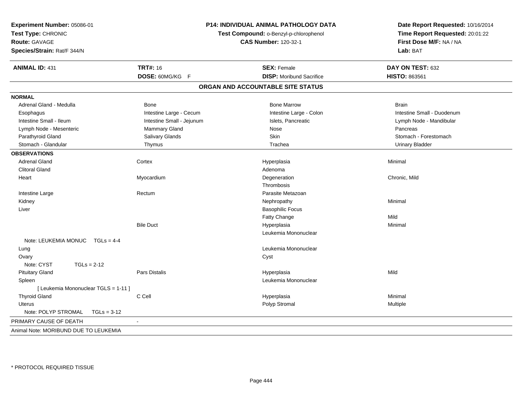| Experiment Number: 05086-01<br>Test Type: CHRONIC<br><b>Route: GAVAGE</b><br>Species/Strain: Rat/F 344/N | P14: INDIVIDUAL ANIMAL PATHOLOGY DATA<br>Test Compound: o-Benzyl-p-chlorophenol<br><b>CAS Number: 120-32-1</b> |                                   | Date Report Requested: 10/16/2014<br>Time Report Requested: 20:01:22<br>First Dose M/F: NA / NA<br>Lab: BAT |  |
|----------------------------------------------------------------------------------------------------------|----------------------------------------------------------------------------------------------------------------|-----------------------------------|-------------------------------------------------------------------------------------------------------------|--|
| <b>ANIMAL ID: 431</b>                                                                                    | <b>TRT#: 16</b>                                                                                                | <b>SEX: Female</b>                | DAY ON TEST: 632                                                                                            |  |
|                                                                                                          | DOSE: 60MG/KG F                                                                                                | <b>DISP:</b> Moribund Sacrifice   | HISTO: 863561                                                                                               |  |
|                                                                                                          |                                                                                                                | ORGAN AND ACCOUNTABLE SITE STATUS |                                                                                                             |  |
| <b>NORMAL</b>                                                                                            |                                                                                                                |                                   |                                                                                                             |  |
| Adrenal Gland - Medulla                                                                                  | Bone                                                                                                           | <b>Bone Marrow</b>                | <b>Brain</b>                                                                                                |  |
| Esophagus                                                                                                | Intestine Large - Cecum                                                                                        | Intestine Large - Colon           | Intestine Small - Duodenum                                                                                  |  |
| Intestine Small - Ileum                                                                                  | Intestine Small - Jejunum                                                                                      | Islets, Pancreatic                | Lymph Node - Mandibular                                                                                     |  |
| Lymph Node - Mesenteric                                                                                  | Mammary Gland                                                                                                  | Nose                              | Pancreas                                                                                                    |  |
| Parathyroid Gland                                                                                        | Salivary Glands                                                                                                | Skin                              | Stomach - Forestomach                                                                                       |  |
| Stomach - Glandular                                                                                      | Thymus                                                                                                         | Trachea                           | <b>Urinary Bladder</b>                                                                                      |  |
| <b>OBSERVATIONS</b>                                                                                      |                                                                                                                |                                   |                                                                                                             |  |
| <b>Adrenal Gland</b>                                                                                     | Cortex                                                                                                         | Hyperplasia                       | Minimal                                                                                                     |  |
| <b>Clitoral Gland</b>                                                                                    |                                                                                                                | Adenoma                           |                                                                                                             |  |
| Heart                                                                                                    | Myocardium                                                                                                     | Degeneration                      | Chronic, Mild                                                                                               |  |
|                                                                                                          |                                                                                                                | Thrombosis                        |                                                                                                             |  |
| Intestine Large                                                                                          | Rectum                                                                                                         | Parasite Metazoan                 |                                                                                                             |  |
| Kidney                                                                                                   |                                                                                                                | Nephropathy                       | Minimal                                                                                                     |  |
| Liver                                                                                                    |                                                                                                                | <b>Basophilic Focus</b>           |                                                                                                             |  |
|                                                                                                          |                                                                                                                | Fatty Change                      | Mild                                                                                                        |  |
|                                                                                                          | <b>Bile Duct</b>                                                                                               | Hyperplasia                       | Minimal                                                                                                     |  |
|                                                                                                          |                                                                                                                | Leukemia Mononuclear              |                                                                                                             |  |
| Note: LEUKEMIA MONUC TGLs = 4-4                                                                          |                                                                                                                |                                   |                                                                                                             |  |
| Lung                                                                                                     |                                                                                                                | Leukemia Mononuclear              |                                                                                                             |  |
| Ovary                                                                                                    |                                                                                                                | Cyst                              |                                                                                                             |  |
| Note: CYST<br>$TGLs = 2-12$                                                                              |                                                                                                                |                                   |                                                                                                             |  |
| <b>Pituitary Gland</b>                                                                                   | Pars Distalis                                                                                                  | Hyperplasia                       | Mild                                                                                                        |  |
| Spleen                                                                                                   |                                                                                                                | Leukemia Mononuclear              |                                                                                                             |  |
| [ Leukemia Mononuclear TGLS = 1-11 ]                                                                     |                                                                                                                |                                   |                                                                                                             |  |
| <b>Thyroid Gland</b>                                                                                     | C Cell                                                                                                         | Hyperplasia                       | Minimal                                                                                                     |  |
| <b>Uterus</b>                                                                                            |                                                                                                                | Polyp Stromal                     | Multiple                                                                                                    |  |
| Note: POLYP STROMAL<br>$TGLs = 3-12$                                                                     |                                                                                                                |                                   |                                                                                                             |  |
| PRIMARY CAUSE OF DEATH                                                                                   |                                                                                                                |                                   |                                                                                                             |  |
| Animal Note: MORIBUND DUE TO LEUKEMIA                                                                    |                                                                                                                |                                   |                                                                                                             |  |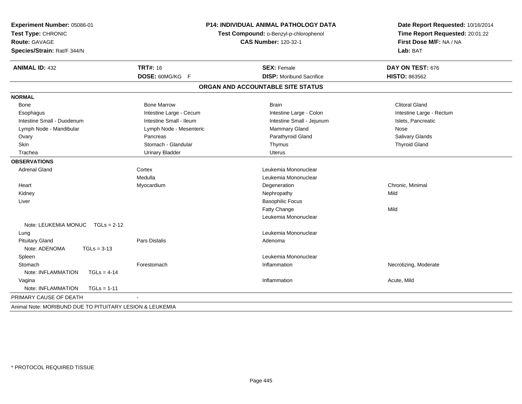| Experiment Number: 05086-01<br>Test Type: CHRONIC<br><b>Route: GAVAGE</b><br>Species/Strain: Rat/F 344/N |                         | P14: INDIVIDUAL ANIMAL PATHOLOGY DATA<br>Test Compound: o-Benzyl-p-chlorophenol<br><b>CAS Number: 120-32-1</b> | Date Report Requested: 10/16/2014<br>Time Report Requested: 20:01:22<br>First Dose M/F: NA / NA<br>Lab: BAT |
|----------------------------------------------------------------------------------------------------------|-------------------------|----------------------------------------------------------------------------------------------------------------|-------------------------------------------------------------------------------------------------------------|
| <b>ANIMAL ID: 432</b>                                                                                    | <b>TRT#: 16</b>         | <b>SEX: Female</b>                                                                                             | DAY ON TEST: 676                                                                                            |
|                                                                                                          | DOSE: 60MG/KG F         | <b>DISP:</b> Moribund Sacrifice                                                                                | HISTO: 863562                                                                                               |
|                                                                                                          |                         | ORGAN AND ACCOUNTABLE SITE STATUS                                                                              |                                                                                                             |
| <b>NORMAL</b>                                                                                            |                         |                                                                                                                |                                                                                                             |
| Bone                                                                                                     | <b>Bone Marrow</b>      | <b>Brain</b>                                                                                                   | <b>Clitoral Gland</b>                                                                                       |
| Esophagus                                                                                                | Intestine Large - Cecum | Intestine Large - Colon                                                                                        | Intestine Large - Rectum                                                                                    |
| Intestine Small - Duodenum                                                                               | Intestine Small - Ileum | Intestine Small - Jejunum                                                                                      | Islets, Pancreatic                                                                                          |
| Lymph Node - Mandibular                                                                                  | Lymph Node - Mesenteric | Mammary Gland                                                                                                  | Nose                                                                                                        |
| Ovary                                                                                                    | Pancreas                | Parathyroid Gland                                                                                              | Salivary Glands                                                                                             |
| Skin                                                                                                     | Stomach - Glandular     | Thymus                                                                                                         | <b>Thyroid Gland</b>                                                                                        |
| Trachea                                                                                                  | <b>Urinary Bladder</b>  | <b>Uterus</b>                                                                                                  |                                                                                                             |
| <b>OBSERVATIONS</b>                                                                                      |                         |                                                                                                                |                                                                                                             |
| <b>Adrenal Gland</b>                                                                                     | Cortex                  | Leukemia Mononuclear                                                                                           |                                                                                                             |
|                                                                                                          | Medulla                 | Leukemia Mononuclear                                                                                           |                                                                                                             |
| Heart                                                                                                    | Myocardium              | Degeneration                                                                                                   | Chronic, Minimal                                                                                            |
| Kidney                                                                                                   |                         | Nephropathy                                                                                                    | Mild                                                                                                        |
| Liver                                                                                                    |                         | <b>Basophilic Focus</b>                                                                                        |                                                                                                             |
|                                                                                                          |                         | <b>Fatty Change</b>                                                                                            | Mild                                                                                                        |
|                                                                                                          |                         | Leukemia Mononuclear                                                                                           |                                                                                                             |
| Note: LEUKEMIA MONUC TGLs = 2-12                                                                         |                         |                                                                                                                |                                                                                                             |
| Lung                                                                                                     |                         | Leukemia Mononuclear                                                                                           |                                                                                                             |
| <b>Pituitary Gland</b>                                                                                   | Pars Distalis           | Adenoma                                                                                                        |                                                                                                             |
| Note: ADENOMA<br>$TGLs = 3-13$                                                                           |                         |                                                                                                                |                                                                                                             |
| Spleen                                                                                                   |                         | Leukemia Mononuclear                                                                                           |                                                                                                             |
| Stomach                                                                                                  | Forestomach             | Inflammation                                                                                                   | Necrotizing, Moderate                                                                                       |
| Note: INFLAMMATION<br>$TGLs = 4-14$                                                                      |                         |                                                                                                                |                                                                                                             |
| Vagina                                                                                                   |                         | Inflammation                                                                                                   | Acute, Mild                                                                                                 |
| Note: INFLAMMATION<br>$TGLs = 1-11$                                                                      |                         |                                                                                                                |                                                                                                             |
| PRIMARY CAUSE OF DEATH                                                                                   |                         |                                                                                                                |                                                                                                             |
| Animal Note: MORIBUND DUE TO PITUITARY LESION & LEUKEMIA                                                 |                         |                                                                                                                |                                                                                                             |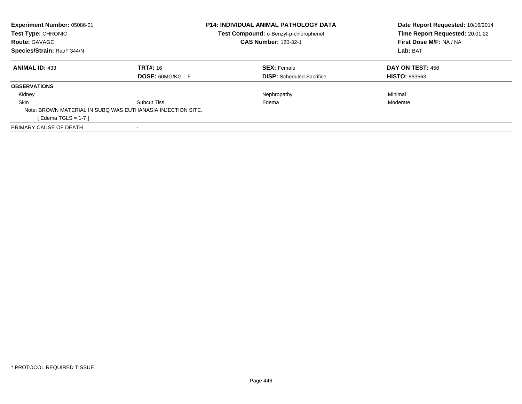| Experiment Number: 05086-01 |                                                             | <b>P14: INDIVIDUAL ANIMAL PATHOLOGY DATA</b> | Date Report Requested: 10/16/2014 |  |
|-----------------------------|-------------------------------------------------------------|----------------------------------------------|-----------------------------------|--|
| Test Type: CHRONIC          |                                                             | Test Compound: o-Benzyl-p-chlorophenol       | Time Report Requested: 20:01:22   |  |
| <b>Route: GAVAGE</b>        |                                                             | <b>CAS Number: 120-32-1</b>                  | First Dose M/F: NA / NA           |  |
| Species/Strain: Rat/F 344/N |                                                             |                                              | Lab: BAT                          |  |
| <b>ANIMAL ID: 433</b>       | <b>TRT#: 16</b>                                             | <b>SEX: Female</b>                           | DAY ON TEST: 456                  |  |
|                             | <b>DOSE: 60MG/KG F</b>                                      | <b>DISP:</b> Scheduled Sacrifice             | <b>HISTO: 863563</b>              |  |
| <b>OBSERVATIONS</b>         |                                                             |                                              |                                   |  |
| Kidney                      |                                                             | Nephropathy                                  | Minimal                           |  |
| Skin                        | <b>Subcut Tiss</b>                                          | Edema                                        | Moderate                          |  |
|                             | Note: BROWN MATERIAL IN SUBQ WAS EUTHANASIA INJECTION SITE. |                                              |                                   |  |
| [ Edema TGLS = 1-7 ]        |                                                             |                                              |                                   |  |
| PRIMARY CAUSE OF DEATH      |                                                             |                                              |                                   |  |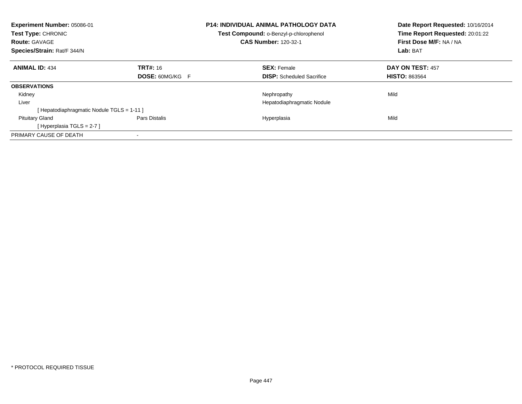| Experiment Number: 05086-01<br>Test Type: CHRONIC<br><b>Route: GAVAGE</b><br>Species/Strain: Rat/F 344/N |                        | <b>P14: INDIVIDUAL ANIMAL PATHOLOGY DATA</b><br>Test Compound: o-Benzyl-p-chlorophenol<br><b>CAS Number: 120-32-1</b> | Date Report Requested: 10/16/2014<br>Time Report Requested: 20:01:22<br>First Dose M/F: NA / NA<br>Lab: BAT |
|----------------------------------------------------------------------------------------------------------|------------------------|-----------------------------------------------------------------------------------------------------------------------|-------------------------------------------------------------------------------------------------------------|
|                                                                                                          |                        |                                                                                                                       |                                                                                                             |
| <b>ANIMAL ID: 434</b>                                                                                    | <b>TRT#: 16</b>        | <b>SEX: Female</b>                                                                                                    | DAY ON TEST: 457                                                                                            |
|                                                                                                          | <b>DOSE: 60MG/KG F</b> | <b>DISP:</b> Scheduled Sacrifice                                                                                      | <b>HISTO: 863564</b>                                                                                        |
| <b>OBSERVATIONS</b>                                                                                      |                        |                                                                                                                       |                                                                                                             |
| Kidney                                                                                                   |                        | Nephropathy                                                                                                           | Mild                                                                                                        |
| Liver                                                                                                    |                        | Hepatodiaphragmatic Nodule                                                                                            |                                                                                                             |
| [Hepatodiaphragmatic Nodule TGLS = 1-11]                                                                 |                        |                                                                                                                       |                                                                                                             |
| <b>Pituitary Gland</b>                                                                                   | Pars Distalis          | Hyperplasia                                                                                                           | Mild                                                                                                        |
| [Hyperplasia TGLS = $2-7$ ]                                                                              |                        |                                                                                                                       |                                                                                                             |
| PRIMARY CAUSE OF DEATH                                                                                   |                        |                                                                                                                       |                                                                                                             |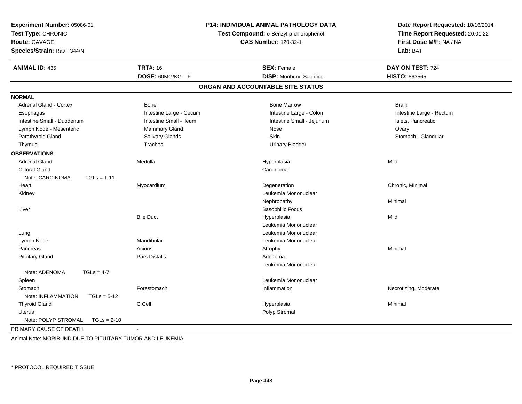| Experiment Number: 05086-01<br>Test Type: CHRONIC<br><b>Route: GAVAGE</b><br>Species/Strain: Rat/F 344/N | P14: INDIVIDUAL ANIMAL PATHOLOGY DATA<br>Test Compound: o-Benzyl-p-chlorophenol<br><b>CAS Number: 120-32-1</b> |                                   | Date Report Requested: 10/16/2014<br>Time Report Requested: 20:01:22<br>First Dose M/F: NA / NA<br>Lab: BAT |
|----------------------------------------------------------------------------------------------------------|----------------------------------------------------------------------------------------------------------------|-----------------------------------|-------------------------------------------------------------------------------------------------------------|
| <b>ANIMAL ID: 435</b>                                                                                    | <b>TRT#: 16</b>                                                                                                | <b>SEX: Female</b>                | DAY ON TEST: 724                                                                                            |
|                                                                                                          | DOSE: 60MG/KG F                                                                                                | <b>DISP:</b> Moribund Sacrifice   | <b>HISTO: 863565</b>                                                                                        |
|                                                                                                          |                                                                                                                | ORGAN AND ACCOUNTABLE SITE STATUS |                                                                                                             |
| <b>NORMAL</b>                                                                                            |                                                                                                                |                                   |                                                                                                             |
| <b>Adrenal Gland - Cortex</b>                                                                            | <b>Bone</b>                                                                                                    | <b>Bone Marrow</b>                | <b>Brain</b>                                                                                                |
| Esophagus                                                                                                | Intestine Large - Cecum                                                                                        | Intestine Large - Colon           | Intestine Large - Rectum                                                                                    |
| Intestine Small - Duodenum                                                                               | Intestine Small - Ileum                                                                                        | Intestine Small - Jejunum         | Islets, Pancreatic                                                                                          |
| Lymph Node - Mesenteric                                                                                  | <b>Mammary Gland</b>                                                                                           | Nose                              | Ovary                                                                                                       |
| Parathyroid Gland                                                                                        | Salivary Glands                                                                                                | <b>Skin</b>                       | Stomach - Glandular                                                                                         |
| Thymus                                                                                                   | Trachea                                                                                                        | <b>Urinary Bladder</b>            |                                                                                                             |
| <b>OBSERVATIONS</b>                                                                                      |                                                                                                                |                                   |                                                                                                             |
| <b>Adrenal Gland</b>                                                                                     | Medulla                                                                                                        | Hyperplasia                       | Mild                                                                                                        |
| <b>Clitoral Gland</b>                                                                                    |                                                                                                                | Carcinoma                         |                                                                                                             |
| Note: CARCINOMA<br>$TGLs = 1-11$                                                                         |                                                                                                                |                                   |                                                                                                             |
| Heart                                                                                                    | Myocardium                                                                                                     | Degeneration                      | Chronic, Minimal                                                                                            |
| Kidney                                                                                                   |                                                                                                                | Leukemia Mononuclear              |                                                                                                             |
|                                                                                                          |                                                                                                                | Nephropathy                       | Minimal                                                                                                     |
| Liver                                                                                                    |                                                                                                                | <b>Basophilic Focus</b>           |                                                                                                             |
|                                                                                                          | <b>Bile Duct</b>                                                                                               | Hyperplasia                       | Mild                                                                                                        |
|                                                                                                          |                                                                                                                | Leukemia Mononuclear              |                                                                                                             |
| Lung                                                                                                     |                                                                                                                | Leukemia Mononuclear              |                                                                                                             |
| Lymph Node                                                                                               | Mandibular                                                                                                     | Leukemia Mononuclear              |                                                                                                             |
| Pancreas                                                                                                 | Acinus                                                                                                         | Atrophy                           | Minimal                                                                                                     |
| <b>Pituitary Gland</b>                                                                                   | Pars Distalis                                                                                                  | Adenoma                           |                                                                                                             |
|                                                                                                          |                                                                                                                | Leukemia Mononuclear              |                                                                                                             |
| Note: ADENOMA<br>$TGLs = 4-7$                                                                            |                                                                                                                |                                   |                                                                                                             |
| Spleen                                                                                                   |                                                                                                                | Leukemia Mononuclear              |                                                                                                             |
| Stomach                                                                                                  | Forestomach                                                                                                    | Inflammation                      | Necrotizing, Moderate                                                                                       |
| Note: INFLAMMATION<br>$TGLs = 5-12$                                                                      |                                                                                                                |                                   |                                                                                                             |
| <b>Thyroid Gland</b>                                                                                     | C Cell                                                                                                         | Hyperplasia                       | Minimal                                                                                                     |
| Uterus                                                                                                   |                                                                                                                | Polyp Stromal                     |                                                                                                             |
| Note: POLYP STROMAL<br>$TGLs = 2-10$                                                                     |                                                                                                                |                                   |                                                                                                             |
| PRIMARY CAUSE OF DEATH                                                                                   | $\sim$                                                                                                         |                                   |                                                                                                             |

Animal Note: MORIBUND DUE TO PITUITARY TUMOR AND LEUKEMIA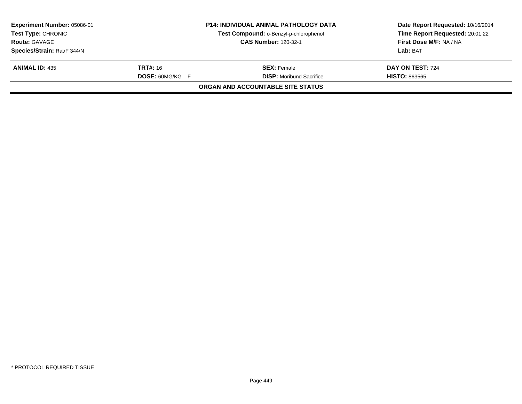| Experiment Number: 05086-01<br><b>Test Type: CHRONIC</b> |                        | <b>P14: INDIVIDUAL ANIMAL PATHOLOGY DATA</b><br>Test Compound: o-Benzyl-p-chlorophenol | Date Report Requested: 10/16/2014<br>Time Report Requested: 20:01:22 |
|----------------------------------------------------------|------------------------|----------------------------------------------------------------------------------------|----------------------------------------------------------------------|
| <b>Route: GAVAGE</b>                                     |                        | <b>CAS Number: 120-32-1</b>                                                            | First Dose M/F: NA / NA                                              |
| Species/Strain: Rat/F 344/N                              |                        |                                                                                        | Lab: BAT                                                             |
| <b>ANIMAL ID: 435</b>                                    | <b>TRT#: 16</b>        | <b>SEX:</b> Female                                                                     | DAY ON TEST: 724                                                     |
|                                                          | <b>DOSE: 60MG/KG F</b> | <b>DISP:</b> Moribund Sacrifice                                                        | <b>HISTO: 863565</b>                                                 |
|                                                          |                        | ORGAN AND ACCOUNTABLE SITE STATUS                                                      |                                                                      |
|                                                          |                        |                                                                                        |                                                                      |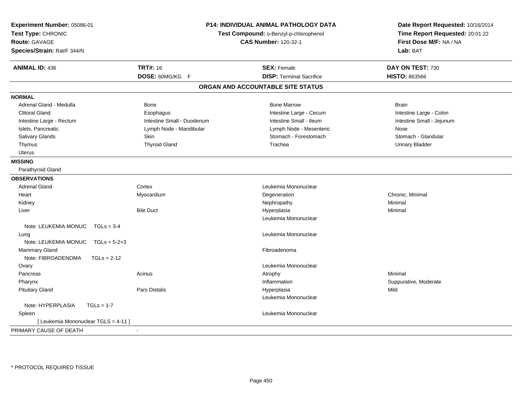| Experiment Number: 05086-01<br>Test Type: CHRONIC<br><b>Route: GAVAGE</b><br>Species/Strain: Rat/F 344/N |                            | <b>P14: INDIVIDUAL ANIMAL PATHOLOGY DATA</b><br>Test Compound: o-Benzyl-p-chlorophenol<br><b>CAS Number: 120-32-1</b> | Date Report Requested: 10/16/2014<br>Time Report Requested: 20:01:22<br>First Dose M/F: NA / NA<br>Lab: BAT |
|----------------------------------------------------------------------------------------------------------|----------------------------|-----------------------------------------------------------------------------------------------------------------------|-------------------------------------------------------------------------------------------------------------|
| <b>ANIMAL ID: 436</b>                                                                                    | <b>TRT#: 16</b>            | <b>SEX: Female</b>                                                                                                    | DAY ON TEST: 730                                                                                            |
|                                                                                                          | DOSE: 60MG/KG F            | <b>DISP: Terminal Sacrifice</b>                                                                                       | <b>HISTO: 863566</b>                                                                                        |
|                                                                                                          |                            | ORGAN AND ACCOUNTABLE SITE STATUS                                                                                     |                                                                                                             |
| <b>NORMAL</b>                                                                                            |                            |                                                                                                                       |                                                                                                             |
| Adrenal Gland - Medulla                                                                                  | <b>Bone</b>                | <b>Bone Marrow</b>                                                                                                    | <b>Brain</b>                                                                                                |
| <b>Clitoral Gland</b>                                                                                    | Esophagus                  | Intestine Large - Cecum                                                                                               | Intestine Large - Colon                                                                                     |
| Intestine Large - Rectum                                                                                 | Intestine Small - Duodenum | Intestine Small - Ileum                                                                                               | Intestine Small - Jejunum                                                                                   |
| Islets, Pancreatic                                                                                       | Lymph Node - Mandibular    | Lymph Node - Mesenteric                                                                                               | Nose                                                                                                        |
| Salivary Glands                                                                                          | Skin                       | Stomach - Forestomach                                                                                                 | Stomach - Glandular                                                                                         |
| Thymus                                                                                                   | <b>Thyroid Gland</b>       | Trachea                                                                                                               | <b>Urinary Bladder</b>                                                                                      |
| <b>Uterus</b>                                                                                            |                            |                                                                                                                       |                                                                                                             |
| <b>MISSING</b>                                                                                           |                            |                                                                                                                       |                                                                                                             |
| Parathyroid Gland                                                                                        |                            |                                                                                                                       |                                                                                                             |
| <b>OBSERVATIONS</b>                                                                                      |                            |                                                                                                                       |                                                                                                             |
| <b>Adrenal Gland</b>                                                                                     | Cortex                     | Leukemia Mononuclear                                                                                                  |                                                                                                             |
| Heart                                                                                                    | Myocardium                 | Degeneration                                                                                                          | Chronic, Minimal                                                                                            |
| Kidney                                                                                                   |                            | Nephropathy                                                                                                           | Minimal                                                                                                     |
| Liver                                                                                                    | <b>Bile Duct</b>           | Hyperplasia                                                                                                           | Minimal                                                                                                     |
|                                                                                                          |                            | Leukemia Mononuclear                                                                                                  |                                                                                                             |
| Note: LEUKEMIA MONUC TGLs = 3-4                                                                          |                            |                                                                                                                       |                                                                                                             |
| Lung                                                                                                     |                            | Leukemia Mononuclear                                                                                                  |                                                                                                             |
| Note: LEUKEMIA MONUC TGLs = 5-2+3                                                                        |                            |                                                                                                                       |                                                                                                             |
| <b>Mammary Gland</b>                                                                                     |                            | Fibroadenoma                                                                                                          |                                                                                                             |
| Note: FIBROADENOMA<br>$TGLs = 2-12$                                                                      |                            |                                                                                                                       |                                                                                                             |
| Ovary                                                                                                    |                            | Leukemia Mononuclear                                                                                                  |                                                                                                             |
| Pancreas                                                                                                 | Acinus                     | Atrophy                                                                                                               | Minimal                                                                                                     |
| Pharynx                                                                                                  |                            | Inflammation                                                                                                          | Suppurative, Moderate                                                                                       |
| <b>Pituitary Gland</b>                                                                                   | Pars Distalis              | Hyperplasia                                                                                                           | Mild                                                                                                        |
|                                                                                                          |                            | Leukemia Mononuclear                                                                                                  |                                                                                                             |
| Note: HYPERPLASIA<br>$TGLs = 1-7$                                                                        |                            |                                                                                                                       |                                                                                                             |
| Spleen                                                                                                   |                            | Leukemia Mononuclear                                                                                                  |                                                                                                             |
| [ Leukemia Mononuclear TGLS = 4-11 ]                                                                     |                            |                                                                                                                       |                                                                                                             |
| PRIMARY CAUSE OF DEATH                                                                                   | $\blacksquare$             |                                                                                                                       |                                                                                                             |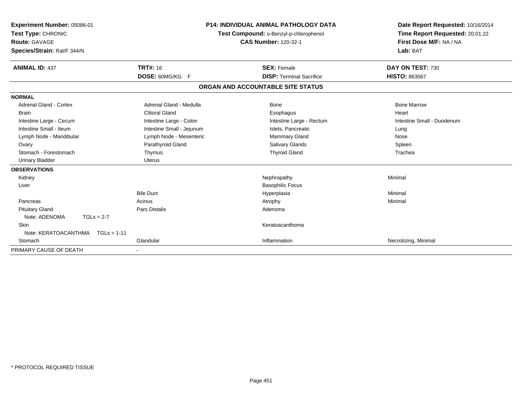| Experiment Number: 05086-01<br>Test Type: CHRONIC<br><b>Route: GAVAGE</b><br>Species/Strain: Rat/F 344/N | <b>P14: INDIVIDUAL ANIMAL PATHOLOGY DATA</b><br>Test Compound: o-Benzyl-p-chlorophenol<br><b>CAS Number: 120-32-1</b> |  | Date Report Requested: 10/16/2014<br>Time Report Requested: 20:01:22<br>First Dose M/F: NA / NA<br>Lab: BAT |                                          |
|----------------------------------------------------------------------------------------------------------|-----------------------------------------------------------------------------------------------------------------------|--|-------------------------------------------------------------------------------------------------------------|------------------------------------------|
| <b>ANIMAL ID: 437</b>                                                                                    | <b>TRT#: 16</b><br>DOSE: 60MG/KG F                                                                                    |  | <b>SEX: Female</b><br><b>DISP: Terminal Sacrifice</b>                                                       | DAY ON TEST: 730<br><b>HISTO: 863567</b> |
|                                                                                                          |                                                                                                                       |  |                                                                                                             |                                          |
|                                                                                                          |                                                                                                                       |  | ORGAN AND ACCOUNTABLE SITE STATUS                                                                           |                                          |
| <b>NORMAL</b>                                                                                            |                                                                                                                       |  |                                                                                                             |                                          |
| <b>Adrenal Gland - Cortex</b>                                                                            | Adrenal Gland - Medulla                                                                                               |  | Bone                                                                                                        | <b>Bone Marrow</b>                       |
| Brain                                                                                                    | <b>Clitoral Gland</b>                                                                                                 |  | Esophagus                                                                                                   | Heart                                    |
| Intestine Large - Cecum                                                                                  | Intestine Large - Colon                                                                                               |  | Intestine Large - Rectum                                                                                    | Intestine Small - Duodenum               |
| Intestine Small - Ileum                                                                                  | Intestine Small - Jejunum                                                                                             |  | Islets, Pancreatic                                                                                          | Lung                                     |
| Lymph Node - Mandibular                                                                                  | Lymph Node - Mesenteric                                                                                               |  | Mammary Gland                                                                                               | Nose                                     |
| Ovary                                                                                                    | Parathyroid Gland                                                                                                     |  | Salivary Glands                                                                                             | Spleen                                   |
| Stomach - Forestomach                                                                                    | Thymus                                                                                                                |  | <b>Thyroid Gland</b>                                                                                        | Trachea                                  |
| <b>Urinary Bladder</b>                                                                                   | <b>Uterus</b>                                                                                                         |  |                                                                                                             |                                          |
| <b>OBSERVATIONS</b>                                                                                      |                                                                                                                       |  |                                                                                                             |                                          |
| Kidney                                                                                                   |                                                                                                                       |  | Nephropathy                                                                                                 | Minimal                                  |
| Liver                                                                                                    |                                                                                                                       |  | <b>Basophilic Focus</b>                                                                                     |                                          |
|                                                                                                          | <b>Bile Duct</b>                                                                                                      |  | Hyperplasia                                                                                                 | Minimal                                  |
| Pancreas                                                                                                 | Acinus                                                                                                                |  | Atrophy                                                                                                     | Minimal                                  |
| <b>Pituitary Gland</b>                                                                                   | Pars Distalis                                                                                                         |  | Adenoma                                                                                                     |                                          |
| Note: ADENOMA<br>$TGLs = 2-7$                                                                            |                                                                                                                       |  |                                                                                                             |                                          |
| Skin                                                                                                     |                                                                                                                       |  | Keratoacanthoma                                                                                             |                                          |
| Note: KERATOACANTHMA<br>$TGLs = 1-11$                                                                    |                                                                                                                       |  |                                                                                                             |                                          |
| Stomach                                                                                                  | Glandular                                                                                                             |  | Inflammation                                                                                                | Necrotizing, Minimal                     |
| PRIMARY CAUSE OF DEATH                                                                                   |                                                                                                                       |  |                                                                                                             |                                          |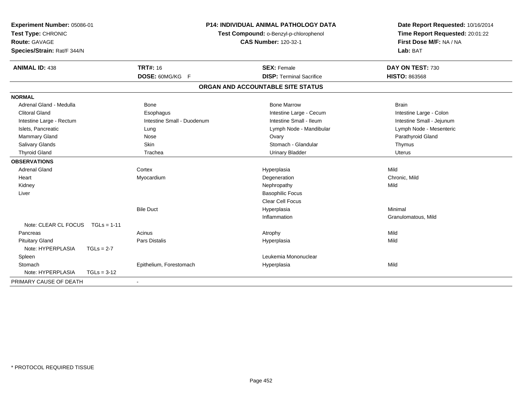| Experiment Number: 05086-01<br>Test Type: CHRONIC |                            | <b>P14: INDIVIDUAL ANIMAL PATHOLOGY DATA</b><br>Test Compound: o-Benzyl-p-chlorophenol | Date Report Requested: 10/16/2014<br>Time Report Requested: 20:01:22 |
|---------------------------------------------------|----------------------------|----------------------------------------------------------------------------------------|----------------------------------------------------------------------|
| <b>Route: GAVAGE</b>                              |                            | <b>CAS Number: 120-32-1</b>                                                            | First Dose M/F: NA / NA                                              |
| Species/Strain: Rat/F 344/N                       |                            |                                                                                        | Lab: BAT                                                             |
| <b>ANIMAL ID: 438</b>                             | <b>TRT#: 16</b>            | <b>SEX: Female</b>                                                                     | DAY ON TEST: 730                                                     |
|                                                   | DOSE: 60MG/KG F            | <b>DISP: Terminal Sacrifice</b>                                                        | <b>HISTO: 863568</b>                                                 |
|                                                   |                            | ORGAN AND ACCOUNTABLE SITE STATUS                                                      |                                                                      |
| <b>NORMAL</b>                                     |                            |                                                                                        |                                                                      |
| Adrenal Gland - Medulla                           | Bone                       | <b>Bone Marrow</b>                                                                     | <b>Brain</b>                                                         |
| <b>Clitoral Gland</b>                             | Esophagus                  | Intestine Large - Cecum                                                                | Intestine Large - Colon                                              |
| Intestine Large - Rectum                          | Intestine Small - Duodenum | Intestine Small - Ileum                                                                | Intestine Small - Jejunum                                            |
| Islets, Pancreatic                                | Lung                       | Lymph Node - Mandibular                                                                | Lymph Node - Mesenteric                                              |
| Mammary Gland                                     | Nose                       | Ovary                                                                                  | Parathyroid Gland                                                    |
| Salivary Glands                                   | Skin                       | Stomach - Glandular                                                                    | Thymus                                                               |
| <b>Thyroid Gland</b>                              | Trachea                    | <b>Urinary Bladder</b>                                                                 | <b>Uterus</b>                                                        |
| <b>OBSERVATIONS</b>                               |                            |                                                                                        |                                                                      |
| <b>Adrenal Gland</b>                              | Cortex                     | Hyperplasia                                                                            | Mild                                                                 |
| Heart                                             | Myocardium                 | Degeneration                                                                           | Chronic, Mild                                                        |
| Kidney                                            |                            | Nephropathy                                                                            | Mild                                                                 |
| Liver                                             |                            | <b>Basophilic Focus</b>                                                                |                                                                      |
|                                                   |                            | <b>Clear Cell Focus</b>                                                                |                                                                      |
|                                                   | <b>Bile Duct</b>           | Hyperplasia                                                                            | Minimal                                                              |
|                                                   |                            | Inflammation                                                                           | Granulomatous, Mild                                                  |
| Note: CLEAR CL FOCUS<br>$TGLs = 1-11$             |                            |                                                                                        |                                                                      |
| Pancreas                                          | Acinus                     | Atrophy                                                                                | Mild                                                                 |
| <b>Pituitary Gland</b>                            | <b>Pars Distalis</b>       | Hyperplasia                                                                            | Mild                                                                 |
| Note: HYPERPLASIA<br>$TGLs = 2-7$                 |                            |                                                                                        |                                                                      |
| Spleen                                            |                            | Leukemia Mononuclear                                                                   |                                                                      |
| Stomach                                           | Epithelium, Forestomach    | Hyperplasia                                                                            | Mild                                                                 |
| Note: HYPERPLASIA<br>$TGLs = 3-12$                |                            |                                                                                        |                                                                      |
| PRIMARY CAUSE OF DEATH                            |                            |                                                                                        |                                                                      |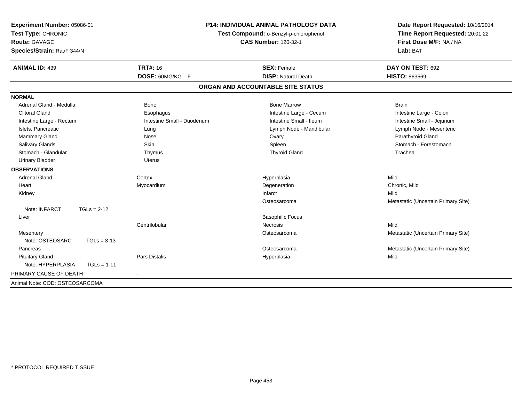| Experiment Number: 05086-01<br>Test Type: CHRONIC<br><b>Route: GAVAGE</b><br>Species/Strain: Rat/F 344/N |                            | <b>P14: INDIVIDUAL ANIMAL PATHOLOGY DATA</b><br>Test Compound: o-Benzyl-p-chlorophenol<br><b>CAS Number: 120-32-1</b> | Date Report Requested: 10/16/2014<br>Time Report Requested: 20:01:22<br>First Dose M/F: NA / NA<br>Lab: BAT |
|----------------------------------------------------------------------------------------------------------|----------------------------|-----------------------------------------------------------------------------------------------------------------------|-------------------------------------------------------------------------------------------------------------|
| <b>ANIMAL ID: 439</b>                                                                                    | <b>TRT#: 16</b>            | <b>SEX: Female</b>                                                                                                    | DAY ON TEST: 692                                                                                            |
|                                                                                                          | DOSE: 60MG/KG F            | <b>DISP: Natural Death</b>                                                                                            | HISTO: 863569                                                                                               |
|                                                                                                          |                            | ORGAN AND ACCOUNTABLE SITE STATUS                                                                                     |                                                                                                             |
| <b>NORMAL</b>                                                                                            |                            |                                                                                                                       |                                                                                                             |
| Adrenal Gland - Medulla                                                                                  | Bone                       | <b>Bone Marrow</b>                                                                                                    | <b>Brain</b>                                                                                                |
| <b>Clitoral Gland</b>                                                                                    | Esophagus                  | Intestine Large - Cecum                                                                                               | Intestine Large - Colon                                                                                     |
| Intestine Large - Rectum                                                                                 | Intestine Small - Duodenum | Intestine Small - Ileum                                                                                               | Intestine Small - Jejunum                                                                                   |
| Islets, Pancreatic                                                                                       | Lung                       | Lymph Node - Mandibular                                                                                               | Lymph Node - Mesenteric                                                                                     |
| Mammary Gland                                                                                            | Nose                       | Ovary                                                                                                                 | Parathyroid Gland                                                                                           |
| Salivary Glands                                                                                          | Skin                       | Spleen                                                                                                                | Stomach - Forestomach                                                                                       |
| Stomach - Glandular                                                                                      | Thymus                     | <b>Thyroid Gland</b>                                                                                                  | Trachea                                                                                                     |
| <b>Urinary Bladder</b>                                                                                   | <b>Uterus</b>              |                                                                                                                       |                                                                                                             |
| <b>OBSERVATIONS</b>                                                                                      |                            |                                                                                                                       |                                                                                                             |
| <b>Adrenal Gland</b>                                                                                     | Cortex                     | Hyperplasia                                                                                                           | Mild                                                                                                        |
| Heart                                                                                                    | Myocardium                 | Degeneration                                                                                                          | Chronic. Mild                                                                                               |
| Kidney                                                                                                   |                            | Infarct                                                                                                               | Mild                                                                                                        |
|                                                                                                          |                            | Osteosarcoma                                                                                                          | Metastatic (Uncertain Primary Site)                                                                         |
| Note: INFARCT<br>$TGLs = 2-12$                                                                           |                            |                                                                                                                       |                                                                                                             |
| Liver                                                                                                    |                            | <b>Basophilic Focus</b>                                                                                               |                                                                                                             |
|                                                                                                          | Centrilobular              | <b>Necrosis</b>                                                                                                       | Mild                                                                                                        |
| Mesentery                                                                                                |                            | Osteosarcoma                                                                                                          | Metastatic (Uncertain Primary Site)                                                                         |
| Note: OSTEOSARC<br>$TGLs = 3-13$                                                                         |                            |                                                                                                                       |                                                                                                             |
| Pancreas                                                                                                 |                            | Osteosarcoma                                                                                                          | Metastatic (Uncertain Primary Site)                                                                         |
| <b>Pituitary Gland</b>                                                                                   | Pars Distalis              | Hyperplasia                                                                                                           | Mild                                                                                                        |
| Note: HYPERPLASIA<br>$TGLs = 1-11$                                                                       |                            |                                                                                                                       |                                                                                                             |
| PRIMARY CAUSE OF DEATH                                                                                   |                            |                                                                                                                       |                                                                                                             |
| Animal Note: COD: OSTEOSARCOMA                                                                           |                            |                                                                                                                       |                                                                                                             |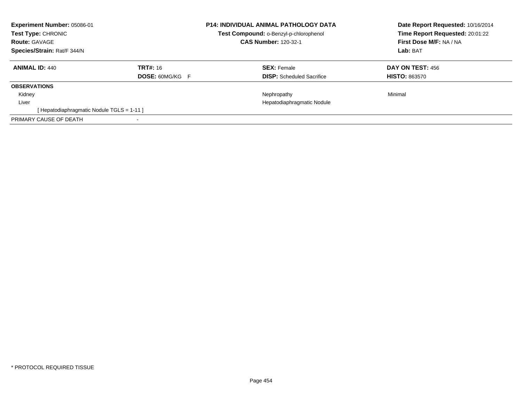| <b>CAS Number: 120-32-1</b>                                                           | Date Report Requested: 10/16/2014<br>Time Report Requested: 20:01:22<br>First Dose M/F: NA / NA<br>Lab: BAT |
|---------------------------------------------------------------------------------------|-------------------------------------------------------------------------------------------------------------|
| <b>SEX: Female</b><br><b>DISP:</b> Scheduled Sacrifice                                | DAY ON TEST: 456<br><b>HISTO: 863570</b>                                                                    |
|                                                                                       |                                                                                                             |
| Nephropathy                                                                           | Minimal                                                                                                     |
| Hepatodiaphragmatic Nodule                                                            |                                                                                                             |
|                                                                                       |                                                                                                             |
|                                                                                       |                                                                                                             |
| <b>TRT#: 16</b><br><b>DOSE: 60MG/KG F</b><br>[Hepatodiaphragmatic Nodule TGLS = 1-11] | <b>P14: INDIVIDUAL ANIMAL PATHOLOGY DATA</b><br>Test Compound: o-Benzyl-p-chlorophenol                      |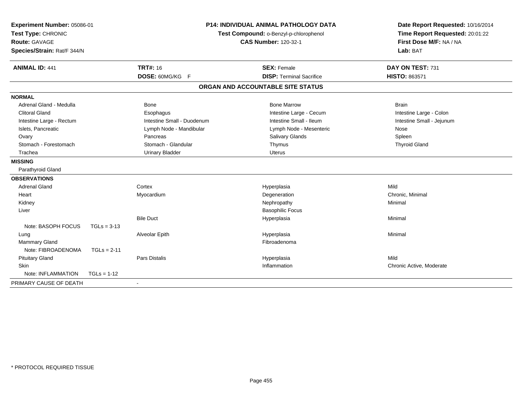| Experiment Number: 05086-01<br>Test Type: CHRONIC |               |                            | <b>P14: INDIVIDUAL ANIMAL PATHOLOGY DATA</b> | Date Report Requested: 10/16/2014 |
|---------------------------------------------------|---------------|----------------------------|----------------------------------------------|-----------------------------------|
|                                                   |               |                            | Test Compound: o-Benzyl-p-chlorophenol       | Time Report Requested: 20:01:22   |
| Route: GAVAGE                                     |               |                            | <b>CAS Number: 120-32-1</b>                  | First Dose M/F: NA / NA           |
| Species/Strain: Rat/F 344/N                       |               |                            |                                              | Lab: BAT                          |
| <b>ANIMAL ID: 441</b>                             |               | <b>TRT#: 16</b>            | <b>SEX: Female</b>                           | DAY ON TEST: 731                  |
|                                                   |               | DOSE: 60MG/KG F            | <b>DISP: Terminal Sacrifice</b>              | HISTO: 863571                     |
|                                                   |               |                            | ORGAN AND ACCOUNTABLE SITE STATUS            |                                   |
| <b>NORMAL</b>                                     |               |                            |                                              |                                   |
| Adrenal Gland - Medulla                           |               | <b>Bone</b>                | <b>Bone Marrow</b>                           | <b>Brain</b>                      |
| <b>Clitoral Gland</b>                             |               | Esophagus                  | Intestine Large - Cecum                      | Intestine Large - Colon           |
| Intestine Large - Rectum                          |               | Intestine Small - Duodenum | Intestine Small - Ileum                      | Intestine Small - Jejunum         |
| Islets, Pancreatic                                |               | Lymph Node - Mandibular    | Lymph Node - Mesenteric                      | Nose                              |
| Ovary                                             |               | Pancreas                   | Salivary Glands                              | Spleen                            |
| Stomach - Forestomach                             |               | Stomach - Glandular        | Thymus                                       | <b>Thyroid Gland</b>              |
| Trachea                                           |               | <b>Urinary Bladder</b>     | <b>Uterus</b>                                |                                   |
| <b>MISSING</b>                                    |               |                            |                                              |                                   |
| Parathyroid Gland                                 |               |                            |                                              |                                   |
| <b>OBSERVATIONS</b>                               |               |                            |                                              |                                   |
| <b>Adrenal Gland</b>                              |               | Cortex                     | Hyperplasia                                  | Mild                              |
| Heart                                             |               | Myocardium                 | Degeneration                                 | Chronic, Minimal                  |
| Kidney                                            |               |                            | Nephropathy                                  | Minimal                           |
| Liver                                             |               |                            | <b>Basophilic Focus</b>                      |                                   |
|                                                   |               | <b>Bile Duct</b>           | Hyperplasia                                  | Minimal                           |
| Note: BASOPH FOCUS                                | $TGLs = 3-13$ |                            |                                              |                                   |
| Lung                                              |               | Alveolar Epith             | Hyperplasia                                  | Minimal                           |
| <b>Mammary Gland</b>                              |               |                            | Fibroadenoma                                 |                                   |
| Note: FIBROADENOMA                                | $TGLs = 2-11$ |                            |                                              |                                   |
| <b>Pituitary Gland</b>                            |               | <b>Pars Distalis</b>       | Hyperplasia                                  | Mild                              |
| Skin                                              |               |                            | Inflammation                                 | Chronic Active, Moderate          |
| Note: INFLAMMATION                                | $TGLs = 1-12$ |                            |                                              |                                   |
| PRIMARY CAUSE OF DEATH                            |               |                            |                                              |                                   |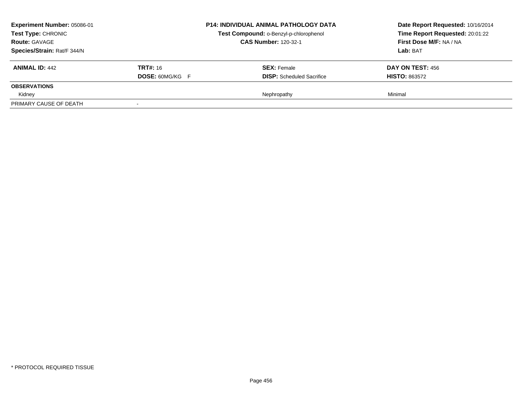| Experiment Number: 05086-01<br>Test Type: CHRONIC<br><b>Route: GAVAGE</b><br>Species/Strain: Rat/F 344/N |                                           | <b>P14: INDIVIDUAL ANIMAL PATHOLOGY DATA</b><br>Test Compound: o-Benzyl-p-chlorophenol<br><b>CAS Number: 120-32-1</b> | Date Report Requested: 10/16/2014<br>Time Report Requested: 20:01:22<br>First Dose M/F: NA / NA<br>Lab: BAT |
|----------------------------------------------------------------------------------------------------------|-------------------------------------------|-----------------------------------------------------------------------------------------------------------------------|-------------------------------------------------------------------------------------------------------------|
| <b>ANIMAL ID: 442</b>                                                                                    | <b>TRT#:</b> 16<br><b>DOSE: 60MG/KG F</b> | <b>SEX: Female</b><br><b>DISP:</b> Scheduled Sacrifice                                                                | <b>DAY ON TEST: 456</b><br><b>HISTO: 863572</b>                                                             |
| <b>OBSERVATIONS</b>                                                                                      |                                           |                                                                                                                       |                                                                                                             |
| Kidney                                                                                                   |                                           | Nephropathy                                                                                                           | Minimal                                                                                                     |
| PRIMARY CAUSE OF DEATH                                                                                   | $\overline{\phantom{a}}$                  |                                                                                                                       |                                                                                                             |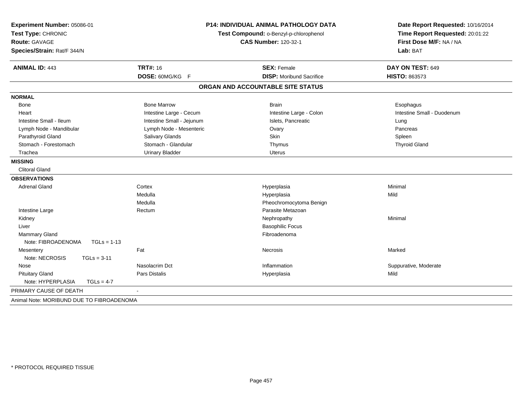| Experiment Number: 05086-01               |                           | <b>P14: INDIVIDUAL ANIMAL PATHOLOGY DATA</b> | Date Report Requested: 10/16/2014                          |  |
|-------------------------------------------|---------------------------|----------------------------------------------|------------------------------------------------------------|--|
| Test Type: CHRONIC                        |                           | Test Compound: o-Benzyl-p-chlorophenol       | Time Report Requested: 20:01:22<br>First Dose M/F: NA / NA |  |
| Route: GAVAGE                             |                           | <b>CAS Number: 120-32-1</b>                  |                                                            |  |
| Species/Strain: Rat/F 344/N               |                           |                                              | Lab: BAT                                                   |  |
| <b>ANIMAL ID: 443</b>                     | <b>TRT#: 16</b>           | <b>SEX: Female</b>                           | DAY ON TEST: 649                                           |  |
|                                           | DOSE: 60MG/KG F           | <b>DISP:</b> Moribund Sacrifice              | <b>HISTO: 863573</b>                                       |  |
|                                           |                           | ORGAN AND ACCOUNTABLE SITE STATUS            |                                                            |  |
| <b>NORMAL</b>                             |                           |                                              |                                                            |  |
| Bone                                      | <b>Bone Marrow</b>        | <b>Brain</b>                                 | Esophagus                                                  |  |
| Heart                                     | Intestine Large - Cecum   | Intestine Large - Colon                      | Intestine Small - Duodenum                                 |  |
| Intestine Small - Ileum                   | Intestine Small - Jejunum | Islets, Pancreatic                           | Lung                                                       |  |
| Lymph Node - Mandibular                   | Lymph Node - Mesenteric   | Ovary                                        | Pancreas                                                   |  |
| Parathyroid Gland                         | Salivary Glands           | Skin                                         | Spleen                                                     |  |
| Stomach - Forestomach                     | Stomach - Glandular       | Thymus                                       | <b>Thyroid Gland</b>                                       |  |
| Trachea                                   | <b>Urinary Bladder</b>    | <b>Uterus</b>                                |                                                            |  |
| <b>MISSING</b>                            |                           |                                              |                                                            |  |
| <b>Clitoral Gland</b>                     |                           |                                              |                                                            |  |
| <b>OBSERVATIONS</b>                       |                           |                                              |                                                            |  |
| <b>Adrenal Gland</b>                      | Cortex                    | Hyperplasia                                  | Minimal                                                    |  |
|                                           | Medulla                   | Hyperplasia                                  | Mild                                                       |  |
|                                           | Medulla                   | Pheochromocytoma Benign                      |                                                            |  |
| Intestine Large                           | Rectum                    | Parasite Metazoan                            |                                                            |  |
| Kidney                                    |                           | Nephropathy                                  | Minimal                                                    |  |
| Liver                                     |                           | <b>Basophilic Focus</b>                      |                                                            |  |
| Mammary Gland                             |                           | Fibroadenoma                                 |                                                            |  |
| Note: FIBROADENOMA<br>$TGLs = 1-13$       |                           |                                              |                                                            |  |
| Mesentery                                 | Fat                       | Necrosis                                     | Marked                                                     |  |
| Note: NECROSIS<br>$TGLs = 3-11$           |                           |                                              |                                                            |  |
| Nose                                      | Nasolacrim Dct            | Inflammation                                 | Suppurative, Moderate                                      |  |
| <b>Pituitary Gland</b>                    | Pars Distalis             | Hyperplasia                                  | Mild                                                       |  |
| Note: HYPERPLASIA<br>$TGLs = 4-7$         |                           |                                              |                                                            |  |
| PRIMARY CAUSE OF DEATH                    |                           |                                              |                                                            |  |
| Animal Note: MORIBUND DUE TO FIBROADENOMA |                           |                                              |                                                            |  |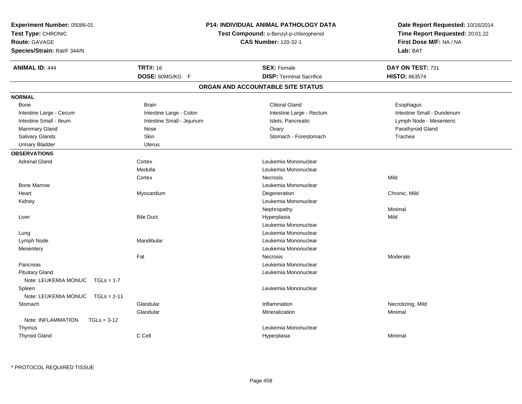| Experiment Number: 05086-01<br>Test Type: CHRONIC<br>Route: GAVAGE<br>Species/Strain: Rat/F 344/N | <b>P14: INDIVIDUAL ANIMAL PATHOLOGY DATA</b><br>Test Compound: o-Benzyl-p-chlorophenol<br><b>CAS Number: 120-32-1</b> |                                   | Date Report Requested: 10/16/2014<br>Time Report Requested: 20:01:22<br>First Dose M/F: NA / NA<br>Lab: BAT |
|---------------------------------------------------------------------------------------------------|-----------------------------------------------------------------------------------------------------------------------|-----------------------------------|-------------------------------------------------------------------------------------------------------------|
| <b>ANIMAL ID: 444</b>                                                                             | <b>TRT#: 16</b>                                                                                                       | <b>SEX: Female</b>                | DAY ON TEST: 731                                                                                            |
|                                                                                                   | DOSE: 60MG/KG F                                                                                                       | <b>DISP: Terminal Sacrifice</b>   | <b>HISTO: 863574</b>                                                                                        |
|                                                                                                   |                                                                                                                       | ORGAN AND ACCOUNTABLE SITE STATUS |                                                                                                             |
| <b>NORMAL</b>                                                                                     |                                                                                                                       |                                   |                                                                                                             |
| Bone                                                                                              | <b>Brain</b>                                                                                                          | <b>Clitoral Gland</b>             | Esophagus                                                                                                   |
| Intestine Large - Cecum                                                                           | Intestine Large - Colon                                                                                               | Intestine Large - Rectum          | Intestine Small - Duodenum                                                                                  |
| Intestine Small - Ileum                                                                           | Intestine Small - Jejunum                                                                                             | Islets, Pancreatic                | Lymph Node - Mesenteric                                                                                     |
| Mammary Gland                                                                                     | Nose                                                                                                                  | Ovary                             | Parathyroid Gland                                                                                           |
| <b>Salivary Glands</b>                                                                            | Skin                                                                                                                  | Stomach - Forestomach             | Trachea                                                                                                     |
| <b>Urinary Bladder</b>                                                                            | <b>Uterus</b>                                                                                                         |                                   |                                                                                                             |
| <b>OBSERVATIONS</b>                                                                               |                                                                                                                       |                                   |                                                                                                             |
| <b>Adrenal Gland</b>                                                                              | Cortex                                                                                                                | Leukemia Mononuclear              |                                                                                                             |
|                                                                                                   | Medulla                                                                                                               | Leukemia Mononuclear              |                                                                                                             |
|                                                                                                   | Cortex                                                                                                                | <b>Necrosis</b>                   | Mild                                                                                                        |
| <b>Bone Marrow</b>                                                                                |                                                                                                                       | Leukemia Mononuclear              |                                                                                                             |
| Heart                                                                                             | Myocardium                                                                                                            | Degeneration                      | Chronic, Mild                                                                                               |
| Kidney                                                                                            |                                                                                                                       | Leukemia Mononuclear              |                                                                                                             |
|                                                                                                   |                                                                                                                       | Nephropathy                       | Minimal                                                                                                     |
| Liver                                                                                             | <b>Bile Duct</b>                                                                                                      | Hyperplasia                       | Mild                                                                                                        |
|                                                                                                   |                                                                                                                       | Leukemia Mononuclear              |                                                                                                             |
| Lung                                                                                              |                                                                                                                       | Leukemia Mononuclear              |                                                                                                             |
| Lymph Node                                                                                        | Mandibular                                                                                                            | Leukemia Mononuclear              |                                                                                                             |
| Mesentery                                                                                         |                                                                                                                       | Leukemia Mononuclear              |                                                                                                             |
|                                                                                                   | Fat                                                                                                                   | <b>Necrosis</b>                   | Moderate                                                                                                    |
| Pancreas                                                                                          |                                                                                                                       | Leukemia Mononuclear              |                                                                                                             |
| <b>Pituitary Gland</b><br>Note: LEUKEMIA MONUC<br>$TGLs = 1-7$                                    |                                                                                                                       | Leukemia Mononuclear              |                                                                                                             |
| Spleen                                                                                            |                                                                                                                       | Leukemia Mononuclear              |                                                                                                             |
| Note: LEUKEMIA MONUC<br>$TGLs = 2-11$                                                             |                                                                                                                       |                                   |                                                                                                             |
| Stomach                                                                                           | Glandular                                                                                                             | Inflammation                      | Necrotizing, Mild                                                                                           |
|                                                                                                   | Glandular                                                                                                             | Mineralization                    | Minimal                                                                                                     |
| Note: INFLAMMATION<br>$TGLs = 3-12$                                                               |                                                                                                                       |                                   |                                                                                                             |
| Thymus                                                                                            |                                                                                                                       | Leukemia Mononuclear              |                                                                                                             |
| <b>Thyroid Gland</b>                                                                              | C Cell                                                                                                                | Hyperplasia                       | Minimal                                                                                                     |
|                                                                                                   |                                                                                                                       |                                   |                                                                                                             |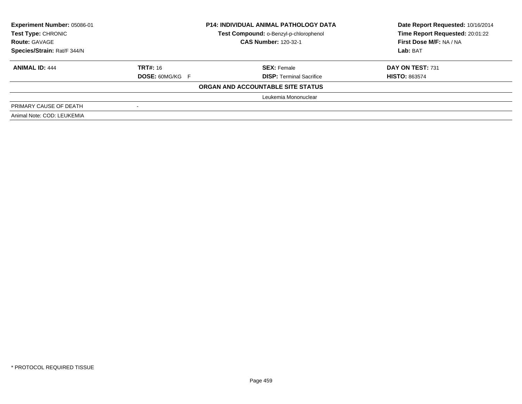| Experiment Number: 05086-01 |                          | <b>P14: INDIVIDUAL ANIMAL PATHOLOGY DATA</b> | Date Report Requested: 10/16/2014 |  |
|-----------------------------|--------------------------|----------------------------------------------|-----------------------------------|--|
| <b>Test Type: CHRONIC</b>   |                          | Test Compound: o-Benzyl-p-chlorophenol       | Time Report Requested: 20:01:22   |  |
| <b>Route: GAVAGE</b>        |                          | <b>CAS Number: 120-32-1</b>                  | First Dose M/F: NA / NA           |  |
| Species/Strain: Rat/F 344/N |                          |                                              | Lab: BAT                          |  |
| <b>ANIMAL ID: 444</b>       | <b>TRT#: 16</b>          | <b>SEX: Female</b>                           | DAY ON TEST: 731                  |  |
|                             | <b>DOSE: 60MG/KG F</b>   | <b>DISP:</b> Terminal Sacrifice              | <b>HISTO: 863574</b>              |  |
|                             |                          | ORGAN AND ACCOUNTABLE SITE STATUS            |                                   |  |
|                             |                          | Leukemia Mononuclear                         |                                   |  |
| PRIMARY CAUSE OF DEATH      | $\overline{\phantom{a}}$ |                                              |                                   |  |
| Animal Note: COD: LEUKEMIA  |                          |                                              |                                   |  |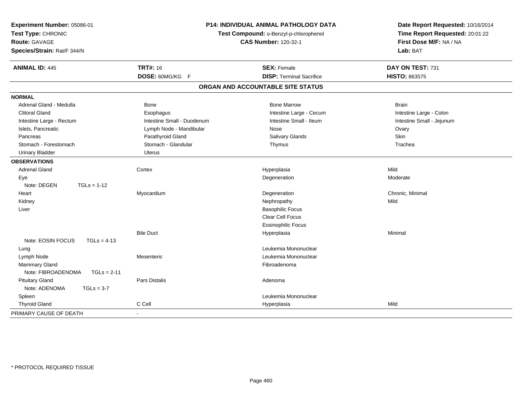| Experiment Number: 05086-01<br>Test Type: CHRONIC<br>Route: GAVAGE<br>Species/Strain: Rat/F 344/N |                            | P14: INDIVIDUAL ANIMAL PATHOLOGY DATA<br>Test Compound: o-Benzyl-p-chlorophenol<br><b>CAS Number: 120-32-1</b> | Date Report Requested: 10/16/2014<br>Time Report Requested: 20:01:22<br>First Dose M/F: NA / NA<br>Lab: BAT |  |
|---------------------------------------------------------------------------------------------------|----------------------------|----------------------------------------------------------------------------------------------------------------|-------------------------------------------------------------------------------------------------------------|--|
| <b>ANIMAL ID: 445</b>                                                                             | <b>TRT#: 16</b>            | <b>SEX: Female</b>                                                                                             | DAY ON TEST: 731                                                                                            |  |
|                                                                                                   | DOSE: 60MG/KG F            | <b>DISP: Terminal Sacrifice</b>                                                                                | <b>HISTO: 863575</b>                                                                                        |  |
|                                                                                                   |                            | ORGAN AND ACCOUNTABLE SITE STATUS                                                                              |                                                                                                             |  |
| <b>NORMAL</b>                                                                                     |                            |                                                                                                                |                                                                                                             |  |
| Adrenal Gland - Medulla                                                                           | Bone                       | <b>Bone Marrow</b>                                                                                             | <b>Brain</b>                                                                                                |  |
| <b>Clitoral Gland</b>                                                                             | Esophagus                  | Intestine Large - Cecum                                                                                        | Intestine Large - Colon                                                                                     |  |
| Intestine Large - Rectum                                                                          | Intestine Small - Duodenum | Intestine Small - Ileum                                                                                        | Intestine Small - Jejunum                                                                                   |  |
| Islets, Pancreatic                                                                                | Lymph Node - Mandibular    | Nose                                                                                                           | Ovary                                                                                                       |  |
| Pancreas                                                                                          | Parathyroid Gland          | Salivary Glands                                                                                                | Skin                                                                                                        |  |
| Stomach - Forestomach                                                                             | Stomach - Glandular        | Thymus                                                                                                         | Trachea                                                                                                     |  |
| <b>Urinary Bladder</b>                                                                            | Uterus                     |                                                                                                                |                                                                                                             |  |
| <b>OBSERVATIONS</b>                                                                               |                            |                                                                                                                |                                                                                                             |  |
| <b>Adrenal Gland</b>                                                                              | Cortex                     | Hyperplasia                                                                                                    | Mild                                                                                                        |  |
| Eye                                                                                               |                            | Degeneration                                                                                                   | Moderate                                                                                                    |  |
| Note: DEGEN<br>$TGLs = 1-12$                                                                      |                            |                                                                                                                |                                                                                                             |  |
| Heart                                                                                             | Myocardium                 | Degeneration                                                                                                   | Chronic, Minimal                                                                                            |  |
| Kidney                                                                                            |                            | Nephropathy                                                                                                    | Mild                                                                                                        |  |
| Liver                                                                                             |                            | <b>Basophilic Focus</b>                                                                                        |                                                                                                             |  |
|                                                                                                   |                            | Clear Cell Focus                                                                                               |                                                                                                             |  |
|                                                                                                   |                            | <b>Eosinophilic Focus</b>                                                                                      |                                                                                                             |  |
|                                                                                                   | <b>Bile Duct</b>           | Hyperplasia                                                                                                    | Minimal                                                                                                     |  |
| Note: EOSIN FOCUS<br>$TGLs = 4-13$                                                                |                            |                                                                                                                |                                                                                                             |  |
| Lung                                                                                              |                            | Leukemia Mononuclear                                                                                           |                                                                                                             |  |
| Lymph Node                                                                                        | Mesenteric                 | Leukemia Mononuclear                                                                                           |                                                                                                             |  |
| <b>Mammary Gland</b>                                                                              |                            | Fibroadenoma                                                                                                   |                                                                                                             |  |
| Note: FIBROADENOMA<br>$TGLs = 2-11$                                                               |                            |                                                                                                                |                                                                                                             |  |
| <b>Pituitary Gland</b>                                                                            | Pars Distalis              | Adenoma                                                                                                        |                                                                                                             |  |
| Note: ADENOMA<br>$TGLs = 3-7$                                                                     |                            |                                                                                                                |                                                                                                             |  |
| Spleen                                                                                            |                            | Leukemia Mononuclear                                                                                           |                                                                                                             |  |
| <b>Thyroid Gland</b>                                                                              | C Cell                     | Hyperplasia                                                                                                    | Mild                                                                                                        |  |
| PRIMARY CAUSE OF DEATH                                                                            | $\blacksquare$             |                                                                                                                |                                                                                                             |  |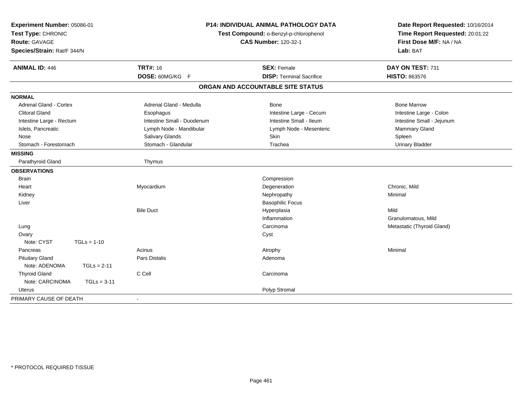| Experiment Number: 05086-01<br>Test Type: CHRONIC<br>Route: GAVAGE<br>Species/Strain: Rat/F 344/N | <b>P14: INDIVIDUAL ANIMAL PATHOLOGY DATA</b><br>Test Compound: o-Benzyl-p-chlorophenol<br><b>CAS Number: 120-32-1</b> |                                   | Date Report Requested: 10/16/2014<br>Time Report Requested: 20:01:22<br>First Dose M/F: NA / NA<br>Lab: BAT |  |
|---------------------------------------------------------------------------------------------------|-----------------------------------------------------------------------------------------------------------------------|-----------------------------------|-------------------------------------------------------------------------------------------------------------|--|
| <b>ANIMAL ID: 446</b>                                                                             | <b>TRT#: 16</b>                                                                                                       | <b>SEX: Female</b>                | DAY ON TEST: 731                                                                                            |  |
|                                                                                                   | DOSE: 60MG/KG F                                                                                                       | <b>DISP: Terminal Sacrifice</b>   | <b>HISTO: 863576</b>                                                                                        |  |
|                                                                                                   |                                                                                                                       | ORGAN AND ACCOUNTABLE SITE STATUS |                                                                                                             |  |
| <b>NORMAL</b>                                                                                     |                                                                                                                       |                                   |                                                                                                             |  |
| <b>Adrenal Gland - Cortex</b>                                                                     | Adrenal Gland - Medulla                                                                                               | Bone                              | <b>Bone Marrow</b>                                                                                          |  |
| <b>Clitoral Gland</b>                                                                             | Esophagus                                                                                                             | Intestine Large - Cecum           | Intestine Large - Colon                                                                                     |  |
| Intestine Large - Rectum                                                                          | Intestine Small - Duodenum                                                                                            | Intestine Small - Ileum           | Intestine Small - Jejunum                                                                                   |  |
| Islets, Pancreatic                                                                                | Lymph Node - Mandibular                                                                                               | Lymph Node - Mesenteric           | Mammary Gland                                                                                               |  |
| Nose                                                                                              | <b>Salivary Glands</b>                                                                                                | Skin                              | Spleen                                                                                                      |  |
| Stomach - Forestomach                                                                             | Stomach - Glandular                                                                                                   | Trachea                           | <b>Urinary Bladder</b>                                                                                      |  |
| <b>MISSING</b>                                                                                    |                                                                                                                       |                                   |                                                                                                             |  |
| Parathyroid Gland                                                                                 | Thymus                                                                                                                |                                   |                                                                                                             |  |
| <b>OBSERVATIONS</b>                                                                               |                                                                                                                       |                                   |                                                                                                             |  |
| <b>Brain</b>                                                                                      |                                                                                                                       | Compression                       |                                                                                                             |  |
| Heart                                                                                             | Myocardium                                                                                                            | Degeneration                      | Chronic, Mild                                                                                               |  |
| Kidney                                                                                            |                                                                                                                       | Nephropathy                       | Minimal                                                                                                     |  |
| Liver                                                                                             |                                                                                                                       | <b>Basophilic Focus</b>           |                                                                                                             |  |
|                                                                                                   | <b>Bile Duct</b>                                                                                                      | Hyperplasia                       | Mild                                                                                                        |  |
|                                                                                                   |                                                                                                                       | Inflammation                      | Granulomatous, Mild                                                                                         |  |
| Lung                                                                                              |                                                                                                                       | Carcinoma                         | Metastatic (Thyroid Gland)                                                                                  |  |
| Ovary                                                                                             |                                                                                                                       | Cyst                              |                                                                                                             |  |
| Note: CYST<br>$TGLs = 1-10$                                                                       |                                                                                                                       |                                   |                                                                                                             |  |
| Pancreas                                                                                          | Acinus                                                                                                                | Atrophy                           | Minimal                                                                                                     |  |
| <b>Pituitary Gland</b>                                                                            | Pars Distalis                                                                                                         | Adenoma                           |                                                                                                             |  |
| Note: ADENOMA<br>$TGLs = 2-11$                                                                    |                                                                                                                       |                                   |                                                                                                             |  |
| <b>Thyroid Gland</b>                                                                              | C Cell                                                                                                                | Carcinoma                         |                                                                                                             |  |
| Note: CARCINOMA<br>$TGLs = 3-11$                                                                  |                                                                                                                       |                                   |                                                                                                             |  |
| Uterus                                                                                            |                                                                                                                       | Polyp Stromal                     |                                                                                                             |  |
| PRIMARY CAUSE OF DEATH                                                                            | $\blacksquare$                                                                                                        |                                   |                                                                                                             |  |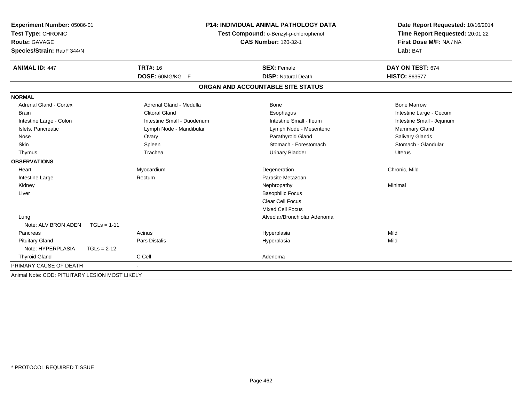| Experiment Number: 05086-01                    | <b>P14: INDIVIDUAL ANIMAL PATHOLOGY DATA</b> |                                        | Date Report Requested: 10/16/2014<br>Time Report Requested: 20:01:22 |  |
|------------------------------------------------|----------------------------------------------|----------------------------------------|----------------------------------------------------------------------|--|
| Test Type: CHRONIC                             |                                              | Test Compound: o-Benzyl-p-chlorophenol |                                                                      |  |
| <b>Route: GAVAGE</b>                           |                                              | <b>CAS Number: 120-32-1</b>            | First Dose M/F: NA / NA                                              |  |
| Species/Strain: Rat/F 344/N                    |                                              |                                        | Lab: BAT                                                             |  |
| <b>ANIMAL ID: 447</b>                          | <b>TRT#: 16</b>                              | <b>SEX: Female</b>                     | DAY ON TEST: 674                                                     |  |
|                                                | DOSE: 60MG/KG F                              | <b>DISP: Natural Death</b>             | <b>HISTO: 863577</b>                                                 |  |
|                                                |                                              | ORGAN AND ACCOUNTABLE SITE STATUS      |                                                                      |  |
| <b>NORMAL</b>                                  |                                              |                                        |                                                                      |  |
| <b>Adrenal Gland - Cortex</b>                  | Adrenal Gland - Medulla                      | <b>Bone</b>                            | <b>Bone Marrow</b>                                                   |  |
| <b>Brain</b>                                   | <b>Clitoral Gland</b>                        | Esophagus                              | Intestine Large - Cecum                                              |  |
| Intestine Large - Colon                        | Intestine Small - Duodenum                   | Intestine Small - Ileum                | Intestine Small - Jejunum                                            |  |
| Islets, Pancreatic                             | Lymph Node - Mandibular                      | Lymph Node - Mesenteric                | Mammary Gland                                                        |  |
| Nose                                           | Ovary                                        | Parathyroid Gland                      | Salivary Glands                                                      |  |
| <b>Skin</b>                                    | Spleen                                       | Stomach - Forestomach                  | Stomach - Glandular                                                  |  |
| Thymus                                         | Trachea                                      | <b>Urinary Bladder</b>                 | Uterus                                                               |  |
| <b>OBSERVATIONS</b>                            |                                              |                                        |                                                                      |  |
| Heart                                          | Myocardium                                   | Degeneration                           | Chronic, Mild                                                        |  |
| Intestine Large                                | Rectum                                       | Parasite Metazoan                      |                                                                      |  |
| Kidney                                         |                                              | Nephropathy                            | Minimal                                                              |  |
| Liver                                          |                                              | <b>Basophilic Focus</b>                |                                                                      |  |
|                                                |                                              | <b>Clear Cell Focus</b>                |                                                                      |  |
|                                                |                                              | <b>Mixed Cell Focus</b>                |                                                                      |  |
| Lung                                           |                                              | Alveolar/Bronchiolar Adenoma           |                                                                      |  |
| Note: ALV BRON ADEN<br>$TGLs = 1-11$           |                                              |                                        |                                                                      |  |
| Pancreas                                       | Acinus                                       | Hyperplasia                            | Mild                                                                 |  |
| <b>Pituitary Gland</b>                         | Pars Distalis                                | Hyperplasia                            | Mild                                                                 |  |
| Note: HYPERPLASIA<br>$TGLs = 2-12$             |                                              |                                        |                                                                      |  |
| <b>Thyroid Gland</b>                           | C Cell                                       | Adenoma                                |                                                                      |  |
| PRIMARY CAUSE OF DEATH                         |                                              |                                        |                                                                      |  |
| Animal Note: COD: PITUITARY LESION MOST LIKELY |                                              |                                        |                                                                      |  |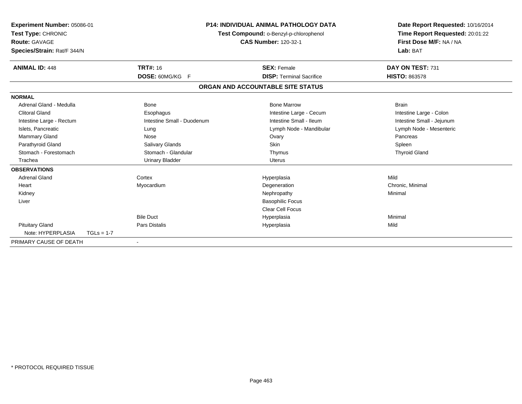| Experiment Number: 05086-01<br>Test Type: CHRONIC<br><b>Route: GAVAGE</b><br>Species/Strain: Rat/F 344/N |              | <b>P14: INDIVIDUAL ANIMAL PATHOLOGY DATA</b><br>Test Compound: o-Benzyl-p-chlorophenol<br><b>CAS Number: 120-32-1</b> |  | Date Report Requested: 10/16/2014<br>Time Report Requested: 20:01:22<br>First Dose M/F: NA / NA<br>Lab: BAT |                           |
|----------------------------------------------------------------------------------------------------------|--------------|-----------------------------------------------------------------------------------------------------------------------|--|-------------------------------------------------------------------------------------------------------------|---------------------------|
| <b>ANIMAL ID: 448</b>                                                                                    |              | <b>TRT#: 16</b>                                                                                                       |  | <b>SEX: Female</b>                                                                                          | DAY ON TEST: 731          |
|                                                                                                          |              | <b>DOSE: 60MG/KG F</b>                                                                                                |  | <b>DISP: Terminal Sacrifice</b>                                                                             | <b>HISTO: 863578</b>      |
|                                                                                                          |              |                                                                                                                       |  | ORGAN AND ACCOUNTABLE SITE STATUS                                                                           |                           |
| <b>NORMAL</b>                                                                                            |              |                                                                                                                       |  |                                                                                                             |                           |
| Adrenal Gland - Medulla                                                                                  |              | <b>Bone</b>                                                                                                           |  | <b>Bone Marrow</b>                                                                                          | <b>Brain</b>              |
| <b>Clitoral Gland</b>                                                                                    |              | Esophagus                                                                                                             |  | Intestine Large - Cecum                                                                                     | Intestine Large - Colon   |
| Intestine Large - Rectum                                                                                 |              | Intestine Small - Duodenum                                                                                            |  | Intestine Small - Ileum                                                                                     | Intestine Small - Jejunum |
| Islets, Pancreatic                                                                                       |              | Lung                                                                                                                  |  | Lymph Node - Mandibular                                                                                     | Lymph Node - Mesenteric   |
| <b>Mammary Gland</b>                                                                                     |              | Nose                                                                                                                  |  | Ovary                                                                                                       | Pancreas                  |
| Parathyroid Gland                                                                                        |              | Salivary Glands                                                                                                       |  | <b>Skin</b>                                                                                                 | Spleen                    |
| Stomach - Forestomach                                                                                    |              | Stomach - Glandular                                                                                                   |  | Thymus                                                                                                      | <b>Thyroid Gland</b>      |
| Trachea                                                                                                  |              | <b>Urinary Bladder</b>                                                                                                |  | <b>Uterus</b>                                                                                               |                           |
| <b>OBSERVATIONS</b>                                                                                      |              |                                                                                                                       |  |                                                                                                             |                           |
| <b>Adrenal Gland</b>                                                                                     |              | Cortex                                                                                                                |  | Hyperplasia                                                                                                 | Mild                      |
| Heart                                                                                                    |              | Myocardium                                                                                                            |  | Degeneration                                                                                                | Chronic, Minimal          |
| Kidney                                                                                                   |              |                                                                                                                       |  | Nephropathy                                                                                                 | Minimal                   |
| Liver                                                                                                    |              |                                                                                                                       |  | <b>Basophilic Focus</b>                                                                                     |                           |
|                                                                                                          |              |                                                                                                                       |  | <b>Clear Cell Focus</b>                                                                                     |                           |
|                                                                                                          |              | <b>Bile Duct</b>                                                                                                      |  | Hyperplasia                                                                                                 | Minimal                   |
| <b>Pituitary Gland</b>                                                                                   |              | Pars Distalis                                                                                                         |  | Hyperplasia                                                                                                 | Mild                      |
| Note: HYPERPLASIA                                                                                        | $TGLs = 1-7$ |                                                                                                                       |  |                                                                                                             |                           |
| PRIMARY CAUSE OF DEATH                                                                                   |              | $\blacksquare$                                                                                                        |  |                                                                                                             |                           |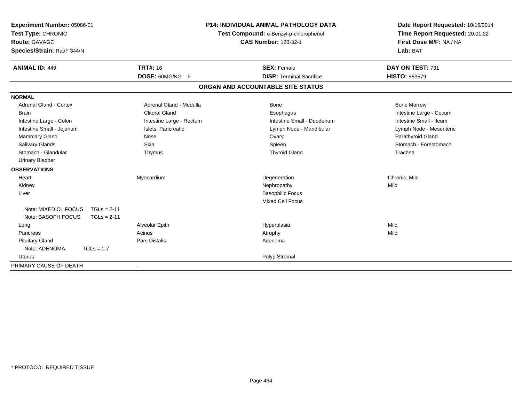| Experiment Number: 05086-01<br>Test Type: CHRONIC<br><b>Route: GAVAGE</b><br>Species/Strain: Rat/F 344/N<br><b>ANIMAL ID: 449</b> | <b>TRT#: 16</b>          | <b>P14: INDIVIDUAL ANIMAL PATHOLOGY DATA</b><br>Test Compound: o-Benzyl-p-chlorophenol<br><b>CAS Number: 120-32-1</b><br><b>SEX: Female</b> | Date Report Requested: 10/16/2014<br>Time Report Requested: 20:01:22<br>First Dose M/F: NA / NA<br>Lab: BAT<br>DAY ON TEST: 731 |
|-----------------------------------------------------------------------------------------------------------------------------------|--------------------------|---------------------------------------------------------------------------------------------------------------------------------------------|---------------------------------------------------------------------------------------------------------------------------------|
|                                                                                                                                   | DOSE: 60MG/KG F          | <b>DISP: Terminal Sacrifice</b>                                                                                                             | HISTO: 863579                                                                                                                   |
|                                                                                                                                   |                          | ORGAN AND ACCOUNTABLE SITE STATUS                                                                                                           |                                                                                                                                 |
| <b>NORMAL</b>                                                                                                                     |                          |                                                                                                                                             |                                                                                                                                 |
| <b>Adrenal Gland - Cortex</b>                                                                                                     | Adrenal Gland - Medulla  | Bone                                                                                                                                        | <b>Bone Marrow</b>                                                                                                              |
| Brain                                                                                                                             | <b>Clitoral Gland</b>    | Esophagus                                                                                                                                   | Intestine Large - Cecum                                                                                                         |
| Intestine Large - Colon                                                                                                           | Intestine Large - Rectum | Intestine Small - Duodenum                                                                                                                  | Intestine Small - Ileum                                                                                                         |
| Intestine Small - Jejunum                                                                                                         | Islets, Pancreatic       | Lymph Node - Mandibular                                                                                                                     | Lymph Node - Mesenteric                                                                                                         |
| Mammary Gland                                                                                                                     | Nose                     | Ovary                                                                                                                                       | Parathyroid Gland                                                                                                               |
| <b>Salivary Glands</b>                                                                                                            | <b>Skin</b>              | Spleen                                                                                                                                      | Stomach - Forestomach                                                                                                           |
| Stomach - Glandular                                                                                                               | Thymus                   | <b>Thyroid Gland</b>                                                                                                                        | Trachea                                                                                                                         |
| <b>Urinary Bladder</b>                                                                                                            |                          |                                                                                                                                             |                                                                                                                                 |
| <b>OBSERVATIONS</b>                                                                                                               |                          |                                                                                                                                             |                                                                                                                                 |
| Heart                                                                                                                             | Myocardium               | Degeneration                                                                                                                                | Chronic, Mild                                                                                                                   |
| Kidney                                                                                                                            |                          | Nephropathy                                                                                                                                 | Mild                                                                                                                            |
| Liver                                                                                                                             |                          | <b>Basophilic Focus</b>                                                                                                                     |                                                                                                                                 |
|                                                                                                                                   |                          | <b>Mixed Cell Focus</b>                                                                                                                     |                                                                                                                                 |
| Note: MIXED CL FOCUS<br>$TGLs = 2-11$                                                                                             |                          |                                                                                                                                             |                                                                                                                                 |
| Note: BASOPH FOCUS<br>$TGLs = 2-11$                                                                                               |                          |                                                                                                                                             |                                                                                                                                 |
| Lung                                                                                                                              | Alveolar Epith           | Hyperplasia                                                                                                                                 | Mild                                                                                                                            |
| Pancreas                                                                                                                          | Acinus                   | Atrophy                                                                                                                                     | Mild                                                                                                                            |
| <b>Pituitary Gland</b>                                                                                                            | Pars Distalis            | Adenoma                                                                                                                                     |                                                                                                                                 |
| Note: ADENOMA<br>$TGLs = 1-7$                                                                                                     |                          |                                                                                                                                             |                                                                                                                                 |
| Uterus                                                                                                                            |                          | Polyp Stromal                                                                                                                               |                                                                                                                                 |
| PRIMARY CAUSE OF DEATH                                                                                                            |                          |                                                                                                                                             |                                                                                                                                 |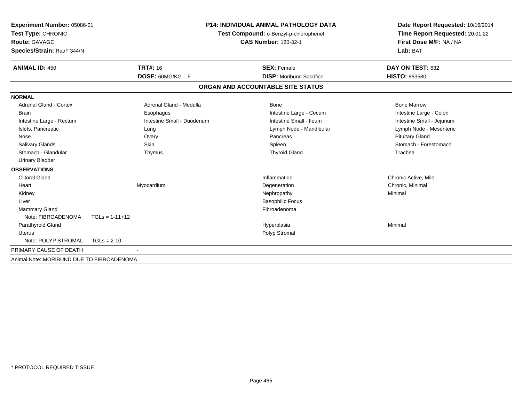| Experiment Number: 05086-01<br>Test Type: CHRONIC<br><b>Route: GAVAGE</b> |                            | <b>P14: INDIVIDUAL ANIMAL PATHOLOGY DATA</b><br>Test Compound: o-Benzyl-p-chlorophenol<br><b>CAS Number: 120-32-1</b> | Date Report Requested: 10/16/2014<br>Time Report Requested: 20:01:22<br>First Dose M/F: NA / NA |
|---------------------------------------------------------------------------|----------------------------|-----------------------------------------------------------------------------------------------------------------------|-------------------------------------------------------------------------------------------------|
| Species/Strain: Rat/F 344/N                                               |                            |                                                                                                                       | Lab: BAT                                                                                        |
| <b>ANIMAL ID: 450</b>                                                     | <b>TRT#: 16</b>            | <b>SEX: Female</b>                                                                                                    | DAY ON TEST: 632                                                                                |
|                                                                           | DOSE: 60MG/KG F            | <b>DISP:</b> Moribund Sacrifice                                                                                       | <b>HISTO: 863580</b>                                                                            |
|                                                                           |                            | ORGAN AND ACCOUNTABLE SITE STATUS                                                                                     |                                                                                                 |
| <b>NORMAL</b>                                                             |                            |                                                                                                                       |                                                                                                 |
| <b>Adrenal Gland - Cortex</b>                                             | Adrenal Gland - Medulla    | <b>Bone</b>                                                                                                           | <b>Bone Marrow</b>                                                                              |
| <b>Brain</b>                                                              | Esophagus                  | Intestine Large - Cecum                                                                                               | Intestine Large - Colon                                                                         |
| Intestine Large - Rectum                                                  | Intestine Small - Duodenum | Intestine Small - Ileum                                                                                               | Intestine Small - Jejunum                                                                       |
| Islets, Pancreatic                                                        | Lung                       | Lymph Node - Mandibular                                                                                               | Lymph Node - Mesenteric                                                                         |
| Nose                                                                      | Ovary                      | Pancreas                                                                                                              | <b>Pituitary Gland</b>                                                                          |
| <b>Salivary Glands</b>                                                    | Skin                       | Spleen                                                                                                                | Stomach - Forestomach                                                                           |
| Stomach - Glandular                                                       | Thymus                     | <b>Thyroid Gland</b>                                                                                                  | Trachea                                                                                         |
| <b>Urinary Bladder</b>                                                    |                            |                                                                                                                       |                                                                                                 |
| <b>OBSERVATIONS</b>                                                       |                            |                                                                                                                       |                                                                                                 |
| <b>Clitoral Gland</b>                                                     |                            | Inflammation                                                                                                          | Chronic Active, Mild                                                                            |
| Heart                                                                     | Myocardium                 | Degeneration                                                                                                          | Chronic, Minimal                                                                                |
| Kidney                                                                    |                            | Nephropathy                                                                                                           | Minimal                                                                                         |
| Liver                                                                     |                            | <b>Basophilic Focus</b>                                                                                               |                                                                                                 |
| Mammary Gland                                                             |                            | Fibroadenoma                                                                                                          |                                                                                                 |
| Note: FIBROADENOMA                                                        | $TGLs = 1-11+12$           |                                                                                                                       |                                                                                                 |
| Parathyroid Gland                                                         |                            | Hyperplasia                                                                                                           | Minimal                                                                                         |
| <b>Uterus</b>                                                             |                            | Polyp Stromal                                                                                                         |                                                                                                 |
| Note: POLYP STROMAL                                                       | $TGLs = 2-10$              |                                                                                                                       |                                                                                                 |
| PRIMARY CAUSE OF DEATH                                                    |                            |                                                                                                                       |                                                                                                 |
| Animal Note: MORIBUND DUE TO FIBROADENOMA                                 |                            |                                                                                                                       |                                                                                                 |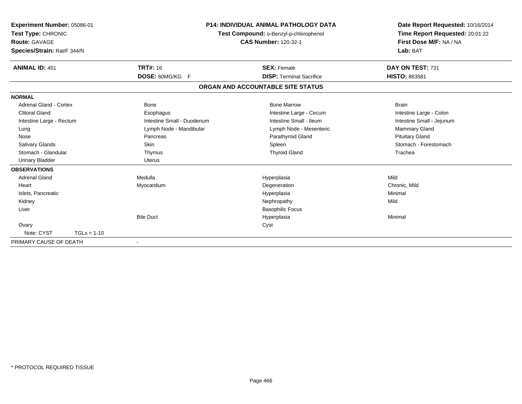| Experiment Number: 05086-01<br>Test Type: CHRONIC<br>Route: GAVAGE<br>Species/Strain: Rat/F 344/N | <b>P14: INDIVIDUAL ANIMAL PATHOLOGY DATA</b><br>Test Compound: o-Benzyl-p-chlorophenol<br><b>CAS Number: 120-32-1</b> |                                   | Date Report Requested: 10/16/2014<br>Time Report Requested: 20:01:22<br>First Dose M/F: NA / NA<br>Lab: BAT |  |
|---------------------------------------------------------------------------------------------------|-----------------------------------------------------------------------------------------------------------------------|-----------------------------------|-------------------------------------------------------------------------------------------------------------|--|
| <b>ANIMAL ID: 451</b>                                                                             | <b>TRT#: 16</b>                                                                                                       | <b>SEX: Female</b>                | DAY ON TEST: 731                                                                                            |  |
|                                                                                                   | DOSE: 60MG/KG F                                                                                                       | <b>DISP: Terminal Sacrifice</b>   | <b>HISTO: 863581</b>                                                                                        |  |
|                                                                                                   |                                                                                                                       | ORGAN AND ACCOUNTABLE SITE STATUS |                                                                                                             |  |
| <b>NORMAL</b>                                                                                     |                                                                                                                       |                                   |                                                                                                             |  |
| Adrenal Gland - Cortex                                                                            | <b>Bone</b>                                                                                                           | <b>Bone Marrow</b>                | <b>Brain</b>                                                                                                |  |
| <b>Clitoral Gland</b>                                                                             | Esophagus                                                                                                             | Intestine Large - Cecum           | Intestine Large - Colon                                                                                     |  |
| Intestine Large - Rectum                                                                          | Intestine Small - Duodenum                                                                                            | Intestine Small - Ileum           | Intestine Small - Jejunum                                                                                   |  |
| Lung                                                                                              | Lymph Node - Mandibular                                                                                               | Lymph Node - Mesenteric           | <b>Mammary Gland</b>                                                                                        |  |
| Nose                                                                                              | Pancreas                                                                                                              | Parathyroid Gland                 | <b>Pituitary Gland</b>                                                                                      |  |
| Salivary Glands                                                                                   | Skin                                                                                                                  | Spleen                            | Stomach - Forestomach                                                                                       |  |
| Stomach - Glandular                                                                               | Thymus                                                                                                                | <b>Thyroid Gland</b>              | Trachea                                                                                                     |  |
| <b>Urinary Bladder</b>                                                                            | <b>Uterus</b>                                                                                                         |                                   |                                                                                                             |  |
| <b>OBSERVATIONS</b>                                                                               |                                                                                                                       |                                   |                                                                                                             |  |
| <b>Adrenal Gland</b>                                                                              | Medulla                                                                                                               | Hyperplasia                       | Mild                                                                                                        |  |
| Heart                                                                                             | Myocardium                                                                                                            | Degeneration                      | Chronic, Mild                                                                                               |  |
| Islets, Pancreatic                                                                                |                                                                                                                       | Hyperplasia                       | Minimal                                                                                                     |  |
| Kidney                                                                                            |                                                                                                                       | Nephropathy                       | Mild                                                                                                        |  |
| Liver                                                                                             |                                                                                                                       | <b>Basophilic Focus</b>           |                                                                                                             |  |
|                                                                                                   | <b>Bile Duct</b>                                                                                                      | Hyperplasia                       | Minimal                                                                                                     |  |
| Ovary                                                                                             |                                                                                                                       | Cyst                              |                                                                                                             |  |
| Note: CYST<br>$TGLs = 1-10$                                                                       |                                                                                                                       |                                   |                                                                                                             |  |
| PRIMARY CAUSE OF DEATH                                                                            | $\blacksquare$                                                                                                        |                                   |                                                                                                             |  |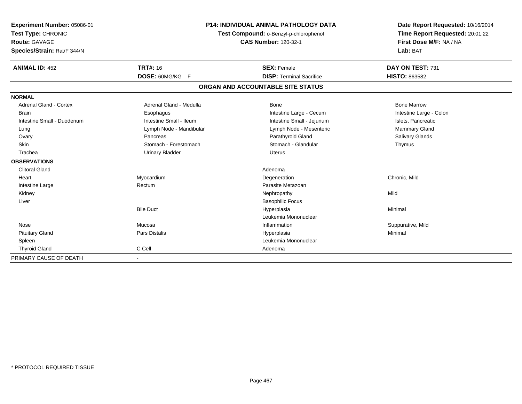| Experiment Number: 05086-01<br>Test Type: CHRONIC<br>Route: GAVAGE<br>Species/Strain: Rat/F 344/N |                         | <b>P14: INDIVIDUAL ANIMAL PATHOLOGY DATA</b><br>Test Compound: o-Benzyl-p-chlorophenol<br><b>CAS Number: 120-32-1</b> | Date Report Requested: 10/16/2014<br>Time Report Requested: 20:01:22<br>First Dose M/F: NA / NA<br>Lab: BAT |
|---------------------------------------------------------------------------------------------------|-------------------------|-----------------------------------------------------------------------------------------------------------------------|-------------------------------------------------------------------------------------------------------------|
| <b>ANIMAL ID: 452</b>                                                                             | <b>TRT#: 16</b>         | <b>SEX: Female</b>                                                                                                    | DAY ON TEST: 731                                                                                            |
|                                                                                                   | DOSE: 60MG/KG F         | <b>DISP: Terminal Sacrifice</b>                                                                                       | <b>HISTO: 863582</b>                                                                                        |
|                                                                                                   |                         | ORGAN AND ACCOUNTABLE SITE STATUS                                                                                     |                                                                                                             |
| <b>NORMAL</b>                                                                                     |                         |                                                                                                                       |                                                                                                             |
| <b>Adrenal Gland - Cortex</b>                                                                     | Adrenal Gland - Medulla | Bone                                                                                                                  | <b>Bone Marrow</b>                                                                                          |
| <b>Brain</b>                                                                                      | Esophagus               | Intestine Large - Cecum                                                                                               | Intestine Large - Colon                                                                                     |
| Intestine Small - Duodenum                                                                        | Intestine Small - Ileum | Intestine Small - Jejunum                                                                                             | Islets, Pancreatic                                                                                          |
| Lung                                                                                              | Lymph Node - Mandibular | Lymph Node - Mesenteric                                                                                               | Mammary Gland                                                                                               |
| Ovary                                                                                             | Pancreas                | Parathyroid Gland                                                                                                     | <b>Salivary Glands</b>                                                                                      |
| <b>Skin</b>                                                                                       | Stomach - Forestomach   | Stomach - Glandular                                                                                                   | Thymus                                                                                                      |
| Trachea                                                                                           | <b>Urinary Bladder</b>  | Uterus                                                                                                                |                                                                                                             |
| <b>OBSERVATIONS</b>                                                                               |                         |                                                                                                                       |                                                                                                             |
| <b>Clitoral Gland</b>                                                                             |                         | Adenoma                                                                                                               |                                                                                                             |
| Heart                                                                                             | Myocardium              | Degeneration                                                                                                          | Chronic, Mild                                                                                               |
| Intestine Large                                                                                   | Rectum                  | Parasite Metazoan                                                                                                     |                                                                                                             |
| Kidney                                                                                            |                         | Nephropathy                                                                                                           | Mild                                                                                                        |
| Liver                                                                                             |                         | <b>Basophilic Focus</b>                                                                                               |                                                                                                             |
|                                                                                                   | <b>Bile Duct</b>        | Hyperplasia                                                                                                           | Minimal                                                                                                     |
|                                                                                                   |                         | Leukemia Mononuclear                                                                                                  |                                                                                                             |
| Nose                                                                                              | Mucosa                  | Inflammation                                                                                                          | Suppurative, Mild                                                                                           |
| <b>Pituitary Gland</b>                                                                            | Pars Distalis           | Hyperplasia                                                                                                           | Minimal                                                                                                     |
| Spleen                                                                                            |                         | Leukemia Mononuclear                                                                                                  |                                                                                                             |
| <b>Thyroid Gland</b>                                                                              | C Cell                  | Adenoma                                                                                                               |                                                                                                             |
| PRIMARY CAUSE OF DEATH                                                                            |                         |                                                                                                                       |                                                                                                             |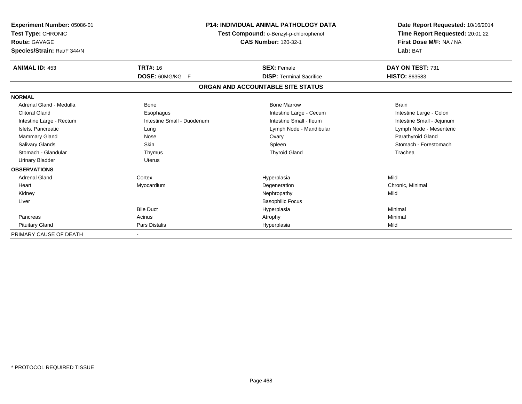| Experiment Number: 05086-01<br>Test Type: CHRONIC<br>Route: GAVAGE<br>Species/Strain: Rat/F 344/N | <b>P14: INDIVIDUAL ANIMAL PATHOLOGY DATA</b><br>Test Compound: o-Benzyl-p-chlorophenol<br><b>CAS Number: 120-32-1</b> |                                   | Date Report Requested: 10/16/2014<br>Time Report Requested: 20:01:22<br>First Dose M/F: NA / NA<br>Lab: BAT |  |
|---------------------------------------------------------------------------------------------------|-----------------------------------------------------------------------------------------------------------------------|-----------------------------------|-------------------------------------------------------------------------------------------------------------|--|
| <b>ANIMAL ID: 453</b>                                                                             | <b>TRT#: 16</b>                                                                                                       | <b>SEX: Female</b>                | DAY ON TEST: 731                                                                                            |  |
|                                                                                                   | DOSE: 60MG/KG F                                                                                                       | <b>DISP: Terminal Sacrifice</b>   | <b>HISTO: 863583</b>                                                                                        |  |
|                                                                                                   |                                                                                                                       | ORGAN AND ACCOUNTABLE SITE STATUS |                                                                                                             |  |
| <b>NORMAL</b>                                                                                     |                                                                                                                       |                                   |                                                                                                             |  |
| Adrenal Gland - Medulla                                                                           | <b>Bone</b>                                                                                                           | <b>Bone Marrow</b>                | <b>Brain</b>                                                                                                |  |
| <b>Clitoral Gland</b>                                                                             | Esophagus                                                                                                             | Intestine Large - Cecum           | Intestine Large - Colon                                                                                     |  |
| Intestine Large - Rectum                                                                          | Intestine Small - Duodenum                                                                                            | Intestine Small - Ileum           | Intestine Small - Jejunum                                                                                   |  |
| Islets, Pancreatic                                                                                | Lung                                                                                                                  | Lymph Node - Mandibular           | Lymph Node - Mesenteric                                                                                     |  |
| Mammary Gland                                                                                     | Nose                                                                                                                  | Ovary                             | Parathyroid Gland                                                                                           |  |
| <b>Salivary Glands</b>                                                                            | Skin                                                                                                                  | Spleen                            | Stomach - Forestomach                                                                                       |  |
| Stomach - Glandular                                                                               | Thymus                                                                                                                | <b>Thyroid Gland</b>              | Trachea                                                                                                     |  |
| <b>Urinary Bladder</b>                                                                            | <b>Uterus</b>                                                                                                         |                                   |                                                                                                             |  |
| <b>OBSERVATIONS</b>                                                                               |                                                                                                                       |                                   |                                                                                                             |  |
| <b>Adrenal Gland</b>                                                                              | Cortex                                                                                                                | Hyperplasia                       | Mild                                                                                                        |  |
| Heart                                                                                             | Myocardium                                                                                                            | Degeneration                      | Chronic, Minimal                                                                                            |  |
| Kidney                                                                                            |                                                                                                                       | Nephropathy                       | Mild                                                                                                        |  |
| Liver                                                                                             |                                                                                                                       | <b>Basophilic Focus</b>           |                                                                                                             |  |
|                                                                                                   | <b>Bile Duct</b>                                                                                                      | Hyperplasia                       | Minimal                                                                                                     |  |
| Pancreas                                                                                          | Acinus                                                                                                                | Atrophy                           | Minimal                                                                                                     |  |
| <b>Pituitary Gland</b>                                                                            | <b>Pars Distalis</b>                                                                                                  | Hyperplasia                       | Mild                                                                                                        |  |
| PRIMARY CAUSE OF DEATH                                                                            |                                                                                                                       |                                   |                                                                                                             |  |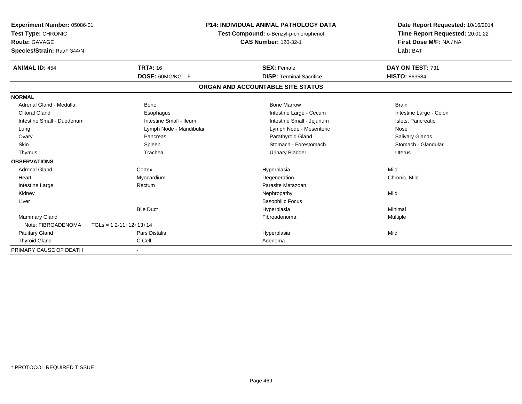| <b>Experiment Number: 05086-01</b><br>Test Type: CHRONIC<br><b>Route: GAVAGE</b><br>Species/Strain: Rat/F 344/N |                                  | <b>P14: INDIVIDUAL ANIMAL PATHOLOGY DATA</b><br>Test Compound: o-Benzyl-p-chlorophenol<br><b>CAS Number: 120-32-1</b> | Date Report Requested: 10/16/2014<br>Time Report Requested: 20:01:22<br>First Dose M/F: NA / NA<br>Lab: BAT |
|-----------------------------------------------------------------------------------------------------------------|----------------------------------|-----------------------------------------------------------------------------------------------------------------------|-------------------------------------------------------------------------------------------------------------|
| <b>ANIMAL ID: 454</b>                                                                                           | <b>TRT#: 16</b>                  | <b>SEX: Female</b>                                                                                                    | DAY ON TEST: 731                                                                                            |
|                                                                                                                 | DOSE: 60MG/KG F                  | <b>DISP: Terminal Sacrifice</b>                                                                                       | <b>HISTO: 863584</b>                                                                                        |
|                                                                                                                 |                                  | ORGAN AND ACCOUNTABLE SITE STATUS                                                                                     |                                                                                                             |
| <b>NORMAL</b>                                                                                                   |                                  |                                                                                                                       |                                                                                                             |
| Adrenal Gland - Medulla                                                                                         | <b>Bone</b>                      | <b>Bone Marrow</b>                                                                                                    | <b>Brain</b>                                                                                                |
| <b>Clitoral Gland</b>                                                                                           | Esophagus                        | Intestine Large - Cecum                                                                                               | Intestine Large - Colon                                                                                     |
| Intestine Small - Duodenum                                                                                      | Intestine Small - Ileum          | Intestine Small - Jejunum                                                                                             | Islets, Pancreatic                                                                                          |
| Lung                                                                                                            | Lymph Node - Mandibular          | Lymph Node - Mesenteric                                                                                               | Nose                                                                                                        |
| Ovary                                                                                                           | Pancreas                         | Parathyroid Gland                                                                                                     | Salivary Glands                                                                                             |
| Skin                                                                                                            | Spleen                           | Stomach - Forestomach                                                                                                 | Stomach - Glandular                                                                                         |
| Thymus                                                                                                          | Trachea                          | Urinary Bladder                                                                                                       | Uterus                                                                                                      |
| <b>OBSERVATIONS</b>                                                                                             |                                  |                                                                                                                       |                                                                                                             |
| <b>Adrenal Gland</b>                                                                                            | Cortex                           | Hyperplasia                                                                                                           | Mild                                                                                                        |
| Heart                                                                                                           | Myocardium                       | Degeneration                                                                                                          | Chronic, Mild                                                                                               |
| Intestine Large                                                                                                 | Rectum                           | Parasite Metazoan                                                                                                     |                                                                                                             |
| Kidney                                                                                                          |                                  | Nephropathy                                                                                                           | Mild                                                                                                        |
| Liver                                                                                                           |                                  | <b>Basophilic Focus</b>                                                                                               |                                                                                                             |
|                                                                                                                 | <b>Bile Duct</b>                 | Hyperplasia                                                                                                           | Minimal                                                                                                     |
| <b>Mammary Gland</b>                                                                                            |                                  | Fibroadenoma                                                                                                          | Multiple                                                                                                    |
| Note: FIBROADENOMA                                                                                              | $TGLs = 1.2 - 11 + 12 + 13 + 14$ |                                                                                                                       |                                                                                                             |
| <b>Pituitary Gland</b>                                                                                          | <b>Pars Distalis</b>             | Hyperplasia                                                                                                           | Mild                                                                                                        |
| <b>Thyroid Gland</b>                                                                                            | C Cell                           | Adenoma                                                                                                               |                                                                                                             |
| PRIMARY CAUSE OF DEATH                                                                                          |                                  |                                                                                                                       |                                                                                                             |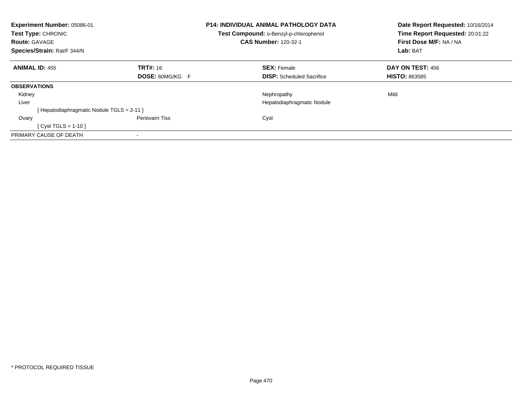| Experiment Number: 05086-01<br>Test Type: CHRONIC<br><b>Route: GAVAGE</b> |                        | <b>P14: INDIVIDUAL ANIMAL PATHOLOGY DATA</b><br>Test Compound: o-Benzyl-p-chlorophenol<br><b>CAS Number: 120-32-1</b> | Date Report Requested: 10/16/2014<br>Time Report Requested: 20:01:22<br>First Dose M/F: NA / NA |
|---------------------------------------------------------------------------|------------------------|-----------------------------------------------------------------------------------------------------------------------|-------------------------------------------------------------------------------------------------|
| Species/Strain: Rat/F 344/N                                               |                        |                                                                                                                       | Lab: BAT                                                                                        |
| <b>ANIMAL ID: 455</b>                                                     | <b>TRT#:</b> 16        | <b>SEX: Female</b>                                                                                                    | DAY ON TEST: 456                                                                                |
|                                                                           | <b>DOSE: 60MG/KG F</b> | <b>DISP:</b> Scheduled Sacrifice                                                                                      | <b>HISTO: 863585</b>                                                                            |
| <b>OBSERVATIONS</b>                                                       |                        |                                                                                                                       |                                                                                                 |
| Kidney                                                                    |                        | Nephropathy                                                                                                           | Mild                                                                                            |
| Liver                                                                     |                        | Hepatodiaphragmatic Nodule                                                                                            |                                                                                                 |
| [Hepatodiaphragmatic Nodule TGLS = 2-11 ]                                 |                        |                                                                                                                       |                                                                                                 |
| Ovary                                                                     | Periovarn Tiss         | Cyst                                                                                                                  |                                                                                                 |
| $Cyst TGLS = 1-10$                                                        |                        |                                                                                                                       |                                                                                                 |
| PRIMARY CAUSE OF DEATH                                                    |                        |                                                                                                                       |                                                                                                 |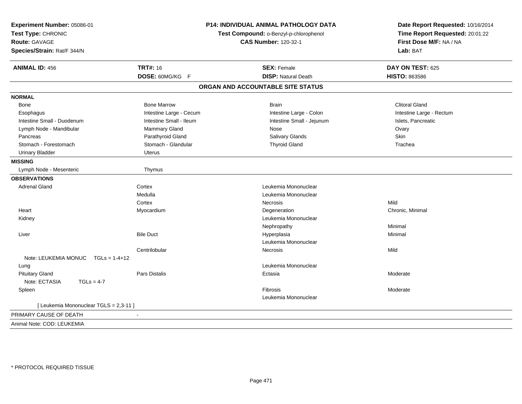| Experiment Number: 05086-01<br>Test Type: CHRONIC<br><b>Route: GAVAGE</b><br>Species/Strain: Rat/F 344/N |                         | P14: INDIVIDUAL ANIMAL PATHOLOGY DATA<br>Test Compound: o-Benzyl-p-chlorophenol<br><b>CAS Number: 120-32-1</b> | Date Report Requested: 10/16/2014<br>Time Report Requested: 20:01:22<br>First Dose M/F: NA / NA<br>Lab: BAT |
|----------------------------------------------------------------------------------------------------------|-------------------------|----------------------------------------------------------------------------------------------------------------|-------------------------------------------------------------------------------------------------------------|
| <b>ANIMAL ID: 456</b>                                                                                    | <b>TRT#: 16</b>         | <b>SEX: Female</b>                                                                                             | DAY ON TEST: 625                                                                                            |
|                                                                                                          | DOSE: 60MG/KG F         | <b>DISP: Natural Death</b>                                                                                     | <b>HISTO: 863586</b>                                                                                        |
|                                                                                                          |                         | ORGAN AND ACCOUNTABLE SITE STATUS                                                                              |                                                                                                             |
| <b>NORMAL</b>                                                                                            |                         |                                                                                                                |                                                                                                             |
| Bone                                                                                                     | <b>Bone Marrow</b>      | <b>Brain</b>                                                                                                   | <b>Clitoral Gland</b>                                                                                       |
| Esophagus                                                                                                | Intestine Large - Cecum | Intestine Large - Colon                                                                                        | Intestine Large - Rectum                                                                                    |
| Intestine Small - Duodenum                                                                               | Intestine Small - Ileum | Intestine Small - Jejunum                                                                                      | Islets, Pancreatic                                                                                          |
| Lymph Node - Mandibular                                                                                  | Mammary Gland           | Nose                                                                                                           | Ovary                                                                                                       |
| Pancreas                                                                                                 | Parathyroid Gland       | Salivary Glands                                                                                                | Skin                                                                                                        |
| Stomach - Forestomach                                                                                    | Stomach - Glandular     | <b>Thyroid Gland</b>                                                                                           | Trachea                                                                                                     |
| <b>Urinary Bladder</b>                                                                                   | <b>Uterus</b>           |                                                                                                                |                                                                                                             |
| <b>MISSING</b>                                                                                           |                         |                                                                                                                |                                                                                                             |
| Lymph Node - Mesenteric                                                                                  | Thymus                  |                                                                                                                |                                                                                                             |
| <b>OBSERVATIONS</b>                                                                                      |                         |                                                                                                                |                                                                                                             |
| <b>Adrenal Gland</b>                                                                                     | Cortex                  | Leukemia Mononuclear                                                                                           |                                                                                                             |
|                                                                                                          | Medulla                 | Leukemia Mononuclear                                                                                           |                                                                                                             |
|                                                                                                          | Cortex                  | Necrosis                                                                                                       | Mild                                                                                                        |
| Heart                                                                                                    | Myocardium              | Degeneration                                                                                                   | Chronic, Minimal                                                                                            |
| Kidney                                                                                                   |                         | Leukemia Mononuclear                                                                                           |                                                                                                             |
|                                                                                                          |                         | Nephropathy                                                                                                    | Minimal                                                                                                     |
| Liver                                                                                                    | <b>Bile Duct</b>        | Hyperplasia                                                                                                    | Minimal                                                                                                     |
|                                                                                                          |                         | Leukemia Mononuclear                                                                                           |                                                                                                             |
|                                                                                                          | Centrilobular           | Necrosis                                                                                                       | Mild                                                                                                        |
| Note: LEUKEMIA MONUC<br>$TGLs = 1-4+12$                                                                  |                         |                                                                                                                |                                                                                                             |
| Lung                                                                                                     |                         | Leukemia Mononuclear                                                                                           |                                                                                                             |
| <b>Pituitary Gland</b>                                                                                   | Pars Distalis           | Ectasia                                                                                                        | Moderate                                                                                                    |
| Note: ECTASIA<br>$TGLs = 4-7$                                                                            |                         |                                                                                                                |                                                                                                             |
| Spleen                                                                                                   |                         | Fibrosis                                                                                                       | Moderate                                                                                                    |
|                                                                                                          |                         | Leukemia Mononuclear                                                                                           |                                                                                                             |
| [ Leukemia Mononuclear TGLS = 2,3-11 ]                                                                   |                         |                                                                                                                |                                                                                                             |
| PRIMARY CAUSE OF DEATH                                                                                   | $\blacksquare$          |                                                                                                                |                                                                                                             |
| Animal Note: COD: LEUKEMIA                                                                               |                         |                                                                                                                |                                                                                                             |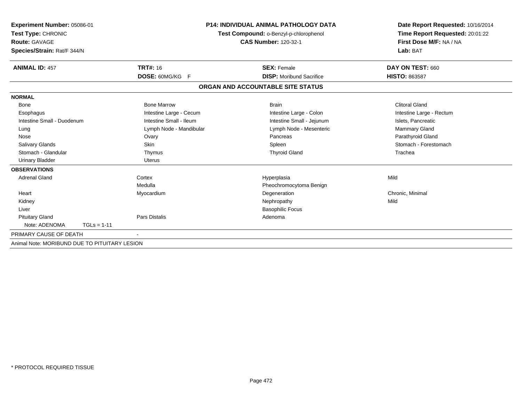| Experiment Number: 05086-01<br>Test Type: CHRONIC<br><b>Route: GAVAGE</b><br>Species/Strain: Rat/F 344/N |                         | <b>P14: INDIVIDUAL ANIMAL PATHOLOGY DATA</b><br>Test Compound: o-Benzyl-p-chlorophenol<br><b>CAS Number: 120-32-1</b> | Date Report Requested: 10/16/2014<br>Time Report Requested: 20:01:22<br>First Dose M/F: NA / NA<br>Lab: BAT |
|----------------------------------------------------------------------------------------------------------|-------------------------|-----------------------------------------------------------------------------------------------------------------------|-------------------------------------------------------------------------------------------------------------|
| <b>ANIMAL ID: 457</b>                                                                                    | TRT#: 16                | <b>SEX: Female</b>                                                                                                    | DAY ON TEST: 660                                                                                            |
|                                                                                                          | DOSE: 60MG/KG F         | <b>DISP:</b> Moribund Sacrifice                                                                                       | <b>HISTO: 863587</b>                                                                                        |
|                                                                                                          |                         | ORGAN AND ACCOUNTABLE SITE STATUS                                                                                     |                                                                                                             |
| <b>NORMAL</b>                                                                                            |                         |                                                                                                                       |                                                                                                             |
| <b>Bone</b>                                                                                              | <b>Bone Marrow</b>      | <b>Brain</b>                                                                                                          | <b>Clitoral Gland</b>                                                                                       |
| Esophagus                                                                                                | Intestine Large - Cecum | Intestine Large - Colon                                                                                               | Intestine Large - Rectum                                                                                    |
| Intestine Small - Duodenum                                                                               | Intestine Small - Ileum | Intestine Small - Jejunum                                                                                             | Islets, Pancreatic                                                                                          |
| Lung                                                                                                     | Lymph Node - Mandibular | Lymph Node - Mesenteric                                                                                               | Mammary Gland                                                                                               |
| Nose                                                                                                     | Ovary                   | Pancreas                                                                                                              | Parathyroid Gland                                                                                           |
| <b>Salivary Glands</b>                                                                                   | Skin                    | Spleen                                                                                                                | Stomach - Forestomach                                                                                       |
| Stomach - Glandular                                                                                      | Thymus                  | <b>Thyroid Gland</b>                                                                                                  | Trachea                                                                                                     |
| <b>Urinary Bladder</b>                                                                                   | <b>Uterus</b>           |                                                                                                                       |                                                                                                             |
| <b>OBSERVATIONS</b>                                                                                      |                         |                                                                                                                       |                                                                                                             |
| <b>Adrenal Gland</b>                                                                                     | Cortex                  | Hyperplasia                                                                                                           | Mild                                                                                                        |
|                                                                                                          | Medulla                 | Pheochromocytoma Benign                                                                                               |                                                                                                             |
| Heart                                                                                                    | Myocardium              | Degeneration                                                                                                          | Chronic, Minimal                                                                                            |
| Kidney                                                                                                   |                         | Nephropathy                                                                                                           | Mild                                                                                                        |
| Liver                                                                                                    |                         | <b>Basophilic Focus</b>                                                                                               |                                                                                                             |
| <b>Pituitary Gland</b>                                                                                   | <b>Pars Distalis</b>    | Adenoma                                                                                                               |                                                                                                             |
| Note: ADENOMA<br>$TGLs = 1-11$                                                                           |                         |                                                                                                                       |                                                                                                             |
| PRIMARY CAUSE OF DEATH                                                                                   |                         |                                                                                                                       |                                                                                                             |
| Animal Note: MORIBUND DUE TO PITUITARY LESION                                                            |                         |                                                                                                                       |                                                                                                             |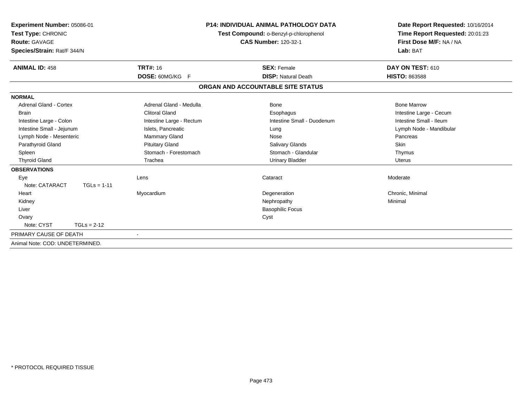| Experiment Number: 05086-01<br>Test Type: CHRONIC<br>Route: GAVAGE<br>Species/Strain: Rat/F 344/N |                          | <b>P14: INDIVIDUAL ANIMAL PATHOLOGY DATA</b><br>Test Compound: o-Benzyl-p-chlorophenol<br><b>CAS Number: 120-32-1</b> | Date Report Requested: 10/16/2014<br>Time Report Requested: 20:01:23<br>First Dose M/F: NA / NA<br>Lab: BAT |
|---------------------------------------------------------------------------------------------------|--------------------------|-----------------------------------------------------------------------------------------------------------------------|-------------------------------------------------------------------------------------------------------------|
| <b>ANIMAL ID: 458</b>                                                                             | <b>TRT#: 16</b>          | <b>SEX: Female</b>                                                                                                    | DAY ON TEST: 610                                                                                            |
|                                                                                                   | <b>DOSE: 60MG/KG F</b>   | <b>DISP: Natural Death</b>                                                                                            | <b>HISTO: 863588</b>                                                                                        |
|                                                                                                   |                          | ORGAN AND ACCOUNTABLE SITE STATUS                                                                                     |                                                                                                             |
| <b>NORMAL</b>                                                                                     |                          |                                                                                                                       |                                                                                                             |
| <b>Adrenal Gland - Cortex</b>                                                                     | Adrenal Gland - Medulla  | Bone                                                                                                                  | <b>Bone Marrow</b>                                                                                          |
| <b>Brain</b>                                                                                      | <b>Clitoral Gland</b>    | Esophagus                                                                                                             | Intestine Large - Cecum                                                                                     |
| Intestine Large - Colon                                                                           | Intestine Large - Rectum | Intestine Small - Duodenum                                                                                            | Intestine Small - Ileum                                                                                     |
| Intestine Small - Jejunum                                                                         | Islets, Pancreatic       | Lung                                                                                                                  | Lymph Node - Mandibular                                                                                     |
| Lymph Node - Mesenteric                                                                           | <b>Mammary Gland</b>     | Nose                                                                                                                  | Pancreas                                                                                                    |
| Parathyroid Gland                                                                                 | <b>Pituitary Gland</b>   | <b>Salivary Glands</b>                                                                                                | <b>Skin</b>                                                                                                 |
| Spleen                                                                                            | Stomach - Forestomach    | Stomach - Glandular                                                                                                   | Thymus                                                                                                      |
| <b>Thyroid Gland</b>                                                                              | Trachea                  | <b>Urinary Bladder</b>                                                                                                | Uterus                                                                                                      |
| <b>OBSERVATIONS</b>                                                                               |                          |                                                                                                                       |                                                                                                             |
| Eye                                                                                               | Lens                     | Cataract                                                                                                              | Moderate                                                                                                    |
| Note: CATARACT<br>$TGLs = 1-11$                                                                   |                          |                                                                                                                       |                                                                                                             |
| Heart                                                                                             | Myocardium               | Degeneration                                                                                                          | Chronic, Minimal                                                                                            |
| Kidney                                                                                            |                          | Nephropathy                                                                                                           | Minimal                                                                                                     |
| Liver                                                                                             |                          | <b>Basophilic Focus</b>                                                                                               |                                                                                                             |
| Ovary                                                                                             |                          | Cyst                                                                                                                  |                                                                                                             |
| Note: CYST<br>$TGLs = 2-12$                                                                       |                          |                                                                                                                       |                                                                                                             |
| PRIMARY CAUSE OF DEATH                                                                            | $\overline{\phantom{a}}$ |                                                                                                                       |                                                                                                             |
| Animal Note: COD: UNDETERMINED.                                                                   |                          |                                                                                                                       |                                                                                                             |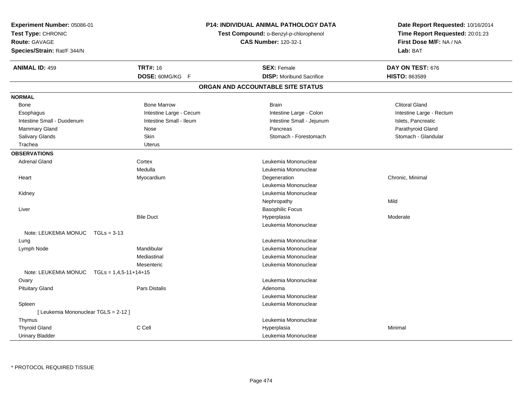| Experiment Number: 05086-01<br>Test Type: CHRONIC<br><b>Route: GAVAGE</b><br>Species/Strain: Rat/F 344/N |                         | <b>P14: INDIVIDUAL ANIMAL PATHOLOGY DATA</b><br>Test Compound: o-Benzyl-p-chlorophenol<br><b>CAS Number: 120-32-1</b> | Date Report Requested: 10/16/2014<br>Time Report Requested: 20:01:23<br>First Dose M/F: NA / NA<br>Lab: BAT |
|----------------------------------------------------------------------------------------------------------|-------------------------|-----------------------------------------------------------------------------------------------------------------------|-------------------------------------------------------------------------------------------------------------|
| <b>ANIMAL ID: 459</b>                                                                                    | <b>TRT#: 16</b>         | <b>SEX: Female</b>                                                                                                    | DAY ON TEST: 676                                                                                            |
|                                                                                                          | DOSE: 60MG/KG F         | <b>DISP:</b> Moribund Sacrifice                                                                                       | HISTO: 863589                                                                                               |
|                                                                                                          |                         | ORGAN AND ACCOUNTABLE SITE STATUS                                                                                     |                                                                                                             |
| <b>NORMAL</b>                                                                                            |                         |                                                                                                                       |                                                                                                             |
| Bone                                                                                                     | <b>Bone Marrow</b>      | <b>Brain</b>                                                                                                          | <b>Clitoral Gland</b>                                                                                       |
| Esophagus                                                                                                | Intestine Large - Cecum | Intestine Large - Colon                                                                                               | Intestine Large - Rectum                                                                                    |
| Intestine Small - Duodenum                                                                               | Intestine Small - Ileum | Intestine Small - Jejunum                                                                                             | Islets, Pancreatic                                                                                          |
| <b>Mammary Gland</b>                                                                                     | Nose                    | Pancreas                                                                                                              | Parathyroid Gland                                                                                           |
| Salivary Glands                                                                                          | Skin                    | Stomach - Forestomach                                                                                                 | Stomach - Glandular                                                                                         |
| Trachea                                                                                                  | Uterus                  |                                                                                                                       |                                                                                                             |
| <b>OBSERVATIONS</b>                                                                                      |                         |                                                                                                                       |                                                                                                             |
| <b>Adrenal Gland</b>                                                                                     | Cortex                  | Leukemia Mononuclear                                                                                                  |                                                                                                             |
|                                                                                                          | Medulla                 | Leukemia Mononuclear                                                                                                  |                                                                                                             |
| Heart                                                                                                    | Myocardium              | Degeneration                                                                                                          | Chronic, Minimal                                                                                            |
|                                                                                                          |                         | Leukemia Mononuclear                                                                                                  |                                                                                                             |
| Kidney                                                                                                   |                         | Leukemia Mononuclear                                                                                                  |                                                                                                             |
|                                                                                                          |                         | Nephropathy                                                                                                           | Mild                                                                                                        |
| Liver                                                                                                    |                         | <b>Basophilic Focus</b>                                                                                               |                                                                                                             |
|                                                                                                          | <b>Bile Duct</b>        | Hyperplasia                                                                                                           | Moderate                                                                                                    |
|                                                                                                          |                         | Leukemia Mononuclear                                                                                                  |                                                                                                             |
| Note: LEUKEMIA MONUC<br>$TGLs = 3-13$                                                                    |                         |                                                                                                                       |                                                                                                             |
| Lung                                                                                                     |                         | Leukemia Mononuclear                                                                                                  |                                                                                                             |
| Lymph Node                                                                                               | Mandibular              | Leukemia Mononuclear                                                                                                  |                                                                                                             |
|                                                                                                          | Mediastinal             | Leukemia Mononuclear                                                                                                  |                                                                                                             |
|                                                                                                          | Mesenteric              | Leukemia Mononuclear                                                                                                  |                                                                                                             |
| Note: LEUKEMIA MONUC                                                                                     | $TGLs = 1,4,5-11+14+15$ |                                                                                                                       |                                                                                                             |
| Ovary                                                                                                    |                         | Leukemia Mononuclear                                                                                                  |                                                                                                             |
| <b>Pituitary Gland</b>                                                                                   | <b>Pars Distalis</b>    | Adenoma                                                                                                               |                                                                                                             |
|                                                                                                          |                         | Leukemia Mononuclear                                                                                                  |                                                                                                             |
| Spleen                                                                                                   |                         | Leukemia Mononuclear                                                                                                  |                                                                                                             |
| [ Leukemia Mononuclear TGLS = 2-12 ]                                                                     |                         |                                                                                                                       |                                                                                                             |
| Thymus                                                                                                   |                         | Leukemia Mononuclear                                                                                                  |                                                                                                             |
| <b>Thyroid Gland</b>                                                                                     | C Cell                  | Hyperplasia                                                                                                           | Minimal                                                                                                     |
| <b>Urinary Bladder</b>                                                                                   |                         | Leukemia Mononuclear                                                                                                  |                                                                                                             |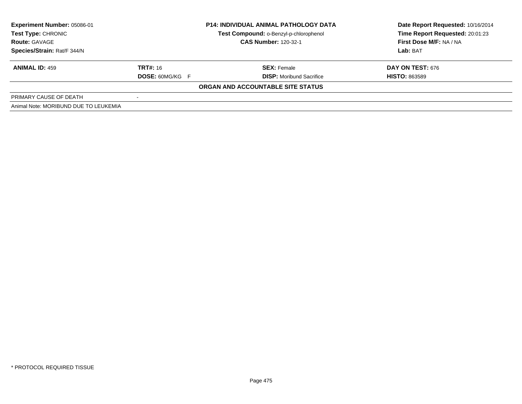| Experiment Number: 05086-01<br><b>Test Type: CHRONIC</b><br><b>Route: GAVAGE</b><br>Species/Strain: Rat/F 344/N |                        | <b>P14: INDIVIDUAL ANIMAL PATHOLOGY DATA</b> | Date Report Requested: 10/16/2014 |  |
|-----------------------------------------------------------------------------------------------------------------|------------------------|----------------------------------------------|-----------------------------------|--|
|                                                                                                                 |                        | Test Compound: o-Benzyl-p-chlorophenol       | Time Report Requested: 20:01:23   |  |
|                                                                                                                 |                        | <b>CAS Number: 120-32-1</b>                  | First Dose M/F: NA / NA           |  |
|                                                                                                                 |                        |                                              | Lab: BAT                          |  |
| <b>ANIMAL ID: 459</b>                                                                                           | <b>TRT#:</b> 16        | <b>SEX: Female</b>                           | <b>DAY ON TEST: 676</b>           |  |
|                                                                                                                 | <b>DOSE: 60MG/KG F</b> | <b>DISP:</b> Moribund Sacrifice              | <b>HISTO: 863589</b>              |  |
|                                                                                                                 |                        | ORGAN AND ACCOUNTABLE SITE STATUS            |                                   |  |
| PRIMARY CAUSE OF DEATH                                                                                          |                        |                                              |                                   |  |
| Animal Note: MORIBUND DUE TO LEUKEMIA                                                                           |                        |                                              |                                   |  |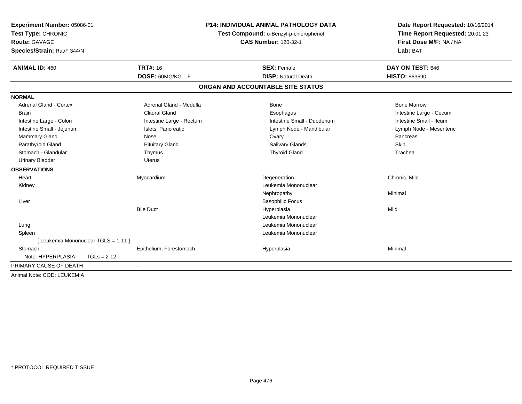| <b>Experiment Number: 05086-01</b><br>Test Type: CHRONIC<br><b>Route: GAVAGE</b> |                          | <b>P14: INDIVIDUAL ANIMAL PATHOLOGY DATA</b><br>Test Compound: o-Benzyl-p-chlorophenol<br><b>CAS Number: 120-32-1</b> | Date Report Requested: 10/16/2014<br>Time Report Requested: 20:01:23<br>First Dose M/F: NA / NA |
|----------------------------------------------------------------------------------|--------------------------|-----------------------------------------------------------------------------------------------------------------------|-------------------------------------------------------------------------------------------------|
| Species/Strain: Rat/F 344/N                                                      |                          |                                                                                                                       | Lab: BAT                                                                                        |
| <b>ANIMAL ID: 460</b>                                                            | <b>TRT#: 16</b>          | <b>SEX: Female</b>                                                                                                    | DAY ON TEST: 646                                                                                |
|                                                                                  | DOSE: 60MG/KG F          | <b>DISP: Natural Death</b>                                                                                            | <b>HISTO: 863590</b>                                                                            |
|                                                                                  |                          | ORGAN AND ACCOUNTABLE SITE STATUS                                                                                     |                                                                                                 |
| <b>NORMAL</b>                                                                    |                          |                                                                                                                       |                                                                                                 |
| <b>Adrenal Gland - Cortex</b>                                                    | Adrenal Gland - Medulla  | Bone                                                                                                                  | <b>Bone Marrow</b>                                                                              |
| <b>Brain</b>                                                                     | <b>Clitoral Gland</b>    | Esophagus                                                                                                             | Intestine Large - Cecum                                                                         |
| Intestine Large - Colon                                                          | Intestine Large - Rectum | Intestine Small - Duodenum                                                                                            | Intestine Small - Ileum                                                                         |
| Intestine Small - Jejunum                                                        | Islets, Pancreatic       | Lymph Node - Mandibular                                                                                               | Lymph Node - Mesenteric                                                                         |
| Mammary Gland                                                                    | Nose                     | Ovary                                                                                                                 | Pancreas                                                                                        |
| Parathyroid Gland                                                                | <b>Pituitary Gland</b>   | Salivary Glands                                                                                                       | Skin                                                                                            |
| Stomach - Glandular                                                              | Thymus                   | <b>Thyroid Gland</b>                                                                                                  | Trachea                                                                                         |
| <b>Urinary Bladder</b>                                                           | <b>Uterus</b>            |                                                                                                                       |                                                                                                 |
| <b>OBSERVATIONS</b>                                                              |                          |                                                                                                                       |                                                                                                 |
| Heart                                                                            | Myocardium               | Degeneration                                                                                                          | Chronic, Mild                                                                                   |
| Kidney                                                                           |                          | Leukemia Mononuclear                                                                                                  |                                                                                                 |
|                                                                                  |                          | Nephropathy                                                                                                           | Minimal                                                                                         |
| Liver                                                                            |                          | <b>Basophilic Focus</b>                                                                                               |                                                                                                 |
|                                                                                  | <b>Bile Duct</b>         | Hyperplasia                                                                                                           | Mild                                                                                            |
|                                                                                  |                          | Leukemia Mononuclear                                                                                                  |                                                                                                 |
| Lung                                                                             |                          | Leukemia Mononuclear                                                                                                  |                                                                                                 |
| Spleen                                                                           |                          | Leukemia Mononuclear                                                                                                  |                                                                                                 |
| [ Leukemia Mononuclear TGLS = 1-11 ]                                             |                          |                                                                                                                       |                                                                                                 |
| Stomach                                                                          | Epithelium, Forestomach  | Hyperplasia                                                                                                           | Minimal                                                                                         |
| Note: HYPERPLASIA                                                                | $TGLs = 2-12$            |                                                                                                                       |                                                                                                 |
| PRIMARY CAUSE OF DEATH                                                           |                          |                                                                                                                       |                                                                                                 |
| Animal Note: COD: LEUKEMIA                                                       |                          |                                                                                                                       |                                                                                                 |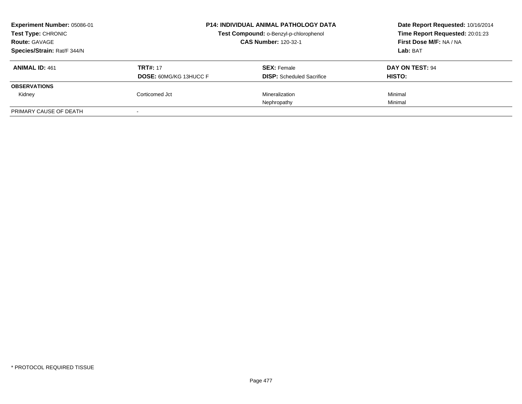| Experiment Number: 05086-01<br><b>Test Type: CHRONIC</b><br><b>Route: GAVAGE</b> | <b>P14: INDIVIDUAL ANIMAL PATHOLOGY DATA</b><br>Test Compound: o-Benzyl-p-chlorophenol<br><b>CAS Number: 120-32-1</b> |                                                        | Date Report Requested: 10/16/2014<br>Time Report Requested: 20:01:23<br>First Dose M/F: NA / NA |
|----------------------------------------------------------------------------------|-----------------------------------------------------------------------------------------------------------------------|--------------------------------------------------------|-------------------------------------------------------------------------------------------------|
| Species/Strain: Rat/F 344/N                                                      |                                                                                                                       |                                                        | Lab: BAT                                                                                        |
| <b>ANIMAL ID: 461</b>                                                            | <b>TRT#: 17</b><br><b>DOSE: 60MG/KG 13HUCC F</b>                                                                      | <b>SEX: Female</b><br><b>DISP:</b> Scheduled Sacrifice | DAY ON TEST: 94<br>HISTO:                                                                       |
| <b>OBSERVATIONS</b>                                                              |                                                                                                                       |                                                        |                                                                                                 |
| Kidney                                                                           | Corticomed Jct                                                                                                        | Mineralization                                         | Minimal                                                                                         |
|                                                                                  |                                                                                                                       | Nephropathy                                            | Minimal                                                                                         |
| PRIMARY CAUSE OF DEATH                                                           | $\,$                                                                                                                  |                                                        |                                                                                                 |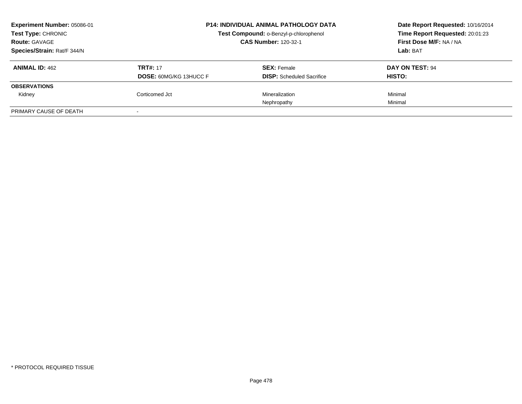| Experiment Number: 05086-01<br><b>Test Type: CHRONIC</b><br><b>Route: GAVAGE</b> | <b>P14: INDIVIDUAL ANIMAL PATHOLOGY DATA</b><br>Test Compound: o-Benzyl-p-chlorophenol<br><b>CAS Number: 120-32-1</b> |                                                        | Date Report Requested: 10/16/2014<br>Time Report Requested: 20:01:23<br>First Dose M/F: NA / NA |
|----------------------------------------------------------------------------------|-----------------------------------------------------------------------------------------------------------------------|--------------------------------------------------------|-------------------------------------------------------------------------------------------------|
| Species/Strain: Rat/F 344/N                                                      |                                                                                                                       |                                                        | Lab: BAT                                                                                        |
| <b>ANIMAL ID: 462</b>                                                            | <b>TRT#: 17</b><br><b>DOSE: 60MG/KG 13HUCC F</b>                                                                      | <b>SEX: Female</b><br><b>DISP:</b> Scheduled Sacrifice | DAY ON TEST: 94<br>HISTO:                                                                       |
| <b>OBSERVATIONS</b>                                                              |                                                                                                                       |                                                        |                                                                                                 |
| Kidney                                                                           | Corticomed Jct                                                                                                        | Mineralization                                         | Minimal                                                                                         |
|                                                                                  |                                                                                                                       | Nephropathy                                            | Minimal                                                                                         |
| PRIMARY CAUSE OF DEATH                                                           | $\,$                                                                                                                  |                                                        |                                                                                                 |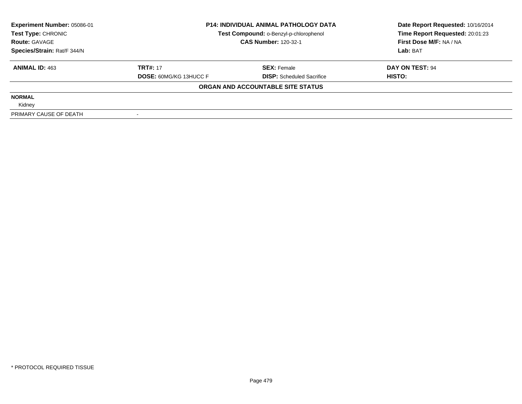| <b>Experiment Number: 05086-01</b> | <b>P14: INDIVIDUAL ANIMAL PATHOLOGY DATA</b><br>Test Compound: o-Benzyl-p-chlorophenol<br><b>CAS Number: 120-32-1</b> |                                   | Date Report Requested: 10/16/2014 |
|------------------------------------|-----------------------------------------------------------------------------------------------------------------------|-----------------------------------|-----------------------------------|
| Test Type: CHRONIC                 |                                                                                                                       |                                   | Time Report Requested: 20:01:23   |
| <b>Route: GAVAGE</b>               |                                                                                                                       |                                   | First Dose M/F: NA / NA           |
| Species/Strain: Rat/F 344/N        |                                                                                                                       |                                   | Lab: BAT                          |
| <b>ANIMAL ID: 463</b>              | <b>TRT#: 17</b>                                                                                                       | <b>SEX: Female</b>                | DAY ON TEST: 94                   |
|                                    | <b>DOSE: 60MG/KG 13HUCC F</b>                                                                                         | <b>DISP:</b> Scheduled Sacrifice  | HISTO:                            |
|                                    |                                                                                                                       | ORGAN AND ACCOUNTABLE SITE STATUS |                                   |
| <b>NORMAL</b>                      |                                                                                                                       |                                   |                                   |
| Kidney                             |                                                                                                                       |                                   |                                   |
| PRIMARY CAUSE OF DEATH             |                                                                                                                       |                                   |                                   |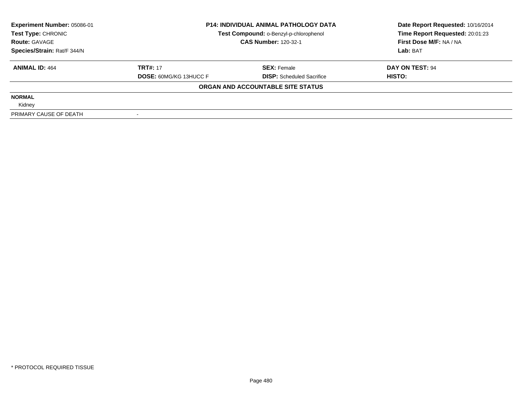| Experiment Number: 05086-01 | <b>P14: INDIVIDUAL ANIMAL PATHOLOGY DATA</b><br>Test Compound: o-Benzyl-p-chlorophenol<br><b>CAS Number: 120-32-1</b> |                                   | Date Report Requested: 10/16/2014 |
|-----------------------------|-----------------------------------------------------------------------------------------------------------------------|-----------------------------------|-----------------------------------|
| Test Type: CHRONIC          |                                                                                                                       |                                   | Time Report Requested: 20:01:23   |
| <b>Route: GAVAGE</b>        |                                                                                                                       |                                   | First Dose M/F: NA / NA           |
| Species/Strain: Rat/F 344/N |                                                                                                                       |                                   | Lab: BAT                          |
| <b>ANIMAL ID: 464</b>       | <b>TRT#: 17</b>                                                                                                       | <b>SEX: Female</b>                | DAY ON TEST: 94                   |
|                             | <b>DOSE: 60MG/KG 13HUCC F</b>                                                                                         | <b>DISP:</b> Scheduled Sacrifice  | HISTO:                            |
|                             |                                                                                                                       | ORGAN AND ACCOUNTABLE SITE STATUS |                                   |
| <b>NORMAL</b>               |                                                                                                                       |                                   |                                   |
| Kidney                      |                                                                                                                       |                                   |                                   |
| PRIMARY CAUSE OF DEATH      |                                                                                                                       |                                   |                                   |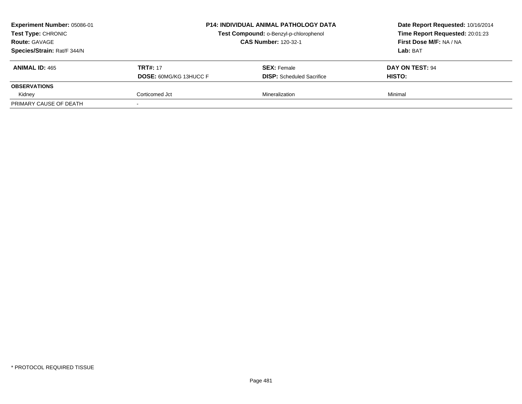| Experiment Number: 05086-01<br>Test Type: CHRONIC<br><b>Route: GAVAGE</b><br>Species/Strain: Rat/F 344/N |                                                  | P14: INDIVIDUAL ANIMAL PATHOLOGY DATA<br>Test Compound: o-Benzyl-p-chlorophenol<br><b>CAS Number: 120-32-1</b> | Date Report Requested: 10/16/2014<br>Time Report Requested: 20:01:23<br>First Dose M/F: NA / NA<br>Lab: BAT |
|----------------------------------------------------------------------------------------------------------|--------------------------------------------------|----------------------------------------------------------------------------------------------------------------|-------------------------------------------------------------------------------------------------------------|
| <b>ANIMAL ID: 465</b>                                                                                    | <b>TRT#: 17</b><br><b>DOSE: 60MG/KG 13HUCC F</b> | <b>SEX: Female</b><br><b>DISP:</b> Scheduled Sacrifice                                                         | DAY ON TEST: 94<br><b>HISTO:</b>                                                                            |
| <b>OBSERVATIONS</b>                                                                                      |                                                  |                                                                                                                |                                                                                                             |
| Kidney                                                                                                   | Corticomed Jct                                   | Mineralization                                                                                                 | Minimal                                                                                                     |
| PRIMARY CAUSE OF DEATH                                                                                   |                                                  |                                                                                                                |                                                                                                             |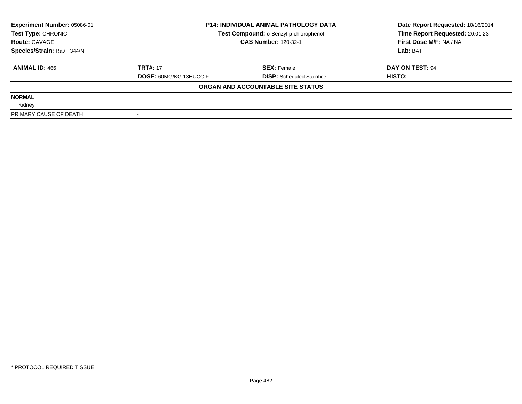| <b>Experiment Number: 05086-01</b> | <b>P14: INDIVIDUAL ANIMAL PATHOLOGY DATA</b><br>Test Compound: o-Benzyl-p-chlorophenol<br><b>CAS Number: 120-32-1</b> |                                   | Date Report Requested: 10/16/2014 |
|------------------------------------|-----------------------------------------------------------------------------------------------------------------------|-----------------------------------|-----------------------------------|
| Test Type: CHRONIC                 |                                                                                                                       |                                   | Time Report Requested: 20:01:23   |
| <b>Route: GAVAGE</b>               |                                                                                                                       |                                   | First Dose M/F: NA / NA           |
| Species/Strain: Rat/F 344/N        |                                                                                                                       |                                   | Lab: BAT                          |
| <b>ANIMAL ID: 466</b>              | <b>TRT#: 17</b>                                                                                                       | <b>SEX: Female</b>                | DAY ON TEST: 94                   |
|                                    | <b>DOSE: 60MG/KG 13HUCC F</b>                                                                                         | <b>DISP:</b> Scheduled Sacrifice  | <b>HISTO:</b>                     |
|                                    |                                                                                                                       | ORGAN AND ACCOUNTABLE SITE STATUS |                                   |
| <b>NORMAL</b>                      |                                                                                                                       |                                   |                                   |
| Kidney                             |                                                                                                                       |                                   |                                   |
| PRIMARY CAUSE OF DEATH             |                                                                                                                       |                                   |                                   |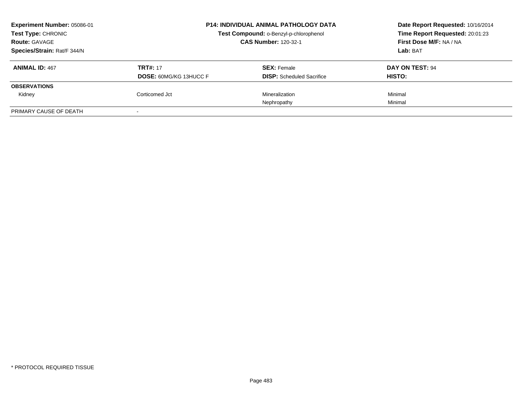| Experiment Number: 05086-01<br><b>Test Type: CHRONIC</b><br><b>Route: GAVAGE</b> |                                                  | <b>P14: INDIVIDUAL ANIMAL PATHOLOGY DATA</b><br>Test Compound: o-Benzyl-p-chlorophenol<br><b>CAS Number: 120-32-1</b> |                           |
|----------------------------------------------------------------------------------|--------------------------------------------------|-----------------------------------------------------------------------------------------------------------------------|---------------------------|
| Species/Strain: Rat/F 344/N                                                      |                                                  |                                                                                                                       | Lab: BAT                  |
| <b>ANIMAL ID: 467</b>                                                            | <b>TRT#: 17</b><br><b>DOSE: 60MG/KG 13HUCC F</b> | <b>SEX: Female</b><br><b>DISP:</b> Scheduled Sacrifice                                                                | DAY ON TEST: 94<br>HISTO: |
| <b>OBSERVATIONS</b>                                                              |                                                  |                                                                                                                       |                           |
| Kidney                                                                           | Corticomed Jct                                   | Mineralization                                                                                                        | Minimal                   |
|                                                                                  |                                                  | Nephropathy                                                                                                           | Minimal                   |
| PRIMARY CAUSE OF DEATH                                                           | $\,$                                             |                                                                                                                       |                           |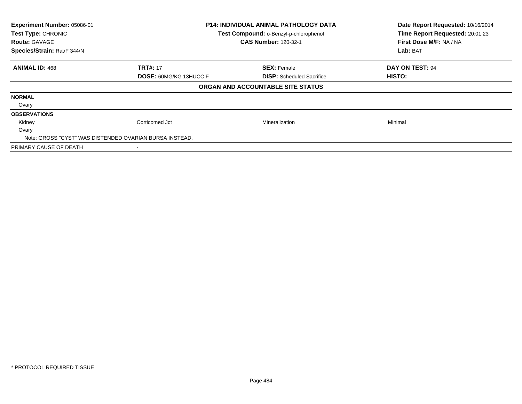| Experiment Number: 05086-01<br>Test Type: CHRONIC<br><b>Route: GAVAGE</b> | <b>P14: INDIVIDUAL ANIMAL PATHOLOGY DATA</b><br>Test Compound: o-Benzyl-p-chlorophenol<br><b>CAS Number: 120-32-1</b> |                                   | Date Report Requested: 10/16/2014<br>Time Report Requested: 20:01:23<br>First Dose M/F: NA / NA |
|---------------------------------------------------------------------------|-----------------------------------------------------------------------------------------------------------------------|-----------------------------------|-------------------------------------------------------------------------------------------------|
| Species/Strain: Rat/F 344/N                                               |                                                                                                                       |                                   | Lab: BAT                                                                                        |
| <b>ANIMAL ID: 468</b>                                                     | <b>TRT#: 17</b>                                                                                                       | <b>SEX: Female</b>                | <b>DAY ON TEST: 94</b>                                                                          |
|                                                                           | <b>DOSE: 60MG/KG 13HUCC F</b>                                                                                         | <b>DISP:</b> Scheduled Sacrifice  | <b>HISTO:</b>                                                                                   |
|                                                                           |                                                                                                                       | ORGAN AND ACCOUNTABLE SITE STATUS |                                                                                                 |
| <b>NORMAL</b>                                                             |                                                                                                                       |                                   |                                                                                                 |
| Ovary                                                                     |                                                                                                                       |                                   |                                                                                                 |
| <b>OBSERVATIONS</b>                                                       |                                                                                                                       |                                   |                                                                                                 |
| Kidney                                                                    | Corticomed Jct                                                                                                        | Mineralization                    | Minimal                                                                                         |
| Ovary                                                                     |                                                                                                                       |                                   |                                                                                                 |
| Note: GROSS "CYST" WAS DISTENDED OVARIAN BURSA INSTEAD.                   |                                                                                                                       |                                   |                                                                                                 |
| PRIMARY CAUSE OF DEATH                                                    |                                                                                                                       |                                   |                                                                                                 |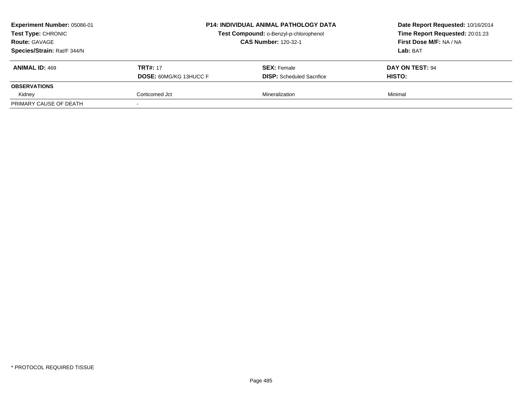| Experiment Number: 05086-01<br>Test Type: CHRONIC<br><b>Route: GAVAGE</b><br>Species/Strain: Rat/F 344/N | P14: INDIVIDUAL ANIMAL PATHOLOGY DATA<br>Test Compound: o-Benzyl-p-chlorophenol<br><b>CAS Number: 120-32-1</b> |                                                        | Date Report Requested: 10/16/2014<br>Time Report Requested: 20:01:23<br>First Dose M/F: NA / NA<br>Lab: BAT |
|----------------------------------------------------------------------------------------------------------|----------------------------------------------------------------------------------------------------------------|--------------------------------------------------------|-------------------------------------------------------------------------------------------------------------|
| <b>ANIMAL ID: 469</b>                                                                                    | <b>TRT#: 17</b><br><b>DOSE: 60MG/KG 13HUCC F</b>                                                               | <b>SEX: Female</b><br><b>DISP:</b> Scheduled Sacrifice | DAY ON TEST: 94<br><b>HISTO:</b>                                                                            |
| <b>OBSERVATIONS</b>                                                                                      |                                                                                                                |                                                        |                                                                                                             |
| Kidney                                                                                                   | Corticomed Jct                                                                                                 | Mineralization                                         | Minimal                                                                                                     |
| PRIMARY CAUSE OF DEATH                                                                                   |                                                                                                                |                                                        |                                                                                                             |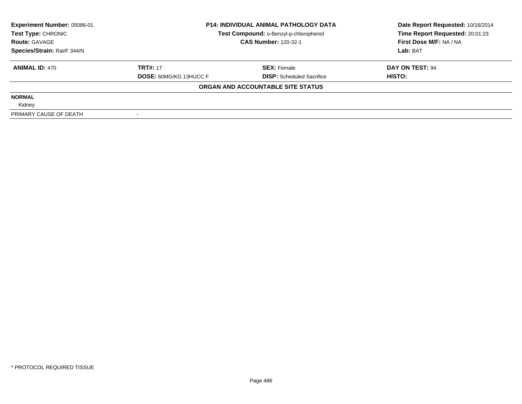| <b>Experiment Number: 05086-01</b> | <b>P14: INDIVIDUAL ANIMAL PATHOLOGY DATA</b><br>Test Compound: o-Benzyl-p-chlorophenol<br><b>CAS Number: 120-32-1</b> |                                   | Date Report Requested: 10/16/2014 |
|------------------------------------|-----------------------------------------------------------------------------------------------------------------------|-----------------------------------|-----------------------------------|
| Test Type: CHRONIC                 |                                                                                                                       |                                   | Time Report Requested: 20:01:23   |
| <b>Route: GAVAGE</b>               |                                                                                                                       |                                   | First Dose M/F: NA / NA           |
| Species/Strain: Rat/F 344/N        |                                                                                                                       |                                   | Lab: BAT                          |
| <b>ANIMAL ID: 470</b>              | <b>TRT#: 17</b>                                                                                                       | <b>SEX: Female</b>                | DAY ON TEST: 94                   |
|                                    | <b>DOSE: 60MG/KG 13HUCC F</b>                                                                                         | <b>DISP:</b> Scheduled Sacrifice  | <b>HISTO:</b>                     |
|                                    |                                                                                                                       | ORGAN AND ACCOUNTABLE SITE STATUS |                                   |
| <b>NORMAL</b>                      |                                                                                                                       |                                   |                                   |
| Kidney                             |                                                                                                                       |                                   |                                   |
| PRIMARY CAUSE OF DEATH             |                                                                                                                       |                                   |                                   |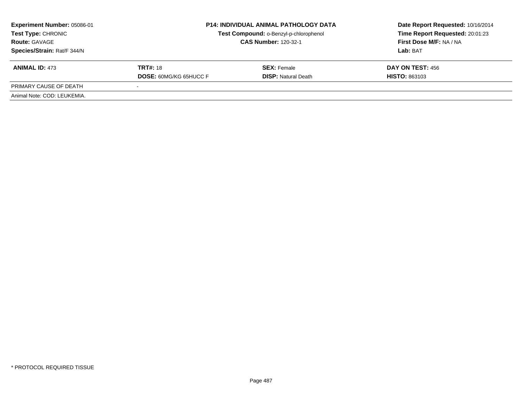| <b>Experiment Number: 05086-01</b><br>Test Type: CHRONIC<br><b>Route: GAVAGE</b><br>Species/Strain: Rat/F 344/N | <b>P14: INDIVIDUAL ANIMAL PATHOLOGY DATA</b><br>Test Compound: o-Benzyl-p-chlorophenol<br><b>CAS Number: 120-32-1</b> |                                                  | Date Report Requested: 10/16/2014<br>Time Report Requested: 20:01:23<br>First Dose M/F: NA / NA<br>Lab: BAT |
|-----------------------------------------------------------------------------------------------------------------|-----------------------------------------------------------------------------------------------------------------------|--------------------------------------------------|-------------------------------------------------------------------------------------------------------------|
| <b>ANIMAL ID: 473</b>                                                                                           | <b>TRT#:</b> 18<br><b>DOSE: 60MG/KG 65HUCC F</b>                                                                      | <b>SEX: Female</b><br><b>DISP: Natural Death</b> | DAY ON TEST: 456<br><b>HISTO: 863103</b>                                                                    |
| PRIMARY CAUSE OF DEATH                                                                                          | $\sim$                                                                                                                |                                                  |                                                                                                             |
| Animal Note: COD: LEUKEMIA.                                                                                     |                                                                                                                       |                                                  |                                                                                                             |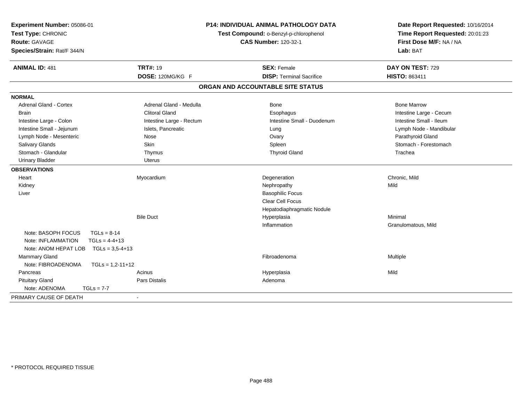| Experiment Number: 05086-01<br>Test Type: CHRONIC<br><b>Route: GAVAGE</b><br>Species/Strain: Rat/F 344/N | <b>P14: INDIVIDUAL ANIMAL PATHOLOGY DATA</b><br>Test Compound: o-Benzyl-p-chlorophenol<br><b>CAS Number: 120-32-1</b> |                                   | Date Report Requested: 10/16/2014<br>Time Report Requested: 20:01:23<br>First Dose M/F: NA / NA<br>Lab: BAT |  |
|----------------------------------------------------------------------------------------------------------|-----------------------------------------------------------------------------------------------------------------------|-----------------------------------|-------------------------------------------------------------------------------------------------------------|--|
| <b>ANIMAL ID: 481</b>                                                                                    | <b>TRT#: 19</b>                                                                                                       | <b>SEX: Female</b>                | DAY ON TEST: 729                                                                                            |  |
|                                                                                                          | DOSE: 120MG/KG F                                                                                                      | <b>DISP: Terminal Sacrifice</b>   | <b>HISTO: 863411</b>                                                                                        |  |
|                                                                                                          |                                                                                                                       | ORGAN AND ACCOUNTABLE SITE STATUS |                                                                                                             |  |
| <b>NORMAL</b>                                                                                            |                                                                                                                       |                                   |                                                                                                             |  |
| <b>Adrenal Gland - Cortex</b>                                                                            | Adrenal Gland - Medulla                                                                                               | <b>Bone</b>                       | <b>Bone Marrow</b>                                                                                          |  |
| <b>Brain</b>                                                                                             | <b>Clitoral Gland</b>                                                                                                 | Esophagus                         | Intestine Large - Cecum                                                                                     |  |
| Intestine Large - Colon                                                                                  | Intestine Large - Rectum                                                                                              | Intestine Small - Duodenum        | Intestine Small - Ileum                                                                                     |  |
| Intestine Small - Jejunum                                                                                | Islets, Pancreatic                                                                                                    | Lung                              | Lymph Node - Mandibular                                                                                     |  |
| Lymph Node - Mesenteric                                                                                  | Nose                                                                                                                  | Ovary                             | Parathyroid Gland                                                                                           |  |
| Salivary Glands                                                                                          | <b>Skin</b>                                                                                                           | Spleen                            | Stomach - Forestomach                                                                                       |  |
| Stomach - Glandular                                                                                      | Thymus                                                                                                                | <b>Thyroid Gland</b>              | Trachea                                                                                                     |  |
| <b>Urinary Bladder</b>                                                                                   | <b>Uterus</b>                                                                                                         |                                   |                                                                                                             |  |
| <b>OBSERVATIONS</b>                                                                                      |                                                                                                                       |                                   |                                                                                                             |  |
| Heart                                                                                                    | Myocardium                                                                                                            | Degeneration                      | Chronic, Mild                                                                                               |  |
| Kidney                                                                                                   |                                                                                                                       | Nephropathy                       | Mild                                                                                                        |  |
| Liver                                                                                                    |                                                                                                                       | <b>Basophilic Focus</b>           |                                                                                                             |  |
|                                                                                                          |                                                                                                                       | Clear Cell Focus                  |                                                                                                             |  |
|                                                                                                          |                                                                                                                       | Hepatodiaphragmatic Nodule        |                                                                                                             |  |
|                                                                                                          | <b>Bile Duct</b>                                                                                                      | Hyperplasia                       | Minimal                                                                                                     |  |
|                                                                                                          |                                                                                                                       | Inflammation                      | Granulomatous, Mild                                                                                         |  |
| Note: BASOPH FOCUS<br>$TGLs = 8-14$                                                                      |                                                                                                                       |                                   |                                                                                                             |  |
| $TGLs = 4-4+13$<br>Note: INFLAMMATION                                                                    |                                                                                                                       |                                   |                                                                                                             |  |
| Note: ANOM HEPAT LOB<br>$TGLs = 3.5 - 4 + 13$                                                            |                                                                                                                       |                                   |                                                                                                             |  |
| <b>Mammary Gland</b>                                                                                     |                                                                                                                       | Fibroadenoma                      | Multiple                                                                                                    |  |
| Note: FIBROADENOMA<br>$TGLs = 1,2-11+12$                                                                 |                                                                                                                       |                                   |                                                                                                             |  |
| Pancreas                                                                                                 | Acinus                                                                                                                | Hyperplasia                       | Mild                                                                                                        |  |
| <b>Pituitary Gland</b>                                                                                   | Pars Distalis                                                                                                         | Adenoma                           |                                                                                                             |  |
| Note: ADENOMA<br>$TGLs = 7-7$                                                                            |                                                                                                                       |                                   |                                                                                                             |  |
| PRIMARY CAUSE OF DEATH                                                                                   | $\sim$                                                                                                                |                                   |                                                                                                             |  |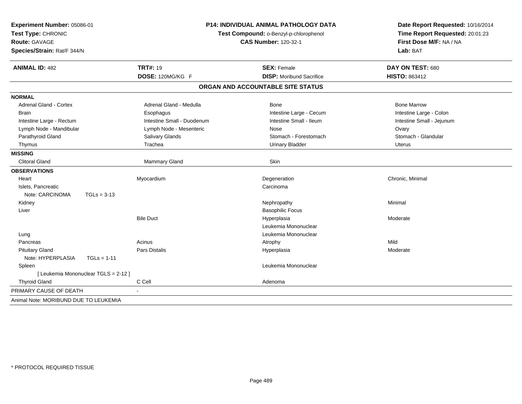| Experiment Number: 05086-01<br>Test Type: CHRONIC<br><b>Route: GAVAGE</b><br>Species/Strain: Rat/F 344/N | <b>P14: INDIVIDUAL ANIMAL PATHOLOGY DATA</b><br>Test Compound: o-Benzyl-p-chlorophenol<br><b>CAS Number: 120-32-1</b> |                                   | Date Report Requested: 10/16/2014<br>Time Report Requested: 20:01:23<br>First Dose M/F: NA / NA<br>Lab: BAT |  |
|----------------------------------------------------------------------------------------------------------|-----------------------------------------------------------------------------------------------------------------------|-----------------------------------|-------------------------------------------------------------------------------------------------------------|--|
| <b>ANIMAL ID: 482</b>                                                                                    | <b>TRT#: 19</b>                                                                                                       | <b>SEX: Female</b>                | DAY ON TEST: 680                                                                                            |  |
|                                                                                                          | DOSE: 120MG/KG F                                                                                                      | <b>DISP: Moribund Sacrifice</b>   | <b>HISTO: 863412</b>                                                                                        |  |
|                                                                                                          |                                                                                                                       | ORGAN AND ACCOUNTABLE SITE STATUS |                                                                                                             |  |
| <b>NORMAL</b>                                                                                            |                                                                                                                       |                                   |                                                                                                             |  |
| Adrenal Gland - Cortex                                                                                   | Adrenal Gland - Medulla                                                                                               | Bone                              | <b>Bone Marrow</b>                                                                                          |  |
| <b>Brain</b>                                                                                             | Esophagus                                                                                                             | Intestine Large - Cecum           | Intestine Large - Colon                                                                                     |  |
| Intestine Large - Rectum                                                                                 | Intestine Small - Duodenum                                                                                            | Intestine Small - Ileum           | Intestine Small - Jejunum                                                                                   |  |
| Lymph Node - Mandibular                                                                                  | Lymph Node - Mesenteric                                                                                               | Nose                              | Ovary                                                                                                       |  |
| Parathyroid Gland                                                                                        | Salivary Glands                                                                                                       | Stomach - Forestomach             | Stomach - Glandular                                                                                         |  |
| Thymus                                                                                                   | Trachea                                                                                                               | <b>Urinary Bladder</b>            | Uterus                                                                                                      |  |
| <b>MISSING</b>                                                                                           |                                                                                                                       |                                   |                                                                                                             |  |
| <b>Clitoral Gland</b>                                                                                    | Mammary Gland                                                                                                         | Skin                              |                                                                                                             |  |
| <b>OBSERVATIONS</b>                                                                                      |                                                                                                                       |                                   |                                                                                                             |  |
| Heart                                                                                                    | Myocardium                                                                                                            | Degeneration                      | Chronic, Minimal                                                                                            |  |
| Islets, Pancreatic                                                                                       |                                                                                                                       | Carcinoma                         |                                                                                                             |  |
| Note: CARCINOMA<br>$TGLs = 3-13$                                                                         |                                                                                                                       |                                   |                                                                                                             |  |
| Kidney                                                                                                   |                                                                                                                       | Nephropathy                       | Minimal                                                                                                     |  |
| Liver                                                                                                    |                                                                                                                       | <b>Basophilic Focus</b>           |                                                                                                             |  |
|                                                                                                          | <b>Bile Duct</b>                                                                                                      | Hyperplasia                       | Moderate                                                                                                    |  |
|                                                                                                          |                                                                                                                       | Leukemia Mononuclear              |                                                                                                             |  |
| Lung                                                                                                     |                                                                                                                       | Leukemia Mononuclear              |                                                                                                             |  |
| Pancreas                                                                                                 | Acinus                                                                                                                | Atrophy                           | Mild                                                                                                        |  |
| <b>Pituitary Gland</b>                                                                                   | Pars Distalis                                                                                                         | Hyperplasia                       | Moderate                                                                                                    |  |
| Note: HYPERPLASIA<br>$TGLs = 1-11$                                                                       |                                                                                                                       |                                   |                                                                                                             |  |
| Spleen                                                                                                   |                                                                                                                       | Leukemia Mononuclear              |                                                                                                             |  |
| [ Leukemia Mononuclear TGLS = 2-12 ]                                                                     |                                                                                                                       |                                   |                                                                                                             |  |
| <b>Thyroid Gland</b>                                                                                     | C Cell                                                                                                                | Adenoma                           |                                                                                                             |  |
| PRIMARY CAUSE OF DEATH                                                                                   |                                                                                                                       |                                   |                                                                                                             |  |
| Animal Note: MORIBUND DUE TO LEUKEMIA                                                                    |                                                                                                                       |                                   |                                                                                                             |  |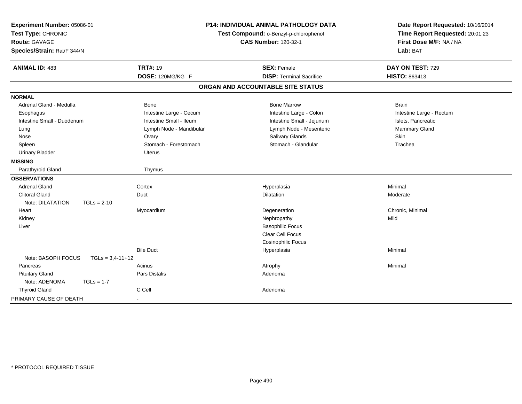| Experiment Number: 05086-01<br>Test Type: CHRONIC   |                         | <b>P14: INDIVIDUAL ANIMAL PATHOLOGY DATA</b><br>Test Compound: o-Benzyl-p-chlorophenol | Date Report Requested: 10/16/2014<br>Time Report Requested: 20:01:23 |
|-----------------------------------------------------|-------------------------|----------------------------------------------------------------------------------------|----------------------------------------------------------------------|
| <b>Route: GAVAGE</b><br>Species/Strain: Rat/F 344/N |                         | <b>CAS Number: 120-32-1</b>                                                            | First Dose M/F: NA / NA<br>Lab: BAT                                  |
| <b>ANIMAL ID: 483</b>                               | <b>TRT#: 19</b>         | <b>SEX: Female</b>                                                                     | DAY ON TEST: 729                                                     |
|                                                     | DOSE: 120MG/KG F        | <b>DISP: Terminal Sacrifice</b>                                                        | <b>HISTO: 863413</b>                                                 |
|                                                     |                         | ORGAN AND ACCOUNTABLE SITE STATUS                                                      |                                                                      |
| <b>NORMAL</b>                                       |                         |                                                                                        |                                                                      |
| Adrenal Gland - Medulla                             | <b>Bone</b>             | <b>Bone Marrow</b>                                                                     | <b>Brain</b>                                                         |
| Esophagus                                           | Intestine Large - Cecum | Intestine Large - Colon                                                                | Intestine Large - Rectum                                             |
| Intestine Small - Duodenum                          | Intestine Small - Ileum | Intestine Small - Jejunum                                                              | Islets, Pancreatic                                                   |
| Lung                                                | Lymph Node - Mandibular | Lymph Node - Mesenteric                                                                | Mammary Gland                                                        |
| Nose                                                | Ovary                   | Salivary Glands                                                                        | Skin                                                                 |
| Spleen                                              | Stomach - Forestomach   | Stomach - Glandular                                                                    | Trachea                                                              |
| <b>Urinary Bladder</b>                              | Uterus                  |                                                                                        |                                                                      |
| <b>MISSING</b>                                      |                         |                                                                                        |                                                                      |
| Parathyroid Gland                                   | Thymus                  |                                                                                        |                                                                      |
| <b>OBSERVATIONS</b>                                 |                         |                                                                                        |                                                                      |
| <b>Adrenal Gland</b>                                | Cortex                  | Hyperplasia                                                                            | Minimal                                                              |
| <b>Clitoral Gland</b>                               | Duct                    | Dilatation                                                                             | Moderate                                                             |
| Note: DILATATION<br>$TGLs = 2-10$                   |                         |                                                                                        |                                                                      |
| Heart                                               | Myocardium              | Degeneration                                                                           | Chronic, Minimal                                                     |
| Kidney                                              |                         | Nephropathy                                                                            | Mild                                                                 |
| Liver                                               |                         | <b>Basophilic Focus</b>                                                                |                                                                      |
|                                                     |                         | Clear Cell Focus                                                                       |                                                                      |
|                                                     |                         | <b>Eosinophilic Focus</b>                                                              |                                                                      |
|                                                     | <b>Bile Duct</b>        | Hyperplasia                                                                            | Minimal                                                              |
| Note: BASOPH FOCUS<br>$TGLs = 3,4-11+12$            |                         |                                                                                        |                                                                      |
| Pancreas                                            | Acinus                  | Atrophy                                                                                | Minimal                                                              |
| <b>Pituitary Gland</b>                              | Pars Distalis           | Adenoma                                                                                |                                                                      |
| Note: ADENOMA<br>$TGLs = 1-7$                       |                         |                                                                                        |                                                                      |
| <b>Thyroid Gland</b>                                | C Cell                  | Adenoma                                                                                |                                                                      |
| PRIMARY CAUSE OF DEATH                              |                         |                                                                                        |                                                                      |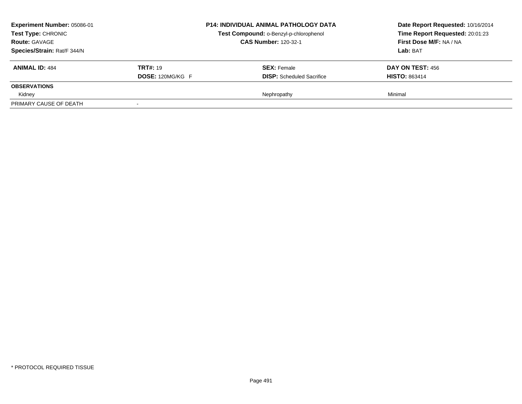| Experiment Number: 05086-01<br><b>P14: INDIVIDUAL ANIMAL PATHOLOGY DATA</b><br><b>Test Type: CHRONIC</b><br>Test Compound: o-Benzyl-p-chlorophenol<br><b>CAS Number: 120-32-1</b><br><b>Route: GAVAGE</b><br>Species/Strain: Rat/F 344/N |                                            |                                                        | Date Report Requested: 10/16/2014<br>Time Report Requested: 20:01:23<br>First Dose M/F: NA / NA<br>Lab: BAT |
|------------------------------------------------------------------------------------------------------------------------------------------------------------------------------------------------------------------------------------------|--------------------------------------------|--------------------------------------------------------|-------------------------------------------------------------------------------------------------------------|
| <b>ANIMAL ID: 484</b>                                                                                                                                                                                                                    | <b>TRT#: 19</b><br><b>DOSE: 120MG/KG F</b> | <b>SEX:</b> Female<br><b>DISP:</b> Scheduled Sacrifice | DAY ON TEST: 456<br><b>HISTO: 863414</b>                                                                    |
| <b>OBSERVATIONS</b>                                                                                                                                                                                                                      |                                            |                                                        |                                                                                                             |
| Kidney                                                                                                                                                                                                                                   |                                            | Nephropathy                                            | Minimal                                                                                                     |
| PRIMARY CAUSE OF DEATH                                                                                                                                                                                                                   |                                            |                                                        |                                                                                                             |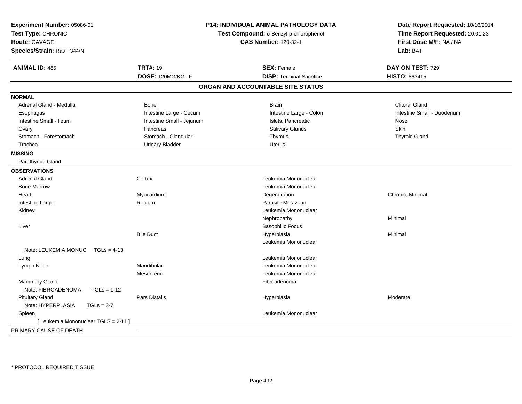| Experiment Number: 05086-01<br>Test Type: CHRONIC<br>Route: GAVAGE | <b>P14: INDIVIDUAL ANIMAL PATHOLOGY DATA</b><br>Test Compound: o-Benzyl-p-chlorophenol<br><b>CAS Number: 120-32-1</b> |                                   | Date Report Requested: 10/16/2014<br>Time Report Requested: 20:01:23<br>First Dose M/F: NA / NA |
|--------------------------------------------------------------------|-----------------------------------------------------------------------------------------------------------------------|-----------------------------------|-------------------------------------------------------------------------------------------------|
| Species/Strain: Rat/F 344/N                                        |                                                                                                                       |                                   | Lab: BAT                                                                                        |
| <b>ANIMAL ID: 485</b>                                              | <b>TRT#: 19</b>                                                                                                       | <b>SEX: Female</b>                | DAY ON TEST: 729                                                                                |
|                                                                    | DOSE: 120MG/KG F                                                                                                      | <b>DISP: Terminal Sacrifice</b>   | HISTO: 863415                                                                                   |
|                                                                    |                                                                                                                       | ORGAN AND ACCOUNTABLE SITE STATUS |                                                                                                 |
| <b>NORMAL</b>                                                      |                                                                                                                       |                                   |                                                                                                 |
| Adrenal Gland - Medulla                                            | <b>Bone</b>                                                                                                           | <b>Brain</b>                      | <b>Clitoral Gland</b>                                                                           |
| Esophagus                                                          | Intestine Large - Cecum                                                                                               | Intestine Large - Colon           | Intestine Small - Duodenum                                                                      |
| Intestine Small - Ileum                                            | Intestine Small - Jejunum                                                                                             | Islets, Pancreatic                | Nose                                                                                            |
| Ovary                                                              | Pancreas                                                                                                              | Salivary Glands                   | <b>Skin</b>                                                                                     |
| Stomach - Forestomach                                              | Stomach - Glandular                                                                                                   | Thymus                            | <b>Thyroid Gland</b>                                                                            |
| Trachea                                                            | <b>Urinary Bladder</b>                                                                                                | <b>Uterus</b>                     |                                                                                                 |
| <b>MISSING</b>                                                     |                                                                                                                       |                                   |                                                                                                 |
| Parathyroid Gland                                                  |                                                                                                                       |                                   |                                                                                                 |
| <b>OBSERVATIONS</b>                                                |                                                                                                                       |                                   |                                                                                                 |
| <b>Adrenal Gland</b>                                               | Cortex                                                                                                                | Leukemia Mononuclear              |                                                                                                 |
| <b>Bone Marrow</b>                                                 |                                                                                                                       | Leukemia Mononuclear              |                                                                                                 |
| Heart                                                              | Myocardium                                                                                                            | Degeneration                      | Chronic, Minimal                                                                                |
| Intestine Large                                                    | Rectum                                                                                                                | Parasite Metazoan                 |                                                                                                 |
| Kidney                                                             |                                                                                                                       | Leukemia Mononuclear              |                                                                                                 |
|                                                                    |                                                                                                                       | Nephropathy                       | Minimal                                                                                         |
| Liver                                                              |                                                                                                                       | <b>Basophilic Focus</b>           |                                                                                                 |
|                                                                    | <b>Bile Duct</b>                                                                                                      | Hyperplasia                       | Minimal                                                                                         |
|                                                                    |                                                                                                                       | Leukemia Mononuclear              |                                                                                                 |
| Note: LEUKEMIA MONUC<br>$TGLs = 4-13$                              |                                                                                                                       |                                   |                                                                                                 |
| Lung                                                               |                                                                                                                       | Leukemia Mononuclear              |                                                                                                 |
| Lymph Node                                                         | Mandibular                                                                                                            | Leukemia Mononuclear              |                                                                                                 |
|                                                                    | Mesenteric                                                                                                            | Leukemia Mononuclear              |                                                                                                 |
| Mammary Gland                                                      |                                                                                                                       | Fibroadenoma                      |                                                                                                 |
| Note: FIBROADENOMA<br>$TGLs = 1-12$                                |                                                                                                                       |                                   |                                                                                                 |
| <b>Pituitary Gland</b>                                             | <b>Pars Distalis</b>                                                                                                  | Hyperplasia                       | Moderate                                                                                        |
| Note: HYPERPLASIA<br>$TGLs = 3-7$                                  |                                                                                                                       |                                   |                                                                                                 |
| Spleen                                                             |                                                                                                                       | Leukemia Mononuclear              |                                                                                                 |
| [ Leukemia Mononuclear TGLS = 2-11 ]                               |                                                                                                                       |                                   |                                                                                                 |
| PRIMARY CAUSE OF DEATH                                             |                                                                                                                       |                                   |                                                                                                 |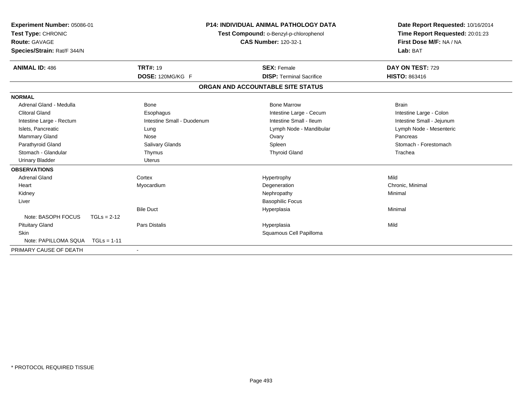| Experiment Number: 05086-01<br>Test Type: CHRONIC<br><b>Route: GAVAGE</b><br>Species/Strain: Rat/F 344/N |               | <b>P14: INDIVIDUAL ANIMAL PATHOLOGY DATA</b><br>Test Compound: o-Benzyl-p-chlorophenol<br><b>CAS Number: 120-32-1</b> |  | Date Report Requested: 10/16/2014<br>Time Report Requested: 20:01:23<br>First Dose M/F: NA / NA<br>Lab: BAT |                           |
|----------------------------------------------------------------------------------------------------------|---------------|-----------------------------------------------------------------------------------------------------------------------|--|-------------------------------------------------------------------------------------------------------------|---------------------------|
| <b>ANIMAL ID: 486</b>                                                                                    |               | <b>TRT#: 19</b>                                                                                                       |  | <b>SEX: Female</b>                                                                                          | DAY ON TEST: 729          |
|                                                                                                          |               | DOSE: 120MG/KG F                                                                                                      |  | <b>DISP: Terminal Sacrifice</b>                                                                             | <b>HISTO: 863416</b>      |
|                                                                                                          |               |                                                                                                                       |  | ORGAN AND ACCOUNTABLE SITE STATUS                                                                           |                           |
| <b>NORMAL</b>                                                                                            |               |                                                                                                                       |  |                                                                                                             |                           |
| Adrenal Gland - Medulla                                                                                  |               | Bone                                                                                                                  |  | <b>Bone Marrow</b>                                                                                          | <b>Brain</b>              |
| <b>Clitoral Gland</b>                                                                                    |               | Esophagus                                                                                                             |  | Intestine Large - Cecum                                                                                     | Intestine Large - Colon   |
| Intestine Large - Rectum                                                                                 |               | Intestine Small - Duodenum                                                                                            |  | Intestine Small - Ileum                                                                                     | Intestine Small - Jejunum |
| Islets, Pancreatic                                                                                       |               | Lung                                                                                                                  |  | Lymph Node - Mandibular                                                                                     | Lymph Node - Mesenteric   |
| Mammary Gland                                                                                            |               | Nose                                                                                                                  |  | Ovary                                                                                                       | Pancreas                  |
| Parathyroid Gland                                                                                        |               | Salivary Glands                                                                                                       |  | Spleen                                                                                                      | Stomach - Forestomach     |
| Stomach - Glandular                                                                                      |               | Thymus                                                                                                                |  | <b>Thyroid Gland</b>                                                                                        | Trachea                   |
| <b>Urinary Bladder</b>                                                                                   |               | <b>Uterus</b>                                                                                                         |  |                                                                                                             |                           |
| <b>OBSERVATIONS</b>                                                                                      |               |                                                                                                                       |  |                                                                                                             |                           |
| <b>Adrenal Gland</b>                                                                                     |               | Cortex                                                                                                                |  | Hypertrophy                                                                                                 | Mild                      |
| Heart                                                                                                    |               | Myocardium                                                                                                            |  | Degeneration                                                                                                | Chronic, Minimal          |
| Kidney                                                                                                   |               |                                                                                                                       |  | Nephropathy                                                                                                 | Minimal                   |
| Liver                                                                                                    |               |                                                                                                                       |  | <b>Basophilic Focus</b>                                                                                     |                           |
|                                                                                                          |               | <b>Bile Duct</b>                                                                                                      |  | Hyperplasia                                                                                                 | Minimal                   |
| Note: BASOPH FOCUS                                                                                       | $TGLs = 2-12$ |                                                                                                                       |  |                                                                                                             |                           |
| <b>Pituitary Gland</b>                                                                                   |               | <b>Pars Distalis</b>                                                                                                  |  | Hyperplasia                                                                                                 | Mild                      |
| <b>Skin</b>                                                                                              |               |                                                                                                                       |  | Squamous Cell Papilloma                                                                                     |                           |
| Note: PAPILLOMA SQUA                                                                                     | $TGLs = 1-11$ |                                                                                                                       |  |                                                                                                             |                           |
| PRIMARY CAUSE OF DEATH                                                                                   |               |                                                                                                                       |  |                                                                                                             |                           |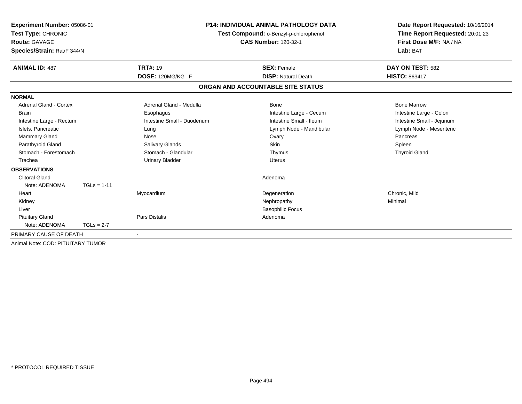| Experiment Number: 05086-01<br>Test Type: CHRONIC<br><b>Route: GAVAGE</b><br>Species/Strain: Rat/F 344/N |               |                            | <b>P14: INDIVIDUAL ANIMAL PATHOLOGY DATA</b><br>Test Compound: o-Benzyl-p-chlorophenol<br><b>CAS Number: 120-32-1</b> | Date Report Requested: 10/16/2014<br>Time Report Requested: 20:01:23<br>First Dose M/F: NA / NA<br>Lab: BAT |
|----------------------------------------------------------------------------------------------------------|---------------|----------------------------|-----------------------------------------------------------------------------------------------------------------------|-------------------------------------------------------------------------------------------------------------|
| <b>ANIMAL ID: 487</b>                                                                                    |               | <b>TRT#: 19</b>            | <b>SEX: Female</b>                                                                                                    | DAY ON TEST: 582                                                                                            |
|                                                                                                          |               | DOSE: 120MG/KG F           | <b>DISP: Natural Death</b>                                                                                            | <b>HISTO: 863417</b>                                                                                        |
|                                                                                                          |               |                            | ORGAN AND ACCOUNTABLE SITE STATUS                                                                                     |                                                                                                             |
| <b>NORMAL</b>                                                                                            |               |                            |                                                                                                                       |                                                                                                             |
| <b>Adrenal Gland - Cortex</b>                                                                            |               | Adrenal Gland - Medulla    | Bone                                                                                                                  | <b>Bone Marrow</b>                                                                                          |
| <b>Brain</b>                                                                                             |               | Esophagus                  | Intestine Large - Cecum                                                                                               | Intestine Large - Colon                                                                                     |
| Intestine Large - Rectum                                                                                 |               | Intestine Small - Duodenum | Intestine Small - Ileum                                                                                               | Intestine Small - Jejunum                                                                                   |
| Islets, Pancreatic                                                                                       |               | Lung                       | Lymph Node - Mandibular                                                                                               | Lymph Node - Mesenteric                                                                                     |
| Mammary Gland                                                                                            |               | Nose                       | Ovary                                                                                                                 | Pancreas                                                                                                    |
| Parathyroid Gland                                                                                        |               | Salivary Glands            | Skin                                                                                                                  | Spleen                                                                                                      |
| Stomach - Forestomach                                                                                    |               | Stomach - Glandular        | Thymus                                                                                                                | <b>Thyroid Gland</b>                                                                                        |
| Trachea                                                                                                  |               | <b>Urinary Bladder</b>     | <b>Uterus</b>                                                                                                         |                                                                                                             |
| <b>OBSERVATIONS</b>                                                                                      |               |                            |                                                                                                                       |                                                                                                             |
| <b>Clitoral Gland</b>                                                                                    |               |                            | Adenoma                                                                                                               |                                                                                                             |
| Note: ADENOMA                                                                                            | $TGLs = 1-11$ |                            |                                                                                                                       |                                                                                                             |
| Heart                                                                                                    |               | Myocardium                 | Degeneration                                                                                                          | Chronic, Mild                                                                                               |
| Kidney                                                                                                   |               |                            | Nephropathy                                                                                                           | Minimal                                                                                                     |
| Liver                                                                                                    |               |                            | <b>Basophilic Focus</b>                                                                                               |                                                                                                             |
| <b>Pituitary Gland</b>                                                                                   |               | <b>Pars Distalis</b>       | Adenoma                                                                                                               |                                                                                                             |
| Note: ADENOMA                                                                                            | $TGLs = 2-7$  |                            |                                                                                                                       |                                                                                                             |
| PRIMARY CAUSE OF DEATH                                                                                   |               |                            |                                                                                                                       |                                                                                                             |
| Animal Note: COD: PITUITARY TUMOR                                                                        |               |                            |                                                                                                                       |                                                                                                             |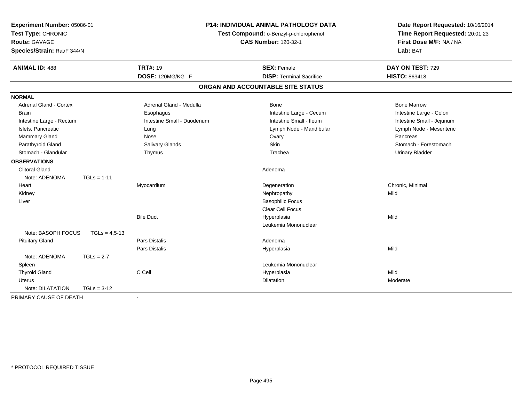| Experiment Number: 05086-01<br>Test Type: CHRONIC<br>Route: GAVAGE<br>Species/Strain: Rat/F 344/N |                 |                            | <b>P14: INDIVIDUAL ANIMAL PATHOLOGY DATA</b><br>Test Compound: o-Benzyl-p-chlorophenol<br><b>CAS Number: 120-32-1</b> | Date Report Requested: 10/16/2014<br>Time Report Requested: 20:01:23<br>First Dose M/F: NA / NA<br>Lab: BAT |  |
|---------------------------------------------------------------------------------------------------|-----------------|----------------------------|-----------------------------------------------------------------------------------------------------------------------|-------------------------------------------------------------------------------------------------------------|--|
| <b>ANIMAL ID: 488</b>                                                                             |                 | <b>TRT#: 19</b>            | <b>SEX: Female</b>                                                                                                    | DAY ON TEST: 729                                                                                            |  |
|                                                                                                   |                 | DOSE: 120MG/KG F           | <b>DISP: Terminal Sacrifice</b>                                                                                       | <b>HISTO: 863418</b>                                                                                        |  |
|                                                                                                   |                 |                            | ORGAN AND ACCOUNTABLE SITE STATUS                                                                                     |                                                                                                             |  |
| <b>NORMAL</b>                                                                                     |                 |                            |                                                                                                                       |                                                                                                             |  |
| <b>Adrenal Gland - Cortex</b>                                                                     |                 | Adrenal Gland - Medulla    | <b>Bone</b>                                                                                                           | <b>Bone Marrow</b>                                                                                          |  |
| <b>Brain</b>                                                                                      |                 | Esophagus                  | Intestine Large - Cecum                                                                                               | Intestine Large - Colon                                                                                     |  |
| Intestine Large - Rectum                                                                          |                 | Intestine Small - Duodenum | Intestine Small - Ileum                                                                                               | Intestine Small - Jejunum                                                                                   |  |
| Islets, Pancreatic                                                                                |                 | Lung                       | Lymph Node - Mandibular                                                                                               | Lymph Node - Mesenteric                                                                                     |  |
| Mammary Gland                                                                                     |                 | Nose                       | Ovary                                                                                                                 | Pancreas                                                                                                    |  |
| Parathyroid Gland                                                                                 |                 | Salivary Glands            | Skin                                                                                                                  | Stomach - Forestomach                                                                                       |  |
| Stomach - Glandular                                                                               |                 | Thymus                     | Trachea                                                                                                               | <b>Urinary Bladder</b>                                                                                      |  |
| <b>OBSERVATIONS</b>                                                                               |                 |                            |                                                                                                                       |                                                                                                             |  |
| <b>Clitoral Gland</b>                                                                             |                 |                            | Adenoma                                                                                                               |                                                                                                             |  |
| Note: ADENOMA                                                                                     | $TGLs = 1-11$   |                            |                                                                                                                       |                                                                                                             |  |
| Heart                                                                                             |                 | Myocardium                 | Degeneration                                                                                                          | Chronic, Minimal                                                                                            |  |
| Kidney                                                                                            |                 |                            | Nephropathy                                                                                                           | Mild                                                                                                        |  |
| Liver                                                                                             |                 |                            | <b>Basophilic Focus</b>                                                                                               |                                                                                                             |  |
|                                                                                                   |                 |                            | Clear Cell Focus                                                                                                      |                                                                                                             |  |
|                                                                                                   |                 | <b>Bile Duct</b>           | Hyperplasia                                                                                                           | Mild                                                                                                        |  |
|                                                                                                   |                 |                            | Leukemia Mononuclear                                                                                                  |                                                                                                             |  |
| Note: BASOPH FOCUS                                                                                | $TGLs = 4.5-13$ |                            |                                                                                                                       |                                                                                                             |  |
| <b>Pituitary Gland</b>                                                                            |                 | Pars Distalis              | Adenoma                                                                                                               |                                                                                                             |  |
|                                                                                                   |                 | <b>Pars Distalis</b>       | Hyperplasia                                                                                                           | Mild                                                                                                        |  |
| Note: ADENOMA                                                                                     | $TGLs = 2-7$    |                            |                                                                                                                       |                                                                                                             |  |
| Spleen                                                                                            |                 |                            | Leukemia Mononuclear                                                                                                  |                                                                                                             |  |
| <b>Thyroid Gland</b>                                                                              |                 | C Cell                     | Hyperplasia                                                                                                           | Mild                                                                                                        |  |
| Uterus                                                                                            |                 |                            | Dilatation                                                                                                            | Moderate                                                                                                    |  |
| Note: DILATATION                                                                                  | $TGLs = 3-12$   |                            |                                                                                                                       |                                                                                                             |  |
| PRIMARY CAUSE OF DEATH                                                                            |                 | $\sim$                     |                                                                                                                       |                                                                                                             |  |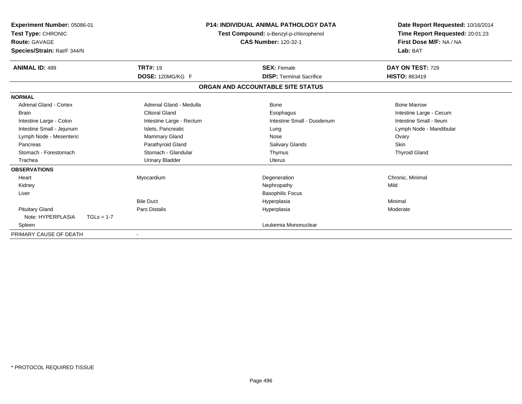| Experiment Number: 05086-01<br>Test Type: CHRONIC<br><b>Route: GAVAGE</b><br>Species/Strain: Rat/F 344/N |                          | <b>P14: INDIVIDUAL ANIMAL PATHOLOGY DATA</b><br>Test Compound: o-Benzyl-p-chlorophenol<br><b>CAS Number: 120-32-1</b> | Date Report Requested: 10/16/2014<br>Time Report Requested: 20:01:23<br>First Dose M/F: NA / NA<br>Lab: BAT |
|----------------------------------------------------------------------------------------------------------|--------------------------|-----------------------------------------------------------------------------------------------------------------------|-------------------------------------------------------------------------------------------------------------|
| <b>ANIMAL ID: 489</b>                                                                                    | <b>TRT#: 19</b>          | <b>SEX: Female</b>                                                                                                    | DAY ON TEST: 729                                                                                            |
|                                                                                                          | DOSE: 120MG/KG F         | <b>DISP: Terminal Sacrifice</b>                                                                                       | <b>HISTO: 863419</b>                                                                                        |
|                                                                                                          |                          | ORGAN AND ACCOUNTABLE SITE STATUS                                                                                     |                                                                                                             |
| <b>NORMAL</b>                                                                                            |                          |                                                                                                                       |                                                                                                             |
| <b>Adrenal Gland - Cortex</b>                                                                            | Adrenal Gland - Medulla  | <b>Bone</b>                                                                                                           | <b>Bone Marrow</b>                                                                                          |
| <b>Brain</b>                                                                                             | <b>Clitoral Gland</b>    | Esophagus                                                                                                             | Intestine Large - Cecum                                                                                     |
| Intestine Large - Colon                                                                                  | Intestine Large - Rectum | Intestine Small - Duodenum                                                                                            | Intestine Small - Ileum                                                                                     |
| Intestine Small - Jejunum                                                                                | Islets, Pancreatic       | Lung                                                                                                                  | Lymph Node - Mandibular                                                                                     |
| Lymph Node - Mesenteric                                                                                  | Mammary Gland            | Nose                                                                                                                  | Ovary                                                                                                       |
| Pancreas                                                                                                 | Parathyroid Gland        | Salivary Glands                                                                                                       | Skin                                                                                                        |
| Stomach - Forestomach                                                                                    | Stomach - Glandular      | Thymus                                                                                                                | <b>Thyroid Gland</b>                                                                                        |
| Trachea                                                                                                  | <b>Urinary Bladder</b>   | <b>Uterus</b>                                                                                                         |                                                                                                             |
| <b>OBSERVATIONS</b>                                                                                      |                          |                                                                                                                       |                                                                                                             |
| Heart                                                                                                    | Myocardium               | Degeneration                                                                                                          | Chronic, Minimal                                                                                            |
| Kidney                                                                                                   |                          | Nephropathy                                                                                                           | Mild                                                                                                        |
| Liver                                                                                                    |                          | <b>Basophilic Focus</b>                                                                                               |                                                                                                             |
|                                                                                                          | <b>Bile Duct</b>         | Hyperplasia                                                                                                           | Minimal                                                                                                     |
| <b>Pituitary Gland</b>                                                                                   | <b>Pars Distalis</b>     | Hyperplasia                                                                                                           | Moderate                                                                                                    |
| Note: HYPERPLASIA<br>$TGLs = 1-7$                                                                        |                          |                                                                                                                       |                                                                                                             |
| Spleen                                                                                                   |                          | Leukemia Mononuclear                                                                                                  |                                                                                                             |
| PRIMARY CAUSE OF DEATH                                                                                   |                          |                                                                                                                       |                                                                                                             |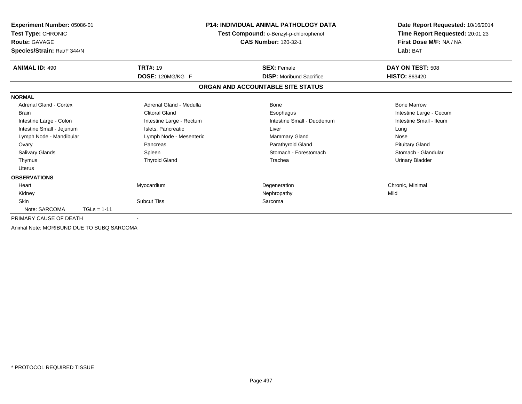| Experiment Number: 05086-01<br>Test Type: CHRONIC<br><b>Route: GAVAGE</b><br>Species/Strain: Rat/F 344/N |                          | <b>P14: INDIVIDUAL ANIMAL PATHOLOGY DATA</b><br>Test Compound: o-Benzyl-p-chlorophenol<br><b>CAS Number: 120-32-1</b> | Date Report Requested: 10/16/2014<br>Time Report Requested: 20:01:23<br>First Dose M/F: NA / NA<br>Lab: BAT |
|----------------------------------------------------------------------------------------------------------|--------------------------|-----------------------------------------------------------------------------------------------------------------------|-------------------------------------------------------------------------------------------------------------|
| <b>ANIMAL ID: 490</b>                                                                                    | <b>TRT#: 19</b>          | <b>SEX: Female</b>                                                                                                    | DAY ON TEST: 508                                                                                            |
|                                                                                                          | DOSE: 120MG/KG F         | <b>DISP:</b> Moribund Sacrifice                                                                                       | <b>HISTO: 863420</b>                                                                                        |
|                                                                                                          |                          | ORGAN AND ACCOUNTABLE SITE STATUS                                                                                     |                                                                                                             |
| <b>NORMAL</b>                                                                                            |                          |                                                                                                                       |                                                                                                             |
| Adrenal Gland - Cortex                                                                                   | Adrenal Gland - Medulla  | Bone                                                                                                                  | <b>Bone Marrow</b>                                                                                          |
| <b>Brain</b>                                                                                             | <b>Clitoral Gland</b>    | Esophagus                                                                                                             | Intestine Large - Cecum                                                                                     |
| Intestine Large - Colon                                                                                  | Intestine Large - Rectum | Intestine Small - Duodenum                                                                                            | Intestine Small - Ileum                                                                                     |
| Intestine Small - Jejunum                                                                                | Islets, Pancreatic       | Liver                                                                                                                 | Lung                                                                                                        |
| Lymph Node - Mandibular                                                                                  | Lymph Node - Mesenteric  | <b>Mammary Gland</b>                                                                                                  | Nose                                                                                                        |
| Ovary                                                                                                    | Pancreas                 | Parathyroid Gland                                                                                                     | <b>Pituitary Gland</b>                                                                                      |
| <b>Salivary Glands</b>                                                                                   | Spleen                   | Stomach - Forestomach                                                                                                 | Stomach - Glandular                                                                                         |
| Thymus                                                                                                   | <b>Thyroid Gland</b>     | Trachea                                                                                                               | <b>Urinary Bladder</b>                                                                                      |
| Uterus                                                                                                   |                          |                                                                                                                       |                                                                                                             |
| <b>OBSERVATIONS</b>                                                                                      |                          |                                                                                                                       |                                                                                                             |
| Heart                                                                                                    | Myocardium               | Degeneration                                                                                                          | Chronic, Minimal                                                                                            |
| Kidney                                                                                                   |                          | Nephropathy                                                                                                           | Mild                                                                                                        |
| <b>Skin</b>                                                                                              | <b>Subcut Tiss</b>       | Sarcoma                                                                                                               |                                                                                                             |
| Note: SARCOMA<br>$TGLs = 1-11$                                                                           |                          |                                                                                                                       |                                                                                                             |
| PRIMARY CAUSE OF DEATH                                                                                   |                          |                                                                                                                       |                                                                                                             |
| Animal Note: MORIBUND DUE TO SUBQ SARCOMA                                                                |                          |                                                                                                                       |                                                                                                             |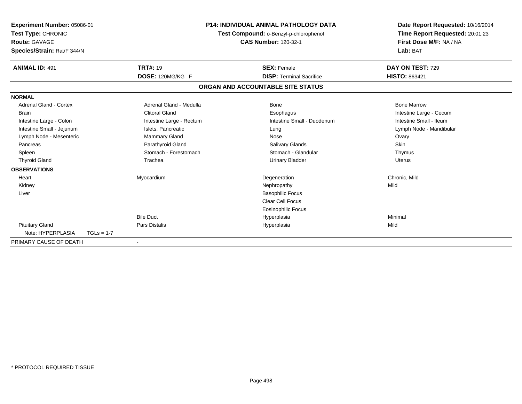| Experiment Number: 05086-01<br>Test Type: CHRONIC<br><b>Route: GAVAGE</b><br>Species/Strain: Rat/F 344/N |              |                          | <b>P14: INDIVIDUAL ANIMAL PATHOLOGY DATA</b><br>Test Compound: o-Benzyl-p-chlorophenol<br><b>CAS Number: 120-32-1</b> | Date Report Requested: 10/16/2014<br>Time Report Requested: 20:01:23<br>First Dose M/F: NA / NA<br>Lab: BAT |
|----------------------------------------------------------------------------------------------------------|--------------|--------------------------|-----------------------------------------------------------------------------------------------------------------------|-------------------------------------------------------------------------------------------------------------|
| <b>ANIMAL ID: 491</b>                                                                                    |              | <b>TRT#: 19</b>          | <b>SEX: Female</b>                                                                                                    | DAY ON TEST: 729                                                                                            |
|                                                                                                          |              | DOSE: 120MG/KG F         | <b>DISP: Terminal Sacrifice</b>                                                                                       | <b>HISTO: 863421</b>                                                                                        |
|                                                                                                          |              |                          | ORGAN AND ACCOUNTABLE SITE STATUS                                                                                     |                                                                                                             |
| <b>NORMAL</b>                                                                                            |              |                          |                                                                                                                       |                                                                                                             |
| <b>Adrenal Gland - Cortex</b>                                                                            |              | Adrenal Gland - Medulla  | <b>Bone</b>                                                                                                           | <b>Bone Marrow</b>                                                                                          |
| <b>Brain</b>                                                                                             |              | <b>Clitoral Gland</b>    | Esophagus                                                                                                             | Intestine Large - Cecum                                                                                     |
| Intestine Large - Colon                                                                                  |              | Intestine Large - Rectum | Intestine Small - Duodenum                                                                                            | Intestine Small - Ileum                                                                                     |
| Intestine Small - Jejunum                                                                                |              | Islets, Pancreatic       | Lung                                                                                                                  | Lymph Node - Mandibular                                                                                     |
| Lymph Node - Mesenteric                                                                                  |              | <b>Mammary Gland</b>     | Nose                                                                                                                  | Ovary                                                                                                       |
| Pancreas                                                                                                 |              | Parathyroid Gland        | <b>Salivary Glands</b>                                                                                                | <b>Skin</b>                                                                                                 |
| Spleen                                                                                                   |              | Stomach - Forestomach    | Stomach - Glandular                                                                                                   | Thymus                                                                                                      |
| <b>Thyroid Gland</b>                                                                                     |              | Trachea                  | <b>Urinary Bladder</b>                                                                                                | <b>Uterus</b>                                                                                               |
| <b>OBSERVATIONS</b>                                                                                      |              |                          |                                                                                                                       |                                                                                                             |
| Heart                                                                                                    |              | Myocardium               | Degeneration                                                                                                          | Chronic, Mild                                                                                               |
| Kidney                                                                                                   |              |                          | Nephropathy                                                                                                           | Mild                                                                                                        |
| Liver                                                                                                    |              |                          | <b>Basophilic Focus</b>                                                                                               |                                                                                                             |
|                                                                                                          |              |                          | <b>Clear Cell Focus</b>                                                                                               |                                                                                                             |
|                                                                                                          |              |                          | <b>Eosinophilic Focus</b>                                                                                             |                                                                                                             |
|                                                                                                          |              | <b>Bile Duct</b>         | Hyperplasia                                                                                                           | Minimal                                                                                                     |
| <b>Pituitary Gland</b>                                                                                   |              | Pars Distalis            | Hyperplasia                                                                                                           | Mild                                                                                                        |
| Note: HYPERPLASIA                                                                                        | $TGLs = 1-7$ |                          |                                                                                                                       |                                                                                                             |
| PRIMARY CAUSE OF DEATH                                                                                   |              | $\overline{\phantom{a}}$ |                                                                                                                       |                                                                                                             |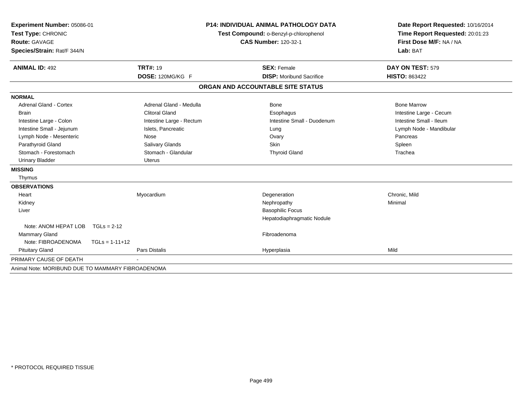| Experiment Number: 05086-01<br>Test Type: CHRONIC<br><b>Route: GAVAGE</b><br>Species/Strain: Rat/F 344/N<br><b>ANIMAL ID: 492</b> |                  | <b>TRT#: 19</b>          | <b>P14: INDIVIDUAL ANIMAL PATHOLOGY DATA</b><br>Test Compound: o-Benzyl-p-chlorophenol<br><b>CAS Number: 120-32-1</b><br><b>SEX: Female</b> | Date Report Requested: 10/16/2014<br>Time Report Requested: 20:01:23<br>First Dose M/F: NA / NA<br>Lab: BAT<br>DAY ON TEST: 579 |
|-----------------------------------------------------------------------------------------------------------------------------------|------------------|--------------------------|---------------------------------------------------------------------------------------------------------------------------------------------|---------------------------------------------------------------------------------------------------------------------------------|
|                                                                                                                                   |                  | DOSE: 120MG/KG F         | <b>DISP:</b> Moribund Sacrifice                                                                                                             | <b>HISTO: 863422</b>                                                                                                            |
|                                                                                                                                   |                  |                          | ORGAN AND ACCOUNTABLE SITE STATUS                                                                                                           |                                                                                                                                 |
|                                                                                                                                   |                  |                          |                                                                                                                                             |                                                                                                                                 |
| <b>NORMAL</b><br><b>Adrenal Gland - Cortex</b>                                                                                    |                  | Adrenal Gland - Medulla  | Bone                                                                                                                                        | <b>Bone Marrow</b>                                                                                                              |
| <b>Brain</b>                                                                                                                      |                  | <b>Clitoral Gland</b>    | Esophagus                                                                                                                                   | Intestine Large - Cecum                                                                                                         |
| Intestine Large - Colon                                                                                                           |                  | Intestine Large - Rectum | Intestine Small - Duodenum                                                                                                                  | Intestine Small - Ileum                                                                                                         |
| Intestine Small - Jejunum                                                                                                         |                  | Islets, Pancreatic       | Lung                                                                                                                                        | Lymph Node - Mandibular                                                                                                         |
| Lymph Node - Mesenteric                                                                                                           |                  | Nose                     | Ovary                                                                                                                                       | Pancreas                                                                                                                        |
| Parathyroid Gland                                                                                                                 |                  | Salivary Glands          | <b>Skin</b>                                                                                                                                 | Spleen                                                                                                                          |
| Stomach - Forestomach                                                                                                             |                  | Stomach - Glandular      | <b>Thyroid Gland</b>                                                                                                                        | Trachea                                                                                                                         |
| <b>Urinary Bladder</b>                                                                                                            |                  | <b>Uterus</b>            |                                                                                                                                             |                                                                                                                                 |
| <b>MISSING</b>                                                                                                                    |                  |                          |                                                                                                                                             |                                                                                                                                 |
| Thymus                                                                                                                            |                  |                          |                                                                                                                                             |                                                                                                                                 |
| <b>OBSERVATIONS</b>                                                                                                               |                  |                          |                                                                                                                                             |                                                                                                                                 |
| Heart                                                                                                                             |                  | Myocardium               | Degeneration                                                                                                                                | Chronic. Mild                                                                                                                   |
| Kidney                                                                                                                            |                  |                          | Nephropathy                                                                                                                                 | Minimal                                                                                                                         |
| Liver                                                                                                                             |                  |                          | <b>Basophilic Focus</b>                                                                                                                     |                                                                                                                                 |
|                                                                                                                                   |                  |                          | Hepatodiaphragmatic Nodule                                                                                                                  |                                                                                                                                 |
| Note: ANOM HEPAT LOB                                                                                                              | $TGLs = 2-12$    |                          |                                                                                                                                             |                                                                                                                                 |
| Mammary Gland                                                                                                                     |                  |                          | Fibroadenoma                                                                                                                                |                                                                                                                                 |
| Note: FIBROADENOMA                                                                                                                | $TGLs = 1-11+12$ |                          |                                                                                                                                             |                                                                                                                                 |
| <b>Pituitary Gland</b>                                                                                                            |                  | <b>Pars Distalis</b>     | Hyperplasia                                                                                                                                 | Mild                                                                                                                            |
| PRIMARY CAUSE OF DEATH                                                                                                            |                  |                          |                                                                                                                                             |                                                                                                                                 |
| Animal Note: MORIBUND DUE TO MAMMARY FIBROADENOMA                                                                                 |                  |                          |                                                                                                                                             |                                                                                                                                 |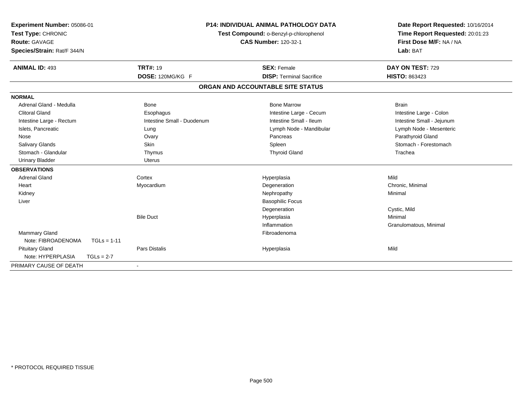| Experiment Number: 05086-01<br>Test Type: CHRONIC<br><b>Route: GAVAGE</b><br>Species/Strain: Rat/F 344/N<br><b>ANIMAL ID: 493</b> | <b>TRT#: 19</b>            | <b>P14: INDIVIDUAL ANIMAL PATHOLOGY DATA</b><br>Test Compound: o-Benzyl-p-chlorophenol<br><b>CAS Number: 120-32-1</b><br><b>SEX: Female</b> | Date Report Requested: 10/16/2014<br>Time Report Requested: 20:01:23<br>First Dose M/F: NA / NA<br>Lab: BAT<br>DAY ON TEST: 729 |
|-----------------------------------------------------------------------------------------------------------------------------------|----------------------------|---------------------------------------------------------------------------------------------------------------------------------------------|---------------------------------------------------------------------------------------------------------------------------------|
|                                                                                                                                   | DOSE: 120MG/KG F           | <b>DISP: Terminal Sacrifice</b>                                                                                                             | HISTO: 863423                                                                                                                   |
|                                                                                                                                   |                            | ORGAN AND ACCOUNTABLE SITE STATUS                                                                                                           |                                                                                                                                 |
| <b>NORMAL</b>                                                                                                                     |                            |                                                                                                                                             |                                                                                                                                 |
| Adrenal Gland - Medulla<br><b>Clitoral Gland</b>                                                                                  | Bone<br>Esophagus          | <b>Bone Marrow</b><br>Intestine Large - Cecum                                                                                               | <b>Brain</b><br>Intestine Large - Colon                                                                                         |
| Intestine Large - Rectum                                                                                                          | Intestine Small - Duodenum | Intestine Small - Ileum                                                                                                                     | Intestine Small - Jejunum                                                                                                       |
| Islets, Pancreatic<br>Nose                                                                                                        | Lung<br>Ovary              | Lymph Node - Mandibular<br>Pancreas                                                                                                         | Lymph Node - Mesenteric<br>Parathyroid Gland                                                                                    |
| <b>Salivary Glands</b>                                                                                                            | Skin                       | Spleen                                                                                                                                      | Stomach - Forestomach                                                                                                           |
| Stomach - Glandular                                                                                                               | Thymus                     | <b>Thyroid Gland</b>                                                                                                                        | Trachea                                                                                                                         |
| <b>Urinary Bladder</b>                                                                                                            | Uterus                     |                                                                                                                                             |                                                                                                                                 |
| <b>OBSERVATIONS</b>                                                                                                               |                            |                                                                                                                                             |                                                                                                                                 |
| <b>Adrenal Gland</b>                                                                                                              | Cortex                     | Hyperplasia                                                                                                                                 | Mild                                                                                                                            |
| Heart                                                                                                                             | Myocardium                 | Degeneration                                                                                                                                | Chronic, Minimal                                                                                                                |
| Kidney                                                                                                                            |                            | Nephropathy                                                                                                                                 | Minimal                                                                                                                         |
| Liver                                                                                                                             |                            | <b>Basophilic Focus</b>                                                                                                                     | Cystic, Mild                                                                                                                    |
|                                                                                                                                   | <b>Bile Duct</b>           | Degeneration<br>Hyperplasia                                                                                                                 | Minimal                                                                                                                         |
|                                                                                                                                   |                            | Inflammation                                                                                                                                | Granulomatous, Minimal                                                                                                          |
| Mammary Gland<br>Note: FIBROADENOMA<br>$TGLs = 1-11$                                                                              |                            | Fibroadenoma                                                                                                                                |                                                                                                                                 |
| <b>Pituitary Gland</b>                                                                                                            | <b>Pars Distalis</b>       | Hyperplasia                                                                                                                                 | Mild                                                                                                                            |
| Note: HYPERPLASIA<br>$TGLs = 2-7$                                                                                                 |                            |                                                                                                                                             |                                                                                                                                 |
| PRIMARY CAUSE OF DEATH                                                                                                            |                            |                                                                                                                                             |                                                                                                                                 |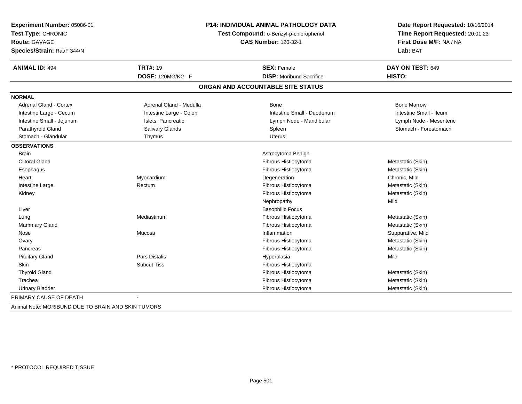| Experiment Number: 05086-01<br>Test Type: CHRONIC<br><b>Route: GAVAGE</b><br>Species/Strain: Rat/F 344/N | <b>P14: INDIVIDUAL ANIMAL PATHOLOGY DATA</b><br>Test Compound: o-Benzyl-p-chlorophenol | Date Report Requested: 10/16/2014<br>Time Report Requested: 20:01:23<br>First Dose M/F: NA / NA<br>Lab: BAT |                         |
|----------------------------------------------------------------------------------------------------------|----------------------------------------------------------------------------------------|-------------------------------------------------------------------------------------------------------------|-------------------------|
| <b>ANIMAL ID: 494</b>                                                                                    | <b>TRT#: 19</b>                                                                        | <b>SEX: Female</b>                                                                                          | DAY ON TEST: 649        |
|                                                                                                          | DOSE: 120MG/KG F                                                                       | <b>DISP:</b> Moribund Sacrifice                                                                             | HISTO:                  |
|                                                                                                          |                                                                                        | ORGAN AND ACCOUNTABLE SITE STATUS                                                                           |                         |
| <b>NORMAL</b>                                                                                            |                                                                                        |                                                                                                             |                         |
| <b>Adrenal Gland - Cortex</b>                                                                            | Adrenal Gland - Medulla                                                                | Bone                                                                                                        | <b>Bone Marrow</b>      |
| Intestine Large - Cecum                                                                                  | Intestine Large - Colon                                                                | Intestine Small - Duodenum                                                                                  | Intestine Small - Ileum |
| Intestine Small - Jejunum                                                                                | Islets, Pancreatic                                                                     | Lymph Node - Mandibular                                                                                     | Lymph Node - Mesenteric |
| Parathyroid Gland                                                                                        | Salivary Glands                                                                        | Spleen                                                                                                      | Stomach - Forestomach   |
| Stomach - Glandular                                                                                      | Thymus                                                                                 | <b>Uterus</b>                                                                                               |                         |
| <b>OBSERVATIONS</b>                                                                                      |                                                                                        |                                                                                                             |                         |
| <b>Brain</b>                                                                                             |                                                                                        | Astrocytoma Benign                                                                                          |                         |
| <b>Clitoral Gland</b>                                                                                    |                                                                                        | Fibrous Histiocytoma                                                                                        | Metastatic (Skin)       |
| Esophagus                                                                                                |                                                                                        | Fibrous Histiocytoma                                                                                        | Metastatic (Skin)       |
| Heart                                                                                                    | Myocardium                                                                             | Degeneration                                                                                                | Chronic, Mild           |
| Intestine Large                                                                                          | Rectum                                                                                 | Fibrous Histiocytoma                                                                                        | Metastatic (Skin)       |
| Kidney                                                                                                   |                                                                                        | Fibrous Histiocytoma                                                                                        | Metastatic (Skin)       |
|                                                                                                          |                                                                                        | Nephropathy                                                                                                 | Mild                    |
| Liver                                                                                                    |                                                                                        | <b>Basophilic Focus</b>                                                                                     |                         |
| Lung                                                                                                     | Mediastinum                                                                            | Fibrous Histiocytoma                                                                                        | Metastatic (Skin)       |
| <b>Mammary Gland</b>                                                                                     |                                                                                        | Fibrous Histiocytoma                                                                                        | Metastatic (Skin)       |
| Nose                                                                                                     | Mucosa                                                                                 | Inflammation                                                                                                | Suppurative, Mild       |
| Ovary                                                                                                    |                                                                                        | Fibrous Histiocytoma                                                                                        | Metastatic (Skin)       |
| Pancreas                                                                                                 |                                                                                        | Fibrous Histiocytoma                                                                                        | Metastatic (Skin)       |
| <b>Pituitary Gland</b>                                                                                   | Pars Distalis                                                                          | Hyperplasia                                                                                                 | Mild                    |
| <b>Skin</b>                                                                                              | <b>Subcut Tiss</b>                                                                     | Fibrous Histiocytoma                                                                                        |                         |
| <b>Thyroid Gland</b>                                                                                     |                                                                                        | Fibrous Histiocytoma                                                                                        | Metastatic (Skin)       |
| Trachea                                                                                                  |                                                                                        | Fibrous Histiocytoma                                                                                        | Metastatic (Skin)       |
| <b>Urinary Bladder</b>                                                                                   |                                                                                        | Fibrous Histiocytoma                                                                                        | Metastatic (Skin)       |
| PRIMARY CAUSE OF DEATH                                                                                   |                                                                                        |                                                                                                             |                         |

Animal Note: MORIBUND DUE TO BRAIN AND SKIN TUMORS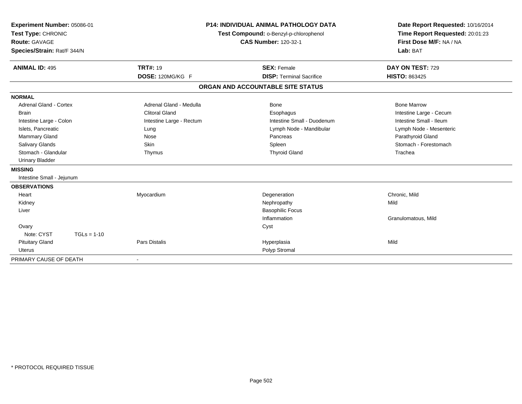| Experiment Number: 05086-01<br>Test Type: CHRONIC<br><b>Route: GAVAGE</b><br>Species/Strain: Rat/F 344/N |                          | <b>P14: INDIVIDUAL ANIMAL PATHOLOGY DATA</b><br>Test Compound: o-Benzyl-p-chlorophenol<br><b>CAS Number: 120-32-1</b> | Date Report Requested: 10/16/2014<br>Time Report Requested: 20:01:23<br>First Dose M/F: NA / NA<br>Lab: BAT |
|----------------------------------------------------------------------------------------------------------|--------------------------|-----------------------------------------------------------------------------------------------------------------------|-------------------------------------------------------------------------------------------------------------|
| <b>ANIMAL ID: 495</b>                                                                                    | <b>TRT#: 19</b>          | <b>SEX: Female</b>                                                                                                    | DAY ON TEST: 729                                                                                            |
|                                                                                                          | DOSE: 120MG/KG F         | <b>DISP: Terminal Sacrifice</b>                                                                                       | <b>HISTO: 863425</b>                                                                                        |
|                                                                                                          |                          | ORGAN AND ACCOUNTABLE SITE STATUS                                                                                     |                                                                                                             |
| <b>NORMAL</b>                                                                                            |                          |                                                                                                                       |                                                                                                             |
| <b>Adrenal Gland - Cortex</b>                                                                            | Adrenal Gland - Medulla  | Bone                                                                                                                  | <b>Bone Marrow</b>                                                                                          |
| <b>Brain</b>                                                                                             | <b>Clitoral Gland</b>    | Esophagus                                                                                                             | Intestine Large - Cecum                                                                                     |
| Intestine Large - Colon                                                                                  | Intestine Large - Rectum | Intestine Small - Duodenum                                                                                            | Intestine Small - Ileum                                                                                     |
| Islets, Pancreatic                                                                                       | Lung                     | Lymph Node - Mandibular                                                                                               | Lymph Node - Mesenteric                                                                                     |
| <b>Mammary Gland</b>                                                                                     | Nose                     | Pancreas                                                                                                              | Parathyroid Gland                                                                                           |
| <b>Salivary Glands</b>                                                                                   | Skin                     | Spleen                                                                                                                | Stomach - Forestomach                                                                                       |
| Stomach - Glandular                                                                                      | Thymus                   | <b>Thyroid Gland</b>                                                                                                  | Trachea                                                                                                     |
| <b>Urinary Bladder</b>                                                                                   |                          |                                                                                                                       |                                                                                                             |
| <b>MISSING</b>                                                                                           |                          |                                                                                                                       |                                                                                                             |
| Intestine Small - Jejunum                                                                                |                          |                                                                                                                       |                                                                                                             |
| <b>OBSERVATIONS</b>                                                                                      |                          |                                                                                                                       |                                                                                                             |
| Heart                                                                                                    | Myocardium               | Degeneration                                                                                                          | Chronic, Mild                                                                                               |
| Kidney                                                                                                   |                          | Nephropathy                                                                                                           | Mild                                                                                                        |
| Liver                                                                                                    |                          | <b>Basophilic Focus</b>                                                                                               |                                                                                                             |
|                                                                                                          |                          | Inflammation                                                                                                          | Granulomatous, Mild                                                                                         |
| Ovary                                                                                                    |                          | Cyst                                                                                                                  |                                                                                                             |
| Note: CYST<br>$TGLs = 1-10$                                                                              |                          |                                                                                                                       |                                                                                                             |
| <b>Pituitary Gland</b>                                                                                   | <b>Pars Distalis</b>     | Hyperplasia                                                                                                           | Mild                                                                                                        |
| <b>Uterus</b>                                                                                            |                          | Polyp Stromal                                                                                                         |                                                                                                             |
| PRIMARY CAUSE OF DEATH                                                                                   |                          |                                                                                                                       |                                                                                                             |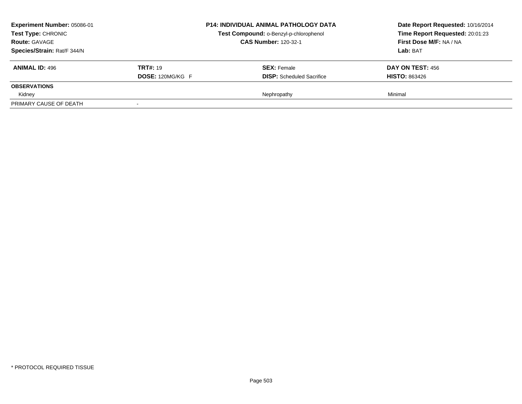| Experiment Number: 05086-01<br><b>Test Type: CHRONIC</b><br><b>Route: GAVAGE</b><br>Species/Strain: Rat/F 344/N |                                            | <b>P14: INDIVIDUAL ANIMAL PATHOLOGY DATA</b><br>Test Compound: o-Benzyl-p-chlorophenol<br><b>CAS Number: 120-32-1</b> | Date Report Requested: 10/16/2014<br>Time Report Requested: 20:01:23<br>First Dose M/F: NA / NA<br>Lab: BAT |
|-----------------------------------------------------------------------------------------------------------------|--------------------------------------------|-----------------------------------------------------------------------------------------------------------------------|-------------------------------------------------------------------------------------------------------------|
| <b>ANIMAL ID: 496</b>                                                                                           | <b>TRT#: 19</b><br><b>DOSE: 120MG/KG F</b> | <b>SEX:</b> Female<br><b>DISP:</b> Scheduled Sacrifice                                                                | DAY ON TEST: 456<br><b>HISTO: 863426</b>                                                                    |
| <b>OBSERVATIONS</b>                                                                                             |                                            |                                                                                                                       |                                                                                                             |
| Kidney                                                                                                          |                                            | Nephropathy                                                                                                           | Minimal                                                                                                     |
| PRIMARY CAUSE OF DEATH                                                                                          |                                            |                                                                                                                       |                                                                                                             |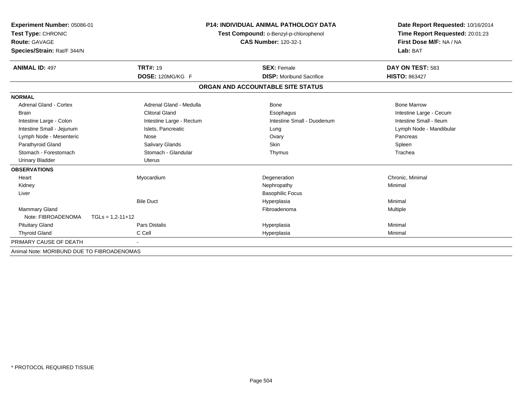| Experiment Number: 05086-01<br>Test Type: CHRONIC<br>Route: GAVAGE |                          | <b>P14: INDIVIDUAL ANIMAL PATHOLOGY DATA</b><br>Test Compound: o-Benzyl-p-chlorophenol<br><b>CAS Number: 120-32-1</b> | Date Report Requested: 10/16/2014<br>Time Report Requested: 20:01:23 |  |
|--------------------------------------------------------------------|--------------------------|-----------------------------------------------------------------------------------------------------------------------|----------------------------------------------------------------------|--|
| Species/Strain: Rat/F 344/N                                        |                          |                                                                                                                       | First Dose M/F: NA / NA<br>Lab: BAT                                  |  |
| <b>ANIMAL ID: 497</b>                                              | <b>TRT#: 19</b>          | <b>SEX: Female</b>                                                                                                    | DAY ON TEST: 583                                                     |  |
|                                                                    | DOSE: 120MG/KG F         | <b>DISP:</b> Moribund Sacrifice                                                                                       | <b>HISTO: 863427</b>                                                 |  |
|                                                                    |                          | ORGAN AND ACCOUNTABLE SITE STATUS                                                                                     |                                                                      |  |
| <b>NORMAL</b>                                                      |                          |                                                                                                                       |                                                                      |  |
| Adrenal Gland - Cortex                                             | Adrenal Gland - Medulla  | Bone                                                                                                                  | <b>Bone Marrow</b>                                                   |  |
| <b>Brain</b>                                                       | <b>Clitoral Gland</b>    | Esophagus                                                                                                             | Intestine Large - Cecum                                              |  |
| Intestine Large - Colon                                            | Intestine Large - Rectum | Intestine Small - Duodenum                                                                                            | Intestine Small - Ileum                                              |  |
| Intestine Small - Jejunum                                          | Islets, Pancreatic       | Lung                                                                                                                  | Lymph Node - Mandibular                                              |  |
| Lymph Node - Mesenteric                                            | Nose                     | Ovary                                                                                                                 | Pancreas                                                             |  |
| Parathyroid Gland                                                  | Salivary Glands          | <b>Skin</b>                                                                                                           | Spleen                                                               |  |
| Stomach - Forestomach                                              | Stomach - Glandular      | Thymus                                                                                                                | Trachea                                                              |  |
| <b>Urinary Bladder</b>                                             | <b>Uterus</b>            |                                                                                                                       |                                                                      |  |
| <b>OBSERVATIONS</b>                                                |                          |                                                                                                                       |                                                                      |  |
| Heart                                                              | Myocardium               | Degeneration                                                                                                          | Chronic, Minimal                                                     |  |
| Kidney                                                             |                          | Nephropathy                                                                                                           | Minimal                                                              |  |
| Liver                                                              |                          | <b>Basophilic Focus</b>                                                                                               |                                                                      |  |
|                                                                    | <b>Bile Duct</b>         | Hyperplasia                                                                                                           | Minimal                                                              |  |
| Mammary Gland                                                      |                          | Fibroadenoma                                                                                                          | Multiple                                                             |  |
| Note: FIBROADENOMA                                                 | $TGLs = 1,2-11+12$       |                                                                                                                       |                                                                      |  |
| <b>Pituitary Gland</b>                                             | <b>Pars Distalis</b>     | Hyperplasia                                                                                                           | Minimal                                                              |  |
| <b>Thyroid Gland</b>                                               | C Cell                   | Hyperplasia                                                                                                           | Minimal                                                              |  |
| PRIMARY CAUSE OF DEATH                                             |                          |                                                                                                                       |                                                                      |  |
| Animal Note: MORIBUND DUE TO FIBROADENOMAS                         |                          |                                                                                                                       |                                                                      |  |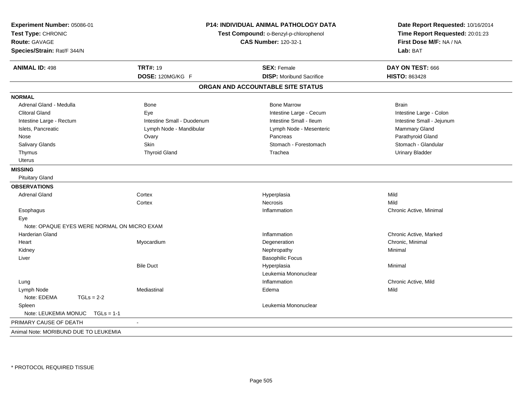| Experiment Number: 05086-01<br>Test Type: CHRONIC<br><b>Route: GAVAGE</b><br>Species/Strain: Rat/F 344/N | P14: INDIVIDUAL ANIMAL PATHOLOGY DATA<br>Test Compound: o-Benzyl-p-chlorophenol | Date Report Requested: 10/16/2014<br>Time Report Requested: 20:01:23<br>First Dose M/F: NA / NA<br>Lab: BAT |                           |
|----------------------------------------------------------------------------------------------------------|---------------------------------------------------------------------------------|-------------------------------------------------------------------------------------------------------------|---------------------------|
| <b>ANIMAL ID: 498</b>                                                                                    | <b>TRT#: 19</b>                                                                 | <b>SEX: Female</b>                                                                                          | DAY ON TEST: 666          |
|                                                                                                          | DOSE: 120MG/KG F                                                                | <b>DISP:</b> Moribund Sacrifice                                                                             | <b>HISTO: 863428</b>      |
|                                                                                                          |                                                                                 | ORGAN AND ACCOUNTABLE SITE STATUS                                                                           |                           |
| <b>NORMAL</b>                                                                                            |                                                                                 |                                                                                                             |                           |
| Adrenal Gland - Medulla                                                                                  | Bone                                                                            | <b>Bone Marrow</b>                                                                                          | <b>Brain</b>              |
| <b>Clitoral Gland</b>                                                                                    | Eye                                                                             | Intestine Large - Cecum                                                                                     | Intestine Large - Colon   |
| Intestine Large - Rectum                                                                                 | Intestine Small - Duodenum                                                      | Intestine Small - Ileum                                                                                     | Intestine Small - Jejunum |
| Islets, Pancreatic                                                                                       | Lymph Node - Mandibular                                                         | Lymph Node - Mesenteric                                                                                     | Mammary Gland             |
| Nose                                                                                                     | Ovary                                                                           | Pancreas                                                                                                    | Parathyroid Gland         |
| Salivary Glands                                                                                          | <b>Skin</b>                                                                     | Stomach - Forestomach                                                                                       | Stomach - Glandular       |
| Thymus                                                                                                   | <b>Thyroid Gland</b>                                                            | Trachea                                                                                                     | <b>Urinary Bladder</b>    |
| <b>Uterus</b>                                                                                            |                                                                                 |                                                                                                             |                           |
| <b>MISSING</b>                                                                                           |                                                                                 |                                                                                                             |                           |
| <b>Pituitary Gland</b>                                                                                   |                                                                                 |                                                                                                             |                           |
| <b>OBSERVATIONS</b>                                                                                      |                                                                                 |                                                                                                             |                           |
| <b>Adrenal Gland</b>                                                                                     | Cortex                                                                          | Hyperplasia                                                                                                 | Mild                      |
|                                                                                                          | Cortex                                                                          | Necrosis                                                                                                    | Mild                      |
| Esophagus                                                                                                |                                                                                 | Inflammation                                                                                                | Chronic Active, Minimal   |
| Eye                                                                                                      |                                                                                 |                                                                                                             |                           |
| Note: OPAQUE EYES WERE NORMAL ON MICRO EXAM                                                              |                                                                                 |                                                                                                             |                           |
| <b>Harderian Gland</b>                                                                                   |                                                                                 | Inflammation                                                                                                | Chronic Active, Marked    |
| Heart                                                                                                    | Myocardium                                                                      | Degeneration                                                                                                | Chronic, Minimal          |
| Kidney                                                                                                   |                                                                                 | Nephropathy                                                                                                 | Minimal                   |
| Liver                                                                                                    |                                                                                 | <b>Basophilic Focus</b>                                                                                     |                           |
|                                                                                                          | <b>Bile Duct</b>                                                                | Hyperplasia                                                                                                 | Minimal                   |
|                                                                                                          |                                                                                 | Leukemia Mononuclear                                                                                        |                           |
| Lung                                                                                                     |                                                                                 | Inflammation                                                                                                | Chronic Active, Mild      |
| Lymph Node                                                                                               | Mediastinal                                                                     | Edema                                                                                                       | Mild                      |
| Note: EDEMA<br>$TGLs = 2-2$                                                                              |                                                                                 |                                                                                                             |                           |
| Spleen                                                                                                   |                                                                                 | Leukemia Mononuclear                                                                                        |                           |
| Note: LEUKEMIA MONUC<br>$TGLs = 1-1$                                                                     |                                                                                 |                                                                                                             |                           |
| PRIMARY CAUSE OF DEATH                                                                                   | $\sim$                                                                          |                                                                                                             |                           |
| Animal Note: MORIBUND DUE TO LEUKEMIA                                                                    |                                                                                 |                                                                                                             |                           |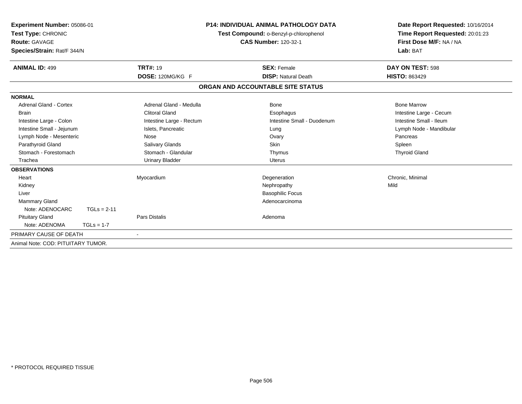| Experiment Number: 05086-01<br>Test Type: CHRONIC<br><b>Route: GAVAGE</b><br>Species/Strain: Rat/F 344/N |               |                          | <b>P14: INDIVIDUAL ANIMAL PATHOLOGY DATA</b><br>Test Compound: o-Benzyl-p-chlorophenol<br><b>CAS Number: 120-32-1</b> | Date Report Requested: 10/16/2014<br>Time Report Requested: 20:01:23<br>First Dose M/F: NA / NA<br>Lab: BAT |  |
|----------------------------------------------------------------------------------------------------------|---------------|--------------------------|-----------------------------------------------------------------------------------------------------------------------|-------------------------------------------------------------------------------------------------------------|--|
| <b>ANIMAL ID: 499</b>                                                                                    |               | <b>TRT#: 19</b>          | <b>SEX: Female</b>                                                                                                    | DAY ON TEST: 598                                                                                            |  |
|                                                                                                          |               | DOSE: 120MG/KG F         | <b>DISP: Natural Death</b>                                                                                            | <b>HISTO: 863429</b>                                                                                        |  |
|                                                                                                          |               |                          | ORGAN AND ACCOUNTABLE SITE STATUS                                                                                     |                                                                                                             |  |
| <b>NORMAL</b>                                                                                            |               |                          |                                                                                                                       |                                                                                                             |  |
| <b>Adrenal Gland - Cortex</b>                                                                            |               | Adrenal Gland - Medulla  | Bone                                                                                                                  | <b>Bone Marrow</b>                                                                                          |  |
| <b>Brain</b>                                                                                             |               | <b>Clitoral Gland</b>    | Esophagus                                                                                                             | Intestine Large - Cecum                                                                                     |  |
| Intestine Large - Colon                                                                                  |               | Intestine Large - Rectum | Intestine Small - Duodenum                                                                                            | Intestine Small - Ileum                                                                                     |  |
| Intestine Small - Jejunum                                                                                |               | Islets, Pancreatic       | Lung                                                                                                                  | Lymph Node - Mandibular                                                                                     |  |
| Lymph Node - Mesenteric                                                                                  |               | Nose                     | Ovary                                                                                                                 | Pancreas                                                                                                    |  |
| Parathyroid Gland                                                                                        |               | Salivary Glands          | Skin                                                                                                                  | Spleen                                                                                                      |  |
| Stomach - Forestomach                                                                                    |               | Stomach - Glandular      | Thymus                                                                                                                | <b>Thyroid Gland</b>                                                                                        |  |
| Trachea                                                                                                  |               | <b>Urinary Bladder</b>   | <b>Uterus</b>                                                                                                         |                                                                                                             |  |
| <b>OBSERVATIONS</b>                                                                                      |               |                          |                                                                                                                       |                                                                                                             |  |
| Heart                                                                                                    |               | Myocardium               | Degeneration                                                                                                          | Chronic, Minimal                                                                                            |  |
| Kidney                                                                                                   |               |                          | Nephropathy                                                                                                           | Mild                                                                                                        |  |
| Liver                                                                                                    |               |                          | <b>Basophilic Focus</b>                                                                                               |                                                                                                             |  |
| Mammary Gland                                                                                            |               |                          | Adenocarcinoma                                                                                                        |                                                                                                             |  |
| Note: ADENOCARC                                                                                          | $TGLs = 2-11$ |                          |                                                                                                                       |                                                                                                             |  |
| <b>Pituitary Gland</b>                                                                                   |               | Pars Distalis            | Adenoma                                                                                                               |                                                                                                             |  |
| Note: ADENOMA                                                                                            | $TGLs = 1-7$  |                          |                                                                                                                       |                                                                                                             |  |
| PRIMARY CAUSE OF DEATH                                                                                   |               | $\blacksquare$           |                                                                                                                       |                                                                                                             |  |
| Animal Note: COD: PITUITARY TUMOR.                                                                       |               |                          |                                                                                                                       |                                                                                                             |  |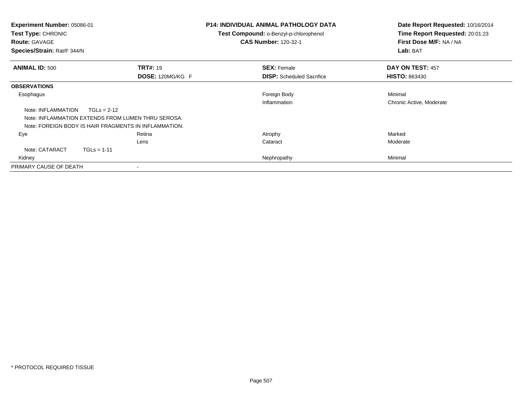| <b>Experiment Number: 05086-01</b><br>Test Type: CHRONIC<br><b>Route: GAVAGE</b><br>Species/Strain: Rat/F 344/N |                                                       | <b>P14: INDIVIDUAL ANIMAL PATHOLOGY DATA</b><br><b>Test Compound: o-Benzyl-p-chlorophenol</b><br><b>CAS Number: 120-32-1</b> | Date Report Requested: 10/16/2014<br>Time Report Requested: 20:01:23<br>First Dose M/F: NA / NA<br>Lab: BAT |
|-----------------------------------------------------------------------------------------------------------------|-------------------------------------------------------|------------------------------------------------------------------------------------------------------------------------------|-------------------------------------------------------------------------------------------------------------|
| <b>ANIMAL ID: 500</b>                                                                                           | <b>TRT#: 19</b>                                       | <b>SEX: Female</b>                                                                                                           | DAY ON TEST: 457                                                                                            |
|                                                                                                                 | DOSE: 120MG/KG F                                      | <b>DISP:</b> Scheduled Sacrifice                                                                                             | <b>HISTO: 863430</b>                                                                                        |
| <b>OBSERVATIONS</b>                                                                                             |                                                       |                                                                                                                              |                                                                                                             |
| Esophagus                                                                                                       |                                                       | Foreign Body                                                                                                                 | Minimal                                                                                                     |
|                                                                                                                 |                                                       | Inflammation                                                                                                                 | Chronic Active, Moderate                                                                                    |
| Note: INFLAMMATION                                                                                              | $TGLs = 2-12$                                         |                                                                                                                              |                                                                                                             |
|                                                                                                                 | Note: INFLAMMATION EXTENDS FROM LUMEN THRU SEROSA.    |                                                                                                                              |                                                                                                             |
|                                                                                                                 | Note: FOREIGN BODY IS HAIR FRAGMENTS IN INFLAMMATION. |                                                                                                                              |                                                                                                             |
| Eye                                                                                                             | Retina                                                | Atrophy                                                                                                                      | Marked                                                                                                      |
|                                                                                                                 | Lens                                                  | Cataract                                                                                                                     | Moderate                                                                                                    |
| Note: CATARACT                                                                                                  | $TGLs = 1-11$                                         |                                                                                                                              |                                                                                                             |
| Kidney                                                                                                          |                                                       | Nephropathy                                                                                                                  | Minimal                                                                                                     |
| PRIMARY CAUSE OF DEATH                                                                                          | $\overline{\phantom{a}}$                              |                                                                                                                              |                                                                                                             |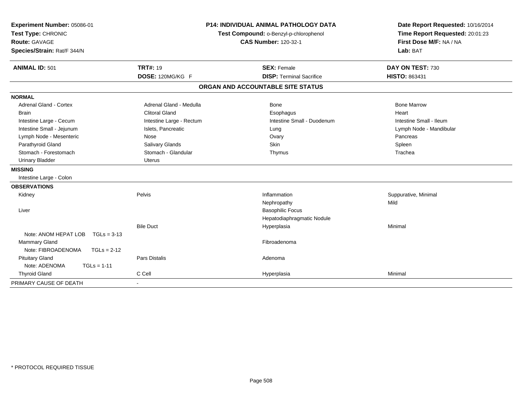| Experiment Number: 05086-01<br>Test Type: CHRONIC<br>Route: GAVAGE<br>Species/Strain: Rat/F 344/N | P14: INDIVIDUAL ANIMAL PATHOLOGY DATA<br>Test Compound: o-Benzyl-p-chlorophenol<br><b>CAS Number: 120-32-1</b> |                                   | Date Report Requested: 10/16/2014<br>Time Report Requested: 20:01:23<br>First Dose M/F: NA / NA<br>Lab: BAT |  |
|---------------------------------------------------------------------------------------------------|----------------------------------------------------------------------------------------------------------------|-----------------------------------|-------------------------------------------------------------------------------------------------------------|--|
|                                                                                                   |                                                                                                                |                                   |                                                                                                             |  |
| <b>ANIMAL ID: 501</b>                                                                             | <b>TRT#: 19</b>                                                                                                | <b>SEX: Female</b>                | DAY ON TEST: 730                                                                                            |  |
|                                                                                                   | DOSE: 120MG/KG F                                                                                               | <b>DISP: Terminal Sacrifice</b>   | HISTO: 863431                                                                                               |  |
|                                                                                                   |                                                                                                                | ORGAN AND ACCOUNTABLE SITE STATUS |                                                                                                             |  |
| <b>NORMAL</b>                                                                                     |                                                                                                                |                                   |                                                                                                             |  |
| <b>Adrenal Gland - Cortex</b>                                                                     | Adrenal Gland - Medulla                                                                                        | Bone                              | <b>Bone Marrow</b>                                                                                          |  |
| <b>Brain</b>                                                                                      | <b>Clitoral Gland</b>                                                                                          | Esophagus                         | Heart                                                                                                       |  |
| Intestine Large - Cecum                                                                           | Intestine Large - Rectum                                                                                       | Intestine Small - Duodenum        | Intestine Small - Ileum                                                                                     |  |
| Intestine Small - Jejunum                                                                         | Islets, Pancreatic                                                                                             | Lung                              | Lymph Node - Mandibular                                                                                     |  |
| Lymph Node - Mesenteric                                                                           | Nose                                                                                                           | Ovary                             | Pancreas                                                                                                    |  |
| Parathyroid Gland                                                                                 | Salivary Glands                                                                                                | Skin                              | Spleen                                                                                                      |  |
| Stomach - Forestomach                                                                             | Stomach - Glandular                                                                                            | Thymus                            | Trachea                                                                                                     |  |
| <b>Urinary Bladder</b>                                                                            | <b>Uterus</b>                                                                                                  |                                   |                                                                                                             |  |
| <b>MISSING</b>                                                                                    |                                                                                                                |                                   |                                                                                                             |  |
| Intestine Large - Colon                                                                           |                                                                                                                |                                   |                                                                                                             |  |
| <b>OBSERVATIONS</b>                                                                               |                                                                                                                |                                   |                                                                                                             |  |
| Kidney                                                                                            | Pelvis                                                                                                         | Inflammation                      | Suppurative, Minimal                                                                                        |  |
|                                                                                                   |                                                                                                                | Nephropathy                       | Mild                                                                                                        |  |
| Liver                                                                                             |                                                                                                                | <b>Basophilic Focus</b>           |                                                                                                             |  |
|                                                                                                   |                                                                                                                | Hepatodiaphragmatic Nodule        |                                                                                                             |  |
|                                                                                                   | <b>Bile Duct</b>                                                                                               | Hyperplasia                       | Minimal                                                                                                     |  |
| Note: ANOM HEPAT LOB<br>$TGLs = 3-13$                                                             |                                                                                                                |                                   |                                                                                                             |  |
| <b>Mammary Gland</b>                                                                              |                                                                                                                | Fibroadenoma                      |                                                                                                             |  |
| Note: FIBROADENOMA<br>$TGLs = 2-12$                                                               |                                                                                                                |                                   |                                                                                                             |  |
| <b>Pituitary Gland</b>                                                                            | <b>Pars Distalis</b>                                                                                           | Adenoma                           |                                                                                                             |  |
| Note: ADENOMA<br>$TGLs = 1-11$                                                                    |                                                                                                                |                                   |                                                                                                             |  |
| <b>Thyroid Gland</b>                                                                              | C Cell                                                                                                         | Hyperplasia                       | Minimal                                                                                                     |  |
| PRIMARY CAUSE OF DEATH                                                                            |                                                                                                                |                                   |                                                                                                             |  |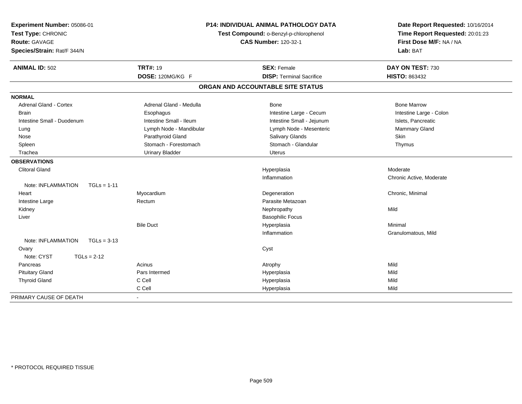| Experiment Number: 05086-01<br>Test Type: CHRONIC<br>Route: GAVAGE<br>Species/Strain: Rat/F 344/N |                         | <b>P14: INDIVIDUAL ANIMAL PATHOLOGY DATA</b><br>Test Compound: o-Benzyl-p-chlorophenol<br><b>CAS Number: 120-32-1</b> | Date Report Requested: 10/16/2014<br>Time Report Requested: 20:01:23<br>First Dose M/F: NA / NA<br>Lab: BAT |  |
|---------------------------------------------------------------------------------------------------|-------------------------|-----------------------------------------------------------------------------------------------------------------------|-------------------------------------------------------------------------------------------------------------|--|
| <b>ANIMAL ID: 502</b>                                                                             | <b>TRT#: 19</b>         | <b>SEX: Female</b>                                                                                                    | DAY ON TEST: 730                                                                                            |  |
|                                                                                                   | DOSE: 120MG/KG F        | <b>DISP: Terminal Sacrifice</b>                                                                                       | <b>HISTO: 863432</b>                                                                                        |  |
|                                                                                                   |                         | ORGAN AND ACCOUNTABLE SITE STATUS                                                                                     |                                                                                                             |  |
| <b>NORMAL</b>                                                                                     |                         |                                                                                                                       |                                                                                                             |  |
| <b>Adrenal Gland - Cortex</b>                                                                     | Adrenal Gland - Medulla | Bone                                                                                                                  | <b>Bone Marrow</b>                                                                                          |  |
| <b>Brain</b>                                                                                      | Esophagus               | Intestine Large - Cecum                                                                                               | Intestine Large - Colon                                                                                     |  |
| Intestine Small - Duodenum                                                                        | Intestine Small - Ileum | Intestine Small - Jejunum                                                                                             | Islets, Pancreatic                                                                                          |  |
| Lung                                                                                              | Lymph Node - Mandibular | Lymph Node - Mesenteric                                                                                               | <b>Mammary Gland</b>                                                                                        |  |
| Nose                                                                                              | Parathyroid Gland       | Salivary Glands                                                                                                       | Skin                                                                                                        |  |
| Spleen                                                                                            | Stomach - Forestomach   | Stomach - Glandular                                                                                                   | Thymus                                                                                                      |  |
| Trachea                                                                                           | <b>Urinary Bladder</b>  | <b>Uterus</b>                                                                                                         |                                                                                                             |  |
| <b>OBSERVATIONS</b>                                                                               |                         |                                                                                                                       |                                                                                                             |  |
| <b>Clitoral Gland</b>                                                                             |                         | Hyperplasia                                                                                                           | Moderate                                                                                                    |  |
|                                                                                                   |                         | Inflammation                                                                                                          | Chronic Active, Moderate                                                                                    |  |
| Note: INFLAMMATION<br>$TGLs = 1-11$                                                               |                         |                                                                                                                       |                                                                                                             |  |
| Heart                                                                                             | Myocardium              | Degeneration                                                                                                          | Chronic, Minimal                                                                                            |  |
| Intestine Large                                                                                   | Rectum                  | Parasite Metazoan                                                                                                     |                                                                                                             |  |
| Kidney                                                                                            |                         | Nephropathy                                                                                                           | Mild                                                                                                        |  |
| Liver                                                                                             |                         | <b>Basophilic Focus</b>                                                                                               |                                                                                                             |  |
|                                                                                                   | <b>Bile Duct</b>        | Hyperplasia                                                                                                           | Minimal                                                                                                     |  |
|                                                                                                   |                         | Inflammation                                                                                                          | Granulomatous, Mild                                                                                         |  |
| Note: INFLAMMATION<br>$TGLs = 3-13$                                                               |                         |                                                                                                                       |                                                                                                             |  |
| Ovary                                                                                             |                         | Cyst                                                                                                                  |                                                                                                             |  |
| Note: CYST<br>$TGLs = 2-12$                                                                       |                         |                                                                                                                       |                                                                                                             |  |
| Pancreas                                                                                          | Acinus                  | Atrophy                                                                                                               | Mild                                                                                                        |  |
| <b>Pituitary Gland</b>                                                                            | Pars Intermed           | Hyperplasia                                                                                                           | Mild                                                                                                        |  |
| <b>Thyroid Gland</b>                                                                              | C Cell                  | Hyperplasia                                                                                                           | Mild                                                                                                        |  |
|                                                                                                   | C Cell                  | Hyperplasia                                                                                                           | Mild                                                                                                        |  |
| PRIMARY CAUSE OF DEATH                                                                            |                         |                                                                                                                       |                                                                                                             |  |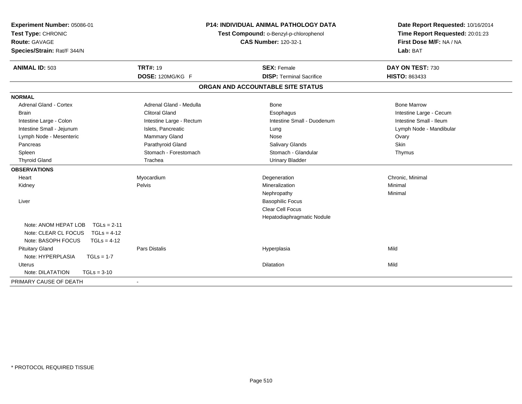| Experiment Number: 05086-01<br>Test Type: CHRONIC<br><b>Route: GAVAGE</b><br>Species/Strain: Rat/F 344/N              | <b>P14: INDIVIDUAL ANIMAL PATHOLOGY DATA</b><br>Test Compound: o-Benzyl-p-chlorophenol<br><b>CAS Number: 120-32-1</b> |                                   | Date Report Requested: 10/16/2014<br>Time Report Requested: 20:01:23<br>First Dose M/F: NA / NA<br>Lab: BAT |  |
|-----------------------------------------------------------------------------------------------------------------------|-----------------------------------------------------------------------------------------------------------------------|-----------------------------------|-------------------------------------------------------------------------------------------------------------|--|
| <b>ANIMAL ID: 503</b>                                                                                                 | <b>TRT#: 19</b>                                                                                                       | <b>SEX: Female</b>                | DAY ON TEST: 730                                                                                            |  |
|                                                                                                                       | DOSE: 120MG/KG F                                                                                                      | <b>DISP: Terminal Sacrifice</b>   | <b>HISTO: 863433</b>                                                                                        |  |
|                                                                                                                       |                                                                                                                       | ORGAN AND ACCOUNTABLE SITE STATUS |                                                                                                             |  |
| <b>NORMAL</b>                                                                                                         |                                                                                                                       |                                   |                                                                                                             |  |
| <b>Adrenal Gland - Cortex</b>                                                                                         | Adrenal Gland - Medulla                                                                                               | Bone                              | <b>Bone Marrow</b>                                                                                          |  |
| <b>Brain</b>                                                                                                          | <b>Clitoral Gland</b>                                                                                                 | Esophagus                         | Intestine Large - Cecum                                                                                     |  |
| Intestine Large - Colon                                                                                               | Intestine Large - Rectum                                                                                              | Intestine Small - Duodenum        | Intestine Small - Ileum                                                                                     |  |
| Intestine Small - Jejunum                                                                                             | Islets, Pancreatic                                                                                                    | Lung                              | Lymph Node - Mandibular                                                                                     |  |
| Lymph Node - Mesenteric                                                                                               | Mammary Gland                                                                                                         | Nose                              | Ovary                                                                                                       |  |
| Pancreas                                                                                                              | Parathyroid Gland                                                                                                     | <b>Salivary Glands</b>            | Skin                                                                                                        |  |
| Spleen                                                                                                                | Stomach - Forestomach                                                                                                 | Stomach - Glandular               | Thymus                                                                                                      |  |
| <b>Thyroid Gland</b>                                                                                                  | Trachea                                                                                                               | <b>Urinary Bladder</b>            |                                                                                                             |  |
| <b>OBSERVATIONS</b>                                                                                                   |                                                                                                                       |                                   |                                                                                                             |  |
| Heart                                                                                                                 | Myocardium                                                                                                            | Degeneration                      | Chronic, Minimal                                                                                            |  |
| Kidney                                                                                                                | Pelvis                                                                                                                | Mineralization                    | Minimal                                                                                                     |  |
|                                                                                                                       |                                                                                                                       | Nephropathy                       | Minimal                                                                                                     |  |
| Liver                                                                                                                 |                                                                                                                       | <b>Basophilic Focus</b>           |                                                                                                             |  |
|                                                                                                                       |                                                                                                                       | Clear Cell Focus                  |                                                                                                             |  |
|                                                                                                                       |                                                                                                                       | Hepatodiaphragmatic Nodule        |                                                                                                             |  |
| Note: ANOM HEPAT LOB<br>$TGLs = 2-11$<br>Note: CLEAR CL FOCUS<br>$TGLs = 4-12$<br>Note: BASOPH FOCUS<br>$TGLs = 4-12$ |                                                                                                                       |                                   |                                                                                                             |  |
| <b>Pituitary Gland</b><br>Note: HYPERPLASIA<br>$TGLs = 1-7$                                                           | <b>Pars Distalis</b>                                                                                                  | Hyperplasia                       | Mild                                                                                                        |  |
| Uterus                                                                                                                |                                                                                                                       | Dilatation                        | Mild                                                                                                        |  |
| Note: DILATATION<br>$TGLs = 3-10$                                                                                     |                                                                                                                       |                                   |                                                                                                             |  |
| PRIMARY CAUSE OF DEATH                                                                                                |                                                                                                                       |                                   |                                                                                                             |  |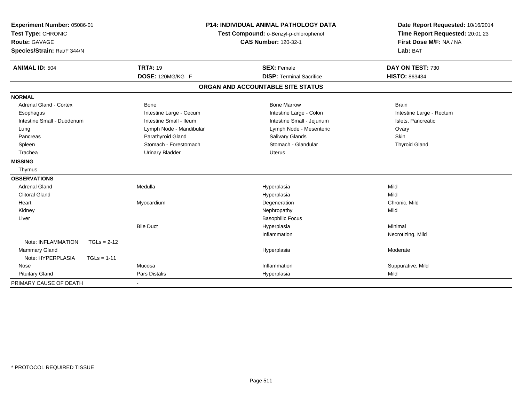| Experiment Number: 05086-01         | <b>P14: INDIVIDUAL ANIMAL PATHOLOGY DATA</b> |                                        | Date Report Requested: 10/16/2014 |  |
|-------------------------------------|----------------------------------------------|----------------------------------------|-----------------------------------|--|
| Test Type: CHRONIC                  |                                              | Test Compound: o-Benzyl-p-chlorophenol | Time Report Requested: 20:01:23   |  |
| Route: GAVAGE                       |                                              | <b>CAS Number: 120-32-1</b>            | First Dose M/F: NA / NA           |  |
| Species/Strain: Rat/F 344/N         |                                              |                                        | Lab: BAT                          |  |
| <b>ANIMAL ID: 504</b>               | <b>TRT#: 19</b>                              | <b>SEX: Female</b>                     | DAY ON TEST: 730                  |  |
|                                     | DOSE: 120MG/KG F                             | <b>DISP: Terminal Sacrifice</b>        | <b>HISTO: 863434</b>              |  |
|                                     |                                              | ORGAN AND ACCOUNTABLE SITE STATUS      |                                   |  |
| <b>NORMAL</b>                       |                                              |                                        |                                   |  |
| <b>Adrenal Gland - Cortex</b>       | Bone                                         | <b>Bone Marrow</b>                     | <b>Brain</b>                      |  |
| Esophagus                           | Intestine Large - Cecum                      | Intestine Large - Colon                | Intestine Large - Rectum          |  |
| Intestine Small - Duodenum          | Intestine Small - Ileum                      | Intestine Small - Jejunum              | Islets, Pancreatic                |  |
| Lung                                | Lymph Node - Mandibular                      | Lymph Node - Mesenteric                | Ovary                             |  |
| Pancreas                            | Parathyroid Gland                            | Salivary Glands                        | Skin                              |  |
| Spleen                              | Stomach - Forestomach                        | Stomach - Glandular                    | <b>Thyroid Gland</b>              |  |
| Trachea                             | <b>Urinary Bladder</b>                       | <b>Uterus</b>                          |                                   |  |
| <b>MISSING</b>                      |                                              |                                        |                                   |  |
| Thymus                              |                                              |                                        |                                   |  |
| <b>OBSERVATIONS</b>                 |                                              |                                        |                                   |  |
| <b>Adrenal Gland</b>                | Medulla                                      | Hyperplasia                            | Mild                              |  |
| <b>Clitoral Gland</b>               |                                              | Hyperplasia                            | Mild                              |  |
| Heart                               | Myocardium                                   | Degeneration                           | Chronic, Mild                     |  |
| Kidney                              |                                              | Nephropathy                            | Mild                              |  |
| Liver                               |                                              | <b>Basophilic Focus</b>                |                                   |  |
|                                     | <b>Bile Duct</b>                             | Hyperplasia                            | Minimal                           |  |
|                                     |                                              | Inflammation                           | Necrotizing, Mild                 |  |
| Note: INFLAMMATION<br>$TGLs = 2-12$ |                                              |                                        |                                   |  |
| Mammary Gland                       |                                              | Hyperplasia                            | Moderate                          |  |
| Note: HYPERPLASIA<br>$TGLs = 1-11$  |                                              |                                        |                                   |  |
| Nose                                | Mucosa                                       | Inflammation                           | Suppurative, Mild                 |  |
| <b>Pituitary Gland</b>              | <b>Pars Distalis</b>                         | Hyperplasia                            | Mild                              |  |
| PRIMARY CAUSE OF DEATH              |                                              |                                        |                                   |  |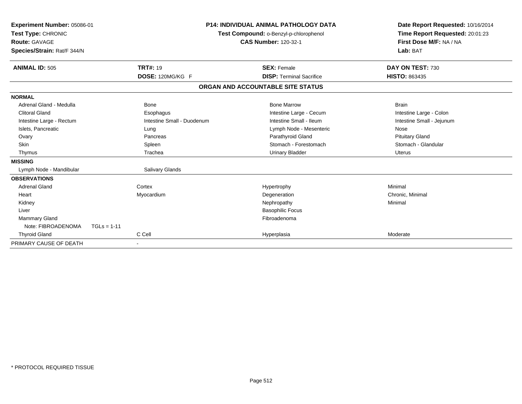| Experiment Number: 05086-01<br>Test Type: CHRONIC<br><b>Route: GAVAGE</b><br>Species/Strain: Rat/F 344/N |                            | <b>P14: INDIVIDUAL ANIMAL PATHOLOGY DATA</b><br>Test Compound: o-Benzyl-p-chlorophenol<br><b>CAS Number: 120-32-1</b> | Date Report Requested: 10/16/2014<br>Time Report Requested: 20:01:23<br>First Dose M/F: NA / NA<br>Lab: BAT |
|----------------------------------------------------------------------------------------------------------|----------------------------|-----------------------------------------------------------------------------------------------------------------------|-------------------------------------------------------------------------------------------------------------|
| <b>ANIMAL ID: 505</b>                                                                                    | <b>TRT#: 19</b>            | <b>SEX: Female</b>                                                                                                    | DAY ON TEST: 730                                                                                            |
|                                                                                                          | DOSE: 120MG/KG F           | <b>DISP: Terminal Sacrifice</b>                                                                                       | <b>HISTO: 863435</b>                                                                                        |
|                                                                                                          |                            | ORGAN AND ACCOUNTABLE SITE STATUS                                                                                     |                                                                                                             |
| <b>NORMAL</b>                                                                                            |                            |                                                                                                                       |                                                                                                             |
| Adrenal Gland - Medulla                                                                                  | <b>Bone</b>                | <b>Bone Marrow</b>                                                                                                    | <b>Brain</b>                                                                                                |
| <b>Clitoral Gland</b>                                                                                    | Esophagus                  | Intestine Large - Cecum                                                                                               | Intestine Large - Colon                                                                                     |
| Intestine Large - Rectum                                                                                 | Intestine Small - Duodenum | Intestine Small - Ileum                                                                                               | Intestine Small - Jejunum                                                                                   |
| Islets, Pancreatic                                                                                       | Lung                       | Lymph Node - Mesenteric                                                                                               | Nose                                                                                                        |
| Ovary                                                                                                    | Pancreas                   | Parathyroid Gland                                                                                                     | <b>Pituitary Gland</b>                                                                                      |
| <b>Skin</b>                                                                                              | Spleen                     | Stomach - Forestomach                                                                                                 | Stomach - Glandular                                                                                         |
| Thymus                                                                                                   | Trachea                    | <b>Urinary Bladder</b>                                                                                                | Uterus                                                                                                      |
| <b>MISSING</b>                                                                                           |                            |                                                                                                                       |                                                                                                             |
| Lymph Node - Mandibular                                                                                  | <b>Salivary Glands</b>     |                                                                                                                       |                                                                                                             |
| <b>OBSERVATIONS</b>                                                                                      |                            |                                                                                                                       |                                                                                                             |
| <b>Adrenal Gland</b>                                                                                     | Cortex                     | Hypertrophy                                                                                                           | Minimal                                                                                                     |
| Heart                                                                                                    | Myocardium                 | Degeneration                                                                                                          | Chronic, Minimal                                                                                            |
| Kidney                                                                                                   |                            | Nephropathy                                                                                                           | Minimal                                                                                                     |
| Liver                                                                                                    |                            | <b>Basophilic Focus</b>                                                                                               |                                                                                                             |
| Mammary Gland                                                                                            |                            | Fibroadenoma                                                                                                          |                                                                                                             |
| Note: FIBROADENOMA                                                                                       | $TGLs = 1-11$              |                                                                                                                       |                                                                                                             |
| <b>Thyroid Gland</b>                                                                                     | C Cell                     | Hyperplasia                                                                                                           | Moderate                                                                                                    |
| PRIMARY CAUSE OF DEATH                                                                                   |                            |                                                                                                                       |                                                                                                             |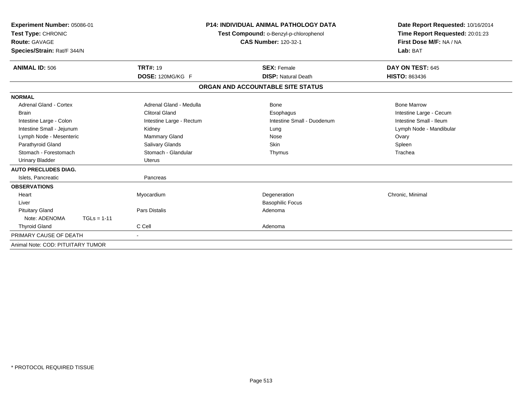| Experiment Number: 05086-01<br>Test Type: CHRONIC<br><b>Route: GAVAGE</b><br>Species/Strain: Rat/F 344/N |                          | <b>P14: INDIVIDUAL ANIMAL PATHOLOGY DATA</b><br>Test Compound: o-Benzyl-p-chlorophenol<br><b>CAS Number: 120-32-1</b> | Date Report Requested: 10/16/2014<br>Time Report Requested: 20:01:23<br>First Dose M/F: NA / NA<br>Lab: BAT |
|----------------------------------------------------------------------------------------------------------|--------------------------|-----------------------------------------------------------------------------------------------------------------------|-------------------------------------------------------------------------------------------------------------|
| <b>ANIMAL ID: 506</b>                                                                                    | <b>TRT#: 19</b>          | <b>SEX: Female</b>                                                                                                    | DAY ON TEST: 645                                                                                            |
|                                                                                                          | DOSE: 120MG/KG F         | <b>DISP: Natural Death</b>                                                                                            | <b>HISTO: 863436</b>                                                                                        |
|                                                                                                          |                          | ORGAN AND ACCOUNTABLE SITE STATUS                                                                                     |                                                                                                             |
| <b>NORMAL</b>                                                                                            |                          |                                                                                                                       |                                                                                                             |
| <b>Adrenal Gland - Cortex</b>                                                                            | Adrenal Gland - Medulla  | Bone                                                                                                                  | <b>Bone Marrow</b>                                                                                          |
| <b>Brain</b>                                                                                             | <b>Clitoral Gland</b>    | Esophagus                                                                                                             | Intestine Large - Cecum                                                                                     |
| Intestine Large - Colon                                                                                  | Intestine Large - Rectum | Intestine Small - Duodenum                                                                                            | Intestine Small - Ileum                                                                                     |
| Intestine Small - Jejunum                                                                                | Kidney                   | Lung                                                                                                                  | Lymph Node - Mandibular                                                                                     |
| Lymph Node - Mesenteric                                                                                  | <b>Mammary Gland</b>     | Nose                                                                                                                  | Ovary                                                                                                       |
| Parathyroid Gland                                                                                        | Salivary Glands          | Skin                                                                                                                  | Spleen                                                                                                      |
| Stomach - Forestomach                                                                                    | Stomach - Glandular      | Thymus                                                                                                                | Trachea                                                                                                     |
| Urinary Bladder                                                                                          | <b>Uterus</b>            |                                                                                                                       |                                                                                                             |
| <b>AUTO PRECLUDES DIAG.</b>                                                                              |                          |                                                                                                                       |                                                                                                             |
| Islets, Pancreatic                                                                                       | Pancreas                 |                                                                                                                       |                                                                                                             |
| <b>OBSERVATIONS</b>                                                                                      |                          |                                                                                                                       |                                                                                                             |
| Heart                                                                                                    | Myocardium               | Degeneration                                                                                                          | Chronic, Minimal                                                                                            |
| Liver                                                                                                    |                          | <b>Basophilic Focus</b>                                                                                               |                                                                                                             |
| <b>Pituitary Gland</b>                                                                                   | <b>Pars Distalis</b>     | Adenoma                                                                                                               |                                                                                                             |
| Note: ADENOMA<br>$TGLs = 1-11$                                                                           |                          |                                                                                                                       |                                                                                                             |
| <b>Thyroid Gland</b>                                                                                     | C Cell                   | Adenoma                                                                                                               |                                                                                                             |
| PRIMARY CAUSE OF DEATH                                                                                   |                          |                                                                                                                       |                                                                                                             |
| Animal Note: COD: PITUITARY TUMOR                                                                        |                          |                                                                                                                       |                                                                                                             |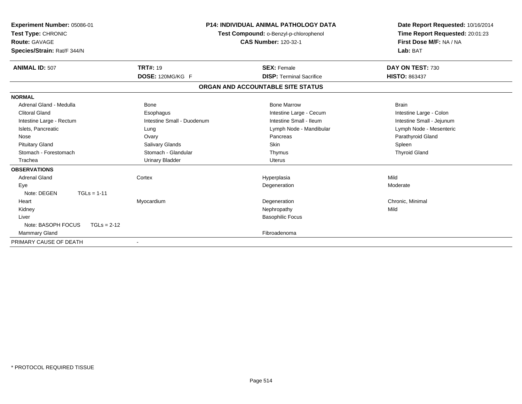| Experiment Number: 05086-01<br>Test Type: CHRONIC<br><b>Route: GAVAGE</b><br>Species/Strain: Rat/F 344/N |                            | <b>P14: INDIVIDUAL ANIMAL PATHOLOGY DATA</b><br>Test Compound: o-Benzyl-p-chlorophenol<br><b>CAS Number: 120-32-1</b> | Date Report Requested: 10/16/2014<br>Time Report Requested: 20:01:23<br>First Dose M/F: NA / NA<br>Lab: BAT |  |
|----------------------------------------------------------------------------------------------------------|----------------------------|-----------------------------------------------------------------------------------------------------------------------|-------------------------------------------------------------------------------------------------------------|--|
| <b>ANIMAL ID: 507</b>                                                                                    | <b>TRT#: 19</b>            | <b>SEX: Female</b>                                                                                                    | DAY ON TEST: 730                                                                                            |  |
|                                                                                                          | DOSE: 120MG/KG F           | <b>DISP: Terminal Sacrifice</b>                                                                                       | <b>HISTO: 863437</b>                                                                                        |  |
|                                                                                                          |                            | ORGAN AND ACCOUNTABLE SITE STATUS                                                                                     |                                                                                                             |  |
| <b>NORMAL</b>                                                                                            |                            |                                                                                                                       |                                                                                                             |  |
| Adrenal Gland - Medulla                                                                                  | <b>Bone</b>                | <b>Bone Marrow</b>                                                                                                    | <b>Brain</b>                                                                                                |  |
| <b>Clitoral Gland</b>                                                                                    | Esophagus                  | Intestine Large - Cecum                                                                                               | Intestine Large - Colon                                                                                     |  |
| Intestine Large - Rectum                                                                                 | Intestine Small - Duodenum | Intestine Small - Ileum                                                                                               | Intestine Small - Jejunum                                                                                   |  |
| Islets, Pancreatic                                                                                       | Lung                       | Lymph Node - Mandibular                                                                                               | Lymph Node - Mesenteric                                                                                     |  |
| Nose                                                                                                     | Ovary                      | Pancreas                                                                                                              | Parathyroid Gland                                                                                           |  |
| <b>Pituitary Gland</b>                                                                                   | Salivary Glands            | <b>Skin</b>                                                                                                           | Spleen                                                                                                      |  |
| Stomach - Forestomach                                                                                    | Stomach - Glandular        | Thymus                                                                                                                | <b>Thyroid Gland</b>                                                                                        |  |
| Trachea                                                                                                  | <b>Urinary Bladder</b>     | <b>Uterus</b>                                                                                                         |                                                                                                             |  |
| <b>OBSERVATIONS</b>                                                                                      |                            |                                                                                                                       |                                                                                                             |  |
| <b>Adrenal Gland</b>                                                                                     | Cortex                     | Hyperplasia                                                                                                           | Mild                                                                                                        |  |
| Eye                                                                                                      |                            | Degeneration                                                                                                          | Moderate                                                                                                    |  |
| Note: DEGEN<br>$TGLs = 1-11$                                                                             |                            |                                                                                                                       |                                                                                                             |  |
| Heart                                                                                                    | Myocardium                 | Degeneration                                                                                                          | Chronic, Minimal                                                                                            |  |
| Kidney                                                                                                   |                            | Nephropathy                                                                                                           | Mild                                                                                                        |  |
| Liver                                                                                                    |                            | <b>Basophilic Focus</b>                                                                                               |                                                                                                             |  |
| Note: BASOPH FOCUS<br>$TGLs = 2-12$                                                                      |                            |                                                                                                                       |                                                                                                             |  |
| <b>Mammary Gland</b>                                                                                     |                            | Fibroadenoma                                                                                                          |                                                                                                             |  |
| PRIMARY CAUSE OF DEATH                                                                                   |                            |                                                                                                                       |                                                                                                             |  |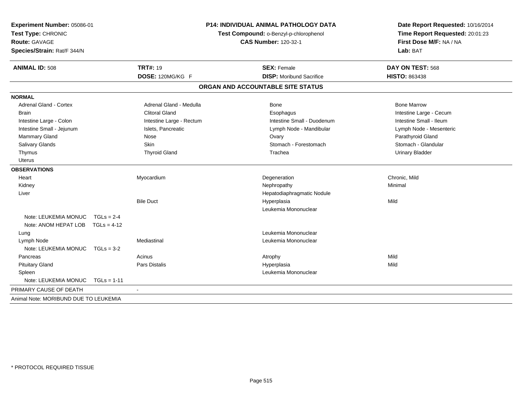| Experiment Number: 05086-01<br>Test Type: CHRONIC<br><b>Route: GAVAGE</b><br>Species/Strain: Rat/F 344/N |               |                          | <b>P14: INDIVIDUAL ANIMAL PATHOLOGY DATA</b><br>Test Compound: o-Benzyl-p-chlorophenol<br><b>CAS Number: 120-32-1</b> |                                   | Date Report Requested: 10/16/2014<br>Time Report Requested: 20:01:23<br>First Dose M/F: NA / NA<br>Lab: BAT |
|----------------------------------------------------------------------------------------------------------|---------------|--------------------------|-----------------------------------------------------------------------------------------------------------------------|-----------------------------------|-------------------------------------------------------------------------------------------------------------|
| <b>ANIMAL ID: 508</b>                                                                                    |               | <b>TRT#: 19</b>          |                                                                                                                       | <b>SEX: Female</b>                | DAY ON TEST: 568                                                                                            |
|                                                                                                          |               | DOSE: 120MG/KG F         |                                                                                                                       | <b>DISP:</b> Moribund Sacrifice   | <b>HISTO: 863438</b>                                                                                        |
|                                                                                                          |               |                          |                                                                                                                       | ORGAN AND ACCOUNTABLE SITE STATUS |                                                                                                             |
| <b>NORMAL</b>                                                                                            |               |                          |                                                                                                                       |                                   |                                                                                                             |
| <b>Adrenal Gland - Cortex</b>                                                                            |               | Adrenal Gland - Medulla  |                                                                                                                       | Bone                              | <b>Bone Marrow</b>                                                                                          |
| <b>Brain</b>                                                                                             |               | <b>Clitoral Gland</b>    |                                                                                                                       | Esophagus                         | Intestine Large - Cecum                                                                                     |
| Intestine Large - Colon                                                                                  |               | Intestine Large - Rectum |                                                                                                                       | Intestine Small - Duodenum        | Intestine Small - Ileum                                                                                     |
| Intestine Small - Jejunum                                                                                |               | Islets, Pancreatic       |                                                                                                                       | Lymph Node - Mandibular           | Lymph Node - Mesenteric                                                                                     |
| Mammary Gland                                                                                            |               | Nose                     |                                                                                                                       | Ovary                             | Parathyroid Gland                                                                                           |
| Salivary Glands                                                                                          |               | Skin                     |                                                                                                                       | Stomach - Forestomach             | Stomach - Glandular                                                                                         |
| Thymus                                                                                                   |               | <b>Thyroid Gland</b>     |                                                                                                                       | Trachea                           | <b>Urinary Bladder</b>                                                                                      |
| <b>Uterus</b>                                                                                            |               |                          |                                                                                                                       |                                   |                                                                                                             |
| <b>OBSERVATIONS</b>                                                                                      |               |                          |                                                                                                                       |                                   |                                                                                                             |
| Heart                                                                                                    |               | Myocardium               |                                                                                                                       | Degeneration                      | Chronic, Mild                                                                                               |
| Kidney                                                                                                   |               |                          |                                                                                                                       | Nephropathy                       | Minimal                                                                                                     |
| Liver                                                                                                    |               |                          |                                                                                                                       | Hepatodiaphragmatic Nodule        |                                                                                                             |
|                                                                                                          |               | <b>Bile Duct</b>         |                                                                                                                       | Hyperplasia                       | Mild                                                                                                        |
|                                                                                                          |               |                          |                                                                                                                       | Leukemia Mononuclear              |                                                                                                             |
| Note: LEUKEMIA MONUC                                                                                     | $TGLs = 2-4$  |                          |                                                                                                                       |                                   |                                                                                                             |
| Note: ANOM HEPAT LOB                                                                                     | $TGLs = 4-12$ |                          |                                                                                                                       |                                   |                                                                                                             |
| Lung                                                                                                     |               |                          |                                                                                                                       | Leukemia Mononuclear              |                                                                                                             |
| Lymph Node                                                                                               |               | Mediastinal              |                                                                                                                       | Leukemia Mononuclear              |                                                                                                             |
| Note: LEUKEMIA MONUC                                                                                     | $TGLs = 3-2$  |                          |                                                                                                                       |                                   |                                                                                                             |
| Pancreas                                                                                                 |               | Acinus                   |                                                                                                                       | Atrophy                           | Mild                                                                                                        |
| <b>Pituitary Gland</b>                                                                                   |               | <b>Pars Distalis</b>     |                                                                                                                       | Hyperplasia                       | Mild                                                                                                        |
| Spleen                                                                                                   |               |                          |                                                                                                                       | Leukemia Mononuclear              |                                                                                                             |
| Note: LEUKEMIA MONUC                                                                                     | $TGLs = 1-11$ |                          |                                                                                                                       |                                   |                                                                                                             |
| PRIMARY CAUSE OF DEATH                                                                                   |               |                          |                                                                                                                       |                                   |                                                                                                             |
| Animal Note: MORIBUND DUE TO LEUKEMIA                                                                    |               |                          |                                                                                                                       |                                   |                                                                                                             |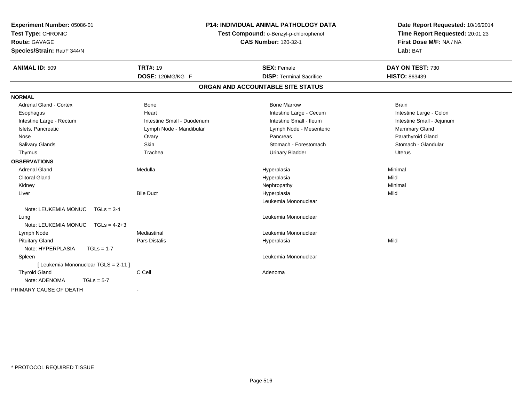| Experiment Number: 05086-01<br>Test Type: CHRONIC<br><b>Route: GAVAGE</b><br>Species/Strain: Rat/F 344/N | <b>P14: INDIVIDUAL ANIMAL PATHOLOGY DATA</b><br>Test Compound: o-Benzyl-p-chlorophenol<br><b>CAS Number: 120-32-1</b> |                                   | Date Report Requested: 10/16/2014<br>Time Report Requested: 20:01:23<br>First Dose M/F: NA / NA<br>Lab: BAT |  |
|----------------------------------------------------------------------------------------------------------|-----------------------------------------------------------------------------------------------------------------------|-----------------------------------|-------------------------------------------------------------------------------------------------------------|--|
| <b>ANIMAL ID: 509</b>                                                                                    | <b>TRT#: 19</b>                                                                                                       | <b>SEX: Female</b>                | DAY ON TEST: 730                                                                                            |  |
|                                                                                                          | DOSE: 120MG/KG F                                                                                                      | <b>DISP: Terminal Sacrifice</b>   | <b>HISTO: 863439</b>                                                                                        |  |
|                                                                                                          |                                                                                                                       | ORGAN AND ACCOUNTABLE SITE STATUS |                                                                                                             |  |
| <b>NORMAL</b>                                                                                            |                                                                                                                       |                                   |                                                                                                             |  |
| <b>Adrenal Gland - Cortex</b>                                                                            | <b>Bone</b>                                                                                                           | <b>Bone Marrow</b>                | <b>Brain</b>                                                                                                |  |
| Esophagus                                                                                                | Heart                                                                                                                 | Intestine Large - Cecum           | Intestine Large - Colon                                                                                     |  |
| Intestine Large - Rectum                                                                                 | Intestine Small - Duodenum                                                                                            | Intestine Small - Ileum           | Intestine Small - Jejunum                                                                                   |  |
| Islets, Pancreatic                                                                                       | Lymph Node - Mandibular                                                                                               | Lymph Node - Mesenteric           | Mammary Gland                                                                                               |  |
| Nose                                                                                                     | Ovary                                                                                                                 | Pancreas                          | Parathyroid Gland                                                                                           |  |
| Salivary Glands                                                                                          | Skin                                                                                                                  | Stomach - Forestomach             | Stomach - Glandular                                                                                         |  |
| Thymus                                                                                                   | Trachea                                                                                                               | <b>Urinary Bladder</b>            | <b>Uterus</b>                                                                                               |  |
| <b>OBSERVATIONS</b>                                                                                      |                                                                                                                       |                                   |                                                                                                             |  |
| <b>Adrenal Gland</b>                                                                                     | Medulla                                                                                                               | Hyperplasia                       | Minimal                                                                                                     |  |
| <b>Clitoral Gland</b>                                                                                    |                                                                                                                       | Hyperplasia                       | Mild                                                                                                        |  |
| Kidney                                                                                                   |                                                                                                                       | Nephropathy                       | Minimal                                                                                                     |  |
| Liver                                                                                                    | <b>Bile Duct</b>                                                                                                      | Hyperplasia                       | Mild                                                                                                        |  |
|                                                                                                          |                                                                                                                       | Leukemia Mononuclear              |                                                                                                             |  |
| Note: LEUKEMIA MONUC TGLs = 3-4                                                                          |                                                                                                                       |                                   |                                                                                                             |  |
| Lung                                                                                                     |                                                                                                                       | Leukemia Mononuclear              |                                                                                                             |  |
| Note: LEUKEMIA MONUC $TGLs = 4-2+3$                                                                      |                                                                                                                       |                                   |                                                                                                             |  |
| Lymph Node                                                                                               | Mediastinal                                                                                                           | Leukemia Mononuclear              |                                                                                                             |  |
| <b>Pituitary Gland</b>                                                                                   | <b>Pars Distalis</b>                                                                                                  | Hyperplasia                       | Mild                                                                                                        |  |
| Note: HYPERPLASIA<br>$TGLs = 1-7$                                                                        |                                                                                                                       |                                   |                                                                                                             |  |
| Spleen                                                                                                   |                                                                                                                       | Leukemia Mononuclear              |                                                                                                             |  |
| [ Leukemia Mononuclear TGLS = 2-11 ]                                                                     |                                                                                                                       |                                   |                                                                                                             |  |
| <b>Thyroid Gland</b>                                                                                     | C Cell                                                                                                                | Adenoma                           |                                                                                                             |  |
| Note: ADENOMA<br>$TGLs = 5-7$                                                                            |                                                                                                                       |                                   |                                                                                                             |  |
| PRIMARY CAUSE OF DEATH                                                                                   | $\sim$                                                                                                                |                                   |                                                                                                             |  |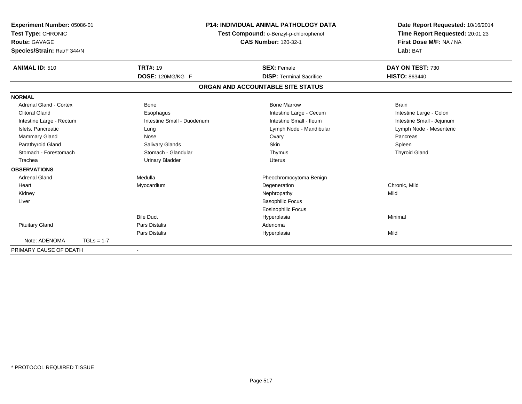| Experiment Number: 05086-01<br>Test Type: CHRONIC<br><b>Route: GAVAGE</b><br>Species/Strain: Rat/F 344/N |                            |                                   | <b>P14: INDIVIDUAL ANIMAL PATHOLOGY DATA</b><br>Test Compound: o-Benzyl-p-chlorophenol<br><b>CAS Number: 120-32-1</b><br>Lab: BAT |  | Date Report Requested: 10/16/2014<br>Time Report Requested: 20:01:23<br>First Dose M/F: NA / NA |
|----------------------------------------------------------------------------------------------------------|----------------------------|-----------------------------------|-----------------------------------------------------------------------------------------------------------------------------------|--|-------------------------------------------------------------------------------------------------|
| <b>ANIMAL ID: 510</b>                                                                                    | <b>TRT#: 19</b>            |                                   | <b>SEX: Female</b>                                                                                                                |  | DAY ON TEST: 730                                                                                |
|                                                                                                          | DOSE: 120MG/KG F           |                                   | <b>DISP: Terminal Sacrifice</b>                                                                                                   |  | <b>HISTO: 863440</b>                                                                            |
|                                                                                                          |                            | ORGAN AND ACCOUNTABLE SITE STATUS |                                                                                                                                   |  |                                                                                                 |
| <b>NORMAL</b>                                                                                            |                            |                                   |                                                                                                                                   |  |                                                                                                 |
| Adrenal Gland - Cortex                                                                                   | <b>Bone</b>                |                                   | <b>Bone Marrow</b>                                                                                                                |  | <b>Brain</b>                                                                                    |
| <b>Clitoral Gland</b>                                                                                    | Esophagus                  |                                   | Intestine Large - Cecum                                                                                                           |  | Intestine Large - Colon                                                                         |
| Intestine Large - Rectum                                                                                 | Intestine Small - Duodenum |                                   | Intestine Small - Ileum                                                                                                           |  | Intestine Small - Jejunum                                                                       |
| Islets, Pancreatic                                                                                       | Lung                       |                                   | Lymph Node - Mandibular                                                                                                           |  | Lymph Node - Mesenteric                                                                         |
| Mammary Gland                                                                                            | Nose                       |                                   | Ovary                                                                                                                             |  | Pancreas                                                                                        |
| Parathyroid Gland                                                                                        | Salivary Glands            |                                   | Skin                                                                                                                              |  | Spleen                                                                                          |
| Stomach - Forestomach                                                                                    | Stomach - Glandular        |                                   | Thymus                                                                                                                            |  | <b>Thyroid Gland</b>                                                                            |
| Trachea                                                                                                  | <b>Urinary Bladder</b>     |                                   | <b>Uterus</b>                                                                                                                     |  |                                                                                                 |
| <b>OBSERVATIONS</b>                                                                                      |                            |                                   |                                                                                                                                   |  |                                                                                                 |
| <b>Adrenal Gland</b>                                                                                     | Medulla                    |                                   | Pheochromocytoma Benign                                                                                                           |  |                                                                                                 |
| Heart                                                                                                    | Myocardium                 |                                   | Degeneration                                                                                                                      |  | Chronic, Mild                                                                                   |
| Kidney                                                                                                   |                            |                                   | Nephropathy                                                                                                                       |  | Mild                                                                                            |
| Liver                                                                                                    |                            |                                   | <b>Basophilic Focus</b>                                                                                                           |  |                                                                                                 |
|                                                                                                          |                            |                                   | <b>Eosinophilic Focus</b>                                                                                                         |  |                                                                                                 |
|                                                                                                          | <b>Bile Duct</b>           |                                   | Hyperplasia                                                                                                                       |  | Minimal                                                                                         |
| <b>Pituitary Gland</b>                                                                                   | <b>Pars Distalis</b>       |                                   | Adenoma                                                                                                                           |  |                                                                                                 |
|                                                                                                          | <b>Pars Distalis</b>       |                                   | Hyperplasia                                                                                                                       |  | Mild                                                                                            |
| Note: ADENOMA                                                                                            | $TGLs = 1-7$               |                                   |                                                                                                                                   |  |                                                                                                 |
| PRIMARY CAUSE OF DEATH                                                                                   |                            |                                   |                                                                                                                                   |  |                                                                                                 |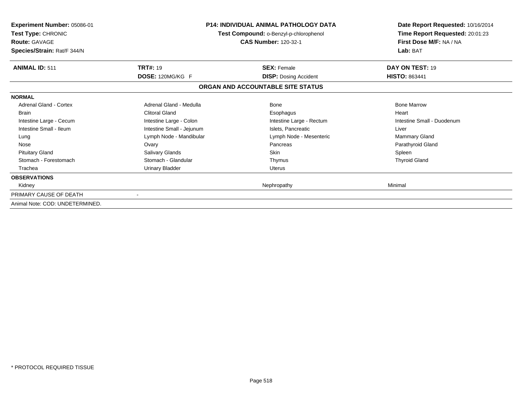| <b>Experiment Number: 05086-01</b><br>Test Type: CHRONIC<br><b>Route: GAVAGE</b><br>Species/Strain: Rat/F 344/N |                           | <b>P14: INDIVIDUAL ANIMAL PATHOLOGY DATA</b><br>Test Compound: o-Benzyl-p-chlorophenol<br><b>CAS Number: 120-32-1</b> | Date Report Requested: 10/16/2014<br>Time Report Requested: 20:01:23<br>First Dose M/F: NA / NA<br>Lab: BAT |
|-----------------------------------------------------------------------------------------------------------------|---------------------------|-----------------------------------------------------------------------------------------------------------------------|-------------------------------------------------------------------------------------------------------------|
| <b>ANIMAL ID: 511</b>                                                                                           | <b>TRT#: 19</b>           | <b>SEX: Female</b>                                                                                                    | DAY ON TEST: 19                                                                                             |
|                                                                                                                 | DOSE: 120MG/KG F          | <b>DISP:</b> Dosing Accident                                                                                          | <b>HISTO: 863441</b>                                                                                        |
|                                                                                                                 |                           | ORGAN AND ACCOUNTABLE SITE STATUS                                                                                     |                                                                                                             |
| <b>NORMAL</b>                                                                                                   |                           |                                                                                                                       |                                                                                                             |
| <b>Adrenal Gland - Cortex</b>                                                                                   | Adrenal Gland - Medulla   | <b>Bone</b>                                                                                                           | <b>Bone Marrow</b>                                                                                          |
| <b>Brain</b>                                                                                                    | <b>Clitoral Gland</b>     | Esophagus                                                                                                             | Heart                                                                                                       |
| Intestine Large - Cecum                                                                                         | Intestine Large - Colon   | Intestine Large - Rectum                                                                                              | Intestine Small - Duodenum                                                                                  |
| Intestine Small - Ileum                                                                                         | Intestine Small - Jejunum | Islets, Pancreatic                                                                                                    | Liver                                                                                                       |
| Lung                                                                                                            | Lymph Node - Mandibular   | Lymph Node - Mesenteric                                                                                               | Mammary Gland                                                                                               |
| Nose                                                                                                            | Ovary                     | Pancreas                                                                                                              | Parathyroid Gland                                                                                           |
| <b>Pituitary Gland</b>                                                                                          | Salivary Glands           | <b>Skin</b>                                                                                                           | Spleen                                                                                                      |
| Stomach - Forestomach                                                                                           | Stomach - Glandular       | Thymus                                                                                                                | <b>Thyroid Gland</b>                                                                                        |
| Trachea                                                                                                         | <b>Urinary Bladder</b>    | Uterus                                                                                                                |                                                                                                             |
| <b>OBSERVATIONS</b>                                                                                             |                           |                                                                                                                       |                                                                                                             |
| Kidney                                                                                                          |                           | Nephropathy                                                                                                           | Minimal                                                                                                     |
| PRIMARY CAUSE OF DEATH                                                                                          |                           |                                                                                                                       |                                                                                                             |
| Animal Note: COD: UNDETERMINED.                                                                                 |                           |                                                                                                                       |                                                                                                             |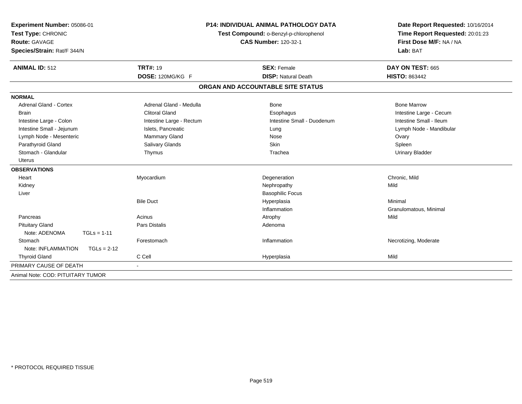| Experiment Number: 05086-01<br>Test Type: CHRONIC<br><b>Route: GAVAGE</b><br>Species/Strain: Rat/F 344/N | <b>P14: INDIVIDUAL ANIMAL PATHOLOGY DATA</b><br>Test Compound: o-Benzyl-p-chlorophenol<br><b>CAS Number: 120-32-1</b> |                                   | Date Report Requested: 10/16/2014<br>Time Report Requested: 20:01:23<br>First Dose M/F: NA / NA<br>Lab: BAT |  |
|----------------------------------------------------------------------------------------------------------|-----------------------------------------------------------------------------------------------------------------------|-----------------------------------|-------------------------------------------------------------------------------------------------------------|--|
| <b>ANIMAL ID: 512</b>                                                                                    | <b>TRT#: 19</b>                                                                                                       | <b>SEX: Female</b>                | DAY ON TEST: 665                                                                                            |  |
|                                                                                                          | DOSE: 120MG/KG F                                                                                                      | <b>DISP: Natural Death</b>        | <b>HISTO: 863442</b>                                                                                        |  |
|                                                                                                          |                                                                                                                       | ORGAN AND ACCOUNTABLE SITE STATUS |                                                                                                             |  |
| <b>NORMAL</b>                                                                                            |                                                                                                                       |                                   |                                                                                                             |  |
| <b>Adrenal Gland - Cortex</b>                                                                            | Adrenal Gland - Medulla                                                                                               | Bone                              | <b>Bone Marrow</b>                                                                                          |  |
| <b>Brain</b>                                                                                             | <b>Clitoral Gland</b>                                                                                                 | Esophagus                         | Intestine Large - Cecum                                                                                     |  |
| Intestine Large - Colon                                                                                  | Intestine Large - Rectum                                                                                              | Intestine Small - Duodenum        | Intestine Small - Ileum                                                                                     |  |
| Intestine Small - Jejunum                                                                                | Islets, Pancreatic                                                                                                    | Lung                              | Lymph Node - Mandibular                                                                                     |  |
| Lymph Node - Mesenteric                                                                                  | Mammary Gland                                                                                                         | Nose                              | Ovary                                                                                                       |  |
| Parathyroid Gland                                                                                        | Salivary Glands                                                                                                       | Skin                              | Spleen                                                                                                      |  |
| Stomach - Glandular                                                                                      | Thymus                                                                                                                | Trachea                           | <b>Urinary Bladder</b>                                                                                      |  |
| <b>Uterus</b>                                                                                            |                                                                                                                       |                                   |                                                                                                             |  |
| <b>OBSERVATIONS</b>                                                                                      |                                                                                                                       |                                   |                                                                                                             |  |
| Heart                                                                                                    | Myocardium                                                                                                            | Degeneration                      | Chronic, Mild                                                                                               |  |
| Kidney                                                                                                   |                                                                                                                       | Nephropathy                       | Mild                                                                                                        |  |
| Liver                                                                                                    |                                                                                                                       | <b>Basophilic Focus</b>           |                                                                                                             |  |
|                                                                                                          | <b>Bile Duct</b>                                                                                                      | Hyperplasia                       | Minimal                                                                                                     |  |
|                                                                                                          |                                                                                                                       | Inflammation                      | Granulomatous, Minimal                                                                                      |  |
| Pancreas                                                                                                 | Acinus                                                                                                                | Atrophy                           | Mild                                                                                                        |  |
| <b>Pituitary Gland</b>                                                                                   | <b>Pars Distalis</b>                                                                                                  | Adenoma                           |                                                                                                             |  |
| Note: ADENOMA<br>$TGLs = 1-11$                                                                           |                                                                                                                       |                                   |                                                                                                             |  |
| Stomach                                                                                                  | Forestomach                                                                                                           | Inflammation                      | Necrotizing, Moderate                                                                                       |  |
| Note: INFLAMMATION<br>$TGLs = 2-12$                                                                      |                                                                                                                       |                                   |                                                                                                             |  |
| <b>Thyroid Gland</b>                                                                                     | C Cell                                                                                                                | Hyperplasia                       | Mild                                                                                                        |  |
| PRIMARY CAUSE OF DEATH                                                                                   |                                                                                                                       |                                   |                                                                                                             |  |
| Animal Note: COD: PITUITARY TUMOR                                                                        |                                                                                                                       |                                   |                                                                                                             |  |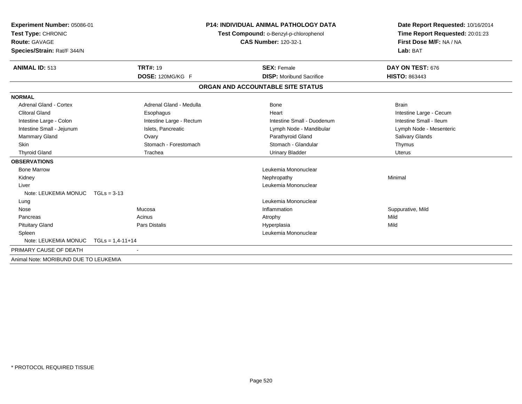| <b>Experiment Number: 05086-01</b>    |                          | <b>P14: INDIVIDUAL ANIMAL PATHOLOGY DATA</b> | Date Report Requested: 10/16/2014 |  |
|---------------------------------------|--------------------------|----------------------------------------------|-----------------------------------|--|
| Test Type: CHRONIC                    |                          | Test Compound: o-Benzyl-p-chlorophenol       | Time Report Requested: 20:01:23   |  |
| <b>Route: GAVAGE</b>                  |                          | <b>CAS Number: 120-32-1</b>                  | First Dose M/F: NA / NA           |  |
| Species/Strain: Rat/F 344/N           |                          |                                              | Lab: BAT                          |  |
|                                       |                          |                                              |                                   |  |
| <b>ANIMAL ID: 513</b>                 | <b>TRT#: 19</b>          | <b>SEX: Female</b>                           | DAY ON TEST: 676                  |  |
|                                       | DOSE: 120MG/KG F         | <b>DISP:</b> Moribund Sacrifice              | <b>HISTO: 863443</b>              |  |
|                                       |                          | ORGAN AND ACCOUNTABLE SITE STATUS            |                                   |  |
| <b>NORMAL</b>                         |                          |                                              |                                   |  |
| Adrenal Gland - Cortex                | Adrenal Gland - Medulla  | <b>Bone</b>                                  | <b>Brain</b>                      |  |
| <b>Clitoral Gland</b>                 | Esophagus                | Heart                                        | Intestine Large - Cecum           |  |
| Intestine Large - Colon               | Intestine Large - Rectum | Intestine Small - Duodenum                   | Intestine Small - Ileum           |  |
| Intestine Small - Jejunum             | Islets, Pancreatic       | Lymph Node - Mandibular                      | Lymph Node - Mesenteric           |  |
| <b>Mammary Gland</b>                  | Ovary                    | Parathyroid Gland                            | Salivary Glands                   |  |
| <b>Skin</b>                           | Stomach - Forestomach    | Stomach - Glandular                          | Thymus                            |  |
| <b>Thyroid Gland</b>                  | Trachea                  | <b>Urinary Bladder</b>                       | Uterus                            |  |
| <b>OBSERVATIONS</b>                   |                          |                                              |                                   |  |
| <b>Bone Marrow</b>                    |                          | Leukemia Mononuclear                         |                                   |  |
| Kidney                                |                          | Nephropathy                                  | Minimal                           |  |
| Liver                                 |                          | Leukemia Mononuclear                         |                                   |  |
| Note: LEUKEMIA MONUC TGLs = 3-13      |                          |                                              |                                   |  |
| Lung                                  |                          | Leukemia Mononuclear                         |                                   |  |
| Nose                                  | Mucosa                   | Inflammation                                 | Suppurative, Mild                 |  |
| Pancreas                              | Acinus                   | Atrophy                                      | Mild                              |  |
| <b>Pituitary Gland</b>                | <b>Pars Distalis</b>     | Hyperplasia                                  | Mild                              |  |
| Spleen                                |                          | Leukemia Mononuclear                         |                                   |  |
| Note: LEUKEMIA MONUC                  | $TGLs = 1,4-11+14$       |                                              |                                   |  |
| PRIMARY CAUSE OF DEATH                |                          |                                              |                                   |  |
| Animal Note: MORIBUND DUE TO LEUKEMIA |                          |                                              |                                   |  |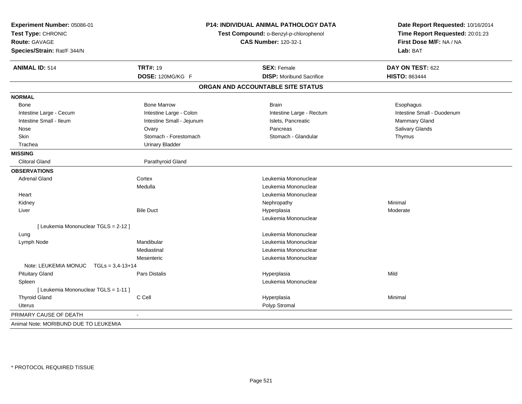| Test Compound: o-Benzyl-p-chlorophenol<br><b>CAS Number: 120-32-1</b><br>First Dose M/F: NA / NA<br><b>Route: GAVAGE</b><br>Species/Strain: Rat/F 344/N<br>Lab: BAT<br><b>ANIMAL ID: 514</b><br><b>TRT#: 19</b><br><b>SEX: Female</b><br>DAY ON TEST: 622<br>DOSE: 120MG/KG F<br><b>DISP:</b> Moribund Sacrifice<br><b>HISTO: 863444</b><br>ORGAN AND ACCOUNTABLE SITE STATUS<br><b>Bone Marrow</b><br><b>Brain</b><br>Bone<br>Esophagus<br>Intestine Small - Duodenum<br>Intestine Large - Cecum<br>Intestine Large - Colon<br>Intestine Large - Rectum<br>Intestine Small - Ileum<br>Islets, Pancreatic<br>Intestine Small - Jejunum<br><b>Mammary Gland</b><br>Pancreas<br>Salivary Glands<br>Nose<br>Ovary<br>Stomach - Forestomach<br>Skin<br>Stomach - Glandular<br>Thymus<br>Trachea<br><b>Urinary Bladder</b><br><b>MISSING</b><br><b>Clitoral Gland</b><br>Parathyroid Gland<br><b>OBSERVATIONS</b><br><b>Adrenal Gland</b><br>Leukemia Mononuclear<br>Cortex<br>Medulla<br>Leukemia Mononuclear<br>Leukemia Mononuclear<br>Heart<br>Kidney<br>Nephropathy<br>Minimal<br><b>Bile Duct</b><br>Liver<br>Hyperplasia<br>Moderate<br>Leukemia Mononuclear<br>[ Leukemia Mononuclear TGLS = 2-12 ]<br>Leukemia Mononuclear<br>Lung<br>Mandibular<br>Leukemia Mononuclear<br>Lymph Node<br>Leukemia Mononuclear<br>Mediastinal<br>Mesenteric<br>Leukemia Mononuclear<br>Note: LEUKEMIA MONUC<br>$TGLs = 3,4-13+14$<br><b>Pituitary Gland</b><br>Pars Distalis<br>Mild<br>Hyperplasia<br>Leukemia Mononuclear<br>Spleen<br>[ Leukemia Mononuclear TGLS = 1-11 ]<br>C Cell<br><b>Thyroid Gland</b><br>Hyperplasia<br>Minimal<br>Polyp Stromal<br>Uterus<br>PRIMARY CAUSE OF DEATH<br>$\blacksquare$<br>Animal Note: MORIBUND DUE TO LEUKEMIA | Experiment Number: 05086-01 | P14: INDIVIDUAL ANIMAL PATHOLOGY DATA | Date Report Requested: 10/16/2014 |
|-----------------------------------------------------------------------------------------------------------------------------------------------------------------------------------------------------------------------------------------------------------------------------------------------------------------------------------------------------------------------------------------------------------------------------------------------------------------------------------------------------------------------------------------------------------------------------------------------------------------------------------------------------------------------------------------------------------------------------------------------------------------------------------------------------------------------------------------------------------------------------------------------------------------------------------------------------------------------------------------------------------------------------------------------------------------------------------------------------------------------------------------------------------------------------------------------------------------------------------------------------------------------------------------------------------------------------------------------------------------------------------------------------------------------------------------------------------------------------------------------------------------------------------------------------------------------------------------------------------------------------------------------------------------------------------------------------------------------------------------------|-----------------------------|---------------------------------------|-----------------------------------|
|                                                                                                                                                                                                                                                                                                                                                                                                                                                                                                                                                                                                                                                                                                                                                                                                                                                                                                                                                                                                                                                                                                                                                                                                                                                                                                                                                                                                                                                                                                                                                                                                                                                                                                                                               | Test Type: CHRONIC          |                                       | Time Report Requested: 20:01:23   |
|                                                                                                                                                                                                                                                                                                                                                                                                                                                                                                                                                                                                                                                                                                                                                                                                                                                                                                                                                                                                                                                                                                                                                                                                                                                                                                                                                                                                                                                                                                                                                                                                                                                                                                                                               |                             |                                       |                                   |
|                                                                                                                                                                                                                                                                                                                                                                                                                                                                                                                                                                                                                                                                                                                                                                                                                                                                                                                                                                                                                                                                                                                                                                                                                                                                                                                                                                                                                                                                                                                                                                                                                                                                                                                                               |                             |                                       |                                   |
|                                                                                                                                                                                                                                                                                                                                                                                                                                                                                                                                                                                                                                                                                                                                                                                                                                                                                                                                                                                                                                                                                                                                                                                                                                                                                                                                                                                                                                                                                                                                                                                                                                                                                                                                               |                             |                                       |                                   |
|                                                                                                                                                                                                                                                                                                                                                                                                                                                                                                                                                                                                                                                                                                                                                                                                                                                                                                                                                                                                                                                                                                                                                                                                                                                                                                                                                                                                                                                                                                                                                                                                                                                                                                                                               |                             |                                       |                                   |
|                                                                                                                                                                                                                                                                                                                                                                                                                                                                                                                                                                                                                                                                                                                                                                                                                                                                                                                                                                                                                                                                                                                                                                                                                                                                                                                                                                                                                                                                                                                                                                                                                                                                                                                                               |                             |                                       |                                   |
|                                                                                                                                                                                                                                                                                                                                                                                                                                                                                                                                                                                                                                                                                                                                                                                                                                                                                                                                                                                                                                                                                                                                                                                                                                                                                                                                                                                                                                                                                                                                                                                                                                                                                                                                               | <b>NORMAL</b>               |                                       |                                   |
|                                                                                                                                                                                                                                                                                                                                                                                                                                                                                                                                                                                                                                                                                                                                                                                                                                                                                                                                                                                                                                                                                                                                                                                                                                                                                                                                                                                                                                                                                                                                                                                                                                                                                                                                               |                             |                                       |                                   |
|                                                                                                                                                                                                                                                                                                                                                                                                                                                                                                                                                                                                                                                                                                                                                                                                                                                                                                                                                                                                                                                                                                                                                                                                                                                                                                                                                                                                                                                                                                                                                                                                                                                                                                                                               |                             |                                       |                                   |
|                                                                                                                                                                                                                                                                                                                                                                                                                                                                                                                                                                                                                                                                                                                                                                                                                                                                                                                                                                                                                                                                                                                                                                                                                                                                                                                                                                                                                                                                                                                                                                                                                                                                                                                                               |                             |                                       |                                   |
|                                                                                                                                                                                                                                                                                                                                                                                                                                                                                                                                                                                                                                                                                                                                                                                                                                                                                                                                                                                                                                                                                                                                                                                                                                                                                                                                                                                                                                                                                                                                                                                                                                                                                                                                               |                             |                                       |                                   |
|                                                                                                                                                                                                                                                                                                                                                                                                                                                                                                                                                                                                                                                                                                                                                                                                                                                                                                                                                                                                                                                                                                                                                                                                                                                                                                                                                                                                                                                                                                                                                                                                                                                                                                                                               |                             |                                       |                                   |
|                                                                                                                                                                                                                                                                                                                                                                                                                                                                                                                                                                                                                                                                                                                                                                                                                                                                                                                                                                                                                                                                                                                                                                                                                                                                                                                                                                                                                                                                                                                                                                                                                                                                                                                                               |                             |                                       |                                   |
|                                                                                                                                                                                                                                                                                                                                                                                                                                                                                                                                                                                                                                                                                                                                                                                                                                                                                                                                                                                                                                                                                                                                                                                                                                                                                                                                                                                                                                                                                                                                                                                                                                                                                                                                               |                             |                                       |                                   |
|                                                                                                                                                                                                                                                                                                                                                                                                                                                                                                                                                                                                                                                                                                                                                                                                                                                                                                                                                                                                                                                                                                                                                                                                                                                                                                                                                                                                                                                                                                                                                                                                                                                                                                                                               |                             |                                       |                                   |
|                                                                                                                                                                                                                                                                                                                                                                                                                                                                                                                                                                                                                                                                                                                                                                                                                                                                                                                                                                                                                                                                                                                                                                                                                                                                                                                                                                                                                                                                                                                                                                                                                                                                                                                                               |                             |                                       |                                   |
|                                                                                                                                                                                                                                                                                                                                                                                                                                                                                                                                                                                                                                                                                                                                                                                                                                                                                                                                                                                                                                                                                                                                                                                                                                                                                                                                                                                                                                                                                                                                                                                                                                                                                                                                               |                             |                                       |                                   |
|                                                                                                                                                                                                                                                                                                                                                                                                                                                                                                                                                                                                                                                                                                                                                                                                                                                                                                                                                                                                                                                                                                                                                                                                                                                                                                                                                                                                                                                                                                                                                                                                                                                                                                                                               |                             |                                       |                                   |
|                                                                                                                                                                                                                                                                                                                                                                                                                                                                                                                                                                                                                                                                                                                                                                                                                                                                                                                                                                                                                                                                                                                                                                                                                                                                                                                                                                                                                                                                                                                                                                                                                                                                                                                                               |                             |                                       |                                   |
|                                                                                                                                                                                                                                                                                                                                                                                                                                                                                                                                                                                                                                                                                                                                                                                                                                                                                                                                                                                                                                                                                                                                                                                                                                                                                                                                                                                                                                                                                                                                                                                                                                                                                                                                               |                             |                                       |                                   |
|                                                                                                                                                                                                                                                                                                                                                                                                                                                                                                                                                                                                                                                                                                                                                                                                                                                                                                                                                                                                                                                                                                                                                                                                                                                                                                                                                                                                                                                                                                                                                                                                                                                                                                                                               |                             |                                       |                                   |
|                                                                                                                                                                                                                                                                                                                                                                                                                                                                                                                                                                                                                                                                                                                                                                                                                                                                                                                                                                                                                                                                                                                                                                                                                                                                                                                                                                                                                                                                                                                                                                                                                                                                                                                                               |                             |                                       |                                   |
|                                                                                                                                                                                                                                                                                                                                                                                                                                                                                                                                                                                                                                                                                                                                                                                                                                                                                                                                                                                                                                                                                                                                                                                                                                                                                                                                                                                                                                                                                                                                                                                                                                                                                                                                               |                             |                                       |                                   |
|                                                                                                                                                                                                                                                                                                                                                                                                                                                                                                                                                                                                                                                                                                                                                                                                                                                                                                                                                                                                                                                                                                                                                                                                                                                                                                                                                                                                                                                                                                                                                                                                                                                                                                                                               |                             |                                       |                                   |
|                                                                                                                                                                                                                                                                                                                                                                                                                                                                                                                                                                                                                                                                                                                                                                                                                                                                                                                                                                                                                                                                                                                                                                                                                                                                                                                                                                                                                                                                                                                                                                                                                                                                                                                                               |                             |                                       |                                   |
|                                                                                                                                                                                                                                                                                                                                                                                                                                                                                                                                                                                                                                                                                                                                                                                                                                                                                                                                                                                                                                                                                                                                                                                                                                                                                                                                                                                                                                                                                                                                                                                                                                                                                                                                               |                             |                                       |                                   |
|                                                                                                                                                                                                                                                                                                                                                                                                                                                                                                                                                                                                                                                                                                                                                                                                                                                                                                                                                                                                                                                                                                                                                                                                                                                                                                                                                                                                                                                                                                                                                                                                                                                                                                                                               |                             |                                       |                                   |
|                                                                                                                                                                                                                                                                                                                                                                                                                                                                                                                                                                                                                                                                                                                                                                                                                                                                                                                                                                                                                                                                                                                                                                                                                                                                                                                                                                                                                                                                                                                                                                                                                                                                                                                                               |                             |                                       |                                   |
|                                                                                                                                                                                                                                                                                                                                                                                                                                                                                                                                                                                                                                                                                                                                                                                                                                                                                                                                                                                                                                                                                                                                                                                                                                                                                                                                                                                                                                                                                                                                                                                                                                                                                                                                               |                             |                                       |                                   |
|                                                                                                                                                                                                                                                                                                                                                                                                                                                                                                                                                                                                                                                                                                                                                                                                                                                                                                                                                                                                                                                                                                                                                                                                                                                                                                                                                                                                                                                                                                                                                                                                                                                                                                                                               |                             |                                       |                                   |
|                                                                                                                                                                                                                                                                                                                                                                                                                                                                                                                                                                                                                                                                                                                                                                                                                                                                                                                                                                                                                                                                                                                                                                                                                                                                                                                                                                                                                                                                                                                                                                                                                                                                                                                                               |                             |                                       |                                   |
|                                                                                                                                                                                                                                                                                                                                                                                                                                                                                                                                                                                                                                                                                                                                                                                                                                                                                                                                                                                                                                                                                                                                                                                                                                                                                                                                                                                                                                                                                                                                                                                                                                                                                                                                               |                             |                                       |                                   |
|                                                                                                                                                                                                                                                                                                                                                                                                                                                                                                                                                                                                                                                                                                                                                                                                                                                                                                                                                                                                                                                                                                                                                                                                                                                                                                                                                                                                                                                                                                                                                                                                                                                                                                                                               |                             |                                       |                                   |
|                                                                                                                                                                                                                                                                                                                                                                                                                                                                                                                                                                                                                                                                                                                                                                                                                                                                                                                                                                                                                                                                                                                                                                                                                                                                                                                                                                                                                                                                                                                                                                                                                                                                                                                                               |                             |                                       |                                   |
|                                                                                                                                                                                                                                                                                                                                                                                                                                                                                                                                                                                                                                                                                                                                                                                                                                                                                                                                                                                                                                                                                                                                                                                                                                                                                                                                                                                                                                                                                                                                                                                                                                                                                                                                               |                             |                                       |                                   |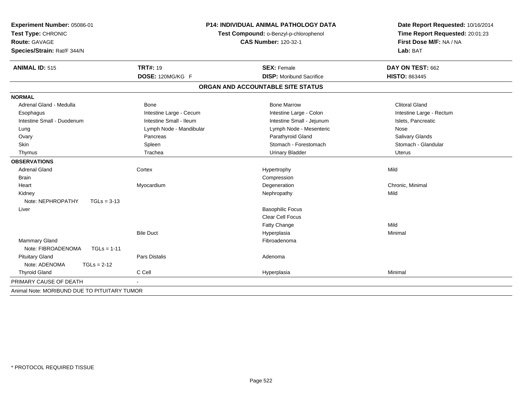| Experiment Number: 05086-01<br>Test Type: CHRONIC<br>Route: GAVAGE<br>Species/Strain: Rat/F 344/N |                         | <b>P14: INDIVIDUAL ANIMAL PATHOLOGY DATA</b><br>Test Compound: o-Benzyl-p-chlorophenol<br><b>CAS Number: 120-32-1</b> | Date Report Requested: 10/16/2014<br>Time Report Requested: 20:01:23<br>First Dose M/F: NA / NA<br>Lab: BAT |  |
|---------------------------------------------------------------------------------------------------|-------------------------|-----------------------------------------------------------------------------------------------------------------------|-------------------------------------------------------------------------------------------------------------|--|
| <b>ANIMAL ID: 515</b>                                                                             | <b>TRT#: 19</b>         | <b>SEX: Female</b>                                                                                                    | DAY ON TEST: 662                                                                                            |  |
|                                                                                                   | DOSE: 120MG/KG F        | <b>DISP:</b> Moribund Sacrifice                                                                                       | <b>HISTO: 863445</b>                                                                                        |  |
|                                                                                                   |                         | ORGAN AND ACCOUNTABLE SITE STATUS                                                                                     |                                                                                                             |  |
| <b>NORMAL</b>                                                                                     |                         |                                                                                                                       |                                                                                                             |  |
| Adrenal Gland - Medulla                                                                           | Bone                    | <b>Bone Marrow</b>                                                                                                    | <b>Clitoral Gland</b>                                                                                       |  |
| Esophagus                                                                                         | Intestine Large - Cecum | Intestine Large - Colon                                                                                               | Intestine Large - Rectum                                                                                    |  |
| Intestine Small - Duodenum                                                                        | Intestine Small - Ileum | Intestine Small - Jejunum                                                                                             | Islets, Pancreatic                                                                                          |  |
| Lung                                                                                              | Lymph Node - Mandibular | Lymph Node - Mesenteric                                                                                               | Nose                                                                                                        |  |
| Ovary                                                                                             | Pancreas                | Parathyroid Gland                                                                                                     | Salivary Glands                                                                                             |  |
| <b>Skin</b>                                                                                       | Spleen                  | Stomach - Forestomach                                                                                                 | Stomach - Glandular                                                                                         |  |
| Thymus                                                                                            | Trachea                 | <b>Urinary Bladder</b>                                                                                                | Uterus                                                                                                      |  |
| <b>OBSERVATIONS</b>                                                                               |                         |                                                                                                                       |                                                                                                             |  |
| <b>Adrenal Gland</b>                                                                              | Cortex                  | Hypertrophy                                                                                                           | Mild                                                                                                        |  |
| <b>Brain</b>                                                                                      |                         | Compression                                                                                                           |                                                                                                             |  |
| Heart                                                                                             | Myocardium              | Degeneration                                                                                                          | Chronic, Minimal                                                                                            |  |
| Kidney                                                                                            |                         | Nephropathy                                                                                                           | Mild                                                                                                        |  |
| Note: NEPHROPATHY<br>$TGLs = 3-13$                                                                |                         |                                                                                                                       |                                                                                                             |  |
| Liver                                                                                             |                         | <b>Basophilic Focus</b>                                                                                               |                                                                                                             |  |
|                                                                                                   |                         | <b>Clear Cell Focus</b>                                                                                               |                                                                                                             |  |
|                                                                                                   |                         | Fatty Change                                                                                                          | Mild                                                                                                        |  |
|                                                                                                   | <b>Bile Duct</b>        | Hyperplasia                                                                                                           | Minimal                                                                                                     |  |
| <b>Mammary Gland</b>                                                                              |                         | Fibroadenoma                                                                                                          |                                                                                                             |  |
| Note: FIBROADENOMA<br>$TGLs = 1-11$                                                               |                         |                                                                                                                       |                                                                                                             |  |
| <b>Pituitary Gland</b>                                                                            | <b>Pars Distalis</b>    | Adenoma                                                                                                               |                                                                                                             |  |
| Note: ADENOMA<br>$TGLs = 2-12$                                                                    |                         |                                                                                                                       |                                                                                                             |  |
| <b>Thyroid Gland</b>                                                                              | C Cell                  | Hyperplasia                                                                                                           | Minimal                                                                                                     |  |
| PRIMARY CAUSE OF DEATH                                                                            |                         |                                                                                                                       |                                                                                                             |  |
| Animal Note: MORIBUND DUE TO PITUITARY TUMOR                                                      |                         |                                                                                                                       |                                                                                                             |  |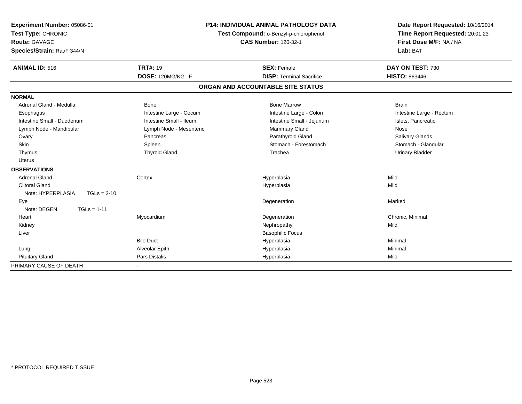| Experiment Number: 05086-01<br>Test Type: CHRONIC<br><b>Route: GAVAGE</b><br>Species/Strain: Rat/F 344/N |                         | <b>P14: INDIVIDUAL ANIMAL PATHOLOGY DATA</b><br>Date Report Requested: 10/16/2014<br>Time Report Requested: 20:01:23<br>Test Compound: o-Benzyl-p-chlorophenol<br>First Dose M/F: NA / NA<br><b>CAS Number: 120-32-1</b><br>Lab: BAT |                          |
|----------------------------------------------------------------------------------------------------------|-------------------------|--------------------------------------------------------------------------------------------------------------------------------------------------------------------------------------------------------------------------------------|--------------------------|
| <b>ANIMAL ID: 516</b>                                                                                    | <b>TRT#: 19</b>         | <b>SEX: Female</b><br><b>DISP: Terminal Sacrifice</b>                                                                                                                                                                                | DAY ON TEST: 730         |
|                                                                                                          | DOSE: 120MG/KG F        |                                                                                                                                                                                                                                      | <b>HISTO: 863446</b>     |
|                                                                                                          |                         | ORGAN AND ACCOUNTABLE SITE STATUS                                                                                                                                                                                                    |                          |
| <b>NORMAL</b>                                                                                            |                         |                                                                                                                                                                                                                                      |                          |
| Adrenal Gland - Medulla                                                                                  | <b>Bone</b>             | <b>Bone Marrow</b>                                                                                                                                                                                                                   | <b>Brain</b>             |
| Esophagus                                                                                                | Intestine Large - Cecum | Intestine Large - Colon                                                                                                                                                                                                              | Intestine Large - Rectum |
| Intestine Small - Duodenum                                                                               | Intestine Small - Ileum | Intestine Small - Jejunum                                                                                                                                                                                                            | Islets, Pancreatic       |
| Lymph Node - Mandibular                                                                                  | Lymph Node - Mesenteric | Mammary Gland                                                                                                                                                                                                                        | Nose                     |
| Ovary                                                                                                    | Pancreas                | Parathyroid Gland                                                                                                                                                                                                                    | <b>Salivary Glands</b>   |
| Skin                                                                                                     | Spleen                  | Stomach - Forestomach                                                                                                                                                                                                                | Stomach - Glandular      |
| Thymus                                                                                                   | <b>Thyroid Gland</b>    | Trachea                                                                                                                                                                                                                              | <b>Urinary Bladder</b>   |
| Uterus                                                                                                   |                         |                                                                                                                                                                                                                                      |                          |
| <b>OBSERVATIONS</b>                                                                                      |                         |                                                                                                                                                                                                                                      |                          |
| <b>Adrenal Gland</b>                                                                                     | Cortex                  | Hyperplasia                                                                                                                                                                                                                          | Mild                     |
| <b>Clitoral Gland</b>                                                                                    |                         | Hyperplasia                                                                                                                                                                                                                          | Mild                     |
| Note: HYPERPLASIA<br>$TGLs = 2-10$                                                                       |                         |                                                                                                                                                                                                                                      |                          |
| Eye                                                                                                      |                         | Degeneration                                                                                                                                                                                                                         | Marked                   |
| Note: DEGEN<br>$TGLs = 1-11$                                                                             |                         |                                                                                                                                                                                                                                      |                          |
| Heart                                                                                                    | Myocardium              | Degeneration                                                                                                                                                                                                                         | Chronic, Minimal         |
| Kidney                                                                                                   |                         | Nephropathy                                                                                                                                                                                                                          | Mild                     |
| Liver                                                                                                    |                         | <b>Basophilic Focus</b>                                                                                                                                                                                                              |                          |
|                                                                                                          | <b>Bile Duct</b>        | Hyperplasia                                                                                                                                                                                                                          | Minimal                  |
| Lung                                                                                                     | Alveolar Epith          | Hyperplasia                                                                                                                                                                                                                          | Minimal                  |
| <b>Pituitary Gland</b>                                                                                   | <b>Pars Distalis</b>    | Hyperplasia                                                                                                                                                                                                                          | Mild                     |
| PRIMARY CAUSE OF DEATH                                                                                   |                         |                                                                                                                                                                                                                                      |                          |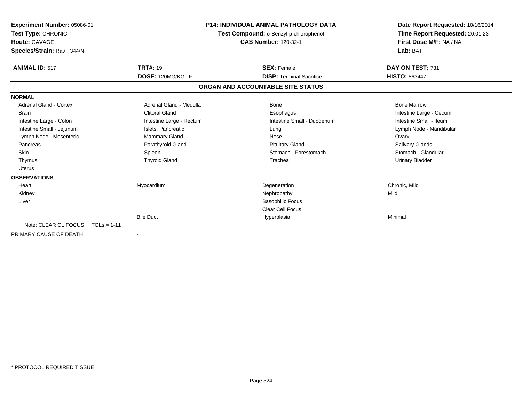| Experiment Number: 05086-01<br><b>Test Type: CHRONIC</b><br>Route: GAVAGE<br>Species/Strain: Rat/F 344/N |                       |                          | <b>P14: INDIVIDUAL ANIMAL PATHOLOGY DATA</b><br>Test Compound: o-Benzyl-p-chlorophenol<br><b>CAS Number: 120-32-1</b> | Date Report Requested: 10/16/2014<br>Time Report Requested: 20:01:23<br>First Dose M/F: NA / NA<br>Lab: BAT |  |
|----------------------------------------------------------------------------------------------------------|-----------------------|--------------------------|-----------------------------------------------------------------------------------------------------------------------|-------------------------------------------------------------------------------------------------------------|--|
| <b>ANIMAL ID: 517</b>                                                                                    | <b>TRT#: 19</b>       |                          | <b>SEX: Female</b>                                                                                                    | DAY ON TEST: 731                                                                                            |  |
|                                                                                                          | DOSE: 120MG/KG F      |                          | <b>DISP: Terminal Sacrifice</b>                                                                                       | <b>HISTO: 863447</b>                                                                                        |  |
|                                                                                                          |                       |                          | ORGAN AND ACCOUNTABLE SITE STATUS                                                                                     |                                                                                                             |  |
| <b>NORMAL</b>                                                                                            |                       |                          |                                                                                                                       |                                                                                                             |  |
| <b>Adrenal Gland - Cortex</b>                                                                            |                       | Adrenal Gland - Medulla  | Bone                                                                                                                  | <b>Bone Marrow</b>                                                                                          |  |
| <b>Brain</b>                                                                                             | <b>Clitoral Gland</b> |                          | Esophagus                                                                                                             | Intestine Large - Cecum                                                                                     |  |
| Intestine Large - Colon                                                                                  |                       | Intestine Large - Rectum | Intestine Small - Duodenum                                                                                            | Intestine Small - Ileum                                                                                     |  |
| Intestine Small - Jejunum                                                                                | Islets, Pancreatic    |                          | Lung                                                                                                                  | Lymph Node - Mandibular                                                                                     |  |
| Lymph Node - Mesenteric                                                                                  | <b>Mammary Gland</b>  |                          | Nose                                                                                                                  | Ovary                                                                                                       |  |
| Pancreas                                                                                                 | Parathyroid Gland     |                          | <b>Pituitary Gland</b>                                                                                                | Salivary Glands                                                                                             |  |
| <b>Skin</b>                                                                                              | Spleen                |                          | Stomach - Forestomach                                                                                                 | Stomach - Glandular                                                                                         |  |
| Thymus                                                                                                   | <b>Thyroid Gland</b>  |                          | Trachea                                                                                                               | <b>Urinary Bladder</b>                                                                                      |  |
| Uterus                                                                                                   |                       |                          |                                                                                                                       |                                                                                                             |  |
| <b>OBSERVATIONS</b>                                                                                      |                       |                          |                                                                                                                       |                                                                                                             |  |
| Heart                                                                                                    | Myocardium            |                          | Degeneration                                                                                                          | Chronic, Mild                                                                                               |  |
| Kidney                                                                                                   |                       |                          | Nephropathy                                                                                                           | Mild                                                                                                        |  |
| Liver                                                                                                    |                       |                          | <b>Basophilic Focus</b>                                                                                               |                                                                                                             |  |
|                                                                                                          |                       |                          | <b>Clear Cell Focus</b>                                                                                               |                                                                                                             |  |
|                                                                                                          | <b>Bile Duct</b>      |                          | Hyperplasia                                                                                                           | Minimal                                                                                                     |  |
| Note: CLEAR CL FOCUS                                                                                     | $TGLs = 1-11$         |                          |                                                                                                                       |                                                                                                             |  |
| PRIMARY CAUSE OF DEATH                                                                                   |                       |                          |                                                                                                                       |                                                                                                             |  |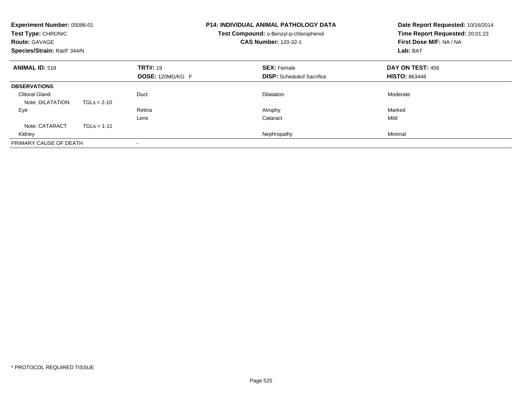| Experiment Number: 05086-01<br>Test Type: CHRONIC<br><b>Route: GAVAGE</b><br>Species/Strain: Rat/F 344/N |               |                                            | <b>P14: INDIVIDUAL ANIMAL PATHOLOGY DATA</b><br>Test Compound: o-Benzyl-p-chlorophenol<br><b>CAS Number: 120-32-1</b> | Date Report Requested: 10/16/2014<br>Time Report Requested: 20:01:23<br>First Dose M/F: NA / NA<br>Lab: BAT |
|----------------------------------------------------------------------------------------------------------|---------------|--------------------------------------------|-----------------------------------------------------------------------------------------------------------------------|-------------------------------------------------------------------------------------------------------------|
| <b>ANIMAL ID: 518</b>                                                                                    |               | <b>TRT#: 19</b><br><b>DOSE: 120MG/KG F</b> | <b>SEX: Female</b><br><b>DISP:</b> Scheduled Sacrifice                                                                | DAY ON TEST: 456<br><b>HISTO: 863448</b>                                                                    |
| <b>OBSERVATIONS</b>                                                                                      |               |                                            |                                                                                                                       |                                                                                                             |
| <b>Clitoral Gland</b><br>Note: DILATATION                                                                | $TGLs = 2-10$ | Duct                                       | <b>Dilatation</b>                                                                                                     | Moderate                                                                                                    |
| Eye                                                                                                      |               | Retina                                     | Atrophy                                                                                                               | Marked                                                                                                      |
|                                                                                                          |               | Lens                                       | Cataract                                                                                                              | Mild                                                                                                        |
| Note: CATARACT                                                                                           | $TGLs = 1-11$ |                                            |                                                                                                                       |                                                                                                             |
| Kidney                                                                                                   |               |                                            | Nephropathy                                                                                                           | Minimal                                                                                                     |
| PRIMARY CAUSE OF DEATH                                                                                   |               |                                            |                                                                                                                       |                                                                                                             |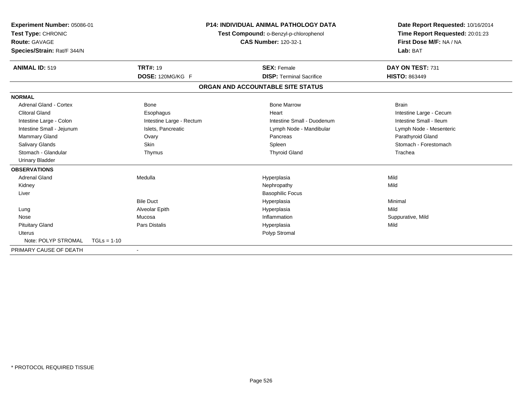| Experiment Number: 05086-01<br>Test Type: CHRONIC<br><b>Route: GAVAGE</b><br>Species/Strain: Rat/F 344/N |                          |                                   | <b>P14: INDIVIDUAL ANIMAL PATHOLOGY DATA</b><br>Date Report Requested: 10/16/2014<br>Time Report Requested: 20:01:23<br>Test Compound: o-Benzyl-p-chlorophenol<br>First Dose M/F: NA / NA<br><b>CAS Number: 120-32-1</b><br>Lab: BAT |                         |
|----------------------------------------------------------------------------------------------------------|--------------------------|-----------------------------------|--------------------------------------------------------------------------------------------------------------------------------------------------------------------------------------------------------------------------------------|-------------------------|
| <b>ANIMAL ID: 519</b>                                                                                    | <b>TRT#: 19</b>          |                                   | <b>SEX: Female</b>                                                                                                                                                                                                                   | DAY ON TEST: 731        |
|                                                                                                          | DOSE: 120MG/KG F         |                                   | <b>DISP: Terminal Sacrifice</b>                                                                                                                                                                                                      | <b>HISTO: 863449</b>    |
|                                                                                                          |                          | ORGAN AND ACCOUNTABLE SITE STATUS |                                                                                                                                                                                                                                      |                         |
| <b>NORMAL</b>                                                                                            |                          |                                   |                                                                                                                                                                                                                                      |                         |
| <b>Adrenal Gland - Cortex</b>                                                                            | <b>Bone</b>              |                                   | <b>Bone Marrow</b>                                                                                                                                                                                                                   | <b>Brain</b>            |
| <b>Clitoral Gland</b>                                                                                    | Esophagus                |                                   | Heart                                                                                                                                                                                                                                | Intestine Large - Cecum |
| Intestine Large - Colon                                                                                  | Intestine Large - Rectum |                                   | Intestine Small - Duodenum                                                                                                                                                                                                           | Intestine Small - Ileum |
| Intestine Small - Jejunum                                                                                | Islets, Pancreatic       |                                   | Lymph Node - Mandibular                                                                                                                                                                                                              | Lymph Node - Mesenteric |
| Mammary Gland                                                                                            | Ovary                    |                                   | Pancreas                                                                                                                                                                                                                             | Parathyroid Gland       |
| <b>Salivary Glands</b>                                                                                   | <b>Skin</b>              |                                   | Spleen                                                                                                                                                                                                                               | Stomach - Forestomach   |
| Stomach - Glandular                                                                                      | Thymus                   |                                   | <b>Thyroid Gland</b>                                                                                                                                                                                                                 | Trachea                 |
| <b>Urinary Bladder</b>                                                                                   |                          |                                   |                                                                                                                                                                                                                                      |                         |
| <b>OBSERVATIONS</b>                                                                                      |                          |                                   |                                                                                                                                                                                                                                      |                         |
| <b>Adrenal Gland</b>                                                                                     | Medulla                  |                                   | Hyperplasia                                                                                                                                                                                                                          | Mild                    |
| Kidney                                                                                                   |                          |                                   | Nephropathy                                                                                                                                                                                                                          | Mild                    |
| Liver                                                                                                    |                          |                                   | <b>Basophilic Focus</b>                                                                                                                                                                                                              |                         |
|                                                                                                          | <b>Bile Duct</b>         |                                   | Hyperplasia                                                                                                                                                                                                                          | Minimal                 |
| Lung                                                                                                     | Alveolar Epith           |                                   | Hyperplasia                                                                                                                                                                                                                          | Mild                    |
| Nose                                                                                                     | Mucosa                   |                                   | Inflammation                                                                                                                                                                                                                         | Suppurative, Mild       |
| <b>Pituitary Gland</b>                                                                                   | <b>Pars Distalis</b>     |                                   | Hyperplasia                                                                                                                                                                                                                          | Mild                    |
| <b>Uterus</b>                                                                                            |                          |                                   | Polyp Stromal                                                                                                                                                                                                                        |                         |
| Note: POLYP STROMAL                                                                                      | $TGLs = 1-10$            |                                   |                                                                                                                                                                                                                                      |                         |
| PRIMARY CAUSE OF DEATH                                                                                   |                          |                                   |                                                                                                                                                                                                                                      |                         |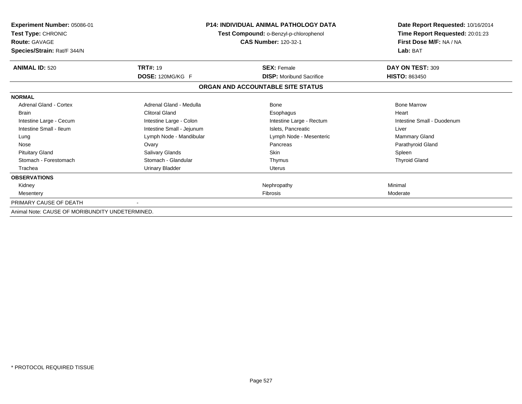| <b>Experiment Number: 05086-01</b><br>Test Type: CHRONIC<br><b>Route: GAVAGE</b><br>Species/Strain: Rat/F 344/N |                           | <b>P14: INDIVIDUAL ANIMAL PATHOLOGY DATA</b><br>Test Compound: o-Benzyl-p-chlorophenol<br><b>CAS Number: 120-32-1</b> | Date Report Requested: 10/16/2014<br>Time Report Requested: 20:01:23<br>First Dose M/F: NA / NA<br>Lab: BAT |  |
|-----------------------------------------------------------------------------------------------------------------|---------------------------|-----------------------------------------------------------------------------------------------------------------------|-------------------------------------------------------------------------------------------------------------|--|
| <b>ANIMAL ID: 520</b>                                                                                           | <b>TRT#: 19</b>           | <b>SEX: Female</b>                                                                                                    | DAY ON TEST: 309                                                                                            |  |
|                                                                                                                 | DOSE: 120MG/KG F          | <b>DISP:</b> Moribund Sacrifice                                                                                       | <b>HISTO: 863450</b>                                                                                        |  |
|                                                                                                                 |                           | ORGAN AND ACCOUNTABLE SITE STATUS                                                                                     |                                                                                                             |  |
| <b>NORMAL</b>                                                                                                   |                           |                                                                                                                       |                                                                                                             |  |
| Adrenal Gland - Cortex                                                                                          | Adrenal Gland - Medulla   | Bone                                                                                                                  | <b>Bone Marrow</b>                                                                                          |  |
| <b>Brain</b>                                                                                                    | <b>Clitoral Gland</b>     | Esophagus                                                                                                             | Heart                                                                                                       |  |
| Intestine Large - Cecum                                                                                         | Intestine Large - Colon   | Intestine Large - Rectum                                                                                              | Intestine Small - Duodenum                                                                                  |  |
| Intestine Small - Ileum                                                                                         | Intestine Small - Jejunum | Islets, Pancreatic                                                                                                    | Liver                                                                                                       |  |
| Lung                                                                                                            | Lymph Node - Mandibular   | Lymph Node - Mesenteric                                                                                               | Mammary Gland                                                                                               |  |
| Nose                                                                                                            | Ovary                     | Pancreas                                                                                                              | Parathyroid Gland                                                                                           |  |
| <b>Pituitary Gland</b>                                                                                          | Salivary Glands           | <b>Skin</b>                                                                                                           | Spleen                                                                                                      |  |
| Stomach - Forestomach                                                                                           | Stomach - Glandular       | Thymus                                                                                                                | <b>Thyroid Gland</b>                                                                                        |  |
| Trachea                                                                                                         | Urinary Bladder           | <b>Uterus</b>                                                                                                         |                                                                                                             |  |
| <b>OBSERVATIONS</b>                                                                                             |                           |                                                                                                                       |                                                                                                             |  |
| Kidney                                                                                                          |                           | Nephropathy                                                                                                           | Minimal                                                                                                     |  |
| Mesentery                                                                                                       |                           | <b>Fibrosis</b>                                                                                                       | Moderate                                                                                                    |  |
| PRIMARY CAUSE OF DEATH                                                                                          |                           |                                                                                                                       |                                                                                                             |  |
| Animal Note: CAUSE OF MORIBUNDITY UNDETERMINED.                                                                 |                           |                                                                                                                       |                                                                                                             |  |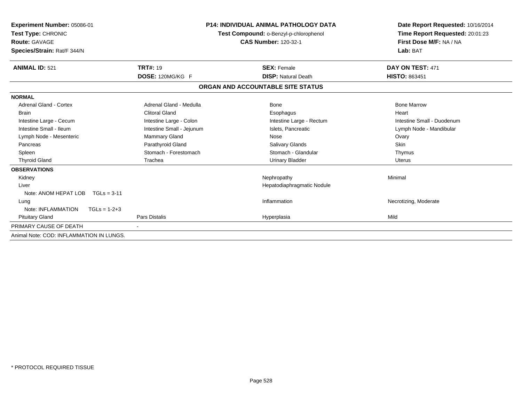| <b>Experiment Number: 05086-01</b><br>Test Type: CHRONIC<br><b>Route: GAVAGE</b><br>Species/Strain: Rat/F 344/N |                           | <b>P14: INDIVIDUAL ANIMAL PATHOLOGY DATA</b><br>Test Compound: o-Benzyl-p-chlorophenol<br><b>CAS Number: 120-32-1</b> | Date Report Requested: 10/16/2014<br>Time Report Requested: 20:01:23<br>First Dose M/F: NA / NA<br>Lab: BAT |  |
|-----------------------------------------------------------------------------------------------------------------|---------------------------|-----------------------------------------------------------------------------------------------------------------------|-------------------------------------------------------------------------------------------------------------|--|
| <b>ANIMAL ID: 521</b>                                                                                           | <b>TRT#: 19</b>           | <b>SEX: Female</b>                                                                                                    | DAY ON TEST: 471                                                                                            |  |
|                                                                                                                 | DOSE: 120MG/KG F          | <b>DISP: Natural Death</b>                                                                                            | <b>HISTO: 863451</b>                                                                                        |  |
|                                                                                                                 |                           | ORGAN AND ACCOUNTABLE SITE STATUS                                                                                     |                                                                                                             |  |
| <b>NORMAL</b>                                                                                                   |                           |                                                                                                                       |                                                                                                             |  |
| Adrenal Gland - Cortex                                                                                          | Adrenal Gland - Medulla   | <b>Bone</b>                                                                                                           | <b>Bone Marrow</b>                                                                                          |  |
| <b>Brain</b>                                                                                                    | <b>Clitoral Gland</b>     | Esophagus                                                                                                             | Heart                                                                                                       |  |
| Intestine Large - Cecum                                                                                         | Intestine Large - Colon   | Intestine Large - Rectum                                                                                              | Intestine Small - Duodenum                                                                                  |  |
| Intestine Small - Ileum                                                                                         | Intestine Small - Jejunum | Islets, Pancreatic                                                                                                    | Lymph Node - Mandibular                                                                                     |  |
| Lymph Node - Mesenteric                                                                                         | Mammary Gland             | Nose                                                                                                                  | Ovary                                                                                                       |  |
| Pancreas                                                                                                        | Parathyroid Gland         | <b>Salivary Glands</b>                                                                                                | <b>Skin</b>                                                                                                 |  |
| Spleen                                                                                                          | Stomach - Forestomach     | Stomach - Glandular                                                                                                   | Thymus                                                                                                      |  |
| <b>Thyroid Gland</b>                                                                                            | Trachea                   | <b>Urinary Bladder</b>                                                                                                | <b>Uterus</b>                                                                                               |  |
| <b>OBSERVATIONS</b>                                                                                             |                           |                                                                                                                       |                                                                                                             |  |
| Kidney                                                                                                          |                           | Nephropathy                                                                                                           | Minimal                                                                                                     |  |
| Liver                                                                                                           |                           | Hepatodiaphragmatic Nodule                                                                                            |                                                                                                             |  |
| Note: ANOM HEPAT LOB<br>$TGLs = 3-11$                                                                           |                           |                                                                                                                       |                                                                                                             |  |
| Lung                                                                                                            |                           | Inflammation                                                                                                          | Necrotizing, Moderate                                                                                       |  |
| Note: INFLAMMATION<br>$TGLs = 1-2+3$                                                                            |                           |                                                                                                                       |                                                                                                             |  |
| <b>Pituitary Gland</b>                                                                                          | <b>Pars Distalis</b>      | Hyperplasia                                                                                                           | Mild                                                                                                        |  |
| PRIMARY CAUSE OF DEATH                                                                                          |                           |                                                                                                                       |                                                                                                             |  |
| Animal Note: COD: INFLAMMATION IN LUNGS.                                                                        |                           |                                                                                                                       |                                                                                                             |  |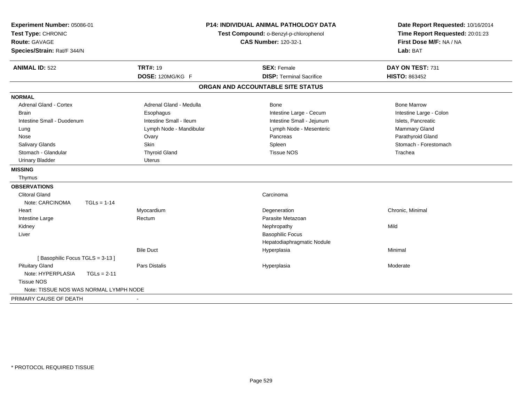| Experiment Number: 05086-01<br>Test Type: CHRONIC<br><b>Route: GAVAGE</b><br>Species/Strain: Rat/F 344/N |                         | <b>P14: INDIVIDUAL ANIMAL PATHOLOGY DATA</b><br>Test Compound: o-Benzyl-p-chlorophenol<br><b>CAS Number: 120-32-1</b> | Date Report Requested: 10/16/2014<br>Time Report Requested: 20:01:23<br>First Dose M/F: NA / NA<br>Lab: BAT |  |
|----------------------------------------------------------------------------------------------------------|-------------------------|-----------------------------------------------------------------------------------------------------------------------|-------------------------------------------------------------------------------------------------------------|--|
| <b>ANIMAL ID: 522</b>                                                                                    | <b>TRT#: 19</b>         | <b>SEX: Female</b>                                                                                                    | DAY ON TEST: 731                                                                                            |  |
|                                                                                                          | DOSE: 120MG/KG F        | <b>DISP: Terminal Sacrifice</b>                                                                                       | <b>HISTO: 863452</b>                                                                                        |  |
|                                                                                                          |                         | ORGAN AND ACCOUNTABLE SITE STATUS                                                                                     |                                                                                                             |  |
| <b>NORMAL</b>                                                                                            |                         |                                                                                                                       |                                                                                                             |  |
| <b>Adrenal Gland - Cortex</b>                                                                            | Adrenal Gland - Medulla | Bone                                                                                                                  | <b>Bone Marrow</b>                                                                                          |  |
| <b>Brain</b>                                                                                             | Esophagus               | Intestine Large - Cecum                                                                                               | Intestine Large - Colon                                                                                     |  |
| Intestine Small - Duodenum                                                                               | Intestine Small - Ileum | Intestine Small - Jejunum                                                                                             | Islets, Pancreatic                                                                                          |  |
| Lung                                                                                                     | Lymph Node - Mandibular | Lymph Node - Mesenteric                                                                                               | Mammary Gland                                                                                               |  |
| Nose                                                                                                     | Ovary                   | Pancreas                                                                                                              | Parathyroid Gland                                                                                           |  |
| <b>Salivary Glands</b>                                                                                   | <b>Skin</b>             | Spleen                                                                                                                | Stomach - Forestomach                                                                                       |  |
| Stomach - Glandular                                                                                      | <b>Thyroid Gland</b>    | <b>Tissue NOS</b>                                                                                                     | Trachea                                                                                                     |  |
| <b>Urinary Bladder</b>                                                                                   | Uterus                  |                                                                                                                       |                                                                                                             |  |
| <b>MISSING</b>                                                                                           |                         |                                                                                                                       |                                                                                                             |  |
| Thymus                                                                                                   |                         |                                                                                                                       |                                                                                                             |  |
| <b>OBSERVATIONS</b>                                                                                      |                         |                                                                                                                       |                                                                                                             |  |
| <b>Clitoral Gland</b>                                                                                    |                         | Carcinoma                                                                                                             |                                                                                                             |  |
| Note: CARCINOMA<br>$TGLs = 1-14$                                                                         |                         |                                                                                                                       |                                                                                                             |  |
| Heart                                                                                                    | Myocardium              | Degeneration                                                                                                          | Chronic, Minimal                                                                                            |  |
| Intestine Large                                                                                          | Rectum                  | Parasite Metazoan                                                                                                     |                                                                                                             |  |
| Kidney                                                                                                   |                         | Nephropathy                                                                                                           | Mild                                                                                                        |  |
| Liver                                                                                                    |                         | <b>Basophilic Focus</b>                                                                                               |                                                                                                             |  |
|                                                                                                          |                         | Hepatodiaphragmatic Nodule                                                                                            |                                                                                                             |  |
|                                                                                                          | <b>Bile Duct</b>        | Hyperplasia                                                                                                           | Minimal                                                                                                     |  |
| [Basophilic Focus TGLS = 3-13]                                                                           |                         |                                                                                                                       |                                                                                                             |  |
| <b>Pituitary Gland</b>                                                                                   | <b>Pars Distalis</b>    | Hyperplasia                                                                                                           | Moderate                                                                                                    |  |
| Note: HYPERPLASIA<br>$TGLs = 2-11$                                                                       |                         |                                                                                                                       |                                                                                                             |  |
| <b>Tissue NOS</b>                                                                                        |                         |                                                                                                                       |                                                                                                             |  |
| Note: TISSUE NOS WAS NORMAL LYMPH NODE                                                                   |                         |                                                                                                                       |                                                                                                             |  |
| PRIMARY CAUSE OF DEATH                                                                                   |                         |                                                                                                                       |                                                                                                             |  |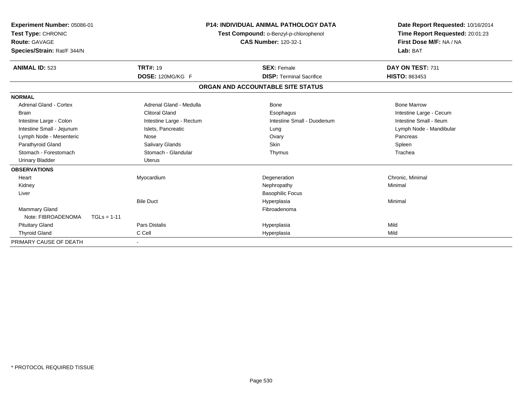| Experiment Number: 05086-01<br>Test Type: CHRONIC<br><b>Route: GAVAGE</b><br>Species/Strain: Rat/F 344/N | <b>P14: INDIVIDUAL ANIMAL PATHOLOGY DATA</b><br>Test Compound: o-Benzyl-p-chlorophenol<br><b>CAS Number: 120-32-1</b> |  |                                   | Date Report Requested: 10/16/2014<br>Time Report Requested: 20:01:23<br>First Dose M/F: NA / NA<br>Lab: BAT |
|----------------------------------------------------------------------------------------------------------|-----------------------------------------------------------------------------------------------------------------------|--|-----------------------------------|-------------------------------------------------------------------------------------------------------------|
| <b>ANIMAL ID: 523</b>                                                                                    | <b>TRT#: 19</b>                                                                                                       |  | <b>SEX: Female</b>                | DAY ON TEST: 731                                                                                            |
|                                                                                                          | DOSE: 120MG/KG F                                                                                                      |  | <b>DISP: Terminal Sacrifice</b>   | <b>HISTO: 863453</b>                                                                                        |
|                                                                                                          |                                                                                                                       |  | ORGAN AND ACCOUNTABLE SITE STATUS |                                                                                                             |
| <b>NORMAL</b>                                                                                            |                                                                                                                       |  |                                   |                                                                                                             |
| <b>Adrenal Gland - Cortex</b>                                                                            | Adrenal Gland - Medulla                                                                                               |  | Bone                              | <b>Bone Marrow</b>                                                                                          |
| <b>Brain</b>                                                                                             | <b>Clitoral Gland</b>                                                                                                 |  | Esophagus                         | Intestine Large - Cecum                                                                                     |
| Intestine Large - Colon                                                                                  | Intestine Large - Rectum                                                                                              |  | Intestine Small - Duodenum        | Intestine Small - Ileum                                                                                     |
| Intestine Small - Jejunum                                                                                | Islets, Pancreatic                                                                                                    |  | Lung                              | Lymph Node - Mandibular                                                                                     |
| Lymph Node - Mesenteric                                                                                  | Nose                                                                                                                  |  | Ovary                             | Pancreas                                                                                                    |
| Parathyroid Gland                                                                                        | Salivary Glands                                                                                                       |  | Skin                              | Spleen                                                                                                      |
| Stomach - Forestomach                                                                                    | Stomach - Glandular                                                                                                   |  | Thymus                            | Trachea                                                                                                     |
| <b>Urinary Bladder</b>                                                                                   | <b>Uterus</b>                                                                                                         |  |                                   |                                                                                                             |
| <b>OBSERVATIONS</b>                                                                                      |                                                                                                                       |  |                                   |                                                                                                             |
| Heart                                                                                                    | Myocardium                                                                                                            |  | Degeneration                      | Chronic, Minimal                                                                                            |
| Kidney                                                                                                   |                                                                                                                       |  | Nephropathy                       | Minimal                                                                                                     |
| Liver                                                                                                    |                                                                                                                       |  | <b>Basophilic Focus</b>           |                                                                                                             |
|                                                                                                          | <b>Bile Duct</b>                                                                                                      |  | Hyperplasia                       | Minimal                                                                                                     |
| <b>Mammary Gland</b>                                                                                     |                                                                                                                       |  | Fibroadenoma                      |                                                                                                             |
| Note: FIBROADENOMA                                                                                       | $TGLs = 1-11$                                                                                                         |  |                                   |                                                                                                             |
| <b>Pituitary Gland</b>                                                                                   | <b>Pars Distalis</b>                                                                                                  |  | Hyperplasia                       | Mild                                                                                                        |
| <b>Thyroid Gland</b>                                                                                     | C Cell                                                                                                                |  | Hyperplasia                       | Mild                                                                                                        |
| PRIMARY CAUSE OF DEATH                                                                                   |                                                                                                                       |  |                                   |                                                                                                             |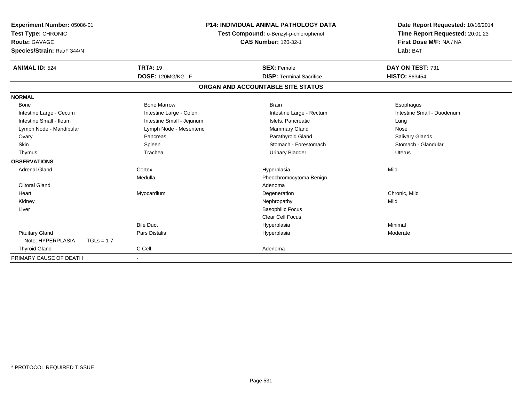| Experiment Number: 05086-01<br>Test Type: CHRONIC<br>Route: GAVAGE<br>Species/Strain: Rat/F 344/N | <b>P14: INDIVIDUAL ANIMAL PATHOLOGY DATA</b><br>Test Compound: o-Benzyl-p-chlorophenol<br><b>CAS Number: 120-32-1</b> |                                   | Date Report Requested: 10/16/2014<br>Time Report Requested: 20:01:23<br>First Dose M/F: NA / NA<br>Lab: BAT |  |
|---------------------------------------------------------------------------------------------------|-----------------------------------------------------------------------------------------------------------------------|-----------------------------------|-------------------------------------------------------------------------------------------------------------|--|
| <b>ANIMAL ID: 524</b>                                                                             | <b>TRT#: 19</b>                                                                                                       | <b>SEX: Female</b>                | DAY ON TEST: 731                                                                                            |  |
|                                                                                                   | DOSE: 120MG/KG F                                                                                                      | <b>DISP: Terminal Sacrifice</b>   | <b>HISTO: 863454</b>                                                                                        |  |
|                                                                                                   |                                                                                                                       | ORGAN AND ACCOUNTABLE SITE STATUS |                                                                                                             |  |
| <b>NORMAL</b>                                                                                     |                                                                                                                       |                                   |                                                                                                             |  |
| <b>Bone</b>                                                                                       | <b>Bone Marrow</b>                                                                                                    | <b>Brain</b>                      | Esophagus                                                                                                   |  |
| Intestine Large - Cecum                                                                           | Intestine Large - Colon                                                                                               | Intestine Large - Rectum          | Intestine Small - Duodenum                                                                                  |  |
| Intestine Small - Ileum                                                                           | Intestine Small - Jejunum                                                                                             | Islets, Pancreatic                | Lung                                                                                                        |  |
| Lymph Node - Mandibular                                                                           | Lymph Node - Mesenteric                                                                                               | <b>Mammary Gland</b>              | Nose                                                                                                        |  |
| Ovary                                                                                             | Pancreas                                                                                                              | Parathyroid Gland                 | Salivary Glands                                                                                             |  |
| <b>Skin</b>                                                                                       | Spleen                                                                                                                | Stomach - Forestomach             | Stomach - Glandular                                                                                         |  |
| Thymus                                                                                            | Trachea                                                                                                               | <b>Urinary Bladder</b>            | Uterus                                                                                                      |  |
| <b>OBSERVATIONS</b>                                                                               |                                                                                                                       |                                   |                                                                                                             |  |
| <b>Adrenal Gland</b>                                                                              | Cortex                                                                                                                | Hyperplasia                       | Mild                                                                                                        |  |
|                                                                                                   | Medulla                                                                                                               | Pheochromocytoma Benign           |                                                                                                             |  |
| <b>Clitoral Gland</b>                                                                             |                                                                                                                       | Adenoma                           |                                                                                                             |  |
| Heart                                                                                             | Myocardium                                                                                                            | Degeneration                      | Chronic, Mild                                                                                               |  |
| Kidney                                                                                            |                                                                                                                       | Nephropathy                       | Mild                                                                                                        |  |
| Liver                                                                                             |                                                                                                                       | <b>Basophilic Focus</b>           |                                                                                                             |  |
|                                                                                                   |                                                                                                                       | <b>Clear Cell Focus</b>           |                                                                                                             |  |
|                                                                                                   | <b>Bile Duct</b>                                                                                                      | Hyperplasia                       | Minimal                                                                                                     |  |
| <b>Pituitary Gland</b>                                                                            | <b>Pars Distalis</b>                                                                                                  | Hyperplasia                       | Moderate                                                                                                    |  |
| Note: HYPERPLASIA<br>$TGLs = 1-7$                                                                 |                                                                                                                       |                                   |                                                                                                             |  |
| <b>Thyroid Gland</b>                                                                              | C Cell                                                                                                                | Adenoma                           |                                                                                                             |  |
| PRIMARY CAUSE OF DEATH                                                                            |                                                                                                                       |                                   |                                                                                                             |  |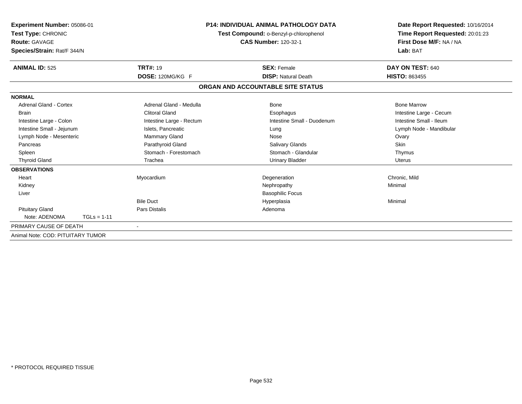| Experiment Number: 05086-01<br><b>Test Type: CHRONIC</b><br>Route: GAVAGE<br>Species/Strain: Rat/F 344/N |               |                          | <b>P14: INDIVIDUAL ANIMAL PATHOLOGY DATA</b><br>Test Compound: o-Benzyl-p-chlorophenol<br><b>CAS Number: 120-32-1</b> | Date Report Requested: 10/16/2014<br>Time Report Requested: 20:01:23<br>First Dose M/F: NA / NA<br>Lab: BAT |
|----------------------------------------------------------------------------------------------------------|---------------|--------------------------|-----------------------------------------------------------------------------------------------------------------------|-------------------------------------------------------------------------------------------------------------|
| <b>ANIMAL ID: 525</b>                                                                                    |               | <b>TRT#: 19</b>          | <b>SEX: Female</b>                                                                                                    | DAY ON TEST: 640                                                                                            |
|                                                                                                          |               | DOSE: 120MG/KG F         | <b>DISP: Natural Death</b>                                                                                            | <b>HISTO: 863455</b>                                                                                        |
|                                                                                                          |               |                          | ORGAN AND ACCOUNTABLE SITE STATUS                                                                                     |                                                                                                             |
| <b>NORMAL</b>                                                                                            |               |                          |                                                                                                                       |                                                                                                             |
| <b>Adrenal Gland - Cortex</b>                                                                            |               | Adrenal Gland - Medulla  | Bone                                                                                                                  | <b>Bone Marrow</b>                                                                                          |
| <b>Brain</b>                                                                                             |               | <b>Clitoral Gland</b>    | Esophagus                                                                                                             | Intestine Large - Cecum                                                                                     |
| Intestine Large - Colon                                                                                  |               | Intestine Large - Rectum | Intestine Small - Duodenum                                                                                            | Intestine Small - Ileum                                                                                     |
| Intestine Small - Jejunum                                                                                |               | Islets, Pancreatic       | Lung                                                                                                                  | Lymph Node - Mandibular                                                                                     |
| Lymph Node - Mesenteric                                                                                  |               | <b>Mammary Gland</b>     | Nose                                                                                                                  | Ovary                                                                                                       |
| Pancreas                                                                                                 |               | Parathyroid Gland        | Salivary Glands                                                                                                       | Skin                                                                                                        |
| Spleen                                                                                                   |               | Stomach - Forestomach    | Stomach - Glandular                                                                                                   | Thymus                                                                                                      |
| <b>Thyroid Gland</b>                                                                                     |               | Trachea                  | <b>Urinary Bladder</b>                                                                                                | <b>Uterus</b>                                                                                               |
| <b>OBSERVATIONS</b>                                                                                      |               |                          |                                                                                                                       |                                                                                                             |
| Heart                                                                                                    |               | Myocardium               | Degeneration                                                                                                          | Chronic, Mild                                                                                               |
| Kidney                                                                                                   |               |                          | Nephropathy                                                                                                           | Minimal                                                                                                     |
| Liver                                                                                                    |               |                          | <b>Basophilic Focus</b>                                                                                               |                                                                                                             |
|                                                                                                          |               | <b>Bile Duct</b>         | Hyperplasia                                                                                                           | Minimal                                                                                                     |
| <b>Pituitary Gland</b>                                                                                   |               | <b>Pars Distalis</b>     | Adenoma                                                                                                               |                                                                                                             |
| Note: ADENOMA                                                                                            | $TGLs = 1-11$ |                          |                                                                                                                       |                                                                                                             |
| PRIMARY CAUSE OF DEATH                                                                                   |               | $\overline{\phantom{a}}$ |                                                                                                                       |                                                                                                             |
| Animal Note: COD: PITUITARY TUMOR                                                                        |               |                          |                                                                                                                       |                                                                                                             |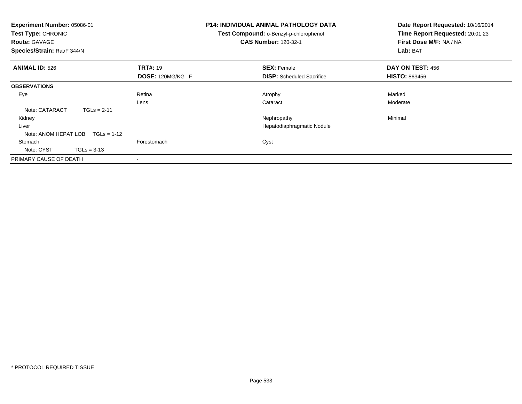| Experiment Number: 05086-01<br>Test Type: CHRONIC<br><b>Route: GAVAGE</b><br>Species/Strain: Rat/F 344/N |                  | <b>P14: INDIVIDUAL ANIMAL PATHOLOGY DATA</b><br>Test Compound: o-Benzyl-p-chlorophenol<br><b>CAS Number: 120-32-1</b> | Date Report Requested: 10/16/2014<br>Time Report Requested: 20:01:23<br>First Dose M/F: NA / NA<br>Lab: BAT |
|----------------------------------------------------------------------------------------------------------|------------------|-----------------------------------------------------------------------------------------------------------------------|-------------------------------------------------------------------------------------------------------------|
| <b>ANIMAL ID: 526</b>                                                                                    | <b>TRT#: 19</b>  | <b>SEX: Female</b>                                                                                                    | DAY ON TEST: 456                                                                                            |
|                                                                                                          | DOSE: 120MG/KG F | <b>DISP:</b> Scheduled Sacrifice                                                                                      | <b>HISTO: 863456</b>                                                                                        |
| <b>OBSERVATIONS</b>                                                                                      |                  |                                                                                                                       |                                                                                                             |
| Eye                                                                                                      | Retina           | Atrophy                                                                                                               | Marked                                                                                                      |
|                                                                                                          | Lens             | Cataract                                                                                                              | Moderate                                                                                                    |
| Note: CATARACT                                                                                           | $TGLs = 2-11$    |                                                                                                                       |                                                                                                             |
| Kidney                                                                                                   |                  | Nephropathy                                                                                                           | Minimal                                                                                                     |
| Liver                                                                                                    |                  | Hepatodiaphragmatic Nodule                                                                                            |                                                                                                             |
| Note: ANOM HEPAT LOB $TGLs = 1-12$                                                                       |                  |                                                                                                                       |                                                                                                             |
| Stomach                                                                                                  | Forestomach      | Cyst                                                                                                                  |                                                                                                             |
| Note: CYST<br>$TGLs = 3-13$                                                                              |                  |                                                                                                                       |                                                                                                             |
| PRIMARY CAUSE OF DEATH                                                                                   |                  |                                                                                                                       |                                                                                                             |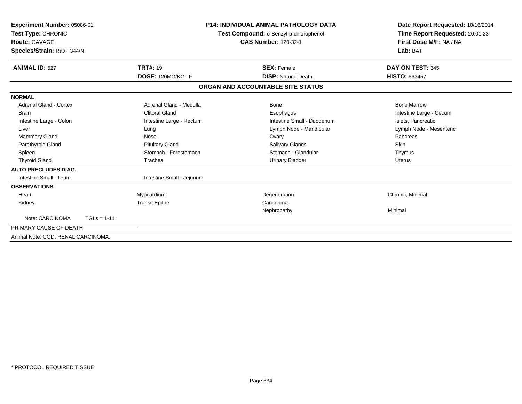| Experiment Number: 05086-01<br>Test Type: CHRONIC<br>Route: GAVAGE<br>Species/Strain: Rat/F 344/N |                       |                           | <b>P14: INDIVIDUAL ANIMAL PATHOLOGY DATA</b><br>Test Compound: o-Benzyl-p-chlorophenol<br><b>CAS Number: 120-32-1</b> | Date Report Requested: 10/16/2014<br>Time Report Requested: 20:01:23<br>First Dose M/F: NA / NA<br>Lab: BAT |
|---------------------------------------------------------------------------------------------------|-----------------------|---------------------------|-----------------------------------------------------------------------------------------------------------------------|-------------------------------------------------------------------------------------------------------------|
| <b>ANIMAL ID: 527</b>                                                                             | <b>TRT#: 19</b>       |                           | <b>SEX: Female</b>                                                                                                    | DAY ON TEST: 345                                                                                            |
|                                                                                                   |                       | DOSE: 120MG/KG F          | <b>DISP: Natural Death</b>                                                                                            | <b>HISTO: 863457</b>                                                                                        |
|                                                                                                   |                       |                           | ORGAN AND ACCOUNTABLE SITE STATUS                                                                                     |                                                                                                             |
| <b>NORMAL</b>                                                                                     |                       |                           |                                                                                                                       |                                                                                                             |
| Adrenal Gland - Cortex                                                                            |                       | Adrenal Gland - Medulla   | Bone                                                                                                                  | <b>Bone Marrow</b>                                                                                          |
| <b>Brain</b>                                                                                      | <b>Clitoral Gland</b> |                           | Esophagus                                                                                                             | Intestine Large - Cecum                                                                                     |
| Intestine Large - Colon                                                                           |                       | Intestine Large - Rectum  | Intestine Small - Duodenum                                                                                            | Islets, Pancreatic                                                                                          |
| Liver                                                                                             | Lung                  |                           | Lymph Node - Mandibular                                                                                               | Lymph Node - Mesenteric                                                                                     |
| Mammary Gland                                                                                     | Nose                  |                           | Ovary                                                                                                                 | Pancreas                                                                                                    |
| Parathyroid Gland                                                                                 |                       | <b>Pituitary Gland</b>    | Salivary Glands                                                                                                       | Skin                                                                                                        |
| Spleen                                                                                            |                       | Stomach - Forestomach     | Stomach - Glandular                                                                                                   | Thymus                                                                                                      |
| <b>Thyroid Gland</b>                                                                              | Trachea               |                           | <b>Urinary Bladder</b>                                                                                                | <b>Uterus</b>                                                                                               |
| <b>AUTO PRECLUDES DIAG.</b>                                                                       |                       |                           |                                                                                                                       |                                                                                                             |
| Intestine Small - Ileum                                                                           |                       | Intestine Small - Jejunum |                                                                                                                       |                                                                                                             |
| <b>OBSERVATIONS</b>                                                                               |                       |                           |                                                                                                                       |                                                                                                             |
| Heart                                                                                             | Myocardium            |                           | Degeneration                                                                                                          | Chronic, Minimal                                                                                            |
| Kidney                                                                                            | <b>Transit Epithe</b> |                           | Carcinoma                                                                                                             |                                                                                                             |
|                                                                                                   |                       |                           | Nephropathy                                                                                                           | Minimal                                                                                                     |
| Note: CARCINOMA                                                                                   | $TGLs = 1-11$         |                           |                                                                                                                       |                                                                                                             |
| PRIMARY CAUSE OF DEATH                                                                            |                       |                           |                                                                                                                       |                                                                                                             |
| Animal Note: COD: RENAL CARCINOMA.                                                                |                       |                           |                                                                                                                       |                                                                                                             |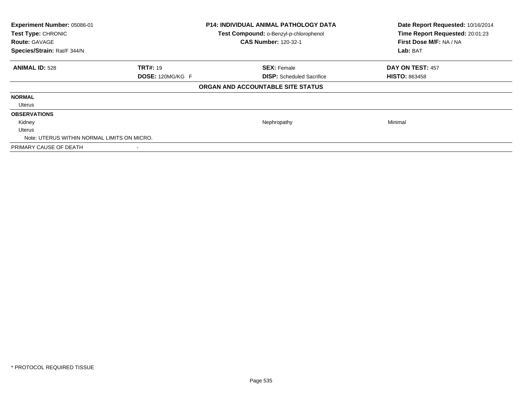| Experiment Number: 05086-01<br>Test Type: CHRONIC<br><b>Route: GAVAGE</b><br>Species/Strain: Rat/F 344/N |                         | <b>P14: INDIVIDUAL ANIMAL PATHOLOGY DATA</b><br>Test Compound: o-Benzyl-p-chlorophenol<br><b>CAS Number: 120-32-1</b> | Date Report Requested: 10/16/2014<br>Time Report Requested: 20:01:23<br>First Dose M/F: NA / NA<br>Lab: BAT |  |
|----------------------------------------------------------------------------------------------------------|-------------------------|-----------------------------------------------------------------------------------------------------------------------|-------------------------------------------------------------------------------------------------------------|--|
| <b>ANIMAL ID: 528</b>                                                                                    | <b>TRT#: 19</b>         | <b>SEX: Female</b>                                                                                                    | DAY ON TEST: 457                                                                                            |  |
|                                                                                                          | <b>DOSE: 120MG/KG F</b> | <b>DISP:</b> Scheduled Sacrifice                                                                                      | <b>HISTO: 863458</b>                                                                                        |  |
|                                                                                                          |                         | ORGAN AND ACCOUNTABLE SITE STATUS                                                                                     |                                                                                                             |  |
| <b>NORMAL</b>                                                                                            |                         |                                                                                                                       |                                                                                                             |  |
| Uterus                                                                                                   |                         |                                                                                                                       |                                                                                                             |  |
| <b>OBSERVATIONS</b>                                                                                      |                         |                                                                                                                       |                                                                                                             |  |
| Kidney                                                                                                   |                         | Nephropathy                                                                                                           | Minimal                                                                                                     |  |
| Uterus                                                                                                   |                         |                                                                                                                       |                                                                                                             |  |
| Note: UTERUS WITHIN NORMAL LIMITS ON MICRO.                                                              |                         |                                                                                                                       |                                                                                                             |  |
| PRIMARY CAUSE OF DEATH                                                                                   |                         |                                                                                                                       |                                                                                                             |  |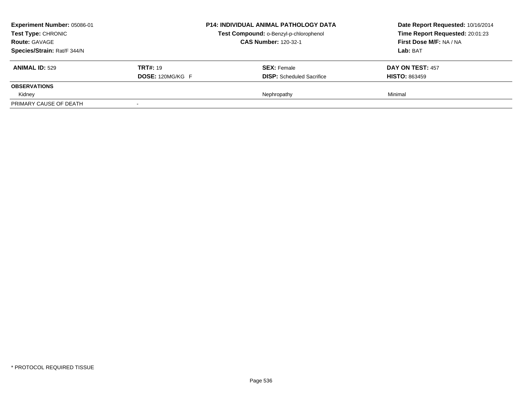| Experiment Number: 05086-01<br><b>Test Type: CHRONIC</b><br><b>Route: GAVAGE</b><br>Species/Strain: Rat/F 344/N |                                            | <b>P14: INDIVIDUAL ANIMAL PATHOLOGY DATA</b><br>Test Compound: o-Benzyl-p-chlorophenol<br><b>CAS Number: 120-32-1</b> | Date Report Requested: 10/16/2014<br>Time Report Requested: 20:01:23<br>First Dose M/F: NA / NA<br>Lab: BAT |
|-----------------------------------------------------------------------------------------------------------------|--------------------------------------------|-----------------------------------------------------------------------------------------------------------------------|-------------------------------------------------------------------------------------------------------------|
| <b>ANIMAL ID: 529</b>                                                                                           | <b>TRT#: 19</b><br><b>DOSE: 120MG/KG F</b> | <b>SEX:</b> Female<br><b>DISP:</b> Scheduled Sacrifice                                                                | <b>DAY ON TEST: 457</b><br><b>HISTO: 863459</b>                                                             |
| <b>OBSERVATIONS</b>                                                                                             |                                            |                                                                                                                       |                                                                                                             |
| Kidney                                                                                                          |                                            | Nephropathy                                                                                                           | Minimal                                                                                                     |
| PRIMARY CAUSE OF DEATH                                                                                          |                                            |                                                                                                                       |                                                                                                             |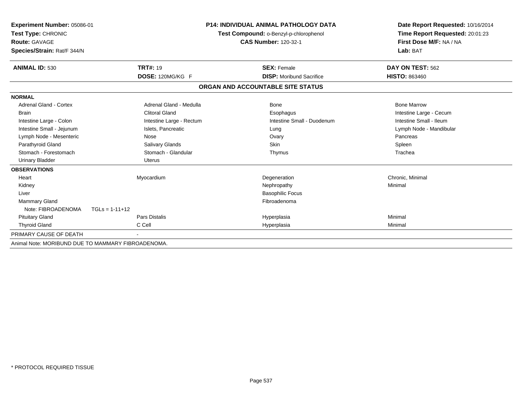| Experiment Number: 05086-01                        |                          | P14: INDIVIDUAL ANIMAL PATHOLOGY DATA  | Date Report Requested: 10/16/2014<br>Time Report Requested: 20:01:23 |  |
|----------------------------------------------------|--------------------------|----------------------------------------|----------------------------------------------------------------------|--|
| Test Type: CHRONIC                                 |                          | Test Compound: o-Benzyl-p-chlorophenol |                                                                      |  |
| <b>Route: GAVAGE</b>                               |                          | <b>CAS Number: 120-32-1</b>            | First Dose M/F: NA / NA                                              |  |
| Species/Strain: Rat/F 344/N                        |                          |                                        | Lab: BAT                                                             |  |
| <b>ANIMAL ID: 530</b>                              | <b>TRT#: 19</b>          | <b>SEX: Female</b>                     | DAY ON TEST: 562                                                     |  |
|                                                    | DOSE: 120MG/KG F         | <b>DISP:</b> Moribund Sacrifice        | <b>HISTO: 863460</b>                                                 |  |
|                                                    |                          | ORGAN AND ACCOUNTABLE SITE STATUS      |                                                                      |  |
| <b>NORMAL</b>                                      |                          |                                        |                                                                      |  |
| Adrenal Gland - Cortex                             | Adrenal Gland - Medulla  | <b>Bone</b>                            | <b>Bone Marrow</b>                                                   |  |
| <b>Brain</b>                                       | <b>Clitoral Gland</b>    | Esophagus                              | Intestine Large - Cecum                                              |  |
| Intestine Large - Colon                            | Intestine Large - Rectum | Intestine Small - Duodenum             | Intestine Small - Ileum                                              |  |
| Intestine Small - Jejunum                          | Islets, Pancreatic       | Lung                                   | Lymph Node - Mandibular                                              |  |
| Lymph Node - Mesenteric                            | Nose                     | Ovary                                  | Pancreas                                                             |  |
| Parathyroid Gland                                  | Salivary Glands          | <b>Skin</b>                            | Spleen                                                               |  |
| Stomach - Forestomach                              | Stomach - Glandular      | Thymus                                 | Trachea                                                              |  |
| <b>Urinary Bladder</b>                             | <b>Uterus</b>            |                                        |                                                                      |  |
| <b>OBSERVATIONS</b>                                |                          |                                        |                                                                      |  |
| Heart                                              | Myocardium               | Degeneration                           | Chronic, Minimal                                                     |  |
| Kidney                                             |                          | Nephropathy                            | Minimal                                                              |  |
| Liver                                              |                          | <b>Basophilic Focus</b>                |                                                                      |  |
| <b>Mammary Gland</b>                               |                          | Fibroadenoma                           |                                                                      |  |
| Note: FIBROADENOMA                                 | $TGLs = 1-11+12$         |                                        |                                                                      |  |
| <b>Pituitary Gland</b>                             | <b>Pars Distalis</b>     | Hyperplasia                            | Minimal                                                              |  |
| <b>Thyroid Gland</b>                               | C Cell                   | Hyperplasia                            | Minimal                                                              |  |
| PRIMARY CAUSE OF DEATH                             |                          |                                        |                                                                      |  |
| Animal Note: MORIBUND DUE TO MAMMARY FIBROADENOMA. |                          |                                        |                                                                      |  |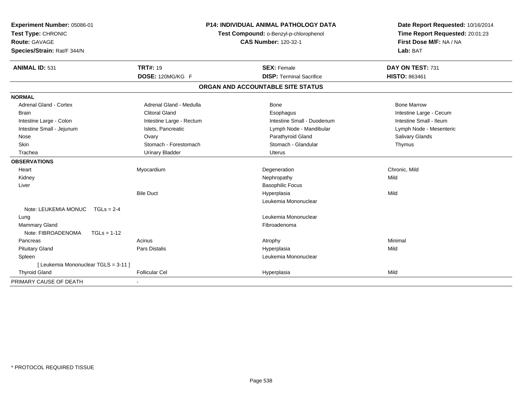| Experiment Number: 05086-01<br>Test Type: CHRONIC<br><b>Route: GAVAGE</b><br>Species/Strain: Rat/F 344/N | <b>P14: INDIVIDUAL ANIMAL PATHOLOGY DATA</b><br>Test Compound: o-Benzyl-p-chlorophenol<br><b>CAS Number: 120-32-1</b> |  | Date Report Requested: 10/16/2014<br>Time Report Requested: 20:01:23<br>First Dose M/F: NA / NA<br>Lab: BAT |                         |
|----------------------------------------------------------------------------------------------------------|-----------------------------------------------------------------------------------------------------------------------|--|-------------------------------------------------------------------------------------------------------------|-------------------------|
| <b>ANIMAL ID: 531</b>                                                                                    | <b>TRT#: 19</b>                                                                                                       |  | <b>SEX: Female</b>                                                                                          | DAY ON TEST: 731        |
|                                                                                                          | DOSE: 120MG/KG F                                                                                                      |  | <b>DISP: Terminal Sacrifice</b>                                                                             | <b>HISTO: 863461</b>    |
|                                                                                                          |                                                                                                                       |  | ORGAN AND ACCOUNTABLE SITE STATUS                                                                           |                         |
| <b>NORMAL</b>                                                                                            |                                                                                                                       |  |                                                                                                             |                         |
| <b>Adrenal Gland - Cortex</b>                                                                            | Adrenal Gland - Medulla                                                                                               |  | Bone                                                                                                        | <b>Bone Marrow</b>      |
| <b>Brain</b>                                                                                             | <b>Clitoral Gland</b>                                                                                                 |  | Esophagus                                                                                                   | Intestine Large - Cecum |
| Intestine Large - Colon                                                                                  | Intestine Large - Rectum                                                                                              |  | Intestine Small - Duodenum                                                                                  | Intestine Small - Ileum |
| Intestine Small - Jejunum                                                                                | Islets, Pancreatic                                                                                                    |  | Lymph Node - Mandibular                                                                                     | Lymph Node - Mesenteric |
| Nose                                                                                                     | Ovary                                                                                                                 |  | Parathyroid Gland                                                                                           | Salivary Glands         |
| Skin                                                                                                     | Stomach - Forestomach                                                                                                 |  | Stomach - Glandular                                                                                         | Thymus                  |
| Trachea                                                                                                  | <b>Urinary Bladder</b>                                                                                                |  | <b>Uterus</b>                                                                                               |                         |
| <b>OBSERVATIONS</b>                                                                                      |                                                                                                                       |  |                                                                                                             |                         |
| Heart                                                                                                    | Myocardium                                                                                                            |  | Degeneration                                                                                                | Chronic, Mild           |
| Kidney                                                                                                   |                                                                                                                       |  | Nephropathy                                                                                                 | Mild                    |
| Liver                                                                                                    |                                                                                                                       |  | <b>Basophilic Focus</b>                                                                                     |                         |
|                                                                                                          | <b>Bile Duct</b>                                                                                                      |  | Hyperplasia                                                                                                 | Mild                    |
|                                                                                                          |                                                                                                                       |  | Leukemia Mononuclear                                                                                        |                         |
| Note: LEUKEMIA MONUC TGLs = 2-4                                                                          |                                                                                                                       |  |                                                                                                             |                         |
| Lung                                                                                                     |                                                                                                                       |  | Leukemia Mononuclear                                                                                        |                         |
| Mammary Gland                                                                                            |                                                                                                                       |  | Fibroadenoma                                                                                                |                         |
| Note: FIBROADENOMA<br>$TGLs = 1-12$                                                                      |                                                                                                                       |  |                                                                                                             |                         |
| Pancreas                                                                                                 | Acinus                                                                                                                |  | Atrophy                                                                                                     | Minimal                 |
| <b>Pituitary Gland</b>                                                                                   | <b>Pars Distalis</b>                                                                                                  |  | Hyperplasia                                                                                                 | Mild                    |
| Spleen                                                                                                   |                                                                                                                       |  | Leukemia Mononuclear                                                                                        |                         |
| [ Leukemia Mononuclear TGLS = 3-11 ]                                                                     |                                                                                                                       |  |                                                                                                             |                         |
| <b>Thyroid Gland</b>                                                                                     | <b>Follicular Cel</b>                                                                                                 |  | Hyperplasia                                                                                                 | Mild                    |
| PRIMARY CAUSE OF DEATH                                                                                   |                                                                                                                       |  |                                                                                                             |                         |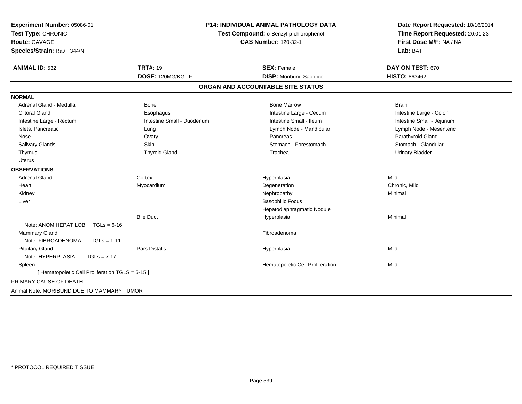| Experiment Number: 05086-01                      | <b>P14: INDIVIDUAL ANIMAL PATHOLOGY DATA</b> |                                        | Date Report Requested: 10/16/2014 |
|--------------------------------------------------|----------------------------------------------|----------------------------------------|-----------------------------------|
| Test Type: CHRONIC                               |                                              | Test Compound: o-Benzyl-p-chlorophenol | Time Report Requested: 20:01:23   |
| <b>Route: GAVAGE</b>                             |                                              | <b>CAS Number: 120-32-1</b>            | First Dose M/F: NA / NA           |
| Species/Strain: Rat/F 344/N                      |                                              |                                        | Lab: BAT                          |
| <b>ANIMAL ID: 532</b>                            | <b>TRT#: 19</b>                              | <b>SEX: Female</b>                     | DAY ON TEST: 670                  |
|                                                  | DOSE: 120MG/KG F                             | <b>DISP:</b> Moribund Sacrifice        | HISTO: 863462                     |
|                                                  |                                              | ORGAN AND ACCOUNTABLE SITE STATUS      |                                   |
| <b>NORMAL</b>                                    |                                              |                                        |                                   |
| Adrenal Gland - Medulla                          | <b>Bone</b>                                  | <b>Bone Marrow</b>                     | <b>Brain</b>                      |
| <b>Clitoral Gland</b>                            | Esophagus                                    | Intestine Large - Cecum                | Intestine Large - Colon           |
| Intestine Large - Rectum                         | Intestine Small - Duodenum                   | Intestine Small - Ileum                | Intestine Small - Jejunum         |
| Islets, Pancreatic                               | Lung                                         | Lymph Node - Mandibular                | Lymph Node - Mesenteric           |
| Nose                                             | Ovary                                        | Pancreas                               | Parathyroid Gland                 |
| Salivary Glands                                  | Skin                                         | Stomach - Forestomach                  | Stomach - Glandular               |
| Thymus                                           | <b>Thyroid Gland</b>                         | Trachea                                | <b>Urinary Bladder</b>            |
| <b>Uterus</b>                                    |                                              |                                        |                                   |
| <b>OBSERVATIONS</b>                              |                                              |                                        |                                   |
| <b>Adrenal Gland</b>                             | Cortex                                       | Hyperplasia                            | Mild                              |
| Heart                                            | Myocardium                                   | Degeneration                           | Chronic, Mild                     |
| Kidney                                           |                                              | Nephropathy                            | Minimal                           |
| Liver                                            |                                              | <b>Basophilic Focus</b>                |                                   |
|                                                  |                                              | Hepatodiaphragmatic Nodule             |                                   |
|                                                  | <b>Bile Duct</b>                             | Hyperplasia                            | Minimal                           |
| Note: ANOM HEPAT LOB<br>$TGLs = 6-16$            |                                              |                                        |                                   |
| <b>Mammary Gland</b>                             |                                              | Fibroadenoma                           |                                   |
| Note: FIBROADENOMA<br>$TGLs = 1-11$              |                                              |                                        |                                   |
| <b>Pituitary Gland</b>                           | Pars Distalis                                | Hyperplasia                            | Mild                              |
| Note: HYPERPLASIA<br>$TGLs = 7-17$               |                                              |                                        |                                   |
| Spleen                                           |                                              | Hematopoietic Cell Proliferation       | Mild                              |
| [ Hematopoietic Cell Proliferation TGLS = 5-15 ] |                                              |                                        |                                   |
| PRIMARY CAUSE OF DEATH                           |                                              |                                        |                                   |
| Animal Note: MORIBUND DUE TO MAMMARY TUMOR       |                                              |                                        |                                   |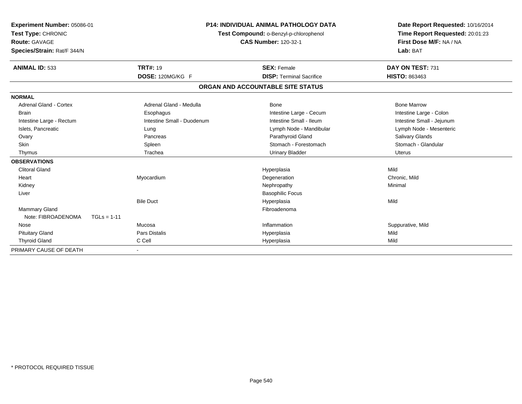| Experiment Number: 05086-01<br>Test Type: CHRONIC<br><b>Route: GAVAGE</b><br>Species/Strain: Rat/F 344/N |                            | <b>P14: INDIVIDUAL ANIMAL PATHOLOGY DATA</b><br>Test Compound: o-Benzyl-p-chlorophenol<br><b>CAS Number: 120-32-1</b> | Date Report Requested: 10/16/2014<br>Time Report Requested: 20:01:23<br>First Dose M/F: NA / NA<br>Lab: BAT |  |
|----------------------------------------------------------------------------------------------------------|----------------------------|-----------------------------------------------------------------------------------------------------------------------|-------------------------------------------------------------------------------------------------------------|--|
| <b>ANIMAL ID: 533</b>                                                                                    | <b>TRT#: 19</b>            | <b>SEX: Female</b>                                                                                                    | DAY ON TEST: 731                                                                                            |  |
|                                                                                                          | DOSE: 120MG/KG F           | <b>DISP: Terminal Sacrifice</b>                                                                                       | <b>HISTO: 863463</b>                                                                                        |  |
|                                                                                                          |                            | ORGAN AND ACCOUNTABLE SITE STATUS                                                                                     |                                                                                                             |  |
| <b>NORMAL</b>                                                                                            |                            |                                                                                                                       |                                                                                                             |  |
| <b>Adrenal Gland - Cortex</b>                                                                            | Adrenal Gland - Medulla    | Bone                                                                                                                  | <b>Bone Marrow</b>                                                                                          |  |
| <b>Brain</b>                                                                                             | Esophagus                  | Intestine Large - Cecum                                                                                               | Intestine Large - Colon                                                                                     |  |
| Intestine Large - Rectum                                                                                 | Intestine Small - Duodenum | Intestine Small - Ileum                                                                                               | Intestine Small - Jejunum                                                                                   |  |
| Islets, Pancreatic                                                                                       | Lung                       | Lymph Node - Mandibular                                                                                               | Lymph Node - Mesenteric                                                                                     |  |
| Ovary                                                                                                    | Pancreas                   | Parathyroid Gland                                                                                                     | Salivary Glands                                                                                             |  |
| <b>Skin</b>                                                                                              | Spleen                     | Stomach - Forestomach                                                                                                 | Stomach - Glandular                                                                                         |  |
| Thymus                                                                                                   | Trachea                    | <b>Urinary Bladder</b>                                                                                                | Uterus                                                                                                      |  |
| <b>OBSERVATIONS</b>                                                                                      |                            |                                                                                                                       |                                                                                                             |  |
| <b>Clitoral Gland</b>                                                                                    |                            | Hyperplasia                                                                                                           | Mild                                                                                                        |  |
| Heart                                                                                                    | Myocardium                 | Degeneration                                                                                                          | Chronic, Mild                                                                                               |  |
| Kidney                                                                                                   |                            | Nephropathy                                                                                                           | Minimal                                                                                                     |  |
| Liver                                                                                                    |                            | <b>Basophilic Focus</b>                                                                                               |                                                                                                             |  |
|                                                                                                          | <b>Bile Duct</b>           | Hyperplasia                                                                                                           | Mild                                                                                                        |  |
| <b>Mammary Gland</b>                                                                                     |                            | Fibroadenoma                                                                                                          |                                                                                                             |  |
| Note: FIBROADENOMA<br>$TGLs = 1-11$                                                                      |                            |                                                                                                                       |                                                                                                             |  |
| Nose                                                                                                     | Mucosa                     | Inflammation                                                                                                          | Suppurative, Mild                                                                                           |  |
| <b>Pituitary Gland</b>                                                                                   | Pars Distalis              | Hyperplasia                                                                                                           | Mild                                                                                                        |  |
| <b>Thyroid Gland</b>                                                                                     | C Cell                     | Hyperplasia                                                                                                           | Mild                                                                                                        |  |
| PRIMARY CAUSE OF DEATH                                                                                   |                            |                                                                                                                       |                                                                                                             |  |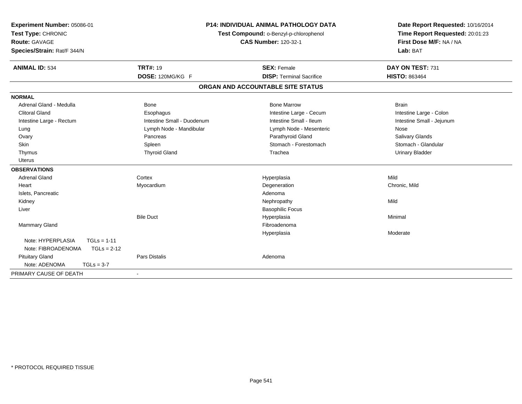| Experiment Number: 05086-01<br>Test Type: CHRONIC<br><b>Route: GAVAGE</b><br>Species/Strain: Rat/F 344/N | <b>P14: INDIVIDUAL ANIMAL PATHOLOGY DATA</b><br>Test Compound: o-Benzyl-p-chlorophenol<br><b>CAS Number: 120-32-1</b> |                                   | Date Report Requested: 10/16/2014<br>Time Report Requested: 20:01:23<br>First Dose M/F: NA / NA<br>Lab: BAT |
|----------------------------------------------------------------------------------------------------------|-----------------------------------------------------------------------------------------------------------------------|-----------------------------------|-------------------------------------------------------------------------------------------------------------|
| <b>ANIMAL ID: 534</b>                                                                                    | <b>TRT#: 19</b>                                                                                                       | <b>SEX: Female</b>                | DAY ON TEST: 731                                                                                            |
|                                                                                                          | DOSE: 120MG/KG F                                                                                                      | <b>DISP: Terminal Sacrifice</b>   | <b>HISTO: 863464</b>                                                                                        |
|                                                                                                          |                                                                                                                       | ORGAN AND ACCOUNTABLE SITE STATUS |                                                                                                             |
| <b>NORMAL</b>                                                                                            |                                                                                                                       |                                   |                                                                                                             |
| Adrenal Gland - Medulla                                                                                  | Bone                                                                                                                  | <b>Bone Marrow</b>                | <b>Brain</b>                                                                                                |
| <b>Clitoral Gland</b>                                                                                    | Esophagus                                                                                                             | Intestine Large - Cecum           | Intestine Large - Colon                                                                                     |
| Intestine Large - Rectum                                                                                 | Intestine Small - Duodenum                                                                                            | Intestine Small - Ileum           | Intestine Small - Jejunum                                                                                   |
| Lung                                                                                                     | Lymph Node - Mandibular                                                                                               | Lymph Node - Mesenteric           | Nose                                                                                                        |
| Ovary                                                                                                    | Pancreas                                                                                                              | Parathyroid Gland                 | Salivary Glands                                                                                             |
| Skin                                                                                                     | Spleen                                                                                                                | Stomach - Forestomach             | Stomach - Glandular                                                                                         |
| Thymus                                                                                                   | <b>Thyroid Gland</b>                                                                                                  | Trachea                           | <b>Urinary Bladder</b>                                                                                      |
| <b>Uterus</b>                                                                                            |                                                                                                                       |                                   |                                                                                                             |
| <b>OBSERVATIONS</b>                                                                                      |                                                                                                                       |                                   |                                                                                                             |
| <b>Adrenal Gland</b>                                                                                     | Cortex                                                                                                                | Hyperplasia                       | Mild                                                                                                        |
| Heart                                                                                                    | Myocardium                                                                                                            | Degeneration                      | Chronic, Mild                                                                                               |
| Islets, Pancreatic                                                                                       |                                                                                                                       | Adenoma                           |                                                                                                             |
| Kidney                                                                                                   |                                                                                                                       | Nephropathy                       | Mild                                                                                                        |
| Liver                                                                                                    |                                                                                                                       | <b>Basophilic Focus</b>           |                                                                                                             |
|                                                                                                          | <b>Bile Duct</b>                                                                                                      | Hyperplasia                       | Minimal                                                                                                     |
| Mammary Gland                                                                                            |                                                                                                                       | Fibroadenoma                      |                                                                                                             |
|                                                                                                          |                                                                                                                       | Hyperplasia                       | Moderate                                                                                                    |
| Note: HYPERPLASIA<br>$TGLs = 1-11$<br>Note: FIBROADENOMA<br>$TGLs = 2-12$                                |                                                                                                                       |                                   |                                                                                                             |
| <b>Pituitary Gland</b>                                                                                   | <b>Pars Distalis</b>                                                                                                  | Adenoma                           |                                                                                                             |
| Note: ADENOMA<br>$TGLs = 3-7$                                                                            |                                                                                                                       |                                   |                                                                                                             |
| PRIMARY CAUSE OF DEATH                                                                                   | $\blacksquare$                                                                                                        |                                   |                                                                                                             |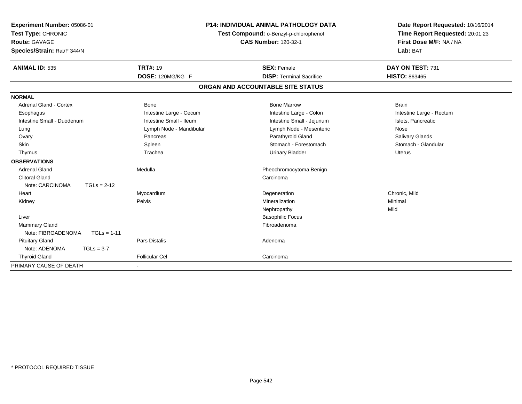| Experiment Number: 05086-01<br>Test Type: CHRONIC<br>Route: GAVAGE<br>Species/Strain: Rat/F 344/N<br><b>ANIMAL ID: 535</b> |               | <b>P14: INDIVIDUAL ANIMAL PATHOLOGY DATA</b><br>Test Compound: o-Benzyl-p-chlorophenol<br><b>CAS Number: 120-32-1</b><br><b>TRT#: 19</b><br><b>SEX: Female</b> |                                   | Date Report Requested: 10/16/2014<br>Time Report Requested: 20:01:23<br>First Dose M/F: NA / NA<br>Lab: BAT<br>DAY ON TEST: 731 |
|----------------------------------------------------------------------------------------------------------------------------|---------------|----------------------------------------------------------------------------------------------------------------------------------------------------------------|-----------------------------------|---------------------------------------------------------------------------------------------------------------------------------|
|                                                                                                                            |               | DOSE: 120MG/KG F                                                                                                                                               | <b>DISP: Terminal Sacrifice</b>   | <b>HISTO: 863465</b>                                                                                                            |
|                                                                                                                            |               |                                                                                                                                                                | ORGAN AND ACCOUNTABLE SITE STATUS |                                                                                                                                 |
| <b>NORMAL</b>                                                                                                              |               |                                                                                                                                                                |                                   |                                                                                                                                 |
| Adrenal Gland - Cortex                                                                                                     |               | Bone                                                                                                                                                           | <b>Bone Marrow</b>                | <b>Brain</b>                                                                                                                    |
| Esophagus                                                                                                                  |               | Intestine Large - Cecum                                                                                                                                        | Intestine Large - Colon           | Intestine Large - Rectum                                                                                                        |
| Intestine Small - Duodenum                                                                                                 |               | Intestine Small - Ileum                                                                                                                                        | Intestine Small - Jejunum         | Islets, Pancreatic                                                                                                              |
| Lung                                                                                                                       |               | Lymph Node - Mandibular                                                                                                                                        | Lymph Node - Mesenteric           | Nose                                                                                                                            |
| Ovary                                                                                                                      |               | Pancreas                                                                                                                                                       | Parathyroid Gland                 | Salivary Glands                                                                                                                 |
| Skin                                                                                                                       |               | Spleen                                                                                                                                                         | Stomach - Forestomach             | Stomach - Glandular                                                                                                             |
| Thymus                                                                                                                     |               | Trachea                                                                                                                                                        | <b>Urinary Bladder</b>            | <b>Uterus</b>                                                                                                                   |
| <b>OBSERVATIONS</b>                                                                                                        |               |                                                                                                                                                                |                                   |                                                                                                                                 |
| <b>Adrenal Gland</b>                                                                                                       |               | Medulla                                                                                                                                                        | Pheochromocytoma Benign           |                                                                                                                                 |
| <b>Clitoral Gland</b>                                                                                                      |               |                                                                                                                                                                | Carcinoma                         |                                                                                                                                 |
| Note: CARCINOMA                                                                                                            | $TGLs = 2-12$ |                                                                                                                                                                |                                   |                                                                                                                                 |
| Heart                                                                                                                      |               | Myocardium                                                                                                                                                     | Degeneration                      | Chronic. Mild                                                                                                                   |
| Kidney                                                                                                                     |               | Pelvis                                                                                                                                                         | Mineralization                    | Minimal                                                                                                                         |
|                                                                                                                            |               |                                                                                                                                                                | Nephropathy                       | Mild                                                                                                                            |
| Liver                                                                                                                      |               |                                                                                                                                                                | <b>Basophilic Focus</b>           |                                                                                                                                 |
| <b>Mammary Gland</b>                                                                                                       |               |                                                                                                                                                                | Fibroadenoma                      |                                                                                                                                 |
| Note: FIBROADENOMA                                                                                                         | $TGLs = 1-11$ |                                                                                                                                                                |                                   |                                                                                                                                 |
| <b>Pituitary Gland</b>                                                                                                     |               | Pars Distalis                                                                                                                                                  | Adenoma                           |                                                                                                                                 |
| Note: ADENOMA                                                                                                              | $TGLs = 3-7$  |                                                                                                                                                                |                                   |                                                                                                                                 |
| <b>Thyroid Gland</b>                                                                                                       |               | <b>Follicular Cel</b>                                                                                                                                          | Carcinoma                         |                                                                                                                                 |
| PRIMARY CAUSE OF DEATH                                                                                                     |               |                                                                                                                                                                |                                   |                                                                                                                                 |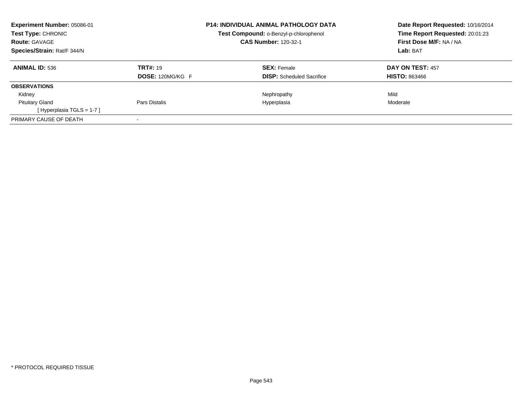| <b>Experiment Number: 05086-01</b><br><b>Test Type: CHRONIC</b><br><b>Route: GAVAGE</b><br>Species/Strain: Rat/F 344/N |                         | <b>P14: INDIVIDUAL ANIMAL PATHOLOGY DATA</b><br>Test Compound: o-Benzyl-p-chlorophenol<br><b>CAS Number: 120-32-1</b> | Date Report Requested: 10/16/2014<br>Time Report Requested: 20:01:23<br>First Dose M/F: NA / NA<br>Lab: BAT |
|------------------------------------------------------------------------------------------------------------------------|-------------------------|-----------------------------------------------------------------------------------------------------------------------|-------------------------------------------------------------------------------------------------------------|
| <b>ANIMAL ID: 536</b>                                                                                                  | <b>TRT#: 19</b>         | <b>SEX: Female</b>                                                                                                    | <b>DAY ON TEST: 457</b>                                                                                     |
| <b>OBSERVATIONS</b>                                                                                                    | <b>DOSE: 120MG/KG F</b> | <b>DISP:</b> Scheduled Sacrifice                                                                                      | <b>HISTO: 863466</b>                                                                                        |
| Kidney                                                                                                                 |                         | Nephropathy                                                                                                           | Mild                                                                                                        |
| <b>Pituitary Gland</b><br>[Hyperplasia TGLS = $1-7$ ]                                                                  | Pars Distalis           | Hyperplasia                                                                                                           | Moderate                                                                                                    |
| PRIMARY CAUSE OF DEATH                                                                                                 |                         |                                                                                                                       |                                                                                                             |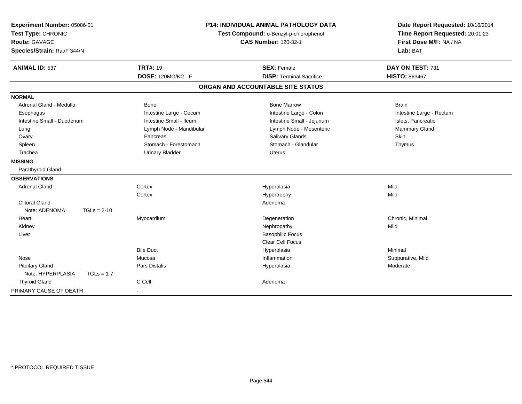| Experiment Number: 05086-01<br>Test Type: CHRONIC<br><b>Route: GAVAGE</b><br>Species/Strain: Rat/F 344/N | <b>P14: INDIVIDUAL ANIMAL PATHOLOGY DATA</b><br>Test Compound: o-Benzyl-p-chlorophenol<br><b>CAS Number: 120-32-1</b> |                                                       | Date Report Requested: 10/16/2014<br>Time Report Requested: 20:01:23<br>First Dose M/F: NA / NA<br>Lab: BAT |
|----------------------------------------------------------------------------------------------------------|-----------------------------------------------------------------------------------------------------------------------|-------------------------------------------------------|-------------------------------------------------------------------------------------------------------------|
| <b>ANIMAL ID: 537</b>                                                                                    | <b>TRT#: 19</b><br>DOSE: 120MG/KG F                                                                                   | <b>SEX: Female</b><br><b>DISP: Terminal Sacrifice</b> | DAY ON TEST: 731<br><b>HISTO: 863467</b>                                                                    |
|                                                                                                          |                                                                                                                       | ORGAN AND ACCOUNTABLE SITE STATUS                     |                                                                                                             |
|                                                                                                          |                                                                                                                       |                                                       |                                                                                                             |
| <b>NORMAL</b><br>Adrenal Gland - Medulla                                                                 |                                                                                                                       | <b>Bone Marrow</b>                                    |                                                                                                             |
|                                                                                                          | Bone                                                                                                                  |                                                       | <b>Brain</b>                                                                                                |
| Esophagus<br>Intestine Small - Duodenum                                                                  | Intestine Large - Cecum<br>Intestine Small - Ileum                                                                    | Intestine Large - Colon                               | Intestine Large - Rectum                                                                                    |
|                                                                                                          |                                                                                                                       | Intestine Small - Jejunum                             | Islets, Pancreatic                                                                                          |
| Lung<br>Ovary                                                                                            | Lymph Node - Mandibular<br>Pancreas                                                                                   | Lymph Node - Mesenteric<br>Salivary Glands            | Mammary Gland<br>Skin                                                                                       |
| Spleen                                                                                                   | Stomach - Forestomach                                                                                                 | Stomach - Glandular                                   | Thymus                                                                                                      |
| Trachea                                                                                                  | <b>Urinary Bladder</b>                                                                                                | <b>Uterus</b>                                         |                                                                                                             |
| <b>MISSING</b>                                                                                           |                                                                                                                       |                                                       |                                                                                                             |
| Parathyroid Gland                                                                                        |                                                                                                                       |                                                       |                                                                                                             |
| <b>OBSERVATIONS</b>                                                                                      |                                                                                                                       |                                                       |                                                                                                             |
| <b>Adrenal Gland</b>                                                                                     | Cortex                                                                                                                | Hyperplasia                                           | Mild                                                                                                        |
|                                                                                                          | Cortex                                                                                                                | Hypertrophy                                           | Mild                                                                                                        |
| <b>Clitoral Gland</b>                                                                                    |                                                                                                                       | Adenoma                                               |                                                                                                             |
| Note: ADENOMA<br>$TGLs = 2-10$                                                                           |                                                                                                                       |                                                       |                                                                                                             |
| Heart                                                                                                    | Myocardium                                                                                                            | Degeneration                                          | Chronic, Minimal                                                                                            |
| Kidney                                                                                                   |                                                                                                                       | Nephropathy                                           | Mild                                                                                                        |
| Liver                                                                                                    |                                                                                                                       | <b>Basophilic Focus</b>                               |                                                                                                             |
|                                                                                                          |                                                                                                                       | <b>Clear Cell Focus</b>                               |                                                                                                             |
|                                                                                                          | <b>Bile Duct</b>                                                                                                      | Hyperplasia                                           | Minimal                                                                                                     |
| Nose                                                                                                     | Mucosa                                                                                                                | Inflammation                                          | Suppurative, Mild                                                                                           |
| <b>Pituitary Gland</b>                                                                                   | Pars Distalis                                                                                                         | Hyperplasia                                           | Moderate                                                                                                    |
| Note: HYPERPLASIA<br>$TGLs = 1-7$                                                                        |                                                                                                                       |                                                       |                                                                                                             |
| <b>Thyroid Gland</b>                                                                                     | C Cell                                                                                                                | Adenoma                                               |                                                                                                             |
| PRIMARY CAUSE OF DEATH                                                                                   |                                                                                                                       |                                                       |                                                                                                             |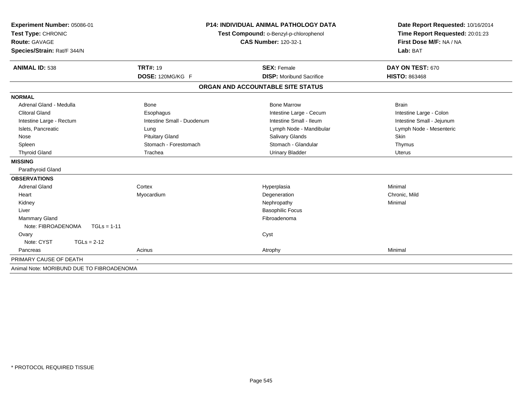| Experiment Number: 05086-01<br>Test Type: CHRONIC<br>Route: GAVAGE<br>Species/Strain: Rat/F 344/N | <b>P14: INDIVIDUAL ANIMAL PATHOLOGY DATA</b><br>Test Compound: o-Benzyl-p-chlorophenol<br><b>CAS Number: 120-32-1</b> |                                   | Date Report Requested: 10/16/2014<br>Time Report Requested: 20:01:23<br>First Dose M/F: NA / NA<br>Lab: BAT |
|---------------------------------------------------------------------------------------------------|-----------------------------------------------------------------------------------------------------------------------|-----------------------------------|-------------------------------------------------------------------------------------------------------------|
| <b>ANIMAL ID: 538</b>                                                                             | <b>TRT#: 19</b>                                                                                                       | <b>SEX: Female</b>                | DAY ON TEST: 670                                                                                            |
|                                                                                                   | DOSE: 120MG/KG F                                                                                                      | <b>DISP:</b> Moribund Sacrifice   | <b>HISTO: 863468</b>                                                                                        |
|                                                                                                   |                                                                                                                       | ORGAN AND ACCOUNTABLE SITE STATUS |                                                                                                             |
| <b>NORMAL</b>                                                                                     |                                                                                                                       |                                   |                                                                                                             |
| Adrenal Gland - Medulla                                                                           | Bone                                                                                                                  | <b>Bone Marrow</b>                | <b>Brain</b>                                                                                                |
| <b>Clitoral Gland</b>                                                                             | Esophagus                                                                                                             | Intestine Large - Cecum           | Intestine Large - Colon                                                                                     |
| Intestine Large - Rectum                                                                          | Intestine Small - Duodenum                                                                                            | Intestine Small - Ileum           | Intestine Small - Jejunum                                                                                   |
| Islets, Pancreatic                                                                                | Lung                                                                                                                  | Lymph Node - Mandibular           | Lymph Node - Mesenteric                                                                                     |
| Nose                                                                                              | <b>Pituitary Gland</b>                                                                                                | <b>Salivary Glands</b>            | Skin                                                                                                        |
| Spleen                                                                                            | Stomach - Forestomach                                                                                                 | Stomach - Glandular               | Thymus                                                                                                      |
| <b>Thyroid Gland</b>                                                                              | Trachea                                                                                                               | <b>Urinary Bladder</b>            | <b>Uterus</b>                                                                                               |
| <b>MISSING</b>                                                                                    |                                                                                                                       |                                   |                                                                                                             |
| Parathyroid Gland                                                                                 |                                                                                                                       |                                   |                                                                                                             |
| <b>OBSERVATIONS</b>                                                                               |                                                                                                                       |                                   |                                                                                                             |
| <b>Adrenal Gland</b>                                                                              | Cortex                                                                                                                | Hyperplasia                       | Minimal                                                                                                     |
| Heart                                                                                             | Myocardium                                                                                                            | Degeneration                      | Chronic, Mild                                                                                               |
| Kidney                                                                                            |                                                                                                                       | Nephropathy                       | Minimal                                                                                                     |
| Liver                                                                                             |                                                                                                                       | <b>Basophilic Focus</b>           |                                                                                                             |
| Mammary Gland                                                                                     |                                                                                                                       | Fibroadenoma                      |                                                                                                             |
| Note: FIBROADENOMA<br>$TGLs = 1-11$                                                               |                                                                                                                       |                                   |                                                                                                             |
| Ovary                                                                                             |                                                                                                                       | Cyst                              |                                                                                                             |
| Note: CYST<br>$TGLs = 2-12$                                                                       |                                                                                                                       |                                   |                                                                                                             |
| Pancreas                                                                                          | Acinus                                                                                                                | Atrophy                           | Minimal                                                                                                     |
| PRIMARY CAUSE OF DEATH                                                                            |                                                                                                                       |                                   |                                                                                                             |
| Animal Note: MORIBUND DUE TO FIBROADENOMA                                                         |                                                                                                                       |                                   |                                                                                                             |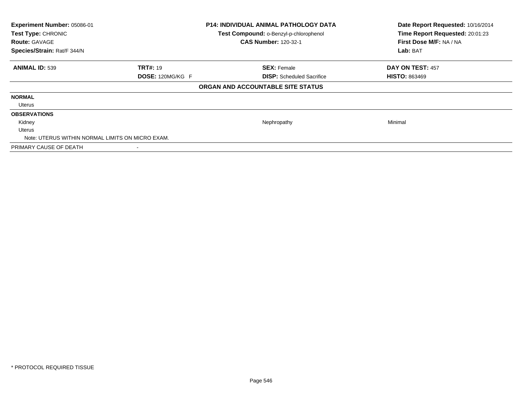| Experiment Number: 05086-01<br>Test Type: CHRONIC<br><b>Route: GAVAGE</b><br>Species/Strain: Rat/F 344/N |                         | <b>P14: INDIVIDUAL ANIMAL PATHOLOGY DATA</b><br>Test Compound: o-Benzyl-p-chlorophenol<br><b>CAS Number: 120-32-1</b> | Date Report Requested: 10/16/2014<br>Time Report Requested: 20:01:23<br>First Dose M/F: NA / NA<br>Lab: BAT |
|----------------------------------------------------------------------------------------------------------|-------------------------|-----------------------------------------------------------------------------------------------------------------------|-------------------------------------------------------------------------------------------------------------|
| <b>ANIMAL ID: 539</b>                                                                                    | <b>TRT#: 19</b>         | <b>SEX: Female</b>                                                                                                    | DAY ON TEST: 457                                                                                            |
|                                                                                                          | <b>DOSE: 120MG/KG F</b> | <b>DISP:</b> Scheduled Sacrifice                                                                                      | <b>HISTO: 863469</b>                                                                                        |
|                                                                                                          |                         | ORGAN AND ACCOUNTABLE SITE STATUS                                                                                     |                                                                                                             |
| <b>NORMAL</b>                                                                                            |                         |                                                                                                                       |                                                                                                             |
| Uterus                                                                                                   |                         |                                                                                                                       |                                                                                                             |
| <b>OBSERVATIONS</b>                                                                                      |                         |                                                                                                                       |                                                                                                             |
| Kidney                                                                                                   |                         | Nephropathy                                                                                                           | Minimal                                                                                                     |
| <b>Uterus</b>                                                                                            |                         |                                                                                                                       |                                                                                                             |
| Note: UTERUS WITHIN NORMAL LIMITS ON MICRO EXAM.                                                         |                         |                                                                                                                       |                                                                                                             |
| PRIMARY CAUSE OF DEATH                                                                                   |                         |                                                                                                                       |                                                                                                             |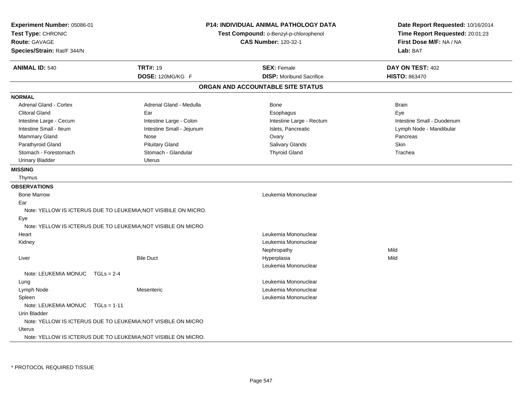| Experiment Number: 05086-01<br>Test Type: CHRONIC<br><b>Route: GAVAGE</b><br>Species/Strain: Rat/F 344/N | <b>P14: INDIVIDUAL ANIMAL PATHOLOGY DATA</b><br>Test Compound: o-Benzyl-p-chlorophenol<br><b>CAS Number: 120-32-1</b> |                                                       | Date Report Requested: 10/16/2014<br>Time Report Requested: 20:01:23<br>First Dose M/F: NA / NA<br>Lab: BAT |
|----------------------------------------------------------------------------------------------------------|-----------------------------------------------------------------------------------------------------------------------|-------------------------------------------------------|-------------------------------------------------------------------------------------------------------------|
| <b>ANIMAL ID: 540</b>                                                                                    | <b>TRT#: 19</b><br>DOSE: 120MG/KG F                                                                                   | <b>SEX: Female</b><br><b>DISP:</b> Moribund Sacrifice | DAY ON TEST: 402<br><b>HISTO: 863470</b>                                                                    |
|                                                                                                          |                                                                                                                       | ORGAN AND ACCOUNTABLE SITE STATUS                     |                                                                                                             |
| <b>NORMAL</b>                                                                                            |                                                                                                                       |                                                       |                                                                                                             |
| Adrenal Gland - Cortex                                                                                   | Adrenal Gland - Medulla                                                                                               | Bone                                                  | <b>Brain</b>                                                                                                |
| <b>Clitoral Gland</b>                                                                                    | Ear                                                                                                                   | Esophagus                                             | Eye                                                                                                         |
| Intestine Large - Cecum                                                                                  | Intestine Large - Colon                                                                                               | Intestine Large - Rectum                              | Intestine Small - Duodenum                                                                                  |
| Intestine Small - Ileum                                                                                  | Intestine Small - Jejunum                                                                                             | Islets, Pancreatic                                    | Lymph Node - Mandibular                                                                                     |
| <b>Mammary Gland</b>                                                                                     | Nose                                                                                                                  | Ovary                                                 | Pancreas                                                                                                    |
| Parathyroid Gland                                                                                        | <b>Pituitary Gland</b>                                                                                                | Salivary Glands                                       | Skin                                                                                                        |
| Stomach - Forestomach                                                                                    | Stomach - Glandular                                                                                                   | <b>Thyroid Gland</b>                                  | Trachea                                                                                                     |
| <b>Urinary Bladder</b>                                                                                   | <b>Uterus</b>                                                                                                         |                                                       |                                                                                                             |
| <b>MISSING</b>                                                                                           |                                                                                                                       |                                                       |                                                                                                             |
| Thymus                                                                                                   |                                                                                                                       |                                                       |                                                                                                             |
| <b>OBSERVATIONS</b>                                                                                      |                                                                                                                       |                                                       |                                                                                                             |
| <b>Bone Marrow</b>                                                                                       |                                                                                                                       | Leukemia Mononuclear                                  |                                                                                                             |
| Ear                                                                                                      |                                                                                                                       |                                                       |                                                                                                             |
|                                                                                                          | Note: YELLOW IS ICTERUS DUE TO LEUKEMIA; NOT VISIBILE ON MICRO.                                                       |                                                       |                                                                                                             |
| Eye                                                                                                      |                                                                                                                       |                                                       |                                                                                                             |
| Note: YELLOW IS ICTERUS DUE TO LEUKEMIA; NOT VISIBLE ON MICRO                                            |                                                                                                                       |                                                       |                                                                                                             |
| Heart                                                                                                    |                                                                                                                       | Leukemia Mononuclear                                  |                                                                                                             |
| Kidney                                                                                                   |                                                                                                                       | Leukemia Mononuclear                                  |                                                                                                             |
|                                                                                                          |                                                                                                                       | Nephropathy                                           | Mild                                                                                                        |
| Liver                                                                                                    | <b>Bile Duct</b>                                                                                                      | Hyperplasia                                           | Mild                                                                                                        |
|                                                                                                          |                                                                                                                       | Leukemia Mononuclear                                  |                                                                                                             |
| Note: LEUKEMIA MONUC<br>$TGLs = 2-4$                                                                     |                                                                                                                       |                                                       |                                                                                                             |
| Lung                                                                                                     |                                                                                                                       | Leukemia Mononuclear                                  |                                                                                                             |
| Lymph Node                                                                                               | Mesenteric                                                                                                            | Leukemia Mononuclear                                  |                                                                                                             |
| Spleen                                                                                                   |                                                                                                                       | Leukemia Mononuclear                                  |                                                                                                             |
| Note: LEUKEMIA MONUC TGLs = 1-11                                                                         |                                                                                                                       |                                                       |                                                                                                             |
| Urin Bladder                                                                                             |                                                                                                                       |                                                       |                                                                                                             |
| Note: YELLOW IS ICTERUS DUE TO LEUKEMIA; NOT VISIBLE ON MICRO                                            |                                                                                                                       |                                                       |                                                                                                             |
| Uterus                                                                                                   |                                                                                                                       |                                                       |                                                                                                             |
| Note: YELLOW IS ICTERUS DUE TO LEUKEMIA: NOT VISIBLE ON MICRO.                                           |                                                                                                                       |                                                       |                                                                                                             |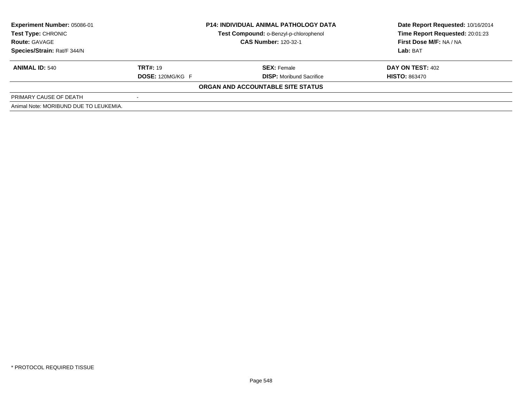| <b>Experiment Number: 05086-01</b>     |                             | <b>P14: INDIVIDUAL ANIMAL PATHOLOGY DATA</b> | Date Report Requested: 10/16/2014 |  |
|----------------------------------------|-----------------------------|----------------------------------------------|-----------------------------------|--|
| <b>Test Type: CHRONIC</b>              |                             | Test Compound: o-Benzyl-p-chlorophenol       | Time Report Requested: 20:01:23   |  |
| <b>Route: GAVAGE</b>                   | <b>CAS Number: 120-32-1</b> |                                              | First Dose M/F: NA / NA           |  |
| Species/Strain: Rat/F 344/N            |                             |                                              | Lab: BAT                          |  |
| <b>ANIMAL ID: 540</b>                  | <b>TRT#: 19</b>             | <b>SEX: Female</b>                           | DAY ON TEST: 402                  |  |
|                                        | <b>DOSE: 120MG/KG F</b>     | <b>DISP:</b> Moribund Sacrifice              | <b>HISTO: 863470</b>              |  |
|                                        |                             | ORGAN AND ACCOUNTABLE SITE STATUS            |                                   |  |
| PRIMARY CAUSE OF DEATH                 |                             |                                              |                                   |  |
| Animal Note: MORIBUND DUE TO LEUKEMIA. |                             |                                              |                                   |  |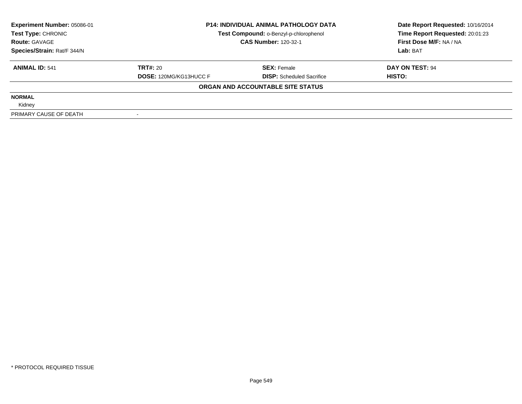| <b>Experiment Number: 05086-01</b> | <b>P14: INDIVIDUAL ANIMAL PATHOLOGY DATA</b><br>Test Compound: o-Benzyl-p-chlorophenol<br><b>CAS Number: 120-32-1</b> |                                   | Date Report Requested: 10/16/2014 |
|------------------------------------|-----------------------------------------------------------------------------------------------------------------------|-----------------------------------|-----------------------------------|
| Test Type: CHRONIC                 |                                                                                                                       |                                   | Time Report Requested: 20:01:23   |
| <b>Route: GAVAGE</b>               |                                                                                                                       |                                   | First Dose M/F: NA / NA           |
| Species/Strain: Rat/F 344/N        |                                                                                                                       |                                   | Lab: BAT                          |
| <b>ANIMAL ID: 541</b>              | <b>TRT#: 20</b>                                                                                                       | <b>SEX: Female</b>                | DAY ON TEST: 94                   |
|                                    | <b>DOSE: 120MG/KG13HUCC F</b>                                                                                         | <b>DISP:</b> Scheduled Sacrifice  | <b>HISTO:</b>                     |
|                                    |                                                                                                                       | ORGAN AND ACCOUNTABLE SITE STATUS |                                   |
| <b>NORMAL</b>                      |                                                                                                                       |                                   |                                   |
| Kidney                             |                                                                                                                       |                                   |                                   |
| PRIMARY CAUSE OF DEATH             |                                                                                                                       |                                   |                                   |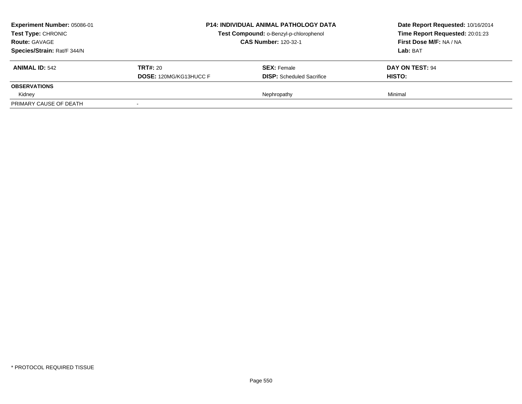| <b>Experiment Number: 05086-01</b><br><b>Test Type: CHRONIC</b><br><b>Route: GAVAGE</b><br>Species/Strain: Rat/F 344/N | <b>P14: INDIVIDUAL ANIMAL PATHOLOGY DATA</b><br>Test Compound: o-Benzyl-p-chlorophenol<br><b>CAS Number: 120-32-1</b> |                                                        | Date Report Requested: 10/16/2014<br>Time Report Requested: 20:01:23<br>First Dose M/F: NA / NA<br>Lab: BAT |
|------------------------------------------------------------------------------------------------------------------------|-----------------------------------------------------------------------------------------------------------------------|--------------------------------------------------------|-------------------------------------------------------------------------------------------------------------|
| ANIMAL $ID: 542$                                                                                                       | <b>TRT#: 20</b><br><b>DOSE: 120MG/KG13HUCC F</b>                                                                      | <b>SEX:</b> Female<br><b>DISP:</b> Scheduled Sacrifice | DAY ON TEST: 94<br><b>HISTO:</b>                                                                            |
| <b>OBSERVATIONS</b>                                                                                                    |                                                                                                                       |                                                        |                                                                                                             |
| Kidney                                                                                                                 |                                                                                                                       | Nephropathy                                            | Minimal                                                                                                     |
| PRIMARY CAUSE OF DEATH                                                                                                 |                                                                                                                       |                                                        |                                                                                                             |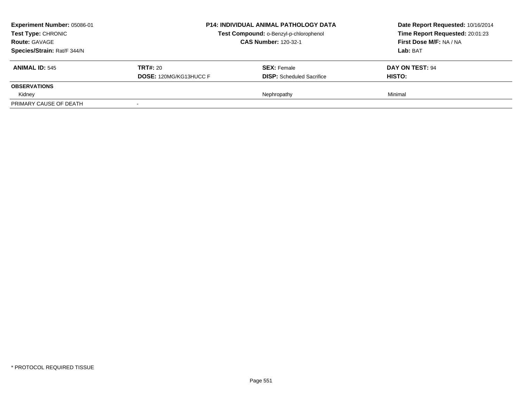| <b>Experiment Number: 05086-01</b><br><b>Test Type: CHRONIC</b><br><b>Route: GAVAGE</b><br>Species/Strain: Rat/F 344/N | <b>P14: INDIVIDUAL ANIMAL PATHOLOGY DATA</b><br>Test Compound: o-Benzyl-p-chlorophenol<br><b>CAS Number: 120-32-1</b> |                                                        | Date Report Requested: 10/16/2014<br>Time Report Requested: 20:01:23<br>First Dose M/F: NA / NA<br>Lab: BAT |  |
|------------------------------------------------------------------------------------------------------------------------|-----------------------------------------------------------------------------------------------------------------------|--------------------------------------------------------|-------------------------------------------------------------------------------------------------------------|--|
| <b>ANIMAL ID: 545</b>                                                                                                  | <b>TRT#: 20</b><br>DOSE: 120MG/KG13HUCC F                                                                             | <b>SEX:</b> Female<br><b>DISP:</b> Scheduled Sacrifice | DAY ON TEST: 94<br><b>HISTO:</b>                                                                            |  |
| <b>OBSERVATIONS</b>                                                                                                    |                                                                                                                       |                                                        |                                                                                                             |  |
| Kidney                                                                                                                 |                                                                                                                       | Nephropathy                                            | Minimal                                                                                                     |  |
| PRIMARY CAUSE OF DEATH                                                                                                 |                                                                                                                       |                                                        |                                                                                                             |  |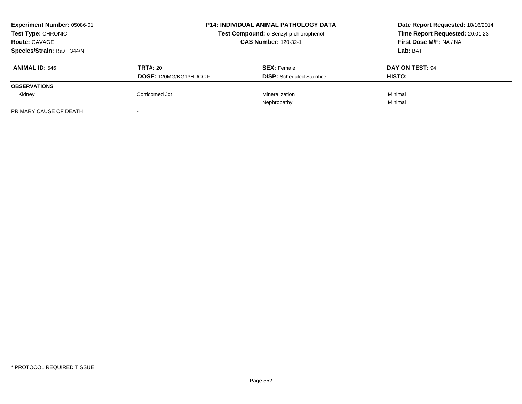| Experiment Number: 05086-01<br>Test Type: CHRONIC<br><b>Route: GAVAGE</b> | <b>P14: INDIVIDUAL ANIMAL PATHOLOGY DATA</b><br>Test Compound: o-Benzyl-p-chlorophenol<br><b>CAS Number: 120-32-1</b> |                                                        | Date Report Requested: 10/16/2014<br>Time Report Requested: 20:01:23<br>First Dose M/F: NA / NA |
|---------------------------------------------------------------------------|-----------------------------------------------------------------------------------------------------------------------|--------------------------------------------------------|-------------------------------------------------------------------------------------------------|
| Species/Strain: Rat/F 344/N                                               |                                                                                                                       |                                                        | Lab: BAT                                                                                        |
| <b>ANIMAL ID: 546</b>                                                     | TRT#: 20<br><b>DOSE: 120MG/KG13HUCC F</b>                                                                             | <b>SEX: Female</b><br><b>DISP:</b> Scheduled Sacrifice | DAY ON TEST: 94<br>HISTO:                                                                       |
| <b>OBSERVATIONS</b>                                                       |                                                                                                                       |                                                        |                                                                                                 |
| Kidney                                                                    | Corticomed Jct                                                                                                        | Mineralization                                         | Minimal                                                                                         |
|                                                                           |                                                                                                                       | Nephropathy                                            | Minimal                                                                                         |
| PRIMARY CAUSE OF DEATH                                                    |                                                                                                                       |                                                        |                                                                                                 |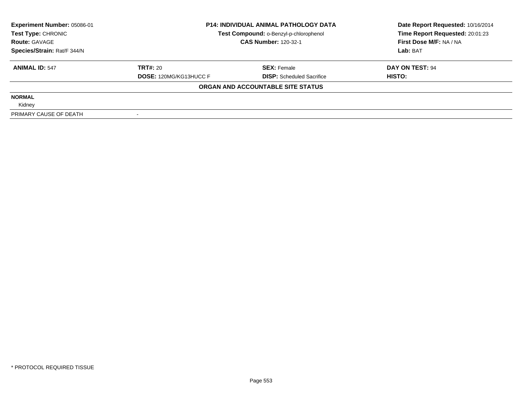| <b>Experiment Number: 05086-01</b> | <b>P14: INDIVIDUAL ANIMAL PATHOLOGY DATA</b> |                                        | Date Report Requested: 10/16/2014 |
|------------------------------------|----------------------------------------------|----------------------------------------|-----------------------------------|
| Test Type: CHRONIC                 |                                              | Test Compound: o-Benzyl-p-chlorophenol | Time Report Requested: 20:01:23   |
| <b>Route: GAVAGE</b>               |                                              | <b>CAS Number: 120-32-1</b>            | First Dose M/F: NA / NA           |
| Species/Strain: Rat/F 344/N        |                                              |                                        | Lab: BAT                          |
| <b>ANIMAL ID: 547</b>              | <b>TRT#: 20</b>                              | <b>SEX: Female</b>                     | DAY ON TEST: 94                   |
|                                    | <b>DOSE: 120MG/KG13HUCC F</b>                | <b>DISP:</b> Scheduled Sacrifice       | <b>HISTO:</b>                     |
|                                    |                                              | ORGAN AND ACCOUNTABLE SITE STATUS      |                                   |
| <b>NORMAL</b>                      |                                              |                                        |                                   |
| Kidney                             |                                              |                                        |                                   |
| PRIMARY CAUSE OF DEATH             |                                              |                                        |                                   |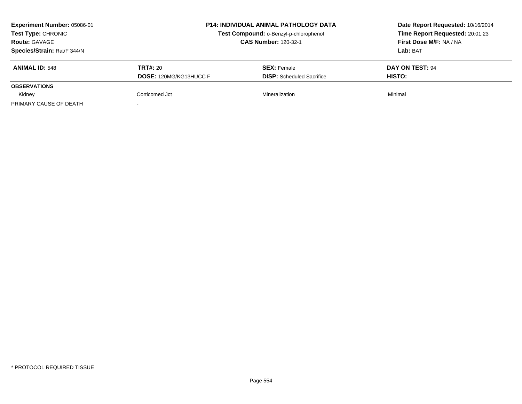| Experiment Number: 05086-01 |                               | <b>P14: INDIVIDUAL ANIMAL PATHOLOGY DATA</b> | Date Report Requested: 10/16/2014 |
|-----------------------------|-------------------------------|----------------------------------------------|-----------------------------------|
| Test Type: CHRONIC          |                               | Test Compound: o-Benzyl-p-chlorophenol       | Time Report Requested: 20:01:23   |
| <b>Route: GAVAGE</b>        |                               | <b>CAS Number: 120-32-1</b>                  | First Dose M/F: NA / NA           |
| Species/Strain: Rat/F 344/N |                               |                                              | Lab: BAT                          |
| <b>ANIMAL ID: 548</b>       | <b>TRT#: 20</b>               | <b>SEX: Female</b>                           | DAY ON TEST: 94                   |
|                             | <b>DOSE: 120MG/KG13HUCC F</b> | <b>DISP:</b> Scheduled Sacrifice             | <b>HISTO:</b>                     |
| <b>OBSERVATIONS</b>         |                               |                                              |                                   |
| Kidney                      | Corticomed Jct                | Mineralization                               | Minimal                           |
| PRIMARY CAUSE OF DEATH      |                               |                                              |                                   |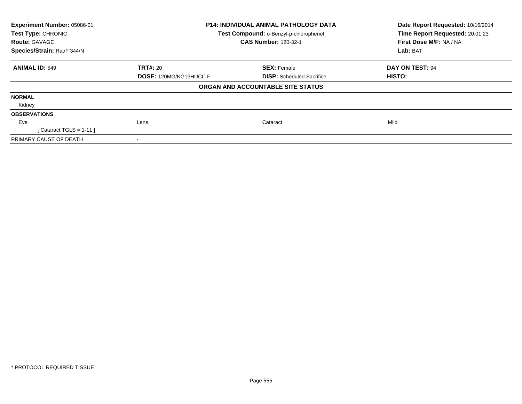| Experiment Number: 05086-01<br>Test Type: CHRONIC<br><b>Route: GAVAGE</b> |                               | <b>P14: INDIVIDUAL ANIMAL PATHOLOGY DATA</b><br>Test Compound: o-Benzyl-p-chlorophenol<br><b>CAS Number: 120-32-1</b> | Date Report Requested: 10/16/2014<br>Time Report Requested: 20:01:23<br>First Dose M/F: NA / NA |  |
|---------------------------------------------------------------------------|-------------------------------|-----------------------------------------------------------------------------------------------------------------------|-------------------------------------------------------------------------------------------------|--|
| Species/Strain: Rat/F 344/N                                               |                               |                                                                                                                       | Lab: BAT                                                                                        |  |
| <b>ANIMAL ID: 549</b>                                                     | TRT#: 20                      | <b>SEX: Female</b>                                                                                                    | DAY ON TEST: 94                                                                                 |  |
|                                                                           | <b>DOSE: 120MG/KG13HUCC F</b> | <b>DISP:</b> Scheduled Sacrifice                                                                                      | HISTO:                                                                                          |  |
|                                                                           |                               | ORGAN AND ACCOUNTABLE SITE STATUS                                                                                     |                                                                                                 |  |
| <b>NORMAL</b>                                                             |                               |                                                                                                                       |                                                                                                 |  |
| Kidney                                                                    |                               |                                                                                                                       |                                                                                                 |  |
| <b>OBSERVATIONS</b>                                                       |                               |                                                                                                                       |                                                                                                 |  |
| Eye                                                                       | Lens                          | Cataract                                                                                                              | Mild                                                                                            |  |
| [ Cataract TGLS = $1-11$ ]                                                |                               |                                                                                                                       |                                                                                                 |  |
| PRIMARY CAUSE OF DEATH                                                    |                               |                                                                                                                       |                                                                                                 |  |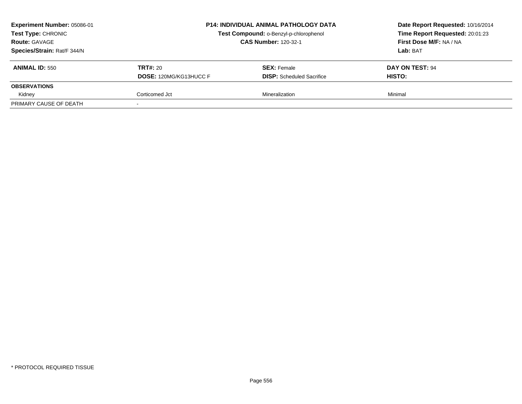| Experiment Number: 05086-01<br><b>Test Type: CHRONIC</b><br><b>Route: GAVAGE</b><br>Species/Strain: Rat/F 344/N |                                                  | <b>P14: INDIVIDUAL ANIMAL PATHOLOGY DATA</b><br>Test Compound: o-Benzyl-p-chlorophenol<br><b>CAS Number: 120-32-1</b> | Date Report Requested: 10/16/2014<br>Time Report Requested: 20:01:23<br>First Dose M/F: NA / NA<br>Lab: BAT |
|-----------------------------------------------------------------------------------------------------------------|--------------------------------------------------|-----------------------------------------------------------------------------------------------------------------------|-------------------------------------------------------------------------------------------------------------|
| <b>ANIMAL ID: 550</b>                                                                                           | <b>TRT#: 20</b><br><b>DOSE: 120MG/KG13HUCC F</b> | <b>SEX:</b> Female<br><b>DISP:</b> Scheduled Sacrifice                                                                | DAY ON TEST: 94<br><b>HISTO:</b>                                                                            |
| <b>OBSERVATIONS</b>                                                                                             |                                                  |                                                                                                                       |                                                                                                             |
| Kidney                                                                                                          | Corticomed Jct                                   | Mineralization                                                                                                        | Minimal                                                                                                     |
| PRIMARY CAUSE OF DEATH                                                                                          |                                                  |                                                                                                                       |                                                                                                             |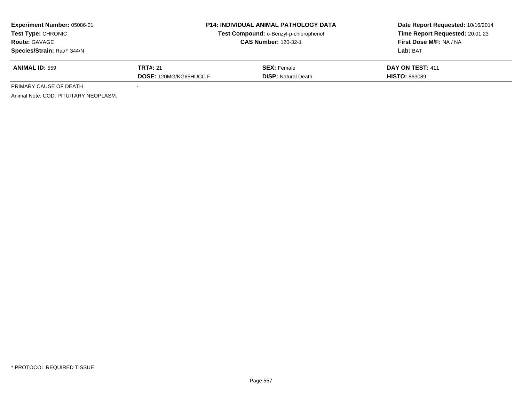| <b>Experiment Number: 05086-01</b><br>Test Type: CHRONIC<br><b>Route: GAVAGE</b><br>Species/Strain: Rat/F 344/N | <b>P14: INDIVIDUAL ANIMAL PATHOLOGY DATA</b><br>Test Compound: o-Benzyl-p-chlorophenol<br><b>CAS Number: 120-32-1</b> |                                                  | Date Report Requested: 10/16/2014<br>Time Report Requested: 20:01:23<br>First Dose M/F: NA / NA<br>Lab: BAT |
|-----------------------------------------------------------------------------------------------------------------|-----------------------------------------------------------------------------------------------------------------------|--------------------------------------------------|-------------------------------------------------------------------------------------------------------------|
| <b>ANIMAL ID: 559</b>                                                                                           | <b>TRT#: 21</b><br><b>DOSE: 120MG/KG65HUCC F</b>                                                                      | <b>SEX:</b> Female<br><b>DISP: Natural Death</b> | DAY ON TEST: 411<br><b>HISTO: 863089</b>                                                                    |
| PRIMARY CAUSE OF DEATH                                                                                          |                                                                                                                       |                                                  |                                                                                                             |
| Animal Note: COD: PITUITARY NEOPLASM.                                                                           |                                                                                                                       |                                                  |                                                                                                             |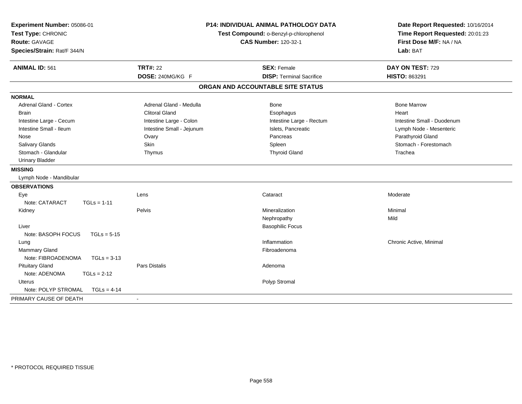| Experiment Number: 05086-01<br>Test Type: CHRONIC<br><b>Route: GAVAGE</b><br>Species/Strain: Rat/F 344/N |                           | <b>P14: INDIVIDUAL ANIMAL PATHOLOGY DATA</b><br>Test Compound: o-Benzyl-p-chlorophenol<br><b>CAS Number: 120-32-1</b> | Date Report Requested: 10/16/2014<br>Time Report Requested: 20:01:23<br>First Dose M/F: NA / NA<br>Lab: BAT |
|----------------------------------------------------------------------------------------------------------|---------------------------|-----------------------------------------------------------------------------------------------------------------------|-------------------------------------------------------------------------------------------------------------|
| <b>ANIMAL ID: 561</b>                                                                                    | <b>TRT#: 22</b>           | <b>SEX: Female</b>                                                                                                    | DAY ON TEST: 729                                                                                            |
|                                                                                                          | DOSE: 240MG/KG F          | <b>DISP: Terminal Sacrifice</b>                                                                                       | HISTO: 863291                                                                                               |
|                                                                                                          |                           | ORGAN AND ACCOUNTABLE SITE STATUS                                                                                     |                                                                                                             |
| <b>NORMAL</b>                                                                                            |                           |                                                                                                                       |                                                                                                             |
| <b>Adrenal Gland - Cortex</b>                                                                            | Adrenal Gland - Medulla   | <b>Bone</b>                                                                                                           | <b>Bone Marrow</b>                                                                                          |
| <b>Brain</b>                                                                                             | <b>Clitoral Gland</b>     | Esophagus                                                                                                             | Heart                                                                                                       |
| Intestine Large - Cecum                                                                                  | Intestine Large - Colon   | Intestine Large - Rectum                                                                                              | Intestine Small - Duodenum                                                                                  |
| Intestine Small - Ileum                                                                                  | Intestine Small - Jejunum | Islets, Pancreatic                                                                                                    | Lymph Node - Mesenteric                                                                                     |
| Nose                                                                                                     | Ovary                     | Pancreas                                                                                                              | Parathyroid Gland                                                                                           |
| Salivary Glands                                                                                          | Skin                      | Spleen                                                                                                                | Stomach - Forestomach                                                                                       |
| Stomach - Glandular                                                                                      | Thymus                    | <b>Thyroid Gland</b>                                                                                                  | Trachea                                                                                                     |
| <b>Urinary Bladder</b>                                                                                   |                           |                                                                                                                       |                                                                                                             |
| <b>MISSING</b>                                                                                           |                           |                                                                                                                       |                                                                                                             |
| Lymph Node - Mandibular                                                                                  |                           |                                                                                                                       |                                                                                                             |
| <b>OBSERVATIONS</b>                                                                                      |                           |                                                                                                                       |                                                                                                             |
| Eye                                                                                                      | Lens                      | Cataract                                                                                                              | Moderate                                                                                                    |
| Note: CATARACT<br>$TGLs = 1-11$                                                                          |                           |                                                                                                                       |                                                                                                             |
| Kidney                                                                                                   | Pelvis                    | Mineralization                                                                                                        | Minimal                                                                                                     |
|                                                                                                          |                           | Nephropathy                                                                                                           | Mild                                                                                                        |
| Liver                                                                                                    |                           | <b>Basophilic Focus</b>                                                                                               |                                                                                                             |
| Note: BASOPH FOCUS<br>$TGLs = 5-15$                                                                      |                           |                                                                                                                       |                                                                                                             |
| Lung                                                                                                     |                           | Inflammation                                                                                                          | Chronic Active, Minimal                                                                                     |
| Mammary Gland                                                                                            |                           | Fibroadenoma                                                                                                          |                                                                                                             |
| Note: FIBROADENOMA<br>$TGLs = 3-13$                                                                      |                           |                                                                                                                       |                                                                                                             |
| <b>Pituitary Gland</b>                                                                                   | <b>Pars Distalis</b>      | Adenoma                                                                                                               |                                                                                                             |
| Note: ADENOMA<br>$TGLS = 2-12$                                                                           |                           |                                                                                                                       |                                                                                                             |
| <b>Uterus</b>                                                                                            |                           | Polyp Stromal                                                                                                         |                                                                                                             |
| Note: POLYP STROMAL<br>$TGLs = 4-14$                                                                     |                           |                                                                                                                       |                                                                                                             |
| PRIMARY CAUSE OF DEATH                                                                                   |                           |                                                                                                                       |                                                                                                             |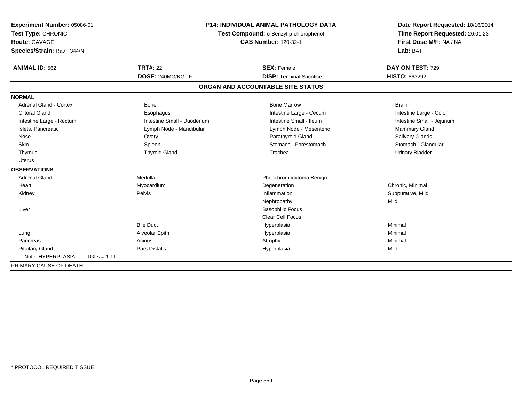| Experiment Number: 05086-01<br>Test Type: CHRONIC<br>Route: GAVAGE<br>Species/Strain: Rat/F 344/N |               |                            | <b>P14: INDIVIDUAL ANIMAL PATHOLOGY DATA</b><br>Test Compound: o-Benzyl-p-chlorophenol<br><b>CAS Number: 120-32-1</b> | Date Report Requested: 10/16/2014<br>Time Report Requested: 20:01:23<br>First Dose M/F: NA / NA<br>Lab: BAT |
|---------------------------------------------------------------------------------------------------|---------------|----------------------------|-----------------------------------------------------------------------------------------------------------------------|-------------------------------------------------------------------------------------------------------------|
| <b>ANIMAL ID: 562</b>                                                                             |               | <b>TRT#: 22</b>            | <b>SEX: Female</b>                                                                                                    | DAY ON TEST: 729                                                                                            |
|                                                                                                   |               | DOSE: 240MG/KG F           | <b>DISP: Terminal Sacrifice</b>                                                                                       | <b>HISTO: 863292</b>                                                                                        |
|                                                                                                   |               |                            | ORGAN AND ACCOUNTABLE SITE STATUS                                                                                     |                                                                                                             |
| <b>NORMAL</b>                                                                                     |               |                            |                                                                                                                       |                                                                                                             |
| <b>Adrenal Gland - Cortex</b>                                                                     |               | <b>Bone</b>                | <b>Bone Marrow</b>                                                                                                    | <b>Brain</b>                                                                                                |
| <b>Clitoral Gland</b>                                                                             |               | Esophagus                  | Intestine Large - Cecum                                                                                               | Intestine Large - Colon                                                                                     |
| Intestine Large - Rectum                                                                          |               | Intestine Small - Duodenum | Intestine Small - Ileum                                                                                               | Intestine Small - Jejunum                                                                                   |
| Islets, Pancreatic                                                                                |               | Lymph Node - Mandibular    | Lymph Node - Mesenteric                                                                                               | <b>Mammary Gland</b>                                                                                        |
| Nose                                                                                              |               | Ovary                      | Parathyroid Gland                                                                                                     | Salivary Glands                                                                                             |
| Skin                                                                                              |               | Spleen                     | Stomach - Forestomach                                                                                                 | Stomach - Glandular                                                                                         |
| Thymus                                                                                            |               | <b>Thyroid Gland</b>       | Trachea                                                                                                               | <b>Urinary Bladder</b>                                                                                      |
| <b>Uterus</b>                                                                                     |               |                            |                                                                                                                       |                                                                                                             |
| <b>OBSERVATIONS</b>                                                                               |               |                            |                                                                                                                       |                                                                                                             |
| <b>Adrenal Gland</b>                                                                              |               | Medulla                    | Pheochromocytoma Benign                                                                                               |                                                                                                             |
| Heart                                                                                             |               | Myocardium                 | Degeneration                                                                                                          | Chronic, Minimal                                                                                            |
| Kidney                                                                                            |               | Pelvis                     | Inflammation                                                                                                          | Suppurative, Mild                                                                                           |
|                                                                                                   |               |                            | Nephropathy                                                                                                           | Mild                                                                                                        |
| Liver                                                                                             |               |                            | <b>Basophilic Focus</b>                                                                                               |                                                                                                             |
|                                                                                                   |               |                            | <b>Clear Cell Focus</b>                                                                                               |                                                                                                             |
|                                                                                                   |               | <b>Bile Duct</b>           | Hyperplasia                                                                                                           | Minimal                                                                                                     |
| Lung                                                                                              |               | Alveolar Epith             | Hyperplasia                                                                                                           | Minimal                                                                                                     |
| Pancreas                                                                                          |               | Acinus                     | Atrophy                                                                                                               | Minimal                                                                                                     |
| <b>Pituitary Gland</b>                                                                            |               | Pars Distalis              | Hyperplasia                                                                                                           | Mild                                                                                                        |
| Note: HYPERPLASIA                                                                                 | $TGLs = 1-11$ |                            |                                                                                                                       |                                                                                                             |
| PRIMARY CAUSE OF DEATH                                                                            |               |                            |                                                                                                                       |                                                                                                             |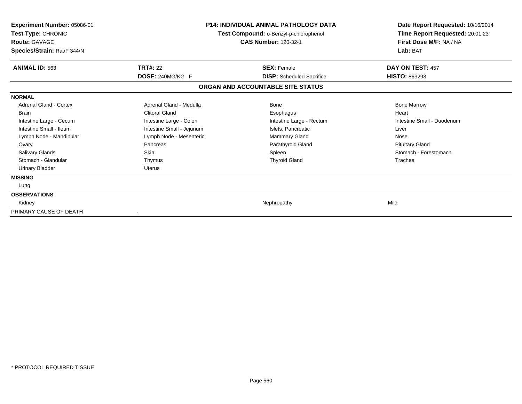| <b>Experiment Number: 05086-01</b><br>Test Type: CHRONIC<br><b>Route: GAVAGE</b><br>Species/Strain: Rat/F 344/N |                           | <b>P14: INDIVIDUAL ANIMAL PATHOLOGY DATA</b><br>Test Compound: o-Benzyl-p-chlorophenol<br><b>CAS Number: 120-32-1</b> | Date Report Requested: 10/16/2014<br>Time Report Requested: 20:01:23<br>First Dose M/F: NA / NA<br>Lab: BAT |
|-----------------------------------------------------------------------------------------------------------------|---------------------------|-----------------------------------------------------------------------------------------------------------------------|-------------------------------------------------------------------------------------------------------------|
| <b>ANIMAL ID: 563</b>                                                                                           | <b>TRT#: 22</b>           | <b>SEX: Female</b>                                                                                                    | DAY ON TEST: 457                                                                                            |
|                                                                                                                 | DOSE: 240MG/KG F          | <b>DISP:</b> Scheduled Sacrifice<br>ORGAN AND ACCOUNTABLE SITE STATUS                                                 | <b>HISTO: 863293</b>                                                                                        |
| <b>NORMAL</b>                                                                                                   |                           |                                                                                                                       |                                                                                                             |
| Adrenal Gland - Cortex                                                                                          | Adrenal Gland - Medulla   | <b>Bone</b>                                                                                                           | <b>Bone Marrow</b>                                                                                          |
| Brain                                                                                                           | <b>Clitoral Gland</b>     | Esophagus                                                                                                             | Heart                                                                                                       |
| Intestine Large - Cecum                                                                                         | Intestine Large - Colon   | Intestine Large - Rectum                                                                                              | Intestine Small - Duodenum                                                                                  |
| Intestine Small - Ileum                                                                                         | Intestine Small - Jejunum | Islets, Pancreatic                                                                                                    | Liver                                                                                                       |
| Lymph Node - Mandibular                                                                                         | Lymph Node - Mesenteric   | Mammary Gland                                                                                                         | Nose                                                                                                        |
| Ovary                                                                                                           | Pancreas                  | Parathyroid Gland                                                                                                     | <b>Pituitary Gland</b>                                                                                      |
| <b>Salivary Glands</b>                                                                                          | <b>Skin</b>               | Spleen                                                                                                                | Stomach - Forestomach                                                                                       |
| Stomach - Glandular                                                                                             | Thymus                    | <b>Thyroid Gland</b>                                                                                                  | Trachea                                                                                                     |
| <b>Urinary Bladder</b>                                                                                          | <b>Uterus</b>             |                                                                                                                       |                                                                                                             |
| <b>MISSING</b>                                                                                                  |                           |                                                                                                                       |                                                                                                             |
| Lung                                                                                                            |                           |                                                                                                                       |                                                                                                             |
| <b>OBSERVATIONS</b>                                                                                             |                           |                                                                                                                       |                                                                                                             |
| Kidney                                                                                                          |                           | Nephropathy                                                                                                           | Mild                                                                                                        |
| PRIMARY CAUSE OF DEATH                                                                                          |                           |                                                                                                                       |                                                                                                             |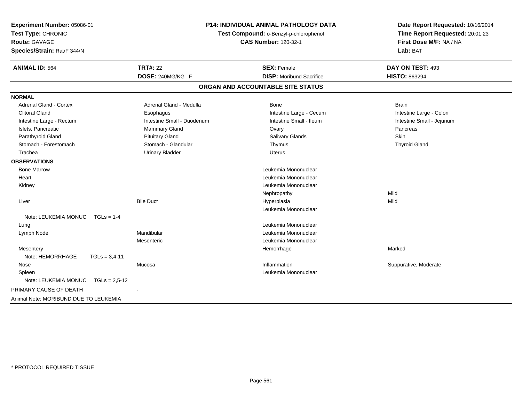| Experiment Number: 05086-01<br>Test Type: CHRONIC<br><b>Route: GAVAGE</b><br>Species/Strain: Rat/F 344/N |                            | <b>P14: INDIVIDUAL ANIMAL PATHOLOGY DATA</b><br>Test Compound: o-Benzyl-p-chlorophenol<br><b>CAS Number: 120-32-1</b> | Date Report Requested: 10/16/2014<br>Time Report Requested: 20:01:23<br>First Dose M/F: NA / NA<br>Lab: BAT |
|----------------------------------------------------------------------------------------------------------|----------------------------|-----------------------------------------------------------------------------------------------------------------------|-------------------------------------------------------------------------------------------------------------|
| <b>ANIMAL ID: 564</b>                                                                                    | <b>TRT#: 22</b>            | <b>SEX: Female</b>                                                                                                    | DAY ON TEST: 493                                                                                            |
|                                                                                                          | DOSE: 240MG/KG F           | <b>DISP:</b> Moribund Sacrifice                                                                                       | <b>HISTO: 863294</b>                                                                                        |
|                                                                                                          |                            | ORGAN AND ACCOUNTABLE SITE STATUS                                                                                     |                                                                                                             |
| <b>NORMAL</b>                                                                                            |                            |                                                                                                                       |                                                                                                             |
| Adrenal Gland - Cortex                                                                                   | Adrenal Gland - Medulla    | Bone                                                                                                                  | <b>Brain</b>                                                                                                |
| <b>Clitoral Gland</b>                                                                                    | Esophagus                  | Intestine Large - Cecum                                                                                               | Intestine Large - Colon                                                                                     |
| Intestine Large - Rectum                                                                                 | Intestine Small - Duodenum | Intestine Small - Ileum                                                                                               | Intestine Small - Jejunum                                                                                   |
| Islets, Pancreatic                                                                                       | <b>Mammary Gland</b>       | Ovary                                                                                                                 | Pancreas                                                                                                    |
| Parathyroid Gland                                                                                        | <b>Pituitary Gland</b>     | Salivary Glands                                                                                                       | <b>Skin</b>                                                                                                 |
| Stomach - Forestomach                                                                                    | Stomach - Glandular        | Thymus                                                                                                                | <b>Thyroid Gland</b>                                                                                        |
| Trachea                                                                                                  | <b>Urinary Bladder</b>     | <b>Uterus</b>                                                                                                         |                                                                                                             |
| <b>OBSERVATIONS</b>                                                                                      |                            |                                                                                                                       |                                                                                                             |
| <b>Bone Marrow</b>                                                                                       |                            | Leukemia Mononuclear                                                                                                  |                                                                                                             |
| Heart                                                                                                    |                            | Leukemia Mononuclear                                                                                                  |                                                                                                             |
| Kidney                                                                                                   |                            | Leukemia Mononuclear                                                                                                  |                                                                                                             |
|                                                                                                          |                            | Nephropathy                                                                                                           | Mild                                                                                                        |
| Liver                                                                                                    | <b>Bile Duct</b>           | Hyperplasia                                                                                                           | Mild                                                                                                        |
|                                                                                                          |                            | Leukemia Mononuclear                                                                                                  |                                                                                                             |
| Note: LEUKEMIA MONUC   TGLs = 1-4                                                                        |                            |                                                                                                                       |                                                                                                             |
| Lung                                                                                                     |                            | Leukemia Mononuclear                                                                                                  |                                                                                                             |
| Lymph Node                                                                                               | Mandibular                 | Leukemia Mononuclear                                                                                                  |                                                                                                             |
|                                                                                                          | Mesenteric                 | Leukemia Mononuclear                                                                                                  |                                                                                                             |
| Mesentery                                                                                                |                            | Hemorrhage                                                                                                            | Marked                                                                                                      |
| Note: HEMORRHAGE<br>$TGLs = 3,4-11$                                                                      |                            |                                                                                                                       |                                                                                                             |
| Nose                                                                                                     | Mucosa                     | Inflammation                                                                                                          | Suppurative, Moderate                                                                                       |
| Spleen                                                                                                   |                            | Leukemia Mononuclear                                                                                                  |                                                                                                             |
| Note: LEUKEMIA MONUC<br>$TGLs = 2.5 - 12$                                                                |                            |                                                                                                                       |                                                                                                             |
| PRIMARY CAUSE OF DEATH                                                                                   |                            |                                                                                                                       |                                                                                                             |
| Animal Note: MORIBUND DUE TO LEUKEMIA                                                                    |                            |                                                                                                                       |                                                                                                             |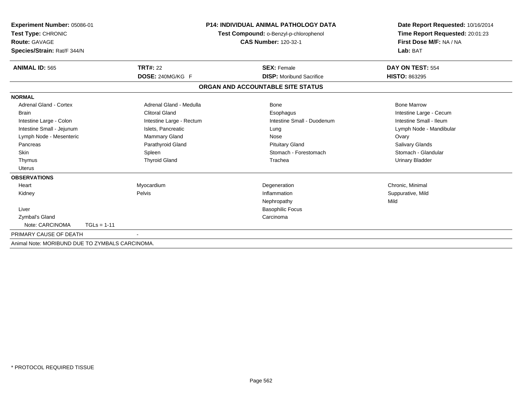| Experiment Number: 05086-01<br>Test Type: CHRONIC<br><b>Route: GAVAGE</b><br>Species/Strain: Rat/F 344/N |                          | <b>P14: INDIVIDUAL ANIMAL PATHOLOGY DATA</b><br>Test Compound: o-Benzyl-p-chlorophenol<br><b>CAS Number: 120-32-1</b> | Date Report Requested: 10/16/2014<br>Time Report Requested: 20:01:23<br>First Dose M/F: NA / NA<br>Lab: BAT |
|----------------------------------------------------------------------------------------------------------|--------------------------|-----------------------------------------------------------------------------------------------------------------------|-------------------------------------------------------------------------------------------------------------|
| <b>ANIMAL ID: 565</b>                                                                                    | <b>TRT#: 22</b>          | <b>SEX: Female</b>                                                                                                    | DAY ON TEST: 554                                                                                            |
|                                                                                                          | DOSE: 240MG/KG F         | <b>DISP:</b> Moribund Sacrifice                                                                                       | <b>HISTO: 863295</b>                                                                                        |
|                                                                                                          |                          | ORGAN AND ACCOUNTABLE SITE STATUS                                                                                     |                                                                                                             |
| <b>NORMAL</b>                                                                                            |                          |                                                                                                                       |                                                                                                             |
| Adrenal Gland - Cortex                                                                                   | Adrenal Gland - Medulla  | Bone                                                                                                                  | <b>Bone Marrow</b>                                                                                          |
| <b>Brain</b>                                                                                             | <b>Clitoral Gland</b>    | Esophagus                                                                                                             | Intestine Large - Cecum                                                                                     |
| Intestine Large - Colon                                                                                  | Intestine Large - Rectum | Intestine Small - Duodenum                                                                                            | Intestine Small - Ileum                                                                                     |
| Intestine Small - Jejunum                                                                                | Islets, Pancreatic       | Lung                                                                                                                  | Lymph Node - Mandibular                                                                                     |
| Lymph Node - Mesenteric                                                                                  | <b>Mammary Gland</b>     | Nose                                                                                                                  | Ovary                                                                                                       |
| Pancreas                                                                                                 | Parathyroid Gland        | <b>Pituitary Gland</b>                                                                                                | Salivary Glands                                                                                             |
| Skin                                                                                                     | Spleen                   | Stomach - Forestomach                                                                                                 | Stomach - Glandular                                                                                         |
| Thymus                                                                                                   | <b>Thyroid Gland</b>     | Trachea                                                                                                               | <b>Urinary Bladder</b>                                                                                      |
| <b>Uterus</b>                                                                                            |                          |                                                                                                                       |                                                                                                             |
| <b>OBSERVATIONS</b>                                                                                      |                          |                                                                                                                       |                                                                                                             |
| Heart                                                                                                    | Myocardium               | Degeneration                                                                                                          | Chronic, Minimal                                                                                            |
| Kidney                                                                                                   | Pelvis                   | Inflammation                                                                                                          | Suppurative, Mild                                                                                           |
|                                                                                                          |                          | Nephropathy                                                                                                           | Mild                                                                                                        |
| Liver                                                                                                    |                          | <b>Basophilic Focus</b>                                                                                               |                                                                                                             |
| Zymbal's Gland                                                                                           |                          | Carcinoma                                                                                                             |                                                                                                             |
| Note: CARCINOMA                                                                                          | $TGLs = 1-11$            |                                                                                                                       |                                                                                                             |
| PRIMARY CAUSE OF DEATH                                                                                   |                          |                                                                                                                       |                                                                                                             |
| Animal Note: MORIBUND DUE TO ZYMBALS CARCINOMA.                                                          |                          |                                                                                                                       |                                                                                                             |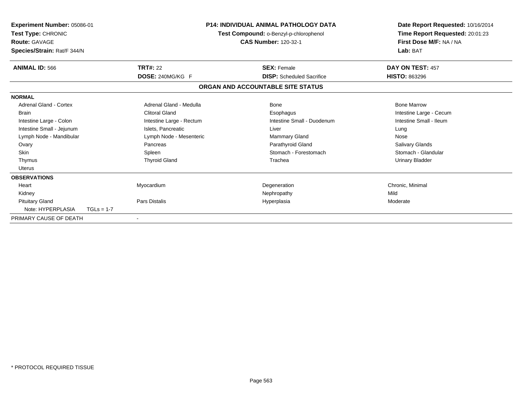| Experiment Number: 05086-01<br>Test Type: CHRONIC<br><b>Route: GAVAGE</b><br>Species/Strain: Rat/F 344/N |              |                          | <b>P14: INDIVIDUAL ANIMAL PATHOLOGY DATA</b><br>Test Compound: o-Benzyl-p-chlorophenol<br>CAS Number: 120-32-1 |                                   | Date Report Requested: 10/16/2014<br>Time Report Requested: 20:01:23<br>First Dose M/F: NA / NA<br>Lab: BAT |
|----------------------------------------------------------------------------------------------------------|--------------|--------------------------|----------------------------------------------------------------------------------------------------------------|-----------------------------------|-------------------------------------------------------------------------------------------------------------|
| <b>ANIMAL ID: 566</b>                                                                                    |              | <b>TRT#: 22</b>          |                                                                                                                | <b>SEX: Female</b>                | DAY ON TEST: 457                                                                                            |
|                                                                                                          |              | DOSE: 240MG/KG F         |                                                                                                                | <b>DISP:</b> Scheduled Sacrifice  | <b>HISTO: 863296</b>                                                                                        |
|                                                                                                          |              |                          |                                                                                                                | ORGAN AND ACCOUNTABLE SITE STATUS |                                                                                                             |
| <b>NORMAL</b>                                                                                            |              |                          |                                                                                                                |                                   |                                                                                                             |
| Adrenal Gland - Cortex                                                                                   |              | Adrenal Gland - Medulla  |                                                                                                                | Bone                              | <b>Bone Marrow</b>                                                                                          |
| <b>Brain</b>                                                                                             |              | <b>Clitoral Gland</b>    |                                                                                                                | Esophagus                         | Intestine Large - Cecum                                                                                     |
| Intestine Large - Colon                                                                                  |              | Intestine Large - Rectum |                                                                                                                | Intestine Small - Duodenum        | Intestine Small - Ileum                                                                                     |
| Intestine Small - Jejunum                                                                                |              | Islets, Pancreatic       |                                                                                                                | Liver                             | Lung                                                                                                        |
| Lymph Node - Mandibular                                                                                  |              | Lymph Node - Mesenteric  |                                                                                                                | <b>Mammary Gland</b>              | Nose                                                                                                        |
| Ovary                                                                                                    |              | Pancreas                 |                                                                                                                | Parathyroid Gland                 | <b>Salivary Glands</b>                                                                                      |
| <b>Skin</b>                                                                                              |              | Spleen                   |                                                                                                                | Stomach - Forestomach             | Stomach - Glandular                                                                                         |
| Thymus                                                                                                   |              | <b>Thyroid Gland</b>     |                                                                                                                | Trachea                           | Urinary Bladder                                                                                             |
| Uterus                                                                                                   |              |                          |                                                                                                                |                                   |                                                                                                             |
| <b>OBSERVATIONS</b>                                                                                      |              |                          |                                                                                                                |                                   |                                                                                                             |
| Heart                                                                                                    |              | Myocardium               |                                                                                                                | Degeneration                      | Chronic, Minimal                                                                                            |
| Kidney                                                                                                   |              |                          |                                                                                                                | Nephropathy                       | Mild                                                                                                        |
| <b>Pituitary Gland</b>                                                                                   |              | <b>Pars Distalis</b>     |                                                                                                                | Hyperplasia                       | Moderate                                                                                                    |
| Note: HYPERPLASIA                                                                                        | $TGLs = 1-7$ |                          |                                                                                                                |                                   |                                                                                                             |
| PRIMARY CAUSE OF DEATH                                                                                   |              |                          |                                                                                                                |                                   |                                                                                                             |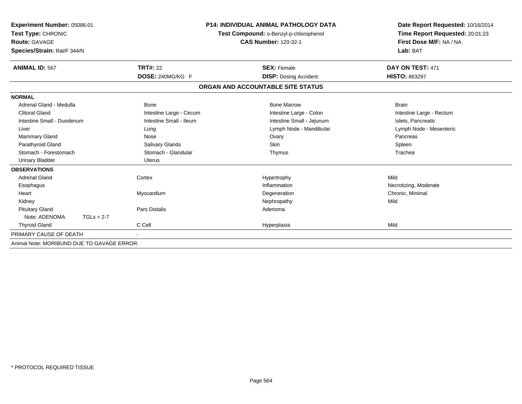| Experiment Number: 05086-01                |                         | <b>P14: INDIVIDUAL ANIMAL PATHOLOGY DATA</b>                          | Date Report Requested: 10/16/2014                          |
|--------------------------------------------|-------------------------|-----------------------------------------------------------------------|------------------------------------------------------------|
| Test Type: CHRONIC<br><b>Route: GAVAGE</b> |                         | Test Compound: o-Benzyl-p-chlorophenol<br><b>CAS Number: 120-32-1</b> | Time Report Requested: 20:01:23<br>First Dose M/F: NA / NA |
| Species/Strain: Rat/F 344/N                |                         |                                                                       | Lab: BAT                                                   |
|                                            |                         |                                                                       |                                                            |
| <b>ANIMAL ID: 567</b>                      | <b>TRT#: 22</b>         | <b>SEX: Female</b>                                                    | DAY ON TEST: 471                                           |
|                                            | DOSE: 240MG/KG F        | <b>DISP: Dosing Accident</b>                                          | <b>HISTO: 863297</b>                                       |
|                                            |                         | ORGAN AND ACCOUNTABLE SITE STATUS                                     |                                                            |
| <b>NORMAL</b>                              |                         |                                                                       |                                                            |
| Adrenal Gland - Medulla                    | <b>Bone</b>             | <b>Bone Marrow</b>                                                    | <b>Brain</b>                                               |
| <b>Clitoral Gland</b>                      | Intestine Large - Cecum | Intestine Large - Colon                                               | Intestine Large - Rectum                                   |
| Intestine Small - Duodenum                 | Intestine Small - Ileum | Intestine Small - Jejunum                                             | Islets, Pancreatic                                         |
| Liver                                      | Lung                    | Lymph Node - Mandibular                                               | Lymph Node - Mesenteric                                    |
| Mammary Gland                              | Nose                    | Ovary                                                                 | Pancreas                                                   |
| Parathyroid Gland                          | Salivary Glands         | Skin                                                                  | Spleen                                                     |
| Stomach - Forestomach                      | Stomach - Glandular     | Thymus                                                                | Trachea                                                    |
| <b>Urinary Bladder</b>                     | <b>Uterus</b>           |                                                                       |                                                            |
| <b>OBSERVATIONS</b>                        |                         |                                                                       |                                                            |
| <b>Adrenal Gland</b>                       | Cortex                  | Hypertrophy                                                           | Mild                                                       |
| Esophagus                                  |                         | Inflammation                                                          | Necrotizing, Moderate                                      |
| Heart                                      | Myocardium              | Degeneration                                                          | Chronic, Minimal                                           |
| Kidney                                     |                         | Nephropathy                                                           | Mild                                                       |
| <b>Pituitary Gland</b>                     | <b>Pars Distalis</b>    | Adenoma                                                               |                                                            |
| Note: ADENOMA<br>$TGLs = 2-7$              |                         |                                                                       |                                                            |
| <b>Thyroid Gland</b>                       | C Cell                  | Hyperplasia                                                           | Mild                                                       |
| PRIMARY CAUSE OF DEATH                     |                         |                                                                       |                                                            |
| Animal Note: MORIBUND DUE TO GAVAGE ERROR. |                         |                                                                       |                                                            |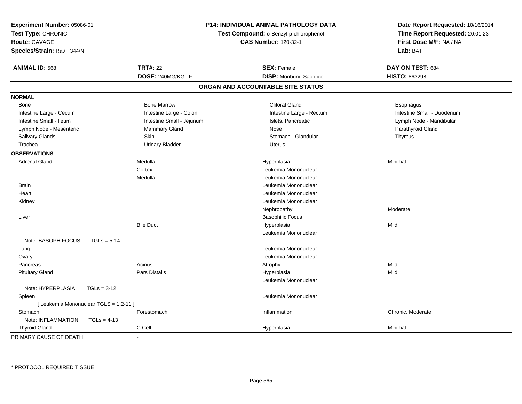| Experiment Number: 05086-01<br>Test Type: CHRONIC<br><b>Route: GAVAGE</b><br>Species/Strain: Rat/F 344/N |               |                           | P14: INDIVIDUAL ANIMAL PATHOLOGY DATA<br>Test Compound: o-Benzyl-p-chlorophenol<br><b>CAS Number: 120-32-1</b> | Date Report Requested: 10/16/2014<br>Time Report Requested: 20:01:23<br>First Dose M/F: NA / NA<br>Lab: BAT |
|----------------------------------------------------------------------------------------------------------|---------------|---------------------------|----------------------------------------------------------------------------------------------------------------|-------------------------------------------------------------------------------------------------------------|
| <b>ANIMAL ID: 568</b>                                                                                    |               | <b>TRT#: 22</b>           | <b>SEX: Female</b>                                                                                             | DAY ON TEST: 684                                                                                            |
|                                                                                                          |               | DOSE: 240MG/KG F          | <b>DISP:</b> Moribund Sacrifice                                                                                | <b>HISTO: 863298</b>                                                                                        |
|                                                                                                          |               |                           | ORGAN AND ACCOUNTABLE SITE STATUS                                                                              |                                                                                                             |
| <b>NORMAL</b>                                                                                            |               |                           |                                                                                                                |                                                                                                             |
| Bone                                                                                                     |               | <b>Bone Marrow</b>        | <b>Clitoral Gland</b>                                                                                          | Esophagus                                                                                                   |
| Intestine Large - Cecum                                                                                  |               | Intestine Large - Colon   | Intestine Large - Rectum                                                                                       | Intestine Small - Duodenum                                                                                  |
| Intestine Small - Ileum                                                                                  |               | Intestine Small - Jejunum | Islets, Pancreatic                                                                                             | Lymph Node - Mandibular                                                                                     |
| Lymph Node - Mesenteric                                                                                  |               | Mammary Gland             | Nose                                                                                                           | Parathyroid Gland                                                                                           |
| Salivary Glands                                                                                          |               | Skin                      | Stomach - Glandular                                                                                            | Thymus                                                                                                      |
| Trachea                                                                                                  |               | <b>Urinary Bladder</b>    | <b>Uterus</b>                                                                                                  |                                                                                                             |
| <b>OBSERVATIONS</b>                                                                                      |               |                           |                                                                                                                |                                                                                                             |
| <b>Adrenal Gland</b>                                                                                     |               | Medulla                   | Hyperplasia                                                                                                    | Minimal                                                                                                     |
|                                                                                                          |               | Cortex                    | Leukemia Mononuclear                                                                                           |                                                                                                             |
|                                                                                                          |               | Medulla                   | Leukemia Mononuclear                                                                                           |                                                                                                             |
| <b>Brain</b>                                                                                             |               |                           | Leukemia Mononuclear                                                                                           |                                                                                                             |
| Heart                                                                                                    |               |                           | Leukemia Mononuclear                                                                                           |                                                                                                             |
| Kidney                                                                                                   |               |                           | Leukemia Mononuclear                                                                                           |                                                                                                             |
|                                                                                                          |               |                           | Nephropathy                                                                                                    | Moderate                                                                                                    |
| Liver                                                                                                    |               |                           | <b>Basophilic Focus</b>                                                                                        |                                                                                                             |
|                                                                                                          |               | <b>Bile Duct</b>          | Hyperplasia                                                                                                    | Mild                                                                                                        |
|                                                                                                          |               |                           | Leukemia Mononuclear                                                                                           |                                                                                                             |
| Note: BASOPH FOCUS                                                                                       | $TGLs = 5-14$ |                           |                                                                                                                |                                                                                                             |
| Lung                                                                                                     |               |                           | Leukemia Mononuclear                                                                                           |                                                                                                             |
| Ovary                                                                                                    |               |                           | Leukemia Mononuclear                                                                                           |                                                                                                             |
| Pancreas                                                                                                 |               | Acinus                    | Atrophy                                                                                                        | Mild                                                                                                        |
| <b>Pituitary Gland</b>                                                                                   |               | <b>Pars Distalis</b>      | Hyperplasia                                                                                                    | Mild                                                                                                        |
|                                                                                                          |               |                           | Leukemia Mononuclear                                                                                           |                                                                                                             |
| Note: HYPERPLASIA                                                                                        | $TGLs = 3-12$ |                           |                                                                                                                |                                                                                                             |
| Spleen                                                                                                   |               |                           | Leukemia Mononuclear                                                                                           |                                                                                                             |
| [ Leukemia Mononuclear TGLS = 1,2-11 ]                                                                   |               |                           |                                                                                                                |                                                                                                             |
| Stomach                                                                                                  |               | Forestomach               | Inflammation                                                                                                   | Chronic, Moderate                                                                                           |
| Note: INFLAMMATION                                                                                       | $TGLs = 4-13$ |                           |                                                                                                                |                                                                                                             |
| <b>Thyroid Gland</b>                                                                                     |               | C Cell                    | Hyperplasia                                                                                                    | Minimal                                                                                                     |
| PRIMARY CAUSE OF DEATH                                                                                   |               |                           |                                                                                                                |                                                                                                             |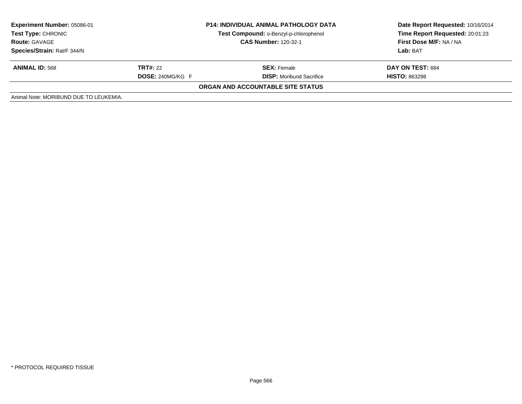| <b>Experiment Number: 05086-01</b><br><b>Test Type: CHRONIC</b><br><b>Route: GAVAGE</b><br>Species/Strain: Rat/F 344/N | <b>P14: INDIVIDUAL ANIMAL PATHOLOGY DATA</b><br>Test Compound: o-Benzyl-p-chlorophenol<br><b>CAS Number: 120-32-1</b> |                                   | Date Report Requested: 10/16/2014<br>Time Report Requested: 20:01:23<br>First Dose M/F: NA / NA<br>Lab: BAT |  |
|------------------------------------------------------------------------------------------------------------------------|-----------------------------------------------------------------------------------------------------------------------|-----------------------------------|-------------------------------------------------------------------------------------------------------------|--|
| <b>ANIMAL ID: 568</b>                                                                                                  | <b>TRT#: 22</b><br><b>SEX:</b> Female<br><b>DOSE: 240MG/KG F</b><br><b>DISP:</b> Moribund Sacrifice                   |                                   | DAY ON TEST: 684<br><b>HISTO: 863298</b>                                                                    |  |
|                                                                                                                        |                                                                                                                       | ORGAN AND ACCOUNTABLE SITE STATUS |                                                                                                             |  |
| Animal Note: MORIBUND DUE TO LEUKEMIA.                                                                                 |                                                                                                                       |                                   |                                                                                                             |  |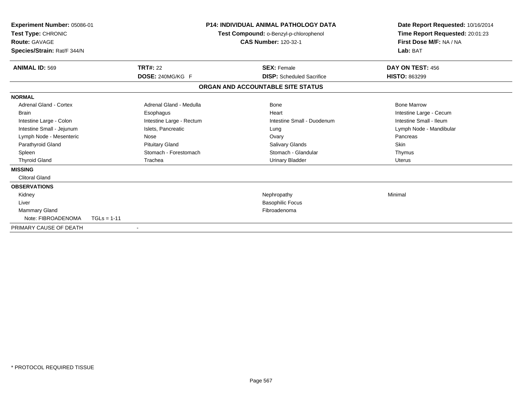| <b>Experiment Number: 05086-01</b><br>Test Type: CHRONIC<br><b>Route: GAVAGE</b><br>Species/Strain: Rat/F 344/N |                          | <b>P14: INDIVIDUAL ANIMAL PATHOLOGY DATA</b><br>Test Compound: o-Benzyl-p-chlorophenol<br><b>CAS Number: 120-32-1</b> |                                   | Date Report Requested: 10/16/2014<br>Time Report Requested: 20:01:23<br>First Dose M/F: NA / NA<br>Lab: BAT |
|-----------------------------------------------------------------------------------------------------------------|--------------------------|-----------------------------------------------------------------------------------------------------------------------|-----------------------------------|-------------------------------------------------------------------------------------------------------------|
| <b>ANIMAL ID: 569</b>                                                                                           | <b>TRT#: 22</b>          |                                                                                                                       | <b>SEX: Female</b>                | DAY ON TEST: 456                                                                                            |
|                                                                                                                 | DOSE: 240MG/KG F         |                                                                                                                       | <b>DISP:</b> Scheduled Sacrifice  | <b>HISTO: 863299</b>                                                                                        |
|                                                                                                                 |                          |                                                                                                                       | ORGAN AND ACCOUNTABLE SITE STATUS |                                                                                                             |
| <b>NORMAL</b>                                                                                                   |                          |                                                                                                                       |                                   |                                                                                                             |
| Adrenal Gland - Cortex                                                                                          | Adrenal Gland - Medulla  |                                                                                                                       | Bone                              | <b>Bone Marrow</b>                                                                                          |
| <b>Brain</b>                                                                                                    | Esophagus                |                                                                                                                       | Heart                             | Intestine Large - Cecum                                                                                     |
| Intestine Large - Colon                                                                                         | Intestine Large - Rectum |                                                                                                                       | Intestine Small - Duodenum        | Intestine Small - Ileum                                                                                     |
| Intestine Small - Jejunum                                                                                       | Islets, Pancreatic       |                                                                                                                       | Lung                              | Lymph Node - Mandibular                                                                                     |
| Lymph Node - Mesenteric                                                                                         | Nose                     |                                                                                                                       | Ovary                             | Pancreas                                                                                                    |
| Parathyroid Gland                                                                                               | <b>Pituitary Gland</b>   |                                                                                                                       | <b>Salivary Glands</b>            | Skin                                                                                                        |
| Spleen                                                                                                          | Stomach - Forestomach    |                                                                                                                       | Stomach - Glandular               | Thymus                                                                                                      |
| <b>Thyroid Gland</b>                                                                                            | Trachea                  |                                                                                                                       | <b>Urinary Bladder</b>            | Uterus                                                                                                      |
| <b>MISSING</b>                                                                                                  |                          |                                                                                                                       |                                   |                                                                                                             |
| <b>Clitoral Gland</b>                                                                                           |                          |                                                                                                                       |                                   |                                                                                                             |
| <b>OBSERVATIONS</b>                                                                                             |                          |                                                                                                                       |                                   |                                                                                                             |
| Kidney                                                                                                          |                          |                                                                                                                       | Nephropathy                       | Minimal                                                                                                     |
| Liver                                                                                                           |                          |                                                                                                                       | <b>Basophilic Focus</b>           |                                                                                                             |
| Mammary Gland                                                                                                   |                          |                                                                                                                       | Fibroadenoma                      |                                                                                                             |
| Note: FIBROADENOMA                                                                                              | $TGLs = 1-11$            |                                                                                                                       |                                   |                                                                                                             |
| PRIMARY CAUSE OF DEATH                                                                                          |                          |                                                                                                                       |                                   |                                                                                                             |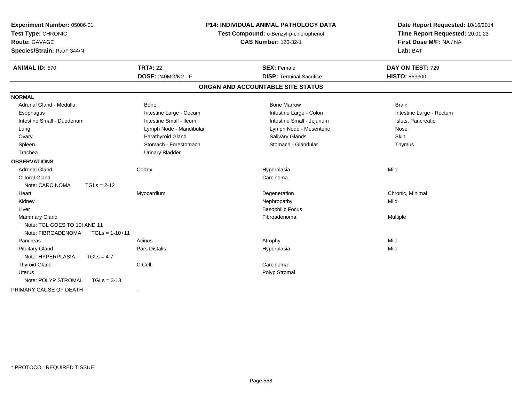| Experiment Number: 05086-01<br>Test Type: CHRONIC<br>Route: GAVAGE<br>Species/Strain: Rat/F 344/N |                                     | <b>P14: INDIVIDUAL ANIMAL PATHOLOGY DATA</b><br>Test Compound: o-Benzyl-p-chlorophenol<br><b>CAS Number: 120-32-1</b> | Date Report Requested: 10/16/2014<br>Time Report Requested: 20:01:23<br>First Dose M/F: NA / NA<br>Lab: BAT |  |
|---------------------------------------------------------------------------------------------------|-------------------------------------|-----------------------------------------------------------------------------------------------------------------------|-------------------------------------------------------------------------------------------------------------|--|
| <b>ANIMAL ID: 570</b>                                                                             | <b>TRT#: 22</b><br>DOSE: 240MG/KG F | <b>SEX: Female</b><br><b>DISP: Terminal Sacrifice</b>                                                                 | DAY ON TEST: 729<br>HISTO: 863300                                                                           |  |
|                                                                                                   |                                     | ORGAN AND ACCOUNTABLE SITE STATUS                                                                                     |                                                                                                             |  |
| <b>NORMAL</b>                                                                                     |                                     |                                                                                                                       |                                                                                                             |  |
| Adrenal Gland - Medulla                                                                           | Bone                                | <b>Bone Marrow</b>                                                                                                    | <b>Brain</b>                                                                                                |  |
| Esophagus                                                                                         | Intestine Large - Cecum             | Intestine Large - Colon                                                                                               | Intestine Large - Rectum                                                                                    |  |
| Intestine Small - Duodenum                                                                        | Intestine Small - Ileum             | Intestine Small - Jejunum                                                                                             | Islets, Pancreatic                                                                                          |  |
| Lung                                                                                              | Lymph Node - Mandibular             | Lymph Node - Mesenteric                                                                                               | Nose                                                                                                        |  |
| Ovary                                                                                             | Parathyroid Gland                   | Salivary Glands                                                                                                       | <b>Skin</b>                                                                                                 |  |
| Spleen                                                                                            | Stomach - Forestomach               | Stomach - Glandular                                                                                                   | Thymus                                                                                                      |  |
| Trachea                                                                                           | <b>Urinary Bladder</b>              |                                                                                                                       |                                                                                                             |  |
| <b>OBSERVATIONS</b>                                                                               |                                     |                                                                                                                       |                                                                                                             |  |
| <b>Adrenal Gland</b>                                                                              | Cortex                              | Hyperplasia                                                                                                           | Mild                                                                                                        |  |
| <b>Clitoral Gland</b>                                                                             |                                     | Carcinoma                                                                                                             |                                                                                                             |  |
| Note: CARCINOMA<br>$TGLs = 2-12$                                                                  |                                     |                                                                                                                       |                                                                                                             |  |
| Heart                                                                                             | Myocardium                          | Degeneration                                                                                                          | Chronic, Minimal                                                                                            |  |
| Kidney                                                                                            |                                     | Nephropathy                                                                                                           | Mild                                                                                                        |  |
| Liver                                                                                             |                                     | <b>Basophilic Focus</b>                                                                                               |                                                                                                             |  |
| Mammary Gland                                                                                     |                                     | Fibroadenoma                                                                                                          | Multiple                                                                                                    |  |
| Note: TGL GOES TO 10I AND 11                                                                      |                                     |                                                                                                                       |                                                                                                             |  |
| Note: FIBROADENOMA<br>$TGLs = 1-10+11$                                                            |                                     |                                                                                                                       |                                                                                                             |  |
| Pancreas                                                                                          | Acinus                              | Atrophy                                                                                                               | Mild                                                                                                        |  |
| <b>Pituitary Gland</b>                                                                            | <b>Pars Distalis</b>                | Hyperplasia                                                                                                           | Mild                                                                                                        |  |
| Note: HYPERPLASIA<br>$TGLs = 4-7$                                                                 |                                     |                                                                                                                       |                                                                                                             |  |
| <b>Thyroid Gland</b>                                                                              | C Cell                              | Carcinoma                                                                                                             |                                                                                                             |  |
| <b>Uterus</b>                                                                                     |                                     | Polyp Stromal                                                                                                         |                                                                                                             |  |
| Note: POLYP STROMAL<br>$TGLs = 3-13$                                                              |                                     |                                                                                                                       |                                                                                                             |  |
| PRIMARY CAUSE OF DEATH                                                                            |                                     |                                                                                                                       |                                                                                                             |  |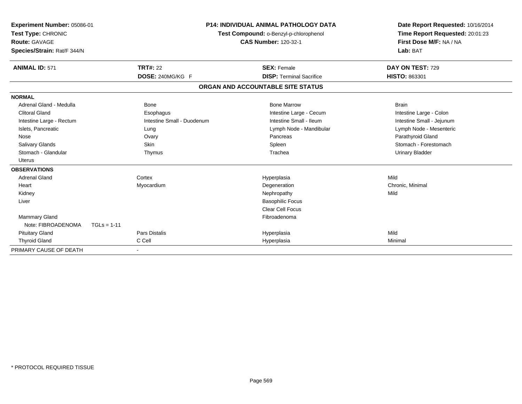| Experiment Number: 05086-01<br>Test Type: CHRONIC<br><b>Route: GAVAGE</b><br>Species/Strain: Rat/F 344/N |                            | <b>P14: INDIVIDUAL ANIMAL PATHOLOGY DATA</b><br>Test Compound: o-Benzyl-p-chlorophenol<br><b>CAS Number: 120-32-1</b> | Date Report Requested: 10/16/2014<br>Time Report Requested: 20:01:23<br>First Dose M/F: NA / NA<br>Lab: BAT |
|----------------------------------------------------------------------------------------------------------|----------------------------|-----------------------------------------------------------------------------------------------------------------------|-------------------------------------------------------------------------------------------------------------|
| <b>ANIMAL ID: 571</b>                                                                                    | <b>TRT#: 22</b>            | <b>SEX: Female</b>                                                                                                    | DAY ON TEST: 729                                                                                            |
|                                                                                                          | DOSE: 240MG/KG F           | <b>DISP: Terminal Sacrifice</b>                                                                                       | HISTO: 863301                                                                                               |
|                                                                                                          |                            | ORGAN AND ACCOUNTABLE SITE STATUS                                                                                     |                                                                                                             |
| <b>NORMAL</b>                                                                                            |                            |                                                                                                                       |                                                                                                             |
| Adrenal Gland - Medulla                                                                                  | Bone                       | <b>Bone Marrow</b>                                                                                                    | <b>Brain</b>                                                                                                |
| <b>Clitoral Gland</b>                                                                                    | Esophagus                  | Intestine Large - Cecum                                                                                               | Intestine Large - Colon                                                                                     |
| Intestine Large - Rectum                                                                                 | Intestine Small - Duodenum | Intestine Small - Ileum                                                                                               | Intestine Small - Jejunum                                                                                   |
| Islets, Pancreatic                                                                                       | Lung                       | Lymph Node - Mandibular                                                                                               | Lymph Node - Mesenteric                                                                                     |
| Nose                                                                                                     | Ovary                      | Pancreas                                                                                                              | Parathyroid Gland                                                                                           |
| <b>Salivary Glands</b>                                                                                   | Skin                       | Spleen                                                                                                                | Stomach - Forestomach                                                                                       |
| Stomach - Glandular                                                                                      | Thymus                     | Trachea                                                                                                               | <b>Urinary Bladder</b>                                                                                      |
| <b>Uterus</b>                                                                                            |                            |                                                                                                                       |                                                                                                             |
| <b>OBSERVATIONS</b>                                                                                      |                            |                                                                                                                       |                                                                                                             |
| <b>Adrenal Gland</b>                                                                                     | Cortex                     | Hyperplasia                                                                                                           | Mild                                                                                                        |
| Heart                                                                                                    | Myocardium                 | Degeneration                                                                                                          | Chronic, Minimal                                                                                            |
| Kidney                                                                                                   |                            | Nephropathy                                                                                                           | Mild                                                                                                        |
| Liver                                                                                                    |                            | <b>Basophilic Focus</b>                                                                                               |                                                                                                             |
|                                                                                                          |                            | <b>Clear Cell Focus</b>                                                                                               |                                                                                                             |
| <b>Mammary Gland</b>                                                                                     |                            | Fibroadenoma                                                                                                          |                                                                                                             |
| Note: FIBROADENOMA                                                                                       | $TGLs = 1-11$              |                                                                                                                       |                                                                                                             |
| <b>Pituitary Gland</b>                                                                                   | <b>Pars Distalis</b>       | Hyperplasia                                                                                                           | Mild                                                                                                        |
| <b>Thyroid Gland</b>                                                                                     | C Cell                     | Hyperplasia                                                                                                           | Minimal                                                                                                     |
| PRIMARY CAUSE OF DEATH                                                                                   |                            |                                                                                                                       |                                                                                                             |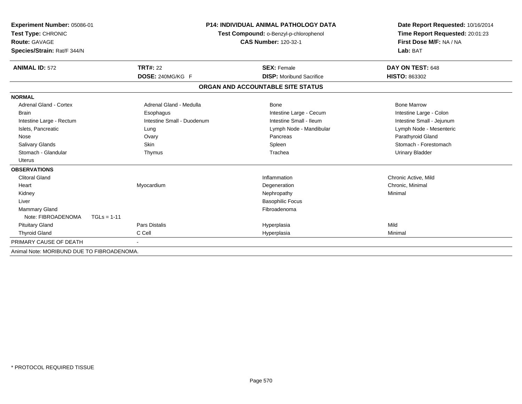| Experiment Number: 05086-01<br>Test Type: CHRONIC<br>Route: GAVAGE<br>Species/Strain: Rat/F 344/N |                            | <b>P14: INDIVIDUAL ANIMAL PATHOLOGY DATA</b><br>Test Compound: o-Benzyl-p-chlorophenol<br><b>CAS Number: 120-32-1</b> | Date Report Requested: 10/16/2014<br>Time Report Requested: 20:01:23<br>First Dose M/F: NA / NA<br>Lab: BAT |  |
|---------------------------------------------------------------------------------------------------|----------------------------|-----------------------------------------------------------------------------------------------------------------------|-------------------------------------------------------------------------------------------------------------|--|
| <b>ANIMAL ID: 572</b>                                                                             | <b>TRT#: 22</b>            | <b>SEX: Female</b>                                                                                                    | DAY ON TEST: 648                                                                                            |  |
|                                                                                                   | DOSE: 240MG/KG F           | <b>DISP:</b> Moribund Sacrifice                                                                                       | HISTO: 863302                                                                                               |  |
|                                                                                                   |                            | ORGAN AND ACCOUNTABLE SITE STATUS                                                                                     |                                                                                                             |  |
| <b>NORMAL</b>                                                                                     |                            |                                                                                                                       |                                                                                                             |  |
| Adrenal Gland - Cortex                                                                            | Adrenal Gland - Medulla    | <b>Bone</b>                                                                                                           | <b>Bone Marrow</b>                                                                                          |  |
| Brain                                                                                             | Esophagus                  | Intestine Large - Cecum                                                                                               | Intestine Large - Colon                                                                                     |  |
| Intestine Large - Rectum                                                                          | Intestine Small - Duodenum | Intestine Small - Ileum                                                                                               | Intestine Small - Jejunum                                                                                   |  |
| Islets, Pancreatic                                                                                | Lung                       | Lymph Node - Mandibular                                                                                               | Lymph Node - Mesenteric                                                                                     |  |
| Nose                                                                                              | Ovary                      | Pancreas                                                                                                              | Parathyroid Gland                                                                                           |  |
| <b>Salivary Glands</b>                                                                            | Skin                       | Spleen                                                                                                                | Stomach - Forestomach                                                                                       |  |
| Stomach - Glandular                                                                               | Thymus                     | Trachea                                                                                                               | <b>Urinary Bladder</b>                                                                                      |  |
| Uterus                                                                                            |                            |                                                                                                                       |                                                                                                             |  |
| <b>OBSERVATIONS</b>                                                                               |                            |                                                                                                                       |                                                                                                             |  |
| <b>Clitoral Gland</b>                                                                             |                            | Inflammation                                                                                                          | Chronic Active, Mild                                                                                        |  |
| Heart                                                                                             | Myocardium                 | Degeneration                                                                                                          | Chronic, Minimal                                                                                            |  |
| Kidney                                                                                            |                            | Nephropathy                                                                                                           | Minimal                                                                                                     |  |
| Liver                                                                                             |                            | <b>Basophilic Focus</b>                                                                                               |                                                                                                             |  |
| Mammary Gland                                                                                     |                            | Fibroadenoma                                                                                                          |                                                                                                             |  |
| Note: FIBROADENOMA<br>$TGLs = 1-11$                                                               |                            |                                                                                                                       |                                                                                                             |  |
| <b>Pituitary Gland</b>                                                                            | <b>Pars Distalis</b>       | Hyperplasia                                                                                                           | Mild                                                                                                        |  |
| <b>Thyroid Gland</b>                                                                              | C Cell                     | Hyperplasia                                                                                                           | Minimal                                                                                                     |  |
| PRIMARY CAUSE OF DEATH                                                                            |                            |                                                                                                                       |                                                                                                             |  |
| Animal Note: MORIBUND DUE TO FIBROADENOMA.                                                        |                            |                                                                                                                       |                                                                                                             |  |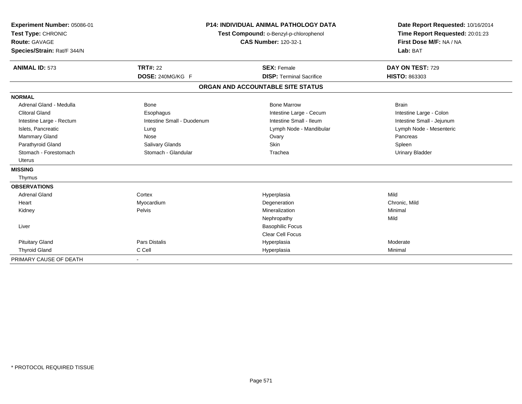| Experiment Number: 05086-01<br>Test Type: CHRONIC<br><b>Route: GAVAGE</b><br>Species/Strain: Rat/F 344/N |                            | <b>P14: INDIVIDUAL ANIMAL PATHOLOGY DATA</b><br>Test Compound: o-Benzyl-p-chlorophenol<br><b>CAS Number: 120-32-1</b> | Date Report Requested: 10/16/2014<br>Time Report Requested: 20:01:23<br>First Dose M/F: NA / NA<br>Lab: BAT |
|----------------------------------------------------------------------------------------------------------|----------------------------|-----------------------------------------------------------------------------------------------------------------------|-------------------------------------------------------------------------------------------------------------|
| <b>ANIMAL ID: 573</b>                                                                                    | <b>TRT#: 22</b>            | <b>SEX: Female</b>                                                                                                    | DAY ON TEST: 729                                                                                            |
|                                                                                                          | DOSE: 240MG/KG F           | <b>DISP: Terminal Sacrifice</b>                                                                                       | HISTO: 863303                                                                                               |
|                                                                                                          |                            | ORGAN AND ACCOUNTABLE SITE STATUS                                                                                     |                                                                                                             |
| <b>NORMAL</b>                                                                                            |                            |                                                                                                                       |                                                                                                             |
| Adrenal Gland - Medulla                                                                                  | Bone                       | <b>Bone Marrow</b>                                                                                                    | <b>Brain</b>                                                                                                |
| <b>Clitoral Gland</b>                                                                                    | Esophagus                  | Intestine Large - Cecum                                                                                               | Intestine Large - Colon                                                                                     |
| Intestine Large - Rectum                                                                                 | Intestine Small - Duodenum | Intestine Small - Ileum                                                                                               | Intestine Small - Jejunum                                                                                   |
| Islets, Pancreatic                                                                                       | Lung                       | Lymph Node - Mandibular                                                                                               | Lymph Node - Mesenteric                                                                                     |
| Mammary Gland                                                                                            | Nose                       | Ovary                                                                                                                 | Pancreas                                                                                                    |
| Parathyroid Gland                                                                                        | <b>Salivary Glands</b>     | Skin                                                                                                                  | Spleen                                                                                                      |
| Stomach - Forestomach                                                                                    | Stomach - Glandular        | Trachea                                                                                                               | <b>Urinary Bladder</b>                                                                                      |
| <b>Uterus</b>                                                                                            |                            |                                                                                                                       |                                                                                                             |
| <b>MISSING</b>                                                                                           |                            |                                                                                                                       |                                                                                                             |
| Thymus                                                                                                   |                            |                                                                                                                       |                                                                                                             |
| <b>OBSERVATIONS</b>                                                                                      |                            |                                                                                                                       |                                                                                                             |
| <b>Adrenal Gland</b>                                                                                     | Cortex                     | Hyperplasia                                                                                                           | Mild                                                                                                        |
| Heart                                                                                                    | Myocardium                 | Degeneration                                                                                                          | Chronic, Mild                                                                                               |
| Kidney                                                                                                   | <b>Pelvis</b>              | Mineralization                                                                                                        | Minimal                                                                                                     |
|                                                                                                          |                            | Nephropathy                                                                                                           | Mild                                                                                                        |
| Liver                                                                                                    |                            | <b>Basophilic Focus</b>                                                                                               |                                                                                                             |
|                                                                                                          |                            | <b>Clear Cell Focus</b>                                                                                               |                                                                                                             |
| <b>Pituitary Gland</b>                                                                                   | <b>Pars Distalis</b>       | Hyperplasia                                                                                                           | Moderate                                                                                                    |
| <b>Thyroid Gland</b>                                                                                     | C Cell                     | Hyperplasia                                                                                                           | Minimal                                                                                                     |
| PRIMARY CAUSE OF DEATH                                                                                   |                            |                                                                                                                       |                                                                                                             |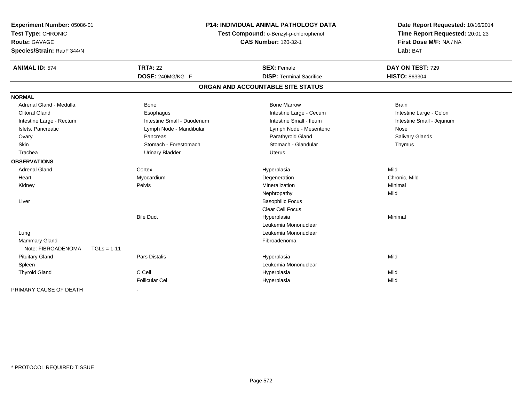| Experiment Number: 05086-01<br>Test Type: CHRONIC<br>Route: GAVAGE<br>Species/Strain: Rat/F 344/N |                            | P14: INDIVIDUAL ANIMAL PATHOLOGY DATA<br>Test Compound: o-Benzyl-p-chlorophenol<br><b>CAS Number: 120-32-1</b> |                           |
|---------------------------------------------------------------------------------------------------|----------------------------|----------------------------------------------------------------------------------------------------------------|---------------------------|
| <b>ANIMAL ID: 574</b>                                                                             | <b>TRT#: 22</b>            | <b>SEX: Female</b>                                                                                             | DAY ON TEST: 729          |
|                                                                                                   | DOSE: 240MG/KG F           | <b>DISP: Terminal Sacrifice</b>                                                                                | <b>HISTO: 863304</b>      |
|                                                                                                   |                            | ORGAN AND ACCOUNTABLE SITE STATUS                                                                              |                           |
| <b>NORMAL</b>                                                                                     |                            |                                                                                                                |                           |
| Adrenal Gland - Medulla                                                                           | <b>Bone</b>                | <b>Bone Marrow</b>                                                                                             | <b>Brain</b>              |
| <b>Clitoral Gland</b>                                                                             | Esophagus                  | Intestine Large - Cecum                                                                                        | Intestine Large - Colon   |
| Intestine Large - Rectum                                                                          | Intestine Small - Duodenum | Intestine Small - Ileum                                                                                        | Intestine Small - Jejunum |
| Islets, Pancreatic                                                                                | Lymph Node - Mandibular    | Lymph Node - Mesenteric                                                                                        | Nose                      |
| Ovary                                                                                             | Pancreas                   | Parathyroid Gland                                                                                              | Salivary Glands           |
| Skin                                                                                              | Stomach - Forestomach      | Stomach - Glandular                                                                                            | Thymus                    |
| Trachea                                                                                           | <b>Urinary Bladder</b>     | <b>Uterus</b>                                                                                                  |                           |
| <b>OBSERVATIONS</b>                                                                               |                            |                                                                                                                |                           |
| <b>Adrenal Gland</b>                                                                              | Cortex                     | Hyperplasia                                                                                                    | Mild                      |
| Heart                                                                                             | Myocardium                 | Degeneration                                                                                                   | Chronic, Mild             |
| Kidney                                                                                            | Pelvis                     | Mineralization                                                                                                 | Minimal                   |
|                                                                                                   |                            | Nephropathy                                                                                                    | Mild                      |
| Liver                                                                                             |                            | <b>Basophilic Focus</b>                                                                                        |                           |
|                                                                                                   |                            | <b>Clear Cell Focus</b>                                                                                        |                           |
|                                                                                                   | <b>Bile Duct</b>           | Hyperplasia                                                                                                    | Minimal                   |
|                                                                                                   |                            | Leukemia Mononuclear                                                                                           |                           |
| Lung                                                                                              |                            | Leukemia Mononuclear                                                                                           |                           |
| <b>Mammary Gland</b>                                                                              |                            | Fibroadenoma                                                                                                   |                           |
| Note: FIBROADENOMA<br>$TGLs = 1-11$                                                               |                            |                                                                                                                |                           |
| <b>Pituitary Gland</b>                                                                            | <b>Pars Distalis</b>       | Hyperplasia                                                                                                    | Mild                      |
| Spleen                                                                                            |                            | Leukemia Mononuclear                                                                                           |                           |
| <b>Thyroid Gland</b>                                                                              | C Cell                     | Hyperplasia                                                                                                    | Mild                      |
|                                                                                                   | <b>Follicular Cel</b>      | Hyperplasia                                                                                                    | Mild                      |
| PRIMARY CAUSE OF DEATH                                                                            |                            |                                                                                                                |                           |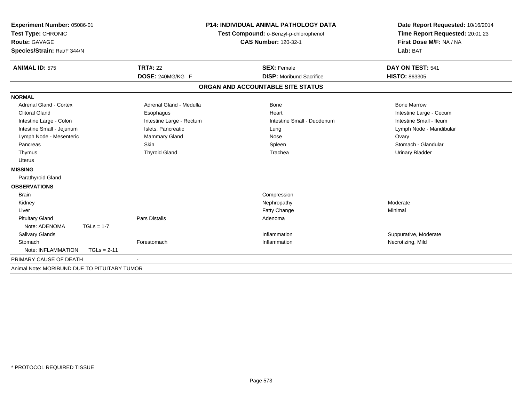| Experiment Number: 05086-01<br>Test Type: CHRONIC |                          | <b>P14: INDIVIDUAL ANIMAL PATHOLOGY DATA</b><br>Test Compound: o-Benzyl-p-chlorophenol | Date Report Requested: 10/16/2014<br>Time Report Requested: 20:01:23 |
|---------------------------------------------------|--------------------------|----------------------------------------------------------------------------------------|----------------------------------------------------------------------|
| Route: GAVAGE                                     |                          | <b>CAS Number: 120-32-1</b>                                                            | First Dose M/F: NA / NA                                              |
| Species/Strain: Rat/F 344/N                       |                          |                                                                                        | Lab: BAT                                                             |
| <b>ANIMAL ID: 575</b>                             | <b>TRT#: 22</b>          | <b>SEX: Female</b>                                                                     | DAY ON TEST: 541                                                     |
|                                                   | DOSE: 240MG/KG F         | <b>DISP:</b> Moribund Sacrifice                                                        | <b>HISTO: 863305</b>                                                 |
|                                                   |                          | ORGAN AND ACCOUNTABLE SITE STATUS                                                      |                                                                      |
| <b>NORMAL</b>                                     |                          |                                                                                        |                                                                      |
| <b>Adrenal Gland - Cortex</b>                     | Adrenal Gland - Medulla  | <b>Bone</b>                                                                            | <b>Bone Marrow</b>                                                   |
| <b>Clitoral Gland</b>                             | Esophagus                | Heart                                                                                  | Intestine Large - Cecum                                              |
| Intestine Large - Colon                           | Intestine Large - Rectum | Intestine Small - Duodenum                                                             | Intestine Small - Ileum                                              |
| Intestine Small - Jejunum                         | Islets, Pancreatic       | Lung                                                                                   | Lymph Node - Mandibular                                              |
| Lymph Node - Mesenteric                           | Mammary Gland            | Nose                                                                                   | Ovary                                                                |
| Pancreas                                          | Skin                     | Spleen                                                                                 | Stomach - Glandular                                                  |
| Thymus                                            | <b>Thyroid Gland</b>     | Trachea                                                                                | <b>Urinary Bladder</b>                                               |
| <b>Uterus</b>                                     |                          |                                                                                        |                                                                      |
| <b>MISSING</b>                                    |                          |                                                                                        |                                                                      |
| Parathyroid Gland                                 |                          |                                                                                        |                                                                      |
| <b>OBSERVATIONS</b>                               |                          |                                                                                        |                                                                      |
| <b>Brain</b>                                      |                          | Compression                                                                            |                                                                      |
| Kidney                                            |                          | Nephropathy                                                                            | Moderate                                                             |
| Liver                                             |                          | <b>Fatty Change</b>                                                                    | Minimal                                                              |
| <b>Pituitary Gland</b>                            | <b>Pars Distalis</b>     | Adenoma                                                                                |                                                                      |
| Note: ADENOMA<br>$TGLs = 1-7$                     |                          |                                                                                        |                                                                      |
| Salivary Glands                                   |                          | Inflammation                                                                           | Suppurative, Moderate                                                |
| Stomach                                           | Forestomach              | Inflammation                                                                           | Necrotizing, Mild                                                    |
| Note: INFLAMMATION<br>$TGLs = 2-11$               |                          |                                                                                        |                                                                      |
| PRIMARY CAUSE OF DEATH                            |                          |                                                                                        |                                                                      |
| Animal Note: MORIBUND DUE TO PITUITARY TUMOR      |                          |                                                                                        |                                                                      |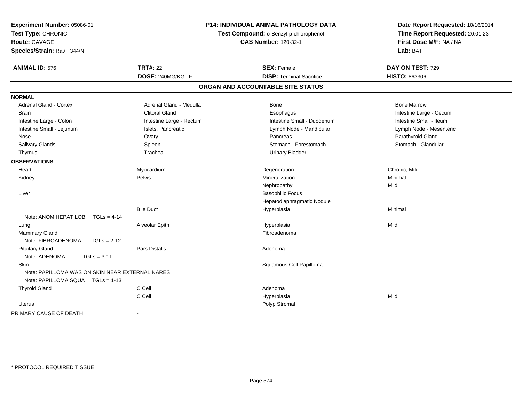| Experiment Number: 05086-01<br>Test Type: CHRONIC<br><b>Route: GAVAGE</b><br>Species/Strain: Rat/F 344/N |                          | P14: INDIVIDUAL ANIMAL PATHOLOGY DATA<br>Test Compound: o-Benzyl-p-chlorophenol<br><b>CAS Number: 120-32-1</b> | Date Report Requested: 10/16/2014<br>Time Report Requested: 20:01:23<br>First Dose M/F: NA / NA<br>Lab: BAT |
|----------------------------------------------------------------------------------------------------------|--------------------------|----------------------------------------------------------------------------------------------------------------|-------------------------------------------------------------------------------------------------------------|
| <b>ANIMAL ID: 576</b>                                                                                    | <b>TRT#: 22</b>          | <b>SEX: Female</b>                                                                                             | DAY ON TEST: 729                                                                                            |
|                                                                                                          | DOSE: 240MG/KG F         | <b>DISP: Terminal Sacrifice</b>                                                                                | <b>HISTO: 863306</b>                                                                                        |
|                                                                                                          |                          | ORGAN AND ACCOUNTABLE SITE STATUS                                                                              |                                                                                                             |
| <b>NORMAL</b>                                                                                            |                          |                                                                                                                |                                                                                                             |
| <b>Adrenal Gland - Cortex</b>                                                                            | Adrenal Gland - Medulla  | <b>Bone</b>                                                                                                    | <b>Bone Marrow</b>                                                                                          |
| <b>Brain</b>                                                                                             | <b>Clitoral Gland</b>    | Esophagus                                                                                                      | Intestine Large - Cecum                                                                                     |
| Intestine Large - Colon                                                                                  | Intestine Large - Rectum | Intestine Small - Duodenum                                                                                     | Intestine Small - Ileum                                                                                     |
| Intestine Small - Jejunum                                                                                | Islets, Pancreatic       | Lymph Node - Mandibular                                                                                        | Lymph Node - Mesenteric                                                                                     |
| Nose                                                                                                     | Ovary                    | Pancreas                                                                                                       | Parathyroid Gland                                                                                           |
| Salivary Glands                                                                                          | Spleen                   | Stomach - Forestomach                                                                                          | Stomach - Glandular                                                                                         |
| Thymus                                                                                                   | Trachea                  | <b>Urinary Bladder</b>                                                                                         |                                                                                                             |
| <b>OBSERVATIONS</b>                                                                                      |                          |                                                                                                                |                                                                                                             |
| Heart                                                                                                    | Myocardium               | Degeneration                                                                                                   | Chronic, Mild                                                                                               |
| Kidney                                                                                                   | Pelvis                   | Mineralization                                                                                                 | Minimal                                                                                                     |
|                                                                                                          |                          | Nephropathy                                                                                                    | Mild                                                                                                        |
| Liver                                                                                                    |                          | <b>Basophilic Focus</b>                                                                                        |                                                                                                             |
|                                                                                                          |                          | Hepatodiaphragmatic Nodule                                                                                     |                                                                                                             |
|                                                                                                          | <b>Bile Duct</b>         | Hyperplasia                                                                                                    | Minimal                                                                                                     |
| Note: ANOM HEPAT LOB<br>$TGLs = 4-14$                                                                    |                          |                                                                                                                |                                                                                                             |
| Lung                                                                                                     | Alveolar Epith           | Hyperplasia                                                                                                    | Mild                                                                                                        |
| Mammary Gland                                                                                            |                          | Fibroadenoma                                                                                                   |                                                                                                             |
| Note: FIBROADENOMA<br>$TGLs = 2-12$                                                                      |                          |                                                                                                                |                                                                                                             |
| <b>Pituitary Gland</b>                                                                                   | Pars Distalis            | Adenoma                                                                                                        |                                                                                                             |
| Note: ADENOMA<br>$TGLs = 3-11$                                                                           |                          |                                                                                                                |                                                                                                             |
| Skin                                                                                                     |                          | Squamous Cell Papilloma                                                                                        |                                                                                                             |
| Note: PAPILLOMA WAS ON SKIN NEAR EXTERNAL NARES                                                          |                          |                                                                                                                |                                                                                                             |
| Note: PAPILLOMA SQUA TGLs = 1-13                                                                         |                          |                                                                                                                |                                                                                                             |
| <b>Thyroid Gland</b>                                                                                     | C Cell                   | Adenoma                                                                                                        |                                                                                                             |
|                                                                                                          | C Cell                   | Hyperplasia                                                                                                    | Mild                                                                                                        |
| Uterus                                                                                                   |                          | Polyp Stromal                                                                                                  |                                                                                                             |
| PRIMARY CAUSE OF DEATH                                                                                   | $\blacksquare$           |                                                                                                                |                                                                                                             |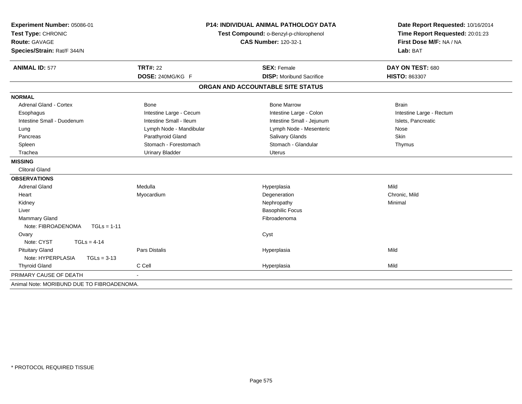| Experiment Number: 05086-01                |                         | <b>P14: INDIVIDUAL ANIMAL PATHOLOGY DATA</b> | Date Report Requested: 10/16/2014                          |  |
|--------------------------------------------|-------------------------|----------------------------------------------|------------------------------------------------------------|--|
| Test Type: CHRONIC                         |                         | Test Compound: o-Benzyl-p-chlorophenol       | Time Report Requested: 20:01:23<br>First Dose M/F: NA / NA |  |
| <b>Route: GAVAGE</b>                       |                         | <b>CAS Number: 120-32-1</b>                  |                                                            |  |
| Species/Strain: Rat/F 344/N                |                         |                                              | Lab: BAT                                                   |  |
| <b>ANIMAL ID: 577</b>                      | <b>TRT#: 22</b>         | <b>SEX: Female</b>                           | DAY ON TEST: 680                                           |  |
|                                            | DOSE: 240MG/KG F        | <b>DISP:</b> Moribund Sacrifice              | <b>HISTO: 863307</b>                                       |  |
|                                            |                         | ORGAN AND ACCOUNTABLE SITE STATUS            |                                                            |  |
| <b>NORMAL</b>                              |                         |                                              |                                                            |  |
| <b>Adrenal Gland - Cortex</b>              | <b>Bone</b>             | <b>Bone Marrow</b>                           | <b>Brain</b>                                               |  |
| Esophagus                                  | Intestine Large - Cecum | Intestine Large - Colon                      | Intestine Large - Rectum                                   |  |
| Intestine Small - Duodenum                 | Intestine Small - Ileum | Intestine Small - Jejunum                    | Islets, Pancreatic                                         |  |
| Lung                                       | Lymph Node - Mandibular | Lymph Node - Mesenteric                      | Nose                                                       |  |
| Pancreas                                   | Parathyroid Gland       | Salivary Glands                              | <b>Skin</b>                                                |  |
| Spleen                                     | Stomach - Forestomach   | Stomach - Glandular                          | Thymus                                                     |  |
| Trachea                                    | <b>Urinary Bladder</b>  | <b>Uterus</b>                                |                                                            |  |
| <b>MISSING</b>                             |                         |                                              |                                                            |  |
| <b>Clitoral Gland</b>                      |                         |                                              |                                                            |  |
| <b>OBSERVATIONS</b>                        |                         |                                              |                                                            |  |
| <b>Adrenal Gland</b>                       | Medulla                 | Hyperplasia                                  | Mild                                                       |  |
| Heart                                      | Myocardium              | Degeneration                                 | Chronic, Mild                                              |  |
| Kidney                                     |                         | Nephropathy                                  | Minimal                                                    |  |
| Liver                                      |                         | <b>Basophilic Focus</b>                      |                                                            |  |
| Mammary Gland                              |                         | Fibroadenoma                                 |                                                            |  |
| Note: FIBROADENOMA<br>$TGLs = 1-11$        |                         |                                              |                                                            |  |
| Ovary                                      |                         | Cyst                                         |                                                            |  |
| Note: CYST<br>$TGLs = 4-14$                |                         |                                              |                                                            |  |
| <b>Pituitary Gland</b>                     | <b>Pars Distalis</b>    | Hyperplasia                                  | Mild                                                       |  |
| Note: HYPERPLASIA<br>$TGLs = 3-13$         |                         |                                              |                                                            |  |
| <b>Thyroid Gland</b>                       | C Cell                  | Hyperplasia                                  | Mild                                                       |  |
| PRIMARY CAUSE OF DEATH                     |                         |                                              |                                                            |  |
| Animal Note: MORIBUND DUE TO FIBROADENOMA. |                         |                                              |                                                            |  |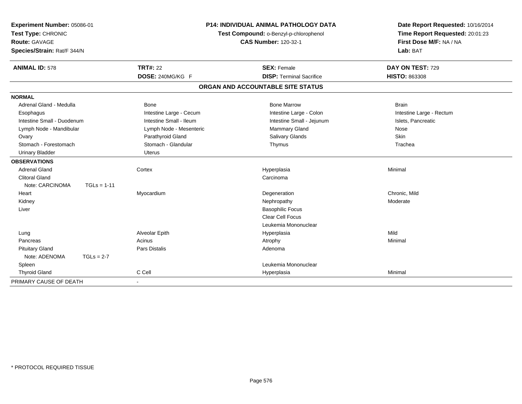| Experiment Number: 05086-01<br>Test Type: CHRONIC<br>Route: GAVAGE<br>Species/Strain: Rat/F 344/N |               | <b>P14: INDIVIDUAL ANIMAL PATHOLOGY DATA</b><br>Test Compound: o-Benzyl-p-chlorophenol<br><b>CAS Number: 120-32-1</b> |                                   | Date Report Requested: 10/16/2014<br>Time Report Requested: 20:01:23<br>First Dose M/F: NA / NA<br>Lab: BAT |  |
|---------------------------------------------------------------------------------------------------|---------------|-----------------------------------------------------------------------------------------------------------------------|-----------------------------------|-------------------------------------------------------------------------------------------------------------|--|
| <b>ANIMAL ID: 578</b>                                                                             |               | <b>TRT#: 22</b>                                                                                                       | <b>SEX: Female</b>                | DAY ON TEST: 729                                                                                            |  |
|                                                                                                   |               | DOSE: 240MG/KG F                                                                                                      | <b>DISP: Terminal Sacrifice</b>   | <b>HISTO: 863308</b>                                                                                        |  |
|                                                                                                   |               |                                                                                                                       | ORGAN AND ACCOUNTABLE SITE STATUS |                                                                                                             |  |
| <b>NORMAL</b>                                                                                     |               |                                                                                                                       |                                   |                                                                                                             |  |
| Adrenal Gland - Medulla                                                                           |               | Bone                                                                                                                  | <b>Bone Marrow</b>                | <b>Brain</b>                                                                                                |  |
| Esophagus                                                                                         |               | Intestine Large - Cecum                                                                                               | Intestine Large - Colon           | Intestine Large - Rectum                                                                                    |  |
| Intestine Small - Duodenum                                                                        |               | Intestine Small - Ileum                                                                                               | Intestine Small - Jejunum         | Islets, Pancreatic                                                                                          |  |
| Lymph Node - Mandibular                                                                           |               | Lymph Node - Mesenteric                                                                                               | Mammary Gland                     | Nose                                                                                                        |  |
| Ovary                                                                                             |               | Parathyroid Gland                                                                                                     | <b>Salivary Glands</b>            | Skin                                                                                                        |  |
| Stomach - Forestomach                                                                             |               | Stomach - Glandular                                                                                                   | Thymus                            | Trachea                                                                                                     |  |
| <b>Urinary Bladder</b>                                                                            |               | <b>Uterus</b>                                                                                                         |                                   |                                                                                                             |  |
| <b>OBSERVATIONS</b>                                                                               |               |                                                                                                                       |                                   |                                                                                                             |  |
| <b>Adrenal Gland</b>                                                                              |               | Cortex                                                                                                                | Hyperplasia                       | Minimal                                                                                                     |  |
| <b>Clitoral Gland</b>                                                                             |               |                                                                                                                       | Carcinoma                         |                                                                                                             |  |
| Note: CARCINOMA                                                                                   | $TGLs = 1-11$ |                                                                                                                       |                                   |                                                                                                             |  |
| Heart                                                                                             |               | Myocardium                                                                                                            | Degeneration                      | Chronic, Mild                                                                                               |  |
| Kidney                                                                                            |               |                                                                                                                       | Nephropathy                       | Moderate                                                                                                    |  |
| Liver                                                                                             |               |                                                                                                                       | <b>Basophilic Focus</b>           |                                                                                                             |  |
|                                                                                                   |               |                                                                                                                       | <b>Clear Cell Focus</b>           |                                                                                                             |  |
|                                                                                                   |               |                                                                                                                       | Leukemia Mononuclear              |                                                                                                             |  |
| Lung                                                                                              |               | Alveolar Epith                                                                                                        | Hyperplasia                       | Mild                                                                                                        |  |
| Pancreas                                                                                          |               | Acinus                                                                                                                | Atrophy                           | Minimal                                                                                                     |  |
| <b>Pituitary Gland</b>                                                                            |               | <b>Pars Distalis</b>                                                                                                  | Adenoma                           |                                                                                                             |  |
| Note: ADENOMA                                                                                     | $TGLs = 2-7$  |                                                                                                                       |                                   |                                                                                                             |  |
| Spleen                                                                                            |               |                                                                                                                       | Leukemia Mononuclear              |                                                                                                             |  |
| <b>Thyroid Gland</b>                                                                              |               | C Cell                                                                                                                | Hyperplasia                       | Minimal                                                                                                     |  |
| PRIMARY CAUSE OF DEATH                                                                            |               |                                                                                                                       |                                   |                                                                                                             |  |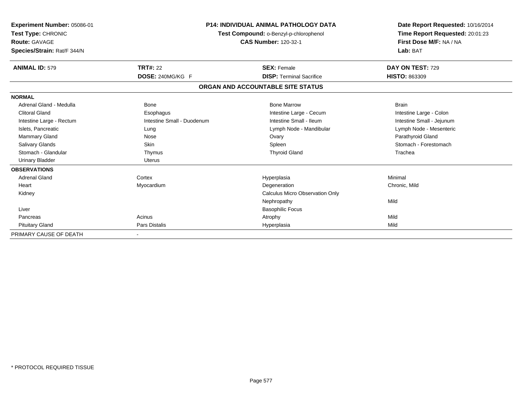| Experiment Number: 05086-01<br>Test Type: CHRONIC<br><b>Route: GAVAGE</b><br>Species/Strain: Rat/F 344/N |                            | <b>P14: INDIVIDUAL ANIMAL PATHOLOGY DATA</b><br>Test Compound: o-Benzyl-p-chlorophenol<br><b>CAS Number: 120-32-1</b> |                           |
|----------------------------------------------------------------------------------------------------------|----------------------------|-----------------------------------------------------------------------------------------------------------------------|---------------------------|
| <b>ANIMAL ID: 579</b>                                                                                    | <b>TRT#: 22</b>            | <b>SEX: Female</b>                                                                                                    | DAY ON TEST: 729          |
|                                                                                                          | DOSE: 240MG/KG F           | <b>DISP: Terminal Sacrifice</b>                                                                                       | <b>HISTO: 863309</b>      |
|                                                                                                          |                            | ORGAN AND ACCOUNTABLE SITE STATUS                                                                                     |                           |
| <b>NORMAL</b>                                                                                            |                            |                                                                                                                       |                           |
| Adrenal Gland - Medulla                                                                                  | <b>Bone</b>                | <b>Bone Marrow</b>                                                                                                    | <b>Brain</b>              |
| <b>Clitoral Gland</b>                                                                                    | Esophagus                  | Intestine Large - Cecum                                                                                               | Intestine Large - Colon   |
| Intestine Large - Rectum                                                                                 | Intestine Small - Duodenum | Intestine Small - Ileum                                                                                               | Intestine Small - Jejunum |
| Islets, Pancreatic                                                                                       | Lung                       | Lymph Node - Mandibular                                                                                               | Lymph Node - Mesenteric   |
| Mammary Gland                                                                                            | Nose                       | Ovary                                                                                                                 | Parathyroid Gland         |
| <b>Salivary Glands</b>                                                                                   | Skin                       | Spleen                                                                                                                | Stomach - Forestomach     |
| Stomach - Glandular                                                                                      | Thymus                     | <b>Thyroid Gland</b>                                                                                                  | Trachea                   |
| <b>Urinary Bladder</b>                                                                                   | <b>Uterus</b>              |                                                                                                                       |                           |
| <b>OBSERVATIONS</b>                                                                                      |                            |                                                                                                                       |                           |
| <b>Adrenal Gland</b>                                                                                     | Cortex                     | Hyperplasia                                                                                                           | Minimal                   |
| Heart                                                                                                    | Myocardium                 | Degeneration                                                                                                          | Chronic, Mild             |
| Kidney                                                                                                   |                            | Calculus Micro Observation Only                                                                                       |                           |
|                                                                                                          |                            | Nephropathy                                                                                                           | Mild                      |
| Liver                                                                                                    |                            | <b>Basophilic Focus</b>                                                                                               |                           |
| Pancreas                                                                                                 | Acinus                     | Atrophy                                                                                                               | Mild                      |
| <b>Pituitary Gland</b>                                                                                   | <b>Pars Distalis</b>       | Hyperplasia                                                                                                           | Mild                      |
| PRIMARY CAUSE OF DEATH                                                                                   |                            |                                                                                                                       |                           |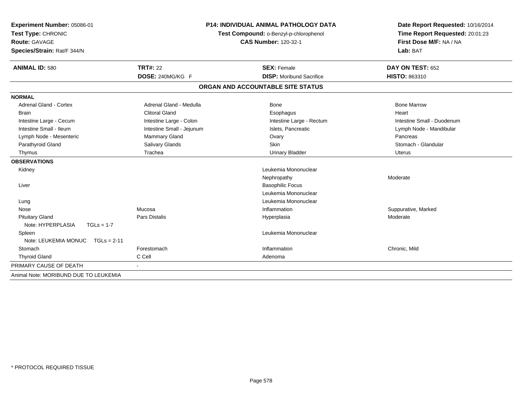| <b>Experiment Number: 05086-01</b>    | <b>P14: INDIVIDUAL ANIMAL PATHOLOGY DATA</b><br>Test Compound: o-Benzyl-p-chlorophenol |                                   | Date Report Requested: 10/16/2014 |
|---------------------------------------|----------------------------------------------------------------------------------------|-----------------------------------|-----------------------------------|
| Test Type: CHRONIC                    |                                                                                        |                                   | Time Report Requested: 20:01:23   |
| <b>Route: GAVAGE</b>                  |                                                                                        | <b>CAS Number: 120-32-1</b>       | First Dose M/F: NA / NA           |
| Species/Strain: Rat/F 344/N           |                                                                                        |                                   | Lab: BAT                          |
| <b>ANIMAL ID: 580</b>                 | <b>TRT#: 22</b>                                                                        | <b>SEX: Female</b>                | DAY ON TEST: 652                  |
|                                       | DOSE: 240MG/KG F                                                                       | <b>DISP:</b> Moribund Sacrifice   | <b>HISTO: 863310</b>              |
|                                       |                                                                                        | ORGAN AND ACCOUNTABLE SITE STATUS |                                   |
| <b>NORMAL</b>                         |                                                                                        |                                   |                                   |
| <b>Adrenal Gland - Cortex</b>         | Adrenal Gland - Medulla                                                                | <b>Bone</b>                       | <b>Bone Marrow</b>                |
| Brain                                 | <b>Clitoral Gland</b>                                                                  | Esophagus                         | Heart                             |
| Intestine Large - Cecum               | Intestine Large - Colon                                                                | Intestine Large - Rectum          | Intestine Small - Duodenum        |
| Intestine Small - Ileum               | Intestine Small - Jejunum                                                              | Islets. Pancreatic                | Lymph Node - Mandibular           |
| Lymph Node - Mesenteric               | Mammary Gland                                                                          | Ovary                             | Pancreas                          |
| Parathyroid Gland                     | Salivary Glands                                                                        | <b>Skin</b>                       | Stomach - Glandular               |
| Thymus                                | Trachea                                                                                | <b>Urinary Bladder</b>            | Uterus                            |
| <b>OBSERVATIONS</b>                   |                                                                                        |                                   |                                   |
| Kidney                                |                                                                                        | Leukemia Mononuclear              |                                   |
|                                       |                                                                                        | Nephropathy                       | Moderate                          |
| Liver                                 |                                                                                        | <b>Basophilic Focus</b>           |                                   |
|                                       |                                                                                        | Leukemia Mononuclear              |                                   |
| Lung                                  |                                                                                        | Leukemia Mononuclear              |                                   |
| Nose                                  | Mucosa                                                                                 | Inflammation                      | Suppurative, Marked               |
| <b>Pituitary Gland</b>                | Pars Distalis                                                                          | Hyperplasia                       | Moderate                          |
| Note: HYPERPLASIA<br>$TGLs = 1-7$     |                                                                                        |                                   |                                   |
| Spleen                                |                                                                                        | Leukemia Mononuclear              |                                   |
| Note: LEUKEMIA MONUC<br>$TGLs = 2-11$ |                                                                                        |                                   |                                   |
| Stomach                               | Forestomach                                                                            | Inflammation                      | Chronic, Mild                     |
| <b>Thyroid Gland</b>                  | C Cell                                                                                 | Adenoma                           |                                   |
| PRIMARY CAUSE OF DEATH                | $\sim$                                                                                 |                                   |                                   |
| Animal Note: MORIBUND DUE TO LEUKEMIA |                                                                                        |                                   |                                   |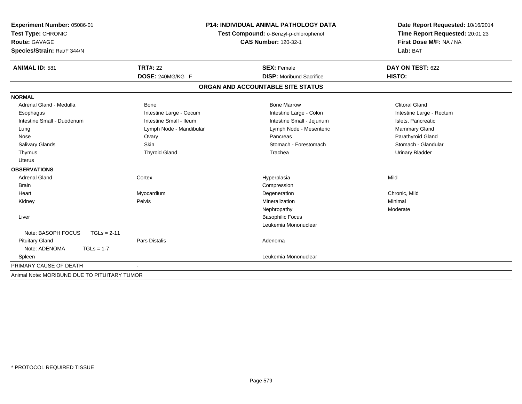| Experiment Number: 05086-01                                  | <b>P14: INDIVIDUAL ANIMAL PATHOLOGY DATA</b> |                                   | Date Report Requested: 10/16/2014 |  |
|--------------------------------------------------------------|----------------------------------------------|-----------------------------------|-----------------------------------|--|
| Test Type: CHRONIC<br>Test Compound: o-Benzyl-p-chlorophenol |                                              | Time Report Requested: 20:01:23   |                                   |  |
| <b>Route: GAVAGE</b>                                         |                                              | <b>CAS Number: 120-32-1</b>       | First Dose M/F: NA / NA           |  |
| Species/Strain: Rat/F 344/N                                  |                                              |                                   | Lab: BAT                          |  |
| <b>ANIMAL ID: 581</b>                                        | <b>TRT#: 22</b>                              | <b>SEX: Female</b>                | DAY ON TEST: 622                  |  |
|                                                              | DOSE: 240MG/KG F                             | <b>DISP:</b> Moribund Sacrifice   | HISTO:                            |  |
|                                                              |                                              | ORGAN AND ACCOUNTABLE SITE STATUS |                                   |  |
| <b>NORMAL</b>                                                |                                              |                                   |                                   |  |
| Adrenal Gland - Medulla                                      | <b>Bone</b>                                  | <b>Bone Marrow</b>                | <b>Clitoral Gland</b>             |  |
| Esophagus                                                    | Intestine Large - Cecum                      | Intestine Large - Colon           | Intestine Large - Rectum          |  |
| Intestine Small - Duodenum                                   | Intestine Small - Ileum                      | Intestine Small - Jejunum         | Islets, Pancreatic                |  |
| Lung                                                         | Lymph Node - Mandibular                      | Lymph Node - Mesenteric           | Mammary Gland                     |  |
| Nose                                                         | Ovary                                        | Pancreas                          | Parathyroid Gland                 |  |
| Salivary Glands                                              | Skin                                         | Stomach - Forestomach             | Stomach - Glandular               |  |
| Thymus                                                       | <b>Thyroid Gland</b>                         | Trachea                           | <b>Urinary Bladder</b>            |  |
| <b>Uterus</b>                                                |                                              |                                   |                                   |  |
| <b>OBSERVATIONS</b>                                          |                                              |                                   |                                   |  |
| <b>Adrenal Gland</b>                                         | Cortex                                       | Hyperplasia                       | Mild                              |  |
| <b>Brain</b>                                                 |                                              | Compression                       |                                   |  |
| Heart                                                        | Myocardium                                   | Degeneration                      | Chronic, Mild                     |  |
| Kidney                                                       | Pelvis                                       | Mineralization                    | Minimal                           |  |
|                                                              |                                              | Nephropathy                       | Moderate                          |  |
| Liver                                                        |                                              | <b>Basophilic Focus</b>           |                                   |  |
|                                                              |                                              | Leukemia Mononuclear              |                                   |  |
| Note: BASOPH FOCUS<br>$TGLs = 2-11$                          |                                              |                                   |                                   |  |
| <b>Pituitary Gland</b>                                       | <b>Pars Distalis</b>                         | Adenoma                           |                                   |  |
| Note: ADENOMA<br>$TGLs = 1-7$                                |                                              |                                   |                                   |  |
| Spleen                                                       |                                              | Leukemia Mononuclear              |                                   |  |
| PRIMARY CAUSE OF DEATH                                       |                                              |                                   |                                   |  |
| Animal Note: MORIBUND DUE TO PITUITARY TUMOR                 |                                              |                                   |                                   |  |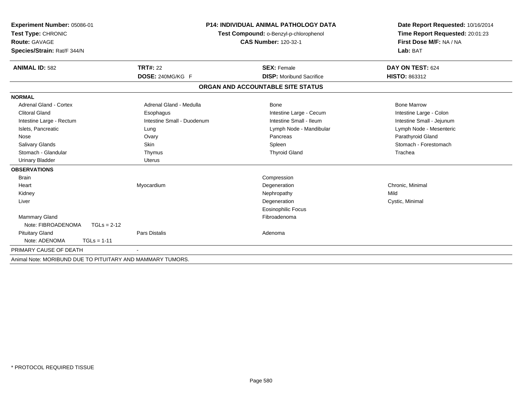| Experiment Number: 05086-01                                |                                        | <b>P14: INDIVIDUAL ANIMAL PATHOLOGY DATA</b> | Date Report Requested: 10/16/2014 |
|------------------------------------------------------------|----------------------------------------|----------------------------------------------|-----------------------------------|
| Test Type: CHRONIC                                         | Test Compound: o-Benzyl-p-chlorophenol |                                              | Time Report Requested: 20:01:23   |
| Route: GAVAGE                                              |                                        | <b>CAS Number: 120-32-1</b>                  | First Dose M/F: NA / NA           |
| Species/Strain: Rat/F 344/N                                |                                        |                                              | Lab: BAT                          |
| <b>ANIMAL ID: 582</b>                                      | <b>TRT#: 22</b>                        | <b>SEX: Female</b>                           | DAY ON TEST: 624                  |
|                                                            | DOSE: 240MG/KG F                       | <b>DISP:</b> Moribund Sacrifice              | <b>HISTO: 863312</b>              |
|                                                            |                                        | ORGAN AND ACCOUNTABLE SITE STATUS            |                                   |
| <b>NORMAL</b>                                              |                                        |                                              |                                   |
| Adrenal Gland - Cortex                                     | Adrenal Gland - Medulla                | Bone                                         | <b>Bone Marrow</b>                |
| <b>Clitoral Gland</b>                                      | Esophagus                              | Intestine Large - Cecum                      | Intestine Large - Colon           |
| Intestine Large - Rectum                                   | Intestine Small - Duodenum             | Intestine Small - Ileum                      | Intestine Small - Jejunum         |
| Islets, Pancreatic                                         | Lung                                   | Lymph Node - Mandibular                      | Lymph Node - Mesenteric           |
| Nose                                                       | Ovary                                  | Pancreas                                     | Parathyroid Gland                 |
| <b>Salivary Glands</b>                                     | Skin                                   | Spleen                                       | Stomach - Forestomach             |
| Stomach - Glandular                                        | Thymus                                 | <b>Thyroid Gland</b>                         | Trachea                           |
| <b>Urinary Bladder</b>                                     | <b>Uterus</b>                          |                                              |                                   |
| <b>OBSERVATIONS</b>                                        |                                        |                                              |                                   |
| <b>Brain</b>                                               |                                        | Compression                                  |                                   |
| Heart                                                      | Myocardium                             | Degeneration                                 | Chronic, Minimal                  |
| Kidney                                                     |                                        | Nephropathy                                  | Mild                              |
| Liver                                                      |                                        | Degeneration                                 | Cystic, Minimal                   |
|                                                            |                                        | <b>Eosinophilic Focus</b>                    |                                   |
| Mammary Gland                                              |                                        | Fibroadenoma                                 |                                   |
| Note: FIBROADENOMA<br>$TGLs = 2-12$                        |                                        |                                              |                                   |
| <b>Pituitary Gland</b>                                     | <b>Pars Distalis</b>                   | Adenoma                                      |                                   |
| Note: ADENOMA<br>$TGLs = 1-11$                             |                                        |                                              |                                   |
| PRIMARY CAUSE OF DEATH                                     |                                        |                                              |                                   |
| Animal Note: MORIBUND DUE TO PITUITARY AND MAMMARY TUMORS. |                                        |                                              |                                   |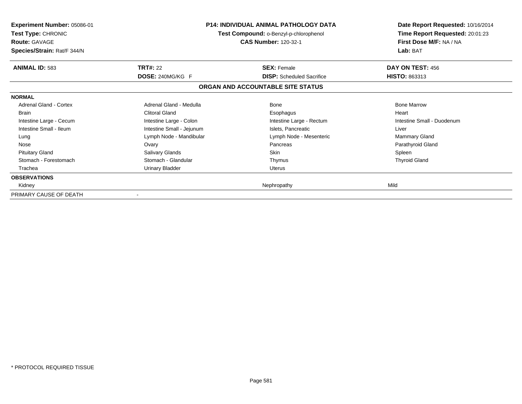| <b>Experiment Number: 05086-01</b><br><b>Test Type: CHRONIC</b><br><b>Route: GAVAGE</b><br>Species/Strain: Rat/F 344/N |                           | <b>P14: INDIVIDUAL ANIMAL PATHOLOGY DATA</b><br>Test Compound: o-Benzyl-p-chlorophenol<br>CAS Number: 120-32-1 | Date Report Requested: 10/16/2014<br>Time Report Requested: 20:01:23<br>First Dose M/F: NA / NA<br>Lab: BAT |
|------------------------------------------------------------------------------------------------------------------------|---------------------------|----------------------------------------------------------------------------------------------------------------|-------------------------------------------------------------------------------------------------------------|
| <b>ANIMAL ID: 583</b>                                                                                                  | <b>TRT#: 22</b>           | <b>SEX: Female</b>                                                                                             | DAY ON TEST: 456                                                                                            |
|                                                                                                                        | DOSE: 240MG/KG F          | <b>DISP:</b> Scheduled Sacrifice                                                                               | <b>HISTO: 863313</b>                                                                                        |
|                                                                                                                        |                           | ORGAN AND ACCOUNTABLE SITE STATUS                                                                              |                                                                                                             |
| <b>NORMAL</b>                                                                                                          |                           |                                                                                                                |                                                                                                             |
| Adrenal Gland - Cortex                                                                                                 | Adrenal Gland - Medulla   | Bone                                                                                                           | <b>Bone Marrow</b>                                                                                          |
| <b>Brain</b>                                                                                                           | <b>Clitoral Gland</b>     | Esophagus                                                                                                      | Heart                                                                                                       |
| Intestine Large - Cecum                                                                                                | Intestine Large - Colon   | Intestine Large - Rectum                                                                                       | Intestine Small - Duodenum                                                                                  |
| Intestine Small - Ileum                                                                                                | Intestine Small - Jejunum | Islets, Pancreatic                                                                                             | Liver                                                                                                       |
| Lung                                                                                                                   | Lymph Node - Mandibular   | Lymph Node - Mesenteric                                                                                        | <b>Mammary Gland</b>                                                                                        |
| Nose                                                                                                                   | Ovary                     | Pancreas                                                                                                       | Parathyroid Gland                                                                                           |
| <b>Pituitary Gland</b>                                                                                                 | Salivary Glands           | Skin                                                                                                           | Spleen                                                                                                      |
| Stomach - Forestomach                                                                                                  | Stomach - Glandular       | Thymus                                                                                                         | <b>Thyroid Gland</b>                                                                                        |
| Trachea                                                                                                                | <b>Urinary Bladder</b>    | Uterus                                                                                                         |                                                                                                             |
| <b>OBSERVATIONS</b>                                                                                                    |                           |                                                                                                                |                                                                                                             |
| Kidney                                                                                                                 |                           | Nephropathy                                                                                                    | Mild                                                                                                        |
| PRIMARY CAUSE OF DEATH                                                                                                 |                           |                                                                                                                |                                                                                                             |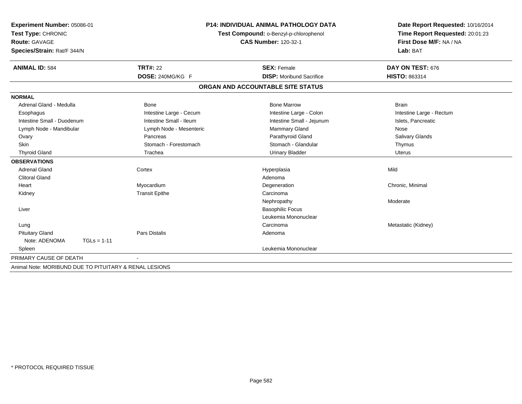| Experiment Number: 05086-01                            |                                                                       | <b>P14: INDIVIDUAL ANIMAL PATHOLOGY DATA</b> | Date Report Requested: 10/16/2014 |
|--------------------------------------------------------|-----------------------------------------------------------------------|----------------------------------------------|-----------------------------------|
| Test Type: CHRONIC                                     | Test Compound: o-Benzyl-p-chlorophenol<br><b>CAS Number: 120-32-1</b> |                                              | Time Report Requested: 20:01:23   |
| Route: GAVAGE                                          |                                                                       |                                              | First Dose M/F: NA / NA           |
| Species/Strain: Rat/F 344/N                            |                                                                       |                                              | Lab: BAT                          |
| <b>ANIMAL ID: 584</b>                                  | <b>TRT#: 22</b>                                                       | <b>SEX: Female</b>                           | DAY ON TEST: 676                  |
|                                                        | DOSE: 240MG/KG F                                                      | <b>DISP:</b> Moribund Sacrifice              | <b>HISTO: 863314</b>              |
|                                                        |                                                                       | ORGAN AND ACCOUNTABLE SITE STATUS            |                                   |
| <b>NORMAL</b>                                          |                                                                       |                                              |                                   |
| Adrenal Gland - Medulla                                | <b>Bone</b>                                                           | <b>Bone Marrow</b>                           | <b>Brain</b>                      |
| Esophagus                                              | Intestine Large - Cecum                                               | Intestine Large - Colon                      | Intestine Large - Rectum          |
| Intestine Small - Duodenum                             | Intestine Small - Ileum                                               | Intestine Small - Jejunum                    | Islets, Pancreatic                |
| Lymph Node - Mandibular                                | Lymph Node - Mesenteric                                               | Mammary Gland                                | Nose                              |
| Ovary                                                  | Pancreas                                                              | Parathyroid Gland                            | Salivary Glands                   |
| Skin                                                   | Stomach - Forestomach                                                 | Stomach - Glandular                          | Thymus                            |
| <b>Thyroid Gland</b>                                   | Trachea                                                               | <b>Urinary Bladder</b>                       | <b>Uterus</b>                     |
| <b>OBSERVATIONS</b>                                    |                                                                       |                                              |                                   |
| <b>Adrenal Gland</b>                                   | Cortex                                                                | Hyperplasia                                  | Mild                              |
| <b>Clitoral Gland</b>                                  |                                                                       | Adenoma                                      |                                   |
| Heart                                                  | Myocardium                                                            | Degeneration                                 | Chronic, Minimal                  |
| Kidney                                                 | <b>Transit Epithe</b>                                                 | Carcinoma                                    |                                   |
|                                                        |                                                                       | Nephropathy                                  | Moderate                          |
| Liver                                                  |                                                                       | <b>Basophilic Focus</b>                      |                                   |
|                                                        |                                                                       | Leukemia Mononuclear                         |                                   |
| Lung                                                   |                                                                       | Carcinoma                                    | Metastatic (Kidney)               |
| <b>Pituitary Gland</b>                                 | <b>Pars Distalis</b>                                                  | Adenoma                                      |                                   |
| Note: ADENOMA<br>$TGLs = 1-11$                         |                                                                       |                                              |                                   |
| Spleen                                                 |                                                                       | Leukemia Mononuclear                         |                                   |
| PRIMARY CAUSE OF DEATH                                 |                                                                       |                                              |                                   |
| Animal Note: MORIBUND DUE TO PITUITARY & RENAL LESIONS |                                                                       |                                              |                                   |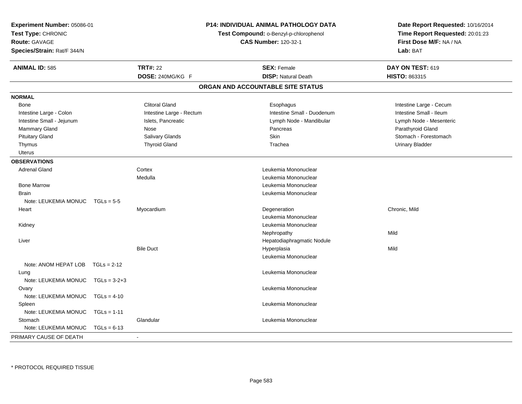| Experiment Number: 05086-01<br>Test Type: CHRONIC<br><b>Route: GAVAGE</b><br>Species/Strain: Rat/F 344/N |                |                          | P14: INDIVIDUAL ANIMAL PATHOLOGY DATA<br>Test Compound: o-Benzyl-p-chlorophenol<br><b>CAS Number: 120-32-1</b> |                                   | Date Report Requested: 10/16/2014<br>Time Report Requested: 20:01:23<br>First Dose M/F: NA / NA<br>Lab: BAT |
|----------------------------------------------------------------------------------------------------------|----------------|--------------------------|----------------------------------------------------------------------------------------------------------------|-----------------------------------|-------------------------------------------------------------------------------------------------------------|
| <b>ANIMAL ID: 585</b>                                                                                    |                | <b>TRT#: 22</b>          |                                                                                                                | <b>SEX: Female</b>                | DAY ON TEST: 619                                                                                            |
|                                                                                                          |                | DOSE: 240MG/KG F         |                                                                                                                | <b>DISP: Natural Death</b>        | HISTO: 863315                                                                                               |
|                                                                                                          |                |                          |                                                                                                                | ORGAN AND ACCOUNTABLE SITE STATUS |                                                                                                             |
| <b>NORMAL</b>                                                                                            |                |                          |                                                                                                                |                                   |                                                                                                             |
| Bone                                                                                                     |                | <b>Clitoral Gland</b>    |                                                                                                                | Esophagus                         | Intestine Large - Cecum                                                                                     |
| Intestine Large - Colon                                                                                  |                | Intestine Large - Rectum |                                                                                                                | Intestine Small - Duodenum        | Intestine Small - Ileum                                                                                     |
| Intestine Small - Jejunum                                                                                |                | Islets, Pancreatic       |                                                                                                                | Lymph Node - Mandibular           | Lymph Node - Mesenteric                                                                                     |
| Mammary Gland                                                                                            |                | Nose                     |                                                                                                                | Pancreas                          | Parathyroid Gland                                                                                           |
| <b>Pituitary Gland</b>                                                                                   |                | Salivary Glands          |                                                                                                                | Skin                              | Stomach - Forestomach                                                                                       |
| Thymus                                                                                                   |                | <b>Thyroid Gland</b>     |                                                                                                                | Trachea                           | <b>Urinary Bladder</b>                                                                                      |
| Uterus                                                                                                   |                |                          |                                                                                                                |                                   |                                                                                                             |
| <b>OBSERVATIONS</b>                                                                                      |                |                          |                                                                                                                |                                   |                                                                                                             |
| <b>Adrenal Gland</b>                                                                                     |                | Cortex                   |                                                                                                                | Leukemia Mononuclear              |                                                                                                             |
|                                                                                                          |                | Medulla                  |                                                                                                                | Leukemia Mononuclear              |                                                                                                             |
| <b>Bone Marrow</b>                                                                                       |                |                          |                                                                                                                | Leukemia Mononuclear              |                                                                                                             |
| <b>Brain</b>                                                                                             |                |                          |                                                                                                                | Leukemia Mononuclear              |                                                                                                             |
| Note: LEUKEMIA MONUC                                                                                     | $TGLs = 5-5$   |                          |                                                                                                                |                                   |                                                                                                             |
| Heart                                                                                                    |                | Myocardium               |                                                                                                                | Degeneration                      | Chronic, Mild                                                                                               |
|                                                                                                          |                |                          |                                                                                                                | Leukemia Mononuclear              |                                                                                                             |
| Kidney                                                                                                   |                |                          |                                                                                                                | Leukemia Mononuclear              |                                                                                                             |
|                                                                                                          |                |                          |                                                                                                                | Nephropathy                       | Mild                                                                                                        |
| Liver                                                                                                    |                |                          |                                                                                                                | Hepatodiaphragmatic Nodule        |                                                                                                             |
|                                                                                                          |                | <b>Bile Duct</b>         |                                                                                                                | Hyperplasia                       | Mild                                                                                                        |
|                                                                                                          |                |                          |                                                                                                                | Leukemia Mononuclear              |                                                                                                             |
| Note: ANOM HEPAT LOB                                                                                     | $TGLs = 2-12$  |                          |                                                                                                                |                                   |                                                                                                             |
| Lung                                                                                                     |                |                          |                                                                                                                | Leukemia Mononuclear              |                                                                                                             |
| Note: LEUKEMIA MONUC                                                                                     | $TGLs = 3-2+3$ |                          |                                                                                                                |                                   |                                                                                                             |
| Ovary                                                                                                    |                |                          |                                                                                                                | Leukemia Mononuclear              |                                                                                                             |
| Note: LEUKEMIA MONUC                                                                                     | $TGLs = 4-10$  |                          |                                                                                                                |                                   |                                                                                                             |
| Spleen                                                                                                   |                |                          |                                                                                                                | Leukemia Mononuclear              |                                                                                                             |
| Note: LEUKEMIA MONUC                                                                                     | $TGLs = 1-11$  |                          |                                                                                                                |                                   |                                                                                                             |
| Stomach                                                                                                  |                | Glandular                |                                                                                                                | Leukemia Mononuclear              |                                                                                                             |
| Note: LEUKEMIA MONUC                                                                                     | $TGLs = 6-13$  |                          |                                                                                                                |                                   |                                                                                                             |
| PRIMARY CAUSE OF DEATH                                                                                   |                | $\mathbf{r}$             |                                                                                                                |                                   |                                                                                                             |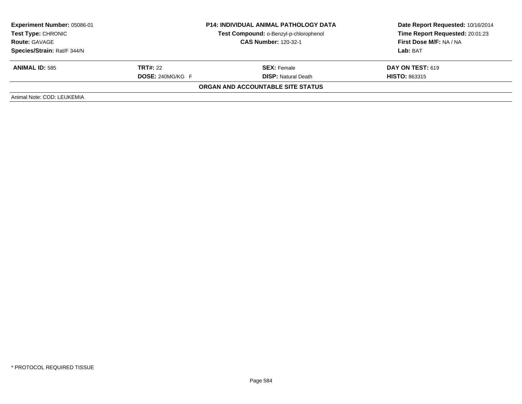| Experiment Number: 05086-01                         |                         | <b>P14: INDIVIDUAL ANIMAL PATHOLOGY DATA</b> | Date Report Requested: 10/16/2014 |  |
|-----------------------------------------------------|-------------------------|----------------------------------------------|-----------------------------------|--|
| <b>Test Type: CHRONIC</b>                           |                         | Test Compound: o-Benzyl-p-chlorophenol       | Time Report Requested: 20:01:23   |  |
| <b>CAS Number: 120-32-1</b><br><b>Route: GAVAGE</b> |                         | <b>First Dose M/F: NA / NA</b>               |                                   |  |
| Species/Strain: Rat/F 344/N                         |                         |                                              | Lab: BAT                          |  |
| <b>ANIMAL ID: 585</b>                               | <b>TRT#: 22</b>         | <b>SEX: Female</b>                           | <b>DAY ON TEST: 619</b>           |  |
|                                                     | <b>DOSE: 240MG/KG F</b> | <b>DISP:</b> Natural Death                   | <b>HISTO: 863315</b>              |  |
|                                                     |                         | ORGAN AND ACCOUNTABLE SITE STATUS            |                                   |  |
| Animal Note: COD: LEUKEMIA                          |                         |                                              |                                   |  |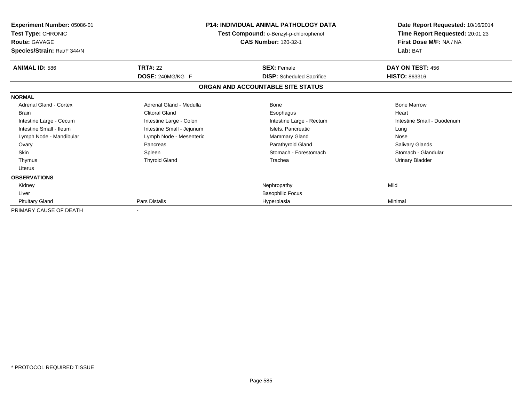| Experiment Number: 05086-01<br>Test Type: CHRONIC<br><b>Route: GAVAGE</b><br>Species/Strain: Rat/F 344/N |                           | <b>P14: INDIVIDUAL ANIMAL PATHOLOGY DATA</b><br>Test Compound: o-Benzyl-p-chlorophenol<br><b>CAS Number: 120-32-1</b> | Date Report Requested: 10/16/2014<br>Time Report Requested: 20:01:23<br>First Dose M/F: NA / NA<br>Lab: BAT |  |
|----------------------------------------------------------------------------------------------------------|---------------------------|-----------------------------------------------------------------------------------------------------------------------|-------------------------------------------------------------------------------------------------------------|--|
| <b>ANIMAL ID: 586</b>                                                                                    | <b>TRT#: 22</b>           | <b>SEX: Female</b>                                                                                                    | DAY ON TEST: 456                                                                                            |  |
|                                                                                                          | DOSE: 240MG/KG F          | <b>DISP:</b> Scheduled Sacrifice                                                                                      | <b>HISTO: 863316</b>                                                                                        |  |
|                                                                                                          |                           | ORGAN AND ACCOUNTABLE SITE STATUS                                                                                     |                                                                                                             |  |
| <b>NORMAL</b>                                                                                            |                           |                                                                                                                       |                                                                                                             |  |
| Adrenal Gland - Cortex                                                                                   | Adrenal Gland - Medulla   | Bone                                                                                                                  | <b>Bone Marrow</b>                                                                                          |  |
| <b>Brain</b>                                                                                             | <b>Clitoral Gland</b>     | Esophagus                                                                                                             | Heart                                                                                                       |  |
| Intestine Large - Cecum                                                                                  | Intestine Large - Colon   | Intestine Large - Rectum                                                                                              | Intestine Small - Duodenum                                                                                  |  |
| Intestine Small - Ileum                                                                                  | Intestine Small - Jejunum | Islets, Pancreatic                                                                                                    | Lung                                                                                                        |  |
| Lymph Node - Mandibular                                                                                  | Lymph Node - Mesenteric   | Mammary Gland                                                                                                         | Nose                                                                                                        |  |
| Ovary                                                                                                    | Pancreas                  | Parathyroid Gland                                                                                                     | Salivary Glands                                                                                             |  |
| <b>Skin</b>                                                                                              | Spleen                    | Stomach - Forestomach                                                                                                 | Stomach - Glandular                                                                                         |  |
| Thymus                                                                                                   | <b>Thyroid Gland</b>      | Trachea                                                                                                               | Urinary Bladder                                                                                             |  |
| Uterus                                                                                                   |                           |                                                                                                                       |                                                                                                             |  |
| <b>OBSERVATIONS</b>                                                                                      |                           |                                                                                                                       |                                                                                                             |  |
| Kidney                                                                                                   |                           | Nephropathy                                                                                                           | Mild                                                                                                        |  |
| Liver                                                                                                    |                           | <b>Basophilic Focus</b>                                                                                               |                                                                                                             |  |
| <b>Pituitary Gland</b>                                                                                   | Pars Distalis             | Hyperplasia                                                                                                           | Minimal                                                                                                     |  |
| PRIMARY CAUSE OF DEATH                                                                                   |                           |                                                                                                                       |                                                                                                             |  |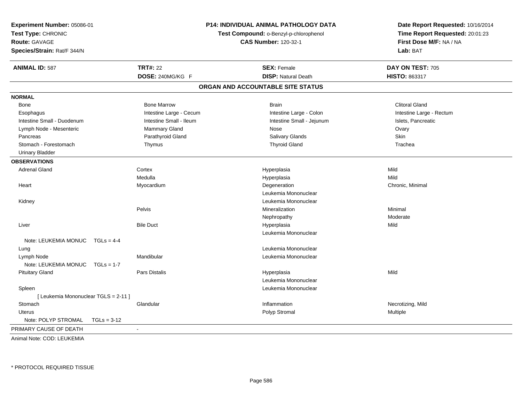| Experiment Number: 05086-01<br>Test Type: CHRONIC<br><b>Route: GAVAGE</b><br>Species/Strain: Rat/F 344/N |                          | <b>P14: INDIVIDUAL ANIMAL PATHOLOGY DATA</b><br>Test Compound: o-Benzyl-p-chlorophenol<br><b>CAS Number: 120-32-1</b> | Date Report Requested: 10/16/2014<br>Time Report Requested: 20:01:23<br>First Dose M/F: NA / NA<br>Lab: BAT |  |
|----------------------------------------------------------------------------------------------------------|--------------------------|-----------------------------------------------------------------------------------------------------------------------|-------------------------------------------------------------------------------------------------------------|--|
| <b>ANIMAL ID: 587</b>                                                                                    | <b>TRT#: 22</b>          | <b>SEX: Female</b>                                                                                                    | DAY ON TEST: 705                                                                                            |  |
|                                                                                                          | DOSE: 240MG/KG F         | <b>DISP: Natural Death</b>                                                                                            | HISTO: 863317                                                                                               |  |
|                                                                                                          |                          | ORGAN AND ACCOUNTABLE SITE STATUS                                                                                     |                                                                                                             |  |
| <b>NORMAL</b>                                                                                            |                          |                                                                                                                       |                                                                                                             |  |
| Bone                                                                                                     | <b>Bone Marrow</b>       | <b>Brain</b>                                                                                                          | <b>Clitoral Gland</b>                                                                                       |  |
| Esophagus                                                                                                | Intestine Large - Cecum  | Intestine Large - Colon                                                                                               | Intestine Large - Rectum                                                                                    |  |
| Intestine Small - Duodenum                                                                               | Intestine Small - Ileum  | Intestine Small - Jejunum                                                                                             | Islets, Pancreatic                                                                                          |  |
| Lymph Node - Mesenteric                                                                                  | Mammary Gland            | Nose                                                                                                                  | Ovary                                                                                                       |  |
| Pancreas                                                                                                 | Parathyroid Gland        | Salivary Glands                                                                                                       | <b>Skin</b>                                                                                                 |  |
| Stomach - Forestomach                                                                                    | Thymus                   | <b>Thyroid Gland</b>                                                                                                  | Trachea                                                                                                     |  |
| <b>Urinary Bladder</b>                                                                                   |                          |                                                                                                                       |                                                                                                             |  |
| <b>OBSERVATIONS</b>                                                                                      |                          |                                                                                                                       |                                                                                                             |  |
| <b>Adrenal Gland</b>                                                                                     | Cortex                   | Hyperplasia                                                                                                           | Mild                                                                                                        |  |
|                                                                                                          | Medulla                  | Hyperplasia                                                                                                           | Mild                                                                                                        |  |
| Heart                                                                                                    | Myocardium               | Degeneration                                                                                                          | Chronic, Minimal                                                                                            |  |
|                                                                                                          |                          | Leukemia Mononuclear                                                                                                  |                                                                                                             |  |
| Kidney                                                                                                   |                          | Leukemia Mononuclear                                                                                                  |                                                                                                             |  |
|                                                                                                          | Pelvis                   | Mineralization                                                                                                        | Minimal                                                                                                     |  |
|                                                                                                          |                          | Nephropathy                                                                                                           | Moderate                                                                                                    |  |
| Liver                                                                                                    | <b>Bile Duct</b>         | Hyperplasia                                                                                                           | Mild                                                                                                        |  |
|                                                                                                          |                          | Leukemia Mononuclear                                                                                                  |                                                                                                             |  |
| Note: LEUKEMIA MONUC TGLs = 4-4                                                                          |                          |                                                                                                                       |                                                                                                             |  |
| Lung                                                                                                     |                          | Leukemia Mononuclear                                                                                                  |                                                                                                             |  |
| Lymph Node                                                                                               | Mandibular               | Leukemia Mononuclear                                                                                                  |                                                                                                             |  |
| Note: LEUKEMIA MONUC<br>$TGLs = 1-7$                                                                     |                          |                                                                                                                       |                                                                                                             |  |
| <b>Pituitary Gland</b>                                                                                   | Pars Distalis            | Hyperplasia                                                                                                           | Mild                                                                                                        |  |
|                                                                                                          |                          | Leukemia Mononuclear                                                                                                  |                                                                                                             |  |
| Spleen                                                                                                   |                          | Leukemia Mononuclear                                                                                                  |                                                                                                             |  |
| [ Leukemia Mononuclear TGLS = 2-11 ]                                                                     |                          |                                                                                                                       |                                                                                                             |  |
| Stomach                                                                                                  | Glandular                | Inflammation                                                                                                          | Necrotizing, Mild                                                                                           |  |
| Uterus                                                                                                   |                          | Polyp Stromal                                                                                                         | Multiple                                                                                                    |  |
| Note: POLYP STROMAL<br>$TGLs = 3-12$                                                                     |                          |                                                                                                                       |                                                                                                             |  |
| PRIMARY CAUSE OF DEATH                                                                                   | $\overline{\phantom{a}}$ |                                                                                                                       |                                                                                                             |  |

Animal Note: COD: LEUKEMIA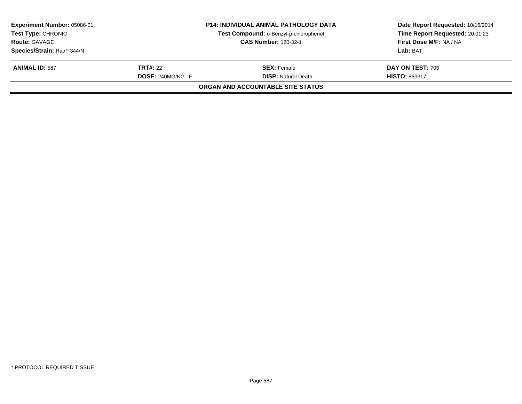| <b>Experiment Number: 05086-01</b> |                         | <b>P14: INDIVIDUAL ANIMAL PATHOLOGY DATA</b> | Date Report Requested: 10/16/2014 |  |
|------------------------------------|-------------------------|----------------------------------------------|-----------------------------------|--|
| <b>Test Type: CHRONIC</b>          |                         | Test Compound: o-Benzyl-p-chlorophenol       | Time Report Requested: 20:01:23   |  |
| <b>Route: GAVAGE</b>               |                         | <b>CAS Number: 120-32-1</b>                  | First Dose M/F: NA / NA           |  |
| Species/Strain: Rat/F 344/N        |                         |                                              | Lab: BAT                          |  |
| <b>ANIMAL ID: 587</b>              | <b>TRT#: 22</b>         | <b>SEX: Female</b>                           | <b>DAY ON TEST: 705</b>           |  |
|                                    | <b>DOSE: 240MG/KG F</b> | <b>DISP: Natural Death</b>                   | <b>HISTO: 863317</b>              |  |
|                                    |                         | ORGAN AND ACCOUNTABLE SITE STATUS            |                                   |  |
|                                    |                         |                                              |                                   |  |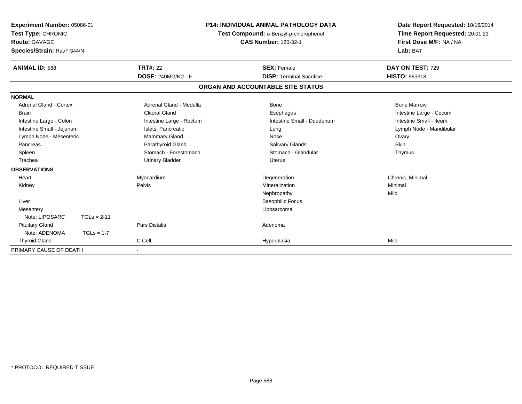| Test Type: CHRONIC<br><b>Route: GAVAGE</b> | <b>P14: INDIVIDUAL ANIMAL PATHOLOGY DATA</b><br>Experiment Number: 05086-01<br>Test Compound: o-Benzyl-p-chlorophenol<br><b>CAS Number: 120-32-1</b><br>Species/Strain: Rat/F 344/N |                          | Date Report Requested: 10/16/2014<br>Time Report Requested: 20:01:23<br>First Dose M/F: NA / NA<br>Lab: BAT |                         |
|--------------------------------------------|-------------------------------------------------------------------------------------------------------------------------------------------------------------------------------------|--------------------------|-------------------------------------------------------------------------------------------------------------|-------------------------|
| <b>ANIMAL ID: 588</b>                      |                                                                                                                                                                                     | <b>TRT#: 22</b>          | <b>SEX: Female</b>                                                                                          | DAY ON TEST: 729        |
|                                            |                                                                                                                                                                                     | DOSE: 240MG/KG F         | <b>DISP: Terminal Sacrifice</b>                                                                             | HISTO: 863318           |
|                                            |                                                                                                                                                                                     |                          | ORGAN AND ACCOUNTABLE SITE STATUS                                                                           |                         |
| <b>NORMAL</b>                              |                                                                                                                                                                                     |                          |                                                                                                             |                         |
| <b>Adrenal Gland - Cortex</b>              |                                                                                                                                                                                     | Adrenal Gland - Medulla  | <b>Bone</b>                                                                                                 | <b>Bone Marrow</b>      |
| <b>Brain</b>                               |                                                                                                                                                                                     | <b>Clitoral Gland</b>    | Esophagus                                                                                                   | Intestine Large - Cecum |
| Intestine Large - Colon                    |                                                                                                                                                                                     | Intestine Large - Rectum | Intestine Small - Duodenum                                                                                  | Intestine Small - Ileum |
| Intestine Small - Jejunum                  |                                                                                                                                                                                     | Islets, Pancreatic       | Lung                                                                                                        | Lymph Node - Mandibular |
| Lymph Node - Mesenteric                    |                                                                                                                                                                                     | <b>Mammary Gland</b>     | Nose                                                                                                        | Ovary                   |
| Pancreas                                   |                                                                                                                                                                                     | Parathyroid Gland        | <b>Salivary Glands</b>                                                                                      | Skin                    |
| Spleen                                     |                                                                                                                                                                                     | Stomach - Forestomach    | Stomach - Glandular                                                                                         | Thymus                  |
| Trachea                                    |                                                                                                                                                                                     | <b>Urinary Bladder</b>   | <b>Uterus</b>                                                                                               |                         |
| <b>OBSERVATIONS</b>                        |                                                                                                                                                                                     |                          |                                                                                                             |                         |
| Heart                                      |                                                                                                                                                                                     | Myocardium               | Degeneration                                                                                                | Chronic, Minimal        |
| Kidney                                     |                                                                                                                                                                                     | Pelvis                   | Mineralization                                                                                              | Minimal                 |
|                                            |                                                                                                                                                                                     |                          | Nephropathy                                                                                                 | Mild                    |
| Liver                                      |                                                                                                                                                                                     |                          | <b>Basophilic Focus</b>                                                                                     |                         |
| Mesentery                                  |                                                                                                                                                                                     |                          | Liposarcoma                                                                                                 |                         |
| Note: LIPOSARC                             | $TGLs = 2-11$                                                                                                                                                                       |                          |                                                                                                             |                         |
| <b>Pituitary Gland</b>                     |                                                                                                                                                                                     | <b>Pars Distalis</b>     | Adenoma                                                                                                     |                         |
| Note: ADENOMA                              | $TGLs = 1-7$                                                                                                                                                                        |                          |                                                                                                             |                         |
| <b>Thyroid Gland</b>                       |                                                                                                                                                                                     | C Cell                   | Hyperplasia                                                                                                 | Mild                    |
| PRIMARY CAUSE OF DEATH                     |                                                                                                                                                                                     |                          |                                                                                                             |                         |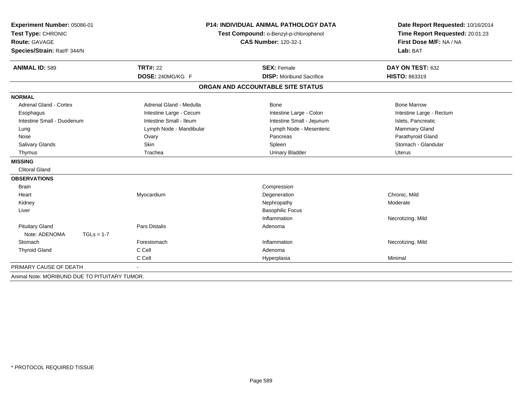| Experiment Number: 05086-01                   | P14: INDIVIDUAL ANIMAL PATHOLOGY DATA<br>Test Compound: o-Benzyl-p-chlorophenol<br><b>CAS Number: 120-32-1</b> |                                   | Date Report Requested: 10/16/2014 |
|-----------------------------------------------|----------------------------------------------------------------------------------------------------------------|-----------------------------------|-----------------------------------|
| Test Type: CHRONIC                            |                                                                                                                |                                   | Time Report Requested: 20:01:23   |
| <b>Route: GAVAGE</b>                          |                                                                                                                |                                   | First Dose M/F: NA / NA           |
| Species/Strain: Rat/F 344/N                   |                                                                                                                |                                   | Lab: BAT                          |
| <b>ANIMAL ID: 589</b>                         | <b>TRT#: 22</b>                                                                                                | <b>SEX: Female</b>                | DAY ON TEST: 632                  |
|                                               | DOSE: 240MG/KG F                                                                                               | <b>DISP:</b> Moribund Sacrifice   | <b>HISTO: 863319</b>              |
|                                               |                                                                                                                | ORGAN AND ACCOUNTABLE SITE STATUS |                                   |
| <b>NORMAL</b>                                 |                                                                                                                |                                   |                                   |
| <b>Adrenal Gland - Cortex</b>                 | Adrenal Gland - Medulla                                                                                        | Bone                              | <b>Bone Marrow</b>                |
| Esophagus                                     | Intestine Large - Cecum                                                                                        | Intestine Large - Colon           | Intestine Large - Rectum          |
| Intestine Small - Duodenum                    | Intestine Small - Ileum                                                                                        | Intestine Small - Jejunum         | Islets, Pancreatic                |
| Lung                                          | Lymph Node - Mandibular                                                                                        | Lymph Node - Mesenteric           | Mammary Gland                     |
| Nose                                          | Ovary                                                                                                          | Pancreas                          | Parathyroid Gland                 |
| <b>Salivary Glands</b>                        | <b>Skin</b>                                                                                                    | Spleen                            | Stomach - Glandular               |
| Thymus                                        | Trachea                                                                                                        | <b>Urinary Bladder</b>            | Uterus                            |
| <b>MISSING</b>                                |                                                                                                                |                                   |                                   |
| <b>Clitoral Gland</b>                         |                                                                                                                |                                   |                                   |
| <b>OBSERVATIONS</b>                           |                                                                                                                |                                   |                                   |
| <b>Brain</b>                                  |                                                                                                                | Compression                       |                                   |
| Heart                                         | Myocardium                                                                                                     | Degeneration                      | Chronic. Mild                     |
| Kidney                                        |                                                                                                                | Nephropathy                       | Moderate                          |
| Liver                                         |                                                                                                                | <b>Basophilic Focus</b>           |                                   |
|                                               |                                                                                                                | Inflammation                      | Necrotizing, Mild                 |
| <b>Pituitary Gland</b>                        | <b>Pars Distalis</b>                                                                                           | Adenoma                           |                                   |
| Note: ADENOMA<br>$TGLs = 1-7$                 |                                                                                                                |                                   |                                   |
| Stomach                                       | Forestomach                                                                                                    | Inflammation                      | Necrotizing, Mild                 |
| <b>Thyroid Gland</b>                          | C Cell                                                                                                         | Adenoma                           |                                   |
|                                               | C Cell                                                                                                         | Hyperplasia                       | Minimal                           |
| PRIMARY CAUSE OF DEATH                        |                                                                                                                |                                   |                                   |
| Animal Note: MORIBUND DUE TO PITUITARY TUMOR. |                                                                                                                |                                   |                                   |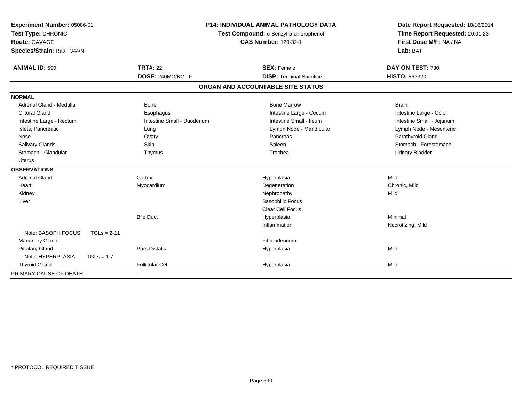| Experiment Number: 05086-01<br>Test Type: CHRONIC<br><b>Route: GAVAGE</b><br>Species/Strain: Rat/F 344/N | P14: INDIVIDUAL ANIMAL PATHOLOGY DATA<br>Test Compound: o-Benzyl-p-chlorophenol<br><b>CAS Number: 120-32-1</b> |                                   | Date Report Requested: 10/16/2014<br>Time Report Requested: 20:01:23<br>First Dose M/F: NA / NA<br>Lab: BAT |  |
|----------------------------------------------------------------------------------------------------------|----------------------------------------------------------------------------------------------------------------|-----------------------------------|-------------------------------------------------------------------------------------------------------------|--|
| <b>ANIMAL ID: 590</b>                                                                                    | <b>TRT#: 22</b>                                                                                                | <b>SEX: Female</b>                | DAY ON TEST: 730                                                                                            |  |
|                                                                                                          | DOSE: 240MG/KG F                                                                                               | <b>DISP: Terminal Sacrifice</b>   | HISTO: 863320                                                                                               |  |
|                                                                                                          |                                                                                                                | ORGAN AND ACCOUNTABLE SITE STATUS |                                                                                                             |  |
| <b>NORMAL</b>                                                                                            |                                                                                                                |                                   |                                                                                                             |  |
| Adrenal Gland - Medulla                                                                                  | <b>Bone</b>                                                                                                    | <b>Bone Marrow</b>                | <b>Brain</b>                                                                                                |  |
| <b>Clitoral Gland</b>                                                                                    | Esophagus                                                                                                      | Intestine Large - Cecum           | Intestine Large - Colon                                                                                     |  |
| Intestine Large - Rectum                                                                                 | Intestine Small - Duodenum                                                                                     | Intestine Small - Ileum           | Intestine Small - Jejunum                                                                                   |  |
| Islets, Pancreatic                                                                                       | Lung                                                                                                           | Lymph Node - Mandibular           | Lymph Node - Mesenteric                                                                                     |  |
| Nose                                                                                                     | Ovary                                                                                                          | Pancreas                          | Parathyroid Gland                                                                                           |  |
| Salivary Glands                                                                                          | Skin                                                                                                           | Spleen                            | Stomach - Forestomach                                                                                       |  |
| Stomach - Glandular                                                                                      | Thymus                                                                                                         | Trachea                           | <b>Urinary Bladder</b>                                                                                      |  |
| <b>Uterus</b>                                                                                            |                                                                                                                |                                   |                                                                                                             |  |
| <b>OBSERVATIONS</b>                                                                                      |                                                                                                                |                                   |                                                                                                             |  |
| <b>Adrenal Gland</b>                                                                                     | Cortex                                                                                                         | Hyperplasia                       | Mild                                                                                                        |  |
| Heart                                                                                                    | Myocardium                                                                                                     | Degeneration                      | Chronic, Mild                                                                                               |  |
| Kidney                                                                                                   |                                                                                                                | Nephropathy                       | Mild                                                                                                        |  |
| Liver                                                                                                    |                                                                                                                | <b>Basophilic Focus</b>           |                                                                                                             |  |
|                                                                                                          |                                                                                                                | Clear Cell Focus                  |                                                                                                             |  |
|                                                                                                          | <b>Bile Duct</b>                                                                                               | Hyperplasia                       | Minimal                                                                                                     |  |
|                                                                                                          |                                                                                                                | Inflammation                      | Necrotizing, Mild                                                                                           |  |
| Note: BASOPH FOCUS<br>$TGLs = 2-11$                                                                      |                                                                                                                |                                   |                                                                                                             |  |
| Mammary Gland                                                                                            |                                                                                                                | Fibroadenoma                      |                                                                                                             |  |
| <b>Pituitary Gland</b>                                                                                   | Pars Distalis                                                                                                  | Hyperplasia                       | Mild                                                                                                        |  |
| Note: HYPERPLASIA<br>$TGLs = 1-7$                                                                        |                                                                                                                |                                   |                                                                                                             |  |
| <b>Thyroid Gland</b>                                                                                     | <b>Follicular Cel</b>                                                                                          | Hyperplasia                       | Mild                                                                                                        |  |
| PRIMARY CAUSE OF DEATH                                                                                   |                                                                                                                |                                   |                                                                                                             |  |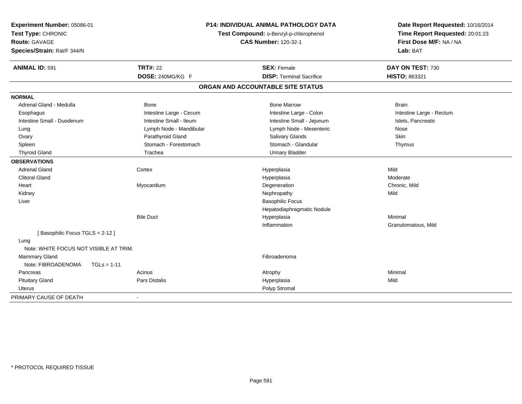| Experiment Number: 05086-01<br>Test Type: CHRONIC<br><b>Route: GAVAGE</b><br>Species/Strain: Rat/F 344/N |                         | <b>P14: INDIVIDUAL ANIMAL PATHOLOGY DATA</b><br>Test Compound: o-Benzyl-p-chlorophenol<br><b>CAS Number: 120-32-1</b> | Date Report Requested: 10/16/2014<br>Time Report Requested: 20:01:23<br>First Dose M/F: NA / NA<br>Lab: BAT |  |
|----------------------------------------------------------------------------------------------------------|-------------------------|-----------------------------------------------------------------------------------------------------------------------|-------------------------------------------------------------------------------------------------------------|--|
| <b>ANIMAL ID: 591</b>                                                                                    | <b>TRT#: 22</b>         | <b>SEX: Female</b>                                                                                                    | DAY ON TEST: 730                                                                                            |  |
|                                                                                                          | DOSE: 240MG/KG F        | <b>DISP: Terminal Sacrifice</b>                                                                                       | HISTO: 863321                                                                                               |  |
|                                                                                                          |                         | ORGAN AND ACCOUNTABLE SITE STATUS                                                                                     |                                                                                                             |  |
| <b>NORMAL</b>                                                                                            |                         |                                                                                                                       |                                                                                                             |  |
| Adrenal Gland - Medulla                                                                                  | <b>Bone</b>             | <b>Bone Marrow</b>                                                                                                    | <b>Brain</b>                                                                                                |  |
| Esophagus                                                                                                | Intestine Large - Cecum | Intestine Large - Colon                                                                                               | Intestine Large - Rectum                                                                                    |  |
| Intestine Small - Duodenum                                                                               | Intestine Small - Ileum | Intestine Small - Jejunum                                                                                             | Islets, Pancreatic                                                                                          |  |
| Lung                                                                                                     | Lymph Node - Mandibular | Lymph Node - Mesenteric                                                                                               | Nose                                                                                                        |  |
| Ovary                                                                                                    | Parathyroid Gland       | Salivary Glands                                                                                                       | <b>Skin</b>                                                                                                 |  |
| Spleen                                                                                                   | Stomach - Forestomach   | Stomach - Glandular                                                                                                   | Thymus                                                                                                      |  |
| <b>Thyroid Gland</b>                                                                                     | Trachea                 | <b>Urinary Bladder</b>                                                                                                |                                                                                                             |  |
| <b>OBSERVATIONS</b>                                                                                      |                         |                                                                                                                       |                                                                                                             |  |
| <b>Adrenal Gland</b>                                                                                     | Cortex                  | Hyperplasia                                                                                                           | Mild                                                                                                        |  |
| <b>Clitoral Gland</b>                                                                                    |                         | Hyperplasia                                                                                                           | Moderate                                                                                                    |  |
| Heart                                                                                                    | Myocardium              | Degeneration                                                                                                          | Chronic, Mild                                                                                               |  |
| Kidney                                                                                                   |                         | Nephropathy                                                                                                           | Mild                                                                                                        |  |
| Liver                                                                                                    |                         | <b>Basophilic Focus</b>                                                                                               |                                                                                                             |  |
|                                                                                                          |                         | Hepatodiaphragmatic Nodule                                                                                            |                                                                                                             |  |
|                                                                                                          | <b>Bile Duct</b>        | Hyperplasia                                                                                                           | Minimal                                                                                                     |  |
|                                                                                                          |                         | Inflammation                                                                                                          | Granulomatous, Mild                                                                                         |  |
| [Basophilic Focus TGLS = 2-12]                                                                           |                         |                                                                                                                       |                                                                                                             |  |
| Lung                                                                                                     |                         |                                                                                                                       |                                                                                                             |  |
| Note: WHITE FOCUS NOT VISIBLE AT TRIM.                                                                   |                         |                                                                                                                       |                                                                                                             |  |
| <b>Mammary Gland</b>                                                                                     |                         | Fibroadenoma                                                                                                          |                                                                                                             |  |
| Note: FIBROADENOMA<br>$TGLs = 1-11$                                                                      |                         |                                                                                                                       |                                                                                                             |  |
| Pancreas                                                                                                 | Acinus                  | Atrophy                                                                                                               | Minimal                                                                                                     |  |
| <b>Pituitary Gland</b>                                                                                   | Pars Distalis           | Hyperplasia                                                                                                           | Mild                                                                                                        |  |
| Uterus                                                                                                   |                         | Polyp Stromal                                                                                                         |                                                                                                             |  |
| PRIMARY CAUSE OF DEATH                                                                                   |                         |                                                                                                                       |                                                                                                             |  |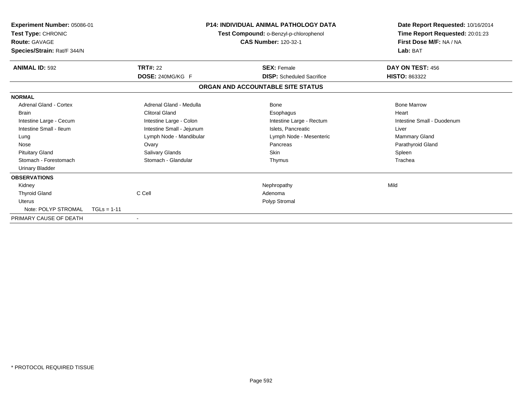| Experiment Number: 05086-01<br>Test Type: CHRONIC<br><b>Route: GAVAGE</b><br>Species/Strain: Rat/F 344/N                                                                                |                                                                                                                                                                                               | <b>P14: INDIVIDUAL ANIMAL PATHOLOGY DATA</b><br>Test Compound: o-Benzyl-p-chlorophenol<br><b>CAS Number: 120-32-1</b> |                                                                                                                                            | Date Report Requested: 10/16/2014<br>Time Report Requested: 20:01:23<br>First Dose M/F: NA / NA<br>Lab: BAT                          |
|-----------------------------------------------------------------------------------------------------------------------------------------------------------------------------------------|-----------------------------------------------------------------------------------------------------------------------------------------------------------------------------------------------|-----------------------------------------------------------------------------------------------------------------------|--------------------------------------------------------------------------------------------------------------------------------------------|--------------------------------------------------------------------------------------------------------------------------------------|
| <b>ANIMAL ID: 592</b>                                                                                                                                                                   | <b>TRT#: 22</b>                                                                                                                                                                               |                                                                                                                       | <b>SEX: Female</b><br><b>DISP:</b> Scheduled Sacrifice                                                                                     | DAY ON TEST: 456                                                                                                                     |
|                                                                                                                                                                                         | DOSE: 240MG/KG F                                                                                                                                                                              | ORGAN AND ACCOUNTABLE SITE STATUS                                                                                     |                                                                                                                                            | <b>HISTO: 863322</b>                                                                                                                 |
|                                                                                                                                                                                         |                                                                                                                                                                                               |                                                                                                                       |                                                                                                                                            |                                                                                                                                      |
| <b>NORMAL</b><br><b>Adrenal Gland - Cortex</b><br><b>Brain</b><br>Intestine Large - Cecum<br>Intestine Small - Ileum<br>Lung<br>Nose<br><b>Pituitary Gland</b><br>Stomach - Forestomach | Adrenal Gland - Medulla<br><b>Clitoral Gland</b><br>Intestine Large - Colon<br>Intestine Small - Jejunum<br>Lymph Node - Mandibular<br>Ovary<br><b>Salivary Glands</b><br>Stomach - Glandular |                                                                                                                       | <b>Bone</b><br>Esophagus<br>Intestine Large - Rectum<br>Islets. Pancreatic<br>Lymph Node - Mesenteric<br>Pancreas<br><b>Skin</b><br>Thymus | <b>Bone Marrow</b><br>Heart<br>Intestine Small - Duodenum<br>Liver<br><b>Mammary Gland</b><br>Parathyroid Gland<br>Spleen<br>Trachea |
| <b>Urinary Bladder</b><br><b>OBSERVATIONS</b><br>Kidney<br><b>Thyroid Gland</b><br><b>Uterus</b><br>Note: POLYP STROMAL                                                                 | C Cell                                                                                                                                                                                        |                                                                                                                       | Nephropathy<br>Adenoma<br>Polyp Stromal                                                                                                    | Mild                                                                                                                                 |
| PRIMARY CAUSE OF DEATH                                                                                                                                                                  | $TGLs = 1-11$                                                                                                                                                                                 |                                                                                                                       |                                                                                                                                            |                                                                                                                                      |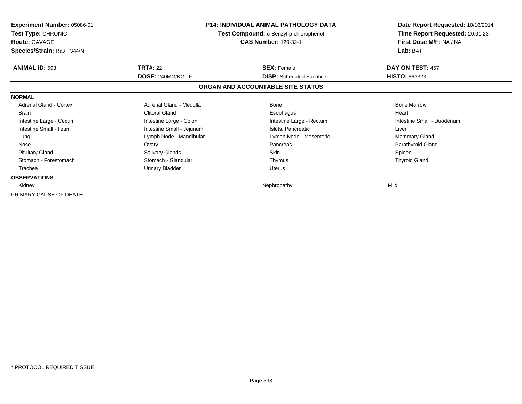| <b>Experiment Number: 05086-01</b><br><b>Test Type: CHRONIC</b><br><b>Route: GAVAGE</b><br>Species/Strain: Rat/F 344/N |                           | <b>P14: INDIVIDUAL ANIMAL PATHOLOGY DATA</b><br>Test Compound: o-Benzyl-p-chlorophenol<br>CAS Number: 120-32-1 | Date Report Requested: 10/16/2014<br>Time Report Requested: 20:01:23<br>First Dose M/F: NA / NA<br>Lab: BAT |
|------------------------------------------------------------------------------------------------------------------------|---------------------------|----------------------------------------------------------------------------------------------------------------|-------------------------------------------------------------------------------------------------------------|
| <b>ANIMAL ID: 593</b>                                                                                                  | <b>TRT#: 22</b>           | <b>SEX: Female</b>                                                                                             | DAY ON TEST: 457                                                                                            |
|                                                                                                                        | DOSE: 240MG/KG F          | <b>DISP:</b> Scheduled Sacrifice                                                                               | <b>HISTO: 863323</b>                                                                                        |
|                                                                                                                        |                           | ORGAN AND ACCOUNTABLE SITE STATUS                                                                              |                                                                                                             |
| <b>NORMAL</b>                                                                                                          |                           |                                                                                                                |                                                                                                             |
| Adrenal Gland - Cortex                                                                                                 | Adrenal Gland - Medulla   | Bone                                                                                                           | <b>Bone Marrow</b>                                                                                          |
| <b>Brain</b>                                                                                                           | <b>Clitoral Gland</b>     | Esophagus                                                                                                      | Heart                                                                                                       |
| Intestine Large - Cecum                                                                                                | Intestine Large - Colon   | Intestine Large - Rectum                                                                                       | Intestine Small - Duodenum                                                                                  |
| Intestine Small - Ileum                                                                                                | Intestine Small - Jejunum | Islets, Pancreatic                                                                                             | Liver                                                                                                       |
| Lung                                                                                                                   | Lymph Node - Mandibular   | Lymph Node - Mesenteric                                                                                        | <b>Mammary Gland</b>                                                                                        |
| Nose                                                                                                                   | Ovary                     | Pancreas                                                                                                       | Parathyroid Gland                                                                                           |
| <b>Pituitary Gland</b>                                                                                                 | Salivary Glands           | Skin                                                                                                           | Spleen                                                                                                      |
| Stomach - Forestomach                                                                                                  | Stomach - Glandular       | Thymus                                                                                                         | <b>Thyroid Gland</b>                                                                                        |
| Trachea                                                                                                                | <b>Urinary Bladder</b>    | Uterus                                                                                                         |                                                                                                             |
| <b>OBSERVATIONS</b>                                                                                                    |                           |                                                                                                                |                                                                                                             |
| Kidney                                                                                                                 |                           | Nephropathy                                                                                                    | Mild                                                                                                        |
| PRIMARY CAUSE OF DEATH                                                                                                 |                           |                                                                                                                |                                                                                                             |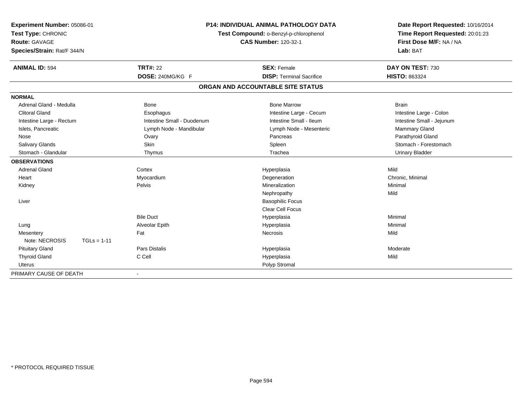| Experiment Number: 05086-01     | <b>P14: INDIVIDUAL ANIMAL PATHOLOGY DATA</b><br>Test Compound: o-Benzyl-p-chlorophenol |                                   | Date Report Requested: 10/16/2014 |
|---------------------------------|----------------------------------------------------------------------------------------|-----------------------------------|-----------------------------------|
| Test Type: CHRONIC              |                                                                                        |                                   | Time Report Requested: 20:01:23   |
| <b>Route: GAVAGE</b>            |                                                                                        | <b>CAS Number: 120-32-1</b>       | First Dose M/F: NA / NA           |
| Species/Strain: Rat/F 344/N     |                                                                                        |                                   | Lab: BAT                          |
| <b>ANIMAL ID: 594</b>           | <b>TRT#: 22</b>                                                                        | <b>SEX: Female</b>                | DAY ON TEST: 730                  |
|                                 | DOSE: 240MG/KG F                                                                       | <b>DISP: Terminal Sacrifice</b>   | HISTO: 863324                     |
|                                 |                                                                                        | ORGAN AND ACCOUNTABLE SITE STATUS |                                   |
| <b>NORMAL</b>                   |                                                                                        |                                   |                                   |
| Adrenal Gland - Medulla         | Bone                                                                                   | <b>Bone Marrow</b>                | <b>Brain</b>                      |
| <b>Clitoral Gland</b>           | Esophagus                                                                              | Intestine Large - Cecum           | Intestine Large - Colon           |
| Intestine Large - Rectum        | Intestine Small - Duodenum                                                             | Intestine Small - Ileum           | Intestine Small - Jejunum         |
| Islets, Pancreatic              | Lymph Node - Mandibular                                                                | Lymph Node - Mesenteric           | Mammary Gland                     |
| Nose                            | Ovary                                                                                  | Pancreas                          | Parathyroid Gland                 |
| Salivary Glands                 | Skin                                                                                   | Spleen                            | Stomach - Forestomach             |
| Stomach - Glandular             | Thymus                                                                                 | Trachea                           | <b>Urinary Bladder</b>            |
| <b>OBSERVATIONS</b>             |                                                                                        |                                   |                                   |
| <b>Adrenal Gland</b>            | Cortex                                                                                 | Hyperplasia                       | Mild                              |
| Heart                           | Myocardium                                                                             | Degeneration                      | Chronic, Minimal                  |
| Kidney                          | Pelvis                                                                                 | Mineralization                    | Minimal                           |
|                                 |                                                                                        | Nephropathy                       | Mild                              |
| Liver                           |                                                                                        | <b>Basophilic Focus</b>           |                                   |
|                                 |                                                                                        | <b>Clear Cell Focus</b>           |                                   |
|                                 | <b>Bile Duct</b>                                                                       | Hyperplasia                       | Minimal                           |
| Lung                            | Alveolar Epith                                                                         | Hyperplasia                       | Minimal                           |
| Mesentery                       | Fat                                                                                    | <b>Necrosis</b>                   | Mild                              |
| Note: NECROSIS<br>$TGLs = 1-11$ |                                                                                        |                                   |                                   |
| <b>Pituitary Gland</b>          | <b>Pars Distalis</b>                                                                   | Hyperplasia                       | Moderate                          |
| <b>Thyroid Gland</b>            | C Cell                                                                                 | Hyperplasia                       | Mild                              |
| <b>Uterus</b>                   |                                                                                        | Polyp Stromal                     |                                   |
| PRIMARY CAUSE OF DEATH          | $\overline{\phantom{0}}$                                                               |                                   |                                   |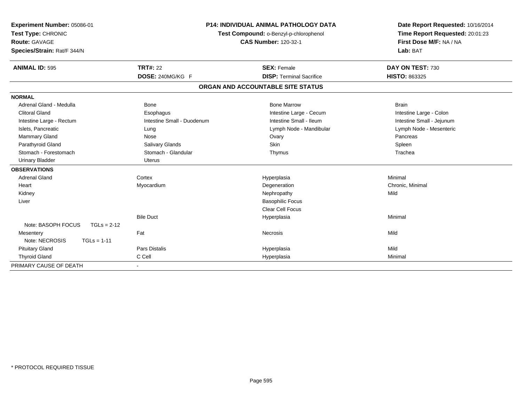| Experiment Number: 05086-01<br>Test Type: CHRONIC<br>Route: GAVAGE<br>Species/Strain: Rat/F 344/N | <b>P14: INDIVIDUAL ANIMAL PATHOLOGY DATA</b><br>Test Compound: o-Benzyl-p-chlorophenol<br><b>CAS Number: 120-32-1</b> |                                   | Date Report Requested: 10/16/2014<br>Time Report Requested: 20:01:23<br>First Dose M/F: NA / NA<br>Lab: BAT |
|---------------------------------------------------------------------------------------------------|-----------------------------------------------------------------------------------------------------------------------|-----------------------------------|-------------------------------------------------------------------------------------------------------------|
| <b>ANIMAL ID: 595</b>                                                                             | <b>TRT#: 22</b>                                                                                                       | <b>SEX: Female</b>                | DAY ON TEST: 730                                                                                            |
|                                                                                                   | DOSE: 240MG/KG F                                                                                                      | <b>DISP: Terminal Sacrifice</b>   | <b>HISTO: 863325</b>                                                                                        |
|                                                                                                   |                                                                                                                       | ORGAN AND ACCOUNTABLE SITE STATUS |                                                                                                             |
| <b>NORMAL</b>                                                                                     |                                                                                                                       |                                   |                                                                                                             |
| Adrenal Gland - Medulla                                                                           | Bone                                                                                                                  | <b>Bone Marrow</b>                | <b>Brain</b>                                                                                                |
| <b>Clitoral Gland</b>                                                                             | Esophagus                                                                                                             | Intestine Large - Cecum           | Intestine Large - Colon                                                                                     |
| Intestine Large - Rectum                                                                          | Intestine Small - Duodenum                                                                                            | Intestine Small - Ileum           | Intestine Small - Jejunum                                                                                   |
| Islets, Pancreatic                                                                                | Lung                                                                                                                  | Lymph Node - Mandibular           | Lymph Node - Mesenteric                                                                                     |
| Mammary Gland                                                                                     | Nose                                                                                                                  | Ovary                             | Pancreas                                                                                                    |
| Parathyroid Gland                                                                                 | Salivary Glands                                                                                                       | <b>Skin</b>                       | Spleen                                                                                                      |
| Stomach - Forestomach                                                                             | Stomach - Glandular                                                                                                   | Thymus                            | Trachea                                                                                                     |
| <b>Urinary Bladder</b>                                                                            | Uterus                                                                                                                |                                   |                                                                                                             |
| <b>OBSERVATIONS</b>                                                                               |                                                                                                                       |                                   |                                                                                                             |
| <b>Adrenal Gland</b>                                                                              | Cortex                                                                                                                | Hyperplasia                       | Minimal                                                                                                     |
| Heart                                                                                             | Myocardium                                                                                                            | Degeneration                      | Chronic, Minimal                                                                                            |
| Kidney                                                                                            |                                                                                                                       | Nephropathy                       | Mild                                                                                                        |
| Liver                                                                                             |                                                                                                                       | <b>Basophilic Focus</b>           |                                                                                                             |
|                                                                                                   |                                                                                                                       | <b>Clear Cell Focus</b>           |                                                                                                             |
|                                                                                                   | <b>Bile Duct</b>                                                                                                      | Hyperplasia                       | Minimal                                                                                                     |
| Note: BASOPH FOCUS<br>$TGLs = 2-12$                                                               |                                                                                                                       |                                   |                                                                                                             |
| Mesentery                                                                                         | Fat                                                                                                                   | Necrosis                          | Mild                                                                                                        |
| Note: NECROSIS<br>$TGLs = 1-11$                                                                   |                                                                                                                       |                                   |                                                                                                             |
| <b>Pituitary Gland</b>                                                                            | <b>Pars Distalis</b>                                                                                                  | Hyperplasia                       | Mild                                                                                                        |
| <b>Thyroid Gland</b>                                                                              | C Cell                                                                                                                | Hyperplasia                       | Minimal                                                                                                     |
| PRIMARY CAUSE OF DEATH                                                                            |                                                                                                                       |                                   |                                                                                                             |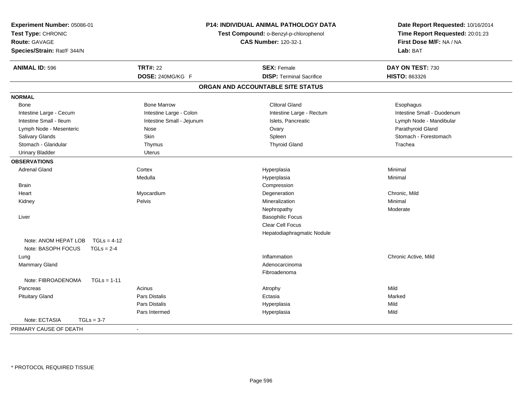| Experiment Number: 05086-01<br>Test Type: CHRONIC<br><b>Route: GAVAGE</b><br>Species/Strain: Rat/F 344/N | P14: INDIVIDUAL ANIMAL PATHOLOGY DATA<br>Test Compound: o-Benzyl-p-chlorophenol<br><b>CAS Number: 120-32-1</b> |                                   | Date Report Requested: 10/16/2014<br>Time Report Requested: 20:01:23<br>First Dose M/F: NA / NA<br>Lab: BAT |
|----------------------------------------------------------------------------------------------------------|----------------------------------------------------------------------------------------------------------------|-----------------------------------|-------------------------------------------------------------------------------------------------------------|
| <b>ANIMAL ID: 596</b>                                                                                    | <b>TRT#: 22</b>                                                                                                | <b>SEX: Female</b>                | DAY ON TEST: 730                                                                                            |
|                                                                                                          | DOSE: 240MG/KG F                                                                                               | <b>DISP: Terminal Sacrifice</b>   | HISTO: 863326                                                                                               |
|                                                                                                          |                                                                                                                | ORGAN AND ACCOUNTABLE SITE STATUS |                                                                                                             |
| <b>NORMAL</b>                                                                                            |                                                                                                                |                                   |                                                                                                             |
| Bone                                                                                                     | <b>Bone Marrow</b>                                                                                             | <b>Clitoral Gland</b>             | Esophagus                                                                                                   |
| Intestine Large - Cecum                                                                                  | Intestine Large - Colon                                                                                        | Intestine Large - Rectum          | Intestine Small - Duodenum                                                                                  |
| Intestine Small - Ileum                                                                                  | Intestine Small - Jejunum                                                                                      | Islets, Pancreatic                | Lymph Node - Mandibular                                                                                     |
| Lymph Node - Mesenteric                                                                                  | Nose                                                                                                           | Ovary                             | Parathyroid Gland                                                                                           |
| Salivary Glands                                                                                          | Skin                                                                                                           | Spleen                            | Stomach - Forestomach                                                                                       |
| Stomach - Glandular                                                                                      | Thymus                                                                                                         | <b>Thyroid Gland</b>              | Trachea                                                                                                     |
| <b>Urinary Bladder</b>                                                                                   | Uterus                                                                                                         |                                   |                                                                                                             |
| <b>OBSERVATIONS</b>                                                                                      |                                                                                                                |                                   |                                                                                                             |
| <b>Adrenal Gland</b>                                                                                     | Cortex                                                                                                         | Hyperplasia                       | Minimal                                                                                                     |
|                                                                                                          | Medulla                                                                                                        | Hyperplasia                       | Minimal                                                                                                     |
| <b>Brain</b>                                                                                             |                                                                                                                | Compression                       |                                                                                                             |
| Heart                                                                                                    | Myocardium                                                                                                     | Degeneration                      | Chronic, Mild                                                                                               |
| Kidney                                                                                                   | Pelvis                                                                                                         | Mineralization                    | Minimal                                                                                                     |
|                                                                                                          |                                                                                                                | Nephropathy                       | Moderate                                                                                                    |
| Liver                                                                                                    |                                                                                                                | <b>Basophilic Focus</b>           |                                                                                                             |
|                                                                                                          |                                                                                                                | Clear Cell Focus                  |                                                                                                             |
|                                                                                                          |                                                                                                                | Hepatodiaphragmatic Nodule        |                                                                                                             |
| Note: ANOM HEPAT LOB<br>$TGLs = 4-12$                                                                    |                                                                                                                |                                   |                                                                                                             |
| Note: BASOPH FOCUS<br>$TGLs = 2-4$                                                                       |                                                                                                                |                                   |                                                                                                             |
| Lung                                                                                                     |                                                                                                                | Inflammation                      | Chronic Active, Mild                                                                                        |
| Mammary Gland                                                                                            |                                                                                                                | Adenocarcinoma                    |                                                                                                             |
|                                                                                                          |                                                                                                                | Fibroadenoma                      |                                                                                                             |
| Note: FIBROADENOMA<br>$TGLs = 1-11$                                                                      |                                                                                                                |                                   |                                                                                                             |
| Pancreas                                                                                                 | Acinus                                                                                                         | Atrophy                           | Mild                                                                                                        |
| <b>Pituitary Gland</b>                                                                                   | Pars Distalis                                                                                                  | Ectasia                           | Marked                                                                                                      |
|                                                                                                          | Pars Distalis                                                                                                  | Hyperplasia                       | Mild                                                                                                        |
|                                                                                                          | Pars Intermed                                                                                                  | Hyperplasia                       | Mild                                                                                                        |
| Note: ECTASIA<br>$TGLs = 3-7$                                                                            |                                                                                                                |                                   |                                                                                                             |
| PRIMARY CAUSE OF DEATH                                                                                   | $\sim$                                                                                                         |                                   |                                                                                                             |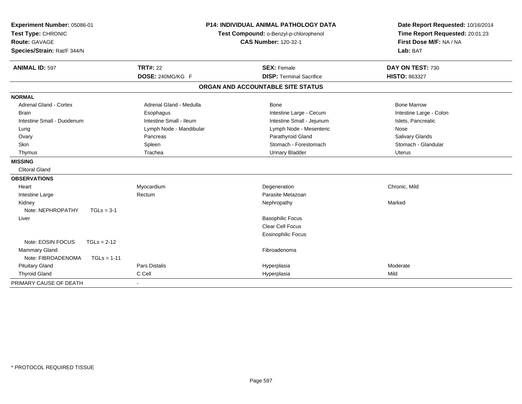| Experiment Number: 05086-01         |                         | <b>P14: INDIVIDUAL ANIMAL PATHOLOGY DATA</b> | Date Report Requested: 10/16/2014                          |  |
|-------------------------------------|-------------------------|----------------------------------------------|------------------------------------------------------------|--|
| Test Type: CHRONIC                  |                         | Test Compound: o-Benzyl-p-chlorophenol       | Time Report Requested: 20:01:23<br>First Dose M/F: NA / NA |  |
| <b>Route: GAVAGE</b>                |                         | <b>CAS Number: 120-32-1</b>                  |                                                            |  |
| Species/Strain: Rat/F 344/N         |                         |                                              | Lab: BAT                                                   |  |
| <b>ANIMAL ID: 597</b>               | <b>TRT#: 22</b>         | <b>SEX: Female</b>                           | DAY ON TEST: 730                                           |  |
|                                     | DOSE: 240MG/KG F        | <b>DISP: Terminal Sacrifice</b>              | HISTO: 863327                                              |  |
|                                     |                         | ORGAN AND ACCOUNTABLE SITE STATUS            |                                                            |  |
| <b>NORMAL</b>                       |                         |                                              |                                                            |  |
| <b>Adrenal Gland - Cortex</b>       | Adrenal Gland - Medulla | Bone                                         | <b>Bone Marrow</b>                                         |  |
| <b>Brain</b>                        | Esophagus               | Intestine Large - Cecum                      | Intestine Large - Colon                                    |  |
| Intestine Small - Duodenum          | Intestine Small - Ileum | Intestine Small - Jejunum                    | Islets, Pancreatic                                         |  |
| Lung                                | Lymph Node - Mandibular | Lymph Node - Mesenteric                      | Nose                                                       |  |
| Ovary                               | Pancreas                | Parathyroid Gland                            | Salivary Glands                                            |  |
| Skin                                | Spleen                  | Stomach - Forestomach                        | Stomach - Glandular                                        |  |
| Thymus                              | Trachea                 | <b>Urinary Bladder</b>                       | <b>Uterus</b>                                              |  |
| <b>MISSING</b>                      |                         |                                              |                                                            |  |
| <b>Clitoral Gland</b>               |                         |                                              |                                                            |  |
| <b>OBSERVATIONS</b>                 |                         |                                              |                                                            |  |
| Heart                               | Myocardium              | Degeneration                                 | Chronic, Mild                                              |  |
| Intestine Large                     | Rectum                  | Parasite Metazoan                            |                                                            |  |
| Kidney                              |                         | Nephropathy                                  | Marked                                                     |  |
| Note: NEPHROPATHY<br>$TGLs = 3-1$   |                         |                                              |                                                            |  |
| Liver                               |                         | <b>Basophilic Focus</b>                      |                                                            |  |
|                                     |                         | <b>Clear Cell Focus</b>                      |                                                            |  |
|                                     |                         | <b>Eosinophilic Focus</b>                    |                                                            |  |
| Note: EOSIN FOCUS<br>$TGLs = 2-12$  |                         |                                              |                                                            |  |
| Mammary Gland                       |                         | Fibroadenoma                                 |                                                            |  |
| Note: FIBROADENOMA<br>$TGLs = 1-11$ |                         |                                              |                                                            |  |
| <b>Pituitary Gland</b>              | <b>Pars Distalis</b>    | Hyperplasia                                  | Moderate                                                   |  |
| <b>Thyroid Gland</b>                | C Cell                  | Hyperplasia                                  | Mild                                                       |  |
| PRIMARY CAUSE OF DEATH              |                         |                                              |                                                            |  |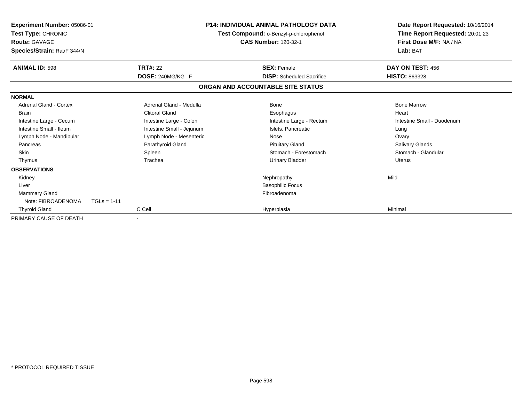| Experiment Number: 05086-01<br>Test Type: CHRONIC<br><b>Route: GAVAGE</b><br>Species/Strain: Rat/F 344/N |                           | <b>P14: INDIVIDUAL ANIMAL PATHOLOGY DATA</b><br>Test Compound: o-Benzyl-p-chlorophenol<br><b>CAS Number: 120-32-1</b> |                                  | Date Report Requested: 10/16/2014<br>Time Report Requested: 20:01:23<br>First Dose M/F: NA / NA<br>Lab: BAT |  |
|----------------------------------------------------------------------------------------------------------|---------------------------|-----------------------------------------------------------------------------------------------------------------------|----------------------------------|-------------------------------------------------------------------------------------------------------------|--|
| <b>ANIMAL ID: 598</b>                                                                                    | <b>TRT#: 22</b>           | <b>SEX: Female</b>                                                                                                    |                                  | DAY ON TEST: 456                                                                                            |  |
|                                                                                                          | DOSE: 240MG/KG F          |                                                                                                                       | <b>DISP:</b> Scheduled Sacrifice | <b>HISTO: 863328</b>                                                                                        |  |
|                                                                                                          |                           | ORGAN AND ACCOUNTABLE SITE STATUS                                                                                     |                                  |                                                                                                             |  |
| <b>NORMAL</b>                                                                                            |                           |                                                                                                                       |                                  |                                                                                                             |  |
| Adrenal Gland - Cortex                                                                                   | Adrenal Gland - Medulla   | Bone                                                                                                                  |                                  | <b>Bone Marrow</b>                                                                                          |  |
| <b>Brain</b>                                                                                             | Clitoral Gland            | Esophagus                                                                                                             |                                  | Heart                                                                                                       |  |
| Intestine Large - Cecum                                                                                  | Intestine Large - Colon   |                                                                                                                       | Intestine Large - Rectum         | Intestine Small - Duodenum                                                                                  |  |
| Intestine Small - Ileum                                                                                  | Intestine Small - Jejunum | Islets. Pancreatic                                                                                                    |                                  | Lung                                                                                                        |  |
| Lymph Node - Mandibular                                                                                  | Lymph Node - Mesenteric   | Nose                                                                                                                  |                                  | Ovary                                                                                                       |  |
| Pancreas                                                                                                 | Parathyroid Gland         | <b>Pituitary Gland</b>                                                                                                |                                  | <b>Salivary Glands</b>                                                                                      |  |
| <b>Skin</b>                                                                                              | Spleen                    |                                                                                                                       | Stomach - Forestomach            | Stomach - Glandular                                                                                         |  |
| Thymus                                                                                                   | Trachea                   | <b>Urinary Bladder</b>                                                                                                |                                  | Uterus                                                                                                      |  |
| <b>OBSERVATIONS</b>                                                                                      |                           |                                                                                                                       |                                  |                                                                                                             |  |
| Kidney                                                                                                   |                           | Nephropathy                                                                                                           |                                  | Mild                                                                                                        |  |
| Liver                                                                                                    |                           | <b>Basophilic Focus</b>                                                                                               |                                  |                                                                                                             |  |
| <b>Mammary Gland</b>                                                                                     |                           | Fibroadenoma                                                                                                          |                                  |                                                                                                             |  |
| Note: FIBROADENOMA                                                                                       | $TGLs = 1-11$             |                                                                                                                       |                                  |                                                                                                             |  |
| <b>Thyroid Gland</b>                                                                                     | C Cell                    | Hyperplasia                                                                                                           |                                  | Minimal                                                                                                     |  |
| PRIMARY CAUSE OF DEATH                                                                                   |                           |                                                                                                                       |                                  |                                                                                                             |  |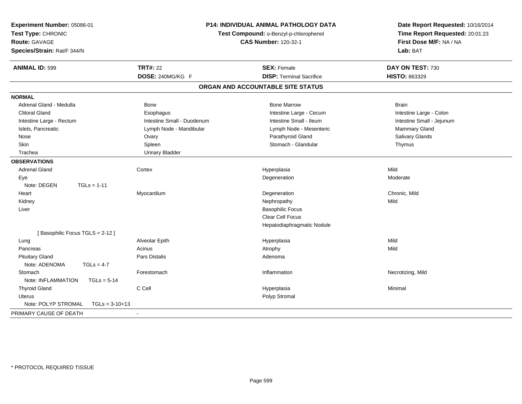| Experiment Number: 05086-01<br>Test Type: CHRONIC<br><b>Route: GAVAGE</b><br>Species/Strain: Rat/F 344/N |                            | P14: INDIVIDUAL ANIMAL PATHOLOGY DATA<br>Test Compound: o-Benzyl-p-chlorophenol<br><b>CAS Number: 120-32-1</b> | Date Report Requested: 10/16/2014<br>Time Report Requested: 20:01:23<br>First Dose M/F: NA / NA<br>Lab: BAT |
|----------------------------------------------------------------------------------------------------------|----------------------------|----------------------------------------------------------------------------------------------------------------|-------------------------------------------------------------------------------------------------------------|
| <b>ANIMAL ID: 599</b>                                                                                    | <b>TRT#: 22</b>            | <b>SEX: Female</b>                                                                                             | DAY ON TEST: 730                                                                                            |
|                                                                                                          | DOSE: 240MG/KG F           | <b>DISP: Terminal Sacrifice</b>                                                                                | HISTO: 863329                                                                                               |
|                                                                                                          |                            | ORGAN AND ACCOUNTABLE SITE STATUS                                                                              |                                                                                                             |
| <b>NORMAL</b>                                                                                            |                            |                                                                                                                |                                                                                                             |
| Adrenal Gland - Medulla                                                                                  | Bone                       | <b>Bone Marrow</b>                                                                                             | <b>Brain</b>                                                                                                |
| <b>Clitoral Gland</b>                                                                                    | Esophagus                  | Intestine Large - Cecum                                                                                        | Intestine Large - Colon                                                                                     |
| Intestine Large - Rectum                                                                                 | Intestine Small - Duodenum | Intestine Small - Ileum                                                                                        | Intestine Small - Jejunum                                                                                   |
| Islets, Pancreatic                                                                                       | Lymph Node - Mandibular    | Lymph Node - Mesenteric                                                                                        | Mammary Gland                                                                                               |
| Nose                                                                                                     | Ovary                      | Parathyroid Gland                                                                                              | Salivary Glands                                                                                             |
| Skin                                                                                                     | Spleen                     | Stomach - Glandular                                                                                            | Thymus                                                                                                      |
| Trachea                                                                                                  | <b>Urinary Bladder</b>     |                                                                                                                |                                                                                                             |
| <b>OBSERVATIONS</b>                                                                                      |                            |                                                                                                                |                                                                                                             |
| <b>Adrenal Gland</b>                                                                                     | Cortex                     | Hyperplasia                                                                                                    | Mild                                                                                                        |
| Eye                                                                                                      |                            | Degeneration                                                                                                   | Moderate                                                                                                    |
| Note: DEGEN<br>$TGLs = 1-11$                                                                             |                            |                                                                                                                |                                                                                                             |
| Heart                                                                                                    | Myocardium                 | Degeneration                                                                                                   | Chronic, Mild                                                                                               |
| Kidney                                                                                                   |                            | Nephropathy                                                                                                    | Mild                                                                                                        |
| Liver                                                                                                    |                            | <b>Basophilic Focus</b>                                                                                        |                                                                                                             |
|                                                                                                          |                            | Clear Cell Focus                                                                                               |                                                                                                             |
|                                                                                                          |                            | Hepatodiaphragmatic Nodule                                                                                     |                                                                                                             |
| [Basophilic Focus TGLS = 2-12]                                                                           |                            |                                                                                                                |                                                                                                             |
| Lung                                                                                                     | Alveolar Epith             | Hyperplasia                                                                                                    | Mild                                                                                                        |
| Pancreas                                                                                                 | Acinus                     | Atrophy                                                                                                        | Mild                                                                                                        |
| <b>Pituitary Gland</b>                                                                                   | Pars Distalis              | Adenoma                                                                                                        |                                                                                                             |
| Note: ADENOMA<br>$TGLs = 4-7$                                                                            |                            |                                                                                                                |                                                                                                             |
| Stomach                                                                                                  | Forestomach                | Inflammation                                                                                                   | Necrotizing, Mild                                                                                           |
| Note: INFLAMMATION<br>$TGLs = 5-14$                                                                      |                            |                                                                                                                |                                                                                                             |
| <b>Thyroid Gland</b>                                                                                     | C Cell                     | Hyperplasia                                                                                                    | Minimal                                                                                                     |
| Uterus                                                                                                   |                            | Polyp Stromal                                                                                                  |                                                                                                             |
| Note: POLYP STROMAL<br>$TGLs = 3-10+13$                                                                  |                            |                                                                                                                |                                                                                                             |
| PRIMARY CAUSE OF DEATH                                                                                   | $\sim$                     |                                                                                                                |                                                                                                             |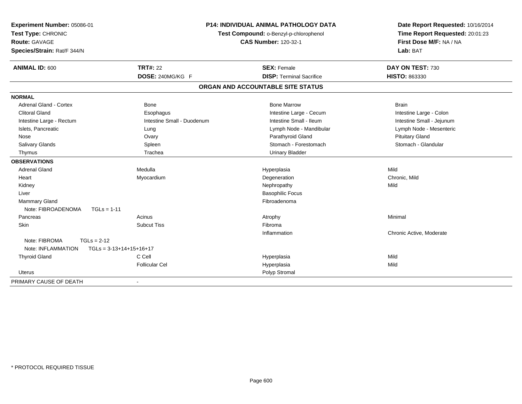| Experiment Number: 05086-01<br>Test Type: CHRONIC<br><b>Route: GAVAGE</b><br>Species/Strain: Rat/F 344/N | <b>P14: INDIVIDUAL ANIMAL PATHOLOGY DATA</b><br>Test Compound: o-Benzyl-p-chlorophenol<br><b>CAS Number: 120-32-1</b> |                                   | Date Report Requested: 10/16/2014<br>Time Report Requested: 20:01:23<br>First Dose M/F: NA / NA<br>Lab: BAT |  |
|----------------------------------------------------------------------------------------------------------|-----------------------------------------------------------------------------------------------------------------------|-----------------------------------|-------------------------------------------------------------------------------------------------------------|--|
|                                                                                                          |                                                                                                                       |                                   |                                                                                                             |  |
| <b>ANIMAL ID: 600</b>                                                                                    | <b>TRT#: 22</b>                                                                                                       | <b>SEX: Female</b>                | DAY ON TEST: 730                                                                                            |  |
|                                                                                                          | DOSE: 240MG/KG F                                                                                                      | <b>DISP: Terminal Sacrifice</b>   | HISTO: 863330                                                                                               |  |
|                                                                                                          |                                                                                                                       | ORGAN AND ACCOUNTABLE SITE STATUS |                                                                                                             |  |
| <b>NORMAL</b>                                                                                            |                                                                                                                       |                                   |                                                                                                             |  |
| <b>Adrenal Gland - Cortex</b>                                                                            | <b>Bone</b>                                                                                                           | <b>Bone Marrow</b>                | <b>Brain</b>                                                                                                |  |
| <b>Clitoral Gland</b>                                                                                    | Esophagus                                                                                                             | Intestine Large - Cecum           | Intestine Large - Colon                                                                                     |  |
| Intestine Large - Rectum                                                                                 | Intestine Small - Duodenum                                                                                            | Intestine Small - Ileum           | Intestine Small - Jejunum                                                                                   |  |
| Islets, Pancreatic                                                                                       | Lung                                                                                                                  | Lymph Node - Mandibular           | Lymph Node - Mesenteric                                                                                     |  |
| Nose                                                                                                     | Ovary                                                                                                                 | Parathyroid Gland                 | <b>Pituitary Gland</b>                                                                                      |  |
| Salivary Glands                                                                                          | Spleen                                                                                                                | Stomach - Forestomach             | Stomach - Glandular                                                                                         |  |
| Thymus                                                                                                   | Trachea                                                                                                               | <b>Urinary Bladder</b>            |                                                                                                             |  |
| <b>OBSERVATIONS</b>                                                                                      |                                                                                                                       |                                   |                                                                                                             |  |
| <b>Adrenal Gland</b>                                                                                     | Medulla                                                                                                               | Hyperplasia                       | Mild                                                                                                        |  |
| Heart                                                                                                    | Myocardium                                                                                                            | Degeneration                      | Chronic, Mild                                                                                               |  |
| Kidney                                                                                                   |                                                                                                                       | Nephropathy                       | Mild                                                                                                        |  |
| Liver                                                                                                    |                                                                                                                       | <b>Basophilic Focus</b>           |                                                                                                             |  |
| Mammary Gland                                                                                            |                                                                                                                       | Fibroadenoma                      |                                                                                                             |  |
| Note: FIBROADENOMA<br>$TGLs = 1-11$                                                                      |                                                                                                                       |                                   |                                                                                                             |  |
| Pancreas                                                                                                 | Acinus                                                                                                                | Atrophy                           | Minimal                                                                                                     |  |
| Skin                                                                                                     | <b>Subcut Tiss</b>                                                                                                    | Fibroma                           |                                                                                                             |  |
|                                                                                                          |                                                                                                                       | Inflammation                      | Chronic Active, Moderate                                                                                    |  |
| Note: FIBROMA<br>$TGLs = 2-12$                                                                           |                                                                                                                       |                                   |                                                                                                             |  |
| Note: INFLAMMATION                                                                                       | $TGLs = 3-13+14+15+16+17$                                                                                             |                                   |                                                                                                             |  |
| <b>Thyroid Gland</b>                                                                                     | C Cell                                                                                                                | Hyperplasia                       | Mild                                                                                                        |  |
|                                                                                                          | <b>Follicular Cel</b>                                                                                                 | Hyperplasia                       | Mild                                                                                                        |  |
| Uterus                                                                                                   |                                                                                                                       | Polyp Stromal                     |                                                                                                             |  |
| PRIMARY CAUSE OF DEATH                                                                                   |                                                                                                                       |                                   |                                                                                                             |  |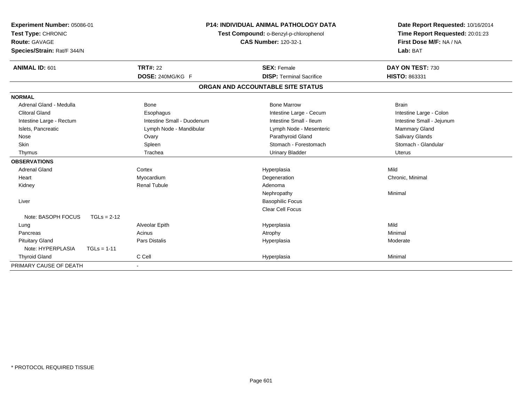| Experiment Number: 05086-01<br>Test Type: CHRONIC<br>Route: GAVAGE<br>Species/Strain: Rat/F 344/N |                            | <b>P14: INDIVIDUAL ANIMAL PATHOLOGY DATA</b><br>Test Compound: o-Benzyl-p-chlorophenol<br><b>CAS Number: 120-32-1</b> | Date Report Requested: 10/16/2014<br>Time Report Requested: 20:01:23<br>First Dose M/F: NA / NA<br>Lab: BAT |
|---------------------------------------------------------------------------------------------------|----------------------------|-----------------------------------------------------------------------------------------------------------------------|-------------------------------------------------------------------------------------------------------------|
| <b>ANIMAL ID: 601</b>                                                                             | <b>TRT#: 22</b>            | <b>SEX: Female</b>                                                                                                    | DAY ON TEST: 730                                                                                            |
|                                                                                                   | DOSE: 240MG/KG F           | <b>DISP: Terminal Sacrifice</b>                                                                                       | HISTO: 863331                                                                                               |
|                                                                                                   |                            | ORGAN AND ACCOUNTABLE SITE STATUS                                                                                     |                                                                                                             |
| <b>NORMAL</b>                                                                                     |                            |                                                                                                                       |                                                                                                             |
| Adrenal Gland - Medulla                                                                           | <b>Bone</b>                | <b>Bone Marrow</b>                                                                                                    | <b>Brain</b>                                                                                                |
| <b>Clitoral Gland</b>                                                                             | Esophagus                  | Intestine Large - Cecum                                                                                               | Intestine Large - Colon                                                                                     |
| Intestine Large - Rectum                                                                          | Intestine Small - Duodenum | Intestine Small - Ileum                                                                                               | Intestine Small - Jejunum                                                                                   |
| Islets, Pancreatic                                                                                | Lymph Node - Mandibular    | Lymph Node - Mesenteric                                                                                               | Mammary Gland                                                                                               |
| Nose                                                                                              | Ovary                      | Parathyroid Gland                                                                                                     | Salivary Glands                                                                                             |
| Skin                                                                                              | Spleen                     | Stomach - Forestomach                                                                                                 | Stomach - Glandular                                                                                         |
| Thymus                                                                                            | Trachea                    | <b>Urinary Bladder</b>                                                                                                | <b>Uterus</b>                                                                                               |
| <b>OBSERVATIONS</b>                                                                               |                            |                                                                                                                       |                                                                                                             |
| <b>Adrenal Gland</b>                                                                              | Cortex                     | Hyperplasia                                                                                                           | Mild                                                                                                        |
| Heart                                                                                             | Myocardium                 | Degeneration                                                                                                          | Chronic, Minimal                                                                                            |
| Kidney                                                                                            | <b>Renal Tubule</b>        | Adenoma                                                                                                               |                                                                                                             |
|                                                                                                   |                            | Nephropathy                                                                                                           | Minimal                                                                                                     |
| Liver                                                                                             |                            | <b>Basophilic Focus</b>                                                                                               |                                                                                                             |
|                                                                                                   |                            | <b>Clear Cell Focus</b>                                                                                               |                                                                                                             |
| Note: BASOPH FOCUS<br>$TGLs = 2-12$                                                               |                            |                                                                                                                       |                                                                                                             |
| Lung                                                                                              | Alveolar Epith             | Hyperplasia                                                                                                           | Mild                                                                                                        |
| Pancreas                                                                                          | Acinus                     | Atrophy                                                                                                               | Minimal                                                                                                     |
| <b>Pituitary Gland</b>                                                                            | <b>Pars Distalis</b>       | Hyperplasia                                                                                                           | Moderate                                                                                                    |
| Note: HYPERPLASIA<br>$TGLs = 1-11$                                                                |                            |                                                                                                                       |                                                                                                             |
| <b>Thyroid Gland</b>                                                                              | C Cell                     | Hyperplasia                                                                                                           | Minimal                                                                                                     |
| PRIMARY CAUSE OF DEATH                                                                            |                            |                                                                                                                       |                                                                                                             |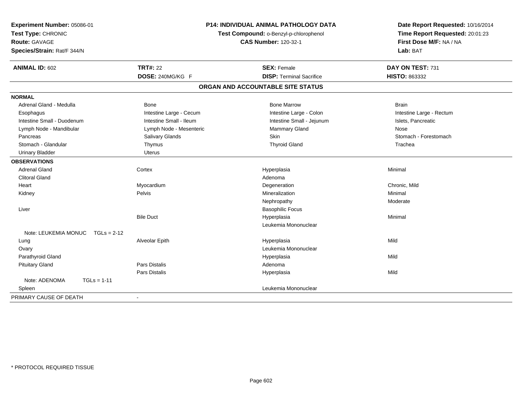| Experiment Number: 05086-01<br>Test Type: CHRONIC<br><b>Route: GAVAGE</b><br>Species/Strain: Rat/F 344/N |                         | <b>P14: INDIVIDUAL ANIMAL PATHOLOGY DATA</b><br>Test Compound: o-Benzyl-p-chlorophenol<br><b>CAS Number: 120-32-1</b> | Date Report Requested: 10/16/2014<br>Time Report Requested: 20:01:23<br>First Dose M/F: NA / NA<br>Lab: BAT |
|----------------------------------------------------------------------------------------------------------|-------------------------|-----------------------------------------------------------------------------------------------------------------------|-------------------------------------------------------------------------------------------------------------|
| <b>ANIMAL ID: 602</b>                                                                                    | <b>TRT#: 22</b>         | <b>SEX: Female</b>                                                                                                    | DAY ON TEST: 731                                                                                            |
|                                                                                                          | DOSE: 240MG/KG F        | <b>DISP: Terminal Sacrifice</b>                                                                                       | HISTO: 863332                                                                                               |
|                                                                                                          |                         | ORGAN AND ACCOUNTABLE SITE STATUS                                                                                     |                                                                                                             |
| <b>NORMAL</b>                                                                                            |                         |                                                                                                                       |                                                                                                             |
| Adrenal Gland - Medulla                                                                                  | <b>Bone</b>             | <b>Bone Marrow</b>                                                                                                    | <b>Brain</b>                                                                                                |
| Esophagus                                                                                                | Intestine Large - Cecum | Intestine Large - Colon                                                                                               | Intestine Large - Rectum                                                                                    |
| Intestine Small - Duodenum                                                                               | Intestine Small - Ileum | Intestine Small - Jejunum                                                                                             | Islets, Pancreatic                                                                                          |
| Lymph Node - Mandibular                                                                                  | Lymph Node - Mesenteric | Mammary Gland                                                                                                         | Nose                                                                                                        |
| Pancreas                                                                                                 | Salivary Glands         | Skin                                                                                                                  | Stomach - Forestomach                                                                                       |
| Stomach - Glandular                                                                                      | Thymus                  | <b>Thyroid Gland</b>                                                                                                  | Trachea                                                                                                     |
| <b>Urinary Bladder</b>                                                                                   | <b>Uterus</b>           |                                                                                                                       |                                                                                                             |
| <b>OBSERVATIONS</b>                                                                                      |                         |                                                                                                                       |                                                                                                             |
| <b>Adrenal Gland</b>                                                                                     | Cortex                  | Hyperplasia                                                                                                           | Minimal                                                                                                     |
| <b>Clitoral Gland</b>                                                                                    |                         | Adenoma                                                                                                               |                                                                                                             |
| Heart                                                                                                    | Myocardium              | Degeneration                                                                                                          | Chronic, Mild                                                                                               |
| Kidney                                                                                                   | Pelvis                  | Mineralization                                                                                                        | Minimal                                                                                                     |
|                                                                                                          |                         | Nephropathy                                                                                                           | Moderate                                                                                                    |
| Liver                                                                                                    |                         | <b>Basophilic Focus</b>                                                                                               |                                                                                                             |
|                                                                                                          | <b>Bile Duct</b>        | Hyperplasia                                                                                                           | Minimal                                                                                                     |
|                                                                                                          |                         | Leukemia Mononuclear                                                                                                  |                                                                                                             |
| Note: LEUKEMIA MONUC<br>$TGLs = 2-12$                                                                    |                         |                                                                                                                       |                                                                                                             |
| Lung                                                                                                     | Alveolar Epith          | Hyperplasia                                                                                                           | Mild                                                                                                        |
| Ovary                                                                                                    |                         | Leukemia Mononuclear                                                                                                  |                                                                                                             |
| Parathyroid Gland                                                                                        |                         | Hyperplasia                                                                                                           | Mild                                                                                                        |
| <b>Pituitary Gland</b>                                                                                   | <b>Pars Distalis</b>    | Adenoma                                                                                                               |                                                                                                             |
|                                                                                                          | <b>Pars Distalis</b>    | Hyperplasia                                                                                                           | Mild                                                                                                        |
| Note: ADENOMA<br>$TGLs = 1-11$                                                                           |                         |                                                                                                                       |                                                                                                             |
| Spleen                                                                                                   |                         | Leukemia Mononuclear                                                                                                  |                                                                                                             |
| PRIMARY CAUSE OF DEATH                                                                                   |                         |                                                                                                                       |                                                                                                             |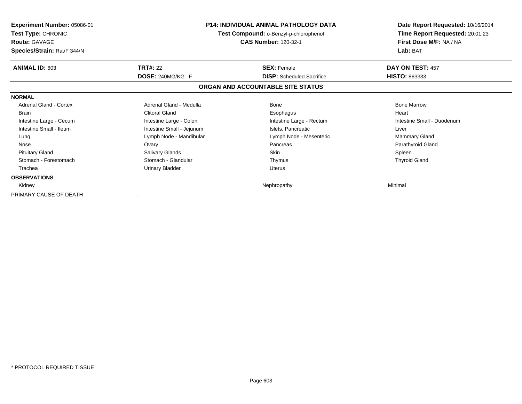| <b>Experiment Number: 05086-01</b><br><b>Test Type: CHRONIC</b><br><b>Route: GAVAGE</b><br>Species/Strain: Rat/F 344/N |                           | P14: INDIVIDUAL ANIMAL PATHOLOGY DATA<br>Test Compound: o-Benzyl-p-chlorophenol<br>CAS Number: 120-32-1 | Date Report Requested: 10/16/2014<br>Time Report Requested: 20:01:23<br>First Dose M/F: NA / NA<br>Lab: BAT |
|------------------------------------------------------------------------------------------------------------------------|---------------------------|---------------------------------------------------------------------------------------------------------|-------------------------------------------------------------------------------------------------------------|
| ANIMAL ID: 603                                                                                                         | <b>TRT#: 22</b>           | <b>SEX: Female</b>                                                                                      | DAY ON TEST: 457                                                                                            |
|                                                                                                                        | DOSE: 240MG/KG F          | <b>DISP:</b> Scheduled Sacrifice                                                                        | <b>HISTO: 863333</b>                                                                                        |
|                                                                                                                        |                           | ORGAN AND ACCOUNTABLE SITE STATUS                                                                       |                                                                                                             |
| <b>NORMAL</b>                                                                                                          |                           |                                                                                                         |                                                                                                             |
| Adrenal Gland - Cortex                                                                                                 | Adrenal Gland - Medulla   | Bone                                                                                                    | <b>Bone Marrow</b>                                                                                          |
| <b>Brain</b>                                                                                                           | <b>Clitoral Gland</b>     | Esophagus                                                                                               | Heart                                                                                                       |
| Intestine Large - Cecum                                                                                                | Intestine Large - Colon   | Intestine Large - Rectum                                                                                | Intestine Small - Duodenum                                                                                  |
| Intestine Small - Ileum                                                                                                | Intestine Small - Jejunum | Islets, Pancreatic                                                                                      | Liver                                                                                                       |
| Lung                                                                                                                   | Lymph Node - Mandibular   | Lymph Node - Mesenteric                                                                                 | <b>Mammary Gland</b>                                                                                        |
| Nose                                                                                                                   | Ovary                     | Pancreas                                                                                                | Parathyroid Gland                                                                                           |
| <b>Pituitary Gland</b>                                                                                                 | <b>Salivary Glands</b>    | Skin                                                                                                    | Spleen                                                                                                      |
| Stomach - Forestomach                                                                                                  | Stomach - Glandular       | Thymus                                                                                                  | <b>Thyroid Gland</b>                                                                                        |
| Trachea                                                                                                                | Urinary Bladder           | <b>Uterus</b>                                                                                           |                                                                                                             |
| <b>OBSERVATIONS</b>                                                                                                    |                           |                                                                                                         |                                                                                                             |
| Kidney                                                                                                                 |                           | Nephropathy                                                                                             | Minimal                                                                                                     |
| PRIMARY CAUSE OF DEATH                                                                                                 |                           |                                                                                                         |                                                                                                             |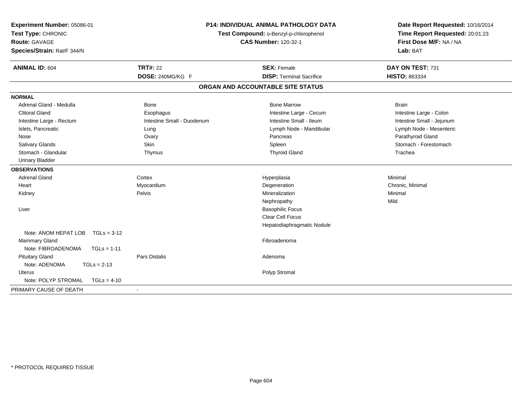| Experiment Number: 05086-01<br>Test Type: CHRONIC |                            | <b>P14: INDIVIDUAL ANIMAL PATHOLOGY DATA</b><br>Test Compound: o-Benzyl-p-chlorophenol | Date Report Requested: 10/16/2014<br>Time Report Requested: 20:01:23 |
|---------------------------------------------------|----------------------------|----------------------------------------------------------------------------------------|----------------------------------------------------------------------|
| Route: GAVAGE                                     |                            | <b>CAS Number: 120-32-1</b>                                                            | First Dose M/F: NA / NA                                              |
| Species/Strain: Rat/F 344/N                       |                            |                                                                                        | Lab: BAT                                                             |
| <b>ANIMAL ID: 604</b>                             | <b>TRT#: 22</b>            | <b>SEX: Female</b>                                                                     | DAY ON TEST: 731                                                     |
|                                                   | DOSE: 240MG/KG F           | <b>DISP: Terminal Sacrifice</b>                                                        | HISTO: 863334                                                        |
|                                                   |                            | ORGAN AND ACCOUNTABLE SITE STATUS                                                      |                                                                      |
| <b>NORMAL</b>                                     |                            |                                                                                        |                                                                      |
| Adrenal Gland - Medulla                           | Bone                       | <b>Bone Marrow</b>                                                                     | <b>Brain</b>                                                         |
| <b>Clitoral Gland</b>                             | Esophagus                  | Intestine Large - Cecum                                                                | Intestine Large - Colon                                              |
| Intestine Large - Rectum                          | Intestine Small - Duodenum | Intestine Small - Ileum                                                                | Intestine Small - Jejunum                                            |
| Islets, Pancreatic                                | Lung                       | Lymph Node - Mandibular                                                                | Lymph Node - Mesenteric                                              |
| Nose                                              | Ovary                      | Pancreas                                                                               | Parathyroid Gland                                                    |
| Salivary Glands                                   | Skin                       | Spleen                                                                                 | Stomach - Forestomach                                                |
| Stomach - Glandular                               | Thymus                     | <b>Thyroid Gland</b>                                                                   | Trachea                                                              |
| <b>Urinary Bladder</b>                            |                            |                                                                                        |                                                                      |
| <b>OBSERVATIONS</b>                               |                            |                                                                                        |                                                                      |
| <b>Adrenal Gland</b>                              | Cortex                     | Hyperplasia                                                                            | Minimal                                                              |
| Heart                                             | Myocardium                 | Degeneration                                                                           | Chronic, Minimal                                                     |
| Kidney                                            | Pelvis                     | Mineralization                                                                         | Minimal                                                              |
|                                                   |                            | Nephropathy                                                                            | Mild                                                                 |
| Liver                                             |                            | <b>Basophilic Focus</b>                                                                |                                                                      |
|                                                   |                            | Clear Cell Focus                                                                       |                                                                      |
|                                                   |                            | Hepatodiaphragmatic Nodule                                                             |                                                                      |
| Note: ANOM HEPAT LOB<br>$TGLs = 3-12$             |                            |                                                                                        |                                                                      |
| <b>Mammary Gland</b>                              |                            | Fibroadenoma                                                                           |                                                                      |
| Note: FIBROADENOMA<br>$TGLs = 1-11$               |                            |                                                                                        |                                                                      |
| <b>Pituitary Gland</b>                            | <b>Pars Distalis</b>       | Adenoma                                                                                |                                                                      |
| Note: ADENOMA<br>$TGLs = 2-13$                    |                            |                                                                                        |                                                                      |
| <b>Uterus</b>                                     |                            | Polyp Stromal                                                                          |                                                                      |
| Note: POLYP STROMAL<br>$TGLs = 4-10$              |                            |                                                                                        |                                                                      |
| PRIMARY CAUSE OF DEATH                            | $\blacksquare$             |                                                                                        |                                                                      |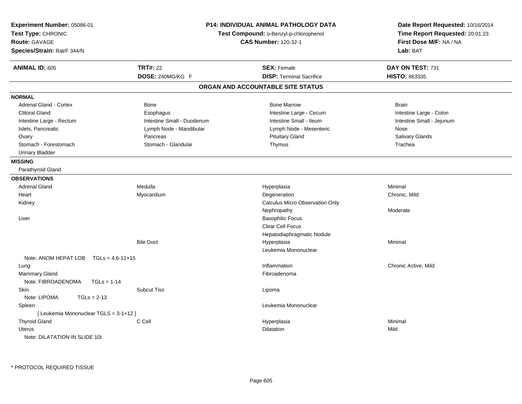| Experiment Number: 05086-01<br>Test Type: CHRONIC<br><b>Route: GAVAGE</b><br>Species/Strain: Rat/F 344/N |                            | <b>P14: INDIVIDUAL ANIMAL PATHOLOGY DATA</b><br>Test Compound: o-Benzyl-p-chlorophenol<br><b>CAS Number: 120-32-1</b> | Date Report Requested: 10/16/2014<br>Time Report Requested: 20:01:23<br>First Dose M/F: NA / NA<br>Lab: BAT |
|----------------------------------------------------------------------------------------------------------|----------------------------|-----------------------------------------------------------------------------------------------------------------------|-------------------------------------------------------------------------------------------------------------|
| <b>ANIMAL ID: 605</b>                                                                                    | <b>TRT#: 22</b>            | <b>SEX: Female</b>                                                                                                    | DAY ON TEST: 731                                                                                            |
|                                                                                                          | DOSE: 240MG/KG F           | <b>DISP: Terminal Sacrifice</b>                                                                                       | HISTO: 863335                                                                                               |
|                                                                                                          |                            | ORGAN AND ACCOUNTABLE SITE STATUS                                                                                     |                                                                                                             |
| <b>NORMAL</b>                                                                                            |                            |                                                                                                                       |                                                                                                             |
| <b>Adrenal Gland - Cortex</b>                                                                            | Bone                       | <b>Bone Marrow</b>                                                                                                    | <b>Brain</b>                                                                                                |
| <b>Clitoral Gland</b>                                                                                    | Esophagus                  | Intestine Large - Cecum                                                                                               | Intestine Large - Colon                                                                                     |
| Intestine Large - Rectum                                                                                 | Intestine Small - Duodenum | Intestine Small - Ileum                                                                                               | Intestine Small - Jejunum                                                                                   |
| Islets, Pancreatic                                                                                       | Lymph Node - Mandibular    | Lymph Node - Mesenteric                                                                                               | Nose                                                                                                        |
| Ovary                                                                                                    | Pancreas                   | <b>Pituitary Gland</b>                                                                                                | Salivary Glands                                                                                             |
| Stomach - Forestomach                                                                                    | Stomach - Glandular        | Thymus                                                                                                                | Trachea                                                                                                     |
| Urinary Bladder                                                                                          |                            |                                                                                                                       |                                                                                                             |
| <b>MISSING</b>                                                                                           |                            |                                                                                                                       |                                                                                                             |
| Parathyroid Gland                                                                                        |                            |                                                                                                                       |                                                                                                             |
| <b>OBSERVATIONS</b>                                                                                      |                            |                                                                                                                       |                                                                                                             |
| <b>Adrenal Gland</b>                                                                                     | Medulla                    | Hyperplasia                                                                                                           | Minimal                                                                                                     |
| Heart                                                                                                    | Myocardium                 | Degeneration                                                                                                          | Chronic, Mild                                                                                               |
| Kidney                                                                                                   |                            | Calculus Micro Observation Only                                                                                       |                                                                                                             |
|                                                                                                          |                            | Nephropathy                                                                                                           | Moderate                                                                                                    |
| Liver                                                                                                    |                            | <b>Basophilic Focus</b>                                                                                               |                                                                                                             |
|                                                                                                          |                            | <b>Clear Cell Focus</b>                                                                                               |                                                                                                             |
|                                                                                                          |                            | Hepatodiaphragmatic Nodule                                                                                            |                                                                                                             |
|                                                                                                          | <b>Bile Duct</b>           | Hyperplasia                                                                                                           | Minimal                                                                                                     |
|                                                                                                          |                            | Leukemia Mononuclear                                                                                                  |                                                                                                             |
| Note: ANOM HEPAT LOB $TGLs = 4.6-11+15$                                                                  |                            |                                                                                                                       |                                                                                                             |
| Lung                                                                                                     |                            | Inflammation                                                                                                          | Chronic Active, Mild                                                                                        |
| Mammary Gland                                                                                            |                            | Fibroadenoma                                                                                                          |                                                                                                             |
| Note: FIBROADENOMA<br>$TGLs = 1-14$                                                                      |                            |                                                                                                                       |                                                                                                             |
| <b>Skin</b>                                                                                              | Subcut Tiss                | Lipoma                                                                                                                |                                                                                                             |
| Note: LIPOMA<br>$TGLs = 2-13$                                                                            |                            |                                                                                                                       |                                                                                                             |
| Spleen                                                                                                   |                            | Leukemia Mononuclear                                                                                                  |                                                                                                             |
| [ Leukemia Mononuclear TGLS = 3-1+12 ]                                                                   |                            |                                                                                                                       |                                                                                                             |
| <b>Thyroid Gland</b>                                                                                     | C Cell                     | Hyperplasia                                                                                                           | Minimal                                                                                                     |
| <b>Uterus</b>                                                                                            |                            | Dilatation                                                                                                            | Mild                                                                                                        |
| Note: DILATATION IN SLIDE 101                                                                            |                            |                                                                                                                       |                                                                                                             |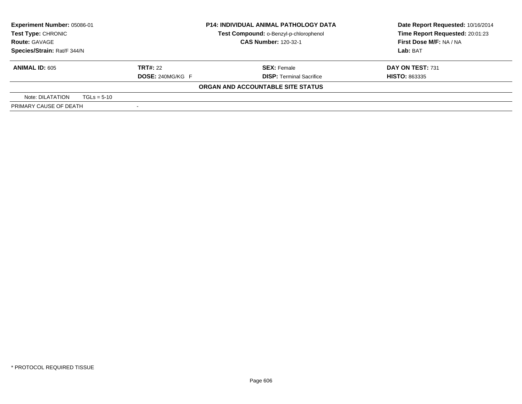| Experiment Number: 05086-01<br><b>Test Type: CHRONIC</b> |                         | <b>P14: INDIVIDUAL ANIMAL PATHOLOGY DATA</b> | Date Report Requested: 10/16/2014 |  |
|----------------------------------------------------------|-------------------------|----------------------------------------------|-----------------------------------|--|
|                                                          |                         | Test Compound: o-Benzyl-p-chlorophenol       | Time Report Requested: 20:01:23   |  |
| <b>Route: GAVAGE</b>                                     |                         | <b>CAS Number: 120-32-1</b>                  | First Dose M/F: NA / NA           |  |
| Species/Strain: Rat/F 344/N                              |                         |                                              | <b>Lab: BAT</b>                   |  |
| <b>ANIMAL ID: 605</b>                                    | <b>TRT#: 22</b>         | <b>SEX: Female</b>                           | <b>DAY ON TEST: 731</b>           |  |
|                                                          | <b>DOSE: 240MG/KG F</b> | <b>DISP: Terminal Sacrifice</b>              | <b>HISTO: 863335</b>              |  |
|                                                          |                         | ORGAN AND ACCOUNTABLE SITE STATUS            |                                   |  |
| Note: DILATATION                                         | $TGLs = 5-10$           |                                              |                                   |  |
| PRIMARY CAUSE OF DEATH                                   |                         |                                              |                                   |  |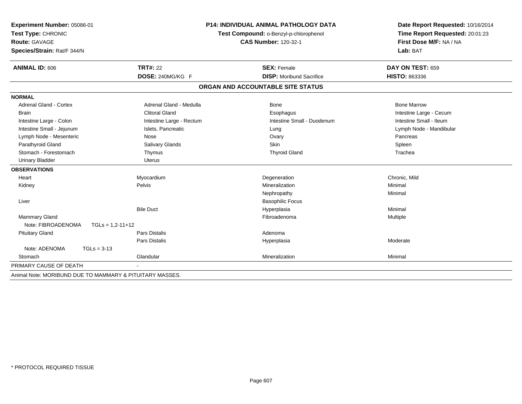| Experiment Number: 05086-01                              |                          | <b>P14: INDIVIDUAL ANIMAL PATHOLOGY DATA</b> | Date Report Requested: 10/16/2014<br>Time Report Requested: 20:01:23 |
|----------------------------------------------------------|--------------------------|----------------------------------------------|----------------------------------------------------------------------|
| Test Type: CHRONIC                                       |                          | Test Compound: o-Benzyl-p-chlorophenol       |                                                                      |
| <b>Route: GAVAGE</b>                                     |                          | <b>CAS Number: 120-32-1</b>                  | First Dose M/F: NA / NA                                              |
| Species/Strain: Rat/F 344/N                              |                          |                                              | Lab: BAT                                                             |
| <b>ANIMAL ID: 606</b>                                    | <b>TRT#: 22</b>          | <b>SEX: Female</b>                           | DAY ON TEST: 659                                                     |
|                                                          | DOSE: 240MG/KG F         | <b>DISP:</b> Moribund Sacrifice              | <b>HISTO: 863336</b>                                                 |
|                                                          |                          | ORGAN AND ACCOUNTABLE SITE STATUS            |                                                                      |
| <b>NORMAL</b>                                            |                          |                                              |                                                                      |
| <b>Adrenal Gland - Cortex</b>                            | Adrenal Gland - Medulla  | <b>Bone</b>                                  | <b>Bone Marrow</b>                                                   |
| <b>Brain</b>                                             | Clitoral Gland           | Esophagus                                    | Intestine Large - Cecum                                              |
| Intestine Large - Colon                                  | Intestine Large - Rectum | Intestine Small - Duodenum                   | Intestine Small - Ileum                                              |
| Intestine Small - Jejunum                                | Islets, Pancreatic       | Lung                                         | Lymph Node - Mandibular                                              |
| Lymph Node - Mesenteric                                  | Nose                     | Ovary                                        | Pancreas                                                             |
| Parathyroid Gland                                        | Salivary Glands          | Skin                                         | Spleen                                                               |
| Stomach - Forestomach                                    | Thymus                   | <b>Thyroid Gland</b>                         | Trachea                                                              |
| <b>Urinary Bladder</b>                                   | <b>Uterus</b>            |                                              |                                                                      |
| <b>OBSERVATIONS</b>                                      |                          |                                              |                                                                      |
| Heart                                                    | Myocardium               | Degeneration                                 | Chronic, Mild                                                        |
| Kidney                                                   | <b>Pelvis</b>            | Mineralization                               | Minimal                                                              |
|                                                          |                          | Nephropathy                                  | Minimal                                                              |
| Liver                                                    |                          | <b>Basophilic Focus</b>                      |                                                                      |
|                                                          | <b>Bile Duct</b>         | Hyperplasia                                  | Minimal                                                              |
| Mammary Gland                                            |                          | Fibroadenoma                                 | Multiple                                                             |
| Note: FIBROADENOMA<br>$TGLs = 1,2-11+12$                 |                          |                                              |                                                                      |
| <b>Pituitary Gland</b>                                   | <b>Pars Distalis</b>     | Adenoma                                      |                                                                      |
|                                                          | Pars Distalis            | Hyperplasia                                  | Moderate                                                             |
| Note: ADENOMA<br>$TGLs = 3-13$                           |                          |                                              |                                                                      |
| Stomach                                                  | Glandular                | Mineralization                               | Minimal                                                              |
| PRIMARY CAUSE OF DEATH                                   |                          |                                              |                                                                      |
| Animal Note: MORIBUND DUE TO MAMMARY & PITUITARY MASSES. |                          |                                              |                                                                      |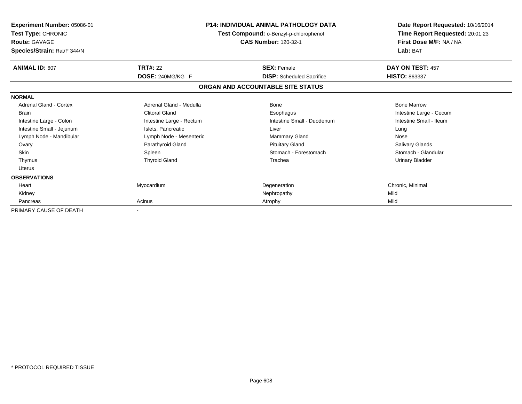| Experiment Number: 05086-01<br>Test Type: CHRONIC<br><b>Route: GAVAGE</b><br>Species/Strain: Rat/F 344/N |                          | <b>P14: INDIVIDUAL ANIMAL PATHOLOGY DATA</b><br>Test Compound: o-Benzyl-p-chlorophenol<br><b>CAS Number: 120-32-1</b> | Date Report Requested: 10/16/2014<br>Time Report Requested: 20:01:23<br>First Dose M/F: NA / NA<br>Lab: BAT |
|----------------------------------------------------------------------------------------------------------|--------------------------|-----------------------------------------------------------------------------------------------------------------------|-------------------------------------------------------------------------------------------------------------|
| ANIMAL ID: 607                                                                                           | <b>TRT#: 22</b>          | <b>SEX: Female</b>                                                                                                    | DAY ON TEST: 457                                                                                            |
|                                                                                                          | <b>DOSE: 240MG/KG F</b>  | <b>DISP:</b> Scheduled Sacrifice                                                                                      | <b>HISTO: 863337</b>                                                                                        |
|                                                                                                          |                          | ORGAN AND ACCOUNTABLE SITE STATUS                                                                                     |                                                                                                             |
| <b>NORMAL</b>                                                                                            |                          |                                                                                                                       |                                                                                                             |
| Adrenal Gland - Cortex                                                                                   | Adrenal Gland - Medulla  | Bone                                                                                                                  | <b>Bone Marrow</b>                                                                                          |
| <b>Brain</b>                                                                                             | <b>Clitoral Gland</b>    | Esophagus                                                                                                             | Intestine Large - Cecum                                                                                     |
| Intestine Large - Colon                                                                                  | Intestine Large - Rectum | Intestine Small - Duodenum                                                                                            | Intestine Small - Ileum                                                                                     |
| Intestine Small - Jejunum                                                                                | Islets, Pancreatic       | Liver                                                                                                                 | Lung                                                                                                        |
| Lymph Node - Mandibular                                                                                  | Lymph Node - Mesenteric  | Mammary Gland                                                                                                         | Nose                                                                                                        |
| Ovary                                                                                                    | Parathyroid Gland        | <b>Pituitary Gland</b>                                                                                                | Salivary Glands                                                                                             |
| <b>Skin</b>                                                                                              | Spleen                   | Stomach - Forestomach                                                                                                 | Stomach - Glandular                                                                                         |
| Thymus                                                                                                   | <b>Thyroid Gland</b>     | Trachea                                                                                                               | <b>Urinary Bladder</b>                                                                                      |
| Uterus                                                                                                   |                          |                                                                                                                       |                                                                                                             |
| <b>OBSERVATIONS</b>                                                                                      |                          |                                                                                                                       |                                                                                                             |
| Heart                                                                                                    | Myocardium               | Degeneration                                                                                                          | Chronic, Minimal                                                                                            |
| Kidney                                                                                                   |                          | Nephropathy                                                                                                           | Mild                                                                                                        |
| Pancreas                                                                                                 | Acinus                   | Atrophy                                                                                                               | Mild                                                                                                        |
| PRIMARY CAUSE OF DEATH                                                                                   |                          |                                                                                                                       |                                                                                                             |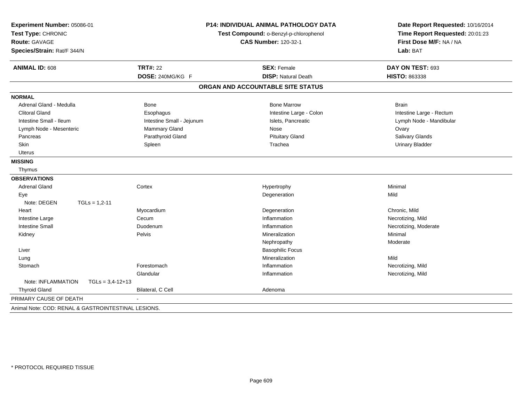| Experiment Number: 05086-01                         |                                        | <b>P14: INDIVIDUAL ANIMAL PATHOLOGY DATA</b> | Date Report Requested: 10/16/2014 |
|-----------------------------------------------------|----------------------------------------|----------------------------------------------|-----------------------------------|
| Test Type: CHRONIC                                  | Test Compound: o-Benzyl-p-chlorophenol |                                              | Time Report Requested: 20:01:23   |
| Route: GAVAGE                                       |                                        | <b>CAS Number: 120-32-1</b>                  | First Dose M/F: NA / NA           |
| Species/Strain: Rat/F 344/N                         |                                        |                                              | Lab: BAT                          |
| <b>ANIMAL ID: 608</b>                               | <b>TRT#: 22</b>                        | <b>SEX: Female</b>                           | DAY ON TEST: 693                  |
|                                                     | DOSE: 240MG/KG F                       | <b>DISP: Natural Death</b>                   | HISTO: 863338                     |
|                                                     |                                        | ORGAN AND ACCOUNTABLE SITE STATUS            |                                   |
| <b>NORMAL</b>                                       |                                        |                                              |                                   |
| Adrenal Gland - Medulla                             | <b>Bone</b>                            | <b>Bone Marrow</b>                           | <b>Brain</b>                      |
| <b>Clitoral Gland</b>                               | Esophagus                              | Intestine Large - Colon                      | Intestine Large - Rectum          |
| Intestine Small - Ileum                             | Intestine Small - Jejunum              | Islets, Pancreatic                           | Lymph Node - Mandibular           |
| Lymph Node - Mesenteric                             | <b>Mammary Gland</b>                   | Nose                                         | Ovary                             |
| Pancreas                                            | Parathyroid Gland                      | <b>Pituitary Gland</b>                       | Salivary Glands                   |
| Skin                                                | Spleen                                 | Trachea                                      | <b>Urinary Bladder</b>            |
| <b>Uterus</b>                                       |                                        |                                              |                                   |
| <b>MISSING</b>                                      |                                        |                                              |                                   |
| Thymus                                              |                                        |                                              |                                   |
| <b>OBSERVATIONS</b>                                 |                                        |                                              |                                   |
| <b>Adrenal Gland</b>                                | Cortex                                 | Hypertrophy                                  | Minimal                           |
| Eye                                                 |                                        | Degeneration                                 | Mild                              |
| Note: DEGEN<br>$TGLs = 1,2-11$                      |                                        |                                              |                                   |
| Heart                                               | Myocardium                             | Degeneration                                 | Chronic, Mild                     |
| Intestine Large                                     | Cecum                                  | Inflammation                                 | Necrotizing, Mild                 |
| <b>Intestine Small</b>                              | Duodenum                               | Inflammation                                 | Necrotizing, Moderate             |
| Kidney                                              | Pelvis                                 | Mineralization                               | Minimal                           |
|                                                     |                                        | Nephropathy                                  | Moderate                          |
| Liver                                               |                                        | <b>Basophilic Focus</b>                      |                                   |
| Lung                                                |                                        | Mineralization                               | Mild                              |
| Stomach                                             | Forestomach                            | Inflammation                                 | Necrotizing, Mild                 |
|                                                     | Glandular                              | Inflammation                                 | Necrotizing, Mild                 |
| Note: INFLAMMATION<br>$TGLs = 3,4-12+13$            |                                        |                                              |                                   |
| <b>Thyroid Gland</b>                                | Bilateral, C Cell                      | Adenoma                                      |                                   |
| PRIMARY CAUSE OF DEATH                              |                                        |                                              |                                   |
| Animal Note: COD: RENAL & GASTROINTESTINAL LESIONS. |                                        |                                              |                                   |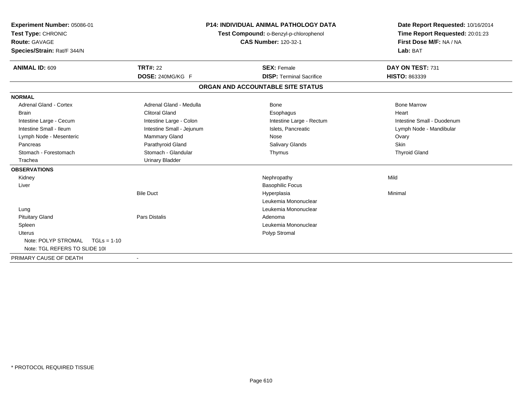| Experiment Number: 05086-01<br>Test Type: CHRONIC<br>Route: GAVAGE<br>Species/Strain: Rat/F 344/N |                           | P14: INDIVIDUAL ANIMAL PATHOLOGY DATA<br>Test Compound: o-Benzyl-p-chlorophenol<br><b>CAS Number: 120-32-1</b> | Date Report Requested: 10/16/2014<br>Time Report Requested: 20:01:23<br>First Dose M/F: NA / NA<br>Lab: BAT |
|---------------------------------------------------------------------------------------------------|---------------------------|----------------------------------------------------------------------------------------------------------------|-------------------------------------------------------------------------------------------------------------|
| <b>ANIMAL ID: 609</b>                                                                             | <b>TRT#: 22</b>           | <b>SEX: Female</b>                                                                                             | DAY ON TEST: 731                                                                                            |
|                                                                                                   | DOSE: 240MG/KG F          | <b>DISP: Terminal Sacrifice</b>                                                                                | HISTO: 863339                                                                                               |
|                                                                                                   |                           | ORGAN AND ACCOUNTABLE SITE STATUS                                                                              |                                                                                                             |
| <b>NORMAL</b>                                                                                     |                           |                                                                                                                |                                                                                                             |
| <b>Adrenal Gland - Cortex</b>                                                                     | Adrenal Gland - Medulla   | Bone                                                                                                           | <b>Bone Marrow</b>                                                                                          |
| <b>Brain</b>                                                                                      | <b>Clitoral Gland</b>     | Esophagus                                                                                                      | Heart                                                                                                       |
| Intestine Large - Cecum                                                                           | Intestine Large - Colon   | Intestine Large - Rectum                                                                                       | Intestine Small - Duodenum                                                                                  |
| Intestine Small - Ileum                                                                           | Intestine Small - Jejunum | Islets, Pancreatic                                                                                             | Lymph Node - Mandibular                                                                                     |
| Lymph Node - Mesenteric                                                                           | Mammary Gland             | Nose                                                                                                           | Ovary                                                                                                       |
| Pancreas                                                                                          | Parathyroid Gland         | <b>Salivary Glands</b>                                                                                         | <b>Skin</b>                                                                                                 |
| Stomach - Forestomach                                                                             | Stomach - Glandular       | Thymus                                                                                                         | <b>Thyroid Gland</b>                                                                                        |
| Trachea                                                                                           | <b>Urinary Bladder</b>    |                                                                                                                |                                                                                                             |
| <b>OBSERVATIONS</b>                                                                               |                           |                                                                                                                |                                                                                                             |
| Kidney                                                                                            |                           | Nephropathy                                                                                                    | Mild                                                                                                        |
| Liver                                                                                             |                           | <b>Basophilic Focus</b>                                                                                        |                                                                                                             |
|                                                                                                   | <b>Bile Duct</b>          | Hyperplasia                                                                                                    | Minimal                                                                                                     |
|                                                                                                   |                           | Leukemia Mononuclear                                                                                           |                                                                                                             |
| Lung                                                                                              |                           | Leukemia Mononuclear                                                                                           |                                                                                                             |
| <b>Pituitary Gland</b>                                                                            | <b>Pars Distalis</b>      | Adenoma                                                                                                        |                                                                                                             |
| Spleen                                                                                            |                           | Leukemia Mononuclear                                                                                           |                                                                                                             |
| Uterus                                                                                            |                           | Polyp Stromal                                                                                                  |                                                                                                             |
| Note: POLYP STROMAL<br>$TGLs = 1-10$                                                              |                           |                                                                                                                |                                                                                                             |
| Note: TGL REFERS TO SLIDE 101                                                                     |                           |                                                                                                                |                                                                                                             |
| PRIMARY CAUSE OF DEATH                                                                            | $\overline{\phantom{a}}$  |                                                                                                                |                                                                                                             |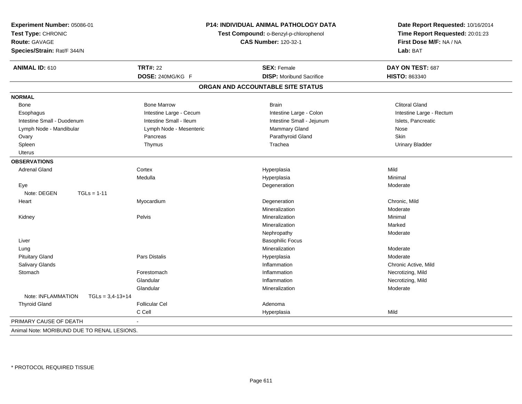| Experiment Number: 05086-01<br>Test Type: CHRONIC<br>Route: GAVAGE<br>Species/Strain: Rat/F 344/N | P14: INDIVIDUAL ANIMAL PATHOLOGY DATA<br>Test Compound: o-Benzyl-p-chlorophenol<br><b>CAS Number: 120-32-1</b> |                                   | Date Report Requested: 10/16/2014<br>Time Report Requested: 20:01:23<br>First Dose M/F: NA / NA<br>Lab: BAT |  |
|---------------------------------------------------------------------------------------------------|----------------------------------------------------------------------------------------------------------------|-----------------------------------|-------------------------------------------------------------------------------------------------------------|--|
| <b>ANIMAL ID: 610</b>                                                                             | <b>TRT#: 22</b>                                                                                                | <b>SEX: Female</b>                | DAY ON TEST: 687                                                                                            |  |
|                                                                                                   | DOSE: 240MG/KG F                                                                                               | <b>DISP:</b> Moribund Sacrifice   | HISTO: 863340                                                                                               |  |
|                                                                                                   |                                                                                                                | ORGAN AND ACCOUNTABLE SITE STATUS |                                                                                                             |  |
| <b>NORMAL</b>                                                                                     |                                                                                                                |                                   |                                                                                                             |  |
| Bone                                                                                              | <b>Bone Marrow</b>                                                                                             | <b>Brain</b>                      | <b>Clitoral Gland</b>                                                                                       |  |
| Esophagus                                                                                         | Intestine Large - Cecum                                                                                        | Intestine Large - Colon           | Intestine Large - Rectum                                                                                    |  |
| Intestine Small - Duodenum                                                                        | Intestine Small - Ileum                                                                                        | Intestine Small - Jejunum         | Islets, Pancreatic                                                                                          |  |
| Lymph Node - Mandibular                                                                           | Lymph Node - Mesenteric                                                                                        | Mammary Gland                     | Nose                                                                                                        |  |
| Ovary                                                                                             | Pancreas                                                                                                       | Parathyroid Gland                 | <b>Skin</b>                                                                                                 |  |
| Spleen                                                                                            | Thymus                                                                                                         | Trachea                           | <b>Urinary Bladder</b>                                                                                      |  |
| Uterus                                                                                            |                                                                                                                |                                   |                                                                                                             |  |
| <b>OBSERVATIONS</b>                                                                               |                                                                                                                |                                   |                                                                                                             |  |
| <b>Adrenal Gland</b>                                                                              | Cortex                                                                                                         | Hyperplasia                       | Mild                                                                                                        |  |
|                                                                                                   | Medulla                                                                                                        | Hyperplasia                       | Minimal                                                                                                     |  |
| Eye                                                                                               |                                                                                                                | Degeneration                      | Moderate                                                                                                    |  |
| Note: DEGEN<br>$TGLs = 1-11$                                                                      |                                                                                                                |                                   |                                                                                                             |  |
| Heart                                                                                             | Myocardium                                                                                                     | Degeneration                      | Chronic, Mild                                                                                               |  |
|                                                                                                   |                                                                                                                | Mineralization                    | Moderate                                                                                                    |  |
| Kidney                                                                                            | Pelvis                                                                                                         | Mineralization                    | Minimal                                                                                                     |  |
|                                                                                                   |                                                                                                                | Mineralization                    | Marked                                                                                                      |  |
|                                                                                                   |                                                                                                                | Nephropathy                       | Moderate                                                                                                    |  |
| Liver                                                                                             |                                                                                                                | <b>Basophilic Focus</b>           |                                                                                                             |  |
| Lung                                                                                              |                                                                                                                | Mineralization                    | Moderate                                                                                                    |  |
| <b>Pituitary Gland</b>                                                                            | Pars Distalis                                                                                                  | Hyperplasia                       | Moderate                                                                                                    |  |
| Salivary Glands                                                                                   |                                                                                                                | Inflammation                      | Chronic Active, Mild                                                                                        |  |
| Stomach                                                                                           | Forestomach                                                                                                    | Inflammation                      | Necrotizing, Mild                                                                                           |  |
|                                                                                                   | Glandular                                                                                                      | Inflammation                      | Necrotizing, Mild                                                                                           |  |
|                                                                                                   | Glandular                                                                                                      | Mineralization                    | Moderate                                                                                                    |  |
| Note: INFLAMMATION<br>$TGLs = 3,4-13+14$                                                          |                                                                                                                |                                   |                                                                                                             |  |
| <b>Thyroid Gland</b>                                                                              | <b>Follicular Cel</b>                                                                                          | Adenoma                           |                                                                                                             |  |
|                                                                                                   | C Cell                                                                                                         | Hyperplasia                       | Mild                                                                                                        |  |
| PRIMARY CAUSE OF DEATH                                                                            |                                                                                                                |                                   |                                                                                                             |  |
| Animal Note: MORIBUND DUE TO RENAL LESIONS.                                                       |                                                                                                                |                                   |                                                                                                             |  |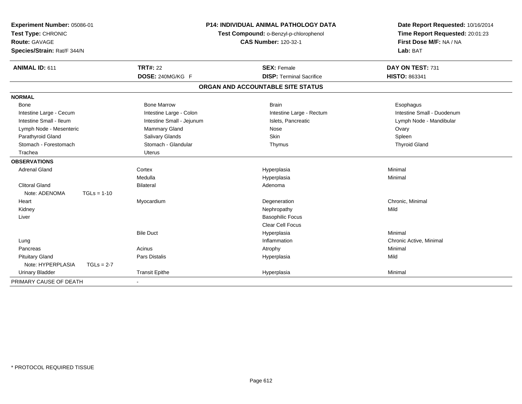| Experiment Number: 05086-01<br>Test Type: CHRONIC<br><b>Route: GAVAGE</b> |               |                           | P14: INDIVIDUAL ANIMAL PATHOLOGY DATA<br>Test Compound: o-Benzyl-p-chlorophenol | Date Report Requested: 10/16/2014<br>Time Report Requested: 20:01:23 |
|---------------------------------------------------------------------------|---------------|---------------------------|---------------------------------------------------------------------------------|----------------------------------------------------------------------|
|                                                                           |               |                           | <b>CAS Number: 120-32-1</b>                                                     | First Dose M/F: NA / NA                                              |
| Species/Strain: Rat/F 344/N                                               |               |                           |                                                                                 | Lab: BAT                                                             |
| ANIMAL ID: 611                                                            |               | <b>TRT#: 22</b>           | <b>SEX: Female</b>                                                              | DAY ON TEST: 731                                                     |
|                                                                           |               | DOSE: 240MG/KG F          | <b>DISP: Terminal Sacrifice</b>                                                 | <b>HISTO: 863341</b>                                                 |
|                                                                           |               |                           | ORGAN AND ACCOUNTABLE SITE STATUS                                               |                                                                      |
| <b>NORMAL</b>                                                             |               |                           |                                                                                 |                                                                      |
| Bone                                                                      |               | <b>Bone Marrow</b>        | <b>Brain</b>                                                                    | Esophagus                                                            |
| Intestine Large - Cecum                                                   |               | Intestine Large - Colon   | Intestine Large - Rectum                                                        | Intestine Small - Duodenum                                           |
| Intestine Small - Ileum                                                   |               | Intestine Small - Jejunum | Islets, Pancreatic                                                              | Lymph Node - Mandibular                                              |
| Lymph Node - Mesenteric                                                   |               | <b>Mammary Gland</b>      | Nose                                                                            | Ovary                                                                |
| Parathyroid Gland                                                         |               | Salivary Glands           | Skin                                                                            | Spleen                                                               |
| Stomach - Forestomach                                                     |               | Stomach - Glandular       | Thymus                                                                          | <b>Thyroid Gland</b>                                                 |
| Trachea                                                                   |               | <b>Uterus</b>             |                                                                                 |                                                                      |
| <b>OBSERVATIONS</b>                                                       |               |                           |                                                                                 |                                                                      |
| <b>Adrenal Gland</b>                                                      |               | Cortex                    | Hyperplasia                                                                     | Minimal                                                              |
|                                                                           |               | Medulla                   | Hyperplasia                                                                     | Minimal                                                              |
| <b>Clitoral Gland</b>                                                     |               | <b>Bilateral</b>          | Adenoma                                                                         |                                                                      |
| Note: ADENOMA                                                             | $TGLs = 1-10$ |                           |                                                                                 |                                                                      |
| Heart                                                                     |               | Myocardium                | Degeneration                                                                    | Chronic, Minimal                                                     |
| Kidney                                                                    |               |                           | Nephropathy                                                                     | Mild                                                                 |
| Liver                                                                     |               |                           | <b>Basophilic Focus</b>                                                         |                                                                      |
|                                                                           |               |                           | Clear Cell Focus                                                                |                                                                      |
|                                                                           |               | <b>Bile Duct</b>          | Hyperplasia                                                                     | Minimal                                                              |
| Lung                                                                      |               |                           | Inflammation                                                                    | Chronic Active, Minimal                                              |
| Pancreas                                                                  |               | Acinus                    | Atrophy                                                                         | Minimal                                                              |
| <b>Pituitary Gland</b>                                                    |               | <b>Pars Distalis</b>      | Hyperplasia                                                                     | Mild                                                                 |
| Note: HYPERPLASIA                                                         | $TGLs = 2-7$  |                           |                                                                                 |                                                                      |
| <b>Urinary Bladder</b>                                                    |               | <b>Transit Epithe</b>     | Hyperplasia                                                                     | Minimal                                                              |
| PRIMARY CAUSE OF DEATH                                                    |               |                           |                                                                                 |                                                                      |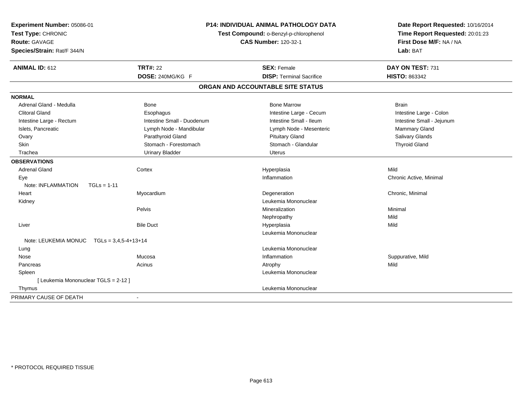| Experiment Number: 05086-01<br>Test Type: CHRONIC<br><b>Route: GAVAGE</b><br>Species/Strain: Rat/F 344/N | <b>P14: INDIVIDUAL ANIMAL PATHOLOGY DATA</b><br>Test Compound: o-Benzyl-p-chlorophenol<br><b>CAS Number: 120-32-1</b> |                                   | Date Report Requested: 10/16/2014<br>Time Report Requested: 20:01:23<br>First Dose M/F: NA / NA<br>Lab: BAT |  |
|----------------------------------------------------------------------------------------------------------|-----------------------------------------------------------------------------------------------------------------------|-----------------------------------|-------------------------------------------------------------------------------------------------------------|--|
| <b>ANIMAL ID: 612</b>                                                                                    | <b>TRT#: 22</b>                                                                                                       | <b>SEX: Female</b>                | DAY ON TEST: 731                                                                                            |  |
|                                                                                                          | DOSE: 240MG/KG F                                                                                                      | <b>DISP: Terminal Sacrifice</b>   | <b>HISTO: 863342</b>                                                                                        |  |
|                                                                                                          |                                                                                                                       | ORGAN AND ACCOUNTABLE SITE STATUS |                                                                                                             |  |
| <b>NORMAL</b>                                                                                            |                                                                                                                       |                                   |                                                                                                             |  |
| Adrenal Gland - Medulla                                                                                  | <b>Bone</b>                                                                                                           | <b>Bone Marrow</b>                | <b>Brain</b>                                                                                                |  |
| <b>Clitoral Gland</b>                                                                                    | Esophagus                                                                                                             | Intestine Large - Cecum           | Intestine Large - Colon                                                                                     |  |
| Intestine Large - Rectum                                                                                 | Intestine Small - Duodenum                                                                                            | Intestine Small - Ileum           | Intestine Small - Jejunum                                                                                   |  |
| Islets, Pancreatic                                                                                       | Lymph Node - Mandibular                                                                                               | Lymph Node - Mesenteric           | Mammary Gland                                                                                               |  |
| Ovary                                                                                                    | Parathyroid Gland                                                                                                     | <b>Pituitary Gland</b>            | Salivary Glands                                                                                             |  |
| Skin                                                                                                     | Stomach - Forestomach                                                                                                 | Stomach - Glandular               | <b>Thyroid Gland</b>                                                                                        |  |
| Trachea                                                                                                  | <b>Urinary Bladder</b>                                                                                                | <b>Uterus</b>                     |                                                                                                             |  |
| <b>OBSERVATIONS</b>                                                                                      |                                                                                                                       |                                   |                                                                                                             |  |
| Adrenal Gland                                                                                            | Cortex                                                                                                                | Hyperplasia                       | Mild                                                                                                        |  |
| Eye                                                                                                      |                                                                                                                       | Inflammation                      | Chronic Active, Minimal                                                                                     |  |
| Note: INFLAMMATION<br>$TGLs = 1-11$                                                                      |                                                                                                                       |                                   |                                                                                                             |  |
| Heart                                                                                                    | Myocardium                                                                                                            | Degeneration                      | Chronic, Minimal                                                                                            |  |
| Kidney                                                                                                   |                                                                                                                       | Leukemia Mononuclear              |                                                                                                             |  |
|                                                                                                          | Pelvis                                                                                                                | Mineralization                    | Minimal                                                                                                     |  |
|                                                                                                          |                                                                                                                       | Nephropathy                       | Mild                                                                                                        |  |
| Liver                                                                                                    | <b>Bile Duct</b>                                                                                                      | Hyperplasia                       | Mild                                                                                                        |  |
|                                                                                                          |                                                                                                                       | Leukemia Mononuclear              |                                                                                                             |  |
| Note: LEUKEMIA MONUC<br>$TGLs = 3,4,5-4+13+14$                                                           |                                                                                                                       |                                   |                                                                                                             |  |
| Lung                                                                                                     |                                                                                                                       | Leukemia Mononuclear              |                                                                                                             |  |
| Nose                                                                                                     | Mucosa                                                                                                                | Inflammation                      | Suppurative, Mild                                                                                           |  |
| Pancreas                                                                                                 | Acinus                                                                                                                | Atrophy                           | Mild                                                                                                        |  |
| Spleen                                                                                                   |                                                                                                                       | Leukemia Mononuclear              |                                                                                                             |  |
| [ Leukemia Mononuclear TGLS = 2-12 ]                                                                     |                                                                                                                       |                                   |                                                                                                             |  |
| Thymus                                                                                                   |                                                                                                                       | Leukemia Mononuclear              |                                                                                                             |  |
| PRIMARY CAUSE OF DEATH                                                                                   |                                                                                                                       |                                   |                                                                                                             |  |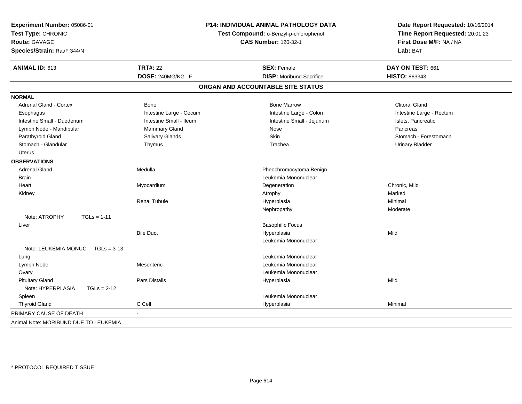| Experiment Number: 05086-01<br>Test Type: CHRONIC<br><b>Route: GAVAGE</b><br>Species/Strain: Rat/F 344/N | <b>P14: INDIVIDUAL ANIMAL PATHOLOGY DATA</b><br>Test Compound: o-Benzyl-p-chlorophenol<br><b>CAS Number: 120-32-1</b> |                                   | Date Report Requested: 10/16/2014<br>Time Report Requested: 20:01:23<br>First Dose M/F: NA / NA<br>Lab: BAT |  |
|----------------------------------------------------------------------------------------------------------|-----------------------------------------------------------------------------------------------------------------------|-----------------------------------|-------------------------------------------------------------------------------------------------------------|--|
| ANIMAL ID: 613                                                                                           | <b>TRT#: 22</b>                                                                                                       | <b>SEX: Female</b>                | DAY ON TEST: 661                                                                                            |  |
|                                                                                                          | DOSE: 240MG/KG F                                                                                                      | <b>DISP: Moribund Sacrifice</b>   | HISTO: 863343                                                                                               |  |
|                                                                                                          |                                                                                                                       | ORGAN AND ACCOUNTABLE SITE STATUS |                                                                                                             |  |
| <b>NORMAL</b>                                                                                            |                                                                                                                       |                                   |                                                                                                             |  |
| Adrenal Gland - Cortex                                                                                   | Bone                                                                                                                  | <b>Bone Marrow</b>                | <b>Clitoral Gland</b>                                                                                       |  |
| Esophagus                                                                                                | Intestine Large - Cecum                                                                                               | Intestine Large - Colon           | Intestine Large - Rectum                                                                                    |  |
| Intestine Small - Duodenum                                                                               | Intestine Small - Ileum                                                                                               | Intestine Small - Jejunum         | Islets, Pancreatic                                                                                          |  |
| Lymph Node - Mandibular                                                                                  | <b>Mammary Gland</b>                                                                                                  | Nose                              | Pancreas                                                                                                    |  |
| Parathyroid Gland                                                                                        | Salivary Glands                                                                                                       | Skin                              | Stomach - Forestomach                                                                                       |  |
| Stomach - Glandular                                                                                      | Thymus                                                                                                                | Trachea                           | <b>Urinary Bladder</b>                                                                                      |  |
| <b>Uterus</b>                                                                                            |                                                                                                                       |                                   |                                                                                                             |  |
| <b>OBSERVATIONS</b>                                                                                      |                                                                                                                       |                                   |                                                                                                             |  |
| <b>Adrenal Gland</b>                                                                                     | Medulla                                                                                                               | Pheochromocytoma Benign           |                                                                                                             |  |
| <b>Brain</b>                                                                                             |                                                                                                                       | Leukemia Mononuclear              |                                                                                                             |  |
| Heart                                                                                                    | Myocardium                                                                                                            | Degeneration                      | Chronic, Mild                                                                                               |  |
| Kidney                                                                                                   |                                                                                                                       | Atrophy                           | Marked                                                                                                      |  |
|                                                                                                          | <b>Renal Tubule</b>                                                                                                   | Hyperplasia                       | Minimal                                                                                                     |  |
|                                                                                                          |                                                                                                                       | Nephropathy                       | Moderate                                                                                                    |  |
| Note: ATROPHY<br>$TGLs = 1-11$                                                                           |                                                                                                                       |                                   |                                                                                                             |  |
| Liver                                                                                                    |                                                                                                                       | <b>Basophilic Focus</b>           |                                                                                                             |  |
|                                                                                                          | <b>Bile Duct</b>                                                                                                      | Hyperplasia                       | Mild                                                                                                        |  |
|                                                                                                          |                                                                                                                       | Leukemia Mononuclear              |                                                                                                             |  |
| Note: LEUKEMIA MONUC TGLs = 3-13                                                                         |                                                                                                                       |                                   |                                                                                                             |  |
| Lung                                                                                                     |                                                                                                                       | Leukemia Mononuclear              |                                                                                                             |  |
| Lymph Node                                                                                               | Mesenteric                                                                                                            | Leukemia Mononuclear              |                                                                                                             |  |
| Ovary                                                                                                    |                                                                                                                       | Leukemia Mononuclear              |                                                                                                             |  |
| <b>Pituitary Gland</b>                                                                                   | Pars Distalis                                                                                                         | Hyperplasia                       | Mild                                                                                                        |  |
| Note: HYPERPLASIA<br>$TGLs = 2-12$                                                                       |                                                                                                                       |                                   |                                                                                                             |  |
| Spleen                                                                                                   |                                                                                                                       | Leukemia Mononuclear              |                                                                                                             |  |
| <b>Thyroid Gland</b>                                                                                     | C Cell                                                                                                                | Hyperplasia                       | Minimal                                                                                                     |  |
| PRIMARY CAUSE OF DEATH                                                                                   |                                                                                                                       |                                   |                                                                                                             |  |
| Animal Note: MORIBUND DUE TO LEUKEMIA                                                                    |                                                                                                                       |                                   |                                                                                                             |  |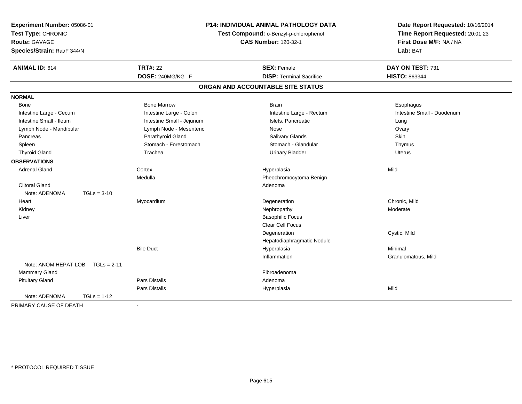| Experiment Number: 05086-01<br>Test Type: CHRONIC<br>Route: GAVAGE<br>Species/Strain: Rat/F 344/N | P14: INDIVIDUAL ANIMAL PATHOLOGY DATA<br>Test Compound: o-Benzyl-p-chlorophenol<br><b>CAS Number: 120-32-1</b> |                                   | Date Report Requested: 10/16/2014<br>Time Report Requested: 20:01:23<br>First Dose M/F: NA / NA<br>Lab: BAT |  |
|---------------------------------------------------------------------------------------------------|----------------------------------------------------------------------------------------------------------------|-----------------------------------|-------------------------------------------------------------------------------------------------------------|--|
| <b>ANIMAL ID: 614</b>                                                                             | <b>TRT#: 22</b>                                                                                                | <b>SEX: Female</b>                | DAY ON TEST: 731                                                                                            |  |
|                                                                                                   | DOSE: 240MG/KG F                                                                                               | <b>DISP: Terminal Sacrifice</b>   | <b>HISTO: 863344</b>                                                                                        |  |
|                                                                                                   |                                                                                                                | ORGAN AND ACCOUNTABLE SITE STATUS |                                                                                                             |  |
| <b>NORMAL</b>                                                                                     |                                                                                                                |                                   |                                                                                                             |  |
| Bone                                                                                              | <b>Bone Marrow</b>                                                                                             | <b>Brain</b>                      | Esophagus                                                                                                   |  |
| Intestine Large - Cecum                                                                           | Intestine Large - Colon                                                                                        | Intestine Large - Rectum          | Intestine Small - Duodenum                                                                                  |  |
| Intestine Small - Ileum                                                                           | Intestine Small - Jejunum                                                                                      | Islets, Pancreatic                | Lung                                                                                                        |  |
| Lymph Node - Mandibular                                                                           | Lymph Node - Mesenteric                                                                                        | Nose                              | Ovary                                                                                                       |  |
| Pancreas                                                                                          | Parathyroid Gland                                                                                              | Salivary Glands                   | <b>Skin</b>                                                                                                 |  |
| Spleen                                                                                            | Stomach - Forestomach                                                                                          | Stomach - Glandular               | Thymus                                                                                                      |  |
| <b>Thyroid Gland</b>                                                                              | Trachea                                                                                                        | <b>Urinary Bladder</b>            | <b>Uterus</b>                                                                                               |  |
| <b>OBSERVATIONS</b>                                                                               |                                                                                                                |                                   |                                                                                                             |  |
| <b>Adrenal Gland</b>                                                                              | Cortex                                                                                                         | Hyperplasia                       | Mild                                                                                                        |  |
|                                                                                                   | Medulla                                                                                                        | Pheochromocytoma Benign           |                                                                                                             |  |
| <b>Clitoral Gland</b>                                                                             |                                                                                                                | Adenoma                           |                                                                                                             |  |
| Note: ADENOMA<br>$TGLs = 3-10$                                                                    |                                                                                                                |                                   |                                                                                                             |  |
| Heart                                                                                             | Myocardium                                                                                                     | Degeneration                      | Chronic. Mild                                                                                               |  |
| Kidney                                                                                            |                                                                                                                | Nephropathy                       | Moderate                                                                                                    |  |
| Liver                                                                                             |                                                                                                                | <b>Basophilic Focus</b>           |                                                                                                             |  |
|                                                                                                   |                                                                                                                | Clear Cell Focus                  |                                                                                                             |  |
|                                                                                                   |                                                                                                                | Degeneration                      | Cystic, Mild                                                                                                |  |
|                                                                                                   |                                                                                                                | Hepatodiaphragmatic Nodule        |                                                                                                             |  |
|                                                                                                   | <b>Bile Duct</b>                                                                                               | Hyperplasia                       | Minimal                                                                                                     |  |
|                                                                                                   |                                                                                                                | Inflammation                      | Granulomatous, Mild                                                                                         |  |
| Note: ANOM HEPAT LOB<br>$TGLs = 2-11$                                                             |                                                                                                                |                                   |                                                                                                             |  |
| Mammary Gland                                                                                     |                                                                                                                | Fibroadenoma                      |                                                                                                             |  |
| <b>Pituitary Gland</b>                                                                            | Pars Distalis                                                                                                  | Adenoma                           |                                                                                                             |  |
|                                                                                                   | Pars Distalis                                                                                                  | Hyperplasia                       | Mild                                                                                                        |  |
| Note: ADENOMA<br>$TGLs = 1-12$                                                                    |                                                                                                                |                                   |                                                                                                             |  |
| PRIMARY CAUSE OF DEATH                                                                            | $\blacksquare$                                                                                                 |                                   |                                                                                                             |  |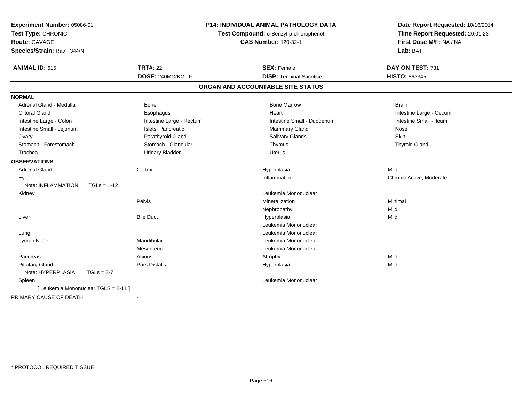| Experiment Number: 05086-01<br>Test Type: CHRONIC<br>Route: GAVAGE<br>Species/Strain: Rat/F 344/N | <b>P14: INDIVIDUAL ANIMAL PATHOLOGY DATA</b><br>Test Compound: o-Benzyl-p-chlorophenol<br><b>CAS Number: 120-32-1</b> |                                   | Date Report Requested: 10/16/2014<br>Time Report Requested: 20:01:23<br>First Dose M/F: NA / NA<br>Lab: BAT |  |
|---------------------------------------------------------------------------------------------------|-----------------------------------------------------------------------------------------------------------------------|-----------------------------------|-------------------------------------------------------------------------------------------------------------|--|
| <b>ANIMAL ID: 615</b>                                                                             | <b>TRT#: 22</b>                                                                                                       | <b>SEX: Female</b>                | DAY ON TEST: 731                                                                                            |  |
|                                                                                                   | DOSE: 240MG/KG F                                                                                                      | <b>DISP: Terminal Sacrifice</b>   | <b>HISTO: 863345</b>                                                                                        |  |
|                                                                                                   |                                                                                                                       | ORGAN AND ACCOUNTABLE SITE STATUS |                                                                                                             |  |
| <b>NORMAL</b>                                                                                     |                                                                                                                       |                                   |                                                                                                             |  |
| Adrenal Gland - Medulla                                                                           | <b>Bone</b>                                                                                                           | <b>Bone Marrow</b>                | <b>Brain</b>                                                                                                |  |
| <b>Clitoral Gland</b>                                                                             | Esophagus                                                                                                             | Heart                             | Intestine Large - Cecum                                                                                     |  |
| Intestine Large - Colon                                                                           | Intestine Large - Rectum                                                                                              | Intestine Small - Duodenum        | Intestine Small - Ileum                                                                                     |  |
| Intestine Small - Jejunum                                                                         | Islets, Pancreatic                                                                                                    | <b>Mammary Gland</b>              | Nose                                                                                                        |  |
| Ovary                                                                                             | Parathyroid Gland                                                                                                     | Salivary Glands                   | Skin                                                                                                        |  |
| Stomach - Forestomach                                                                             | Stomach - Glandular                                                                                                   | Thymus                            | <b>Thyroid Gland</b>                                                                                        |  |
| Trachea                                                                                           | <b>Urinary Bladder</b>                                                                                                | <b>Uterus</b>                     |                                                                                                             |  |
| <b>OBSERVATIONS</b>                                                                               |                                                                                                                       |                                   |                                                                                                             |  |
| <b>Adrenal Gland</b>                                                                              | Cortex                                                                                                                | Hyperplasia                       | Mild                                                                                                        |  |
| Eye                                                                                               |                                                                                                                       | Inflammation                      | Chronic Active, Moderate                                                                                    |  |
| Note: INFLAMMATION<br>$TGLs = 1-12$                                                               |                                                                                                                       |                                   |                                                                                                             |  |
| Kidney                                                                                            |                                                                                                                       | Leukemia Mononuclear              |                                                                                                             |  |
|                                                                                                   | Pelvis                                                                                                                | Mineralization                    | Minimal                                                                                                     |  |
|                                                                                                   |                                                                                                                       | Nephropathy                       | Mild                                                                                                        |  |
| Liver                                                                                             | <b>Bile Duct</b>                                                                                                      | Hyperplasia                       | Mild                                                                                                        |  |
|                                                                                                   |                                                                                                                       | Leukemia Mononuclear              |                                                                                                             |  |
| Lung                                                                                              |                                                                                                                       | Leukemia Mononuclear              |                                                                                                             |  |
| Lymph Node                                                                                        | Mandibular                                                                                                            | Leukemia Mononuclear              |                                                                                                             |  |
|                                                                                                   | Mesenteric                                                                                                            | Leukemia Mononuclear              |                                                                                                             |  |
| Pancreas                                                                                          | Acinus                                                                                                                | Atrophy                           | Mild                                                                                                        |  |
| <b>Pituitary Gland</b>                                                                            | <b>Pars Distalis</b>                                                                                                  | Hyperplasia                       | Mild                                                                                                        |  |
| Note: HYPERPLASIA<br>$TGLs = 3-7$                                                                 |                                                                                                                       |                                   |                                                                                                             |  |
| Spleen                                                                                            |                                                                                                                       | Leukemia Mononuclear              |                                                                                                             |  |
| [ Leukemia Mononuclear TGLS = 2-11 ]                                                              |                                                                                                                       |                                   |                                                                                                             |  |
| PRIMARY CAUSE OF DEATH                                                                            |                                                                                                                       |                                   |                                                                                                             |  |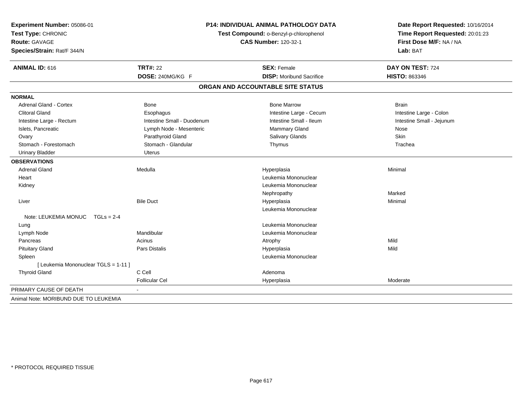| Experiment Number: 05086-01<br>Test Type: CHRONIC<br><b>Route: GAVAGE</b><br>Species/Strain: Rat/F 344/N | <b>P14: INDIVIDUAL ANIMAL PATHOLOGY DATA</b><br>Test Compound: o-Benzyl-p-chlorophenol<br><b>CAS Number: 120-32-1</b> |                                   | Date Report Requested: 10/16/2014<br>Time Report Requested: 20:01:23<br>First Dose M/F: NA / NA<br>Lab: BAT |  |
|----------------------------------------------------------------------------------------------------------|-----------------------------------------------------------------------------------------------------------------------|-----------------------------------|-------------------------------------------------------------------------------------------------------------|--|
| <b>ANIMAL ID: 616</b>                                                                                    | <b>TRT#: 22</b>                                                                                                       | <b>SEX: Female</b>                | DAY ON TEST: 724                                                                                            |  |
|                                                                                                          | DOSE: 240MG/KG F                                                                                                      | <b>DISP:</b> Moribund Sacrifice   | HISTO: 863346                                                                                               |  |
|                                                                                                          |                                                                                                                       | ORGAN AND ACCOUNTABLE SITE STATUS |                                                                                                             |  |
| <b>NORMAL</b>                                                                                            |                                                                                                                       |                                   |                                                                                                             |  |
| <b>Adrenal Gland - Cortex</b>                                                                            | <b>Bone</b>                                                                                                           | <b>Bone Marrow</b>                | <b>Brain</b>                                                                                                |  |
| <b>Clitoral Gland</b>                                                                                    | Esophagus                                                                                                             | Intestine Large - Cecum           | Intestine Large - Colon                                                                                     |  |
| Intestine Large - Rectum                                                                                 | Intestine Small - Duodenum                                                                                            | Intestine Small - Ileum           | Intestine Small - Jejunum                                                                                   |  |
| Islets, Pancreatic                                                                                       | Lymph Node - Mesenteric                                                                                               | Mammary Gland                     | Nose                                                                                                        |  |
| Ovary                                                                                                    | Parathyroid Gland                                                                                                     | Salivary Glands                   | Skin                                                                                                        |  |
| Stomach - Forestomach                                                                                    | Stomach - Glandular                                                                                                   | Thymus                            | Trachea                                                                                                     |  |
| <b>Urinary Bladder</b>                                                                                   | <b>Uterus</b>                                                                                                         |                                   |                                                                                                             |  |
| <b>OBSERVATIONS</b>                                                                                      |                                                                                                                       |                                   |                                                                                                             |  |
| <b>Adrenal Gland</b>                                                                                     | Medulla                                                                                                               | Hyperplasia                       | Minimal                                                                                                     |  |
| Heart                                                                                                    |                                                                                                                       | Leukemia Mononuclear              |                                                                                                             |  |
| Kidney                                                                                                   |                                                                                                                       | Leukemia Mononuclear              |                                                                                                             |  |
|                                                                                                          |                                                                                                                       | Nephropathy                       | Marked                                                                                                      |  |
| Liver                                                                                                    | <b>Bile Duct</b>                                                                                                      | Hyperplasia                       | Minimal                                                                                                     |  |
|                                                                                                          |                                                                                                                       | Leukemia Mononuclear              |                                                                                                             |  |
| Note: LEUKEMIA MONUC<br>$TGLs = 2-4$                                                                     |                                                                                                                       |                                   |                                                                                                             |  |
| Lung                                                                                                     |                                                                                                                       | Leukemia Mononuclear              |                                                                                                             |  |
| Lymph Node                                                                                               | Mandibular                                                                                                            | Leukemia Mononuclear              |                                                                                                             |  |
| Pancreas                                                                                                 | Acinus                                                                                                                | Atrophy                           | Mild                                                                                                        |  |
| <b>Pituitary Gland</b>                                                                                   | <b>Pars Distalis</b>                                                                                                  | Hyperplasia                       | Mild                                                                                                        |  |
| Spleen                                                                                                   |                                                                                                                       | Leukemia Mononuclear              |                                                                                                             |  |
| [ Leukemia Mononuclear TGLS = 1-11 ]                                                                     |                                                                                                                       |                                   |                                                                                                             |  |
| <b>Thyroid Gland</b>                                                                                     | C Cell                                                                                                                | Adenoma                           |                                                                                                             |  |
|                                                                                                          | <b>Follicular Cel</b>                                                                                                 | Hyperplasia                       | Moderate                                                                                                    |  |
| PRIMARY CAUSE OF DEATH                                                                                   |                                                                                                                       |                                   |                                                                                                             |  |
| Animal Note: MORIBUND DUE TO LEUKEMIA                                                                    |                                                                                                                       |                                   |                                                                                                             |  |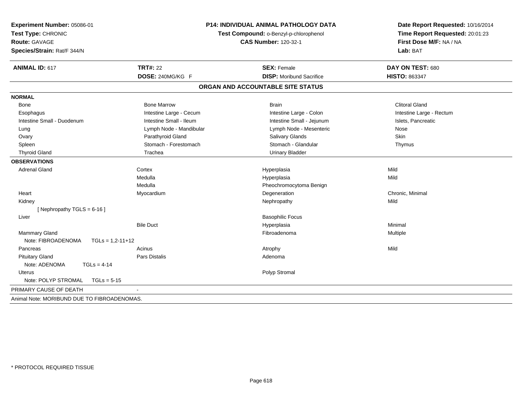| Experiment Number: 05086-01<br>Test Type: CHRONIC<br><b>Route: GAVAGE</b><br>Species/Strain: Rat/F 344/N | <b>P14: INDIVIDUAL ANIMAL PATHOLOGY DATA</b><br>Test Compound: o-Benzyl-p-chlorophenol<br><b>CAS Number: 120-32-1</b> |                                   | Date Report Requested: 10/16/2014<br>Time Report Requested: 20:01:23<br>First Dose M/F: NA / NA<br>Lab: BAT |  |
|----------------------------------------------------------------------------------------------------------|-----------------------------------------------------------------------------------------------------------------------|-----------------------------------|-------------------------------------------------------------------------------------------------------------|--|
| <b>ANIMAL ID: 617</b>                                                                                    | <b>TRT#: 22</b>                                                                                                       | <b>SEX: Female</b>                | DAY ON TEST: 680                                                                                            |  |
|                                                                                                          | DOSE: 240MG/KG F                                                                                                      | <b>DISP:</b> Moribund Sacrifice   | HISTO: 863347                                                                                               |  |
|                                                                                                          |                                                                                                                       | ORGAN AND ACCOUNTABLE SITE STATUS |                                                                                                             |  |
| <b>NORMAL</b>                                                                                            |                                                                                                                       |                                   |                                                                                                             |  |
| <b>Bone</b>                                                                                              | <b>Bone Marrow</b>                                                                                                    | <b>Brain</b>                      | <b>Clitoral Gland</b>                                                                                       |  |
| Esophagus                                                                                                | Intestine Large - Cecum                                                                                               | Intestine Large - Colon           | Intestine Large - Rectum                                                                                    |  |
| Intestine Small - Duodenum                                                                               | Intestine Small - Ileum                                                                                               | Intestine Small - Jejunum         | Islets, Pancreatic                                                                                          |  |
| Lung                                                                                                     | Lymph Node - Mandibular                                                                                               | Lymph Node - Mesenteric           | Nose                                                                                                        |  |
| Ovary                                                                                                    | Parathyroid Gland                                                                                                     | Salivary Glands                   | Skin                                                                                                        |  |
| Spleen                                                                                                   | Stomach - Forestomach                                                                                                 | Stomach - Glandular               | Thymus                                                                                                      |  |
| <b>Thyroid Gland</b>                                                                                     | Trachea                                                                                                               | <b>Urinary Bladder</b>            |                                                                                                             |  |
| <b>OBSERVATIONS</b>                                                                                      |                                                                                                                       |                                   |                                                                                                             |  |
| <b>Adrenal Gland</b>                                                                                     | Cortex                                                                                                                | Hyperplasia                       | Mild                                                                                                        |  |
|                                                                                                          | Medulla                                                                                                               | Hyperplasia                       | Mild                                                                                                        |  |
|                                                                                                          | Medulla                                                                                                               | Pheochromocytoma Benign           |                                                                                                             |  |
| Heart                                                                                                    | Myocardium                                                                                                            | Degeneration                      | Chronic, Minimal                                                                                            |  |
| Kidney                                                                                                   |                                                                                                                       | Nephropathy                       | Mild                                                                                                        |  |
| [ Nephropathy TGLS = $6-16$ ]                                                                            |                                                                                                                       |                                   |                                                                                                             |  |
| Liver                                                                                                    |                                                                                                                       | <b>Basophilic Focus</b>           |                                                                                                             |  |
|                                                                                                          | <b>Bile Duct</b>                                                                                                      | Hyperplasia                       | Minimal                                                                                                     |  |
| Mammary Gland                                                                                            |                                                                                                                       | Fibroadenoma                      | Multiple                                                                                                    |  |
| Note: FIBROADENOMA<br>$TGLs = 1.2 - 11 + 12$                                                             |                                                                                                                       |                                   |                                                                                                             |  |
| Pancreas                                                                                                 | Acinus                                                                                                                | Atrophy                           | Mild                                                                                                        |  |
| <b>Pituitary Gland</b>                                                                                   | Pars Distalis                                                                                                         | Adenoma                           |                                                                                                             |  |
| Note: ADENOMA<br>$TGLs = 4-14$                                                                           |                                                                                                                       |                                   |                                                                                                             |  |
| <b>Uterus</b>                                                                                            |                                                                                                                       | Polyp Stromal                     |                                                                                                             |  |
| Note: POLYP STROMAL<br>$TGLs = 5-15$                                                                     |                                                                                                                       |                                   |                                                                                                             |  |
| PRIMARY CAUSE OF DEATH                                                                                   |                                                                                                                       |                                   |                                                                                                             |  |
| Animal Note: MORIBUND DUE TO FIBROADENOMAS.                                                              |                                                                                                                       |                                   |                                                                                                             |  |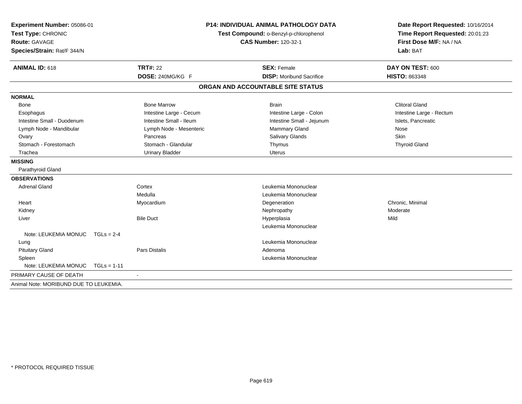| Experiment Number: 05086-01            |                             | <b>P14: INDIVIDUAL ANIMAL PATHOLOGY DATA</b><br>Test Compound: o-Benzyl-p-chlorophenol |                         | Date Report Requested: 10/16/2014 |                          |  |
|----------------------------------------|-----------------------------|----------------------------------------------------------------------------------------|-------------------------|-----------------------------------|--------------------------|--|
| Test Type: CHRONIC                     |                             |                                                                                        |                         | Time Report Requested: 20:01:23   |                          |  |
| Route: GAVAGE                          | <b>CAS Number: 120-32-1</b> |                                                                                        | First Dose M/F: NA / NA |                                   |                          |  |
| Species/Strain: Rat/F 344/N            |                             |                                                                                        |                         |                                   | Lab: BAT                 |  |
| <b>ANIMAL ID: 618</b>                  |                             | <b>TRT#: 22</b>                                                                        |                         | <b>SEX: Female</b>                | DAY ON TEST: 600         |  |
|                                        |                             | DOSE: 240MG/KG F                                                                       |                         | <b>DISP:</b> Moribund Sacrifice   | <b>HISTO: 863348</b>     |  |
|                                        |                             |                                                                                        |                         | ORGAN AND ACCOUNTABLE SITE STATUS |                          |  |
| <b>NORMAL</b>                          |                             |                                                                                        |                         |                                   |                          |  |
| <b>Bone</b>                            |                             | <b>Bone Marrow</b>                                                                     |                         | <b>Brain</b>                      | <b>Clitoral Gland</b>    |  |
| Esophagus                              |                             | Intestine Large - Cecum                                                                |                         | Intestine Large - Colon           | Intestine Large - Rectum |  |
| Intestine Small - Duodenum             |                             | Intestine Small - Ileum                                                                |                         | Intestine Small - Jejunum         | Islets, Pancreatic       |  |
| Lymph Node - Mandibular                |                             | Lymph Node - Mesenteric                                                                |                         | Mammary Gland                     | Nose                     |  |
| Ovary                                  |                             | Pancreas                                                                               |                         | <b>Salivary Glands</b>            | Skin                     |  |
| Stomach - Forestomach                  |                             | Stomach - Glandular                                                                    |                         | Thymus                            | <b>Thyroid Gland</b>     |  |
| Trachea                                |                             | <b>Urinary Bladder</b>                                                                 |                         | <b>Uterus</b>                     |                          |  |
| <b>MISSING</b>                         |                             |                                                                                        |                         |                                   |                          |  |
| Parathyroid Gland                      |                             |                                                                                        |                         |                                   |                          |  |
| <b>OBSERVATIONS</b>                    |                             |                                                                                        |                         |                                   |                          |  |
| <b>Adrenal Gland</b>                   |                             | Cortex                                                                                 |                         | Leukemia Mononuclear              |                          |  |
|                                        |                             | Medulla                                                                                |                         | Leukemia Mononuclear              |                          |  |
| Heart                                  |                             | Myocardium                                                                             |                         | Degeneration                      | Chronic, Minimal         |  |
| Kidney                                 |                             |                                                                                        |                         | Nephropathy                       | Moderate                 |  |
| Liver                                  |                             | <b>Bile Duct</b>                                                                       |                         | Hyperplasia                       | Mild                     |  |
|                                        |                             |                                                                                        |                         | Leukemia Mononuclear              |                          |  |
| Note: LEUKEMIA MONUC TGLs = 2-4        |                             |                                                                                        |                         |                                   |                          |  |
| Lung                                   |                             |                                                                                        |                         | Leukemia Mononuclear              |                          |  |
| <b>Pituitary Gland</b>                 |                             | <b>Pars Distalis</b>                                                                   |                         | Adenoma                           |                          |  |
| Spleen                                 |                             |                                                                                        |                         | Leukemia Mononuclear              |                          |  |
| Note: LEUKEMIA MONUC                   | $TGLs = 1-11$               |                                                                                        |                         |                                   |                          |  |
| PRIMARY CAUSE OF DEATH                 |                             |                                                                                        |                         |                                   |                          |  |
| Animal Note: MORIBUND DUE TO LEUKEMIA. |                             |                                                                                        |                         |                                   |                          |  |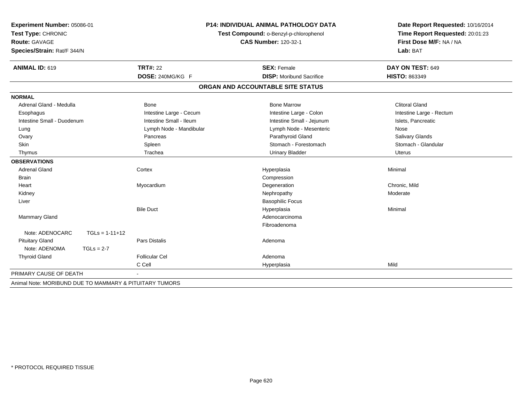| Experiment Number: 05086-01<br>Test Type: CHRONIC<br><b>Route: GAVAGE</b> |                  |                         | <b>P14: INDIVIDUAL ANIMAL PATHOLOGY DATA</b>                          | Date Report Requested: 10/16/2014   |  |
|---------------------------------------------------------------------------|------------------|-------------------------|-----------------------------------------------------------------------|-------------------------------------|--|
|                                                                           |                  |                         | Test Compound: o-Benzyl-p-chlorophenol<br><b>CAS Number: 120-32-1</b> | Time Report Requested: 20:01:23     |  |
| Species/Strain: Rat/F 344/N                                               |                  |                         |                                                                       | First Dose M/F: NA / NA<br>Lab: BAT |  |
| ANIMAL ID: 619                                                            |                  | <b>TRT#: 22</b>         | <b>SEX: Female</b>                                                    | DAY ON TEST: 649                    |  |
|                                                                           |                  | DOSE: 240MG/KG F        | <b>DISP:</b> Moribund Sacrifice                                       | <b>HISTO: 863349</b>                |  |
|                                                                           |                  |                         | ORGAN AND ACCOUNTABLE SITE STATUS                                     |                                     |  |
| <b>NORMAL</b>                                                             |                  |                         |                                                                       |                                     |  |
| Adrenal Gland - Medulla                                                   |                  | <b>Bone</b>             | <b>Bone Marrow</b>                                                    | <b>Clitoral Gland</b>               |  |
| Esophagus                                                                 |                  | Intestine Large - Cecum | Intestine Large - Colon                                               | Intestine Large - Rectum            |  |
| Intestine Small - Duodenum                                                |                  | Intestine Small - Ileum | Intestine Small - Jejunum                                             | Islets, Pancreatic                  |  |
| Lung                                                                      |                  | Lymph Node - Mandibular | Lymph Node - Mesenteric                                               | Nose                                |  |
| Ovary                                                                     |                  | Pancreas                | Parathyroid Gland                                                     | <b>Salivary Glands</b>              |  |
| <b>Skin</b>                                                               |                  | Spleen                  | Stomach - Forestomach                                                 | Stomach - Glandular                 |  |
| Thymus                                                                    |                  | Trachea                 | <b>Urinary Bladder</b>                                                | Uterus                              |  |
| <b>OBSERVATIONS</b>                                                       |                  |                         |                                                                       |                                     |  |
| <b>Adrenal Gland</b>                                                      |                  | Cortex                  | Hyperplasia                                                           | Minimal                             |  |
| <b>Brain</b>                                                              |                  |                         | Compression                                                           |                                     |  |
| Heart                                                                     |                  | Myocardium              | Degeneration                                                          | Chronic, Mild                       |  |
| Kidney                                                                    |                  |                         | Nephropathy                                                           | Moderate                            |  |
| Liver                                                                     |                  |                         | <b>Basophilic Focus</b>                                               |                                     |  |
|                                                                           |                  | <b>Bile Duct</b>        | Hyperplasia                                                           | Minimal                             |  |
| Mammary Gland                                                             |                  |                         | Adenocarcinoma                                                        |                                     |  |
|                                                                           |                  |                         | Fibroadenoma                                                          |                                     |  |
| Note: ADENOCARC                                                           | $TGLs = 1-11+12$ |                         |                                                                       |                                     |  |
| <b>Pituitary Gland</b>                                                    |                  | <b>Pars Distalis</b>    | Adenoma                                                               |                                     |  |
| Note: ADENOMA                                                             | $TGLs = 2-7$     |                         |                                                                       |                                     |  |
| <b>Thyroid Gland</b>                                                      |                  | <b>Follicular Cel</b>   | Adenoma                                                               |                                     |  |
|                                                                           |                  | C Cell                  | Hyperplasia                                                           | Mild                                |  |
| PRIMARY CAUSE OF DEATH                                                    |                  |                         |                                                                       |                                     |  |
| Animal Note: MORIBUND DUE TO MAMMARY & PITUITARY TUMORS                   |                  |                         |                                                                       |                                     |  |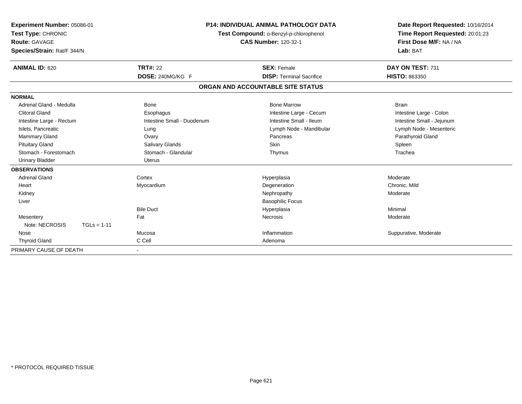| Experiment Number: 05086-01<br>Test Type: CHRONIC<br><b>Route: GAVAGE</b><br>Species/Strain: Rat/F 344/N |                            | <b>P14: INDIVIDUAL ANIMAL PATHOLOGY DATA</b><br>Test Compound: o-Benzyl-p-chlorophenol<br><b>CAS Number: 120-32-1</b> | Date Report Requested: 10/16/2014<br>Time Report Requested: 20:01:23<br>First Dose M/F: NA / NA<br>Lab: BAT |
|----------------------------------------------------------------------------------------------------------|----------------------------|-----------------------------------------------------------------------------------------------------------------------|-------------------------------------------------------------------------------------------------------------|
| <b>ANIMAL ID: 620</b>                                                                                    | <b>TRT#: 22</b>            | <b>SEX: Female</b>                                                                                                    | DAY ON TEST: 731                                                                                            |
|                                                                                                          | DOSE: 240MG/KG F           | <b>DISP: Terminal Sacrifice</b>                                                                                       | <b>HISTO: 863350</b>                                                                                        |
|                                                                                                          |                            | ORGAN AND ACCOUNTABLE SITE STATUS                                                                                     |                                                                                                             |
| <b>NORMAL</b>                                                                                            |                            |                                                                                                                       |                                                                                                             |
| Adrenal Gland - Medulla                                                                                  | <b>Bone</b>                | <b>Bone Marrow</b>                                                                                                    | <b>Brain</b>                                                                                                |
| <b>Clitoral Gland</b>                                                                                    | Esophagus                  | Intestine Large - Cecum                                                                                               | Intestine Large - Colon                                                                                     |
| Intestine Large - Rectum                                                                                 | Intestine Small - Duodenum | Intestine Small - Ileum                                                                                               | Intestine Small - Jejunum                                                                                   |
| Islets, Pancreatic                                                                                       | Lung                       | Lymph Node - Mandibular                                                                                               | Lymph Node - Mesenteric                                                                                     |
| Mammary Gland                                                                                            | Ovary                      | Pancreas                                                                                                              | Parathyroid Gland                                                                                           |
| <b>Pituitary Gland</b>                                                                                   | Salivary Glands            | <b>Skin</b>                                                                                                           | Spleen                                                                                                      |
| Stomach - Forestomach                                                                                    | Stomach - Glandular        | Thymus                                                                                                                | Trachea                                                                                                     |
| <b>Urinary Bladder</b>                                                                                   | <b>Uterus</b>              |                                                                                                                       |                                                                                                             |
| <b>OBSERVATIONS</b>                                                                                      |                            |                                                                                                                       |                                                                                                             |
| <b>Adrenal Gland</b>                                                                                     | Cortex                     | Hyperplasia                                                                                                           | Moderate                                                                                                    |
| Heart                                                                                                    | Myocardium                 | Degeneration                                                                                                          | Chronic, Mild                                                                                               |
| Kidney                                                                                                   |                            | Nephropathy                                                                                                           | Moderate                                                                                                    |
| Liver                                                                                                    |                            | <b>Basophilic Focus</b>                                                                                               |                                                                                                             |
|                                                                                                          | <b>Bile Duct</b>           | Hyperplasia                                                                                                           | Minimal                                                                                                     |
| Mesentery                                                                                                | Fat                        | <b>Necrosis</b>                                                                                                       | Moderate                                                                                                    |
| Note: NECROSIS<br>$TGLs = 1-11$                                                                          |                            |                                                                                                                       |                                                                                                             |
| Nose                                                                                                     | Mucosa                     | Inflammation                                                                                                          | Suppurative, Moderate                                                                                       |
| <b>Thyroid Gland</b>                                                                                     | C Cell                     | Adenoma                                                                                                               |                                                                                                             |
| PRIMARY CAUSE OF DEATH                                                                                   |                            |                                                                                                                       |                                                                                                             |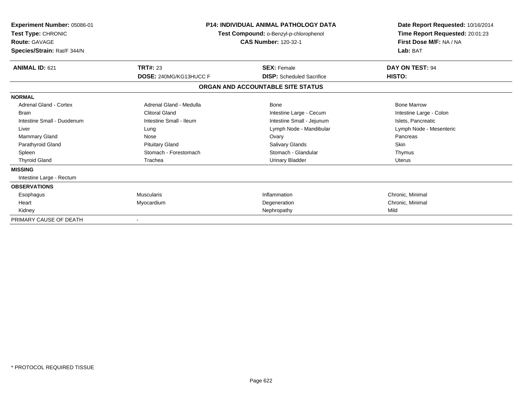| Experiment Number: 05086-01<br>Test Type: CHRONIC<br><b>Route: GAVAGE</b><br>Species/Strain: Rat/F 344/N                                                                       | <b>P14: INDIVIDUAL ANIMAL PATHOLOGY DATA</b><br>Test Compound: o-Benzyl-p-chlorophenol<br><b>CAS Number: 120-32-1</b>                                     |                                                                                                                                                                                    | Date Report Requested: 10/16/2014<br>Time Report Requested: 20:01:23<br>First Dose M/F: NA / NA<br>Lab: BAT                                          |
|--------------------------------------------------------------------------------------------------------------------------------------------------------------------------------|-----------------------------------------------------------------------------------------------------------------------------------------------------------|------------------------------------------------------------------------------------------------------------------------------------------------------------------------------------|------------------------------------------------------------------------------------------------------------------------------------------------------|
| ANIMAL ID: 621                                                                                                                                                                 | <b>TRT#: 23</b><br>DOSE: 240MG/KG13HUCC F                                                                                                                 | <b>SEX: Female</b><br><b>DISP:</b> Scheduled Sacrifice                                                                                                                             | DAY ON TEST: 94<br>HISTO:                                                                                                                            |
|                                                                                                                                                                                |                                                                                                                                                           | ORGAN AND ACCOUNTABLE SITE STATUS                                                                                                                                                  |                                                                                                                                                      |
| <b>NORMAL</b>                                                                                                                                                                  |                                                                                                                                                           |                                                                                                                                                                                    |                                                                                                                                                      |
| Adrenal Gland - Cortex<br><b>Brain</b><br>Intestine Small - Duodenum<br>Liver<br><b>Mammary Gland</b><br>Parathyroid Gland<br>Spleen<br><b>Thyroid Gland</b><br><b>MISSING</b> | Adrenal Gland - Medulla<br><b>Clitoral Gland</b><br>Intestine Small - Ileum<br>Lung<br>Nose<br><b>Pituitary Gland</b><br>Stomach - Forestomach<br>Trachea | <b>Bone</b><br>Intestine Large - Cecum<br>Intestine Small - Jejunum<br>Lymph Node - Mandibular<br>Ovary<br><b>Salivary Glands</b><br>Stomach - Glandular<br><b>Urinary Bladder</b> | <b>Bone Marrow</b><br>Intestine Large - Colon<br>Islets, Pancreatic<br>Lymph Node - Mesenteric<br>Pancreas<br><b>Skin</b><br>Thymus<br><b>Uterus</b> |
| Intestine Large - Rectum                                                                                                                                                       |                                                                                                                                                           |                                                                                                                                                                                    |                                                                                                                                                      |
| <b>OBSERVATIONS</b>                                                                                                                                                            |                                                                                                                                                           |                                                                                                                                                                                    |                                                                                                                                                      |
| Esophagus                                                                                                                                                                      | <b>Muscularis</b>                                                                                                                                         | Inflammation                                                                                                                                                                       | Chronic, Minimal                                                                                                                                     |
| Heart                                                                                                                                                                          | Myocardium                                                                                                                                                | Degeneration                                                                                                                                                                       | Chronic, Minimal                                                                                                                                     |
| Kidney                                                                                                                                                                         |                                                                                                                                                           | Nephropathy                                                                                                                                                                        | Mild                                                                                                                                                 |
| PRIMARY CAUSE OF DEATH                                                                                                                                                         |                                                                                                                                                           |                                                                                                                                                                                    |                                                                                                                                                      |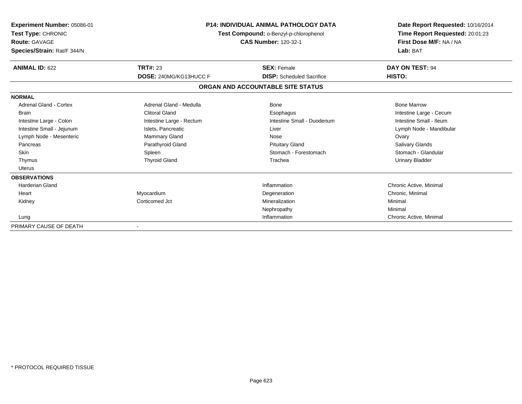| <b>Experiment Number: 05086-01</b><br>Test Type: CHRONIC<br><b>Route: GAVAGE</b><br>Species/Strain: Rat/F 344/N | <b>P14: INDIVIDUAL ANIMAL PATHOLOGY DATA</b><br>Test Compound: o-Benzyl-p-chlorophenol<br><b>CAS Number: 120-32-1</b> |                                   | Date Report Requested: 10/16/2014<br>Time Report Requested: 20:01:23<br>First Dose M/F: NA / NA<br>Lab: BAT |
|-----------------------------------------------------------------------------------------------------------------|-----------------------------------------------------------------------------------------------------------------------|-----------------------------------|-------------------------------------------------------------------------------------------------------------|
| <b>ANIMAL ID: 622</b>                                                                                           | <b>TRT#: 23</b>                                                                                                       | <b>SEX: Female</b>                | DAY ON TEST: 94                                                                                             |
|                                                                                                                 | DOSE: 240MG/KG13HUCC F                                                                                                | <b>DISP:</b> Scheduled Sacrifice  | HISTO:                                                                                                      |
|                                                                                                                 |                                                                                                                       | ORGAN AND ACCOUNTABLE SITE STATUS |                                                                                                             |
| <b>NORMAL</b>                                                                                                   |                                                                                                                       |                                   |                                                                                                             |
| <b>Adrenal Gland - Cortex</b>                                                                                   | Adrenal Gland - Medulla                                                                                               | Bone                              | <b>Bone Marrow</b>                                                                                          |
| <b>Brain</b>                                                                                                    | <b>Clitoral Gland</b>                                                                                                 | Esophagus                         | Intestine Large - Cecum                                                                                     |
| Intestine Large - Colon                                                                                         | Intestine Large - Rectum                                                                                              | Intestine Small - Duodenum        | Intestine Small - Ileum                                                                                     |
| Intestine Small - Jejunum                                                                                       | Islets, Pancreatic                                                                                                    | Liver                             | Lymph Node - Mandibular                                                                                     |
| Lymph Node - Mesenteric                                                                                         | Mammary Gland                                                                                                         | Nose                              | Ovary                                                                                                       |
| Pancreas                                                                                                        | Parathyroid Gland                                                                                                     | <b>Pituitary Gland</b>            | <b>Salivary Glands</b>                                                                                      |
| <b>Skin</b>                                                                                                     | Spleen                                                                                                                | Stomach - Forestomach             | Stomach - Glandular                                                                                         |
| Thymus                                                                                                          | <b>Thyroid Gland</b>                                                                                                  | Trachea                           | Urinary Bladder                                                                                             |
| Uterus                                                                                                          |                                                                                                                       |                                   |                                                                                                             |
| <b>OBSERVATIONS</b>                                                                                             |                                                                                                                       |                                   |                                                                                                             |
| <b>Harderian Gland</b>                                                                                          |                                                                                                                       | Inflammation                      | Chronic Active, Minimal                                                                                     |
| Heart                                                                                                           | Myocardium                                                                                                            | Degeneration                      | Chronic, Minimal                                                                                            |
| Kidney                                                                                                          | Corticomed Jct                                                                                                        | Mineralization                    | Minimal                                                                                                     |
|                                                                                                                 |                                                                                                                       | Nephropathy                       | Minimal                                                                                                     |
| Lung                                                                                                            |                                                                                                                       | Inflammation                      | Chronic Active, Minimal                                                                                     |
| PRIMARY CAUSE OF DEATH                                                                                          |                                                                                                                       |                                   |                                                                                                             |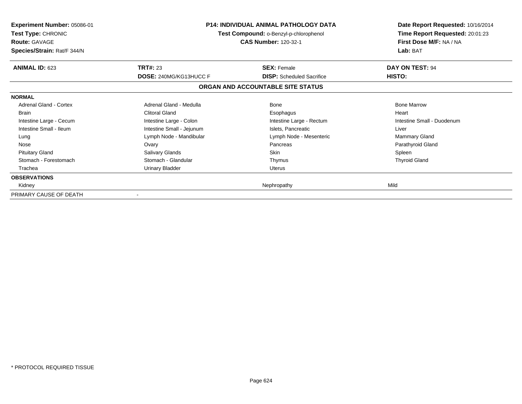| <b>Experiment Number: 05086-01</b><br>Test Type: CHRONIC<br><b>Route: GAVAGE</b><br>Species/Strain: Rat/F 344/N | <b>P14: INDIVIDUAL ANIMAL PATHOLOGY DATA</b><br>Test Compound: o-Benzyl-p-chlorophenol<br><b>CAS Number: 120-32-1</b> |                                   | Date Report Requested: 10/16/2014<br>Time Report Requested: 20:01:23<br>First Dose M/F: NA / NA<br>Lab: BAT |
|-----------------------------------------------------------------------------------------------------------------|-----------------------------------------------------------------------------------------------------------------------|-----------------------------------|-------------------------------------------------------------------------------------------------------------|
| <b>ANIMAL ID: 623</b>                                                                                           | <b>TRT#: 23</b>                                                                                                       | <b>SEX: Female</b>                | DAY ON TEST: 94                                                                                             |
|                                                                                                                 | <b>DOSE: 240MG/KG13HUCC F</b>                                                                                         | <b>DISP:</b> Scheduled Sacrifice  | HISTO:                                                                                                      |
|                                                                                                                 |                                                                                                                       | ORGAN AND ACCOUNTABLE SITE STATUS |                                                                                                             |
| <b>NORMAL</b>                                                                                                   |                                                                                                                       |                                   |                                                                                                             |
| Adrenal Gland - Cortex                                                                                          | Adrenal Gland - Medulla                                                                                               | Bone                              | <b>Bone Marrow</b>                                                                                          |
| <b>Brain</b>                                                                                                    | <b>Clitoral Gland</b>                                                                                                 | Esophagus                         | Heart                                                                                                       |
| Intestine Large - Cecum                                                                                         | Intestine Large - Colon                                                                                               | Intestine Large - Rectum          | Intestine Small - Duodenum                                                                                  |
| Intestine Small - Ileum                                                                                         | Intestine Small - Jejunum                                                                                             | Islets, Pancreatic                | Liver                                                                                                       |
| Lung                                                                                                            | Lymph Node - Mandibular                                                                                               | Lymph Node - Mesenteric           | Mammary Gland                                                                                               |
| Nose                                                                                                            | Ovary                                                                                                                 | Pancreas                          | Parathyroid Gland                                                                                           |
| <b>Pituitary Gland</b>                                                                                          | Salivary Glands                                                                                                       | Skin                              | Spleen                                                                                                      |
| Stomach - Forestomach                                                                                           | Stomach - Glandular                                                                                                   | Thymus                            | <b>Thyroid Gland</b>                                                                                        |
| Trachea                                                                                                         | Urinary Bladder                                                                                                       | Uterus                            |                                                                                                             |
| <b>OBSERVATIONS</b>                                                                                             |                                                                                                                       |                                   |                                                                                                             |
| Kidney                                                                                                          |                                                                                                                       | Nephropathy                       | Mild                                                                                                        |
| PRIMARY CAUSE OF DEATH                                                                                          |                                                                                                                       |                                   |                                                                                                             |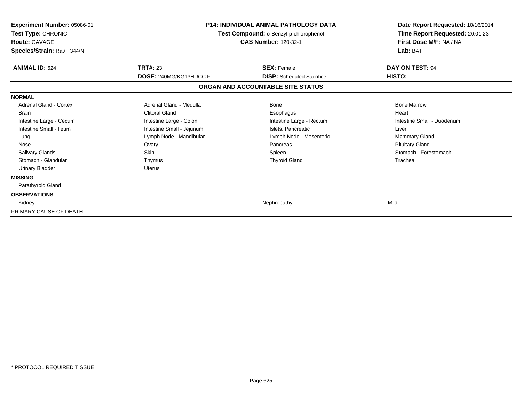| Experiment Number: 05086-01<br>Test Type: CHRONIC<br><b>Route: GAVAGE</b><br>Species/Strain: Rat/F 344/N | <b>P14: INDIVIDUAL ANIMAL PATHOLOGY DATA</b><br>Test Compound: o-Benzyl-p-chlorophenol<br><b>CAS Number: 120-32-1</b> |                                                        | Date Report Requested: 10/16/2014<br>Time Report Requested: 20:01:23<br>First Dose M/F: NA / NA<br>Lab: BAT |
|----------------------------------------------------------------------------------------------------------|-----------------------------------------------------------------------------------------------------------------------|--------------------------------------------------------|-------------------------------------------------------------------------------------------------------------|
| <b>ANIMAL ID: 624</b>                                                                                    | <b>TRT#: 23</b><br>DOSE: 240MG/KG13HUCC F                                                                             | <b>SEX: Female</b><br><b>DISP:</b> Scheduled Sacrifice | DAY ON TEST: 94<br>HISTO:                                                                                   |
|                                                                                                          |                                                                                                                       | ORGAN AND ACCOUNTABLE SITE STATUS                      |                                                                                                             |
| <b>NORMAL</b>                                                                                            |                                                                                                                       |                                                        |                                                                                                             |
| Adrenal Gland - Cortex                                                                                   | Adrenal Gland - Medulla                                                                                               | Bone                                                   | <b>Bone Marrow</b>                                                                                          |
| <b>Brain</b>                                                                                             | <b>Clitoral Gland</b>                                                                                                 | Esophagus                                              | Heart                                                                                                       |
| Intestine Large - Cecum                                                                                  | Intestine Large - Colon                                                                                               | Intestine Large - Rectum                               | Intestine Small - Duodenum                                                                                  |
| Intestine Small - Ileum                                                                                  | Intestine Small - Jejunum                                                                                             | Islets, Pancreatic                                     | Liver                                                                                                       |
| Lung                                                                                                     | Lymph Node - Mandibular                                                                                               | Lymph Node - Mesenteric                                | Mammary Gland                                                                                               |
| Nose                                                                                                     | Ovary                                                                                                                 | Pancreas                                               | <b>Pituitary Gland</b>                                                                                      |
| <b>Salivary Glands</b>                                                                                   | <b>Skin</b>                                                                                                           | Spleen                                                 | Stomach - Forestomach                                                                                       |
| Stomach - Glandular                                                                                      | Thymus                                                                                                                | <b>Thyroid Gland</b>                                   | Trachea                                                                                                     |
| <b>Urinary Bladder</b>                                                                                   | <b>Uterus</b>                                                                                                         |                                                        |                                                                                                             |
| <b>MISSING</b>                                                                                           |                                                                                                                       |                                                        |                                                                                                             |
| Parathyroid Gland                                                                                        |                                                                                                                       |                                                        |                                                                                                             |
| <b>OBSERVATIONS</b>                                                                                      |                                                                                                                       |                                                        |                                                                                                             |
| Kidney                                                                                                   |                                                                                                                       | Nephropathy                                            | Mild                                                                                                        |
| PRIMARY CAUSE OF DEATH                                                                                   |                                                                                                                       |                                                        |                                                                                                             |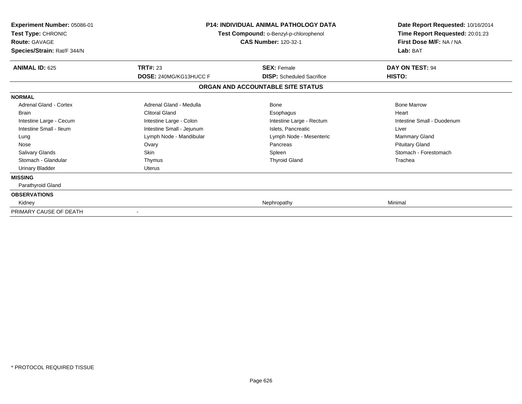| <b>Experiment Number: 05086-01</b><br>Test Type: CHRONIC<br><b>Route: GAVAGE</b><br>Species/Strain: Rat/F 344/N |                                           | <b>P14: INDIVIDUAL ANIMAL PATHOLOGY DATA</b><br>Test Compound: o-Benzyl-p-chlorophenol<br><b>CAS Number: 120-32-1</b> | Date Report Requested: 10/16/2014<br>Time Report Requested: 20:01:23<br>First Dose M/F: NA / NA<br>Lab: BAT |
|-----------------------------------------------------------------------------------------------------------------|-------------------------------------------|-----------------------------------------------------------------------------------------------------------------------|-------------------------------------------------------------------------------------------------------------|
| <b>ANIMAL ID: 625</b>                                                                                           | <b>TRT#: 23</b><br>DOSE: 240MG/KG13HUCC F | <b>SEX: Female</b><br><b>DISP:</b> Scheduled Sacrifice                                                                | DAY ON TEST: 94<br>HISTO:                                                                                   |
|                                                                                                                 |                                           | ORGAN AND ACCOUNTABLE SITE STATUS                                                                                     |                                                                                                             |
| <b>NORMAL</b>                                                                                                   |                                           |                                                                                                                       |                                                                                                             |
| Adrenal Gland - Cortex                                                                                          | Adrenal Gland - Medulla                   | <b>Bone</b>                                                                                                           | <b>Bone Marrow</b>                                                                                          |
| Brain                                                                                                           | <b>Clitoral Gland</b>                     | Esophagus                                                                                                             | Heart                                                                                                       |
| Intestine Large - Cecum                                                                                         | Intestine Large - Colon                   | Intestine Large - Rectum                                                                                              | Intestine Small - Duodenum                                                                                  |
| Intestine Small - Ileum                                                                                         | Intestine Small - Jejunum                 | Islets, Pancreatic                                                                                                    | Liver                                                                                                       |
| Lung                                                                                                            | Lymph Node - Mandibular                   | Lymph Node - Mesenteric                                                                                               | <b>Mammary Gland</b>                                                                                        |
| Nose                                                                                                            | Ovary                                     | Pancreas                                                                                                              | <b>Pituitary Gland</b>                                                                                      |
| <b>Salivary Glands</b>                                                                                          | <b>Skin</b>                               | Spleen                                                                                                                | Stomach - Forestomach                                                                                       |
| Stomach - Glandular                                                                                             | Thymus                                    | <b>Thyroid Gland</b>                                                                                                  | Trachea                                                                                                     |
| <b>Urinary Bladder</b>                                                                                          | <b>Uterus</b>                             |                                                                                                                       |                                                                                                             |
| <b>MISSING</b>                                                                                                  |                                           |                                                                                                                       |                                                                                                             |
| Parathyroid Gland                                                                                               |                                           |                                                                                                                       |                                                                                                             |
| <b>OBSERVATIONS</b>                                                                                             |                                           |                                                                                                                       |                                                                                                             |
| Kidney                                                                                                          |                                           | Nephropathy                                                                                                           | Minimal                                                                                                     |
| PRIMARY CAUSE OF DEATH                                                                                          |                                           |                                                                                                                       |                                                                                                             |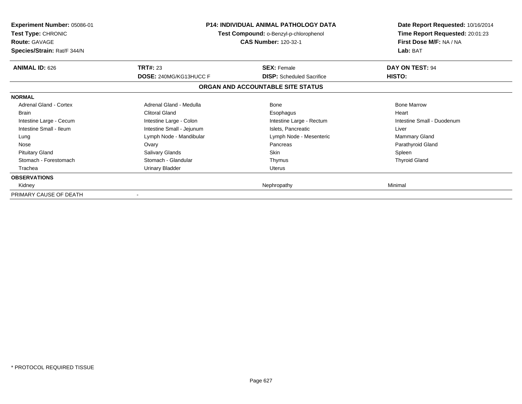| <b>Experiment Number: 05086-01</b><br><b>Test Type: CHRONIC</b><br><b>Route: GAVAGE</b><br>Species/Strain: Rat/F 344/N | <b>P14: INDIVIDUAL ANIMAL PATHOLOGY DATA</b><br>Test Compound: o-Benzyl-p-chlorophenol<br>CAS Number: 120-32-1 |                                                        | Date Report Requested: 10/16/2014<br>Time Report Requested: 20:01:23<br>First Dose M/F: NA / NA<br>Lab: BAT |
|------------------------------------------------------------------------------------------------------------------------|----------------------------------------------------------------------------------------------------------------|--------------------------------------------------------|-------------------------------------------------------------------------------------------------------------|
| <b>ANIMAL ID: 626</b>                                                                                                  | <b>TRT#: 23</b><br>DOSE: 240MG/KG13HUCC F                                                                      | <b>SEX: Female</b><br><b>DISP:</b> Scheduled Sacrifice | DAY ON TEST: 94<br>HISTO:                                                                                   |
|                                                                                                                        |                                                                                                                | ORGAN AND ACCOUNTABLE SITE STATUS                      |                                                                                                             |
| <b>NORMAL</b>                                                                                                          |                                                                                                                |                                                        |                                                                                                             |
| Adrenal Gland - Cortex                                                                                                 | Adrenal Gland - Medulla                                                                                        | Bone                                                   | <b>Bone Marrow</b>                                                                                          |
| <b>Brain</b>                                                                                                           | <b>Clitoral Gland</b>                                                                                          | Esophagus                                              | Heart                                                                                                       |
| Intestine Large - Cecum                                                                                                | Intestine Large - Colon                                                                                        | Intestine Large - Rectum                               | Intestine Small - Duodenum                                                                                  |
| Intestine Small - Ileum                                                                                                | Intestine Small - Jejunum                                                                                      | Islets, Pancreatic                                     | Liver                                                                                                       |
| Lung                                                                                                                   | Lymph Node - Mandibular                                                                                        | Lymph Node - Mesenteric                                | <b>Mammary Gland</b>                                                                                        |
| Nose                                                                                                                   | Ovary                                                                                                          | Pancreas                                               | Parathyroid Gland                                                                                           |
| <b>Pituitary Gland</b>                                                                                                 | Salivary Glands                                                                                                | Skin                                                   | Spleen                                                                                                      |
| Stomach - Forestomach                                                                                                  | Stomach - Glandular                                                                                            | Thymus                                                 | <b>Thyroid Gland</b>                                                                                        |
| Trachea                                                                                                                | <b>Urinary Bladder</b>                                                                                         | Uterus                                                 |                                                                                                             |
| <b>OBSERVATIONS</b>                                                                                                    |                                                                                                                |                                                        |                                                                                                             |
| Kidney                                                                                                                 |                                                                                                                | Nephropathy                                            | Minimal                                                                                                     |
| PRIMARY CAUSE OF DEATH                                                                                                 |                                                                                                                |                                                        |                                                                                                             |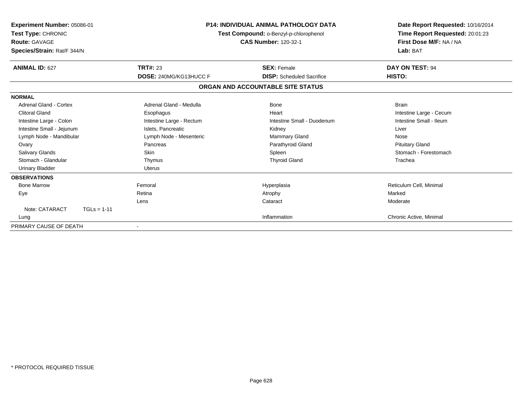| <b>Experiment Number: 05086-01</b><br>Test Type: CHRONIC<br><b>Route: GAVAGE</b><br>Species/Strain: Rat/F 344/N | <b>P14: INDIVIDUAL ANIMAL PATHOLOGY DATA</b><br>Test Compound: o-Benzyl-p-chlorophenol<br><b>CAS Number: 120-32-1</b> |                                   | Date Report Requested: 10/16/2014<br>Time Report Requested: 20:01:23<br>First Dose M/F: NA / NA<br>Lab: BAT |
|-----------------------------------------------------------------------------------------------------------------|-----------------------------------------------------------------------------------------------------------------------|-----------------------------------|-------------------------------------------------------------------------------------------------------------|
| <b>ANIMAL ID: 627</b>                                                                                           | <b>TRT#: 23</b>                                                                                                       | <b>SEX: Female</b>                | DAY ON TEST: 94                                                                                             |
|                                                                                                                 | <b>DOSE: 240MG/KG13HUCC F</b>                                                                                         | <b>DISP:</b> Scheduled Sacrifice  | HISTO:                                                                                                      |
|                                                                                                                 |                                                                                                                       | ORGAN AND ACCOUNTABLE SITE STATUS |                                                                                                             |
| <b>NORMAL</b>                                                                                                   |                                                                                                                       |                                   |                                                                                                             |
| Adrenal Gland - Cortex                                                                                          | Adrenal Gland - Medulla                                                                                               | <b>Bone</b>                       | <b>Brain</b>                                                                                                |
| <b>Clitoral Gland</b>                                                                                           | Esophagus                                                                                                             | Heart                             | Intestine Large - Cecum                                                                                     |
| Intestine Large - Colon                                                                                         | Intestine Large - Rectum                                                                                              | Intestine Small - Duodenum        | Intestine Small - Ileum                                                                                     |
| Intestine Small - Jejunum                                                                                       | Islets, Pancreatic                                                                                                    | Kidney                            | Liver                                                                                                       |
| Lymph Node - Mandibular                                                                                         | Lymph Node - Mesenteric                                                                                               | <b>Mammary Gland</b>              | Nose                                                                                                        |
| Ovary                                                                                                           | Pancreas                                                                                                              | Parathyroid Gland                 | <b>Pituitary Gland</b>                                                                                      |
| <b>Salivary Glands</b>                                                                                          | <b>Skin</b>                                                                                                           | Spleen                            | Stomach - Forestomach                                                                                       |
| Stomach - Glandular                                                                                             | Thymus                                                                                                                | <b>Thyroid Gland</b>              | Trachea                                                                                                     |
| <b>Urinary Bladder</b>                                                                                          | <b>Uterus</b>                                                                                                         |                                   |                                                                                                             |
| <b>OBSERVATIONS</b>                                                                                             |                                                                                                                       |                                   |                                                                                                             |
| <b>Bone Marrow</b>                                                                                              | Femoral                                                                                                               | Hyperplasia                       | Reticulum Cell, Minimal                                                                                     |
| Eye                                                                                                             | Retina                                                                                                                | Atrophy                           | Marked                                                                                                      |
|                                                                                                                 | Lens                                                                                                                  | Cataract                          | Moderate                                                                                                    |
| Note: CATARACT<br>$TGLs = 1-11$                                                                                 |                                                                                                                       |                                   |                                                                                                             |
| Lung                                                                                                            |                                                                                                                       | Inflammation                      | Chronic Active, Minimal                                                                                     |
| PRIMARY CAUSE OF DEATH                                                                                          |                                                                                                                       |                                   |                                                                                                             |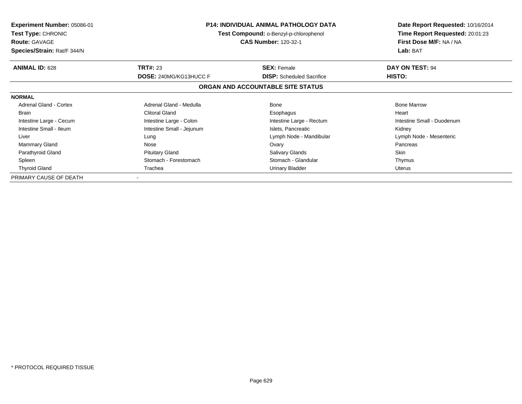| <b>Experiment Number: 05086-01</b><br><b>Test Type: CHRONIC</b><br><b>Route: GAVAGE</b><br>Species/Strain: Rat/F 344/N | <b>P14: INDIVIDUAL ANIMAL PATHOLOGY DATA</b><br>Test Compound: o-Benzyl-p-chlorophenol<br><b>CAS Number: 120-32-1</b><br><b>TRT#: 23</b><br><b>SEX: Female</b><br><b>DOSE: 240MG/KG13HUCC F</b><br><b>DISP:</b> Scheduled Sacrifice |                                   | Date Report Requested: 10/16/2014<br>Time Report Requested: 20:01:23<br>First Dose M/F: NA / NA<br>Lab: BAT |
|------------------------------------------------------------------------------------------------------------------------|-------------------------------------------------------------------------------------------------------------------------------------------------------------------------------------------------------------------------------------|-----------------------------------|-------------------------------------------------------------------------------------------------------------|
| <b>ANIMAL ID: 628</b>                                                                                                  |                                                                                                                                                                                                                                     |                                   | DAY ON TEST: 94<br>HISTO:                                                                                   |
|                                                                                                                        |                                                                                                                                                                                                                                     | ORGAN AND ACCOUNTABLE SITE STATUS |                                                                                                             |
| <b>NORMAL</b>                                                                                                          |                                                                                                                                                                                                                                     |                                   |                                                                                                             |
| <b>Adrenal Gland - Cortex</b>                                                                                          | Adrenal Gland - Medulla                                                                                                                                                                                                             | Bone                              | <b>Bone Marrow</b>                                                                                          |
| <b>Brain</b>                                                                                                           | <b>Clitoral Gland</b>                                                                                                                                                                                                               | Esophagus                         | Heart                                                                                                       |
| Intestine Large - Cecum                                                                                                | Intestine Large - Colon                                                                                                                                                                                                             | Intestine Large - Rectum          | Intestine Small - Duodenum                                                                                  |
| Intestine Small - Ileum                                                                                                | Intestine Small - Jejunum                                                                                                                                                                                                           | Islets, Pancreatic                | Kidney                                                                                                      |
| Liver                                                                                                                  | Lung                                                                                                                                                                                                                                | Lymph Node - Mandibular           | Lymph Node - Mesenteric                                                                                     |
| Mammary Gland                                                                                                          | Nose                                                                                                                                                                                                                                | Ovary                             | Pancreas                                                                                                    |
| Parathyroid Gland                                                                                                      | <b>Pituitary Gland</b>                                                                                                                                                                                                              | <b>Salivary Glands</b>            | <b>Skin</b>                                                                                                 |
| Spleen                                                                                                                 | Stomach - Forestomach                                                                                                                                                                                                               | Stomach - Glandular               | Thymus                                                                                                      |
| <b>Thyroid Gland</b>                                                                                                   | Trachea<br>Urinary Bladder                                                                                                                                                                                                          |                                   | Uterus                                                                                                      |
| PRIMARY CAUSE OF DEATH                                                                                                 |                                                                                                                                                                                                                                     |                                   |                                                                                                             |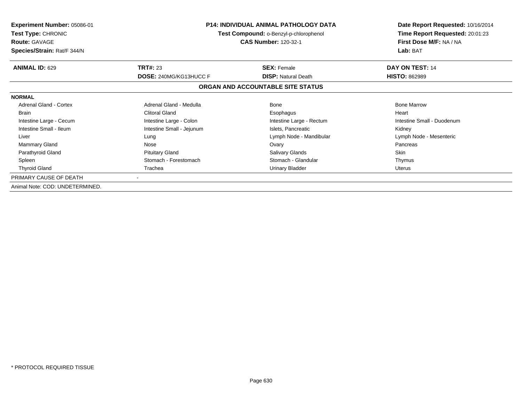| <b>Experiment Number: 05086-01</b><br><b>Test Type: CHRONIC</b><br><b>Route: GAVAGE</b><br>Species/Strain: Rat/F 344/N |                           | <b>P14: INDIVIDUAL ANIMAL PATHOLOGY DATA</b><br><b>Test Compound: o-Benzyl-p-chlorophenol</b><br><b>CAS Number: 120-32-1</b> | Date Report Requested: 10/16/2014<br>Time Report Requested: 20:01:23<br>First Dose M/F: NA / NA<br>Lab: BAT |
|------------------------------------------------------------------------------------------------------------------------|---------------------------|------------------------------------------------------------------------------------------------------------------------------|-------------------------------------------------------------------------------------------------------------|
| <b>ANIMAL ID: 629</b>                                                                                                  | <b>TRT#: 23</b>           | <b>SEX: Female</b>                                                                                                           | DAY ON TEST: 14                                                                                             |
|                                                                                                                        | DOSE: 240MG/KG13HUCC F    | <b>DISP:</b> Natural Death<br>ORGAN AND ACCOUNTABLE SITE STATUS                                                              | <b>HISTO: 862989</b>                                                                                        |
| <b>NORMAL</b>                                                                                                          |                           |                                                                                                                              |                                                                                                             |
| Adrenal Gland - Cortex                                                                                                 | Adrenal Gland - Medulla   | Bone                                                                                                                         | <b>Bone Marrow</b>                                                                                          |
| <b>Brain</b>                                                                                                           | <b>Clitoral Gland</b>     | Esophagus                                                                                                                    | Heart                                                                                                       |
| Intestine Large - Cecum                                                                                                | Intestine Large - Colon   | Intestine Large - Rectum                                                                                                     | Intestine Small - Duodenum                                                                                  |
| Intestine Small - Ileum                                                                                                | Intestine Small - Jejunum | Islets, Pancreatic                                                                                                           | Kidney                                                                                                      |
| Liver                                                                                                                  | Lung                      | Lymph Node - Mandibular                                                                                                      | Lymph Node - Mesenteric                                                                                     |
| <b>Mammary Gland</b>                                                                                                   | Nose                      | Ovary                                                                                                                        | Pancreas                                                                                                    |
| Parathyroid Gland                                                                                                      | <b>Pituitary Gland</b>    | <b>Salivary Glands</b>                                                                                                       | Skin                                                                                                        |
| Spleen                                                                                                                 | Stomach - Forestomach     | Stomach - Glandular                                                                                                          | Thymus                                                                                                      |
| <b>Thyroid Gland</b>                                                                                                   | Trachea                   | <b>Urinary Bladder</b>                                                                                                       | Uterus                                                                                                      |
| PRIMARY CAUSE OF DEATH                                                                                                 |                           |                                                                                                                              |                                                                                                             |
| Animal Note: COD: UNDETERMINED.                                                                                        |                           |                                                                                                                              |                                                                                                             |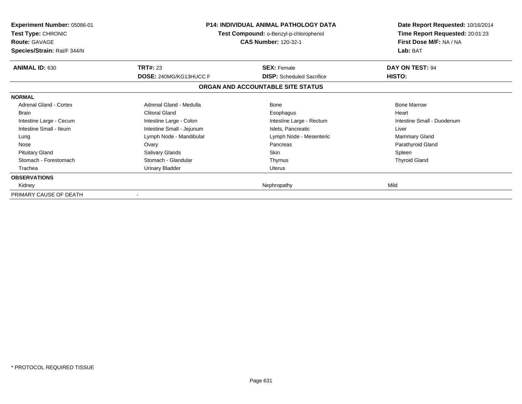| <b>Experiment Number: 05086-01</b><br><b>Test Type: CHRONIC</b><br><b>Route: GAVAGE</b><br>Species/Strain: Rat/F 344/N | <b>P14: INDIVIDUAL ANIMAL PATHOLOGY DATA</b><br>Test Compound: o-Benzyl-p-chlorophenol<br>CAS Number: 120-32-1 |                                                        | Date Report Requested: 10/16/2014<br>Time Report Requested: 20:01:23<br>First Dose M/F: NA / NA<br>Lab: BAT |
|------------------------------------------------------------------------------------------------------------------------|----------------------------------------------------------------------------------------------------------------|--------------------------------------------------------|-------------------------------------------------------------------------------------------------------------|
| <b>ANIMAL ID: 630</b>                                                                                                  | <b>TRT#: 23</b>                                                                                                | <b>SEX: Female</b><br><b>DISP:</b> Scheduled Sacrifice | DAY ON TEST: 94<br><b>HISTO:</b>                                                                            |
|                                                                                                                        | DOSE: 240MG/KG13HUCC F                                                                                         |                                                        |                                                                                                             |
|                                                                                                                        |                                                                                                                | ORGAN AND ACCOUNTABLE SITE STATUS                      |                                                                                                             |
| <b>NORMAL</b>                                                                                                          |                                                                                                                |                                                        |                                                                                                             |
| Adrenal Gland - Cortex                                                                                                 | Adrenal Gland - Medulla                                                                                        | <b>Bone</b>                                            | <b>Bone Marrow</b>                                                                                          |
| <b>Brain</b>                                                                                                           | <b>Clitoral Gland</b>                                                                                          | Esophagus                                              | Heart                                                                                                       |
| Intestine Large - Cecum                                                                                                | Intestine Large - Colon                                                                                        | Intestine Large - Rectum                               | Intestine Small - Duodenum                                                                                  |
| Intestine Small - Ileum                                                                                                | Intestine Small - Jejunum                                                                                      | Islets, Pancreatic                                     | Liver                                                                                                       |
| Lung                                                                                                                   | Lymph Node - Mandibular                                                                                        | Lymph Node - Mesenteric                                | <b>Mammary Gland</b>                                                                                        |
| Nose                                                                                                                   | Ovary                                                                                                          | Pancreas                                               | Parathyroid Gland                                                                                           |
| <b>Pituitary Gland</b>                                                                                                 | Salivary Glands                                                                                                | Skin                                                   | Spleen                                                                                                      |
| Stomach - Forestomach                                                                                                  | Stomach - Glandular                                                                                            | Thymus                                                 | <b>Thyroid Gland</b>                                                                                        |
| Trachea                                                                                                                | Urinary Bladder                                                                                                | Uterus                                                 |                                                                                                             |
| <b>OBSERVATIONS</b>                                                                                                    |                                                                                                                |                                                        |                                                                                                             |
| Kidney                                                                                                                 |                                                                                                                | Nephropathy                                            | Mild                                                                                                        |
| PRIMARY CAUSE OF DEATH                                                                                                 |                                                                                                                |                                                        |                                                                                                             |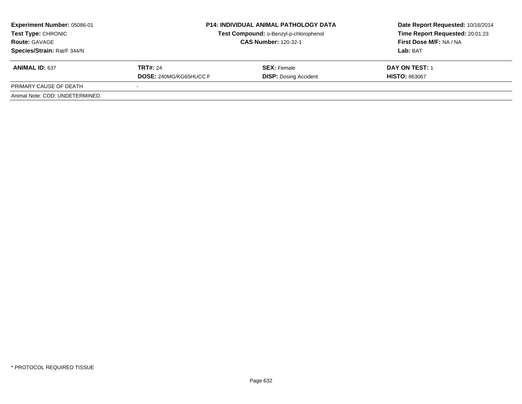| <b>Experiment Number: 05086-01</b><br>Test Type: CHRONIC<br><b>Route: GAVAGE</b><br>Species/Strain: Rat/F 344/N | <b>P14: INDIVIDUAL ANIMAL PATHOLOGY DATA</b><br>Test Compound: o-Benzyl-p-chlorophenol<br><b>CAS Number: 120-32-1</b> |                                                    | Date Report Requested: 10/16/2014<br>Time Report Requested: 20:01:23<br>First Dose M/F: NA / NA<br>Lab: BAT |
|-----------------------------------------------------------------------------------------------------------------|-----------------------------------------------------------------------------------------------------------------------|----------------------------------------------------|-------------------------------------------------------------------------------------------------------------|
| <b>ANIMAL ID: 637</b>                                                                                           | <b>TRT#: 24</b><br><b>DOSE: 240MG/KG65HUCC F</b>                                                                      | <b>SEX: Female</b><br><b>DISP: Dosing Accident</b> | <b>DAY ON TEST: 1</b><br><b>HISTO: 863067</b>                                                               |
| PRIMARY CAUSE OF DEATH                                                                                          |                                                                                                                       |                                                    |                                                                                                             |
| Animal Note: COD: UNDETERMINED.                                                                                 |                                                                                                                       |                                                    |                                                                                                             |